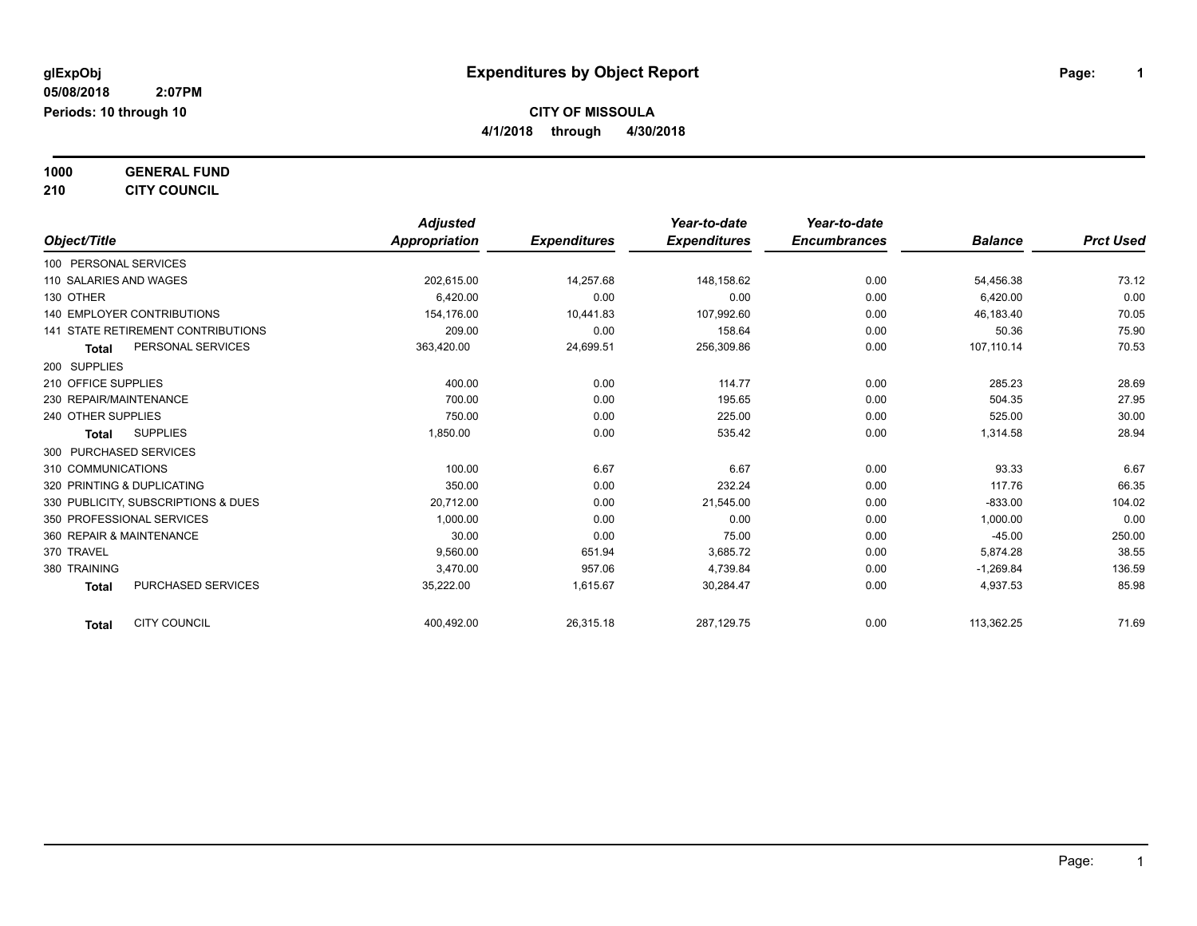### **1000 GENERAL FUND**

**210 CITY COUNCIL**

|                                     | <b>Adjusted</b> |                     | Year-to-date        | Year-to-date        |                |                  |
|-------------------------------------|-----------------|---------------------|---------------------|---------------------|----------------|------------------|
| Object/Title                        | Appropriation   | <b>Expenditures</b> | <b>Expenditures</b> | <b>Encumbrances</b> | <b>Balance</b> | <b>Prct Used</b> |
| 100 PERSONAL SERVICES               |                 |                     |                     |                     |                |                  |
| 110 SALARIES AND WAGES              | 202,615.00      | 14,257.68           | 148,158.62          | 0.00                | 54,456.38      | 73.12            |
| 130 OTHER                           | 6.420.00        | 0.00                | 0.00                | 0.00                | 6,420.00       | 0.00             |
| <b>140 EMPLOYER CONTRIBUTIONS</b>   | 154,176.00      | 10,441.83           | 107,992.60          | 0.00                | 46,183.40      | 70.05            |
| 141 STATE RETIREMENT CONTRIBUTIONS  | 209.00          | 0.00                | 158.64              | 0.00                | 50.36          | 75.90            |
| PERSONAL SERVICES<br><b>Total</b>   | 363,420.00      | 24,699.51           | 256,309.86          | 0.00                | 107,110.14     | 70.53            |
| 200 SUPPLIES                        |                 |                     |                     |                     |                |                  |
| 210 OFFICE SUPPLIES                 | 400.00          | 0.00                | 114.77              | 0.00                | 285.23         | 28.69            |
| 230 REPAIR/MAINTENANCE              | 700.00          | 0.00                | 195.65              | 0.00                | 504.35         | 27.95            |
| 240 OTHER SUPPLIES                  | 750.00          | 0.00                | 225.00              | 0.00                | 525.00         | 30.00            |
| <b>SUPPLIES</b><br><b>Total</b>     | 1,850.00        | 0.00                | 535.42              | 0.00                | 1,314.58       | 28.94            |
| 300 PURCHASED SERVICES              |                 |                     |                     |                     |                |                  |
| 310 COMMUNICATIONS                  | 100.00          | 6.67                | 6.67                | 0.00                | 93.33          | 6.67             |
| 320 PRINTING & DUPLICATING          | 350.00          | 0.00                | 232.24              | 0.00                | 117.76         | 66.35            |
| 330 PUBLICITY, SUBSCRIPTIONS & DUES | 20,712.00       | 0.00                | 21,545.00           | 0.00                | $-833.00$      | 104.02           |
| 350 PROFESSIONAL SERVICES           | 1,000.00        | 0.00                | 0.00                | 0.00                | 1,000.00       | 0.00             |
| 360 REPAIR & MAINTENANCE            | 30.00           | 0.00                | 75.00               | 0.00                | $-45.00$       | 250.00           |
| 370 TRAVEL                          | 9.560.00        | 651.94              | 3,685.72            | 0.00                | 5,874.28       | 38.55            |
| 380 TRAINING                        | 3,470.00        | 957.06              | 4,739.84            | 0.00                | $-1,269.84$    | 136.59           |
| PURCHASED SERVICES<br><b>Total</b>  | 35,222.00       | 1,615.67            | 30,284.47           | 0.00                | 4,937.53       | 85.98            |
| <b>CITY COUNCIL</b><br><b>Total</b> | 400,492.00      | 26,315.18           | 287,129.75          | 0.00                | 113,362.25     | 71.69            |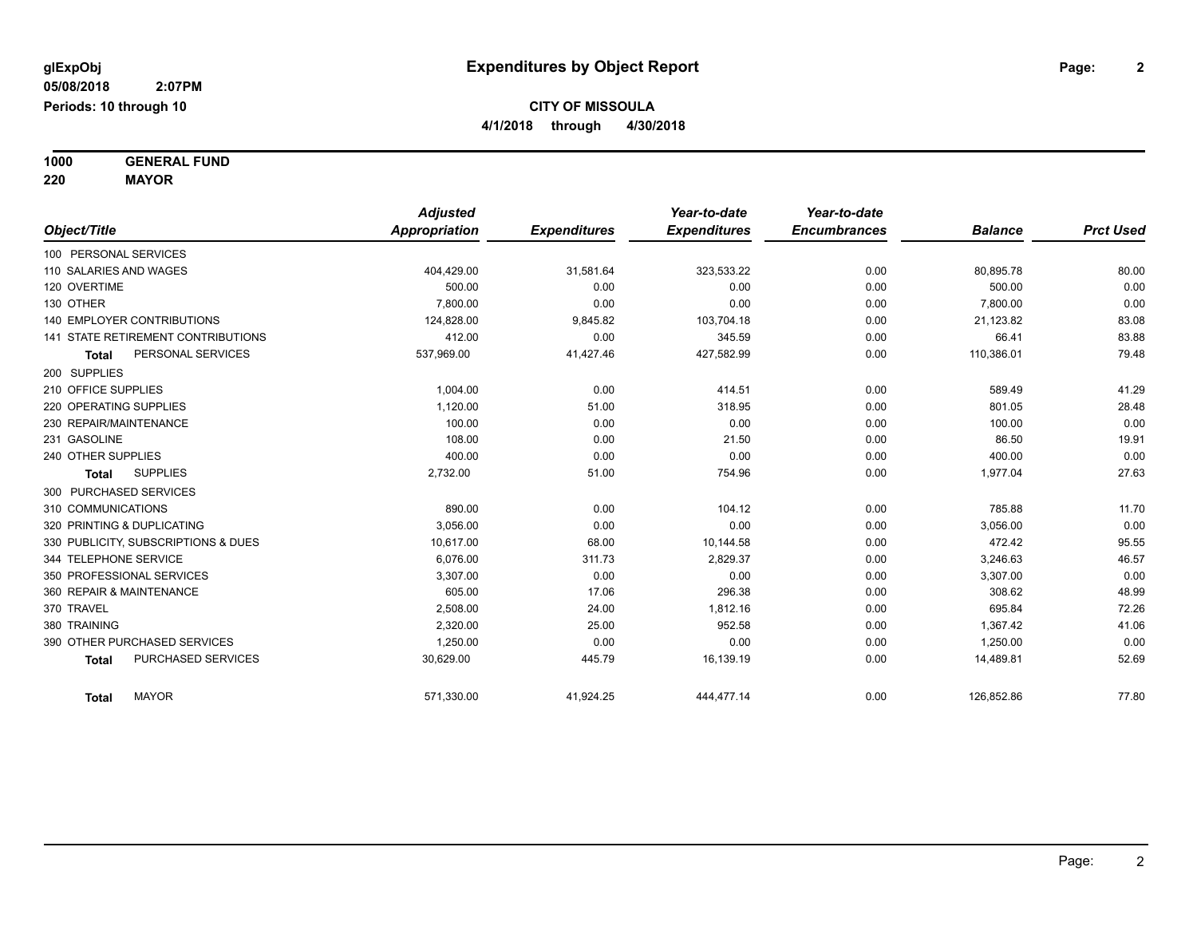**1000 GENERAL FUND**

**220 MAYOR**

|                                           | <b>Adjusted</b> |                     | Year-to-date        | Year-to-date        |                |                  |  |
|-------------------------------------------|-----------------|---------------------|---------------------|---------------------|----------------|------------------|--|
| Object/Title                              | Appropriation   | <b>Expenditures</b> | <b>Expenditures</b> | <b>Encumbrances</b> | <b>Balance</b> | <b>Prct Used</b> |  |
| 100 PERSONAL SERVICES                     |                 |                     |                     |                     |                |                  |  |
| 110 SALARIES AND WAGES                    | 404,429.00      | 31,581.64           | 323,533.22          | 0.00                | 80,895.78      | 80.00            |  |
| 120 OVERTIME                              | 500.00          | 0.00                | 0.00                | 0.00                | 500.00         | 0.00             |  |
| 130 OTHER                                 | 7.800.00        | 0.00                | 0.00                | 0.00                | 7,800.00       | 0.00             |  |
| <b>140 EMPLOYER CONTRIBUTIONS</b>         | 124,828.00      | 9,845.82            | 103,704.18          | 0.00                | 21,123.82      | 83.08            |  |
| <b>141 STATE RETIREMENT CONTRIBUTIONS</b> | 412.00          | 0.00                | 345.59              | 0.00                | 66.41          | 83.88            |  |
| PERSONAL SERVICES<br><b>Total</b>         | 537,969.00      | 41,427.46           | 427,582.99          | 0.00                | 110,386.01     | 79.48            |  |
| 200 SUPPLIES                              |                 |                     |                     |                     |                |                  |  |
| 210 OFFICE SUPPLIES                       | 1,004.00        | 0.00                | 414.51              | 0.00                | 589.49         | 41.29            |  |
| 220 OPERATING SUPPLIES                    | 1,120.00        | 51.00               | 318.95              | 0.00                | 801.05         | 28.48            |  |
| 230 REPAIR/MAINTENANCE                    | 100.00          | 0.00                | 0.00                | 0.00                | 100.00         | 0.00             |  |
| 231 GASOLINE                              | 108.00          | 0.00                | 21.50               | 0.00                | 86.50          | 19.91            |  |
| 240 OTHER SUPPLIES                        | 400.00          | 0.00                | 0.00                | 0.00                | 400.00         | 0.00             |  |
| <b>SUPPLIES</b><br><b>Total</b>           | 2,732.00        | 51.00               | 754.96              | 0.00                | 1,977.04       | 27.63            |  |
| 300 PURCHASED SERVICES                    |                 |                     |                     |                     |                |                  |  |
| 310 COMMUNICATIONS                        | 890.00          | 0.00                | 104.12              | 0.00                | 785.88         | 11.70            |  |
| 320 PRINTING & DUPLICATING                | 3.056.00        | 0.00                | 0.00                | 0.00                | 3,056.00       | 0.00             |  |
| 330 PUBLICITY, SUBSCRIPTIONS & DUES       | 10.617.00       | 68.00               | 10,144.58           | 0.00                | 472.42         | 95.55            |  |
| 344 TELEPHONE SERVICE                     | 6,076.00        | 311.73              | 2,829.37            | 0.00                | 3,246.63       | 46.57            |  |
| 350 PROFESSIONAL SERVICES                 | 3,307.00        | 0.00                | 0.00                | 0.00                | 3,307.00       | 0.00             |  |
| 360 REPAIR & MAINTENANCE                  | 605.00          | 17.06               | 296.38              | 0.00                | 308.62         | 48.99            |  |
| 370 TRAVEL                                | 2,508.00        | 24.00               | 1,812.16            | 0.00                | 695.84         | 72.26            |  |
| 380 TRAINING                              | 2.320.00        | 25.00               | 952.58              | 0.00                | 1.367.42       | 41.06            |  |
| 390 OTHER PURCHASED SERVICES              | 1,250.00        | 0.00                | 0.00                | 0.00                | 1,250.00       | 0.00             |  |
| PURCHASED SERVICES<br><b>Total</b>        | 30,629.00       | 445.79              | 16,139.19           | 0.00                | 14,489.81      | 52.69            |  |
| <b>MAYOR</b><br><b>Total</b>              | 571,330.00      | 41,924.25           | 444,477.14          | 0.00                | 126,852.86     | 77.80            |  |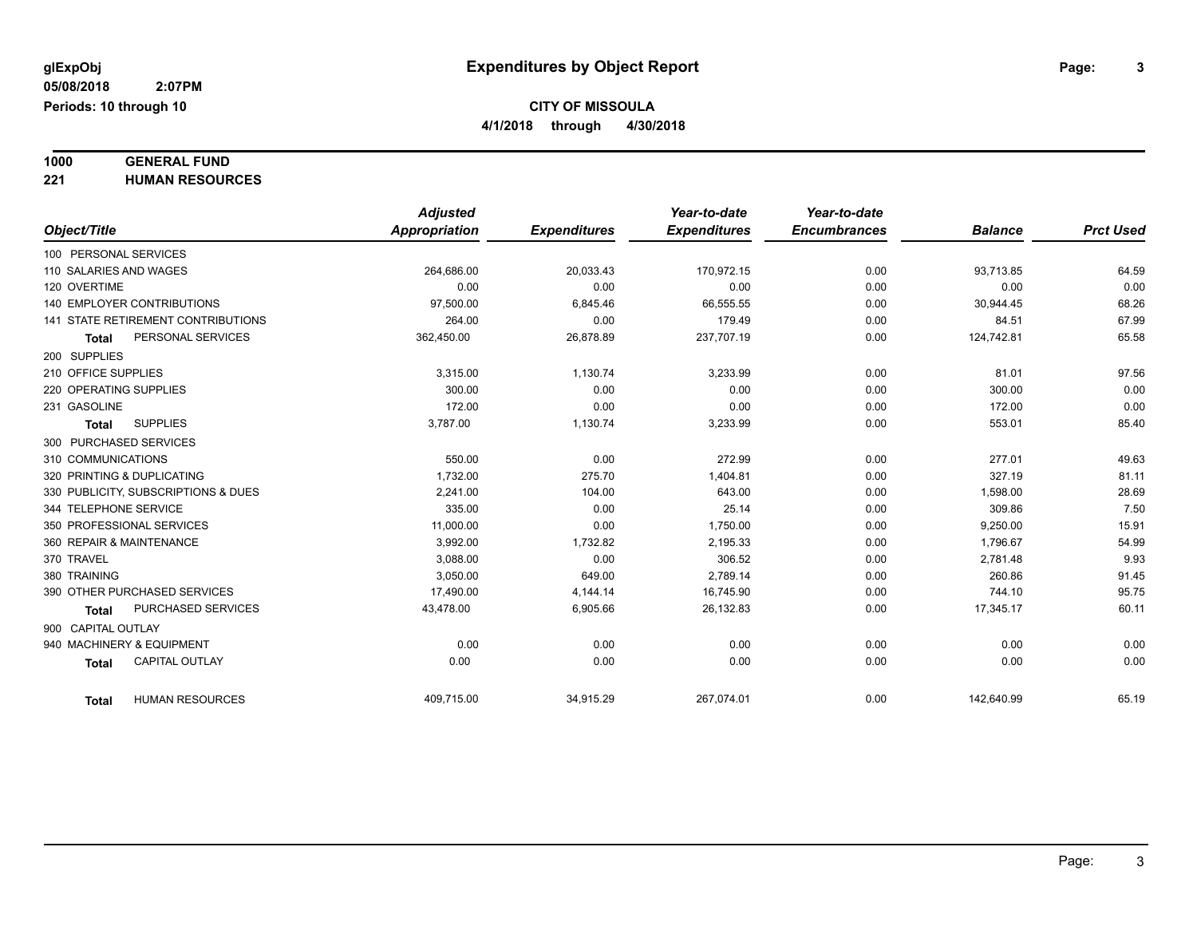# **1000 GENERAL FUND**

**221 HUMAN RESOURCES**

|                                           | <b>Adjusted</b>      |                     | Year-to-date        | Year-to-date        |                |                  |
|-------------------------------------------|----------------------|---------------------|---------------------|---------------------|----------------|------------------|
| Object/Title                              | <b>Appropriation</b> | <b>Expenditures</b> | <b>Expenditures</b> | <b>Encumbrances</b> | <b>Balance</b> | <b>Prct Used</b> |
| 100 PERSONAL SERVICES                     |                      |                     |                     |                     |                |                  |
| 110 SALARIES AND WAGES                    | 264,686.00           | 20,033.43           | 170,972.15          | 0.00                | 93,713.85      | 64.59            |
| 120 OVERTIME                              | 0.00                 | 0.00                | 0.00                | 0.00                | 0.00           | 0.00             |
| <b>140 EMPLOYER CONTRIBUTIONS</b>         | 97,500.00            | 6,845.46            | 66,555.55           | 0.00                | 30,944.45      | 68.26            |
| <b>141 STATE RETIREMENT CONTRIBUTIONS</b> | 264.00               | 0.00                | 179.49              | 0.00                | 84.51          | 67.99            |
| PERSONAL SERVICES<br><b>Total</b>         | 362,450.00           | 26,878.89           | 237,707.19          | 0.00                | 124,742.81     | 65.58            |
| 200 SUPPLIES                              |                      |                     |                     |                     |                |                  |
| 210 OFFICE SUPPLIES                       | 3,315.00             | 1,130.74            | 3,233.99            | 0.00                | 81.01          | 97.56            |
| 220 OPERATING SUPPLIES                    | 300.00               | 0.00                | 0.00                | 0.00                | 300.00         | 0.00             |
| 231 GASOLINE                              | 172.00               | 0.00                | 0.00                | 0.00                | 172.00         | 0.00             |
| <b>SUPPLIES</b><br><b>Total</b>           | 3,787.00             | 1,130.74            | 3,233.99            | 0.00                | 553.01         | 85.40            |
| 300 PURCHASED SERVICES                    |                      |                     |                     |                     |                |                  |
| 310 COMMUNICATIONS                        | 550.00               | 0.00                | 272.99              | 0.00                | 277.01         | 49.63            |
| 320 PRINTING & DUPLICATING                | 1,732.00             | 275.70              | 1,404.81            | 0.00                | 327.19         | 81.11            |
| 330 PUBLICITY, SUBSCRIPTIONS & DUES       | 2,241.00             | 104.00              | 643.00              | 0.00                | 1,598.00       | 28.69            |
| 344 TELEPHONE SERVICE                     | 335.00               | 0.00                | 25.14               | 0.00                | 309.86         | 7.50             |
| 350 PROFESSIONAL SERVICES                 | 11,000.00            | 0.00                | 1,750.00            | 0.00                | 9,250.00       | 15.91            |
| 360 REPAIR & MAINTENANCE                  | 3,992.00             | 1,732.82            | 2,195.33            | 0.00                | 1,796.67       | 54.99            |
| 370 TRAVEL                                | 3,088.00             | 0.00                | 306.52              | 0.00                | 2,781.48       | 9.93             |
| 380 TRAINING                              | 3,050.00             | 649.00              | 2,789.14            | 0.00                | 260.86         | 91.45            |
| 390 OTHER PURCHASED SERVICES              | 17,490.00            | 4,144.14            | 16,745.90           | 0.00                | 744.10         | 95.75            |
| <b>PURCHASED SERVICES</b><br><b>Total</b> | 43,478.00            | 6,905.66            | 26,132.83           | 0.00                | 17,345.17      | 60.11            |
| 900 CAPITAL OUTLAY                        |                      |                     |                     |                     |                |                  |
| 940 MACHINERY & EQUIPMENT                 | 0.00                 | 0.00                | 0.00                | 0.00                | 0.00           | 0.00             |
| <b>CAPITAL OUTLAY</b><br><b>Total</b>     | 0.00                 | 0.00                | 0.00                | 0.00                | 0.00           | 0.00             |
| <b>HUMAN RESOURCES</b><br><b>Total</b>    | 409,715.00           | 34,915.29           | 267,074.01          | 0.00                | 142,640.99     | 65.19            |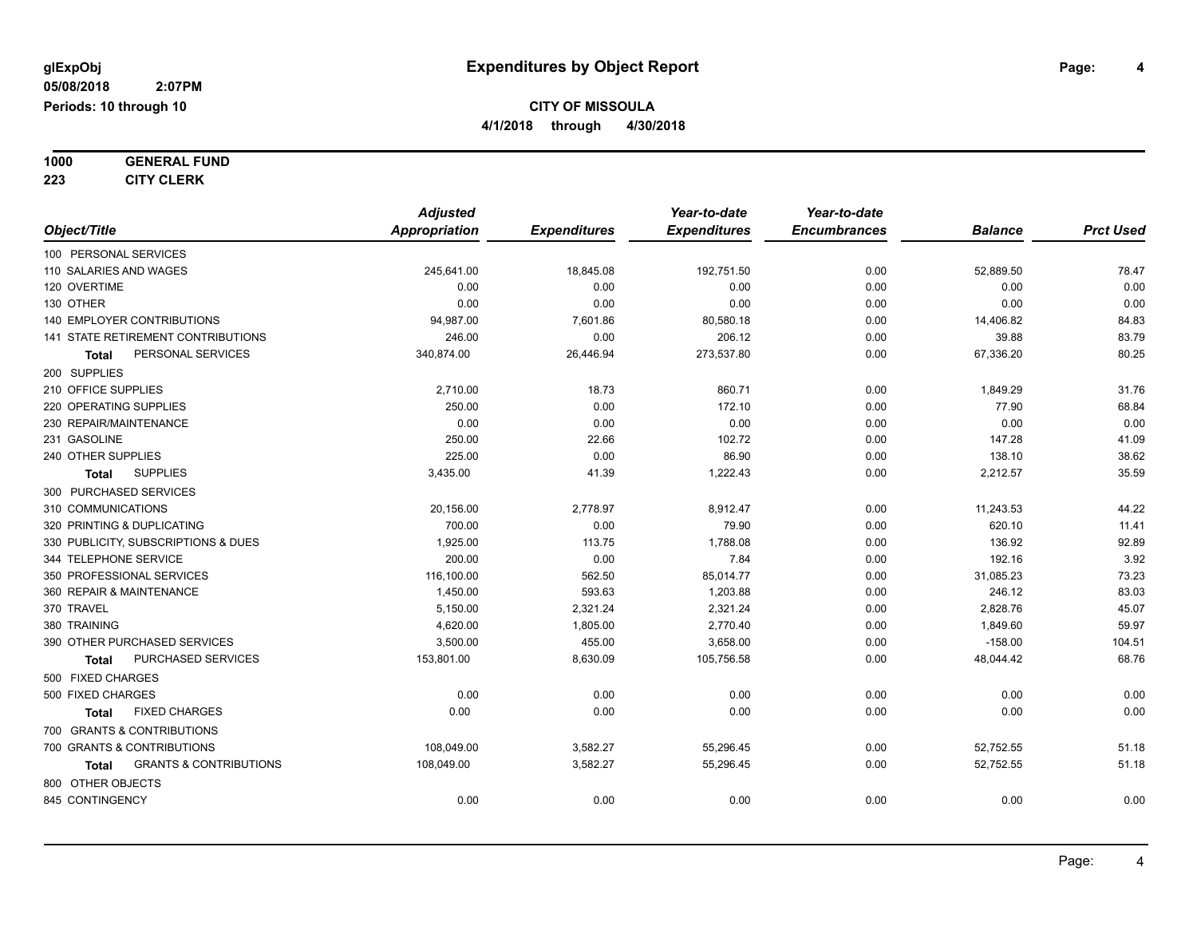# **1000 GENERAL FUND**

**223 CITY CLERK**

|                                                   | <b>Adjusted</b>      |                     | Year-to-date        | Year-to-date        |                |                  |
|---------------------------------------------------|----------------------|---------------------|---------------------|---------------------|----------------|------------------|
| Object/Title                                      | <b>Appropriation</b> | <b>Expenditures</b> | <b>Expenditures</b> | <b>Encumbrances</b> | <b>Balance</b> | <b>Prct Used</b> |
| 100 PERSONAL SERVICES                             |                      |                     |                     |                     |                |                  |
| 110 SALARIES AND WAGES                            | 245,641.00           | 18,845.08           | 192,751.50          | 0.00                | 52,889.50      | 78.47            |
| 120 OVERTIME                                      | 0.00                 | 0.00                | 0.00                | 0.00                | 0.00           | 0.00             |
| 130 OTHER                                         | 0.00                 | 0.00                | 0.00                | 0.00                | 0.00           | 0.00             |
| 140 EMPLOYER CONTRIBUTIONS                        | 94,987.00            | 7,601.86            | 80,580.18           | 0.00                | 14,406.82      | 84.83            |
| 141 STATE RETIREMENT CONTRIBUTIONS                | 246.00               | 0.00                | 206.12              | 0.00                | 39.88          | 83.79            |
| PERSONAL SERVICES<br>Total                        | 340,874.00           | 26,446.94           | 273,537.80          | 0.00                | 67,336.20      | 80.25            |
| 200 SUPPLIES                                      |                      |                     |                     |                     |                |                  |
| 210 OFFICE SUPPLIES                               | 2,710.00             | 18.73               | 860.71              | 0.00                | 1,849.29       | 31.76            |
| 220 OPERATING SUPPLIES                            | 250.00               | 0.00                | 172.10              | 0.00                | 77.90          | 68.84            |
| 230 REPAIR/MAINTENANCE                            | 0.00                 | 0.00                | 0.00                | 0.00                | 0.00           | 0.00             |
| 231 GASOLINE                                      | 250.00               | 22.66               | 102.72              | 0.00                | 147.28         | 41.09            |
| 240 OTHER SUPPLIES                                | 225.00               | 0.00                | 86.90               | 0.00                | 138.10         | 38.62            |
| <b>SUPPLIES</b><br><b>Total</b>                   | 3,435.00             | 41.39               | 1,222.43            | 0.00                | 2,212.57       | 35.59            |
| 300 PURCHASED SERVICES                            |                      |                     |                     |                     |                |                  |
| 310 COMMUNICATIONS                                | 20,156.00            | 2,778.97            | 8,912.47            | 0.00                | 11,243.53      | 44.22            |
| 320 PRINTING & DUPLICATING                        | 700.00               | 0.00                | 79.90               | 0.00                | 620.10         | 11.41            |
| 330 PUBLICITY, SUBSCRIPTIONS & DUES               | 1,925.00             | 113.75              | 1,788.08            | 0.00                | 136.92         | 92.89            |
| 344 TELEPHONE SERVICE                             | 200.00               | 0.00                | 7.84                | 0.00                | 192.16         | 3.92             |
| 350 PROFESSIONAL SERVICES                         | 116,100.00           | 562.50              | 85,014.77           | 0.00                | 31,085.23      | 73.23            |
| 360 REPAIR & MAINTENANCE                          | 1,450.00             | 593.63              | 1,203.88            | 0.00                | 246.12         | 83.03            |
| 370 TRAVEL                                        | 5,150.00             | 2,321.24            | 2,321.24            | 0.00                | 2,828.76       | 45.07            |
| 380 TRAINING                                      | 4,620.00             | 1,805.00            | 2,770.40            | 0.00                | 1,849.60       | 59.97            |
| 390 OTHER PURCHASED SERVICES                      | 3,500.00             | 455.00              | 3,658.00            | 0.00                | $-158.00$      | 104.51           |
| PURCHASED SERVICES<br>Total                       | 153,801.00           | 8,630.09            | 105,756.58          | 0.00                | 48,044.42      | 68.76            |
| 500 FIXED CHARGES                                 |                      |                     |                     |                     |                |                  |
| 500 FIXED CHARGES                                 | 0.00                 | 0.00                | 0.00                | 0.00                | 0.00           | 0.00             |
| <b>FIXED CHARGES</b><br>Total                     | 0.00                 | 0.00                | 0.00                | 0.00                | 0.00           | 0.00             |
| 700 GRANTS & CONTRIBUTIONS                        |                      |                     |                     |                     |                |                  |
| 700 GRANTS & CONTRIBUTIONS                        | 108,049.00           | 3,582.27            | 55,296.45           | 0.00                | 52,752.55      | 51.18            |
| <b>GRANTS &amp; CONTRIBUTIONS</b><br><b>Total</b> | 108,049.00           | 3,582.27            | 55,296.45           | 0.00                | 52,752.55      | 51.18            |
| 800 OTHER OBJECTS                                 |                      |                     |                     |                     |                |                  |
| 845 CONTINGENCY                                   | 0.00                 | 0.00                | 0.00                | 0.00                | 0.00           | 0.00             |
|                                                   |                      |                     |                     |                     |                |                  |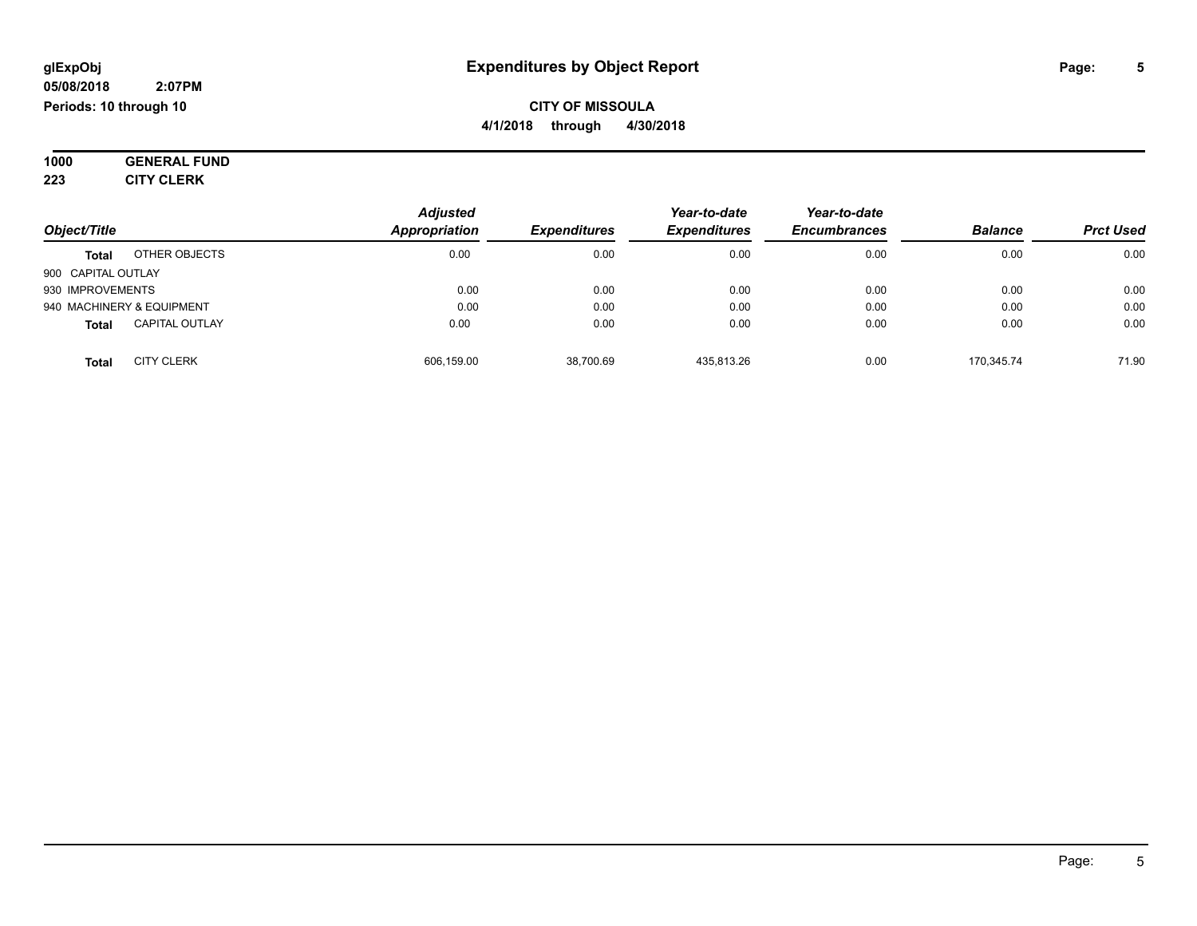#### **05/08/2018 2:07PM Periods: 10 through 10**

### **CITY OF MISSOULA 4/1/2018 through 4/30/2018**

**1000 GENERAL FUND 223 CITY CLERK**

|                           |                       | <b>Adjusted</b> |                     | Year-to-date        | Year-to-date        |                |                  |
|---------------------------|-----------------------|-----------------|---------------------|---------------------|---------------------|----------------|------------------|
| Object/Title              |                       | Appropriation   | <b>Expenditures</b> | <b>Expenditures</b> | <b>Encumbrances</b> | <b>Balance</b> | <b>Prct Used</b> |
| <b>Total</b>              | OTHER OBJECTS         | 0.00            | 0.00                | 0.00                | 0.00                | 0.00           | 0.00             |
| 900 CAPITAL OUTLAY        |                       |                 |                     |                     |                     |                |                  |
| 930 IMPROVEMENTS          |                       | 0.00            | 0.00                | 0.00                | 0.00                | 0.00           | 0.00             |
| 940 MACHINERY & EQUIPMENT |                       | 0.00            | 0.00                | 0.00                | 0.00                | 0.00           | 0.00             |
| <b>Total</b>              | <b>CAPITAL OUTLAY</b> | 0.00            | 0.00                | 0.00                | 0.00                | 0.00           | 0.00             |
| <b>Total</b>              | <b>CITY CLERK</b>     | 606,159.00      | 38,700.69           | 435,813.26          | 0.00                | 170.345.74     | 71.90            |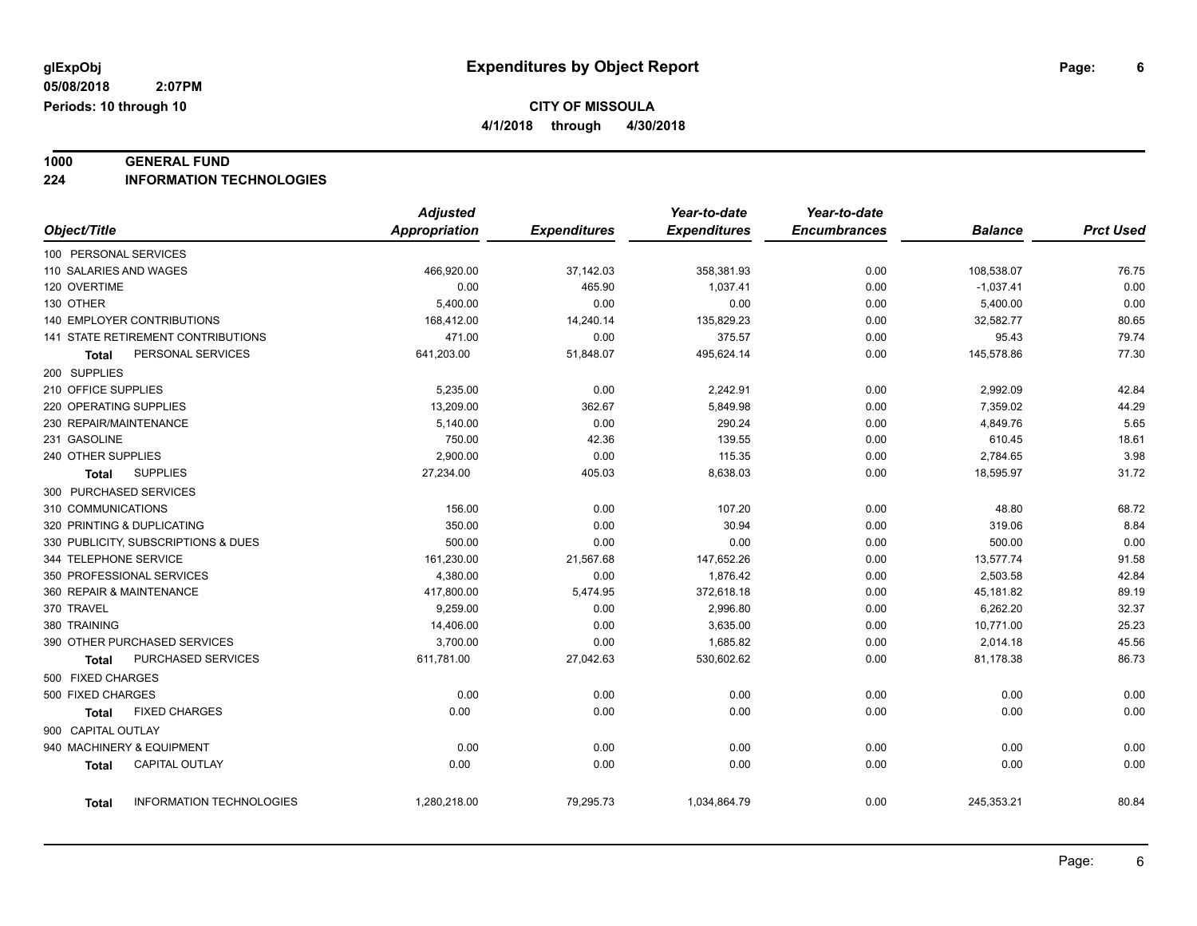#### **1000 GENERAL FUND 224 INFORMATION TECHNOLOGIES**

|                                          | <b>Adjusted</b>      |                     | Year-to-date        | Year-to-date        |                |                  |
|------------------------------------------|----------------------|---------------------|---------------------|---------------------|----------------|------------------|
| Object/Title                             | <b>Appropriation</b> | <b>Expenditures</b> | <b>Expenditures</b> | <b>Encumbrances</b> | <b>Balance</b> | <b>Prct Used</b> |
| 100 PERSONAL SERVICES                    |                      |                     |                     |                     |                |                  |
| 110 SALARIES AND WAGES                   | 466,920.00           | 37,142.03           | 358,381.93          | 0.00                | 108,538.07     | 76.75            |
| 120 OVERTIME                             | 0.00                 | 465.90              | 1,037.41            | 0.00                | $-1,037.41$    | 0.00             |
| 130 OTHER                                | 5,400.00             | 0.00                | 0.00                | 0.00                | 5,400.00       | 0.00             |
| 140 EMPLOYER CONTRIBUTIONS               | 168,412.00           | 14,240.14           | 135,829.23          | 0.00                | 32,582.77      | 80.65            |
| 141 STATE RETIREMENT CONTRIBUTIONS       | 471.00               | 0.00                | 375.57              | 0.00                | 95.43          | 79.74            |
| PERSONAL SERVICES<br><b>Total</b>        | 641,203.00           | 51,848.07           | 495,624.14          | 0.00                | 145,578.86     | 77.30            |
| 200 SUPPLIES                             |                      |                     |                     |                     |                |                  |
| 210 OFFICE SUPPLIES                      | 5,235.00             | 0.00                | 2,242.91            | 0.00                | 2,992.09       | 42.84            |
| 220 OPERATING SUPPLIES                   | 13,209.00            | 362.67              | 5,849.98            | 0.00                | 7,359.02       | 44.29            |
| 230 REPAIR/MAINTENANCE                   | 5,140.00             | 0.00                | 290.24              | 0.00                | 4,849.76       | 5.65             |
| 231 GASOLINE                             | 750.00               | 42.36               | 139.55              | 0.00                | 610.45         | 18.61            |
| 240 OTHER SUPPLIES                       | 2,900.00             | 0.00                | 115.35              | 0.00                | 2,784.65       | 3.98             |
| <b>SUPPLIES</b><br><b>Total</b>          | 27,234.00            | 405.03              | 8,638.03            | 0.00                | 18,595.97      | 31.72            |
| 300 PURCHASED SERVICES                   |                      |                     |                     |                     |                |                  |
| 310 COMMUNICATIONS                       | 156.00               | 0.00                | 107.20              | 0.00                | 48.80          | 68.72            |
| 320 PRINTING & DUPLICATING               | 350.00               | 0.00                | 30.94               | 0.00                | 319.06         | 8.84             |
| 330 PUBLICITY, SUBSCRIPTIONS & DUES      | 500.00               | 0.00                | 0.00                | 0.00                | 500.00         | 0.00             |
| 344 TELEPHONE SERVICE                    | 161,230.00           | 21,567.68           | 147,652.26          | 0.00                | 13,577.74      | 91.58            |
| 350 PROFESSIONAL SERVICES                | 4,380.00             | 0.00                | 1,876.42            | 0.00                | 2,503.58       | 42.84            |
| 360 REPAIR & MAINTENANCE                 | 417,800.00           | 5,474.95            | 372,618.18          | 0.00                | 45,181.82      | 89.19            |
| 370 TRAVEL                               | 9,259.00             | 0.00                | 2,996.80            | 0.00                | 6,262.20       | 32.37            |
| 380 TRAINING                             | 14,406.00            | 0.00                | 3,635.00            | 0.00                | 10,771.00      | 25.23            |
| 390 OTHER PURCHASED SERVICES             | 3,700.00             | 0.00                | 1,685.82            | 0.00                | 2,014.18       | 45.56            |
| PURCHASED SERVICES<br>Total              | 611,781.00           | 27,042.63           | 530,602.62          | 0.00                | 81,178.38      | 86.73            |
| 500 FIXED CHARGES                        |                      |                     |                     |                     |                |                  |
| 500 FIXED CHARGES                        | 0.00                 | 0.00                | 0.00                | 0.00                | 0.00           | 0.00             |
| <b>FIXED CHARGES</b><br>Total            | 0.00                 | 0.00                | 0.00                | 0.00                | 0.00           | 0.00             |
| 900 CAPITAL OUTLAY                       |                      |                     |                     |                     |                |                  |
| 940 MACHINERY & EQUIPMENT                | 0.00                 | 0.00                | 0.00                | 0.00                | 0.00           | 0.00             |
| CAPITAL OUTLAY<br><b>Total</b>           | 0.00                 | 0.00                | 0.00                | 0.00                | 0.00           | 0.00             |
|                                          |                      |                     |                     |                     |                |                  |
| <b>INFORMATION TECHNOLOGIES</b><br>Total | 1,280,218.00         | 79,295.73           | 1,034,864.79        | 0.00                | 245,353.21     | 80.84            |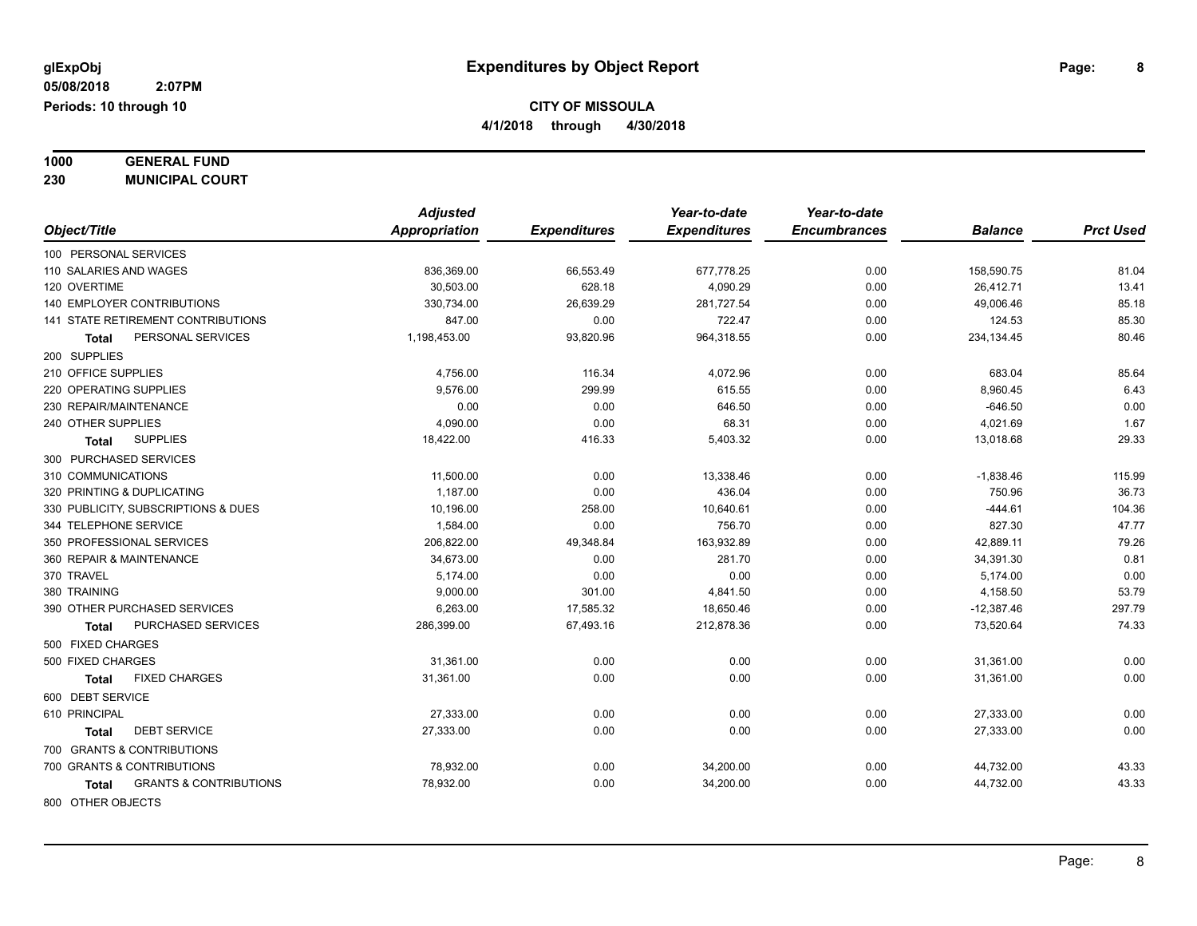**1000 GENERAL FUND**

**230 MUNICIPAL COURT**

| Appropriation<br>Object/Title<br><b>Expenditures</b><br><b>Expenditures</b><br><b>Encumbrances</b><br><b>Balance</b><br>100 PERSONAL SERVICES<br>110 SALARIES AND WAGES<br>836,369.00<br>66,553.49<br>677,778.25<br>0.00<br>158,590.75<br>120 OVERTIME<br>30,503.00<br>628.18<br>26,412.71<br>4,090.29<br>0.00<br><b>140 EMPLOYER CONTRIBUTIONS</b><br>330,734.00<br>26,639.29<br>281,727.54<br>0.00<br>49,006.46<br>141 STATE RETIREMENT CONTRIBUTIONS<br>847.00<br>124.53<br>0.00<br>722.47<br>0.00<br>PERSONAL SERVICES<br>93,820.96<br>964,318.55<br>1,198,453.00<br>0.00<br>234,134.45<br>Total<br>200 SUPPLIES<br>210 OFFICE SUPPLIES<br>116.34<br>4,072.96<br>0.00<br>683.04<br>4,756.00<br>220 OPERATING SUPPLIES<br>9,576.00<br>299.99<br>615.55<br>0.00<br>8,960.45<br>$-646.50$<br>230 REPAIR/MAINTENANCE<br>0.00<br>0.00<br>646.50<br>0.00<br>0.00<br>240 OTHER SUPPLIES<br>4,090.00<br>68.31<br>0.00<br>4,021.69<br><b>SUPPLIES</b><br>18,422.00<br>416.33<br>5,403.32<br>0.00<br>13,018.68<br>Total<br>300 PURCHASED SERVICES<br>310 COMMUNICATIONS<br>11,500.00<br>0.00<br>13,338.46<br>0.00<br>$-1,838.46$<br>1,187.00<br>0.00<br>750.96<br>320 PRINTING & DUPLICATING<br>436.04<br>0.00<br>330 PUBLICITY, SUBSCRIPTIONS & DUES<br>10.196.00<br>258.00<br>10,640.61<br>0.00<br>$-444.61$<br>827.30<br>344 TELEPHONE SERVICE<br>1,584.00<br>0.00<br>756.70<br>0.00<br>350 PROFESSIONAL SERVICES<br>206,822.00<br>49,348.84<br>163,932.89<br>0.00<br>42,889.11<br>360 REPAIR & MAINTENANCE<br>34,673.00<br>0.00<br>281.70<br>34,391.30<br>0.00<br>370 TRAVEL<br>0.00<br>0.00<br>5,174.00<br>0.00<br>5,174.00<br>380 TRAINING<br>9,000.00<br>301.00<br>4,841.50<br>0.00<br>4,158.50<br>390 OTHER PURCHASED SERVICES<br>6,263.00<br>17,585.32<br>18,650.46<br>$-12,387.46$<br>0.00<br>PURCHASED SERVICES<br>212,878.36<br>286,399.00<br>67,493.16<br>0.00<br>73,520.64<br>Total<br>500 FIXED CHARGES<br>0.00<br>0.00<br>31,361.00<br>500 FIXED CHARGES<br>31,361.00<br>0.00<br><b>FIXED CHARGES</b><br>31,361.00<br>0.00<br>0.00<br>0.00<br>31,361.00<br><b>Total</b><br>600 DEBT SERVICE<br>610 PRINCIPAL<br>27,333.00<br>0.00<br>0.00<br>0.00<br>27,333.00<br><b>DEBT SERVICE</b><br>27,333.00<br>0.00<br>0.00<br>0.00<br>27,333.00<br>Total<br>700 GRANTS & CONTRIBUTIONS |                            | <b>Adjusted</b> |      | Year-to-date | Year-to-date |           |                  |
|------------------------------------------------------------------------------------------------------------------------------------------------------------------------------------------------------------------------------------------------------------------------------------------------------------------------------------------------------------------------------------------------------------------------------------------------------------------------------------------------------------------------------------------------------------------------------------------------------------------------------------------------------------------------------------------------------------------------------------------------------------------------------------------------------------------------------------------------------------------------------------------------------------------------------------------------------------------------------------------------------------------------------------------------------------------------------------------------------------------------------------------------------------------------------------------------------------------------------------------------------------------------------------------------------------------------------------------------------------------------------------------------------------------------------------------------------------------------------------------------------------------------------------------------------------------------------------------------------------------------------------------------------------------------------------------------------------------------------------------------------------------------------------------------------------------------------------------------------------------------------------------------------------------------------------------------------------------------------------------------------------------------------------------------------------------------------------------------------------------------------------------------------------------------------------------------------------------------------------------------------------------------------------------|----------------------------|-----------------|------|--------------|--------------|-----------|------------------|
|                                                                                                                                                                                                                                                                                                                                                                                                                                                                                                                                                                                                                                                                                                                                                                                                                                                                                                                                                                                                                                                                                                                                                                                                                                                                                                                                                                                                                                                                                                                                                                                                                                                                                                                                                                                                                                                                                                                                                                                                                                                                                                                                                                                                                                                                                          |                            |                 |      |              |              |           | <b>Prct Used</b> |
|                                                                                                                                                                                                                                                                                                                                                                                                                                                                                                                                                                                                                                                                                                                                                                                                                                                                                                                                                                                                                                                                                                                                                                                                                                                                                                                                                                                                                                                                                                                                                                                                                                                                                                                                                                                                                                                                                                                                                                                                                                                                                                                                                                                                                                                                                          |                            |                 |      |              |              |           |                  |
|                                                                                                                                                                                                                                                                                                                                                                                                                                                                                                                                                                                                                                                                                                                                                                                                                                                                                                                                                                                                                                                                                                                                                                                                                                                                                                                                                                                                                                                                                                                                                                                                                                                                                                                                                                                                                                                                                                                                                                                                                                                                                                                                                                                                                                                                                          |                            |                 |      |              |              |           | 81.04            |
|                                                                                                                                                                                                                                                                                                                                                                                                                                                                                                                                                                                                                                                                                                                                                                                                                                                                                                                                                                                                                                                                                                                                                                                                                                                                                                                                                                                                                                                                                                                                                                                                                                                                                                                                                                                                                                                                                                                                                                                                                                                                                                                                                                                                                                                                                          |                            |                 |      |              |              |           | 13.41            |
|                                                                                                                                                                                                                                                                                                                                                                                                                                                                                                                                                                                                                                                                                                                                                                                                                                                                                                                                                                                                                                                                                                                                                                                                                                                                                                                                                                                                                                                                                                                                                                                                                                                                                                                                                                                                                                                                                                                                                                                                                                                                                                                                                                                                                                                                                          |                            |                 |      |              |              |           | 85.18            |
|                                                                                                                                                                                                                                                                                                                                                                                                                                                                                                                                                                                                                                                                                                                                                                                                                                                                                                                                                                                                                                                                                                                                                                                                                                                                                                                                                                                                                                                                                                                                                                                                                                                                                                                                                                                                                                                                                                                                                                                                                                                                                                                                                                                                                                                                                          |                            |                 |      |              |              |           | 85.30            |
|                                                                                                                                                                                                                                                                                                                                                                                                                                                                                                                                                                                                                                                                                                                                                                                                                                                                                                                                                                                                                                                                                                                                                                                                                                                                                                                                                                                                                                                                                                                                                                                                                                                                                                                                                                                                                                                                                                                                                                                                                                                                                                                                                                                                                                                                                          |                            |                 |      |              |              |           | 80.46            |
|                                                                                                                                                                                                                                                                                                                                                                                                                                                                                                                                                                                                                                                                                                                                                                                                                                                                                                                                                                                                                                                                                                                                                                                                                                                                                                                                                                                                                                                                                                                                                                                                                                                                                                                                                                                                                                                                                                                                                                                                                                                                                                                                                                                                                                                                                          |                            |                 |      |              |              |           |                  |
|                                                                                                                                                                                                                                                                                                                                                                                                                                                                                                                                                                                                                                                                                                                                                                                                                                                                                                                                                                                                                                                                                                                                                                                                                                                                                                                                                                                                                                                                                                                                                                                                                                                                                                                                                                                                                                                                                                                                                                                                                                                                                                                                                                                                                                                                                          |                            |                 |      |              |              |           | 85.64            |
|                                                                                                                                                                                                                                                                                                                                                                                                                                                                                                                                                                                                                                                                                                                                                                                                                                                                                                                                                                                                                                                                                                                                                                                                                                                                                                                                                                                                                                                                                                                                                                                                                                                                                                                                                                                                                                                                                                                                                                                                                                                                                                                                                                                                                                                                                          |                            |                 |      |              |              |           | 6.43             |
|                                                                                                                                                                                                                                                                                                                                                                                                                                                                                                                                                                                                                                                                                                                                                                                                                                                                                                                                                                                                                                                                                                                                                                                                                                                                                                                                                                                                                                                                                                                                                                                                                                                                                                                                                                                                                                                                                                                                                                                                                                                                                                                                                                                                                                                                                          |                            |                 |      |              |              |           | 0.00             |
|                                                                                                                                                                                                                                                                                                                                                                                                                                                                                                                                                                                                                                                                                                                                                                                                                                                                                                                                                                                                                                                                                                                                                                                                                                                                                                                                                                                                                                                                                                                                                                                                                                                                                                                                                                                                                                                                                                                                                                                                                                                                                                                                                                                                                                                                                          |                            |                 |      |              |              |           | 1.67             |
|                                                                                                                                                                                                                                                                                                                                                                                                                                                                                                                                                                                                                                                                                                                                                                                                                                                                                                                                                                                                                                                                                                                                                                                                                                                                                                                                                                                                                                                                                                                                                                                                                                                                                                                                                                                                                                                                                                                                                                                                                                                                                                                                                                                                                                                                                          |                            |                 |      |              |              |           | 29.33            |
|                                                                                                                                                                                                                                                                                                                                                                                                                                                                                                                                                                                                                                                                                                                                                                                                                                                                                                                                                                                                                                                                                                                                                                                                                                                                                                                                                                                                                                                                                                                                                                                                                                                                                                                                                                                                                                                                                                                                                                                                                                                                                                                                                                                                                                                                                          |                            |                 |      |              |              |           |                  |
|                                                                                                                                                                                                                                                                                                                                                                                                                                                                                                                                                                                                                                                                                                                                                                                                                                                                                                                                                                                                                                                                                                                                                                                                                                                                                                                                                                                                                                                                                                                                                                                                                                                                                                                                                                                                                                                                                                                                                                                                                                                                                                                                                                                                                                                                                          |                            |                 |      |              |              |           | 115.99           |
|                                                                                                                                                                                                                                                                                                                                                                                                                                                                                                                                                                                                                                                                                                                                                                                                                                                                                                                                                                                                                                                                                                                                                                                                                                                                                                                                                                                                                                                                                                                                                                                                                                                                                                                                                                                                                                                                                                                                                                                                                                                                                                                                                                                                                                                                                          |                            |                 |      |              |              |           | 36.73            |
|                                                                                                                                                                                                                                                                                                                                                                                                                                                                                                                                                                                                                                                                                                                                                                                                                                                                                                                                                                                                                                                                                                                                                                                                                                                                                                                                                                                                                                                                                                                                                                                                                                                                                                                                                                                                                                                                                                                                                                                                                                                                                                                                                                                                                                                                                          |                            |                 |      |              |              |           | 104.36           |
|                                                                                                                                                                                                                                                                                                                                                                                                                                                                                                                                                                                                                                                                                                                                                                                                                                                                                                                                                                                                                                                                                                                                                                                                                                                                                                                                                                                                                                                                                                                                                                                                                                                                                                                                                                                                                                                                                                                                                                                                                                                                                                                                                                                                                                                                                          |                            |                 |      |              |              |           | 47.77            |
|                                                                                                                                                                                                                                                                                                                                                                                                                                                                                                                                                                                                                                                                                                                                                                                                                                                                                                                                                                                                                                                                                                                                                                                                                                                                                                                                                                                                                                                                                                                                                                                                                                                                                                                                                                                                                                                                                                                                                                                                                                                                                                                                                                                                                                                                                          |                            |                 |      |              |              |           | 79.26            |
|                                                                                                                                                                                                                                                                                                                                                                                                                                                                                                                                                                                                                                                                                                                                                                                                                                                                                                                                                                                                                                                                                                                                                                                                                                                                                                                                                                                                                                                                                                                                                                                                                                                                                                                                                                                                                                                                                                                                                                                                                                                                                                                                                                                                                                                                                          |                            |                 |      |              |              |           | 0.81             |
|                                                                                                                                                                                                                                                                                                                                                                                                                                                                                                                                                                                                                                                                                                                                                                                                                                                                                                                                                                                                                                                                                                                                                                                                                                                                                                                                                                                                                                                                                                                                                                                                                                                                                                                                                                                                                                                                                                                                                                                                                                                                                                                                                                                                                                                                                          |                            |                 |      |              |              |           | 0.00             |
|                                                                                                                                                                                                                                                                                                                                                                                                                                                                                                                                                                                                                                                                                                                                                                                                                                                                                                                                                                                                                                                                                                                                                                                                                                                                                                                                                                                                                                                                                                                                                                                                                                                                                                                                                                                                                                                                                                                                                                                                                                                                                                                                                                                                                                                                                          |                            |                 |      |              |              |           | 53.79            |
|                                                                                                                                                                                                                                                                                                                                                                                                                                                                                                                                                                                                                                                                                                                                                                                                                                                                                                                                                                                                                                                                                                                                                                                                                                                                                                                                                                                                                                                                                                                                                                                                                                                                                                                                                                                                                                                                                                                                                                                                                                                                                                                                                                                                                                                                                          |                            |                 |      |              |              |           | 297.79           |
|                                                                                                                                                                                                                                                                                                                                                                                                                                                                                                                                                                                                                                                                                                                                                                                                                                                                                                                                                                                                                                                                                                                                                                                                                                                                                                                                                                                                                                                                                                                                                                                                                                                                                                                                                                                                                                                                                                                                                                                                                                                                                                                                                                                                                                                                                          |                            |                 |      |              |              |           | 74.33            |
|                                                                                                                                                                                                                                                                                                                                                                                                                                                                                                                                                                                                                                                                                                                                                                                                                                                                                                                                                                                                                                                                                                                                                                                                                                                                                                                                                                                                                                                                                                                                                                                                                                                                                                                                                                                                                                                                                                                                                                                                                                                                                                                                                                                                                                                                                          |                            |                 |      |              |              |           |                  |
|                                                                                                                                                                                                                                                                                                                                                                                                                                                                                                                                                                                                                                                                                                                                                                                                                                                                                                                                                                                                                                                                                                                                                                                                                                                                                                                                                                                                                                                                                                                                                                                                                                                                                                                                                                                                                                                                                                                                                                                                                                                                                                                                                                                                                                                                                          |                            |                 |      |              |              |           | 0.00             |
|                                                                                                                                                                                                                                                                                                                                                                                                                                                                                                                                                                                                                                                                                                                                                                                                                                                                                                                                                                                                                                                                                                                                                                                                                                                                                                                                                                                                                                                                                                                                                                                                                                                                                                                                                                                                                                                                                                                                                                                                                                                                                                                                                                                                                                                                                          |                            |                 |      |              |              |           | 0.00             |
|                                                                                                                                                                                                                                                                                                                                                                                                                                                                                                                                                                                                                                                                                                                                                                                                                                                                                                                                                                                                                                                                                                                                                                                                                                                                                                                                                                                                                                                                                                                                                                                                                                                                                                                                                                                                                                                                                                                                                                                                                                                                                                                                                                                                                                                                                          |                            |                 |      |              |              |           |                  |
|                                                                                                                                                                                                                                                                                                                                                                                                                                                                                                                                                                                                                                                                                                                                                                                                                                                                                                                                                                                                                                                                                                                                                                                                                                                                                                                                                                                                                                                                                                                                                                                                                                                                                                                                                                                                                                                                                                                                                                                                                                                                                                                                                                                                                                                                                          |                            |                 |      |              |              |           | 0.00             |
|                                                                                                                                                                                                                                                                                                                                                                                                                                                                                                                                                                                                                                                                                                                                                                                                                                                                                                                                                                                                                                                                                                                                                                                                                                                                                                                                                                                                                                                                                                                                                                                                                                                                                                                                                                                                                                                                                                                                                                                                                                                                                                                                                                                                                                                                                          |                            |                 |      |              |              |           | 0.00             |
|                                                                                                                                                                                                                                                                                                                                                                                                                                                                                                                                                                                                                                                                                                                                                                                                                                                                                                                                                                                                                                                                                                                                                                                                                                                                                                                                                                                                                                                                                                                                                                                                                                                                                                                                                                                                                                                                                                                                                                                                                                                                                                                                                                                                                                                                                          |                            |                 |      |              |              |           |                  |
|                                                                                                                                                                                                                                                                                                                                                                                                                                                                                                                                                                                                                                                                                                                                                                                                                                                                                                                                                                                                                                                                                                                                                                                                                                                                                                                                                                                                                                                                                                                                                                                                                                                                                                                                                                                                                                                                                                                                                                                                                                                                                                                                                                                                                                                                                          | 700 GRANTS & CONTRIBUTIONS | 78,932.00       | 0.00 | 34,200.00    | 0.00         | 44,732.00 | 43.33            |
| <b>GRANTS &amp; CONTRIBUTIONS</b><br>78,932.00<br>0.00<br>34,200.00<br>0.00<br>44,732.00<br>Total                                                                                                                                                                                                                                                                                                                                                                                                                                                                                                                                                                                                                                                                                                                                                                                                                                                                                                                                                                                                                                                                                                                                                                                                                                                                                                                                                                                                                                                                                                                                                                                                                                                                                                                                                                                                                                                                                                                                                                                                                                                                                                                                                                                        |                            |                 |      |              |              |           | 43.33            |
| 800 OTHER OBJECTS                                                                                                                                                                                                                                                                                                                                                                                                                                                                                                                                                                                                                                                                                                                                                                                                                                                                                                                                                                                                                                                                                                                                                                                                                                                                                                                                                                                                                                                                                                                                                                                                                                                                                                                                                                                                                                                                                                                                                                                                                                                                                                                                                                                                                                                                        |                            |                 |      |              |              |           |                  |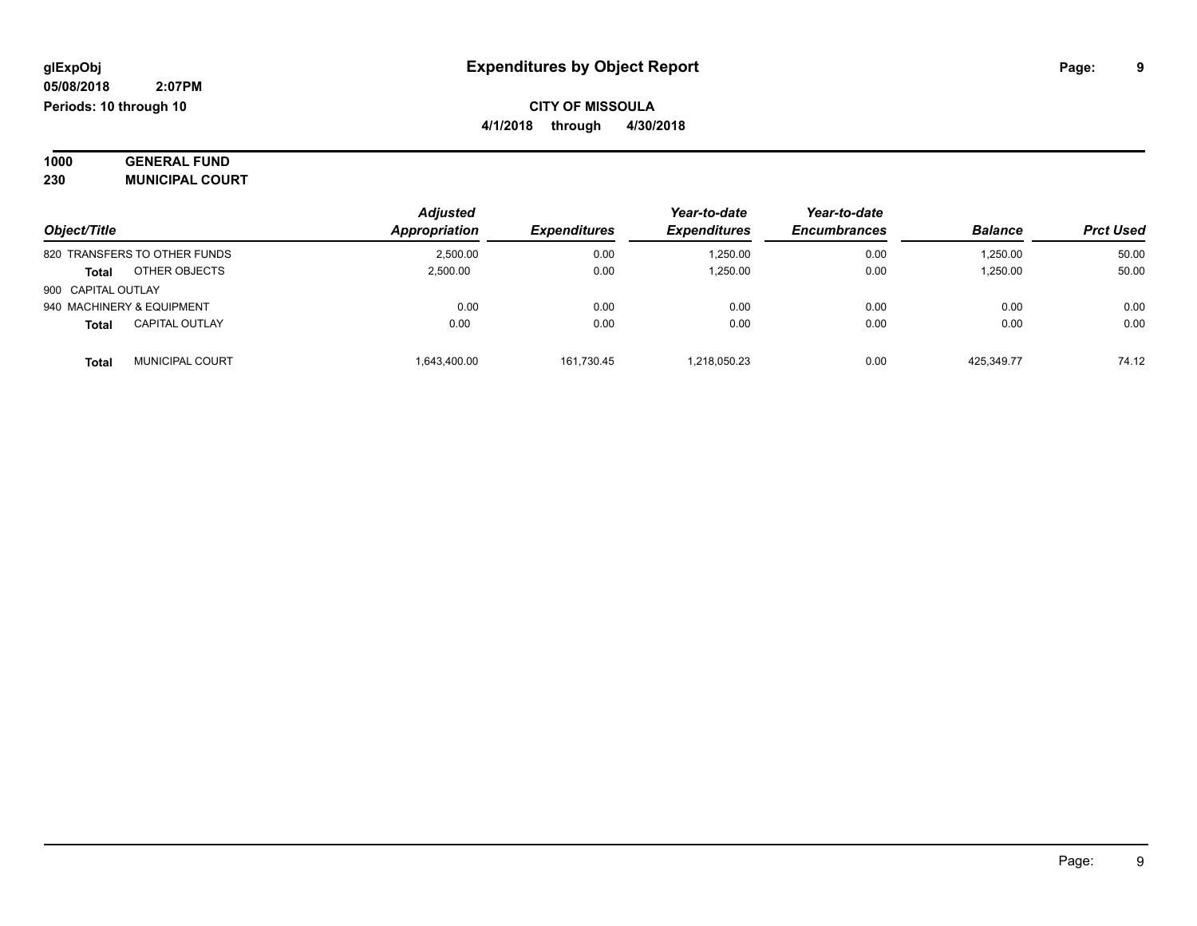| 1000 | <b>GENERAL FUND</b>    |  |
|------|------------------------|--|
| 230  | <b>MUNICIPAL COURT</b> |  |

|                    |                              | <b>Adjusted</b> |                            | Year-to-date        | Year-to-date        |                |                  |
|--------------------|------------------------------|-----------------|----------------------------|---------------------|---------------------|----------------|------------------|
| Object/Title       |                              | Appropriation   | <i><b>Expenditures</b></i> | <b>Expenditures</b> | <b>Encumbrances</b> | <b>Balance</b> | <b>Prct Used</b> |
|                    | 820 TRANSFERS TO OTHER FUNDS | 2.500.00        | 0.00                       | 1.250.00            | 0.00                | 1,250.00       | 50.00            |
| <b>Total</b>       | OTHER OBJECTS                | 2.500.00        | 0.00                       | 1.250.00            | 0.00                | 1.250.00       | 50.00            |
| 900 CAPITAL OUTLAY |                              |                 |                            |                     |                     |                |                  |
|                    | 940 MACHINERY & EQUIPMENT    | 0.00            | 0.00                       | 0.00                | 0.00                | 0.00           | 0.00             |
| <b>Total</b>       | <b>CAPITAL OUTLAY</b>        | 0.00            | 0.00                       | 0.00                | 0.00                | 0.00           | 0.00             |
| Total              | <b>MUNICIPAL COURT</b>       | 1.643.400.00    | 161.730.45                 | 1.218.050.23        | 0.00                | 425.349.77     | 74.12            |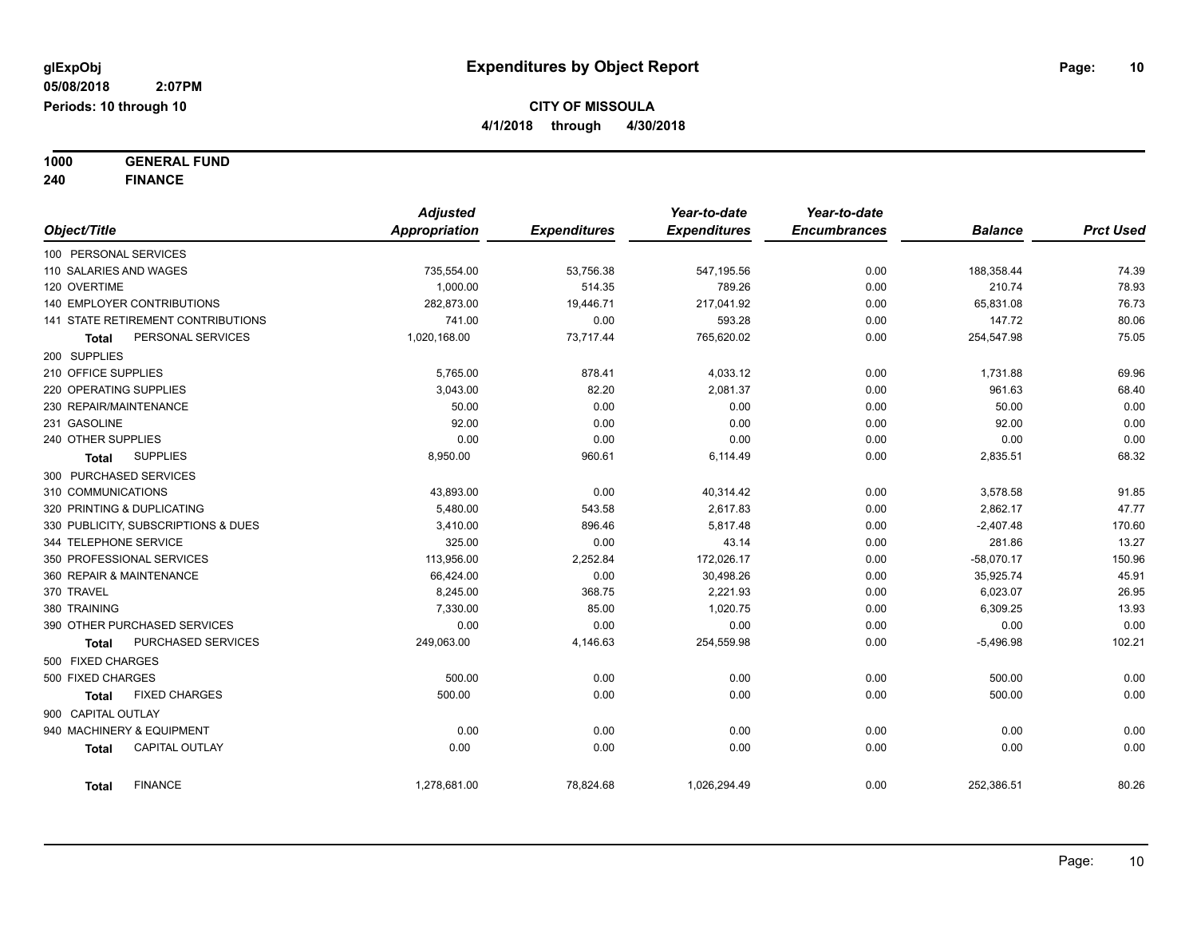**1000 GENERAL FUND 240 FINANCE**

*Object/Title Adjusted Appropriation Expenditures Year-to-date Expenditures Year-to-date Encumbrances Balance Prct Used* 100 PERSONAL SERVICES 110 SALARIES AND WAGES 735,554.00 53,756.38 547,195.56 0.00 188,358.44 74.39 120 OVERTIME 1,000.00 514.35 789.26 0.00 210.74 78.93 140 EMPLOYER CONTRIBUTIONS 199 282,873.00 282,873.00 217,041.92 217,041.92 0.00 65,831.08 217,041.92 141 STATE RETIREMENT CONTRIBUTIONS 741.00 0.00 593.28 0.00 147.72 80.06 **Total** PERSONAL SERVICES 1,020,168.00 73,717.44 765,620.02 0.00 254,547.98 75.05 200 SUPPLIES 210 OFFICE SUPPLIES 5,765.00 878.41 4,033.12 0.00 1,731.88 69.96 220 OPERATING SUPPLIES CONTROLLER CONTROLLER STATES AND STATES AND STATES AND STATES AND SCHOOL SECTION OF SALA 230 REPAIR/MAINTENANCE 50.00 0.00 0.00 0.00 50.00 0.00 231 GASOLINE 92.00 0.00 0.00 0.00 92.00 0.00 240 OTHER SUPPLIES 0.00 0.00 0.00 0.00 0.00 0.00 **Total** SUPPLIES 8,950.00 960.61 6,114.49 0.00 2,835.51 68.32 300 PURCHASED SERVICES 310 COMMUNICATIONS 43,893.00 0.00 40,314.42 0.00 3,578.58 91.85 320 PRINTING & DUPLICATING 5,480.00 543.58 2,617.83 0.00 2,862.17 47.77 330 PUBLICITY, SUBSCRIPTIONS & DUES 3,410.00 896.46 5,817.48 0.00 -2,407.48 170.60 344 TELEPHONE SERVICE 325.00 0.00 43.14 0.00 281.86 13.27 350 PROFESSIONAL SERVICES 113,950.00 113,956.00 2,252.84 172,026.17 172,026.17 0.00 -58,070.17 150.96 360 REPAIR & MAINTENANCE 66,424.00 0.00 30,498.26 0.00 35,925.74 45.91 370 TRAVEL 8,245.00 368.75 2,221.93 0.00 6,023.07 26.95 380 TRAINING 7,330.00 85.00 1,020.75 0.00 6,309.25 13.93 390 OTHER PURCHASED SERVICES 0.00 0.00 0.00 0.00 0.00 0.00 **Total** PURCHASED SERVICES 249,063.00 4,146.63 254,559.98 0.00 -5,496.98 102.21 500 FIXED CHARGES 500 FIXED CHARGES 500.00 0.00 0.00 0.00 500.00 0.00 **Total** FIXED CHARGES 500.00 0.00 0.00 0.00 500.00 0.00 900 CAPITAL OUTLAY 940 MACHINERY & EQUIPMENT 0.00 0.00 0.00 0.00 0.00 0.00 **Total** CAPITAL OUTLAY 0.00 0.00 0.00 0.00 0.00 0.00 **Total** FINANCE 1,278,681.00 78,824.68 1,026,294.49 0.00 252,386.51 80.26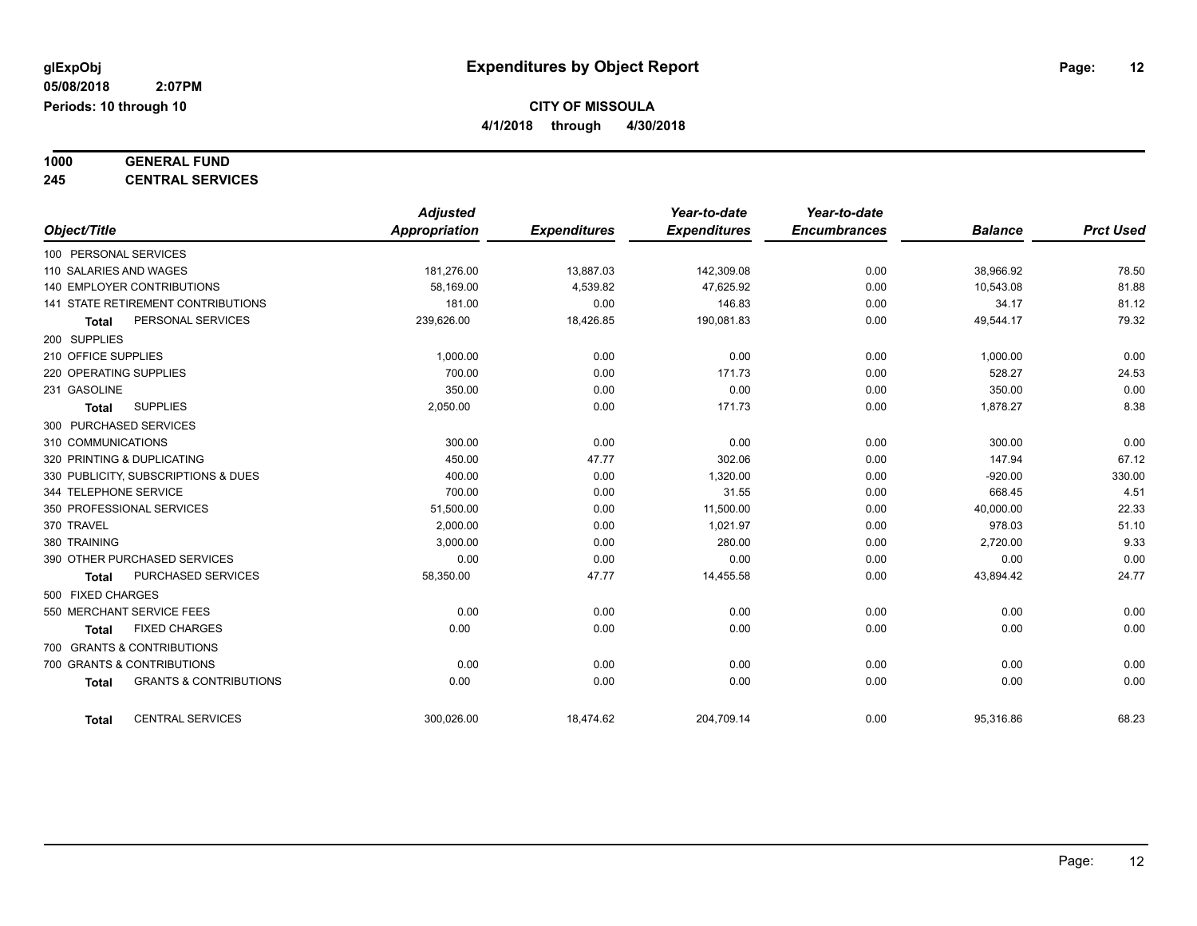# **1000 GENERAL FUND**

**245 CENTRAL SERVICES**

|                                                   | <b>Adjusted</b> |                     | Year-to-date        | Year-to-date        |                |                  |
|---------------------------------------------------|-----------------|---------------------|---------------------|---------------------|----------------|------------------|
| Object/Title                                      | Appropriation   | <b>Expenditures</b> | <b>Expenditures</b> | <b>Encumbrances</b> | <b>Balance</b> | <b>Prct Used</b> |
| 100 PERSONAL SERVICES                             |                 |                     |                     |                     |                |                  |
| 110 SALARIES AND WAGES                            | 181,276.00      | 13,887.03           | 142,309.08          | 0.00                | 38,966.92      | 78.50            |
| <b>140 EMPLOYER CONTRIBUTIONS</b>                 | 58,169.00       | 4,539.82            | 47,625.92           | 0.00                | 10,543.08      | 81.88            |
| <b>141 STATE RETIREMENT CONTRIBUTIONS</b>         | 181.00          | 0.00                | 146.83              | 0.00                | 34.17          | 81.12            |
| PERSONAL SERVICES<br><b>Total</b>                 | 239,626.00      | 18,426.85           | 190,081.83          | 0.00                | 49,544.17      | 79.32            |
| 200 SUPPLIES                                      |                 |                     |                     |                     |                |                  |
| 210 OFFICE SUPPLIES                               | 1,000.00        | 0.00                | 0.00                | 0.00                | 1,000.00       | 0.00             |
| 220 OPERATING SUPPLIES                            | 700.00          | 0.00                | 171.73              | 0.00                | 528.27         | 24.53            |
| 231 GASOLINE                                      | 350.00          | 0.00                | 0.00                | 0.00                | 350.00         | 0.00             |
| <b>SUPPLIES</b><br><b>Total</b>                   | 2,050.00        | 0.00                | 171.73              | 0.00                | 1,878.27       | 8.38             |
| 300 PURCHASED SERVICES                            |                 |                     |                     |                     |                |                  |
| 310 COMMUNICATIONS                                | 300.00          | 0.00                | 0.00                | 0.00                | 300.00         | 0.00             |
| 320 PRINTING & DUPLICATING                        | 450.00          | 47.77               | 302.06              | 0.00                | 147.94         | 67.12            |
| 330 PUBLICITY, SUBSCRIPTIONS & DUES               | 400.00          | 0.00                | 1,320.00            | 0.00                | $-920.00$      | 330.00           |
| 344 TELEPHONE SERVICE                             | 700.00          | 0.00                | 31.55               | 0.00                | 668.45         | 4.51             |
| 350 PROFESSIONAL SERVICES                         | 51,500.00       | 0.00                | 11,500.00           | 0.00                | 40,000.00      | 22.33            |
| 370 TRAVEL                                        | 2,000.00        | 0.00                | 1,021.97            | 0.00                | 978.03         | 51.10            |
| 380 TRAINING                                      | 3,000.00        | 0.00                | 280.00              | 0.00                | 2,720.00       | 9.33             |
| 390 OTHER PURCHASED SERVICES                      | 0.00            | 0.00                | 0.00                | 0.00                | 0.00           | 0.00             |
| PURCHASED SERVICES<br><b>Total</b>                | 58,350.00       | 47.77               | 14,455.58           | 0.00                | 43,894.42      | 24.77            |
| 500 FIXED CHARGES                                 |                 |                     |                     |                     |                |                  |
| 550 MERCHANT SERVICE FEES                         | 0.00            | 0.00                | 0.00                | 0.00                | 0.00           | 0.00             |
| <b>FIXED CHARGES</b><br><b>Total</b>              | 0.00            | 0.00                | 0.00                | 0.00                | 0.00           | 0.00             |
| 700 GRANTS & CONTRIBUTIONS                        |                 |                     |                     |                     |                |                  |
| 700 GRANTS & CONTRIBUTIONS                        | 0.00            | 0.00                | 0.00                | 0.00                | 0.00           | 0.00             |
| <b>GRANTS &amp; CONTRIBUTIONS</b><br><b>Total</b> | 0.00            | 0.00                | 0.00                | 0.00                | 0.00           | 0.00             |
| <b>CENTRAL SERVICES</b><br><b>Total</b>           | 300.026.00      | 18,474.62           | 204,709.14          | 0.00                | 95,316.86      | 68.23            |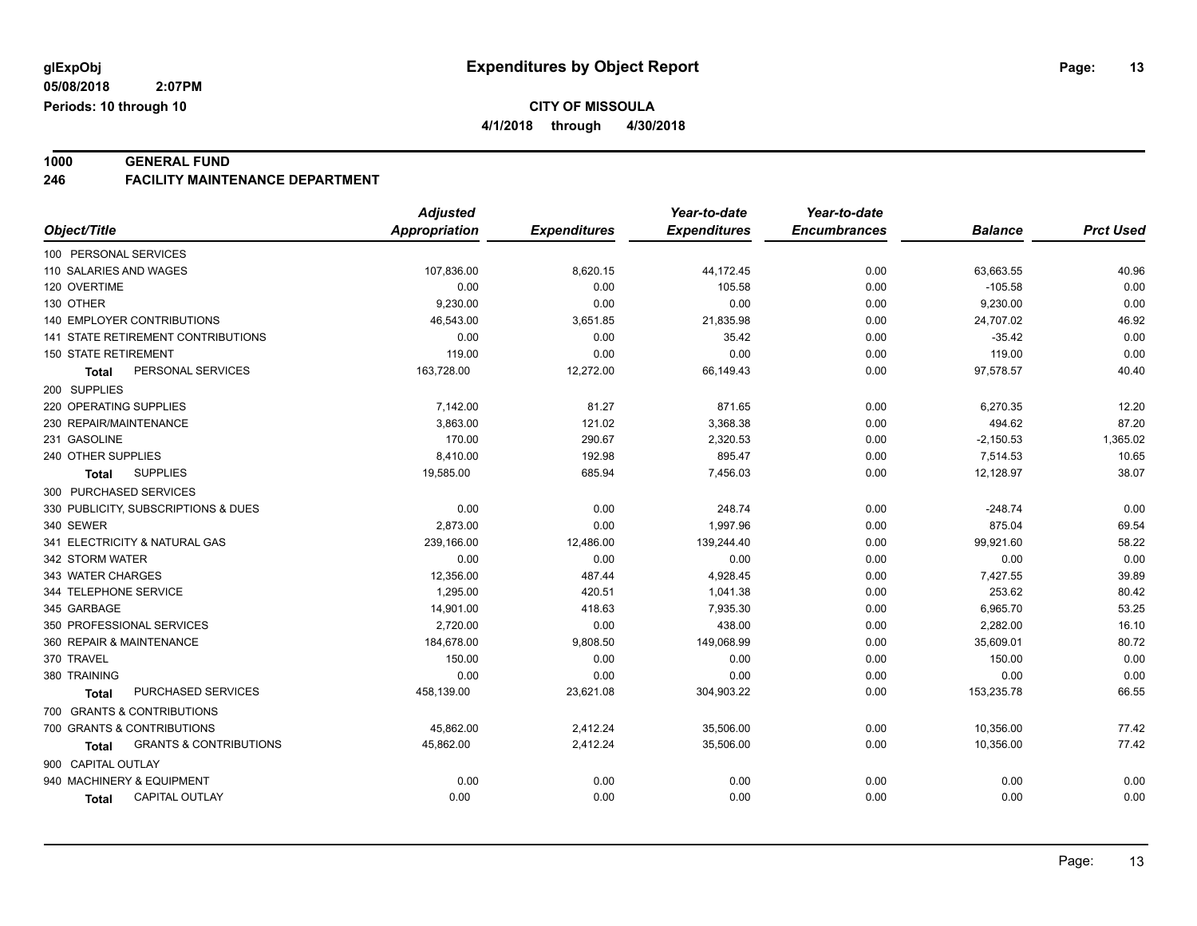#### **1000 GENERAL FUND 246 FACILITY MAINTENANCE DEPARTMENT**

|                                                   | <b>Adjusted</b>      |                     | Year-to-date        | Year-to-date        |                |                  |
|---------------------------------------------------|----------------------|---------------------|---------------------|---------------------|----------------|------------------|
| Object/Title                                      | <b>Appropriation</b> | <b>Expenditures</b> | <b>Expenditures</b> | <b>Encumbrances</b> | <b>Balance</b> | <b>Prct Used</b> |
| 100 PERSONAL SERVICES                             |                      |                     |                     |                     |                |                  |
| 110 SALARIES AND WAGES                            | 107,836.00           | 8,620.15            | 44,172.45           | 0.00                | 63,663.55      | 40.96            |
| 120 OVERTIME                                      | 0.00                 | 0.00                | 105.58              | 0.00                | $-105.58$      | 0.00             |
| 130 OTHER                                         | 9,230.00             | 0.00                | 0.00                | 0.00                | 9,230.00       | 0.00             |
| <b>140 EMPLOYER CONTRIBUTIONS</b>                 | 46,543.00            | 3,651.85            | 21,835.98           | 0.00                | 24,707.02      | 46.92            |
| <b>141 STATE RETIREMENT CONTRIBUTIONS</b>         | 0.00                 | 0.00                | 35.42               | 0.00                | $-35.42$       | 0.00             |
| <b>150 STATE RETIREMENT</b>                       | 119.00               | 0.00                | 0.00                | 0.00                | 119.00         | 0.00             |
| PERSONAL SERVICES<br><b>Total</b>                 | 163,728.00           | 12,272.00           | 66,149.43           | 0.00                | 97,578.57      | 40.40            |
| 200 SUPPLIES                                      |                      |                     |                     |                     |                |                  |
| 220 OPERATING SUPPLIES                            | 7,142.00             | 81.27               | 871.65              | 0.00                | 6,270.35       | 12.20            |
| 230 REPAIR/MAINTENANCE                            | 3,863.00             | 121.02              | 3,368.38            | 0.00                | 494.62         | 87.20            |
| 231 GASOLINE                                      | 170.00               | 290.67              | 2,320.53            | 0.00                | $-2,150.53$    | 1,365.02         |
| 240 OTHER SUPPLIES                                | 8,410.00             | 192.98              | 895.47              | 0.00                | 7,514.53       | 10.65            |
| <b>SUPPLIES</b><br><b>Total</b>                   | 19,585.00            | 685.94              | 7,456.03            | 0.00                | 12,128.97      | 38.07            |
| 300 PURCHASED SERVICES                            |                      |                     |                     |                     |                |                  |
| 330 PUBLICITY, SUBSCRIPTIONS & DUES               | 0.00                 | 0.00                | 248.74              | 0.00                | $-248.74$      | 0.00             |
| 340 SEWER                                         | 2,873.00             | 0.00                | 1,997.96            | 0.00                | 875.04         | 69.54            |
| 341 ELECTRICITY & NATURAL GAS                     | 239,166.00           | 12,486.00           | 139,244.40          | 0.00                | 99,921.60      | 58.22            |
| 342 STORM WATER                                   | 0.00                 | 0.00                | 0.00                | 0.00                | 0.00           | 0.00             |
| 343 WATER CHARGES                                 | 12,356.00            | 487.44              | 4,928.45            | 0.00                | 7,427.55       | 39.89            |
| 344 TELEPHONE SERVICE                             | 1,295.00             | 420.51              | 1,041.38            | 0.00                | 253.62         | 80.42            |
| 345 GARBAGE                                       | 14,901.00            | 418.63              | 7,935.30            | 0.00                | 6,965.70       | 53.25            |
| 350 PROFESSIONAL SERVICES                         | 2,720.00             | 0.00                | 438.00              | 0.00                | 2,282.00       | 16.10            |
| 360 REPAIR & MAINTENANCE                          | 184,678.00           | 9,808.50            | 149,068.99          | 0.00                | 35,609.01      | 80.72            |
| 370 TRAVEL                                        | 150.00               | 0.00                | 0.00                | 0.00                | 150.00         | 0.00             |
| 380 TRAINING                                      | 0.00                 | 0.00                | 0.00                | 0.00                | 0.00           | 0.00             |
| PURCHASED SERVICES<br><b>Total</b>                | 458,139.00           | 23,621.08           | 304,903.22          | 0.00                | 153,235.78     | 66.55            |
| 700 GRANTS & CONTRIBUTIONS                        |                      |                     |                     |                     |                |                  |
| 700 GRANTS & CONTRIBUTIONS                        | 45,862.00            | 2,412.24            | 35,506.00           | 0.00                | 10,356.00      | 77.42            |
| <b>GRANTS &amp; CONTRIBUTIONS</b><br><b>Total</b> | 45,862.00            | 2,412.24            | 35,506.00           | 0.00                | 10,356.00      | 77.42            |
| 900 CAPITAL OUTLAY                                |                      |                     |                     |                     |                |                  |
| 940 MACHINERY & EQUIPMENT                         | 0.00                 | 0.00                | 0.00                | 0.00                | 0.00           | 0.00             |
| <b>CAPITAL OUTLAY</b><br><b>Total</b>             | 0.00                 | 0.00                | 0.00                | 0.00                | 0.00           | 0.00             |
|                                                   |                      |                     |                     |                     |                |                  |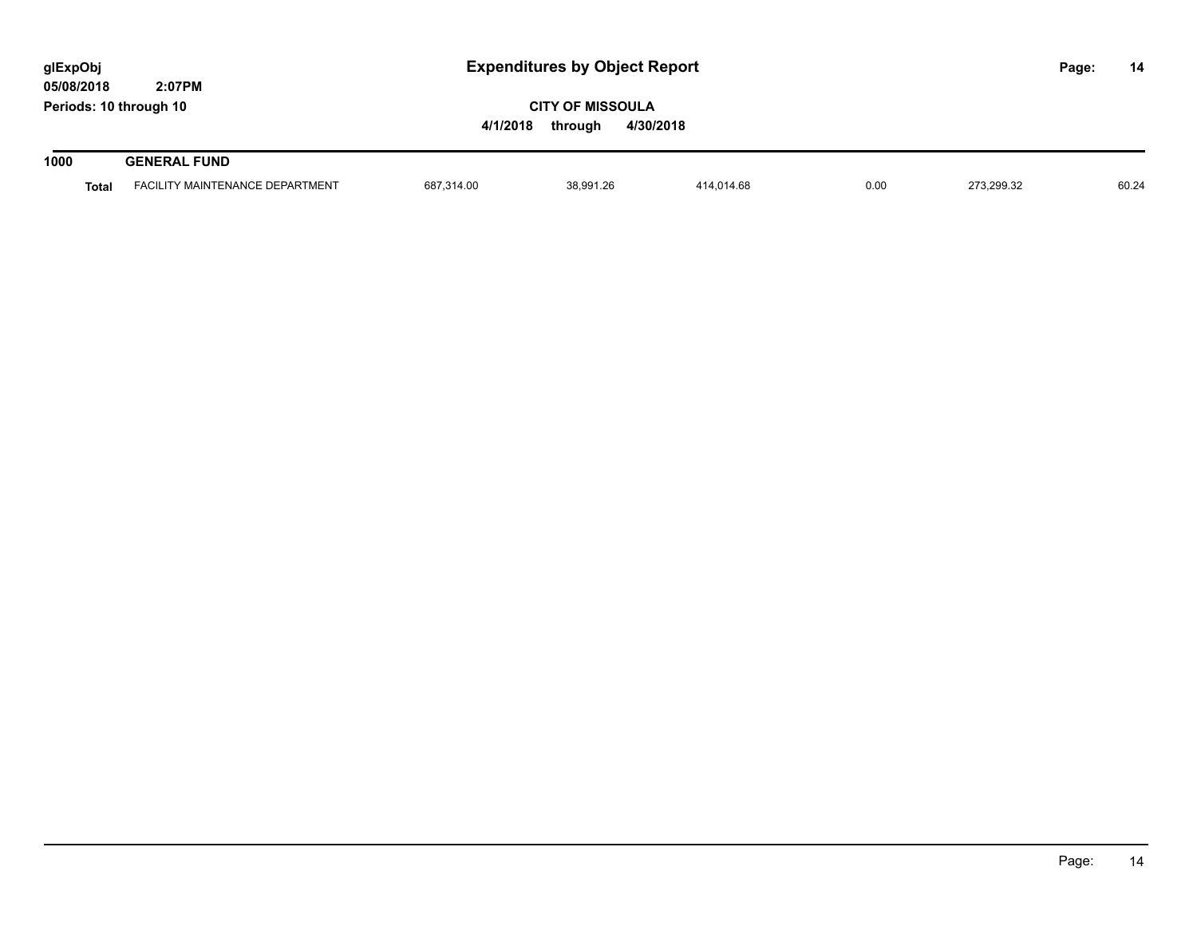| glExpObj<br>05/08/2018 | 2:07PM                          | <b>Expenditures by Object Report</b> |                                                 |            |      |            | Page: | 14    |
|------------------------|---------------------------------|--------------------------------------|-------------------------------------------------|------------|------|------------|-------|-------|
| Periods: 10 through 10 |                                 | 4/1/2018                             | <b>CITY OF MISSOULA</b><br>4/30/2018<br>through |            |      |            |       |       |
| 1000                   | <b>GENERAL FUND</b>             |                                      |                                                 |            |      |            |       |       |
| <b>Total</b>           | FACILITY MAINTENANCE DEPARTMENT | 687,314.00                           | 38.991.26                                       | 414.014.68 | 0.00 | 273,299.32 |       | 60.24 |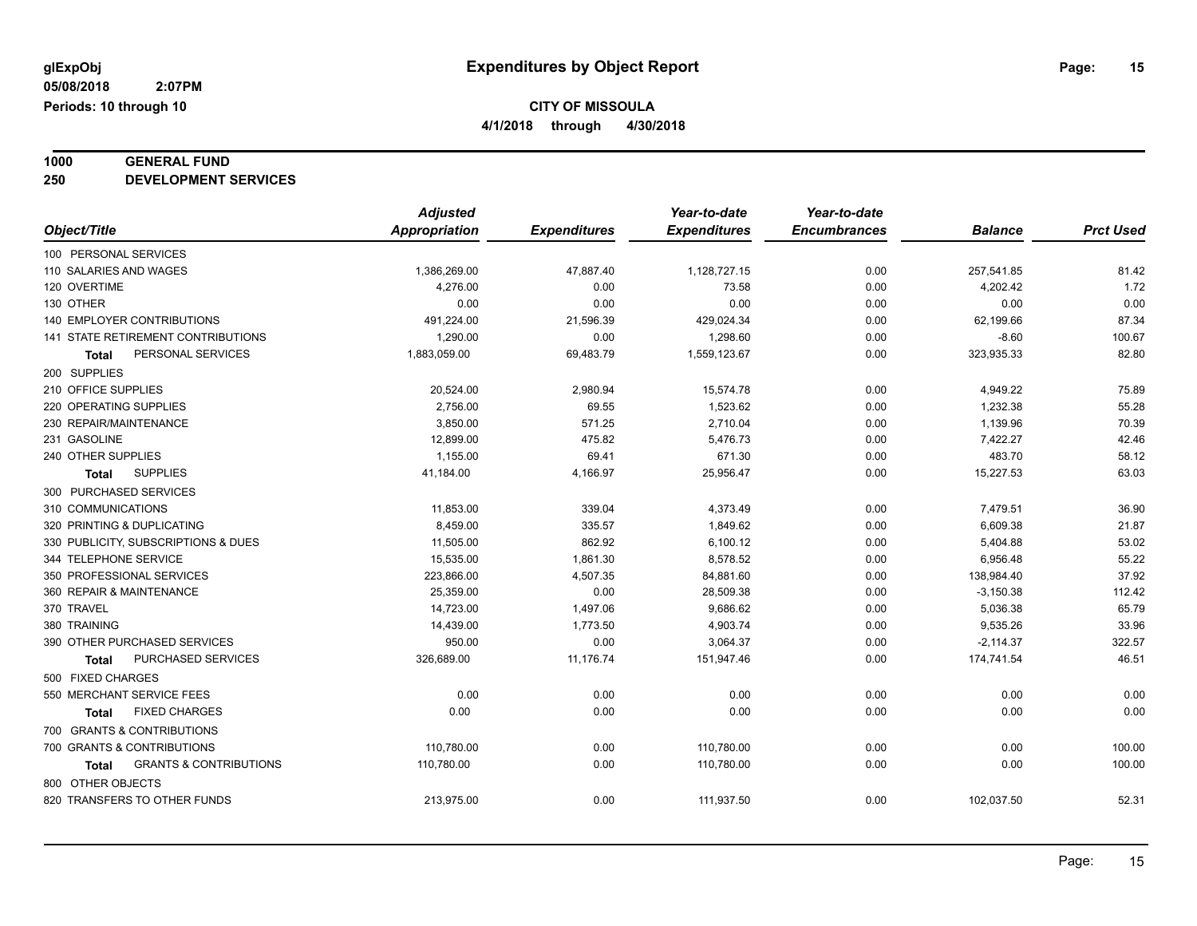## **1000 GENERAL FUND**

**250 DEVELOPMENT SERVICES**

|                                            | <b>Adjusted</b> |                     | Year-to-date        | Year-to-date        |                |                  |
|--------------------------------------------|-----------------|---------------------|---------------------|---------------------|----------------|------------------|
| Object/Title                               | Appropriation   | <b>Expenditures</b> | <b>Expenditures</b> | <b>Encumbrances</b> | <b>Balance</b> | <b>Prct Used</b> |
| 100 PERSONAL SERVICES                      |                 |                     |                     |                     |                |                  |
| 110 SALARIES AND WAGES                     | 1,386,269.00    | 47,887.40           | 1,128,727.15        | 0.00                | 257,541.85     | 81.42            |
| 120 OVERTIME                               | 4,276.00        | 0.00                | 73.58               | 0.00                | 4,202.42       | 1.72             |
| 130 OTHER                                  | 0.00            | 0.00                | 0.00                | 0.00                | 0.00           | 0.00             |
| 140 EMPLOYER CONTRIBUTIONS                 | 491,224.00      | 21,596.39           | 429,024.34          | 0.00                | 62,199.66      | 87.34            |
| 141 STATE RETIREMENT CONTRIBUTIONS         | 1,290.00        | 0.00                | 1,298.60            | 0.00                | $-8.60$        | 100.67           |
| PERSONAL SERVICES<br>Total                 | 1,883,059.00    | 69,483.79           | 1,559,123.67        | 0.00                | 323,935.33     | 82.80            |
| 200 SUPPLIES                               |                 |                     |                     |                     |                |                  |
| 210 OFFICE SUPPLIES                        | 20,524.00       | 2,980.94            | 15,574.78           | 0.00                | 4,949.22       | 75.89            |
| 220 OPERATING SUPPLIES                     | 2,756.00        | 69.55               | 1,523.62            | 0.00                | 1,232.38       | 55.28            |
| 230 REPAIR/MAINTENANCE                     | 3,850.00        | 571.25              | 2,710.04            | 0.00                | 1,139.96       | 70.39            |
| 231 GASOLINE                               | 12,899.00       | 475.82              | 5,476.73            | 0.00                | 7,422.27       | 42.46            |
| 240 OTHER SUPPLIES                         | 1,155.00        | 69.41               | 671.30              | 0.00                | 483.70         | 58.12            |
| <b>SUPPLIES</b><br><b>Total</b>            | 41,184.00       | 4,166.97            | 25,956.47           | 0.00                | 15,227.53      | 63.03            |
| 300 PURCHASED SERVICES                     |                 |                     |                     |                     |                |                  |
| 310 COMMUNICATIONS                         | 11,853.00       | 339.04              | 4,373.49            | 0.00                | 7,479.51       | 36.90            |
| 320 PRINTING & DUPLICATING                 | 8,459.00        | 335.57              | 1,849.62            | 0.00                | 6,609.38       | 21.87            |
| 330 PUBLICITY, SUBSCRIPTIONS & DUES        | 11,505.00       | 862.92              | 6,100.12            | 0.00                | 5,404.88       | 53.02            |
| 344 TELEPHONE SERVICE                      | 15,535.00       | 1,861.30            | 8,578.52            | 0.00                | 6,956.48       | 55.22            |
| 350 PROFESSIONAL SERVICES                  | 223,866.00      | 4,507.35            | 84,881.60           | 0.00                | 138,984.40     | 37.92            |
| 360 REPAIR & MAINTENANCE                   | 25,359.00       | 0.00                | 28,509.38           | 0.00                | $-3,150.38$    | 112.42           |
| 370 TRAVEL                                 | 14,723.00       | 1,497.06            | 9,686.62            | 0.00                | 5,036.38       | 65.79            |
| 380 TRAINING                               | 14,439.00       | 1,773.50            | 4,903.74            | 0.00                | 9,535.26       | 33.96            |
| 390 OTHER PURCHASED SERVICES               | 950.00          | 0.00                | 3,064.37            | 0.00                | $-2,114.37$    | 322.57           |
| PURCHASED SERVICES<br><b>Total</b>         | 326,689.00      | 11,176.74           | 151,947.46          | 0.00                | 174,741.54     | 46.51            |
| 500 FIXED CHARGES                          |                 |                     |                     |                     |                |                  |
| 550 MERCHANT SERVICE FEES                  | 0.00            | 0.00                | 0.00                | 0.00                | 0.00           | 0.00             |
| <b>FIXED CHARGES</b><br><b>Total</b>       | 0.00            | 0.00                | 0.00                | 0.00                | 0.00           | 0.00             |
| 700 GRANTS & CONTRIBUTIONS                 |                 |                     |                     |                     |                |                  |
| 700 GRANTS & CONTRIBUTIONS                 | 110,780.00      | 0.00                | 110,780.00          | 0.00                | 0.00           | 100.00           |
| <b>GRANTS &amp; CONTRIBUTIONS</b><br>Total | 110,780.00      | 0.00                | 110,780.00          | 0.00                | 0.00           | 100.00           |
| 800 OTHER OBJECTS                          |                 |                     |                     |                     |                |                  |
| 820 TRANSFERS TO OTHER FUNDS               | 213,975.00      | 0.00                | 111,937.50          | 0.00                | 102,037.50     | 52.31            |
|                                            |                 |                     |                     |                     |                |                  |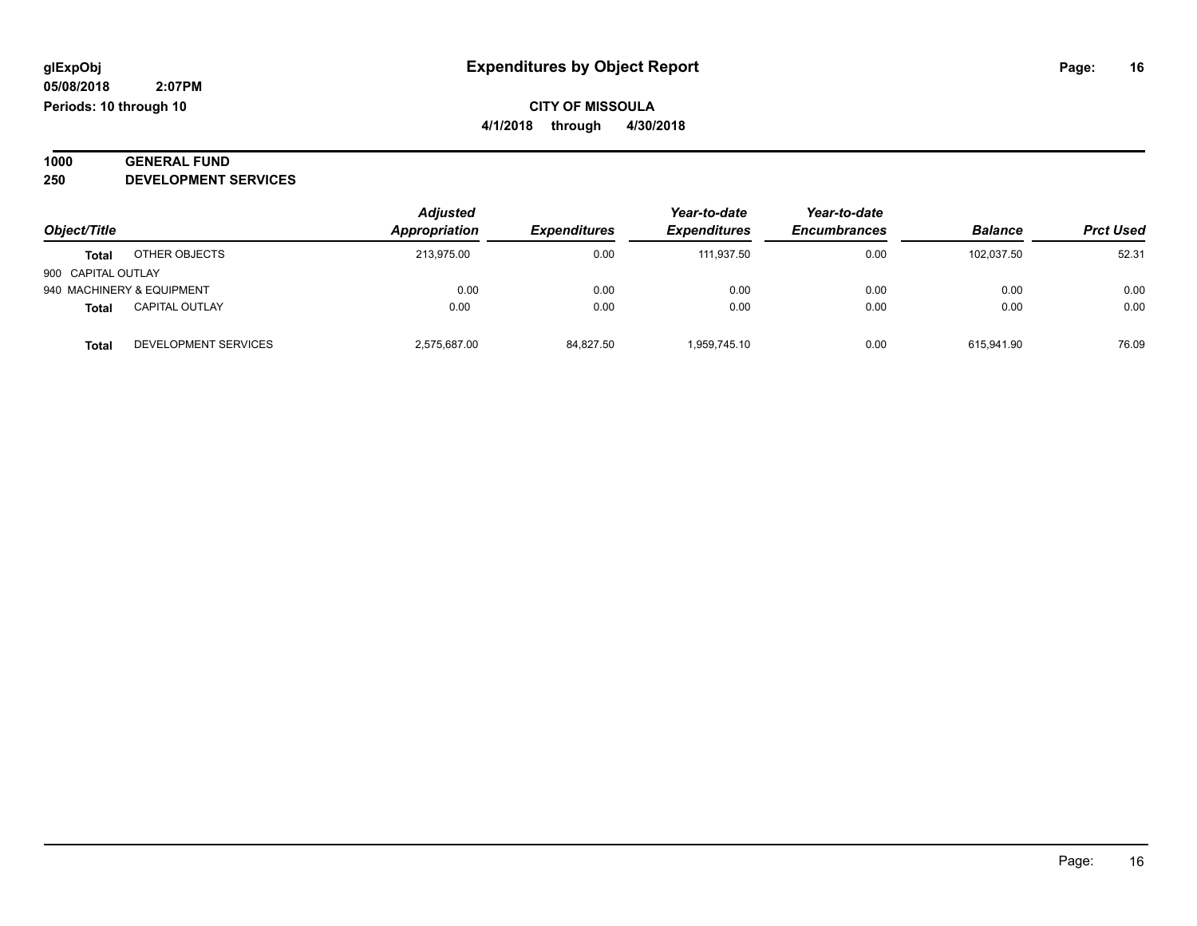#### **1000 GENERAL FUND 250 DEVELOPMENT SERVICES**

| Object/Title              |                       | <b>Adjusted</b><br>Appropriation | <b>Expenditures</b> | Year-to-date<br><b>Expenditures</b> | Year-to-date<br><b>Encumbrances</b> | <b>Balance</b> | <b>Prct Used</b> |
|---------------------------|-----------------------|----------------------------------|---------------------|-------------------------------------|-------------------------------------|----------------|------------------|
| Total                     | OTHER OBJECTS         | 213.975.00                       | 0.00                | 111.937.50                          | 0.00                                | 102.037.50     | 52.31            |
| 900 CAPITAL OUTLAY        |                       |                                  |                     |                                     |                                     |                |                  |
| 940 MACHINERY & EQUIPMENT |                       | 0.00                             | 0.00                | 0.00                                | 0.00                                | 0.00           | 0.00             |
| <b>Total</b>              | <b>CAPITAL OUTLAY</b> | 0.00                             | 0.00                | 0.00                                | 0.00                                | 0.00           | 0.00             |
| <b>Total</b>              | DEVELOPMENT SERVICES  | 2,575,687.00                     | 84,827.50           | 1,959,745.10                        | 0.00                                | 615,941.90     | 76.09            |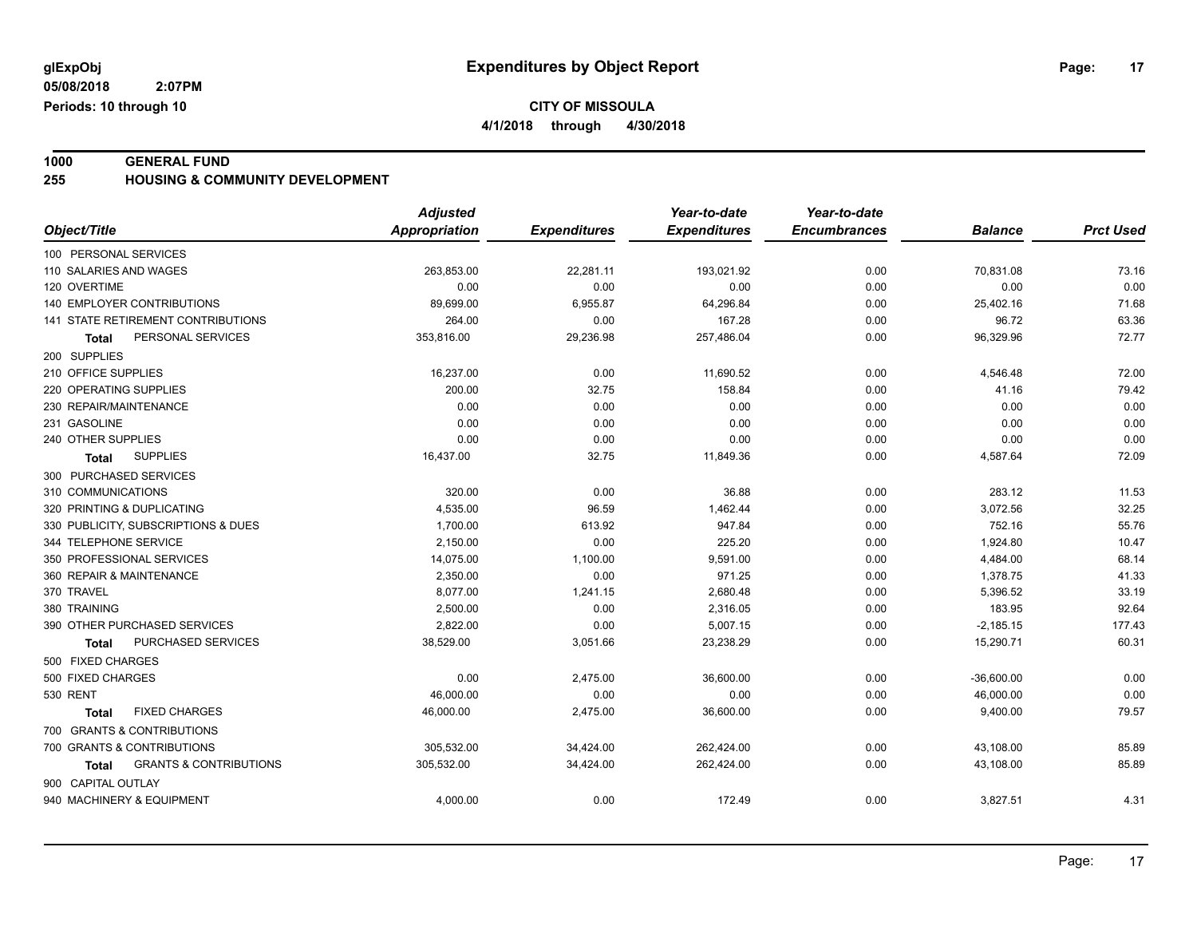**1000 GENERAL FUND 255 HOUSING & COMMUNITY DEVELOPMENT**

|                                            | <b>Adjusted</b>      |                     | Year-to-date        | Year-to-date        |                |                  |
|--------------------------------------------|----------------------|---------------------|---------------------|---------------------|----------------|------------------|
| Object/Title                               | <b>Appropriation</b> | <b>Expenditures</b> | <b>Expenditures</b> | <b>Encumbrances</b> | <b>Balance</b> | <b>Prct Used</b> |
| 100 PERSONAL SERVICES                      |                      |                     |                     |                     |                |                  |
| 110 SALARIES AND WAGES                     | 263,853.00           | 22,281.11           | 193,021.92          | 0.00                | 70,831.08      | 73.16            |
| 120 OVERTIME                               | 0.00                 | 0.00                | 0.00                | 0.00                | 0.00           | 0.00             |
| 140 EMPLOYER CONTRIBUTIONS                 | 89,699.00            | 6,955.87            | 64,296.84           | 0.00                | 25,402.16      | 71.68            |
| 141 STATE RETIREMENT CONTRIBUTIONS         | 264.00               | 0.00                | 167.28              | 0.00                | 96.72          | 63.36            |
| PERSONAL SERVICES<br><b>Total</b>          | 353,816.00           | 29,236.98           | 257,486.04          | 0.00                | 96,329.96      | 72.77            |
| 200 SUPPLIES                               |                      |                     |                     |                     |                |                  |
| 210 OFFICE SUPPLIES                        | 16,237.00            | 0.00                | 11,690.52           | 0.00                | 4,546.48       | 72.00            |
| 220 OPERATING SUPPLIES                     | 200.00               | 32.75               | 158.84              | 0.00                | 41.16          | 79.42            |
| 230 REPAIR/MAINTENANCE                     | 0.00                 | 0.00                | 0.00                | 0.00                | 0.00           | 0.00             |
| 231 GASOLINE                               | 0.00                 | 0.00                | 0.00                | 0.00                | 0.00           | 0.00             |
| 240 OTHER SUPPLIES                         | 0.00                 | 0.00                | 0.00                | 0.00                | 0.00           | 0.00             |
| <b>SUPPLIES</b><br>Total                   | 16,437.00            | 32.75               | 11,849.36           | 0.00                | 4,587.64       | 72.09            |
| 300 PURCHASED SERVICES                     |                      |                     |                     |                     |                |                  |
| 310 COMMUNICATIONS                         | 320.00               | 0.00                | 36.88               | 0.00                | 283.12         | 11.53            |
| 320 PRINTING & DUPLICATING                 | 4,535.00             | 96.59               | 1,462.44            | 0.00                | 3,072.56       | 32.25            |
| 330 PUBLICITY, SUBSCRIPTIONS & DUES        | 1,700.00             | 613.92              | 947.84              | 0.00                | 752.16         | 55.76            |
| 344 TELEPHONE SERVICE                      | 2,150.00             | 0.00                | 225.20              | 0.00                | 1,924.80       | 10.47            |
| 350 PROFESSIONAL SERVICES                  | 14,075.00            | 1,100.00            | 9,591.00            | 0.00                | 4,484.00       | 68.14            |
| 360 REPAIR & MAINTENANCE                   | 2,350.00             | 0.00                | 971.25              | 0.00                | 1,378.75       | 41.33            |
| 370 TRAVEL                                 | 8,077.00             | 1,241.15            | 2,680.48            | 0.00                | 5,396.52       | 33.19            |
| 380 TRAINING                               | 2,500.00             | 0.00                | 2,316.05            | 0.00                | 183.95         | 92.64            |
| 390 OTHER PURCHASED SERVICES               | 2,822.00             | 0.00                | 5,007.15            | 0.00                | $-2,185.15$    | 177.43           |
| PURCHASED SERVICES<br>Total                | 38,529.00            | 3,051.66            | 23,238.29           | 0.00                | 15,290.71      | 60.31            |
| 500 FIXED CHARGES                          |                      |                     |                     |                     |                |                  |
| 500 FIXED CHARGES                          | 0.00                 | 2,475.00            | 36,600.00           | 0.00                | $-36,600.00$   | 0.00             |
| <b>530 RENT</b>                            | 46,000.00            | 0.00                | 0.00                | 0.00                | 46,000.00      | 0.00             |
| <b>FIXED CHARGES</b><br>Total              | 46,000.00            | 2,475.00            | 36,600.00           | 0.00                | 9,400.00       | 79.57            |
| 700 GRANTS & CONTRIBUTIONS                 |                      |                     |                     |                     |                |                  |
| 700 GRANTS & CONTRIBUTIONS                 | 305,532.00           | 34,424.00           | 262,424.00          | 0.00                | 43,108.00      | 85.89            |
| <b>GRANTS &amp; CONTRIBUTIONS</b><br>Total | 305,532.00           | 34,424.00           | 262,424.00          | 0.00                | 43,108.00      | 85.89            |
| 900 CAPITAL OUTLAY                         |                      |                     |                     |                     |                |                  |
| 940 MACHINERY & EQUIPMENT                  | 4,000.00             | 0.00                | 172.49              | 0.00                | 3,827.51       | 4.31             |
|                                            |                      |                     |                     |                     |                |                  |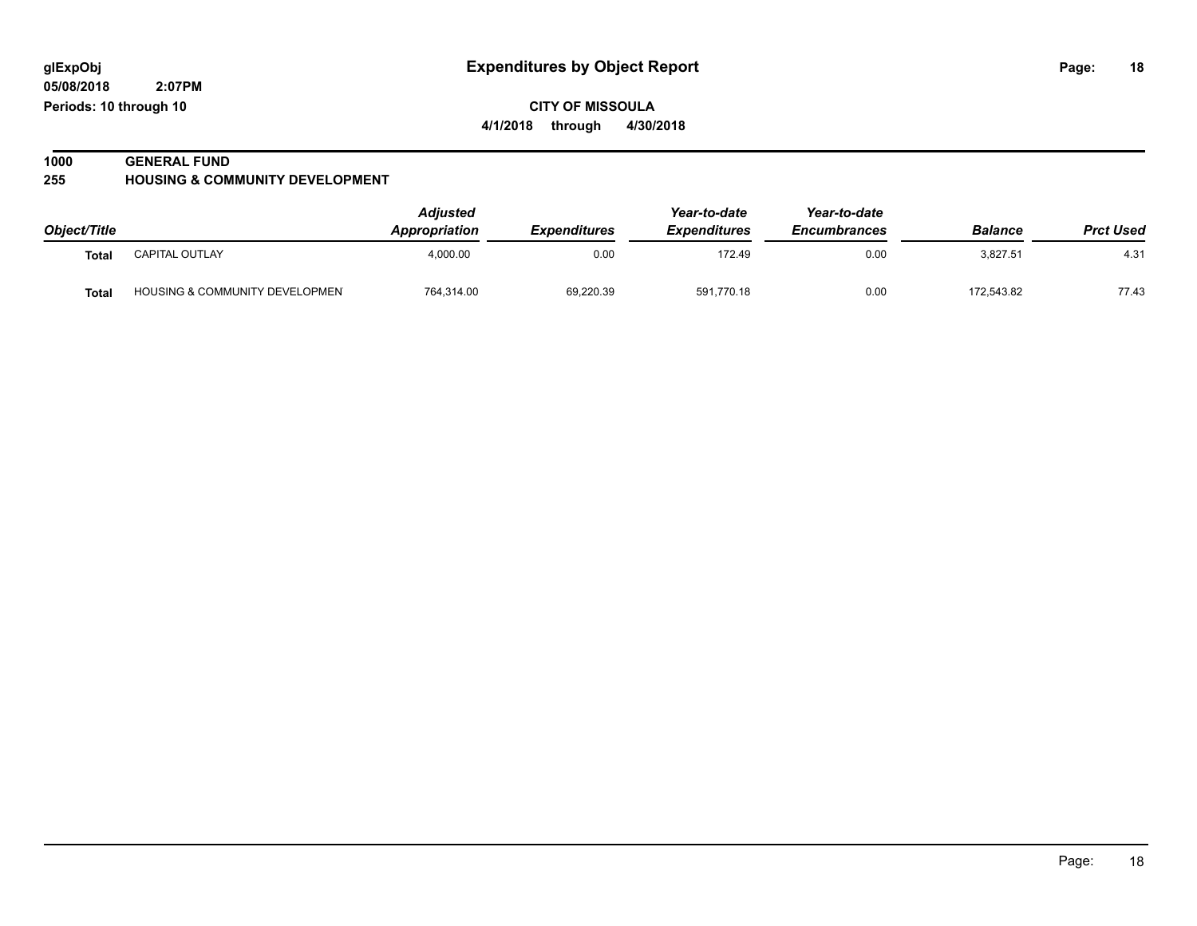# **1000 GENERAL FUND**

**255 HOUSING & COMMUNITY DEVELOPMENT**

|              |                                           | Adjusted      |                            | Year-to-date        | Year-to-date        |                | <b>Prct Used</b> |
|--------------|-------------------------------------------|---------------|----------------------------|---------------------|---------------------|----------------|------------------|
| Object/Title |                                           | Appropriation | <i><b>Expenditures</b></i> | <b>Expenditures</b> | <b>Encumbrances</b> | <b>Balance</b> |                  |
| Total        | <b>CAPITAL OUTLAY</b>                     | 4.000.00      | 0.00                       | 172.49              | 0.00                | 3.827.51       | 4.31             |
| <b>Total</b> | <b>HOUSING &amp; COMMUNITY DEVELOPMEN</b> | 764.314.00    | 69,220.39                  | 591.770.18          | 0.00                | 172.543.82     | 77.43            |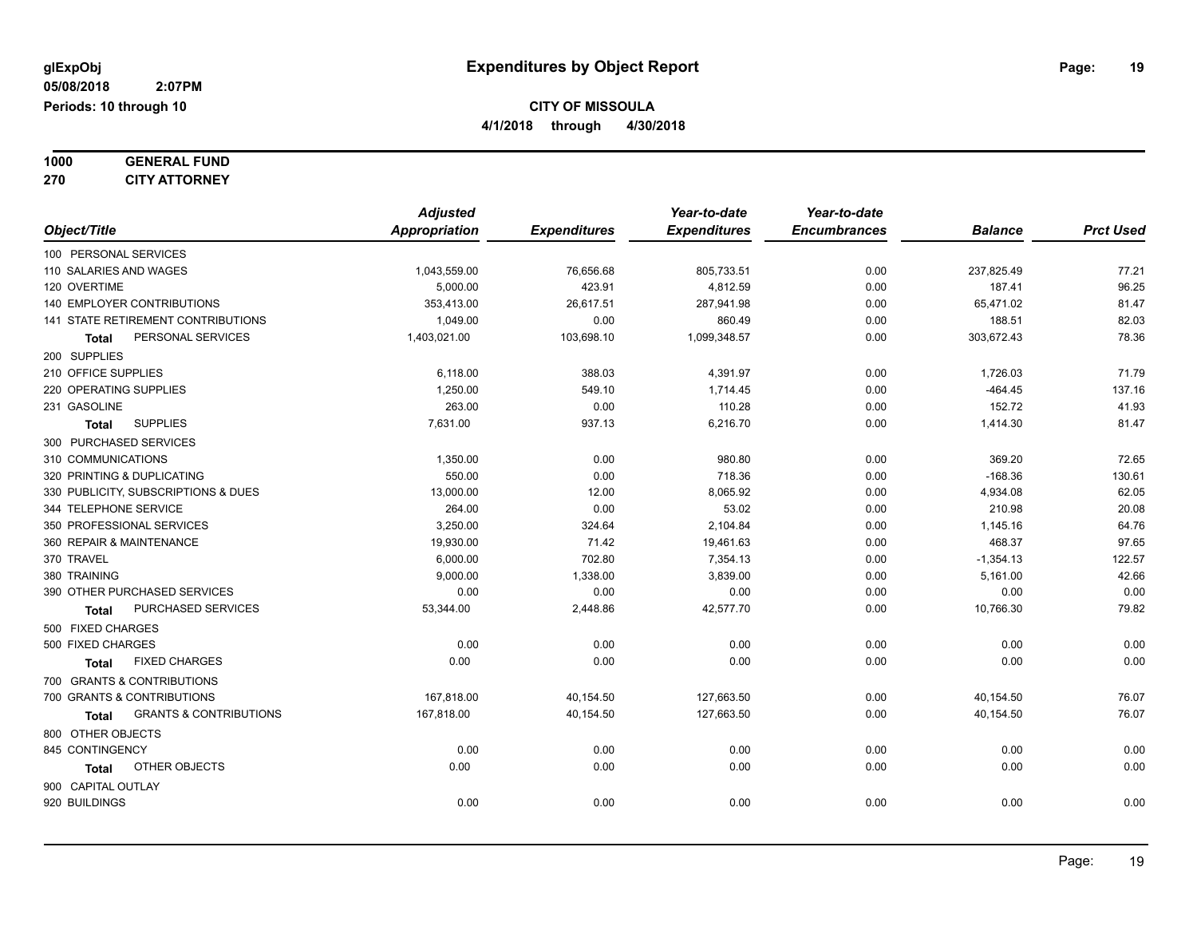| 1000 | <b>GENERAL FUND</b>  |
|------|----------------------|
| 270  | <b>CITY ATTORNEY</b> |

| Object/Title                                      | <b>Adjusted</b><br><b>Appropriation</b> | <b>Expenditures</b> | Year-to-date<br><b>Expenditures</b> | Year-to-date<br><b>Encumbrances</b> | <b>Balance</b> | <b>Prct Used</b> |
|---------------------------------------------------|-----------------------------------------|---------------------|-------------------------------------|-------------------------------------|----------------|------------------|
| 100 PERSONAL SERVICES                             |                                         |                     |                                     |                                     |                |                  |
| 110 SALARIES AND WAGES                            | 1,043,559.00                            | 76,656.68           | 805,733.51                          | 0.00                                | 237,825.49     | 77.21            |
| 120 OVERTIME                                      | 5,000.00                                | 423.91              | 4,812.59                            | 0.00                                | 187.41         | 96.25            |
| <b>140 EMPLOYER CONTRIBUTIONS</b>                 | 353,413.00                              | 26.617.51           | 287,941.98                          | 0.00                                | 65,471.02      | 81.47            |
| <b>141 STATE RETIREMENT CONTRIBUTIONS</b>         | 1,049.00                                | 0.00                | 860.49                              | 0.00                                | 188.51         | 82.03            |
| PERSONAL SERVICES<br><b>Total</b>                 | 1,403,021.00                            | 103,698.10          | 1,099,348.57                        | 0.00                                | 303,672.43     | 78.36            |
| 200 SUPPLIES                                      |                                         |                     |                                     |                                     |                |                  |
| 210 OFFICE SUPPLIES                               | 6,118.00                                | 388.03              | 4,391.97                            | 0.00                                | 1,726.03       | 71.79            |
| 220 OPERATING SUPPLIES                            | 1,250.00                                | 549.10              | 1,714.45                            | 0.00                                | $-464.45$      | 137.16           |
| 231 GASOLINE                                      | 263.00                                  | 0.00                | 110.28                              | 0.00                                | 152.72         | 41.93            |
| <b>SUPPLIES</b><br><b>Total</b>                   | 7,631.00                                | 937.13              | 6,216.70                            | 0.00                                | 1,414.30       | 81.47            |
| 300 PURCHASED SERVICES                            |                                         |                     |                                     |                                     |                |                  |
| 310 COMMUNICATIONS                                | 1,350.00                                | 0.00                | 980.80                              | 0.00                                | 369.20         | 72.65            |
| 320 PRINTING & DUPLICATING                        | 550.00                                  | 0.00                | 718.36                              | 0.00                                | $-168.36$      | 130.61           |
| 330 PUBLICITY, SUBSCRIPTIONS & DUES               | 13,000.00                               | 12.00               | 8,065.92                            | 0.00                                | 4,934.08       | 62.05            |
| 344 TELEPHONE SERVICE                             | 264.00                                  | 0.00                | 53.02                               | 0.00                                | 210.98         | 20.08            |
| 350 PROFESSIONAL SERVICES                         | 3,250.00                                | 324.64              | 2,104.84                            | 0.00                                | 1,145.16       | 64.76            |
| 360 REPAIR & MAINTENANCE                          | 19,930.00                               | 71.42               | 19,461.63                           | 0.00                                | 468.37         | 97.65            |
| 370 TRAVEL                                        | 6,000.00                                | 702.80              | 7,354.13                            | 0.00                                | $-1,354.13$    | 122.57           |
| 380 TRAINING                                      | 9,000.00                                | 1,338.00            | 3,839.00                            | 0.00                                | 5,161.00       | 42.66            |
| 390 OTHER PURCHASED SERVICES                      | 0.00                                    | 0.00                | 0.00                                | 0.00                                | 0.00           | 0.00             |
| PURCHASED SERVICES<br>Total                       | 53,344.00                               | 2,448.86            | 42,577.70                           | 0.00                                | 10,766.30      | 79.82            |
| 500 FIXED CHARGES                                 |                                         |                     |                                     |                                     |                |                  |
| 500 FIXED CHARGES                                 | 0.00                                    | 0.00                | 0.00                                | 0.00                                | 0.00           | 0.00             |
| <b>FIXED CHARGES</b><br>Total                     | 0.00                                    | 0.00                | 0.00                                | 0.00                                | 0.00           | 0.00             |
| 700 GRANTS & CONTRIBUTIONS                        |                                         |                     |                                     |                                     |                |                  |
| 700 GRANTS & CONTRIBUTIONS                        | 167,818.00                              | 40,154.50           | 127,663.50                          | 0.00                                | 40,154.50      | 76.07            |
| <b>GRANTS &amp; CONTRIBUTIONS</b><br><b>Total</b> | 167,818.00                              | 40,154.50           | 127,663.50                          | 0.00                                | 40,154.50      | 76.07            |
| 800 OTHER OBJECTS                                 |                                         |                     |                                     |                                     |                |                  |
| 845 CONTINGENCY                                   | 0.00                                    | 0.00                | 0.00                                | 0.00                                | 0.00           | 0.00             |
| OTHER OBJECTS<br>Total                            | 0.00                                    | 0.00                | 0.00                                | 0.00                                | 0.00           | 0.00             |
| 900 CAPITAL OUTLAY                                |                                         |                     |                                     |                                     |                |                  |
| 920 BUILDINGS                                     | 0.00                                    | 0.00                | 0.00                                | 0.00                                | 0.00           | 0.00             |
|                                                   |                                         |                     |                                     |                                     |                |                  |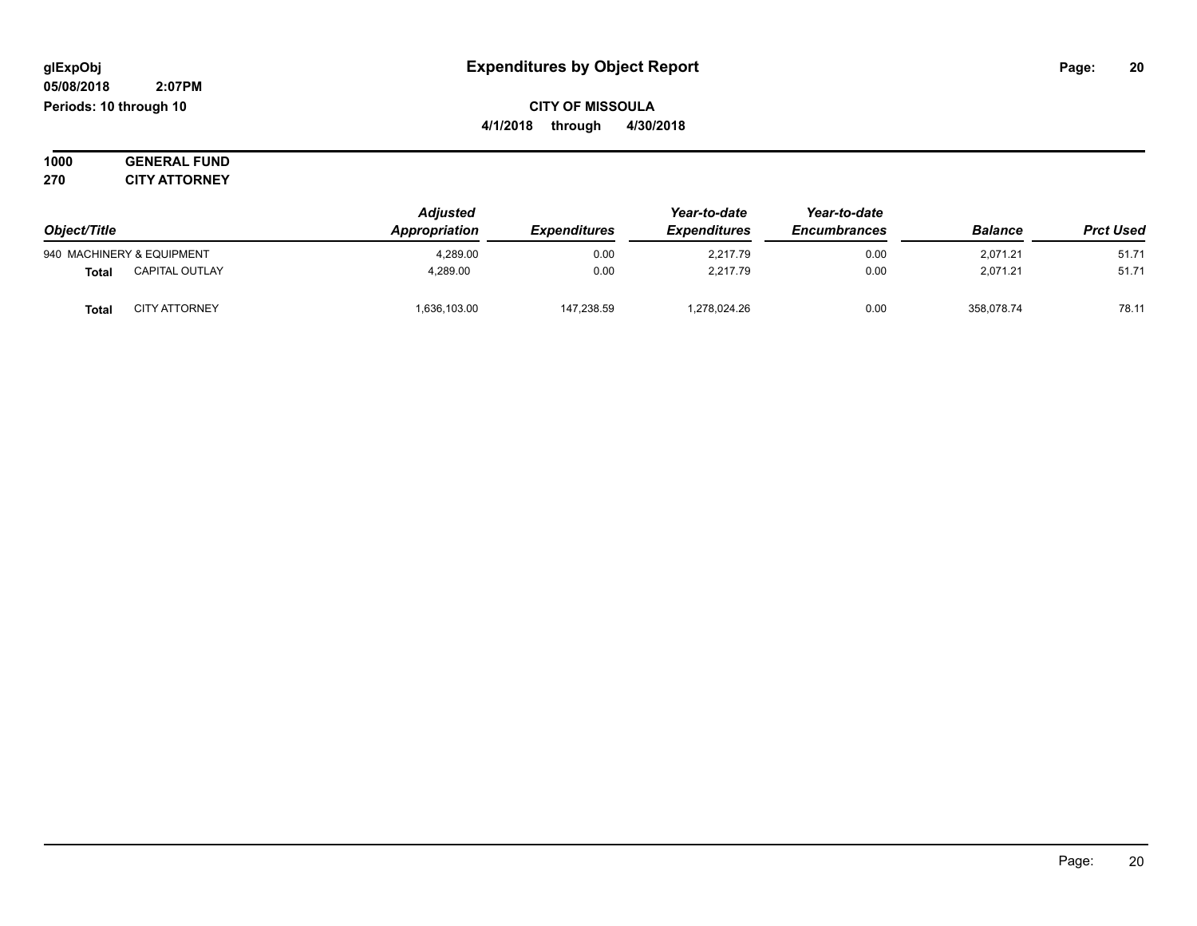#### **05/08/2018 2:07PM Periods: 10 through 10**

**CITY OF MISSOULA 4/1/2018 through 4/30/2018**

**1000 GENERAL FUND 270 CITY ATTORNEY**

|              |                           | <b>Adjusted</b><br>Appropriation<br><i><b>Expenditures</b></i> | Year-to-date        | Year-to-date        |                |                  |       |
|--------------|---------------------------|----------------------------------------------------------------|---------------------|---------------------|----------------|------------------|-------|
| Object/Title |                           |                                                                | <b>Expenditures</b> | <b>Encumbrances</b> | <b>Balance</b> | <b>Prct Used</b> |       |
|              | 940 MACHINERY & EQUIPMENT | 4.289.00                                                       | 0.00                | 2.217.79            | 0.00           | 2,071.21         | 51.71 |
| <b>Total</b> | <b>CAPITAL OUTLAY</b>     | 4.289.00                                                       | 0.00                | 2.217.79            | 0.00           | 2.071.21         | 51.71 |
| <b>Tota</b>  | <b>CITY ATTORNEY</b>      | 636,103.00                                                     | 147,238.59          | 1,278,024.26        | 0.00           | 358,078.74       | 78.11 |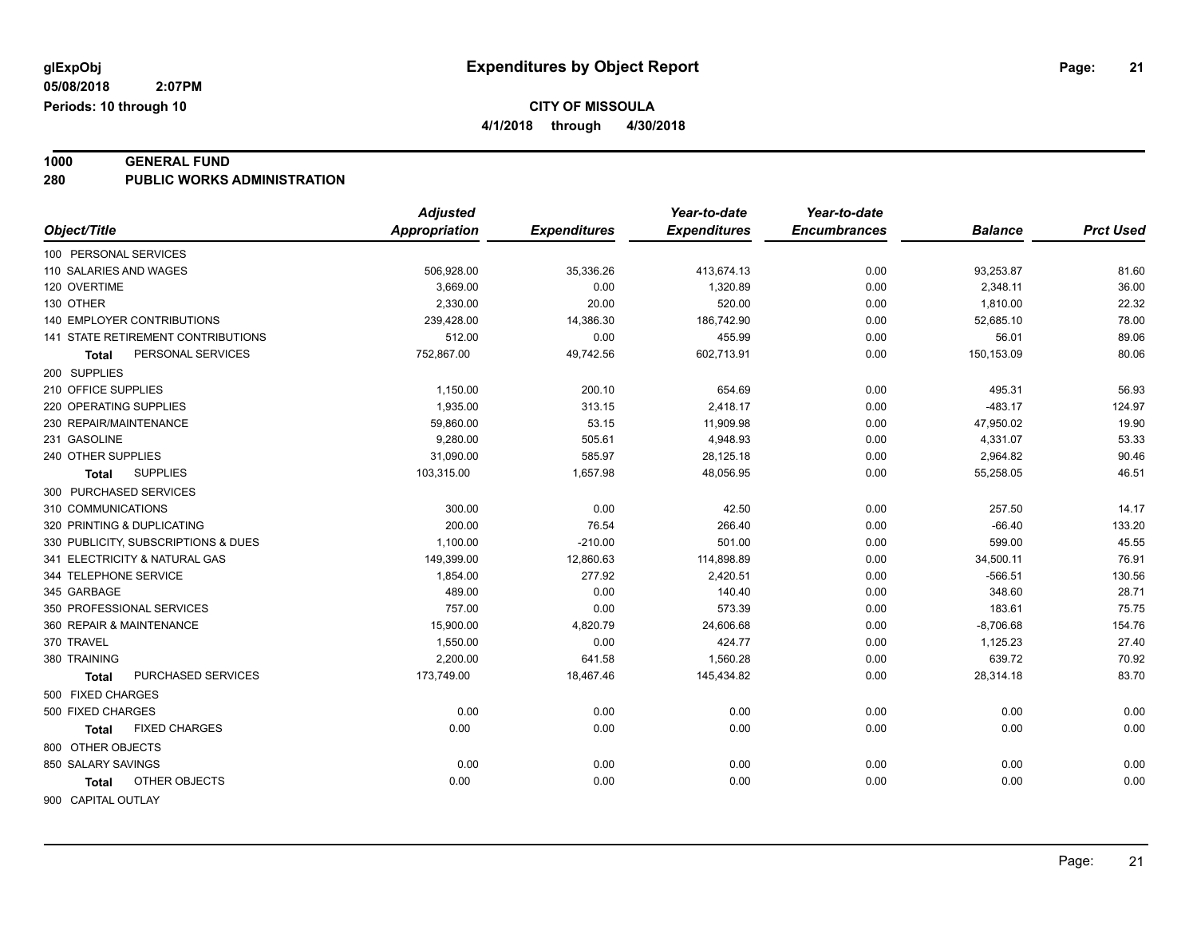# **1000 GENERAL FUND<br>280 PUBLIC WORKS /**

**280 PUBLIC WORKS ADMINISTRATION**

|                                     | <b>Adjusted</b>      |                     | Year-to-date        | Year-to-date        |                |                  |
|-------------------------------------|----------------------|---------------------|---------------------|---------------------|----------------|------------------|
| Object/Title                        | <b>Appropriation</b> | <b>Expenditures</b> | <b>Expenditures</b> | <b>Encumbrances</b> | <b>Balance</b> | <b>Prct Used</b> |
| 100 PERSONAL SERVICES               |                      |                     |                     |                     |                |                  |
| 110 SALARIES AND WAGES              | 506,928.00           | 35,336.26           | 413,674.13          | 0.00                | 93,253.87      | 81.60            |
| 120 OVERTIME                        | 3,669.00             | 0.00                | 1,320.89            | 0.00                | 2,348.11       | 36.00            |
| 130 OTHER                           | 2,330.00             | 20.00               | 520.00              | 0.00                | 1,810.00       | 22.32            |
| 140 EMPLOYER CONTRIBUTIONS          | 239,428.00           | 14,386.30           | 186,742.90          | 0.00                | 52,685.10      | 78.00            |
| 141 STATE RETIREMENT CONTRIBUTIONS  | 512.00               | 0.00                | 455.99              | 0.00                | 56.01          | 89.06            |
| PERSONAL SERVICES<br>Total          | 752,867.00           | 49,742.56           | 602,713.91          | 0.00                | 150,153.09     | 80.06            |
| 200 SUPPLIES                        |                      |                     |                     |                     |                |                  |
| 210 OFFICE SUPPLIES                 | 1,150.00             | 200.10              | 654.69              | 0.00                | 495.31         | 56.93            |
| 220 OPERATING SUPPLIES              | 1,935.00             | 313.15              | 2,418.17            | 0.00                | $-483.17$      | 124.97           |
| 230 REPAIR/MAINTENANCE              | 59,860.00            | 53.15               | 11,909.98           | 0.00                | 47,950.02      | 19.90            |
| 231 GASOLINE                        | 9,280.00             | 505.61              | 4,948.93            | 0.00                | 4,331.07       | 53.33            |
| 240 OTHER SUPPLIES                  | 31,090.00            | 585.97              | 28,125.18           | 0.00                | 2,964.82       | 90.46            |
| <b>SUPPLIES</b><br>Total            | 103,315.00           | 1,657.98            | 48,056.95           | 0.00                | 55,258.05      | 46.51            |
| 300 PURCHASED SERVICES              |                      |                     |                     |                     |                |                  |
| 310 COMMUNICATIONS                  | 300.00               | 0.00                | 42.50               | 0.00                | 257.50         | 14.17            |
| 320 PRINTING & DUPLICATING          | 200.00               | 76.54               | 266.40              | 0.00                | $-66.40$       | 133.20           |
| 330 PUBLICITY, SUBSCRIPTIONS & DUES | 1,100.00             | $-210.00$           | 501.00              | 0.00                | 599.00         | 45.55            |
| 341 ELECTRICITY & NATURAL GAS       | 149,399.00           | 12,860.63           | 114,898.89          | 0.00                | 34,500.11      | 76.91            |
| 344 TELEPHONE SERVICE               | 1,854.00             | 277.92              | 2,420.51            | 0.00                | $-566.51$      | 130.56           |
| 345 GARBAGE                         | 489.00               | 0.00                | 140.40              | 0.00                | 348.60         | 28.71            |
| 350 PROFESSIONAL SERVICES           | 757.00               | 0.00                | 573.39              | 0.00                | 183.61         | 75.75            |
| 360 REPAIR & MAINTENANCE            | 15,900.00            | 4,820.79            | 24,606.68           | 0.00                | $-8,706.68$    | 154.76           |
| 370 TRAVEL                          | 1,550.00             | 0.00                | 424.77              | 0.00                | 1,125.23       | 27.40            |
| 380 TRAINING                        | 2,200.00             | 641.58              | 1,560.28            | 0.00                | 639.72         | 70.92            |
| PURCHASED SERVICES<br><b>Total</b>  | 173,749.00           | 18,467.46           | 145,434.82          | 0.00                | 28,314.18      | 83.70            |
| 500 FIXED CHARGES                   |                      |                     |                     |                     |                |                  |
| 500 FIXED CHARGES                   | 0.00                 | 0.00                | 0.00                | 0.00                | 0.00           | 0.00             |
| <b>FIXED CHARGES</b><br>Total       | 0.00                 | 0.00                | 0.00                | 0.00                | 0.00           | 0.00             |
| 800 OTHER OBJECTS                   |                      |                     |                     |                     |                |                  |
| 850 SALARY SAVINGS                  | 0.00                 | 0.00                | 0.00                | 0.00                | 0.00           | 0.00             |
| OTHER OBJECTS<br>Total              | 0.00                 | 0.00                | 0.00                | 0.00                | 0.00           | 0.00             |
|                                     |                      |                     |                     |                     |                |                  |
| 900 CAPITAL OUTLAY                  |                      |                     |                     |                     |                |                  |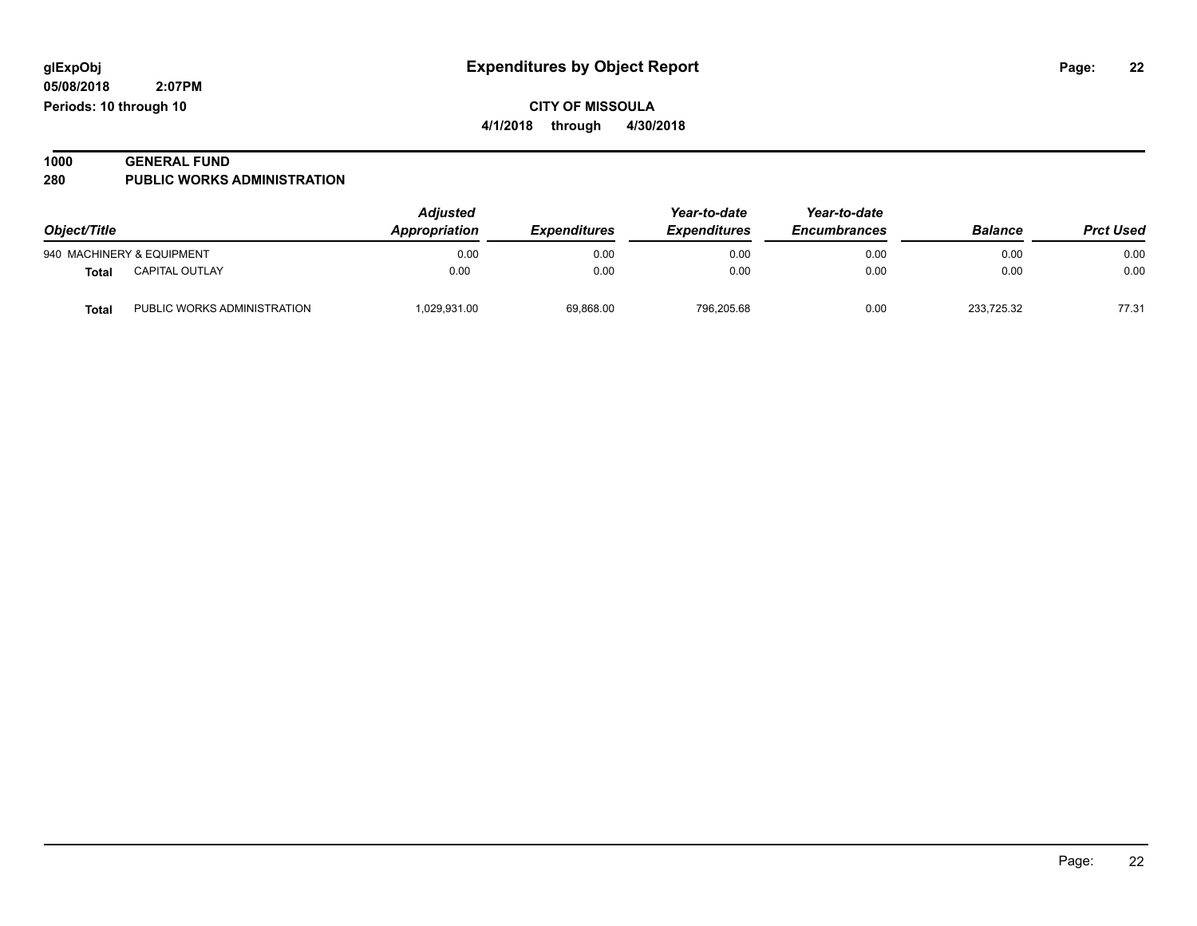**05/08/2018 2:07PM Periods: 10 through 10**

**CITY OF MISSOULA 4/1/2018 through 4/30/2018**

#### **1000 GENERAL FUND<br>280 PUBLIC WORKS A 280 PUBLIC WORKS ADMINISTRATION**

| Object/Title |                             | <b>Adjusted</b><br>Appropriation<br><b>Expenditures</b> | Year-to-date<br><b>Expenditures</b> | Year-to-date<br><b>Encumbrances</b> | <b>Balance</b> | <b>Prct Used</b> |       |
|--------------|-----------------------------|---------------------------------------------------------|-------------------------------------|-------------------------------------|----------------|------------------|-------|
|              | 940 MACHINERY & EQUIPMENT   | 0.00                                                    | 0.00                                | 0.00                                | 0.00           | 0.00             | 0.00  |
| <b>Total</b> | <b>CAPITAL OUTLAY</b>       | 0.00                                                    | 0.00                                | 0.00                                | 0.00           | 0.00             | 0.00  |
| Tota         | PUBLIC WORKS ADMINISTRATION | 029,931.00                                              | 69,868.00                           | 796.205.68                          | 0.00           | 233,725.32       | 77.31 |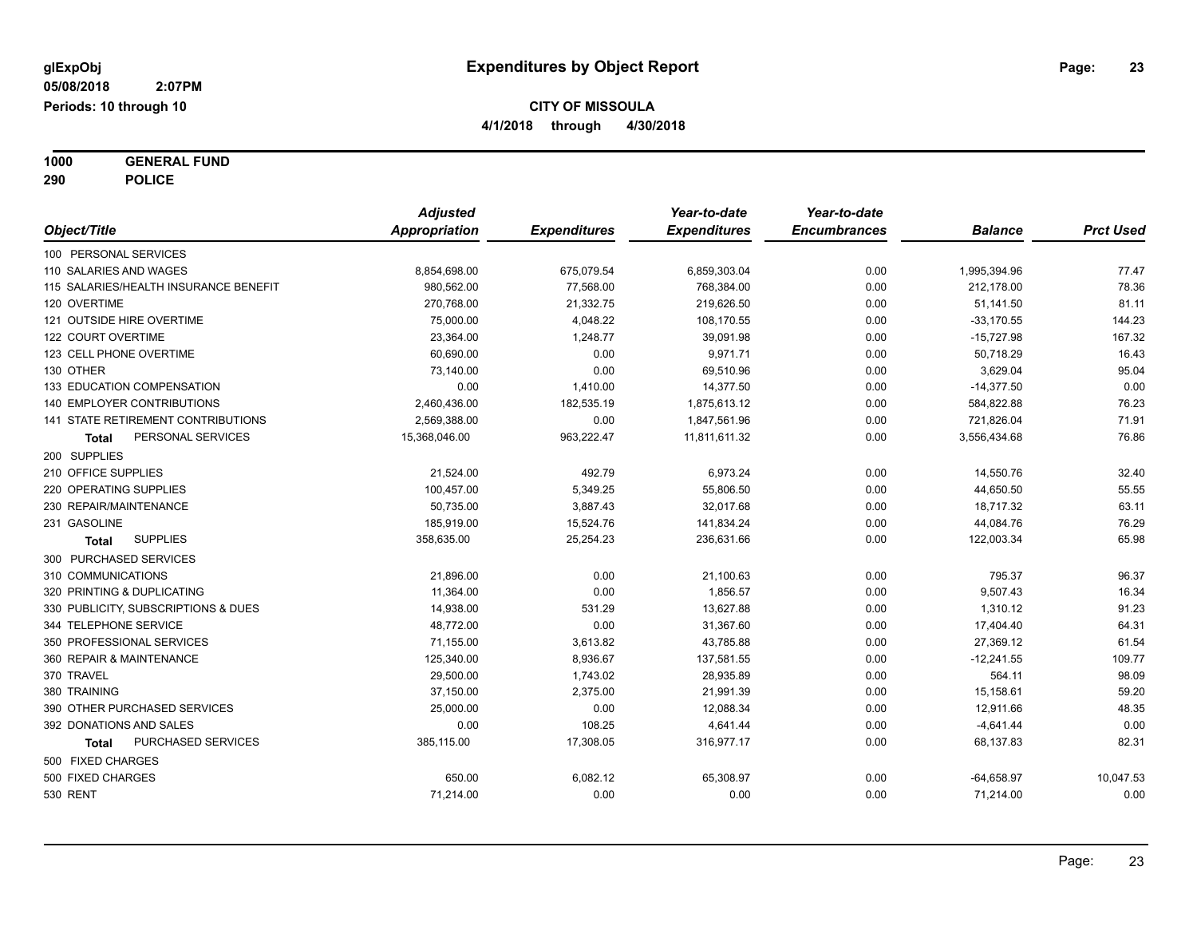**1000 GENERAL FUND 290 POLICE**

|                                           | <b>Adjusted</b> |                     | Year-to-date        | Year-to-date        |                |                  |
|-------------------------------------------|-----------------|---------------------|---------------------|---------------------|----------------|------------------|
| Object/Title                              | Appropriation   | <b>Expenditures</b> | <b>Expenditures</b> | <b>Encumbrances</b> | <b>Balance</b> | <b>Prct Used</b> |
| 100 PERSONAL SERVICES                     |                 |                     |                     |                     |                |                  |
| 110 SALARIES AND WAGES                    | 8,854,698.00    | 675,079.54          | 6,859,303.04        | 0.00                | 1,995,394.96   | 77.47            |
| 115 SALARIES/HEALTH INSURANCE BENEFIT     | 980,562.00      | 77,568.00           | 768,384.00          | 0.00                | 212,178.00     | 78.36            |
| 120 OVERTIME                              | 270,768.00      | 21,332.75           | 219,626.50          | 0.00                | 51,141.50      | 81.11            |
| 121 OUTSIDE HIRE OVERTIME                 | 75,000.00       | 4,048.22            | 108,170.55          | 0.00                | $-33,170.55$   | 144.23           |
| 122 COURT OVERTIME                        | 23,364.00       | 1,248.77            | 39,091.98           | 0.00                | $-15,727.98$   | 167.32           |
| 123 CELL PHONE OVERTIME                   | 60,690.00       | 0.00                | 9,971.71            | 0.00                | 50,718.29      | 16.43            |
| 130 OTHER                                 | 73,140.00       | 0.00                | 69,510.96           | 0.00                | 3,629.04       | 95.04            |
| 133 EDUCATION COMPENSATION                | 0.00            | 1,410.00            | 14,377.50           | 0.00                | $-14,377.50$   | 0.00             |
| 140 EMPLOYER CONTRIBUTIONS                | 2,460,436.00    | 182,535.19          | 1,875,613.12        | 0.00                | 584,822.88     | 76.23            |
| <b>141 STATE RETIREMENT CONTRIBUTIONS</b> | 2,569,388.00    | 0.00                | 1,847,561.96        | 0.00                | 721,826.04     | 71.91            |
| PERSONAL SERVICES<br><b>Total</b>         | 15,368,046.00   | 963,222.47          | 11,811,611.32       | 0.00                | 3,556,434.68   | 76.86            |
| 200 SUPPLIES                              |                 |                     |                     |                     |                |                  |
| 210 OFFICE SUPPLIES                       | 21,524.00       | 492.79              | 6,973.24            | 0.00                | 14,550.76      | 32.40            |
| 220 OPERATING SUPPLIES                    | 100,457.00      | 5,349.25            | 55,806.50           | 0.00                | 44,650.50      | 55.55            |
| 230 REPAIR/MAINTENANCE                    | 50,735.00       | 3,887.43            | 32.017.68           | 0.00                | 18,717.32      | 63.11            |
| 231 GASOLINE                              | 185,919.00      | 15,524.76           | 141,834.24          | 0.00                | 44,084.76      | 76.29            |
| <b>SUPPLIES</b><br>Total                  | 358,635.00      | 25,254.23           | 236,631.66          | 0.00                | 122,003.34     | 65.98            |
| 300 PURCHASED SERVICES                    |                 |                     |                     |                     |                |                  |
| 310 COMMUNICATIONS                        | 21,896.00       | 0.00                | 21,100.63           | 0.00                | 795.37         | 96.37            |
| 320 PRINTING & DUPLICATING                | 11,364.00       | 0.00                | 1,856.57            | 0.00                | 9,507.43       | 16.34            |
| 330 PUBLICITY, SUBSCRIPTIONS & DUES       | 14,938.00       | 531.29              | 13,627.88           | 0.00                | 1,310.12       | 91.23            |
| 344 TELEPHONE SERVICE                     | 48,772.00       | 0.00                | 31,367.60           | 0.00                | 17,404.40      | 64.31            |
| 350 PROFESSIONAL SERVICES                 | 71,155.00       | 3,613.82            | 43,785.88           | 0.00                | 27,369.12      | 61.54            |
| 360 REPAIR & MAINTENANCE                  | 125,340.00      | 8,936.67            | 137,581.55          | 0.00                | $-12,241.55$   | 109.77           |
| 370 TRAVEL                                | 29,500.00       | 1,743.02            | 28,935.89           | 0.00                | 564.11         | 98.09            |
| 380 TRAINING                              | 37,150.00       | 2,375.00            | 21,991.39           | 0.00                | 15,158.61      | 59.20            |
| 390 OTHER PURCHASED SERVICES              | 25,000.00       | 0.00                | 12,088.34           | 0.00                | 12,911.66      | 48.35            |
| 392 DONATIONS AND SALES                   | 0.00            | 108.25              | 4,641.44            | 0.00                | $-4,641.44$    | 0.00             |
| PURCHASED SERVICES<br>Total               | 385,115.00      | 17,308.05           | 316,977.17          | 0.00                | 68,137.83      | 82.31            |
| 500 FIXED CHARGES                         |                 |                     |                     |                     |                |                  |
| 500 FIXED CHARGES                         | 650.00          | 6,082.12            | 65,308.97           | 0.00                | $-64,658.97$   | 10,047.53        |
| <b>530 RENT</b>                           | 71,214.00       | 0.00                | 0.00                | 0.00                | 71,214.00      | 0.00             |
|                                           |                 |                     |                     |                     |                |                  |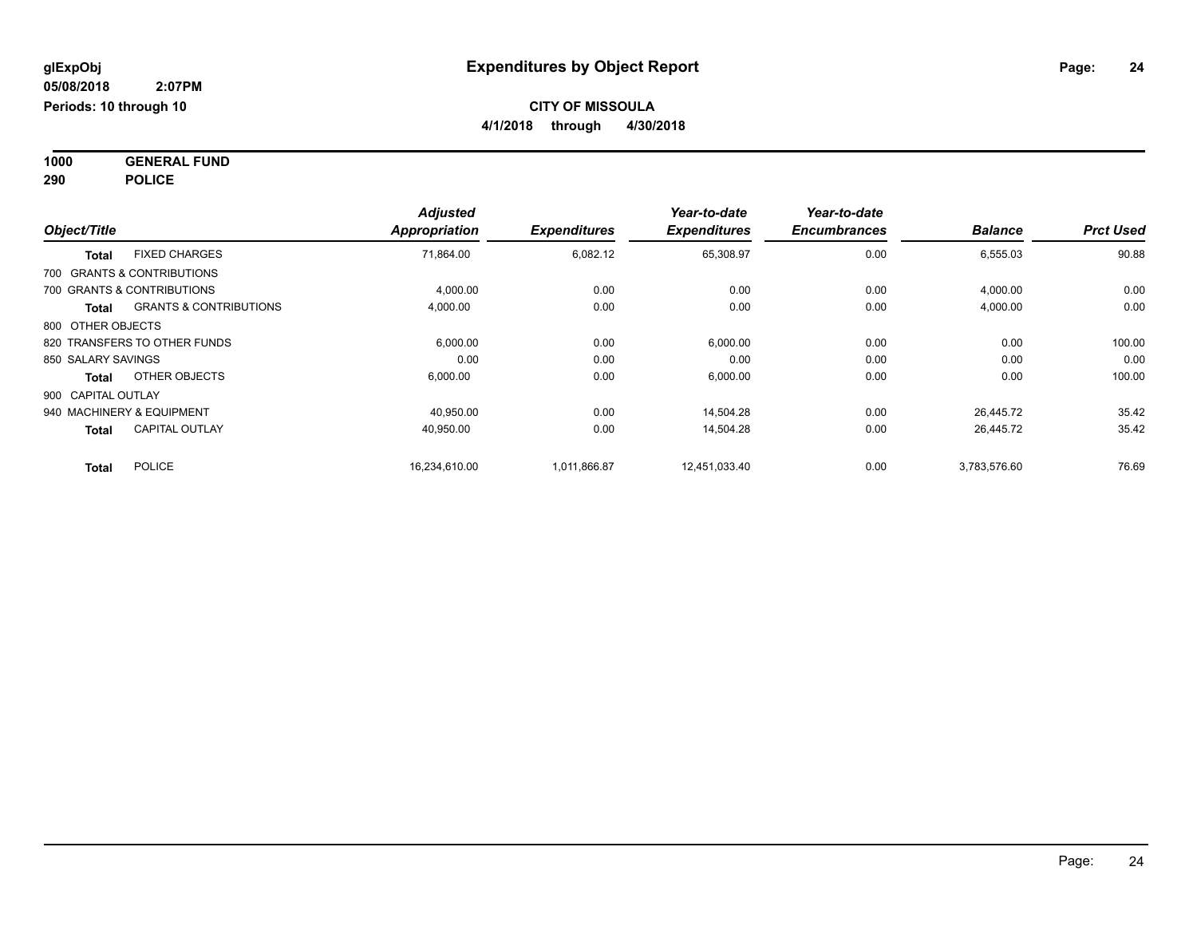**1000 GENERAL FUND 290 POLICE**

| Object/Title                          |                                   | <b>Adjusted</b><br><b>Appropriation</b> | <b>Expenditures</b> | Year-to-date<br><b>Expenditures</b> | Year-to-date<br><b>Encumbrances</b> | <b>Balance</b> | <b>Prct Used</b> |
|---------------------------------------|-----------------------------------|-----------------------------------------|---------------------|-------------------------------------|-------------------------------------|----------------|------------------|
| <b>FIXED CHARGES</b><br><b>Total</b>  |                                   | 71,864.00                               | 6,082.12            | 65,308.97                           | 0.00                                | 6,555.03       | 90.88            |
| 700 GRANTS & CONTRIBUTIONS            |                                   |                                         |                     |                                     |                                     |                |                  |
| 700 GRANTS & CONTRIBUTIONS            |                                   | 4,000.00                                | 0.00                | 0.00                                | 0.00                                | 4,000.00       | 0.00             |
| <b>Total</b>                          | <b>GRANTS &amp; CONTRIBUTIONS</b> | 4,000.00                                | 0.00                | 0.00                                | 0.00                                | 4,000.00       | 0.00             |
| 800 OTHER OBJECTS                     |                                   |                                         |                     |                                     |                                     |                |                  |
| 820 TRANSFERS TO OTHER FUNDS          |                                   | 6,000.00                                | 0.00                | 6,000.00                            | 0.00                                | 0.00           | 100.00           |
| 850 SALARY SAVINGS                    |                                   | 0.00                                    | 0.00                | 0.00                                | 0.00                                | 0.00           | 0.00             |
| OTHER OBJECTS<br><b>Total</b>         |                                   | 6,000.00                                | 0.00                | 6,000.00                            | 0.00                                | 0.00           | 100.00           |
| 900 CAPITAL OUTLAY                    |                                   |                                         |                     |                                     |                                     |                |                  |
| 940 MACHINERY & EQUIPMENT             |                                   | 40.950.00                               | 0.00                | 14.504.28                           | 0.00                                | 26,445.72      | 35.42            |
| <b>CAPITAL OUTLAY</b><br><b>Total</b> |                                   | 40,950.00                               | 0.00                | 14,504.28                           | 0.00                                | 26,445.72      | 35.42            |
| <b>POLICE</b><br><b>Total</b>         |                                   | 16,234,610.00                           | 1,011,866.87        | 12,451,033.40                       | 0.00                                | 3,783,576.60   | 76.69            |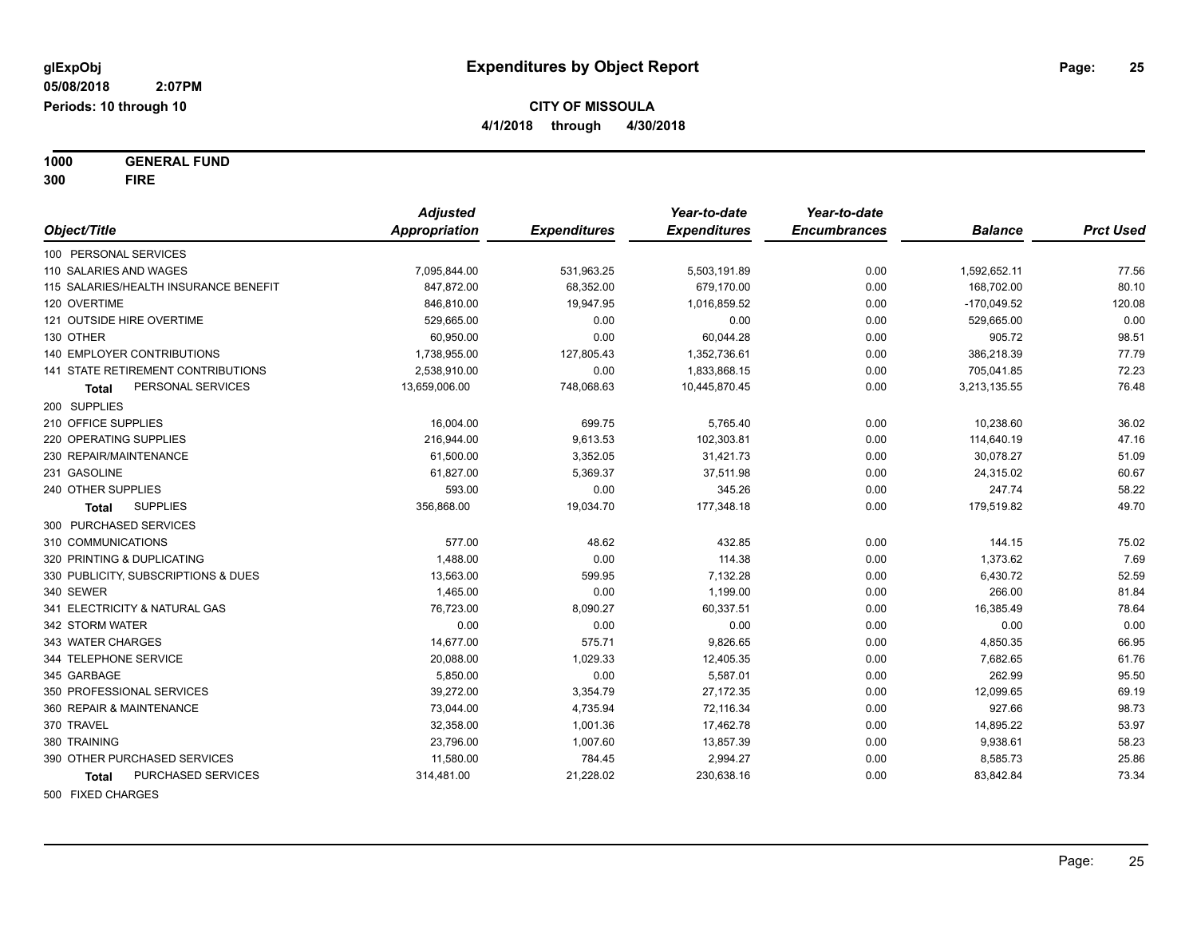**1000 GENERAL FUND 300 FIRE**

|                                       | <b>Adjusted</b>      |                     | Year-to-date        | Year-to-date        |                |                  |
|---------------------------------------|----------------------|---------------------|---------------------|---------------------|----------------|------------------|
| Object/Title                          | <b>Appropriation</b> | <b>Expenditures</b> | <b>Expenditures</b> | <b>Encumbrances</b> | <b>Balance</b> | <b>Prct Used</b> |
| 100 PERSONAL SERVICES                 |                      |                     |                     |                     |                |                  |
| 110 SALARIES AND WAGES                | 7,095,844.00         | 531,963.25          | 5,503,191.89        | 0.00                | 1,592,652.11   | 77.56            |
| 115 SALARIES/HEALTH INSURANCE BENEFIT | 847,872.00           | 68,352.00           | 679,170.00          | 0.00                | 168,702.00     | 80.10            |
| 120 OVERTIME                          | 846,810.00           | 19,947.95           | 1,016,859.52        | 0.00                | $-170,049.52$  | 120.08           |
| 121 OUTSIDE HIRE OVERTIME             | 529,665.00           | 0.00                | 0.00                | 0.00                | 529,665.00     | 0.00             |
| 130 OTHER                             | 60,950.00            | 0.00                | 60,044.28           | 0.00                | 905.72         | 98.51            |
| <b>140 EMPLOYER CONTRIBUTIONS</b>     | 1,738,955.00         | 127,805.43          | 1,352,736.61        | 0.00                | 386,218.39     | 77.79            |
| 141 STATE RETIREMENT CONTRIBUTIONS    | 2,538,910.00         | 0.00                | 1,833,868.15        | 0.00                | 705,041.85     | 72.23            |
| PERSONAL SERVICES<br><b>Total</b>     | 13,659,006.00        | 748,068.63          | 10,445,870.45       | 0.00                | 3,213,135.55   | 76.48            |
| 200 SUPPLIES                          |                      |                     |                     |                     |                |                  |
| 210 OFFICE SUPPLIES                   | 16,004.00            | 699.75              | 5,765.40            | 0.00                | 10,238.60      | 36.02            |
| 220 OPERATING SUPPLIES                | 216,944.00           | 9,613.53            | 102,303.81          | 0.00                | 114,640.19     | 47.16            |
| 230 REPAIR/MAINTENANCE                | 61,500.00            | 3,352.05            | 31,421.73           | 0.00                | 30,078.27      | 51.09            |
| 231 GASOLINE                          | 61,827.00            | 5,369.37            | 37,511.98           | 0.00                | 24,315.02      | 60.67            |
| 240 OTHER SUPPLIES                    | 593.00               | 0.00                | 345.26              | 0.00                | 247.74         | 58.22            |
| <b>SUPPLIES</b><br>Total              | 356,868.00           | 19,034.70           | 177,348.18          | 0.00                | 179,519.82     | 49.70            |
| 300 PURCHASED SERVICES                |                      |                     |                     |                     |                |                  |
| 310 COMMUNICATIONS                    | 577.00               | 48.62               | 432.85              | 0.00                | 144.15         | 75.02            |
| 320 PRINTING & DUPLICATING            | 1,488.00             | 0.00                | 114.38              | 0.00                | 1,373.62       | 7.69             |
| 330 PUBLICITY, SUBSCRIPTIONS & DUES   | 13,563.00            | 599.95              | 7,132.28            | 0.00                | 6,430.72       | 52.59            |
| 340 SEWER                             | 1,465.00             | 0.00                | 1,199.00            | 0.00                | 266.00         | 81.84            |
| 341 ELECTRICITY & NATURAL GAS         | 76,723.00            | 8,090.27            | 60,337.51           | 0.00                | 16,385.49      | 78.64            |
| 342 STORM WATER                       | 0.00                 | 0.00                | 0.00                | 0.00                | 0.00           | 0.00             |
| 343 WATER CHARGES                     | 14,677.00            | 575.71              | 9,826.65            | 0.00                | 4,850.35       | 66.95            |
| 344 TELEPHONE SERVICE                 | 20,088.00            | 1,029.33            | 12,405.35           | 0.00                | 7,682.65       | 61.76            |
| 345 GARBAGE                           | 5,850.00             | 0.00                | 5,587.01            | 0.00                | 262.99         | 95.50            |
| 350 PROFESSIONAL SERVICES             | 39,272.00            | 3,354.79            | 27,172.35           | 0.00                | 12,099.65      | 69.19            |
| 360 REPAIR & MAINTENANCE              | 73,044.00            | 4,735.94            | 72,116.34           | 0.00                | 927.66         | 98.73            |
| 370 TRAVEL                            | 32,358.00            | 1,001.36            | 17,462.78           | 0.00                | 14,895.22      | 53.97            |
| 380 TRAINING                          | 23,796.00            | 1,007.60            | 13,857.39           | 0.00                | 9,938.61       | 58.23            |
| 390 OTHER PURCHASED SERVICES          | 11,580.00            | 784.45              | 2,994.27            | 0.00                | 8,585.73       | 25.86            |
| PURCHASED SERVICES<br><b>Total</b>    | 314,481.00           | 21,228.02           | 230,638.16          | 0.00                | 83,842.84      | 73.34            |
|                                       |                      |                     |                     |                     |                |                  |

500 FIXED CHARGES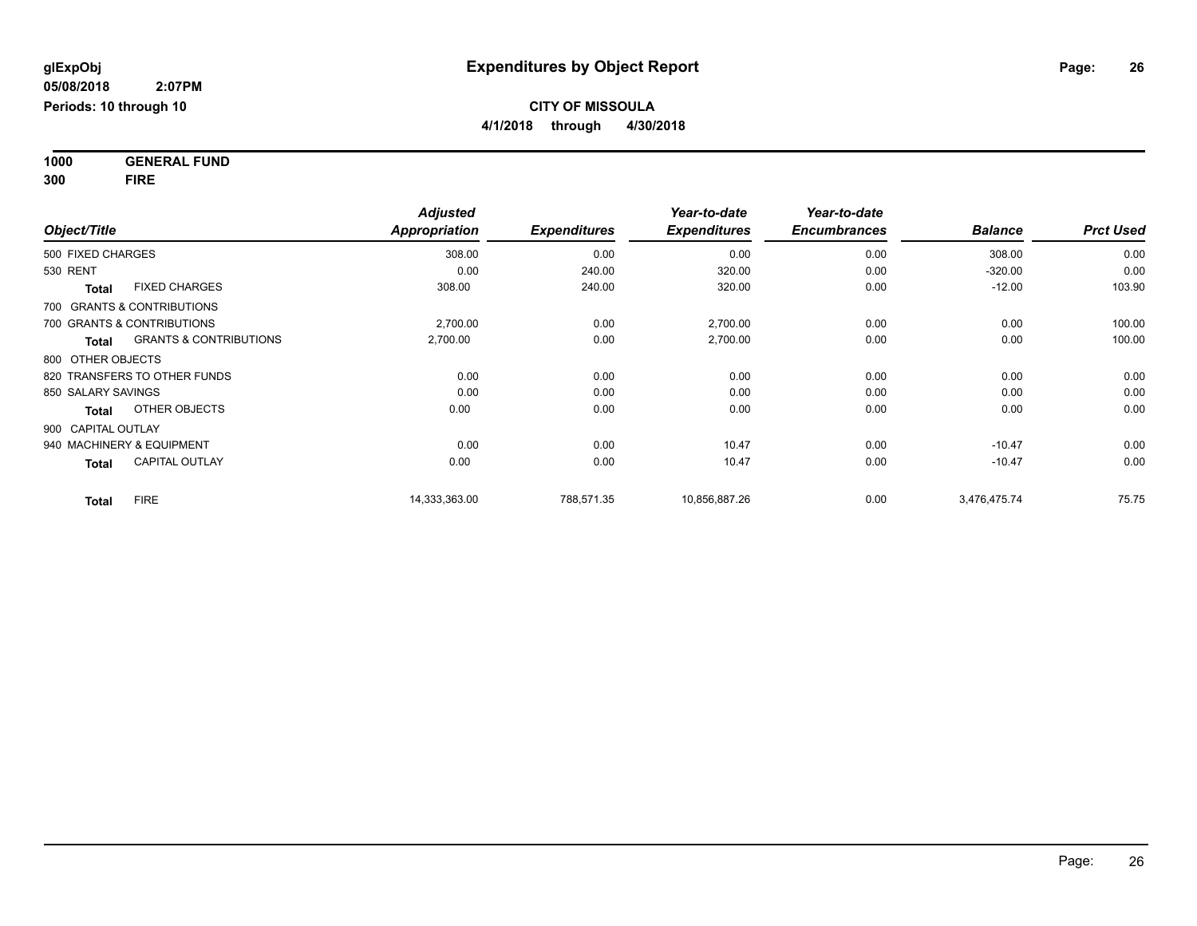**1000 GENERAL FUND 300 FIRE**

|                           |                                   | <b>Adjusted</b>      |                     | Year-to-date        | Year-to-date        |                |                  |
|---------------------------|-----------------------------------|----------------------|---------------------|---------------------|---------------------|----------------|------------------|
| Object/Title              |                                   | <b>Appropriation</b> | <b>Expenditures</b> | <b>Expenditures</b> | <b>Encumbrances</b> | <b>Balance</b> | <b>Prct Used</b> |
| 500 FIXED CHARGES         |                                   | 308.00               | 0.00                | 0.00                | 0.00                | 308.00         | 0.00             |
| <b>530 RENT</b>           |                                   | 0.00                 | 240.00              | 320.00              | 0.00                | $-320.00$      | 0.00             |
| <b>Total</b>              | <b>FIXED CHARGES</b>              | 308.00               | 240.00              | 320.00              | 0.00                | $-12.00$       | 103.90           |
|                           | 700 GRANTS & CONTRIBUTIONS        |                      |                     |                     |                     |                |                  |
|                           | 700 GRANTS & CONTRIBUTIONS        | 2,700.00             | 0.00                | 2,700.00            | 0.00                | 0.00           | 100.00           |
| <b>Total</b>              | <b>GRANTS &amp; CONTRIBUTIONS</b> | 2,700.00             | 0.00                | 2,700.00            | 0.00                | 0.00           | 100.00           |
| 800 OTHER OBJECTS         |                                   |                      |                     |                     |                     |                |                  |
|                           | 820 TRANSFERS TO OTHER FUNDS      | 0.00                 | 0.00                | 0.00                | 0.00                | 0.00           | 0.00             |
| 850 SALARY SAVINGS        |                                   | 0.00                 | 0.00                | 0.00                | 0.00                | 0.00           | 0.00             |
| <b>Total</b>              | OTHER OBJECTS                     | 0.00                 | 0.00                | 0.00                | 0.00                | 0.00           | 0.00             |
| 900 CAPITAL OUTLAY        |                                   |                      |                     |                     |                     |                |                  |
| 940 MACHINERY & EQUIPMENT |                                   | 0.00                 | 0.00                | 10.47               | 0.00                | $-10.47$       | 0.00             |
| <b>Total</b>              | <b>CAPITAL OUTLAY</b>             | 0.00                 | 0.00                | 10.47               | 0.00                | $-10.47$       | 0.00             |
| <b>Total</b>              | <b>FIRE</b>                       | 14,333,363.00        | 788,571.35          | 10,856,887.26       | 0.00                | 3,476,475.74   | 75.75            |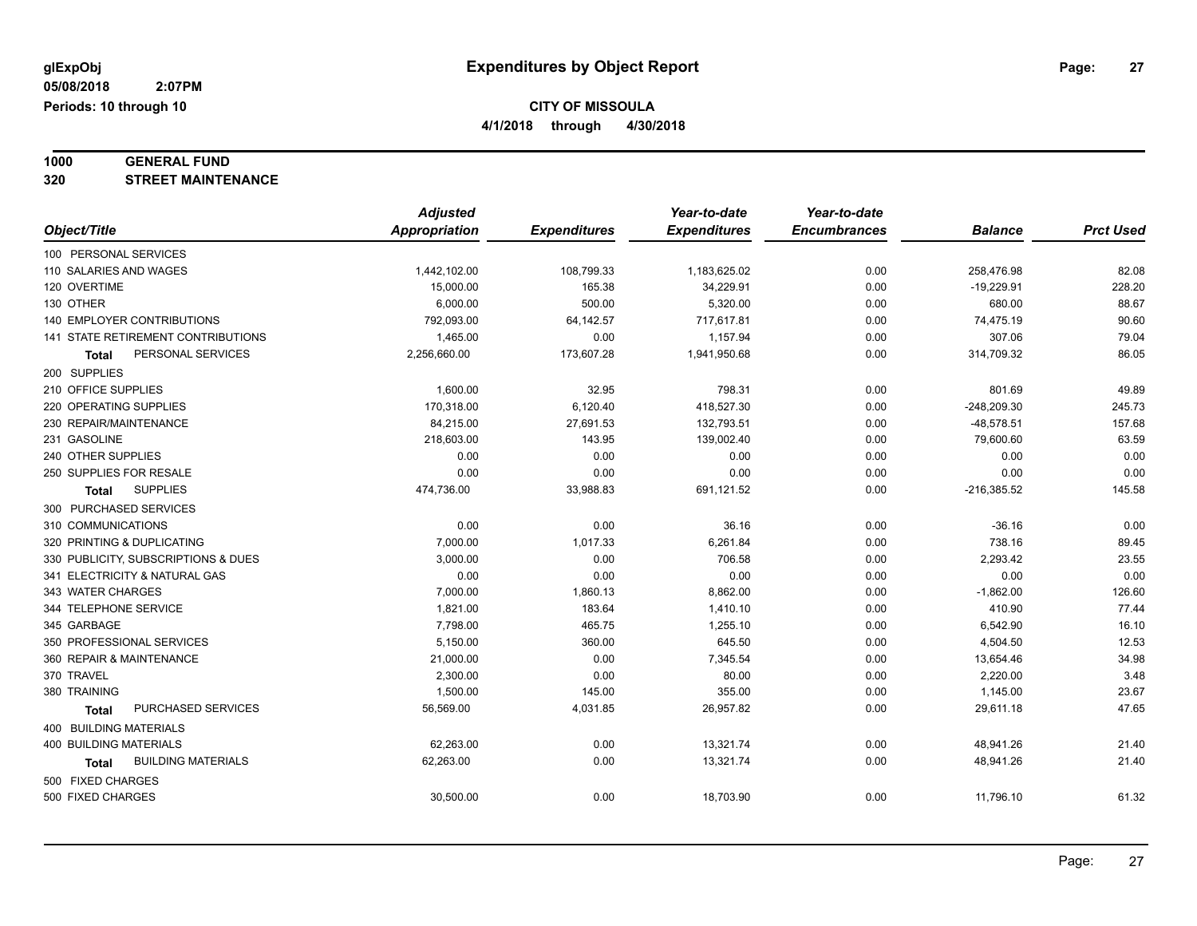# **1000 GENERAL FUND**

**320 STREET MAINTENANCE**

|                                           | <b>Adjusted</b> |                     | Year-to-date        | Year-to-date        |                |                  |
|-------------------------------------------|-----------------|---------------------|---------------------|---------------------|----------------|------------------|
| Object/Title                              | Appropriation   | <b>Expenditures</b> | <b>Expenditures</b> | <b>Encumbrances</b> | <b>Balance</b> | <b>Prct Used</b> |
| 100 PERSONAL SERVICES                     |                 |                     |                     |                     |                |                  |
| 110 SALARIES AND WAGES                    | 1,442,102.00    | 108,799.33          | 1,183,625.02        | 0.00                | 258,476.98     | 82.08            |
| 120 OVERTIME                              | 15,000.00       | 165.38              | 34,229.91           | 0.00                | $-19,229.91$   | 228.20           |
| 130 OTHER                                 | 6,000.00        | 500.00              | 5,320.00            | 0.00                | 680.00         | 88.67            |
| <b>140 EMPLOYER CONTRIBUTIONS</b>         | 792,093.00      | 64,142.57           | 717,617.81          | 0.00                | 74,475.19      | 90.60            |
| 141 STATE RETIREMENT CONTRIBUTIONS        | 1,465.00        | 0.00                | 1,157.94            | 0.00                | 307.06         | 79.04            |
| PERSONAL SERVICES<br>Total                | 2,256,660.00    | 173,607.28          | 1,941,950.68        | 0.00                | 314,709.32     | 86.05            |
| 200 SUPPLIES                              |                 |                     |                     |                     |                |                  |
| 210 OFFICE SUPPLIES                       | 1,600.00        | 32.95               | 798.31              | 0.00                | 801.69         | 49.89            |
| 220 OPERATING SUPPLIES                    | 170,318.00      | 6,120.40            | 418,527.30          | 0.00                | $-248,209.30$  | 245.73           |
| 230 REPAIR/MAINTENANCE                    | 84,215.00       | 27,691.53           | 132,793.51          | 0.00                | $-48,578.51$   | 157.68           |
| 231 GASOLINE                              | 218,603.00      | 143.95              | 139,002.40          | 0.00                | 79,600.60      | 63.59            |
| 240 OTHER SUPPLIES                        | 0.00            | 0.00                | 0.00                | 0.00                | 0.00           | 0.00             |
| 250 SUPPLIES FOR RESALE                   | 0.00            | 0.00                | 0.00                | 0.00                | 0.00           | 0.00             |
| <b>SUPPLIES</b><br><b>Total</b>           | 474,736.00      | 33,988.83           | 691,121.52          | 0.00                | $-216,385.52$  | 145.58           |
| 300 PURCHASED SERVICES                    |                 |                     |                     |                     |                |                  |
| 310 COMMUNICATIONS                        | 0.00            | 0.00                | 36.16               | 0.00                | $-36.16$       | 0.00             |
| 320 PRINTING & DUPLICATING                | 7,000.00        | 1,017.33            | 6,261.84            | 0.00                | 738.16         | 89.45            |
| 330 PUBLICITY, SUBSCRIPTIONS & DUES       | 3,000.00        | 0.00                | 706.58              | 0.00                | 2,293.42       | 23.55            |
| 341 ELECTRICITY & NATURAL GAS             | 0.00            | 0.00                | 0.00                | 0.00                | 0.00           | 0.00             |
| 343 WATER CHARGES                         | 7,000.00        | 1,860.13            | 8,862.00            | 0.00                | $-1,862.00$    | 126.60           |
| 344 TELEPHONE SERVICE                     | 1,821.00        | 183.64              | 1,410.10            | 0.00                | 410.90         | 77.44            |
| 345 GARBAGE                               | 7,798.00        | 465.75              | 1,255.10            | 0.00                | 6,542.90       | 16.10            |
| 350 PROFESSIONAL SERVICES                 | 5,150.00        | 360.00              | 645.50              | 0.00                | 4,504.50       | 12.53            |
| 360 REPAIR & MAINTENANCE                  | 21,000.00       | 0.00                | 7,345.54            | 0.00                | 13,654.46      | 34.98            |
| 370 TRAVEL                                | 2,300.00        | 0.00                | 80.00               | 0.00                | 2,220.00       | 3.48             |
| 380 TRAINING                              | 1,500.00        | 145.00              | 355.00              | 0.00                | 1,145.00       | 23.67            |
| PURCHASED SERVICES<br>Total               | 56,569.00       | 4,031.85            | 26,957.82           | 0.00                | 29,611.18      | 47.65            |
| 400 BUILDING MATERIALS                    |                 |                     |                     |                     |                |                  |
| <b>400 BUILDING MATERIALS</b>             | 62,263.00       | 0.00                | 13,321.74           | 0.00                | 48,941.26      | 21.40            |
| <b>BUILDING MATERIALS</b><br><b>Total</b> | 62,263.00       | 0.00                | 13,321.74           | 0.00                | 48,941.26      | 21.40            |
| 500 FIXED CHARGES                         |                 |                     |                     |                     |                |                  |
| 500 FIXED CHARGES                         | 30,500.00       | 0.00                | 18,703.90           | 0.00                | 11,796.10      | 61.32            |
|                                           |                 |                     |                     |                     |                |                  |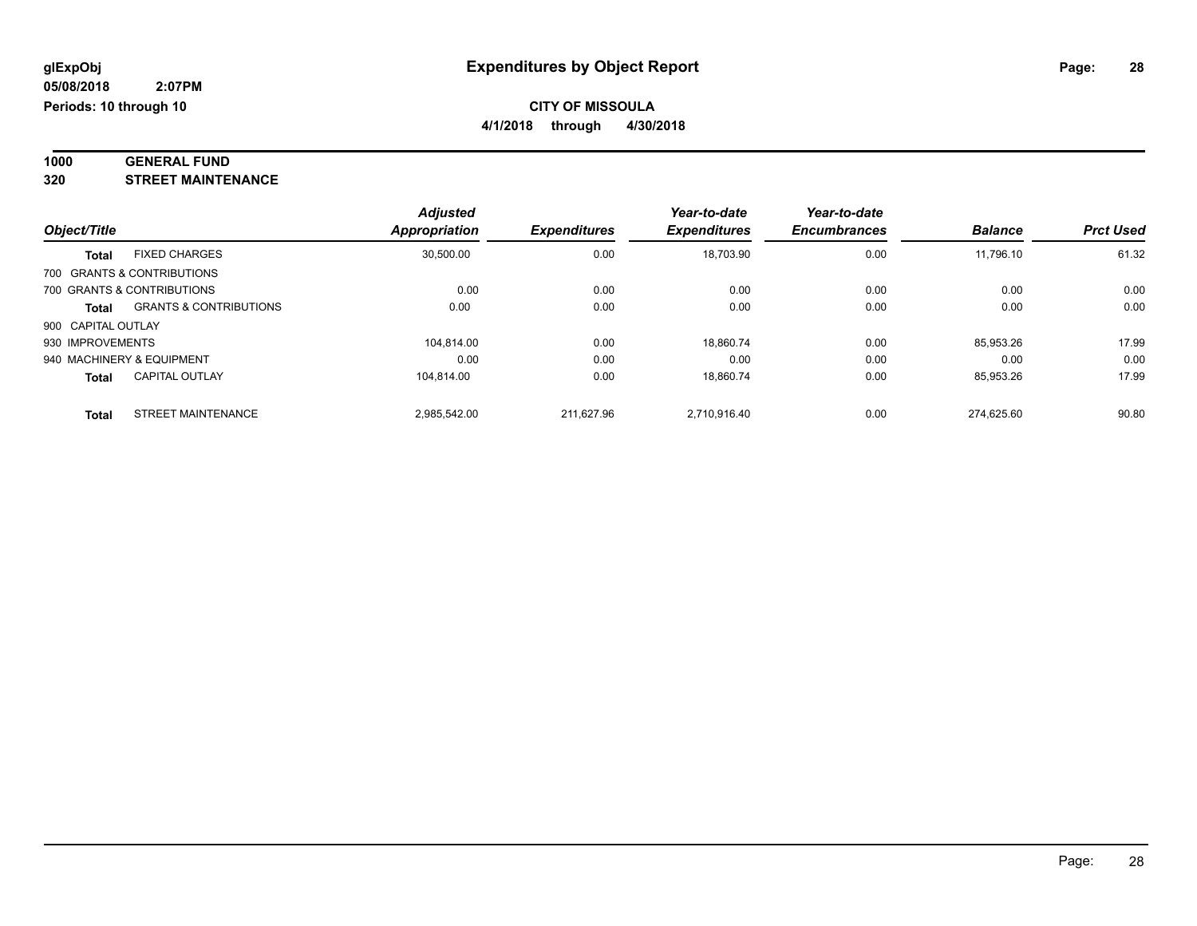**Prct Used** 

### **CITY OF MISSOULA 4/1/2018 through 4/30/2018**

#### **1000 GENERAL FUND 320 STREET MAINTENANCE**

| ◡▴◡                | 9111211117111177777               |                                         |                     |                                     |                                     |                |                  |
|--------------------|-----------------------------------|-----------------------------------------|---------------------|-------------------------------------|-------------------------------------|----------------|------------------|
| Object/Title       |                                   | <b>Adjusted</b><br><b>Appropriation</b> | <b>Expenditures</b> | Year-to-date<br><b>Expenditures</b> | Year-to-date<br><b>Encumbrances</b> | <b>Balance</b> | <b>Prct Used</b> |
| <b>Total</b>       | <b>FIXED CHARGES</b>              | 30,500.00                               | 0.00                | 18,703.90                           | 0.00                                | 11,796.10      | 61.32            |
|                    | 700 GRANTS & CONTRIBUTIONS        |                                         |                     |                                     |                                     |                |                  |
|                    | 700 GRANTS & CONTRIBUTIONS        | 0.00                                    | 0.00                | 0.00                                | 0.00                                | 0.00           | 0.00             |
| Total              | <b>GRANTS &amp; CONTRIBUTIONS</b> | 0.00                                    | 0.00                | 0.00                                | 0.00                                | 0.00           | 0.00             |
| 900 CAPITAL OUTLAY |                                   |                                         |                     |                                     |                                     |                |                  |
| 930 IMPROVEMENTS   |                                   | 104.814.00                              | 0.00                | 18.860.74                           | 0.00                                | 85,953.26      | 17.99            |
|                    | 940 MACHINERY & EQUIPMENT         | 0.00                                    | 0.00                | 0.00                                | 0.00                                | 0.00           | 0.00             |
| <b>Total</b>       | <b>CAPITAL OUTLAY</b>             | 104,814.00                              | 0.00                | 18,860.74                           | 0.00                                | 85,953.26      | 17.99            |
| <b>Total</b>       | <b>STREET MAINTENANCE</b>         | 2,985,542.00                            | 211,627.96          | 2,710,916.40                        | 0.00                                | 274,625.60     | 90.80            |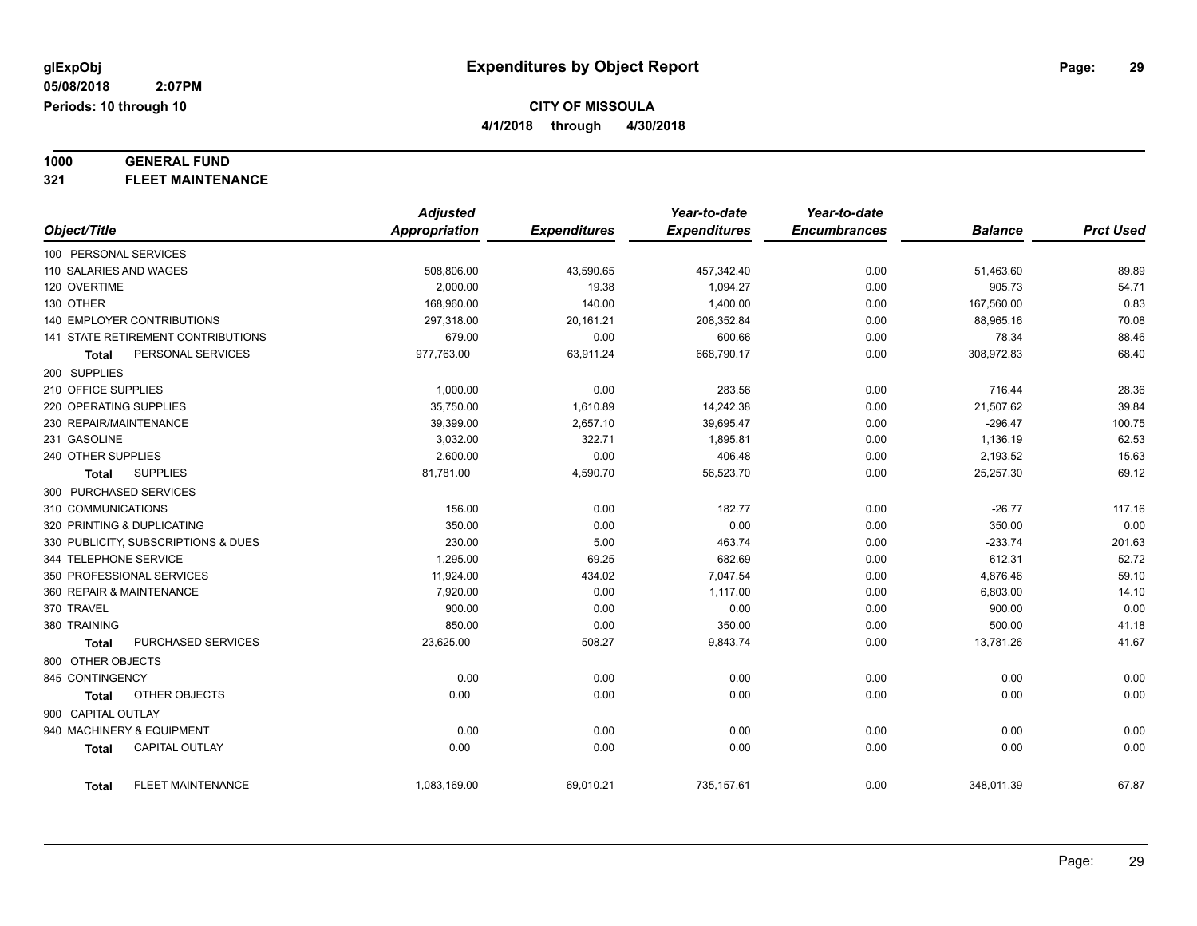## **1000 GENERAL FUND**

**321 FLEET MAINTENANCE**

|                                          |  | <b>Adjusted</b>      |                     | Year-to-date        | Year-to-date        |                |                  |
|------------------------------------------|--|----------------------|---------------------|---------------------|---------------------|----------------|------------------|
| Object/Title                             |  | <b>Appropriation</b> | <b>Expenditures</b> | <b>Expenditures</b> | <b>Encumbrances</b> | <b>Balance</b> | <b>Prct Used</b> |
| 100 PERSONAL SERVICES                    |  |                      |                     |                     |                     |                |                  |
| 110 SALARIES AND WAGES                   |  | 508,806.00           | 43,590.65           | 457,342.40          | 0.00                | 51,463.60      | 89.89            |
| 120 OVERTIME                             |  | 2.000.00             | 19.38               | 1,094.27            | 0.00                | 905.73         | 54.71            |
| 130 OTHER                                |  | 168,960.00           | 140.00              | 1,400.00            | 0.00                | 167,560.00     | 0.83             |
| <b>140 EMPLOYER CONTRIBUTIONS</b>        |  | 297,318.00           | 20,161.21           | 208,352.84          | 0.00                | 88,965.16      | 70.08            |
| 141 STATE RETIREMENT CONTRIBUTIONS       |  | 679.00               | 0.00                | 600.66              | 0.00                | 78.34          | 88.46            |
| PERSONAL SERVICES<br><b>Total</b>        |  | 977,763.00           | 63,911.24           | 668,790.17          | 0.00                | 308,972.83     | 68.40            |
| 200 SUPPLIES                             |  |                      |                     |                     |                     |                |                  |
| 210 OFFICE SUPPLIES                      |  | 1,000.00             | 0.00                | 283.56              | 0.00                | 716.44         | 28.36            |
| 220 OPERATING SUPPLIES                   |  | 35,750.00            | 1,610.89            | 14,242.38           | 0.00                | 21,507.62      | 39.84            |
| 230 REPAIR/MAINTENANCE                   |  | 39,399.00            | 2,657.10            | 39,695.47           | 0.00                | $-296.47$      | 100.75           |
| 231 GASOLINE                             |  | 3,032.00             | 322.71              | 1,895.81            | 0.00                | 1,136.19       | 62.53            |
| 240 OTHER SUPPLIES                       |  | 2,600.00             | 0.00                | 406.48              | 0.00                | 2,193.52       | 15.63            |
| <b>SUPPLIES</b><br>Total                 |  | 81,781.00            | 4,590.70            | 56,523.70           | 0.00                | 25,257.30      | 69.12            |
| 300 PURCHASED SERVICES                   |  |                      |                     |                     |                     |                |                  |
| 310 COMMUNICATIONS                       |  | 156.00               | 0.00                | 182.77              | 0.00                | $-26.77$       | 117.16           |
| 320 PRINTING & DUPLICATING               |  | 350.00               | 0.00                | 0.00                | 0.00                | 350.00         | 0.00             |
| 330 PUBLICITY, SUBSCRIPTIONS & DUES      |  | 230.00               | 5.00                | 463.74              | 0.00                | $-233.74$      | 201.63           |
| 344 TELEPHONE SERVICE                    |  | 1,295.00             | 69.25               | 682.69              | 0.00                | 612.31         | 52.72            |
| 350 PROFESSIONAL SERVICES                |  | 11,924.00            | 434.02              | 7,047.54            | 0.00                | 4,876.46       | 59.10            |
| 360 REPAIR & MAINTENANCE                 |  | 7,920.00             | 0.00                | 1,117.00            | 0.00                | 6,803.00       | 14.10            |
| 370 TRAVEL                               |  | 900.00               | 0.00                | 0.00                | 0.00                | 900.00         | 0.00             |
| 380 TRAINING                             |  | 850.00               | 0.00                | 350.00              | 0.00                | 500.00         | 41.18            |
| PURCHASED SERVICES<br><b>Total</b>       |  | 23,625.00            | 508.27              | 9,843.74            | 0.00                | 13,781.26      | 41.67            |
| 800 OTHER OBJECTS                        |  |                      |                     |                     |                     |                |                  |
| 845 CONTINGENCY                          |  | 0.00                 | 0.00                | 0.00                | 0.00                | 0.00           | 0.00             |
| OTHER OBJECTS<br><b>Total</b>            |  | 0.00                 | 0.00                | 0.00                | 0.00                | 0.00           | 0.00             |
| 900 CAPITAL OUTLAY                       |  |                      |                     |                     |                     |                |                  |
| 940 MACHINERY & EQUIPMENT                |  | 0.00                 | 0.00                | 0.00                | 0.00                | 0.00           | 0.00             |
| <b>CAPITAL OUTLAY</b><br><b>Total</b>    |  | 0.00                 | 0.00                | 0.00                | 0.00                | 0.00           | 0.00             |
| <b>FLEET MAINTENANCE</b><br><b>Total</b> |  | 1,083,169.00         | 69,010.21           | 735,157.61          | 0.00                | 348,011.39     | 67.87            |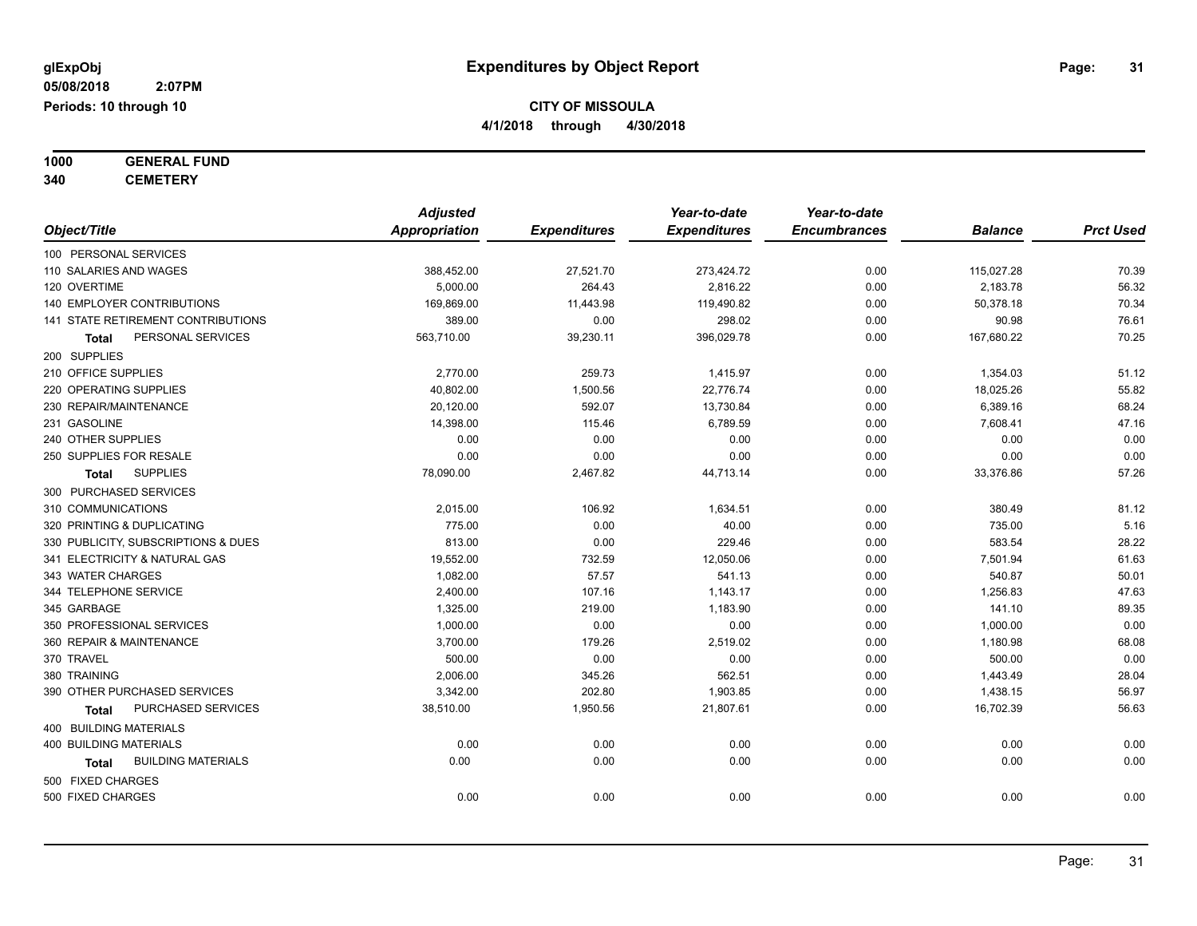**1000 GENERAL FUND**

**340 CEMETERY**

|                                     | <b>Adjusted</b>      |                     | Year-to-date        | Year-to-date        |                |                  |
|-------------------------------------|----------------------|---------------------|---------------------|---------------------|----------------|------------------|
| Object/Title                        | <b>Appropriation</b> | <b>Expenditures</b> | <b>Expenditures</b> | <b>Encumbrances</b> | <b>Balance</b> | <b>Prct Used</b> |
| 100 PERSONAL SERVICES               |                      |                     |                     |                     |                |                  |
| 110 SALARIES AND WAGES              | 388,452.00           | 27,521.70           | 273,424.72          | 0.00                | 115,027.28     | 70.39            |
| 120 OVERTIME                        | 5,000.00             | 264.43              | 2,816.22            | 0.00                | 2,183.78       | 56.32            |
| 140 EMPLOYER CONTRIBUTIONS          | 169,869.00           | 11,443.98           | 119,490.82          | 0.00                | 50,378.18      | 70.34            |
| 141 STATE RETIREMENT CONTRIBUTIONS  | 389.00               | 0.00                | 298.02              | 0.00                | 90.98          | 76.61            |
| PERSONAL SERVICES<br>Total          | 563,710.00           | 39,230.11           | 396,029.78          | 0.00                | 167,680.22     | 70.25            |
| 200 SUPPLIES                        |                      |                     |                     |                     |                |                  |
| 210 OFFICE SUPPLIES                 | 2,770.00             | 259.73              | 1,415.97            | 0.00                | 1,354.03       | 51.12            |
| 220 OPERATING SUPPLIES              | 40,802.00            | 1,500.56            | 22,776.74           | 0.00                | 18,025.26      | 55.82            |
| 230 REPAIR/MAINTENANCE              | 20,120.00            | 592.07              | 13,730.84           | 0.00                | 6,389.16       | 68.24            |
| 231 GASOLINE                        | 14,398.00            | 115.46              | 6,789.59            | 0.00                | 7,608.41       | 47.16            |
| 240 OTHER SUPPLIES                  | 0.00                 | 0.00                | 0.00                | 0.00                | 0.00           | 0.00             |
| 250 SUPPLIES FOR RESALE             | 0.00                 | 0.00                | 0.00                | 0.00                | 0.00           | 0.00             |
| <b>SUPPLIES</b><br><b>Total</b>     | 78,090.00            | 2,467.82            | 44,713.14           | 0.00                | 33,376.86      | 57.26            |
| 300 PURCHASED SERVICES              |                      |                     |                     |                     |                |                  |
| 310 COMMUNICATIONS                  | 2,015.00             | 106.92              | 1,634.51            | 0.00                | 380.49         | 81.12            |
| 320 PRINTING & DUPLICATING          | 775.00               | 0.00                | 40.00               | 0.00                | 735.00         | 5.16             |
| 330 PUBLICITY, SUBSCRIPTIONS & DUES | 813.00               | 0.00                | 229.46              | 0.00                | 583.54         | 28.22            |
| 341 ELECTRICITY & NATURAL GAS       | 19,552.00            | 732.59              | 12,050.06           | 0.00                | 7,501.94       | 61.63            |
| 343 WATER CHARGES                   | 1,082.00             | 57.57               | 541.13              | 0.00                | 540.87         | 50.01            |
| 344 TELEPHONE SERVICE               | 2.400.00             | 107.16              | 1,143.17            | 0.00                | 1,256.83       | 47.63            |
| 345 GARBAGE                         | 1,325.00             | 219.00              | 1,183.90            | 0.00                | 141.10         | 89.35            |
| 350 PROFESSIONAL SERVICES           | 1,000.00             | 0.00                | 0.00                | 0.00                | 1,000.00       | 0.00             |
| 360 REPAIR & MAINTENANCE            | 3,700.00             | 179.26              | 2,519.02            | 0.00                | 1,180.98       | 68.08            |
| 370 TRAVEL                          | 500.00               | 0.00                | 0.00                | 0.00                | 500.00         | 0.00             |
| 380 TRAINING                        | 2,006.00             | 345.26              | 562.51              | 0.00                | 1,443.49       | 28.04            |
| 390 OTHER PURCHASED SERVICES        | 3,342.00             | 202.80              | 1,903.85            | 0.00                | 1,438.15       | 56.97            |
| PURCHASED SERVICES<br>Total         | 38,510.00            | 1,950.56            | 21,807.61           | 0.00                | 16,702.39      | 56.63            |
| 400 BUILDING MATERIALS              |                      |                     |                     |                     |                |                  |
| <b>400 BUILDING MATERIALS</b>       | 0.00                 | 0.00                | 0.00                | 0.00                | 0.00           | 0.00             |
| <b>BUILDING MATERIALS</b><br>Total  | 0.00                 | 0.00                | 0.00                | 0.00                | 0.00           | 0.00             |
| 500 FIXED CHARGES                   |                      |                     |                     |                     |                |                  |
| 500 FIXED CHARGES                   | 0.00                 | 0.00                | 0.00                | 0.00                | 0.00           | 0.00             |
|                                     |                      |                     |                     |                     |                |                  |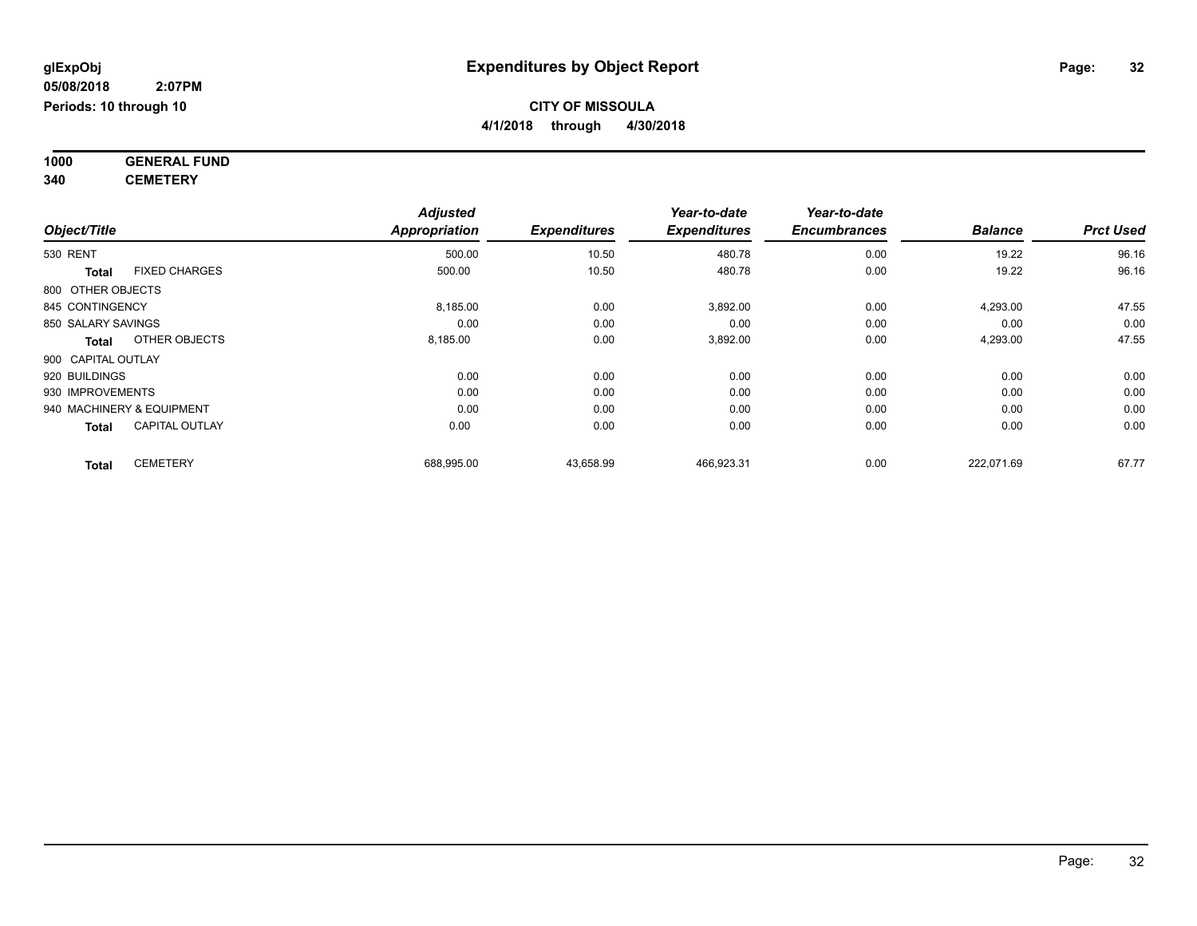**1000 GENERAL FUND 340 CEMETERY**

|                           |                       | <b>Adjusted</b> | <b>Expenditures</b> | Year-to-date<br><b>Expenditures</b> | Year-to-date<br><b>Encumbrances</b> | <b>Balance</b> | <b>Prct Used</b> |
|---------------------------|-----------------------|-----------------|---------------------|-------------------------------------|-------------------------------------|----------------|------------------|
| Object/Title              | <b>Appropriation</b>  |                 |                     |                                     |                                     |                |                  |
| <b>530 RENT</b>           |                       | 500.00          | 10.50               | 480.78                              | 0.00                                | 19.22          | 96.16            |
| <b>Total</b>              | <b>FIXED CHARGES</b>  | 500.00          | 10.50               | 480.78                              | 0.00                                | 19.22          | 96.16            |
| 800 OTHER OBJECTS         |                       |                 |                     |                                     |                                     |                |                  |
| 845 CONTINGENCY           |                       | 8,185.00        | 0.00                | 3,892.00                            | 0.00                                | 4,293.00       | 47.55            |
| 850 SALARY SAVINGS        |                       | 0.00            | 0.00                | 0.00                                | 0.00                                | 0.00           | 0.00             |
| <b>Total</b>              | OTHER OBJECTS         | 8,185.00        | 0.00                | 3,892.00                            | 0.00                                | 4,293.00       | 47.55            |
| 900 CAPITAL OUTLAY        |                       |                 |                     |                                     |                                     |                |                  |
| 920 BUILDINGS             |                       | 0.00            | 0.00                | 0.00                                | 0.00                                | 0.00           | 0.00             |
| 930 IMPROVEMENTS          |                       | 0.00            | 0.00                | 0.00                                | 0.00                                | 0.00           | 0.00             |
| 940 MACHINERY & EQUIPMENT |                       | 0.00            | 0.00                | 0.00                                | 0.00                                | 0.00           | 0.00             |
| <b>Total</b>              | <b>CAPITAL OUTLAY</b> | 0.00            | 0.00                | 0.00                                | 0.00                                | 0.00           | 0.00             |
| <b>Total</b>              | <b>CEMETERY</b>       | 688,995.00      | 43,658.99           | 466,923.31                          | 0.00                                | 222,071.69     | 67.77            |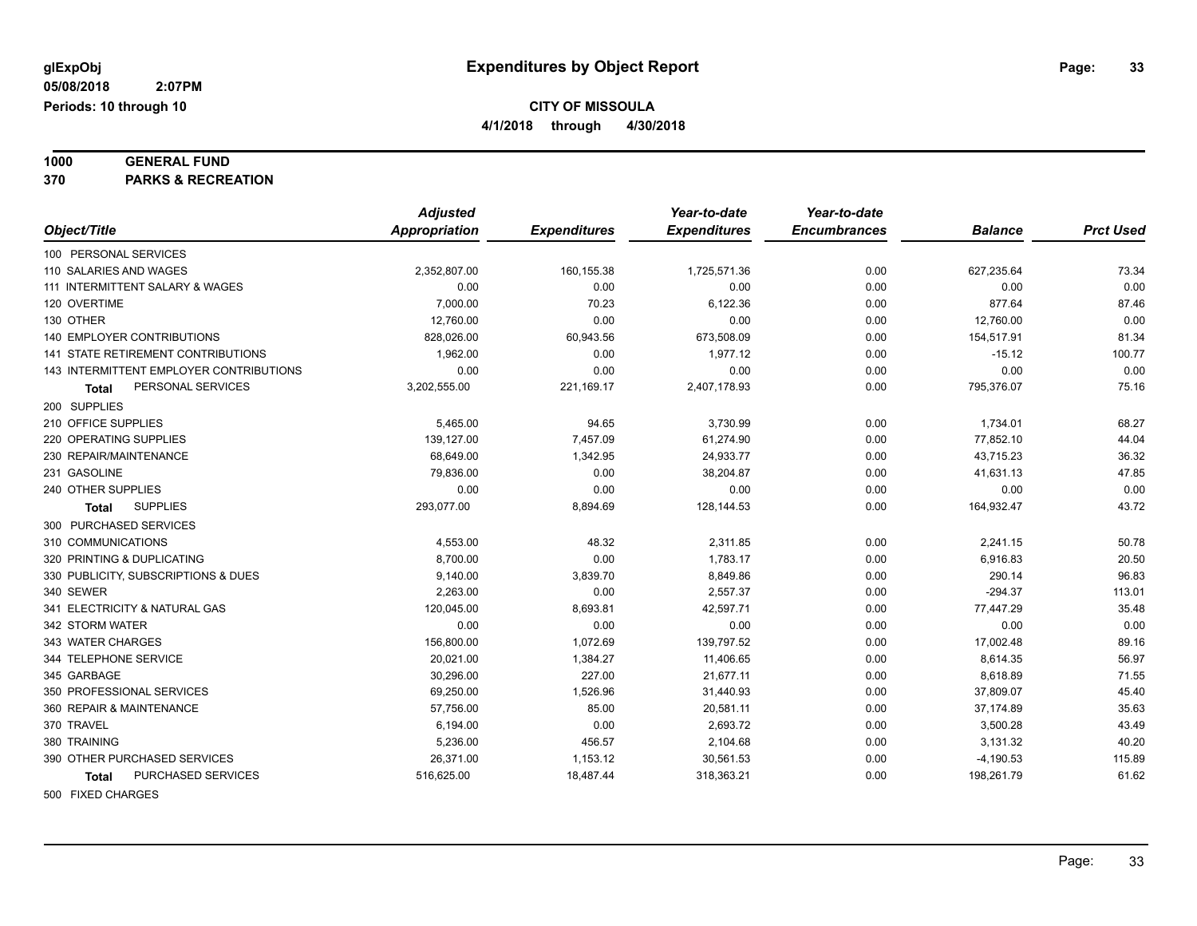## **1000 GENERAL FUND**

**370 PARKS & RECREATION**

|                                           | <b>Adjusted</b>      |                     | Year-to-date        | Year-to-date        |                |                  |
|-------------------------------------------|----------------------|---------------------|---------------------|---------------------|----------------|------------------|
| Object/Title                              | <b>Appropriation</b> | <b>Expenditures</b> | <b>Expenditures</b> | <b>Encumbrances</b> | <b>Balance</b> | <b>Prct Used</b> |
| 100 PERSONAL SERVICES                     |                      |                     |                     |                     |                |                  |
| 110 SALARIES AND WAGES                    | 2,352,807.00         | 160,155.38          | 1,725,571.36        | 0.00                | 627,235.64     | 73.34            |
| 111 INTERMITTENT SALARY & WAGES           | 0.00                 | 0.00                | 0.00                | 0.00                | 0.00           | 0.00             |
| 120 OVERTIME                              | 7,000.00             | 70.23               | 6,122.36            | 0.00                | 877.64         | 87.46            |
| 130 OTHER                                 | 12,760.00            | 0.00                | 0.00                | 0.00                | 12,760.00      | 0.00             |
| <b>140 EMPLOYER CONTRIBUTIONS</b>         | 828,026.00           | 60,943.56           | 673,508.09          | 0.00                | 154,517.91     | 81.34            |
| 141 STATE RETIREMENT CONTRIBUTIONS        | 1,962.00             | 0.00                | 1,977.12            | 0.00                | $-15.12$       | 100.77           |
| 143 INTERMITTENT EMPLOYER CONTRIBUTIONS   | 0.00                 | 0.00                | 0.00                | 0.00                | 0.00           | 0.00             |
| PERSONAL SERVICES<br><b>Total</b>         | 3,202,555.00         | 221,169.17          | 2,407,178.93        | 0.00                | 795,376.07     | 75.16            |
| 200 SUPPLIES                              |                      |                     |                     |                     |                |                  |
| 210 OFFICE SUPPLIES                       | 5,465.00             | 94.65               | 3,730.99            | 0.00                | 1,734.01       | 68.27            |
| 220 OPERATING SUPPLIES                    | 139,127.00           | 7,457.09            | 61,274.90           | 0.00                | 77,852.10      | 44.04            |
| 230 REPAIR/MAINTENANCE                    | 68,649.00            | 1,342.95            | 24,933.77           | 0.00                | 43,715.23      | 36.32            |
| 231 GASOLINE                              | 79,836.00            | 0.00                | 38,204.87           | 0.00                | 41,631.13      | 47.85            |
| 240 OTHER SUPPLIES                        | 0.00                 | 0.00                | 0.00                | 0.00                | 0.00           | 0.00             |
| <b>SUPPLIES</b><br><b>Total</b>           | 293,077.00           | 8,894.69            | 128,144.53          | 0.00                | 164,932.47     | 43.72            |
| 300 PURCHASED SERVICES                    |                      |                     |                     |                     |                |                  |
| 310 COMMUNICATIONS                        | 4,553.00             | 48.32               | 2,311.85            | 0.00                | 2,241.15       | 50.78            |
| 320 PRINTING & DUPLICATING                | 8,700.00             | 0.00                | 1,783.17            | 0.00                | 6,916.83       | 20.50            |
| 330 PUBLICITY, SUBSCRIPTIONS & DUES       | 9,140.00             | 3,839.70            | 8,849.86            | 0.00                | 290.14         | 96.83            |
| 340 SEWER                                 | 2,263.00             | 0.00                | 2,557.37            | 0.00                | $-294.37$      | 113.01           |
| 341 ELECTRICITY & NATURAL GAS             | 120,045.00           | 8,693.81            | 42.597.71           | 0.00                | 77,447.29      | 35.48            |
| 342 STORM WATER                           | 0.00                 | 0.00                | 0.00                | 0.00                | 0.00           | 0.00             |
| 343 WATER CHARGES                         | 156,800.00           | 1,072.69            | 139,797.52          | 0.00                | 17,002.48      | 89.16            |
| 344 TELEPHONE SERVICE                     | 20,021.00            | 1,384.27            | 11,406.65           | 0.00                | 8,614.35       | 56.97            |
| 345 GARBAGE                               | 30,296.00            | 227.00              | 21,677.11           | 0.00                | 8,618.89       | 71.55            |
| 350 PROFESSIONAL SERVICES                 | 69,250.00            | 1,526.96            | 31,440.93           | 0.00                | 37,809.07      | 45.40            |
| 360 REPAIR & MAINTENANCE                  | 57,756.00            | 85.00               | 20,581.11           | 0.00                | 37,174.89      | 35.63            |
| 370 TRAVEL                                | 6,194.00             | 0.00                | 2,693.72            | 0.00                | 3,500.28       | 43.49            |
| 380 TRAINING                              | 5,236.00             | 456.57              | 2,104.68            | 0.00                | 3,131.32       | 40.20            |
| 390 OTHER PURCHASED SERVICES              | 26,371.00            | 1,153.12            | 30,561.53           | 0.00                | $-4,190.53$    | 115.89           |
| <b>PURCHASED SERVICES</b><br><b>Total</b> | 516,625.00           | 18,487.44           | 318,363.21          | 0.00                | 198,261.79     | 61.62            |
|                                           |                      |                     |                     |                     |                |                  |

500 FIXED CHARGES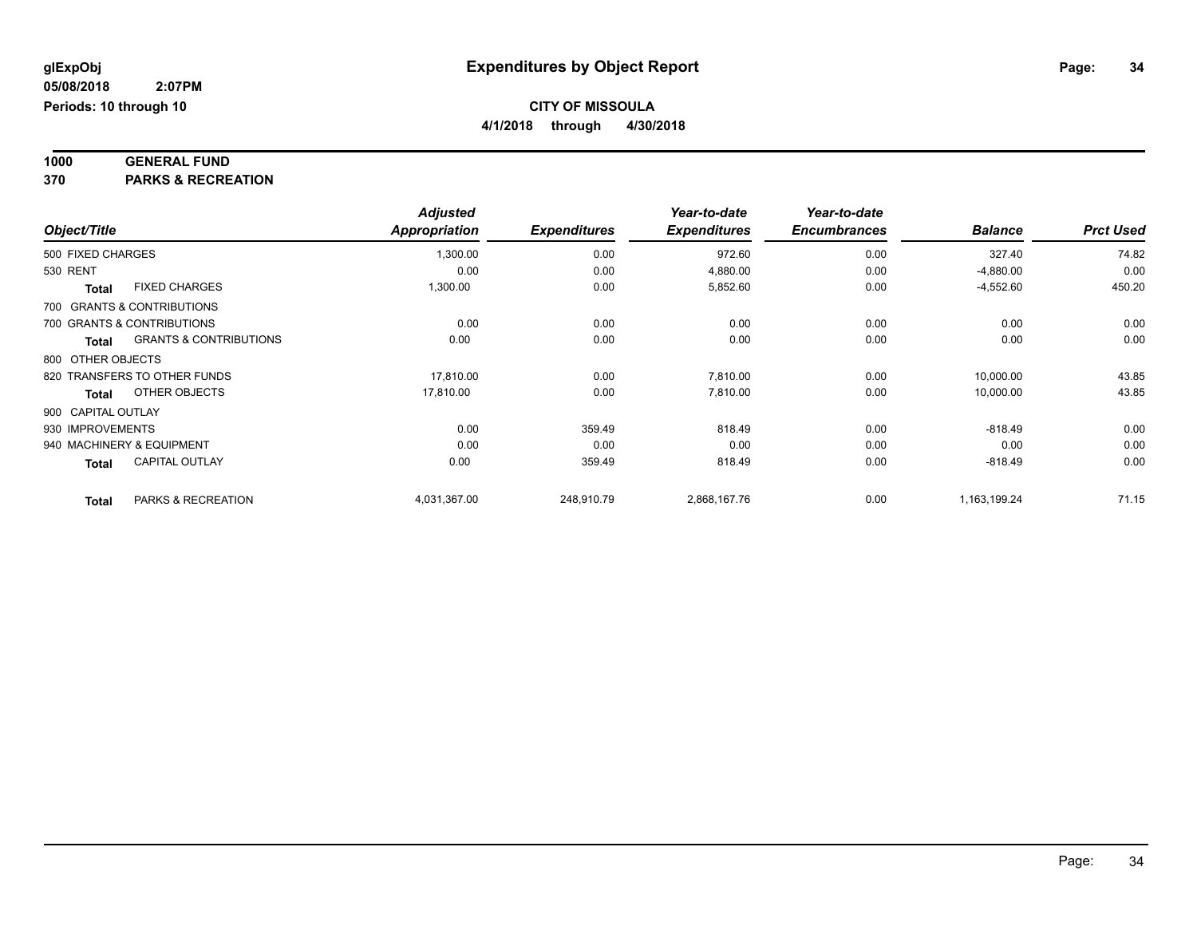# **1000 GENERAL FUND**

**370 PARKS & RECREATION**

| Object/Title              |                                   | <b>Adjusted</b><br><b>Appropriation</b> | <b>Expenditures</b> | Year-to-date<br><b>Expenditures</b> | Year-to-date<br><b>Encumbrances</b> | <b>Balance</b> | <b>Prct Used</b> |
|---------------------------|-----------------------------------|-----------------------------------------|---------------------|-------------------------------------|-------------------------------------|----------------|------------------|
| 500 FIXED CHARGES         |                                   | 1,300.00                                | 0.00                | 972.60                              | 0.00                                | 327.40         | 74.82            |
| <b>530 RENT</b>           |                                   | 0.00                                    | 0.00                | 4,880.00                            | 0.00                                | $-4,880.00$    | 0.00             |
| <b>Total</b>              | <b>FIXED CHARGES</b>              | 1,300.00                                | 0.00                | 5,852.60                            | 0.00                                | $-4,552.60$    | 450.20           |
|                           | 700 GRANTS & CONTRIBUTIONS        |                                         |                     |                                     |                                     |                |                  |
|                           | 700 GRANTS & CONTRIBUTIONS        | 0.00                                    | 0.00                | 0.00                                | 0.00                                | 0.00           | 0.00             |
| <b>Total</b>              | <b>GRANTS &amp; CONTRIBUTIONS</b> | 0.00                                    | 0.00                | 0.00                                | 0.00                                | 0.00           | 0.00             |
| 800 OTHER OBJECTS         |                                   |                                         |                     |                                     |                                     |                |                  |
|                           | 820 TRANSFERS TO OTHER FUNDS      | 17,810.00                               | 0.00                | 7,810.00                            | 0.00                                | 10,000.00      | 43.85            |
| <b>Total</b>              | OTHER OBJECTS                     | 17,810.00                               | 0.00                | 7,810.00                            | 0.00                                | 10,000.00      | 43.85            |
| 900 CAPITAL OUTLAY        |                                   |                                         |                     |                                     |                                     |                |                  |
| 930 IMPROVEMENTS          |                                   | 0.00                                    | 359.49              | 818.49                              | 0.00                                | $-818.49$      | 0.00             |
| 940 MACHINERY & EQUIPMENT |                                   | 0.00                                    | 0.00                | 0.00                                | 0.00                                | 0.00           | 0.00             |
| Total                     | <b>CAPITAL OUTLAY</b>             | 0.00                                    | 359.49              | 818.49                              | 0.00                                | $-818.49$      | 0.00             |
| <b>Total</b>              | PARKS & RECREATION                | 4,031,367.00                            | 248.910.79          | 2,868,167.76                        | 0.00                                | 1,163,199.24   | 71.15            |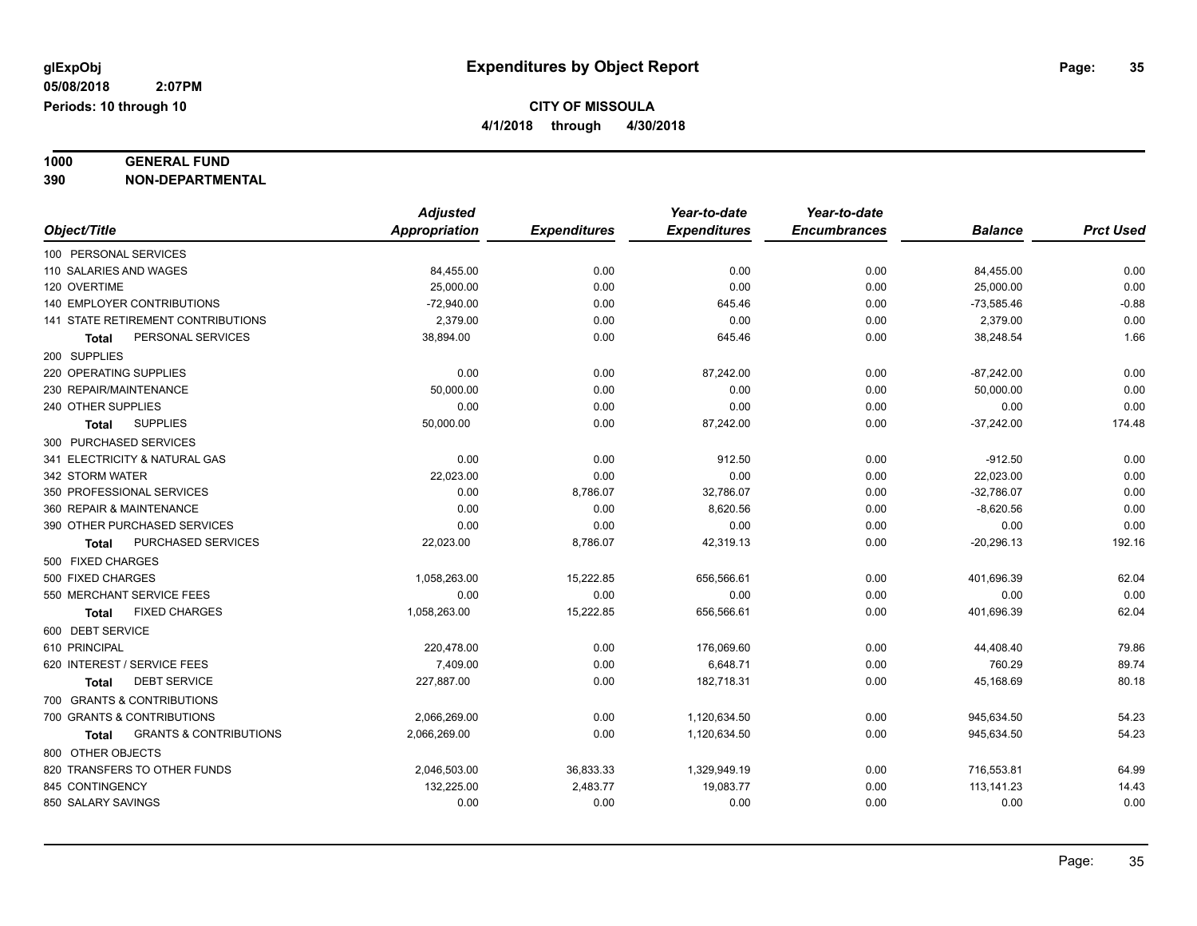# **1000 GENERAL FUND**

**390 NON-DEPARTMENTAL**

|                                                   | <b>Adjusted</b> |                     | Year-to-date        | Year-to-date        |                |                  |
|---------------------------------------------------|-----------------|---------------------|---------------------|---------------------|----------------|------------------|
| Object/Title                                      | Appropriation   | <b>Expenditures</b> | <b>Expenditures</b> | <b>Encumbrances</b> | <b>Balance</b> | <b>Prct Used</b> |
| 100 PERSONAL SERVICES                             |                 |                     |                     |                     |                |                  |
| 110 SALARIES AND WAGES                            | 84,455.00       | 0.00                | 0.00                | 0.00                | 84,455.00      | 0.00             |
| 120 OVERTIME                                      | 25,000.00       | 0.00                | 0.00                | 0.00                | 25,000.00      | 0.00             |
| 140 EMPLOYER CONTRIBUTIONS                        | $-72,940.00$    | 0.00                | 645.46              | 0.00                | $-73,585.46$   | $-0.88$          |
| 141 STATE RETIREMENT CONTRIBUTIONS                | 2,379.00        | 0.00                | 0.00                | 0.00                | 2,379.00       | 0.00             |
| PERSONAL SERVICES<br><b>Total</b>                 | 38,894.00       | 0.00                | 645.46              | 0.00                | 38,248.54      | 1.66             |
| 200 SUPPLIES                                      |                 |                     |                     |                     |                |                  |
| 220 OPERATING SUPPLIES                            | 0.00            | 0.00                | 87,242.00           | 0.00                | $-87,242.00$   | 0.00             |
| 230 REPAIR/MAINTENANCE                            | 50,000.00       | 0.00                | 0.00                | 0.00                | 50,000.00      | 0.00             |
| 240 OTHER SUPPLIES                                | 0.00            | 0.00                | 0.00                | 0.00                | 0.00           | 0.00             |
| <b>SUPPLIES</b><br>Total                          | 50,000.00       | 0.00                | 87,242.00           | 0.00                | $-37,242.00$   | 174.48           |
| 300 PURCHASED SERVICES                            |                 |                     |                     |                     |                |                  |
| 341 ELECTRICITY & NATURAL GAS                     | 0.00            | 0.00                | 912.50              | 0.00                | $-912.50$      | 0.00             |
| 342 STORM WATER                                   | 22,023.00       | 0.00                | 0.00                | 0.00                | 22,023.00      | 0.00             |
| 350 PROFESSIONAL SERVICES                         | 0.00            | 8,786.07            | 32,786.07           | 0.00                | $-32,786.07$   | 0.00             |
| 360 REPAIR & MAINTENANCE                          | 0.00            | 0.00                | 8,620.56            | 0.00                | $-8,620.56$    | 0.00             |
| 390 OTHER PURCHASED SERVICES                      | 0.00            | 0.00                | 0.00                | 0.00                | 0.00           | 0.00             |
| PURCHASED SERVICES<br>Total                       | 22,023.00       | 8,786.07            | 42,319.13           | 0.00                | $-20,296.13$   | 192.16           |
| 500 FIXED CHARGES                                 |                 |                     |                     |                     |                |                  |
| 500 FIXED CHARGES                                 | 1,058,263.00    | 15,222.85           | 656,566.61          | 0.00                | 401,696.39     | 62.04            |
| 550 MERCHANT SERVICE FEES                         | 0.00            | 0.00                | 0.00                | 0.00                | 0.00           | 0.00             |
| <b>FIXED CHARGES</b><br>Total                     | 1,058,263.00    | 15,222.85           | 656,566.61          | 0.00                | 401,696.39     | 62.04            |
| 600 DEBT SERVICE                                  |                 |                     |                     |                     |                |                  |
| 610 PRINCIPAL                                     | 220,478.00      | 0.00                | 176,069.60          | 0.00                | 44,408.40      | 79.86            |
| 620 INTEREST / SERVICE FEES                       | 7,409.00        | 0.00                | 6,648.71            | 0.00                | 760.29         | 89.74            |
| <b>DEBT SERVICE</b><br><b>Total</b>               | 227,887.00      | 0.00                | 182,718.31          | 0.00                | 45,168.69      | 80.18            |
| 700 GRANTS & CONTRIBUTIONS                        |                 |                     |                     |                     |                |                  |
| 700 GRANTS & CONTRIBUTIONS                        | 2,066,269.00    | 0.00                | 1,120,634.50        | 0.00                | 945,634.50     | 54.23            |
| <b>GRANTS &amp; CONTRIBUTIONS</b><br><b>Total</b> | 2,066,269.00    | 0.00                | 1,120,634.50        | 0.00                | 945,634.50     | 54.23            |
| 800 OTHER OBJECTS                                 |                 |                     |                     |                     |                |                  |
| 820 TRANSFERS TO OTHER FUNDS                      | 2,046,503.00    | 36,833.33           | 1,329,949.19        | 0.00                | 716,553.81     | 64.99            |
| 845 CONTINGENCY                                   | 132,225.00      | 2,483.77            | 19,083.77           | 0.00                | 113,141.23     | 14.43            |
| 850 SALARY SAVINGS                                | 0.00            | 0.00                | 0.00                | 0.00                | 0.00           | 0.00             |
|                                                   |                 |                     |                     |                     |                |                  |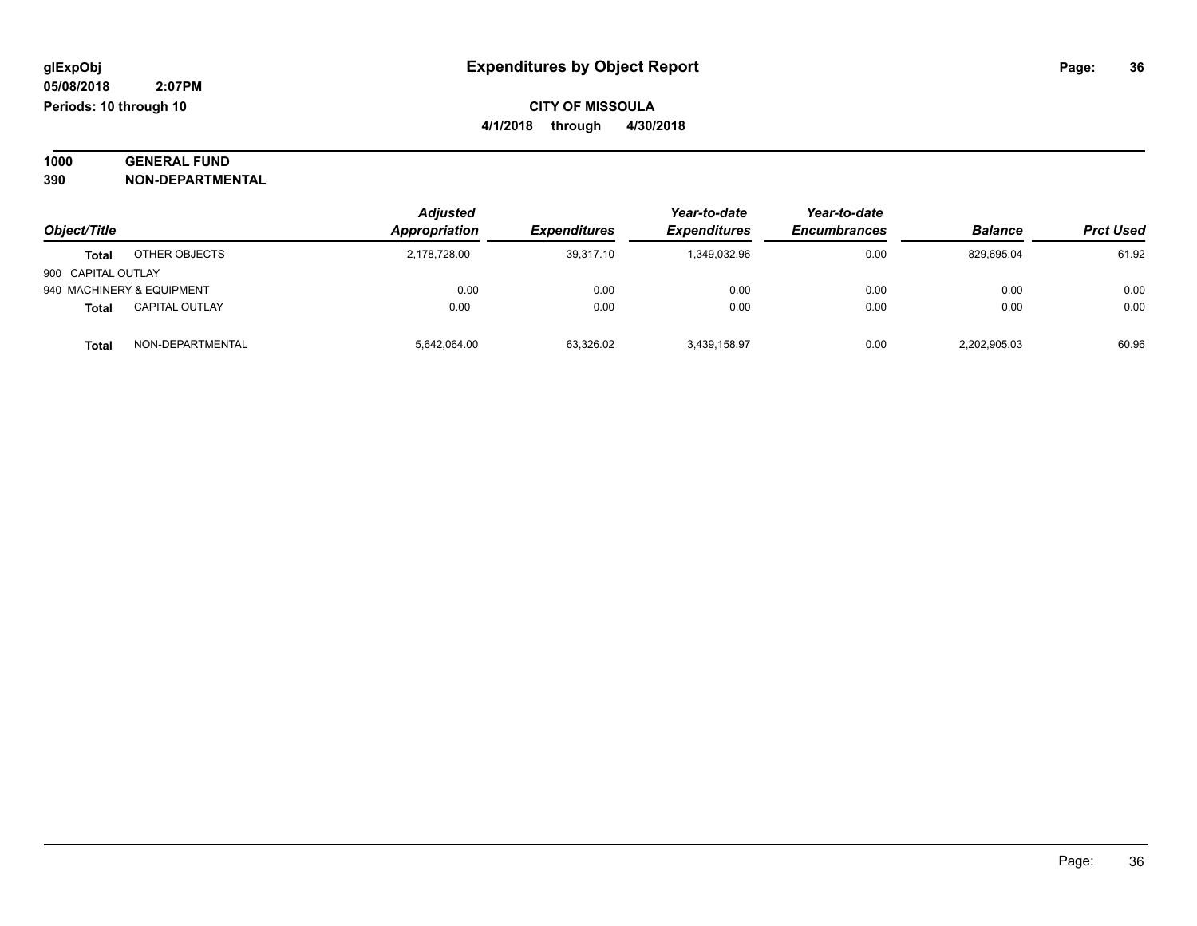### **1000 GENERAL FUND 390 NON-DEPARTMENTAL**

| Object/Title              |                       | <b>Adjusted</b><br>Appropriation | <b>Expenditures</b> | Year-to-date<br><b>Expenditures</b> | Year-to-date<br><b>Encumbrances</b> | <b>Balance</b> | <b>Prct Used</b> |
|---------------------------|-----------------------|----------------------------------|---------------------|-------------------------------------|-------------------------------------|----------------|------------------|
| <b>Total</b>              | OTHER OBJECTS         | 2.178.728.00                     | 39.317.10           | 1.349.032.96                        | 0.00                                | 829.695.04     | 61.92            |
| 900 CAPITAL OUTLAY        |                       |                                  |                     |                                     |                                     |                |                  |
| 940 MACHINERY & EQUIPMENT |                       | 0.00                             | 0.00                | 0.00                                | 0.00                                | 0.00           | 0.00             |
| <b>Total</b>              | <b>CAPITAL OUTLAY</b> | 0.00                             | 0.00                | 0.00                                | 0.00                                | 0.00           | 0.00             |
| Total                     | NON-DEPARTMENTAL      | 5,642,064.00                     | 63,326.02           | 3,439,158.97                        | 0.00                                | 2,202,905.03   | 60.96            |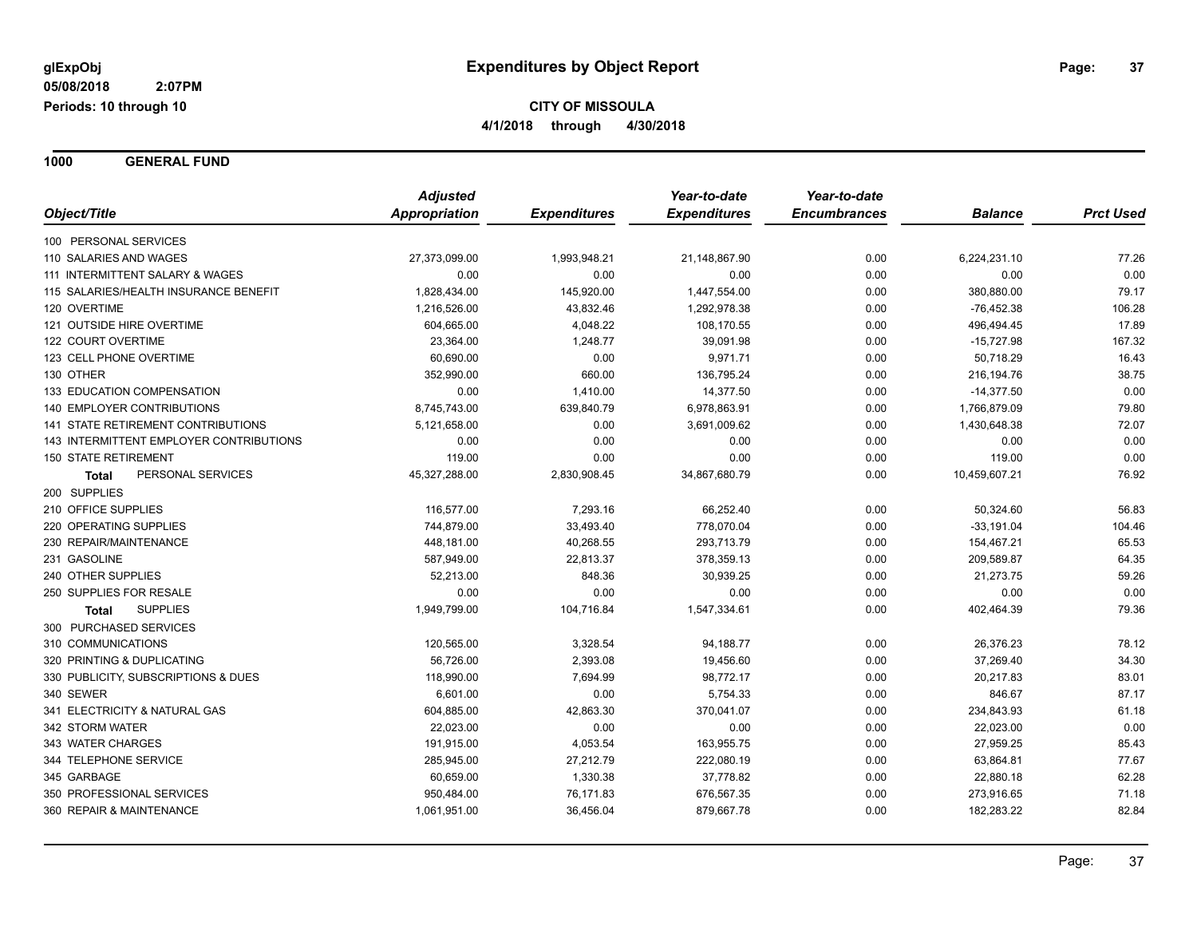**1000 GENERAL FUND**

|                                           | <b>Adjusted</b> |                     | Year-to-date        | Year-to-date        |                |                  |
|-------------------------------------------|-----------------|---------------------|---------------------|---------------------|----------------|------------------|
| Object/Title                              | Appropriation   | <b>Expenditures</b> | <b>Expenditures</b> | <b>Encumbrances</b> | <b>Balance</b> | <b>Prct Used</b> |
| 100 PERSONAL SERVICES                     |                 |                     |                     |                     |                |                  |
| 110 SALARIES AND WAGES                    | 27,373,099.00   | 1,993,948.21        | 21,148,867.90       | 0.00                | 6,224,231.10   | 77.26            |
| 111 INTERMITTENT SALARY & WAGES           | 0.00            | 0.00                | 0.00                | 0.00                | 0.00           | 0.00             |
| 115 SALARIES/HEALTH INSURANCE BENEFIT     | 1,828,434.00    | 145,920.00          | 1,447,554.00        | 0.00                | 380,880.00     | 79.17            |
| 120 OVERTIME                              | 1,216,526.00    | 43,832.46           | 1,292,978.38        | 0.00                | $-76,452.38$   | 106.28           |
| 121 OUTSIDE HIRE OVERTIME                 | 604,665.00      | 4,048.22            | 108,170.55          | 0.00                | 496,494.45     | 17.89            |
| 122 COURT OVERTIME                        | 23,364.00       | 1,248.77            | 39,091.98           | 0.00                | $-15,727.98$   | 167.32           |
| 123 CELL PHONE OVERTIME                   | 60,690.00       | 0.00                | 9,971.71            | 0.00                | 50,718.29      | 16.43            |
| 130 OTHER                                 | 352,990.00      | 660.00              | 136,795.24          | 0.00                | 216,194.76     | 38.75            |
| 133 EDUCATION COMPENSATION                | 0.00            | 1,410.00            | 14,377.50           | 0.00                | $-14,377.50$   | 0.00             |
| <b>140 EMPLOYER CONTRIBUTIONS</b>         | 8,745,743.00    | 639,840.79          | 6,978,863.91        | 0.00                | 1,766,879.09   | 79.80            |
| <b>141 STATE RETIREMENT CONTRIBUTIONS</b> | 5,121,658.00    | 0.00                | 3,691,009.62        | 0.00                | 1,430,648.38   | 72.07            |
| 143 INTERMITTENT EMPLOYER CONTRIBUTIONS   | 0.00            | 0.00                | 0.00                | 0.00                | 0.00           | 0.00             |
| <b>150 STATE RETIREMENT</b>               | 119.00          | 0.00                | 0.00                | 0.00                | 119.00         | 0.00             |
| PERSONAL SERVICES<br>Total                | 45,327,288.00   | 2,830,908.45        | 34,867,680.79       | 0.00                | 10,459,607.21  | 76.92            |
| 200 SUPPLIES                              |                 |                     |                     |                     |                |                  |
| 210 OFFICE SUPPLIES                       | 116,577.00      | 7,293.16            | 66,252.40           | 0.00                | 50,324.60      | 56.83            |
| 220 OPERATING SUPPLIES                    | 744,879.00      | 33,493.40           | 778,070.04          | 0.00                | $-33,191.04$   | 104.46           |
| 230 REPAIR/MAINTENANCE                    | 448,181.00      | 40,268.55           | 293,713.79          | 0.00                | 154,467.21     | 65.53            |
| 231 GASOLINE                              | 587,949.00      | 22,813.37           | 378,359.13          | 0.00                | 209,589.87     | 64.35            |
| 240 OTHER SUPPLIES                        | 52,213.00       | 848.36              | 30,939.25           | 0.00                | 21,273.75      | 59.26            |
| 250 SUPPLIES FOR RESALE                   | 0.00            | 0.00                | 0.00                | 0.00                | 0.00           | 0.00             |
| <b>SUPPLIES</b><br><b>Total</b>           | 1,949,799.00    | 104,716.84          | 1,547,334.61        | 0.00                | 402,464.39     | 79.36            |
| 300 PURCHASED SERVICES                    |                 |                     |                     |                     |                |                  |
| 310 COMMUNICATIONS                        | 120,565.00      | 3,328.54            | 94,188.77           | 0.00                | 26,376.23      | 78.12            |
| 320 PRINTING & DUPLICATING                | 56,726.00       | 2,393.08            | 19,456.60           | 0.00                | 37,269.40      | 34.30            |
| 330 PUBLICITY, SUBSCRIPTIONS & DUES       | 118,990.00      | 7,694.99            | 98,772.17           | 0.00                | 20,217.83      | 83.01            |
| 340 SEWER                                 | 6,601.00        | 0.00                | 5,754.33            | 0.00                | 846.67         | 87.17            |
| 341 ELECTRICITY & NATURAL GAS             | 604,885.00      | 42,863.30           | 370,041.07          | 0.00                | 234,843.93     | 61.18            |
| 342 STORM WATER                           | 22,023.00       | 0.00                | 0.00                | 0.00                | 22,023.00      | 0.00             |
| 343 WATER CHARGES                         | 191,915.00      | 4,053.54            | 163,955.75          | 0.00                | 27,959.25      | 85.43            |
| 344 TELEPHONE SERVICE                     | 285,945.00      | 27,212.79           | 222,080.19          | 0.00                | 63,864.81      | 77.67            |
| 345 GARBAGE                               | 60,659.00       | 1,330.38            | 37,778.82           | 0.00                | 22,880.18      | 62.28            |
| 350 PROFESSIONAL SERVICES                 | 950,484.00      | 76,171.83           | 676,567.35          | 0.00                | 273,916.65     | 71.18            |
| 360 REPAIR & MAINTENANCE                  | 1,061,951.00    | 36,456.04           | 879,667.78          | 0.00                | 182,283.22     | 82.84            |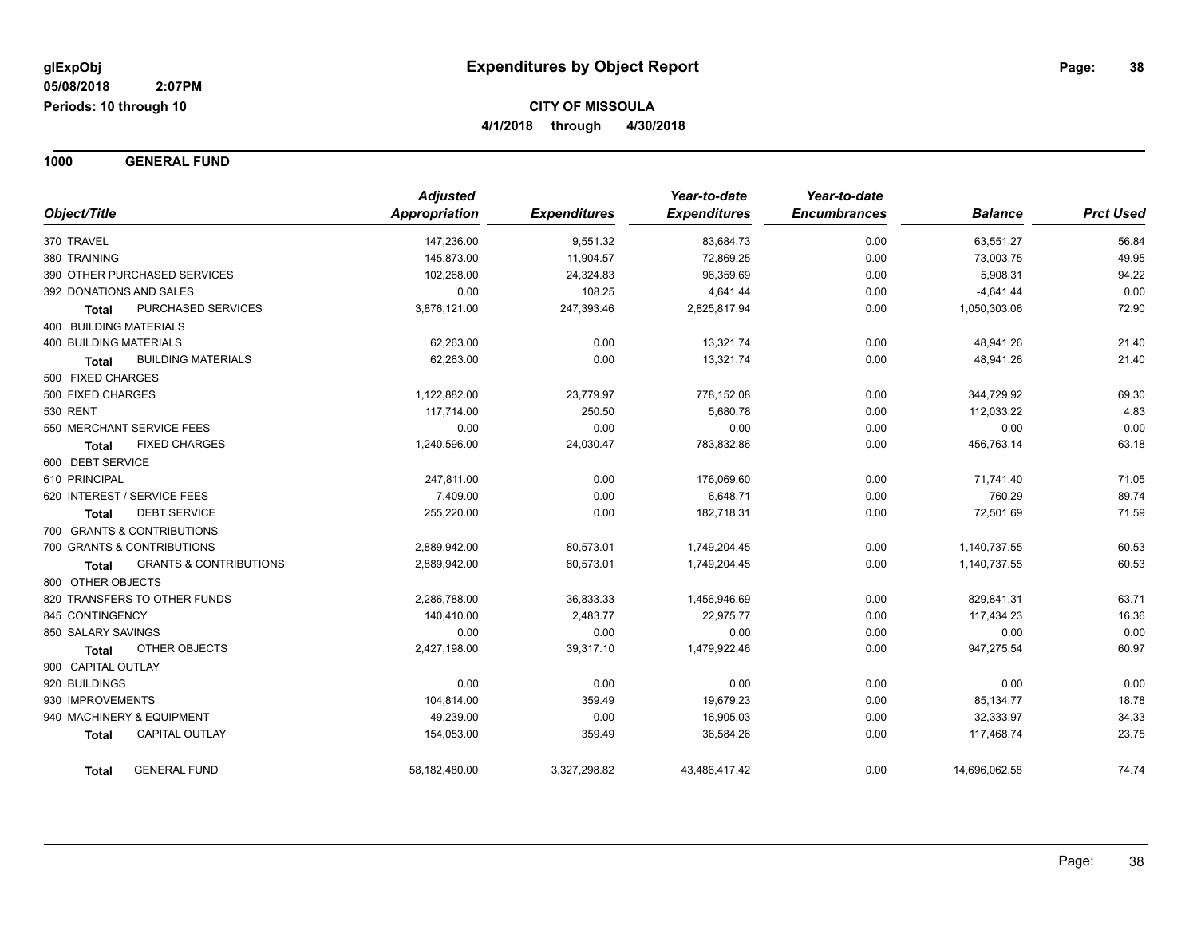**1000 GENERAL FUND**

|                                                   | <b>Adjusted</b> |                     | Year-to-date        | Year-to-date        |                |                  |
|---------------------------------------------------|-----------------|---------------------|---------------------|---------------------|----------------|------------------|
| Object/Title                                      | Appropriation   | <b>Expenditures</b> | <b>Expenditures</b> | <b>Encumbrances</b> | <b>Balance</b> | <b>Prct Used</b> |
| 370 TRAVEL                                        | 147,236.00      | 9,551.32            | 83,684.73           | 0.00                | 63,551.27      | 56.84            |
| 380 TRAINING                                      | 145,873.00      | 11,904.57           | 72,869.25           | 0.00                | 73,003.75      | 49.95            |
| 390 OTHER PURCHASED SERVICES                      | 102,268.00      | 24,324.83           | 96,359.69           | 0.00                | 5,908.31       | 94.22            |
| 392 DONATIONS AND SALES                           | 0.00            | 108.25              | 4,641.44            | 0.00                | $-4,641.44$    | 0.00             |
| <b>PURCHASED SERVICES</b><br>Total                | 3,876,121.00    | 247,393.46          | 2,825,817.94        | 0.00                | 1,050,303.06   | 72.90            |
| <b>400 BUILDING MATERIALS</b>                     |                 |                     |                     |                     |                |                  |
| <b>400 BUILDING MATERIALS</b>                     | 62,263.00       | 0.00                | 13,321.74           | 0.00                | 48,941.26      | 21.40            |
| <b>BUILDING MATERIALS</b><br><b>Total</b>         | 62,263.00       | 0.00                | 13,321.74           | 0.00                | 48,941.26      | 21.40            |
| 500 FIXED CHARGES                                 |                 |                     |                     |                     |                |                  |
| 500 FIXED CHARGES                                 | 1,122,882.00    | 23,779.97           | 778,152.08          | 0.00                | 344,729.92     | 69.30            |
| <b>530 RENT</b>                                   | 117,714.00      | 250.50              | 5,680.78            | 0.00                | 112,033.22     | 4.83             |
| 550 MERCHANT SERVICE FEES                         | 0.00            | 0.00                | 0.00                | 0.00                | 0.00           | 0.00             |
| <b>FIXED CHARGES</b><br><b>Total</b>              | 1,240,596.00    | 24,030.47           | 783,832.86          | 0.00                | 456,763.14     | 63.18            |
| 600 DEBT SERVICE                                  |                 |                     |                     |                     |                |                  |
| 610 PRINCIPAL                                     | 247,811.00      | 0.00                | 176,069.60          | 0.00                | 71,741.40      | 71.05            |
| 620 INTEREST / SERVICE FEES                       | 7,409.00        | 0.00                | 6,648.71            | 0.00                | 760.29         | 89.74            |
| <b>DEBT SERVICE</b><br><b>Total</b>               | 255,220.00      | 0.00                | 182,718.31          | 0.00                | 72,501.69      | 71.59            |
| 700 GRANTS & CONTRIBUTIONS                        |                 |                     |                     |                     |                |                  |
| 700 GRANTS & CONTRIBUTIONS                        | 2,889,942.00    | 80,573.01           | 1,749,204.45        | 0.00                | 1,140,737.55   | 60.53            |
| <b>GRANTS &amp; CONTRIBUTIONS</b><br><b>Total</b> | 2,889,942.00    | 80,573.01           | 1,749,204.45        | 0.00                | 1,140,737.55   | 60.53            |
| 800 OTHER OBJECTS                                 |                 |                     |                     |                     |                |                  |
| 820 TRANSFERS TO OTHER FUNDS                      | 2,286,788.00    | 36,833.33           | 1,456,946.69        | 0.00                | 829,841.31     | 63.71            |
| 845 CONTINGENCY                                   | 140,410.00      | 2,483.77            | 22,975.77           | 0.00                | 117,434.23     | 16.36            |
| 850 SALARY SAVINGS                                | 0.00            | 0.00                | 0.00                | 0.00                | 0.00           | 0.00             |
| OTHER OBJECTS<br><b>Total</b>                     | 2,427,198.00    | 39,317.10           | 1,479,922.46        | 0.00                | 947,275.54     | 60.97            |
| 900 CAPITAL OUTLAY                                |                 |                     |                     |                     |                |                  |
| 920 BUILDINGS                                     | 0.00            | 0.00                | 0.00                | 0.00                | 0.00           | 0.00             |
| 930 IMPROVEMENTS                                  | 104,814.00      | 359.49              | 19,679.23           | 0.00                | 85,134.77      | 18.78            |
| 940 MACHINERY & EQUIPMENT                         | 49,239.00       | 0.00                | 16,905.03           | 0.00                | 32,333.97      | 34.33            |
| <b>CAPITAL OUTLAY</b><br><b>Total</b>             | 154,053.00      | 359.49              | 36,584.26           | 0.00                | 117,468.74     | 23.75            |
| <b>GENERAL FUND</b><br><b>Total</b>               | 58,182,480.00   | 3,327,298.82        | 43,486,417.42       | 0.00                | 14,696,062.58  | 74.74            |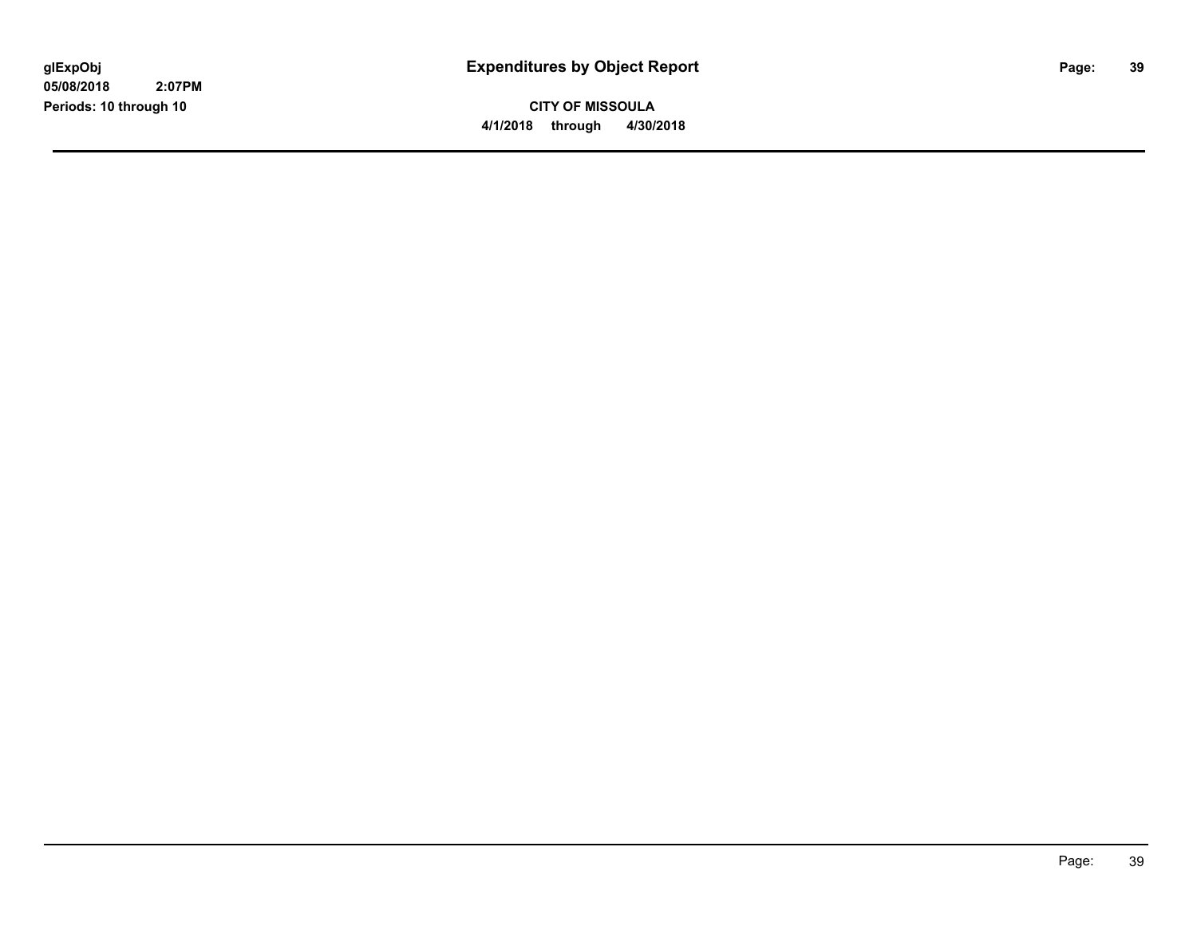**CITY OF MISSOULA**

**4/1/2018 through 4/30/2018**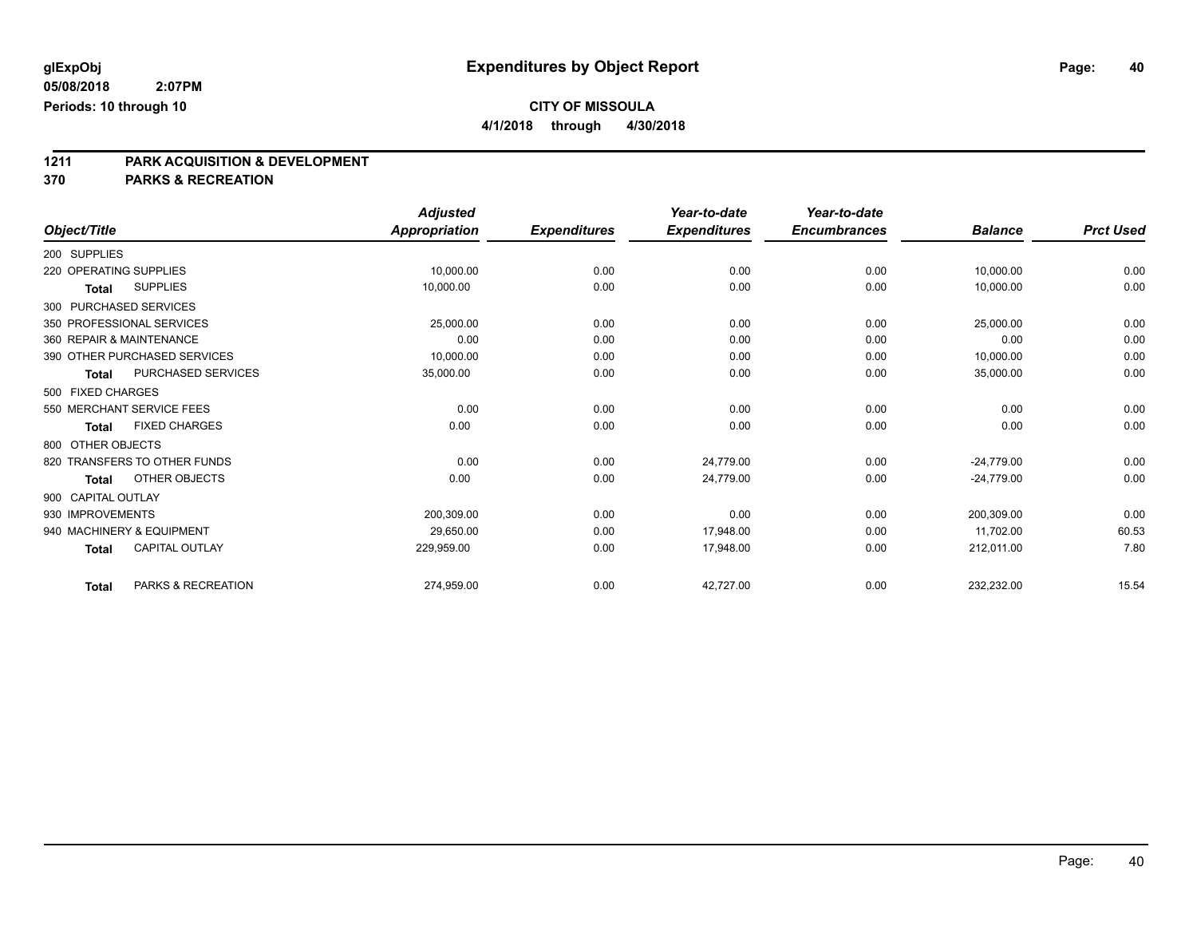### **CITY OF MISSOULA**

**4/1/2018 through 4/30/2018**

# **1211 PARK ACQUISITION & DEVELOPMENT**

**370 PARKS & RECREATION**

|                        |                              | <b>Adjusted</b>      |                     | Year-to-date        | Year-to-date        |                |                  |
|------------------------|------------------------------|----------------------|---------------------|---------------------|---------------------|----------------|------------------|
| Object/Title           |                              | <b>Appropriation</b> | <b>Expenditures</b> | <b>Expenditures</b> | <b>Encumbrances</b> | <b>Balance</b> | <b>Prct Used</b> |
| 200 SUPPLIES           |                              |                      |                     |                     |                     |                |                  |
| 220 OPERATING SUPPLIES |                              | 10,000.00            | 0.00                | 0.00                | 0.00                | 10,000.00      | 0.00             |
| Total                  | <b>SUPPLIES</b>              | 10,000.00            | 0.00                | 0.00                | 0.00                | 10,000.00      | 0.00             |
|                        | 300 PURCHASED SERVICES       |                      |                     |                     |                     |                |                  |
|                        | 350 PROFESSIONAL SERVICES    | 25,000.00            | 0.00                | 0.00                | 0.00                | 25,000.00      | 0.00             |
|                        | 360 REPAIR & MAINTENANCE     | 0.00                 | 0.00                | 0.00                | 0.00                | 0.00           | 0.00             |
|                        | 390 OTHER PURCHASED SERVICES | 10,000.00            | 0.00                | 0.00                | 0.00                | 10,000.00      | 0.00             |
| Total                  | PURCHASED SERVICES           | 35,000.00            | 0.00                | 0.00                | 0.00                | 35,000.00      | 0.00             |
| 500 FIXED CHARGES      |                              |                      |                     |                     |                     |                |                  |
|                        | 550 MERCHANT SERVICE FEES    | 0.00                 | 0.00                | 0.00                | 0.00                | 0.00           | 0.00             |
| <b>Total</b>           | <b>FIXED CHARGES</b>         | 0.00                 | 0.00                | 0.00                | 0.00                | 0.00           | 0.00             |
| 800 OTHER OBJECTS      |                              |                      |                     |                     |                     |                |                  |
|                        | 820 TRANSFERS TO OTHER FUNDS | 0.00                 | 0.00                | 24,779.00           | 0.00                | $-24,779.00$   | 0.00             |
| <b>Total</b>           | OTHER OBJECTS                | 0.00                 | 0.00                | 24,779.00           | 0.00                | $-24,779.00$   | 0.00             |
| 900 CAPITAL OUTLAY     |                              |                      |                     |                     |                     |                |                  |
| 930 IMPROVEMENTS       |                              | 200,309.00           | 0.00                | 0.00                | 0.00                | 200,309.00     | 0.00             |
|                        | 940 MACHINERY & EQUIPMENT    | 29,650.00            | 0.00                | 17,948.00           | 0.00                | 11,702.00      | 60.53            |
| <b>Total</b>           | <b>CAPITAL OUTLAY</b>        | 229,959.00           | 0.00                | 17,948.00           | 0.00                | 212,011.00     | 7.80             |
| <b>Total</b>           | PARKS & RECREATION           | 274,959.00           | 0.00                | 42,727.00           | 0.00                | 232,232.00     | 15.54            |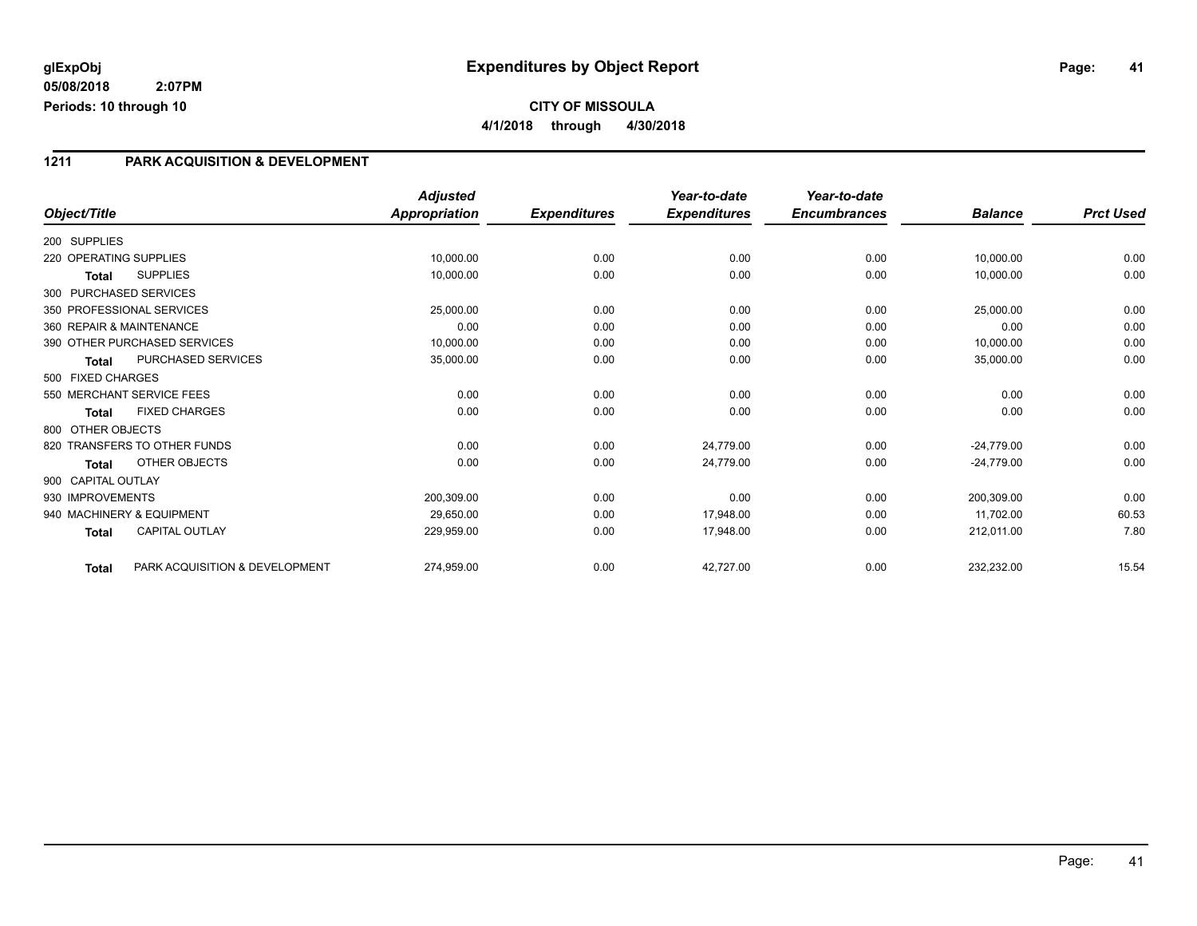### **CITY OF MISSOULA 4/1/2018 through 4/30/2018**

### **1211 PARK ACQUISITION & DEVELOPMENT**

|                        |                                | <b>Adjusted</b>      |                     | Year-to-date        | Year-to-date        |                |                  |
|------------------------|--------------------------------|----------------------|---------------------|---------------------|---------------------|----------------|------------------|
| Object/Title           |                                | <b>Appropriation</b> | <b>Expenditures</b> | <b>Expenditures</b> | <b>Encumbrances</b> | <b>Balance</b> | <b>Prct Used</b> |
| 200 SUPPLIES           |                                |                      |                     |                     |                     |                |                  |
| 220 OPERATING SUPPLIES |                                | 10,000.00            | 0.00                | 0.00                | 0.00                | 10,000.00      | 0.00             |
| <b>Total</b>           | <b>SUPPLIES</b>                | 10,000.00            | 0.00                | 0.00                | 0.00                | 10,000.00      | 0.00             |
| 300 PURCHASED SERVICES |                                |                      |                     |                     |                     |                |                  |
|                        | 350 PROFESSIONAL SERVICES      | 25,000.00            | 0.00                | 0.00                | 0.00                | 25,000.00      | 0.00             |
|                        | 360 REPAIR & MAINTENANCE       | 0.00                 | 0.00                | 0.00                | 0.00                | 0.00           | 0.00             |
|                        | 390 OTHER PURCHASED SERVICES   | 10,000.00            | 0.00                | 0.00                | 0.00                | 10,000.00      | 0.00             |
| <b>Total</b>           | PURCHASED SERVICES             | 35,000.00            | 0.00                | 0.00                | 0.00                | 35,000.00      | 0.00             |
| 500 FIXED CHARGES      |                                |                      |                     |                     |                     |                |                  |
|                        | 550 MERCHANT SERVICE FEES      | 0.00                 | 0.00                | 0.00                | 0.00                | 0.00           | 0.00             |
| <b>Total</b>           | <b>FIXED CHARGES</b>           | 0.00                 | 0.00                | 0.00                | 0.00                | 0.00           | 0.00             |
| 800 OTHER OBJECTS      |                                |                      |                     |                     |                     |                |                  |
|                        | 820 TRANSFERS TO OTHER FUNDS   | 0.00                 | 0.00                | 24,779.00           | 0.00                | $-24,779.00$   | 0.00             |
| <b>Total</b>           | OTHER OBJECTS                  | 0.00                 | 0.00                | 24,779.00           | 0.00                | $-24,779.00$   | 0.00             |
| 900 CAPITAL OUTLAY     |                                |                      |                     |                     |                     |                |                  |
| 930 IMPROVEMENTS       |                                | 200,309.00           | 0.00                | 0.00                | 0.00                | 200,309.00     | 0.00             |
|                        | 940 MACHINERY & EQUIPMENT      | 29,650.00            | 0.00                | 17,948.00           | 0.00                | 11,702.00      | 60.53            |
| <b>Total</b>           | <b>CAPITAL OUTLAY</b>          | 229,959.00           | 0.00                | 17,948.00           | 0.00                | 212,011.00     | 7.80             |
| <b>Total</b>           | PARK ACQUISITION & DEVELOPMENT | 274,959.00           | 0.00                | 42,727.00           | 0.00                | 232,232.00     | 15.54            |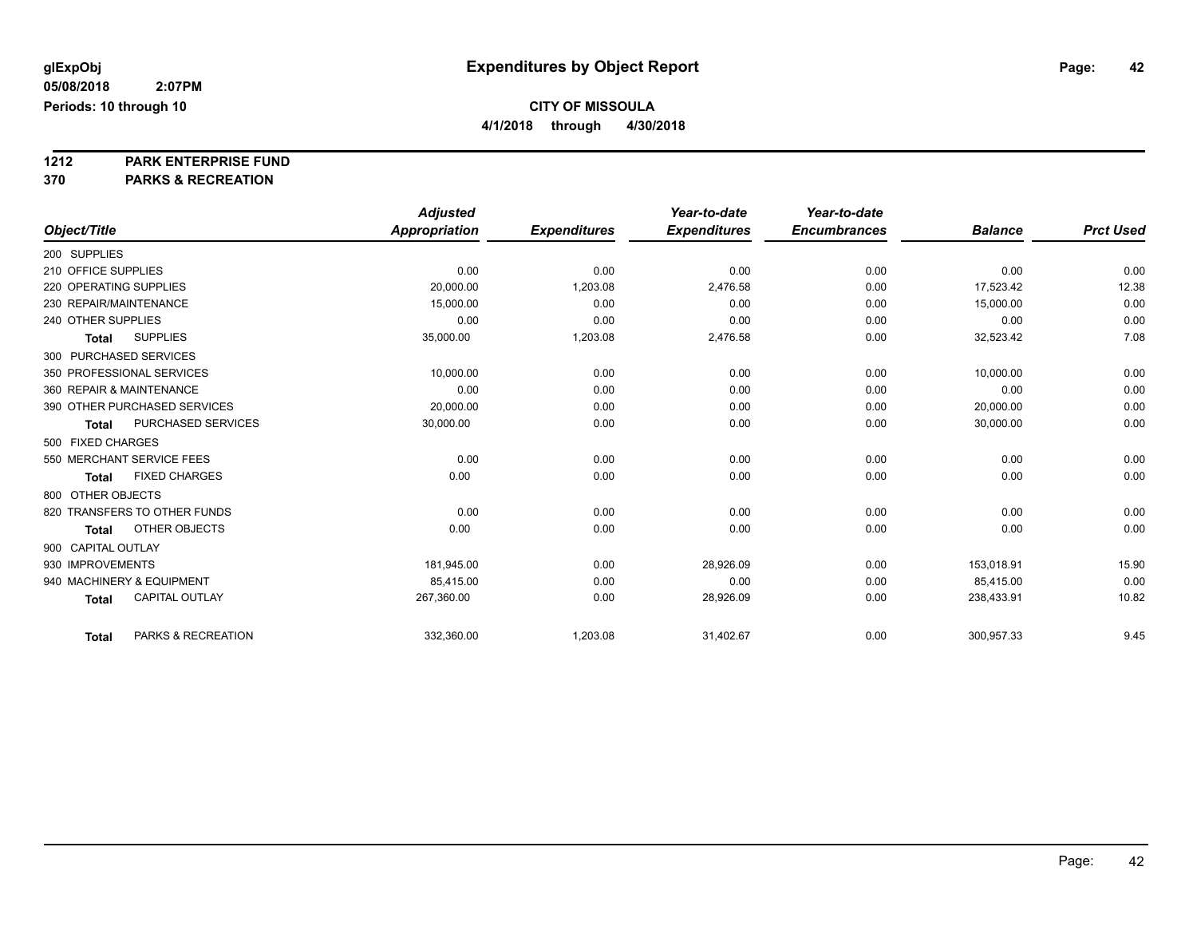**1212 PARK ENTERPRISE FUND**

**370 PARKS & RECREATION**

|                          |                              | <b>Adjusted</b> |                     | Year-to-date        | Year-to-date        |                |                  |
|--------------------------|------------------------------|-----------------|---------------------|---------------------|---------------------|----------------|------------------|
| Object/Title             |                              | Appropriation   | <b>Expenditures</b> | <b>Expenditures</b> | <b>Encumbrances</b> | <b>Balance</b> | <b>Prct Used</b> |
| 200 SUPPLIES             |                              |                 |                     |                     |                     |                |                  |
| 210 OFFICE SUPPLIES      |                              | 0.00            | 0.00                | 0.00                | 0.00                | 0.00           | 0.00             |
| 220 OPERATING SUPPLIES   |                              | 20,000.00       | 1,203.08            | 2,476.58            | 0.00                | 17,523.42      | 12.38            |
| 230 REPAIR/MAINTENANCE   |                              | 15,000.00       | 0.00                | 0.00                | 0.00                | 15,000.00      | 0.00             |
| 240 OTHER SUPPLIES       |                              | 0.00            | 0.00                | 0.00                | 0.00                | 0.00           | 0.00             |
| <b>Total</b>             | <b>SUPPLIES</b>              | 35,000.00       | 1,203.08            | 2,476.58            | 0.00                | 32,523.42      | 7.08             |
| 300 PURCHASED SERVICES   |                              |                 |                     |                     |                     |                |                  |
|                          | 350 PROFESSIONAL SERVICES    | 10.000.00       | 0.00                | 0.00                | 0.00                | 10,000.00      | 0.00             |
| 360 REPAIR & MAINTENANCE |                              | 0.00            | 0.00                | 0.00                | 0.00                | 0.00           | 0.00             |
|                          | 390 OTHER PURCHASED SERVICES | 20,000.00       | 0.00                | 0.00                | 0.00                | 20,000.00      | 0.00             |
| <b>Total</b>             | PURCHASED SERVICES           | 30,000.00       | 0.00                | 0.00                | 0.00                | 30,000.00      | 0.00             |
| 500 FIXED CHARGES        |                              |                 |                     |                     |                     |                |                  |
|                          | 550 MERCHANT SERVICE FEES    | 0.00            | 0.00                | 0.00                | 0.00                | 0.00           | 0.00             |
| <b>Total</b>             | <b>FIXED CHARGES</b>         | 0.00            | 0.00                | 0.00                | 0.00                | 0.00           | 0.00             |
| 800 OTHER OBJECTS        |                              |                 |                     |                     |                     |                |                  |
|                          | 820 TRANSFERS TO OTHER FUNDS | 0.00            | 0.00                | 0.00                | 0.00                | 0.00           | 0.00             |
| <b>Total</b>             | OTHER OBJECTS                | 0.00            | 0.00                | 0.00                | 0.00                | 0.00           | 0.00             |
| 900 CAPITAL OUTLAY       |                              |                 |                     |                     |                     |                |                  |
| 930 IMPROVEMENTS         |                              | 181,945.00      | 0.00                | 28,926.09           | 0.00                | 153,018.91     | 15.90            |
|                          | 940 MACHINERY & EQUIPMENT    | 85.415.00       | 0.00                | 0.00                | 0.00                | 85.415.00      | 0.00             |
| <b>Total</b>             | <b>CAPITAL OUTLAY</b>        | 267,360.00      | 0.00                | 28,926.09           | 0.00                | 238,433.91     | 10.82            |
| <b>Total</b>             | PARKS & RECREATION           | 332,360.00      | 1,203.08            | 31,402.67           | 0.00                | 300,957.33     | 9.45             |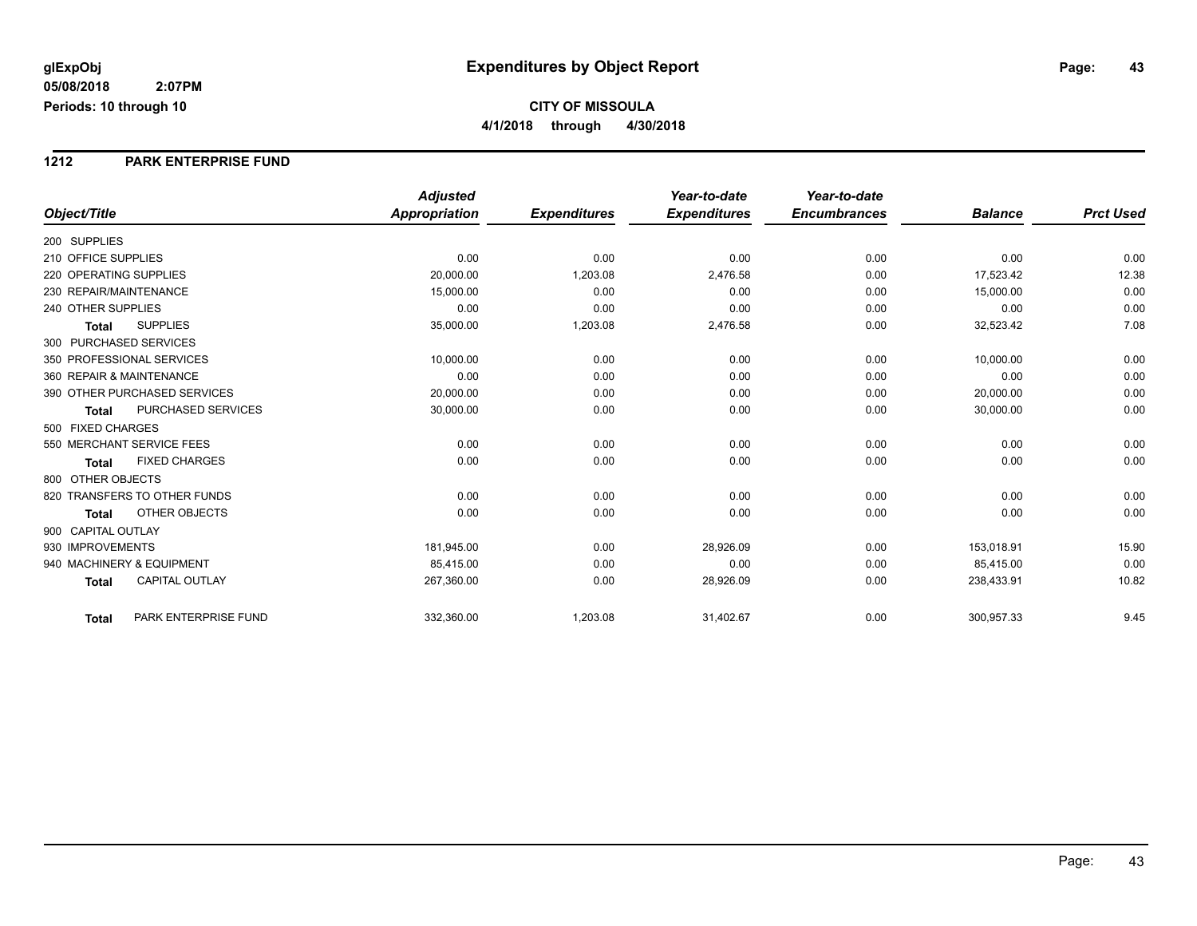### **1212 PARK ENTERPRISE FUND**

|                                           | <b>Adjusted</b>      |                     | Year-to-date        | Year-to-date        |                |                  |
|-------------------------------------------|----------------------|---------------------|---------------------|---------------------|----------------|------------------|
| Object/Title                              | <b>Appropriation</b> | <b>Expenditures</b> | <b>Expenditures</b> | <b>Encumbrances</b> | <b>Balance</b> | <b>Prct Used</b> |
| 200 SUPPLIES                              |                      |                     |                     |                     |                |                  |
| 210 OFFICE SUPPLIES                       | 0.00                 | 0.00                | 0.00                | 0.00                | 0.00           | 0.00             |
| 220 OPERATING SUPPLIES                    | 20,000.00            | 1,203.08            | 2,476.58            | 0.00                | 17,523.42      | 12.38            |
| 230 REPAIR/MAINTENANCE                    | 15,000.00            | 0.00                | 0.00                | 0.00                | 15,000.00      | 0.00             |
| 240 OTHER SUPPLIES                        | 0.00                 | 0.00                | 0.00                | 0.00                | 0.00           | 0.00             |
| <b>SUPPLIES</b><br><b>Total</b>           | 35,000.00            | 1,203.08            | 2,476.58            | 0.00                | 32,523.42      | 7.08             |
| 300 PURCHASED SERVICES                    |                      |                     |                     |                     |                |                  |
| 350 PROFESSIONAL SERVICES                 | 10.000.00            | 0.00                | 0.00                | 0.00                | 10,000.00      | 0.00             |
| 360 REPAIR & MAINTENANCE                  | 0.00                 | 0.00                | 0.00                | 0.00                | 0.00           | 0.00             |
| 390 OTHER PURCHASED SERVICES              | 20,000.00            | 0.00                | 0.00                | 0.00                | 20,000.00      | 0.00             |
| <b>PURCHASED SERVICES</b><br><b>Total</b> | 30,000.00            | 0.00                | 0.00                | 0.00                | 30,000.00      | 0.00             |
| 500 FIXED CHARGES                         |                      |                     |                     |                     |                |                  |
| 550 MERCHANT SERVICE FEES                 | 0.00                 | 0.00                | 0.00                | 0.00                | 0.00           | 0.00             |
| <b>FIXED CHARGES</b><br><b>Total</b>      | 0.00                 | 0.00                | 0.00                | 0.00                | 0.00           | 0.00             |
| 800 OTHER OBJECTS                         |                      |                     |                     |                     |                |                  |
| 820 TRANSFERS TO OTHER FUNDS              | 0.00                 | 0.00                | 0.00                | 0.00                | 0.00           | 0.00             |
| <b>OTHER OBJECTS</b><br><b>Total</b>      | 0.00                 | 0.00                | 0.00                | 0.00                | 0.00           | 0.00             |
| 900 CAPITAL OUTLAY                        |                      |                     |                     |                     |                |                  |
| 930 IMPROVEMENTS                          | 181,945.00           | 0.00                | 28,926.09           | 0.00                | 153,018.91     | 15.90            |
| 940 MACHINERY & EQUIPMENT                 | 85.415.00            | 0.00                | 0.00                | 0.00                | 85,415.00      | 0.00             |
| <b>CAPITAL OUTLAY</b><br><b>Total</b>     | 267,360.00           | 0.00                | 28,926.09           | 0.00                | 238,433.91     | 10.82            |
| PARK ENTERPRISE FUND<br>Total             | 332,360.00           | 1,203.08            | 31,402.67           | 0.00                | 300,957.33     | 9.45             |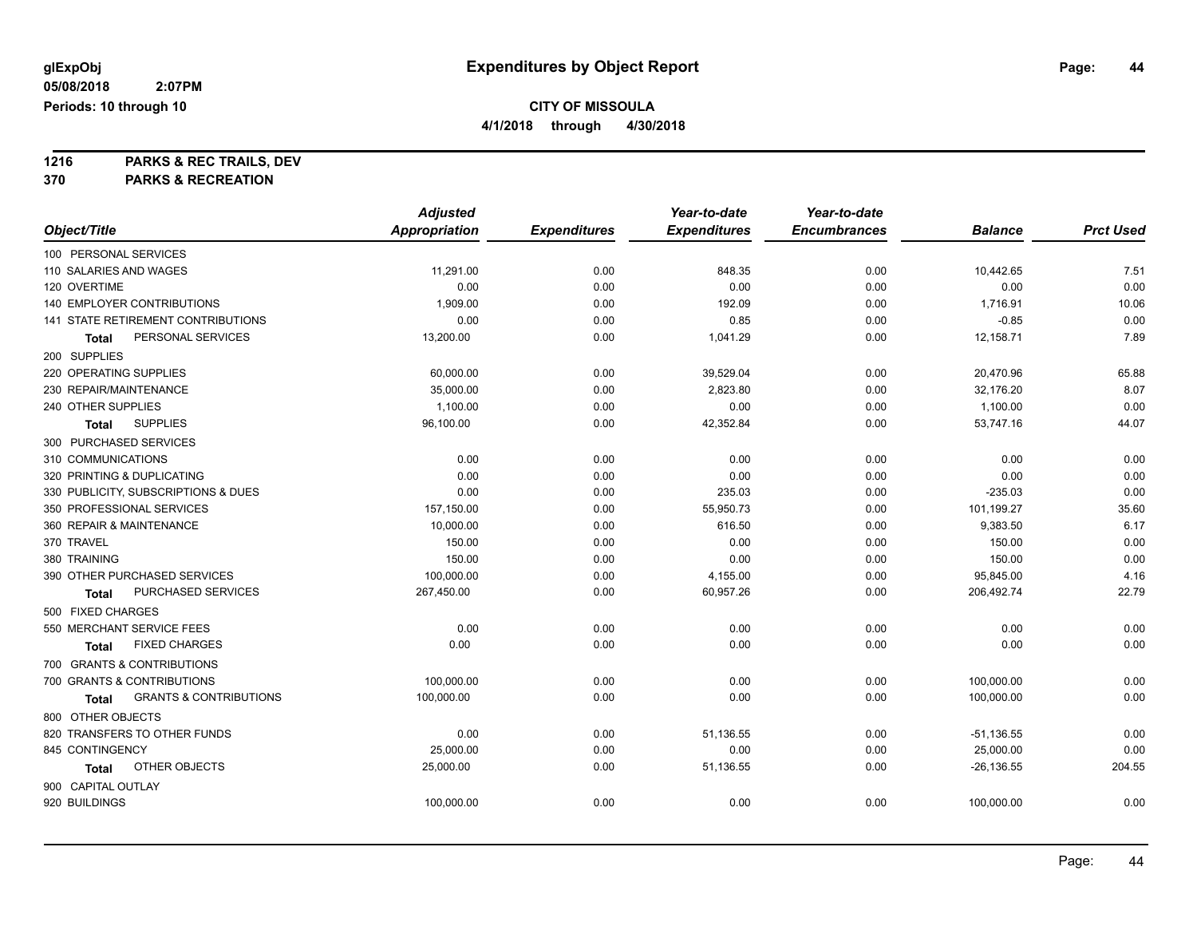**1216 PARKS & REC TRAILS, DEV**

**370 PARKS & RECREATION**

|                                                   | <b>Adjusted</b>      |                     | Year-to-date        | Year-to-date        |                |                  |
|---------------------------------------------------|----------------------|---------------------|---------------------|---------------------|----------------|------------------|
| Object/Title                                      | <b>Appropriation</b> | <b>Expenditures</b> | <b>Expenditures</b> | <b>Encumbrances</b> | <b>Balance</b> | <b>Prct Used</b> |
| 100 PERSONAL SERVICES                             |                      |                     |                     |                     |                |                  |
| 110 SALARIES AND WAGES                            | 11,291.00            | 0.00                | 848.35              | 0.00                | 10,442.65      | 7.51             |
| 120 OVERTIME                                      | 0.00                 | 0.00                | 0.00                | 0.00                | 0.00           | 0.00             |
| 140 EMPLOYER CONTRIBUTIONS                        | 1,909.00             | 0.00                | 192.09              | 0.00                | 1,716.91       | 10.06            |
| 141 STATE RETIREMENT CONTRIBUTIONS                | 0.00                 | 0.00                | 0.85                | 0.00                | $-0.85$        | 0.00             |
| PERSONAL SERVICES<br><b>Total</b>                 | 13,200.00            | 0.00                | 1,041.29            | 0.00                | 12,158.71      | 7.89             |
| 200 SUPPLIES                                      |                      |                     |                     |                     |                |                  |
| 220 OPERATING SUPPLIES                            | 60,000.00            | 0.00                | 39,529.04           | 0.00                | 20,470.96      | 65.88            |
| 230 REPAIR/MAINTENANCE                            | 35,000.00            | 0.00                | 2,823.80            | 0.00                | 32,176.20      | 8.07             |
| 240 OTHER SUPPLIES                                | 1,100.00             | 0.00                | 0.00                | 0.00                | 1,100.00       | 0.00             |
| <b>SUPPLIES</b><br>Total                          | 96,100.00            | 0.00                | 42,352.84           | 0.00                | 53,747.16      | 44.07            |
| 300 PURCHASED SERVICES                            |                      |                     |                     |                     |                |                  |
| 310 COMMUNICATIONS                                | 0.00                 | 0.00                | 0.00                | 0.00                | 0.00           | 0.00             |
| 320 PRINTING & DUPLICATING                        | 0.00                 | 0.00                | 0.00                | 0.00                | 0.00           | 0.00             |
| 330 PUBLICITY, SUBSCRIPTIONS & DUES               | 0.00                 | 0.00                | 235.03              | 0.00                | $-235.03$      | 0.00             |
| 350 PROFESSIONAL SERVICES                         | 157,150.00           | 0.00                | 55,950.73           | 0.00                | 101,199.27     | 35.60            |
| 360 REPAIR & MAINTENANCE                          | 10,000.00            | 0.00                | 616.50              | 0.00                | 9,383.50       | 6.17             |
| 370 TRAVEL                                        | 150.00               | 0.00                | 0.00                | 0.00                | 150.00         | 0.00             |
| 380 TRAINING                                      | 150.00               | 0.00                | 0.00                | 0.00                | 150.00         | 0.00             |
| 390 OTHER PURCHASED SERVICES                      | 100,000.00           | 0.00                | 4,155.00            | 0.00                | 95,845.00      | 4.16             |
| PURCHASED SERVICES<br>Total                       | 267,450.00           | 0.00                | 60,957.26           | 0.00                | 206,492.74     | 22.79            |
| 500 FIXED CHARGES                                 |                      |                     |                     |                     |                |                  |
| 550 MERCHANT SERVICE FEES                         | 0.00                 | 0.00                | 0.00                | 0.00                | 0.00           | 0.00             |
| <b>FIXED CHARGES</b><br><b>Total</b>              | 0.00                 | 0.00                | 0.00                | 0.00                | 0.00           | 0.00             |
| 700 GRANTS & CONTRIBUTIONS                        |                      |                     |                     |                     |                |                  |
| 700 GRANTS & CONTRIBUTIONS                        | 100,000.00           | 0.00                | 0.00                | 0.00                | 100,000.00     | 0.00             |
| <b>GRANTS &amp; CONTRIBUTIONS</b><br><b>Total</b> | 100,000.00           | 0.00                | 0.00                | 0.00                | 100,000.00     | 0.00             |
| 800 OTHER OBJECTS                                 |                      |                     |                     |                     |                |                  |
| 820 TRANSFERS TO OTHER FUNDS                      | 0.00                 | 0.00                | 51,136.55           | 0.00                | $-51,136.55$   | 0.00             |
| 845 CONTINGENCY                                   | 25,000.00            | 0.00                | 0.00                | 0.00                | 25,000.00      | 0.00             |
| OTHER OBJECTS<br><b>Total</b>                     | 25,000.00            | 0.00                | 51,136.55           | 0.00                | $-26, 136.55$  | 204.55           |
| 900 CAPITAL OUTLAY                                |                      |                     |                     |                     |                |                  |
| 920 BUILDINGS                                     | 100,000.00           | 0.00                | 0.00                | 0.00                | 100,000.00     | 0.00             |
|                                                   |                      |                     |                     |                     |                |                  |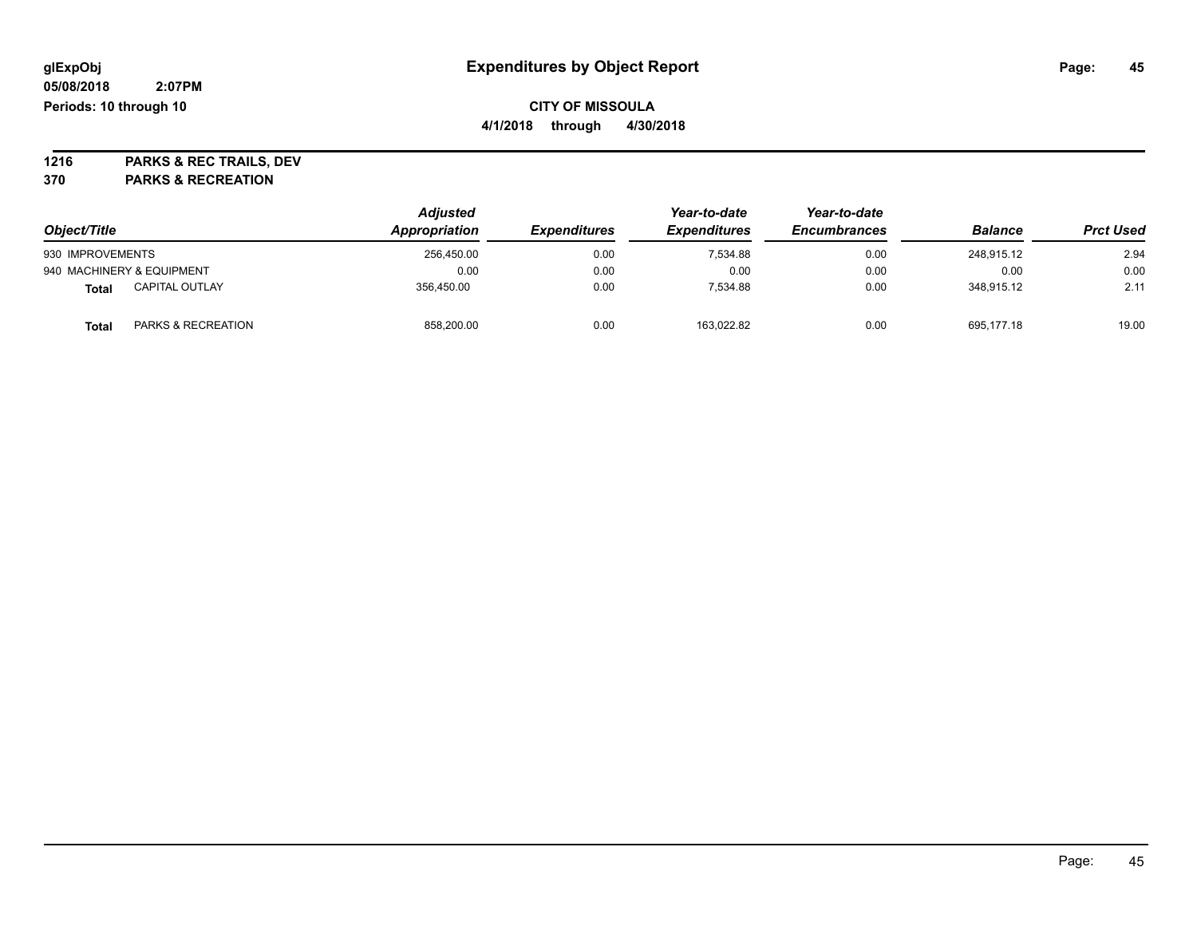**1216 PARKS & REC TRAILS, DEV 370 PARKS & RECREATION**

| Object/Title              |                               | <b>Adjusted</b><br>Appropriation | <b>Expenditures</b> | Year-to-date<br><b>Expenditures</b> | Year-to-date<br><b>Encumbrances</b> | <b>Balance</b> | <b>Prct Used</b> |
|---------------------------|-------------------------------|----------------------------------|---------------------|-------------------------------------|-------------------------------------|----------------|------------------|
| 930 IMPROVEMENTS          |                               | 256.450.00                       | 0.00                | 7.534.88                            | 0.00                                | 248.915.12     | 2.94             |
| 940 MACHINERY & EQUIPMENT |                               | 0.00                             | 0.00                | 0.00                                | 0.00                                | 0.00           | 0.00             |
| <b>Total</b>              | <b>CAPITAL OUTLAY</b>         | 356.450.00                       | 0.00                | 7.534.88                            | 0.00                                | 348.915.12     | 2.11             |
| Total                     | <b>PARKS &amp; RECREATION</b> | 858,200.00                       | 0.00                | 163,022.82                          | 0.00                                | 695.177.18     | 19.00            |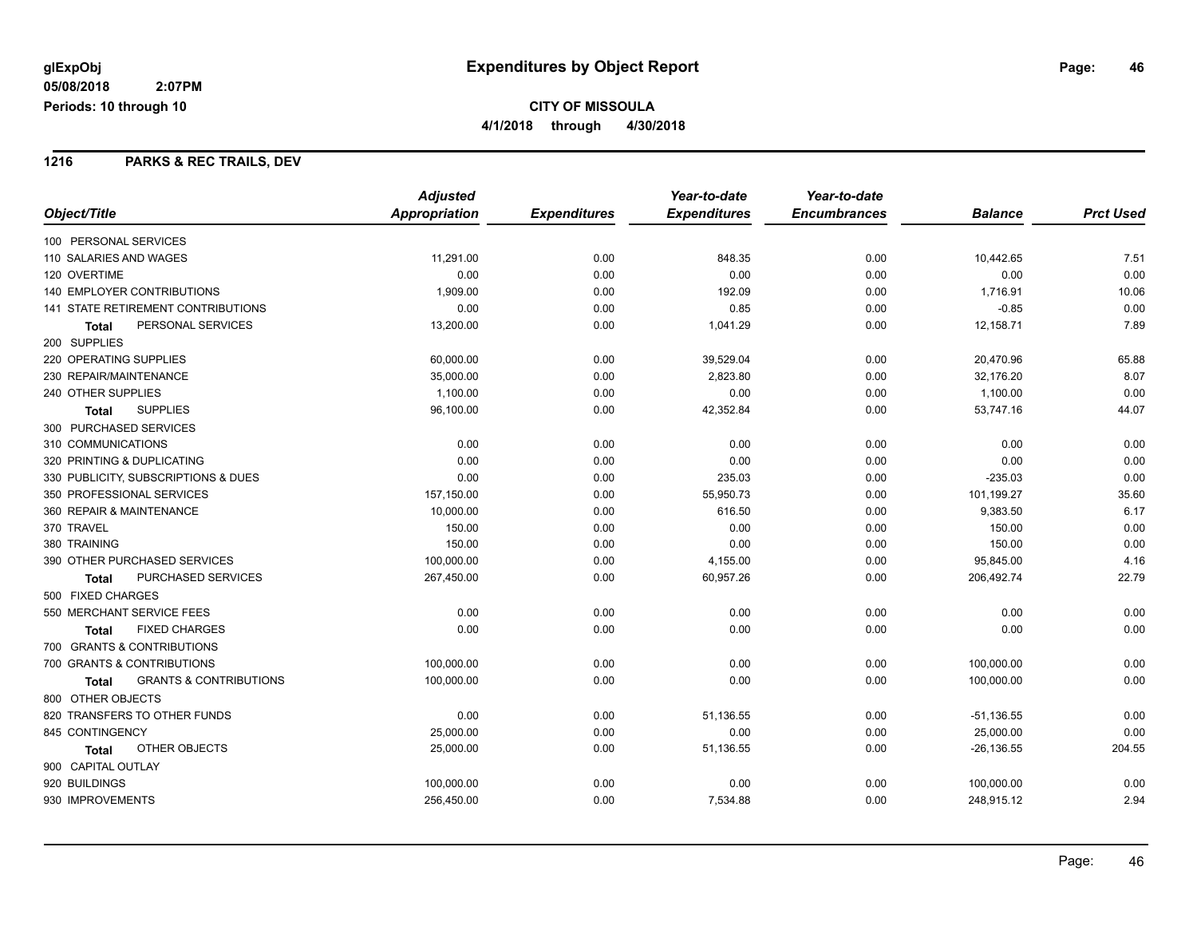### **1216 PARKS & REC TRAILS, DEV**

|                                                   | <b>Adjusted</b>      |                     | Year-to-date        | Year-to-date        |                |                  |
|---------------------------------------------------|----------------------|---------------------|---------------------|---------------------|----------------|------------------|
| Object/Title                                      | <b>Appropriation</b> | <b>Expenditures</b> | <b>Expenditures</b> | <b>Encumbrances</b> | <b>Balance</b> | <b>Prct Used</b> |
| 100 PERSONAL SERVICES                             |                      |                     |                     |                     |                |                  |
| 110 SALARIES AND WAGES                            | 11,291.00            | 0.00                | 848.35              | 0.00                | 10,442.65      | 7.51             |
| 120 OVERTIME                                      | 0.00                 | 0.00                | 0.00                | 0.00                | 0.00           | 0.00             |
| <b>140 EMPLOYER CONTRIBUTIONS</b>                 | 1,909.00             | 0.00                | 192.09              | 0.00                | 1,716.91       | 10.06            |
| 141 STATE RETIREMENT CONTRIBUTIONS                | 0.00                 | 0.00                | 0.85                | 0.00                | $-0.85$        | 0.00             |
| PERSONAL SERVICES<br>Total                        | 13,200.00            | 0.00                | 1,041.29            | 0.00                | 12,158.71      | 7.89             |
| 200 SUPPLIES                                      |                      |                     |                     |                     |                |                  |
| 220 OPERATING SUPPLIES                            | 60,000.00            | 0.00                | 39,529.04           | 0.00                | 20,470.96      | 65.88            |
| 230 REPAIR/MAINTENANCE                            | 35,000.00            | 0.00                | 2,823.80            | 0.00                | 32,176.20      | 8.07             |
| 240 OTHER SUPPLIES                                | 1,100.00             | 0.00                | 0.00                | 0.00                | 1,100.00       | 0.00             |
| <b>SUPPLIES</b><br>Total                          | 96,100.00            | 0.00                | 42,352.84           | 0.00                | 53,747.16      | 44.07            |
| 300 PURCHASED SERVICES                            |                      |                     |                     |                     |                |                  |
| 310 COMMUNICATIONS                                | 0.00                 | 0.00                | 0.00                | 0.00                | 0.00           | 0.00             |
| 320 PRINTING & DUPLICATING                        | 0.00                 | 0.00                | 0.00                | 0.00                | 0.00           | 0.00             |
| 330 PUBLICITY, SUBSCRIPTIONS & DUES               | 0.00                 | 0.00                | 235.03              | 0.00                | $-235.03$      | 0.00             |
| 350 PROFESSIONAL SERVICES                         | 157,150.00           | 0.00                | 55,950.73           | 0.00                | 101,199.27     | 35.60            |
| 360 REPAIR & MAINTENANCE                          | 10,000.00            | 0.00                | 616.50              | 0.00                | 9,383.50       | 6.17             |
| 370 TRAVEL                                        | 150.00               | 0.00                | 0.00                | 0.00                | 150.00         | 0.00             |
| 380 TRAINING                                      | 150.00               | 0.00                | 0.00                | 0.00                | 150.00         | 0.00             |
| 390 OTHER PURCHASED SERVICES                      | 100,000.00           | 0.00                | 4,155.00            | 0.00                | 95,845.00      | 4.16             |
| PURCHASED SERVICES<br>Total                       | 267,450.00           | 0.00                | 60,957.26           | 0.00                | 206,492.74     | 22.79            |
| 500 FIXED CHARGES                                 |                      |                     |                     |                     |                |                  |
| 550 MERCHANT SERVICE FEES                         | 0.00                 | 0.00                | 0.00                | 0.00                | 0.00           | 0.00             |
| <b>FIXED CHARGES</b><br><b>Total</b>              | 0.00                 | 0.00                | 0.00                | 0.00                | 0.00           | 0.00             |
| 700 GRANTS & CONTRIBUTIONS                        |                      |                     |                     |                     |                |                  |
| 700 GRANTS & CONTRIBUTIONS                        | 100,000.00           | 0.00                | 0.00                | 0.00                | 100,000.00     | 0.00             |
| <b>GRANTS &amp; CONTRIBUTIONS</b><br><b>Total</b> | 100,000.00           | 0.00                | 0.00                | 0.00                | 100,000.00     | 0.00             |
| 800 OTHER OBJECTS                                 |                      |                     |                     |                     |                |                  |
| 820 TRANSFERS TO OTHER FUNDS                      | 0.00                 | 0.00                | 51,136.55           | 0.00                | $-51,136.55$   | 0.00             |
| 845 CONTINGENCY                                   | 25,000.00            | 0.00                | 0.00                | 0.00                | 25,000.00      | 0.00             |
| OTHER OBJECTS<br>Total                            | 25,000.00            | 0.00                | 51,136.55           | 0.00                | $-26, 136.55$  | 204.55           |
| 900 CAPITAL OUTLAY                                |                      |                     |                     |                     |                |                  |
| 920 BUILDINGS                                     | 100,000.00           | 0.00                | 0.00                | 0.00                | 100,000.00     | 0.00             |
| 930 IMPROVEMENTS                                  | 256,450.00           | 0.00                | 7,534.88            | 0.00                | 248,915.12     | 2.94             |
|                                                   |                      |                     |                     |                     |                |                  |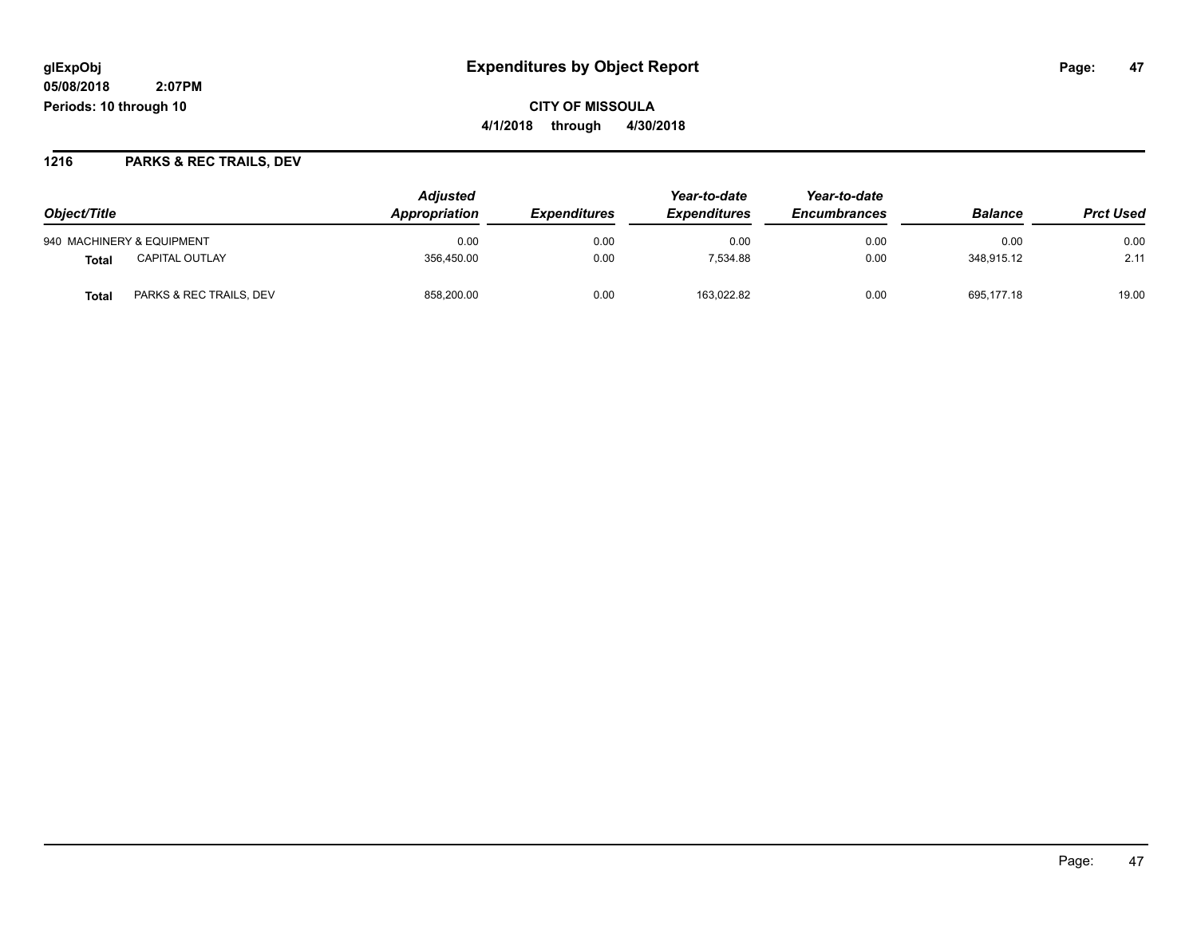**CITY OF MISSOULA 4/1/2018 through 4/30/2018**

### **1216 PARKS & REC TRAILS, DEV**

|                                         | <b>Adjusted</b> |                            | Year-to-date        | Year-to-date        |                |                  |
|-----------------------------------------|-----------------|----------------------------|---------------------|---------------------|----------------|------------------|
| Object/Title                            | Appropriation   | <i><b>Expenditures</b></i> | <b>Expenditures</b> | <b>Encumbrances</b> | <b>Balance</b> | <b>Prct Used</b> |
| 940 MACHINERY & EQUIPMENT               | 0.00            | 0.00                       | 0.00                | 0.00                | 0.00           | 0.00             |
| <b>CAPITAL OUTLAY</b><br><b>Total</b>   | 356.450.00      | 0.00                       | 7.534.88            | 0.00                | 348.915.12     | 2.11             |
| PARKS & REC TRAILS, DEV<br><b>Total</b> | 858,200.00      | 0.00                       | 163,022.82          | 0.00                | 695.177.18     | 19.00            |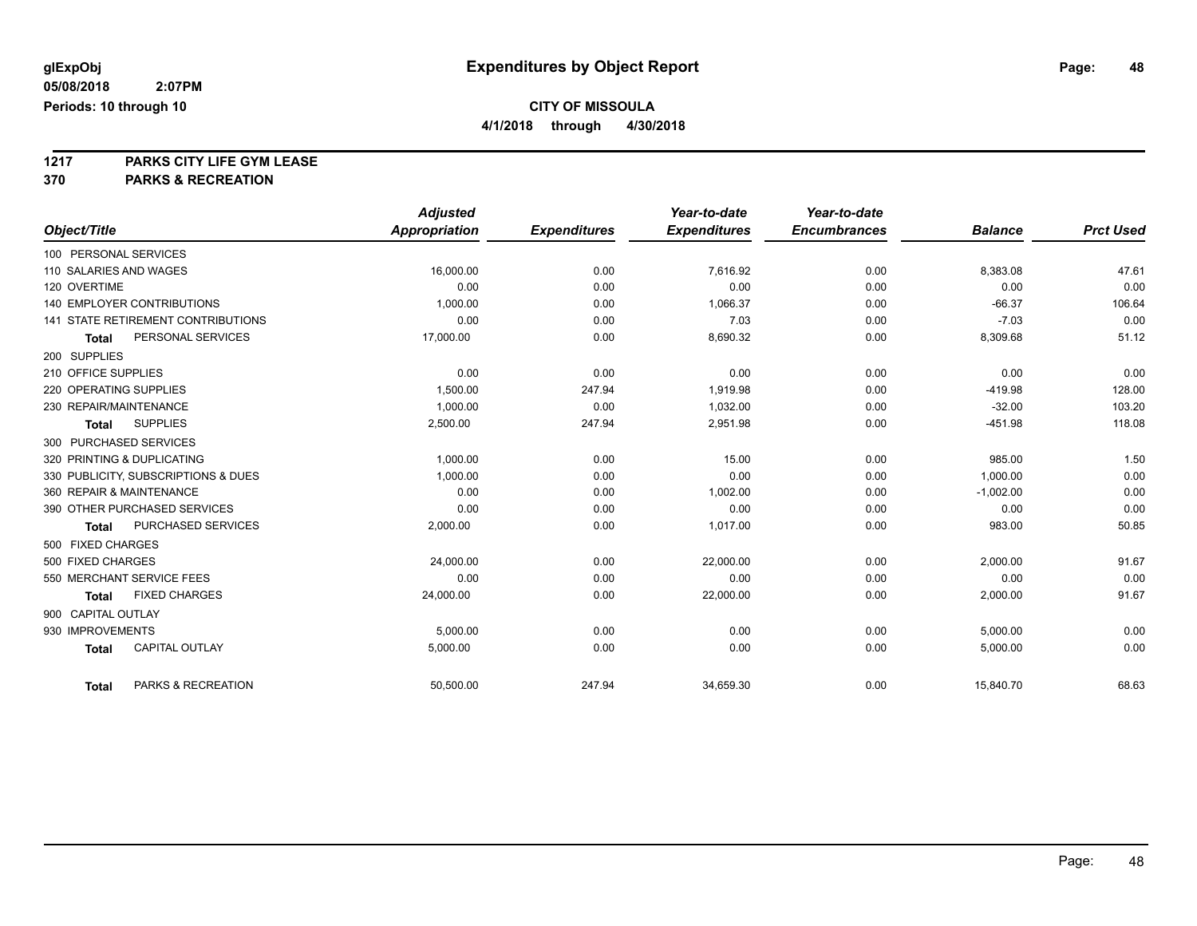### **CITY OF MISSOULA**

**4/1/2018 through 4/30/2018**

**1217 PARKS CITY LIFE GYM LEASE**

**370 PARKS & RECREATION**

|                                           | <b>Adjusted</b>      |                     | Year-to-date        | Year-to-date        |                |                  |
|-------------------------------------------|----------------------|---------------------|---------------------|---------------------|----------------|------------------|
| Object/Title                              | <b>Appropriation</b> | <b>Expenditures</b> | <b>Expenditures</b> | <b>Encumbrances</b> | <b>Balance</b> | <b>Prct Used</b> |
| 100 PERSONAL SERVICES                     |                      |                     |                     |                     |                |                  |
| 110 SALARIES AND WAGES                    | 16,000.00            | 0.00                | 7,616.92            | 0.00                | 8,383.08       | 47.61            |
| 120 OVERTIME                              | 0.00                 | 0.00                | 0.00                | 0.00                | 0.00           | 0.00             |
| <b>140 EMPLOYER CONTRIBUTIONS</b>         | 1,000.00             | 0.00                | 1,066.37            | 0.00                | $-66.37$       | 106.64           |
| <b>141 STATE RETIREMENT CONTRIBUTIONS</b> | 0.00                 | 0.00                | 7.03                | 0.00                | $-7.03$        | 0.00             |
| PERSONAL SERVICES<br><b>Total</b>         | 17,000.00            | 0.00                | 8,690.32            | 0.00                | 8,309.68       | 51.12            |
| 200 SUPPLIES                              |                      |                     |                     |                     |                |                  |
| 210 OFFICE SUPPLIES                       | 0.00                 | 0.00                | 0.00                | 0.00                | 0.00           | 0.00             |
| 220 OPERATING SUPPLIES                    | 1,500.00             | 247.94              | 1,919.98            | 0.00                | $-419.98$      | 128.00           |
| 230 REPAIR/MAINTENANCE                    | 1,000.00             | 0.00                | 1,032.00            | 0.00                | $-32.00$       | 103.20           |
| <b>SUPPLIES</b><br><b>Total</b>           | 2,500.00             | 247.94              | 2,951.98            | 0.00                | $-451.98$      | 118.08           |
| 300 PURCHASED SERVICES                    |                      |                     |                     |                     |                |                  |
| 320 PRINTING & DUPLICATING                | 1,000.00             | 0.00                | 15.00               | 0.00                | 985.00         | 1.50             |
| 330 PUBLICITY, SUBSCRIPTIONS & DUES       | 1.000.00             | 0.00                | 0.00                | 0.00                | 1.000.00       | 0.00             |
| 360 REPAIR & MAINTENANCE                  | 0.00                 | 0.00                | 1,002.00            | 0.00                | $-1,002.00$    | 0.00             |
| 390 OTHER PURCHASED SERVICES              | 0.00                 | 0.00                | 0.00                | 0.00                | 0.00           | 0.00             |
| PURCHASED SERVICES<br><b>Total</b>        | 2,000.00             | 0.00                | 1,017.00            | 0.00                | 983.00         | 50.85            |
| 500 FIXED CHARGES                         |                      |                     |                     |                     |                |                  |
| 500 FIXED CHARGES                         | 24,000.00            | 0.00                | 22.000.00           | 0.00                | 2,000.00       | 91.67            |
| 550 MERCHANT SERVICE FEES                 | 0.00                 | 0.00                | 0.00                | 0.00                | 0.00           | 0.00             |
| <b>FIXED CHARGES</b><br><b>Total</b>      | 24,000.00            | 0.00                | 22,000.00           | 0.00                | 2,000.00       | 91.67            |
| 900 CAPITAL OUTLAY                        |                      |                     |                     |                     |                |                  |
| 930 IMPROVEMENTS                          | 5,000.00             | 0.00                | 0.00                | 0.00                | 5,000.00       | 0.00             |
| <b>CAPITAL OUTLAY</b><br><b>Total</b>     | 5,000.00             | 0.00                | 0.00                | 0.00                | 5,000.00       | 0.00             |
| PARKS & RECREATION<br><b>Total</b>        | 50,500.00            | 247.94              | 34,659.30           | 0.00                | 15,840.70      | 68.63            |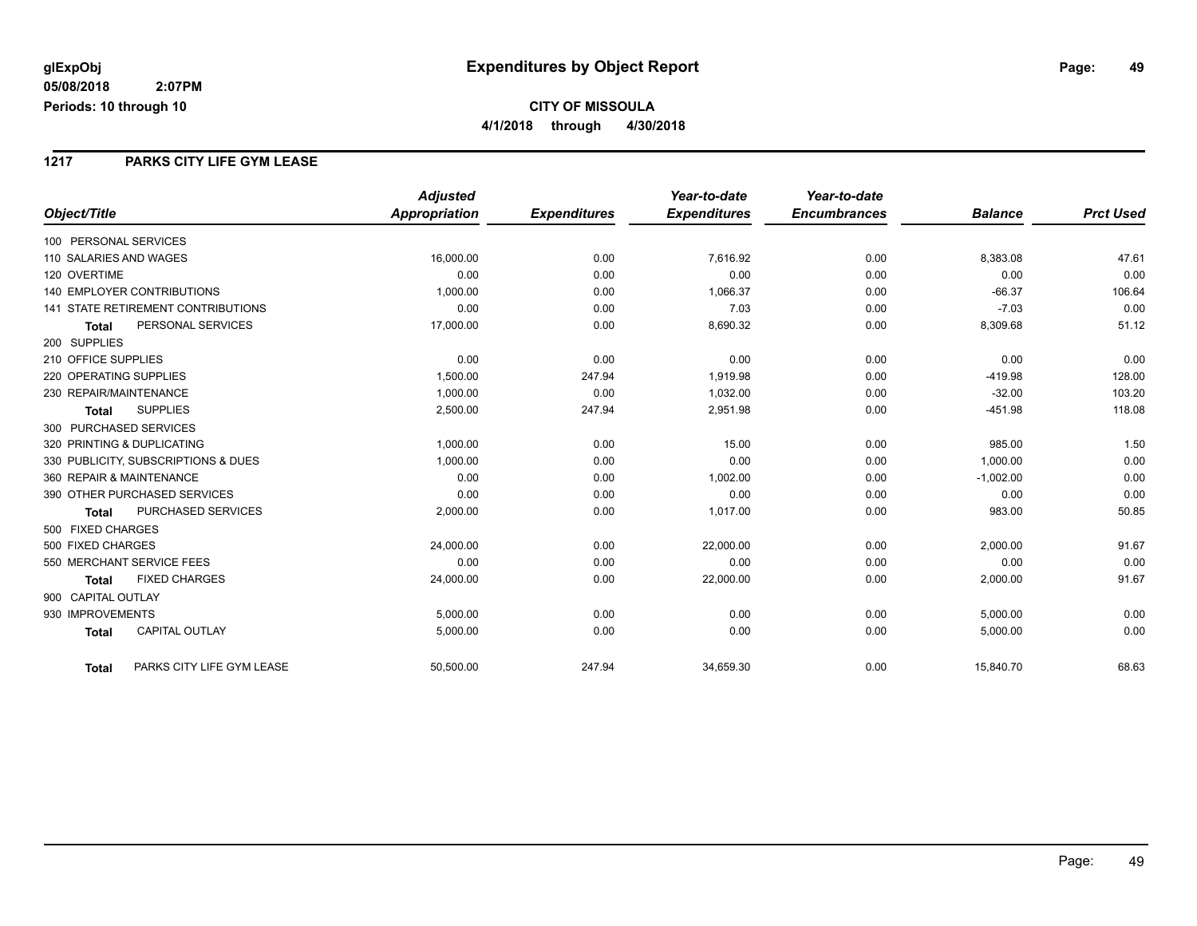### **1217 PARKS CITY LIFE GYM LEASE**

|                                           | <b>Adjusted</b>      |                     | Year-to-date        | Year-to-date        |                |                  |
|-------------------------------------------|----------------------|---------------------|---------------------|---------------------|----------------|------------------|
| Object/Title                              | <b>Appropriation</b> | <b>Expenditures</b> | <b>Expenditures</b> | <b>Encumbrances</b> | <b>Balance</b> | <b>Prct Used</b> |
| 100 PERSONAL SERVICES                     |                      |                     |                     |                     |                |                  |
| 110 SALARIES AND WAGES                    | 16,000.00            | 0.00                | 7,616.92            | 0.00                | 8,383.08       | 47.61            |
| 120 OVERTIME                              | 0.00                 | 0.00                | 0.00                | 0.00                | 0.00           | 0.00             |
| <b>140 EMPLOYER CONTRIBUTIONS</b>         | 1,000.00             | 0.00                | 1,066.37            | 0.00                | $-66.37$       | 106.64           |
| <b>141 STATE RETIREMENT CONTRIBUTIONS</b> | 0.00                 | 0.00                | 7.03                | 0.00                | $-7.03$        | 0.00             |
| PERSONAL SERVICES<br><b>Total</b>         | 17,000.00            | 0.00                | 8,690.32            | 0.00                | 8,309.68       | 51.12            |
| 200 SUPPLIES                              |                      |                     |                     |                     |                |                  |
| 210 OFFICE SUPPLIES                       | 0.00                 | 0.00                | 0.00                | 0.00                | 0.00           | 0.00             |
| 220 OPERATING SUPPLIES                    | 1,500.00             | 247.94              | 1,919.98            | 0.00                | $-419.98$      | 128.00           |
| 230 REPAIR/MAINTENANCE                    | 1,000.00             | 0.00                | 1,032.00            | 0.00                | $-32.00$       | 103.20           |
| <b>SUPPLIES</b><br>Total                  | 2,500.00             | 247.94              | 2,951.98            | 0.00                | $-451.98$      | 118.08           |
| 300 PURCHASED SERVICES                    |                      |                     |                     |                     |                |                  |
| 320 PRINTING & DUPLICATING                | 1,000.00             | 0.00                | 15.00               | 0.00                | 985.00         | 1.50             |
| 330 PUBLICITY, SUBSCRIPTIONS & DUES       | 1,000.00             | 0.00                | 0.00                | 0.00                | 1,000.00       | 0.00             |
| 360 REPAIR & MAINTENANCE                  | 0.00                 | 0.00                | 1,002.00            | 0.00                | $-1,002.00$    | 0.00             |
| 390 OTHER PURCHASED SERVICES              | 0.00                 | 0.00                | 0.00                | 0.00                | 0.00           | 0.00             |
| PURCHASED SERVICES<br><b>Total</b>        | 2,000.00             | 0.00                | 1,017.00            | 0.00                | 983.00         | 50.85            |
| 500 FIXED CHARGES                         |                      |                     |                     |                     |                |                  |
| 500 FIXED CHARGES                         | 24,000.00            | 0.00                | 22,000.00           | 0.00                | 2,000.00       | 91.67            |
| 550 MERCHANT SERVICE FEES                 | 0.00                 | 0.00                | 0.00                | 0.00                | 0.00           | 0.00             |
| <b>FIXED CHARGES</b><br><b>Total</b>      | 24,000.00            | 0.00                | 22,000.00           | 0.00                | 2,000.00       | 91.67            |
| 900 CAPITAL OUTLAY                        |                      |                     |                     |                     |                |                  |
| 930 IMPROVEMENTS                          | 5,000.00             | 0.00                | 0.00                | 0.00                | 5,000.00       | 0.00             |
| <b>CAPITAL OUTLAY</b><br><b>Total</b>     | 5,000.00             | 0.00                | 0.00                | 0.00                | 5,000.00       | 0.00             |
| PARKS CITY LIFE GYM LEASE<br><b>Total</b> | 50,500.00            | 247.94              | 34,659.30           | 0.00                | 15,840.70      | 68.63            |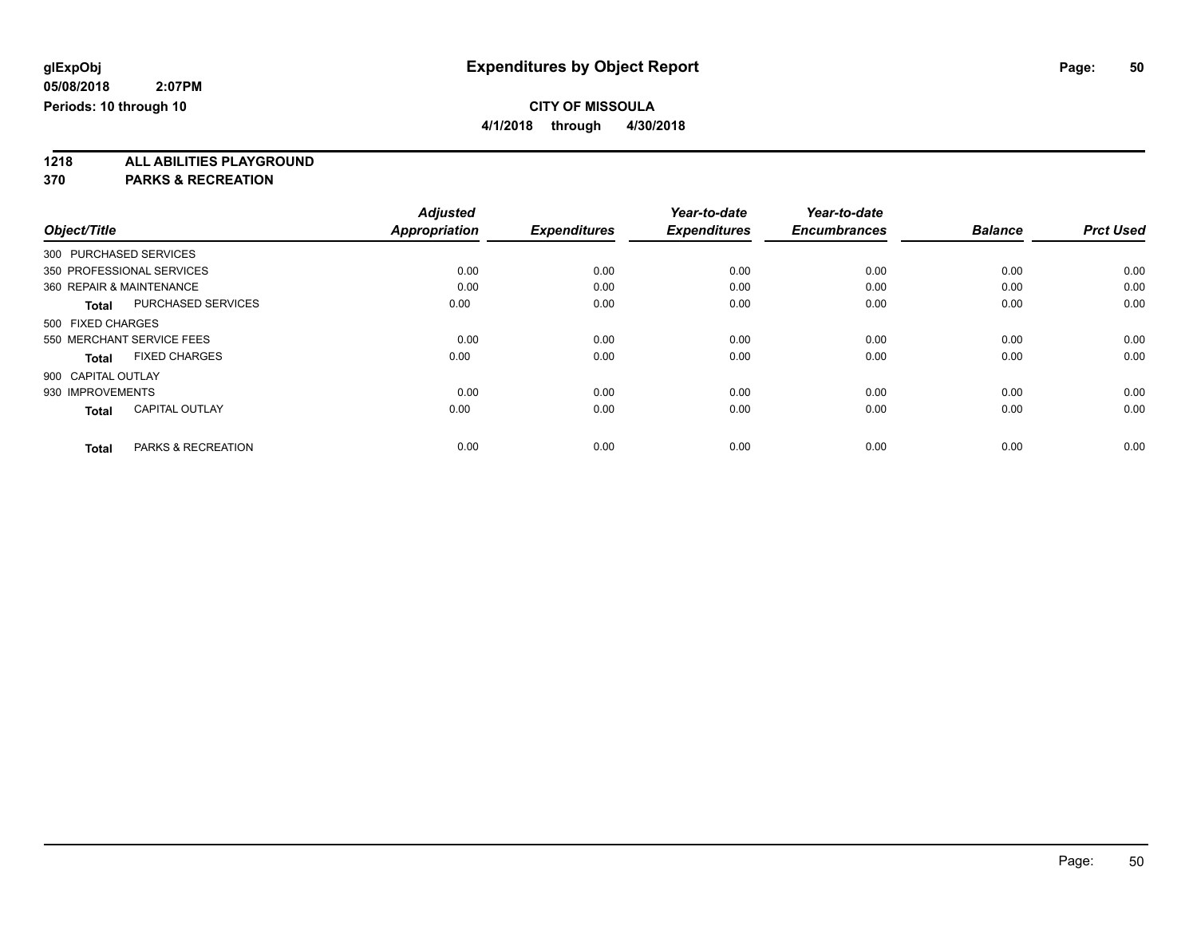**1218 ALL ABILITIES PLAYGROUND**

**370 PARKS & RECREATION**

|                                       | <b>Adjusted</b>      |                     | Year-to-date        | Year-to-date        |                |                  |
|---------------------------------------|----------------------|---------------------|---------------------|---------------------|----------------|------------------|
| Object/Title                          | <b>Appropriation</b> | <b>Expenditures</b> | <b>Expenditures</b> | <b>Encumbrances</b> | <b>Balance</b> | <b>Prct Used</b> |
| 300 PURCHASED SERVICES                |                      |                     |                     |                     |                |                  |
| 350 PROFESSIONAL SERVICES             | 0.00                 | 0.00                | 0.00                | 0.00                | 0.00           | 0.00             |
| 360 REPAIR & MAINTENANCE              | 0.00                 | 0.00                | 0.00                | 0.00                | 0.00           | 0.00             |
| PURCHASED SERVICES<br>Total           | 0.00                 | 0.00                | 0.00                | 0.00                | 0.00           | 0.00             |
| 500 FIXED CHARGES                     |                      |                     |                     |                     |                |                  |
| 550 MERCHANT SERVICE FEES             | 0.00                 | 0.00                | 0.00                | 0.00                | 0.00           | 0.00             |
| <b>FIXED CHARGES</b><br><b>Total</b>  | 0.00                 | 0.00                | 0.00                | 0.00                | 0.00           | 0.00             |
| 900 CAPITAL OUTLAY                    |                      |                     |                     |                     |                |                  |
| 930 IMPROVEMENTS                      | 0.00                 | 0.00                | 0.00                | 0.00                | 0.00           | 0.00             |
| <b>CAPITAL OUTLAY</b><br><b>Total</b> | 0.00                 | 0.00                | 0.00                | 0.00                | 0.00           | 0.00             |
|                                       |                      |                     |                     |                     |                |                  |
| PARKS & RECREATION<br><b>Total</b>    | 0.00                 | 0.00                | 0.00                | 0.00                | 0.00           | 0.00             |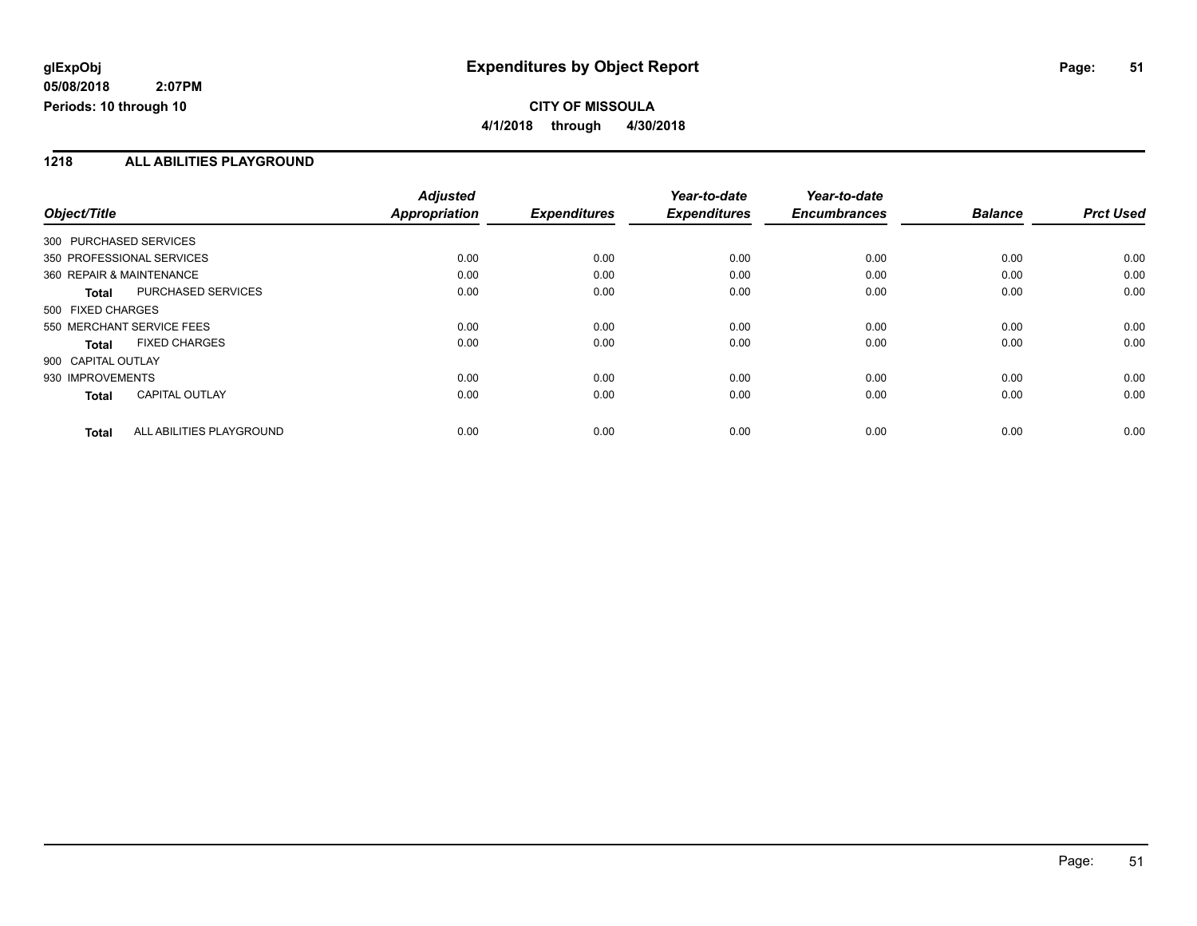**CITY OF MISSOULA 4/1/2018 through 4/30/2018**

### **1218 ALL ABILITIES PLAYGROUND**

|                           |                           | <b>Adjusted</b>      |                     | Year-to-date        | Year-to-date        |                |                  |
|---------------------------|---------------------------|----------------------|---------------------|---------------------|---------------------|----------------|------------------|
| Object/Title              |                           | <b>Appropriation</b> | <b>Expenditures</b> | <b>Expenditures</b> | <b>Encumbrances</b> | <b>Balance</b> | <b>Prct Used</b> |
| 300 PURCHASED SERVICES    |                           |                      |                     |                     |                     |                |                  |
| 350 PROFESSIONAL SERVICES |                           | 0.00                 | 0.00                | 0.00                | 0.00                | 0.00           | 0.00             |
| 360 REPAIR & MAINTENANCE  |                           | 0.00                 | 0.00                | 0.00                | 0.00                | 0.00           | 0.00             |
| <b>Total</b>              | <b>PURCHASED SERVICES</b> | 0.00                 | 0.00                | 0.00                | 0.00                | 0.00           | 0.00             |
| 500 FIXED CHARGES         |                           |                      |                     |                     |                     |                |                  |
| 550 MERCHANT SERVICE FEES |                           | 0.00                 | 0.00                | 0.00                | 0.00                | 0.00           | 0.00             |
| <b>Total</b>              | <b>FIXED CHARGES</b>      | 0.00                 | 0.00                | 0.00                | 0.00                | 0.00           | 0.00             |
| 900 CAPITAL OUTLAY        |                           |                      |                     |                     |                     |                |                  |
| 930 IMPROVEMENTS          |                           | 0.00                 | 0.00                | 0.00                | 0.00                | 0.00           | 0.00             |
| <b>Total</b>              | <b>CAPITAL OUTLAY</b>     | 0.00                 | 0.00                | 0.00                | 0.00                | 0.00           | 0.00             |
| <b>Total</b>              | ALL ABILITIES PLAYGROUND  | 0.00                 | 0.00                | 0.00                | 0.00                | 0.00           | 0.00             |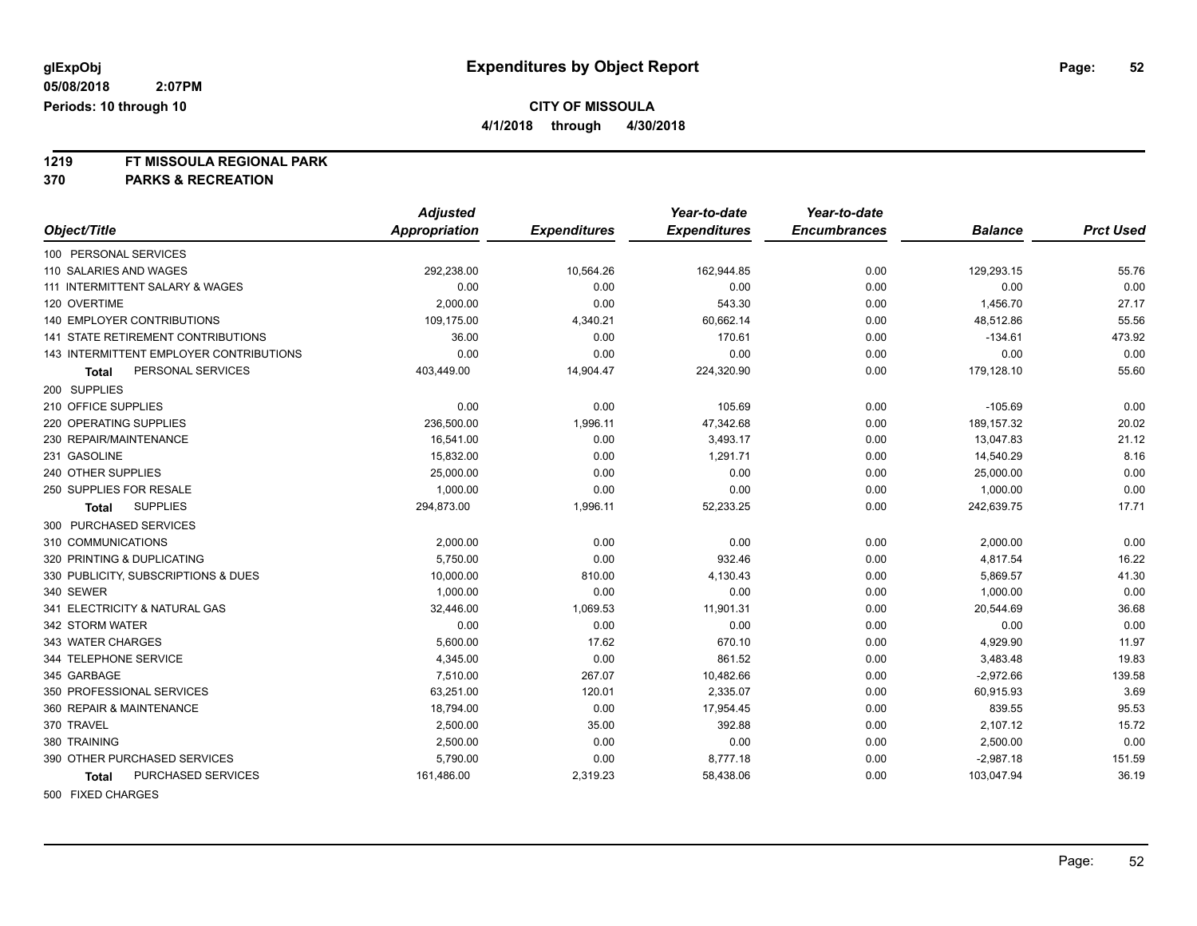### **1219 FT MISSOULA REGIONAL PARK**

**370 PARKS & RECREATION**

|                                         | <b>Adjusted</b>      |                     | Year-to-date        | Year-to-date        |                |                  |
|-----------------------------------------|----------------------|---------------------|---------------------|---------------------|----------------|------------------|
| Object/Title                            | <b>Appropriation</b> | <b>Expenditures</b> | <b>Expenditures</b> | <b>Encumbrances</b> | <b>Balance</b> | <b>Prct Used</b> |
| 100 PERSONAL SERVICES                   |                      |                     |                     |                     |                |                  |
| 110 SALARIES AND WAGES                  | 292,238.00           | 10,564.26           | 162,944.85          | 0.00                | 129,293.15     | 55.76            |
| 111 INTERMITTENT SALARY & WAGES         | 0.00                 | 0.00                | 0.00                | 0.00                | 0.00           | 0.00             |
| 120 OVERTIME                            | 2,000.00             | 0.00                | 543.30              | 0.00                | 1,456.70       | 27.17            |
| 140 EMPLOYER CONTRIBUTIONS              | 109,175.00           | 4,340.21            | 60,662.14           | 0.00                | 48,512.86      | 55.56            |
| 141 STATE RETIREMENT CONTRIBUTIONS      | 36.00                | 0.00                | 170.61              | 0.00                | $-134.61$      | 473.92           |
| 143 INTERMITTENT EMPLOYER CONTRIBUTIONS | 0.00                 | 0.00                | 0.00                | 0.00                | 0.00           | 0.00             |
| PERSONAL SERVICES<br><b>Total</b>       | 403,449.00           | 14,904.47           | 224,320.90          | 0.00                | 179,128.10     | 55.60            |
| 200 SUPPLIES                            |                      |                     |                     |                     |                |                  |
| 210 OFFICE SUPPLIES                     | 0.00                 | 0.00                | 105.69              | 0.00                | $-105.69$      | 0.00             |
| 220 OPERATING SUPPLIES                  | 236,500.00           | 1,996.11            | 47,342.68           | 0.00                | 189, 157.32    | 20.02            |
| 230 REPAIR/MAINTENANCE                  | 16,541.00            | 0.00                | 3,493.17            | 0.00                | 13,047.83      | 21.12            |
| 231 GASOLINE                            | 15,832.00            | 0.00                | 1,291.71            | 0.00                | 14,540.29      | 8.16             |
| 240 OTHER SUPPLIES                      | 25,000.00            | 0.00                | 0.00                | 0.00                | 25,000.00      | 0.00             |
| 250 SUPPLIES FOR RESALE                 | 1,000.00             | 0.00                | 0.00                | 0.00                | 1,000.00       | 0.00             |
| <b>SUPPLIES</b><br>Total                | 294,873.00           | 1,996.11            | 52,233.25           | 0.00                | 242,639.75     | 17.71            |
| 300 PURCHASED SERVICES                  |                      |                     |                     |                     |                |                  |
| 310 COMMUNICATIONS                      | 2,000.00             | 0.00                | 0.00                | 0.00                | 2,000.00       | 0.00             |
| 320 PRINTING & DUPLICATING              | 5,750.00             | 0.00                | 932.46              | 0.00                | 4,817.54       | 16.22            |
| 330 PUBLICITY, SUBSCRIPTIONS & DUES     | 10,000.00            | 810.00              | 4,130.43            | 0.00                | 5,869.57       | 41.30            |
| 340 SEWER                               | 1,000.00             | 0.00                | 0.00                | 0.00                | 1,000.00       | 0.00             |
| 341 ELECTRICITY & NATURAL GAS           | 32,446.00            | 1,069.53            | 11,901.31           | 0.00                | 20,544.69      | 36.68            |
| 342 STORM WATER                         | 0.00                 | 0.00                | 0.00                | 0.00                | 0.00           | 0.00             |
| 343 WATER CHARGES                       | 5,600.00             | 17.62               | 670.10              | 0.00                | 4,929.90       | 11.97            |
| 344 TELEPHONE SERVICE                   | 4,345.00             | 0.00                | 861.52              | 0.00                | 3,483.48       | 19.83            |
| 345 GARBAGE                             | 7,510.00             | 267.07              | 10,482.66           | 0.00                | $-2,972.66$    | 139.58           |
| 350 PROFESSIONAL SERVICES               | 63,251.00            | 120.01              | 2,335.07            | 0.00                | 60,915.93      | 3.69             |
| 360 REPAIR & MAINTENANCE                | 18,794.00            | 0.00                | 17,954.45           | 0.00                | 839.55         | 95.53            |
| 370 TRAVEL                              | 2,500.00             | 35.00               | 392.88              | 0.00                | 2,107.12       | 15.72            |
| 380 TRAINING                            | 2,500.00             | 0.00                | 0.00                | 0.00                | 2,500.00       | 0.00             |
| 390 OTHER PURCHASED SERVICES            | 5,790.00             | 0.00                | 8,777.18            | 0.00                | $-2,987.18$    | 151.59           |
| PURCHASED SERVICES<br><b>Total</b>      | 161,486.00           | 2,319.23            | 58,438.06           | 0.00                | 103,047.94     | 36.19            |
|                                         |                      |                     |                     |                     |                |                  |

500 FIXED CHARGES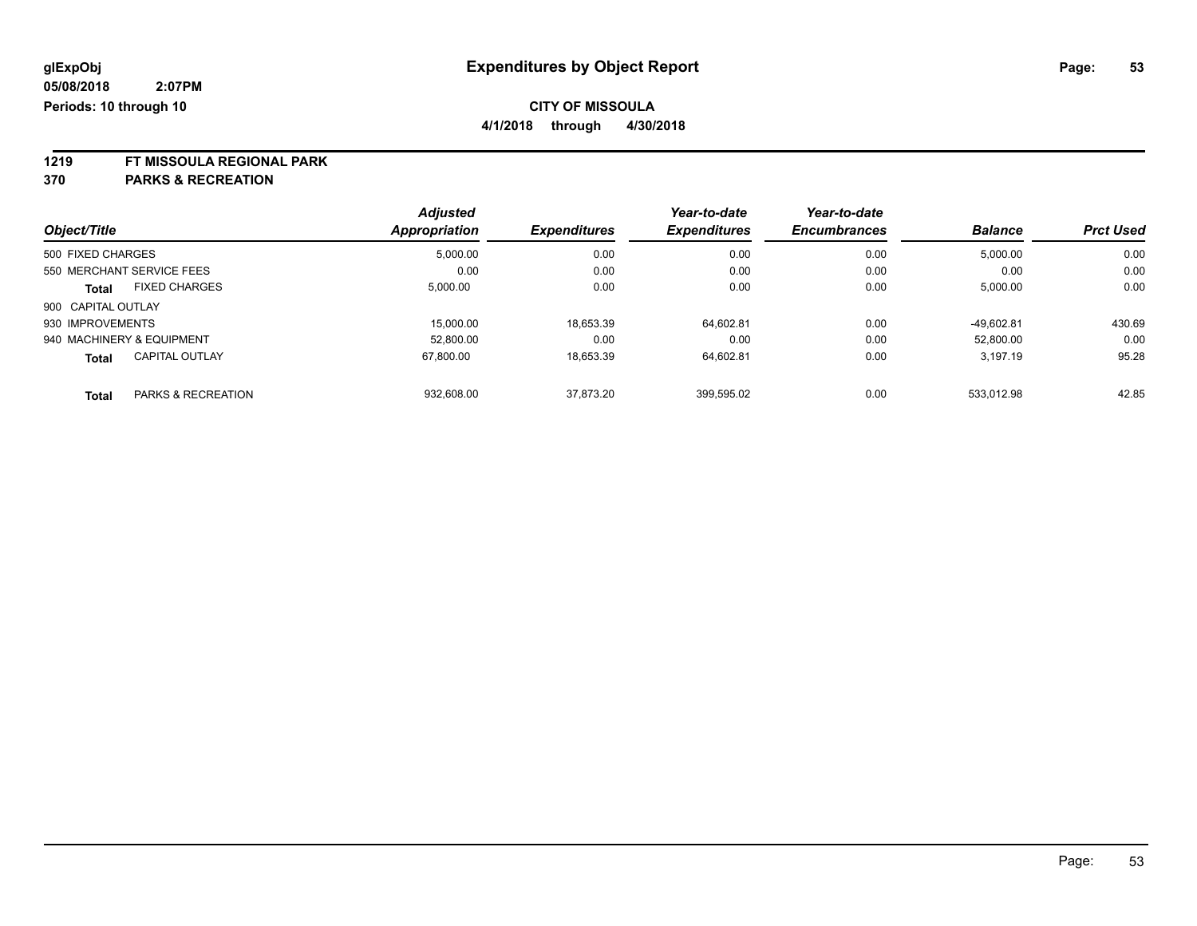**1219 FT MISSOULA REGIONAL PARK**

**370 PARKS & RECREATION**

|                                               | <b>Adjusted</b> |                     | Year-to-date        | Year-to-date        |                |                  |
|-----------------------------------------------|-----------------|---------------------|---------------------|---------------------|----------------|------------------|
| Object/Title                                  | Appropriation   | <b>Expenditures</b> | <b>Expenditures</b> | <b>Encumbrances</b> | <b>Balance</b> | <b>Prct Used</b> |
| 500 FIXED CHARGES                             | 5,000.00        | 0.00                | 0.00                | 0.00                | 5,000.00       | 0.00             |
| 550 MERCHANT SERVICE FEES                     | 0.00            | 0.00                | 0.00                | 0.00                | 0.00           | 0.00             |
| <b>FIXED CHARGES</b><br><b>Total</b>          | 5.000.00        | 0.00                | 0.00                | 0.00                | 5,000.00       | 0.00             |
| 900 CAPITAL OUTLAY                            |                 |                     |                     |                     |                |                  |
| 930 IMPROVEMENTS                              | 15,000.00       | 18,653.39           | 64.602.81           | 0.00                | $-49.602.81$   | 430.69           |
| 940 MACHINERY & EQUIPMENT                     | 52,800.00       | 0.00                | 0.00                | 0.00                | 52.800.00      | 0.00             |
| <b>CAPITAL OUTLAY</b><br><b>Total</b>         | 67.800.00       | 18.653.39           | 64.602.81           | 0.00                | 3.197.19       | 95.28            |
| <b>PARKS &amp; RECREATION</b><br><b>Total</b> | 932.608.00      | 37.873.20           | 399.595.02          | 0.00                | 533.012.98     | 42.85            |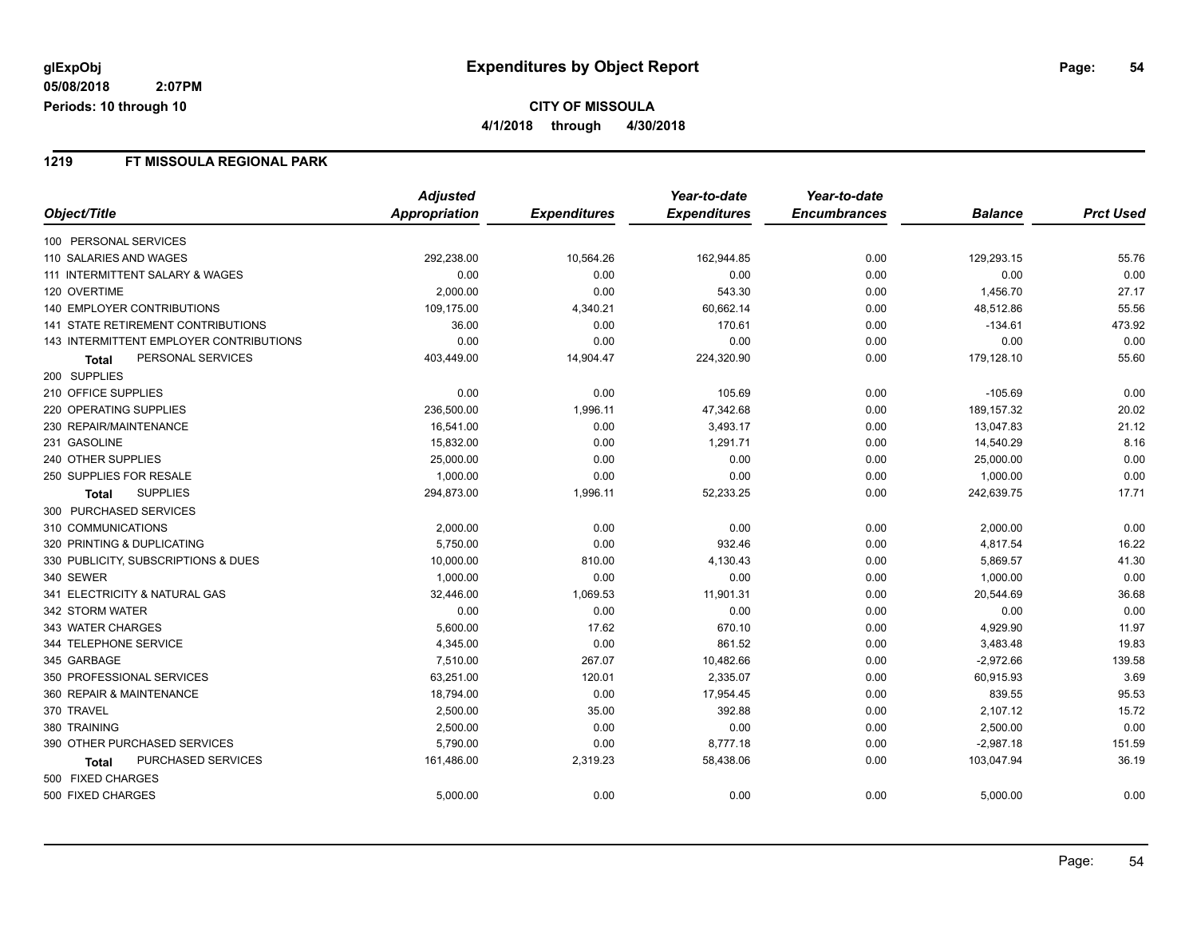### **1219 FT MISSOULA REGIONAL PARK**

|                                         | <b>Adjusted</b> |                     | Year-to-date        | Year-to-date        |                |                  |
|-----------------------------------------|-----------------|---------------------|---------------------|---------------------|----------------|------------------|
| Object/Title                            | Appropriation   | <b>Expenditures</b> | <b>Expenditures</b> | <b>Encumbrances</b> | <b>Balance</b> | <b>Prct Used</b> |
| 100 PERSONAL SERVICES                   |                 |                     |                     |                     |                |                  |
| 110 SALARIES AND WAGES                  | 292,238.00      | 10,564.26           | 162,944.85          | 0.00                | 129,293.15     | 55.76            |
| 111 INTERMITTENT SALARY & WAGES         | 0.00            | 0.00                | 0.00                | 0.00                | 0.00           | 0.00             |
| 120 OVERTIME                            | 2,000.00        | 0.00                | 543.30              | 0.00                | 1,456.70       | 27.17            |
| 140 EMPLOYER CONTRIBUTIONS              | 109,175.00      | 4,340.21            | 60,662.14           | 0.00                | 48,512.86      | 55.56            |
| 141 STATE RETIREMENT CONTRIBUTIONS      | 36.00           | 0.00                | 170.61              | 0.00                | $-134.61$      | 473.92           |
| 143 INTERMITTENT EMPLOYER CONTRIBUTIONS | 0.00            | 0.00                | 0.00                | 0.00                | 0.00           | 0.00             |
| PERSONAL SERVICES<br><b>Total</b>       | 403,449.00      | 14,904.47           | 224,320.90          | 0.00                | 179,128.10     | 55.60            |
| 200 SUPPLIES                            |                 |                     |                     |                     |                |                  |
| 210 OFFICE SUPPLIES                     | 0.00            | 0.00                | 105.69              | 0.00                | $-105.69$      | 0.00             |
| 220 OPERATING SUPPLIES                  | 236,500.00      | 1,996.11            | 47,342.68           | 0.00                | 189, 157.32    | 20.02            |
| 230 REPAIR/MAINTENANCE                  | 16,541.00       | 0.00                | 3,493.17            | 0.00                | 13,047.83      | 21.12            |
| 231 GASOLINE                            | 15,832.00       | 0.00                | 1,291.71            | 0.00                | 14,540.29      | 8.16             |
| 240 OTHER SUPPLIES                      | 25,000.00       | 0.00                | 0.00                | 0.00                | 25,000.00      | 0.00             |
| 250 SUPPLIES FOR RESALE                 | 1,000.00        | 0.00                | 0.00                | 0.00                | 1,000.00       | 0.00             |
| <b>SUPPLIES</b><br><b>Total</b>         | 294,873.00      | 1,996.11            | 52,233.25           | 0.00                | 242,639.75     | 17.71            |
| 300 PURCHASED SERVICES                  |                 |                     |                     |                     |                |                  |
| 310 COMMUNICATIONS                      | 2,000.00        | 0.00                | 0.00                | 0.00                | 2,000.00       | 0.00             |
| 320 PRINTING & DUPLICATING              | 5,750.00        | 0.00                | 932.46              | 0.00                | 4,817.54       | 16.22            |
| 330 PUBLICITY, SUBSCRIPTIONS & DUES     | 10,000.00       | 810.00              | 4,130.43            | 0.00                | 5,869.57       | 41.30            |
| 340 SEWER                               | 1,000.00        | 0.00                | 0.00                | 0.00                | 1,000.00       | 0.00             |
| 341 ELECTRICITY & NATURAL GAS           | 32,446.00       | 1,069.53            | 11,901.31           | 0.00                | 20,544.69      | 36.68            |
| 342 STORM WATER                         | 0.00            | 0.00                | 0.00                | 0.00                | 0.00           | 0.00             |
| 343 WATER CHARGES                       | 5,600.00        | 17.62               | 670.10              | 0.00                | 4,929.90       | 11.97            |
| 344 TELEPHONE SERVICE                   | 4,345.00        | 0.00                | 861.52              | 0.00                | 3,483.48       | 19.83            |
| 345 GARBAGE                             | 7,510.00        | 267.07              | 10,482.66           | 0.00                | $-2,972.66$    | 139.58           |
| 350 PROFESSIONAL SERVICES               | 63,251.00       | 120.01              | 2,335.07            | 0.00                | 60,915.93      | 3.69             |
| 360 REPAIR & MAINTENANCE                | 18,794.00       | 0.00                | 17,954.45           | 0.00                | 839.55         | 95.53            |
| 370 TRAVEL                              | 2,500.00        | 35.00               | 392.88              | 0.00                | 2,107.12       | 15.72            |
| 380 TRAINING                            | 2,500.00        | 0.00                | 0.00                | 0.00                | 2,500.00       | 0.00             |
| 390 OTHER PURCHASED SERVICES            | 5,790.00        | 0.00                | 8,777.18            | 0.00                | $-2,987.18$    | 151.59           |
| PURCHASED SERVICES<br><b>Total</b>      | 161,486.00      | 2,319.23            | 58,438.06           | 0.00                | 103,047.94     | 36.19            |
| 500 FIXED CHARGES                       |                 |                     |                     |                     |                |                  |
| 500 FIXED CHARGES                       | 5,000.00        | 0.00                | 0.00                | 0.00                | 5,000.00       | 0.00             |
|                                         |                 |                     |                     |                     |                |                  |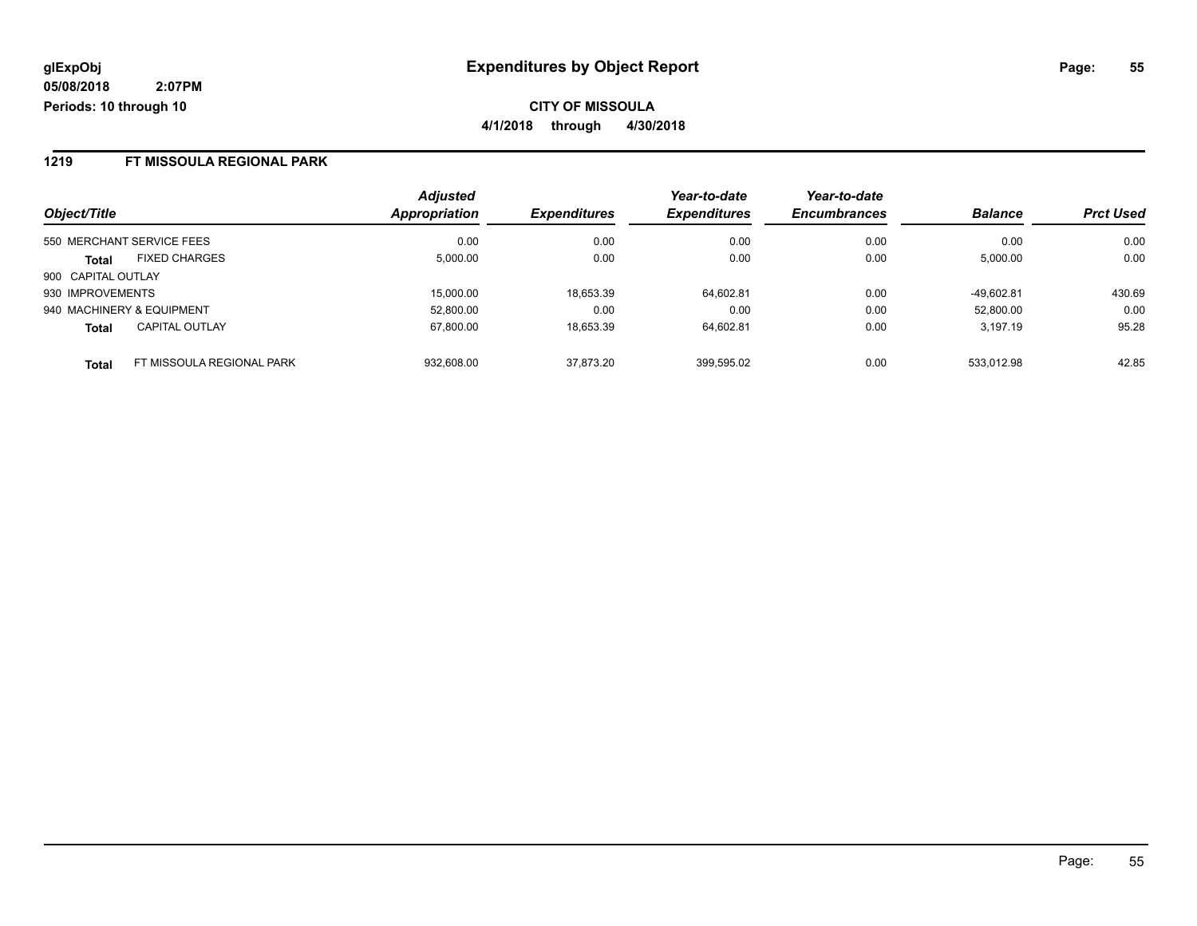### **1219 FT MISSOULA REGIONAL PARK**

| Object/Title                              | <b>Adjusted</b><br><b>Appropriation</b> | <b>Expenditures</b> | Year-to-date<br><b>Expenditures</b> | Year-to-date<br><b>Encumbrances</b> | <b>Balance</b> | <b>Prct Used</b> |
|-------------------------------------------|-----------------------------------------|---------------------|-------------------------------------|-------------------------------------|----------------|------------------|
| 550 MERCHANT SERVICE FEES                 | 0.00                                    | 0.00                | 0.00                                | 0.00                                | 0.00           | 0.00             |
| <b>FIXED CHARGES</b><br><b>Total</b>      | 5.000.00                                | 0.00                | 0.00                                | 0.00                                | 5,000.00       | 0.00             |
| 900 CAPITAL OUTLAY                        |                                         |                     |                                     |                                     |                |                  |
| 930 IMPROVEMENTS                          | 15,000.00                               | 18,653.39           | 64,602.81                           | 0.00                                | $-49,602.81$   | 430.69           |
| 940 MACHINERY & EQUIPMENT                 | 52.800.00                               | 0.00                | 0.00                                | 0.00                                | 52.800.00      | 0.00             |
| <b>CAPITAL OUTLAY</b><br><b>Total</b>     | 67.800.00                               | 18.653.39           | 64.602.81                           | 0.00                                | 3.197.19       | 95.28            |
| FT MISSOULA REGIONAL PARK<br><b>Total</b> | 932,608.00                              | 37.873.20           | 399,595.02                          | 0.00                                | 533.012.98     | 42.85            |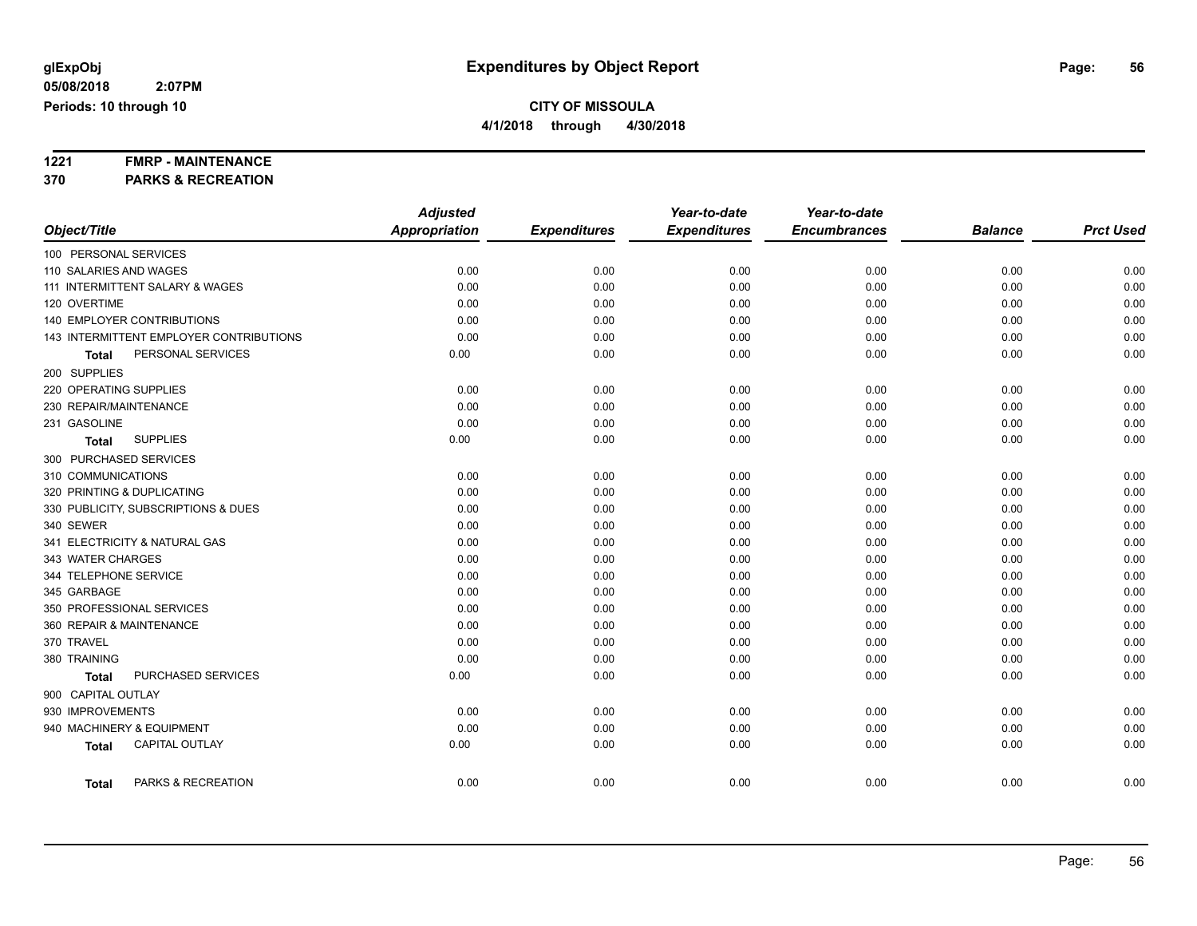# **1221 FMRP - MAINTENANCE**

**370 PARKS & RECREATION**

|                                         | <b>Adjusted</b>      |                     | Year-to-date        | Year-to-date        |                |                  |
|-----------------------------------------|----------------------|---------------------|---------------------|---------------------|----------------|------------------|
| Object/Title                            | <b>Appropriation</b> | <b>Expenditures</b> | <b>Expenditures</b> | <b>Encumbrances</b> | <b>Balance</b> | <b>Prct Used</b> |
| 100 PERSONAL SERVICES                   |                      |                     |                     |                     |                |                  |
| 110 SALARIES AND WAGES                  | 0.00                 | 0.00                | 0.00                | 0.00                | 0.00           | 0.00             |
| 111 INTERMITTENT SALARY & WAGES         | 0.00                 | 0.00                | 0.00                | 0.00                | 0.00           | 0.00             |
| 120 OVERTIME                            | 0.00                 | 0.00                | 0.00                | 0.00                | 0.00           | 0.00             |
| 140 EMPLOYER CONTRIBUTIONS              | 0.00                 | 0.00                | 0.00                | 0.00                | 0.00           | 0.00             |
| 143 INTERMITTENT EMPLOYER CONTRIBUTIONS | 0.00                 | 0.00                | 0.00                | 0.00                | 0.00           | 0.00             |
| PERSONAL SERVICES<br><b>Total</b>       | 0.00                 | 0.00                | 0.00                | 0.00                | 0.00           | 0.00             |
| 200 SUPPLIES                            |                      |                     |                     |                     |                |                  |
| 220 OPERATING SUPPLIES                  | 0.00                 | 0.00                | 0.00                | 0.00                | 0.00           | 0.00             |
| 230 REPAIR/MAINTENANCE                  | 0.00                 | 0.00                | 0.00                | 0.00                | 0.00           | 0.00             |
| 231 GASOLINE                            | 0.00                 | 0.00                | 0.00                | 0.00                | 0.00           | 0.00             |
| <b>SUPPLIES</b><br>Total                | 0.00                 | 0.00                | 0.00                | 0.00                | 0.00           | 0.00             |
| 300 PURCHASED SERVICES                  |                      |                     |                     |                     |                |                  |
| 310 COMMUNICATIONS                      | 0.00                 | 0.00                | 0.00                | 0.00                | 0.00           | 0.00             |
| 320 PRINTING & DUPLICATING              | 0.00                 | 0.00                | 0.00                | 0.00                | 0.00           | 0.00             |
| 330 PUBLICITY, SUBSCRIPTIONS & DUES     | 0.00                 | 0.00                | 0.00                | 0.00                | 0.00           | 0.00             |
| 340 SEWER                               | 0.00                 | 0.00                | 0.00                | 0.00                | 0.00           | 0.00             |
| 341 ELECTRICITY & NATURAL GAS           | 0.00                 | 0.00                | 0.00                | 0.00                | 0.00           | 0.00             |
| 343 WATER CHARGES                       | 0.00                 | 0.00                | 0.00                | 0.00                | 0.00           | 0.00             |
| 344 TELEPHONE SERVICE                   | 0.00                 | 0.00                | 0.00                | 0.00                | 0.00           | 0.00             |
| 345 GARBAGE                             | 0.00                 | 0.00                | 0.00                | 0.00                | 0.00           | 0.00             |
| 350 PROFESSIONAL SERVICES               | 0.00                 | 0.00                | 0.00                | 0.00                | 0.00           | 0.00             |
| 360 REPAIR & MAINTENANCE                | 0.00                 | 0.00                | 0.00                | 0.00                | 0.00           | 0.00             |
| 370 TRAVEL                              | 0.00                 | 0.00                | 0.00                | 0.00                | 0.00           | 0.00             |
| 380 TRAINING                            | 0.00                 | 0.00                | 0.00                | 0.00                | 0.00           | 0.00             |
| PURCHASED SERVICES<br><b>Total</b>      | 0.00                 | 0.00                | 0.00                | 0.00                | 0.00           | 0.00             |
| 900 CAPITAL OUTLAY                      |                      |                     |                     |                     |                |                  |
| 930 IMPROVEMENTS                        | 0.00                 | 0.00                | 0.00                | 0.00                | 0.00           | 0.00             |
| 940 MACHINERY & EQUIPMENT               | 0.00                 | 0.00                | 0.00                | 0.00                | 0.00           | 0.00             |
| CAPITAL OUTLAY<br><b>Total</b>          | 0.00                 | 0.00                | 0.00                | 0.00                | 0.00           | 0.00             |
| PARKS & RECREATION<br>Total             | 0.00                 | 0.00                | 0.00                | 0.00                | 0.00           | 0.00             |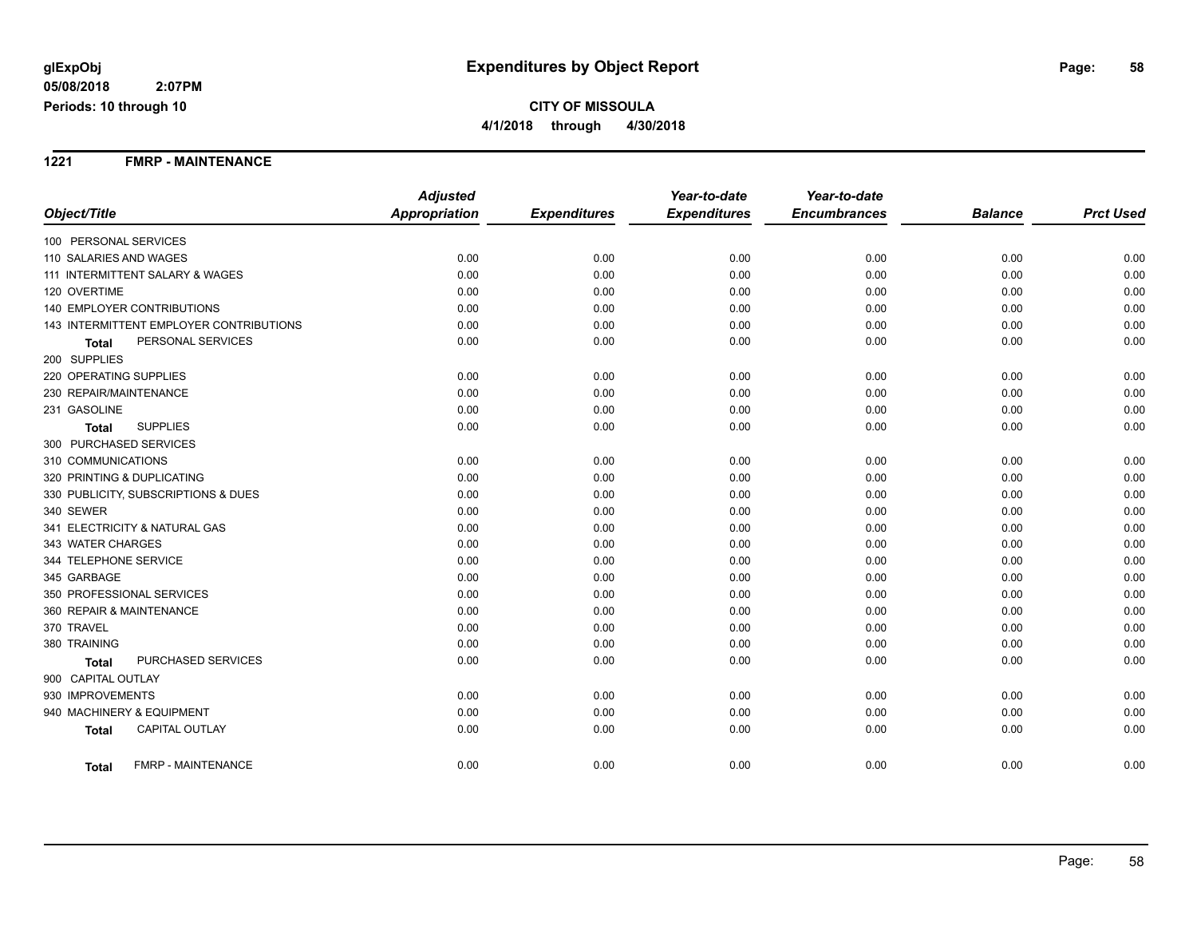#### **1221 FMRP - MAINTENANCE**

|                                           | <b>Adjusted</b>      |                     | Year-to-date        | Year-to-date        |                |                  |
|-------------------------------------------|----------------------|---------------------|---------------------|---------------------|----------------|------------------|
| Object/Title                              | <b>Appropriation</b> | <b>Expenditures</b> | <b>Expenditures</b> | <b>Encumbrances</b> | <b>Balance</b> | <b>Prct Used</b> |
| 100 PERSONAL SERVICES                     |                      |                     |                     |                     |                |                  |
| 110 SALARIES AND WAGES                    | 0.00                 | 0.00                | 0.00                | 0.00                | 0.00           | 0.00             |
| 111 INTERMITTENT SALARY & WAGES           | 0.00                 | 0.00                | 0.00                | 0.00                | 0.00           | 0.00             |
| 120 OVERTIME                              | 0.00                 | 0.00                | 0.00                | 0.00                | 0.00           | 0.00             |
| <b>140 EMPLOYER CONTRIBUTIONS</b>         | 0.00                 | 0.00                | 0.00                | 0.00                | 0.00           | 0.00             |
| 143 INTERMITTENT EMPLOYER CONTRIBUTIONS   | 0.00                 | 0.00                | 0.00                | 0.00                | 0.00           | 0.00             |
| PERSONAL SERVICES<br>Total                | 0.00                 | 0.00                | 0.00                | 0.00                | 0.00           | 0.00             |
| 200 SUPPLIES                              |                      |                     |                     |                     |                |                  |
| 220 OPERATING SUPPLIES                    | 0.00                 | 0.00                | 0.00                | 0.00                | 0.00           | 0.00             |
| 230 REPAIR/MAINTENANCE                    | 0.00                 | 0.00                | 0.00                | 0.00                | 0.00           | 0.00             |
| 231 GASOLINE                              | 0.00                 | 0.00                | 0.00                | 0.00                | 0.00           | 0.00             |
| <b>SUPPLIES</b><br><b>Total</b>           | 0.00                 | 0.00                | 0.00                | 0.00                | 0.00           | 0.00             |
| 300 PURCHASED SERVICES                    |                      |                     |                     |                     |                |                  |
| 310 COMMUNICATIONS                        | 0.00                 | 0.00                | 0.00                | 0.00                | 0.00           | 0.00             |
| 320 PRINTING & DUPLICATING                | 0.00                 | 0.00                | 0.00                | 0.00                | 0.00           | 0.00             |
| 330 PUBLICITY, SUBSCRIPTIONS & DUES       | 0.00                 | 0.00                | 0.00                | 0.00                | 0.00           | 0.00             |
| 340 SEWER                                 | 0.00                 | 0.00                | 0.00                | 0.00                | 0.00           | 0.00             |
| 341 ELECTRICITY & NATURAL GAS             | 0.00                 | 0.00                | 0.00                | 0.00                | 0.00           | 0.00             |
| 343 WATER CHARGES                         | 0.00                 | 0.00                | 0.00                | 0.00                | 0.00           | 0.00             |
| 344 TELEPHONE SERVICE                     | 0.00                 | 0.00                | 0.00                | 0.00                | 0.00           | 0.00             |
| 345 GARBAGE                               | 0.00                 | 0.00                | 0.00                | 0.00                | 0.00           | 0.00             |
| 350 PROFESSIONAL SERVICES                 | 0.00                 | 0.00                | 0.00                | 0.00                | 0.00           | 0.00             |
| 360 REPAIR & MAINTENANCE                  | 0.00                 | 0.00                | 0.00                | 0.00                | 0.00           | 0.00             |
| 370 TRAVEL                                | 0.00                 | 0.00                | 0.00                | 0.00                | 0.00           | 0.00             |
| 380 TRAINING                              | 0.00                 | 0.00                | 0.00                | 0.00                | 0.00           | 0.00             |
| PURCHASED SERVICES<br><b>Total</b>        | 0.00                 | 0.00                | 0.00                | 0.00                | 0.00           | 0.00             |
| 900 CAPITAL OUTLAY                        |                      |                     |                     |                     |                |                  |
| 930 IMPROVEMENTS                          | 0.00                 | 0.00                | 0.00                | 0.00                | 0.00           | 0.00             |
| 940 MACHINERY & EQUIPMENT                 | 0.00                 | 0.00                | 0.00                | 0.00                | 0.00           | 0.00             |
| <b>CAPITAL OUTLAY</b><br><b>Total</b>     | 0.00                 | 0.00                | 0.00                | 0.00                | 0.00           | 0.00             |
| <b>FMRP - MAINTENANCE</b><br><b>Total</b> | 0.00                 | 0.00                | 0.00                | 0.00                | 0.00           | 0.00             |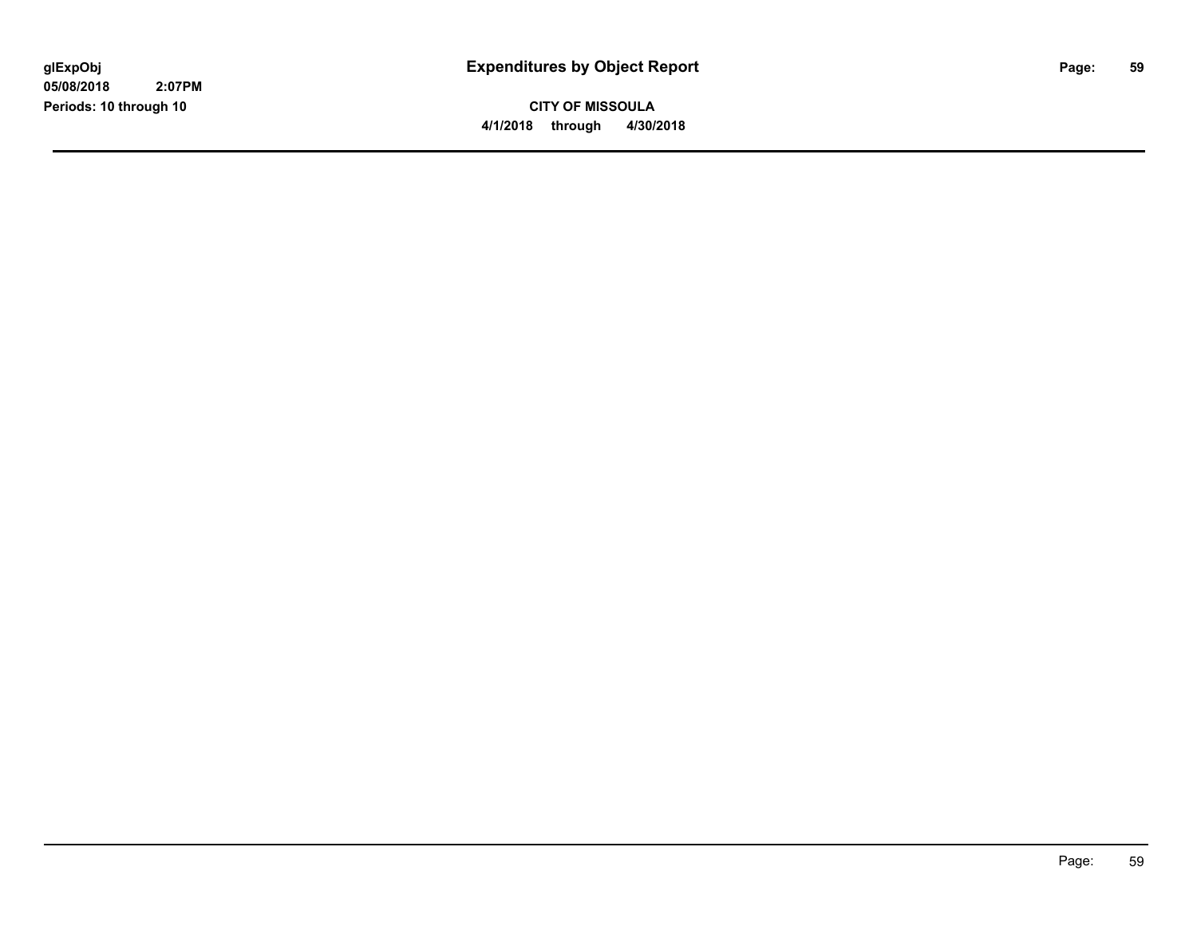**CITY OF MISSOULA**

**4/1/2018 through 4/30/2018**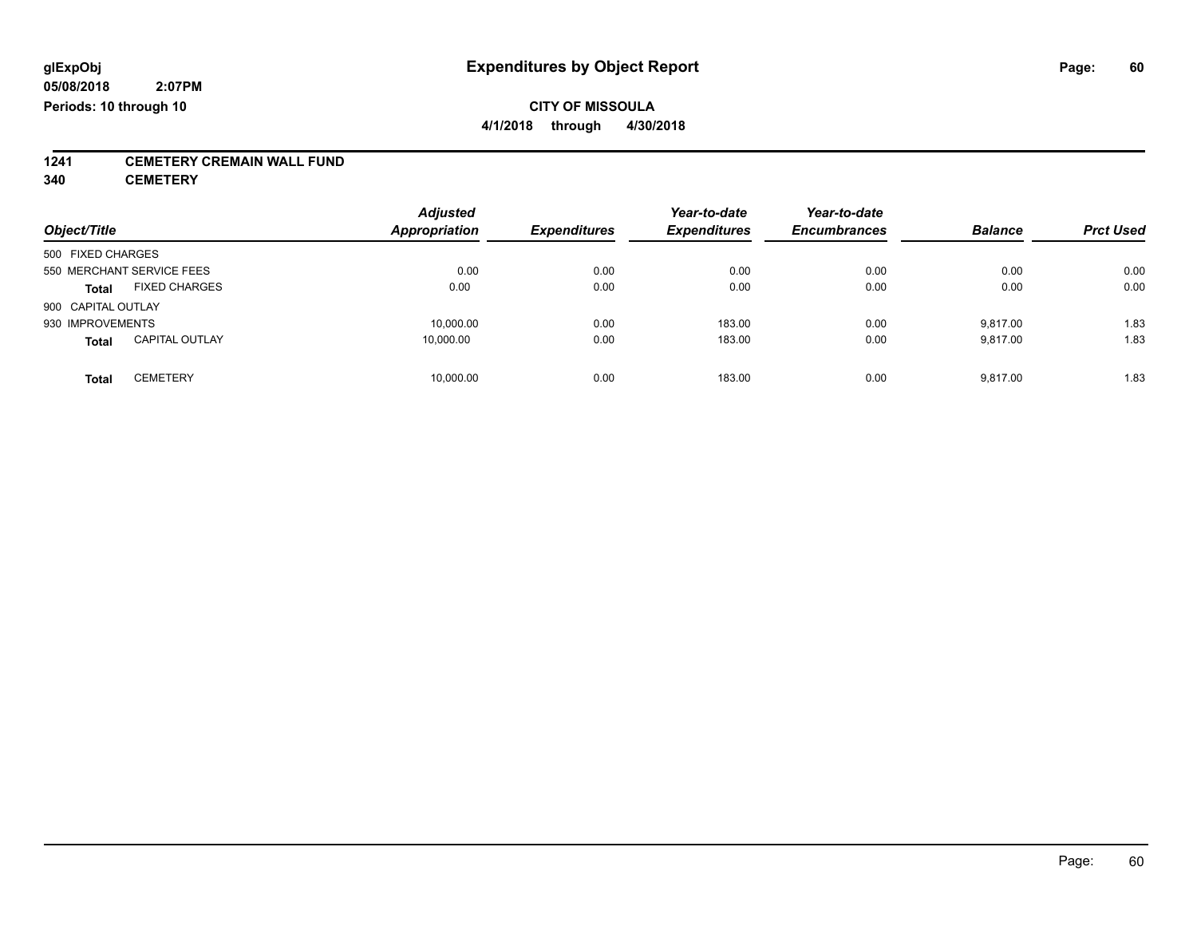# **1241 CEMETERY CREMAIN WALL FUND**

**340 CEMETERY**

| Object/Title                          | <b>Adjusted</b><br><b>Appropriation</b> | <b>Expenditures</b> | Year-to-date<br><b>Expenditures</b> | Year-to-date<br><b>Encumbrances</b> | <b>Balance</b> | <b>Prct Used</b> |
|---------------------------------------|-----------------------------------------|---------------------|-------------------------------------|-------------------------------------|----------------|------------------|
| 500 FIXED CHARGES                     |                                         |                     |                                     |                                     |                |                  |
| 550 MERCHANT SERVICE FEES             | 0.00                                    | 0.00                | 0.00                                | 0.00                                | 0.00           | 0.00             |
| <b>FIXED CHARGES</b><br><b>Total</b>  | 0.00                                    | 0.00                | 0.00                                | 0.00                                | 0.00           | 0.00             |
| 900 CAPITAL OUTLAY                    |                                         |                     |                                     |                                     |                |                  |
| 930 IMPROVEMENTS                      | 10,000.00                               | 0.00                | 183.00                              | 0.00                                | 9,817.00       | 1.83             |
| <b>CAPITAL OUTLAY</b><br><b>Total</b> | 10.000.00                               | 0.00                | 183.00                              | 0.00                                | 9.817.00       | 1.83             |
| <b>CEMETERY</b><br><b>Total</b>       | 10,000.00                               | 0.00                | 183.00                              | 0.00                                | 9,817.00       | 1.83             |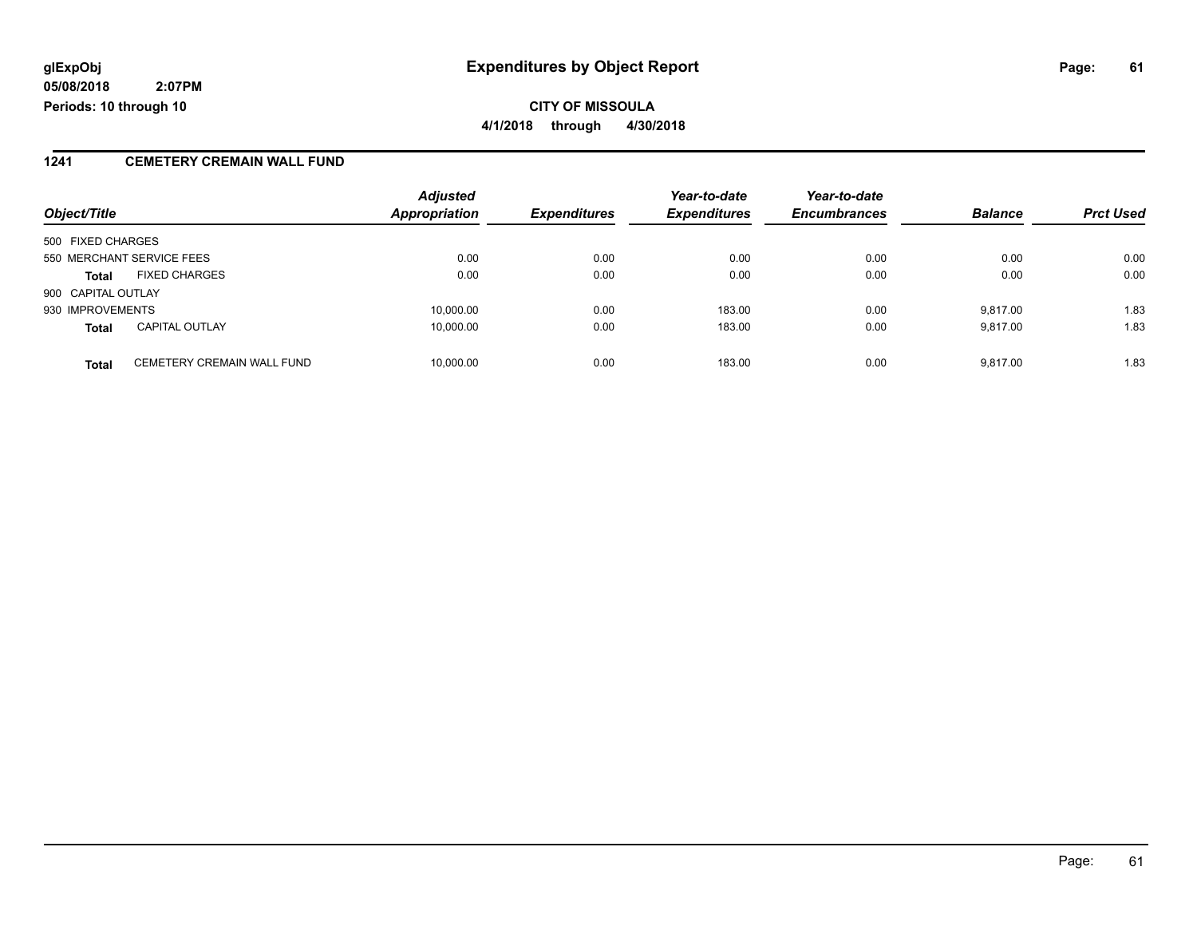**CITY OF MISSOULA 4/1/2018 through 4/30/2018**

### **1241 CEMETERY CREMAIN WALL FUND**

|                    |                                   | <b>Adjusted</b>      |                     | Year-to-date        | Year-to-date        |                |                  |
|--------------------|-----------------------------------|----------------------|---------------------|---------------------|---------------------|----------------|------------------|
| Object/Title       |                                   | <b>Appropriation</b> | <b>Expenditures</b> | <b>Expenditures</b> | <b>Encumbrances</b> | <b>Balance</b> | <b>Prct Used</b> |
| 500 FIXED CHARGES  |                                   |                      |                     |                     |                     |                |                  |
|                    | 550 MERCHANT SERVICE FEES         | 0.00                 | 0.00                | 0.00                | 0.00                | 0.00           | 0.00             |
| <b>Total</b>       | <b>FIXED CHARGES</b>              | 0.00                 | 0.00                | 0.00                | 0.00                | 0.00           | 0.00             |
| 900 CAPITAL OUTLAY |                                   |                      |                     |                     |                     |                |                  |
| 930 IMPROVEMENTS   |                                   | 10,000.00            | 0.00                | 183.00              | 0.00                | 9.817.00       | 1.83             |
| <b>Total</b>       | <b>CAPITAL OUTLAY</b>             | 10,000.00            | 0.00                | 183.00              | 0.00                | 9.817.00       | 1.83             |
| <b>Total</b>       | <b>CEMETERY CREMAIN WALL FUND</b> | 10,000.00            | 0.00                | 183.00              | 0.00                | 9,817.00       | 1.83             |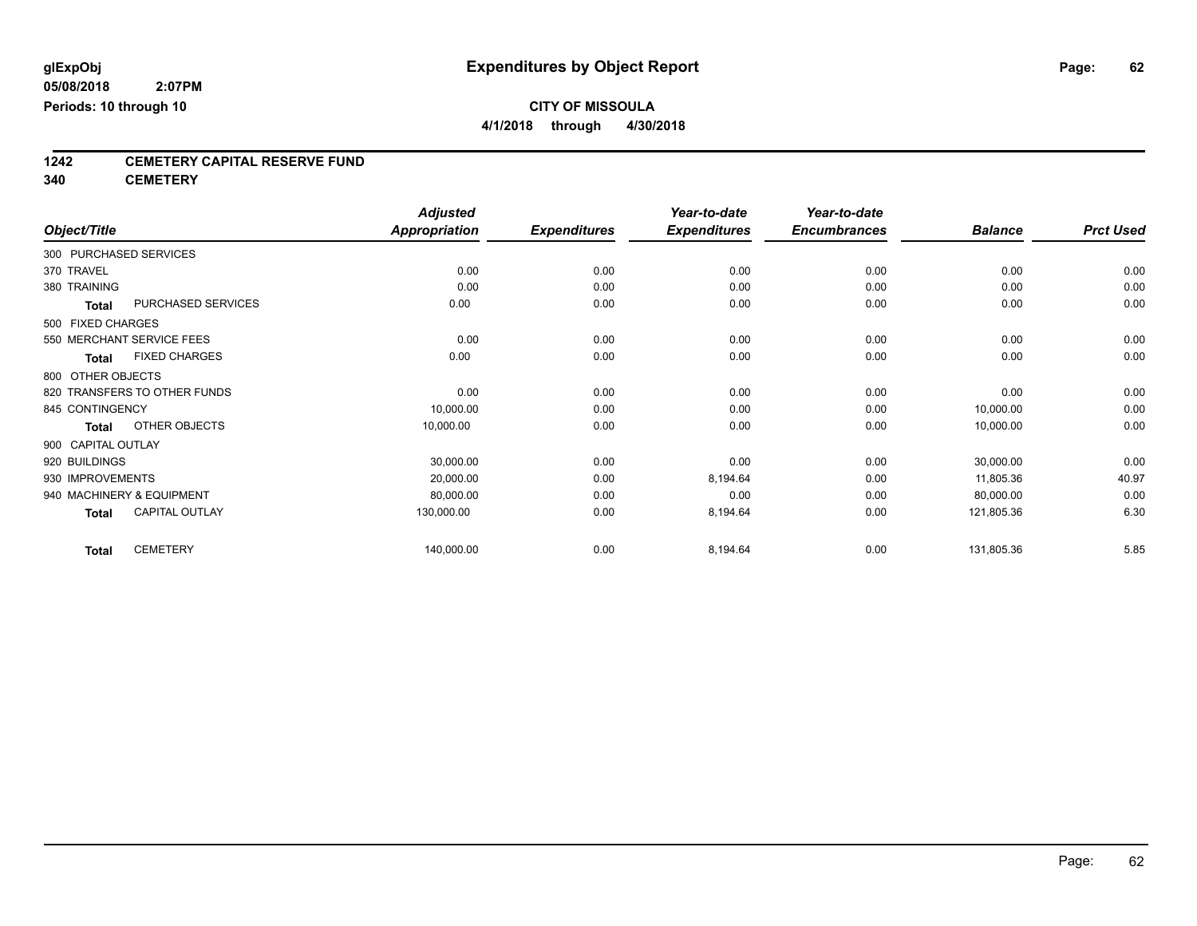# **1242 CEMETERY CAPITAL RESERVE FUND**

**340 CEMETERY**

|                        |                              | <b>Adjusted</b> |                     | Year-to-date        | Year-to-date        |                |                  |
|------------------------|------------------------------|-----------------|---------------------|---------------------|---------------------|----------------|------------------|
| Object/Title           |                              | Appropriation   | <b>Expenditures</b> | <b>Expenditures</b> | <b>Encumbrances</b> | <b>Balance</b> | <b>Prct Used</b> |
| 300 PURCHASED SERVICES |                              |                 |                     |                     |                     |                |                  |
| 370 TRAVEL             |                              | 0.00            | 0.00                | 0.00                | 0.00                | 0.00           | 0.00             |
| 380 TRAINING           |                              | 0.00            | 0.00                | 0.00                | 0.00                | 0.00           | 0.00             |
| <b>Total</b>           | PURCHASED SERVICES           | 0.00            | 0.00                | 0.00                | 0.00                | 0.00           | 0.00             |
| 500 FIXED CHARGES      |                              |                 |                     |                     |                     |                |                  |
|                        | 550 MERCHANT SERVICE FEES    | 0.00            | 0.00                | 0.00                | 0.00                | 0.00           | 0.00             |
| <b>Total</b>           | <b>FIXED CHARGES</b>         | 0.00            | 0.00                | 0.00                | 0.00                | 0.00           | 0.00             |
| 800 OTHER OBJECTS      |                              |                 |                     |                     |                     |                |                  |
|                        | 820 TRANSFERS TO OTHER FUNDS | 0.00            | 0.00                | 0.00                | 0.00                | 0.00           | 0.00             |
| 845 CONTINGENCY        |                              | 10,000.00       | 0.00                | 0.00                | 0.00                | 10,000.00      | 0.00             |
| <b>Total</b>           | OTHER OBJECTS                | 10,000.00       | 0.00                | 0.00                | 0.00                | 10,000.00      | 0.00             |
| 900 CAPITAL OUTLAY     |                              |                 |                     |                     |                     |                |                  |
| 920 BUILDINGS          |                              | 30,000.00       | 0.00                | 0.00                | 0.00                | 30,000.00      | 0.00             |
| 930 IMPROVEMENTS       |                              | 20,000.00       | 0.00                | 8,194.64            | 0.00                | 11,805.36      | 40.97            |
|                        | 940 MACHINERY & EQUIPMENT    | 80,000.00       | 0.00                | 0.00                | 0.00                | 80,000.00      | 0.00             |
| <b>Total</b>           | <b>CAPITAL OUTLAY</b>        | 130,000.00      | 0.00                | 8,194.64            | 0.00                | 121,805.36     | 6.30             |
| <b>Total</b>           | <b>CEMETERY</b>              | 140,000.00      | 0.00                | 8,194.64            | 0.00                | 131,805.36     | 5.85             |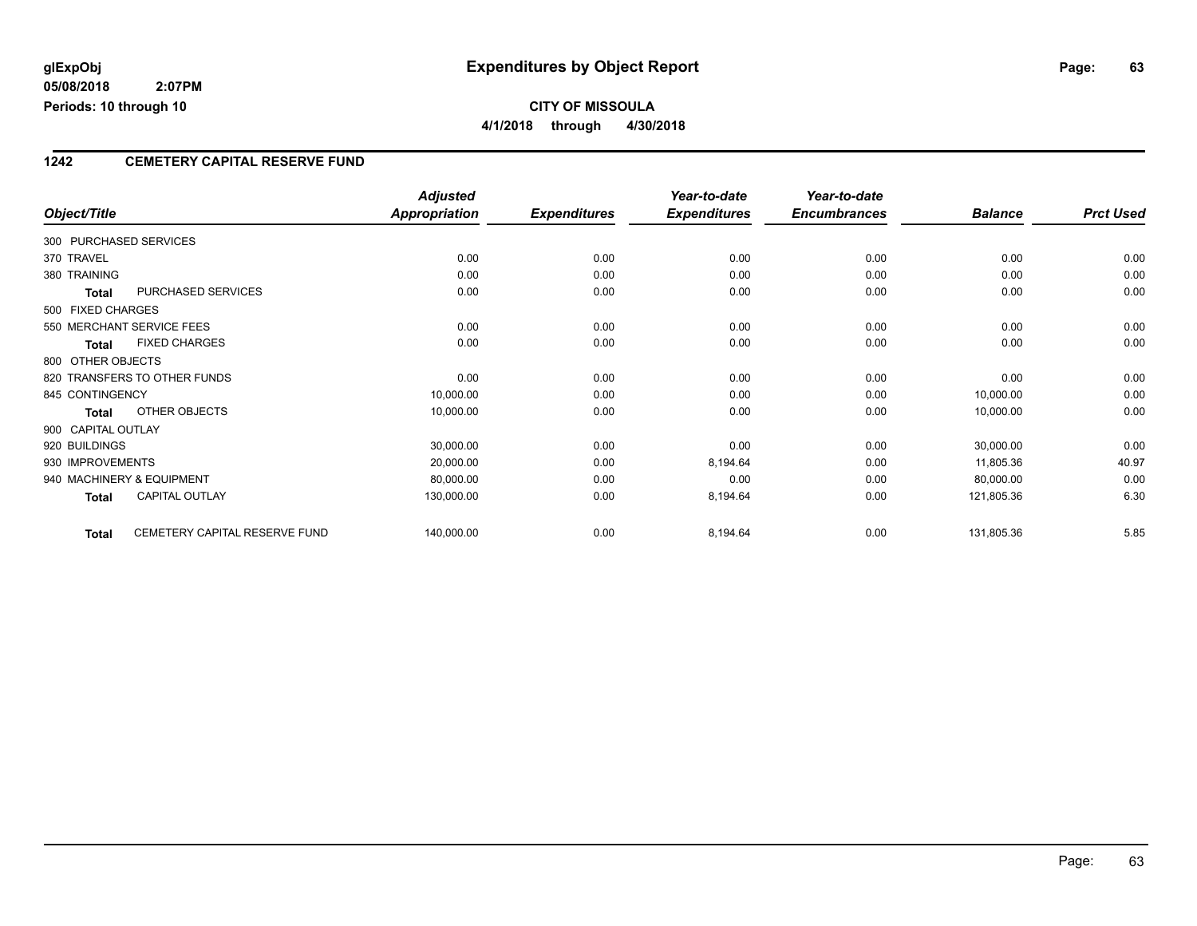### **CITY OF MISSOULA 4/1/2018 through 4/30/2018**

### **1242 CEMETERY CAPITAL RESERVE FUND**

|                        |                               | <b>Adjusted</b>      |                     | Year-to-date        | Year-to-date        |                |                  |
|------------------------|-------------------------------|----------------------|---------------------|---------------------|---------------------|----------------|------------------|
| Object/Title           |                               | <b>Appropriation</b> | <b>Expenditures</b> | <b>Expenditures</b> | <b>Encumbrances</b> | <b>Balance</b> | <b>Prct Used</b> |
| 300 PURCHASED SERVICES |                               |                      |                     |                     |                     |                |                  |
| 370 TRAVEL             |                               | 0.00                 | 0.00                | 0.00                | 0.00                | 0.00           | 0.00             |
| 380 TRAINING           |                               | 0.00                 | 0.00                | 0.00                | 0.00                | 0.00           | 0.00             |
| <b>Total</b>           | PURCHASED SERVICES            | 0.00                 | 0.00                | 0.00                | 0.00                | 0.00           | 0.00             |
| 500 FIXED CHARGES      |                               |                      |                     |                     |                     |                |                  |
|                        | 550 MERCHANT SERVICE FEES     | 0.00                 | 0.00                | 0.00                | 0.00                | 0.00           | 0.00             |
| <b>Total</b>           | <b>FIXED CHARGES</b>          | 0.00                 | 0.00                | 0.00                | 0.00                | 0.00           | 0.00             |
| 800 OTHER OBJECTS      |                               |                      |                     |                     |                     |                |                  |
|                        | 820 TRANSFERS TO OTHER FUNDS  | 0.00                 | 0.00                | 0.00                | 0.00                | 0.00           | 0.00             |
| 845 CONTINGENCY        |                               | 10,000.00            | 0.00                | 0.00                | 0.00                | 10,000.00      | 0.00             |
| <b>Total</b>           | OTHER OBJECTS                 | 10,000.00            | 0.00                | 0.00                | 0.00                | 10,000.00      | 0.00             |
| 900 CAPITAL OUTLAY     |                               |                      |                     |                     |                     |                |                  |
| 920 BUILDINGS          |                               | 30,000.00            | 0.00                | 0.00                | 0.00                | 30,000.00      | 0.00             |
| 930 IMPROVEMENTS       |                               | 20,000.00            | 0.00                | 8,194.64            | 0.00                | 11,805.36      | 40.97            |
|                        | 940 MACHINERY & EQUIPMENT     | 80,000.00            | 0.00                | 0.00                | 0.00                | 80,000.00      | 0.00             |
| <b>Total</b>           | <b>CAPITAL OUTLAY</b>         | 130,000.00           | 0.00                | 8,194.64            | 0.00                | 121,805.36     | 6.30             |
| <b>Total</b>           | CEMETERY CAPITAL RESERVE FUND | 140,000.00           | 0.00                | 8,194.64            | 0.00                | 131,805.36     | 5.85             |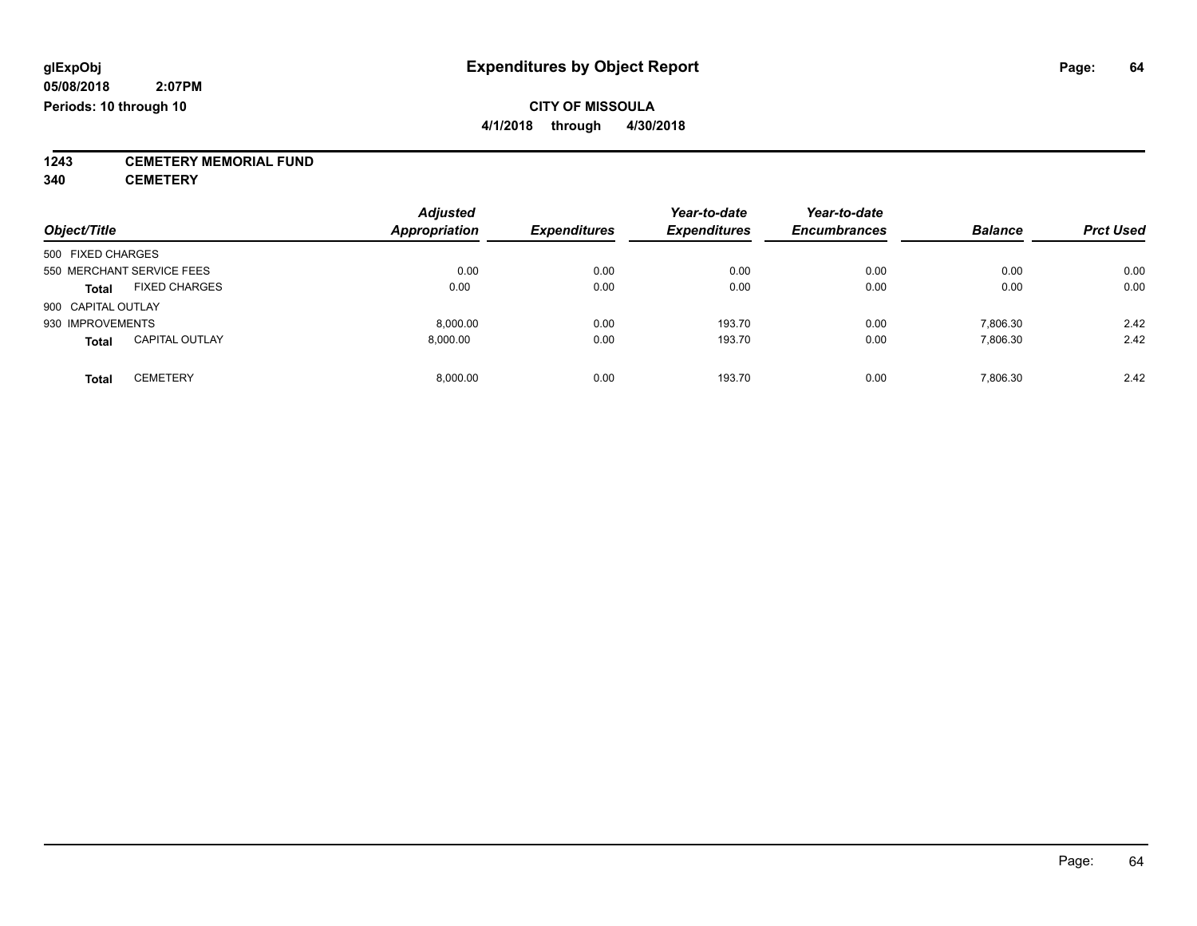**1243 CEMETERY MEMORIAL FUND**

**340 CEMETERY**

| Object/Title                          | <b>Adjusted</b><br><b>Appropriation</b> | <b>Expenditures</b> | Year-to-date<br><b>Expenditures</b> | Year-to-date<br><b>Encumbrances</b> | <b>Balance</b> | <b>Prct Used</b> |
|---------------------------------------|-----------------------------------------|---------------------|-------------------------------------|-------------------------------------|----------------|------------------|
| 500 FIXED CHARGES                     |                                         |                     |                                     |                                     |                |                  |
| 550 MERCHANT SERVICE FEES             | 0.00                                    | 0.00                | 0.00                                | 0.00                                | 0.00           | 0.00             |
| <b>FIXED CHARGES</b><br><b>Total</b>  | 0.00                                    | 0.00                | 0.00                                | 0.00                                | 0.00           | 0.00             |
| 900 CAPITAL OUTLAY                    |                                         |                     |                                     |                                     |                |                  |
| 930 IMPROVEMENTS                      | 8.000.00                                | 0.00                | 193.70                              | 0.00                                | 7.806.30       | 2.42             |
| <b>CAPITAL OUTLAY</b><br><b>Total</b> | 8,000.00                                | 0.00                | 193.70                              | 0.00                                | 7,806.30       | 2.42             |
| <b>CEMETERY</b><br>Total              | 8.000.00                                | 0.00                | 193.70                              | 0.00                                | 7.806.30       | 2.42             |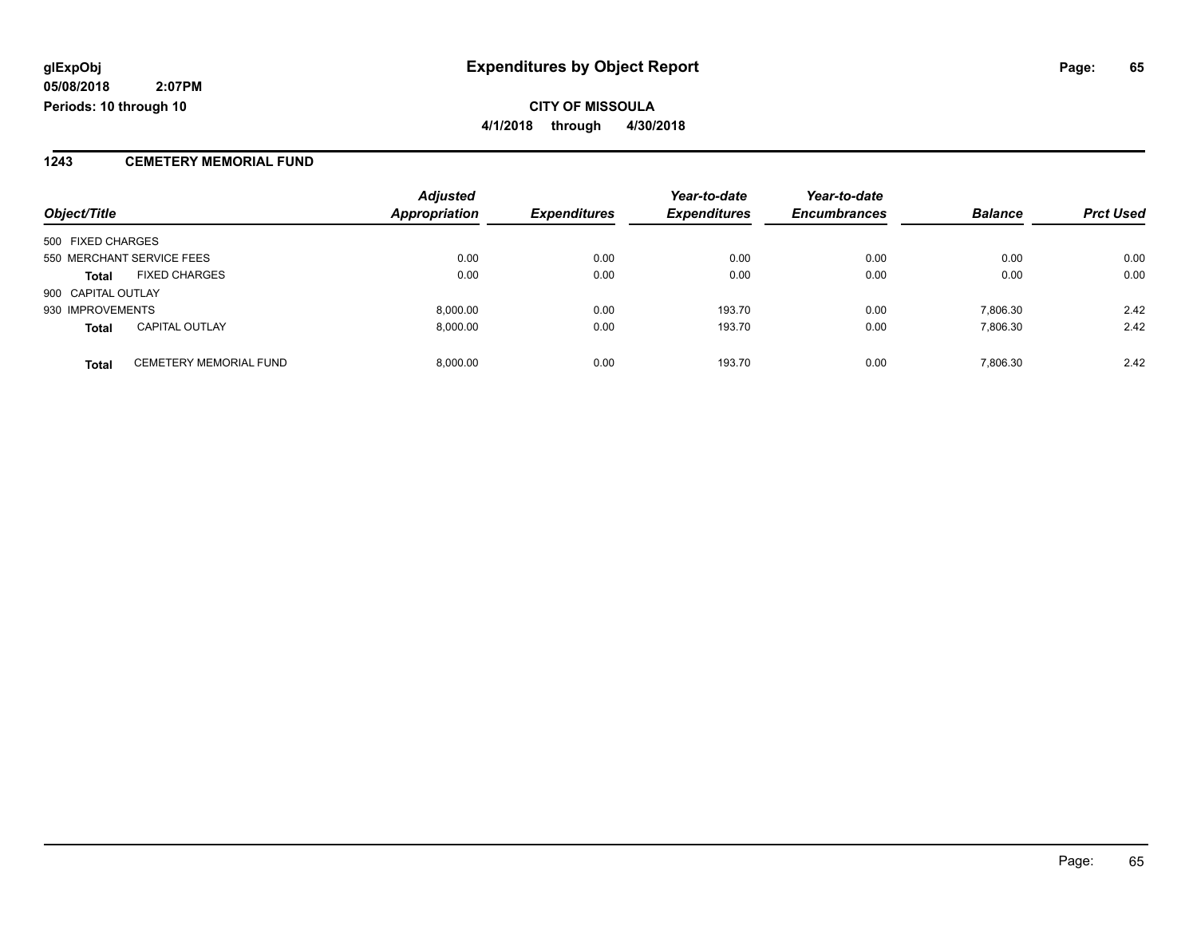### **1243 CEMETERY MEMORIAL FUND**

|                           | <b>Adjusted</b>                                    |                                  | Year-to-date                | Year-to-date                  |                             | <b>Prct Used</b>           |
|---------------------------|----------------------------------------------------|----------------------------------|-----------------------------|-------------------------------|-----------------------------|----------------------------|
|                           |                                                    |                                  |                             |                               |                             |                            |
|                           |                                                    |                                  |                             |                               |                             |                            |
| 550 MERCHANT SERVICE FEES | 0.00                                               | 0.00                             | 0.00                        | 0.00                          | 0.00                        | 0.00                       |
| <b>FIXED CHARGES</b>      | 0.00                                               | 0.00                             | 0.00                        | 0.00                          | 0.00                        | 0.00                       |
| 900 CAPITAL OUTLAY        |                                                    |                                  |                             |                               |                             |                            |
| 930 IMPROVEMENTS          | 8,000.00                                           | 0.00                             | 193.70                      | 0.00                          | 7,806.30                    | 2.42                       |
| <b>CAPITAL OUTLAY</b>     | 8.000.00                                           | 0.00                             | 193.70                      | 0.00                          | 7.806.30                    | 2.42                       |
|                           |                                                    |                                  |                             |                               |                             | 2.42                       |
|                           | 500 FIXED CHARGES<br><b>CEMETERY MEMORIAL FUND</b> | <b>Appropriation</b><br>8,000.00 | <b>Expenditures</b><br>0.00 | <b>Expenditures</b><br>193.70 | <b>Encumbrances</b><br>0.00 | <b>Balance</b><br>7,806.30 |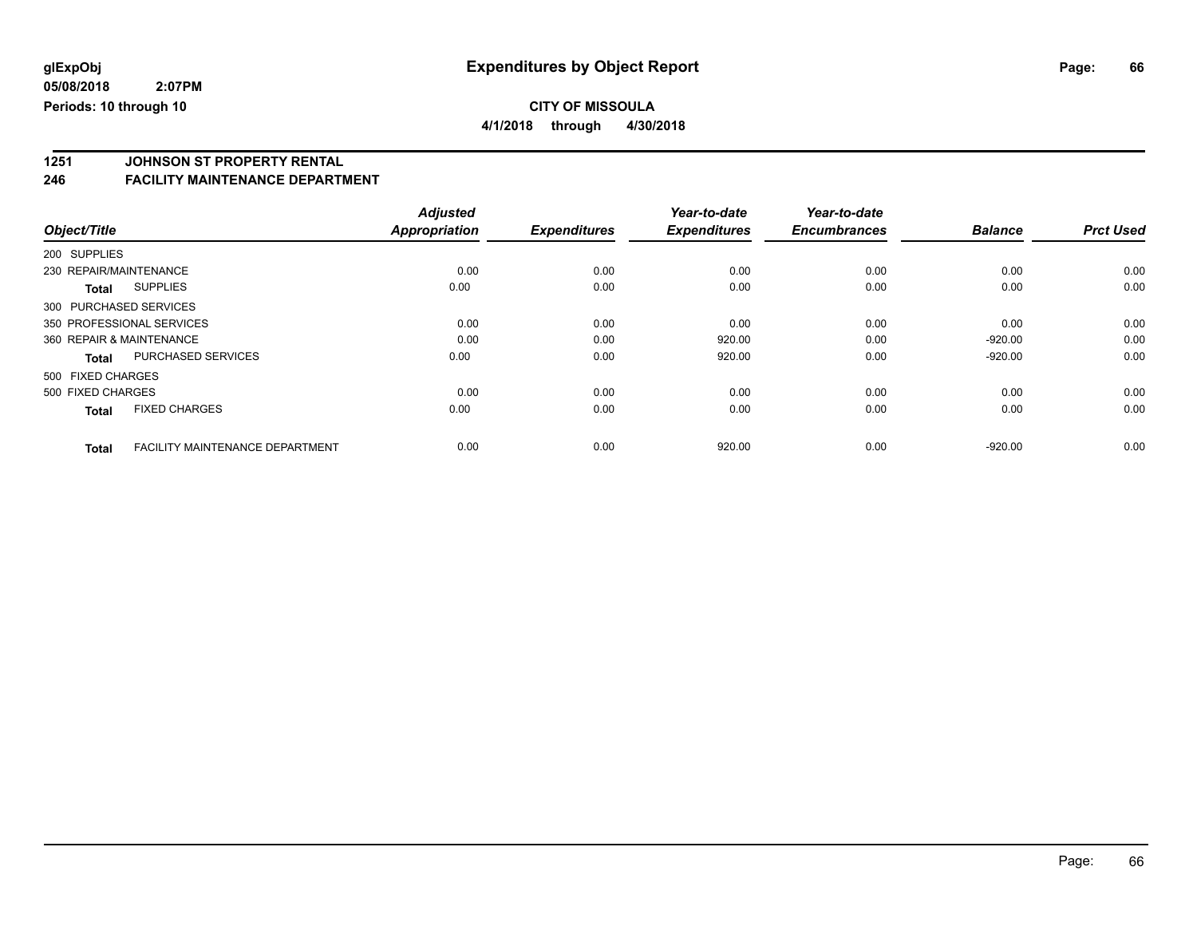### **CITY OF MISSOULA 4/1/2018 through 4/30/2018**

# **1251 JOHNSON ST PROPERTY RENTAL**

### **246 FACILITY MAINTENANCE DEPARTMENT**

|                        |                                        | <b>Adjusted</b>      |                     | Year-to-date        | Year-to-date        |                |                  |
|------------------------|----------------------------------------|----------------------|---------------------|---------------------|---------------------|----------------|------------------|
| Object/Title           |                                        | <b>Appropriation</b> | <b>Expenditures</b> | <b>Expenditures</b> | <b>Encumbrances</b> | <b>Balance</b> | <b>Prct Used</b> |
| 200 SUPPLIES           |                                        |                      |                     |                     |                     |                |                  |
| 230 REPAIR/MAINTENANCE |                                        | 0.00                 | 0.00                | 0.00                | 0.00                | 0.00           | 0.00             |
| <b>Total</b>           | <b>SUPPLIES</b>                        | 0.00                 | 0.00                | 0.00                | 0.00                | 0.00           | 0.00             |
|                        | 300 PURCHASED SERVICES                 |                      |                     |                     |                     |                |                  |
|                        | 350 PROFESSIONAL SERVICES              | 0.00                 | 0.00                | 0.00                | 0.00                | 0.00           | 0.00             |
|                        | 360 REPAIR & MAINTENANCE               | 0.00                 | 0.00                | 920.00              | 0.00                | $-920.00$      | 0.00             |
| <b>Total</b>           | PURCHASED SERVICES                     | 0.00                 | 0.00                | 920.00              | 0.00                | $-920.00$      | 0.00             |
| 500 FIXED CHARGES      |                                        |                      |                     |                     |                     |                |                  |
| 500 FIXED CHARGES      |                                        | 0.00                 | 0.00                | 0.00                | 0.00                | 0.00           | 0.00             |
| <b>Total</b>           | <b>FIXED CHARGES</b>                   | 0.00                 | 0.00                | 0.00                | 0.00                | 0.00           | 0.00             |
| <b>Total</b>           | <b>FACILITY MAINTENANCE DEPARTMENT</b> | 0.00                 | 0.00                | 920.00              | 0.00                | $-920.00$      | 0.00             |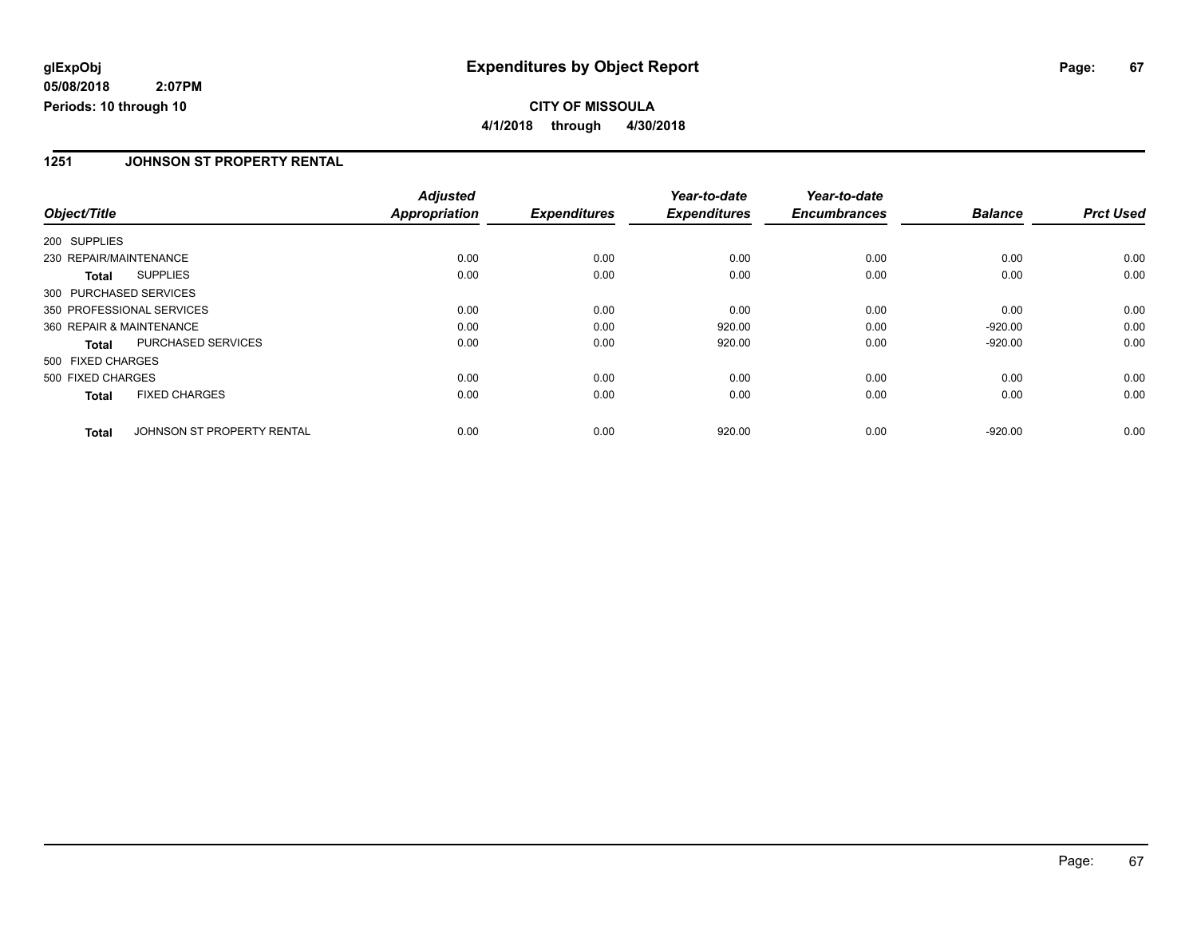### **CITY OF MISSOULA 4/1/2018 through 4/30/2018**

### **1251 JOHNSON ST PROPERTY RENTAL**

|                                            | <b>Adjusted</b>      |                     | Year-to-date        | Year-to-date        |                |                  |
|--------------------------------------------|----------------------|---------------------|---------------------|---------------------|----------------|------------------|
| Object/Title                               | <b>Appropriation</b> | <b>Expenditures</b> | <b>Expenditures</b> | <b>Encumbrances</b> | <b>Balance</b> | <b>Prct Used</b> |
| 200 SUPPLIES                               |                      |                     |                     |                     |                |                  |
| 230 REPAIR/MAINTENANCE                     | 0.00                 | 0.00                | 0.00                | 0.00                | 0.00           | 0.00             |
| <b>SUPPLIES</b><br>Total                   | 0.00                 | 0.00                | 0.00                | 0.00                | 0.00           | 0.00             |
| 300 PURCHASED SERVICES                     |                      |                     |                     |                     |                |                  |
| 350 PROFESSIONAL SERVICES                  | 0.00                 | 0.00                | 0.00                | 0.00                | 0.00           | 0.00             |
| 360 REPAIR & MAINTENANCE                   | 0.00                 | 0.00                | 920.00              | 0.00                | $-920.00$      | 0.00             |
| PURCHASED SERVICES<br><b>Total</b>         | 0.00                 | 0.00                | 920.00              | 0.00                | $-920.00$      | 0.00             |
| 500 FIXED CHARGES                          |                      |                     |                     |                     |                |                  |
| 500 FIXED CHARGES                          | 0.00                 | 0.00                | 0.00                | 0.00                | 0.00           | 0.00             |
| <b>FIXED CHARGES</b><br><b>Total</b>       | 0.00                 | 0.00                | 0.00                | 0.00                | 0.00           | 0.00             |
| JOHNSON ST PROPERTY RENTAL<br><b>Total</b> | 0.00                 | 0.00                | 920.00              | 0.00                | $-920.00$      | 0.00             |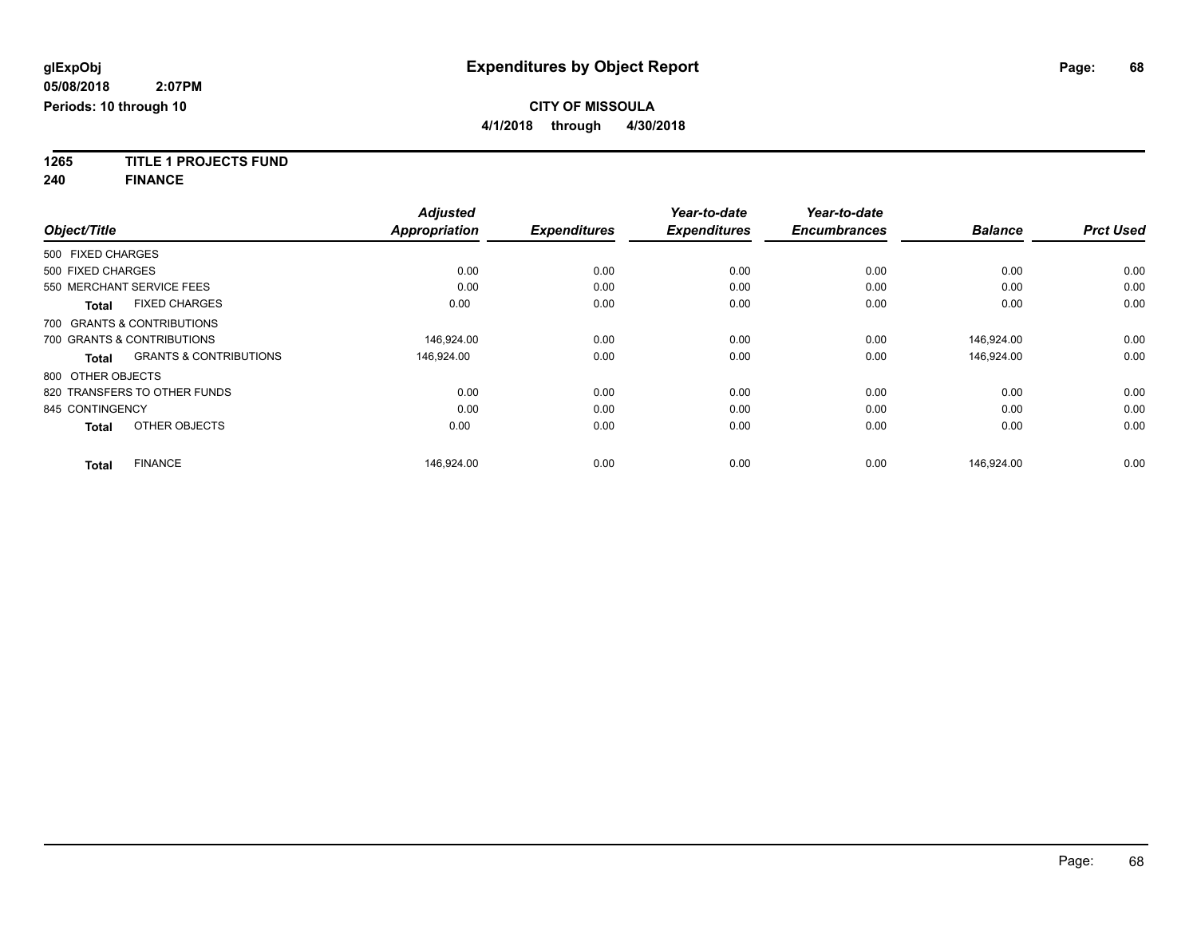**1265 TITLE 1 PROJECTS FUND**

**240 FINANCE**

|                   |                                   | <b>Adjusted</b>      |                     | Year-to-date        | Year-to-date        |                |                  |
|-------------------|-----------------------------------|----------------------|---------------------|---------------------|---------------------|----------------|------------------|
| Object/Title      |                                   | <b>Appropriation</b> | <b>Expenditures</b> | <b>Expenditures</b> | <b>Encumbrances</b> | <b>Balance</b> | <b>Prct Used</b> |
| 500 FIXED CHARGES |                                   |                      |                     |                     |                     |                |                  |
| 500 FIXED CHARGES |                                   | 0.00                 | 0.00                | 0.00                | 0.00                | 0.00           | 0.00             |
|                   | 550 MERCHANT SERVICE FEES         | 0.00                 | 0.00                | 0.00                | 0.00                | 0.00           | 0.00             |
| <b>Total</b>      | <b>FIXED CHARGES</b>              | 0.00                 | 0.00                | 0.00                | 0.00                | 0.00           | 0.00             |
|                   | 700 GRANTS & CONTRIBUTIONS        |                      |                     |                     |                     |                |                  |
|                   | 700 GRANTS & CONTRIBUTIONS        | 146,924.00           | 0.00                | 0.00                | 0.00                | 146,924.00     | 0.00             |
| <b>Total</b>      | <b>GRANTS &amp; CONTRIBUTIONS</b> | 146.924.00           | 0.00                | 0.00                | 0.00                | 146.924.00     | 0.00             |
| 800 OTHER OBJECTS |                                   |                      |                     |                     |                     |                |                  |
|                   | 820 TRANSFERS TO OTHER FUNDS      | 0.00                 | 0.00                | 0.00                | 0.00                | 0.00           | 0.00             |
| 845 CONTINGENCY   |                                   | 0.00                 | 0.00                | 0.00                | 0.00                | 0.00           | 0.00             |
| <b>Total</b>      | OTHER OBJECTS                     | 0.00                 | 0.00                | 0.00                | 0.00                | 0.00           | 0.00             |
| <b>Total</b>      | <b>FINANCE</b>                    | 146,924.00           | 0.00                | 0.00                | 0.00                | 146.924.00     | 0.00             |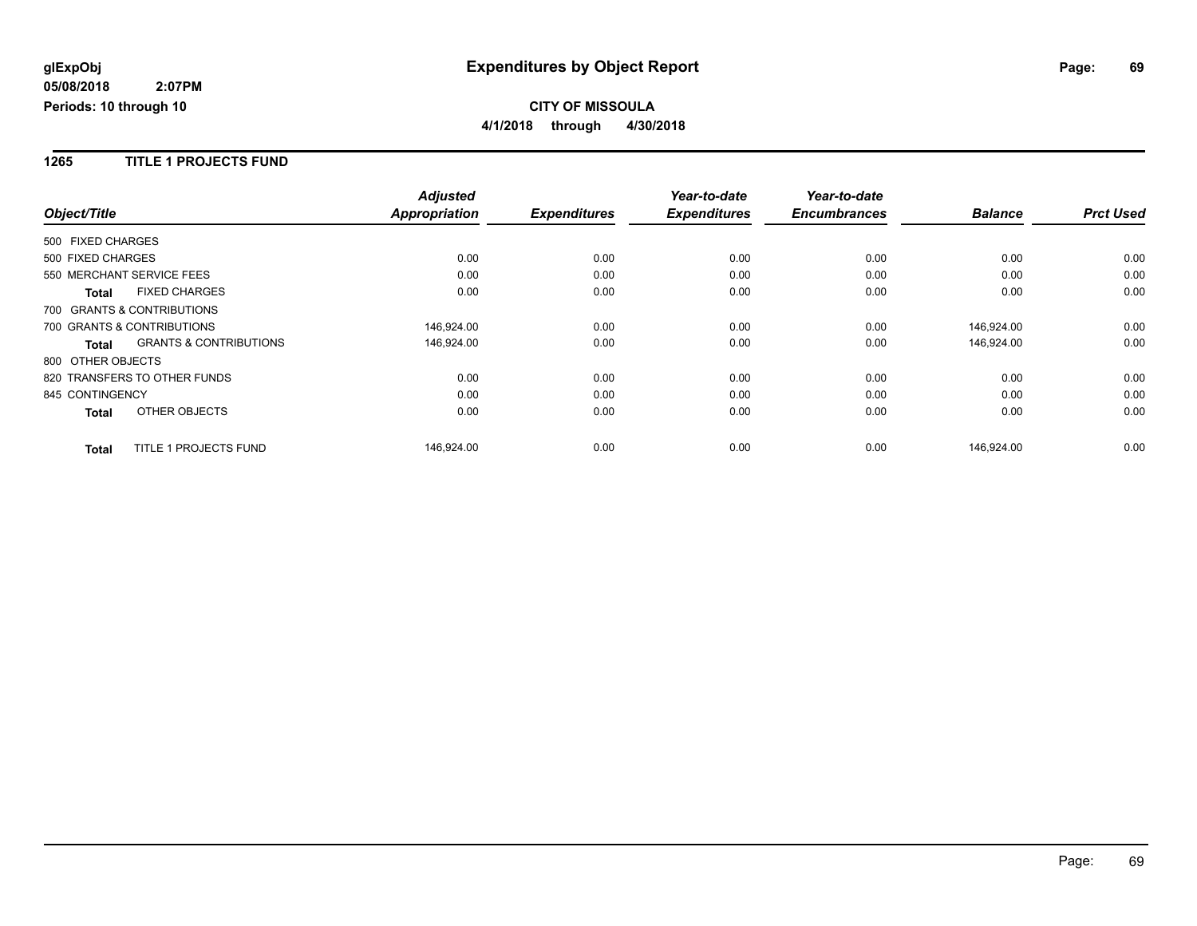### **1265 TITLE 1 PROJECTS FUND**

|                              |                                   | <b>Adjusted</b>      |                     | Year-to-date        | Year-to-date        |                |                  |
|------------------------------|-----------------------------------|----------------------|---------------------|---------------------|---------------------|----------------|------------------|
| Object/Title                 |                                   | <b>Appropriation</b> | <b>Expenditures</b> | <b>Expenditures</b> | <b>Encumbrances</b> | <b>Balance</b> | <b>Prct Used</b> |
| 500 FIXED CHARGES            |                                   |                      |                     |                     |                     |                |                  |
| 500 FIXED CHARGES            |                                   | 0.00                 | 0.00                | 0.00                | 0.00                | 0.00           | 0.00             |
| 550 MERCHANT SERVICE FEES    |                                   | 0.00                 | 0.00                | 0.00                | 0.00                | 0.00           | 0.00             |
| <b>Total</b>                 | <b>FIXED CHARGES</b>              | 0.00                 | 0.00                | 0.00                | 0.00                | 0.00           | 0.00             |
| 700 GRANTS & CONTRIBUTIONS   |                                   |                      |                     |                     |                     |                |                  |
| 700 GRANTS & CONTRIBUTIONS   |                                   | 146,924.00           | 0.00                | 0.00                | 0.00                | 146,924.00     | 0.00             |
| <b>Total</b>                 | <b>GRANTS &amp; CONTRIBUTIONS</b> | 146,924.00           | 0.00                | 0.00                | 0.00                | 146,924.00     | 0.00             |
| 800 OTHER OBJECTS            |                                   |                      |                     |                     |                     |                |                  |
| 820 TRANSFERS TO OTHER FUNDS |                                   | 0.00                 | 0.00                | 0.00                | 0.00                | 0.00           | 0.00             |
| 845 CONTINGENCY              |                                   | 0.00                 | 0.00                | 0.00                | 0.00                | 0.00           | 0.00             |
| <b>Total</b>                 | OTHER OBJECTS                     | 0.00                 | 0.00                | 0.00                | 0.00                | 0.00           | 0.00             |
| <b>Total</b>                 | TITLE 1 PROJECTS FUND             | 146,924.00           | 0.00                | 0.00                | 0.00                | 146,924.00     | 0.00             |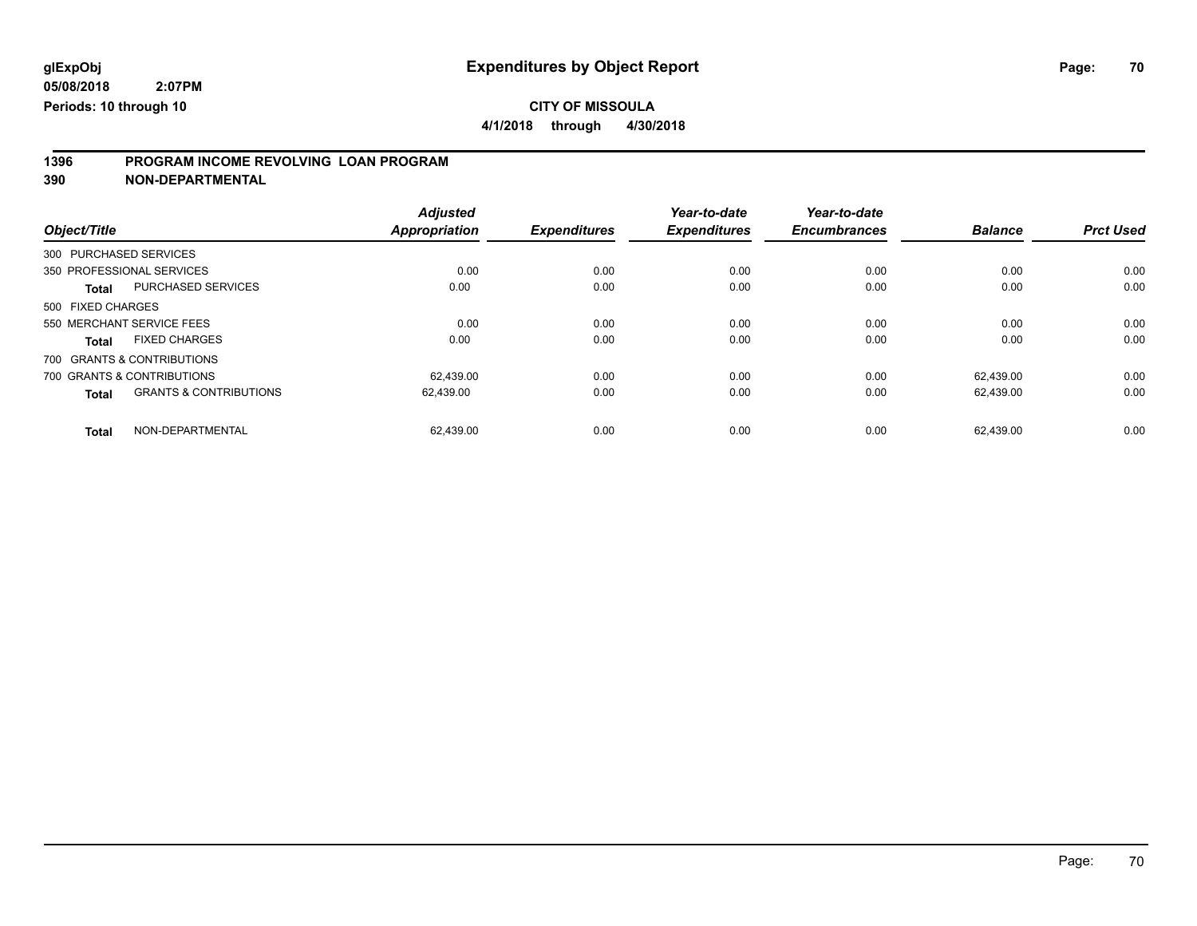# **1396 PROGRAM INCOME REVOLVING LOAN PROGRAM**

**390 NON-DEPARTMENTAL**

| Object/Title      |                                   | <b>Adjusted</b><br><b>Appropriation</b> | <b>Expenditures</b> | Year-to-date<br><b>Expenditures</b> | Year-to-date<br><b>Encumbrances</b> | <b>Balance</b> | <b>Prct Used</b> |
|-------------------|-----------------------------------|-----------------------------------------|---------------------|-------------------------------------|-------------------------------------|----------------|------------------|
|                   |                                   |                                         |                     |                                     |                                     |                |                  |
|                   | 300 PURCHASED SERVICES            |                                         |                     |                                     |                                     |                |                  |
|                   | 350 PROFESSIONAL SERVICES         | 0.00                                    | 0.00                | 0.00                                | 0.00                                | 0.00           | 0.00             |
| <b>Total</b>      | PURCHASED SERVICES                | 0.00                                    | 0.00                | 0.00                                | 0.00                                | 0.00           | 0.00             |
| 500 FIXED CHARGES |                                   |                                         |                     |                                     |                                     |                |                  |
|                   | 550 MERCHANT SERVICE FEES         | 0.00                                    | 0.00                | 0.00                                | 0.00                                | 0.00           | 0.00             |
| <b>Total</b>      | <b>FIXED CHARGES</b>              | 0.00                                    | 0.00                | 0.00                                | 0.00                                | 0.00           | 0.00             |
|                   | 700 GRANTS & CONTRIBUTIONS        |                                         |                     |                                     |                                     |                |                  |
|                   | 700 GRANTS & CONTRIBUTIONS        | 62.439.00                               | 0.00                | 0.00                                | 0.00                                | 62.439.00      | 0.00             |
| <b>Total</b>      | <b>GRANTS &amp; CONTRIBUTIONS</b> | 62,439.00                               | 0.00                | 0.00                                | 0.00                                | 62,439.00      | 0.00             |
| <b>Total</b>      | NON-DEPARTMENTAL                  | 62,439.00                               | 0.00                | 0.00                                | 0.00                                | 62.439.00      | 0.00             |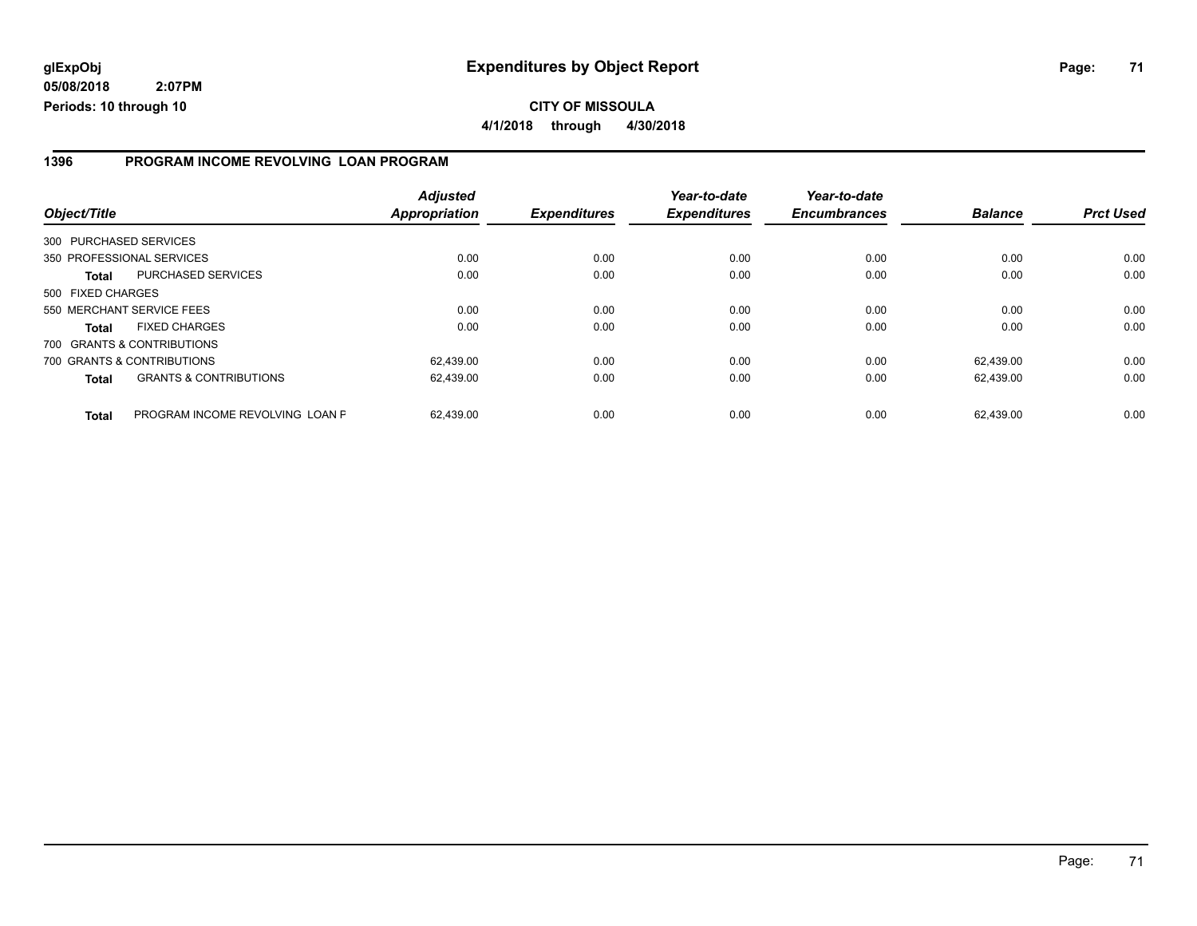### **CITY OF MISSOULA 4/1/2018 through 4/30/2018**

### **1396 PROGRAM INCOME REVOLVING LOAN PROGRAM**

| Object/Title           |                                   | <b>Adjusted</b><br>Appropriation | <b>Expenditures</b> | Year-to-date<br><b>Expenditures</b> | Year-to-date<br><b>Encumbrances</b> | <b>Balance</b> | <b>Prct Used</b> |
|------------------------|-----------------------------------|----------------------------------|---------------------|-------------------------------------|-------------------------------------|----------------|------------------|
| 300 PURCHASED SERVICES |                                   |                                  |                     |                                     |                                     |                |                  |
|                        | 350 PROFESSIONAL SERVICES         | 0.00                             | 0.00                | 0.00                                | 0.00                                | 0.00           | 0.00             |
| Total                  | PURCHASED SERVICES                | 0.00                             | 0.00                | 0.00                                | 0.00                                | 0.00           | 0.00             |
| 500 FIXED CHARGES      |                                   |                                  |                     |                                     |                                     |                |                  |
|                        | 550 MERCHANT SERVICE FEES         | 0.00                             | 0.00                | 0.00                                | 0.00                                | 0.00           | 0.00             |
| Total                  | <b>FIXED CHARGES</b>              | 0.00                             | 0.00                | 0.00                                | 0.00                                | 0.00           | 0.00             |
|                        | 700 GRANTS & CONTRIBUTIONS        |                                  |                     |                                     |                                     |                |                  |
|                        | 700 GRANTS & CONTRIBUTIONS        | 62.439.00                        | 0.00                | 0.00                                | 0.00                                | 62.439.00      | 0.00             |
| <b>Total</b>           | <b>GRANTS &amp; CONTRIBUTIONS</b> | 62,439.00                        | 0.00                | 0.00                                | 0.00                                | 62.439.00      | 0.00             |
| <b>Total</b>           | PROGRAM INCOME REVOLVING LOAN P   | 62.439.00                        | 0.00                | 0.00                                | 0.00                                | 62.439.00      | 0.00             |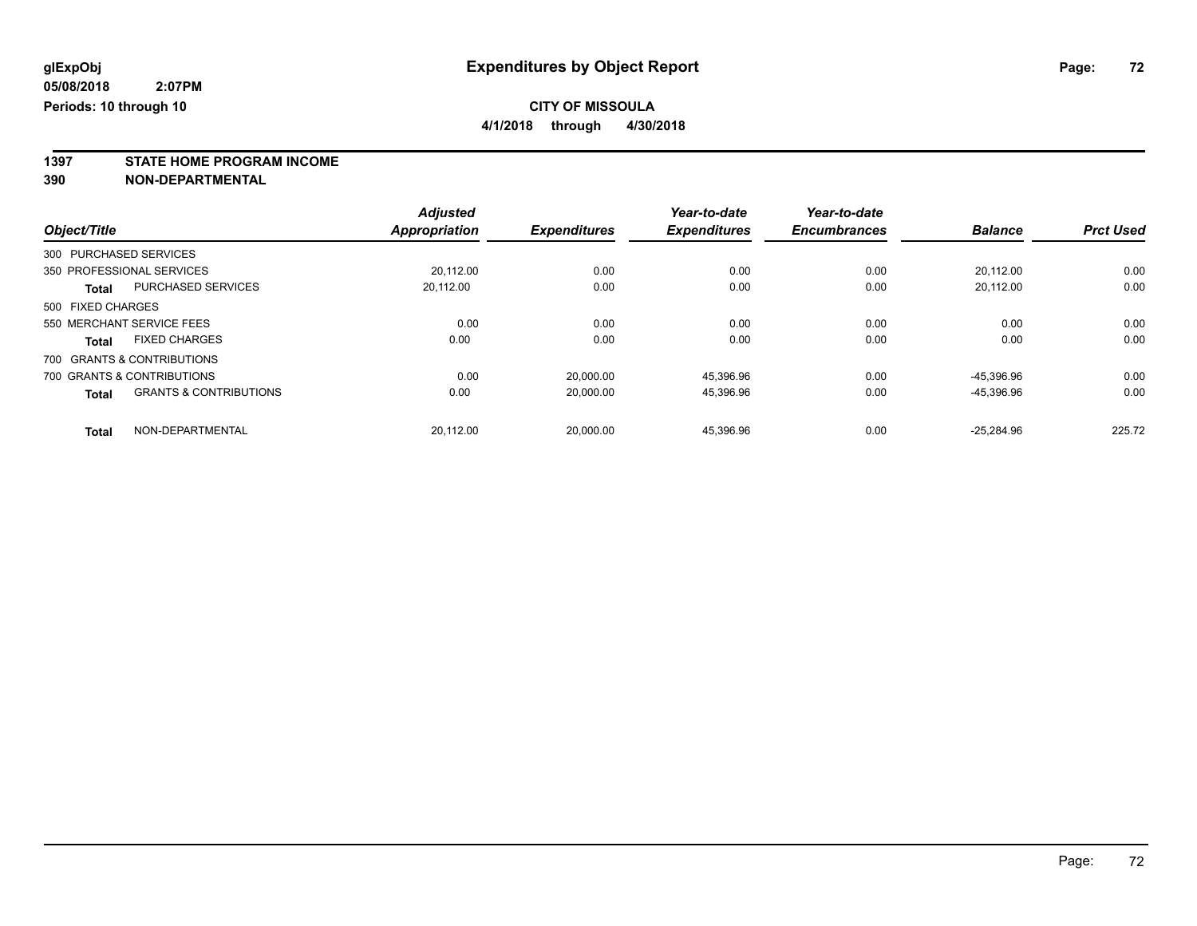**1397 STATE HOME PROGRAM INCOME**

**390 NON-DEPARTMENTAL**

|                   |                                   | <b>Adjusted</b>      |                     | Year-to-date        | Year-to-date        |                |                  |
|-------------------|-----------------------------------|----------------------|---------------------|---------------------|---------------------|----------------|------------------|
| Object/Title      |                                   | <b>Appropriation</b> | <b>Expenditures</b> | <b>Expenditures</b> | <b>Encumbrances</b> | <b>Balance</b> | <b>Prct Used</b> |
|                   | 300 PURCHASED SERVICES            |                      |                     |                     |                     |                |                  |
|                   | 350 PROFESSIONAL SERVICES         | 20.112.00            | 0.00                | 0.00                | 0.00                | 20.112.00      | 0.00             |
| <b>Total</b>      | <b>PURCHASED SERVICES</b>         | 20.112.00            | 0.00                | 0.00                | 0.00                | 20.112.00      | 0.00             |
| 500 FIXED CHARGES |                                   |                      |                     |                     |                     |                |                  |
|                   | 550 MERCHANT SERVICE FEES         | 0.00                 | 0.00                | 0.00                | 0.00                | 0.00           | 0.00             |
| <b>Total</b>      | <b>FIXED CHARGES</b>              | 0.00                 | 0.00                | 0.00                | 0.00                | 0.00           | 0.00             |
|                   | 700 GRANTS & CONTRIBUTIONS        |                      |                     |                     |                     |                |                  |
|                   | 700 GRANTS & CONTRIBUTIONS        | 0.00                 | 20.000.00           | 45.396.96           | 0.00                | -45.396.96     | 0.00             |
| <b>Total</b>      | <b>GRANTS &amp; CONTRIBUTIONS</b> | 0.00                 | 20,000.00           | 45,396.96           | 0.00                | -45.396.96     | 0.00             |
| <b>Total</b>      | NON-DEPARTMENTAL                  | 20.112.00            | 20.000.00           | 45.396.96           | 0.00                | $-25.284.96$   | 225.72           |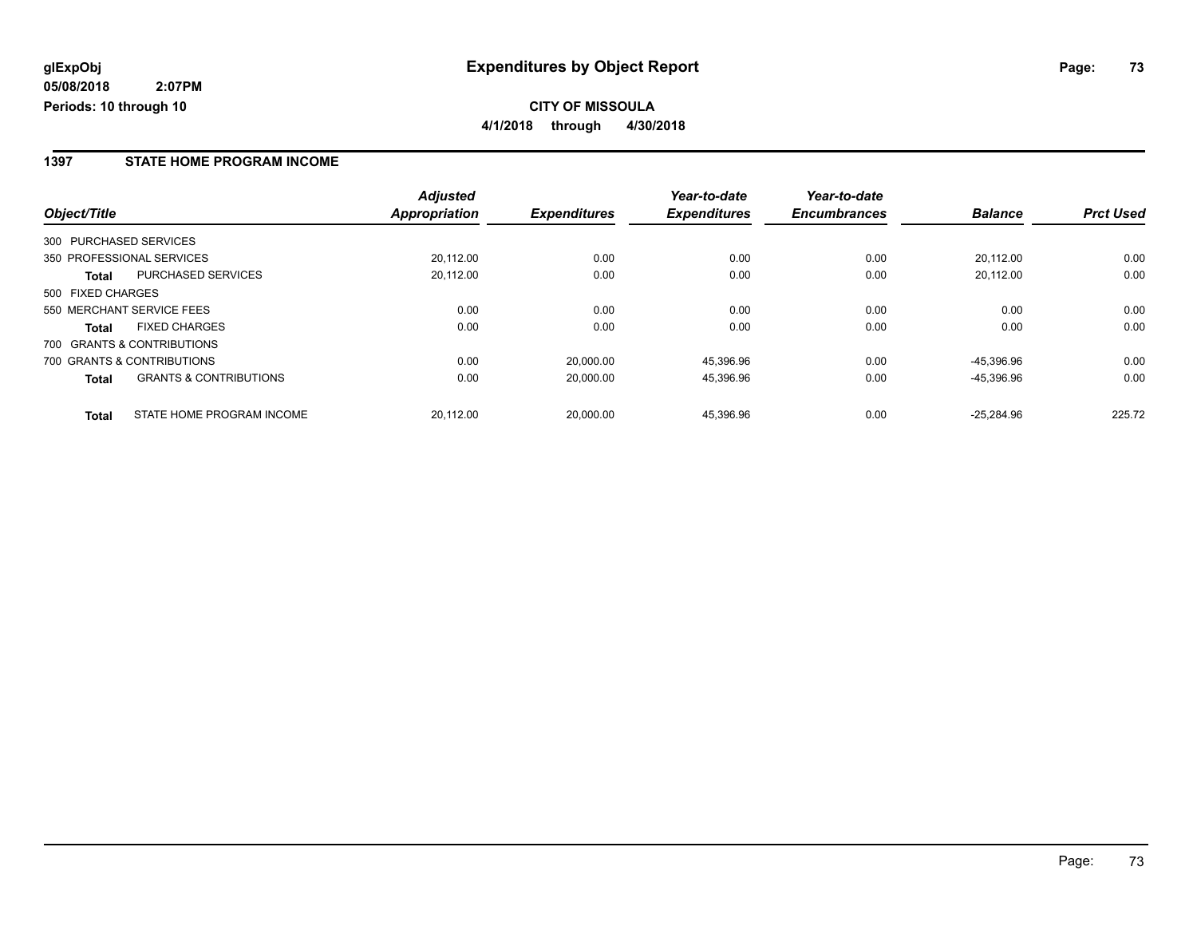**CITY OF MISSOULA 4/1/2018 through 4/30/2018**

#### **1397 STATE HOME PROGRAM INCOME**

|                                                   | <b>Adjusted</b>      |                     | Year-to-date        | Year-to-date        |                |                  |
|---------------------------------------------------|----------------------|---------------------|---------------------|---------------------|----------------|------------------|
| Object/Title                                      | <b>Appropriation</b> | <b>Expenditures</b> | <b>Expenditures</b> | <b>Encumbrances</b> | <b>Balance</b> | <b>Prct Used</b> |
| 300 PURCHASED SERVICES                            |                      |                     |                     |                     |                |                  |
| 350 PROFESSIONAL SERVICES                         | 20,112.00            | 0.00                | 0.00                | 0.00                | 20.112.00      | 0.00             |
| <b>PURCHASED SERVICES</b><br>Total                | 20,112.00            | 0.00                | 0.00                | 0.00                | 20.112.00      | 0.00             |
| 500 FIXED CHARGES                                 |                      |                     |                     |                     |                |                  |
| 550 MERCHANT SERVICE FEES                         | 0.00                 | 0.00                | 0.00                | 0.00                | 0.00           | 0.00             |
| <b>FIXED CHARGES</b><br><b>Total</b>              | 0.00                 | 0.00                | 0.00                | 0.00                | 0.00           | 0.00             |
| 700 GRANTS & CONTRIBUTIONS                        |                      |                     |                     |                     |                |                  |
| 700 GRANTS & CONTRIBUTIONS                        | 0.00                 | 20.000.00           | 45.396.96           | 0.00                | -45.396.96     | 0.00             |
| <b>GRANTS &amp; CONTRIBUTIONS</b><br><b>Total</b> | 0.00                 | 20,000.00           | 45,396.96           | 0.00                | -45.396.96     | 0.00             |
| STATE HOME PROGRAM INCOME<br><b>Total</b>         | 20.112.00            | 20,000.00           | 45.396.96           | 0.00                | $-25.284.96$   | 225.72           |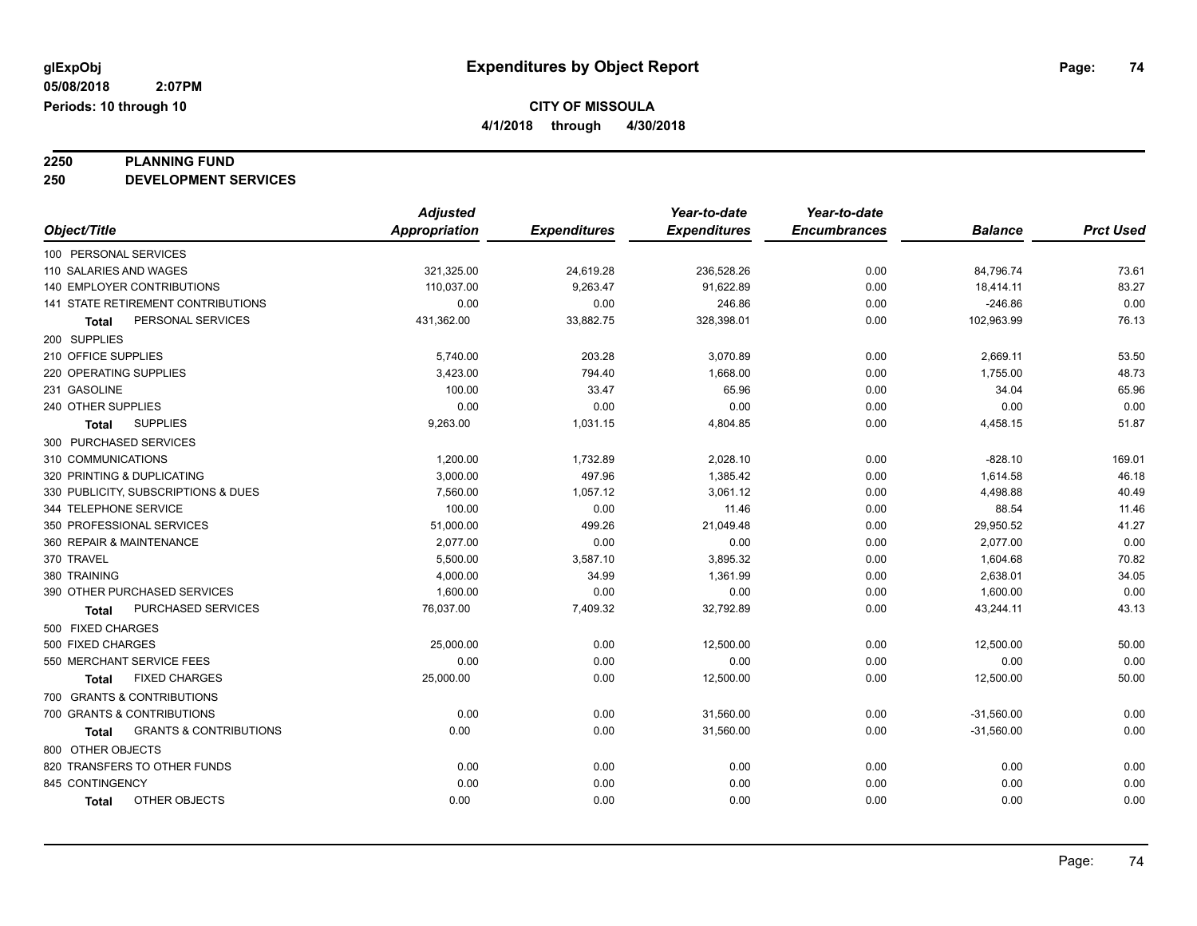**2250 PLANNING FUND 250 DEVELOPMENT SERVICES**

|                                            | <b>Adjusted</b>      |                     | Year-to-date        | Year-to-date        |                |                  |
|--------------------------------------------|----------------------|---------------------|---------------------|---------------------|----------------|------------------|
| Object/Title                               | <b>Appropriation</b> | <b>Expenditures</b> | <b>Expenditures</b> | <b>Encumbrances</b> | <b>Balance</b> | <b>Prct Used</b> |
| 100 PERSONAL SERVICES                      |                      |                     |                     |                     |                |                  |
| 110 SALARIES AND WAGES                     | 321,325.00           | 24,619.28           | 236,528.26          | 0.00                | 84,796.74      | 73.61            |
| 140 EMPLOYER CONTRIBUTIONS                 | 110,037.00           | 9,263.47            | 91,622.89           | 0.00                | 18,414.11      | 83.27            |
| 141 STATE RETIREMENT CONTRIBUTIONS         | 0.00                 | 0.00                | 246.86              | 0.00                | $-246.86$      | 0.00             |
| PERSONAL SERVICES<br>Total                 | 431,362.00           | 33,882.75           | 328,398.01          | 0.00                | 102,963.99     | 76.13            |
| 200 SUPPLIES                               |                      |                     |                     |                     |                |                  |
| 210 OFFICE SUPPLIES                        | 5,740.00             | 203.28              | 3,070.89            | 0.00                | 2,669.11       | 53.50            |
| 220 OPERATING SUPPLIES                     | 3,423.00             | 794.40              | 1,668.00            | 0.00                | 1,755.00       | 48.73            |
| 231 GASOLINE                               | 100.00               | 33.47               | 65.96               | 0.00                | 34.04          | 65.96            |
| 240 OTHER SUPPLIES                         | 0.00                 | 0.00                | 0.00                | 0.00                | 0.00           | 0.00             |
| <b>SUPPLIES</b><br><b>Total</b>            | 9,263.00             | 1,031.15            | 4,804.85            | 0.00                | 4,458.15       | 51.87            |
| 300 PURCHASED SERVICES                     |                      |                     |                     |                     |                |                  |
| 310 COMMUNICATIONS                         | 1,200.00             | 1,732.89            | 2,028.10            | 0.00                | $-828.10$      | 169.01           |
| 320 PRINTING & DUPLICATING                 | 3,000.00             | 497.96              | 1,385.42            | 0.00                | 1,614.58       | 46.18            |
| 330 PUBLICITY, SUBSCRIPTIONS & DUES        | 7,560.00             | 1,057.12            | 3,061.12            | 0.00                | 4,498.88       | 40.49            |
| 344 TELEPHONE SERVICE                      | 100.00               | 0.00                | 11.46               | 0.00                | 88.54          | 11.46            |
| 350 PROFESSIONAL SERVICES                  | 51,000.00            | 499.26              | 21,049.48           | 0.00                | 29,950.52      | 41.27            |
| 360 REPAIR & MAINTENANCE                   | 2,077.00             | 0.00                | 0.00                | 0.00                | 2,077.00       | 0.00             |
| 370 TRAVEL                                 | 5,500.00             | 3,587.10            | 3,895.32            | 0.00                | 1,604.68       | 70.82            |
| 380 TRAINING                               | 4,000.00             | 34.99               | 1,361.99            | 0.00                | 2,638.01       | 34.05            |
| 390 OTHER PURCHASED SERVICES               | 1,600.00             | 0.00                | 0.00                | 0.00                | 1,600.00       | 0.00             |
| <b>PURCHASED SERVICES</b><br><b>Total</b>  | 76,037.00            | 7,409.32            | 32,792.89           | 0.00                | 43,244.11      | 43.13            |
| 500 FIXED CHARGES                          |                      |                     |                     |                     |                |                  |
| 500 FIXED CHARGES                          | 25,000.00            | 0.00                | 12,500.00           | 0.00                | 12,500.00      | 50.00            |
| 550 MERCHANT SERVICE FEES                  | 0.00                 | 0.00                | 0.00                | 0.00                | 0.00           | 0.00             |
| <b>FIXED CHARGES</b><br><b>Total</b>       | 25,000.00            | 0.00                | 12,500.00           | 0.00                | 12,500.00      | 50.00            |
| 700 GRANTS & CONTRIBUTIONS                 |                      |                     |                     |                     |                |                  |
| 700 GRANTS & CONTRIBUTIONS                 | 0.00                 | 0.00                | 31,560.00           | 0.00                | $-31,560.00$   | 0.00             |
| <b>GRANTS &amp; CONTRIBUTIONS</b><br>Total | 0.00                 | 0.00                | 31,560.00           | 0.00                | $-31,560.00$   | 0.00             |
| 800 OTHER OBJECTS                          |                      |                     |                     |                     |                |                  |
| 820 TRANSFERS TO OTHER FUNDS               | 0.00                 | 0.00                | 0.00                | 0.00                | 0.00           | 0.00             |
| 845 CONTINGENCY                            | 0.00                 | 0.00                | 0.00                | 0.00                | 0.00           | 0.00             |
| OTHER OBJECTS<br><b>Total</b>              | 0.00                 | 0.00                | 0.00                | 0.00                | 0.00           | 0.00             |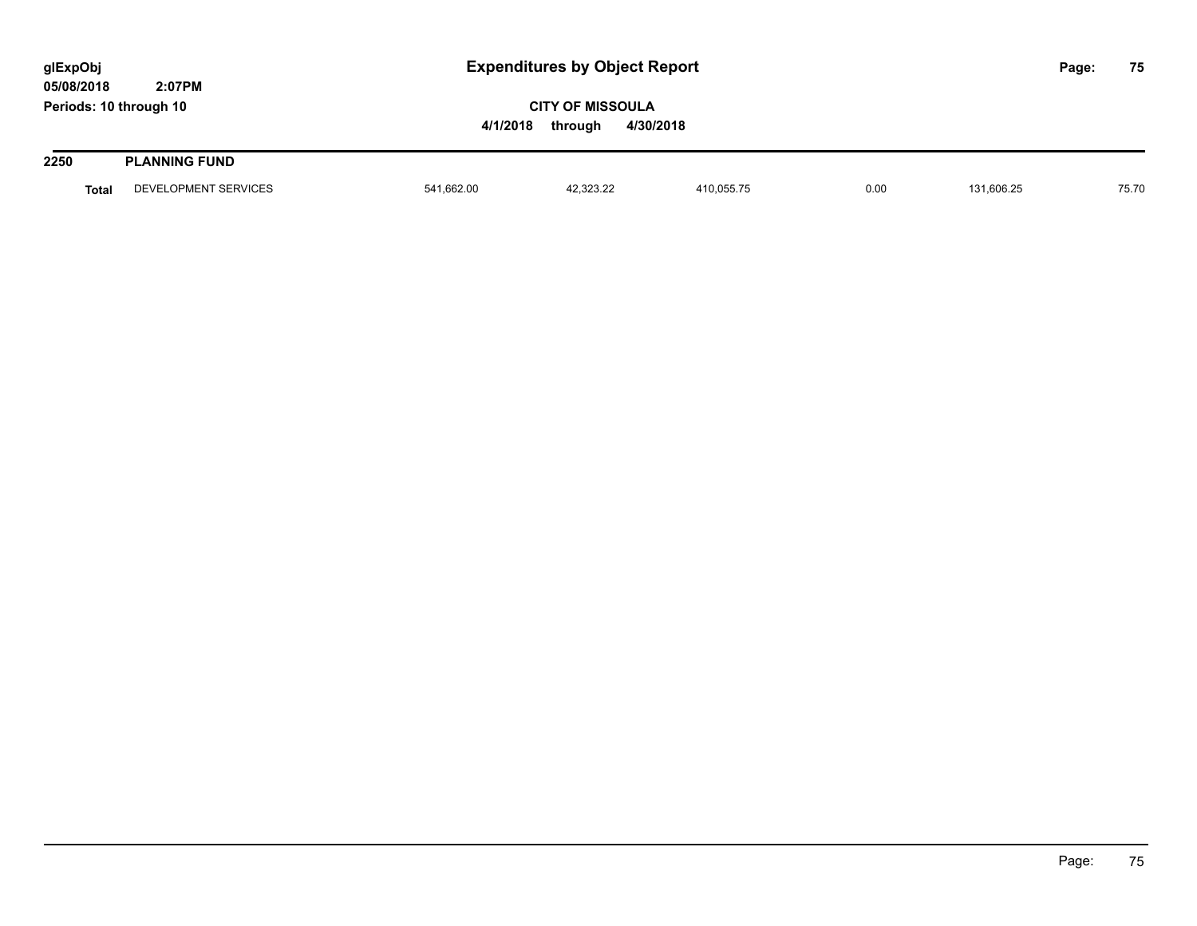| glExpObj<br>05/08/2018 | 2:07PM                      |            | <b>Expenditures by Object Report</b>            |            |      |            |  | 75    |
|------------------------|-----------------------------|------------|-------------------------------------------------|------------|------|------------|--|-------|
| Periods: 10 through 10 |                             | 4/1/2018   | <b>CITY OF MISSOULA</b><br>4/30/2018<br>through |            |      |            |  |       |
| 2250                   | <b>PLANNING FUND</b>        |            |                                                 |            |      |            |  |       |
| <b>Total</b>           | <b>DEVELOPMENT SERVICES</b> | 541,662.00 | 42,323.22                                       | 410.055.75 | 0.00 | 131.606.25 |  | 75.70 |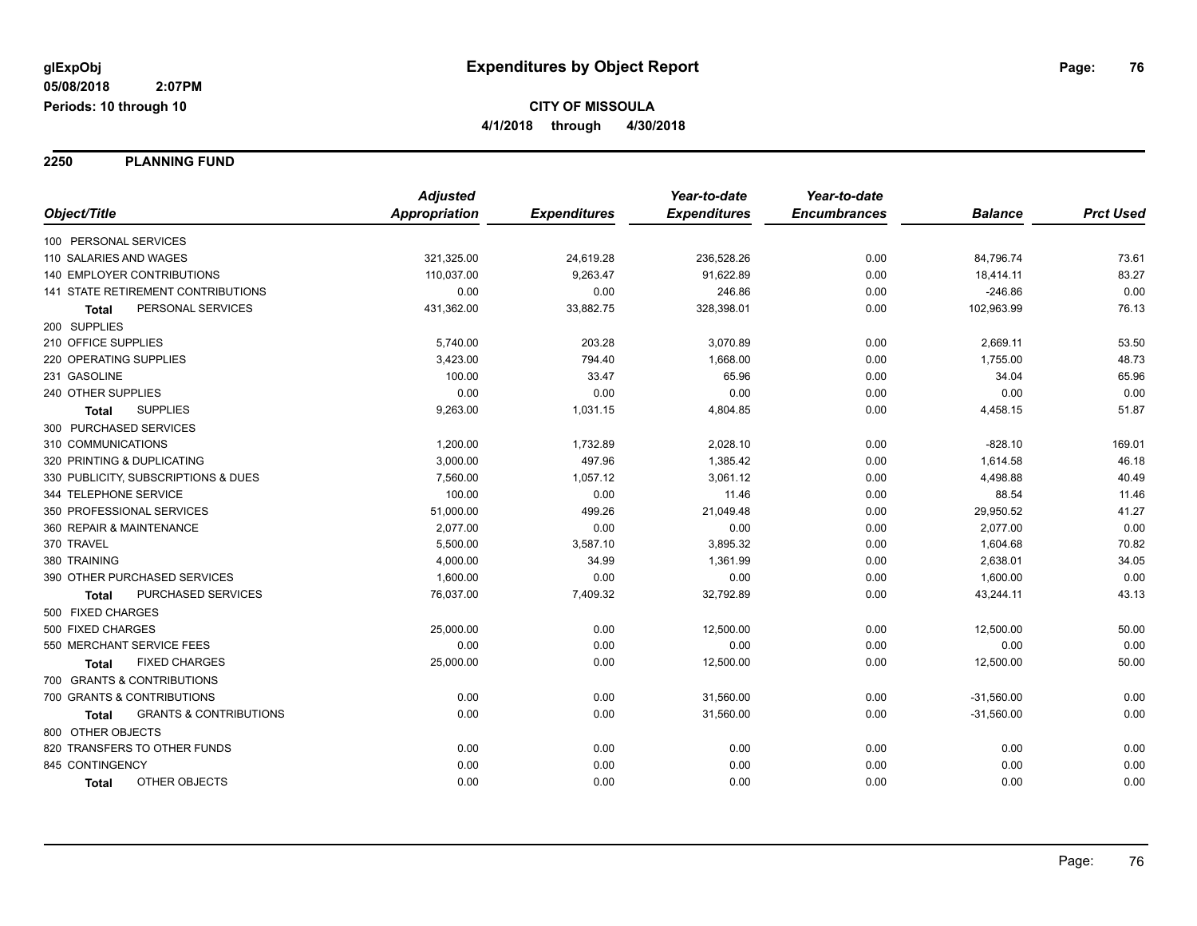**2250 PLANNING FUND**

|                                                   | <b>Adjusted</b>      |                     | Year-to-date        | Year-to-date        |                |                  |
|---------------------------------------------------|----------------------|---------------------|---------------------|---------------------|----------------|------------------|
| Object/Title                                      | <b>Appropriation</b> | <b>Expenditures</b> | <b>Expenditures</b> | <b>Encumbrances</b> | <b>Balance</b> | <b>Prct Used</b> |
| 100 PERSONAL SERVICES                             |                      |                     |                     |                     |                |                  |
| 110 SALARIES AND WAGES                            | 321,325.00           | 24,619.28           | 236,528.26          | 0.00                | 84,796.74      | 73.61            |
| <b>140 EMPLOYER CONTRIBUTIONS</b>                 | 110,037.00           | 9,263.47            | 91,622.89           | 0.00                | 18,414.11      | 83.27            |
| 141 STATE RETIREMENT CONTRIBUTIONS                | 0.00                 | 0.00                | 246.86              | 0.00                | $-246.86$      | 0.00             |
| PERSONAL SERVICES<br>Total                        | 431,362.00           | 33,882.75           | 328,398.01          | 0.00                | 102,963.99     | 76.13            |
| 200 SUPPLIES                                      |                      |                     |                     |                     |                |                  |
| 210 OFFICE SUPPLIES                               | 5,740.00             | 203.28              | 3,070.89            | 0.00                | 2,669.11       | 53.50            |
| 220 OPERATING SUPPLIES                            | 3,423.00             | 794.40              | 1,668.00            | 0.00                | 1,755.00       | 48.73            |
| 231 GASOLINE                                      | 100.00               | 33.47               | 65.96               | 0.00                | 34.04          | 65.96            |
| 240 OTHER SUPPLIES                                | 0.00                 | 0.00                | 0.00                | 0.00                | 0.00           | 0.00             |
| <b>SUPPLIES</b><br>Total                          | 9,263.00             | 1,031.15            | 4,804.85            | 0.00                | 4,458.15       | 51.87            |
| 300 PURCHASED SERVICES                            |                      |                     |                     |                     |                |                  |
| 310 COMMUNICATIONS                                | 1,200.00             | 1,732.89            | 2,028.10            | 0.00                | $-828.10$      | 169.01           |
| 320 PRINTING & DUPLICATING                        | 3,000.00             | 497.96              | 1,385.42            | 0.00                | 1,614.58       | 46.18            |
| 330 PUBLICITY, SUBSCRIPTIONS & DUES               | 7,560.00             | 1,057.12            | 3,061.12            | 0.00                | 4,498.88       | 40.49            |
| 344 TELEPHONE SERVICE                             | 100.00               | 0.00                | 11.46               | 0.00                | 88.54          | 11.46            |
| 350 PROFESSIONAL SERVICES                         | 51,000.00            | 499.26              | 21,049.48           | 0.00                | 29,950.52      | 41.27            |
| 360 REPAIR & MAINTENANCE                          | 2,077.00             | 0.00                | 0.00                | 0.00                | 2,077.00       | 0.00             |
| 370 TRAVEL                                        | 5,500.00             | 3,587.10            | 3,895.32            | 0.00                | 1,604.68       | 70.82            |
| 380 TRAINING                                      | 4,000.00             | 34.99               | 1,361.99            | 0.00                | 2,638.01       | 34.05            |
| 390 OTHER PURCHASED SERVICES                      | 1,600.00             | 0.00                | 0.00                | 0.00                | 1,600.00       | 0.00             |
| <b>PURCHASED SERVICES</b><br>Total                | 76,037.00            | 7,409.32            | 32,792.89           | 0.00                | 43,244.11      | 43.13            |
| 500 FIXED CHARGES                                 |                      |                     |                     |                     |                |                  |
| 500 FIXED CHARGES                                 | 25,000.00            | 0.00                | 12,500.00           | 0.00                | 12,500.00      | 50.00            |
| 550 MERCHANT SERVICE FEES                         | 0.00                 | 0.00                | 0.00                | 0.00                | 0.00           | 0.00             |
| <b>FIXED CHARGES</b><br>Total                     | 25,000.00            | 0.00                | 12,500.00           | 0.00                | 12,500.00      | 50.00            |
| 700 GRANTS & CONTRIBUTIONS                        |                      |                     |                     |                     |                |                  |
| 700 GRANTS & CONTRIBUTIONS                        | 0.00                 | 0.00                | 31,560.00           | 0.00                | $-31,560.00$   | 0.00             |
| <b>GRANTS &amp; CONTRIBUTIONS</b><br><b>Total</b> | 0.00                 | 0.00                | 31,560.00           | 0.00                | $-31,560.00$   | 0.00             |
| 800 OTHER OBJECTS                                 |                      |                     |                     |                     |                |                  |
| 820 TRANSFERS TO OTHER FUNDS                      | 0.00                 | 0.00                | 0.00                | 0.00                | 0.00           | 0.00             |
| 845 CONTINGENCY                                   | 0.00                 | 0.00                | 0.00                | 0.00                | 0.00           | 0.00             |
| <b>OTHER OBJECTS</b><br><b>Total</b>              | 0.00                 | 0.00                | 0.00                | 0.00                | 0.00           | 0.00             |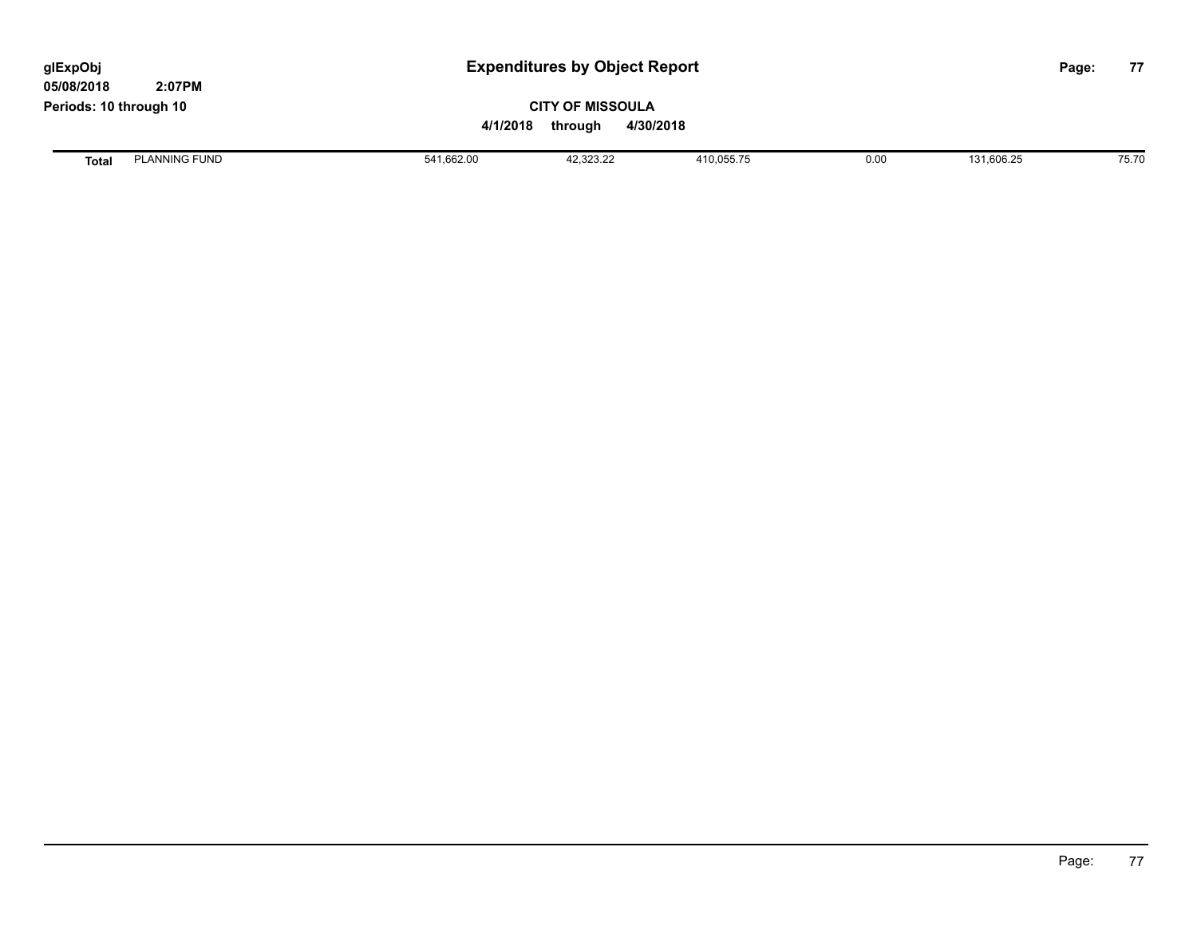| glExpObj<br>05/08/2018<br>2:07PM     | <b>Expenditures by Object Report</b>                        |           |            |      |            |       |
|--------------------------------------|-------------------------------------------------------------|-----------|------------|------|------------|-------|
| Periods: 10 through 10               | <b>CITY OF MISSOULA</b><br>4/30/2018<br>4/1/2018<br>through |           |            |      |            |       |
| <b>PLANNING FUND</b><br><b>Total</b> | 541,662.00                                                  | 42,323.22 | 410,055.75 | 0.00 | 131,606.25 | 75.70 |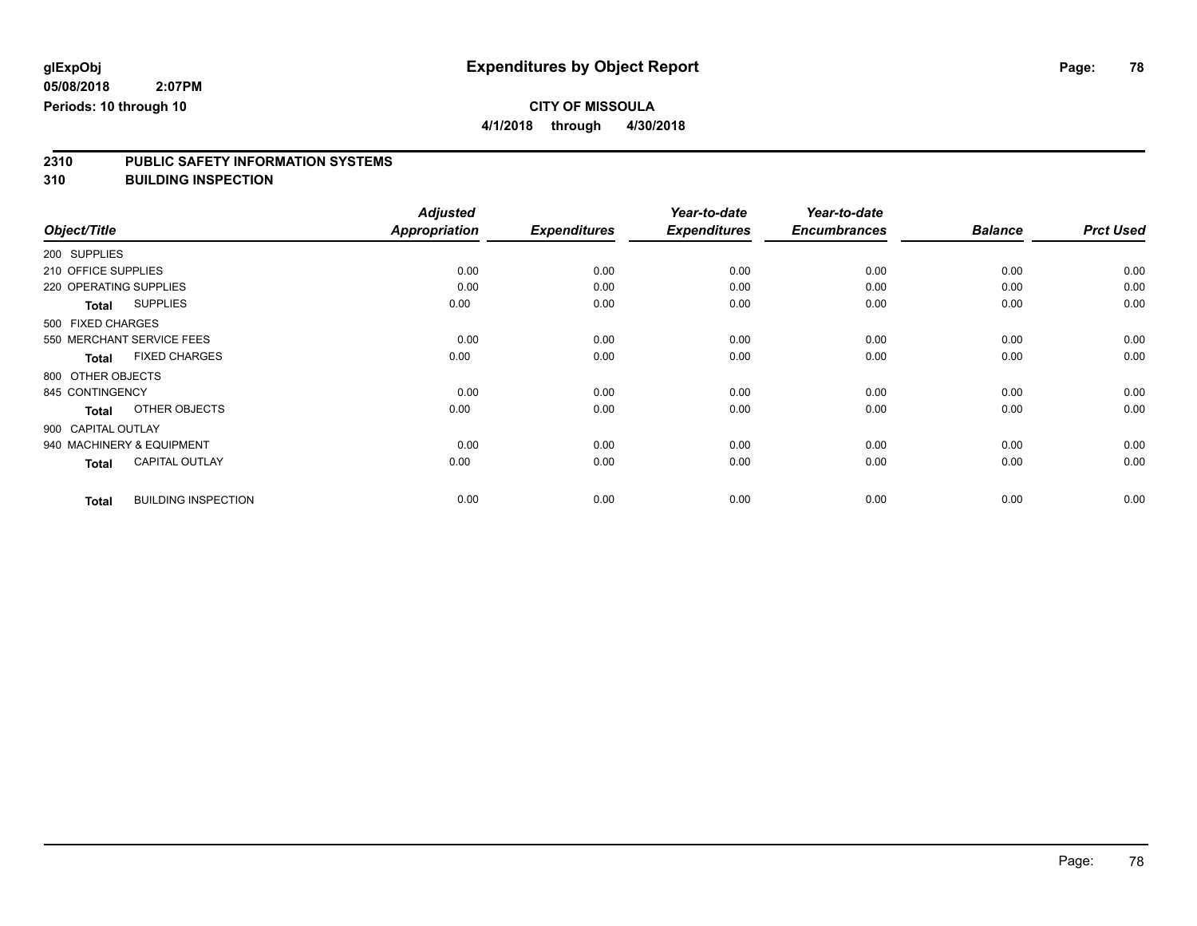**2310 PUBLIC SAFETY INFORMATION SYSTEMS 310 BUILDING INSPECTION**

|                        |                            | <b>Adjusted</b>      |                     | Year-to-date        | Year-to-date        |                |                  |
|------------------------|----------------------------|----------------------|---------------------|---------------------|---------------------|----------------|------------------|
| Object/Title           |                            | <b>Appropriation</b> | <b>Expenditures</b> | <b>Expenditures</b> | <b>Encumbrances</b> | <b>Balance</b> | <b>Prct Used</b> |
| 200 SUPPLIES           |                            |                      |                     |                     |                     |                |                  |
| 210 OFFICE SUPPLIES    |                            | 0.00                 | 0.00                | 0.00                | 0.00                | 0.00           | 0.00             |
| 220 OPERATING SUPPLIES |                            | 0.00                 | 0.00                | 0.00                | 0.00                | 0.00           | 0.00             |
| Total                  | <b>SUPPLIES</b>            | 0.00                 | 0.00                | 0.00                | 0.00                | 0.00           | 0.00             |
| 500 FIXED CHARGES      |                            |                      |                     |                     |                     |                |                  |
|                        | 550 MERCHANT SERVICE FEES  | 0.00                 | 0.00                | 0.00                | 0.00                | 0.00           | 0.00             |
| Total                  | <b>FIXED CHARGES</b>       | 0.00                 | 0.00                | 0.00                | 0.00                | 0.00           | 0.00             |
| 800 OTHER OBJECTS      |                            |                      |                     |                     |                     |                |                  |
| 845 CONTINGENCY        |                            | 0.00                 | 0.00                | 0.00                | 0.00                | 0.00           | 0.00             |
| Total                  | OTHER OBJECTS              | 0.00                 | 0.00                | 0.00                | 0.00                | 0.00           | 0.00             |
| 900 CAPITAL OUTLAY     |                            |                      |                     |                     |                     |                |                  |
|                        | 940 MACHINERY & EQUIPMENT  | 0.00                 | 0.00                | 0.00                | 0.00                | 0.00           | 0.00             |
| Total                  | <b>CAPITAL OUTLAY</b>      | 0.00                 | 0.00                | 0.00                | 0.00                | 0.00           | 0.00             |
| <b>Total</b>           | <b>BUILDING INSPECTION</b> | 0.00                 | 0.00                | 0.00                | 0.00                | 0.00           | 0.00             |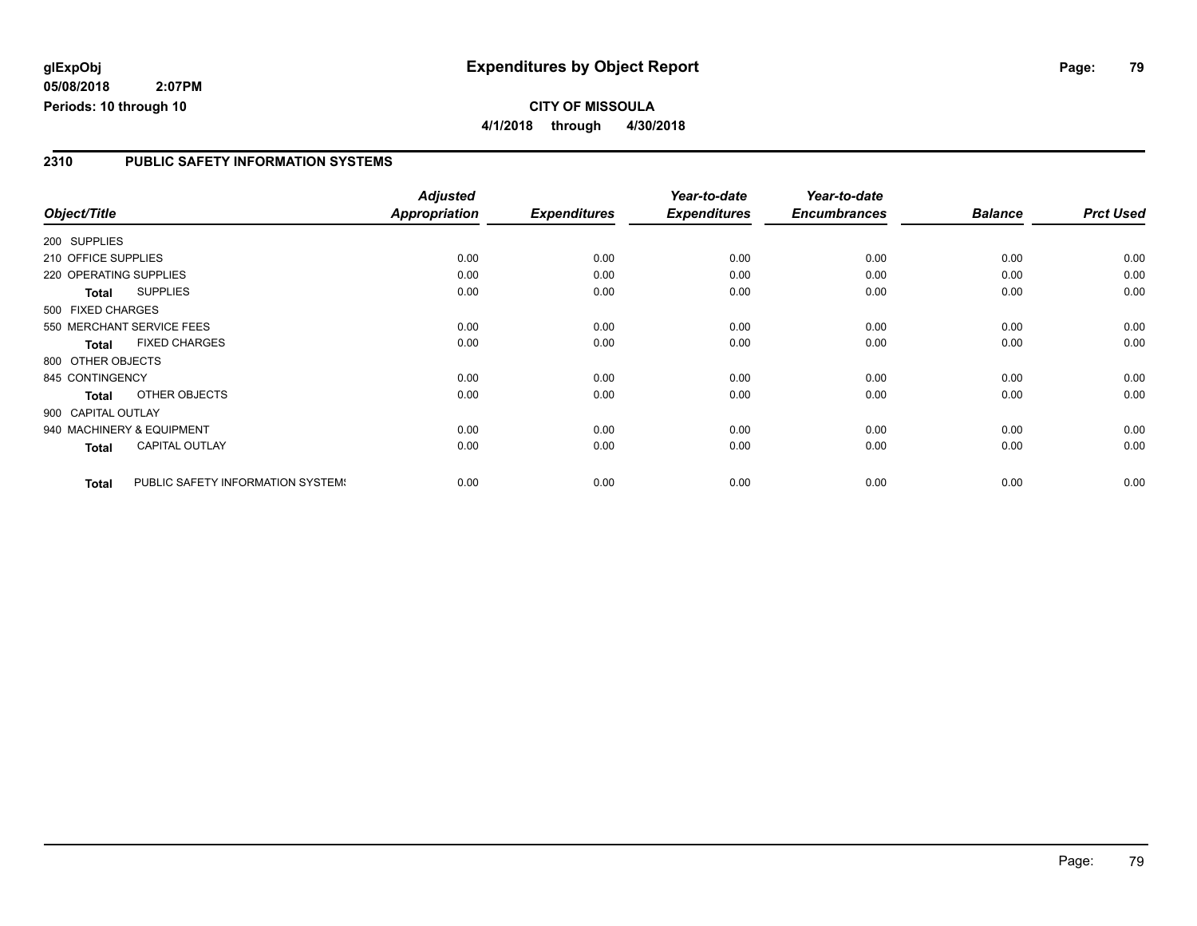**CITY OF MISSOULA 4/1/2018 through 4/30/2018**

#### **2310 PUBLIC SAFETY INFORMATION SYSTEMS**

|                        |                                   | <b>Adjusted</b>      |                     | Year-to-date        | Year-to-date        |                |                  |
|------------------------|-----------------------------------|----------------------|---------------------|---------------------|---------------------|----------------|------------------|
| Object/Title           |                                   | <b>Appropriation</b> | <b>Expenditures</b> | <b>Expenditures</b> | <b>Encumbrances</b> | <b>Balance</b> | <b>Prct Used</b> |
| 200 SUPPLIES           |                                   |                      |                     |                     |                     |                |                  |
| 210 OFFICE SUPPLIES    |                                   | 0.00                 | 0.00                | 0.00                | 0.00                | 0.00           | 0.00             |
| 220 OPERATING SUPPLIES |                                   | 0.00                 | 0.00                | 0.00                | 0.00                | 0.00           | 0.00             |
| Total                  | <b>SUPPLIES</b>                   | 0.00                 | 0.00                | 0.00                | 0.00                | 0.00           | 0.00             |
| 500 FIXED CHARGES      |                                   |                      |                     |                     |                     |                |                  |
|                        | 550 MERCHANT SERVICE FEES         | 0.00                 | 0.00                | 0.00                | 0.00                | 0.00           | 0.00             |
| <b>Total</b>           | <b>FIXED CHARGES</b>              | 0.00                 | 0.00                | 0.00                | 0.00                | 0.00           | 0.00             |
| 800 OTHER OBJECTS      |                                   |                      |                     |                     |                     |                |                  |
| 845 CONTINGENCY        |                                   | 0.00                 | 0.00                | 0.00                | 0.00                | 0.00           | 0.00             |
| <b>Total</b>           | OTHER OBJECTS                     | 0.00                 | 0.00                | 0.00                | 0.00                | 0.00           | 0.00             |
| 900 CAPITAL OUTLAY     |                                   |                      |                     |                     |                     |                |                  |
|                        | 940 MACHINERY & EQUIPMENT         | 0.00                 | 0.00                | 0.00                | 0.00                | 0.00           | 0.00             |
| Total                  | CAPITAL OUTLAY                    | 0.00                 | 0.00                | 0.00                | 0.00                | 0.00           | 0.00             |
| <b>Total</b>           | PUBLIC SAFETY INFORMATION SYSTEM! | 0.00                 | 0.00                | 0.00                | 0.00                | 0.00           | 0.00             |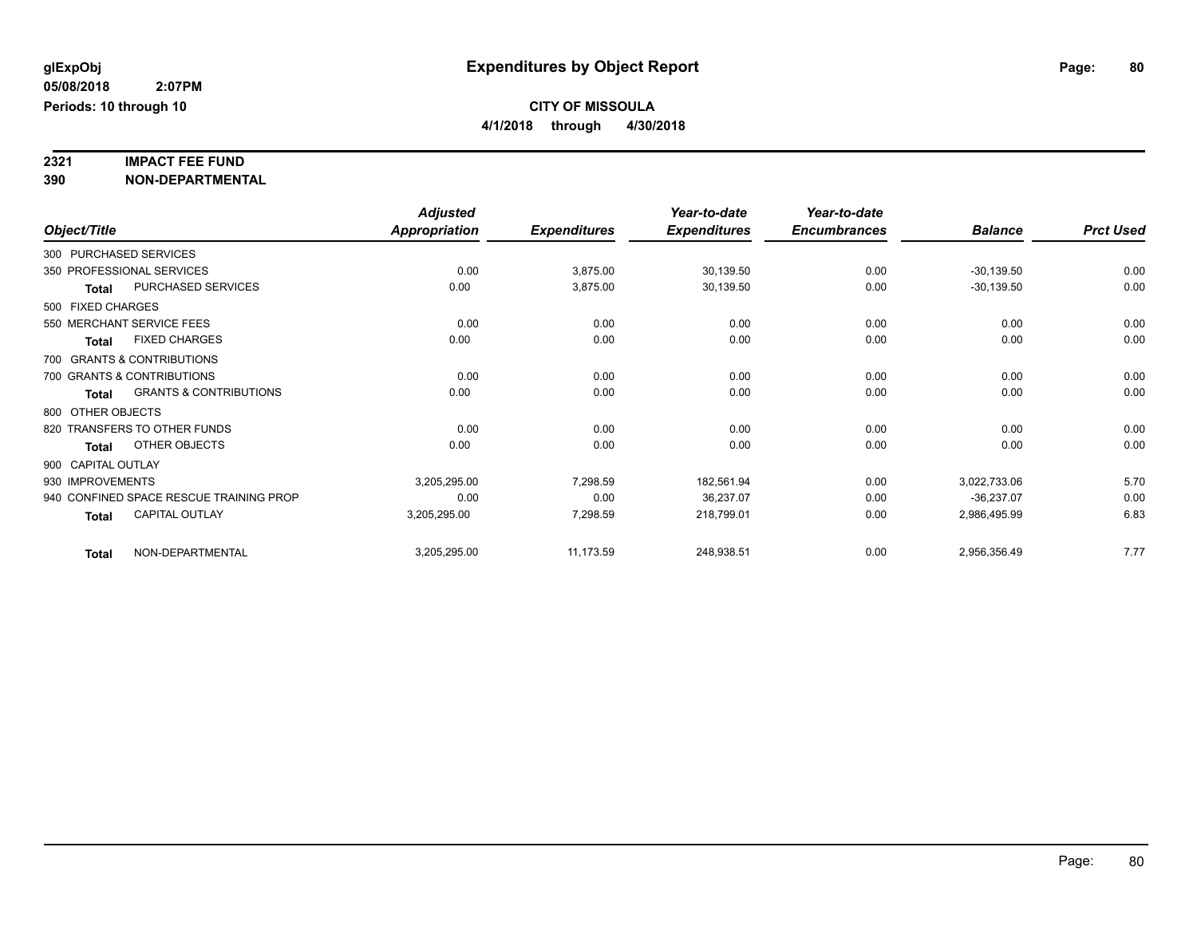# **2321 IMPACT FEE FUND**

|                    |                                         | <b>Adjusted</b>      |                     | Year-to-date        | Year-to-date        |                |                  |
|--------------------|-----------------------------------------|----------------------|---------------------|---------------------|---------------------|----------------|------------------|
| Object/Title       |                                         | <b>Appropriation</b> | <b>Expenditures</b> | <b>Expenditures</b> | <b>Encumbrances</b> | <b>Balance</b> | <b>Prct Used</b> |
|                    | 300 PURCHASED SERVICES                  |                      |                     |                     |                     |                |                  |
|                    | 350 PROFESSIONAL SERVICES               | 0.00                 | 3,875.00            | 30,139.50           | 0.00                | $-30,139.50$   | 0.00             |
| <b>Total</b>       | PURCHASED SERVICES                      | 0.00                 | 3,875.00            | 30,139.50           | 0.00                | $-30,139.50$   | 0.00             |
| 500 FIXED CHARGES  |                                         |                      |                     |                     |                     |                |                  |
|                    | 550 MERCHANT SERVICE FEES               | 0.00                 | 0.00                | 0.00                | 0.00                | 0.00           | 0.00             |
| <b>Total</b>       | <b>FIXED CHARGES</b>                    | 0.00                 | 0.00                | 0.00                | 0.00                | 0.00           | 0.00             |
|                    | 700 GRANTS & CONTRIBUTIONS              |                      |                     |                     |                     |                |                  |
|                    | 700 GRANTS & CONTRIBUTIONS              | 0.00                 | 0.00                | 0.00                | 0.00                | 0.00           | 0.00             |
| <b>Total</b>       | <b>GRANTS &amp; CONTRIBUTIONS</b>       | 0.00                 | 0.00                | 0.00                | 0.00                | 0.00           | 0.00             |
| 800 OTHER OBJECTS  |                                         |                      |                     |                     |                     |                |                  |
|                    | 820 TRANSFERS TO OTHER FUNDS            | 0.00                 | 0.00                | 0.00                | 0.00                | 0.00           | 0.00             |
| <b>Total</b>       | OTHER OBJECTS                           | 0.00                 | 0.00                | 0.00                | 0.00                | 0.00           | 0.00             |
| 900 CAPITAL OUTLAY |                                         |                      |                     |                     |                     |                |                  |
| 930 IMPROVEMENTS   |                                         | 3,205,295.00         | 7,298.59            | 182,561.94          | 0.00                | 3,022,733.06   | 5.70             |
|                    | 940 CONFINED SPACE RESCUE TRAINING PROP | 0.00                 | 0.00                | 36,237.07           | 0.00                | $-36,237.07$   | 0.00             |
| <b>Total</b>       | <b>CAPITAL OUTLAY</b>                   | 3,205,295.00         | 7,298.59            | 218,799.01          | 0.00                | 2,986,495.99   | 6.83             |
| <b>Total</b>       | NON-DEPARTMENTAL                        | 3,205,295.00         | 11,173.59           | 248,938.51          | 0.00                | 2,956,356.49   | 7.77             |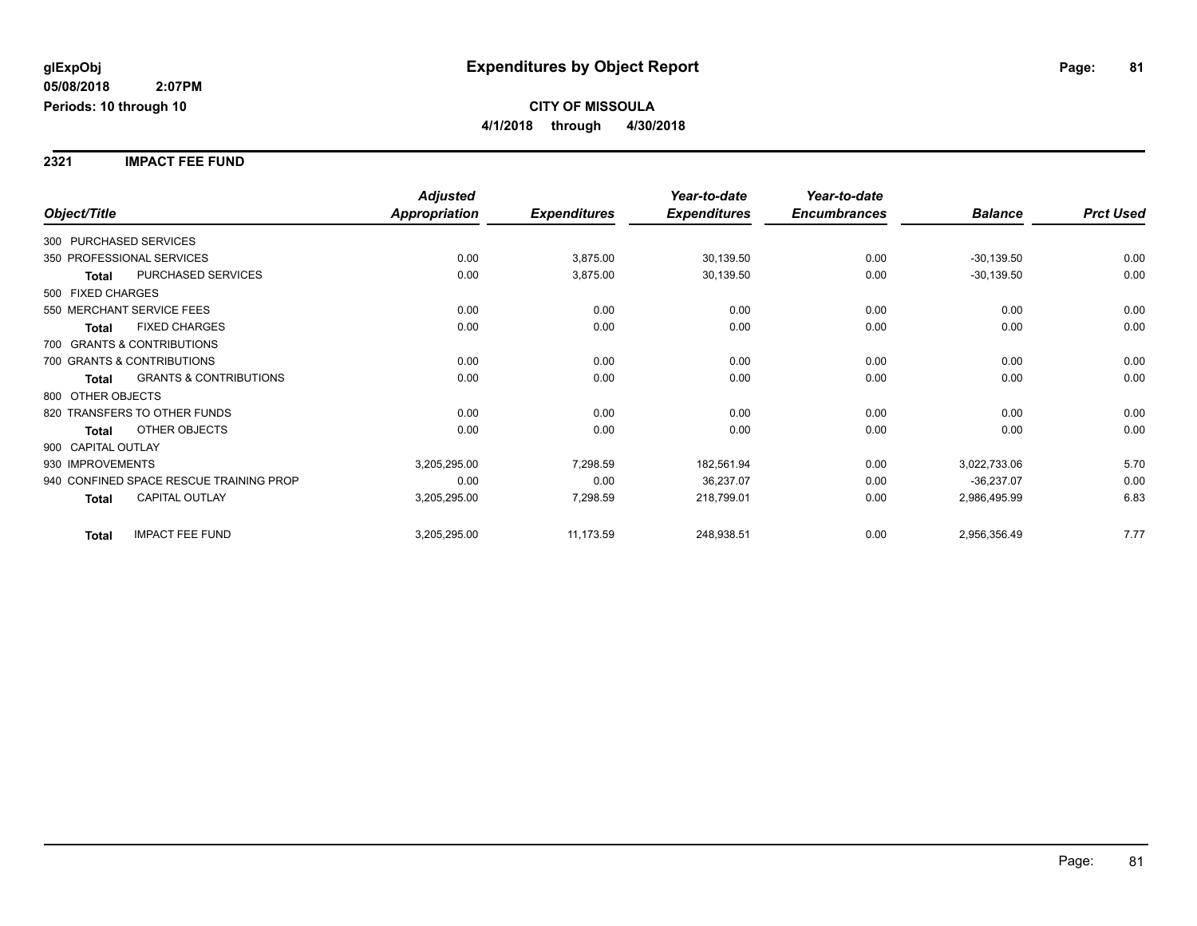**2321 IMPACT FEE FUND**

|                                                   | <b>Adjusted</b>      |                     | Year-to-date        | Year-to-date        |                |                  |
|---------------------------------------------------|----------------------|---------------------|---------------------|---------------------|----------------|------------------|
| Object/Title                                      | <b>Appropriation</b> | <b>Expenditures</b> | <b>Expenditures</b> | <b>Encumbrances</b> | <b>Balance</b> | <b>Prct Used</b> |
| 300 PURCHASED SERVICES                            |                      |                     |                     |                     |                |                  |
| 350 PROFESSIONAL SERVICES                         | 0.00                 | 3,875.00            | 30,139.50           | 0.00                | $-30,139.50$   | 0.00             |
| PURCHASED SERVICES<br><b>Total</b>                | 0.00                 | 3,875.00            | 30,139.50           | 0.00                | $-30,139.50$   | 0.00             |
| 500 FIXED CHARGES                                 |                      |                     |                     |                     |                |                  |
| 550 MERCHANT SERVICE FEES                         | 0.00                 | 0.00                | 0.00                | 0.00                | 0.00           | 0.00             |
| <b>FIXED CHARGES</b><br><b>Total</b>              | 0.00                 | 0.00                | 0.00                | 0.00                | 0.00           | 0.00             |
| 700 GRANTS & CONTRIBUTIONS                        |                      |                     |                     |                     |                |                  |
| 700 GRANTS & CONTRIBUTIONS                        | 0.00                 | 0.00                | 0.00                | 0.00                | 0.00           | 0.00             |
| <b>GRANTS &amp; CONTRIBUTIONS</b><br><b>Total</b> | 0.00                 | 0.00                | 0.00                | 0.00                | 0.00           | 0.00             |
| 800 OTHER OBJECTS                                 |                      |                     |                     |                     |                |                  |
| 820 TRANSFERS TO OTHER FUNDS                      | 0.00                 | 0.00                | 0.00                | 0.00                | 0.00           | 0.00             |
| <b>OTHER OBJECTS</b><br><b>Total</b>              | 0.00                 | 0.00                | 0.00                | 0.00                | 0.00           | 0.00             |
| 900 CAPITAL OUTLAY                                |                      |                     |                     |                     |                |                  |
| 930 IMPROVEMENTS                                  | 3,205,295.00         | 7,298.59            | 182,561.94          | 0.00                | 3,022,733.06   | 5.70             |
| 940 CONFINED SPACE RESCUE TRAINING PROP           | 0.00                 | 0.00                | 36,237.07           | 0.00                | $-36,237.07$   | 0.00             |
| <b>CAPITAL OUTLAY</b><br><b>Total</b>             | 3,205,295.00         | 7,298.59            | 218,799.01          | 0.00                | 2,986,495.99   | 6.83             |
| <b>IMPACT FEE FUND</b><br><b>Total</b>            | 3,205,295.00         | 11,173.59           | 248,938.51          | 0.00                | 2,956,356.49   | 7.77             |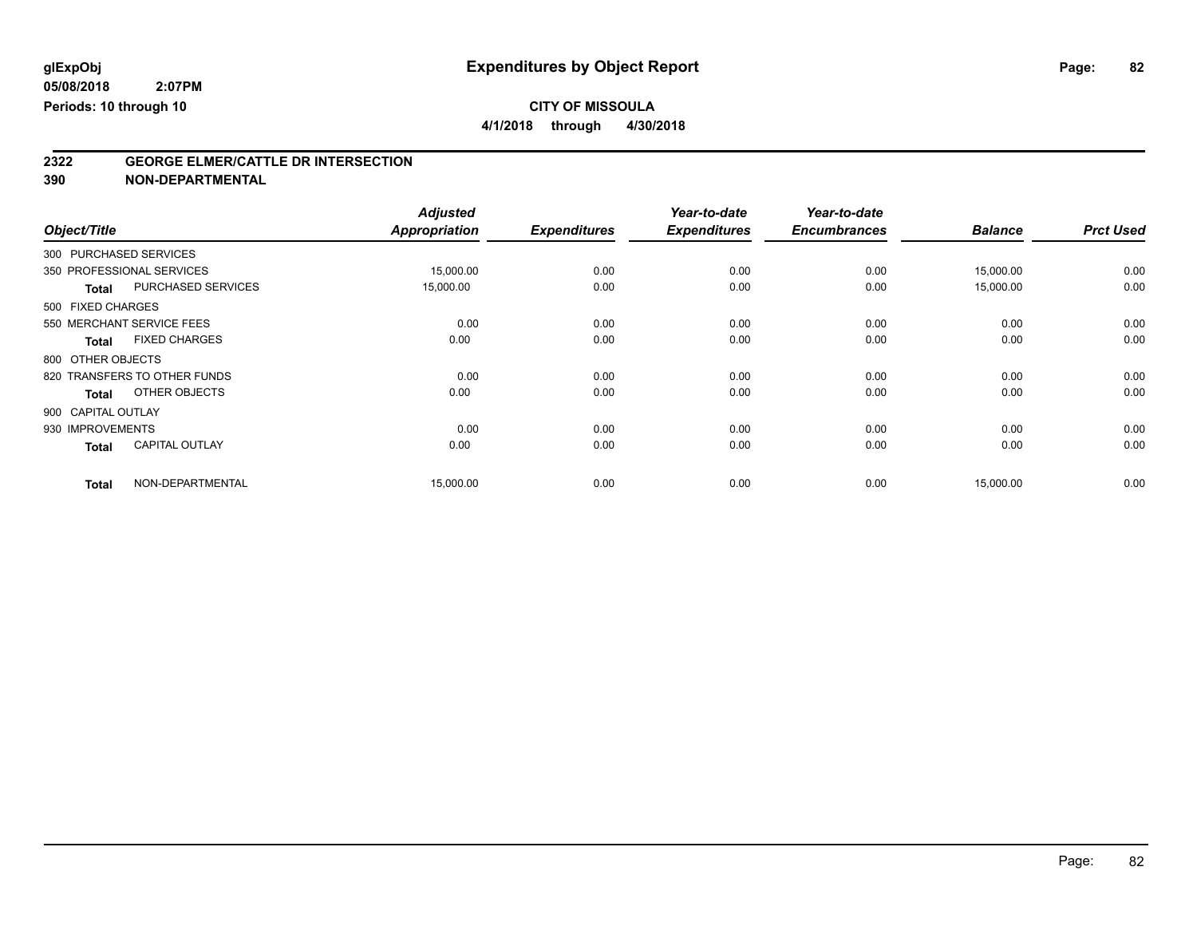### **CITY OF MISSOULA**

**4/1/2018 through 4/30/2018**

# **2322 GEORGE ELMER/CATTLE DR INTERSECTION**

| Object/Title |                                       | <b>Adjusted</b><br><b>Appropriation</b> | <b>Expenditures</b> | Year-to-date<br><b>Expenditures</b> | Year-to-date<br><b>Encumbrances</b> | <b>Balance</b> | <b>Prct Used</b> |
|--------------|---------------------------------------|-----------------------------------------|---------------------|-------------------------------------|-------------------------------------|----------------|------------------|
|              | 300 PURCHASED SERVICES                |                                         |                     |                                     |                                     |                |                  |
|              | 350 PROFESSIONAL SERVICES             | 15,000.00                               | 0.00                | 0.00                                | 0.00                                | 15,000.00      | 0.00             |
|              | PURCHASED SERVICES<br><b>Total</b>    | 15,000.00                               | 0.00                | 0.00                                | 0.00                                | 15,000.00      | 0.00             |
|              | 500 FIXED CHARGES                     |                                         |                     |                                     |                                     |                |                  |
|              | 550 MERCHANT SERVICE FEES             | 0.00                                    | 0.00                | 0.00                                | 0.00                                | 0.00           | 0.00             |
|              | <b>FIXED CHARGES</b><br><b>Total</b>  | 0.00                                    | 0.00                | 0.00                                | 0.00                                | 0.00           | 0.00             |
|              | 800 OTHER OBJECTS                     |                                         |                     |                                     |                                     |                |                  |
|              | 820 TRANSFERS TO OTHER FUNDS          | 0.00                                    | 0.00                | 0.00                                | 0.00                                | 0.00           | 0.00             |
|              | OTHER OBJECTS<br><b>Total</b>         | 0.00                                    | 0.00                | 0.00                                | 0.00                                | 0.00           | 0.00             |
|              | 900 CAPITAL OUTLAY                    |                                         |                     |                                     |                                     |                |                  |
|              | 930 IMPROVEMENTS                      | 0.00                                    | 0.00                | 0.00                                | 0.00                                | 0.00           | 0.00             |
|              | <b>CAPITAL OUTLAY</b><br><b>Total</b> | 0.00                                    | 0.00                | 0.00                                | 0.00                                | 0.00           | 0.00             |
|              | NON-DEPARTMENTAL<br><b>Total</b>      | 15,000.00                               | 0.00                | 0.00                                | 0.00                                | 15,000.00      | 0.00             |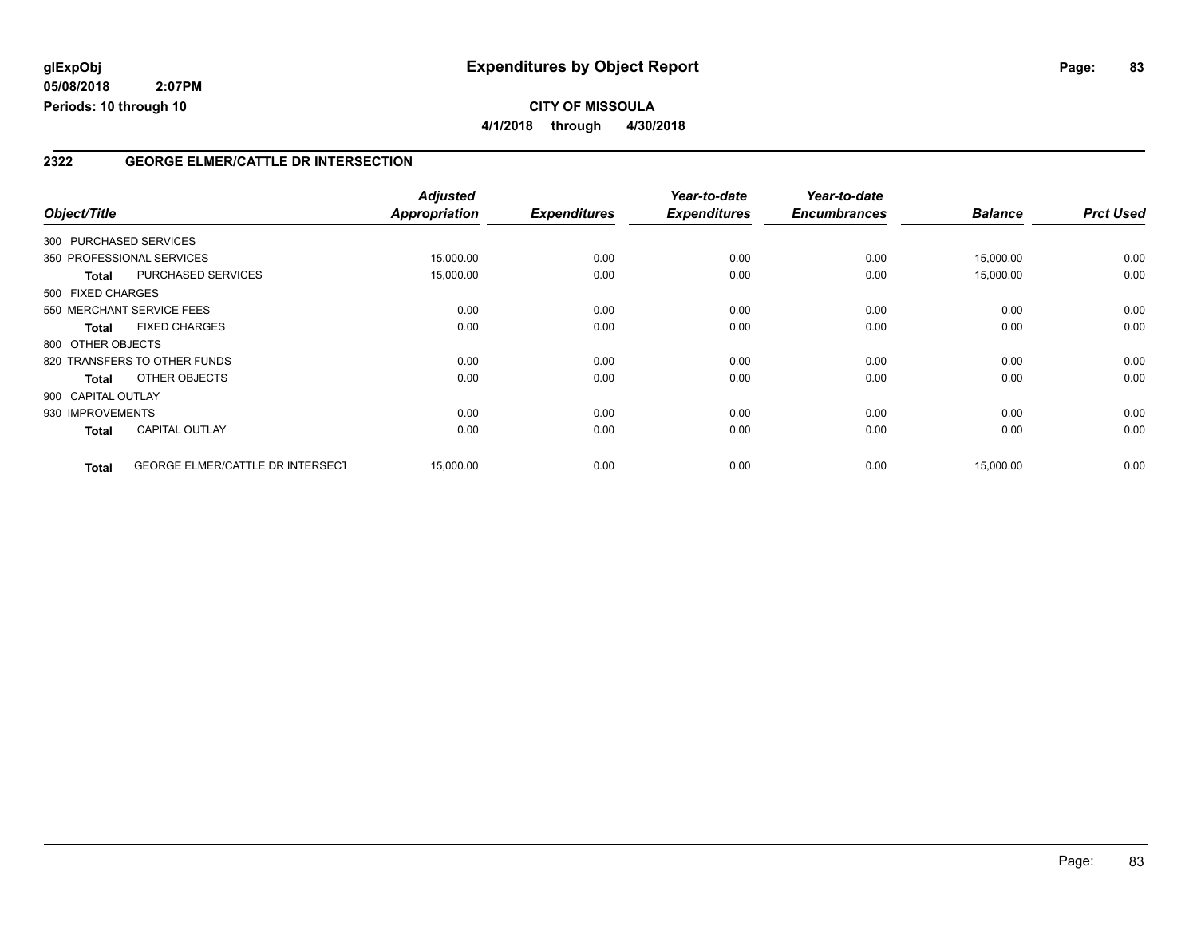#### **2322 GEORGE ELMER/CATTLE DR INTERSECTION**

|                    |                                  | <b>Adjusted</b> |                     | Year-to-date        | Year-to-date<br><b>Encumbrances</b> | <b>Balance</b> | <b>Prct Used</b> |
|--------------------|----------------------------------|-----------------|---------------------|---------------------|-------------------------------------|----------------|------------------|
| Object/Title       |                                  | Appropriation   | <b>Expenditures</b> | <b>Expenditures</b> |                                     |                |                  |
|                    | 300 PURCHASED SERVICES           |                 |                     |                     |                                     |                |                  |
|                    | 350 PROFESSIONAL SERVICES        | 15,000.00       | 0.00                | 0.00                | 0.00                                | 15,000.00      | 0.00             |
| <b>Total</b>       | PURCHASED SERVICES               | 15,000.00       | 0.00                | 0.00                | 0.00                                | 15,000.00      | 0.00             |
| 500 FIXED CHARGES  |                                  |                 |                     |                     |                                     |                |                  |
|                    | 550 MERCHANT SERVICE FEES        | 0.00            | 0.00                | 0.00                | 0.00                                | 0.00           | 0.00             |
| Total              | <b>FIXED CHARGES</b>             | 0.00            | 0.00                | 0.00                | 0.00                                | 0.00           | 0.00             |
| 800 OTHER OBJECTS  |                                  |                 |                     |                     |                                     |                |                  |
|                    | 820 TRANSFERS TO OTHER FUNDS     | 0.00            | 0.00                | 0.00                | 0.00                                | 0.00           | 0.00             |
| Total              | OTHER OBJECTS                    | 0.00            | 0.00                | 0.00                | 0.00                                | 0.00           | 0.00             |
| 900 CAPITAL OUTLAY |                                  |                 |                     |                     |                                     |                |                  |
| 930 IMPROVEMENTS   |                                  | 0.00            | 0.00                | 0.00                | 0.00                                | 0.00           | 0.00             |
| <b>Total</b>       | <b>CAPITAL OUTLAY</b>            | 0.00            | 0.00                | 0.00                | 0.00                                | 0.00           | 0.00             |
| <b>Total</b>       | GEORGE ELMER/CATTLE DR INTERSECT | 15,000.00       | 0.00                | 0.00                | 0.00                                | 15,000.00      | 0.00             |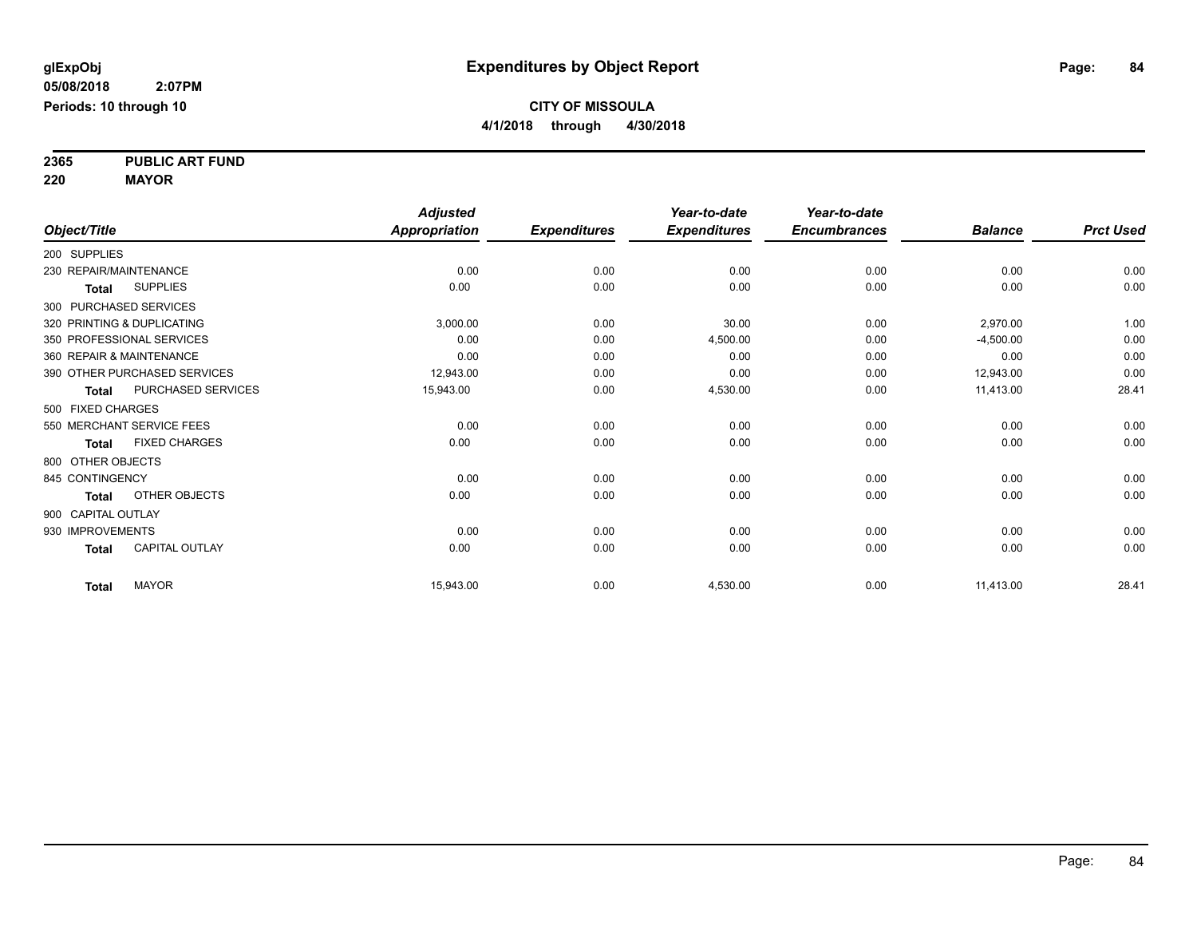**2365 PUBLIC ART FUND**

**220 MAYOR**

|                            |                              | <b>Adjusted</b> |                     | Year-to-date        | Year-to-date        |                |                  |
|----------------------------|------------------------------|-----------------|---------------------|---------------------|---------------------|----------------|------------------|
| Object/Title               |                              | Appropriation   | <b>Expenditures</b> | <b>Expenditures</b> | <b>Encumbrances</b> | <b>Balance</b> | <b>Prct Used</b> |
| 200 SUPPLIES               |                              |                 |                     |                     |                     |                |                  |
| 230 REPAIR/MAINTENANCE     |                              | 0.00            | 0.00                | 0.00                | 0.00                | 0.00           | 0.00             |
| Total                      | <b>SUPPLIES</b>              | 0.00            | 0.00                | 0.00                | 0.00                | 0.00           | 0.00             |
| 300 PURCHASED SERVICES     |                              |                 |                     |                     |                     |                |                  |
| 320 PRINTING & DUPLICATING |                              | 3,000.00        | 0.00                | 30.00               | 0.00                | 2,970.00       | 1.00             |
| 350 PROFESSIONAL SERVICES  |                              | 0.00            | 0.00                | 4,500.00            | 0.00                | $-4,500.00$    | 0.00             |
| 360 REPAIR & MAINTENANCE   |                              | 0.00            | 0.00                | 0.00                | 0.00                | 0.00           | 0.00             |
|                            | 390 OTHER PURCHASED SERVICES | 12,943.00       | 0.00                | 0.00                | 0.00                | 12,943.00      | 0.00             |
| <b>Total</b>               | PURCHASED SERVICES           | 15,943.00       | 0.00                | 4,530.00            | 0.00                | 11,413.00      | 28.41            |
| 500 FIXED CHARGES          |                              |                 |                     |                     |                     |                |                  |
| 550 MERCHANT SERVICE FEES  |                              | 0.00            | 0.00                | 0.00                | 0.00                | 0.00           | 0.00             |
| <b>Total</b>               | <b>FIXED CHARGES</b>         | 0.00            | 0.00                | 0.00                | 0.00                | 0.00           | 0.00             |
| 800 OTHER OBJECTS          |                              |                 |                     |                     |                     |                |                  |
| 845 CONTINGENCY            |                              | 0.00            | 0.00                | 0.00                | 0.00                | 0.00           | 0.00             |
| <b>Total</b>               | OTHER OBJECTS                | 0.00            | 0.00                | 0.00                | 0.00                | 0.00           | 0.00             |
| 900 CAPITAL OUTLAY         |                              |                 |                     |                     |                     |                |                  |
| 930 IMPROVEMENTS           |                              | 0.00            | 0.00                | 0.00                | 0.00                | 0.00           | 0.00             |
| <b>Total</b>               | <b>CAPITAL OUTLAY</b>        | 0.00            | 0.00                | 0.00                | 0.00                | 0.00           | 0.00             |
| <b>Total</b>               | <b>MAYOR</b>                 | 15,943.00       | 0.00                | 4,530.00            | 0.00                | 11,413.00      | 28.41            |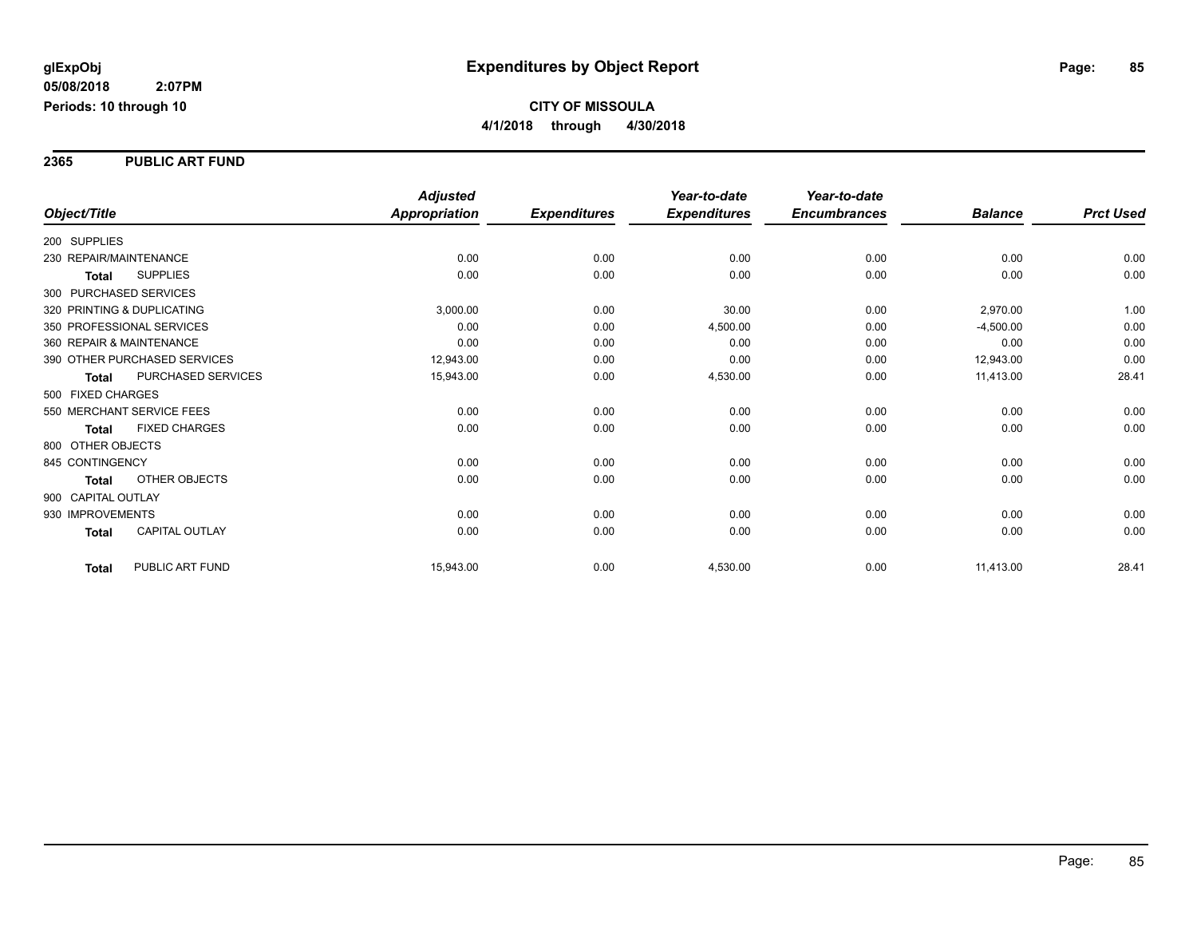#### **2365 PUBLIC ART FUND**

|                                       | <b>Adjusted</b>      |                     | Year-to-date        | Year-to-date        |                |                  |
|---------------------------------------|----------------------|---------------------|---------------------|---------------------|----------------|------------------|
| Object/Title                          | <b>Appropriation</b> | <b>Expenditures</b> | <b>Expenditures</b> | <b>Encumbrances</b> | <b>Balance</b> | <b>Prct Used</b> |
| 200 SUPPLIES                          |                      |                     |                     |                     |                |                  |
| 230 REPAIR/MAINTENANCE                | 0.00                 | 0.00                | 0.00                | 0.00                | 0.00           | 0.00             |
| <b>SUPPLIES</b><br><b>Total</b>       | 0.00                 | 0.00                | 0.00                | 0.00                | 0.00           | 0.00             |
| 300 PURCHASED SERVICES                |                      |                     |                     |                     |                |                  |
| 320 PRINTING & DUPLICATING            | 3,000.00             | 0.00                | 30.00               | 0.00                | 2,970.00       | 1.00             |
| 350 PROFESSIONAL SERVICES             | 0.00                 | 0.00                | 4,500.00            | 0.00                | $-4,500.00$    | 0.00             |
| 360 REPAIR & MAINTENANCE              | 0.00                 | 0.00                | 0.00                | 0.00                | 0.00           | 0.00             |
| 390 OTHER PURCHASED SERVICES          | 12,943.00            | 0.00                | 0.00                | 0.00                | 12,943.00      | 0.00             |
| PURCHASED SERVICES<br><b>Total</b>    | 15,943.00            | 0.00                | 4,530.00            | 0.00                | 11,413.00      | 28.41            |
| 500 FIXED CHARGES                     |                      |                     |                     |                     |                |                  |
| 550 MERCHANT SERVICE FEES             | 0.00                 | 0.00                | 0.00                | 0.00                | 0.00           | 0.00             |
| <b>FIXED CHARGES</b><br><b>Total</b>  | 0.00                 | 0.00                | 0.00                | 0.00                | 0.00           | 0.00             |
| 800 OTHER OBJECTS                     |                      |                     |                     |                     |                |                  |
| 845 CONTINGENCY                       | 0.00                 | 0.00                | 0.00                | 0.00                | 0.00           | 0.00             |
| OTHER OBJECTS<br><b>Total</b>         | 0.00                 | 0.00                | 0.00                | 0.00                | 0.00           | 0.00             |
| 900 CAPITAL OUTLAY                    |                      |                     |                     |                     |                |                  |
| 930 IMPROVEMENTS                      | 0.00                 | 0.00                | 0.00                | 0.00                | 0.00           | 0.00             |
| <b>CAPITAL OUTLAY</b><br><b>Total</b> | 0.00                 | 0.00                | 0.00                | 0.00                | 0.00           | 0.00             |
| PUBLIC ART FUND<br><b>Total</b>       | 15,943.00            | 0.00                | 4,530.00            | 0.00                | 11,413.00      | 28.41            |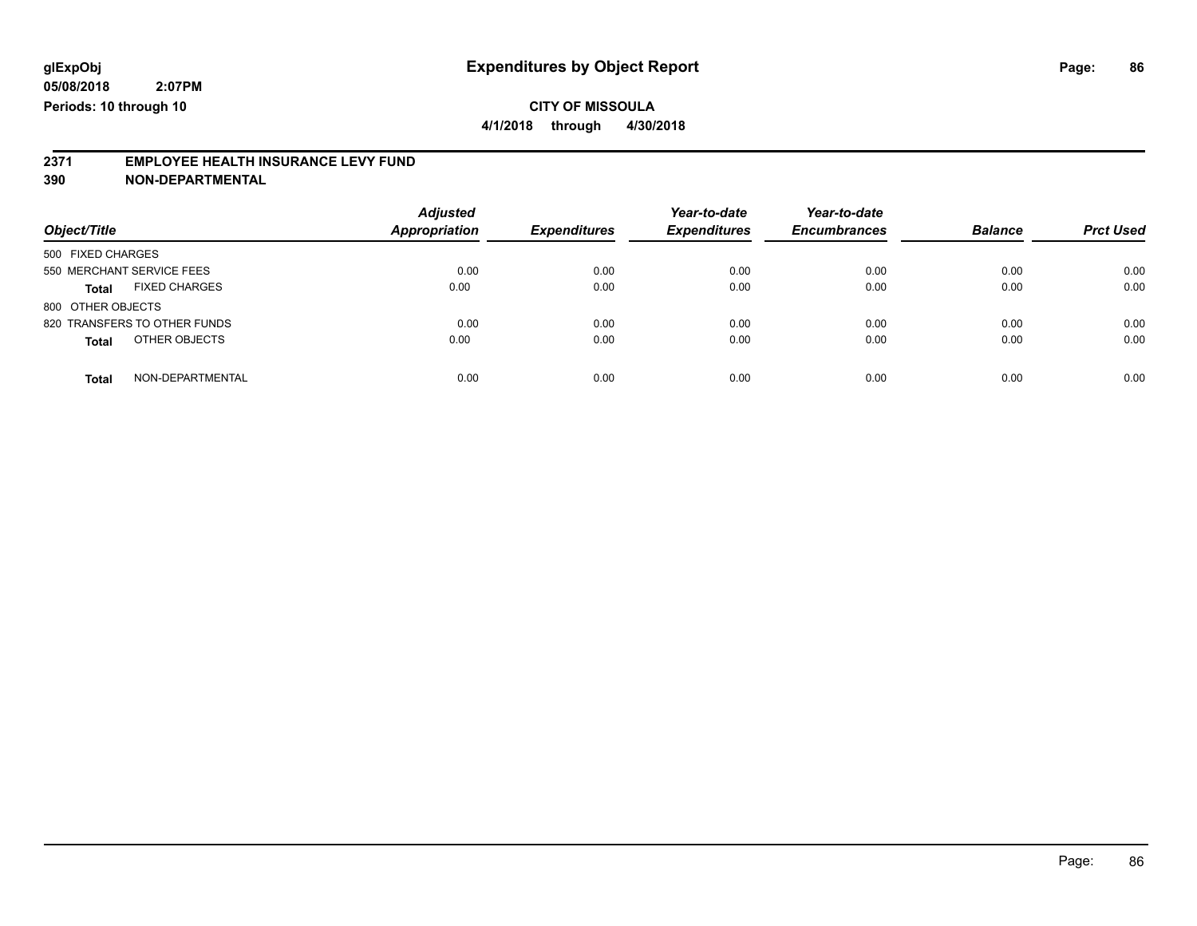### **CITY OF MISSOULA**

**4/1/2018 through 4/30/2018**

# **2371 EMPLOYEE HEALTH INSURANCE LEVY FUND**

| Object/Title                         | <b>Adjusted</b><br><b>Appropriation</b> | <b>Expenditures</b> | Year-to-date<br><b>Expenditures</b> | Year-to-date<br><b>Encumbrances</b> | <b>Balance</b> | <b>Prct Used</b> |
|--------------------------------------|-----------------------------------------|---------------------|-------------------------------------|-------------------------------------|----------------|------------------|
|                                      |                                         |                     |                                     |                                     |                |                  |
| 500 FIXED CHARGES                    |                                         |                     |                                     |                                     |                |                  |
| 550 MERCHANT SERVICE FEES            | 0.00                                    | 0.00                | 0.00                                | 0.00                                | 0.00           | 0.00             |
| <b>FIXED CHARGES</b><br><b>Total</b> | 0.00                                    | 0.00                | 0.00                                | 0.00                                | 0.00           | 0.00             |
| 800 OTHER OBJECTS                    |                                         |                     |                                     |                                     |                |                  |
| 820 TRANSFERS TO OTHER FUNDS         | 0.00                                    | 0.00                | 0.00                                | 0.00                                | 0.00           | 0.00             |
| OTHER OBJECTS<br><b>Total</b>        | 0.00                                    | 0.00                | 0.00                                | 0.00                                | 0.00           | 0.00             |
| NON-DEPARTMENTAL<br><b>Total</b>     | 0.00                                    | 0.00                | 0.00                                | 0.00                                | 0.00           | 0.00             |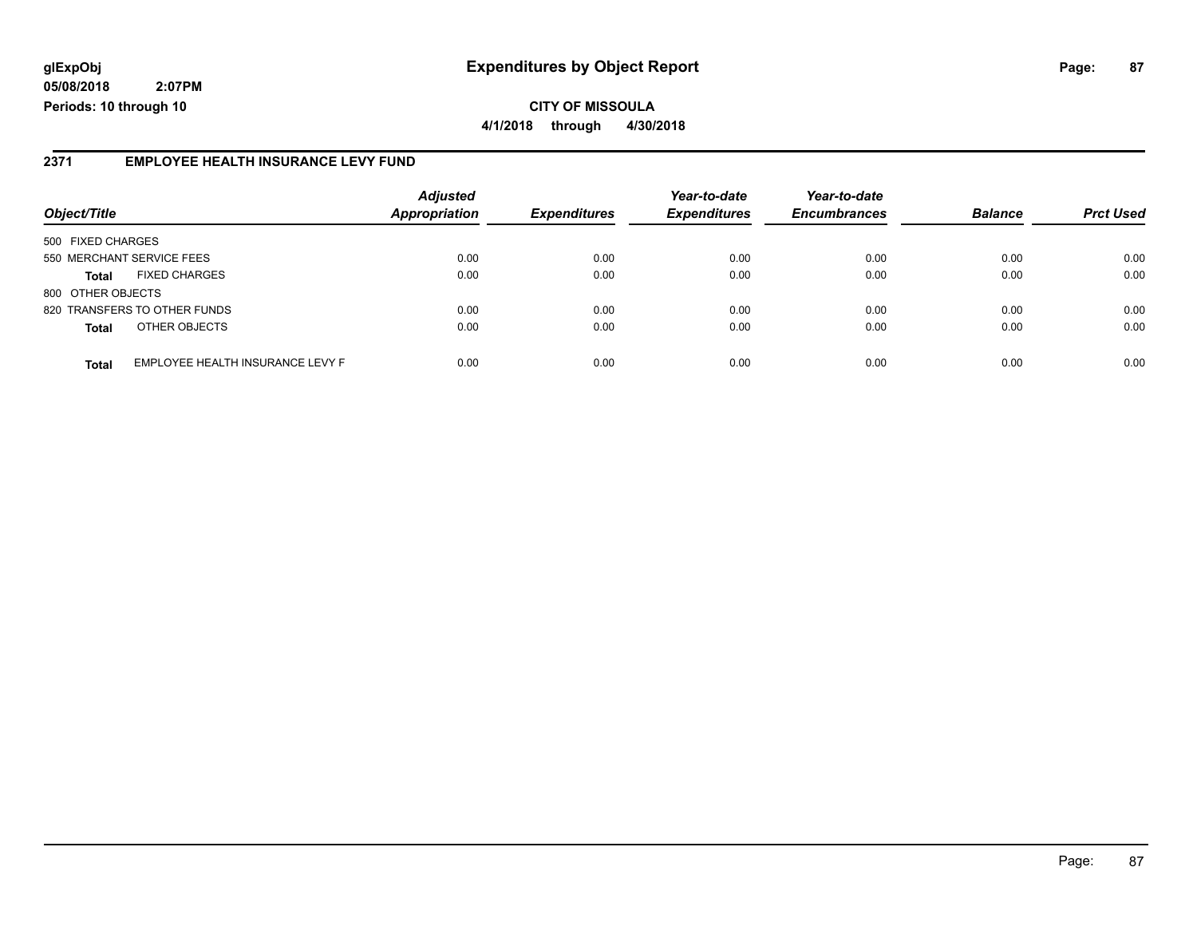**CITY OF MISSOULA 4/1/2018 through 4/30/2018**

#### **2371 EMPLOYEE HEALTH INSURANCE LEVY FUND**

| Object/Title                 |                                  | <b>Adjusted</b><br><b>Appropriation</b> | <b>Expenditures</b> | Year-to-date<br><b>Expenditures</b> | Year-to-date<br><b>Encumbrances</b> | <b>Balance</b> | <b>Prct Used</b> |
|------------------------------|----------------------------------|-----------------------------------------|---------------------|-------------------------------------|-------------------------------------|----------------|------------------|
|                              |                                  |                                         |                     |                                     |                                     |                |                  |
| 500 FIXED CHARGES            |                                  |                                         |                     |                                     |                                     |                |                  |
| 550 MERCHANT SERVICE FEES    |                                  | 0.00                                    | 0.00                | 0.00                                | 0.00                                | 0.00           | 0.00             |
| <b>Total</b>                 | <b>FIXED CHARGES</b>             | 0.00                                    | 0.00                | 0.00                                | 0.00                                | 0.00           | 0.00             |
| 800 OTHER OBJECTS            |                                  |                                         |                     |                                     |                                     |                |                  |
| 820 TRANSFERS TO OTHER FUNDS |                                  | 0.00                                    | 0.00                | 0.00                                | 0.00                                | 0.00           | 0.00             |
| <b>Total</b>                 | OTHER OBJECTS                    | 0.00                                    | 0.00                | 0.00                                | 0.00                                | 0.00           | 0.00             |
| <b>Total</b>                 | EMPLOYEE HEALTH INSURANCE LEVY F | 0.00                                    | 0.00                | 0.00                                | 0.00                                | 0.00           | 0.00             |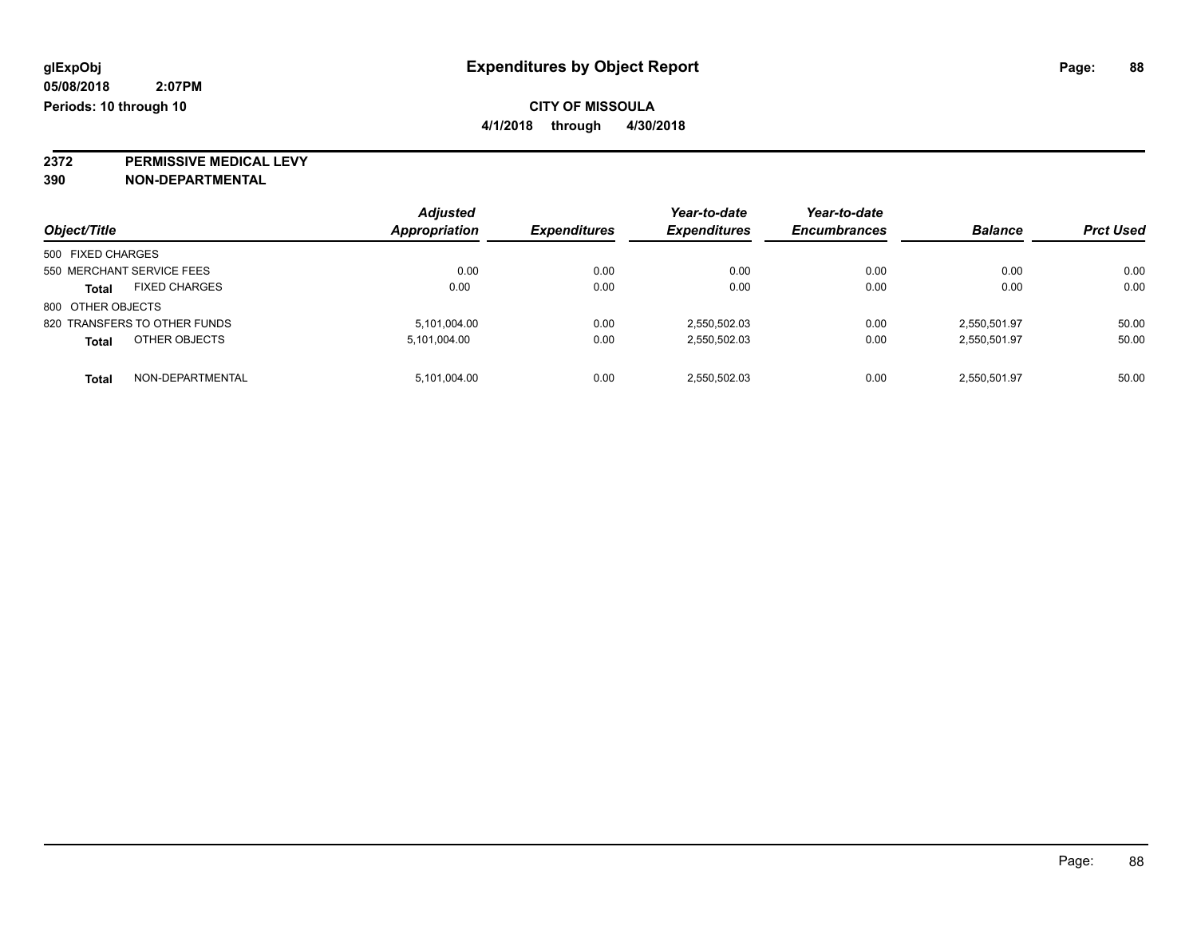**2372 PERMISSIVE MEDICAL LEVY**

| Object/Title                         | <b>Adjusted</b><br><b>Appropriation</b> | <b>Expenditures</b> | Year-to-date<br><b>Expenditures</b> | Year-to-date<br><b>Encumbrances</b> | <b>Balance</b> | <b>Prct Used</b> |
|--------------------------------------|-----------------------------------------|---------------------|-------------------------------------|-------------------------------------|----------------|------------------|
| 500 FIXED CHARGES                    |                                         |                     |                                     |                                     |                |                  |
|                                      |                                         |                     |                                     |                                     |                |                  |
| 550 MERCHANT SERVICE FEES            | 0.00                                    | 0.00                | 0.00                                | 0.00                                | 0.00           | 0.00             |
| <b>FIXED CHARGES</b><br><b>Total</b> | 0.00                                    | 0.00                | 0.00                                | 0.00                                | 0.00           | 0.00             |
| 800 OTHER OBJECTS                    |                                         |                     |                                     |                                     |                |                  |
| 820 TRANSFERS TO OTHER FUNDS         | 5,101,004.00                            | 0.00                | 2,550,502.03                        | 0.00                                | 2.550.501.97   | 50.00            |
| OTHER OBJECTS<br><b>Total</b>        | 5.101.004.00                            | 0.00                | 2,550,502.03                        | 0.00                                | 2,550,501.97   | 50.00            |
| NON-DEPARTMENTAL<br><b>Total</b>     | 5,101,004.00                            | 0.00                | 2,550,502.03                        | 0.00                                | 2.550.501.97   | 50.00            |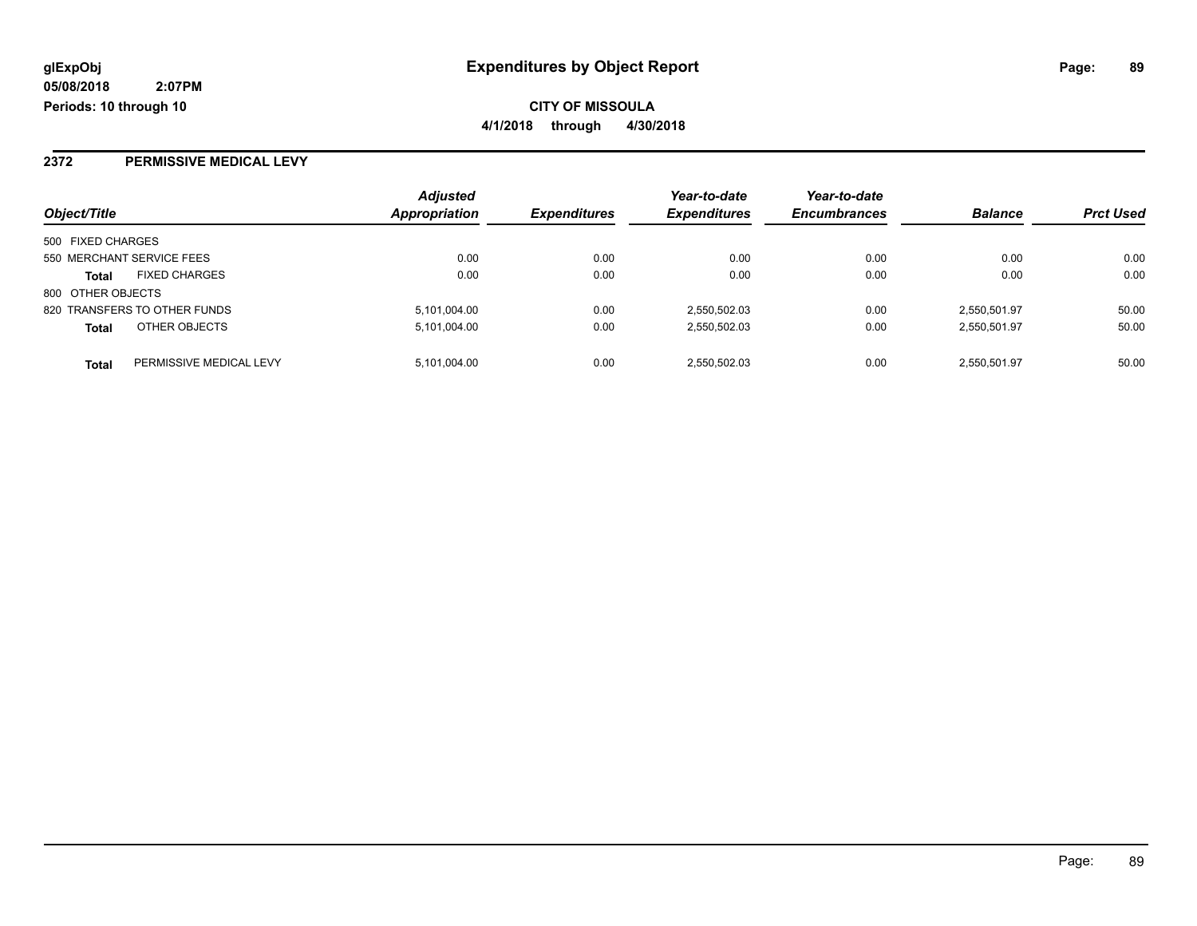#### **2372 PERMISSIVE MEDICAL LEVY**

| Object/Title              |                              | <b>Adjusted</b> | <b>Expenditures</b> | Year-to-date<br><b>Expenditures</b> | Year-to-date        | <b>Balance</b> |                  |
|---------------------------|------------------------------|-----------------|---------------------|-------------------------------------|---------------------|----------------|------------------|
|                           |                              | Appropriation   |                     |                                     | <b>Encumbrances</b> |                | <b>Prct Used</b> |
| 500 FIXED CHARGES         |                              |                 |                     |                                     |                     |                |                  |
| 550 MERCHANT SERVICE FEES |                              | 0.00            | 0.00                | 0.00                                | 0.00                | 0.00           | 0.00             |
| <b>Total</b>              | <b>FIXED CHARGES</b>         | 0.00            | 0.00                | 0.00                                | 0.00                | 0.00           | 0.00             |
| 800 OTHER OBJECTS         |                              |                 |                     |                                     |                     |                |                  |
|                           | 820 TRANSFERS TO OTHER FUNDS | 5,101,004.00    | 0.00                | 2,550,502.03                        | 0.00                | 2,550,501.97   | 50.00            |
| <b>Total</b>              | OTHER OBJECTS                | 5,101,004.00    | 0.00                | 2,550,502.03                        | 0.00                | 2,550,501.97   | 50.00            |
| <b>Total</b>              | PERMISSIVE MEDICAL LEVY      | 5,101,004.00    | 0.00                | 2,550,502.03                        | 0.00                | 2.550.501.97   | 50.00            |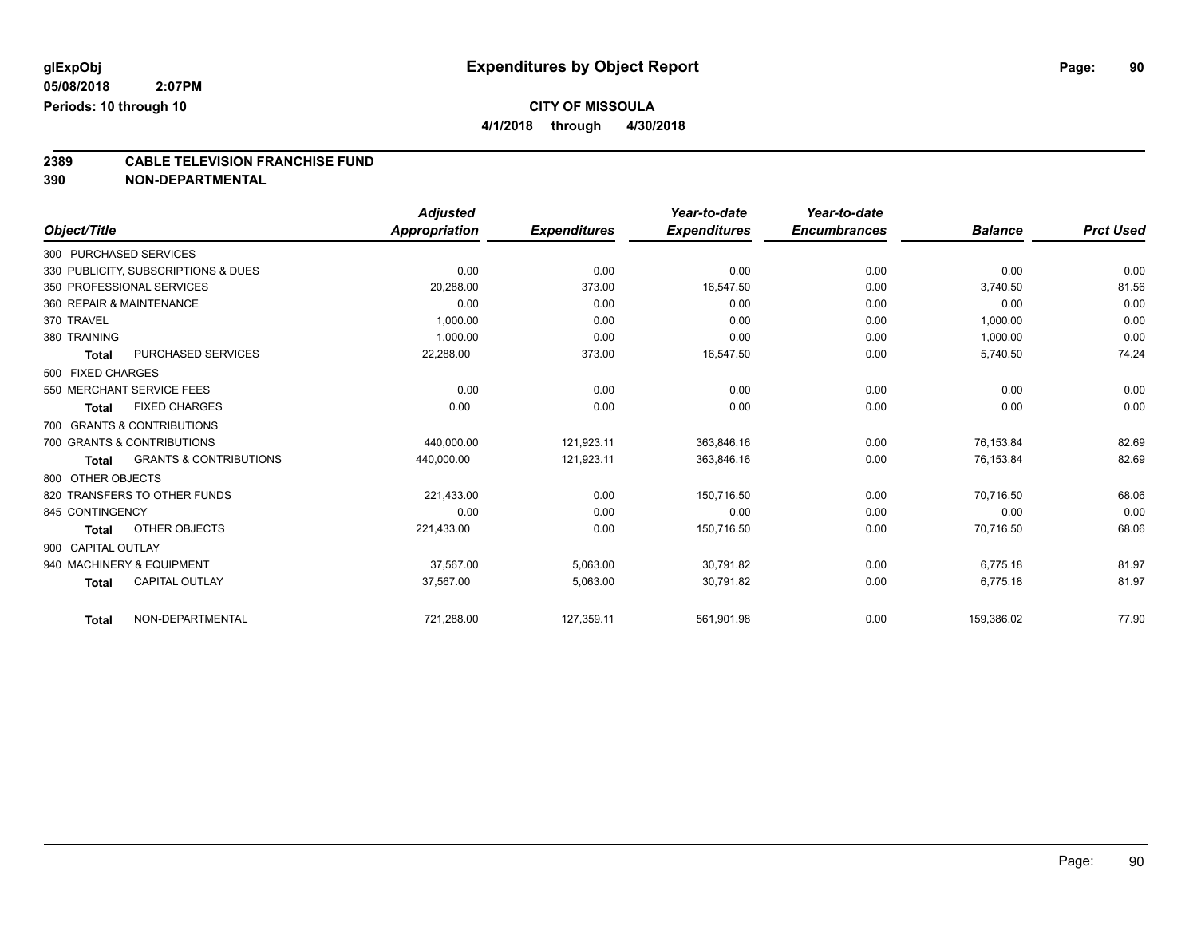# **2389 CABLE TELEVISION FRANCHISE FUND**

|                        |                                     | <b>Adjusted</b>      |                     | Year-to-date        | Year-to-date        |                |                  |
|------------------------|-------------------------------------|----------------------|---------------------|---------------------|---------------------|----------------|------------------|
| Object/Title           |                                     | <b>Appropriation</b> | <b>Expenditures</b> | <b>Expenditures</b> | <b>Encumbrances</b> | <b>Balance</b> | <b>Prct Used</b> |
| 300 PURCHASED SERVICES |                                     |                      |                     |                     |                     |                |                  |
|                        | 330 PUBLICITY, SUBSCRIPTIONS & DUES | 0.00                 | 0.00                | 0.00                | 0.00                | 0.00           | 0.00             |
|                        | 350 PROFESSIONAL SERVICES           | 20,288.00            | 373.00              | 16,547.50           | 0.00                | 3,740.50       | 81.56            |
|                        | 360 REPAIR & MAINTENANCE            | 0.00                 | 0.00                | 0.00                | 0.00                | 0.00           | 0.00             |
| 370 TRAVEL             |                                     | 1,000.00             | 0.00                | 0.00                | 0.00                | 1,000.00       | 0.00             |
| 380 TRAINING           |                                     | 1,000.00             | 0.00                | 0.00                | 0.00                | 1,000.00       | 0.00             |
| <b>Total</b>           | <b>PURCHASED SERVICES</b>           | 22,288.00            | 373.00              | 16,547.50           | 0.00                | 5,740.50       | 74.24            |
| 500 FIXED CHARGES      |                                     |                      |                     |                     |                     |                |                  |
|                        | 550 MERCHANT SERVICE FEES           | 0.00                 | 0.00                | 0.00                | 0.00                | 0.00           | 0.00             |
| <b>Total</b>           | <b>FIXED CHARGES</b>                | 0.00                 | 0.00                | 0.00                | 0.00                | 0.00           | 0.00             |
|                        | 700 GRANTS & CONTRIBUTIONS          |                      |                     |                     |                     |                |                  |
|                        | 700 GRANTS & CONTRIBUTIONS          | 440,000.00           | 121,923.11          | 363,846.16          | 0.00                | 76,153.84      | 82.69            |
| <b>Total</b>           | <b>GRANTS &amp; CONTRIBUTIONS</b>   | 440,000.00           | 121,923.11          | 363,846.16          | 0.00                | 76,153.84      | 82.69            |
| 800 OTHER OBJECTS      |                                     |                      |                     |                     |                     |                |                  |
|                        | 820 TRANSFERS TO OTHER FUNDS        | 221,433.00           | 0.00                | 150,716.50          | 0.00                | 70,716.50      | 68.06            |
| 845 CONTINGENCY        |                                     | 0.00                 | 0.00                | 0.00                | 0.00                | 0.00           | 0.00             |
| <b>Total</b>           | OTHER OBJECTS                       | 221,433.00           | 0.00                | 150,716.50          | 0.00                | 70,716.50      | 68.06            |
| 900 CAPITAL OUTLAY     |                                     |                      |                     |                     |                     |                |                  |
|                        | 940 MACHINERY & EQUIPMENT           | 37,567.00            | 5,063.00            | 30,791.82           | 0.00                | 6,775.18       | 81.97            |
| <b>Total</b>           | <b>CAPITAL OUTLAY</b>               | 37,567.00            | 5,063.00            | 30,791.82           | 0.00                | 6,775.18       | 81.97            |
| <b>Total</b>           | NON-DEPARTMENTAL                    | 721,288.00           | 127,359.11          | 561,901.98          | 0.00                | 159,386.02     | 77.90            |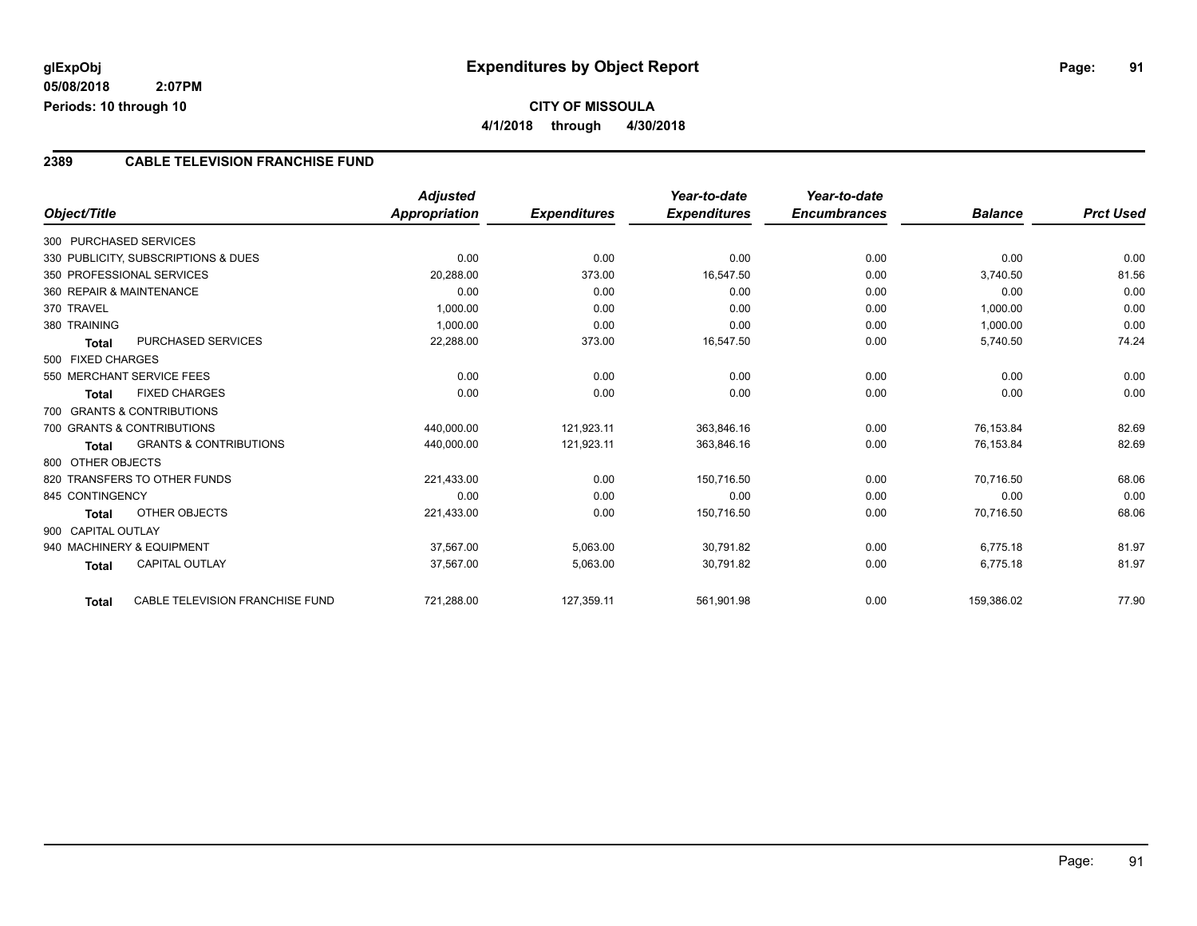#### **2389 CABLE TELEVISION FRANCHISE FUND**

|                        |                                     | <b>Adjusted</b> |                     | Year-to-date        | Year-to-date        |                |                  |
|------------------------|-------------------------------------|-----------------|---------------------|---------------------|---------------------|----------------|------------------|
| Object/Title           |                                     | Appropriation   | <b>Expenditures</b> | <b>Expenditures</b> | <b>Encumbrances</b> | <b>Balance</b> | <b>Prct Used</b> |
| 300 PURCHASED SERVICES |                                     |                 |                     |                     |                     |                |                  |
|                        | 330 PUBLICITY, SUBSCRIPTIONS & DUES | 0.00            | 0.00                | 0.00                | 0.00                | 0.00           | 0.00             |
|                        | 350 PROFESSIONAL SERVICES           | 20,288.00       | 373.00              | 16,547.50           | 0.00                | 3,740.50       | 81.56            |
|                        | 360 REPAIR & MAINTENANCE            | 0.00            | 0.00                | 0.00                | 0.00                | 0.00           | 0.00             |
| 370 TRAVEL             |                                     | 1,000.00        | 0.00                | 0.00                | 0.00                | 1,000.00       | 0.00             |
| 380 TRAINING           |                                     | 1,000.00        | 0.00                | 0.00                | 0.00                | 1,000.00       | 0.00             |
| <b>Total</b>           | <b>PURCHASED SERVICES</b>           | 22,288.00       | 373.00              | 16,547.50           | 0.00                | 5,740.50       | 74.24            |
| 500 FIXED CHARGES      |                                     |                 |                     |                     |                     |                |                  |
|                        | 550 MERCHANT SERVICE FEES           | 0.00            | 0.00                | 0.00                | 0.00                | 0.00           | 0.00             |
| Total                  | <b>FIXED CHARGES</b>                | 0.00            | 0.00                | 0.00                | 0.00                | 0.00           | 0.00             |
|                        | 700 GRANTS & CONTRIBUTIONS          |                 |                     |                     |                     |                |                  |
|                        | 700 GRANTS & CONTRIBUTIONS          | 440,000.00      | 121,923.11          | 363,846.16          | 0.00                | 76,153.84      | 82.69            |
| <b>Total</b>           | <b>GRANTS &amp; CONTRIBUTIONS</b>   | 440,000.00      | 121,923.11          | 363,846.16          | 0.00                | 76,153.84      | 82.69            |
| 800 OTHER OBJECTS      |                                     |                 |                     |                     |                     |                |                  |
|                        | 820 TRANSFERS TO OTHER FUNDS        | 221,433.00      | 0.00                | 150,716.50          | 0.00                | 70,716.50      | 68.06            |
| 845 CONTINGENCY        |                                     | 0.00            | 0.00                | 0.00                | 0.00                | 0.00           | 0.00             |
| <b>Total</b>           | OTHER OBJECTS                       | 221,433.00      | 0.00                | 150,716.50          | 0.00                | 70,716.50      | 68.06            |
| 900 CAPITAL OUTLAY     |                                     |                 |                     |                     |                     |                |                  |
|                        | 940 MACHINERY & EQUIPMENT           | 37,567.00       | 5,063.00            | 30,791.82           | 0.00                | 6,775.18       | 81.97            |
| <b>Total</b>           | <b>CAPITAL OUTLAY</b>               | 37,567.00       | 5,063.00            | 30,791.82           | 0.00                | 6,775.18       | 81.97            |
| <b>Total</b>           | CABLE TELEVISION FRANCHISE FUND     | 721,288.00      | 127,359.11          | 561,901.98          | 0.00                | 159,386.02     | 77.90            |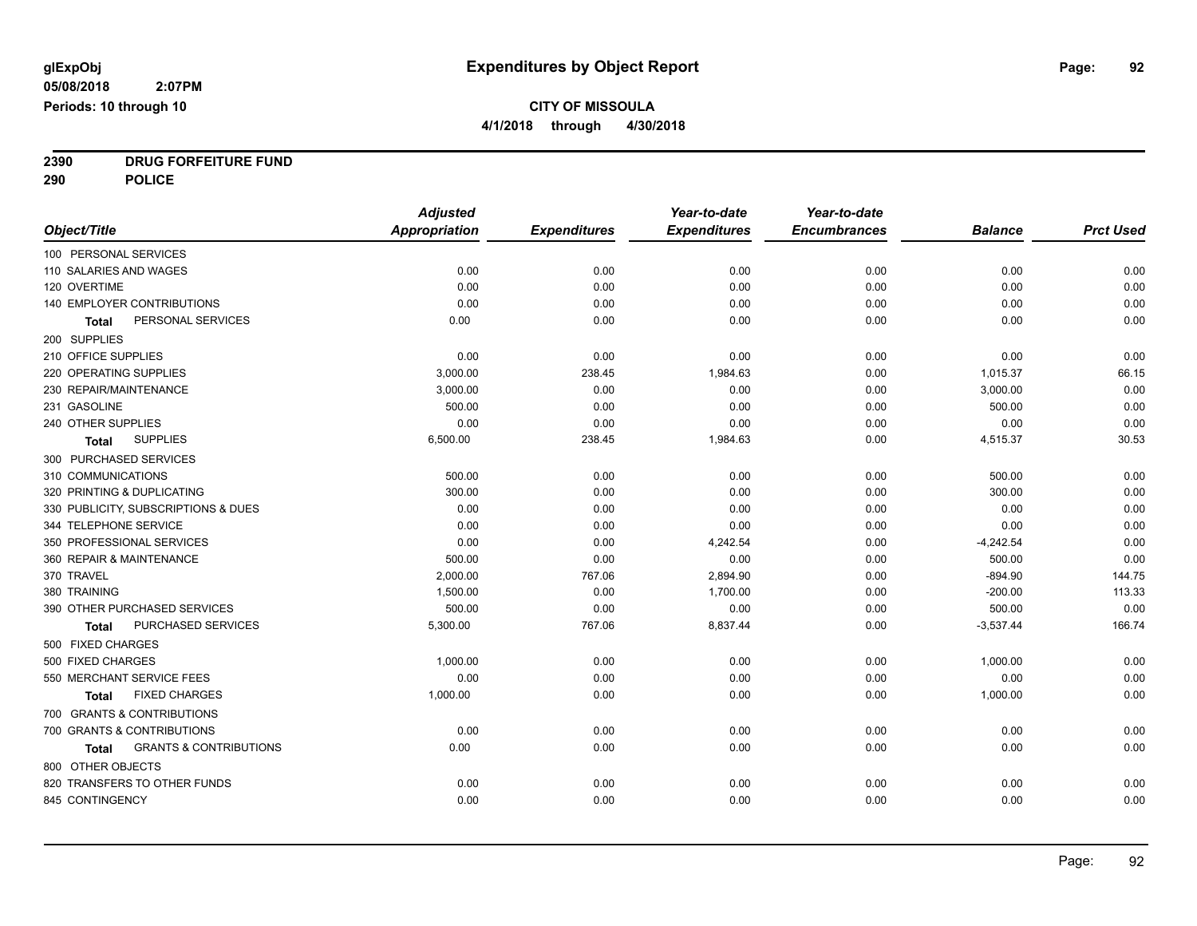**2390 DRUG FORFEITURE FUND**

**290 POLICE**

|                                            | <b>Adjusted</b>      |                     | Year-to-date        | Year-to-date        |                |                  |
|--------------------------------------------|----------------------|---------------------|---------------------|---------------------|----------------|------------------|
| Object/Title                               | <b>Appropriation</b> | <b>Expenditures</b> | <b>Expenditures</b> | <b>Encumbrances</b> | <b>Balance</b> | <b>Prct Used</b> |
| 100 PERSONAL SERVICES                      |                      |                     |                     |                     |                |                  |
| 110 SALARIES AND WAGES                     | 0.00                 | 0.00                | 0.00                | 0.00                | 0.00           | 0.00             |
| 120 OVERTIME                               | 0.00                 | 0.00                | 0.00                | 0.00                | 0.00           | 0.00             |
| 140 EMPLOYER CONTRIBUTIONS                 | 0.00                 | 0.00                | 0.00                | 0.00                | 0.00           | 0.00             |
| PERSONAL SERVICES<br>Total                 | 0.00                 | 0.00                | 0.00                | 0.00                | 0.00           | 0.00             |
| 200 SUPPLIES                               |                      |                     |                     |                     |                |                  |
| 210 OFFICE SUPPLIES                        | 0.00                 | 0.00                | 0.00                | 0.00                | 0.00           | 0.00             |
| 220 OPERATING SUPPLIES                     | 3,000.00             | 238.45              | 1,984.63            | 0.00                | 1,015.37       | 66.15            |
| 230 REPAIR/MAINTENANCE                     | 3,000.00             | 0.00                | 0.00                | 0.00                | 3,000.00       | 0.00             |
| 231 GASOLINE                               | 500.00               | 0.00                | 0.00                | 0.00                | 500.00         | 0.00             |
| 240 OTHER SUPPLIES                         | 0.00                 | 0.00                | 0.00                | 0.00                | 0.00           | 0.00             |
| <b>SUPPLIES</b><br>Total                   | 6,500.00             | 238.45              | 1,984.63            | 0.00                | 4,515.37       | 30.53            |
| 300 PURCHASED SERVICES                     |                      |                     |                     |                     |                |                  |
| 310 COMMUNICATIONS                         | 500.00               | 0.00                | 0.00                | 0.00                | 500.00         | 0.00             |
| 320 PRINTING & DUPLICATING                 | 300.00               | 0.00                | 0.00                | 0.00                | 300.00         | 0.00             |
| 330 PUBLICITY, SUBSCRIPTIONS & DUES        | 0.00                 | 0.00                | 0.00                | 0.00                | 0.00           | 0.00             |
| 344 TELEPHONE SERVICE                      | 0.00                 | 0.00                | 0.00                | 0.00                | 0.00           | 0.00             |
| 350 PROFESSIONAL SERVICES                  | 0.00                 | 0.00                | 4,242.54            | 0.00                | $-4,242.54$    | 0.00             |
| 360 REPAIR & MAINTENANCE                   | 500.00               | 0.00                | 0.00                | 0.00                | 500.00         | 0.00             |
| 370 TRAVEL                                 | 2,000.00             | 767.06              | 2,894.90            | 0.00                | $-894.90$      | 144.75           |
| 380 TRAINING                               | 1,500.00             | 0.00                | 1,700.00            | 0.00                | $-200.00$      | 113.33           |
| 390 OTHER PURCHASED SERVICES               | 500.00               | 0.00                | 0.00                | 0.00                | 500.00         | 0.00             |
| PURCHASED SERVICES<br><b>Total</b>         | 5,300.00             | 767.06              | 8,837.44            | 0.00                | $-3,537.44$    | 166.74           |
| 500 FIXED CHARGES                          |                      |                     |                     |                     |                |                  |
| 500 FIXED CHARGES                          | 1,000.00             | 0.00                | 0.00                | 0.00                | 1,000.00       | 0.00             |
| 550 MERCHANT SERVICE FEES                  | 0.00                 | 0.00                | 0.00                | 0.00                | 0.00           | 0.00             |
| <b>FIXED CHARGES</b><br>Total              | 1,000.00             | 0.00                | 0.00                | 0.00                | 1,000.00       | 0.00             |
| 700 GRANTS & CONTRIBUTIONS                 |                      |                     |                     |                     |                |                  |
| 700 GRANTS & CONTRIBUTIONS                 | 0.00                 | 0.00                | 0.00                | 0.00                | 0.00           | 0.00             |
| <b>GRANTS &amp; CONTRIBUTIONS</b><br>Total | 0.00                 | 0.00                | 0.00                | 0.00                | 0.00           | 0.00             |
| 800 OTHER OBJECTS                          |                      |                     |                     |                     |                |                  |
| 820 TRANSFERS TO OTHER FUNDS               | 0.00                 | 0.00                | 0.00                | 0.00                | 0.00           | 0.00             |
| 845 CONTINGENCY                            | 0.00                 | 0.00                | 0.00                | 0.00                | 0.00           | 0.00             |
|                                            |                      |                     |                     |                     |                |                  |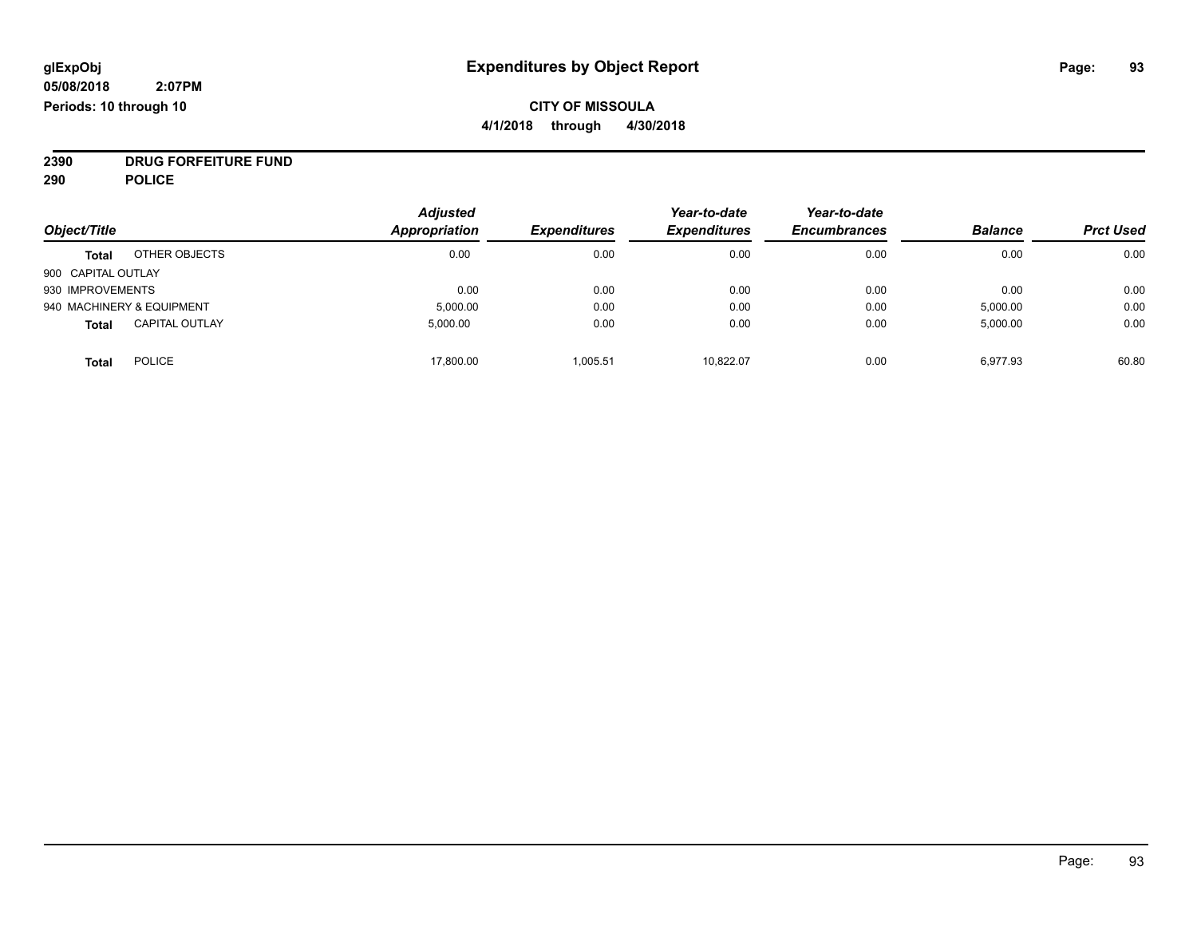#### **CITY OF MISSOULA 4/1/2018 through 4/30/2018**

**2390 DRUG FORFEITURE FUND**

**290 POLICE**

|                    |                           | <b>Adjusted</b>     |                     | Year-to-date        | Year-to-date   |                  |       |
|--------------------|---------------------------|---------------------|---------------------|---------------------|----------------|------------------|-------|
| Object/Title       | Appropriation             | <b>Expenditures</b> | <b>Expenditures</b> | <b>Encumbrances</b> | <b>Balance</b> | <b>Prct Used</b> |       |
| <b>Total</b>       | OTHER OBJECTS             | 0.00                | 0.00                | 0.00                | 0.00           | 0.00             | 0.00  |
| 900 CAPITAL OUTLAY |                           |                     |                     |                     |                |                  |       |
| 930 IMPROVEMENTS   |                           | 0.00                | 0.00                | 0.00                | 0.00           | 0.00             | 0.00  |
|                    | 940 MACHINERY & EQUIPMENT | 5,000.00            | 0.00                | 0.00                | 0.00           | 5,000.00         | 0.00  |
| <b>Total</b>       | <b>CAPITAL OUTLAY</b>     | 5.000.00            | 0.00                | 0.00                | 0.00           | 5,000.00         | 0.00  |
| <b>Total</b>       | <b>POLICE</b>             | 17,800.00           | 1.005.51            | 10.822.07           | 0.00           | 6,977.93         | 60.80 |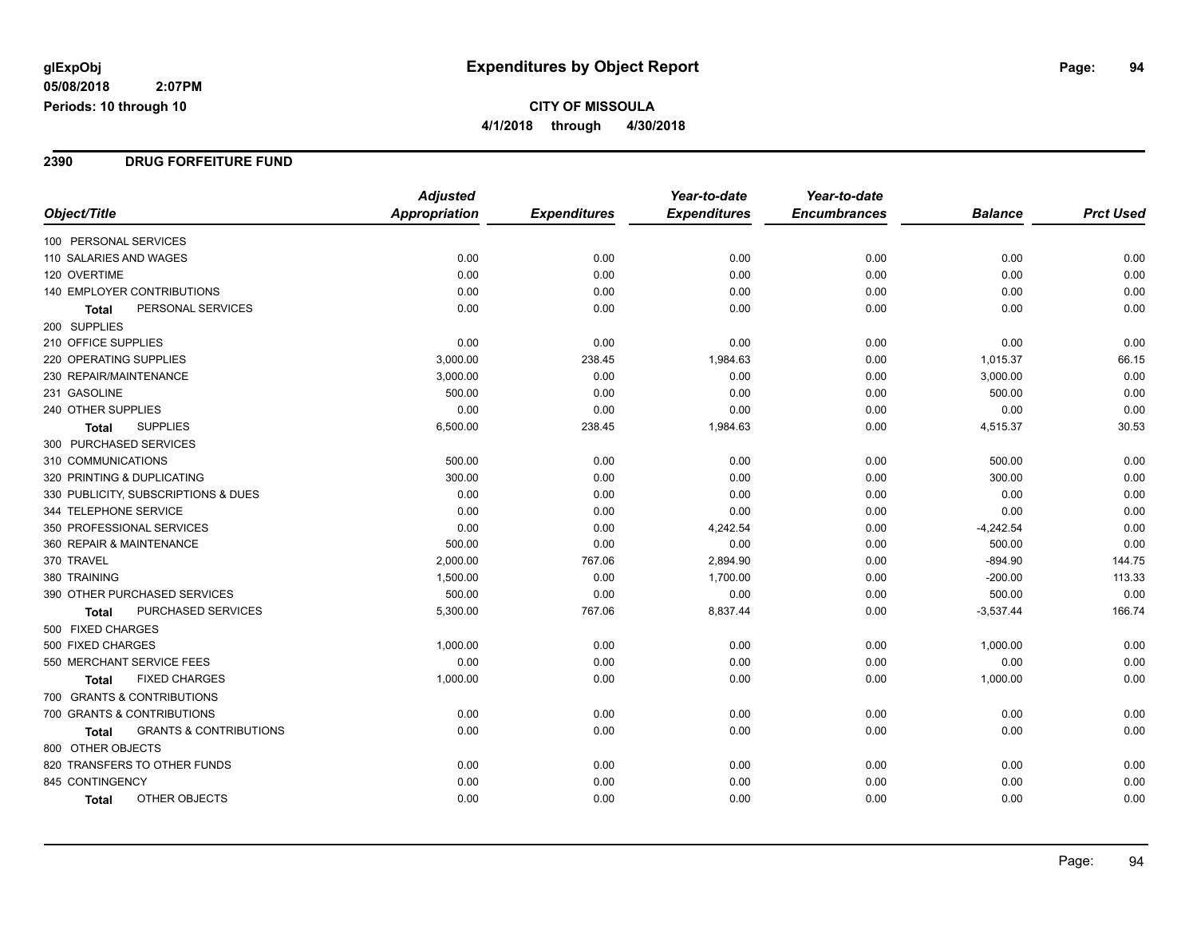#### **2390 DRUG FORFEITURE FUND**

|                                                   | <b>Adjusted</b>      |                     | Year-to-date        | Year-to-date        |                |                  |
|---------------------------------------------------|----------------------|---------------------|---------------------|---------------------|----------------|------------------|
| Object/Title                                      | <b>Appropriation</b> | <b>Expenditures</b> | <b>Expenditures</b> | <b>Encumbrances</b> | <b>Balance</b> | <b>Prct Used</b> |
| 100 PERSONAL SERVICES                             |                      |                     |                     |                     |                |                  |
| 110 SALARIES AND WAGES                            | 0.00                 | 0.00                | 0.00                | 0.00                | 0.00           | 0.00             |
| 120 OVERTIME                                      | 0.00                 | 0.00                | 0.00                | 0.00                | 0.00           | 0.00             |
| 140 EMPLOYER CONTRIBUTIONS                        | 0.00                 | 0.00                | 0.00                | 0.00                | 0.00           | 0.00             |
| PERSONAL SERVICES<br><b>Total</b>                 | 0.00                 | 0.00                | 0.00                | 0.00                | 0.00           | 0.00             |
| 200 SUPPLIES                                      |                      |                     |                     |                     |                |                  |
| 210 OFFICE SUPPLIES                               | 0.00                 | 0.00                | 0.00                | 0.00                | 0.00           | 0.00             |
| 220 OPERATING SUPPLIES                            | 3,000.00             | 238.45              | 1,984.63            | 0.00                | 1,015.37       | 66.15            |
| 230 REPAIR/MAINTENANCE                            | 3,000.00             | 0.00                | 0.00                | 0.00                | 3,000.00       | 0.00             |
| 231 GASOLINE                                      | 500.00               | 0.00                | 0.00                | 0.00                | 500.00         | 0.00             |
| 240 OTHER SUPPLIES                                | 0.00                 | 0.00                | 0.00                | 0.00                | 0.00           | 0.00             |
| <b>SUPPLIES</b><br><b>Total</b>                   | 6,500.00             | 238.45              | 1,984.63            | 0.00                | 4,515.37       | 30.53            |
| 300 PURCHASED SERVICES                            |                      |                     |                     |                     |                |                  |
| 310 COMMUNICATIONS                                | 500.00               | 0.00                | 0.00                | 0.00                | 500.00         | 0.00             |
| 320 PRINTING & DUPLICATING                        | 300.00               | 0.00                | 0.00                | 0.00                | 300.00         | 0.00             |
| 330 PUBLICITY, SUBSCRIPTIONS & DUES               | 0.00                 | 0.00                | 0.00                | 0.00                | 0.00           | 0.00             |
| 344 TELEPHONE SERVICE                             | 0.00                 | 0.00                | 0.00                | 0.00                | 0.00           | 0.00             |
| 350 PROFESSIONAL SERVICES                         | 0.00                 | 0.00                | 4,242.54            | 0.00                | $-4,242.54$    | 0.00             |
| 360 REPAIR & MAINTENANCE                          | 500.00               | 0.00                | 0.00                | 0.00                | 500.00         | 0.00             |
| 370 TRAVEL                                        | 2,000.00             | 767.06              | 2,894.90            | 0.00                | $-894.90$      | 144.75           |
| 380 TRAINING                                      | 1,500.00             | 0.00                | 1,700.00            | 0.00                | $-200.00$      | 113.33           |
| 390 OTHER PURCHASED SERVICES                      | 500.00               | 0.00                | 0.00                | 0.00                | 500.00         | 0.00             |
| PURCHASED SERVICES<br><b>Total</b>                | 5,300.00             | 767.06              | 8,837.44            | 0.00                | $-3,537.44$    | 166.74           |
| 500 FIXED CHARGES                                 |                      |                     |                     |                     |                |                  |
| 500 FIXED CHARGES                                 | 1,000.00             | 0.00                | 0.00                | 0.00                | 1,000.00       | 0.00             |
| 550 MERCHANT SERVICE FEES                         | 0.00                 | 0.00                | 0.00                | 0.00                | 0.00           | 0.00             |
| <b>FIXED CHARGES</b><br><b>Total</b>              | 1,000.00             | 0.00                | 0.00                | 0.00                | 1,000.00       | 0.00             |
| 700 GRANTS & CONTRIBUTIONS                        |                      |                     |                     |                     |                |                  |
| 700 GRANTS & CONTRIBUTIONS                        | 0.00                 | 0.00                | 0.00                | 0.00                | 0.00           | 0.00             |
| <b>GRANTS &amp; CONTRIBUTIONS</b><br><b>Total</b> | 0.00                 | 0.00                | 0.00                | 0.00                | 0.00           | 0.00             |
| 800 OTHER OBJECTS                                 |                      |                     |                     |                     |                |                  |
| 820 TRANSFERS TO OTHER FUNDS                      | 0.00                 | 0.00                | 0.00                | 0.00                | 0.00           | 0.00             |
| 845 CONTINGENCY                                   | 0.00                 | 0.00                | 0.00                | 0.00                | 0.00           | 0.00             |
| OTHER OBJECTS<br><b>Total</b>                     | 0.00                 | 0.00                | 0.00                | 0.00                | 0.00           | 0.00             |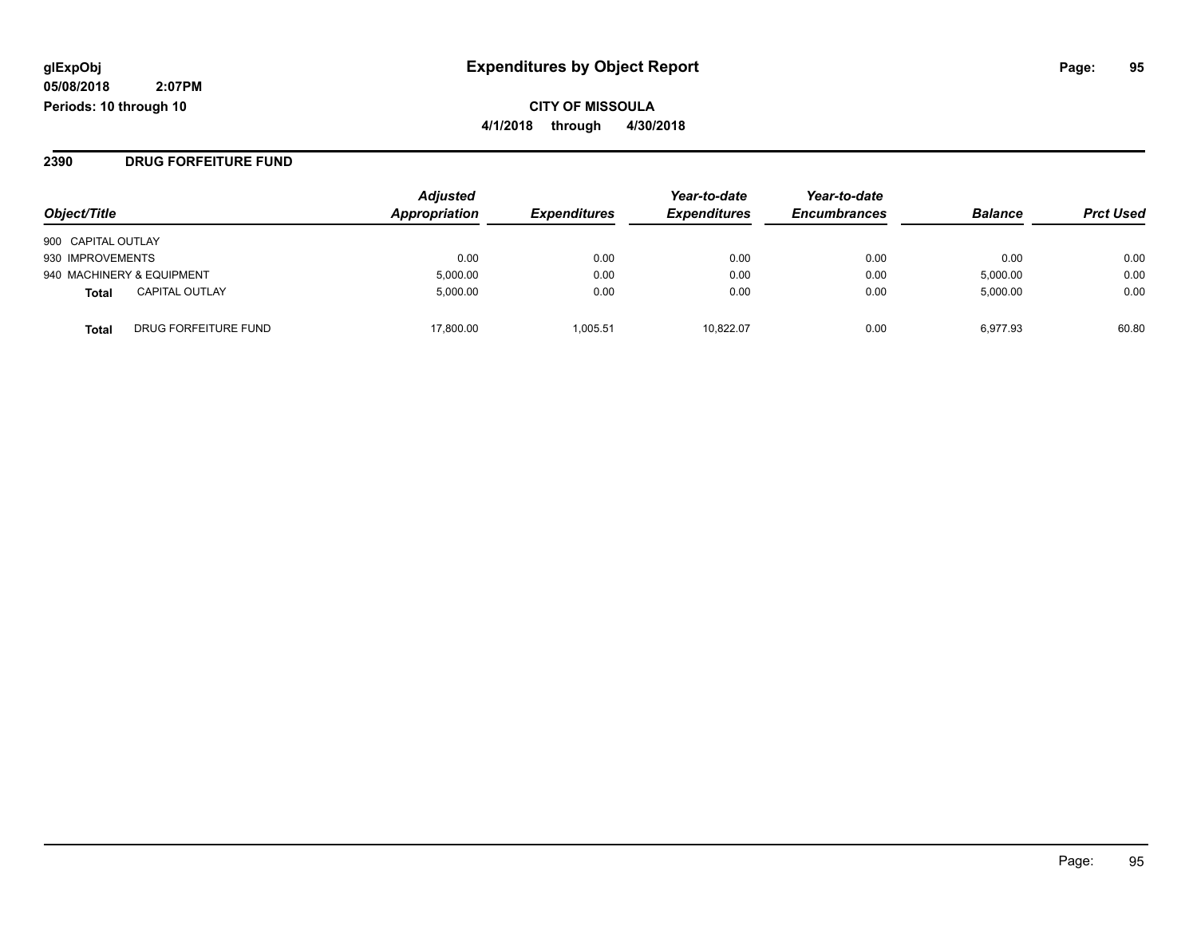**CITY OF MISSOULA 4/1/2018 through 4/30/2018**

#### **2390 DRUG FORFEITURE FUND**

| Object/Title                          | <b>Adjusted</b><br>Appropriation | <b>Expenditures</b> | Year-to-date<br><b>Expenditures</b> | Year-to-date<br><b>Encumbrances</b> | <b>Balance</b> | <b>Prct Used</b> |
|---------------------------------------|----------------------------------|---------------------|-------------------------------------|-------------------------------------|----------------|------------------|
| 900 CAPITAL OUTLAY                    |                                  |                     |                                     |                                     |                |                  |
| 930 IMPROVEMENTS                      | 0.00                             | 0.00                | 0.00                                | 0.00                                | 0.00           | 0.00             |
| 940 MACHINERY & EQUIPMENT             | 5,000.00                         | 0.00                | 0.00                                | 0.00                                | 5,000.00       | 0.00             |
| <b>CAPITAL OUTLAY</b><br><b>Total</b> | 5.000.00                         | 0.00                | 0.00                                | 0.00                                | 5,000.00       | 0.00             |
| DRUG FORFEITURE FUND<br><b>Total</b>  | 17.800.00                        | 1.005.51            | 10.822.07                           | 0.00                                | 6.977.93       | 60.80            |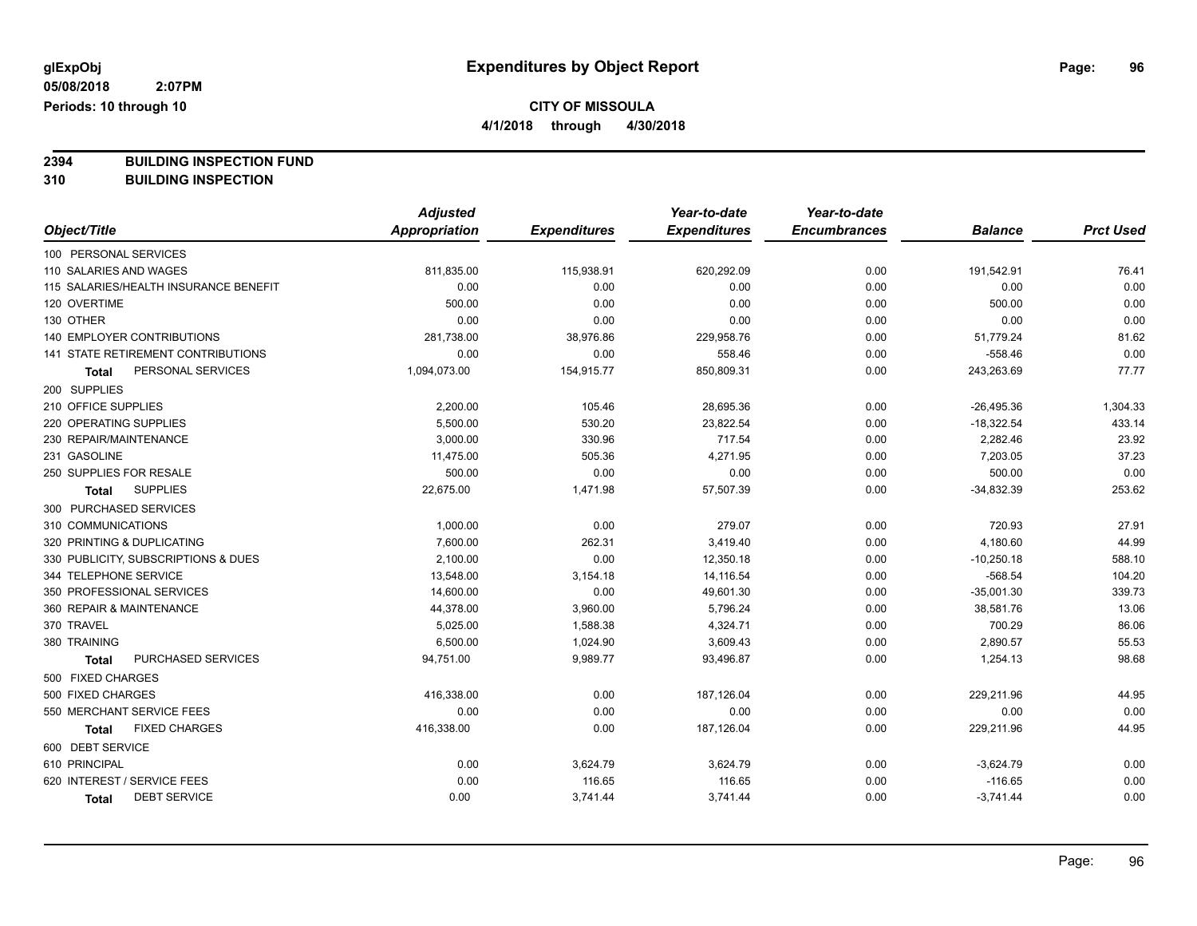### **CITY OF MISSOULA**

**4/1/2018 through 4/30/2018**

**2394 BUILDING INSPECTION FUND**

**310 BUILDING INSPECTION**

|                                           | <b>Adjusted</b> |                     | Year-to-date        | Year-to-date        |                |                  |
|-------------------------------------------|-----------------|---------------------|---------------------|---------------------|----------------|------------------|
| Object/Title                              | Appropriation   | <b>Expenditures</b> | <b>Expenditures</b> | <b>Encumbrances</b> | <b>Balance</b> | <b>Prct Used</b> |
| 100 PERSONAL SERVICES                     |                 |                     |                     |                     |                |                  |
| 110 SALARIES AND WAGES                    | 811,835.00      | 115,938.91          | 620,292.09          | 0.00                | 191,542.91     | 76.41            |
| 115 SALARIES/HEALTH INSURANCE BENEFIT     | 0.00            | 0.00                | 0.00                | 0.00                | 0.00           | 0.00             |
| 120 OVERTIME                              | 500.00          | 0.00                | 0.00                | 0.00                | 500.00         | 0.00             |
| 130 OTHER                                 | 0.00            | 0.00                | 0.00                | 0.00                | 0.00           | 0.00             |
| 140 EMPLOYER CONTRIBUTIONS                | 281,738.00      | 38,976.86           | 229,958.76          | 0.00                | 51,779.24      | 81.62            |
| <b>141 STATE RETIREMENT CONTRIBUTIONS</b> | 0.00            | 0.00                | 558.46              | 0.00                | $-558.46$      | 0.00             |
| PERSONAL SERVICES<br><b>Total</b>         | 1,094,073.00    | 154,915.77          | 850,809.31          | 0.00                | 243,263.69     | 77.77            |
| 200 SUPPLIES                              |                 |                     |                     |                     |                |                  |
| 210 OFFICE SUPPLIES                       | 2,200.00        | 105.46              | 28,695.36           | 0.00                | $-26,495.36$   | 1,304.33         |
| 220 OPERATING SUPPLIES                    | 5,500.00        | 530.20              | 23,822.54           | 0.00                | $-18,322.54$   | 433.14           |
| 230 REPAIR/MAINTENANCE                    | 3,000.00        | 330.96              | 717.54              | 0.00                | 2,282.46       | 23.92            |
| 231 GASOLINE                              | 11,475.00       | 505.36              | 4,271.95            | 0.00                | 7,203.05       | 37.23            |
| 250 SUPPLIES FOR RESALE                   | 500.00          | 0.00                | 0.00                | 0.00                | 500.00         | 0.00             |
| <b>SUPPLIES</b><br><b>Total</b>           | 22,675.00       | 1,471.98            | 57,507.39           | 0.00                | $-34,832.39$   | 253.62           |
| 300 PURCHASED SERVICES                    |                 |                     |                     |                     |                |                  |
| 310 COMMUNICATIONS                        | 1,000.00        | 0.00                | 279.07              | 0.00                | 720.93         | 27.91            |
| 320 PRINTING & DUPLICATING                | 7.600.00        | 262.31              | 3,419.40            | 0.00                | 4,180.60       | 44.99            |
| 330 PUBLICITY, SUBSCRIPTIONS & DUES       | 2,100.00        | 0.00                | 12,350.18           | 0.00                | $-10,250.18$   | 588.10           |
| 344 TELEPHONE SERVICE                     | 13,548.00       | 3,154.18            | 14,116.54           | 0.00                | $-568.54$      | 104.20           |
| 350 PROFESSIONAL SERVICES                 | 14,600.00       | 0.00                | 49,601.30           | 0.00                | $-35,001.30$   | 339.73           |
| 360 REPAIR & MAINTENANCE                  | 44,378.00       | 3,960.00            | 5,796.24            | 0.00                | 38,581.76      | 13.06            |
| 370 TRAVEL                                | 5,025.00        | 1,588.38            | 4,324.71            | 0.00                | 700.29         | 86.06            |
| 380 TRAINING                              | 6,500.00        | 1,024.90            | 3,609.43            | 0.00                | 2,890.57       | 55.53            |
| <b>PURCHASED SERVICES</b><br>Total        | 94,751.00       | 9,989.77            | 93,496.87           | 0.00                | 1,254.13       | 98.68            |
| 500 FIXED CHARGES                         |                 |                     |                     |                     |                |                  |
| 500 FIXED CHARGES                         | 416,338.00      | 0.00                | 187,126.04          | 0.00                | 229,211.96     | 44.95            |
| 550 MERCHANT SERVICE FEES                 | 0.00            | 0.00                | 0.00                | 0.00                | 0.00           | 0.00             |
| <b>FIXED CHARGES</b><br>Total             | 416,338.00      | 0.00                | 187,126.04          | 0.00                | 229,211.96     | 44.95            |
| 600 DEBT SERVICE                          |                 |                     |                     |                     |                |                  |
| 610 PRINCIPAL                             | 0.00            | 3,624.79            | 3,624.79            | 0.00                | $-3,624.79$    | 0.00             |
| 620 INTEREST / SERVICE FEES               | 0.00            | 116.65              | 116.65              | 0.00                | $-116.65$      | 0.00             |
| <b>DEBT SERVICE</b><br><b>Total</b>       | 0.00            | 3,741.44            | 3,741.44            | 0.00                | $-3,741.44$    | 0.00             |
|                                           |                 |                     |                     |                     |                |                  |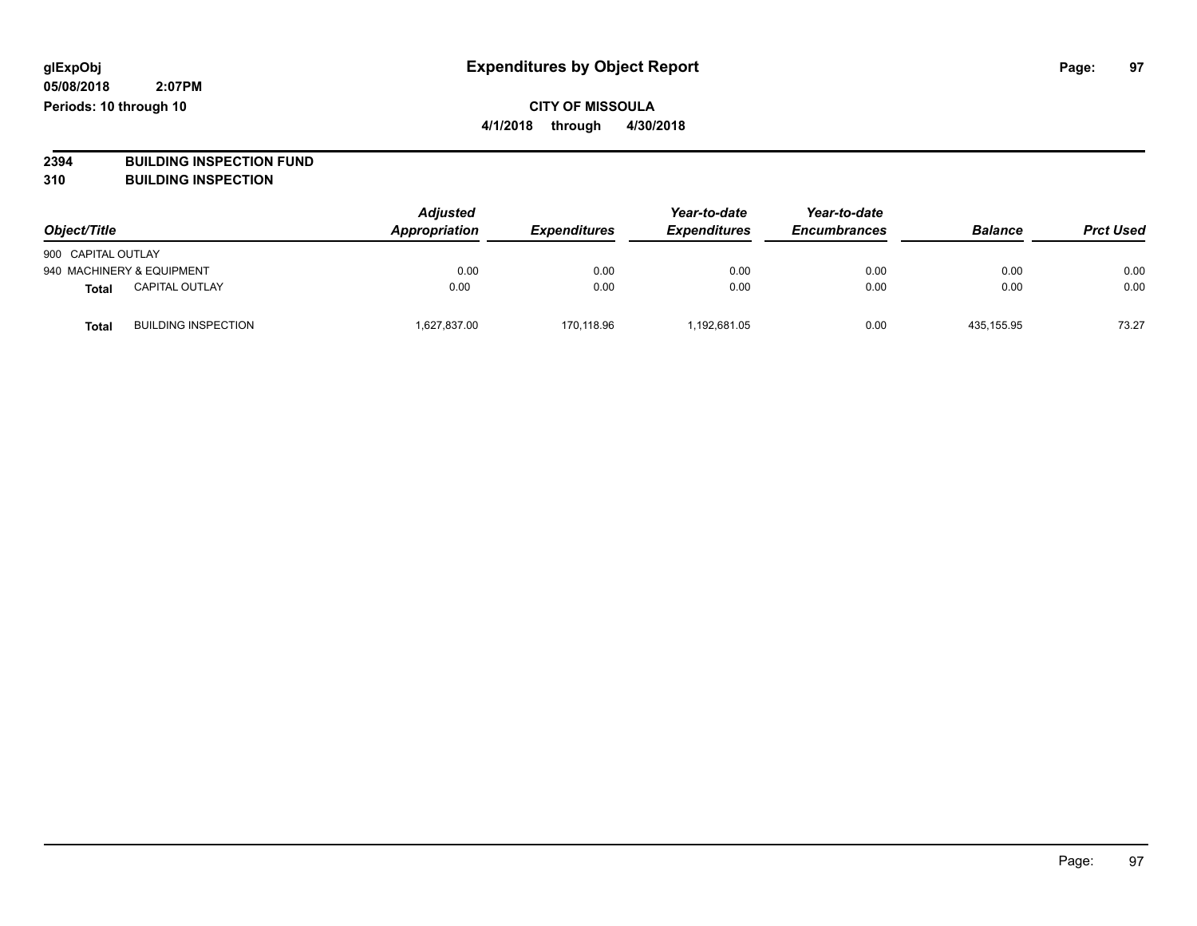**2394 BUILDING INSPECTION FUND**

**310 BUILDING INSPECTION**

| Object/Title       |                            | <b>Adjusted</b><br>Appropriation | <b>Expenditures</b> | Year-to-date<br><b>Expenditures</b> | Year-to-date<br><b>Encumbrances</b> | <b>Balance</b> | <b>Prct Used</b> |
|--------------------|----------------------------|----------------------------------|---------------------|-------------------------------------|-------------------------------------|----------------|------------------|
| 900 CAPITAL OUTLAY |                            |                                  |                     |                                     |                                     |                |                  |
|                    | 940 MACHINERY & EQUIPMENT  | 0.00                             | 0.00                | 0.00                                | 0.00                                | 0.00           | 0.00             |
| Total              | <b>CAPITAL OUTLAY</b>      | 0.00                             | 0.00                | 0.00                                | 0.00                                | 0.00           | 0.00             |
| Total              | <b>BUILDING INSPECTION</b> | 1,627,837.00                     | 170.118.96          | 192,681.05                          | 0.00                                | 435.155.95     | 73.27            |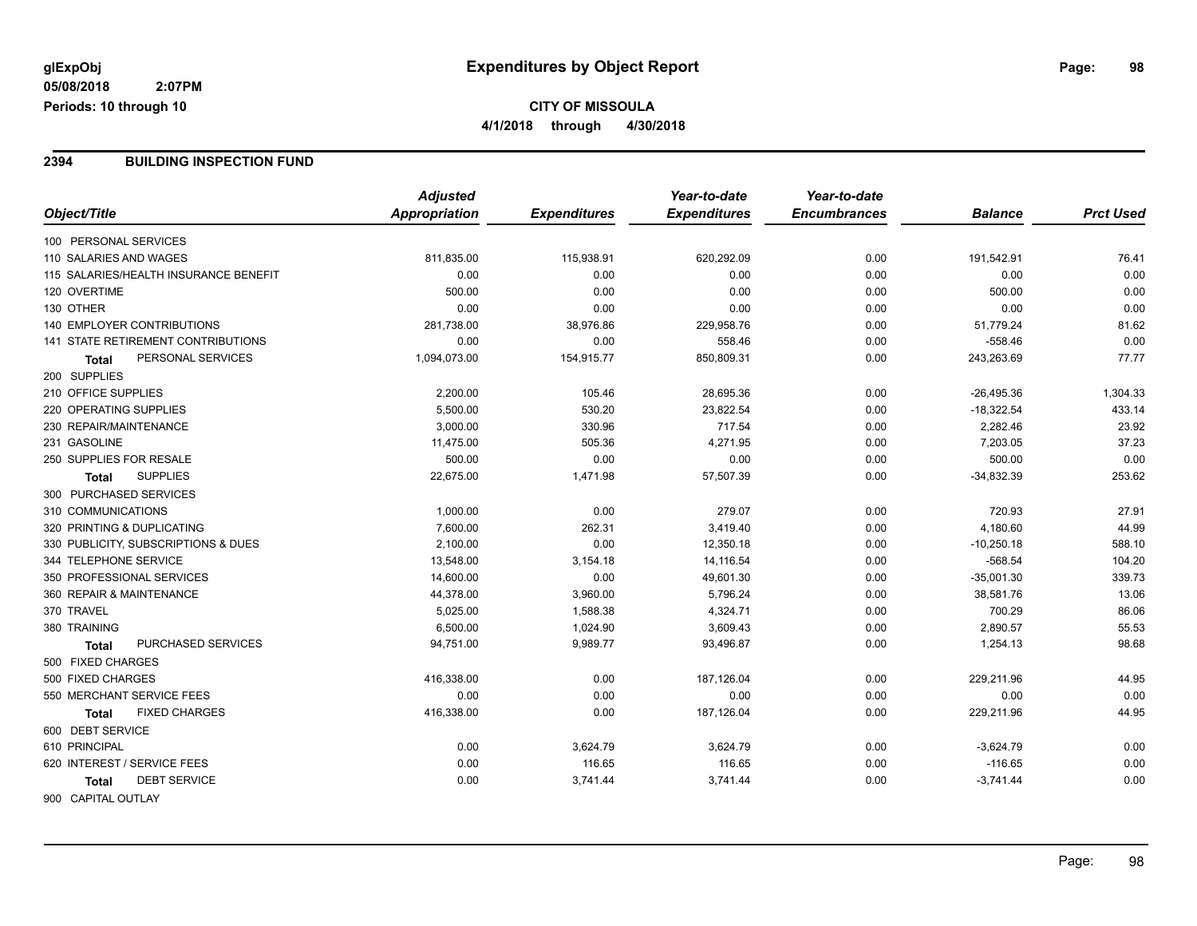#### **2394 BUILDING INSPECTION FUND**

|                                           | <b>Adjusted</b> |                     | Year-to-date        | Year-to-date        |                |                  |
|-------------------------------------------|-----------------|---------------------|---------------------|---------------------|----------------|------------------|
| Object/Title                              | Appropriation   | <b>Expenditures</b> | <b>Expenditures</b> | <b>Encumbrances</b> | <b>Balance</b> | <b>Prct Used</b> |
| 100 PERSONAL SERVICES                     |                 |                     |                     |                     |                |                  |
| 110 SALARIES AND WAGES                    | 811,835.00      | 115,938.91          | 620,292.09          | 0.00                | 191,542.91     | 76.41            |
| 115 SALARIES/HEALTH INSURANCE BENEFIT     | 0.00            | 0.00                | 0.00                | 0.00                | 0.00           | 0.00             |
| 120 OVERTIME                              | 500.00          | 0.00                | 0.00                | 0.00                | 500.00         | 0.00             |
| 130 OTHER                                 | 0.00            | 0.00                | 0.00                | 0.00                | 0.00           | 0.00             |
| 140 EMPLOYER CONTRIBUTIONS                | 281,738.00      | 38,976.86           | 229,958.76          | 0.00                | 51,779.24      | 81.62            |
| <b>141 STATE RETIREMENT CONTRIBUTIONS</b> | 0.00            | 0.00                | 558.46              | 0.00                | $-558.46$      | 0.00             |
| PERSONAL SERVICES<br>Total                | 1,094,073.00    | 154,915.77          | 850,809.31          | 0.00                | 243,263.69     | 77.77            |
| 200 SUPPLIES                              |                 |                     |                     |                     |                |                  |
| 210 OFFICE SUPPLIES                       | 2,200.00        | 105.46              | 28,695.36           | 0.00                | $-26,495.36$   | 1,304.33         |
| 220 OPERATING SUPPLIES                    | 5,500.00        | 530.20              | 23,822.54           | 0.00                | $-18,322.54$   | 433.14           |
| 230 REPAIR/MAINTENANCE                    | 3,000.00        | 330.96              | 717.54              | 0.00                | 2,282.46       | 23.92            |
| 231 GASOLINE                              | 11,475.00       | 505.36              | 4,271.95            | 0.00                | 7,203.05       | 37.23            |
| 250 SUPPLIES FOR RESALE                   | 500.00          | 0.00                | 0.00                | 0.00                | 500.00         | 0.00             |
| <b>SUPPLIES</b><br><b>Total</b>           | 22,675.00       | 1,471.98            | 57,507.39           | 0.00                | $-34,832.39$   | 253.62           |
| 300 PURCHASED SERVICES                    |                 |                     |                     |                     |                |                  |
| 310 COMMUNICATIONS                        | 1,000.00        | 0.00                | 279.07              | 0.00                | 720.93         | 27.91            |
| 320 PRINTING & DUPLICATING                | 7,600.00        | 262.31              | 3,419.40            | 0.00                | 4,180.60       | 44.99            |
| 330 PUBLICITY, SUBSCRIPTIONS & DUES       | 2,100.00        | 0.00                | 12,350.18           | 0.00                | $-10,250.18$   | 588.10           |
| 344 TELEPHONE SERVICE                     | 13,548.00       | 3,154.18            | 14,116.54           | 0.00                | $-568.54$      | 104.20           |
| 350 PROFESSIONAL SERVICES                 | 14,600.00       | 0.00                | 49,601.30           | 0.00                | $-35,001.30$   | 339.73           |
| 360 REPAIR & MAINTENANCE                  | 44,378.00       | 3,960.00            | 5,796.24            | 0.00                | 38,581.76      | 13.06            |
| 370 TRAVEL                                | 5,025.00        | 1,588.38            | 4,324.71            | 0.00                | 700.29         | 86.06            |
| 380 TRAINING                              | 6,500.00        | 1,024.90            | 3,609.43            | 0.00                | 2,890.57       | 55.53            |
| <b>PURCHASED SERVICES</b><br>Total        | 94,751.00       | 9,989.77            | 93,496.87           | 0.00                | 1,254.13       | 98.68            |
| 500 FIXED CHARGES                         |                 |                     |                     |                     |                |                  |
| 500 FIXED CHARGES                         | 416,338.00      | 0.00                | 187,126.04          | 0.00                | 229,211.96     | 44.95            |
| 550 MERCHANT SERVICE FEES                 | 0.00            | 0.00                | 0.00                | 0.00                | 0.00           | 0.00             |
| <b>FIXED CHARGES</b><br><b>Total</b>      | 416,338.00      | 0.00                | 187,126.04          | 0.00                | 229,211.96     | 44.95            |
| 600 DEBT SERVICE                          |                 |                     |                     |                     |                |                  |
| 610 PRINCIPAL                             | 0.00            | 3,624.79            | 3,624.79            | 0.00                | $-3,624.79$    | 0.00             |
| 620 INTEREST / SERVICE FEES               | 0.00            | 116.65              | 116.65              | 0.00                | $-116.65$      | 0.00             |
| <b>DEBT SERVICE</b><br><b>Total</b>       | 0.00            | 3,741.44            | 3,741.44            | 0.00                | $-3,741.44$    | 0.00             |
| 900 CAPITAL OUTLAY                        |                 |                     |                     |                     |                |                  |

Page: 98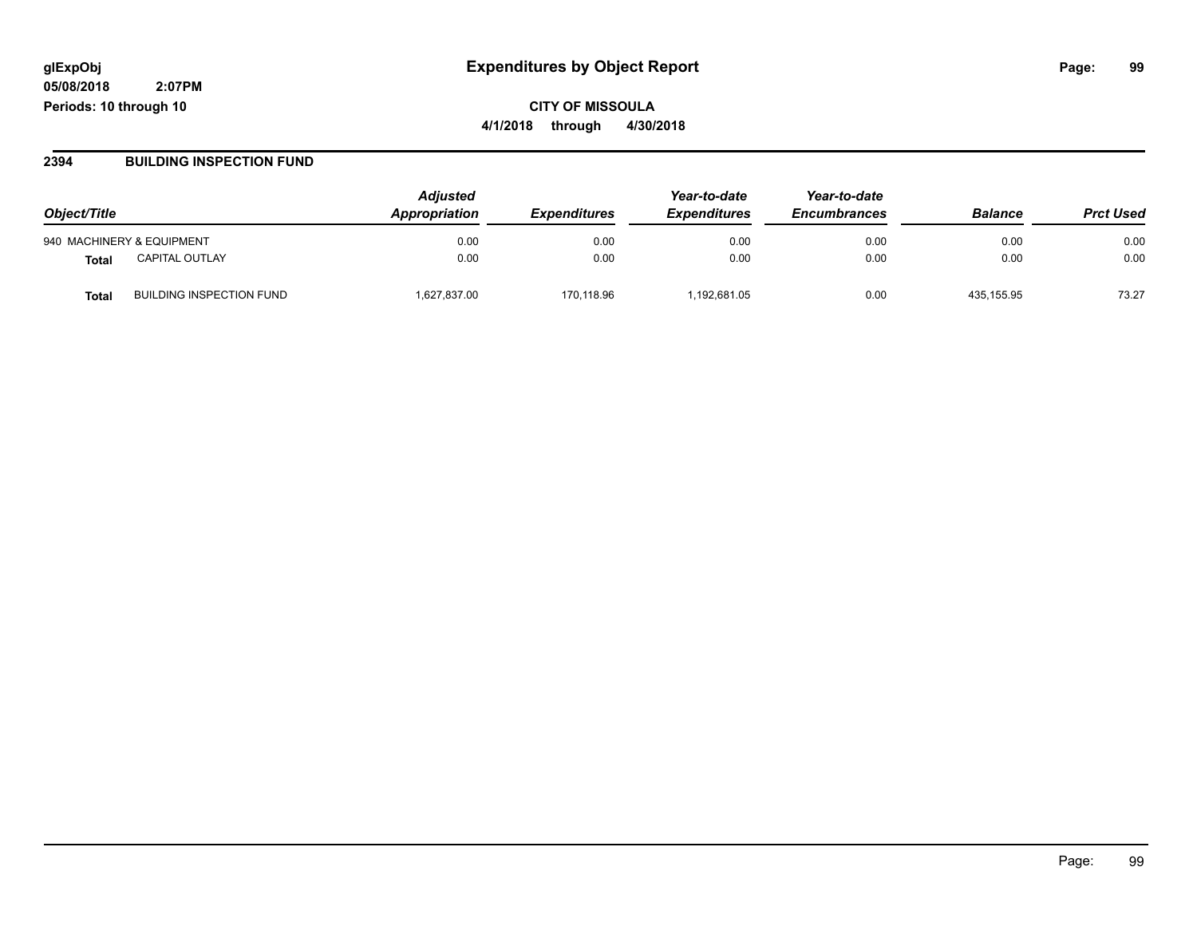**CITY OF MISSOULA 4/1/2018 through 4/30/2018**

#### **2394 BUILDING INSPECTION FUND**

|                           |                                 | <b>Adjusted</b> |                            | Year-to-date        | Year-to-date        |                |                  |
|---------------------------|---------------------------------|-----------------|----------------------------|---------------------|---------------------|----------------|------------------|
| Object/Title              |                                 | Appropriation   | <i><b>Expenditures</b></i> | <b>Expenditures</b> | <b>Encumbrances</b> | <b>Balance</b> | <b>Prct Used</b> |
| 940 MACHINERY & EQUIPMENT |                                 | 0.00            | 0.00                       | 0.00                | 0.00                | 0.00           | 0.00             |
| Total                     | <b>CAPITAL OUTLAY</b>           | 0.00            | 0.00                       | 0.00                | 0.00                | 0.00           | 0.00             |
| <b>Total</b>              | <b>BUILDING INSPECTION FUND</b> | 1,627,837.00    | 170.118.96                 | 1,192,681.05        | 0.00                | 435,155.95     | 73.27            |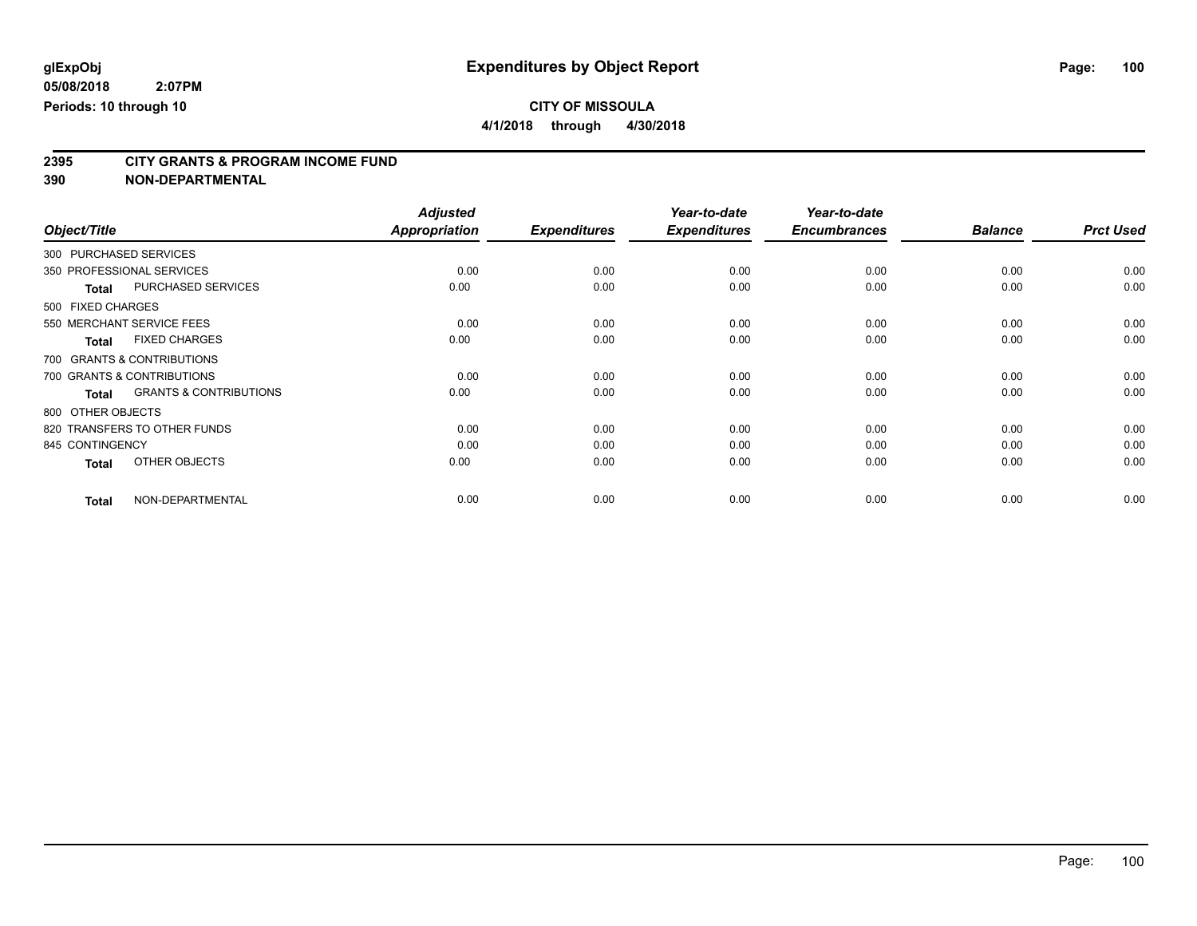### **CITY OF MISSOULA**

**4/1/2018 through 4/30/2018**

## **2395 CITY GRANTS & PROGRAM INCOME FUND**

|                              |                                   | <b>Adjusted</b> |                     | Year-to-date        | Year-to-date        |                |                  |
|------------------------------|-----------------------------------|-----------------|---------------------|---------------------|---------------------|----------------|------------------|
| Object/Title                 |                                   | Appropriation   | <b>Expenditures</b> | <b>Expenditures</b> | <b>Encumbrances</b> | <b>Balance</b> | <b>Prct Used</b> |
| 300 PURCHASED SERVICES       |                                   |                 |                     |                     |                     |                |                  |
| 350 PROFESSIONAL SERVICES    |                                   | 0.00            | 0.00                | 0.00                | 0.00                | 0.00           | 0.00             |
| <b>Total</b>                 | PURCHASED SERVICES                | 0.00            | 0.00                | 0.00                | 0.00                | 0.00           | 0.00             |
| 500 FIXED CHARGES            |                                   |                 |                     |                     |                     |                |                  |
| 550 MERCHANT SERVICE FEES    |                                   | 0.00            | 0.00                | 0.00                | 0.00                | 0.00           | 0.00             |
| <b>Total</b>                 | <b>FIXED CHARGES</b>              | 0.00            | 0.00                | 0.00                | 0.00                | 0.00           | 0.00             |
| 700 GRANTS & CONTRIBUTIONS   |                                   |                 |                     |                     |                     |                |                  |
| 700 GRANTS & CONTRIBUTIONS   |                                   | 0.00            | 0.00                | 0.00                | 0.00                | 0.00           | 0.00             |
| <b>Total</b>                 | <b>GRANTS &amp; CONTRIBUTIONS</b> | 0.00            | 0.00                | 0.00                | 0.00                | 0.00           | 0.00             |
| 800 OTHER OBJECTS            |                                   |                 |                     |                     |                     |                |                  |
| 820 TRANSFERS TO OTHER FUNDS |                                   | 0.00            | 0.00                | 0.00                | 0.00                | 0.00           | 0.00             |
| 845 CONTINGENCY              |                                   | 0.00            | 0.00                | 0.00                | 0.00                | 0.00           | 0.00             |
| <b>Total</b>                 | OTHER OBJECTS                     | 0.00            | 0.00                | 0.00                | 0.00                | 0.00           | 0.00             |
| <b>Total</b>                 | NON-DEPARTMENTAL                  | 0.00            | 0.00                | 0.00                | 0.00                | 0.00           | 0.00             |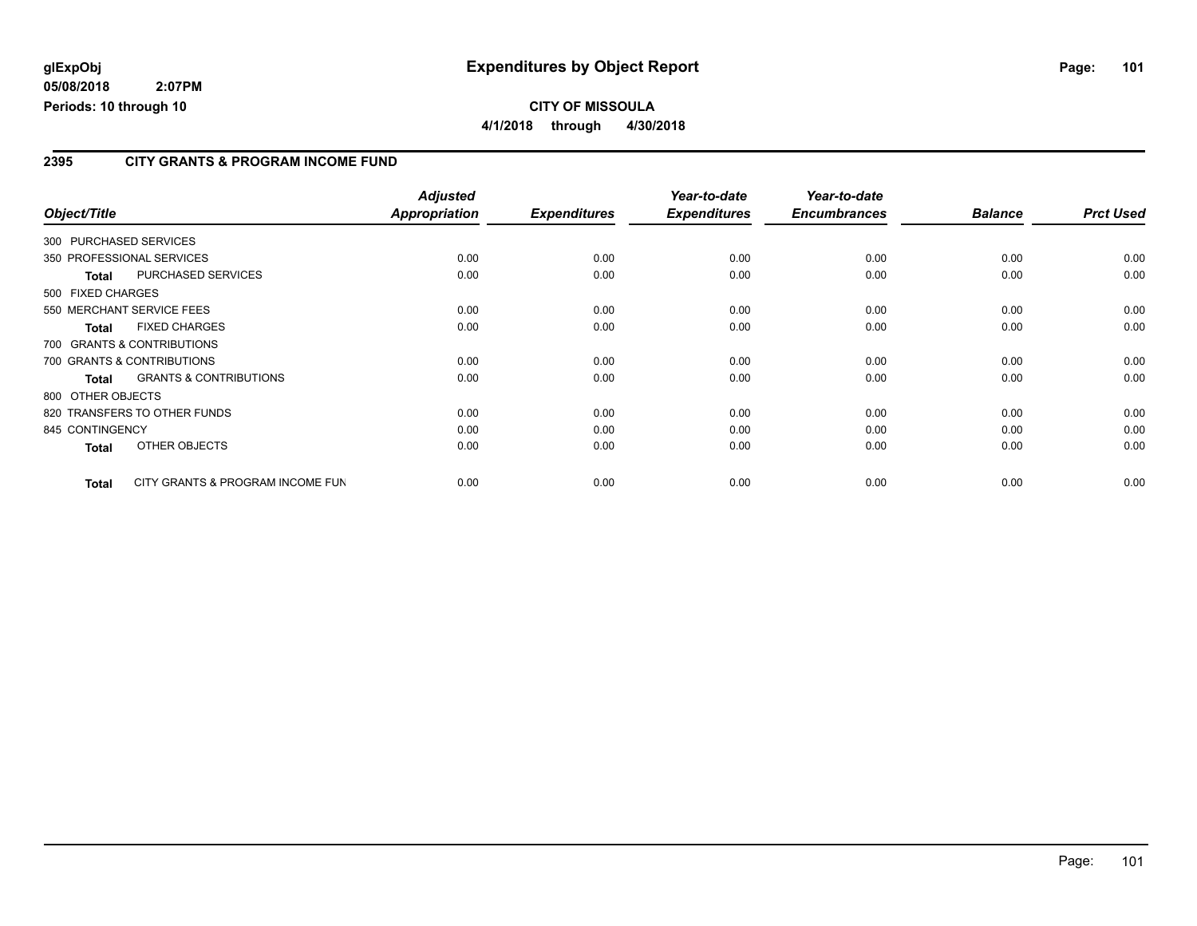#### **2395 CITY GRANTS & PROGRAM INCOME FUND**

| Object/Title              |                                   | <b>Adjusted</b><br>Appropriation | <b>Expenditures</b> | Year-to-date<br><b>Expenditures</b> | Year-to-date<br><b>Encumbrances</b> | <b>Balance</b> | <b>Prct Used</b> |
|---------------------------|-----------------------------------|----------------------------------|---------------------|-------------------------------------|-------------------------------------|----------------|------------------|
| 300 PURCHASED SERVICES    |                                   |                                  |                     |                                     |                                     |                |                  |
| 350 PROFESSIONAL SERVICES |                                   | 0.00                             | 0.00                | 0.00                                | 0.00                                | 0.00           | 0.00             |
| <b>Total</b>              | PURCHASED SERVICES                | 0.00                             | 0.00                | 0.00                                | 0.00                                | 0.00           | 0.00             |
| 500 FIXED CHARGES         |                                   |                                  |                     |                                     |                                     |                |                  |
| 550 MERCHANT SERVICE FEES |                                   | 0.00                             | 0.00                | 0.00                                | 0.00                                | 0.00           | 0.00             |
| Total                     | <b>FIXED CHARGES</b>              | 0.00                             | 0.00                | 0.00                                | 0.00                                | 0.00           | 0.00             |
|                           | 700 GRANTS & CONTRIBUTIONS        |                                  |                     |                                     |                                     |                |                  |
|                           | 700 GRANTS & CONTRIBUTIONS        | 0.00                             | 0.00                | 0.00                                | 0.00                                | 0.00           | 0.00             |
| <b>Total</b>              | <b>GRANTS &amp; CONTRIBUTIONS</b> | 0.00                             | 0.00                | 0.00                                | 0.00                                | 0.00           | 0.00             |
| 800 OTHER OBJECTS         |                                   |                                  |                     |                                     |                                     |                |                  |
|                           | 820 TRANSFERS TO OTHER FUNDS      | 0.00                             | 0.00                | 0.00                                | 0.00                                | 0.00           | 0.00             |
| 845 CONTINGENCY           |                                   | 0.00                             | 0.00                | 0.00                                | 0.00                                | 0.00           | 0.00             |
| <b>Total</b>              | OTHER OBJECTS                     | 0.00                             | 0.00                | 0.00                                | 0.00                                | 0.00           | 0.00             |
| <b>Total</b>              | CITY GRANTS & PROGRAM INCOME FUN  | 0.00                             | 0.00                | 0.00                                | 0.00                                | 0.00           | 0.00             |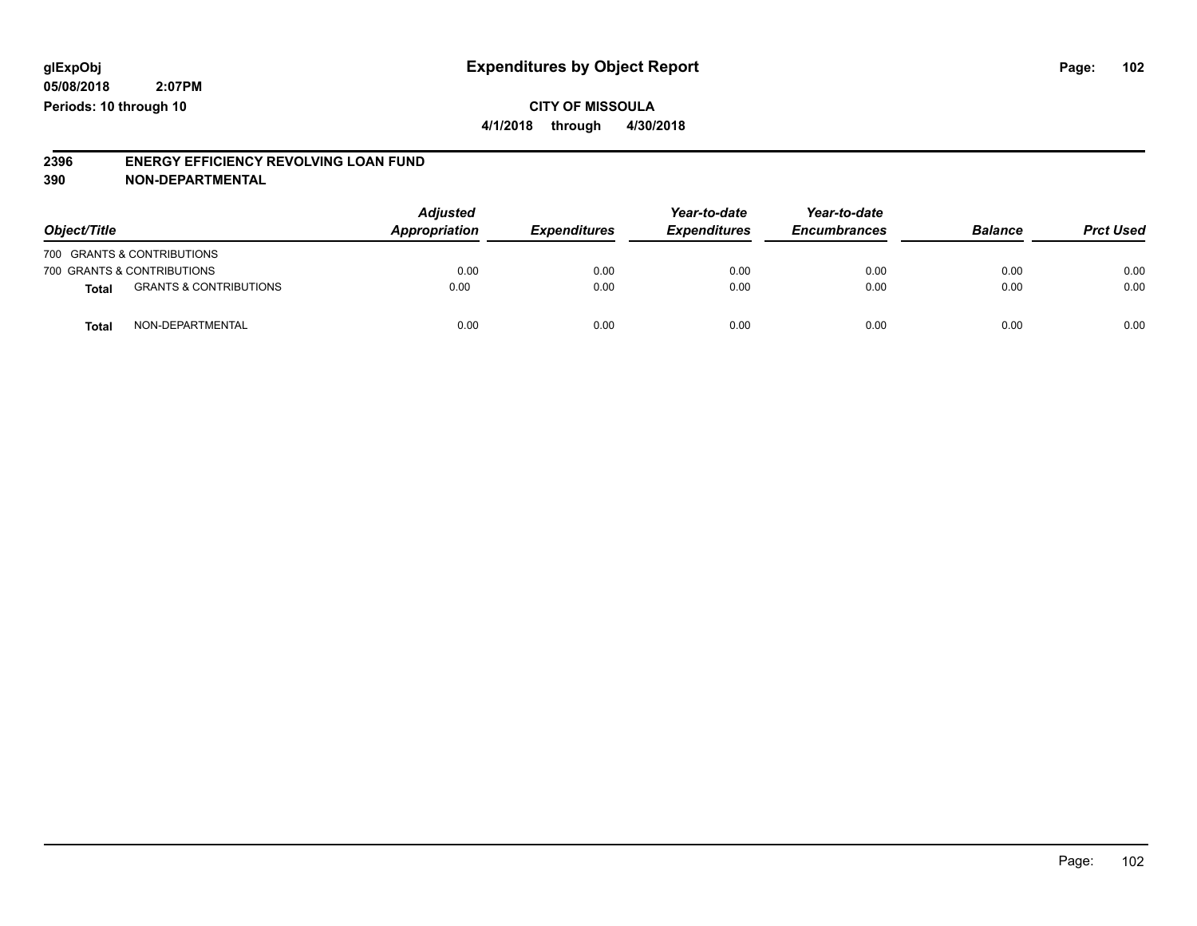**CITY OF MISSOULA 4/1/2018 through 4/30/2018**

#### **2396 ENERGY EFFICIENCY REVOLVING LOAN FUND 390 NON-DEPARTMENTAL**

| Object/Title |                                   | <b>Adjusted</b><br>Appropriation | <b>Expenditures</b> | Year-to-date<br><b>Expenditures</b> | Year-to-date<br><b>Encumbrances</b> | <b>Balance</b> | <b>Prct Used</b> |
|--------------|-----------------------------------|----------------------------------|---------------------|-------------------------------------|-------------------------------------|----------------|------------------|
|              | 700 GRANTS & CONTRIBUTIONS        |                                  |                     |                                     |                                     |                |                  |
|              | 700 GRANTS & CONTRIBUTIONS        | 0.00                             | 0.00                | 0.00                                | 0.00                                | 0.00           | 0.00             |
| <b>Total</b> | <b>GRANTS &amp; CONTRIBUTIONS</b> | 0.00                             | 0.00                | 0.00                                | 0.00                                | 0.00           | 0.00             |
| <b>Total</b> | NON-DEPARTMENTAL                  | 0.00                             | 0.00                | 0.00                                | 0.00                                | 0.00           | 0.00             |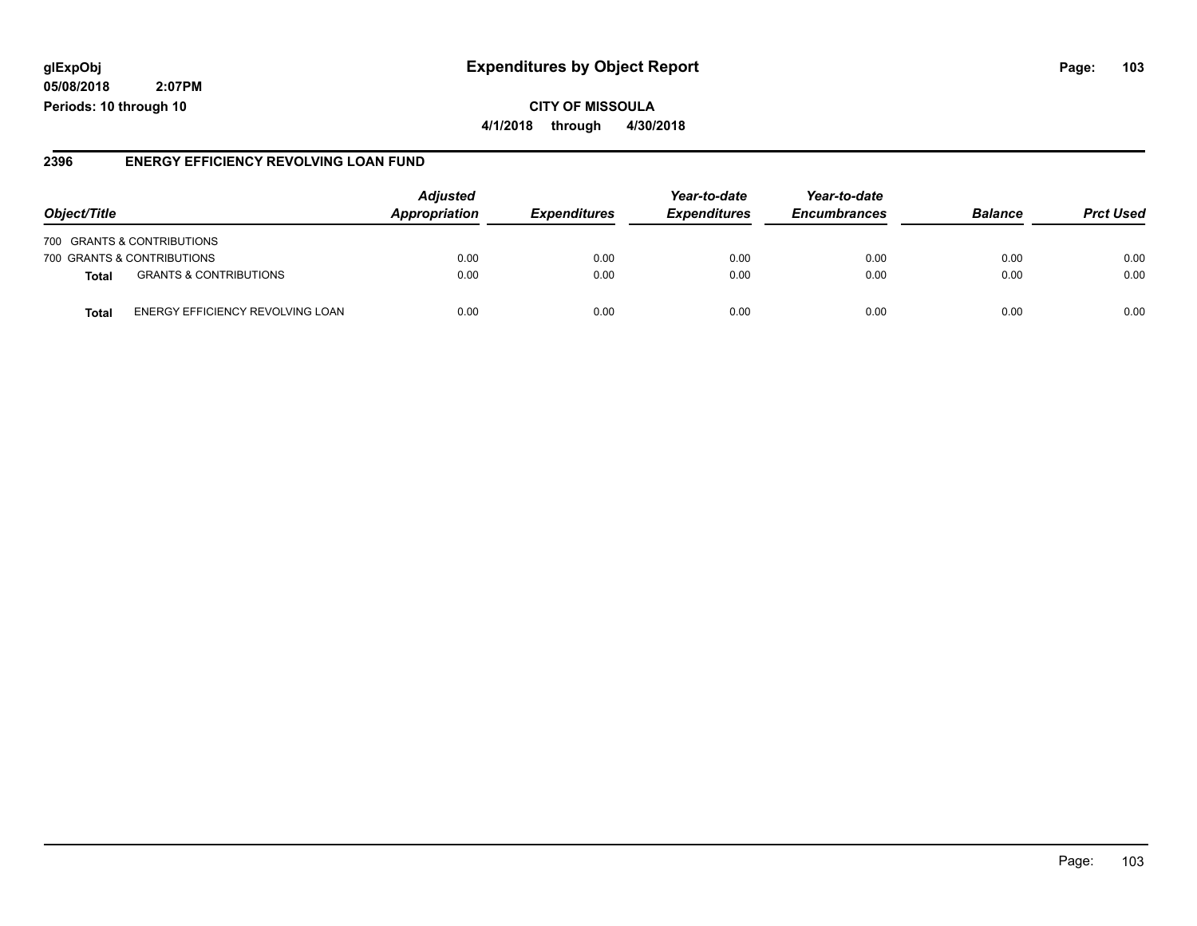### **glExpObj Expenditures by Object Report Page: 103**

**05/08/2018 2:07PM Periods: 10 through 10**

#### **2396 ENERGY EFFICIENCY REVOLVING LOAN FUND**

| Object/Title |                                   | <b>Adjusted</b><br>Appropriation | <i><b>Expenditures</b></i> | Year-to-date<br><b>Expenditures</b> | Year-to-date<br><b>Encumbrances</b> | <b>Balance</b> | <b>Prct Used</b> |
|--------------|-----------------------------------|----------------------------------|----------------------------|-------------------------------------|-------------------------------------|----------------|------------------|
|              | 700 GRANTS & CONTRIBUTIONS        |                                  |                            |                                     |                                     |                |                  |
|              | 700 GRANTS & CONTRIBUTIONS        | 0.00                             | 0.00                       | 0.00                                | 0.00                                | 0.00           | 0.00             |
| Total        | <b>GRANTS &amp; CONTRIBUTIONS</b> | 0.00                             | 0.00                       | 0.00                                | 0.00                                | 0.00           | 0.00             |
| Tota         | ENERGY EFFICIENCY REVOLVING LOAN  | 0.00                             | 0.00                       | 0.00                                | 0.00                                | 0.00           | 0.00             |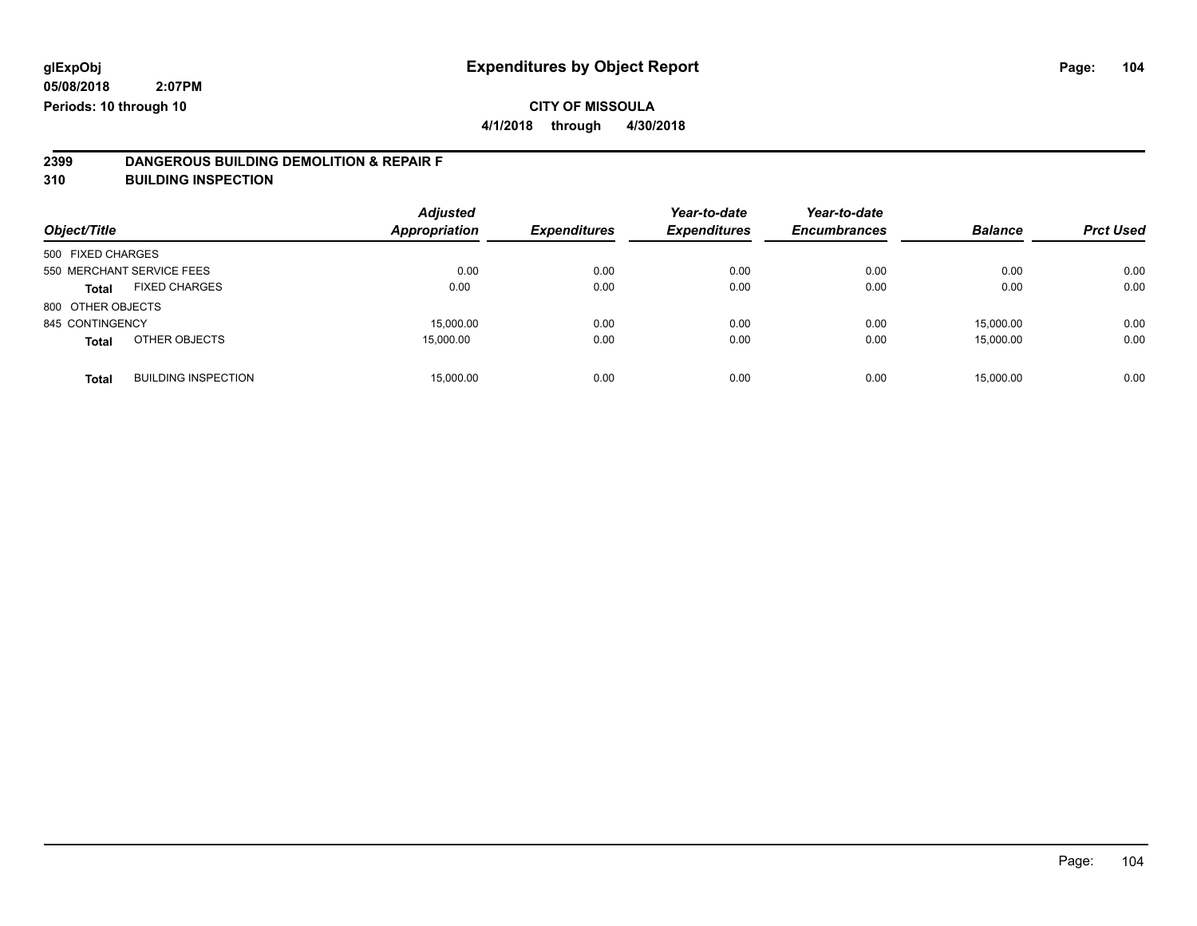### **CITY OF MISSOULA**

**4/1/2018 through 4/30/2018**

# **2399 DANGEROUS BUILDING DEMOLITION & REPAIR F**

**310 BUILDING INSPECTION**

| Object/Title              |                            | <b>Adjusted</b><br><b>Appropriation</b> | <b>Expenditures</b> | Year-to-date<br><b>Expenditures</b> | Year-to-date<br><b>Encumbrances</b> | <b>Balance</b> | <b>Prct Used</b> |
|---------------------------|----------------------------|-----------------------------------------|---------------------|-------------------------------------|-------------------------------------|----------------|------------------|
| 500 FIXED CHARGES         |                            |                                         |                     |                                     |                                     |                |                  |
| 550 MERCHANT SERVICE FEES |                            | 0.00                                    | 0.00                | 0.00                                | 0.00                                | 0.00           | 0.00             |
| <b>Total</b>              | <b>FIXED CHARGES</b>       | 0.00                                    | 0.00                | 0.00                                | 0.00                                | 0.00           | 0.00             |
| 800 OTHER OBJECTS         |                            |                                         |                     |                                     |                                     |                |                  |
| 845 CONTINGENCY           |                            | 15,000.00                               | 0.00                | 0.00                                | 0.00                                | 15,000.00      | 0.00             |
| <b>Total</b>              | OTHER OBJECTS              | 15,000.00                               | 0.00                | 0.00                                | 0.00                                | 15,000.00      | 0.00             |
| <b>Total</b>              | <b>BUILDING INSPECTION</b> | 15,000.00                               | 0.00                | 0.00                                | 0.00                                | 15.000.00      | 0.00             |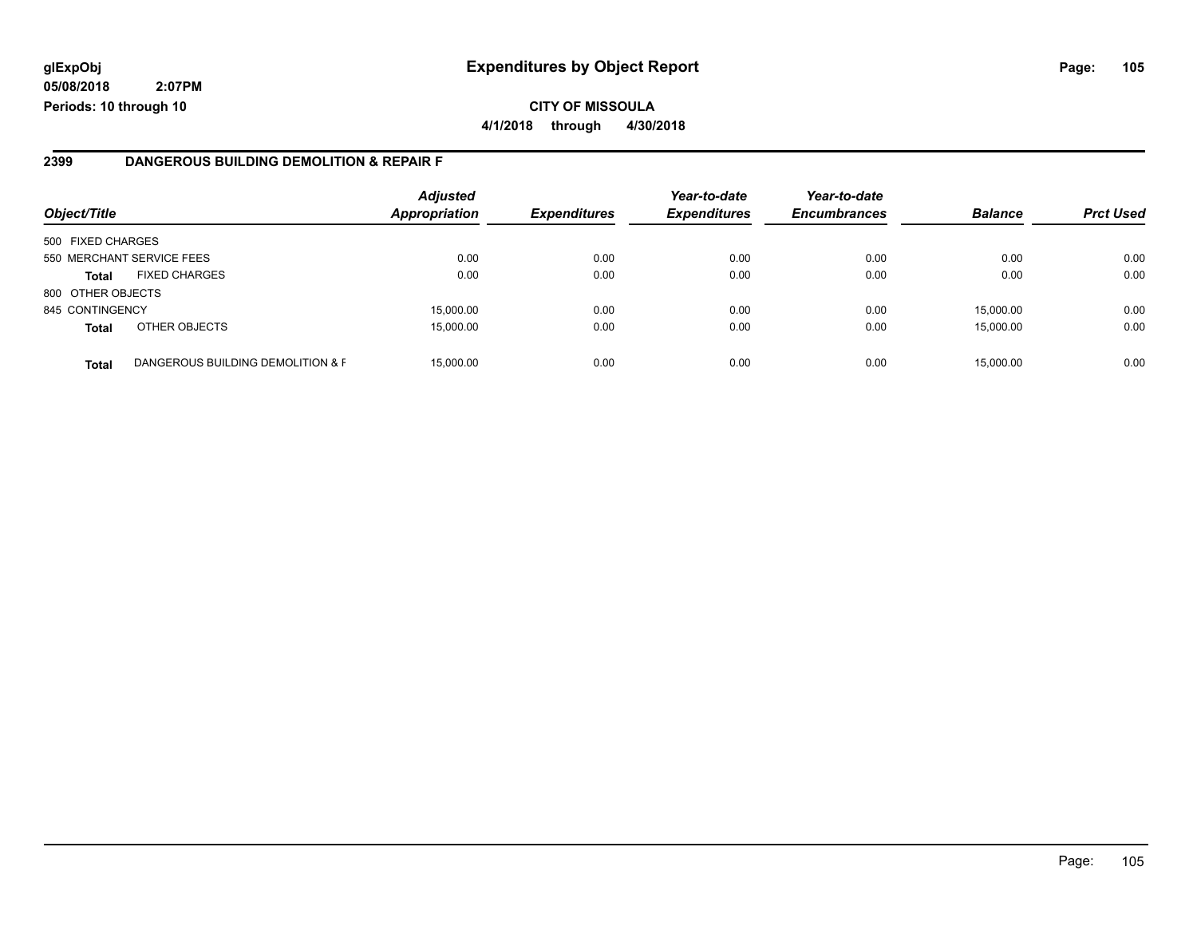**CITY OF MISSOULA 4/1/2018 through 4/30/2018**

#### **2399 DANGEROUS BUILDING DEMOLITION & REPAIR F**

| Object/Title      |                                   | <b>Adjusted</b><br><b>Appropriation</b> | <b>Expenditures</b> | Year-to-date<br><b>Expenditures</b> | Year-to-date<br><b>Encumbrances</b> | <b>Balance</b> | <b>Prct Used</b> |
|-------------------|-----------------------------------|-----------------------------------------|---------------------|-------------------------------------|-------------------------------------|----------------|------------------|
| 500 FIXED CHARGES |                                   |                                         |                     |                                     |                                     |                |                  |
|                   | 550 MERCHANT SERVICE FEES         | 0.00                                    | 0.00                | 0.00                                | 0.00                                | 0.00           | 0.00             |
| <b>Total</b>      | <b>FIXED CHARGES</b>              | 0.00                                    | 0.00                | 0.00                                | 0.00                                | 0.00           | 0.00             |
| 800 OTHER OBJECTS |                                   |                                         |                     |                                     |                                     |                |                  |
| 845 CONTINGENCY   |                                   | 15,000.00                               | 0.00                | 0.00                                | 0.00                                | 15.000.00      | 0.00             |
| <b>Total</b>      | OTHER OBJECTS                     | 15,000.00                               | 0.00                | 0.00                                | 0.00                                | 15,000.00      | 0.00             |
| <b>Total</b>      | DANGEROUS BUILDING DEMOLITION & F | 15,000.00                               | 0.00                | 0.00                                | 0.00                                | 15,000.00      | 0.00             |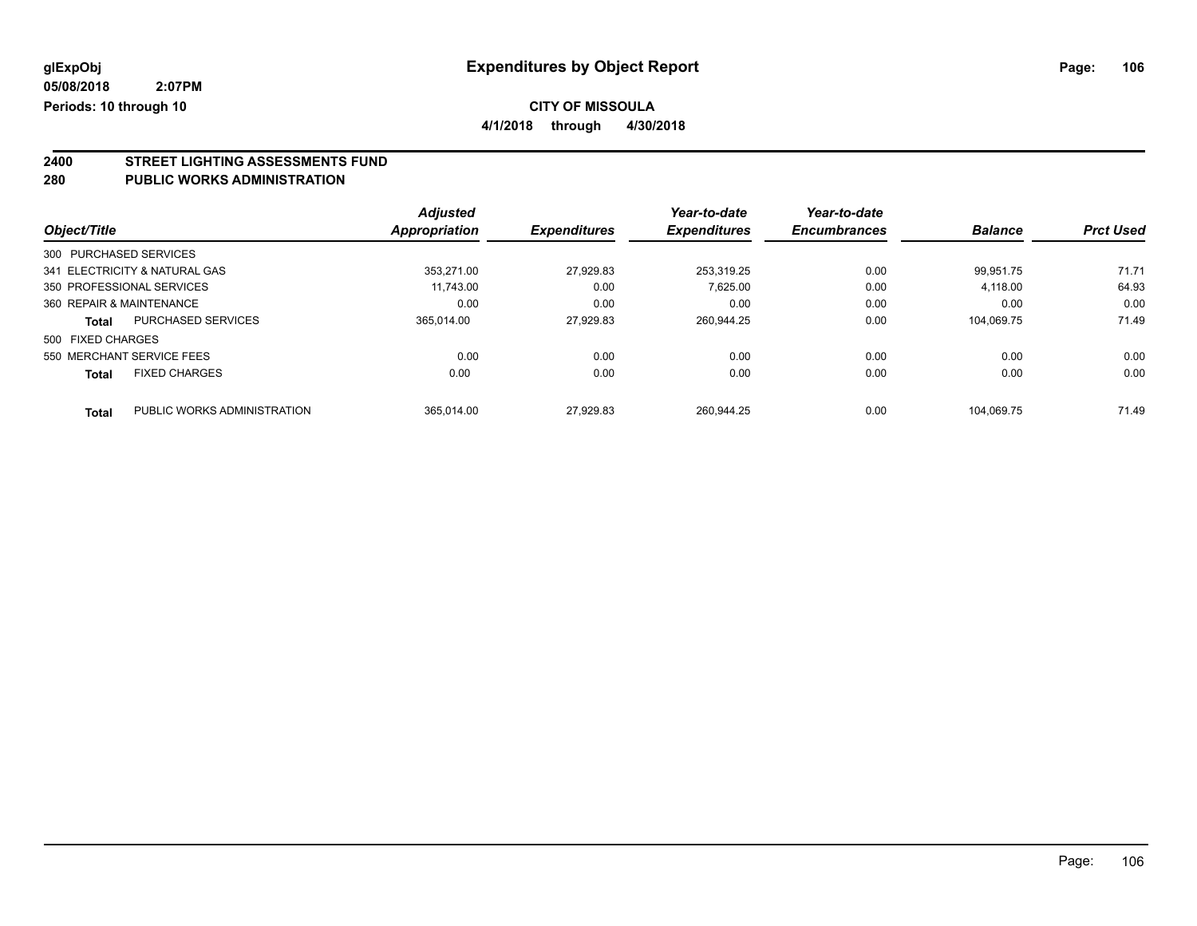## **2400 STREET LIGHTING ASSESSMENTS FUND**

#### **280 PUBLIC WORKS ADMINISTRATION**

|                          |                               | <b>Adjusted</b>      |                     | Year-to-date        | Year-to-date        |                |                  |
|--------------------------|-------------------------------|----------------------|---------------------|---------------------|---------------------|----------------|------------------|
| Object/Title             |                               | <b>Appropriation</b> | <b>Expenditures</b> | <b>Expenditures</b> | <b>Encumbrances</b> | <b>Balance</b> | <b>Prct Used</b> |
| 300 PURCHASED SERVICES   |                               |                      |                     |                     |                     |                |                  |
|                          | 341 ELECTRICITY & NATURAL GAS | 353.271.00           | 27.929.83           | 253.319.25          | 0.00                | 99.951.75      | 71.71            |
|                          | 350 PROFESSIONAL SERVICES     | 11,743.00            | 0.00                | 7,625.00            | 0.00                | 4,118.00       | 64.93            |
| 360 REPAIR & MAINTENANCE |                               | 0.00                 | 0.00                | 0.00                | 0.00                | 0.00           | 0.00             |
| <b>Total</b>             | <b>PURCHASED SERVICES</b>     | 365.014.00           | 27.929.83           | 260.944.25          | 0.00                | 104.069.75     | 71.49            |
| 500 FIXED CHARGES        |                               |                      |                     |                     |                     |                |                  |
|                          | 550 MERCHANT SERVICE FEES     | 0.00                 | 0.00                | 0.00                | 0.00                | 0.00           | 0.00             |
| <b>Total</b>             | <b>FIXED CHARGES</b>          | 0.00                 | 0.00                | 0.00                | 0.00                | 0.00           | 0.00             |
| <b>Total</b>             | PUBLIC WORKS ADMINISTRATION   | 365.014.00           | 27.929.83           | 260.944.25          | 0.00                | 104.069.75     | 71.49            |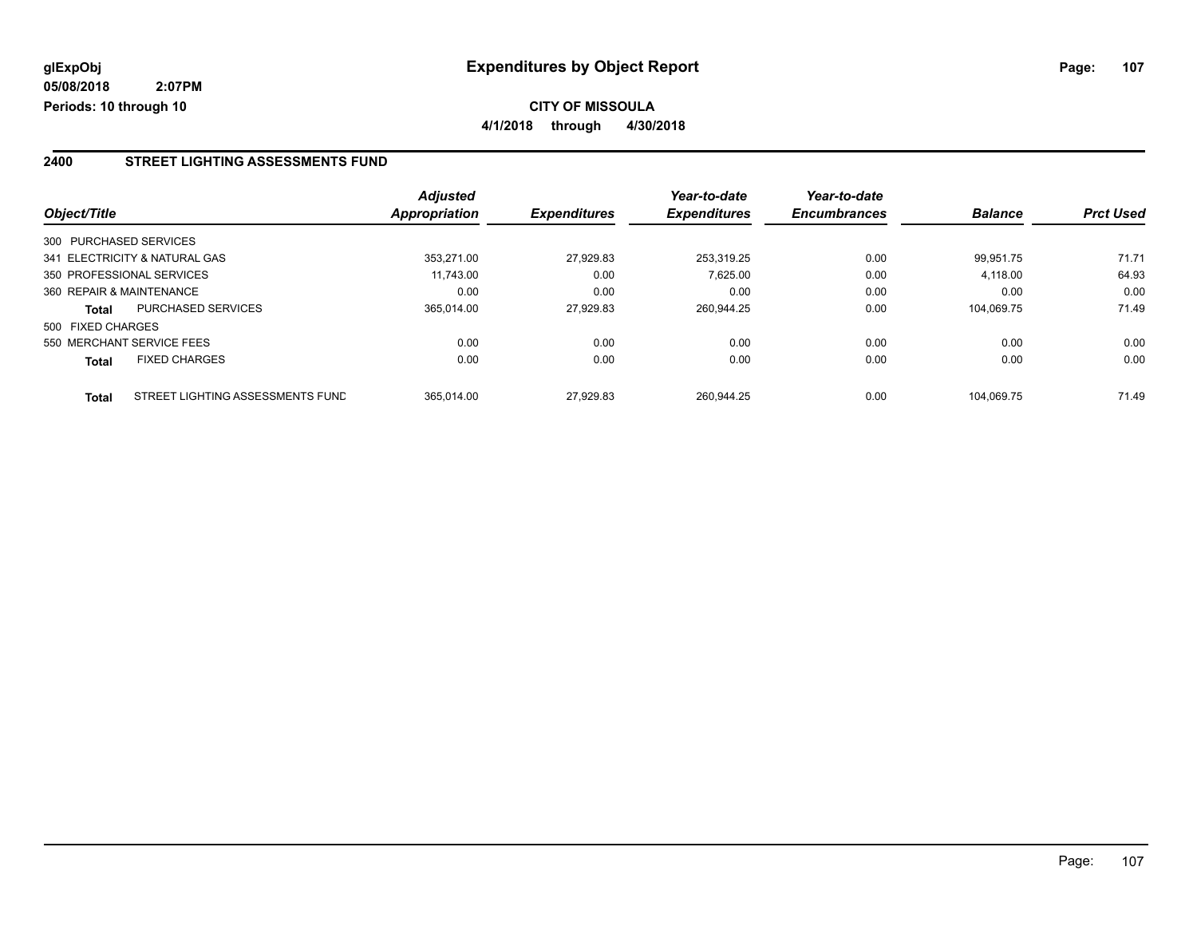#### **2400 STREET LIGHTING ASSESSMENTS FUND**

|                   |                                  | <b>Adjusted</b>      |                     | Year-to-date        | Year-to-date        |                |                  |
|-------------------|----------------------------------|----------------------|---------------------|---------------------|---------------------|----------------|------------------|
| Object/Title      |                                  | <b>Appropriation</b> | <b>Expenditures</b> | <b>Expenditures</b> | <b>Encumbrances</b> | <b>Balance</b> | <b>Prct Used</b> |
|                   | 300 PURCHASED SERVICES           |                      |                     |                     |                     |                |                  |
|                   | 341 ELECTRICITY & NATURAL GAS    | 353.271.00           | 27.929.83           | 253.319.25          | 0.00                | 99.951.75      | 71.71            |
|                   | 350 PROFESSIONAL SERVICES        | 11.743.00            | 0.00                | 7.625.00            | 0.00                | 4,118.00       | 64.93            |
|                   | 360 REPAIR & MAINTENANCE         | 0.00                 | 0.00                | 0.00                | 0.00                | 0.00           | 0.00             |
| <b>Total</b>      | <b>PURCHASED SERVICES</b>        | 365.014.00           | 27,929.83           | 260.944.25          | 0.00                | 104.069.75     | 71.49            |
| 500 FIXED CHARGES |                                  |                      |                     |                     |                     |                |                  |
|                   | 550 MERCHANT SERVICE FEES        | 0.00                 | 0.00                | 0.00                | 0.00                | 0.00           | 0.00             |
| <b>Total</b>      | <b>FIXED CHARGES</b>             | 0.00                 | 0.00                | 0.00                | 0.00                | 0.00           | 0.00             |
| <b>Total</b>      | STREET LIGHTING ASSESSMENTS FUND | 365.014.00           | 27.929.83           | 260.944.25          | 0.00                | 104.069.75     | 71.49            |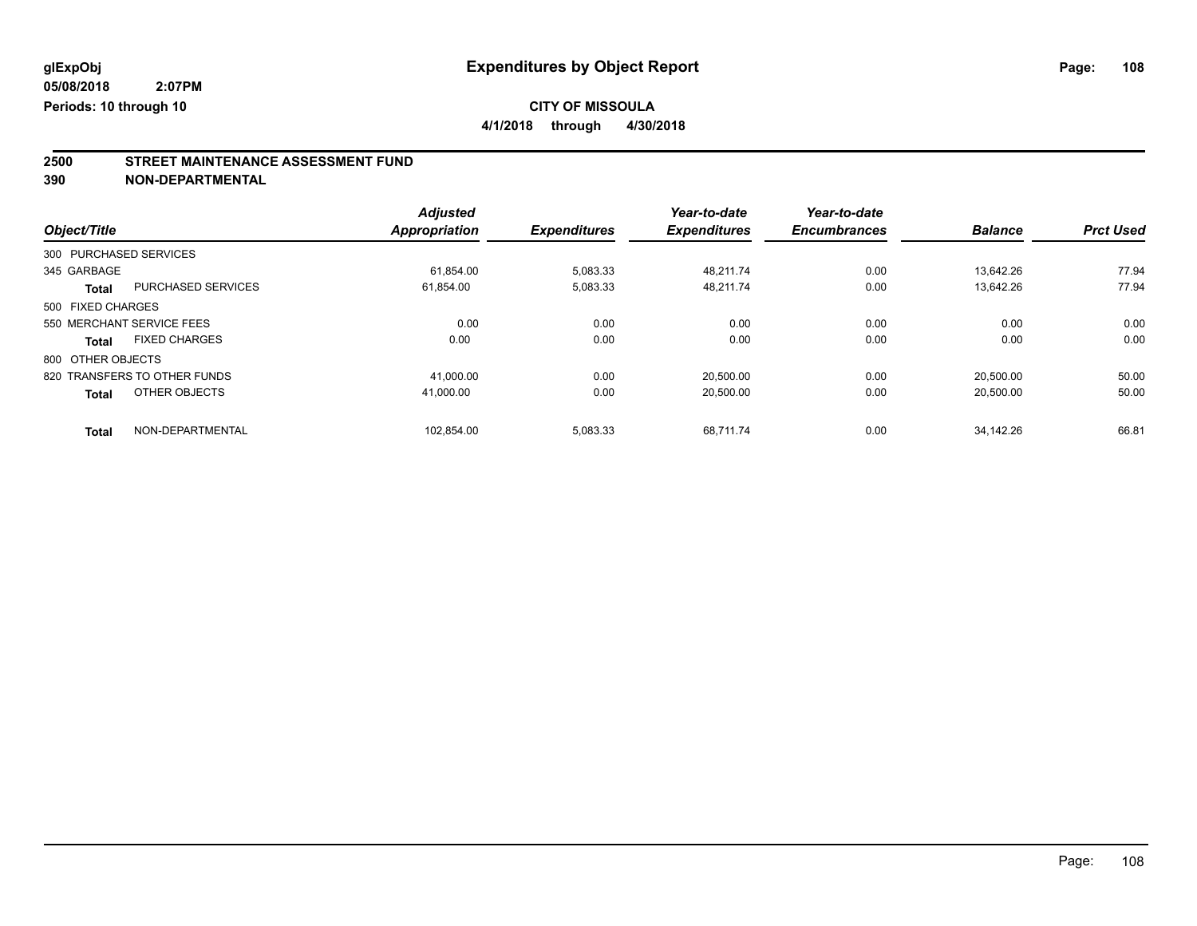### **CITY OF MISSOULA**

**4/1/2018 through 4/30/2018**

## **2500 STREET MAINTENANCE ASSESSMENT FUND**

| Object/Title                 |                           | <b>Adjusted</b><br>Appropriation | <b>Expenditures</b> | Year-to-date<br><b>Expenditures</b> | Year-to-date<br><b>Encumbrances</b> | <b>Balance</b> | <b>Prct Used</b> |
|------------------------------|---------------------------|----------------------------------|---------------------|-------------------------------------|-------------------------------------|----------------|------------------|
| 300 PURCHASED SERVICES       |                           |                                  |                     |                                     |                                     |                |                  |
| 345 GARBAGE                  |                           | 61,854.00                        | 5,083.33            | 48.211.74                           | 0.00                                | 13.642.26      | 77.94            |
| <b>Total</b>                 | <b>PURCHASED SERVICES</b> | 61,854.00                        | 5,083.33            | 48,211.74                           | 0.00                                | 13.642.26      | 77.94            |
| 500 FIXED CHARGES            |                           |                                  |                     |                                     |                                     |                |                  |
| 550 MERCHANT SERVICE FEES    |                           | 0.00                             | 0.00                | 0.00                                | 0.00                                | 0.00           | 0.00             |
| <b>Total</b>                 | <b>FIXED CHARGES</b>      | 0.00                             | 0.00                | 0.00                                | 0.00                                | 0.00           | 0.00             |
| 800 OTHER OBJECTS            |                           |                                  |                     |                                     |                                     |                |                  |
| 820 TRANSFERS TO OTHER FUNDS |                           | 41,000.00                        | 0.00                | 20,500.00                           | 0.00                                | 20.500.00      | 50.00            |
| <b>Total</b>                 | OTHER OBJECTS             | 41,000.00                        | 0.00                | 20,500.00                           | 0.00                                | 20,500.00      | 50.00            |
|                              |                           |                                  |                     |                                     |                                     |                |                  |
| <b>Total</b>                 | NON-DEPARTMENTAL          | 102.854.00                       | 5,083.33            | 68.711.74                           | 0.00                                | 34.142.26      | 66.81            |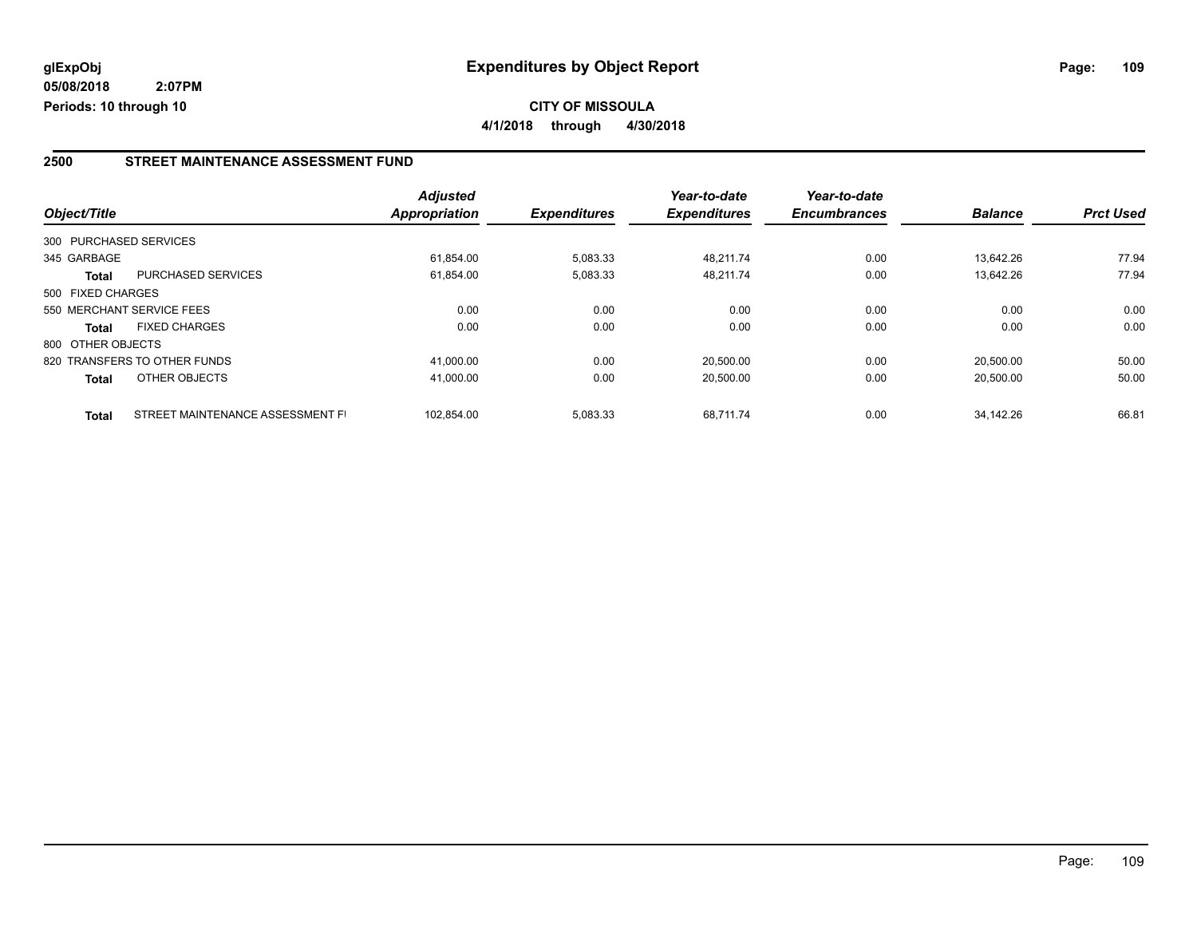**05/08/2018 2:07PM Periods: 10 through 10**

**4/1/2018 through 4/30/2018**

### **2500 STREET MAINTENANCE ASSESSMENT FUND**

|                   |                                  | <b>Adjusted</b> |                     | Year-to-date        | Year-to-date        |                |                  |
|-------------------|----------------------------------|-----------------|---------------------|---------------------|---------------------|----------------|------------------|
| Object/Title      |                                  | Appropriation   | <b>Expenditures</b> | <b>Expenditures</b> | <b>Encumbrances</b> | <b>Balance</b> | <b>Prct Used</b> |
|                   | 300 PURCHASED SERVICES           |                 |                     |                     |                     |                |                  |
| 345 GARBAGE       |                                  | 61.854.00       | 5,083.33            | 48.211.74           | 0.00                | 13.642.26      | 77.94            |
| <b>Total</b>      | <b>PURCHASED SERVICES</b>        | 61,854.00       | 5,083.33            | 48.211.74           | 0.00                | 13.642.26      | 77.94            |
| 500 FIXED CHARGES |                                  |                 |                     |                     |                     |                |                  |
|                   | 550 MERCHANT SERVICE FEES        | 0.00            | 0.00                | 0.00                | 0.00                | 0.00           | 0.00             |
| Total             | <b>FIXED CHARGES</b>             | 0.00            | 0.00                | 0.00                | 0.00                | 0.00           | 0.00             |
| 800 OTHER OBJECTS |                                  |                 |                     |                     |                     |                |                  |
|                   | 820 TRANSFERS TO OTHER FUNDS     | 41.000.00       | 0.00                | 20.500.00           | 0.00                | 20.500.00      | 50.00            |
| <b>Total</b>      | OTHER OBJECTS                    | 41,000.00       | 0.00                | 20,500.00           | 0.00                | 20.500.00      | 50.00            |
| <b>Total</b>      | STREET MAINTENANCE ASSESSMENT FI | 102.854.00      | 5,083.33            | 68.711.74           | 0.00                | 34.142.26      | 66.81            |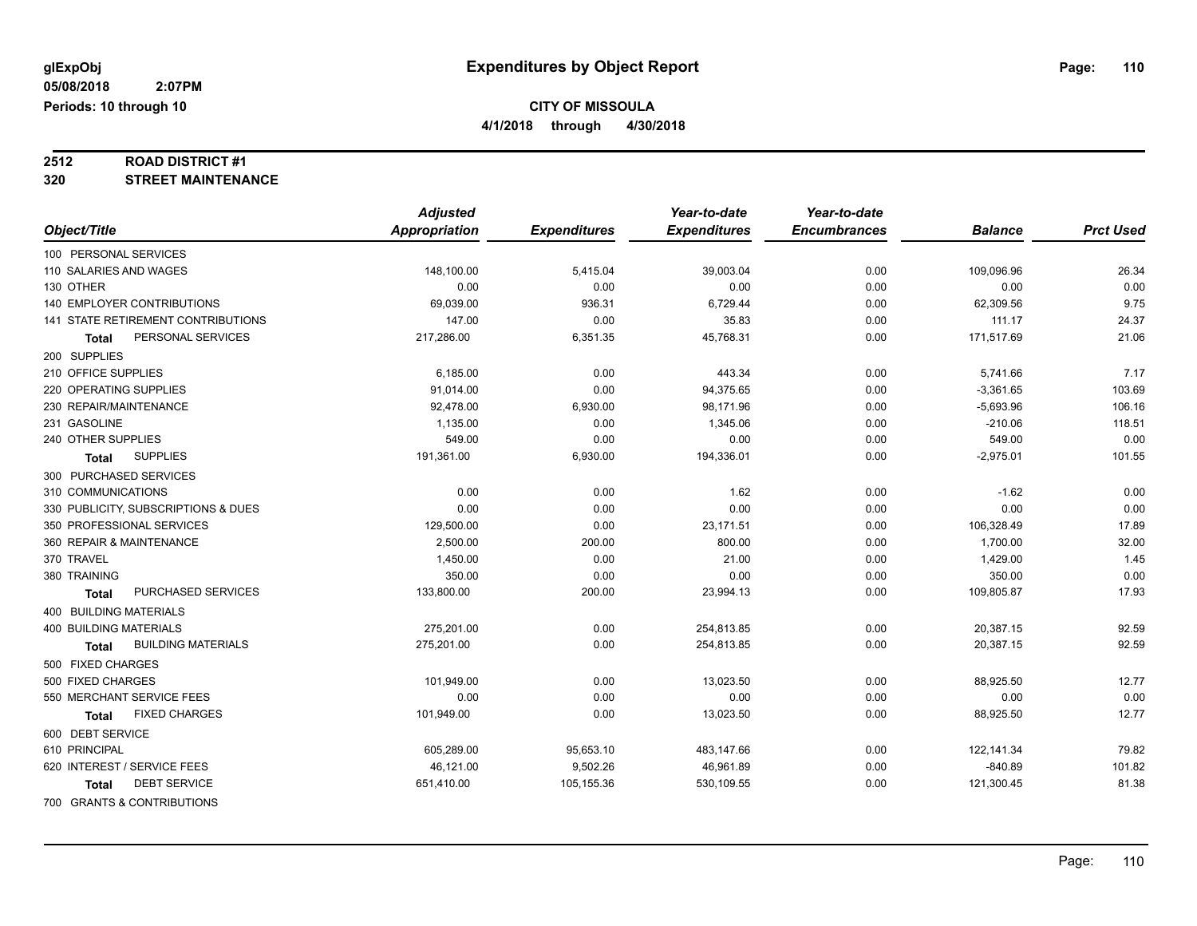## **2512 ROAD DISTRICT #1**

### **320 STREET MAINTENANCE**

|                                           | <b>Adjusted</b> |                     | Year-to-date        | Year-to-date        |                |                  |
|-------------------------------------------|-----------------|---------------------|---------------------|---------------------|----------------|------------------|
| Object/Title                              | Appropriation   | <b>Expenditures</b> | <b>Expenditures</b> | <b>Encumbrances</b> | <b>Balance</b> | <b>Prct Used</b> |
| 100 PERSONAL SERVICES                     |                 |                     |                     |                     |                |                  |
| 110 SALARIES AND WAGES                    | 148,100.00      | 5,415.04            | 39,003.04           | 0.00                | 109,096.96     | 26.34            |
| 130 OTHER                                 | 0.00            | 0.00                | 0.00                | 0.00                | 0.00           | 0.00             |
| 140 EMPLOYER CONTRIBUTIONS                | 69,039.00       | 936.31              | 6,729.44            | 0.00                | 62,309.56      | 9.75             |
| 141 STATE RETIREMENT CONTRIBUTIONS        | 147.00          | 0.00                | 35.83               | 0.00                | 111.17         | 24.37            |
| PERSONAL SERVICES<br>Total                | 217,286.00      | 6,351.35            | 45,768.31           | 0.00                | 171,517.69     | 21.06            |
| 200 SUPPLIES                              |                 |                     |                     |                     |                |                  |
| 210 OFFICE SUPPLIES                       | 6,185.00        | 0.00                | 443.34              | 0.00                | 5,741.66       | 7.17             |
| 220 OPERATING SUPPLIES                    | 91,014.00       | 0.00                | 94,375.65           | 0.00                | $-3,361.65$    | 103.69           |
| 230 REPAIR/MAINTENANCE                    | 92,478.00       | 6,930.00            | 98,171.96           | 0.00                | $-5,693.96$    | 106.16           |
| 231 GASOLINE                              | 1,135.00        | 0.00                | 1,345.06            | 0.00                | $-210.06$      | 118.51           |
| 240 OTHER SUPPLIES                        | 549.00          | 0.00                | 0.00                | 0.00                | 549.00         | 0.00             |
| <b>SUPPLIES</b><br><b>Total</b>           | 191,361.00      | 6,930.00            | 194,336.01          | 0.00                | $-2,975.01$    | 101.55           |
| 300 PURCHASED SERVICES                    |                 |                     |                     |                     |                |                  |
| 310 COMMUNICATIONS                        | 0.00            | 0.00                | 1.62                | 0.00                | $-1.62$        | 0.00             |
| 330 PUBLICITY, SUBSCRIPTIONS & DUES       | 0.00            | 0.00                | 0.00                | 0.00                | 0.00           | 0.00             |
| 350 PROFESSIONAL SERVICES                 | 129,500.00      | 0.00                | 23,171.51           | 0.00                | 106,328.49     | 17.89            |
| 360 REPAIR & MAINTENANCE                  | 2,500.00        | 200.00              | 800.00              | 0.00                | 1,700.00       | 32.00            |
| 370 TRAVEL                                | 1,450.00        | 0.00                | 21.00               | 0.00                | 1,429.00       | 1.45             |
| 380 TRAINING                              | 350.00          | 0.00                | 0.00                | 0.00                | 350.00         | 0.00             |
| PURCHASED SERVICES<br><b>Total</b>        | 133,800.00      | 200.00              | 23,994.13           | 0.00                | 109,805.87     | 17.93            |
| 400 BUILDING MATERIALS                    |                 |                     |                     |                     |                |                  |
| <b>400 BUILDING MATERIALS</b>             | 275,201.00      | 0.00                | 254,813.85          | 0.00                | 20,387.15      | 92.59            |
| <b>BUILDING MATERIALS</b><br><b>Total</b> | 275,201.00      | 0.00                | 254,813.85          | 0.00                | 20,387.15      | 92.59            |
| 500 FIXED CHARGES                         |                 |                     |                     |                     |                |                  |
| 500 FIXED CHARGES                         | 101,949.00      | 0.00                | 13,023.50           | 0.00                | 88,925.50      | 12.77            |
| 550 MERCHANT SERVICE FEES                 | 0.00            | 0.00                | 0.00                | 0.00                | 0.00           | 0.00             |
| <b>FIXED CHARGES</b><br><b>Total</b>      | 101,949.00      | 0.00                | 13,023.50           | 0.00                | 88,925.50      | 12.77            |
| 600 DEBT SERVICE                          |                 |                     |                     |                     |                |                  |
| 610 PRINCIPAL                             | 605,289.00      | 95,653.10           | 483,147.66          | 0.00                | 122,141.34     | 79.82            |
| 620 INTEREST / SERVICE FEES               | 46,121.00       | 9,502.26            | 46,961.89           | 0.00                | $-840.89$      | 101.82           |
| <b>DEBT SERVICE</b><br><b>Total</b>       | 651,410.00      | 105,155.36          | 530,109.55          | 0.00                | 121,300.45     | 81.38            |
| 700 GRANTS & CONTRIBUTIONS                |                 |                     |                     |                     |                |                  |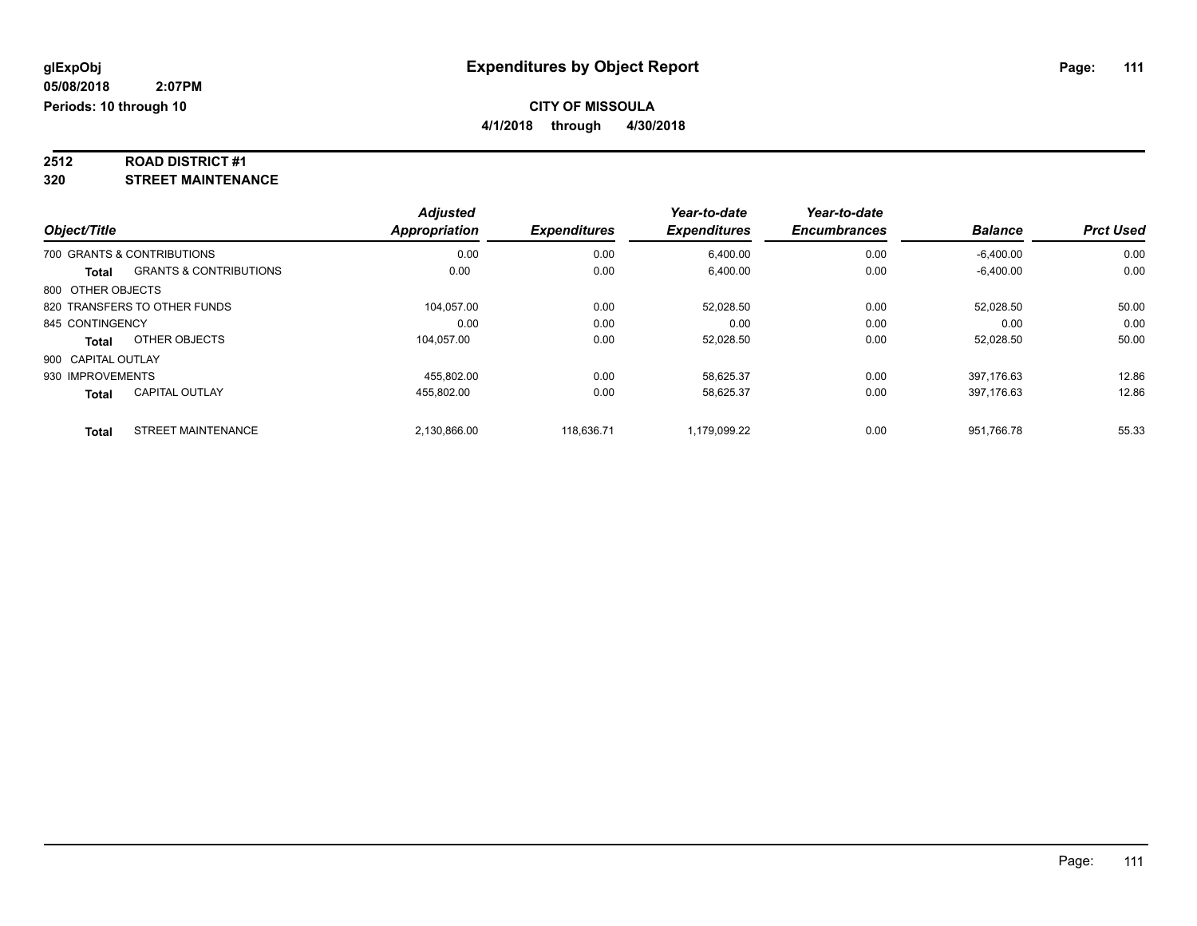## **2512 ROAD DISTRICT #1**

**320 STREET MAINTENANCE**

| Object/Title               |                                   | <b>Adjusted</b><br>Appropriation | <b>Expenditures</b> | Year-to-date<br><b>Expenditures</b> | Year-to-date<br><b>Encumbrances</b> | <b>Balance</b> | <b>Prct Used</b> |
|----------------------------|-----------------------------------|----------------------------------|---------------------|-------------------------------------|-------------------------------------|----------------|------------------|
|                            |                                   |                                  |                     |                                     |                                     |                |                  |
| 700 GRANTS & CONTRIBUTIONS |                                   | 0.00                             | 0.00                | 6.400.00                            | 0.00                                | $-6,400.00$    | 0.00             |
| <b>Total</b>               | <b>GRANTS &amp; CONTRIBUTIONS</b> | 0.00                             | 0.00                | 6,400.00                            | 0.00                                | $-6,400.00$    | 0.00             |
| 800 OTHER OBJECTS          |                                   |                                  |                     |                                     |                                     |                |                  |
|                            | 820 TRANSFERS TO OTHER FUNDS      | 104.057.00                       | 0.00                | 52.028.50                           | 0.00                                | 52.028.50      | 50.00            |
| 845 CONTINGENCY            |                                   | 0.00                             | 0.00                | 0.00                                | 0.00                                | 0.00           | 0.00             |
| Total                      | OTHER OBJECTS                     | 104,057.00                       | 0.00                | 52,028.50                           | 0.00                                | 52,028.50      | 50.00            |
| 900 CAPITAL OUTLAY         |                                   |                                  |                     |                                     |                                     |                |                  |
| 930 IMPROVEMENTS           |                                   | 455.802.00                       | 0.00                | 58.625.37                           | 0.00                                | 397.176.63     | 12.86            |
| <b>Total</b>               | <b>CAPITAL OUTLAY</b>             | 455,802.00                       | 0.00                | 58,625.37                           | 0.00                                | 397.176.63     | 12.86            |
| <b>Total</b>               | <b>STREET MAINTENANCE</b>         | 2.130.866.00                     | 118.636.71          | 1.179.099.22                        | 0.00                                | 951.766.78     | 55.33            |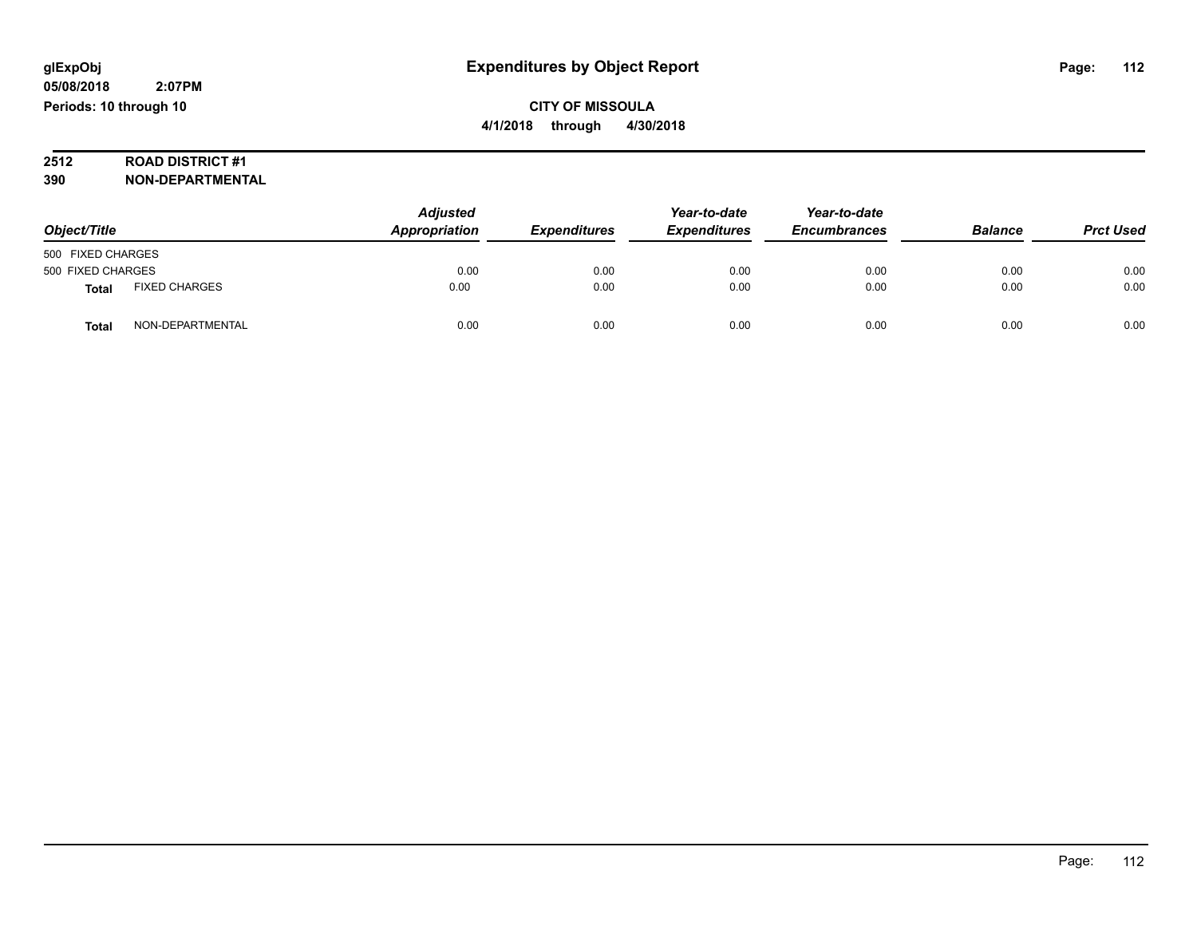## **2512 ROAD DISTRICT #1**

**390 NON-DEPARTMENTAL**

| Object/Title                  | <b>Adjusted</b> | Appropriation<br><b>Expenditures</b> | Year-to-date<br><b>Expenditures</b> | Year-to-date<br><b>Encumbrances</b> | <b>Balance</b> | <b>Prct Used</b> |
|-------------------------------|-----------------|--------------------------------------|-------------------------------------|-------------------------------------|----------------|------------------|
| 500 FIXED CHARGES             |                 |                                      |                                     |                                     |                |                  |
| 500 FIXED CHARGES             | 0.00            | 0.00                                 | 0.00                                | 0.00                                | 0.00           | 0.00             |
| <b>FIXED CHARGES</b><br>Total | 0.00            | 0.00                                 | 0.00                                | 0.00                                | 0.00           | 0.00             |
| NON-DEPARTMENTAL<br>Total     | 0.00            | 0.00                                 | 0.00                                | 0.00                                | 0.00           | 0.00             |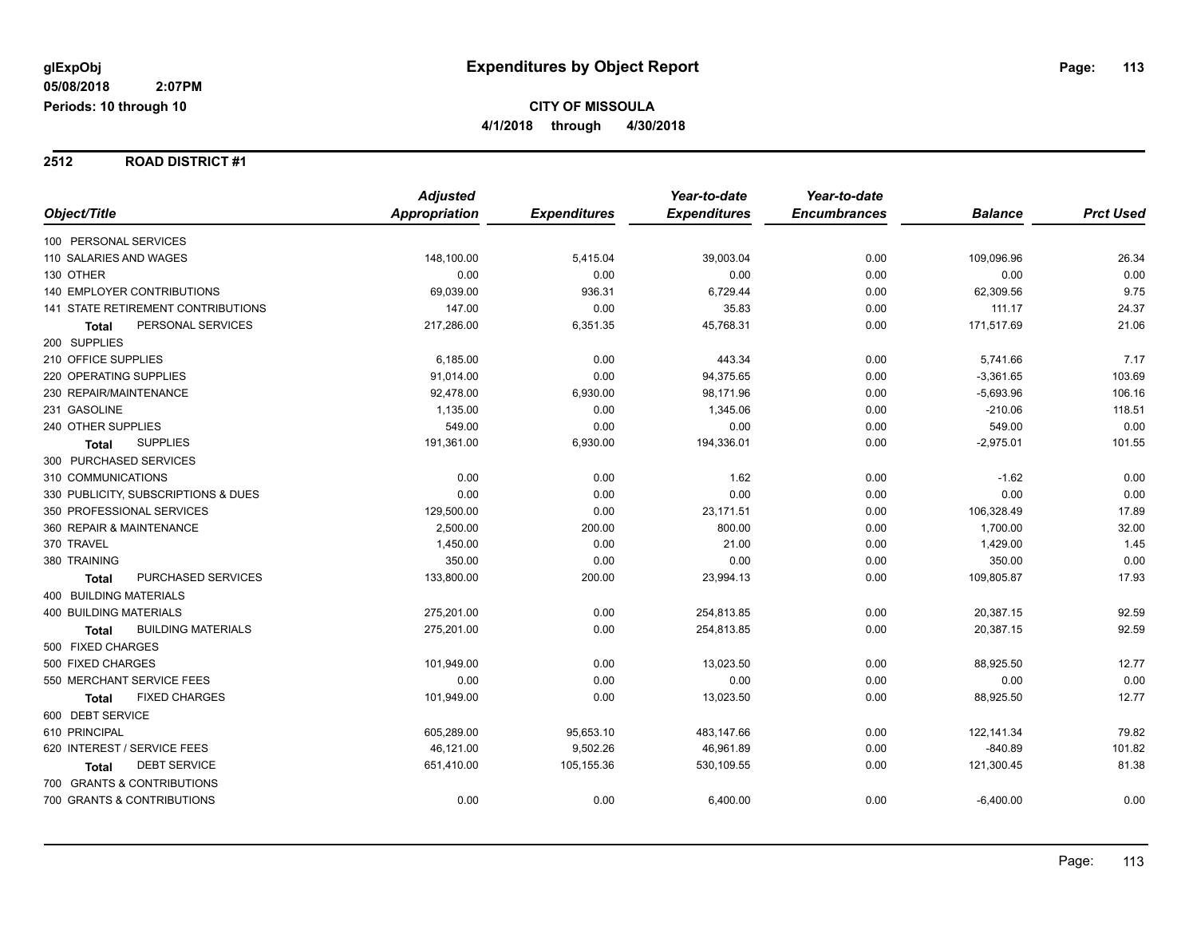### **2512 ROAD DISTRICT #1**

|                                           | <b>Adjusted</b>      |                     | Year-to-date        | Year-to-date        |                |                  |
|-------------------------------------------|----------------------|---------------------|---------------------|---------------------|----------------|------------------|
| Object/Title                              | <b>Appropriation</b> | <b>Expenditures</b> | <b>Expenditures</b> | <b>Encumbrances</b> | <b>Balance</b> | <b>Prct Used</b> |
| 100 PERSONAL SERVICES                     |                      |                     |                     |                     |                |                  |
| 110 SALARIES AND WAGES                    | 148,100.00           | 5,415.04            | 39,003.04           | 0.00                | 109,096.96     | 26.34            |
| 130 OTHER                                 | 0.00                 | 0.00                | 0.00                | 0.00                | 0.00           | 0.00             |
| <b>140 EMPLOYER CONTRIBUTIONS</b>         | 69,039.00            | 936.31              | 6,729.44            | 0.00                | 62,309.56      | 9.75             |
| <b>141 STATE RETIREMENT CONTRIBUTIONS</b> | 147.00               | 0.00                | 35.83               | 0.00                | 111.17         | 24.37            |
| PERSONAL SERVICES<br>Total                | 217,286.00           | 6,351.35            | 45,768.31           | 0.00                | 171,517.69     | 21.06            |
| 200 SUPPLIES                              |                      |                     |                     |                     |                |                  |
| 210 OFFICE SUPPLIES                       | 6,185.00             | 0.00                | 443.34              | 0.00                | 5,741.66       | 7.17             |
| 220 OPERATING SUPPLIES                    | 91,014.00            | 0.00                | 94,375.65           | 0.00                | $-3,361.65$    | 103.69           |
| 230 REPAIR/MAINTENANCE                    | 92,478.00            | 6,930.00            | 98,171.96           | 0.00                | $-5,693.96$    | 106.16           |
| 231 GASOLINE                              | 1,135.00             | 0.00                | 1,345.06            | 0.00                | $-210.06$      | 118.51           |
| 240 OTHER SUPPLIES                        | 549.00               | 0.00                | 0.00                | 0.00                | 549.00         | 0.00             |
| <b>SUPPLIES</b><br><b>Total</b>           | 191,361.00           | 6,930.00            | 194,336.01          | 0.00                | $-2,975.01$    | 101.55           |
| 300 PURCHASED SERVICES                    |                      |                     |                     |                     |                |                  |
| 310 COMMUNICATIONS                        | 0.00                 | 0.00                | 1.62                | 0.00                | $-1.62$        | 0.00             |
| 330 PUBLICITY, SUBSCRIPTIONS & DUES       | 0.00                 | 0.00                | 0.00                | 0.00                | 0.00           | 0.00             |
| 350 PROFESSIONAL SERVICES                 | 129,500.00           | 0.00                | 23,171.51           | 0.00                | 106,328.49     | 17.89            |
| 360 REPAIR & MAINTENANCE                  | 2,500.00             | 200.00              | 800.00              | 0.00                | 1,700.00       | 32.00            |
| 370 TRAVEL                                | 1,450.00             | 0.00                | 21.00               | 0.00                | 1,429.00       | 1.45             |
| 380 TRAINING                              | 350.00               | 0.00                | 0.00                | 0.00                | 350.00         | 0.00             |
| PURCHASED SERVICES<br><b>Total</b>        | 133,800.00           | 200.00              | 23,994.13           | 0.00                | 109,805.87     | 17.93            |
| <b>400 BUILDING MATERIALS</b>             |                      |                     |                     |                     |                |                  |
| <b>400 BUILDING MATERIALS</b>             | 275,201.00           | 0.00                | 254,813.85          | 0.00                | 20,387.15      | 92.59            |
| <b>BUILDING MATERIALS</b><br><b>Total</b> | 275,201.00           | 0.00                | 254,813.85          | 0.00                | 20,387.15      | 92.59            |
| 500 FIXED CHARGES                         |                      |                     |                     |                     |                |                  |
| 500 FIXED CHARGES                         | 101,949.00           | 0.00                | 13,023.50           | 0.00                | 88,925.50      | 12.77            |
| 550 MERCHANT SERVICE FEES                 | 0.00                 | 0.00                | 0.00                | 0.00                | 0.00           | 0.00             |
| <b>FIXED CHARGES</b><br>Total             | 101,949.00           | 0.00                | 13,023.50           | 0.00                | 88,925.50      | 12.77            |
| 600 DEBT SERVICE                          |                      |                     |                     |                     |                |                  |
| 610 PRINCIPAL                             | 605,289.00           | 95,653.10           | 483,147.66          | 0.00                | 122,141.34     | 79.82            |
| 620 INTEREST / SERVICE FEES               | 46,121.00            | 9,502.26            | 46,961.89           | 0.00                | $-840.89$      | 101.82           |
| <b>DEBT SERVICE</b><br><b>Total</b>       | 651,410.00           | 105,155.36          | 530,109.55          | 0.00                | 121,300.45     | 81.38            |
| 700 GRANTS & CONTRIBUTIONS                |                      |                     |                     |                     |                |                  |
| 700 GRANTS & CONTRIBUTIONS                | 0.00                 | 0.00                | 6,400.00            | 0.00                | $-6,400.00$    | 0.00             |
|                                           |                      |                     |                     |                     |                |                  |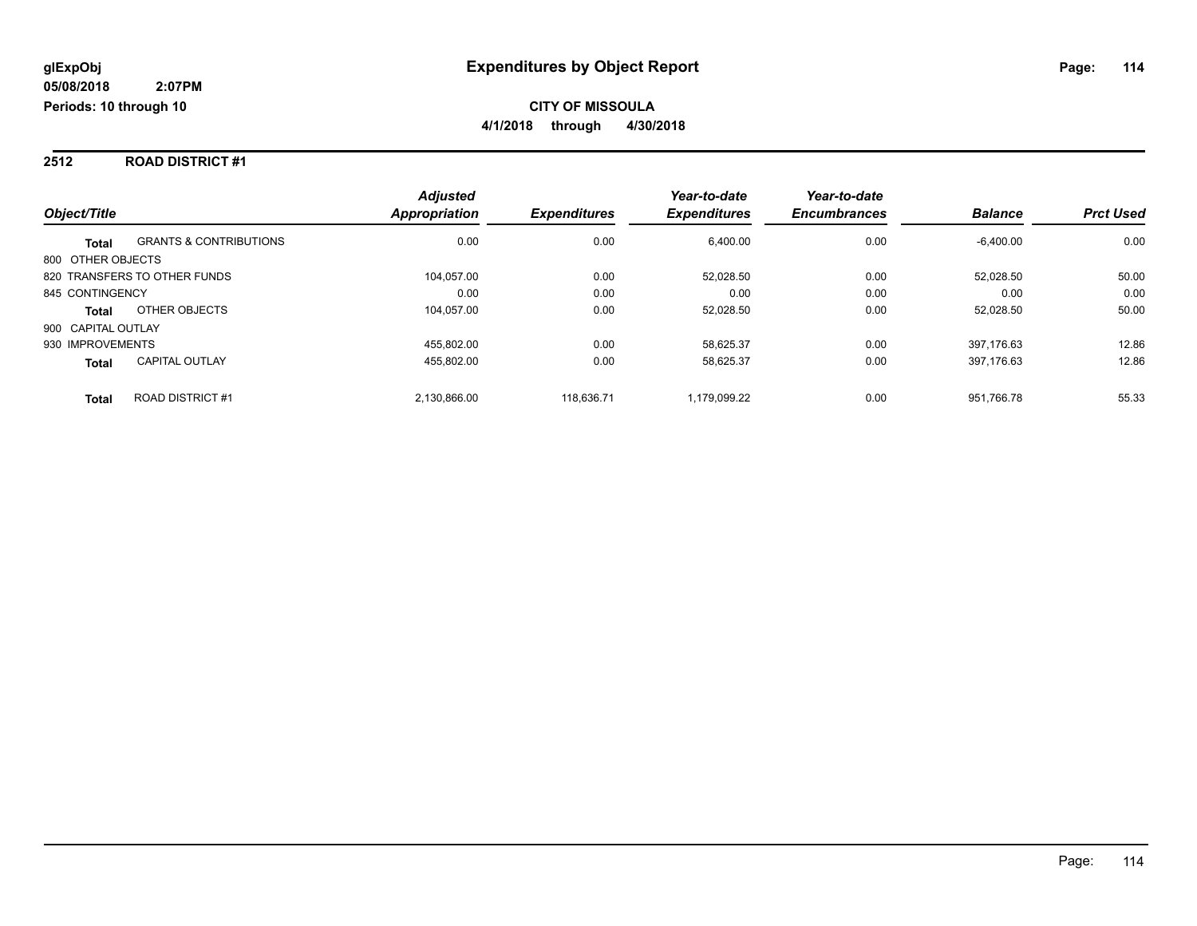### **2512 ROAD DISTRICT #1**

|                                                   | <b>Adjusted</b> |                     | Year-to-date        | Year-to-date        |                |                  |
|---------------------------------------------------|-----------------|---------------------|---------------------|---------------------|----------------|------------------|
| Object/Title                                      | Appropriation   | <b>Expenditures</b> | <b>Expenditures</b> | <b>Encumbrances</b> | <b>Balance</b> | <b>Prct Used</b> |
| <b>GRANTS &amp; CONTRIBUTIONS</b><br><b>Total</b> | 0.00            | 0.00                | 6,400.00            | 0.00                | $-6,400.00$    | 0.00             |
| 800 OTHER OBJECTS                                 |                 |                     |                     |                     |                |                  |
| 820 TRANSFERS TO OTHER FUNDS                      | 104.057.00      | 0.00                | 52.028.50           | 0.00                | 52.028.50      | 50.00            |
| 845 CONTINGENCY                                   | 0.00            | 0.00                | 0.00                | 0.00                | 0.00           | 0.00             |
| OTHER OBJECTS<br>Total                            | 104.057.00      | 0.00                | 52.028.50           | 0.00                | 52.028.50      | 50.00            |
| 900 CAPITAL OUTLAY                                |                 |                     |                     |                     |                |                  |
| 930 IMPROVEMENTS                                  | 455.802.00      | 0.00                | 58.625.37           | 0.00                | 397.176.63     | 12.86            |
| <b>CAPITAL OUTLAY</b><br><b>Total</b>             | 455,802.00      | 0.00                | 58,625.37           | 0.00                | 397,176.63     | 12.86            |
| ROAD DISTRICT #1<br><b>Total</b>                  | 2.130.866.00    | 118.636.71          | 1.179.099.22        | 0.00                | 951.766.78     | 55.33            |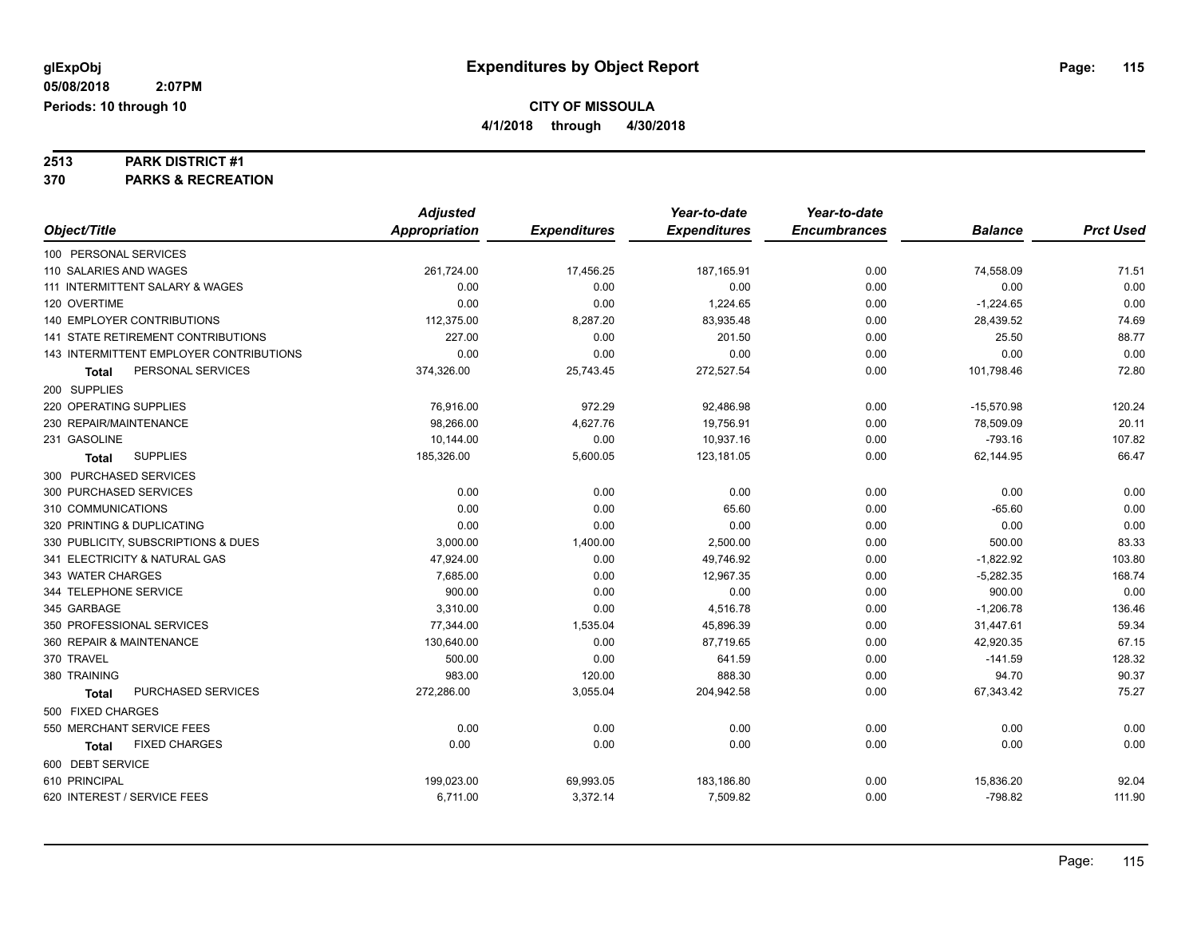## **2513 PARK DISTRICT #1**

**370 PARKS & RECREATION**

|                                           | <b>Adjusted</b> |                     | Year-to-date        | Year-to-date        |                |                  |
|-------------------------------------------|-----------------|---------------------|---------------------|---------------------|----------------|------------------|
| Object/Title                              | Appropriation   | <b>Expenditures</b> | <b>Expenditures</b> | <b>Encumbrances</b> | <b>Balance</b> | <b>Prct Used</b> |
| 100 PERSONAL SERVICES                     |                 |                     |                     |                     |                |                  |
| 110 SALARIES AND WAGES                    | 261,724.00      | 17,456.25           | 187,165.91          | 0.00                | 74,558.09      | 71.51            |
| 111 INTERMITTENT SALARY & WAGES           | 0.00            | 0.00                | 0.00                | 0.00                | 0.00           | 0.00             |
| 120 OVERTIME                              | 0.00            | 0.00                | 1,224.65            | 0.00                | $-1,224.65$    | 0.00             |
| 140 EMPLOYER CONTRIBUTIONS                | 112,375.00      | 8,287.20            | 83,935.48           | 0.00                | 28,439.52      | 74.69            |
| <b>141 STATE RETIREMENT CONTRIBUTIONS</b> | 227.00          | 0.00                | 201.50              | 0.00                | 25.50          | 88.77            |
| 143 INTERMITTENT EMPLOYER CONTRIBUTIONS   | 0.00            | 0.00                | 0.00                | 0.00                | 0.00           | 0.00             |
| PERSONAL SERVICES<br><b>Total</b>         | 374,326.00      | 25,743.45           | 272,527.54          | 0.00                | 101,798.46     | 72.80            |
| 200 SUPPLIES                              |                 |                     |                     |                     |                |                  |
| 220 OPERATING SUPPLIES                    | 76,916.00       | 972.29              | 92,486.98           | 0.00                | $-15,570.98$   | 120.24           |
| 230 REPAIR/MAINTENANCE                    | 98,266.00       | 4,627.76            | 19,756.91           | 0.00                | 78,509.09      | 20.11            |
| 231 GASOLINE                              | 10,144.00       | 0.00                | 10,937.16           | 0.00                | $-793.16$      | 107.82           |
| <b>SUPPLIES</b><br><b>Total</b>           | 185,326.00      | 5,600.05            | 123,181.05          | 0.00                | 62,144.95      | 66.47            |
| 300 PURCHASED SERVICES                    |                 |                     |                     |                     |                |                  |
| 300 PURCHASED SERVICES                    | 0.00            | 0.00                | 0.00                | 0.00                | 0.00           | 0.00             |
| 310 COMMUNICATIONS                        | 0.00            | 0.00                | 65.60               | 0.00                | $-65.60$       | 0.00             |
| 320 PRINTING & DUPLICATING                | 0.00            | 0.00                | 0.00                | 0.00                | 0.00           | 0.00             |
| 330 PUBLICITY, SUBSCRIPTIONS & DUES       | 3,000.00        | 1,400.00            | 2,500.00            | 0.00                | 500.00         | 83.33            |
| 341 ELECTRICITY & NATURAL GAS             | 47,924.00       | 0.00                | 49,746.92           | 0.00                | $-1,822.92$    | 103.80           |
| 343 WATER CHARGES                         | 7,685.00        | 0.00                | 12,967.35           | 0.00                | $-5,282.35$    | 168.74           |
| 344 TELEPHONE SERVICE                     | 900.00          | 0.00                | 0.00                | 0.00                | 900.00         | 0.00             |
| 345 GARBAGE                               | 3,310.00        | 0.00                | 4,516.78            | 0.00                | $-1,206.78$    | 136.46           |
| 350 PROFESSIONAL SERVICES                 | 77,344.00       | 1,535.04            | 45,896.39           | 0.00                | 31,447.61      | 59.34            |
| 360 REPAIR & MAINTENANCE                  | 130,640.00      | 0.00                | 87,719.65           | 0.00                | 42,920.35      | 67.15            |
| 370 TRAVEL                                | 500.00          | 0.00                | 641.59              | 0.00                | $-141.59$      | 128.32           |
| 380 TRAINING                              | 983.00          | 120.00              | 888.30              | 0.00                | 94.70          | 90.37            |
| PURCHASED SERVICES<br><b>Total</b>        | 272,286.00      | 3,055.04            | 204,942.58          | 0.00                | 67,343.42      | 75.27            |
| 500 FIXED CHARGES                         |                 |                     |                     |                     |                |                  |
| 550 MERCHANT SERVICE FEES                 | 0.00            | 0.00                | 0.00                | 0.00                | 0.00           | 0.00             |
| <b>FIXED CHARGES</b><br><b>Total</b>      | 0.00            | 0.00                | 0.00                | 0.00                | 0.00           | 0.00             |
| 600 DEBT SERVICE                          |                 |                     |                     |                     |                |                  |
| 610 PRINCIPAL                             | 199,023.00      | 69,993.05           | 183,186.80          | 0.00                | 15,836.20      | 92.04            |
| 620 INTEREST / SERVICE FEES               | 6,711.00        | 3,372.14            | 7,509.82            | 0.00                | $-798.82$      | 111.90           |
|                                           |                 |                     |                     |                     |                |                  |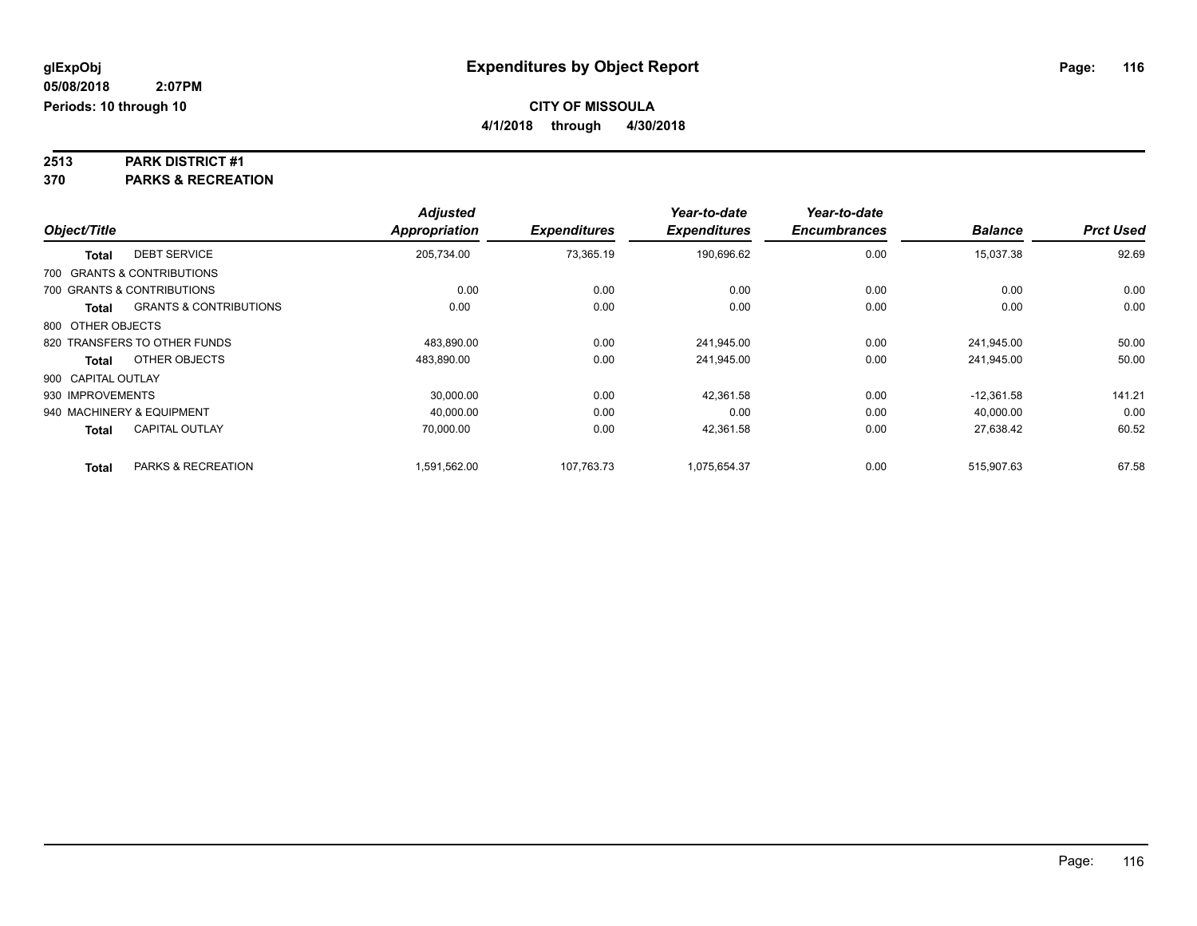## **2513 PARK DISTRICT #1**

**370 PARKS & RECREATION**

|                    |                                   | <b>Adjusted</b> |                     | Year-to-date        | Year-to-date        |                |                  |
|--------------------|-----------------------------------|-----------------|---------------------|---------------------|---------------------|----------------|------------------|
| Object/Title       |                                   | Appropriation   | <b>Expenditures</b> | <b>Expenditures</b> | <b>Encumbrances</b> | <b>Balance</b> | <b>Prct Used</b> |
| <b>Total</b>       | <b>DEBT SERVICE</b>               | 205,734.00      | 73,365.19           | 190,696.62          | 0.00                | 15,037.38      | 92.69            |
|                    | 700 GRANTS & CONTRIBUTIONS        |                 |                     |                     |                     |                |                  |
|                    | 700 GRANTS & CONTRIBUTIONS        | 0.00            | 0.00                | 0.00                | 0.00                | 0.00           | 0.00             |
| <b>Total</b>       | <b>GRANTS &amp; CONTRIBUTIONS</b> | 0.00            | 0.00                | 0.00                | 0.00                | 0.00           | 0.00             |
| 800 OTHER OBJECTS  |                                   |                 |                     |                     |                     |                |                  |
|                    | 820 TRANSFERS TO OTHER FUNDS      | 483,890.00      | 0.00                | 241,945.00          | 0.00                | 241,945.00     | 50.00            |
| <b>Total</b>       | OTHER OBJECTS                     | 483,890.00      | 0.00                | 241,945.00          | 0.00                | 241,945.00     | 50.00            |
| 900 CAPITAL OUTLAY |                                   |                 |                     |                     |                     |                |                  |
| 930 IMPROVEMENTS   |                                   | 30,000.00       | 0.00                | 42.361.58           | 0.00                | $-12.361.58$   | 141.21           |
|                    | 940 MACHINERY & EQUIPMENT         | 40,000.00       | 0.00                | 0.00                | 0.00                | 40,000.00      | 0.00             |
| <b>Total</b>       | <b>CAPITAL OUTLAY</b>             | 70,000.00       | 0.00                | 42,361.58           | 0.00                | 27,638.42      | 60.52            |
| <b>Total</b>       | PARKS & RECREATION                | 1,591,562.00    | 107,763.73          | 1,075,654.37        | 0.00                | 515.907.63     | 67.58            |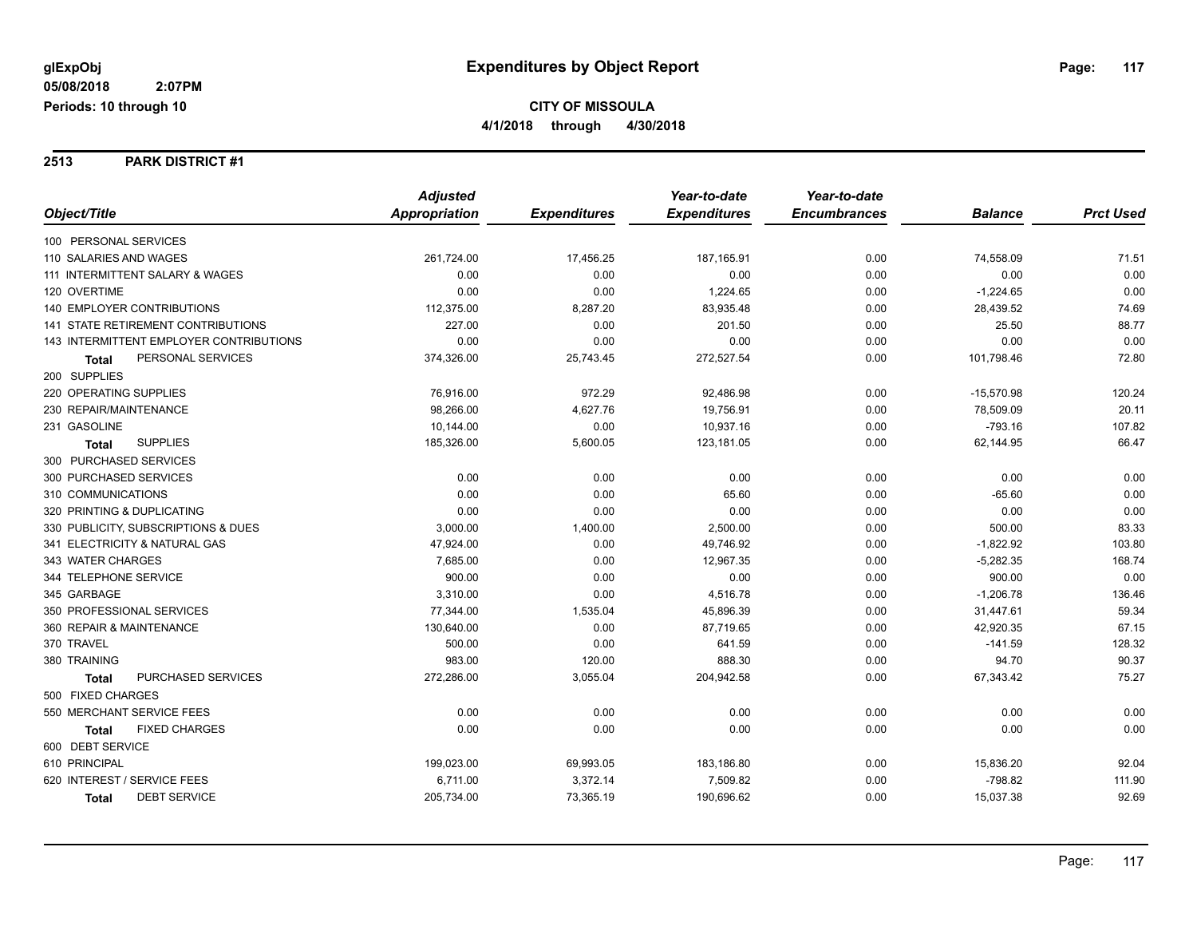### **2513 PARK DISTRICT #1**

|                                         | <b>Adjusted</b> |                     | Year-to-date        | Year-to-date        |                |                  |
|-----------------------------------------|-----------------|---------------------|---------------------|---------------------|----------------|------------------|
| Object/Title                            | Appropriation   | <b>Expenditures</b> | <b>Expenditures</b> | <b>Encumbrances</b> | <b>Balance</b> | <b>Prct Used</b> |
| 100 PERSONAL SERVICES                   |                 |                     |                     |                     |                |                  |
| 110 SALARIES AND WAGES                  | 261,724.00      | 17,456.25           | 187, 165.91         | 0.00                | 74,558.09      | 71.51            |
| 111 INTERMITTENT SALARY & WAGES         | 0.00            | 0.00                | 0.00                | 0.00                | 0.00           | 0.00             |
| 120 OVERTIME                            | 0.00            | 0.00                | 1,224.65            | 0.00                | $-1,224.65$    | 0.00             |
| 140 EMPLOYER CONTRIBUTIONS              | 112,375.00      | 8,287.20            | 83,935.48           | 0.00                | 28,439.52      | 74.69            |
| 141 STATE RETIREMENT CONTRIBUTIONS      | 227.00          | 0.00                | 201.50              | 0.00                | 25.50          | 88.77            |
| 143 INTERMITTENT EMPLOYER CONTRIBUTIONS | 0.00            | 0.00                | 0.00                | 0.00                | 0.00           | 0.00             |
| PERSONAL SERVICES<br><b>Total</b>       | 374,326.00      | 25,743.45           | 272,527.54          | 0.00                | 101,798.46     | 72.80            |
| 200 SUPPLIES                            |                 |                     |                     |                     |                |                  |
| 220 OPERATING SUPPLIES                  | 76,916.00       | 972.29              | 92,486.98           | 0.00                | $-15,570.98$   | 120.24           |
| 230 REPAIR/MAINTENANCE                  | 98,266.00       | 4,627.76            | 19,756.91           | 0.00                | 78,509.09      | 20.11            |
| 231 GASOLINE                            | 10,144.00       | 0.00                | 10,937.16           | 0.00                | $-793.16$      | 107.82           |
| <b>SUPPLIES</b><br><b>Total</b>         | 185,326.00      | 5,600.05            | 123,181.05          | 0.00                | 62,144.95      | 66.47            |
| 300 PURCHASED SERVICES                  |                 |                     |                     |                     |                |                  |
| 300 PURCHASED SERVICES                  | 0.00            | 0.00                | 0.00                | 0.00                | 0.00           | 0.00             |
| 310 COMMUNICATIONS                      | 0.00            | 0.00                | 65.60               | 0.00                | $-65.60$       | 0.00             |
| 320 PRINTING & DUPLICATING              | 0.00            | 0.00                | 0.00                | 0.00                | 0.00           | 0.00             |
| 330 PUBLICITY, SUBSCRIPTIONS & DUES     | 3,000.00        | 1,400.00            | 2,500.00            | 0.00                | 500.00         | 83.33            |
| 341 ELECTRICITY & NATURAL GAS           | 47,924.00       | 0.00                | 49,746.92           | 0.00                | $-1,822.92$    | 103.80           |
| 343 WATER CHARGES                       | 7,685.00        | 0.00                | 12,967.35           | 0.00                | $-5,282.35$    | 168.74           |
| 344 TELEPHONE SERVICE                   | 900.00          | 0.00                | 0.00                | 0.00                | 900.00         | 0.00             |
| 345 GARBAGE                             | 3,310.00        | 0.00                | 4,516.78            | 0.00                | $-1,206.78$    | 136.46           |
| 350 PROFESSIONAL SERVICES               | 77,344.00       | 1,535.04            | 45,896.39           | 0.00                | 31,447.61      | 59.34            |
| 360 REPAIR & MAINTENANCE                | 130,640.00      | 0.00                | 87,719.65           | 0.00                | 42,920.35      | 67.15            |
| 370 TRAVEL                              | 500.00          | 0.00                | 641.59              | 0.00                | $-141.59$      | 128.32           |
| 380 TRAINING                            | 983.00          | 120.00              | 888.30              | 0.00                | 94.70          | 90.37            |
| PURCHASED SERVICES<br>Total             | 272,286.00      | 3,055.04            | 204,942.58          | 0.00                | 67,343.42      | 75.27            |
| 500 FIXED CHARGES                       |                 |                     |                     |                     |                |                  |
| 550 MERCHANT SERVICE FEES               | 0.00            | 0.00                | 0.00                | 0.00                | 0.00           | 0.00             |
| <b>FIXED CHARGES</b><br>Total           | 0.00            | 0.00                | 0.00                | 0.00                | 0.00           | 0.00             |
| 600 DEBT SERVICE                        |                 |                     |                     |                     |                |                  |
| 610 PRINCIPAL                           | 199,023.00      | 69,993.05           | 183,186.80          | 0.00                | 15,836.20      | 92.04            |
| 620 INTEREST / SERVICE FEES             | 6,711.00        | 3,372.14            | 7,509.82            | 0.00                | $-798.82$      | 111.90           |
| <b>DEBT SERVICE</b><br><b>Total</b>     | 205,734.00      | 73,365.19           | 190,696.62          | 0.00                | 15,037.38      | 92.69            |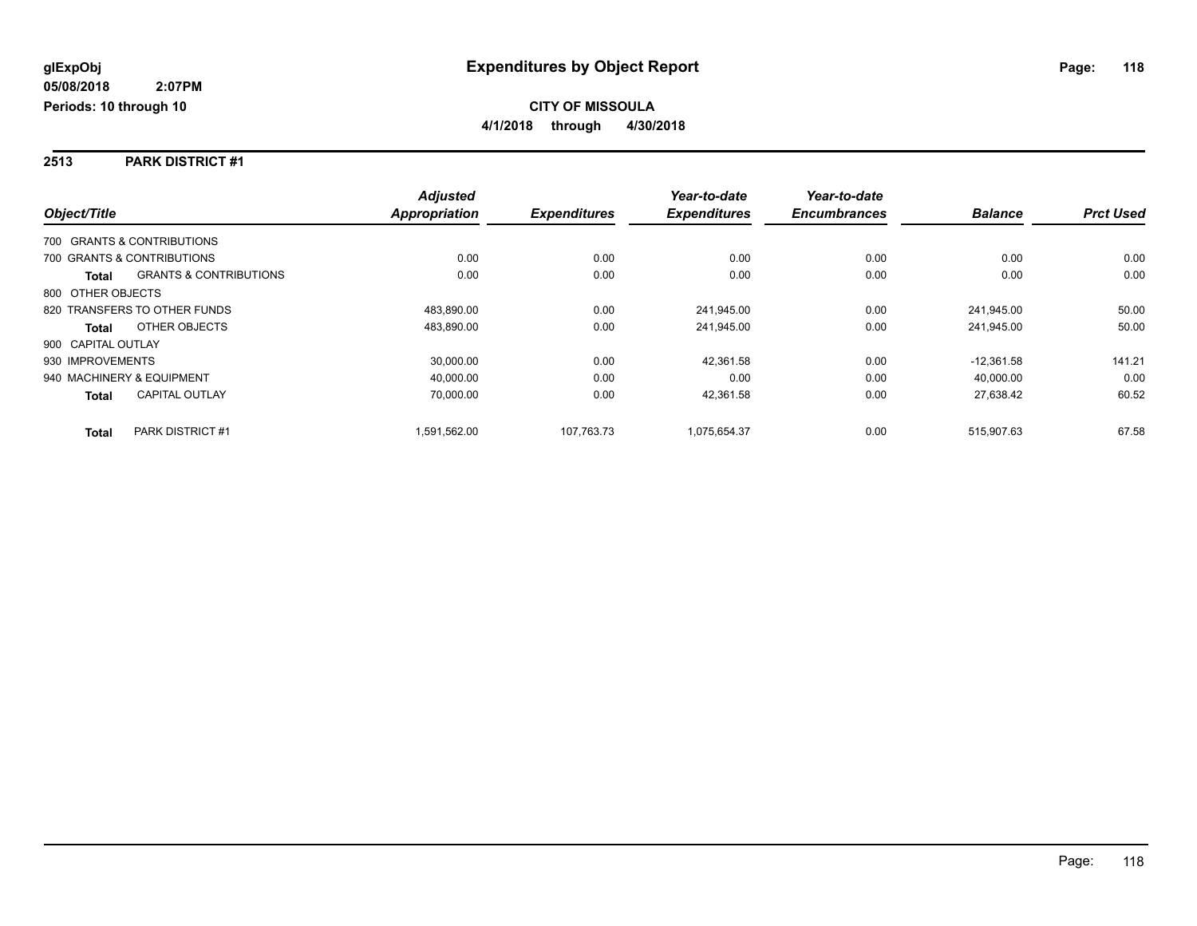### **2513 PARK DISTRICT #1**

|                    |                                   | <b>Adjusted</b>      |                     | Year-to-date        | Year-to-date        |                |                  |
|--------------------|-----------------------------------|----------------------|---------------------|---------------------|---------------------|----------------|------------------|
| Object/Title       |                                   | <b>Appropriation</b> | <b>Expenditures</b> | <b>Expenditures</b> | <b>Encumbrances</b> | <b>Balance</b> | <b>Prct Used</b> |
|                    | 700 GRANTS & CONTRIBUTIONS        |                      |                     |                     |                     |                |                  |
|                    | 700 GRANTS & CONTRIBUTIONS        | 0.00                 | 0.00                | 0.00                | 0.00                | 0.00           | 0.00             |
| <b>Total</b>       | <b>GRANTS &amp; CONTRIBUTIONS</b> | 0.00                 | 0.00                | 0.00                | 0.00                | 0.00           | 0.00             |
| 800 OTHER OBJECTS  |                                   |                      |                     |                     |                     |                |                  |
|                    | 820 TRANSFERS TO OTHER FUNDS      | 483,890.00           | 0.00                | 241.945.00          | 0.00                | 241.945.00     | 50.00            |
| Total              | OTHER OBJECTS                     | 483,890.00           | 0.00                | 241,945.00          | 0.00                | 241.945.00     | 50.00            |
| 900 CAPITAL OUTLAY |                                   |                      |                     |                     |                     |                |                  |
| 930 IMPROVEMENTS   |                                   | 30.000.00            | 0.00                | 42.361.58           | 0.00                | $-12.361.58$   | 141.21           |
|                    | 940 MACHINERY & EQUIPMENT         | 40,000.00            | 0.00                | 0.00                | 0.00                | 40.000.00      | 0.00             |
| <b>Total</b>       | <b>CAPITAL OUTLAY</b>             | 70,000.00            | 0.00                | 42,361.58           | 0.00                | 27,638.42      | 60.52            |
| <b>Total</b>       | <b>PARK DISTRICT#1</b>            | 1,591,562.00         | 107.763.73          | 1.075.654.37        | 0.00                | 515.907.63     | 67.58            |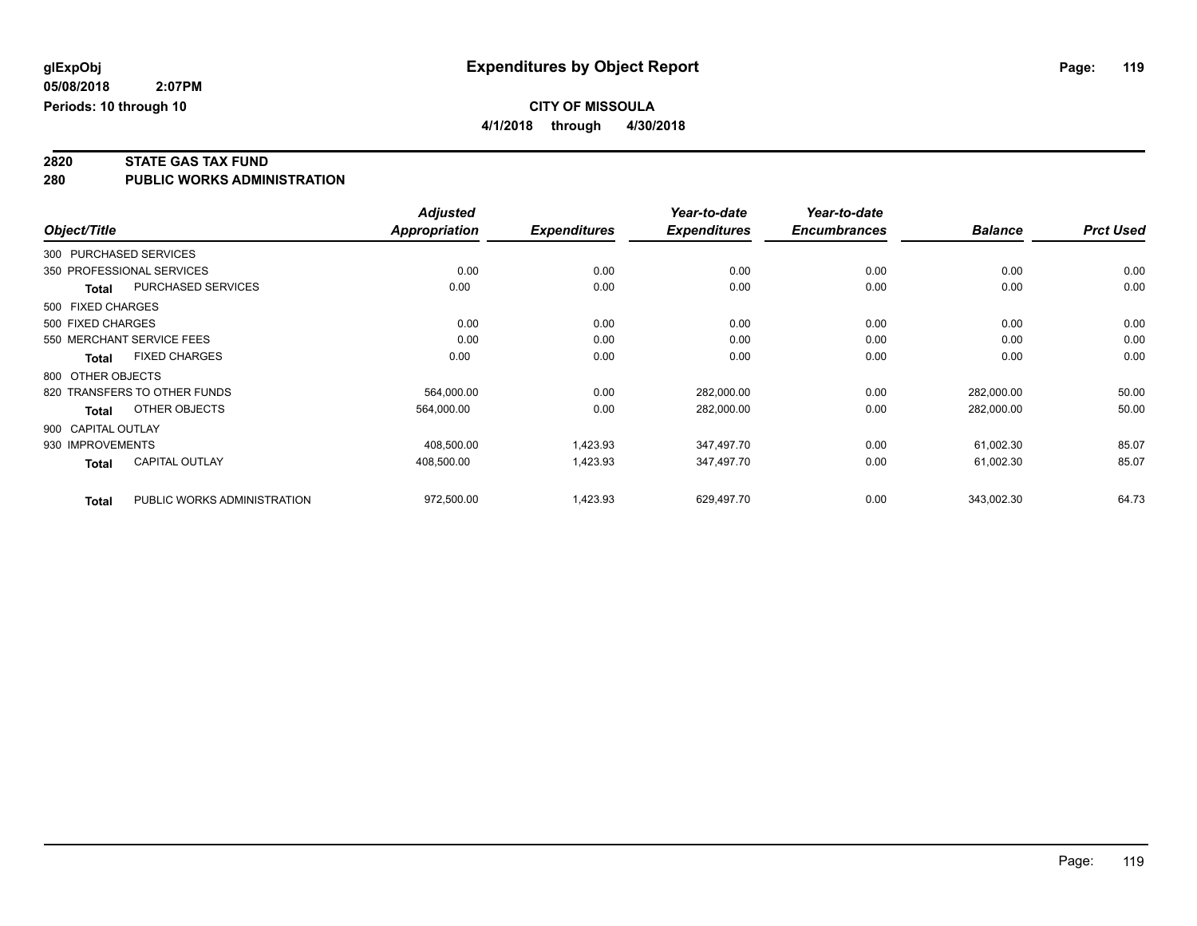**2820 STATE GAS TAX FUND 280 PUBLIC WORKS ADMINISTRATION**

|              |                    |                              | <b>Adjusted</b> |                     | Year-to-date        | Year-to-date        |                |                  |
|--------------|--------------------|------------------------------|-----------------|---------------------|---------------------|---------------------|----------------|------------------|
| Object/Title |                    |                              | Appropriation   | <b>Expenditures</b> | <b>Expenditures</b> | <b>Encumbrances</b> | <b>Balance</b> | <b>Prct Used</b> |
|              |                    | 300 PURCHASED SERVICES       |                 |                     |                     |                     |                |                  |
|              |                    | 350 PROFESSIONAL SERVICES    | 0.00            | 0.00                | 0.00                | 0.00                | 0.00           | 0.00             |
|              | <b>Total</b>       | PURCHASED SERVICES           | 0.00            | 0.00                | 0.00                | 0.00                | 0.00           | 0.00             |
|              | 500 FIXED CHARGES  |                              |                 |                     |                     |                     |                |                  |
|              | 500 FIXED CHARGES  |                              | 0.00            | 0.00                | 0.00                | 0.00                | 0.00           | 0.00             |
|              |                    | 550 MERCHANT SERVICE FEES    | 0.00            | 0.00                | 0.00                | 0.00                | 0.00           | 0.00             |
|              | Total              | <b>FIXED CHARGES</b>         | 0.00            | 0.00                | 0.00                | 0.00                | 0.00           | 0.00             |
|              | 800 OTHER OBJECTS  |                              |                 |                     |                     |                     |                |                  |
|              |                    | 820 TRANSFERS TO OTHER FUNDS | 564.000.00      | 0.00                | 282,000.00          | 0.00                | 282,000.00     | 50.00            |
|              | Total              | OTHER OBJECTS                | 564,000.00      | 0.00                | 282,000.00          | 0.00                | 282,000.00     | 50.00            |
|              | 900 CAPITAL OUTLAY |                              |                 |                     |                     |                     |                |                  |
|              | 930 IMPROVEMENTS   |                              | 408,500.00      | 1,423.93            | 347,497.70          | 0.00                | 61,002.30      | 85.07            |
|              | <b>Total</b>       | CAPITAL OUTLAY               | 408,500.00      | 1,423.93            | 347,497.70          | 0.00                | 61,002.30      | 85.07            |
|              | <b>Total</b>       | PUBLIC WORKS ADMINISTRATION  | 972,500.00      | 1,423.93            | 629,497.70          | 0.00                | 343,002.30     | 64.73            |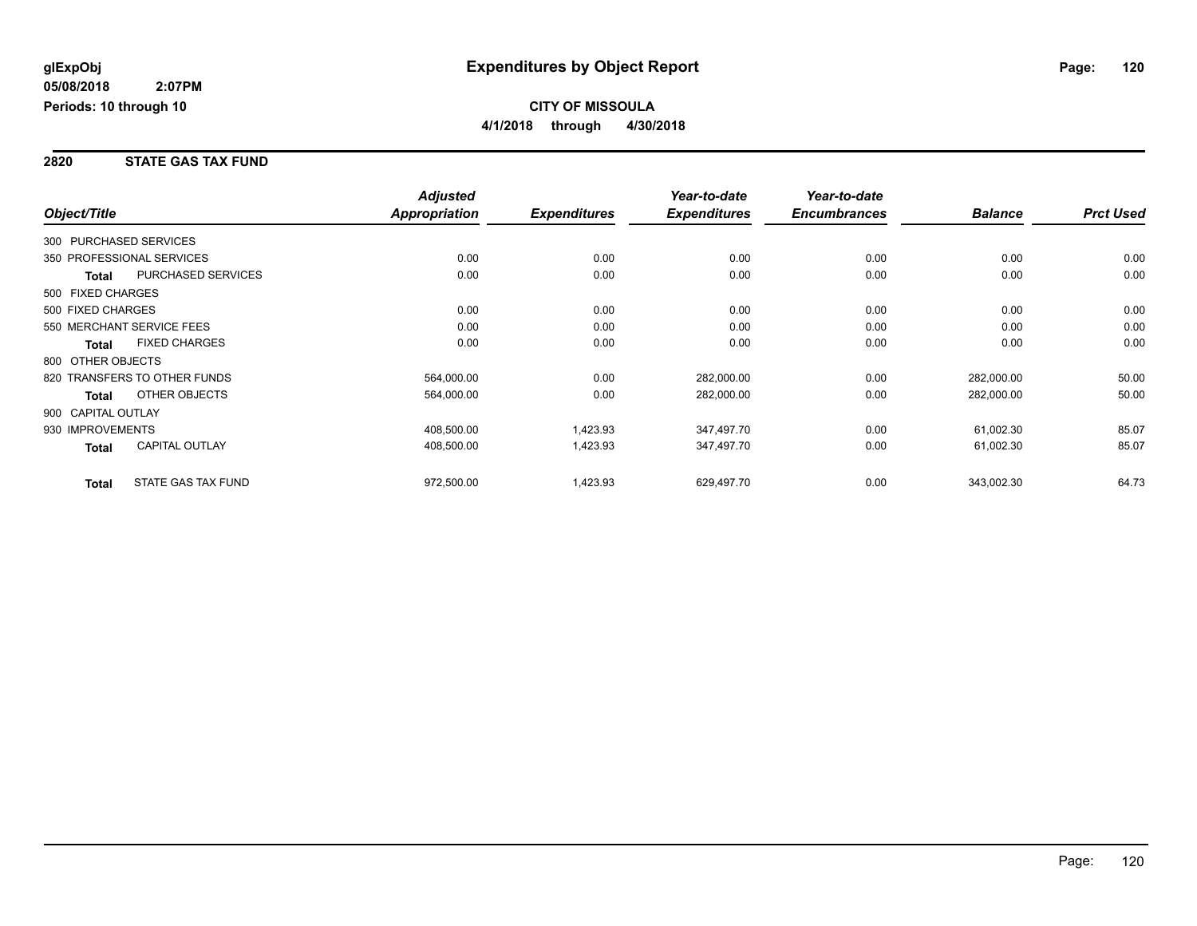### **2820 STATE GAS TAX FUND**

|                    |                              | <b>Adjusted</b> |                     | Year-to-date        | Year-to-date        |                |                  |
|--------------------|------------------------------|-----------------|---------------------|---------------------|---------------------|----------------|------------------|
| Object/Title       |                              | Appropriation   | <b>Expenditures</b> | <b>Expenditures</b> | <b>Encumbrances</b> | <b>Balance</b> | <b>Prct Used</b> |
|                    | 300 PURCHASED SERVICES       |                 |                     |                     |                     |                |                  |
|                    | 350 PROFESSIONAL SERVICES    | 0.00            | 0.00                | 0.00                | 0.00                | 0.00           | 0.00             |
| <b>Total</b>       | <b>PURCHASED SERVICES</b>    | 0.00            | 0.00                | 0.00                | 0.00                | 0.00           | 0.00             |
| 500 FIXED CHARGES  |                              |                 |                     |                     |                     |                |                  |
| 500 FIXED CHARGES  |                              | 0.00            | 0.00                | 0.00                | 0.00                | 0.00           | 0.00             |
|                    | 550 MERCHANT SERVICE FEES    | 0.00            | 0.00                | 0.00                | 0.00                | 0.00           | 0.00             |
| <b>Total</b>       | <b>FIXED CHARGES</b>         | 0.00            | 0.00                | 0.00                | 0.00                | 0.00           | 0.00             |
| 800 OTHER OBJECTS  |                              |                 |                     |                     |                     |                |                  |
|                    | 820 TRANSFERS TO OTHER FUNDS | 564,000.00      | 0.00                | 282,000.00          | 0.00                | 282,000.00     | 50.00            |
| <b>Total</b>       | OTHER OBJECTS                | 564,000.00      | 0.00                | 282,000.00          | 0.00                | 282,000.00     | 50.00            |
| 900 CAPITAL OUTLAY |                              |                 |                     |                     |                     |                |                  |
| 930 IMPROVEMENTS   |                              | 408,500.00      | 1,423.93            | 347,497.70          | 0.00                | 61,002.30      | 85.07            |
| Total              | CAPITAL OUTLAY               | 408,500.00      | 1,423.93            | 347,497.70          | 0.00                | 61,002.30      | 85.07            |
| <b>Total</b>       | STATE GAS TAX FUND           | 972,500.00      | 1,423.93            | 629,497.70          | 0.00                | 343,002.30     | 64.73            |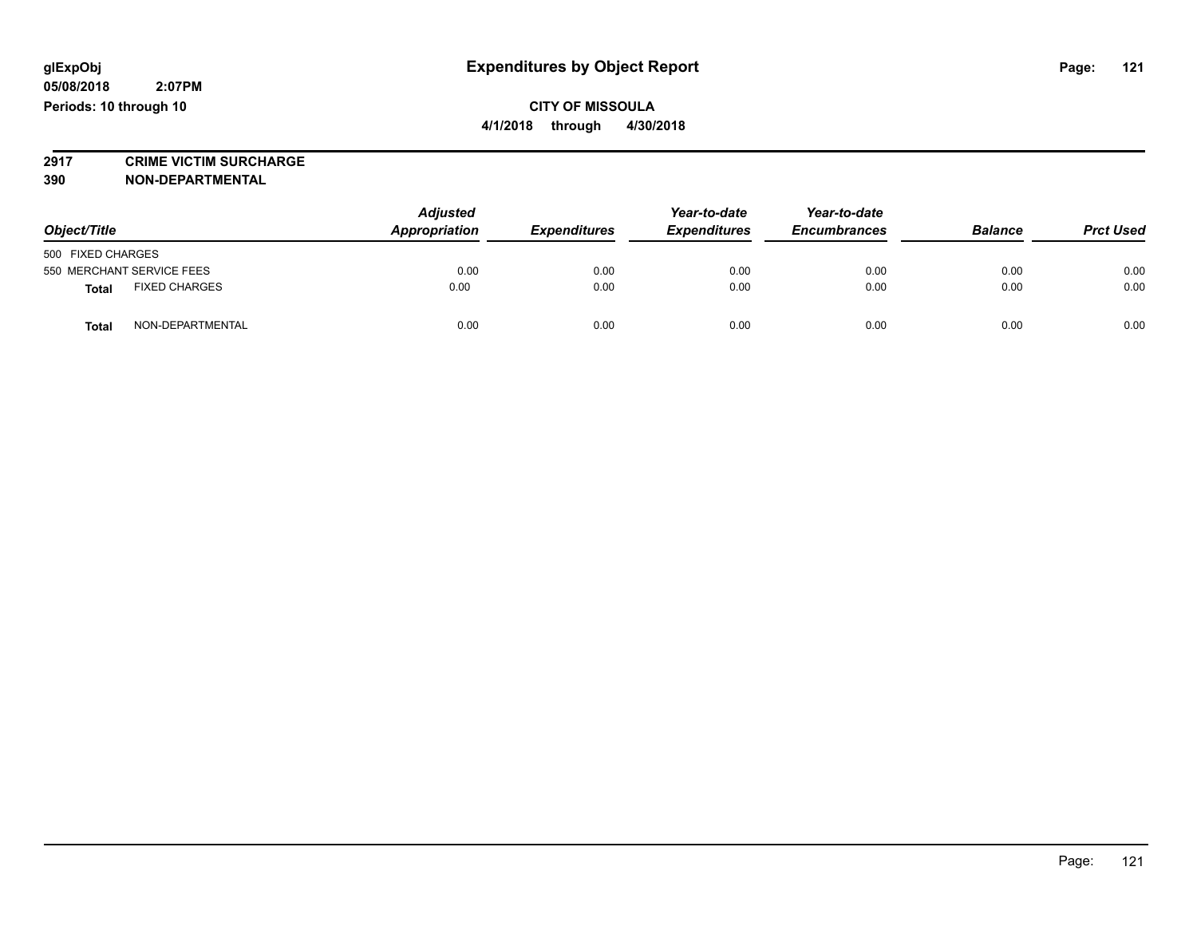## **2917 CRIME VICTIM SURCHARGE**

**390 NON-DEPARTMENTAL**

| Object/Title                         | <b>Adjusted</b><br>Appropriation | <b>Expenditures</b> | Year-to-date<br><b>Expenditures</b> | Year-to-date<br><b>Encumbrances</b> | <b>Balance</b> | <b>Prct Used</b> |
|--------------------------------------|----------------------------------|---------------------|-------------------------------------|-------------------------------------|----------------|------------------|
| 500 FIXED CHARGES                    |                                  |                     |                                     |                                     |                |                  |
| 550 MERCHANT SERVICE FEES            | 0.00                             | 0.00                | 0.00                                | 0.00                                | 0.00           | 0.00             |
| <b>FIXED CHARGES</b><br><b>Total</b> | 0.00                             | 0.00                | 0.00                                | 0.00                                | 0.00           | 0.00             |
| NON-DEPARTMENTAL<br>Total            | 0.00                             | 0.00                | 0.00                                | 0.00                                | 0.00           | 0.00             |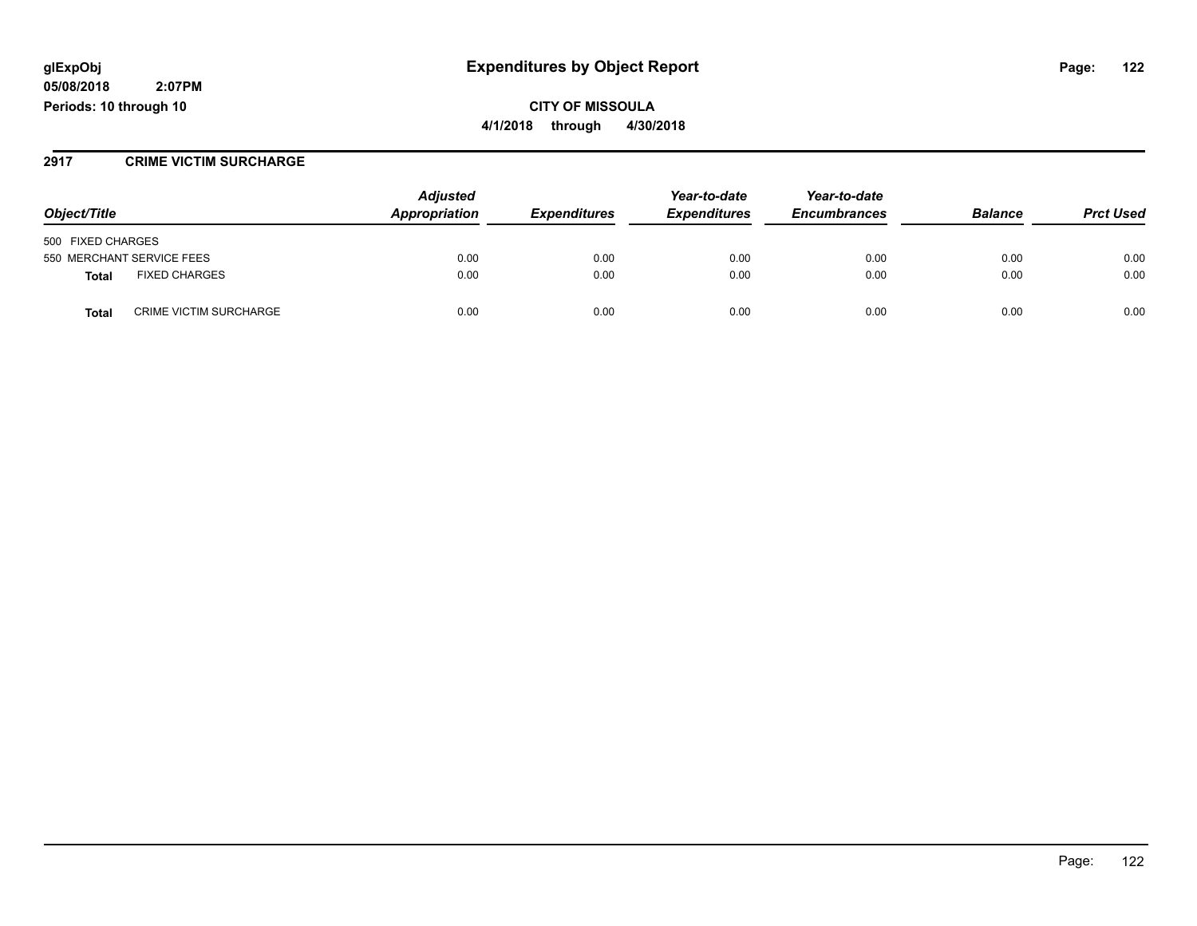**05/08/2018 2:07PM Periods: 10 through 10**

**CITY OF MISSOULA 4/1/2018 through 4/30/2018**

### **2917 CRIME VICTIM SURCHARGE**

|                                               | <b>Adjusted</b> |                     | Year-to-date        | Year-to-date        |                |                  |
|-----------------------------------------------|-----------------|---------------------|---------------------|---------------------|----------------|------------------|
| Object/Title                                  | Appropriation   | <b>Expenditures</b> | <b>Expenditures</b> | <b>Encumbrances</b> | <b>Balance</b> | <b>Prct Used</b> |
| 500 FIXED CHARGES                             |                 |                     |                     |                     |                |                  |
| 550 MERCHANT SERVICE FEES                     | 0.00            | 0.00                | 0.00                | 0.00                | 0.00           | 0.00             |
| <b>FIXED CHARGES</b><br>Total                 | 0.00            | 0.00                | 0.00                | 0.00                | 0.00           | 0.00             |
| <b>CRIME VICTIM SURCHARGE</b><br><b>Total</b> | 0.00            | 0.00                | 0.00                | 0.00                | 0.00           | 0.00             |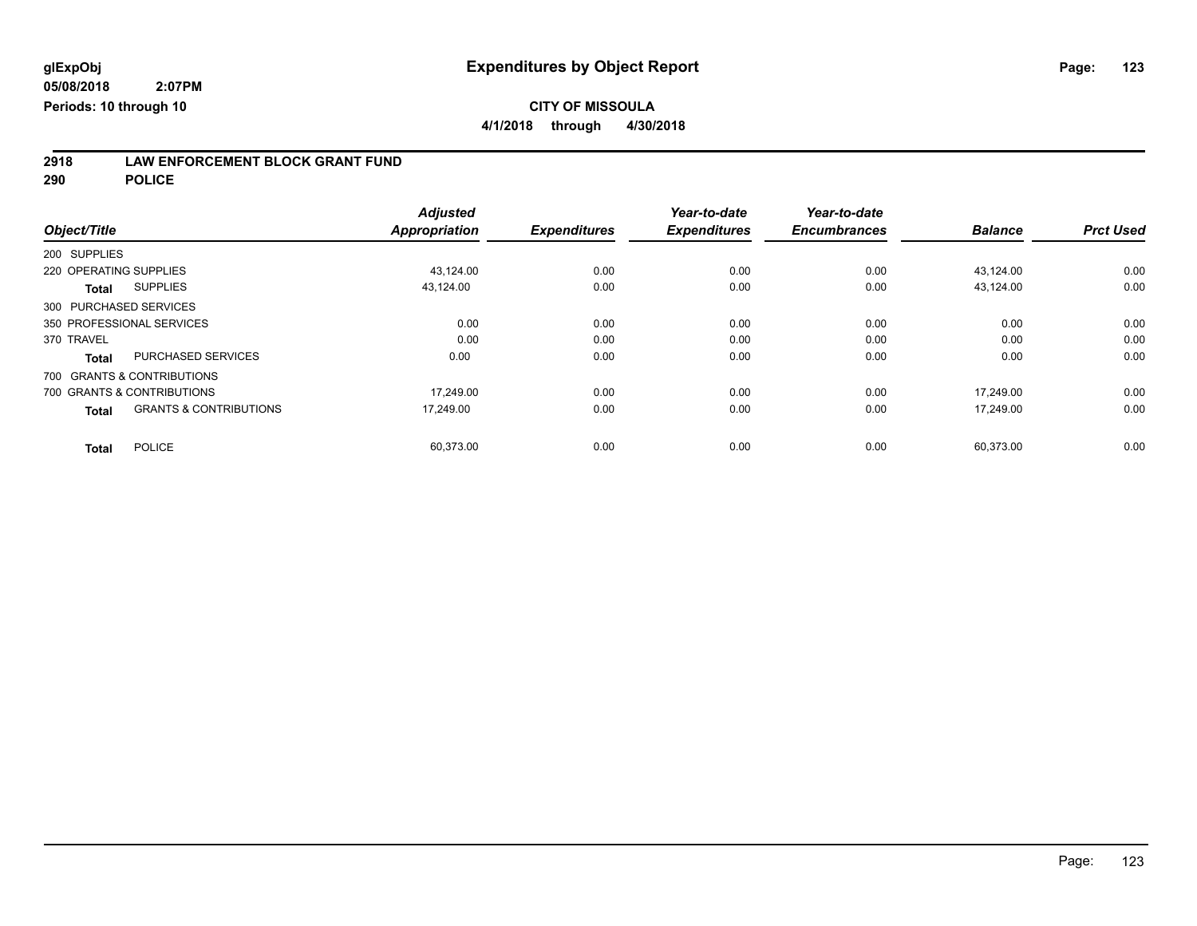## **2918 LAW ENFORCEMENT BLOCK GRANT FUND**

**290 POLICE**

|                                                   | <b>Adjusted</b>      |                     | Year-to-date        | Year-to-date        |                |                  |
|---------------------------------------------------|----------------------|---------------------|---------------------|---------------------|----------------|------------------|
| Object/Title                                      | <b>Appropriation</b> | <b>Expenditures</b> | <b>Expenditures</b> | <b>Encumbrances</b> | <b>Balance</b> | <b>Prct Used</b> |
| 200 SUPPLIES                                      |                      |                     |                     |                     |                |                  |
| 220 OPERATING SUPPLIES                            | 43,124.00            | 0.00                | 0.00                | 0.00                | 43,124.00      | 0.00             |
| <b>SUPPLIES</b><br><b>Total</b>                   | 43,124.00            | 0.00                | 0.00                | 0.00                | 43.124.00      | 0.00             |
| 300 PURCHASED SERVICES                            |                      |                     |                     |                     |                |                  |
| 350 PROFESSIONAL SERVICES                         | 0.00                 | 0.00                | 0.00                | 0.00                | 0.00           | 0.00             |
| 370 TRAVEL                                        | 0.00                 | 0.00                | 0.00                | 0.00                | 0.00           | 0.00             |
| <b>PURCHASED SERVICES</b><br><b>Total</b>         | 0.00                 | 0.00                | 0.00                | 0.00                | 0.00           | 0.00             |
| 700 GRANTS & CONTRIBUTIONS                        |                      |                     |                     |                     |                |                  |
| 700 GRANTS & CONTRIBUTIONS                        | 17.249.00            | 0.00                | 0.00                | 0.00                | 17.249.00      | 0.00             |
| <b>GRANTS &amp; CONTRIBUTIONS</b><br><b>Total</b> | 17,249.00            | 0.00                | 0.00                | 0.00                | 17,249.00      | 0.00             |
| <b>POLICE</b><br><b>Total</b>                     | 60,373.00            | 0.00                | 0.00                | 0.00                | 60,373.00      | 0.00             |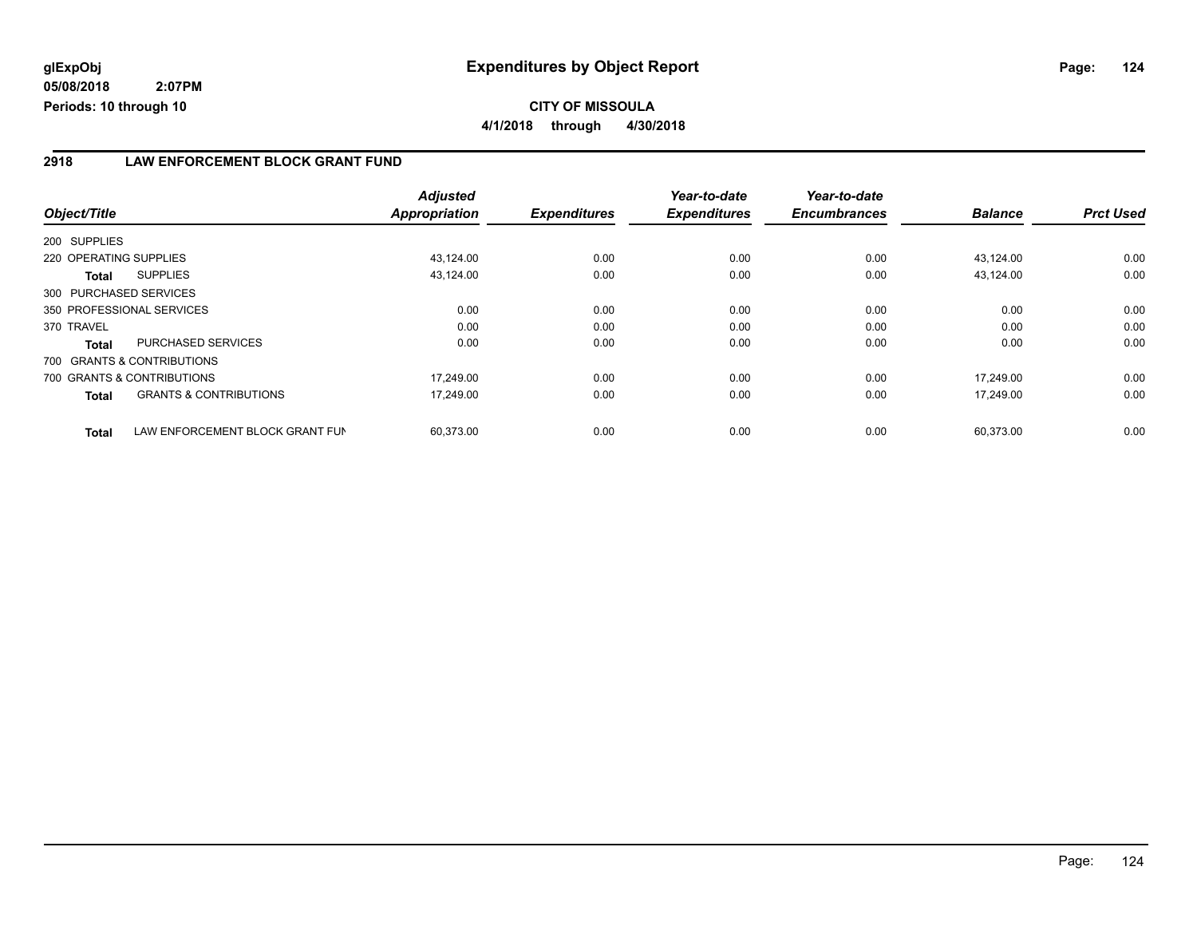**05/08/2018 2:07PM Periods: 10 through 10**

**CITY OF MISSOULA 4/1/2018 through 4/30/2018**

### **2918 LAW ENFORCEMENT BLOCK GRANT FUND**

|                            |                                   | <b>Adjusted</b> |                     | Year-to-date        | Year-to-date        |                |                  |
|----------------------------|-----------------------------------|-----------------|---------------------|---------------------|---------------------|----------------|------------------|
| Object/Title               |                                   | Appropriation   | <b>Expenditures</b> | <b>Expenditures</b> | <b>Encumbrances</b> | <b>Balance</b> | <b>Prct Used</b> |
| 200 SUPPLIES               |                                   |                 |                     |                     |                     |                |                  |
| 220 OPERATING SUPPLIES     |                                   | 43,124.00       | 0.00                | 0.00                | 0.00                | 43.124.00      | 0.00             |
| Total                      | <b>SUPPLIES</b>                   | 43,124.00       | 0.00                | 0.00                | 0.00                | 43,124.00      | 0.00             |
| 300 PURCHASED SERVICES     |                                   |                 |                     |                     |                     |                |                  |
| 350 PROFESSIONAL SERVICES  |                                   | 0.00            | 0.00                | 0.00                | 0.00                | 0.00           | 0.00             |
| 370 TRAVEL                 |                                   | 0.00            | 0.00                | 0.00                | 0.00                | 0.00           | 0.00             |
| <b>Total</b>               | <b>PURCHASED SERVICES</b>         | 0.00            | 0.00                | 0.00                | 0.00                | 0.00           | 0.00             |
| 700 GRANTS & CONTRIBUTIONS |                                   |                 |                     |                     |                     |                |                  |
| 700 GRANTS & CONTRIBUTIONS |                                   | 17.249.00       | 0.00                | 0.00                | 0.00                | 17.249.00      | 0.00             |
| Total                      | <b>GRANTS &amp; CONTRIBUTIONS</b> | 17,249.00       | 0.00                | 0.00                | 0.00                | 17.249.00      | 0.00             |
| <b>Total</b>               | LAW ENFORCEMENT BLOCK GRANT FUN   | 60.373.00       | 0.00                | 0.00                | 0.00                | 60.373.00      | 0.00             |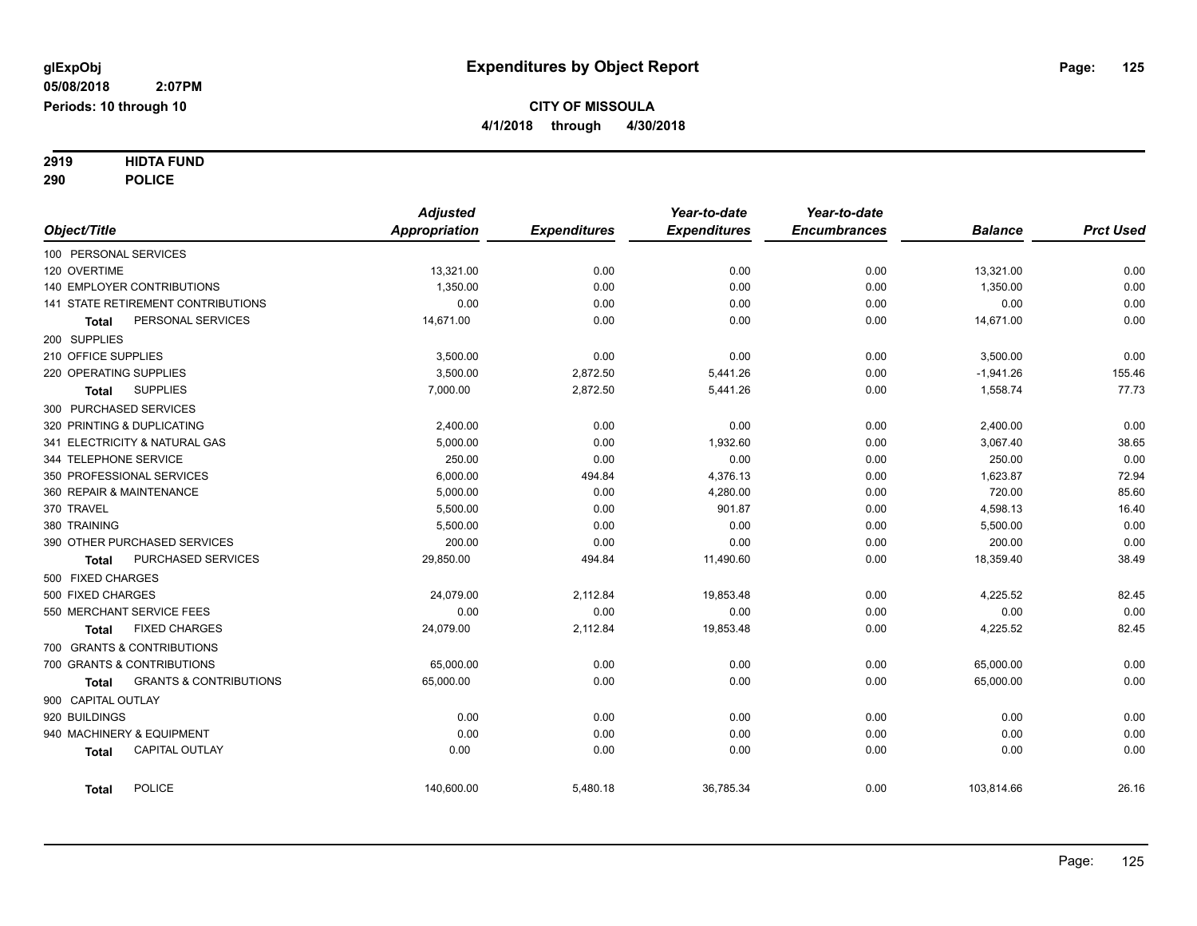# **2919 HIDTA FUND**

**290 POLICE**

|                        |                                    | <b>Adjusted</b>      |                     | Year-to-date        | Year-to-date        |                |                  |
|------------------------|------------------------------------|----------------------|---------------------|---------------------|---------------------|----------------|------------------|
| Object/Title           |                                    | <b>Appropriation</b> | <b>Expenditures</b> | <b>Expenditures</b> | <b>Encumbrances</b> | <b>Balance</b> | <b>Prct Used</b> |
| 100 PERSONAL SERVICES  |                                    |                      |                     |                     |                     |                |                  |
| 120 OVERTIME           |                                    | 13,321.00            | 0.00                | 0.00                | 0.00                | 13,321.00      | 0.00             |
|                        | <b>140 EMPLOYER CONTRIBUTIONS</b>  | 1,350.00             | 0.00                | 0.00                | 0.00                | 1,350.00       | 0.00             |
|                        | 141 STATE RETIREMENT CONTRIBUTIONS | 0.00                 | 0.00                | 0.00                | 0.00                | 0.00           | 0.00             |
| Total                  | PERSONAL SERVICES                  | 14,671.00            | 0.00                | 0.00                | 0.00                | 14,671.00      | 0.00             |
| 200 SUPPLIES           |                                    |                      |                     |                     |                     |                |                  |
| 210 OFFICE SUPPLIES    |                                    | 3,500.00             | 0.00                | 0.00                | 0.00                | 3,500.00       | 0.00             |
| 220 OPERATING SUPPLIES |                                    | 3,500.00             | 2,872.50            | 5,441.26            | 0.00                | $-1,941.26$    | 155.46           |
| <b>Total</b>           | <b>SUPPLIES</b>                    | 7,000.00             | 2,872.50            | 5,441.26            | 0.00                | 1,558.74       | 77.73            |
| 300 PURCHASED SERVICES |                                    |                      |                     |                     |                     |                |                  |
|                        | 320 PRINTING & DUPLICATING         | 2,400.00             | 0.00                | 0.00                | 0.00                | 2,400.00       | 0.00             |
|                        | 341 ELECTRICITY & NATURAL GAS      | 5,000.00             | 0.00                | 1,932.60            | 0.00                | 3,067.40       | 38.65            |
| 344 TELEPHONE SERVICE  |                                    | 250.00               | 0.00                | 0.00                | 0.00                | 250.00         | 0.00             |
|                        | 350 PROFESSIONAL SERVICES          | 6,000.00             | 494.84              | 4,376.13            | 0.00                | 1,623.87       | 72.94            |
|                        | 360 REPAIR & MAINTENANCE           | 5,000.00             | 0.00                | 4,280.00            | 0.00                | 720.00         | 85.60            |
| 370 TRAVEL             |                                    | 5,500.00             | 0.00                | 901.87              | 0.00                | 4,598.13       | 16.40            |
| 380 TRAINING           |                                    | 5,500.00             | 0.00                | 0.00                | 0.00                | 5,500.00       | 0.00             |
|                        | 390 OTHER PURCHASED SERVICES       | 200.00               | 0.00                | 0.00                | 0.00                | 200.00         | 0.00             |
| Total                  | PURCHASED SERVICES                 | 29,850.00            | 494.84              | 11,490.60           | 0.00                | 18,359.40      | 38.49            |
| 500 FIXED CHARGES      |                                    |                      |                     |                     |                     |                |                  |
| 500 FIXED CHARGES      |                                    | 24,079.00            | 2,112.84            | 19,853.48           | 0.00                | 4,225.52       | 82.45            |
|                        | 550 MERCHANT SERVICE FEES          | 0.00                 | 0.00                | 0.00                | 0.00                | 0.00           | 0.00             |
| <b>Total</b>           | <b>FIXED CHARGES</b>               | 24,079.00            | 2,112.84            | 19,853.48           | 0.00                | 4,225.52       | 82.45            |
|                        | 700 GRANTS & CONTRIBUTIONS         |                      |                     |                     |                     |                |                  |
|                        | 700 GRANTS & CONTRIBUTIONS         | 65,000.00            | 0.00                | 0.00                | 0.00                | 65,000.00      | 0.00             |
| <b>Total</b>           | <b>GRANTS &amp; CONTRIBUTIONS</b>  | 65,000.00            | 0.00                | 0.00                | 0.00                | 65,000.00      | 0.00             |
| 900 CAPITAL OUTLAY     |                                    |                      |                     |                     |                     |                |                  |
| 920 BUILDINGS          |                                    | 0.00                 | 0.00                | 0.00                | 0.00                | 0.00           | 0.00             |
|                        | 940 MACHINERY & EQUIPMENT          | 0.00                 | 0.00                | 0.00                | 0.00                | 0.00           | 0.00             |
| <b>Total</b>           | <b>CAPITAL OUTLAY</b>              | 0.00                 | 0.00                | 0.00                | 0.00                | 0.00           | 0.00             |
| <b>Total</b>           | <b>POLICE</b>                      | 140,600.00           | 5,480.18            | 36,785.34           | 0.00                | 103,814.66     | 26.16            |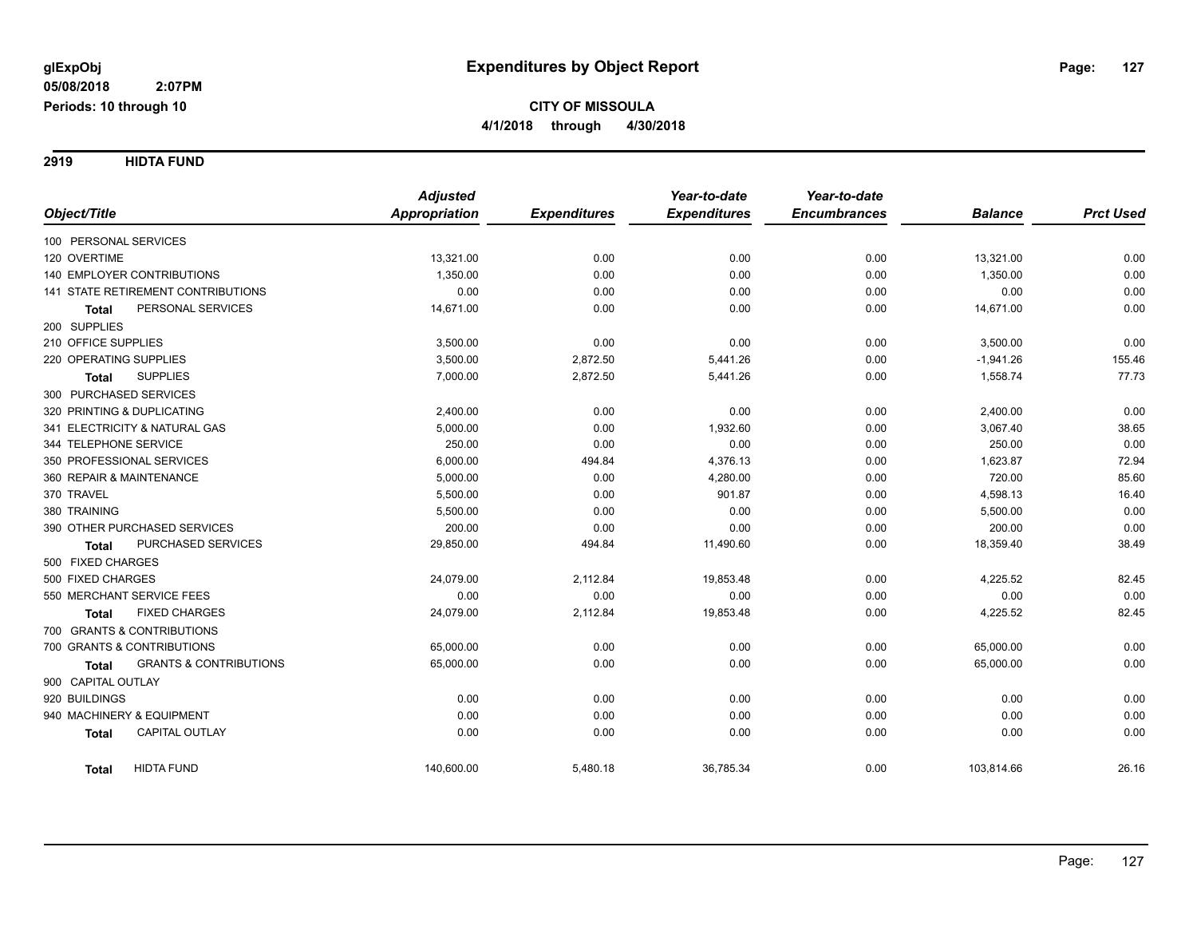**2919 HIDTA FUND**

|                                                   | <b>Adjusted</b>      |                     | Year-to-date        | Year-to-date        |                |                  |
|---------------------------------------------------|----------------------|---------------------|---------------------|---------------------|----------------|------------------|
| Object/Title                                      | <b>Appropriation</b> | <b>Expenditures</b> | <b>Expenditures</b> | <b>Encumbrances</b> | <b>Balance</b> | <b>Prct Used</b> |
| 100 PERSONAL SERVICES                             |                      |                     |                     |                     |                |                  |
| 120 OVERTIME                                      | 13,321.00            | 0.00                | 0.00                | 0.00                | 13,321.00      | 0.00             |
| 140 EMPLOYER CONTRIBUTIONS                        | 1,350.00             | 0.00                | 0.00                | 0.00                | 1,350.00       | 0.00             |
| 141 STATE RETIREMENT CONTRIBUTIONS                | 0.00                 | 0.00                | 0.00                | 0.00                | 0.00           | 0.00             |
| PERSONAL SERVICES<br><b>Total</b>                 | 14,671.00            | 0.00                | 0.00                | 0.00                | 14,671.00      | 0.00             |
| 200 SUPPLIES                                      |                      |                     |                     |                     |                |                  |
| 210 OFFICE SUPPLIES                               | 3,500.00             | 0.00                | 0.00                | 0.00                | 3,500.00       | 0.00             |
| 220 OPERATING SUPPLIES                            | 3,500.00             | 2,872.50            | 5,441.26            | 0.00                | $-1,941.26$    | 155.46           |
| <b>SUPPLIES</b><br><b>Total</b>                   | 7,000.00             | 2,872.50            | 5,441.26            | 0.00                | 1,558.74       | 77.73            |
| 300 PURCHASED SERVICES                            |                      |                     |                     |                     |                |                  |
| 320 PRINTING & DUPLICATING                        | 2,400.00             | 0.00                | 0.00                | 0.00                | 2,400.00       | 0.00             |
| 341 ELECTRICITY & NATURAL GAS                     | 5,000.00             | 0.00                | 1,932.60            | 0.00                | 3,067.40       | 38.65            |
| 344 TELEPHONE SERVICE                             | 250.00               | 0.00                | 0.00                | 0.00                | 250.00         | 0.00             |
| 350 PROFESSIONAL SERVICES                         | 6,000.00             | 494.84              | 4,376.13            | 0.00                | 1,623.87       | 72.94            |
| 360 REPAIR & MAINTENANCE                          | 5,000.00             | 0.00                | 4,280.00            | 0.00                | 720.00         | 85.60            |
| 370 TRAVEL                                        | 5,500.00             | 0.00                | 901.87              | 0.00                | 4,598.13       | 16.40            |
| 380 TRAINING                                      | 5,500.00             | 0.00                | 0.00                | 0.00                | 5,500.00       | 0.00             |
| 390 OTHER PURCHASED SERVICES                      | 200.00               | 0.00                | 0.00                | 0.00                | 200.00         | 0.00             |
| PURCHASED SERVICES<br><b>Total</b>                | 29,850.00            | 494.84              | 11,490.60           | 0.00                | 18,359.40      | 38.49            |
| 500 FIXED CHARGES                                 |                      |                     |                     |                     |                |                  |
| 500 FIXED CHARGES                                 | 24,079.00            | 2,112.84            | 19,853.48           | 0.00                | 4,225.52       | 82.45            |
| 550 MERCHANT SERVICE FEES                         | 0.00                 | 0.00                | 0.00                | 0.00                | 0.00           | 0.00             |
| <b>FIXED CHARGES</b><br><b>Total</b>              | 24,079.00            | 2,112.84            | 19,853.48           | 0.00                | 4,225.52       | 82.45            |
| 700 GRANTS & CONTRIBUTIONS                        |                      |                     |                     |                     |                |                  |
| 700 GRANTS & CONTRIBUTIONS                        | 65,000.00            | 0.00                | 0.00                | 0.00                | 65,000.00      | 0.00             |
| <b>GRANTS &amp; CONTRIBUTIONS</b><br><b>Total</b> | 65,000.00            | 0.00                | 0.00                | 0.00                | 65,000.00      | 0.00             |
| 900 CAPITAL OUTLAY                                |                      |                     |                     |                     |                |                  |
| 920 BUILDINGS                                     | 0.00                 | 0.00                | 0.00                | 0.00                | 0.00           | 0.00             |
| 940 MACHINERY & EQUIPMENT                         | 0.00                 | 0.00                | 0.00                | 0.00                | 0.00           | 0.00             |
| <b>CAPITAL OUTLAY</b><br><b>Total</b>             | 0.00                 | 0.00                | 0.00                | 0.00                | 0.00           | 0.00             |
| <b>HIDTA FUND</b><br><b>Total</b>                 | 140,600.00           | 5,480.18            | 36,785.34           | 0.00                | 103,814.66     | 26.16            |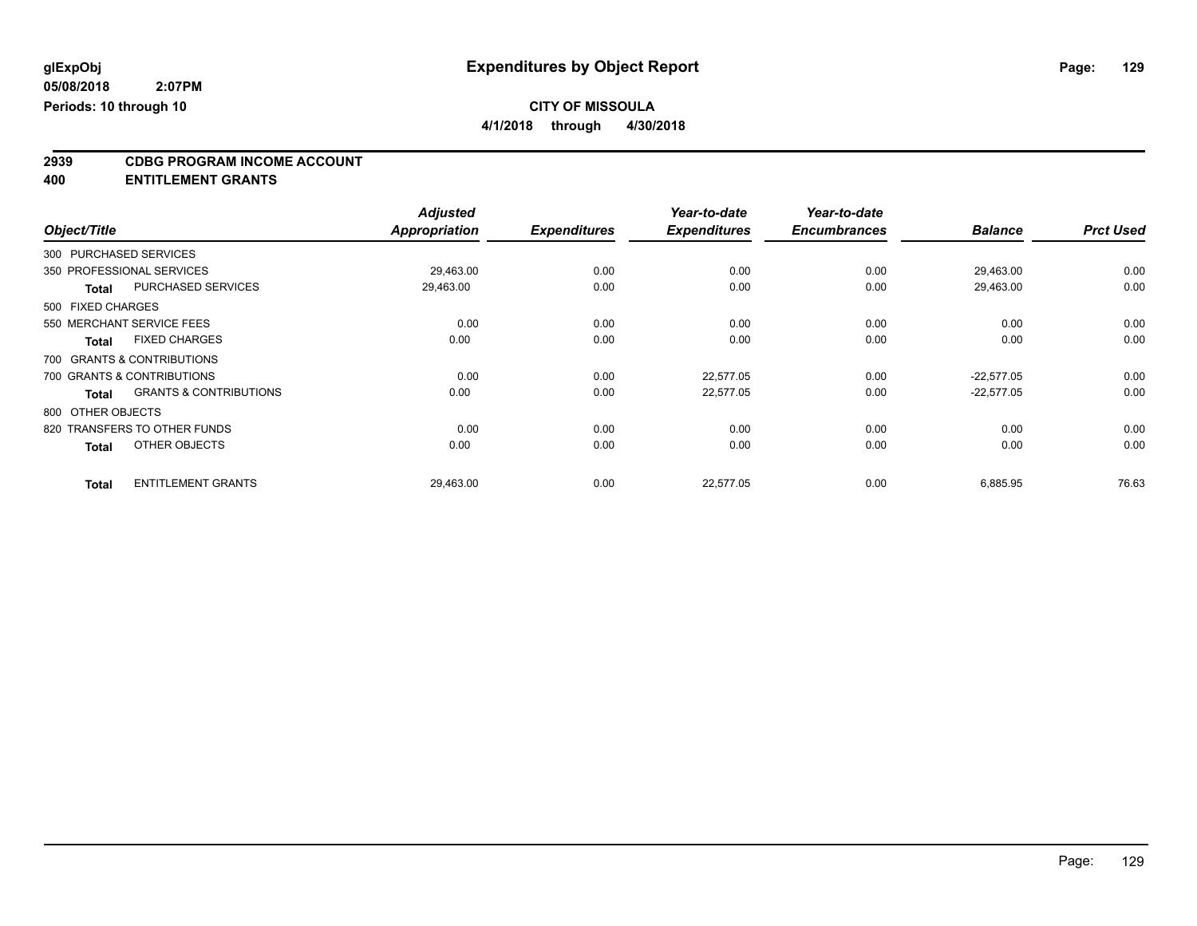## **CITY OF MISSOULA**

**4/1/2018 through 4/30/2018**

## **2939 CDBG PROGRAM INCOME ACCOUNT**

**400 ENTITLEMENT GRANTS**

|                   |                                   | <b>Adjusted</b> |                     | Year-to-date        | Year-to-date        |                |                  |
|-------------------|-----------------------------------|-----------------|---------------------|---------------------|---------------------|----------------|------------------|
| Object/Title      |                                   | Appropriation   | <b>Expenditures</b> | <b>Expenditures</b> | <b>Encumbrances</b> | <b>Balance</b> | <b>Prct Used</b> |
|                   | 300 PURCHASED SERVICES            |                 |                     |                     |                     |                |                  |
|                   | 350 PROFESSIONAL SERVICES         | 29,463.00       | 0.00                | 0.00                | 0.00                | 29,463.00      | 0.00             |
| <b>Total</b>      | PURCHASED SERVICES                | 29,463.00       | 0.00                | 0.00                | 0.00                | 29,463.00      | 0.00             |
| 500 FIXED CHARGES |                                   |                 |                     |                     |                     |                |                  |
|                   | 550 MERCHANT SERVICE FEES         | 0.00            | 0.00                | 0.00                | 0.00                | 0.00           | 0.00             |
| Total             | <b>FIXED CHARGES</b>              | 0.00            | 0.00                | 0.00                | 0.00                | 0.00           | 0.00             |
|                   | 700 GRANTS & CONTRIBUTIONS        |                 |                     |                     |                     |                |                  |
|                   | 700 GRANTS & CONTRIBUTIONS        | 0.00            | 0.00                | 22,577.05           | 0.00                | $-22,577.05$   | 0.00             |
| <b>Total</b>      | <b>GRANTS &amp; CONTRIBUTIONS</b> | 0.00            | 0.00                | 22,577.05           | 0.00                | $-22,577.05$   | 0.00             |
| 800 OTHER OBJECTS |                                   |                 |                     |                     |                     |                |                  |
|                   | 820 TRANSFERS TO OTHER FUNDS      | 0.00            | 0.00                | 0.00                | 0.00                | 0.00           | 0.00             |
| <b>Total</b>      | OTHER OBJECTS                     | 0.00            | 0.00                | 0.00                | 0.00                | 0.00           | 0.00             |
| <b>Total</b>      | <b>ENTITLEMENT GRANTS</b>         | 29,463.00       | 0.00                | 22,577.05           | 0.00                | 6,885.95       | 76.63            |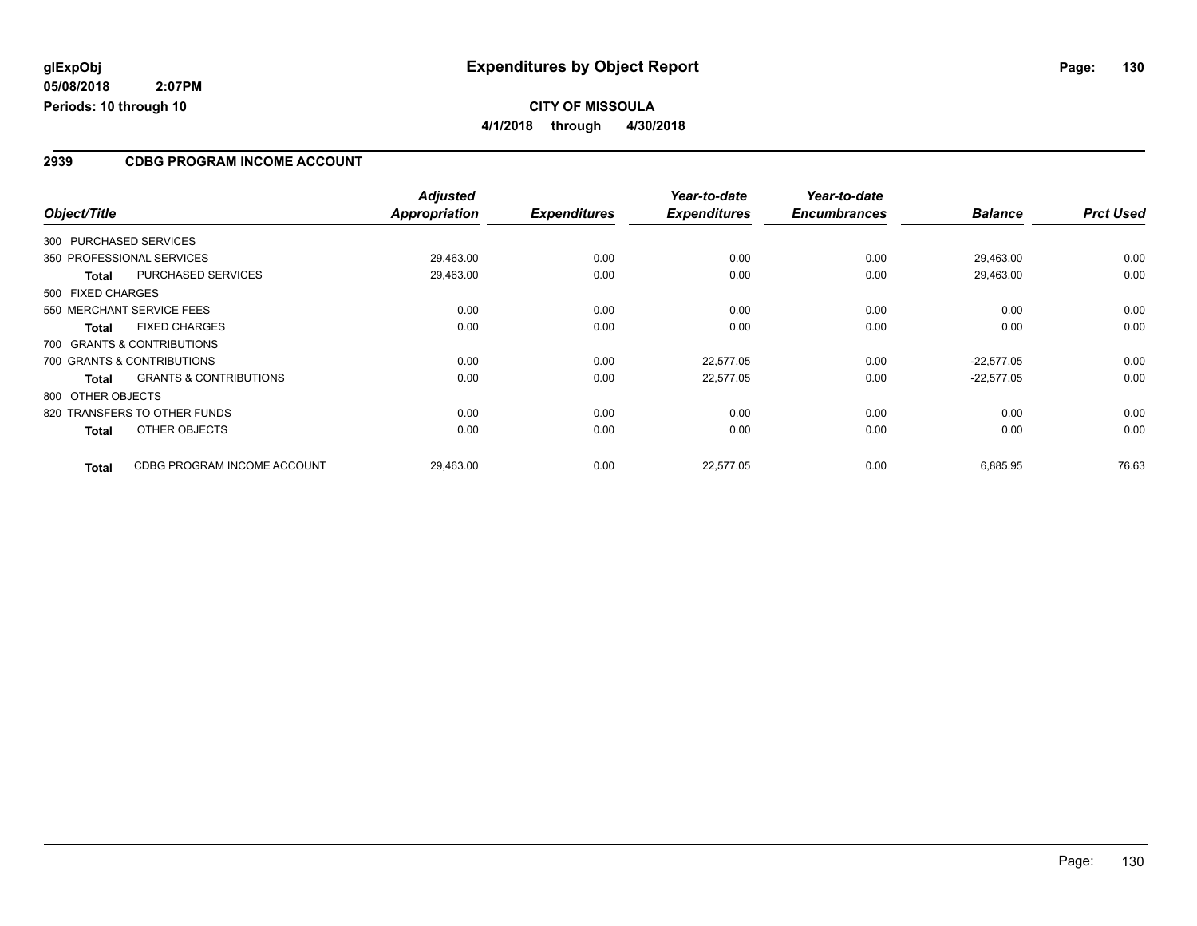**05/08/2018 2:07PM Periods: 10 through 10**

### **2939 CDBG PROGRAM INCOME ACCOUNT**

|                   |                                   | <b>Adjusted</b> |                     | Year-to-date        | Year-to-date        |                |                  |
|-------------------|-----------------------------------|-----------------|---------------------|---------------------|---------------------|----------------|------------------|
| Object/Title      |                                   | Appropriation   | <b>Expenditures</b> | <b>Expenditures</b> | <b>Encumbrances</b> | <b>Balance</b> | <b>Prct Used</b> |
|                   | 300 PURCHASED SERVICES            |                 |                     |                     |                     |                |                  |
|                   | 350 PROFESSIONAL SERVICES         | 29,463.00       | 0.00                | 0.00                | 0.00                | 29,463.00      | 0.00             |
| <b>Total</b>      | PURCHASED SERVICES                | 29,463.00       | 0.00                | 0.00                | 0.00                | 29,463.00      | 0.00             |
| 500 FIXED CHARGES |                                   |                 |                     |                     |                     |                |                  |
|                   | 550 MERCHANT SERVICE FEES         | 0.00            | 0.00                | 0.00                | 0.00                | 0.00           | 0.00             |
| <b>Total</b>      | <b>FIXED CHARGES</b>              | 0.00            | 0.00                | 0.00                | 0.00                | 0.00           | 0.00             |
|                   | 700 GRANTS & CONTRIBUTIONS        |                 |                     |                     |                     |                |                  |
|                   | 700 GRANTS & CONTRIBUTIONS        | 0.00            | 0.00                | 22,577.05           | 0.00                | $-22,577.05$   | 0.00             |
| Total             | <b>GRANTS &amp; CONTRIBUTIONS</b> | 0.00            | 0.00                | 22,577.05           | 0.00                | $-22,577.05$   | 0.00             |
| 800 OTHER OBJECTS |                                   |                 |                     |                     |                     |                |                  |
|                   | 820 TRANSFERS TO OTHER FUNDS      | 0.00            | 0.00                | 0.00                | 0.00                | 0.00           | 0.00             |
| <b>Total</b>      | OTHER OBJECTS                     | 0.00            | 0.00                | 0.00                | 0.00                | 0.00           | 0.00             |
| <b>Total</b>      | CDBG PROGRAM INCOME ACCOUNT       | 29,463.00       | 0.00                | 22,577.05           | 0.00                | 6,885.95       | 76.63            |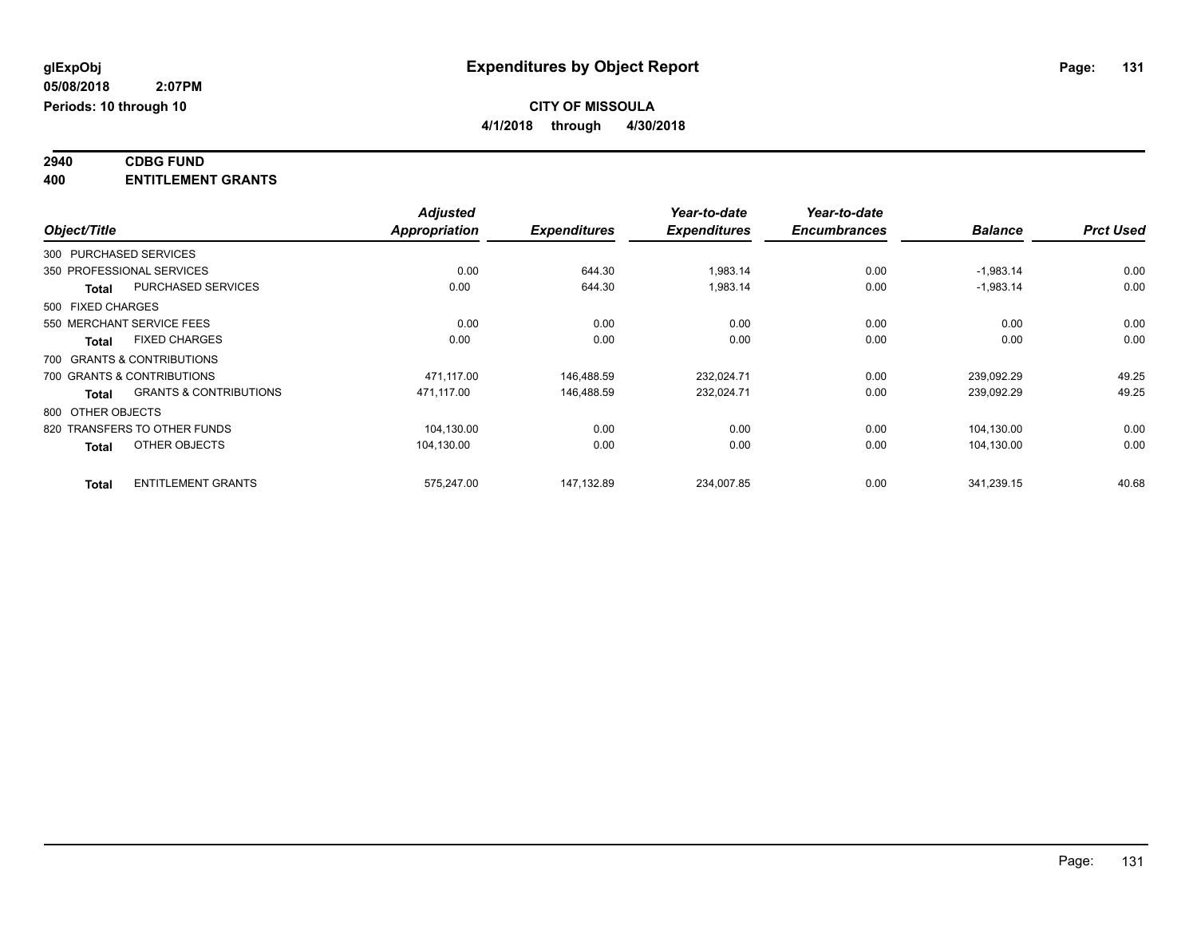### **2940 CDBG FUND 400 ENTITLEMENT GRANTS**

|                   |                                   | <b>Adjusted</b> |                     | Year-to-date        | Year-to-date        |                |                  |
|-------------------|-----------------------------------|-----------------|---------------------|---------------------|---------------------|----------------|------------------|
| Object/Title      |                                   | Appropriation   | <b>Expenditures</b> | <b>Expenditures</b> | <b>Encumbrances</b> | <b>Balance</b> | <b>Prct Used</b> |
|                   | 300 PURCHASED SERVICES            |                 |                     |                     |                     |                |                  |
|                   | 350 PROFESSIONAL SERVICES         | 0.00            | 644.30              | 1,983.14            | 0.00                | $-1,983.14$    | 0.00             |
| <b>Total</b>      | <b>PURCHASED SERVICES</b>         | 0.00            | 644.30              | 1,983.14            | 0.00                | $-1,983.14$    | 0.00             |
| 500 FIXED CHARGES |                                   |                 |                     |                     |                     |                |                  |
|                   | 550 MERCHANT SERVICE FEES         | 0.00            | 0.00                | 0.00                | 0.00                | 0.00           | 0.00             |
| <b>Total</b>      | <b>FIXED CHARGES</b>              | 0.00            | 0.00                | 0.00                | 0.00                | 0.00           | 0.00             |
|                   | 700 GRANTS & CONTRIBUTIONS        |                 |                     |                     |                     |                |                  |
|                   | 700 GRANTS & CONTRIBUTIONS        | 471,117.00      | 146,488.59          | 232,024.71          | 0.00                | 239,092.29     | 49.25            |
| <b>Total</b>      | <b>GRANTS &amp; CONTRIBUTIONS</b> | 471.117.00      | 146.488.59          | 232,024.71          | 0.00                | 239.092.29     | 49.25            |
| 800 OTHER OBJECTS |                                   |                 |                     |                     |                     |                |                  |
|                   | 820 TRANSFERS TO OTHER FUNDS      | 104,130.00      | 0.00                | 0.00                | 0.00                | 104,130.00     | 0.00             |
| <b>Total</b>      | OTHER OBJECTS                     | 104,130.00      | 0.00                | 0.00                | 0.00                | 104,130.00     | 0.00             |
| <b>Total</b>      | <b>ENTITLEMENT GRANTS</b>         | 575.247.00      | 147,132.89          | 234,007.85          | 0.00                | 341,239.15     | 40.68            |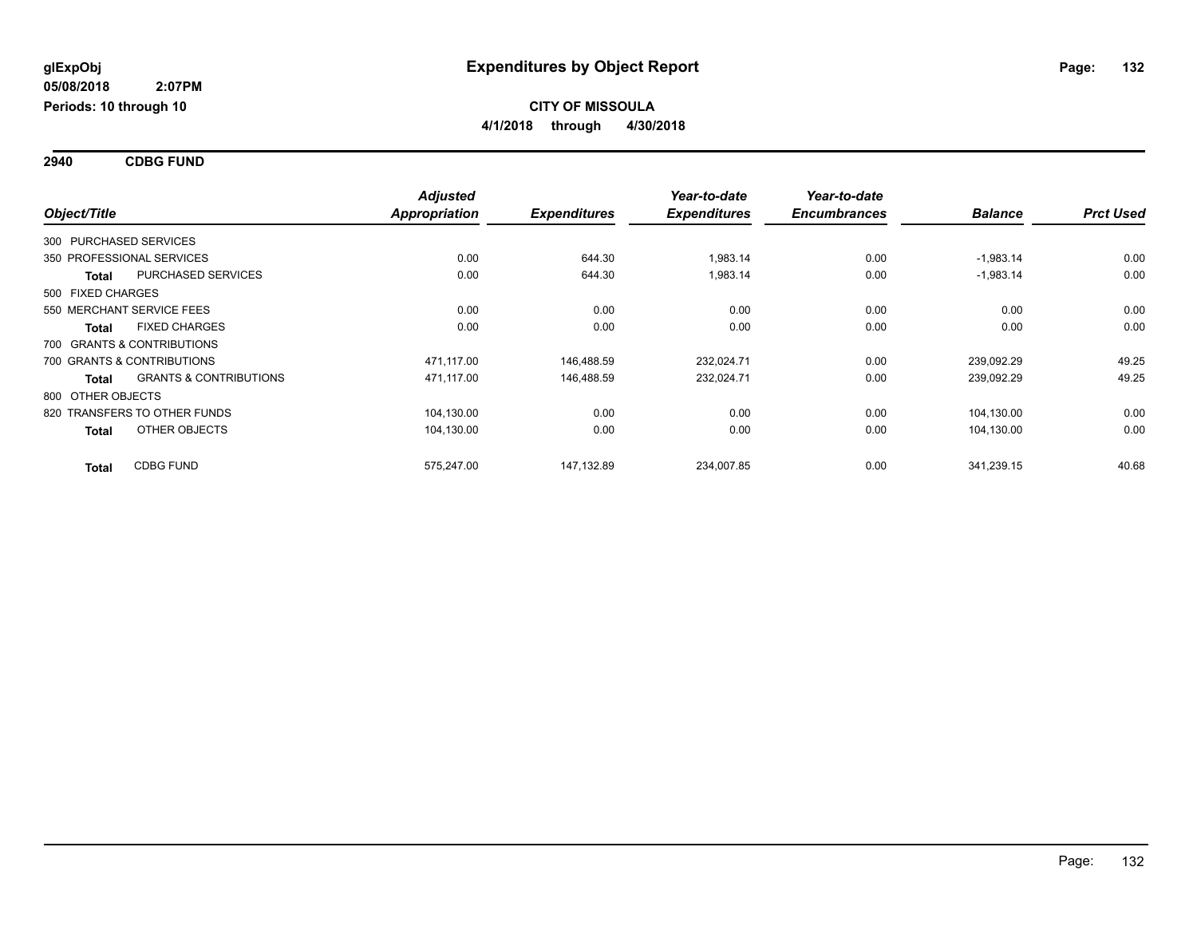**2940 CDBG FUND**

|                        |                                   | <b>Adjusted</b>      |                     | Year-to-date        | Year-to-date        |                |                  |
|------------------------|-----------------------------------|----------------------|---------------------|---------------------|---------------------|----------------|------------------|
| Object/Title           |                                   | <b>Appropriation</b> | <b>Expenditures</b> | <b>Expenditures</b> | <b>Encumbrances</b> | <b>Balance</b> | <b>Prct Used</b> |
| 300 PURCHASED SERVICES |                                   |                      |                     |                     |                     |                |                  |
|                        | 350 PROFESSIONAL SERVICES         | 0.00                 | 644.30              | 1,983.14            | 0.00                | $-1,983.14$    | 0.00             |
| Total                  | <b>PURCHASED SERVICES</b>         | 0.00                 | 644.30              | 1,983.14            | 0.00                | $-1,983.14$    | 0.00             |
| 500 FIXED CHARGES      |                                   |                      |                     |                     |                     |                |                  |
|                        | 550 MERCHANT SERVICE FEES         | 0.00                 | 0.00                | 0.00                | 0.00                | 0.00           | 0.00             |
| <b>Total</b>           | <b>FIXED CHARGES</b>              | 0.00                 | 0.00                | 0.00                | 0.00                | 0.00           | 0.00             |
|                        | 700 GRANTS & CONTRIBUTIONS        |                      |                     |                     |                     |                |                  |
|                        | 700 GRANTS & CONTRIBUTIONS        | 471.117.00           | 146,488.59          | 232,024.71          | 0.00                | 239.092.29     | 49.25            |
| <b>Total</b>           | <b>GRANTS &amp; CONTRIBUTIONS</b> | 471,117.00           | 146,488.59          | 232,024.71          | 0.00                | 239,092.29     | 49.25            |
| 800 OTHER OBJECTS      |                                   |                      |                     |                     |                     |                |                  |
|                        | 820 TRANSFERS TO OTHER FUNDS      | 104,130.00           | 0.00                | 0.00                | 0.00                | 104,130.00     | 0.00             |
| <b>Total</b>           | OTHER OBJECTS                     | 104,130.00           | 0.00                | 0.00                | 0.00                | 104,130.00     | 0.00             |
| <b>Total</b>           | <b>CDBG FUND</b>                  | 575.247.00           | 147,132.89          | 234,007.85          | 0.00                | 341,239.15     | 40.68            |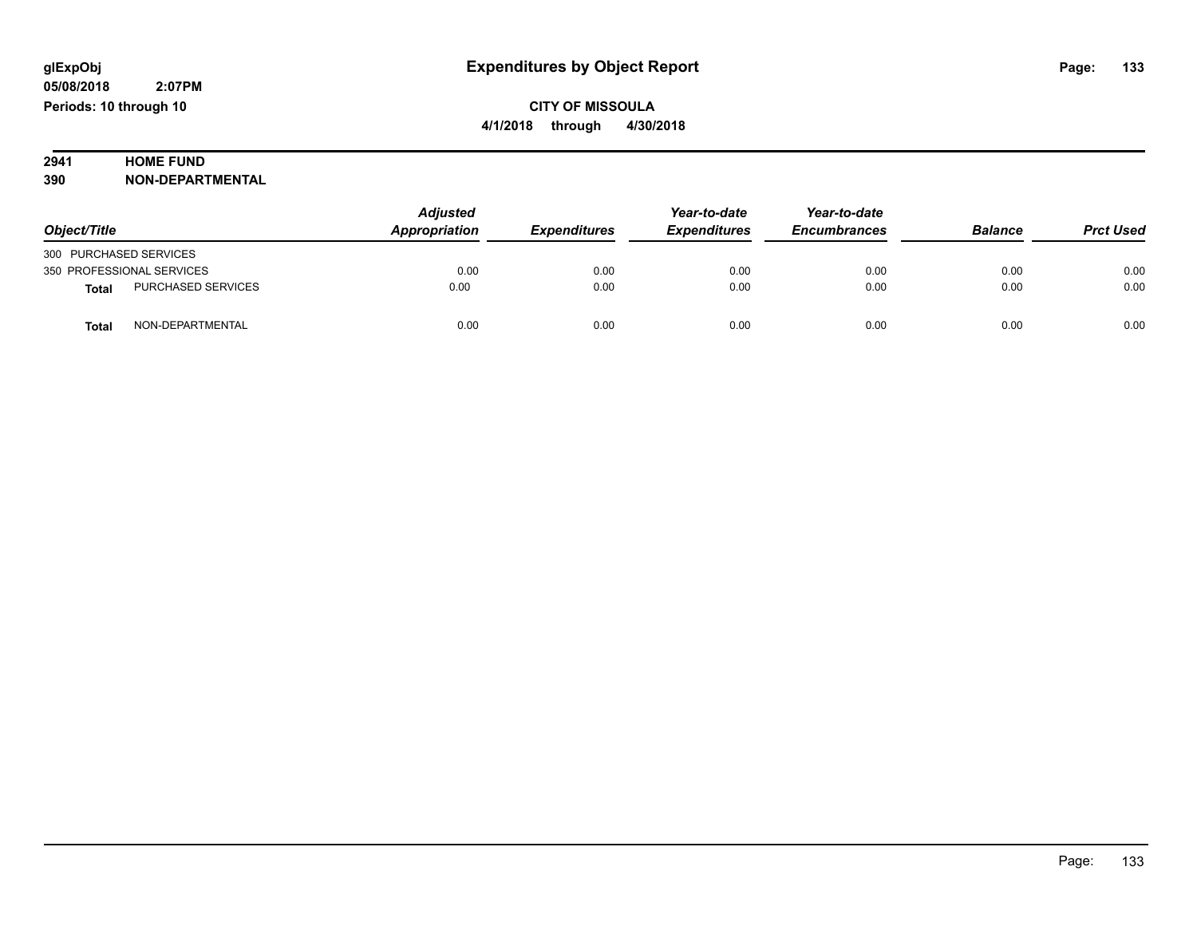## **2941 HOME FUND<br>390 NON-DEPART**

**390 NON-DEPARTMENTAL**

|                                    | Adjusted      |                     | Year-to-date        | Year-to-date        | <b>Balance</b> |                  |
|------------------------------------|---------------|---------------------|---------------------|---------------------|----------------|------------------|
| Object/Title                       | Appropriation | <b>Expenditures</b> | <b>Expenditures</b> | <b>Encumbrances</b> |                | <b>Prct Used</b> |
| 300 PURCHASED SERVICES             |               |                     |                     |                     |                |                  |
| 350 PROFESSIONAL SERVICES          | 0.00          | 0.00                | 0.00                | 0.00                | 0.00           | 0.00             |
| PURCHASED SERVICES<br><b>Total</b> | 0.00          | 0.00                | 0.00                | 0.00                | 0.00           | 0.00             |
| NON-DEPARTMENTAL<br><b>Total</b>   | 0.00          | 0.00                | 0.00                | 0.00                | 0.00           | 0.00             |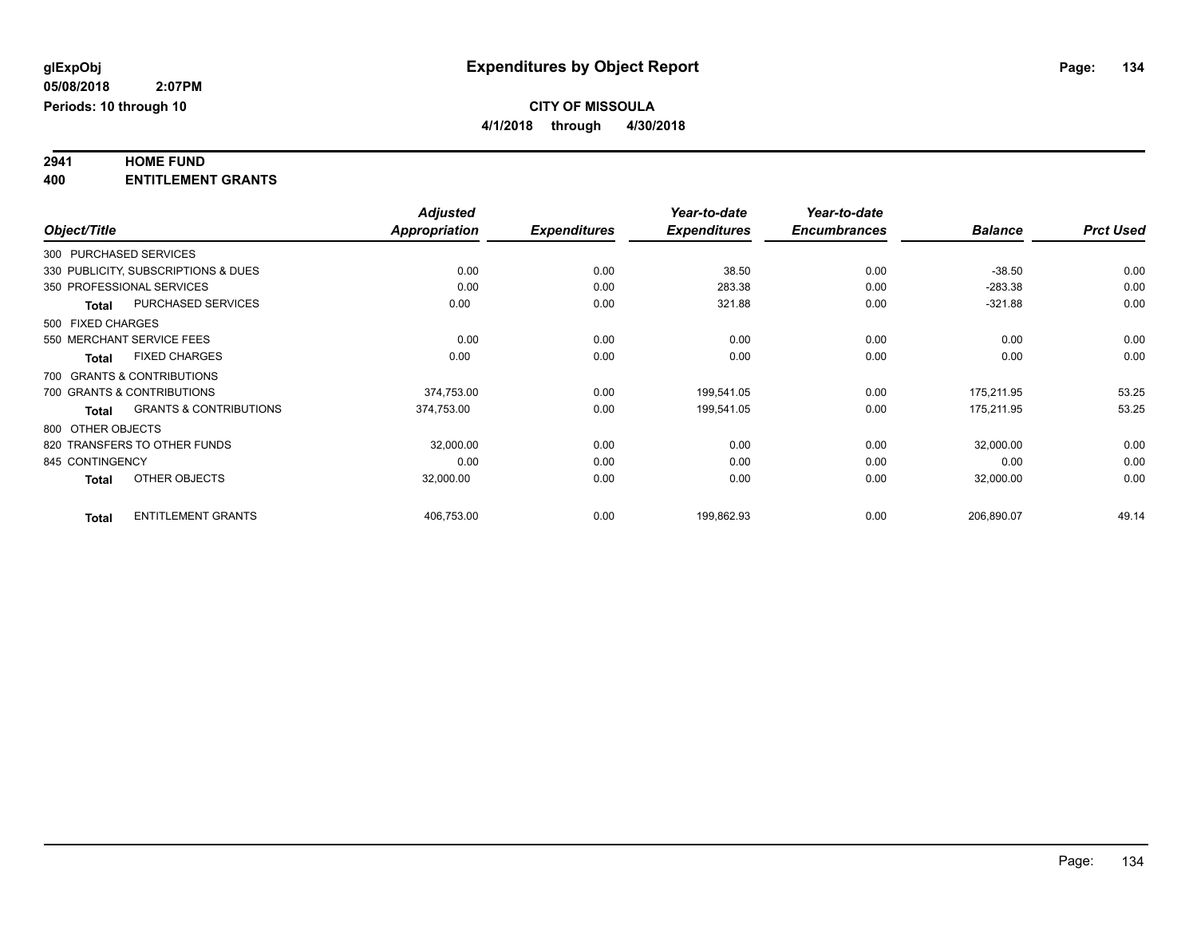## **2941 HOME FUND**

**400 ENTITLEMENT GRANTS**

|                        |                                     | <b>Adjusted</b>      |                     | Year-to-date        | Year-to-date        |                |                  |
|------------------------|-------------------------------------|----------------------|---------------------|---------------------|---------------------|----------------|------------------|
| Object/Title           |                                     | <b>Appropriation</b> | <b>Expenditures</b> | <b>Expenditures</b> | <b>Encumbrances</b> | <b>Balance</b> | <b>Prct Used</b> |
| 300 PURCHASED SERVICES |                                     |                      |                     |                     |                     |                |                  |
|                        | 330 PUBLICITY, SUBSCRIPTIONS & DUES | 0.00                 | 0.00                | 38.50               | 0.00                | $-38.50$       | 0.00             |
|                        | 350 PROFESSIONAL SERVICES           | 0.00                 | 0.00                | 283.38              | 0.00                | $-283.38$      | 0.00             |
| <b>Total</b>           | PURCHASED SERVICES                  | 0.00                 | 0.00                | 321.88              | 0.00                | $-321.88$      | 0.00             |
| 500 FIXED CHARGES      |                                     |                      |                     |                     |                     |                |                  |
|                        | 550 MERCHANT SERVICE FEES           | 0.00                 | 0.00                | 0.00                | 0.00                | 0.00           | 0.00             |
| Total                  | <b>FIXED CHARGES</b>                | 0.00                 | 0.00                | 0.00                | 0.00                | 0.00           | 0.00             |
|                        | 700 GRANTS & CONTRIBUTIONS          |                      |                     |                     |                     |                |                  |
|                        | 700 GRANTS & CONTRIBUTIONS          | 374,753.00           | 0.00                | 199,541.05          | 0.00                | 175,211.95     | 53.25            |
| Total                  | <b>GRANTS &amp; CONTRIBUTIONS</b>   | 374,753.00           | 0.00                | 199,541.05          | 0.00                | 175,211.95     | 53.25            |
| 800 OTHER OBJECTS      |                                     |                      |                     |                     |                     |                |                  |
|                        | 820 TRANSFERS TO OTHER FUNDS        | 32,000.00            | 0.00                | 0.00                | 0.00                | 32,000.00      | 0.00             |
| 845 CONTINGENCY        |                                     | 0.00                 | 0.00                | 0.00                | 0.00                | 0.00           | 0.00             |
| <b>Total</b>           | <b>OTHER OBJECTS</b>                | 32,000.00            | 0.00                | 0.00                | 0.00                | 32,000.00      | 0.00             |
| <b>Total</b>           | <b>ENTITLEMENT GRANTS</b>           | 406,753.00           | 0.00                | 199,862.93          | 0.00                | 206,890.07     | 49.14            |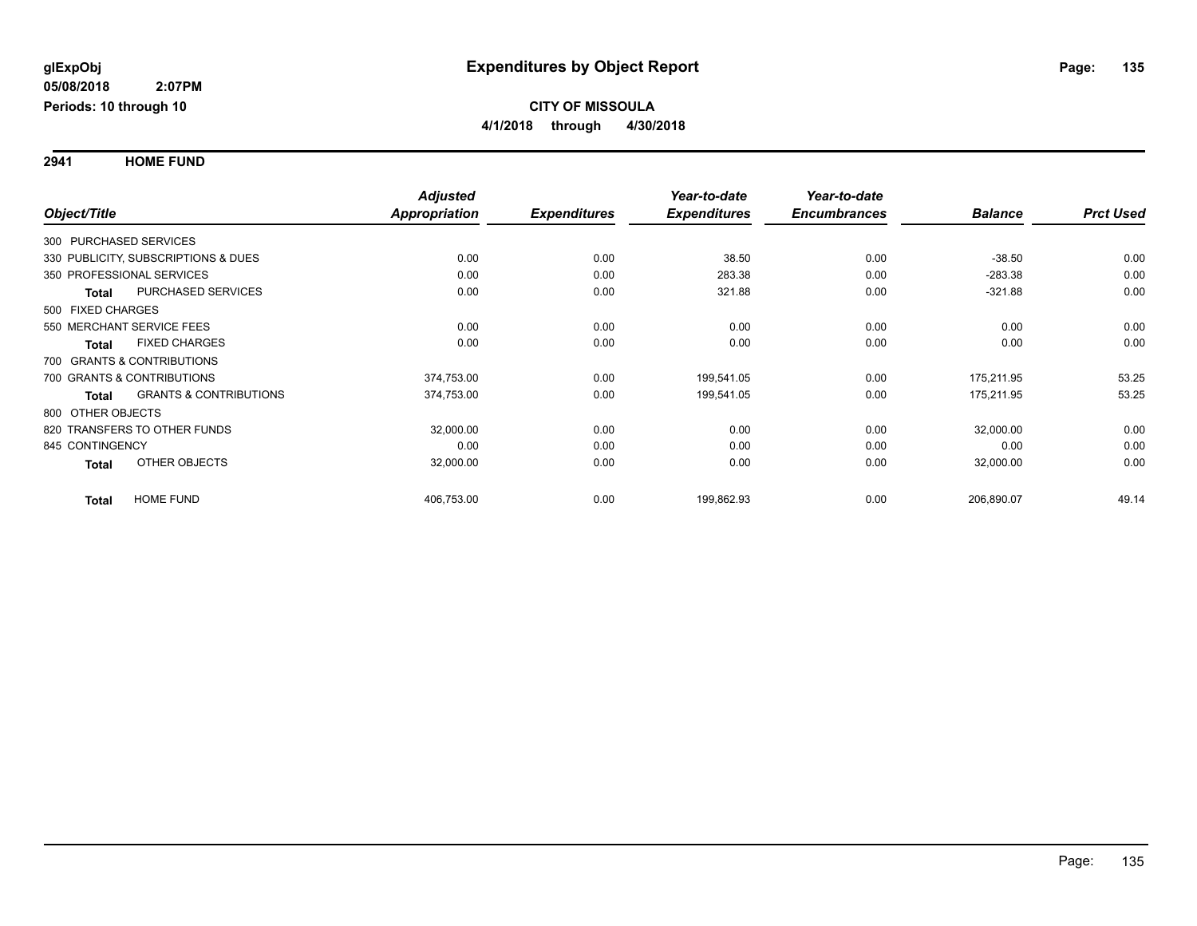**2941 HOME FUND**

|                        |                                     | <b>Adjusted</b>      |                     | Year-to-date        | Year-to-date        |                |                  |
|------------------------|-------------------------------------|----------------------|---------------------|---------------------|---------------------|----------------|------------------|
| Object/Title           |                                     | <b>Appropriation</b> | <b>Expenditures</b> | <b>Expenditures</b> | <b>Encumbrances</b> | <b>Balance</b> | <b>Prct Used</b> |
| 300 PURCHASED SERVICES |                                     |                      |                     |                     |                     |                |                  |
|                        | 330 PUBLICITY, SUBSCRIPTIONS & DUES | 0.00                 | 0.00                | 38.50               | 0.00                | $-38.50$       | 0.00             |
|                        | 350 PROFESSIONAL SERVICES           | 0.00                 | 0.00                | 283.38              | 0.00                | $-283.38$      | 0.00             |
| <b>Total</b>           | PURCHASED SERVICES                  | 0.00                 | 0.00                | 321.88              | 0.00                | $-321.88$      | 0.00             |
| 500 FIXED CHARGES      |                                     |                      |                     |                     |                     |                |                  |
|                        | 550 MERCHANT SERVICE FEES           | 0.00                 | 0.00                | 0.00                | 0.00                | 0.00           | 0.00             |
| <b>Total</b>           | <b>FIXED CHARGES</b>                | 0.00                 | 0.00                | 0.00                | 0.00                | 0.00           | 0.00             |
|                        | 700 GRANTS & CONTRIBUTIONS          |                      |                     |                     |                     |                |                  |
|                        | 700 GRANTS & CONTRIBUTIONS          | 374,753.00           | 0.00                | 199,541.05          | 0.00                | 175,211.95     | 53.25            |
| <b>Total</b>           | <b>GRANTS &amp; CONTRIBUTIONS</b>   | 374,753.00           | 0.00                | 199,541.05          | 0.00                | 175,211.95     | 53.25            |
| 800 OTHER OBJECTS      |                                     |                      |                     |                     |                     |                |                  |
|                        | 820 TRANSFERS TO OTHER FUNDS        | 32,000.00            | 0.00                | 0.00                | 0.00                | 32,000.00      | 0.00             |
| 845 CONTINGENCY        |                                     | 0.00                 | 0.00                | 0.00                | 0.00                | 0.00           | 0.00             |
| <b>Total</b>           | OTHER OBJECTS                       | 32,000.00            | 0.00                | 0.00                | 0.00                | 32,000.00      | 0.00             |
| <b>Total</b>           | <b>HOME FUND</b>                    | 406,753.00           | 0.00                | 199,862.93          | 0.00                | 206,890.07     | 49.14            |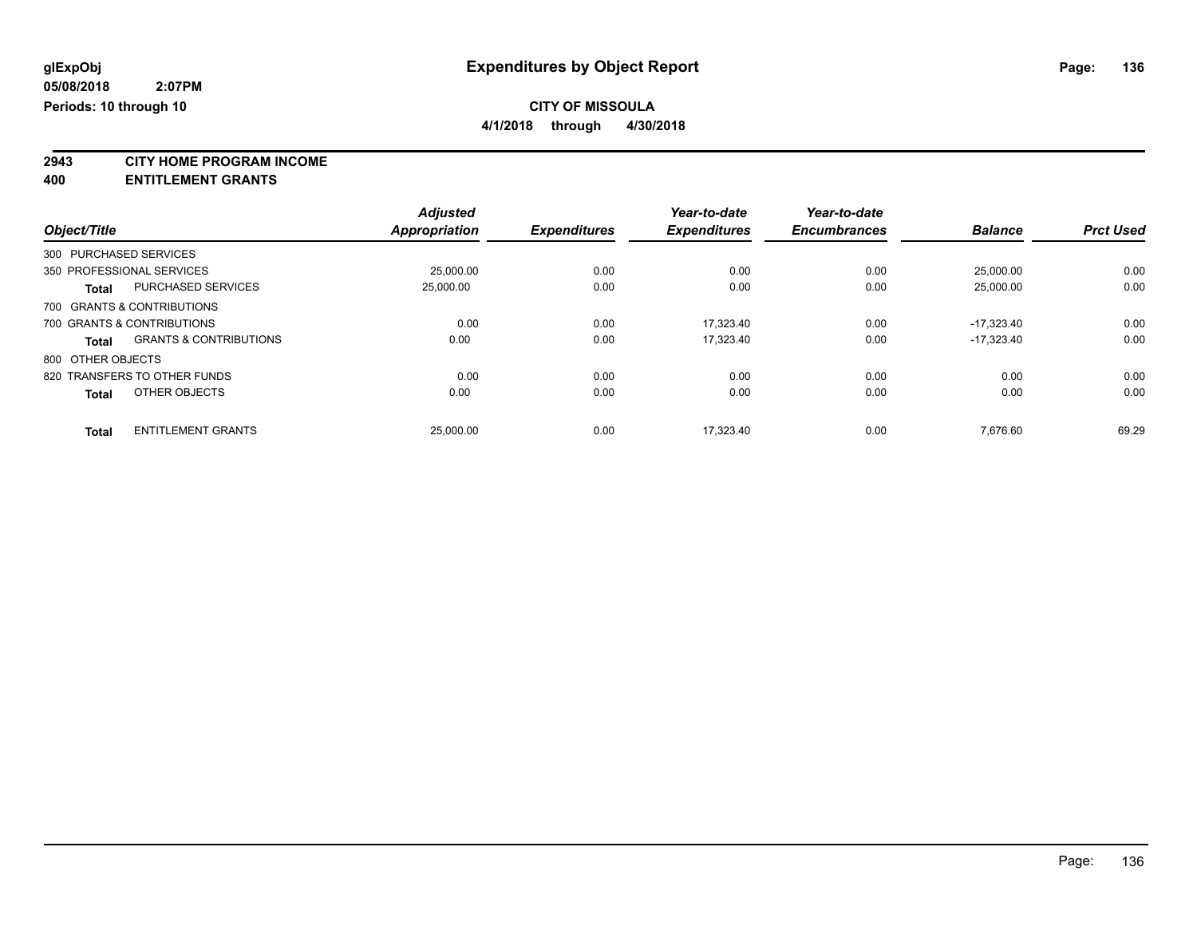**2943 CITY HOME PROGRAM INCOME**

**400 ENTITLEMENT GRANTS**

|                           |                                   | <b>Adjusted</b> |                     | Year-to-date        | Year-to-date        |                |                  |
|---------------------------|-----------------------------------|-----------------|---------------------|---------------------|---------------------|----------------|------------------|
| Object/Title              |                                   | Appropriation   | <b>Expenditures</b> | <b>Expenditures</b> | <b>Encumbrances</b> | <b>Balance</b> | <b>Prct Used</b> |
| 300 PURCHASED SERVICES    |                                   |                 |                     |                     |                     |                |                  |
| 350 PROFESSIONAL SERVICES |                                   | 25,000.00       | 0.00                | 0.00                | 0.00                | 25.000.00      | 0.00             |
| <b>Total</b>              | <b>PURCHASED SERVICES</b>         | 25,000.00       | 0.00                | 0.00                | 0.00                | 25,000.00      | 0.00             |
|                           | 700 GRANTS & CONTRIBUTIONS        |                 |                     |                     |                     |                |                  |
|                           | 700 GRANTS & CONTRIBUTIONS        | 0.00            | 0.00                | 17.323.40           | 0.00                | $-17.323.40$   | 0.00             |
| <b>Total</b>              | <b>GRANTS &amp; CONTRIBUTIONS</b> | 0.00            | 0.00                | 17,323.40           | 0.00                | $-17.323.40$   | 0.00             |
| 800 OTHER OBJECTS         |                                   |                 |                     |                     |                     |                |                  |
|                           | 820 TRANSFERS TO OTHER FUNDS      | 0.00            | 0.00                | 0.00                | 0.00                | 0.00           | 0.00             |
| <b>Total</b>              | OTHER OBJECTS                     | 0.00            | 0.00                | 0.00                | 0.00                | 0.00           | 0.00             |
| <b>Total</b>              | <b>ENTITLEMENT GRANTS</b>         | 25,000.00       | 0.00                | 17.323.40           | 0.00                | 7.676.60       | 69.29            |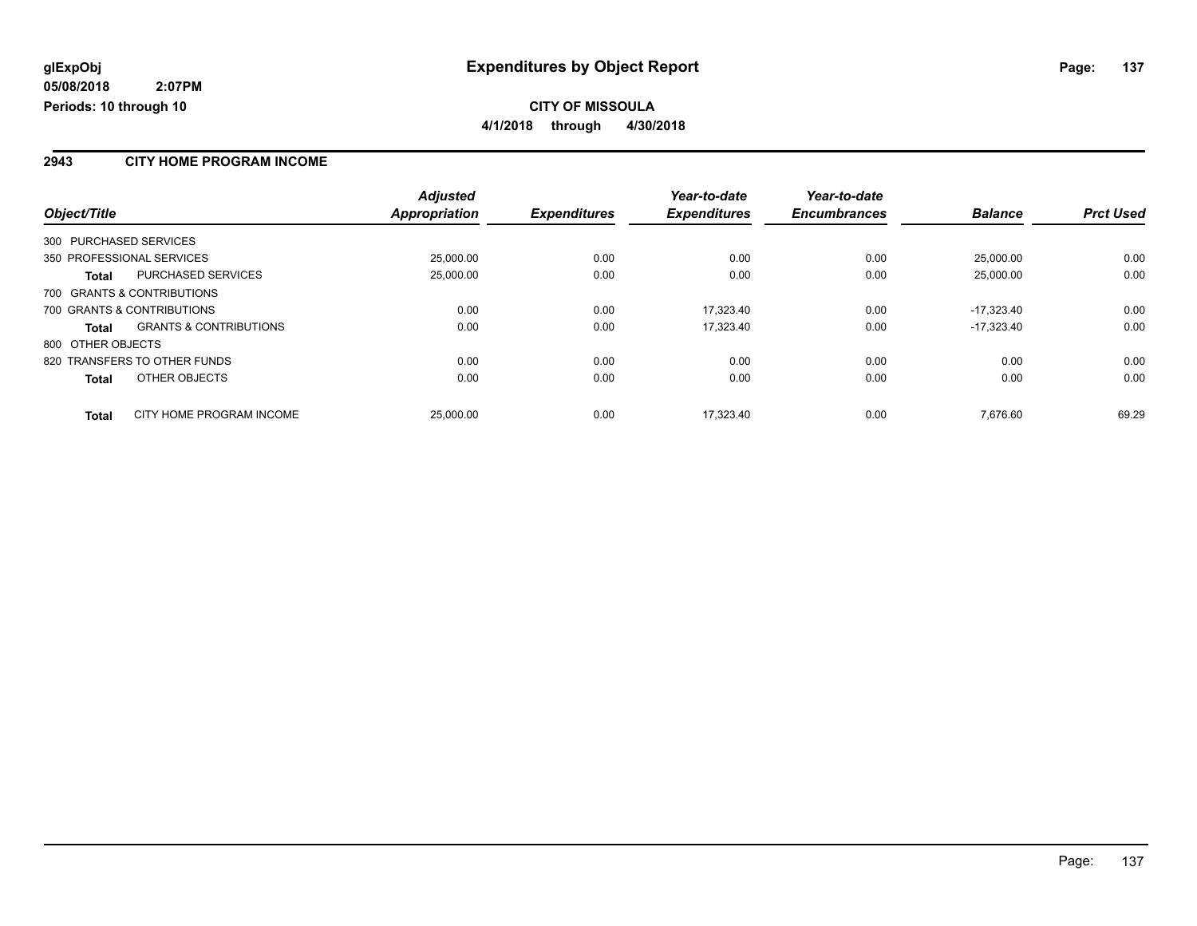### **2943 CITY HOME PROGRAM INCOME**

|                            |                                   | <b>Adjusted</b>      |                     | Year-to-date        | Year-to-date        |                |                  |
|----------------------------|-----------------------------------|----------------------|---------------------|---------------------|---------------------|----------------|------------------|
| Object/Title               |                                   | <b>Appropriation</b> | <b>Expenditures</b> | <b>Expenditures</b> | <b>Encumbrances</b> | <b>Balance</b> | <b>Prct Used</b> |
| 300 PURCHASED SERVICES     |                                   |                      |                     |                     |                     |                |                  |
| 350 PROFESSIONAL SERVICES  |                                   | 25.000.00            | 0.00                | 0.00                | 0.00                | 25.000.00      | 0.00             |
| Total                      | PURCHASED SERVICES                | 25,000.00            | 0.00                | 0.00                | 0.00                | 25.000.00      | 0.00             |
| 700 GRANTS & CONTRIBUTIONS |                                   |                      |                     |                     |                     |                |                  |
| 700 GRANTS & CONTRIBUTIONS |                                   | 0.00                 | 0.00                | 17.323.40           | 0.00                | $-17.323.40$   | 0.00             |
| <b>Total</b>               | <b>GRANTS &amp; CONTRIBUTIONS</b> | 0.00                 | 0.00                | 17.323.40           | 0.00                | $-17.323.40$   | 0.00             |
| 800 OTHER OBJECTS          |                                   |                      |                     |                     |                     |                |                  |
|                            | 820 TRANSFERS TO OTHER FUNDS      | 0.00                 | 0.00                | 0.00                | 0.00                | 0.00           | 0.00             |
| <b>Total</b>               | OTHER OBJECTS                     | 0.00                 | 0.00                | 0.00                | 0.00                | 0.00           | 0.00             |
| <b>Total</b>               | CITY HOME PROGRAM INCOME          | 25.000.00            | 0.00                | 17.323.40           | 0.00                | 7.676.60       | 69.29            |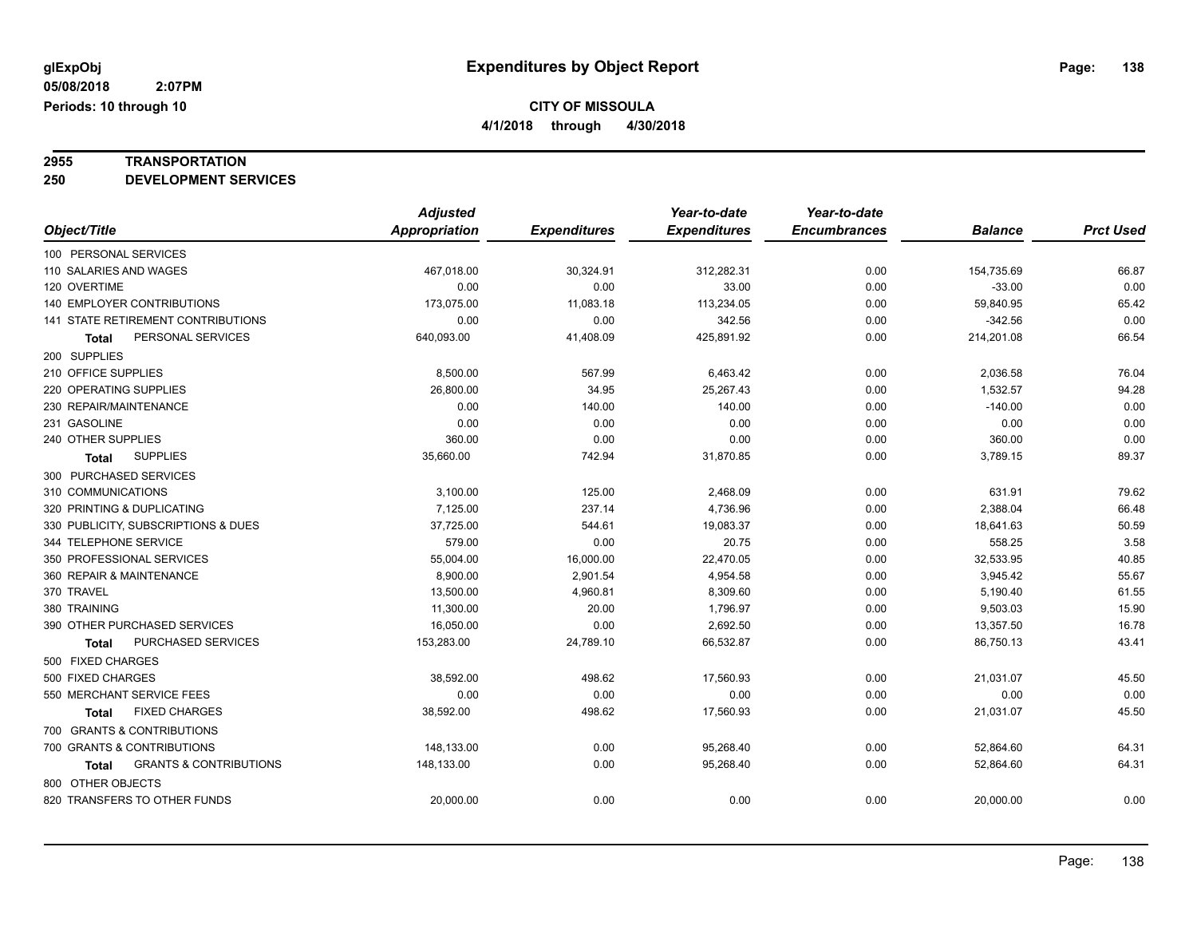## **2955 TRANSPORTATION**

**250 DEVELOPMENT SERVICES**

|                                                   | <b>Adjusted</b>      |                     | Year-to-date        | Year-to-date        |                |                  |
|---------------------------------------------------|----------------------|---------------------|---------------------|---------------------|----------------|------------------|
| Object/Title                                      | <b>Appropriation</b> | <b>Expenditures</b> | <b>Expenditures</b> | <b>Encumbrances</b> | <b>Balance</b> | <b>Prct Used</b> |
| 100 PERSONAL SERVICES                             |                      |                     |                     |                     |                |                  |
| 110 SALARIES AND WAGES                            | 467,018.00           | 30,324.91           | 312,282.31          | 0.00                | 154,735.69     | 66.87            |
| 120 OVERTIME                                      | 0.00                 | 0.00                | 33.00               | 0.00                | $-33.00$       | 0.00             |
| 140 EMPLOYER CONTRIBUTIONS                        | 173,075.00           | 11,083.18           | 113,234.05          | 0.00                | 59,840.95      | 65.42            |
| 141 STATE RETIREMENT CONTRIBUTIONS                | 0.00                 | 0.00                | 342.56              | 0.00                | $-342.56$      | 0.00             |
| PERSONAL SERVICES<br>Total                        | 640,093.00           | 41,408.09           | 425,891.92          | 0.00                | 214,201.08     | 66.54            |
| 200 SUPPLIES                                      |                      |                     |                     |                     |                |                  |
| 210 OFFICE SUPPLIES                               | 8,500.00             | 567.99              | 6,463.42            | 0.00                | 2,036.58       | 76.04            |
| 220 OPERATING SUPPLIES                            | 26,800.00            | 34.95               | 25,267.43           | 0.00                | 1,532.57       | 94.28            |
| 230 REPAIR/MAINTENANCE                            | 0.00                 | 140.00              | 140.00              | 0.00                | $-140.00$      | 0.00             |
| 231 GASOLINE                                      | 0.00                 | 0.00                | 0.00                | 0.00                | 0.00           | 0.00             |
| 240 OTHER SUPPLIES                                | 360.00               | 0.00                | 0.00                | 0.00                | 360.00         | 0.00             |
| <b>SUPPLIES</b><br>Total                          | 35,660.00            | 742.94              | 31,870.85           | 0.00                | 3,789.15       | 89.37            |
| 300 PURCHASED SERVICES                            |                      |                     |                     |                     |                |                  |
| 310 COMMUNICATIONS                                | 3,100.00             | 125.00              | 2,468.09            | 0.00                | 631.91         | 79.62            |
| 320 PRINTING & DUPLICATING                        | 7,125.00             | 237.14              | 4,736.96            | 0.00                | 2,388.04       | 66.48            |
| 330 PUBLICITY, SUBSCRIPTIONS & DUES               | 37,725.00            | 544.61              | 19,083.37           | 0.00                | 18,641.63      | 50.59            |
| 344 TELEPHONE SERVICE                             | 579.00               | 0.00                | 20.75               | 0.00                | 558.25         | 3.58             |
| 350 PROFESSIONAL SERVICES                         | 55,004.00            | 16,000.00           | 22,470.05           | 0.00                | 32,533.95      | 40.85            |
| 360 REPAIR & MAINTENANCE                          | 8,900.00             | 2,901.54            | 4,954.58            | 0.00                | 3,945.42       | 55.67            |
| 370 TRAVEL                                        | 13,500.00            | 4,960.81            | 8,309.60            | 0.00                | 5,190.40       | 61.55            |
| 380 TRAINING                                      | 11,300.00            | 20.00               | 1,796.97            | 0.00                | 9,503.03       | 15.90            |
| 390 OTHER PURCHASED SERVICES                      | 16,050.00            | 0.00                | 2,692.50            | 0.00                | 13,357.50      | 16.78            |
| PURCHASED SERVICES<br><b>Total</b>                | 153,283.00           | 24,789.10           | 66,532.87           | 0.00                | 86,750.13      | 43.41            |
| 500 FIXED CHARGES                                 |                      |                     |                     |                     |                |                  |
| 500 FIXED CHARGES                                 | 38,592.00            | 498.62              | 17,560.93           | 0.00                | 21,031.07      | 45.50            |
| 550 MERCHANT SERVICE FEES                         | 0.00                 | 0.00                | 0.00                | 0.00                | 0.00           | 0.00             |
| <b>FIXED CHARGES</b><br><b>Total</b>              | 38,592.00            | 498.62              | 17,560.93           | 0.00                | 21,031.07      | 45.50            |
| 700 GRANTS & CONTRIBUTIONS                        |                      |                     |                     |                     |                |                  |
| 700 GRANTS & CONTRIBUTIONS                        | 148,133.00           | 0.00                | 95,268.40           | 0.00                | 52,864.60      | 64.31            |
| <b>GRANTS &amp; CONTRIBUTIONS</b><br><b>Total</b> | 148,133.00           | 0.00                | 95,268.40           | 0.00                | 52,864.60      | 64.31            |
| 800 OTHER OBJECTS                                 |                      |                     |                     |                     |                |                  |
| 820 TRANSFERS TO OTHER FUNDS                      | 20,000.00            | 0.00                | 0.00                | 0.00                | 20,000.00      | 0.00             |
|                                                   |                      |                     |                     |                     |                |                  |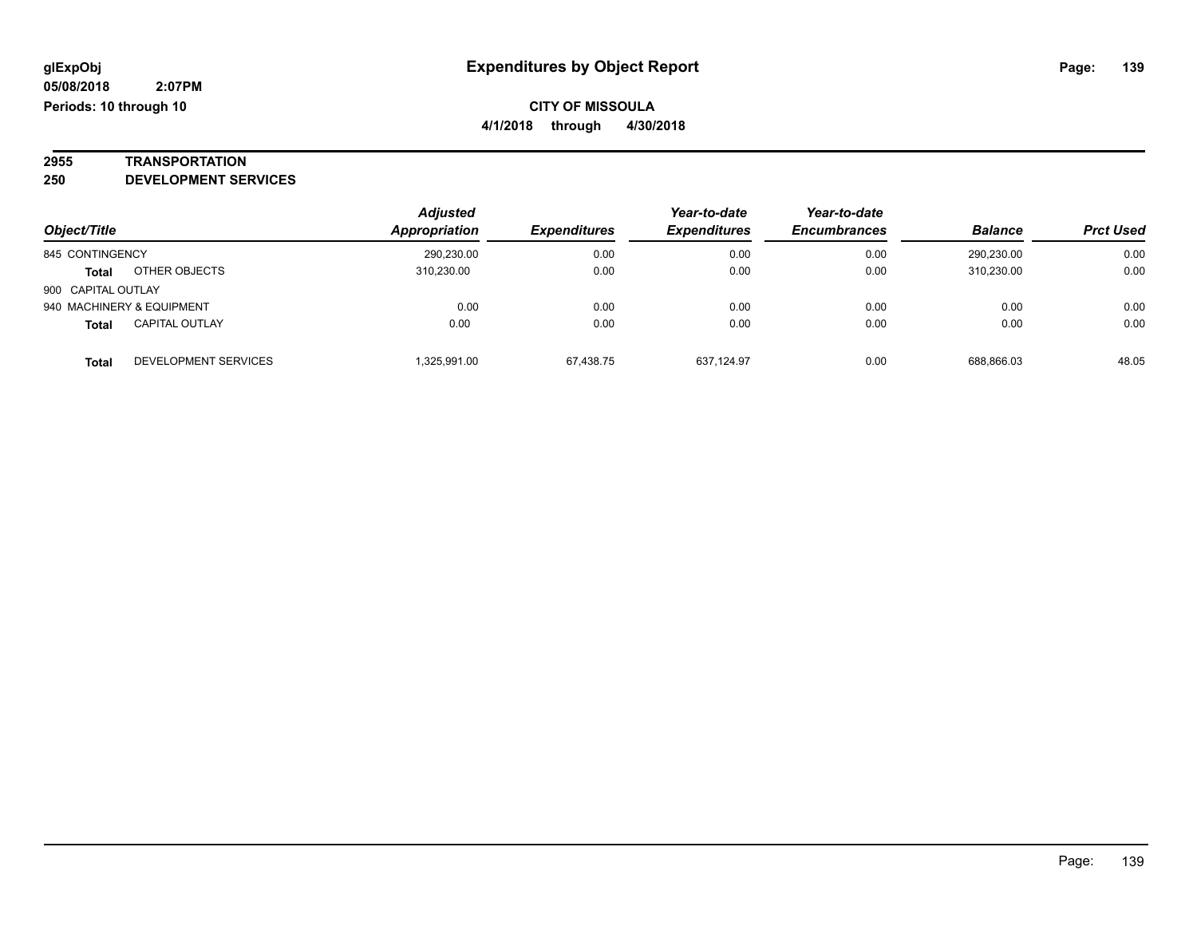## **2955 TRANSPORTATION**

**250 DEVELOPMENT SERVICES**

|                    |                           | <b>Adjusted</b> |                     | Year-to-date        | Year-to-date        |                |                  |
|--------------------|---------------------------|-----------------|---------------------|---------------------|---------------------|----------------|------------------|
| Object/Title       |                           | Appropriation   | <b>Expenditures</b> | <b>Expenditures</b> | <b>Encumbrances</b> | <b>Balance</b> | <b>Prct Used</b> |
| 845 CONTINGENCY    |                           | 290,230.00      | 0.00                | 0.00                | 0.00                | 290.230.00     | 0.00             |
| <b>Total</b>       | OTHER OBJECTS             | 310.230.00      | 0.00                | 0.00                | 0.00                | 310.230.00     | 0.00             |
| 900 CAPITAL OUTLAY |                           |                 |                     |                     |                     |                |                  |
|                    | 940 MACHINERY & EQUIPMENT | 0.00            | 0.00                | 0.00                | 0.00                | 0.00           | 0.00             |
| <b>Total</b>       | <b>CAPITAL OUTLAY</b>     | 0.00            | 0.00                | 0.00                | 0.00                | 0.00           | 0.00             |
| <b>Total</b>       | DEVELOPMENT SERVICES      | 1.325.991.00    | 67.438.75           | 637.124.97          | 0.00                | 688.866.03     | 48.05            |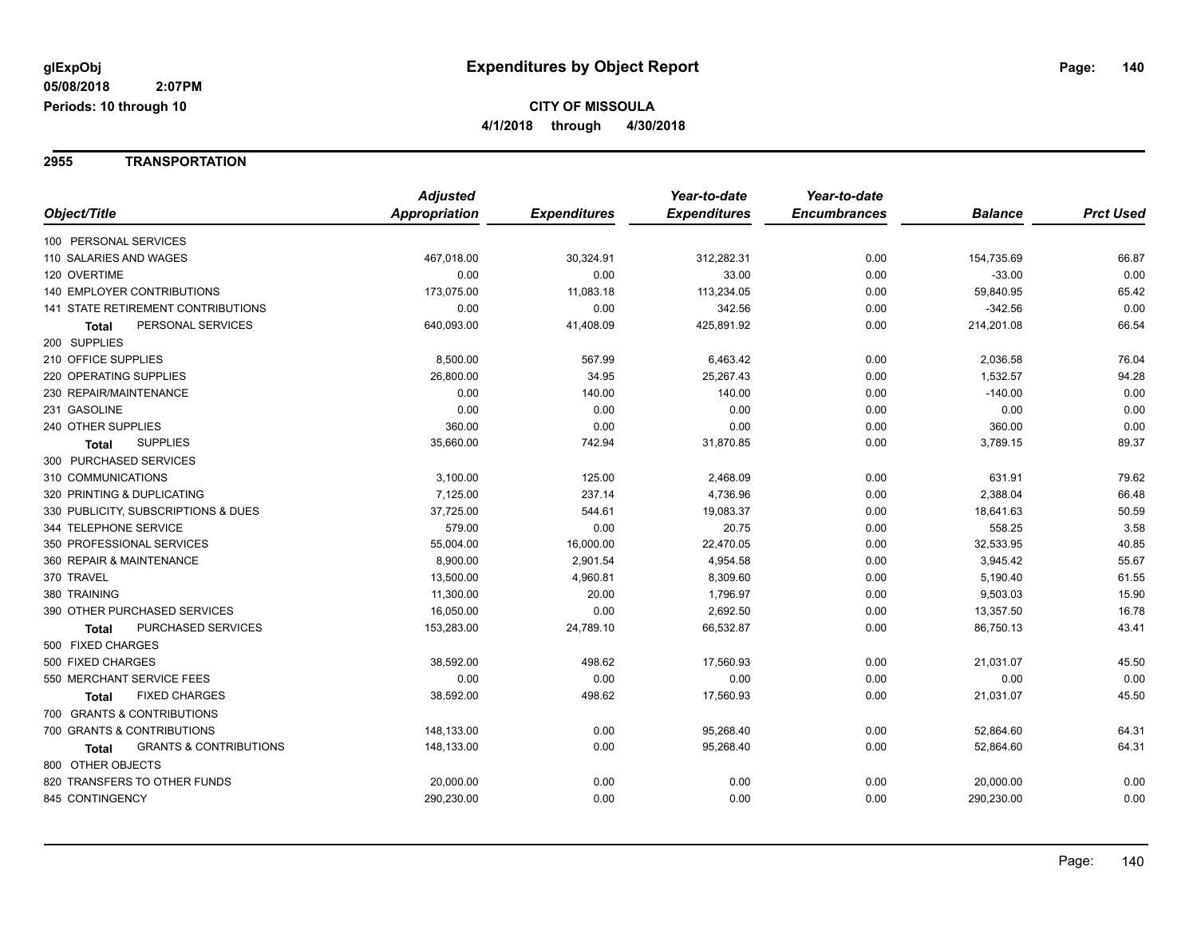### **2955 TRANSPORTATION**

|                                                   | <b>Adjusted</b> |                     | Year-to-date        | Year-to-date        |                |                  |
|---------------------------------------------------|-----------------|---------------------|---------------------|---------------------|----------------|------------------|
| Object/Title                                      | Appropriation   | <b>Expenditures</b> | <b>Expenditures</b> | <b>Encumbrances</b> | <b>Balance</b> | <b>Prct Used</b> |
| 100 PERSONAL SERVICES                             |                 |                     |                     |                     |                |                  |
| 110 SALARIES AND WAGES                            | 467,018.00      | 30,324.91           | 312,282.31          | 0.00                | 154,735.69     | 66.87            |
| 120 OVERTIME                                      | 0.00            | 0.00                | 33.00               | 0.00                | $-33.00$       | 0.00             |
| 140 EMPLOYER CONTRIBUTIONS                        | 173,075.00      | 11,083.18           | 113,234.05          | 0.00                | 59,840.95      | 65.42            |
| <b>141 STATE RETIREMENT CONTRIBUTIONS</b>         | 0.00            | 0.00                | 342.56              | 0.00                | $-342.56$      | 0.00             |
| PERSONAL SERVICES<br>Total                        | 640,093.00      | 41,408.09           | 425,891.92          | 0.00                | 214,201.08     | 66.54            |
| 200 SUPPLIES                                      |                 |                     |                     |                     |                |                  |
| 210 OFFICE SUPPLIES                               | 8,500.00        | 567.99              | 6,463.42            | 0.00                | 2,036.58       | 76.04            |
| 220 OPERATING SUPPLIES                            | 26,800.00       | 34.95               | 25,267.43           | 0.00                | 1,532.57       | 94.28            |
| 230 REPAIR/MAINTENANCE                            | 0.00            | 140.00              | 140.00              | 0.00                | $-140.00$      | 0.00             |
| 231 GASOLINE                                      | 0.00            | 0.00                | 0.00                | 0.00                | 0.00           | 0.00             |
| 240 OTHER SUPPLIES                                | 360.00          | 0.00                | 0.00                | 0.00                | 360.00         | 0.00             |
| <b>SUPPLIES</b><br><b>Total</b>                   | 35,660.00       | 742.94              | 31,870.85           | 0.00                | 3,789.15       | 89.37            |
| 300 PURCHASED SERVICES                            |                 |                     |                     |                     |                |                  |
| 310 COMMUNICATIONS                                | 3,100.00        | 125.00              | 2,468.09            | 0.00                | 631.91         | 79.62            |
| 320 PRINTING & DUPLICATING                        | 7,125.00        | 237.14              | 4,736.96            | 0.00                | 2,388.04       | 66.48            |
| 330 PUBLICITY, SUBSCRIPTIONS & DUES               | 37,725.00       | 544.61              | 19,083.37           | 0.00                | 18,641.63      | 50.59            |
| 344 TELEPHONE SERVICE                             | 579.00          | 0.00                | 20.75               | 0.00                | 558.25         | 3.58             |
| 350 PROFESSIONAL SERVICES                         | 55,004.00       | 16,000.00           | 22,470.05           | 0.00                | 32,533.95      | 40.85            |
| 360 REPAIR & MAINTENANCE                          | 8,900.00        | 2,901.54            | 4,954.58            | 0.00                | 3,945.42       | 55.67            |
| 370 TRAVEL                                        | 13,500.00       | 4,960.81            | 8,309.60            | 0.00                | 5,190.40       | 61.55            |
| 380 TRAINING                                      | 11,300.00       | 20.00               | 1,796.97            | 0.00                | 9,503.03       | 15.90            |
| 390 OTHER PURCHASED SERVICES                      | 16,050.00       | 0.00                | 2,692.50            | 0.00                | 13,357.50      | 16.78            |
| PURCHASED SERVICES<br><b>Total</b>                | 153,283.00      | 24,789.10           | 66,532.87           | 0.00                | 86,750.13      | 43.41            |
| 500 FIXED CHARGES                                 |                 |                     |                     |                     |                |                  |
| 500 FIXED CHARGES                                 | 38,592.00       | 498.62              | 17,560.93           | 0.00                | 21,031.07      | 45.50            |
| 550 MERCHANT SERVICE FEES                         | 0.00            | 0.00                | 0.00                | 0.00                | 0.00           | 0.00             |
| <b>FIXED CHARGES</b><br><b>Total</b>              | 38,592.00       | 498.62              | 17,560.93           | 0.00                | 21,031.07      | 45.50            |
| 700 GRANTS & CONTRIBUTIONS                        |                 |                     |                     |                     |                |                  |
| 700 GRANTS & CONTRIBUTIONS                        | 148,133.00      | 0.00                | 95,268.40           | 0.00                | 52,864.60      | 64.31            |
| <b>GRANTS &amp; CONTRIBUTIONS</b><br><b>Total</b> | 148,133.00      | 0.00                | 95,268.40           | 0.00                | 52,864.60      | 64.31            |
| 800 OTHER OBJECTS                                 |                 |                     |                     |                     |                |                  |
| 820 TRANSFERS TO OTHER FUNDS                      | 20,000.00       | 0.00                | 0.00                | 0.00                | 20,000.00      | 0.00             |
| 845 CONTINGENCY                                   | 290,230.00      | 0.00                | 0.00                | 0.00                | 290,230.00     | 0.00             |
|                                                   |                 |                     |                     |                     |                |                  |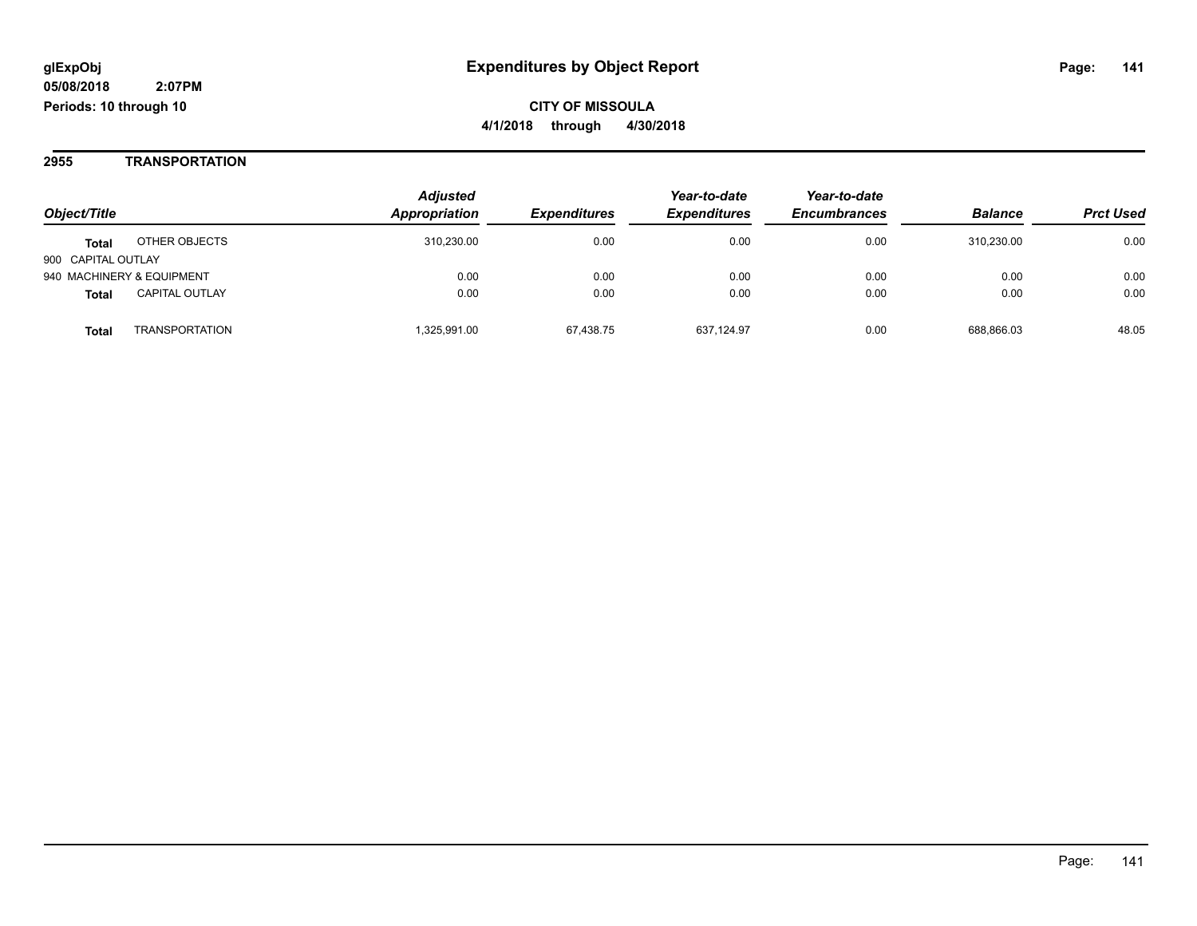### **2955 TRANSPORTATION**

| Object/Title                       |                           | <b>Adjusted</b><br>Appropriation | <i><b>Expenditures</b></i> | Year-to-date<br><b>Expenditures</b> | Year-to-date<br><b>Encumbrances</b> | <b>Balance</b> | <b>Prct Used</b> |
|------------------------------------|---------------------------|----------------------------------|----------------------------|-------------------------------------|-------------------------------------|----------------|------------------|
|                                    |                           |                                  |                            |                                     |                                     |                |                  |
| <b>Total</b><br>900 CAPITAL OUTLAY | OTHER OBJECTS             | 310,230.00                       | 0.00                       | 0.00                                | 0.00                                | 310.230.00     | 0.00             |
|                                    | 940 MACHINERY & EQUIPMENT | 0.00                             | 0.00                       | 0.00                                | 0.00                                | 0.00           | 0.00             |
| <b>Total</b>                       | <b>CAPITAL OUTLAY</b>     | 0.00                             | 0.00                       | 0.00                                | 0.00                                | 0.00           | 0.00             |
| <b>Total</b>                       | <b>TRANSPORTATION</b>     | 1,325,991.00                     | 67.438.75                  | 637.124.97                          | 0.00                                | 688.866.03     | 48.05            |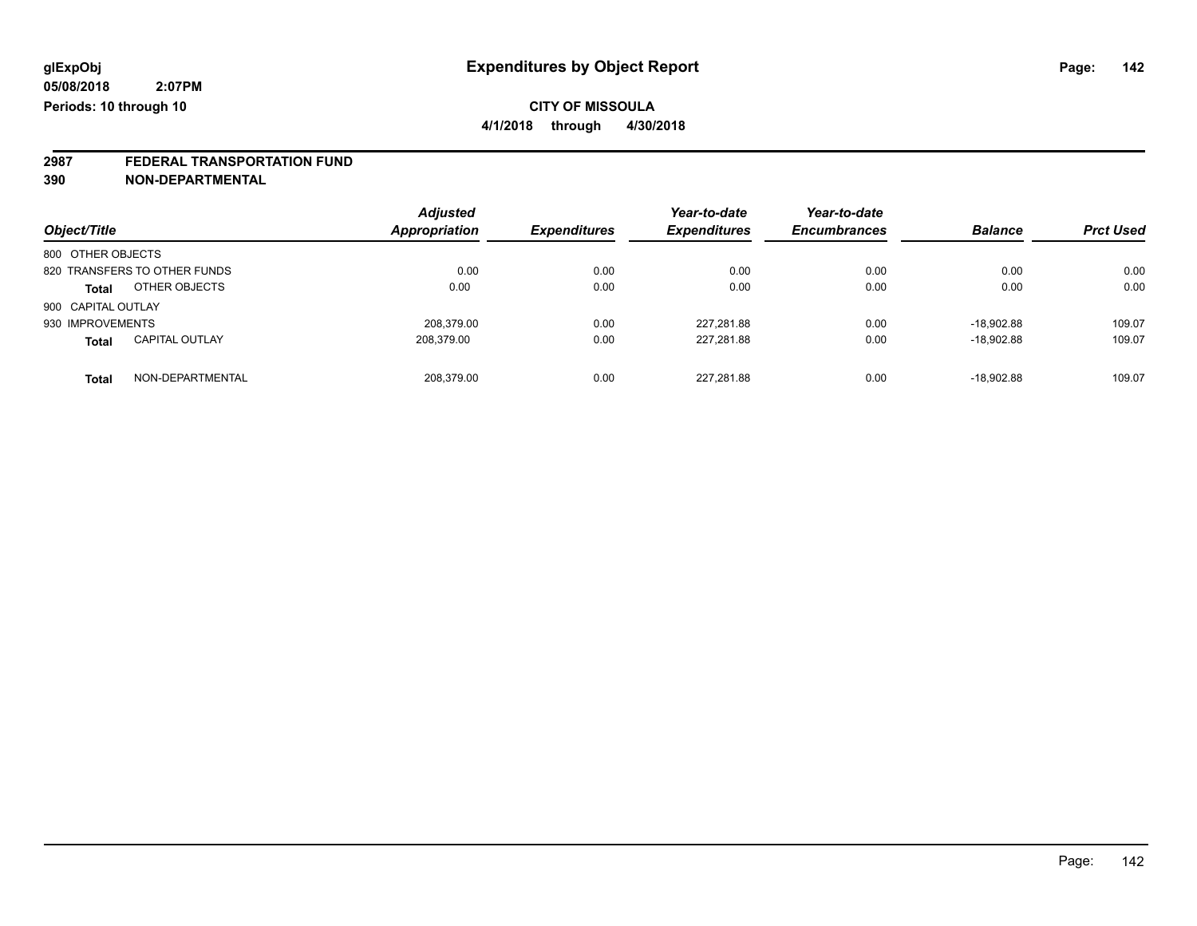## **2987 FEDERAL TRANSPORTATION FUND**

**390 NON-DEPARTMENTAL**

| Object/Title                          | <b>Adjusted</b><br><b>Appropriation</b> | <b>Expenditures</b> | Year-to-date<br><b>Expenditures</b> | Year-to-date<br><b>Encumbrances</b> | <b>Balance</b> | <b>Prct Used</b> |
|---------------------------------------|-----------------------------------------|---------------------|-------------------------------------|-------------------------------------|----------------|------------------|
| 800 OTHER OBJECTS                     |                                         |                     |                                     |                                     |                |                  |
| 820 TRANSFERS TO OTHER FUNDS          | 0.00                                    | 0.00                | 0.00                                | 0.00                                | 0.00           | 0.00             |
| OTHER OBJECTS<br><b>Total</b>         | 0.00                                    | 0.00                | 0.00                                | 0.00                                | 0.00           | 0.00             |
| 900 CAPITAL OUTLAY                    |                                         |                     |                                     |                                     |                |                  |
| 930 IMPROVEMENTS                      | 208.379.00                              | 0.00                | 227,281.88                          | 0.00                                | $-18.902.88$   | 109.07           |
| <b>CAPITAL OUTLAY</b><br><b>Total</b> | 208.379.00                              | 0.00                | 227,281.88                          | 0.00                                | $-18.902.88$   | 109.07           |
| NON-DEPARTMENTAL<br>Total             | 208.379.00                              | 0.00                | 227,281.88                          | 0.00                                | $-18.902.88$   | 109.07           |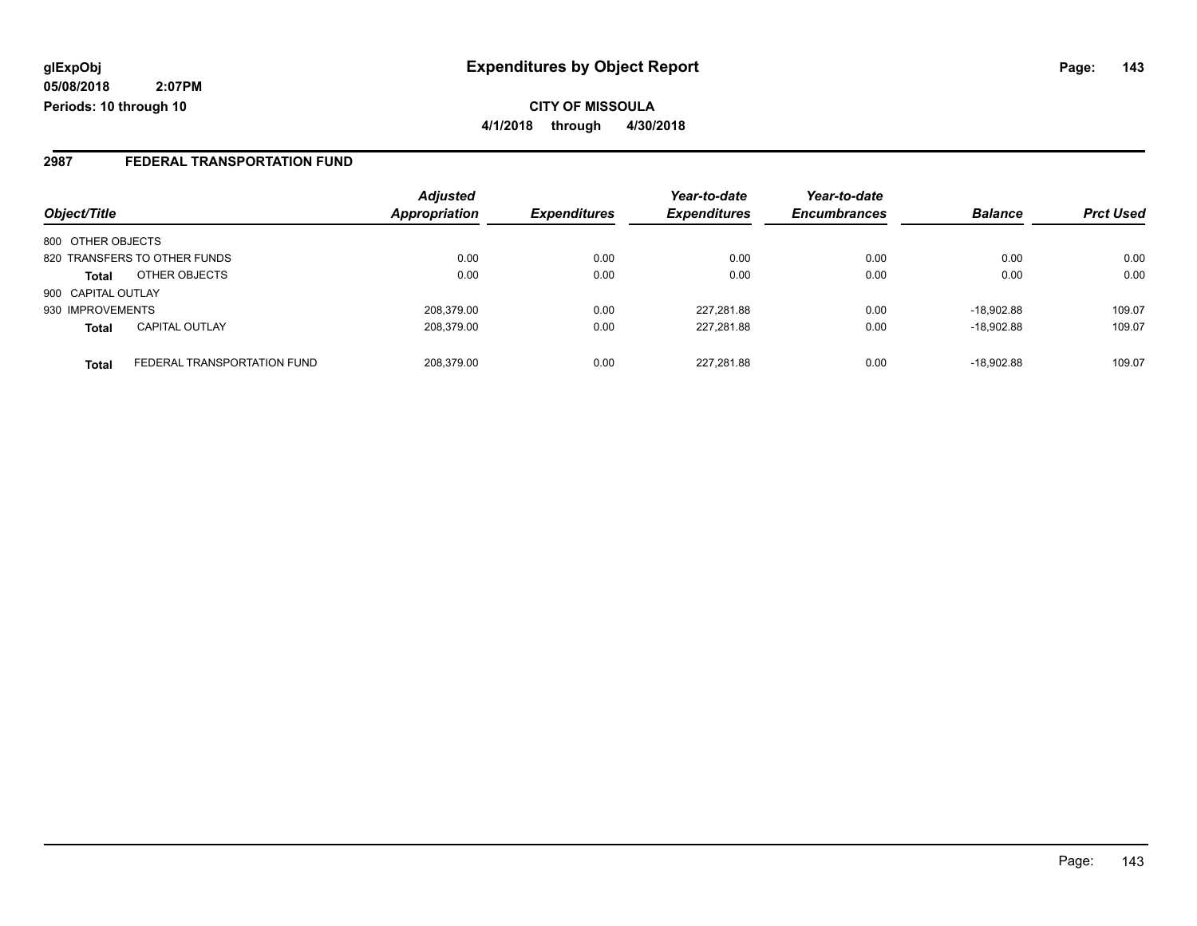**05/08/2018 2:07PM Periods: 10 through 10**

### **2987 FEDERAL TRANSPORTATION FUND**

|                    |                              | <b>Adjusted</b>      |                     | Year-to-date        | Year-to-date        |                |                  |
|--------------------|------------------------------|----------------------|---------------------|---------------------|---------------------|----------------|------------------|
| Object/Title       |                              | <b>Appropriation</b> | <b>Expenditures</b> | <b>Expenditures</b> | <b>Encumbrances</b> | <b>Balance</b> | <b>Prct Used</b> |
| 800 OTHER OBJECTS  |                              |                      |                     |                     |                     |                |                  |
|                    | 820 TRANSFERS TO OTHER FUNDS | 0.00                 | 0.00                | 0.00                | 0.00                | 0.00           | 0.00             |
| <b>Total</b>       | OTHER OBJECTS                | 0.00                 | 0.00                | 0.00                | 0.00                | 0.00           | 0.00             |
| 900 CAPITAL OUTLAY |                              |                      |                     |                     |                     |                |                  |
| 930 IMPROVEMENTS   |                              | 208.379.00           | 0.00                | 227.281.88          | 0.00                | $-18.902.88$   | 109.07           |
| <b>Total</b>       | <b>CAPITAL OUTLAY</b>        | 208.379.00           | 0.00                | 227.281.88          | 0.00                | $-18.902.88$   | 109.07           |
| <b>Total</b>       | FEDERAL TRANSPORTATION FUND  | 208.379.00           | 0.00                | 227,281.88          | 0.00                | $-18.902.88$   | 109.07           |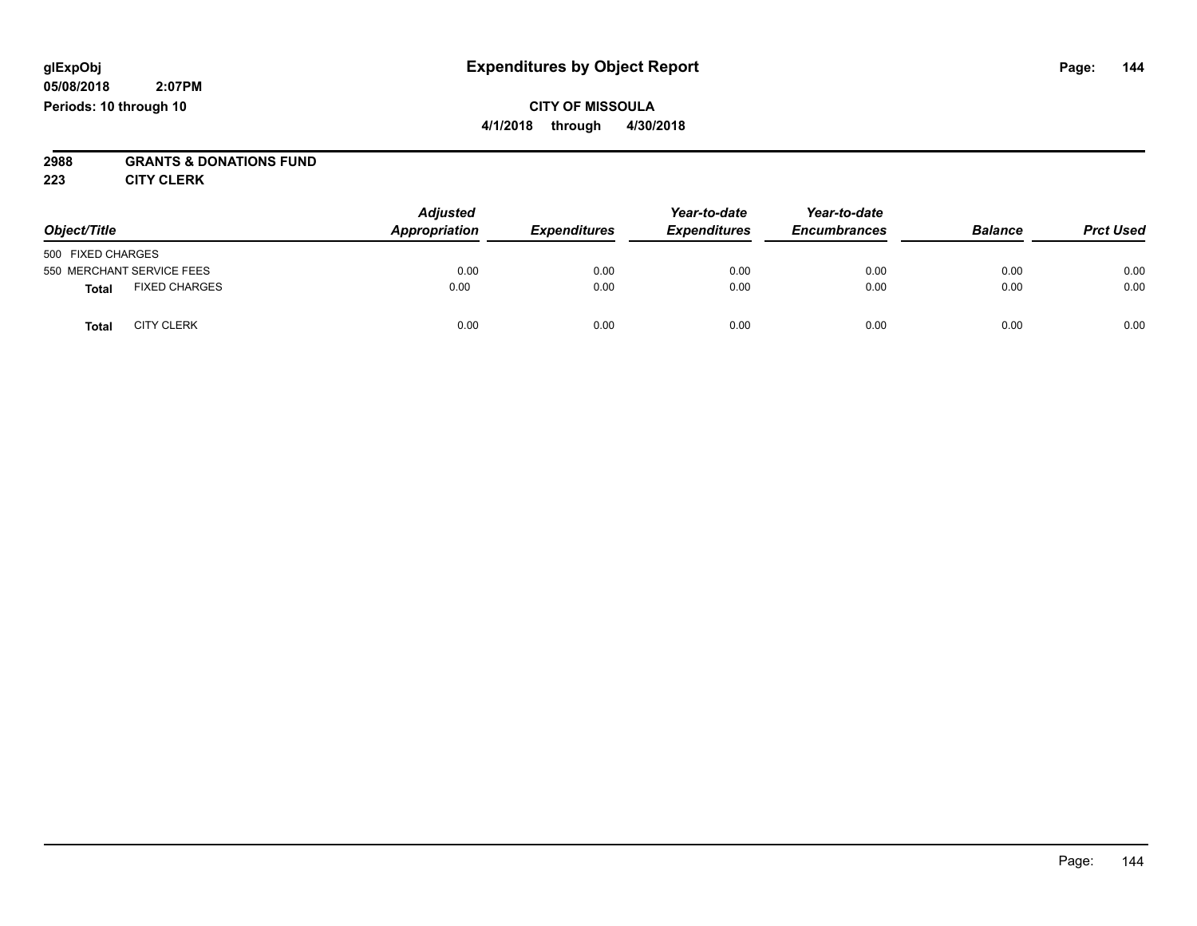### **05/08/2018 2:07PM Periods: 10 through 10**

### **CITY OF MISSOULA 4/1/2018 through 4/30/2018**

## **2988 GRANTS & DONATIONS FUND**

**223 CITY CLERK**

| Object/Title                         | <b>Adjusted</b><br>Appropriation | <b>Expenditures</b> | Year-to-date<br><b>Expenditures</b> | Year-to-date<br><b>Encumbrances</b> | <b>Balance</b> | <b>Prct Used</b> |
|--------------------------------------|----------------------------------|---------------------|-------------------------------------|-------------------------------------|----------------|------------------|
| 500 FIXED CHARGES                    |                                  |                     |                                     |                                     |                |                  |
| 550 MERCHANT SERVICE FEES            | 0.00                             | 0.00                | 0.00                                | 0.00                                | 0.00           | 0.00             |
| <b>FIXED CHARGES</b><br><b>Total</b> | 0.00                             | 0.00                | 0.00                                | 0.00                                | 0.00           | 0.00             |
| <b>CITY CLERK</b><br>Total           | 0.00                             | 0.00                | 0.00                                | 0.00                                | 0.00           | 0.00             |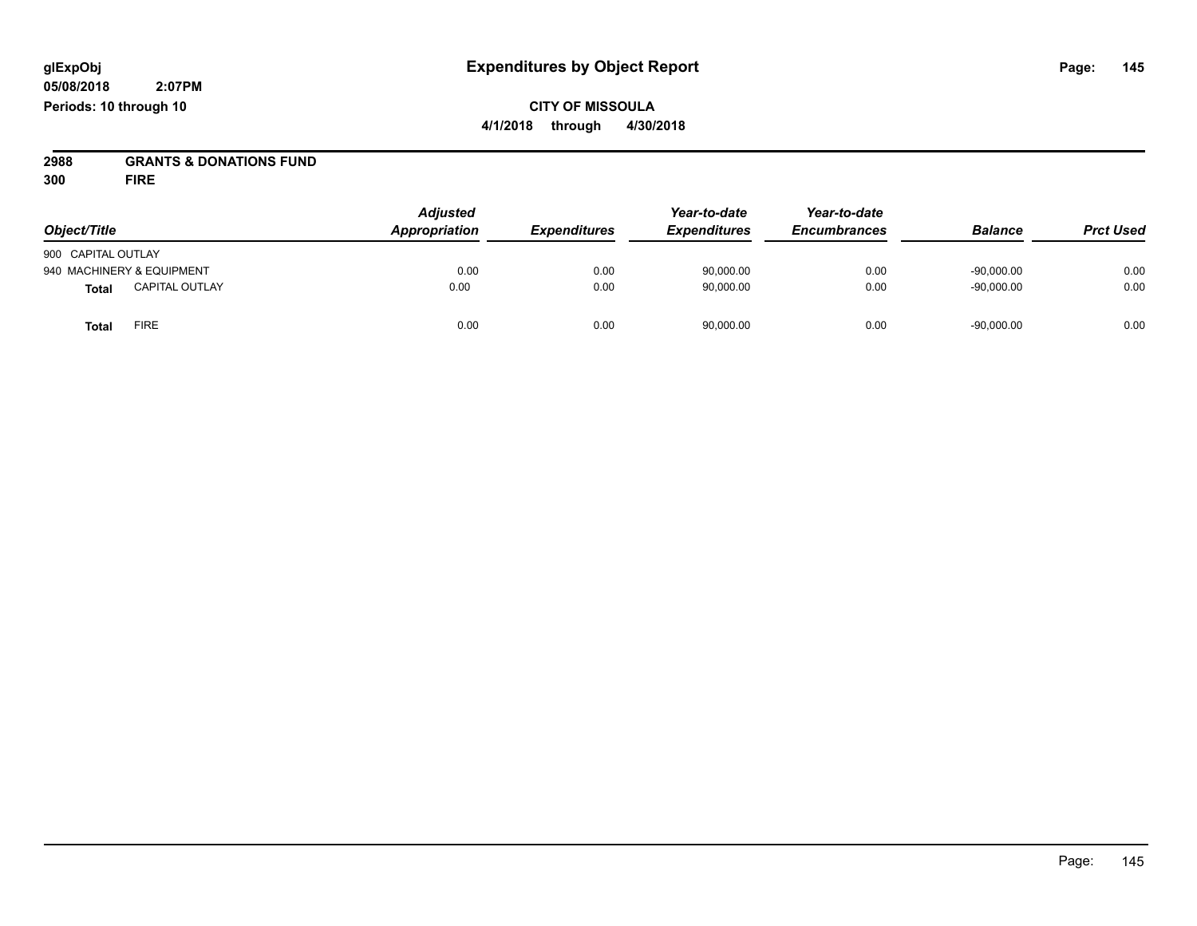#### **CITY OF MISSOULA 4/1/2018 through 4/30/2018**

# **2988 GRANTS & DONATIONS FUND**

**300 FIRE**

|                                | <b>Adjusted</b> | Year-to-date        |                     | Year-to-date        |                |                  |
|--------------------------------|-----------------|---------------------|---------------------|---------------------|----------------|------------------|
| Object/Title                   | Appropriation   | <b>Expenditures</b> | <b>Expenditures</b> | <b>Encumbrances</b> | <b>Balance</b> | <b>Prct Used</b> |
| 900 CAPITAL OUTLAY             |                 |                     |                     |                     |                |                  |
| 940 MACHINERY & EQUIPMENT      | 0.00            | 0.00                | 90,000.00           | 0.00                | $-90.000.00$   | 0.00             |
| <b>CAPITAL OUTLAY</b><br>Total | 0.00            | 0.00                | 90,000.00           | 0.00                | $-90,000.00$   | 0.00             |
| <b>FIRE</b><br>Total           | 0.00            | 0.00                | 90,000.00           | 0.00                | $-90,000.00$   | 0.00             |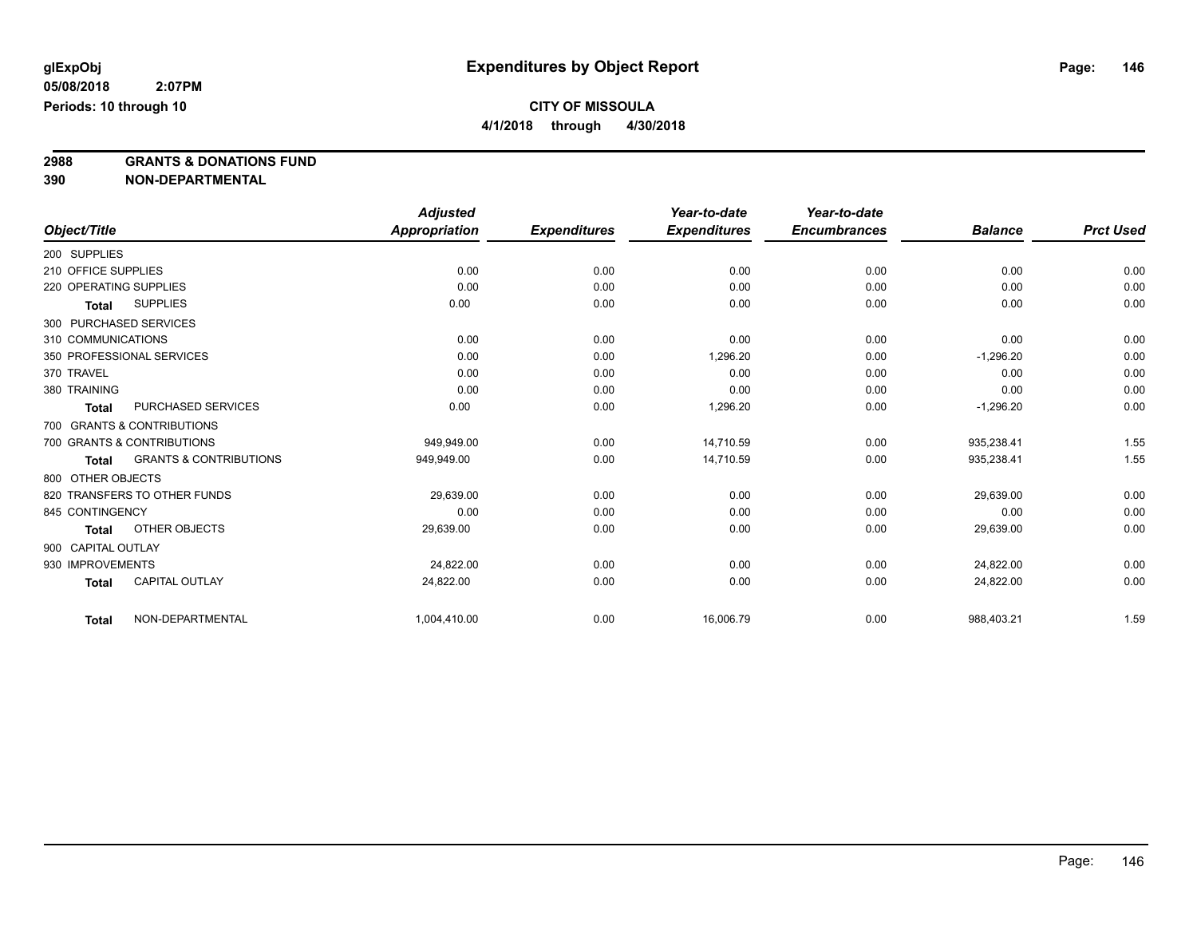# **2988 GRANTS & DONATIONS FUND**

|                        |                                   | <b>Adjusted</b>      |                     | Year-to-date        | Year-to-date        |                |                  |
|------------------------|-----------------------------------|----------------------|---------------------|---------------------|---------------------|----------------|------------------|
| Object/Title           |                                   | <b>Appropriation</b> | <b>Expenditures</b> | <b>Expenditures</b> | <b>Encumbrances</b> | <b>Balance</b> | <b>Prct Used</b> |
| 200 SUPPLIES           |                                   |                      |                     |                     |                     |                |                  |
| 210 OFFICE SUPPLIES    |                                   | 0.00                 | 0.00                | 0.00                | 0.00                | 0.00           | 0.00             |
| 220 OPERATING SUPPLIES |                                   | 0.00                 | 0.00                | 0.00                | 0.00                | 0.00           | 0.00             |
| <b>Total</b>           | <b>SUPPLIES</b>                   | 0.00                 | 0.00                | 0.00                | 0.00                | 0.00           | 0.00             |
| 300 PURCHASED SERVICES |                                   |                      |                     |                     |                     |                |                  |
| 310 COMMUNICATIONS     |                                   | 0.00                 | 0.00                | 0.00                | 0.00                | 0.00           | 0.00             |
|                        | 350 PROFESSIONAL SERVICES         | 0.00                 | 0.00                | 1,296.20            | 0.00                | $-1,296.20$    | 0.00             |
| 370 TRAVEL             |                                   | 0.00                 | 0.00                | 0.00                | 0.00                | 0.00           | 0.00             |
| 380 TRAINING           |                                   | 0.00                 | 0.00                | 0.00                | 0.00                | 0.00           | 0.00             |
| <b>Total</b>           | PURCHASED SERVICES                | 0.00                 | 0.00                | 1,296.20            | 0.00                | $-1,296.20$    | 0.00             |
|                        | 700 GRANTS & CONTRIBUTIONS        |                      |                     |                     |                     |                |                  |
|                        | 700 GRANTS & CONTRIBUTIONS        | 949,949.00           | 0.00                | 14,710.59           | 0.00                | 935,238.41     | 1.55             |
| Total                  | <b>GRANTS &amp; CONTRIBUTIONS</b> | 949,949.00           | 0.00                | 14,710.59           | 0.00                | 935,238.41     | 1.55             |
| 800 OTHER OBJECTS      |                                   |                      |                     |                     |                     |                |                  |
|                        | 820 TRANSFERS TO OTHER FUNDS      | 29,639.00            | 0.00                | 0.00                | 0.00                | 29,639.00      | 0.00             |
| 845 CONTINGENCY        |                                   | 0.00                 | 0.00                | 0.00                | 0.00                | 0.00           | 0.00             |
| <b>Total</b>           | OTHER OBJECTS                     | 29,639.00            | 0.00                | 0.00                | 0.00                | 29,639.00      | 0.00             |
| 900 CAPITAL OUTLAY     |                                   |                      |                     |                     |                     |                |                  |
| 930 IMPROVEMENTS       |                                   | 24,822.00            | 0.00                | 0.00                | 0.00                | 24,822.00      | 0.00             |
| <b>Total</b>           | <b>CAPITAL OUTLAY</b>             | 24,822.00            | 0.00                | 0.00                | 0.00                | 24,822.00      | 0.00             |
| <b>Total</b>           | NON-DEPARTMENTAL                  | 1,004,410.00         | 0.00                | 16,006.79           | 0.00                | 988,403.21     | 1.59             |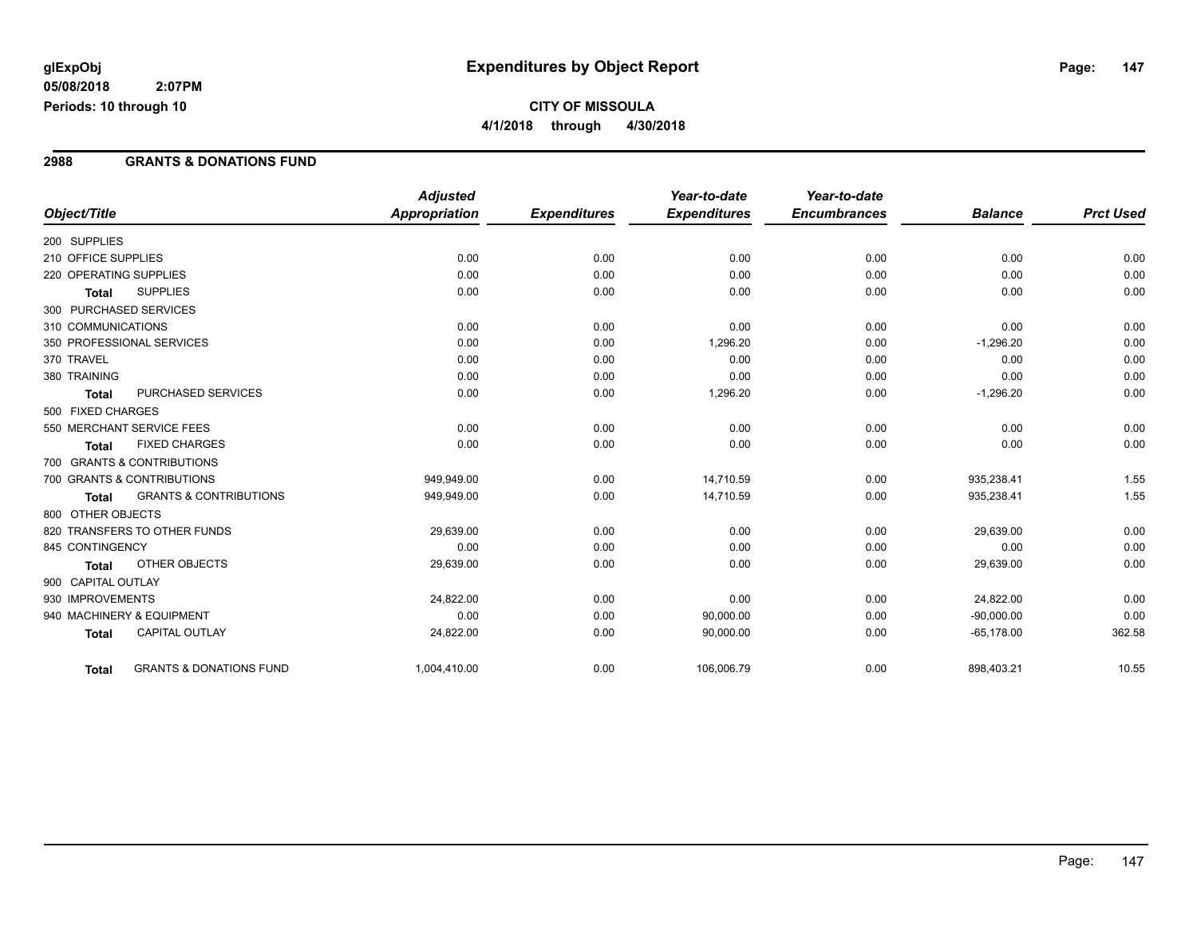#### **2988 GRANTS & DONATIONS FUND**

|                        |                                    | <b>Adjusted</b> |                     | Year-to-date        | Year-to-date        |                |                  |
|------------------------|------------------------------------|-----------------|---------------------|---------------------|---------------------|----------------|------------------|
| Object/Title           |                                    | Appropriation   | <b>Expenditures</b> | <b>Expenditures</b> | <b>Encumbrances</b> | <b>Balance</b> | <b>Prct Used</b> |
| 200 SUPPLIES           |                                    |                 |                     |                     |                     |                |                  |
| 210 OFFICE SUPPLIES    |                                    | 0.00            | 0.00                | 0.00                | 0.00                | 0.00           | 0.00             |
| 220 OPERATING SUPPLIES |                                    | 0.00            | 0.00                | 0.00                | 0.00                | 0.00           | 0.00             |
| <b>Total</b>           | <b>SUPPLIES</b>                    | 0.00            | 0.00                | 0.00                | 0.00                | 0.00           | 0.00             |
| 300 PURCHASED SERVICES |                                    |                 |                     |                     |                     |                |                  |
| 310 COMMUNICATIONS     |                                    | 0.00            | 0.00                | 0.00                | 0.00                | 0.00           | 0.00             |
|                        | 350 PROFESSIONAL SERVICES          | 0.00            | 0.00                | 1,296.20            | 0.00                | $-1,296.20$    | 0.00             |
| 370 TRAVEL             |                                    | 0.00            | 0.00                | 0.00                | 0.00                | 0.00           | 0.00             |
| 380 TRAINING           |                                    | 0.00            | 0.00                | 0.00                | 0.00                | 0.00           | 0.00             |
| <b>Total</b>           | PURCHASED SERVICES                 | 0.00            | 0.00                | 1,296.20            | 0.00                | $-1,296.20$    | 0.00             |
| 500 FIXED CHARGES      |                                    |                 |                     |                     |                     |                |                  |
|                        | 550 MERCHANT SERVICE FEES          | 0.00            | 0.00                | 0.00                | 0.00                | 0.00           | 0.00             |
| <b>Total</b>           | <b>FIXED CHARGES</b>               | 0.00            | 0.00                | 0.00                | 0.00                | 0.00           | 0.00             |
|                        | 700 GRANTS & CONTRIBUTIONS         |                 |                     |                     |                     |                |                  |
|                        | 700 GRANTS & CONTRIBUTIONS         | 949,949.00      | 0.00                | 14,710.59           | 0.00                | 935,238.41     | 1.55             |
| Total                  | <b>GRANTS &amp; CONTRIBUTIONS</b>  | 949,949.00      | 0.00                | 14,710.59           | 0.00                | 935,238.41     | 1.55             |
| 800 OTHER OBJECTS      |                                    |                 |                     |                     |                     |                |                  |
|                        | 820 TRANSFERS TO OTHER FUNDS       | 29,639.00       | 0.00                | 0.00                | 0.00                | 29,639.00      | 0.00             |
| 845 CONTINGENCY        |                                    | 0.00            | 0.00                | 0.00                | 0.00                | 0.00           | 0.00             |
| <b>Total</b>           | OTHER OBJECTS                      | 29,639.00       | 0.00                | 0.00                | 0.00                | 29,639.00      | 0.00             |
| 900 CAPITAL OUTLAY     |                                    |                 |                     |                     |                     |                |                  |
| 930 IMPROVEMENTS       |                                    | 24,822.00       | 0.00                | 0.00                | 0.00                | 24,822.00      | 0.00             |
|                        | 940 MACHINERY & EQUIPMENT          | 0.00            | 0.00                | 90,000.00           | 0.00                | $-90,000.00$   | 0.00             |
| <b>Total</b>           | CAPITAL OUTLAY                     | 24,822.00       | 0.00                | 90,000.00           | 0.00                | $-65,178.00$   | 362.58           |
| <b>Total</b>           | <b>GRANTS &amp; DONATIONS FUND</b> | 1,004,410.00    | 0.00                | 106,006.79          | 0.00                | 898,403.21     | 10.55            |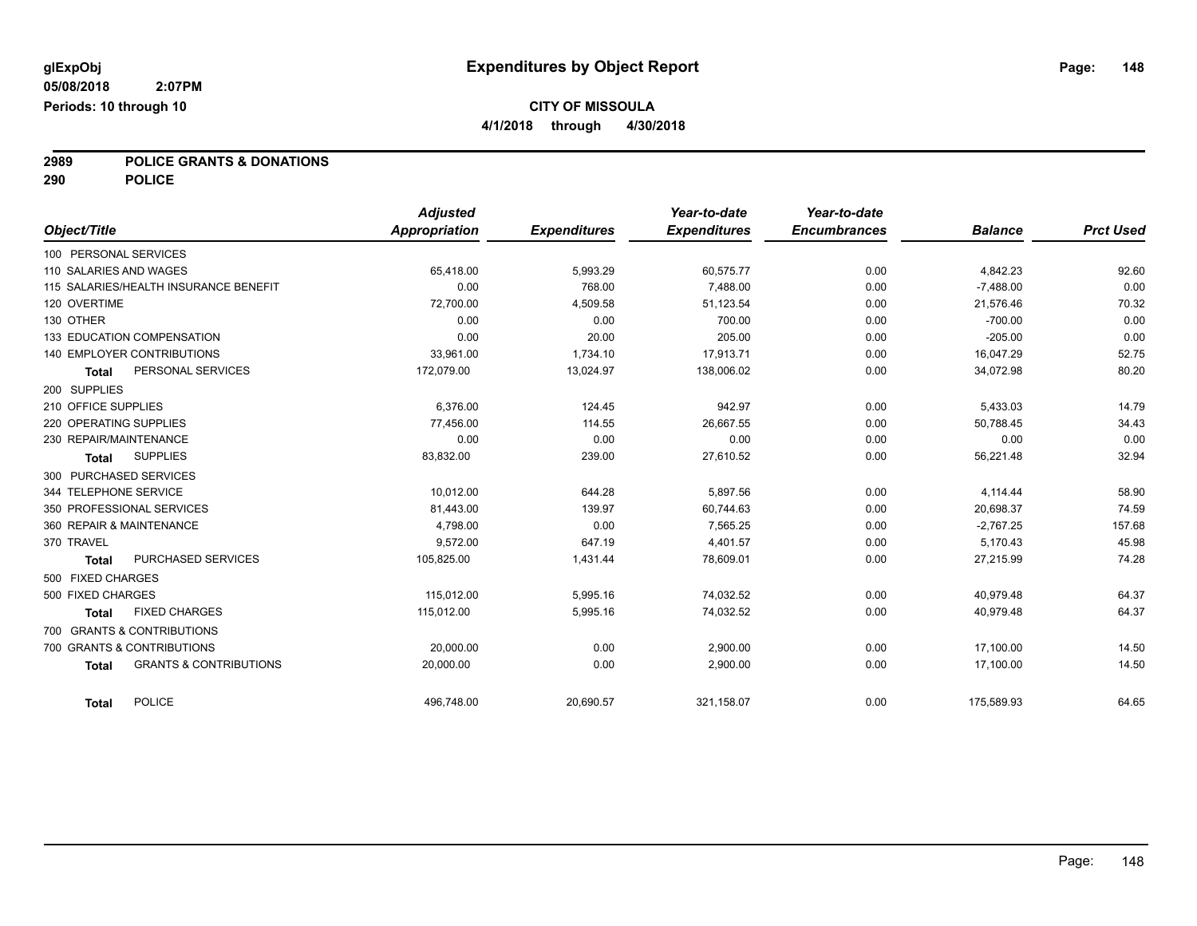# **2989 POLICE GRANTS & DONATIONS**

**290 POLICE**

|                                                   | <b>Adjusted</b> |                     | Year-to-date        | Year-to-date        |                |                  |
|---------------------------------------------------|-----------------|---------------------|---------------------|---------------------|----------------|------------------|
| Object/Title                                      | Appropriation   | <b>Expenditures</b> | <b>Expenditures</b> | <b>Encumbrances</b> | <b>Balance</b> | <b>Prct Used</b> |
| 100 PERSONAL SERVICES                             |                 |                     |                     |                     |                |                  |
| 110 SALARIES AND WAGES                            | 65,418.00       | 5,993.29            | 60,575.77           | 0.00                | 4,842.23       | 92.60            |
| 115 SALARIES/HEALTH INSURANCE BENEFIT             | 0.00            | 768.00              | 7,488.00            | 0.00                | $-7,488.00$    | 0.00             |
| 120 OVERTIME                                      | 72,700.00       | 4,509.58            | 51,123.54           | 0.00                | 21,576.46      | 70.32            |
| 130 OTHER                                         | 0.00            | 0.00                | 700.00              | 0.00                | $-700.00$      | 0.00             |
| 133 EDUCATION COMPENSATION                        | 0.00            | 20.00               | 205.00              | 0.00                | $-205.00$      | 0.00             |
| 140 EMPLOYER CONTRIBUTIONS                        | 33,961.00       | 1,734.10            | 17,913.71           | 0.00                | 16,047.29      | 52.75            |
| PERSONAL SERVICES<br><b>Total</b>                 | 172,079.00      | 13,024.97           | 138,006.02          | 0.00                | 34,072.98      | 80.20            |
| 200 SUPPLIES                                      |                 |                     |                     |                     |                |                  |
| 210 OFFICE SUPPLIES                               | 6.376.00        | 124.45              | 942.97              | 0.00                | 5,433.03       | 14.79            |
| 220 OPERATING SUPPLIES                            | 77,456.00       | 114.55              | 26,667.55           | 0.00                | 50,788.45      | 34.43            |
| 230 REPAIR/MAINTENANCE                            | 0.00            | 0.00                | 0.00                | 0.00                | 0.00           | 0.00             |
| <b>SUPPLIES</b><br><b>Total</b>                   | 83,832.00       | 239.00              | 27,610.52           | 0.00                | 56,221.48      | 32.94            |
| 300 PURCHASED SERVICES                            |                 |                     |                     |                     |                |                  |
| 344 TELEPHONE SERVICE                             | 10.012.00       | 644.28              | 5.897.56            | 0.00                | 4,114.44       | 58.90            |
| 350 PROFESSIONAL SERVICES                         | 81,443.00       | 139.97              | 60,744.63           | 0.00                | 20,698.37      | 74.59            |
| 360 REPAIR & MAINTENANCE                          | 4,798.00        | 0.00                | 7,565.25            | 0.00                | $-2,767.25$    | 157.68           |
| 370 TRAVEL                                        | 9,572.00        | 647.19              | 4,401.57            | 0.00                | 5,170.43       | 45.98            |
| PURCHASED SERVICES<br><b>Total</b>                | 105,825.00      | 1,431.44            | 78,609.01           | 0.00                | 27,215.99      | 74.28            |
| 500 FIXED CHARGES                                 |                 |                     |                     |                     |                |                  |
| 500 FIXED CHARGES                                 | 115.012.00      | 5.995.16            | 74,032.52           | 0.00                | 40.979.48      | 64.37            |
| <b>FIXED CHARGES</b><br><b>Total</b>              | 115,012.00      | 5,995.16            | 74,032.52           | 0.00                | 40,979.48      | 64.37            |
| 700 GRANTS & CONTRIBUTIONS                        |                 |                     |                     |                     |                |                  |
| 700 GRANTS & CONTRIBUTIONS                        | 20,000.00       | 0.00                | 2,900.00            | 0.00                | 17,100.00      | 14.50            |
| <b>GRANTS &amp; CONTRIBUTIONS</b><br><b>Total</b> | 20,000.00       | 0.00                | 2,900.00            | 0.00                | 17.100.00      | 14.50            |
|                                                   |                 |                     |                     |                     |                |                  |
| <b>POLICE</b><br><b>Total</b>                     | 496,748.00      | 20,690.57           | 321,158.07          | 0.00                | 175,589.93     | 64.65            |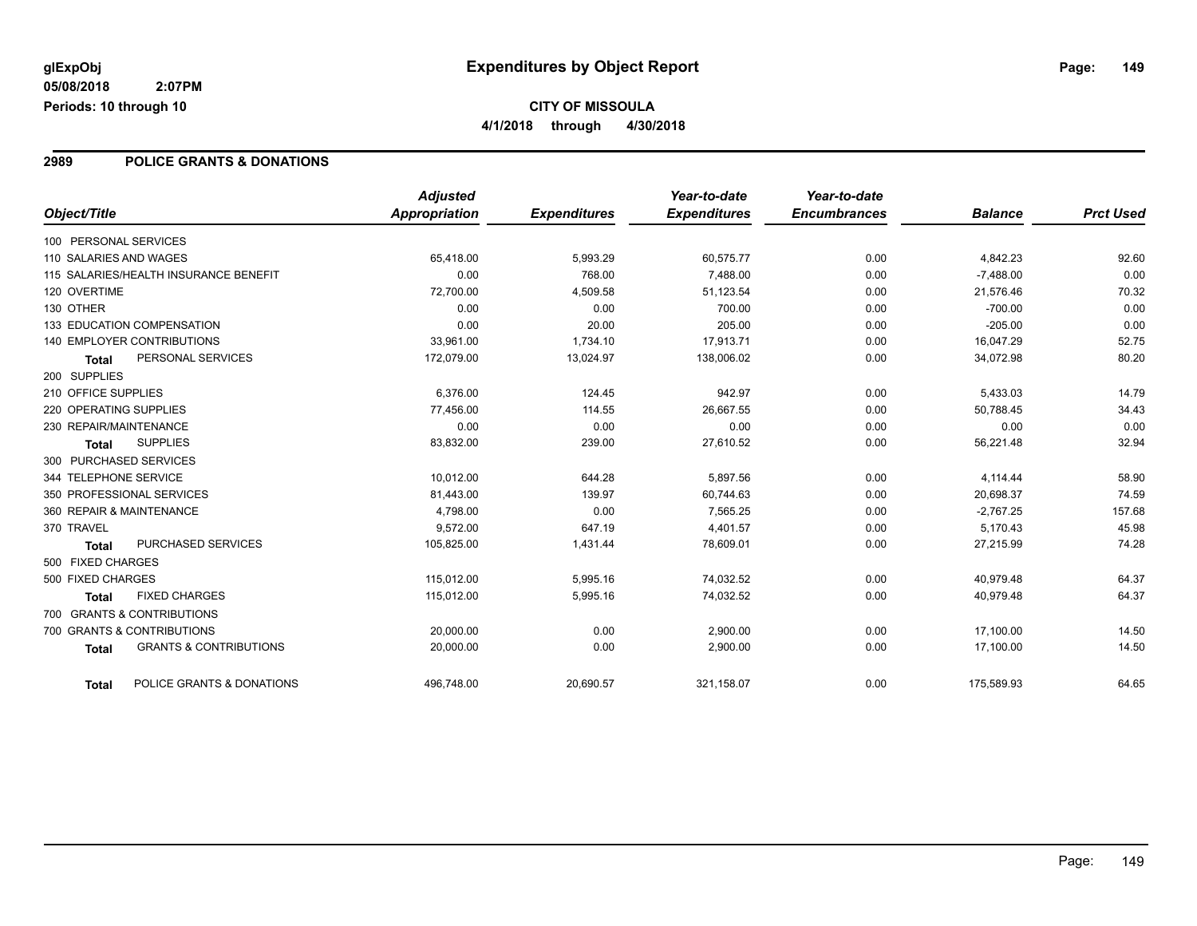#### **2989 POLICE GRANTS & DONATIONS**

|                                                   | <b>Adjusted</b> |                     | Year-to-date        | Year-to-date        |                |                  |
|---------------------------------------------------|-----------------|---------------------|---------------------|---------------------|----------------|------------------|
| Object/Title                                      | Appropriation   | <b>Expenditures</b> | <b>Expenditures</b> | <b>Encumbrances</b> | <b>Balance</b> | <b>Prct Used</b> |
| 100 PERSONAL SERVICES                             |                 |                     |                     |                     |                |                  |
| 110 SALARIES AND WAGES                            | 65,418.00       | 5,993.29            | 60,575.77           | 0.00                | 4,842.23       | 92.60            |
| 115 SALARIES/HEALTH INSURANCE BENEFIT             | 0.00            | 768.00              | 7,488.00            | 0.00                | $-7,488.00$    | 0.00             |
| 120 OVERTIME                                      | 72.700.00       | 4,509.58            | 51.123.54           | 0.00                | 21.576.46      | 70.32            |
| 130 OTHER                                         | 0.00            | 0.00                | 700.00              | 0.00                | $-700.00$      | 0.00             |
| 133 EDUCATION COMPENSATION                        | 0.00            | 20.00               | 205.00              | 0.00                | $-205.00$      | 0.00             |
| <b>140 EMPLOYER CONTRIBUTIONS</b>                 | 33,961.00       | 1,734.10            | 17,913.71           | 0.00                | 16,047.29      | 52.75            |
| PERSONAL SERVICES<br><b>Total</b>                 | 172,079.00      | 13,024.97           | 138,006.02          | 0.00                | 34,072.98      | 80.20            |
| 200 SUPPLIES                                      |                 |                     |                     |                     |                |                  |
| 210 OFFICE SUPPLIES                               | 6,376.00        | 124.45              | 942.97              | 0.00                | 5,433.03       | 14.79            |
| 220 OPERATING SUPPLIES                            | 77,456.00       | 114.55              | 26,667.55           | 0.00                | 50,788.45      | 34.43            |
| 230 REPAIR/MAINTENANCE                            | 0.00            | 0.00                | 0.00                | 0.00                | 0.00           | 0.00             |
| <b>SUPPLIES</b><br><b>Total</b>                   | 83,832.00       | 239.00              | 27,610.52           | 0.00                | 56,221.48      | 32.94            |
| 300 PURCHASED SERVICES                            |                 |                     |                     |                     |                |                  |
| 344 TELEPHONE SERVICE                             | 10,012.00       | 644.28              | 5,897.56            | 0.00                | 4,114.44       | 58.90            |
| 350 PROFESSIONAL SERVICES                         | 81,443.00       | 139.97              | 60,744.63           | 0.00                | 20,698.37      | 74.59            |
| 360 REPAIR & MAINTENANCE                          | 4.798.00        | 0.00                | 7.565.25            | 0.00                | $-2.767.25$    | 157.68           |
| 370 TRAVEL                                        | 9.572.00        | 647.19              | 4,401.57            | 0.00                | 5,170.43       | 45.98            |
| PURCHASED SERVICES<br><b>Total</b>                | 105,825.00      | 1,431.44            | 78,609.01           | 0.00                | 27,215.99      | 74.28            |
| 500 FIXED CHARGES                                 |                 |                     |                     |                     |                |                  |
| 500 FIXED CHARGES                                 | 115,012.00      | 5,995.16            | 74,032.52           | 0.00                | 40,979.48      | 64.37            |
| <b>FIXED CHARGES</b><br><b>Total</b>              | 115,012.00      | 5,995.16            | 74,032.52           | 0.00                | 40,979.48      | 64.37            |
| 700 GRANTS & CONTRIBUTIONS                        |                 |                     |                     |                     |                |                  |
| 700 GRANTS & CONTRIBUTIONS                        | 20,000.00       | 0.00                | 2,900.00            | 0.00                | 17,100.00      | 14.50            |
| <b>GRANTS &amp; CONTRIBUTIONS</b><br><b>Total</b> | 20,000.00       | 0.00                | 2,900.00            | 0.00                | 17,100.00      | 14.50            |
| POLICE GRANTS & DONATIONS<br><b>Total</b>         | 496,748.00      | 20,690.57           | 321,158.07          | 0.00                | 175,589.93     | 64.65            |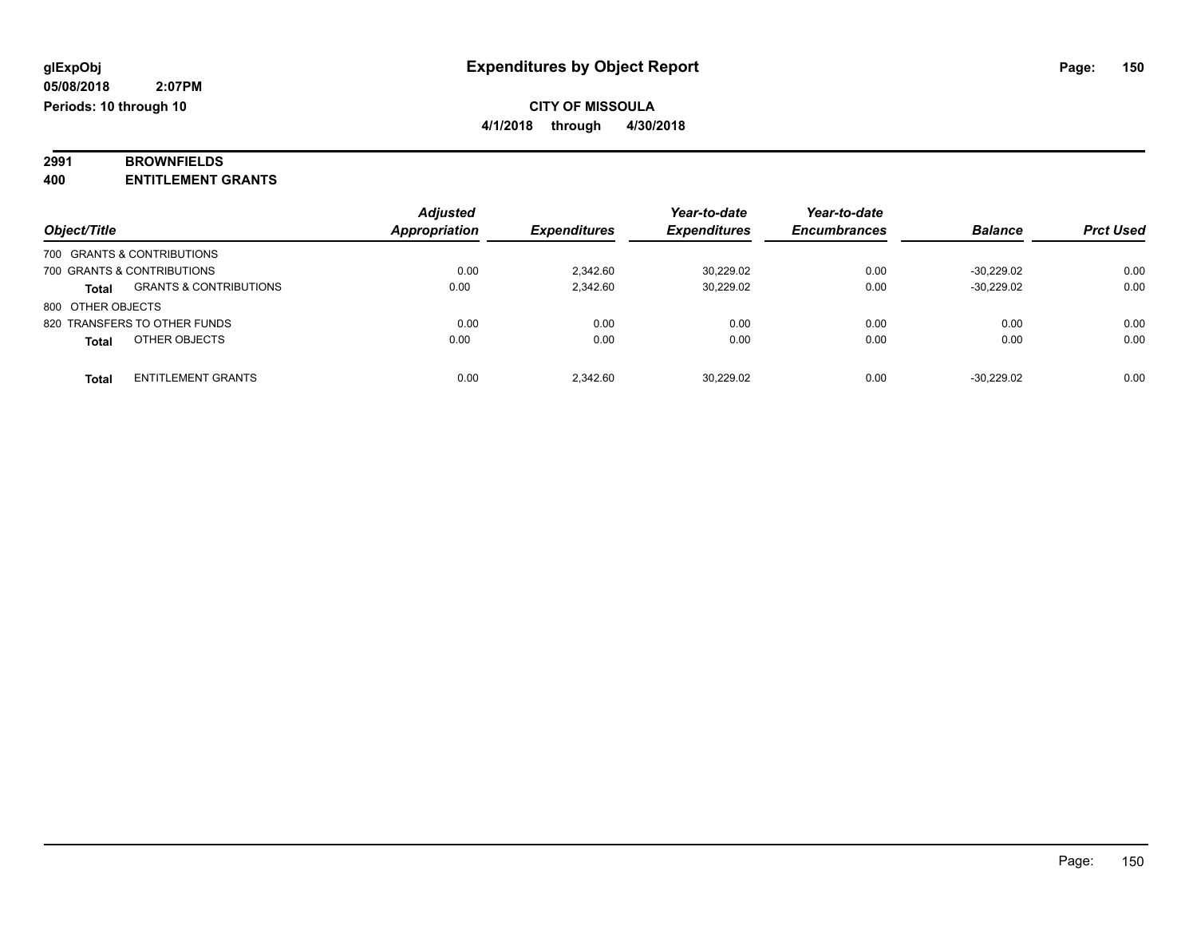# **2991 BROWNFIELDS**

**400 ENTITLEMENT GRANTS**

| Object/Title      |                                   | <b>Adjusted</b>      |                     | Year-to-date        | Year-to-date<br><b>Encumbrances</b> | <b>Balance</b> | <b>Prct Used</b> |
|-------------------|-----------------------------------|----------------------|---------------------|---------------------|-------------------------------------|----------------|------------------|
|                   |                                   | <b>Appropriation</b> | <b>Expenditures</b> | <b>Expenditures</b> |                                     |                |                  |
|                   | 700 GRANTS & CONTRIBUTIONS        |                      |                     |                     |                                     |                |                  |
|                   | 700 GRANTS & CONTRIBUTIONS        | 0.00                 | 2.342.60            | 30.229.02           | 0.00                                | $-30.229.02$   | 0.00             |
| <b>Total</b>      | <b>GRANTS &amp; CONTRIBUTIONS</b> | 0.00                 | 2.342.60            | 30,229.02           | 0.00                                | $-30.229.02$   | 0.00             |
| 800 OTHER OBJECTS |                                   |                      |                     |                     |                                     |                |                  |
|                   | 820 TRANSFERS TO OTHER FUNDS      | 0.00                 | 0.00                | 0.00                | 0.00                                | 0.00           | 0.00             |
| <b>Total</b>      | OTHER OBJECTS                     | 0.00                 | 0.00                | 0.00                | 0.00                                | 0.00           | 0.00             |
| <b>Total</b>      | <b>ENTITLEMENT GRANTS</b>         | 0.00                 | 2.342.60            | 30.229.02           | 0.00                                | $-30.229.02$   | 0.00             |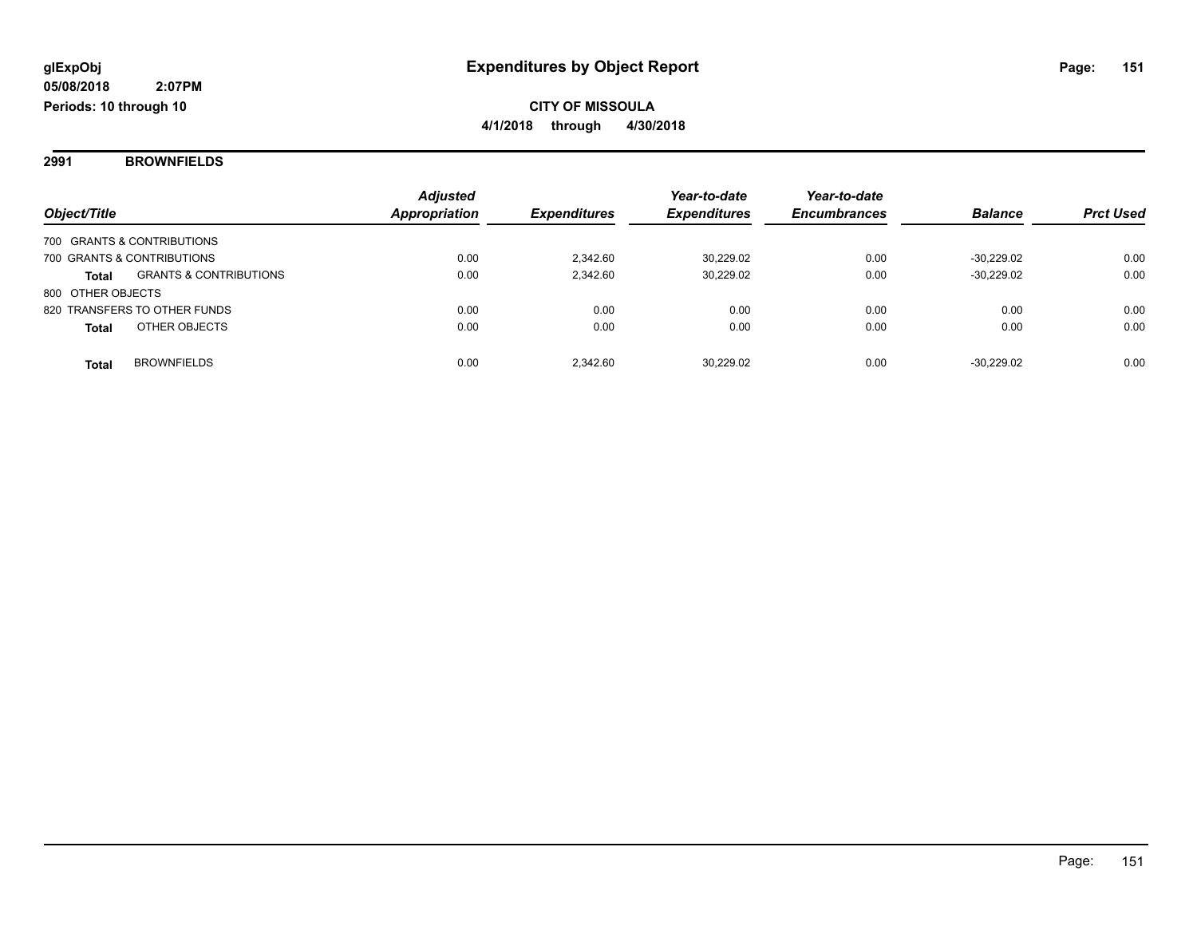#### **2991 BROWNFIELDS**

| Object/Title      |                                   | <b>Adjusted</b>      |                     | Year-to-date<br><b>Expenditures</b> | Year-to-date<br><b>Encumbrances</b> | <b>Balance</b> | <b>Prct Used</b> |
|-------------------|-----------------------------------|----------------------|---------------------|-------------------------------------|-------------------------------------|----------------|------------------|
|                   |                                   | <b>Appropriation</b> | <b>Expenditures</b> |                                     |                                     |                |                  |
|                   | 700 GRANTS & CONTRIBUTIONS        |                      |                     |                                     |                                     |                |                  |
|                   | 700 GRANTS & CONTRIBUTIONS        | 0.00                 | 2.342.60            | 30,229.02                           | 0.00                                | $-30.229.02$   | 0.00             |
| <b>Total</b>      | <b>GRANTS &amp; CONTRIBUTIONS</b> | 0.00                 | 2.342.60            | 30,229.02                           | 0.00                                | $-30.229.02$   | 0.00             |
| 800 OTHER OBJECTS |                                   |                      |                     |                                     |                                     |                |                  |
|                   | 820 TRANSFERS TO OTHER FUNDS      | 0.00                 | 0.00                | 0.00                                | 0.00                                | 0.00           | 0.00             |
| <b>Total</b>      | OTHER OBJECTS                     | 0.00                 | 0.00                | 0.00                                | 0.00                                | 0.00           | 0.00             |
| <b>Total</b>      | <b>BROWNFIELDS</b>                | 0.00                 | 2.342.60            | 30.229.02                           | 0.00                                | $-30.229.02$   | 0.00             |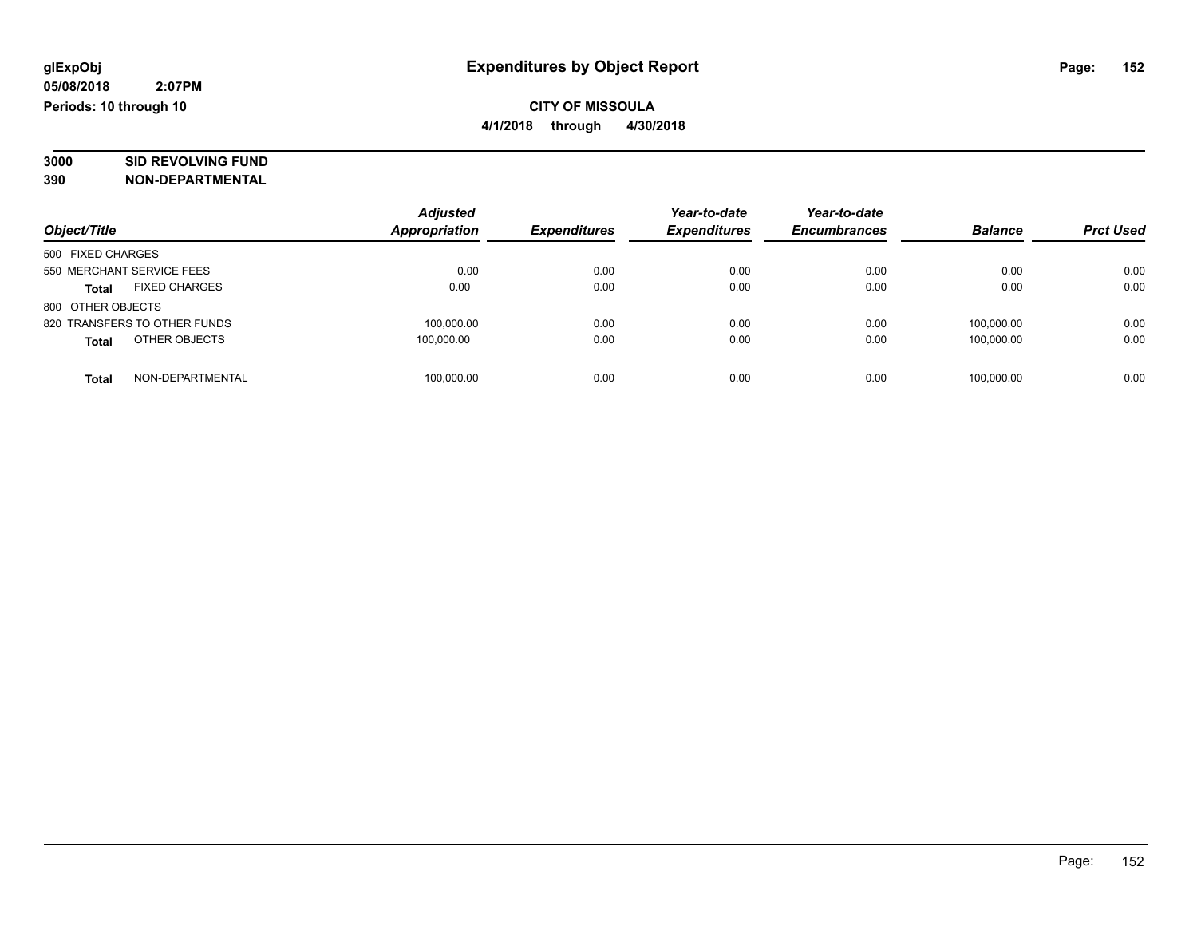# **3000 SID REVOLVING FUND**

|                                      | <b>Adjusted</b>      |                     | Year-to-date        | Year-to-date        |                |                  |
|--------------------------------------|----------------------|---------------------|---------------------|---------------------|----------------|------------------|
| Object/Title                         | <b>Appropriation</b> | <b>Expenditures</b> | <b>Expenditures</b> | <b>Encumbrances</b> | <b>Balance</b> | <b>Prct Used</b> |
| 500 FIXED CHARGES                    |                      |                     |                     |                     |                |                  |
| 550 MERCHANT SERVICE FEES            | 0.00                 | 0.00                | 0.00                | 0.00                | 0.00           | 0.00             |
| <b>FIXED CHARGES</b><br><b>Total</b> | 0.00                 | 0.00                | 0.00                | 0.00                | 0.00           | 0.00             |
| 800 OTHER OBJECTS                    |                      |                     |                     |                     |                |                  |
| 820 TRANSFERS TO OTHER FUNDS         | 100,000.00           | 0.00                | 0.00                | 0.00                | 100.000.00     | 0.00             |
| OTHER OBJECTS<br><b>Total</b>        | 100.000.00           | 0.00                | 0.00                | 0.00                | 100.000.00     | 0.00             |
| NON-DEPARTMENTAL<br>Total            | 100,000.00           | 0.00                | 0.00                | 0.00                | 100.000.00     | 0.00             |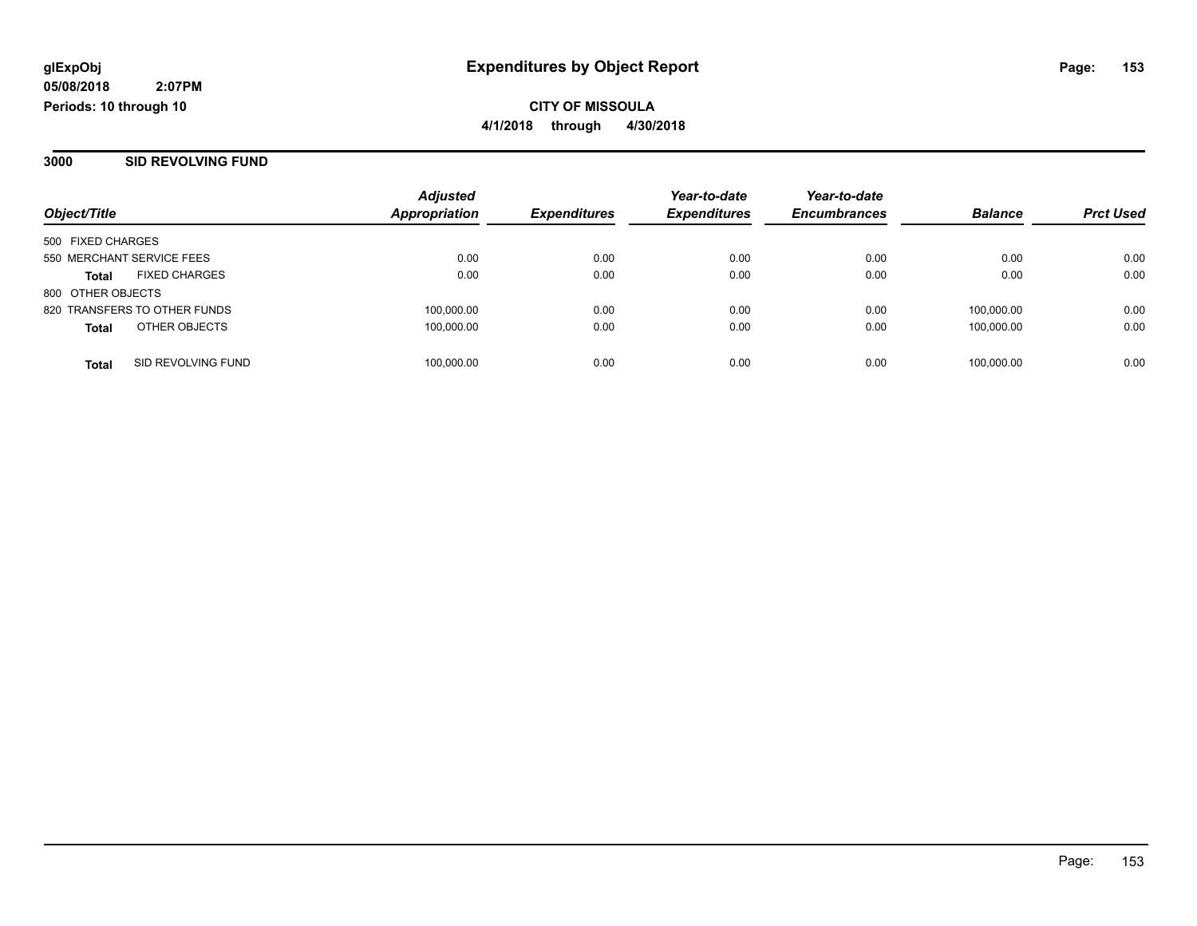**3000 SID REVOLVING FUND**

|                                      | <b>Adjusted</b><br><b>Appropriation</b> | <b>Expenditures</b> | Year-to-date<br><b>Expenditures</b> | Year-to-date<br><b>Encumbrances</b> | <b>Balance</b> | <b>Prct Used</b> |
|--------------------------------------|-----------------------------------------|---------------------|-------------------------------------|-------------------------------------|----------------|------------------|
| Object/Title                         |                                         |                     |                                     |                                     |                |                  |
| 500 FIXED CHARGES                    |                                         |                     |                                     |                                     |                |                  |
| 550 MERCHANT SERVICE FEES            | 0.00                                    | 0.00                | 0.00                                | 0.00                                | 0.00           | 0.00             |
| <b>FIXED CHARGES</b><br><b>Total</b> | 0.00                                    | 0.00                | 0.00                                | 0.00                                | 0.00           | 0.00             |
| 800 OTHER OBJECTS                    |                                         |                     |                                     |                                     |                |                  |
| 820 TRANSFERS TO OTHER FUNDS         | 100,000.00                              | 0.00                | 0.00                                | 0.00                                | 100.000.00     | 0.00             |
| OTHER OBJECTS<br><b>Total</b>        | 100,000.00                              | 0.00                | 0.00                                | 0.00                                | 100.000.00     | 0.00             |
|                                      |                                         |                     |                                     |                                     |                |                  |
| SID REVOLVING FUND<br><b>Total</b>   | 100,000.00                              | 0.00                | 0.00                                | 0.00                                | 100,000.00     | 0.00             |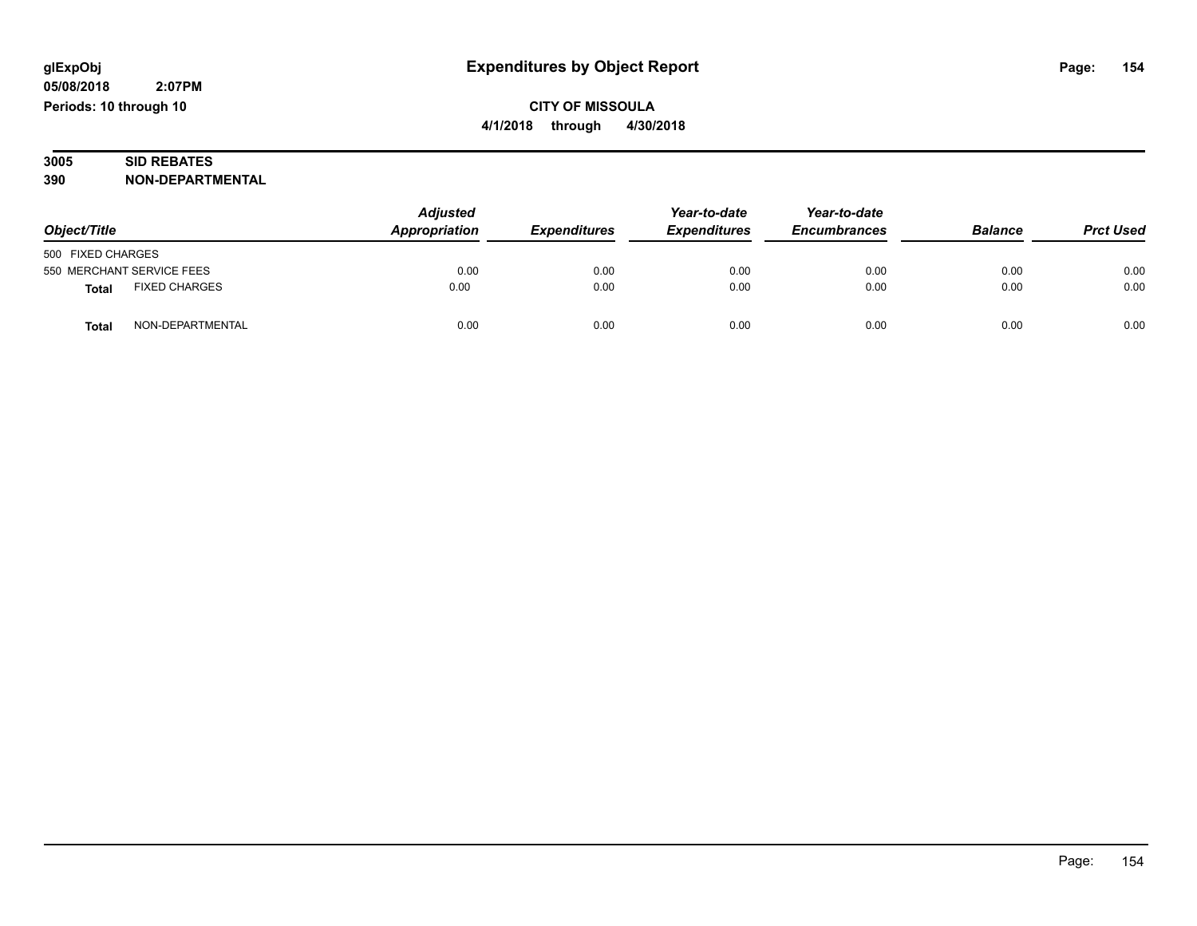| 3005 | <b>SID REBATES</b>                |
|------|-----------------------------------|
| 390  | <b>DEPARTMENTAL</b><br><b>NON</b> |

| Object/Title                  | <b>Adjusted</b><br>Appropriation | <b>Expenditures</b> | Year-to-date<br><b>Expenditures</b> | Year-to-date<br><b>Encumbrances</b> | <b>Balance</b> | <b>Prct Used</b> |
|-------------------------------|----------------------------------|---------------------|-------------------------------------|-------------------------------------|----------------|------------------|
| 500 FIXED CHARGES             |                                  |                     |                                     |                                     |                |                  |
| 550 MERCHANT SERVICE FEES     | 0.00                             | 0.00                | 0.00                                | 0.00                                | 0.00           | 0.00             |
| <b>FIXED CHARGES</b><br>Total | 0.00                             | 0.00                | 0.00                                | 0.00                                | 0.00           | 0.00             |
| NON-DEPARTMENTAL<br>Tota.     | 0.00                             | 0.00                | 0.00                                | 0.00                                | 0.00           | 0.00             |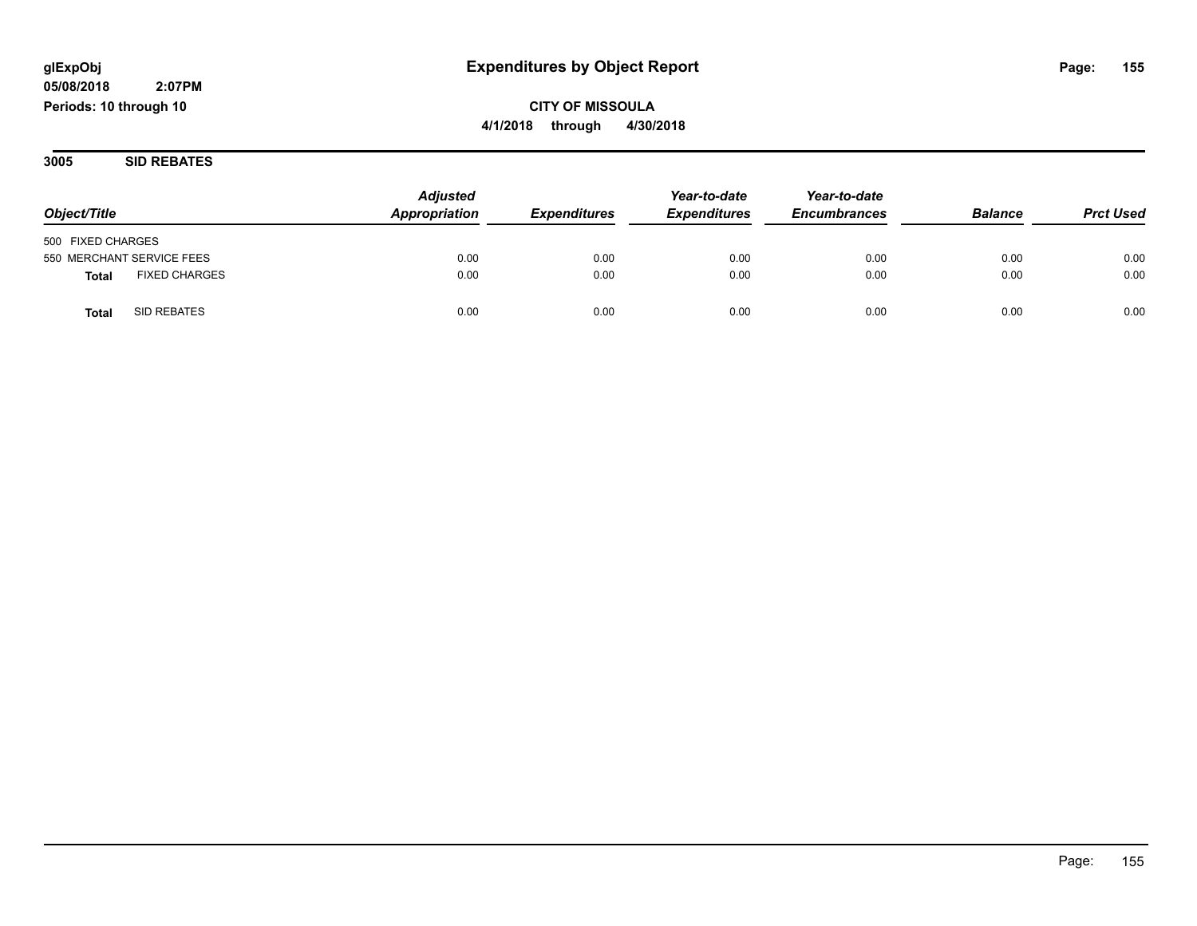#### **CITY OF MISSOULA 4/1/2018 through 4/30/2018**

**3005 SID REBATES**

| Object/Title                         | <b>Adjusted</b><br>Appropriation | <b>Expenditures</b> | Year-to-date<br><b>Expenditures</b> | Year-to-date<br><b>Encumbrances</b> | <b>Balance</b> | <b>Prct Used</b> |
|--------------------------------------|----------------------------------|---------------------|-------------------------------------|-------------------------------------|----------------|------------------|
|                                      |                                  |                     |                                     |                                     |                |                  |
| 500 FIXED CHARGES                    |                                  |                     |                                     |                                     |                |                  |
| 550 MERCHANT SERVICE FEES            | 0.00                             | 0.00                | 0.00                                | 0.00                                | 0.00           | 0.00             |
| <b>FIXED CHARGES</b><br><b>Total</b> | 0.00                             | 0.00                | 0.00                                | 0.00                                | 0.00           | 0.00             |
| SID REBATES<br>Total                 | 0.00                             | 0.00                | 0.00                                | 0.00                                | 0.00           | 0.00             |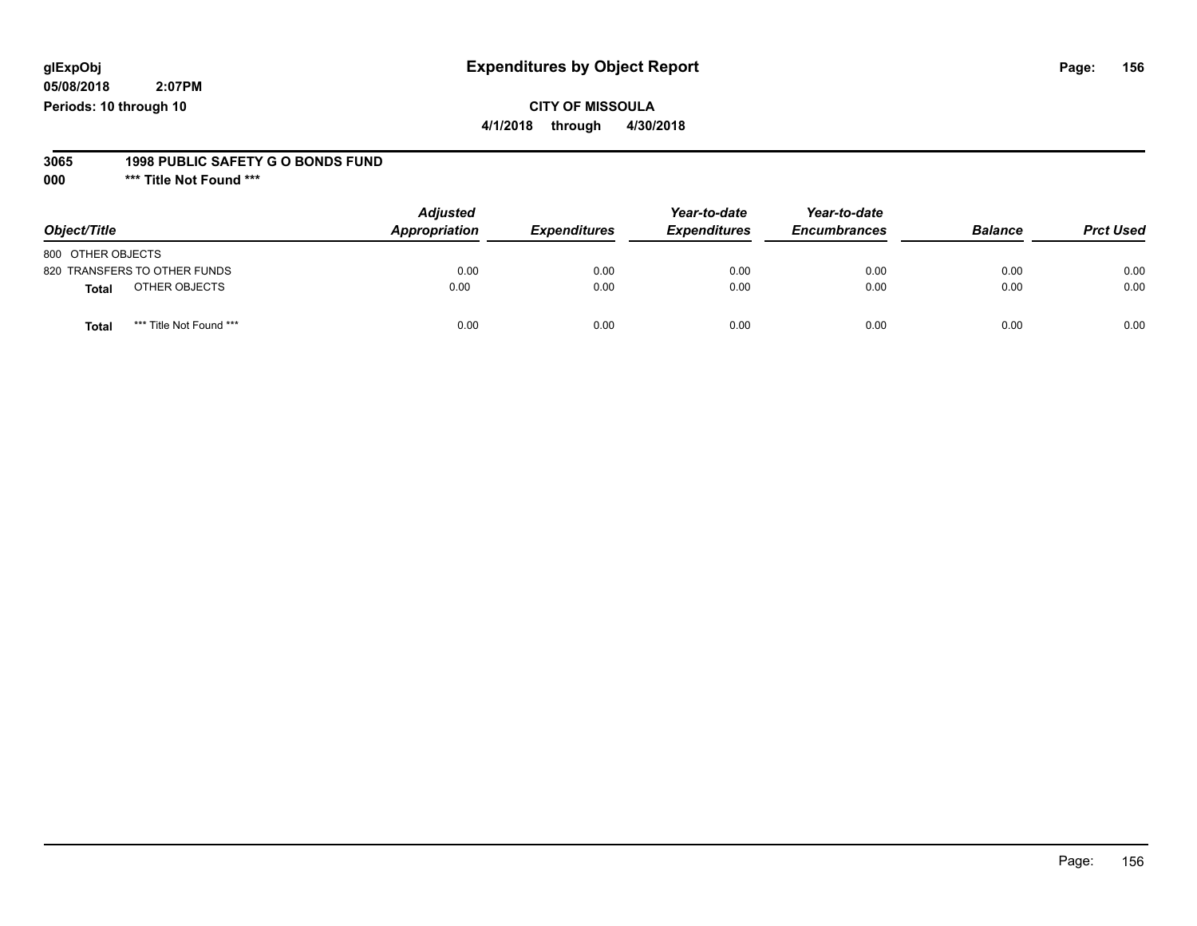#### **CITY OF MISSOULA 4/1/2018 through 4/30/2018**

#### **3065 1998 PUBLIC SAFETY G O BONDS FUND**

**000 \*\*\* Title Not Found \*\*\***

| Object/Title                            | <b>Adjusted</b><br>Appropriation | <b>Expenditures</b> | Year-to-date<br><b>Expenditures</b> | Year-to-date<br><b>Encumbrances</b> | <b>Balance</b> | <b>Prct Used</b> |
|-----------------------------------------|----------------------------------|---------------------|-------------------------------------|-------------------------------------|----------------|------------------|
| 800 OTHER OBJECTS                       |                                  |                     |                                     |                                     |                |                  |
| 820 TRANSFERS TO OTHER FUNDS            | 0.00                             | 0.00                | 0.00                                | 0.00                                | 0.00           | 0.00             |
| OTHER OBJECTS<br>Total                  | 0.00                             | 0.00                | 0.00                                | 0.00                                | 0.00           | 0.00             |
| *** Title Not Found ***<br><b>Total</b> | 0.00                             | 0.00                | 0.00                                | 0.00                                | 0.00           | 0.00             |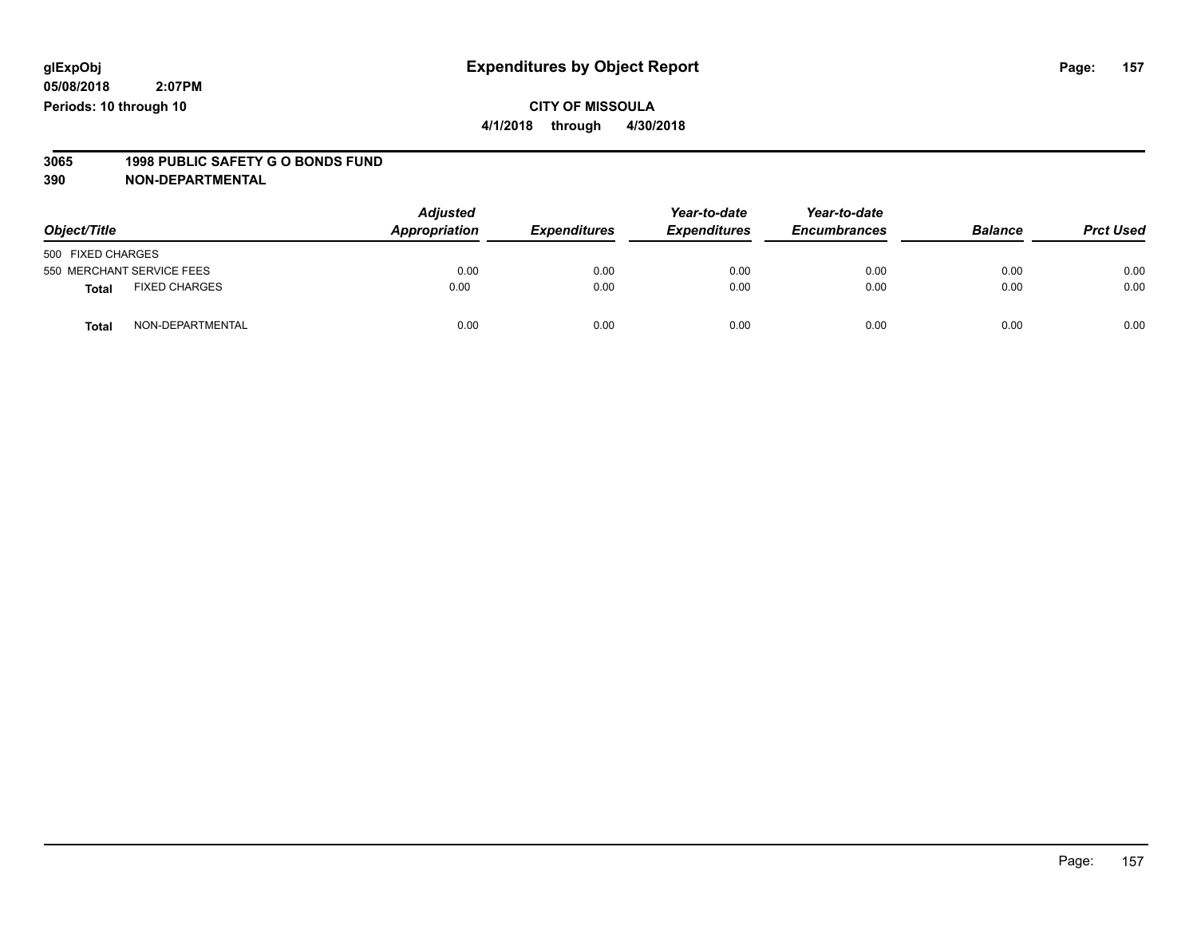#### **CITY OF MISSOULA 4/1/2018 through 4/30/2018**

# **3065 1998 PUBLIC SAFETY G O BONDS FUND**

| Object/Title      |                           | <b>Adjusted</b><br>Appropriation | <b>Expenditures</b> | Year-to-date<br><b>Expenditures</b> | Year-to-date<br><b>Encumbrances</b> | <b>Balance</b> | <b>Prct Used</b> |
|-------------------|---------------------------|----------------------------------|---------------------|-------------------------------------|-------------------------------------|----------------|------------------|
| 500 FIXED CHARGES |                           |                                  |                     |                                     |                                     |                |                  |
|                   | 550 MERCHANT SERVICE FEES | 0.00                             | 0.00                | 0.00                                | 0.00                                | 0.00           | 0.00             |
| <b>Total</b>      | <b>FIXED CHARGES</b>      | 0.00                             | 0.00                | 0.00                                | 0.00                                | 0.00           | 0.00             |
| Total             | NON-DEPARTMENTAL          | 0.00                             | 0.00                | 0.00                                | 0.00                                | 0.00           | 0.00             |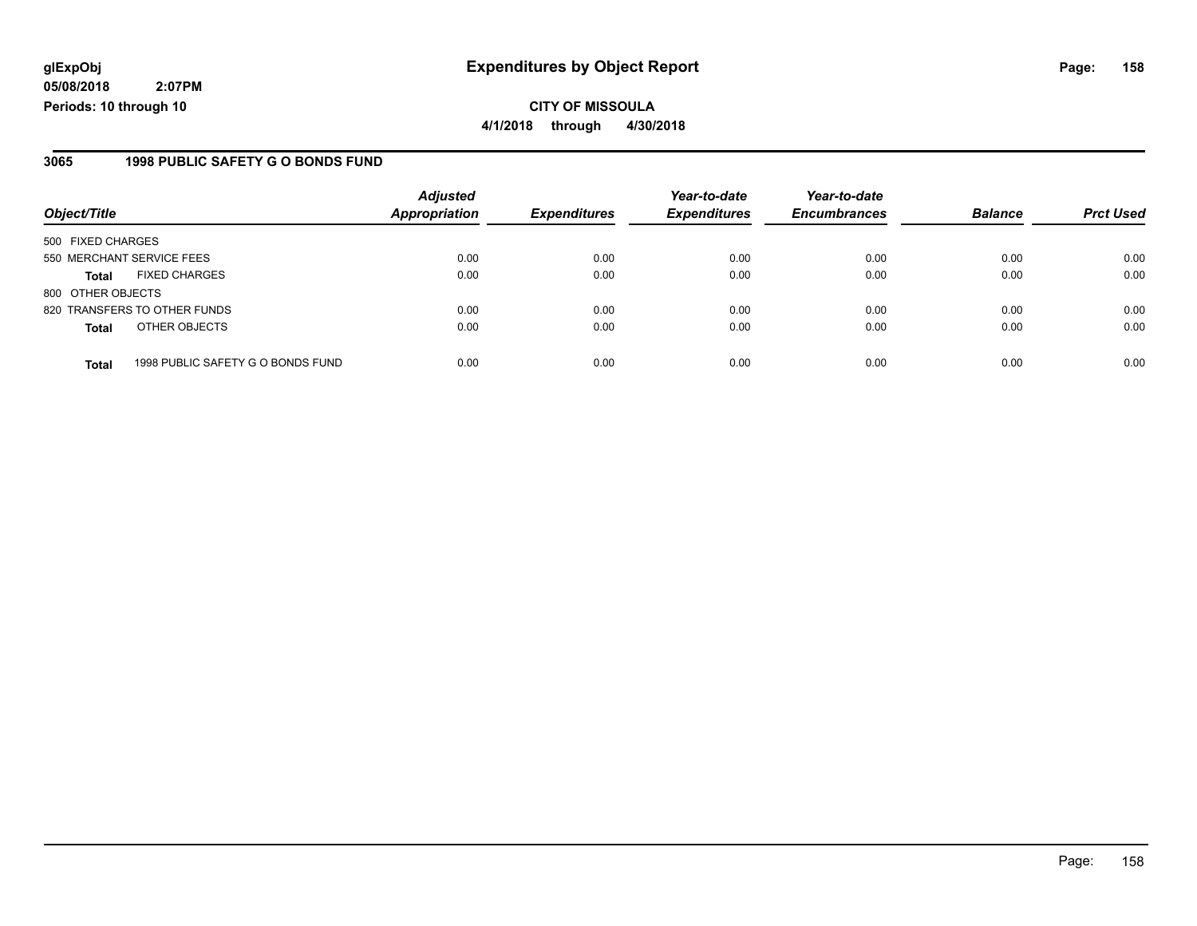#### **3065 1998 PUBLIC SAFETY G O BONDS FUND**

|                                                   | <b>Adjusted</b>      |                     | Year-to-date        | Year-to-date        |                |                  |
|---------------------------------------------------|----------------------|---------------------|---------------------|---------------------|----------------|------------------|
| Object/Title                                      | <b>Appropriation</b> | <b>Expenditures</b> | <b>Expenditures</b> | <b>Encumbrances</b> | <b>Balance</b> | <b>Prct Used</b> |
| 500 FIXED CHARGES                                 |                      |                     |                     |                     |                |                  |
| 550 MERCHANT SERVICE FEES                         | 0.00                 | 0.00                | 0.00                | 0.00                | 0.00           | 0.00             |
| <b>FIXED CHARGES</b><br><b>Total</b>              | 0.00                 | 0.00                | 0.00                | 0.00                | 0.00           | 0.00             |
| 800 OTHER OBJECTS                                 |                      |                     |                     |                     |                |                  |
| 820 TRANSFERS TO OTHER FUNDS                      | 0.00                 | 0.00                | 0.00                | 0.00                | 0.00           | 0.00             |
| OTHER OBJECTS<br><b>Total</b>                     | 0.00                 | 0.00                | 0.00                | 0.00                | 0.00           | 0.00             |
| 1998 PUBLIC SAFETY G O BONDS FUND<br><b>Total</b> | 0.00                 | 0.00                | 0.00                | 0.00                | 0.00           | 0.00             |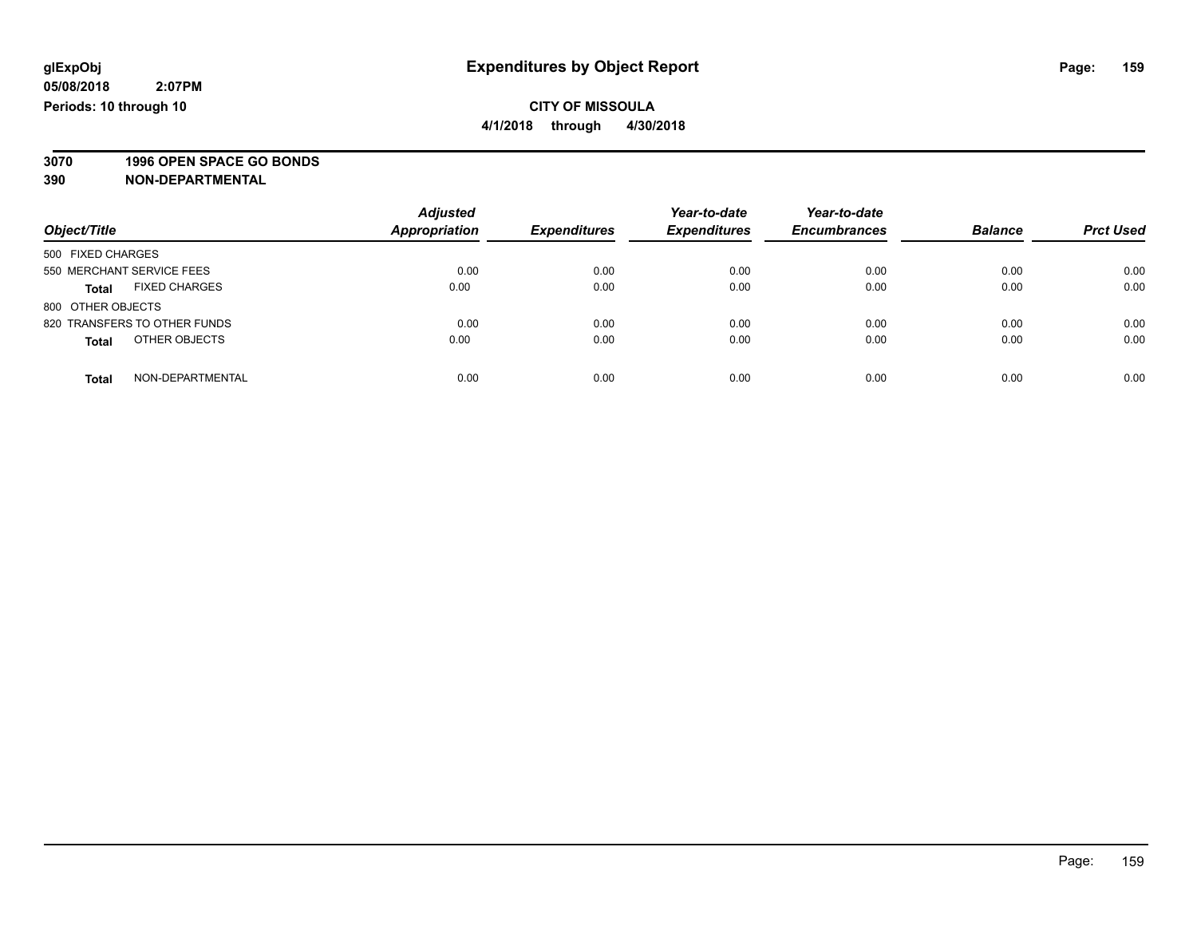**3070 1996 OPEN SPACE GO BONDS**

| Object/Title                         | <b>Adjusted</b><br><b>Appropriation</b> | <b>Expenditures</b> | Year-to-date<br><b>Expenditures</b> | Year-to-date<br><b>Encumbrances</b> | <b>Balance</b> | <b>Prct Used</b> |
|--------------------------------------|-----------------------------------------|---------------------|-------------------------------------|-------------------------------------|----------------|------------------|
| 500 FIXED CHARGES                    |                                         |                     |                                     |                                     |                |                  |
| 550 MERCHANT SERVICE FEES            | 0.00                                    | 0.00                | 0.00                                | 0.00                                | 0.00           | 0.00             |
| <b>FIXED CHARGES</b><br><b>Total</b> | 0.00                                    | 0.00                | 0.00                                | 0.00                                | 0.00           | 0.00             |
| 800 OTHER OBJECTS                    |                                         |                     |                                     |                                     |                |                  |
| 820 TRANSFERS TO OTHER FUNDS         | 0.00                                    | 0.00                | 0.00                                | 0.00                                | 0.00           | 0.00             |
| OTHER OBJECTS<br><b>Total</b>        | 0.00                                    | 0.00                | 0.00                                | 0.00                                | 0.00           | 0.00             |
| NON-DEPARTMENTAL<br><b>Total</b>     | 0.00                                    | 0.00                | 0.00                                | 0.00                                | 0.00           | 0.00             |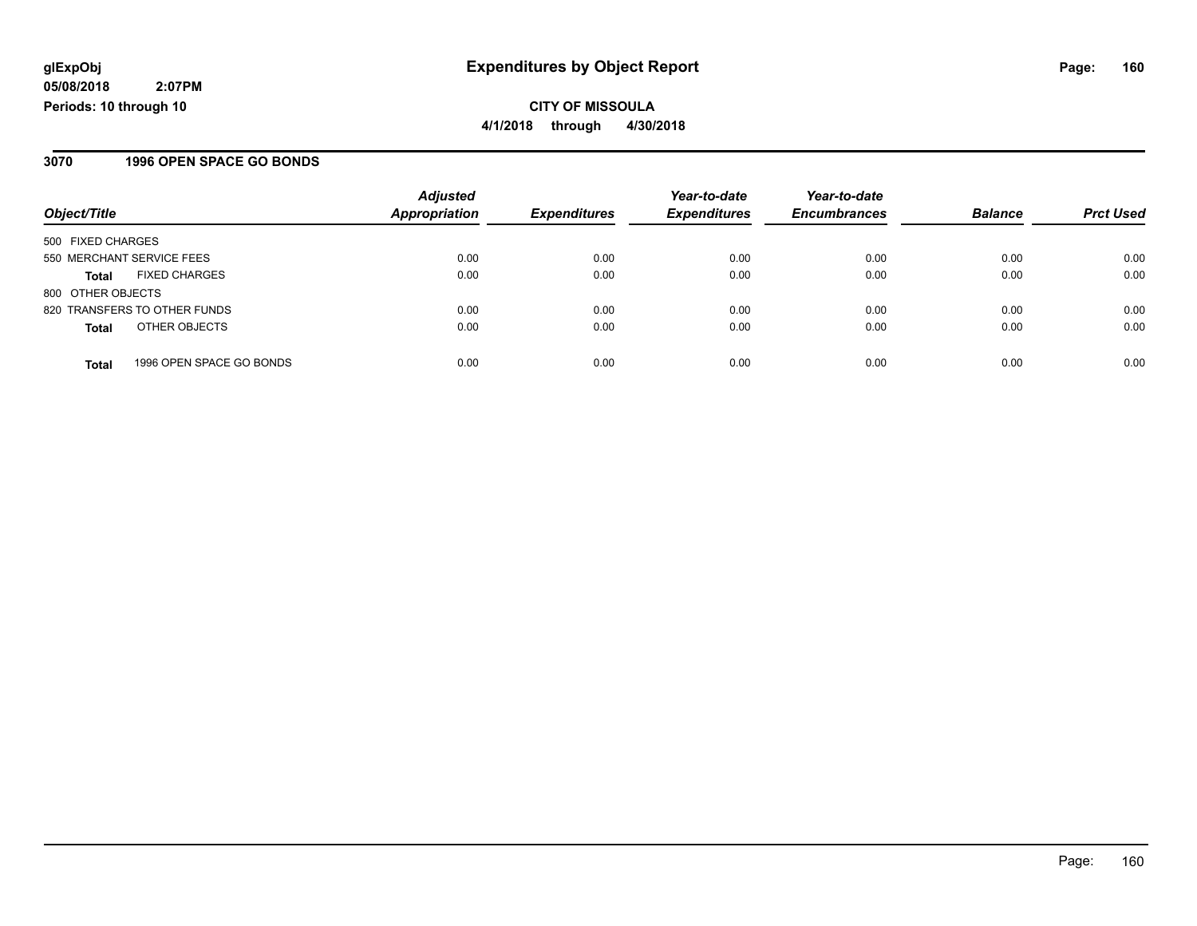**CITY OF MISSOULA 4/1/2018 through 4/30/2018**

#### **3070 1996 OPEN SPACE GO BONDS**

| Object/Title              |                              | <b>Adjusted</b><br><b>Appropriation</b> | <b>Expenditures</b> | Year-to-date<br><b>Expenditures</b> | Year-to-date        | <b>Balance</b> |                  |
|---------------------------|------------------------------|-----------------------------------------|---------------------|-------------------------------------|---------------------|----------------|------------------|
|                           |                              |                                         |                     |                                     | <b>Encumbrances</b> |                | <b>Prct Used</b> |
| 500 FIXED CHARGES         |                              |                                         |                     |                                     |                     |                |                  |
| 550 MERCHANT SERVICE FEES |                              | 0.00                                    | 0.00                | 0.00                                | 0.00                | 0.00           | 0.00             |
| <b>Total</b>              | <b>FIXED CHARGES</b>         | 0.00                                    | 0.00                | 0.00                                | 0.00                | 0.00           | 0.00             |
| 800 OTHER OBJECTS         |                              |                                         |                     |                                     |                     |                |                  |
|                           | 820 TRANSFERS TO OTHER FUNDS | 0.00                                    | 0.00                | 0.00                                | 0.00                | 0.00           | 0.00             |
| <b>Total</b>              | OTHER OBJECTS                | 0.00                                    | 0.00                | 0.00                                | 0.00                | 0.00           | 0.00             |
| <b>Total</b>              | 1996 OPEN SPACE GO BONDS     | 0.00                                    | 0.00                | 0.00                                | 0.00                | 0.00           | 0.00             |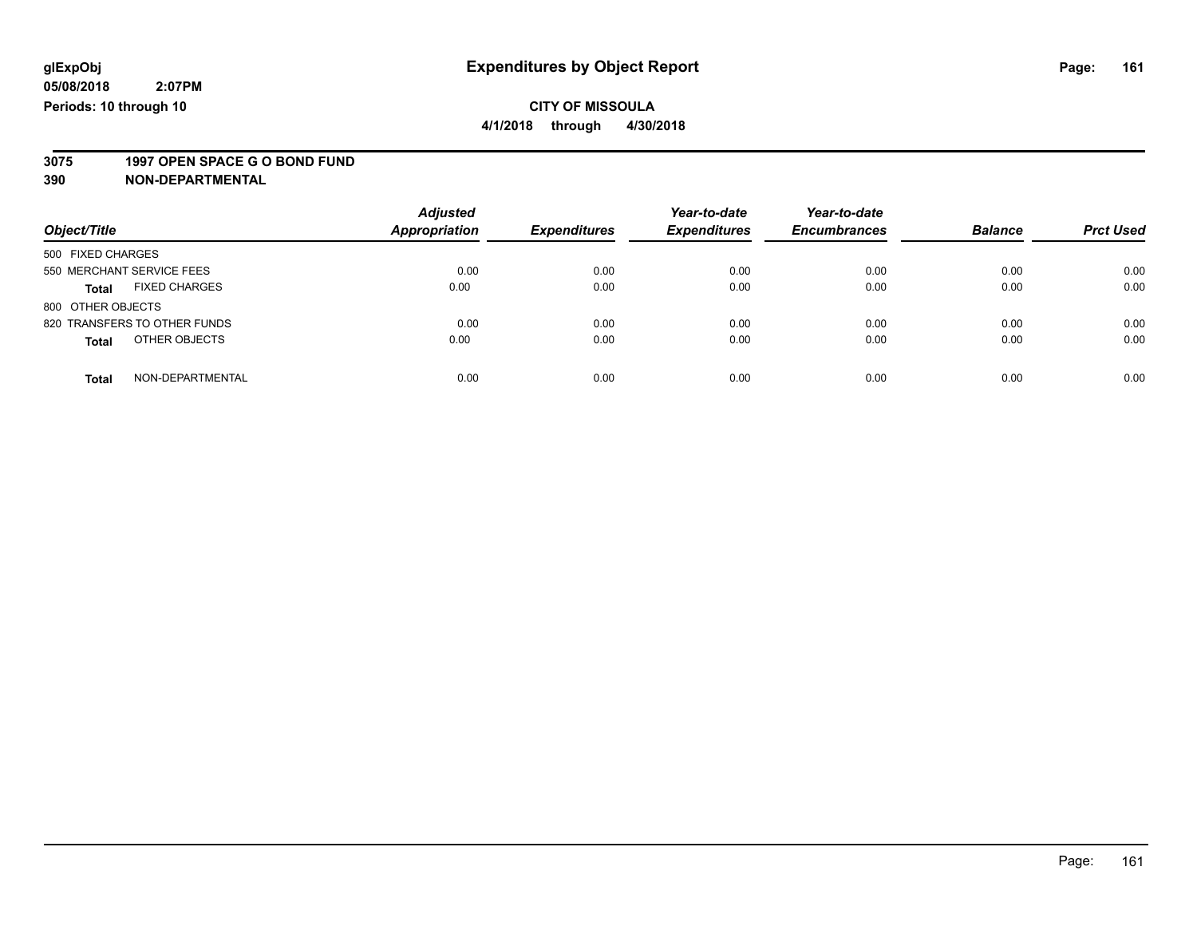# **3075 1997 OPEN SPACE G O BOND FUND**

| Object/Title                         | <b>Adjusted</b><br>Appropriation | <b>Expenditures</b> | Year-to-date<br><b>Expenditures</b> | Year-to-date<br><b>Encumbrances</b> | <b>Balance</b> | <b>Prct Used</b> |
|--------------------------------------|----------------------------------|---------------------|-------------------------------------|-------------------------------------|----------------|------------------|
| 500 FIXED CHARGES                    |                                  |                     |                                     |                                     |                |                  |
| 550 MERCHANT SERVICE FEES            | 0.00                             | 0.00                | 0.00                                | 0.00                                | 0.00           | 0.00             |
| <b>FIXED CHARGES</b><br><b>Total</b> | 0.00                             | 0.00                | 0.00                                | 0.00                                | 0.00           | 0.00             |
| 800 OTHER OBJECTS                    |                                  |                     |                                     |                                     |                |                  |
| 820 TRANSFERS TO OTHER FUNDS         | 0.00                             | 0.00                | 0.00                                | 0.00                                | 0.00           | 0.00             |
| OTHER OBJECTS<br><b>Total</b>        | 0.00                             | 0.00                | 0.00                                | 0.00                                | 0.00           | 0.00             |
| NON-DEPARTMENTAL<br><b>Total</b>     | 0.00                             | 0.00                | 0.00                                | 0.00                                | 0.00           | 0.00             |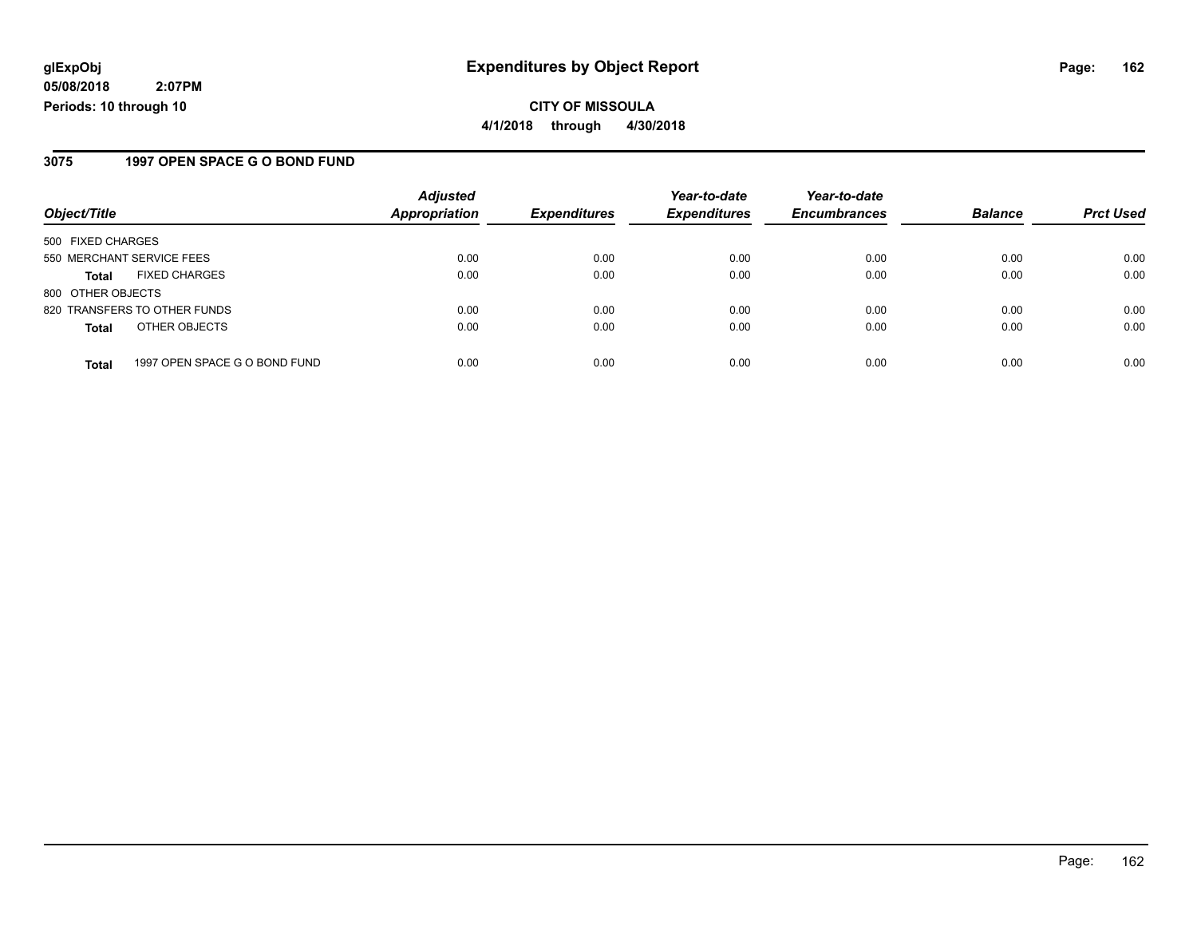**CITY OF MISSOULA 4/1/2018 through 4/30/2018**

#### **3075 1997 OPEN SPACE G O BOND FUND**

|                                               | <b>Adjusted</b>      |                     | Year-to-date        | Year-to-date        |                |                  |
|-----------------------------------------------|----------------------|---------------------|---------------------|---------------------|----------------|------------------|
| Object/Title                                  | <b>Appropriation</b> | <b>Expenditures</b> | <b>Expenditures</b> | <b>Encumbrances</b> | <b>Balance</b> | <b>Prct Used</b> |
| 500 FIXED CHARGES                             |                      |                     |                     |                     |                |                  |
| 550 MERCHANT SERVICE FEES                     | 0.00                 | 0.00                | 0.00                | 0.00                | 0.00           | 0.00             |
| <b>FIXED CHARGES</b><br><b>Total</b>          | 0.00                 | 0.00                | 0.00                | 0.00                | 0.00           | 0.00             |
| 800 OTHER OBJECTS                             |                      |                     |                     |                     |                |                  |
| 820 TRANSFERS TO OTHER FUNDS                  | 0.00                 | 0.00                | 0.00                | 0.00                | 0.00           | 0.00             |
| OTHER OBJECTS<br><b>Total</b>                 | 0.00                 | 0.00                | 0.00                | 0.00                | 0.00           | 0.00             |
| 1997 OPEN SPACE G O BOND FUND<br><b>Total</b> | 0.00                 | 0.00                | 0.00                | 0.00                | 0.00           | 0.00             |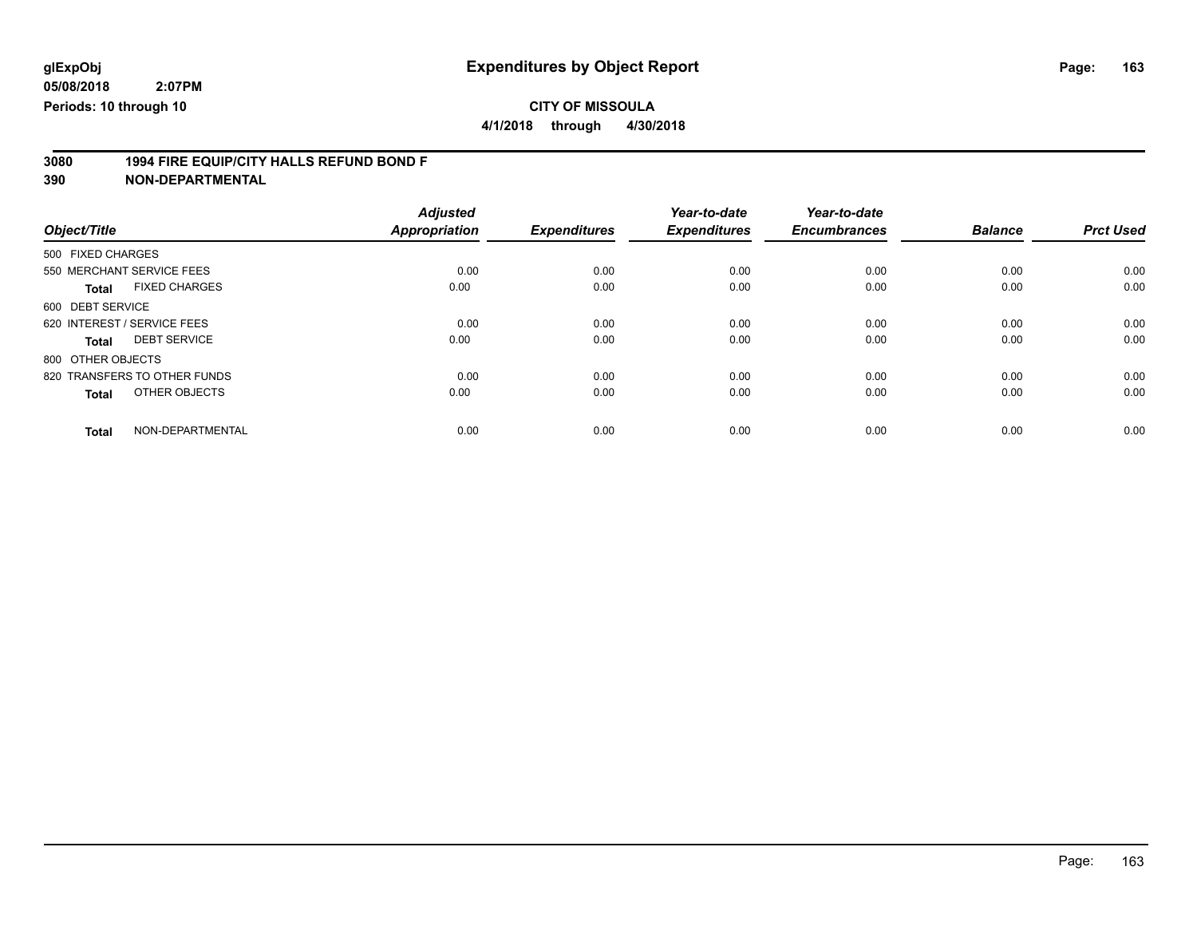### **CITY OF MISSOULA**

**4/1/2018 through 4/30/2018**

# **3080 1994 FIRE EQUIP/CITY HALLS REFUND BOND F**

|                                      | <b>Adjusted</b>      |                     | Year-to-date        | Year-to-date        |                |                  |
|--------------------------------------|----------------------|---------------------|---------------------|---------------------|----------------|------------------|
| Object/Title                         | <b>Appropriation</b> | <b>Expenditures</b> | <b>Expenditures</b> | <b>Encumbrances</b> | <b>Balance</b> | <b>Prct Used</b> |
| 500 FIXED CHARGES                    |                      |                     |                     |                     |                |                  |
| 550 MERCHANT SERVICE FEES            | 0.00                 | 0.00                | 0.00                | 0.00                | 0.00           | 0.00             |
| <b>FIXED CHARGES</b><br><b>Total</b> | 0.00                 | 0.00                | 0.00                | 0.00                | 0.00           | 0.00             |
| 600 DEBT SERVICE                     |                      |                     |                     |                     |                |                  |
| 620 INTEREST / SERVICE FEES          | 0.00                 | 0.00                | 0.00                | 0.00                | 0.00           | 0.00             |
| <b>DEBT SERVICE</b><br>Total         | 0.00                 | 0.00                | 0.00                | 0.00                | 0.00           | 0.00             |
| 800 OTHER OBJECTS                    |                      |                     |                     |                     |                |                  |
| 820 TRANSFERS TO OTHER FUNDS         | 0.00                 | 0.00                | 0.00                | 0.00                | 0.00           | 0.00             |
| OTHER OBJECTS<br><b>Total</b>        | 0.00                 | 0.00                | 0.00                | 0.00                | 0.00           | 0.00             |
| NON-DEPARTMENTAL<br><b>Total</b>     | 0.00                 | 0.00                | 0.00                | 0.00                | 0.00           | 0.00             |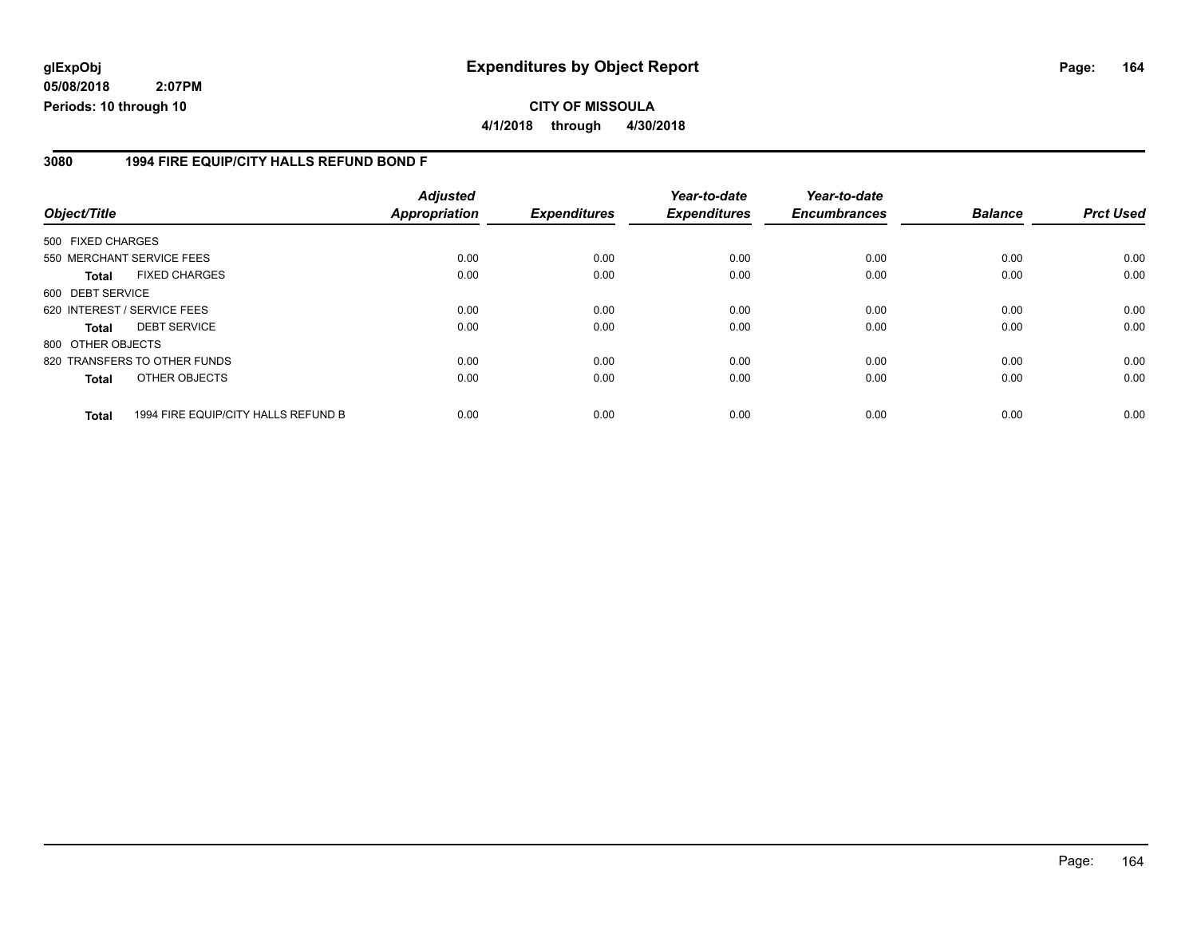#### **3080 1994 FIRE EQUIP/CITY HALLS REFUND BOND F**

| Object/Title      |                                     | <b>Adjusted</b><br><b>Appropriation</b> | <b>Expenditures</b> | Year-to-date<br><b>Expenditures</b> | Year-to-date<br><b>Encumbrances</b> | <b>Balance</b> | <b>Prct Used</b> |
|-------------------|-------------------------------------|-----------------------------------------|---------------------|-------------------------------------|-------------------------------------|----------------|------------------|
| 500 FIXED CHARGES |                                     |                                         |                     |                                     |                                     |                |                  |
|                   | 550 MERCHANT SERVICE FEES           | 0.00                                    | 0.00                | 0.00                                | 0.00                                | 0.00           | 0.00             |
| Total             | <b>FIXED CHARGES</b>                | 0.00                                    | 0.00                | 0.00                                | 0.00                                | 0.00           | 0.00             |
| 600 DEBT SERVICE  |                                     |                                         |                     |                                     |                                     |                |                  |
|                   | 620 INTEREST / SERVICE FEES         | 0.00                                    | 0.00                | 0.00                                | 0.00                                | 0.00           | 0.00             |
| Total             | <b>DEBT SERVICE</b>                 | 0.00                                    | 0.00                | 0.00                                | 0.00                                | 0.00           | 0.00             |
| 800 OTHER OBJECTS |                                     |                                         |                     |                                     |                                     |                |                  |
|                   | 820 TRANSFERS TO OTHER FUNDS        | 0.00                                    | 0.00                | 0.00                                | 0.00                                | 0.00           | 0.00             |
| <b>Total</b>      | OTHER OBJECTS                       | 0.00                                    | 0.00                | 0.00                                | 0.00                                | 0.00           | 0.00             |
| <b>Total</b>      | 1994 FIRE EQUIP/CITY HALLS REFUND B | 0.00                                    | 0.00                | 0.00                                | 0.00                                | 0.00           | 0.00             |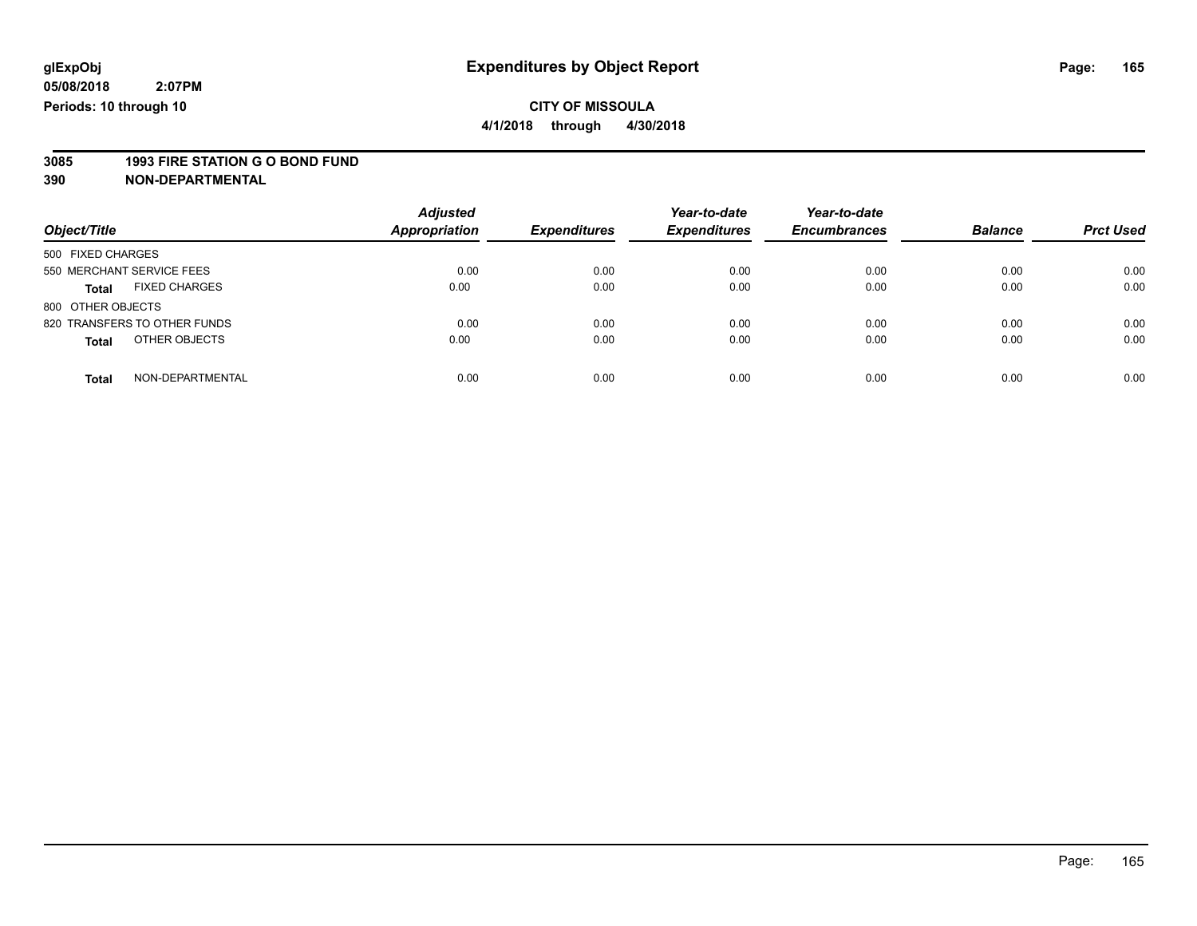# **3085 1993 FIRE STATION G O BOND FUND**

| Object/Title                         | <b>Adjusted</b><br>Appropriation | <b>Expenditures</b> | Year-to-date<br><b>Expenditures</b> | Year-to-date<br><b>Encumbrances</b> | <b>Balance</b> | <b>Prct Used</b> |
|--------------------------------------|----------------------------------|---------------------|-------------------------------------|-------------------------------------|----------------|------------------|
| 500 FIXED CHARGES                    |                                  |                     |                                     |                                     |                |                  |
| 550 MERCHANT SERVICE FEES            | 0.00                             | 0.00                | 0.00                                | 0.00                                | 0.00           | 0.00             |
| <b>FIXED CHARGES</b><br><b>Total</b> | 0.00                             | 0.00                | 0.00                                | 0.00                                | 0.00           | 0.00             |
| 800 OTHER OBJECTS                    |                                  |                     |                                     |                                     |                |                  |
| 820 TRANSFERS TO OTHER FUNDS         | 0.00                             | 0.00                | 0.00                                | 0.00                                | 0.00           | 0.00             |
| OTHER OBJECTS<br><b>Total</b>        | 0.00                             | 0.00                | 0.00                                | 0.00                                | 0.00           | 0.00             |
| NON-DEPARTMENTAL<br><b>Total</b>     | 0.00                             | 0.00                | 0.00                                | 0.00                                | 0.00           | 0.00             |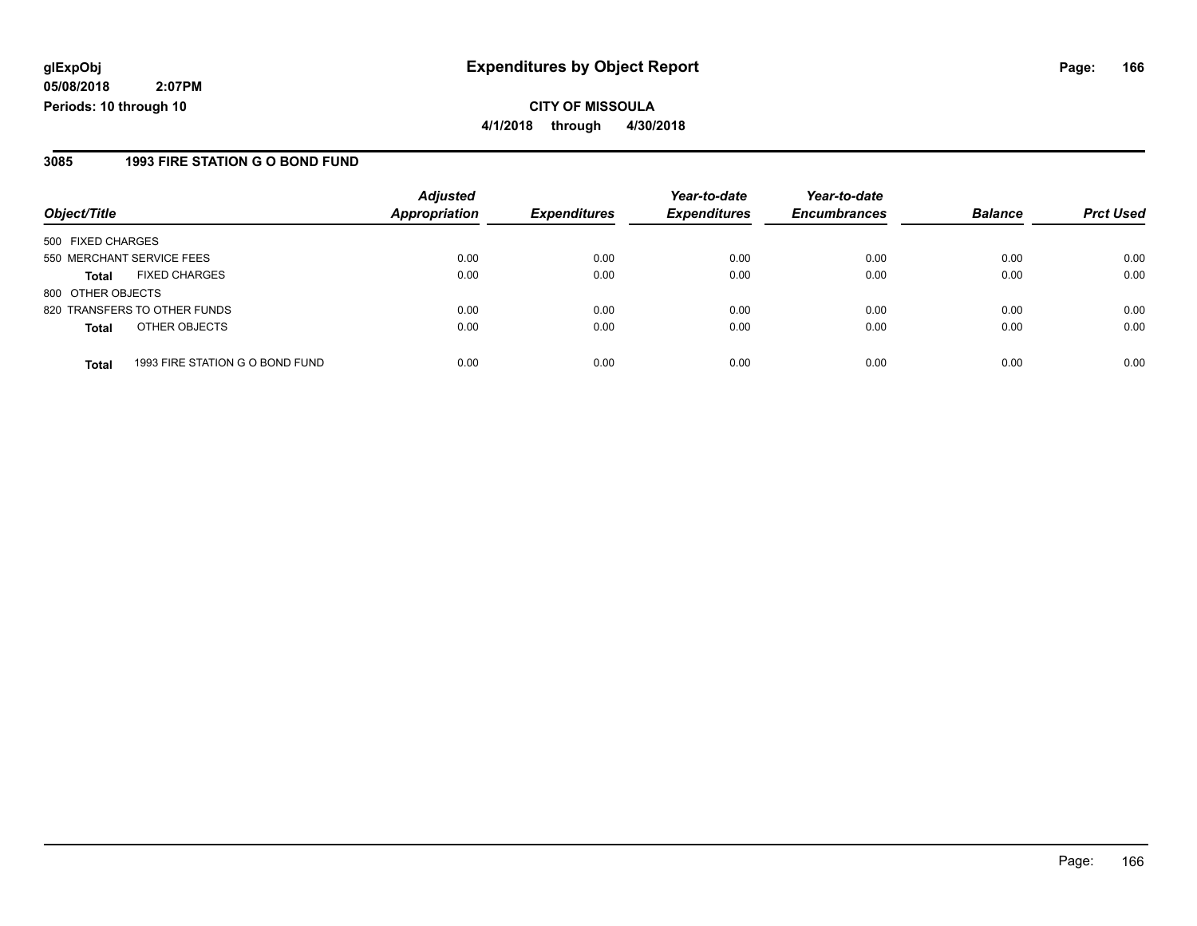**CITY OF MISSOULA 4/1/2018 through 4/30/2018**

#### **3085 1993 FIRE STATION G O BOND FUND**

| Object/Title              |                                 | <b>Adjusted</b>      | <b>Expenditures</b> | Year-to-date<br><b>Expenditures</b> | Year-to-date        | <b>Balance</b> |                  |
|---------------------------|---------------------------------|----------------------|---------------------|-------------------------------------|---------------------|----------------|------------------|
|                           |                                 | <b>Appropriation</b> |                     |                                     | <b>Encumbrances</b> |                | <b>Prct Used</b> |
| 500 FIXED CHARGES         |                                 |                      |                     |                                     |                     |                |                  |
| 550 MERCHANT SERVICE FEES |                                 | 0.00                 | 0.00                | 0.00                                | 0.00                | 0.00           | 0.00             |
| <b>Total</b>              | <b>FIXED CHARGES</b>            | 0.00                 | 0.00                | 0.00                                | 0.00                | 0.00           | 0.00             |
| 800 OTHER OBJECTS         |                                 |                      |                     |                                     |                     |                |                  |
|                           | 820 TRANSFERS TO OTHER FUNDS    | 0.00                 | 0.00                | 0.00                                | 0.00                | 0.00           | 0.00             |
| <b>Total</b>              | OTHER OBJECTS                   | 0.00                 | 0.00                | 0.00                                | 0.00                | 0.00           | 0.00             |
| <b>Total</b>              | 1993 FIRE STATION G O BOND FUND | 0.00                 | 0.00                | 0.00                                | 0.00                | 0.00           | 0.00             |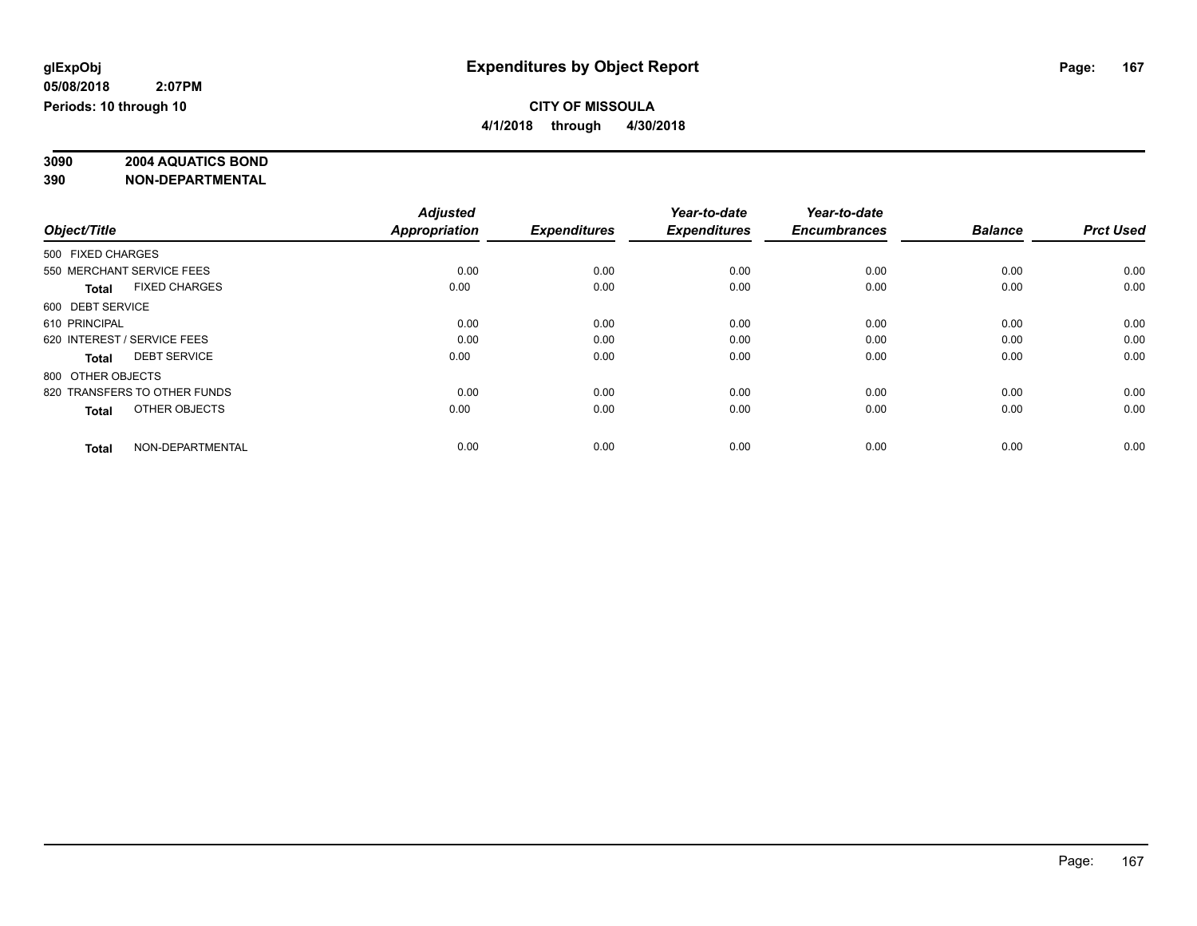# **3090 2004 AQUATICS BOND**

|                                      | <b>Adjusted</b>      |                     | Year-to-date        | Year-to-date        |                |                  |
|--------------------------------------|----------------------|---------------------|---------------------|---------------------|----------------|------------------|
| Object/Title                         | <b>Appropriation</b> | <b>Expenditures</b> | <b>Expenditures</b> | <b>Encumbrances</b> | <b>Balance</b> | <b>Prct Used</b> |
| 500 FIXED CHARGES                    |                      |                     |                     |                     |                |                  |
| 550 MERCHANT SERVICE FEES            | 0.00                 | 0.00                | 0.00                | 0.00                | 0.00           | 0.00             |
| <b>FIXED CHARGES</b><br><b>Total</b> | 0.00                 | 0.00                | 0.00                | 0.00                | 0.00           | 0.00             |
| 600 DEBT SERVICE                     |                      |                     |                     |                     |                |                  |
| 610 PRINCIPAL                        | 0.00                 | 0.00                | 0.00                | 0.00                | 0.00           | 0.00             |
| 620 INTEREST / SERVICE FEES          | 0.00                 | 0.00                | 0.00                | 0.00                | 0.00           | 0.00             |
| <b>DEBT SERVICE</b><br><b>Total</b>  | 0.00                 | 0.00                | 0.00                | 0.00                | 0.00           | 0.00             |
| 800 OTHER OBJECTS                    |                      |                     |                     |                     |                |                  |
| 820 TRANSFERS TO OTHER FUNDS         | 0.00                 | 0.00                | 0.00                | 0.00                | 0.00           | 0.00             |
| OTHER OBJECTS<br><b>Total</b>        | 0.00                 | 0.00                | 0.00                | 0.00                | 0.00           | 0.00             |
|                                      |                      |                     |                     |                     |                |                  |
| NON-DEPARTMENTAL<br><b>Total</b>     | 0.00                 | 0.00                | 0.00                | 0.00                | 0.00           | 0.00             |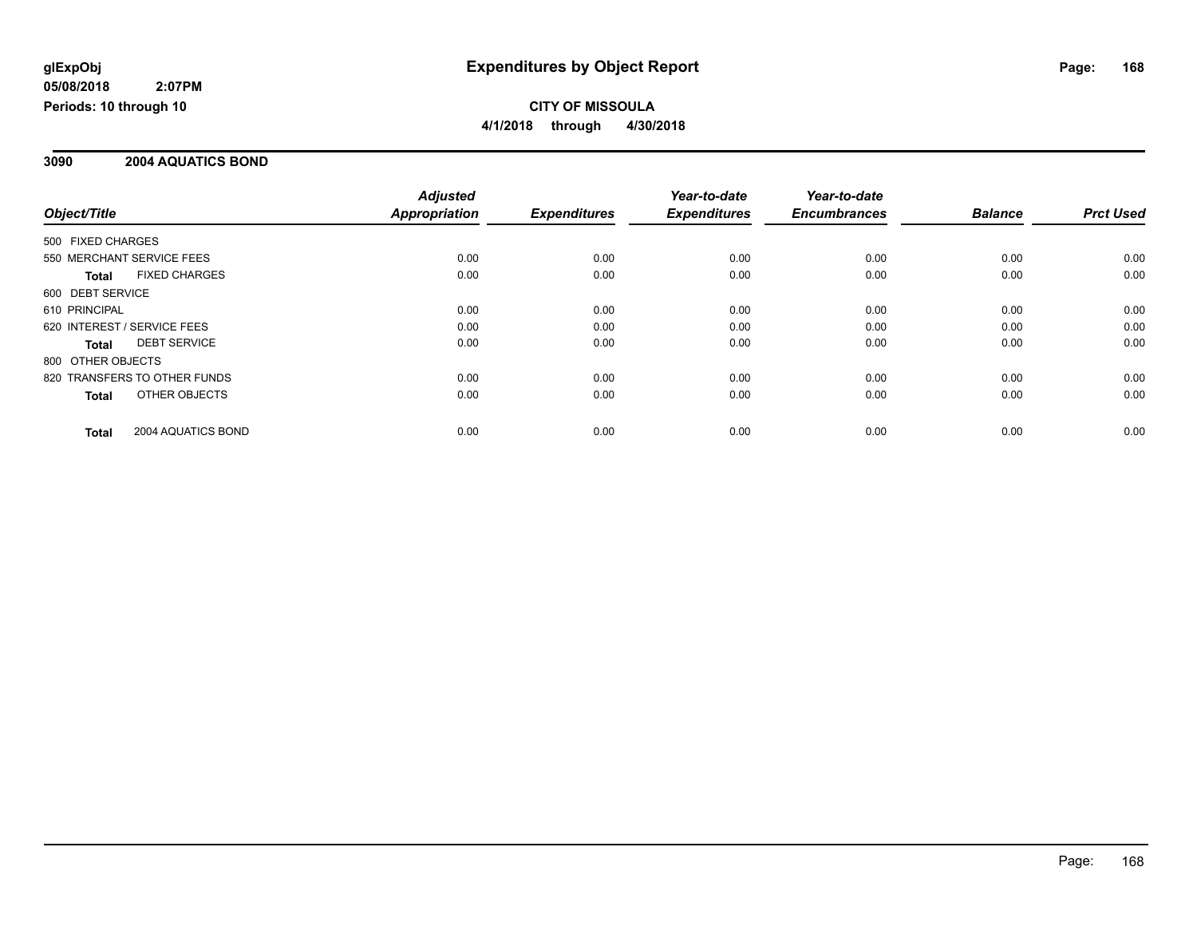#### **3090 2004 AQUATICS BOND**

|                                    | <b>Adjusted</b> |                     | Year-to-date        | Year-to-date        |                |                  |
|------------------------------------|-----------------|---------------------|---------------------|---------------------|----------------|------------------|
| Object/Title                       | Appropriation   | <b>Expenditures</b> | <b>Expenditures</b> | <b>Encumbrances</b> | <b>Balance</b> | <b>Prct Used</b> |
| 500 FIXED CHARGES                  |                 |                     |                     |                     |                |                  |
| 550 MERCHANT SERVICE FEES          | 0.00            | 0.00                | 0.00                | 0.00                | 0.00           | 0.00             |
| <b>FIXED CHARGES</b><br>Total      | 0.00            | 0.00                | 0.00                | 0.00                | 0.00           | 0.00             |
| 600 DEBT SERVICE                   |                 |                     |                     |                     |                |                  |
| 610 PRINCIPAL                      | 0.00            | 0.00                | 0.00                | 0.00                | 0.00           | 0.00             |
| 620 INTEREST / SERVICE FEES        | 0.00            | 0.00                | 0.00                | 0.00                | 0.00           | 0.00             |
| <b>DEBT SERVICE</b><br>Total       | 0.00            | 0.00                | 0.00                | 0.00                | 0.00           | 0.00             |
| 800 OTHER OBJECTS                  |                 |                     |                     |                     |                |                  |
| 820 TRANSFERS TO OTHER FUNDS       | 0.00            | 0.00                | 0.00                | 0.00                | 0.00           | 0.00             |
| OTHER OBJECTS<br>Total             | 0.00            | 0.00                | 0.00                | 0.00                | 0.00           | 0.00             |
| 2004 AQUATICS BOND<br><b>Total</b> | 0.00            | 0.00                | 0.00                | 0.00                | 0.00           | 0.00             |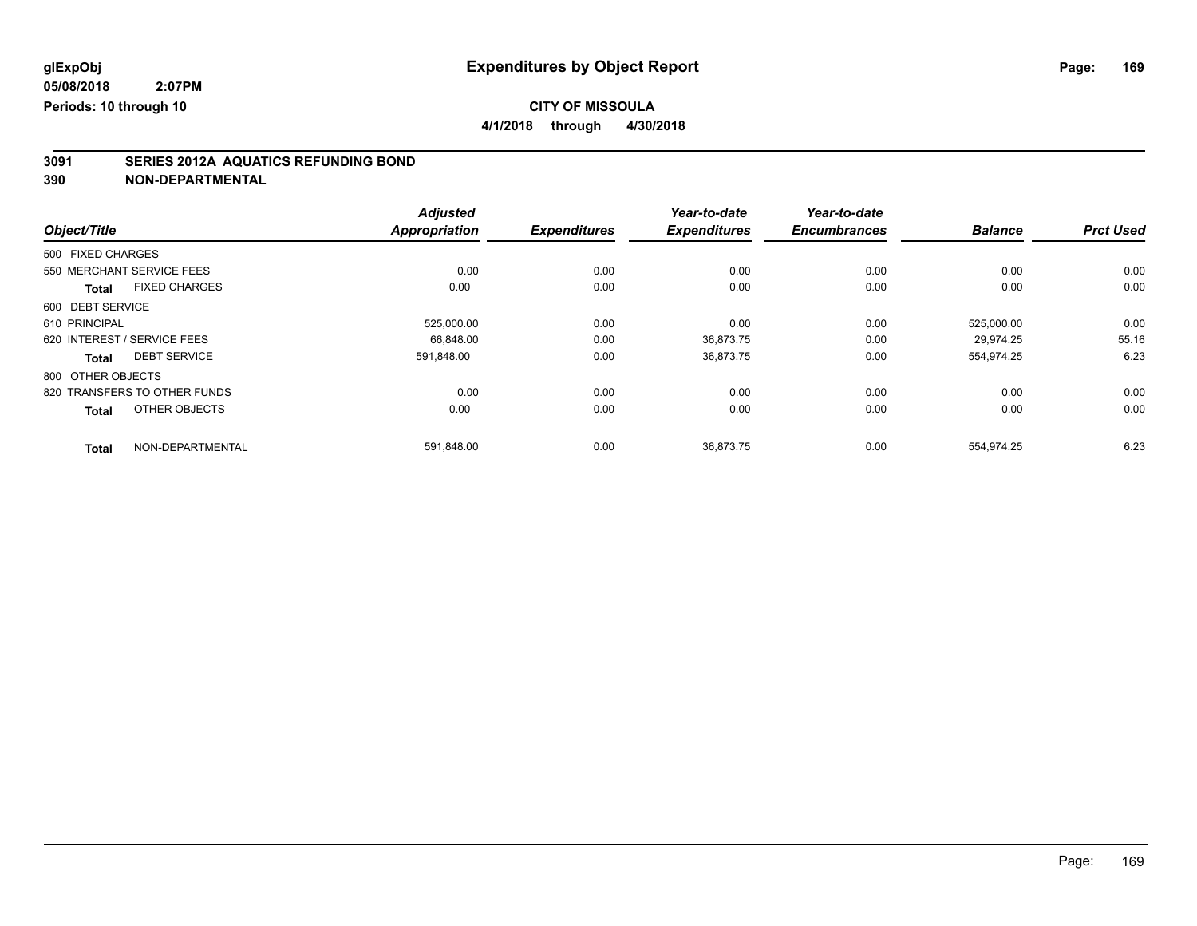### **CITY OF MISSOULA**

**4/1/2018 through 4/30/2018**

# **3091 SERIES 2012A AQUATICS REFUNDING BOND**

|                              |                      | <b>Adjusted</b>      |                     | Year-to-date        | Year-to-date        |                |                  |
|------------------------------|----------------------|----------------------|---------------------|---------------------|---------------------|----------------|------------------|
| Object/Title                 |                      | <b>Appropriation</b> | <b>Expenditures</b> | <b>Expenditures</b> | <b>Encumbrances</b> | <b>Balance</b> | <b>Prct Used</b> |
| 500 FIXED CHARGES            |                      |                      |                     |                     |                     |                |                  |
| 550 MERCHANT SERVICE FEES    |                      | 0.00                 | 0.00                | 0.00                | 0.00                | 0.00           | 0.00             |
| <b>Total</b>                 | <b>FIXED CHARGES</b> | 0.00                 | 0.00                | 0.00                | 0.00                | 0.00           | 0.00             |
| 600 DEBT SERVICE             |                      |                      |                     |                     |                     |                |                  |
| 610 PRINCIPAL                |                      | 525,000.00           | 0.00                | 0.00                | 0.00                | 525,000.00     | 0.00             |
| 620 INTEREST / SERVICE FEES  |                      | 66,848.00            | 0.00                | 36.873.75           | 0.00                | 29.974.25      | 55.16            |
| Total                        | <b>DEBT SERVICE</b>  | 591,848.00           | 0.00                | 36,873.75           | 0.00                | 554,974.25     | 6.23             |
| 800 OTHER OBJECTS            |                      |                      |                     |                     |                     |                |                  |
| 820 TRANSFERS TO OTHER FUNDS |                      | 0.00                 | 0.00                | 0.00                | 0.00                | 0.00           | 0.00             |
| <b>Total</b>                 | OTHER OBJECTS        | 0.00                 | 0.00                | 0.00                | 0.00                | 0.00           | 0.00             |
| <b>Total</b>                 | NON-DEPARTMENTAL     | 591,848.00           | 0.00                | 36,873.75           | 0.00                | 554,974.25     | 6.23             |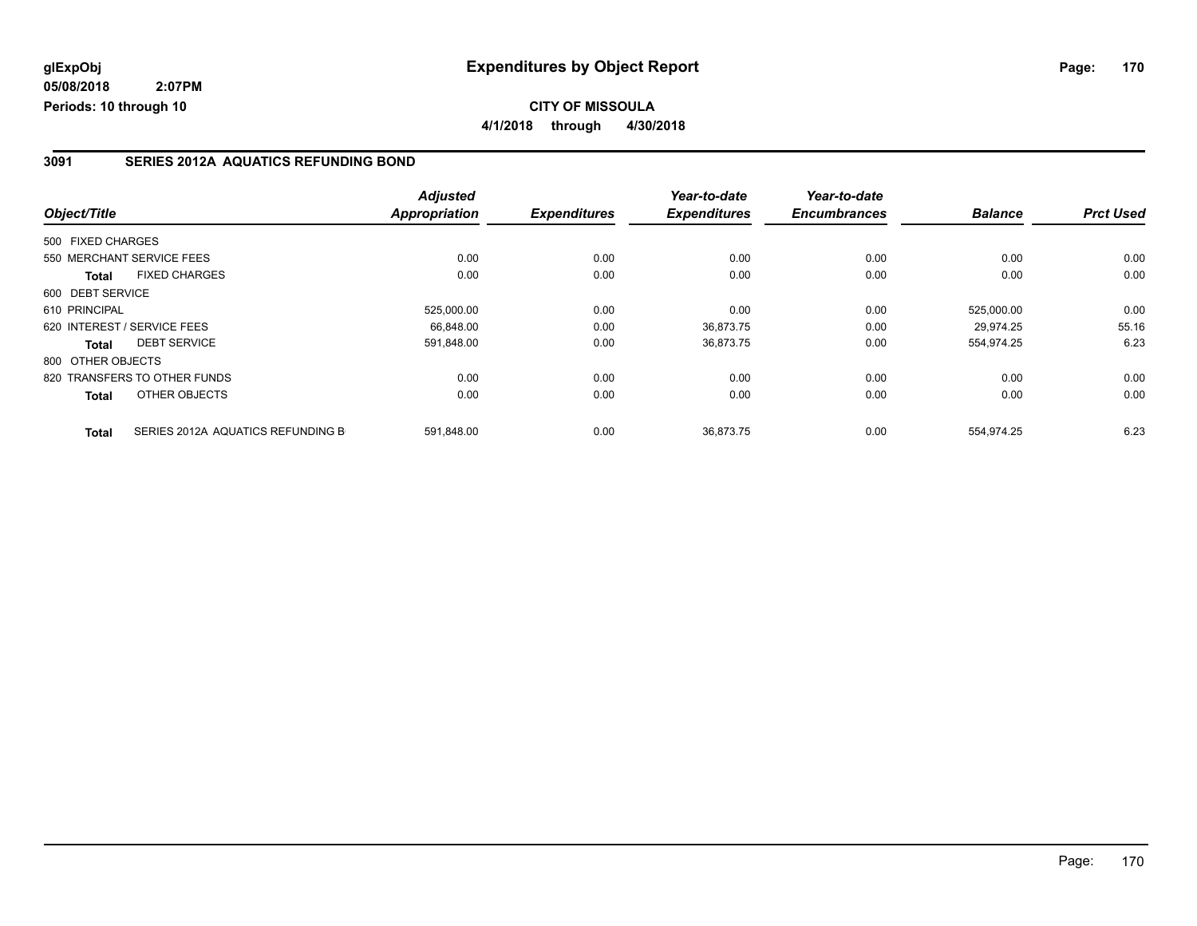#### **3091 SERIES 2012A AQUATICS REFUNDING BOND**

|                                      |                                   | <b>Adjusted</b>      |                     | Year-to-date        | Year-to-date        |                |                  |
|--------------------------------------|-----------------------------------|----------------------|---------------------|---------------------|---------------------|----------------|------------------|
| Object/Title                         |                                   | <b>Appropriation</b> | <b>Expenditures</b> | <b>Expenditures</b> | <b>Encumbrances</b> | <b>Balance</b> | <b>Prct Used</b> |
| 500 FIXED CHARGES                    |                                   |                      |                     |                     |                     |                |                  |
| 550 MERCHANT SERVICE FEES            |                                   | 0.00                 | 0.00                | 0.00                | 0.00                | 0.00           | 0.00             |
| <b>FIXED CHARGES</b><br><b>Total</b> |                                   | 0.00                 | 0.00                | 0.00                | 0.00                | 0.00           | 0.00             |
| 600 DEBT SERVICE                     |                                   |                      |                     |                     |                     |                |                  |
| 610 PRINCIPAL                        |                                   | 525,000.00           | 0.00                | 0.00                | 0.00                | 525.000.00     | 0.00             |
| 620 INTEREST / SERVICE FEES          |                                   | 66.848.00            | 0.00                | 36,873.75           | 0.00                | 29.974.25      | 55.16            |
| <b>DEBT SERVICE</b><br>Total         |                                   | 591,848.00           | 0.00                | 36,873.75           | 0.00                | 554,974.25     | 6.23             |
| 800 OTHER OBJECTS                    |                                   |                      |                     |                     |                     |                |                  |
| 820 TRANSFERS TO OTHER FUNDS         |                                   | 0.00                 | 0.00                | 0.00                | 0.00                | 0.00           | 0.00             |
| OTHER OBJECTS<br>Total               |                                   | 0.00                 | 0.00                | 0.00                | 0.00                | 0.00           | 0.00             |
| <b>Total</b>                         | SERIES 2012A AQUATICS REFUNDING B | 591,848.00           | 0.00                | 36.873.75           | 0.00                | 554,974.25     | 6.23             |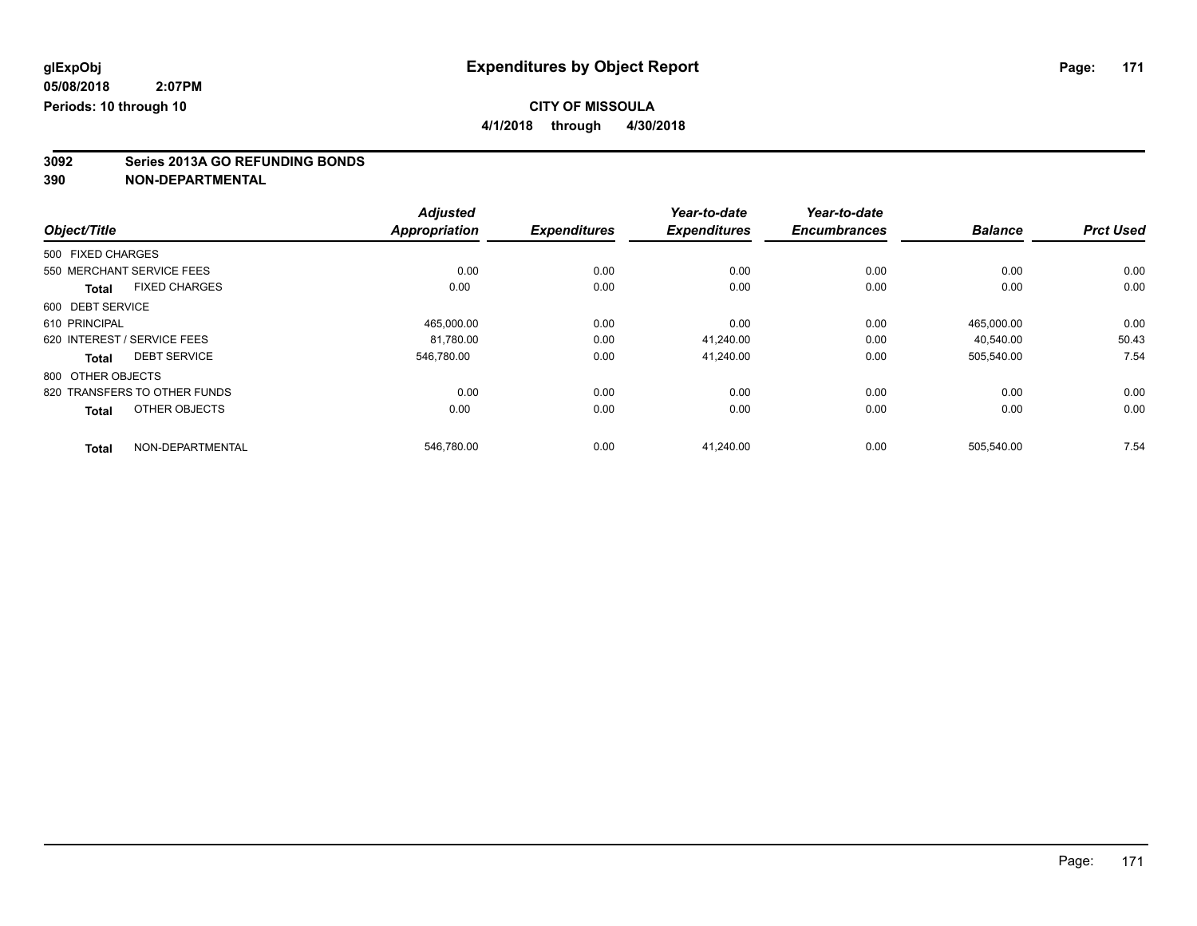# **3092 Series 2013A GO REFUNDING BONDS**

|                                      |                  | <b>Adjusted</b>      |                     | Year-to-date        | Year-to-date        |                |                  |
|--------------------------------------|------------------|----------------------|---------------------|---------------------|---------------------|----------------|------------------|
| Object/Title                         |                  | <b>Appropriation</b> | <b>Expenditures</b> | <b>Expenditures</b> | <b>Encumbrances</b> | <b>Balance</b> | <b>Prct Used</b> |
| 500 FIXED CHARGES                    |                  |                      |                     |                     |                     |                |                  |
| 550 MERCHANT SERVICE FEES            |                  | 0.00                 | 0.00                | 0.00                | 0.00                | 0.00           | 0.00             |
| <b>FIXED CHARGES</b><br><b>Total</b> |                  | 0.00                 | 0.00                | 0.00                | 0.00                | 0.00           | 0.00             |
| 600 DEBT SERVICE                     |                  |                      |                     |                     |                     |                |                  |
| 610 PRINCIPAL                        |                  | 465,000.00           | 0.00                | 0.00                | 0.00                | 465,000.00     | 0.00             |
| 620 INTEREST / SERVICE FEES          |                  | 81,780.00            | 0.00                | 41,240.00           | 0.00                | 40.540.00      | 50.43            |
| <b>DEBT SERVICE</b><br><b>Total</b>  |                  | 546,780.00           | 0.00                | 41,240.00           | 0.00                | 505,540.00     | 7.54             |
| 800 OTHER OBJECTS                    |                  |                      |                     |                     |                     |                |                  |
| 820 TRANSFERS TO OTHER FUNDS         |                  | 0.00                 | 0.00                | 0.00                | 0.00                | 0.00           | 0.00             |
| OTHER OBJECTS<br><b>Total</b>        |                  | 0.00                 | 0.00                | 0.00                | 0.00                | 0.00           | 0.00             |
| <b>Total</b>                         | NON-DEPARTMENTAL | 546,780.00           | 0.00                | 41,240.00           | 0.00                | 505,540.00     | 7.54             |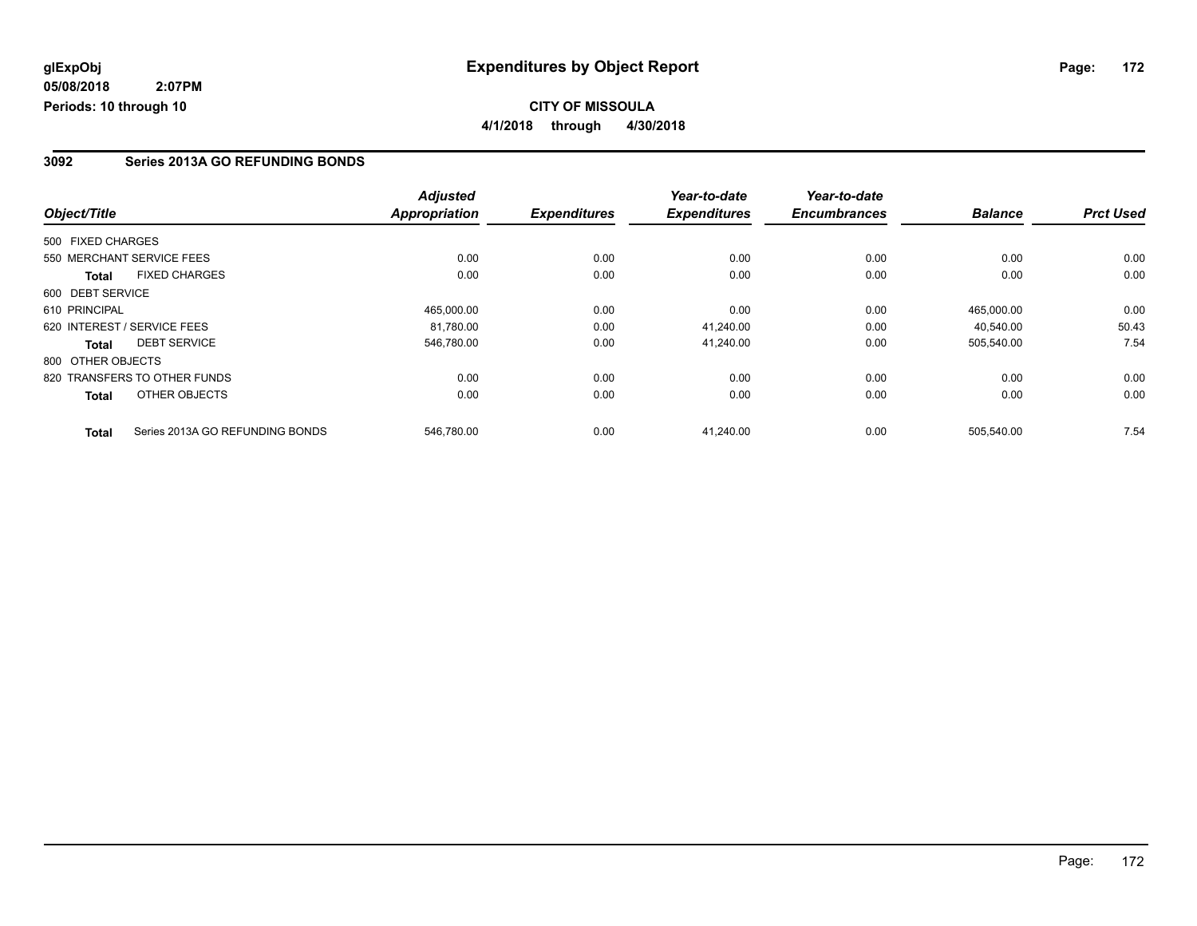### **CITY OF MISSOULA 4/1/2018 through 4/30/2018**

#### **3092 Series 2013A GO REFUNDING BONDS**

|                   |                                 | <b>Adjusted</b>      |                     | Year-to-date        | Year-to-date        |                |                  |
|-------------------|---------------------------------|----------------------|---------------------|---------------------|---------------------|----------------|------------------|
| Object/Title      |                                 | <b>Appropriation</b> | <b>Expenditures</b> | <b>Expenditures</b> | <b>Encumbrances</b> | <b>Balance</b> | <b>Prct Used</b> |
| 500 FIXED CHARGES |                                 |                      |                     |                     |                     |                |                  |
|                   | 550 MERCHANT SERVICE FEES       | 0.00                 | 0.00                | 0.00                | 0.00                | 0.00           | 0.00             |
| <b>Total</b>      | <b>FIXED CHARGES</b>            | 0.00                 | 0.00                | 0.00                | 0.00                | 0.00           | 0.00             |
| 600 DEBT SERVICE  |                                 |                      |                     |                     |                     |                |                  |
| 610 PRINCIPAL     |                                 | 465,000.00           | 0.00                | 0.00                | 0.00                | 465,000.00     | 0.00             |
|                   | 620 INTEREST / SERVICE FEES     | 81.780.00            | 0.00                | 41,240.00           | 0.00                | 40.540.00      | 50.43            |
| <b>Total</b>      | <b>DEBT SERVICE</b>             | 546,780.00           | 0.00                | 41.240.00           | 0.00                | 505,540.00     | 7.54             |
| 800 OTHER OBJECTS |                                 |                      |                     |                     |                     |                |                  |
|                   | 820 TRANSFERS TO OTHER FUNDS    | 0.00                 | 0.00                | 0.00                | 0.00                | 0.00           | 0.00             |
| Total             | OTHER OBJECTS                   | 0.00                 | 0.00                | 0.00                | 0.00                | 0.00           | 0.00             |
| <b>Total</b>      | Series 2013A GO REFUNDING BONDS | 546,780.00           | 0.00                | 41.240.00           | 0.00                | 505,540.00     | 7.54             |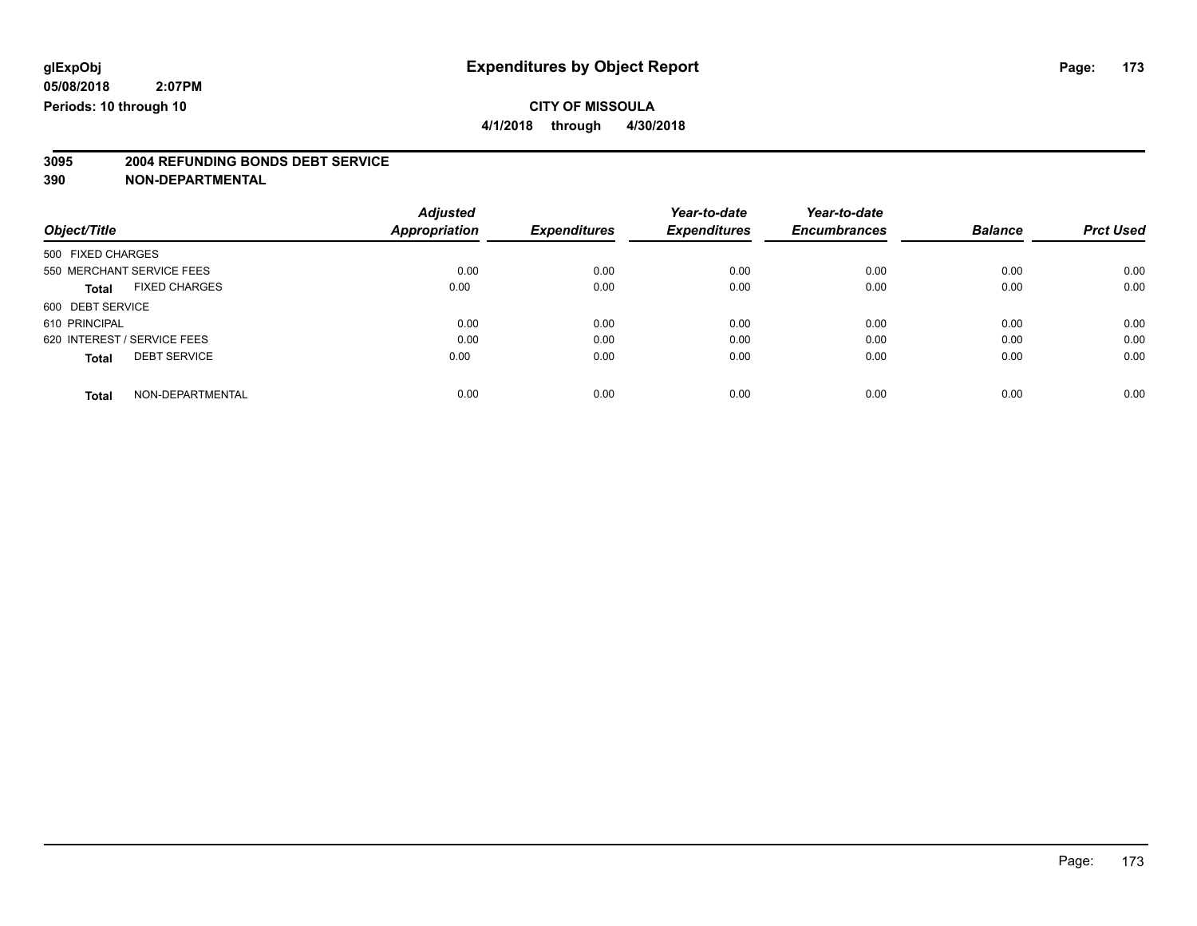# **3095 2004 REFUNDING BONDS DEBT SERVICE**

|                                      | <b>Adjusted</b> |                     | Year-to-date        | Year-to-date        |                |                  |
|--------------------------------------|-----------------|---------------------|---------------------|---------------------|----------------|------------------|
| Object/Title                         | Appropriation   | <b>Expenditures</b> | <b>Expenditures</b> | <b>Encumbrances</b> | <b>Balance</b> | <b>Prct Used</b> |
| 500 FIXED CHARGES                    |                 |                     |                     |                     |                |                  |
| 550 MERCHANT SERVICE FEES            | 0.00            | 0.00                | 0.00                | 0.00                | 0.00           | 0.00             |
| <b>FIXED CHARGES</b><br><b>Total</b> | 0.00            | 0.00                | 0.00                | 0.00                | 0.00           | 0.00             |
| 600 DEBT SERVICE                     |                 |                     |                     |                     |                |                  |
| 610 PRINCIPAL                        | 0.00            | 0.00                | 0.00                | 0.00                | 0.00           | 0.00             |
| 620 INTEREST / SERVICE FEES          | 0.00            | 0.00                | 0.00                | 0.00                | 0.00           | 0.00             |
| <b>DEBT SERVICE</b><br><b>Total</b>  | 0.00            | 0.00                | 0.00                | 0.00                | 0.00           | 0.00             |
| NON-DEPARTMENTAL<br><b>Total</b>     | 0.00            | 0.00                | 0.00                | 0.00                | 0.00           | 0.00             |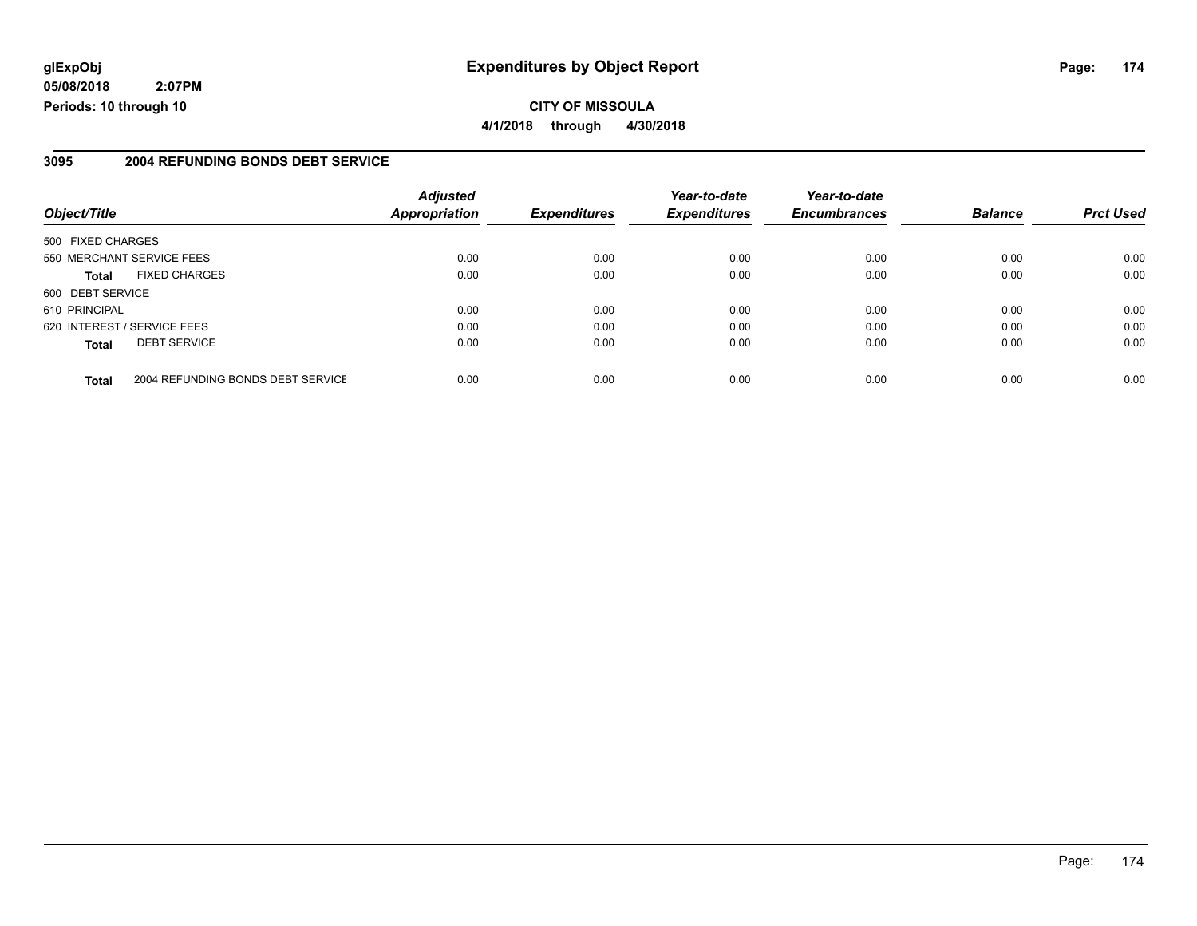#### **glExpObj Expenditures by Object Report Page: 174**

**05/08/2018 2:07PM Periods: 10 through 10**

#### **3095 2004 REFUNDING BONDS DEBT SERVICE**

| Object/Title                |                                   | <b>Adjusted</b><br><b>Appropriation</b> | <b>Expenditures</b> | Year-to-date<br><b>Expenditures</b> | Year-to-date<br><b>Encumbrances</b> | <b>Balance</b> | <b>Prct Used</b> |
|-----------------------------|-----------------------------------|-----------------------------------------|---------------------|-------------------------------------|-------------------------------------|----------------|------------------|
|                             |                                   |                                         |                     |                                     |                                     |                |                  |
| 500 FIXED CHARGES           |                                   |                                         |                     |                                     |                                     |                |                  |
| 550 MERCHANT SERVICE FEES   |                                   | 0.00                                    | 0.00                | 0.00                                | 0.00                                | 0.00           | 0.00             |
| <b>Total</b>                | <b>FIXED CHARGES</b>              | 0.00                                    | 0.00                | 0.00                                | 0.00                                | 0.00           | 0.00             |
| 600 DEBT SERVICE            |                                   |                                         |                     |                                     |                                     |                |                  |
| 610 PRINCIPAL               |                                   | 0.00                                    | 0.00                | 0.00                                | 0.00                                | 0.00           | 0.00             |
| 620 INTEREST / SERVICE FEES |                                   | 0.00                                    | 0.00                | 0.00                                | 0.00                                | 0.00           | 0.00             |
| <b>Total</b>                | <b>DEBT SERVICE</b>               | 0.00                                    | 0.00                | 0.00                                | 0.00                                | 0.00           | 0.00             |
| <b>Total</b>                | 2004 REFUNDING BONDS DEBT SERVICE | 0.00                                    | 0.00                | 0.00                                | 0.00                                | 0.00           | 0.00             |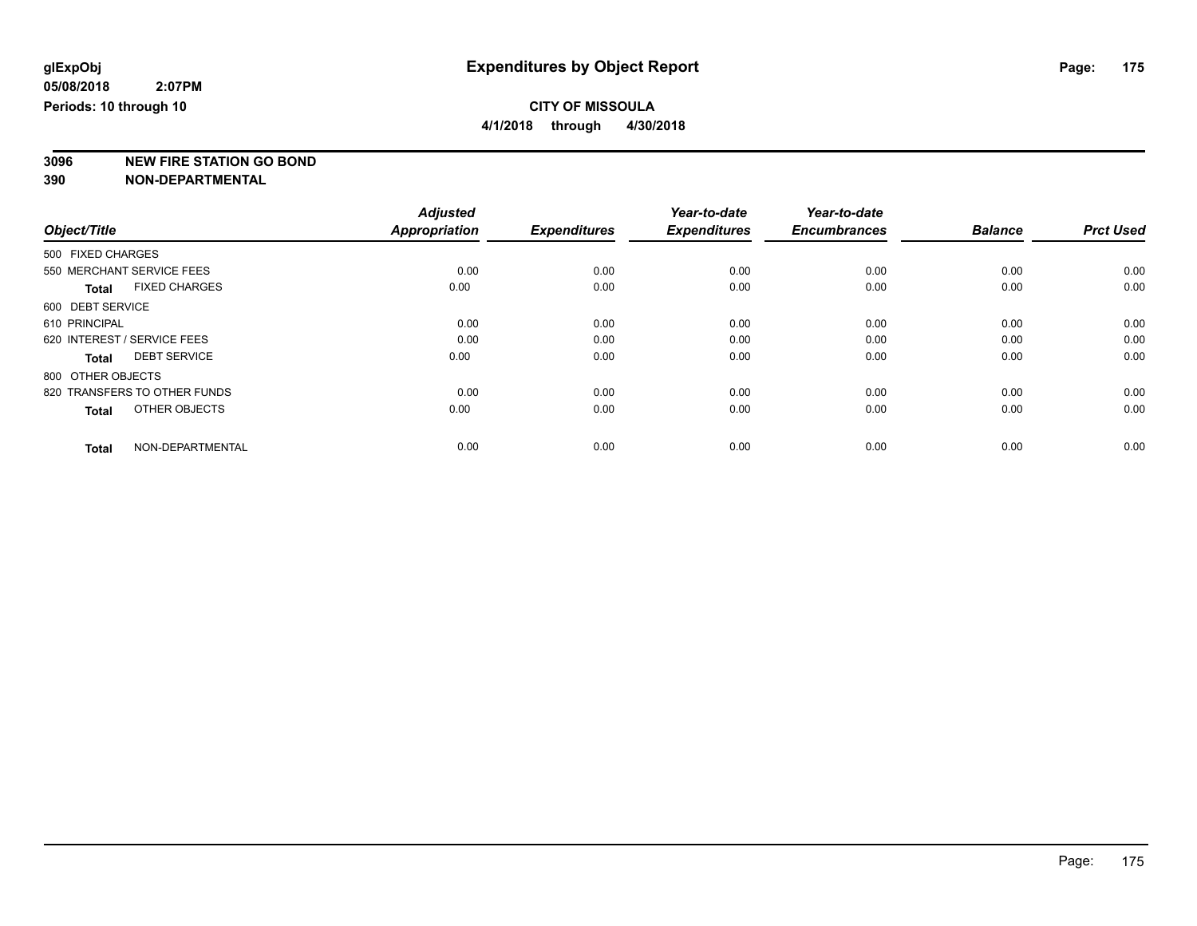**3096 NEW FIRE STATION GO BOND**

|                                      | <b>Adjusted</b>      |                     | Year-to-date        | Year-to-date        |                |                  |
|--------------------------------------|----------------------|---------------------|---------------------|---------------------|----------------|------------------|
| Object/Title                         | <b>Appropriation</b> | <b>Expenditures</b> | <b>Expenditures</b> | <b>Encumbrances</b> | <b>Balance</b> | <b>Prct Used</b> |
| 500 FIXED CHARGES                    |                      |                     |                     |                     |                |                  |
| 550 MERCHANT SERVICE FEES            | 0.00                 | 0.00                | 0.00                | 0.00                | 0.00           | 0.00             |
| <b>FIXED CHARGES</b><br><b>Total</b> | 0.00                 | 0.00                | 0.00                | 0.00                | 0.00           | 0.00             |
| 600 DEBT SERVICE                     |                      |                     |                     |                     |                |                  |
| 610 PRINCIPAL                        | 0.00                 | 0.00                | 0.00                | 0.00                | 0.00           | 0.00             |
| 620 INTEREST / SERVICE FEES          | 0.00                 | 0.00                | 0.00                | 0.00                | 0.00           | 0.00             |
| <b>DEBT SERVICE</b><br><b>Total</b>  | 0.00                 | 0.00                | 0.00                | 0.00                | 0.00           | 0.00             |
| 800 OTHER OBJECTS                    |                      |                     |                     |                     |                |                  |
| 820 TRANSFERS TO OTHER FUNDS         | 0.00                 | 0.00                | 0.00                | 0.00                | 0.00           | 0.00             |
| OTHER OBJECTS<br><b>Total</b>        | 0.00                 | 0.00                | 0.00                | 0.00                | 0.00           | 0.00             |
|                                      |                      |                     |                     |                     |                |                  |
| NON-DEPARTMENTAL<br><b>Total</b>     | 0.00                 | 0.00                | 0.00                | 0.00                | 0.00           | 0.00             |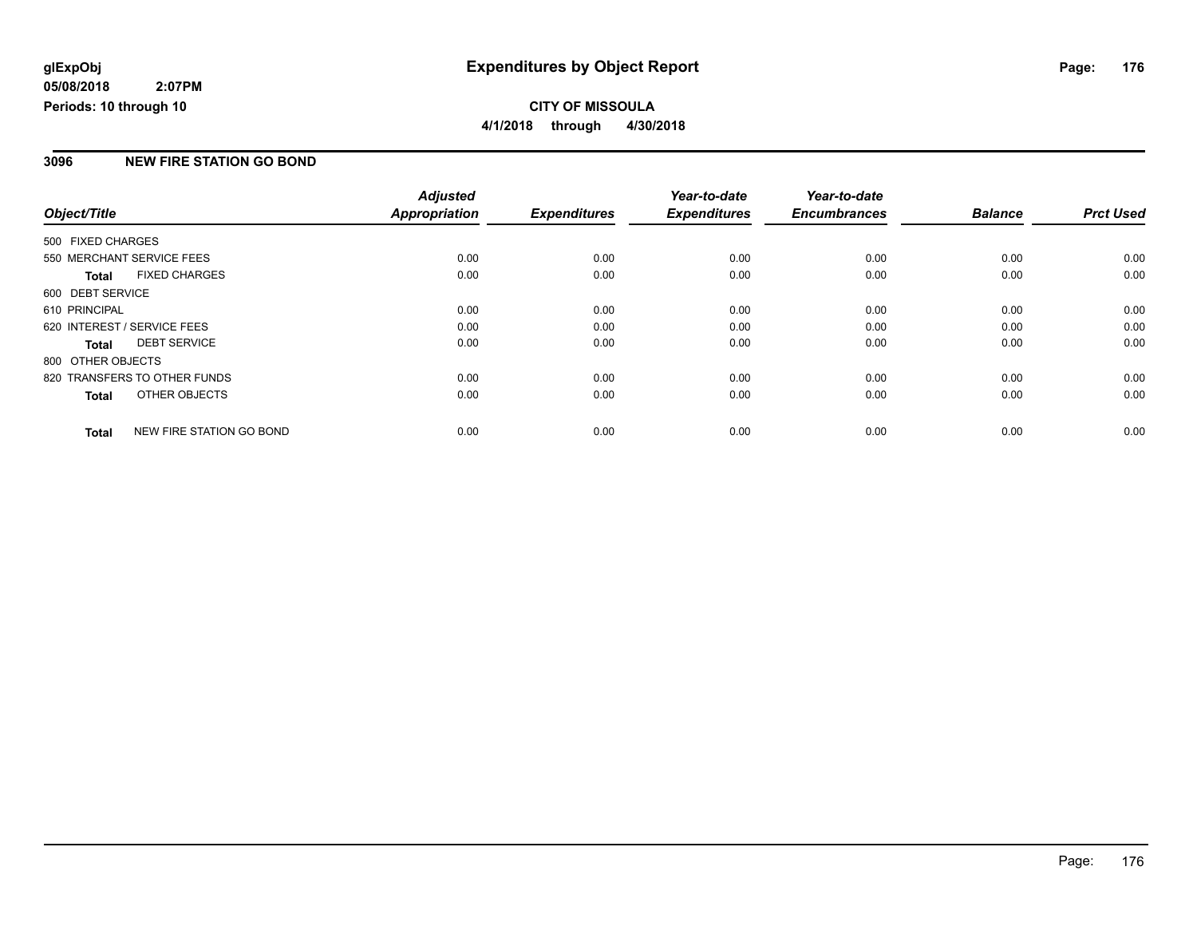### **CITY OF MISSOULA 4/1/2018 through 4/30/2018**

#### **3096 NEW FIRE STATION GO BOND**

|                                          | <b>Adjusted</b>      |                     | Year-to-date        | Year-to-date        |                |                  |
|------------------------------------------|----------------------|---------------------|---------------------|---------------------|----------------|------------------|
| Object/Title                             | <b>Appropriation</b> | <b>Expenditures</b> | <b>Expenditures</b> | <b>Encumbrances</b> | <b>Balance</b> | <b>Prct Used</b> |
| 500 FIXED CHARGES                        |                      |                     |                     |                     |                |                  |
| 550 MERCHANT SERVICE FEES                | 0.00                 | 0.00                | 0.00                | 0.00                | 0.00           | 0.00             |
| <b>FIXED CHARGES</b><br><b>Total</b>     | 0.00                 | 0.00                | 0.00                | 0.00                | 0.00           | 0.00             |
| 600 DEBT SERVICE                         |                      |                     |                     |                     |                |                  |
| 610 PRINCIPAL                            | 0.00                 | 0.00                | 0.00                | 0.00                | 0.00           | 0.00             |
| 620 INTEREST / SERVICE FEES              | 0.00                 | 0.00                | 0.00                | 0.00                | 0.00           | 0.00             |
| <b>DEBT SERVICE</b><br>Total             | 0.00                 | 0.00                | 0.00                | 0.00                | 0.00           | 0.00             |
| 800 OTHER OBJECTS                        |                      |                     |                     |                     |                |                  |
| 820 TRANSFERS TO OTHER FUNDS             | 0.00                 | 0.00                | 0.00                | 0.00                | 0.00           | 0.00             |
| OTHER OBJECTS<br><b>Total</b>            | 0.00                 | 0.00                | 0.00                | 0.00                | 0.00           | 0.00             |
| NEW FIRE STATION GO BOND<br><b>Total</b> | 0.00                 | 0.00                | 0.00                | 0.00                | 0.00           | 0.00             |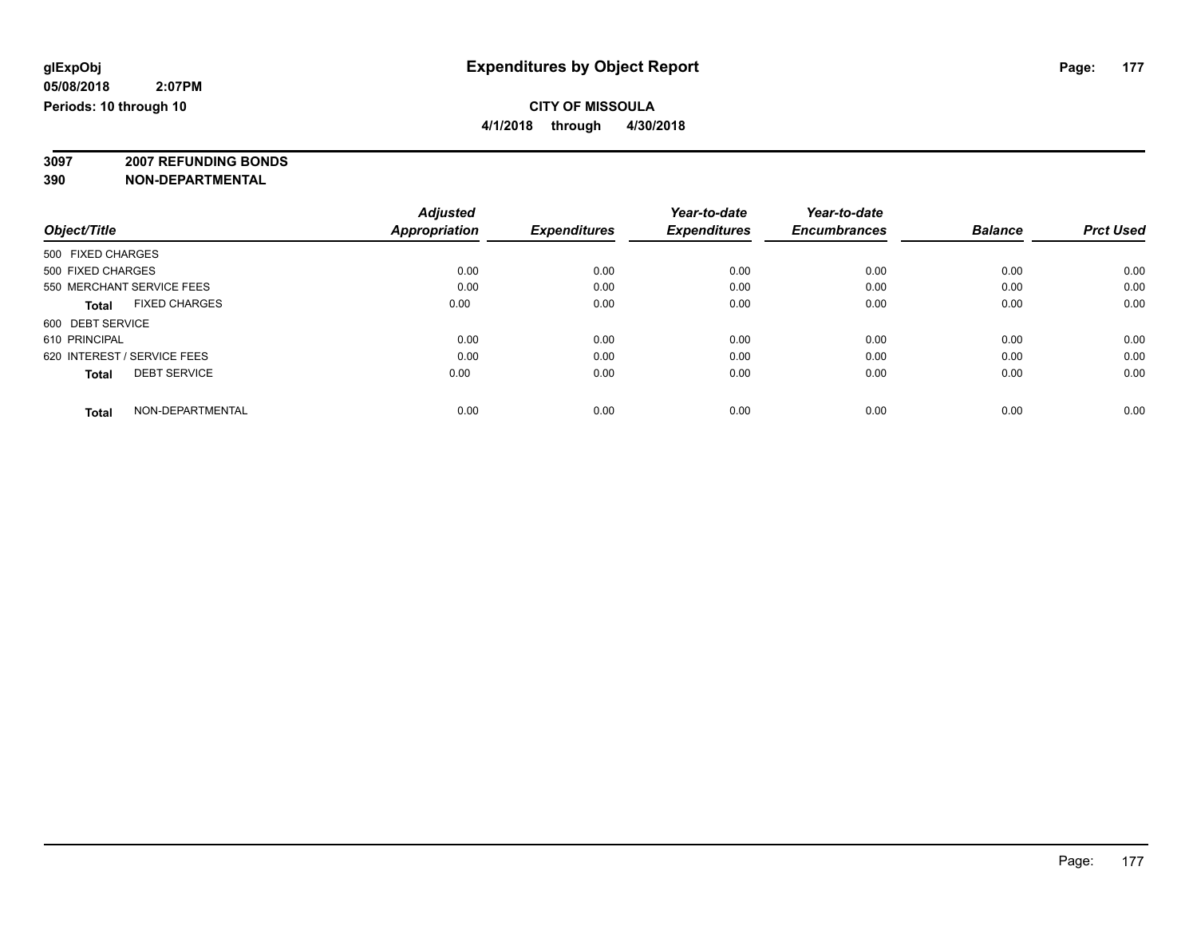**3097 2007 REFUNDING BONDS**

| Object/Title                         | <b>Adjusted</b><br><b>Appropriation</b> | <b>Expenditures</b> | Year-to-date<br><b>Expenditures</b> | Year-to-date<br><b>Encumbrances</b> | <b>Balance</b> | <b>Prct Used</b> |
|--------------------------------------|-----------------------------------------|---------------------|-------------------------------------|-------------------------------------|----------------|------------------|
| 500 FIXED CHARGES                    |                                         |                     |                                     |                                     |                |                  |
| 500 FIXED CHARGES                    | 0.00                                    | 0.00                | 0.00                                | 0.00                                | 0.00           | 0.00             |
| 550 MERCHANT SERVICE FEES            | 0.00                                    | 0.00                | 0.00                                | 0.00                                | 0.00           | 0.00             |
| <b>FIXED CHARGES</b><br><b>Total</b> | 0.00                                    | 0.00                | 0.00                                | 0.00                                | 0.00           | 0.00             |
| 600 DEBT SERVICE                     |                                         |                     |                                     |                                     |                |                  |
| 610 PRINCIPAL                        | 0.00                                    | 0.00                | 0.00                                | 0.00                                | 0.00           | 0.00             |
| 620 INTEREST / SERVICE FEES          | 0.00                                    | 0.00                | 0.00                                | 0.00                                | 0.00           | 0.00             |
| <b>DEBT SERVICE</b><br><b>Total</b>  | 0.00                                    | 0.00                | 0.00                                | 0.00                                | 0.00           | 0.00             |
| NON-DEPARTMENTAL<br><b>Total</b>     | 0.00                                    | 0.00                | 0.00                                | 0.00                                | 0.00           | 0.00             |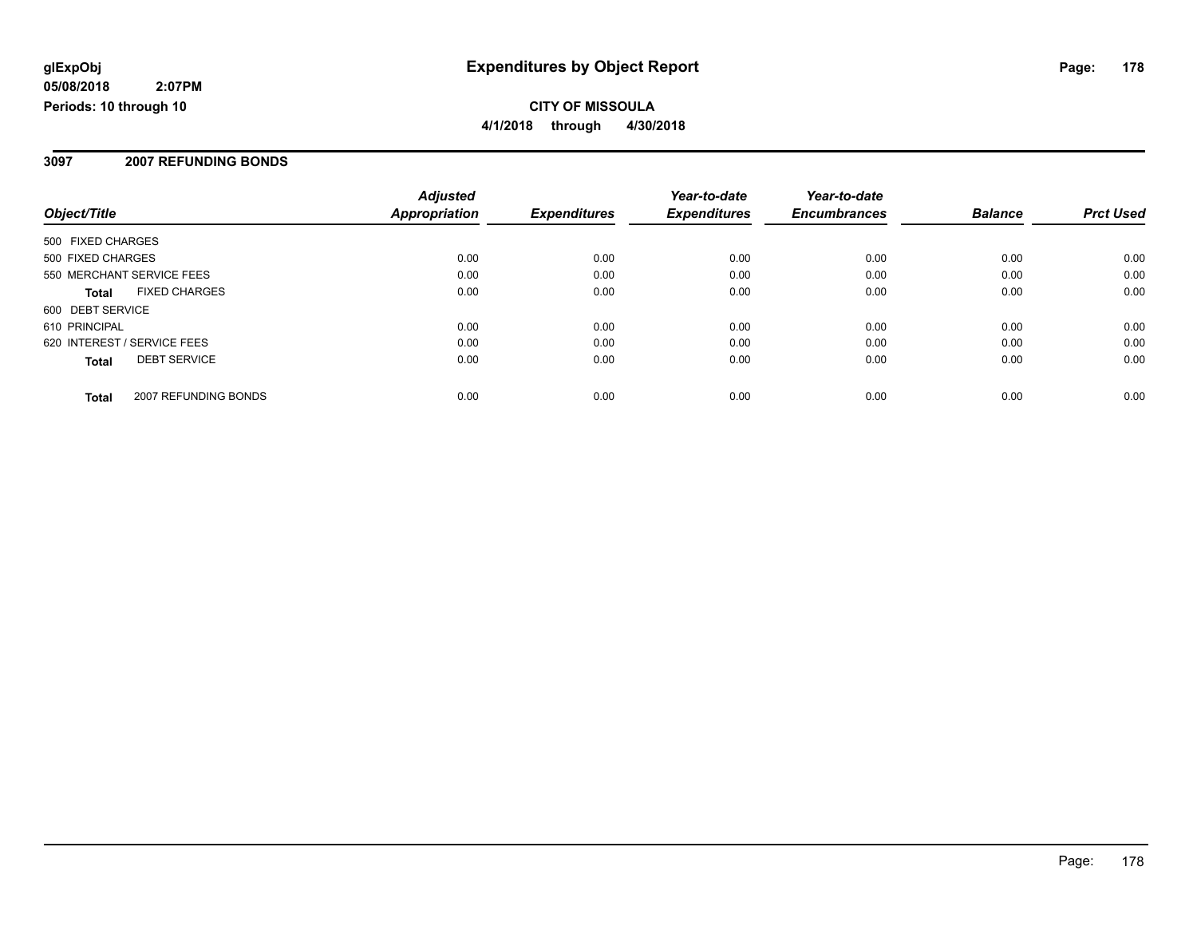#### **3097 2007 REFUNDING BONDS**

|                             |                      | <b>Adjusted</b>      |                     | Year-to-date        | Year-to-date        |                |                  |
|-----------------------------|----------------------|----------------------|---------------------|---------------------|---------------------|----------------|------------------|
| Object/Title                |                      | <b>Appropriation</b> | <b>Expenditures</b> | <b>Expenditures</b> | <b>Encumbrances</b> | <b>Balance</b> | <b>Prct Used</b> |
| 500 FIXED CHARGES           |                      |                      |                     |                     |                     |                |                  |
| 500 FIXED CHARGES           |                      | 0.00                 | 0.00                | 0.00                | 0.00                | 0.00           | 0.00             |
| 550 MERCHANT SERVICE FEES   |                      | 0.00                 | 0.00                | 0.00                | 0.00                | 0.00           | 0.00             |
| <b>Total</b>                | <b>FIXED CHARGES</b> | 0.00                 | 0.00                | 0.00                | 0.00                | 0.00           | 0.00             |
| 600 DEBT SERVICE            |                      |                      |                     |                     |                     |                |                  |
| 610 PRINCIPAL               |                      | 0.00                 | 0.00                | 0.00                | 0.00                | 0.00           | 0.00             |
| 620 INTEREST / SERVICE FEES |                      | 0.00                 | 0.00                | 0.00                | 0.00                | 0.00           | 0.00             |
| <b>Total</b>                | <b>DEBT SERVICE</b>  | 0.00                 | 0.00                | 0.00                | 0.00                | 0.00           | 0.00             |
| Total                       | 2007 REFUNDING BONDS | 0.00                 | 0.00                | 0.00                | 0.00                | 0.00           | 0.00             |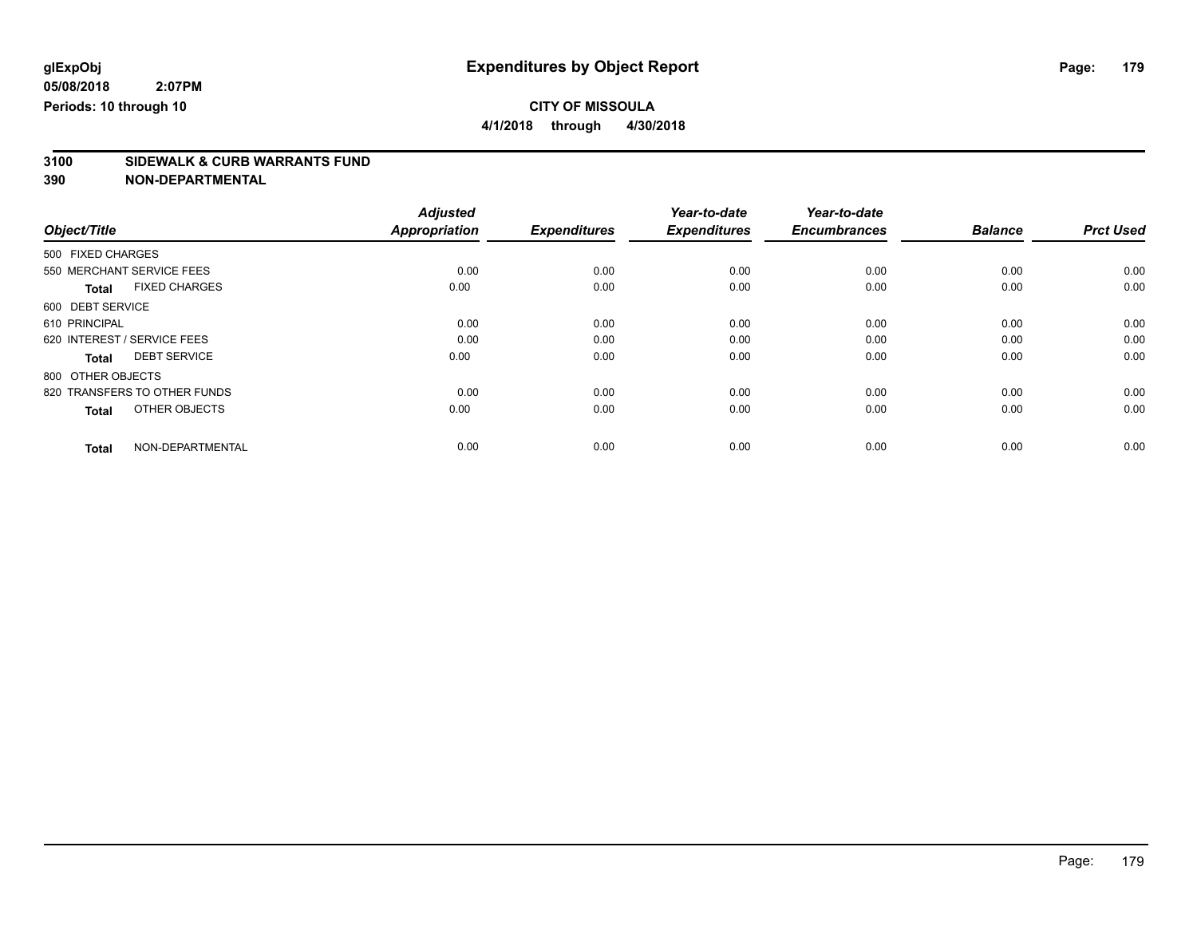# **3100 SIDEWALK & CURB WARRANTS FUND**

|                                      | <b>Adjusted</b>      |                     | Year-to-date        | Year-to-date        |                |                  |
|--------------------------------------|----------------------|---------------------|---------------------|---------------------|----------------|------------------|
| Object/Title                         | <b>Appropriation</b> | <b>Expenditures</b> | <b>Expenditures</b> | <b>Encumbrances</b> | <b>Balance</b> | <b>Prct Used</b> |
| 500 FIXED CHARGES                    |                      |                     |                     |                     |                |                  |
| 550 MERCHANT SERVICE FEES            | 0.00                 | 0.00                | 0.00                | 0.00                | 0.00           | 0.00             |
| <b>FIXED CHARGES</b><br><b>Total</b> | 0.00                 | 0.00                | 0.00                | 0.00                | 0.00           | 0.00             |
| 600 DEBT SERVICE                     |                      |                     |                     |                     |                |                  |
| 610 PRINCIPAL                        | 0.00                 | 0.00                | 0.00                | 0.00                | 0.00           | 0.00             |
| 620 INTEREST / SERVICE FEES          | 0.00                 | 0.00                | 0.00                | 0.00                | 0.00           | 0.00             |
| <b>DEBT SERVICE</b><br><b>Total</b>  | 0.00                 | 0.00                | 0.00                | 0.00                | 0.00           | 0.00             |
| 800 OTHER OBJECTS                    |                      |                     |                     |                     |                |                  |
| 820 TRANSFERS TO OTHER FUNDS         | 0.00                 | 0.00                | 0.00                | 0.00                | 0.00           | 0.00             |
| OTHER OBJECTS<br><b>Total</b>        | 0.00                 | 0.00                | 0.00                | 0.00                | 0.00           | 0.00             |
|                                      |                      |                     |                     |                     |                |                  |
| NON-DEPARTMENTAL<br><b>Total</b>     | 0.00                 | 0.00                | 0.00                | 0.00                | 0.00           | 0.00             |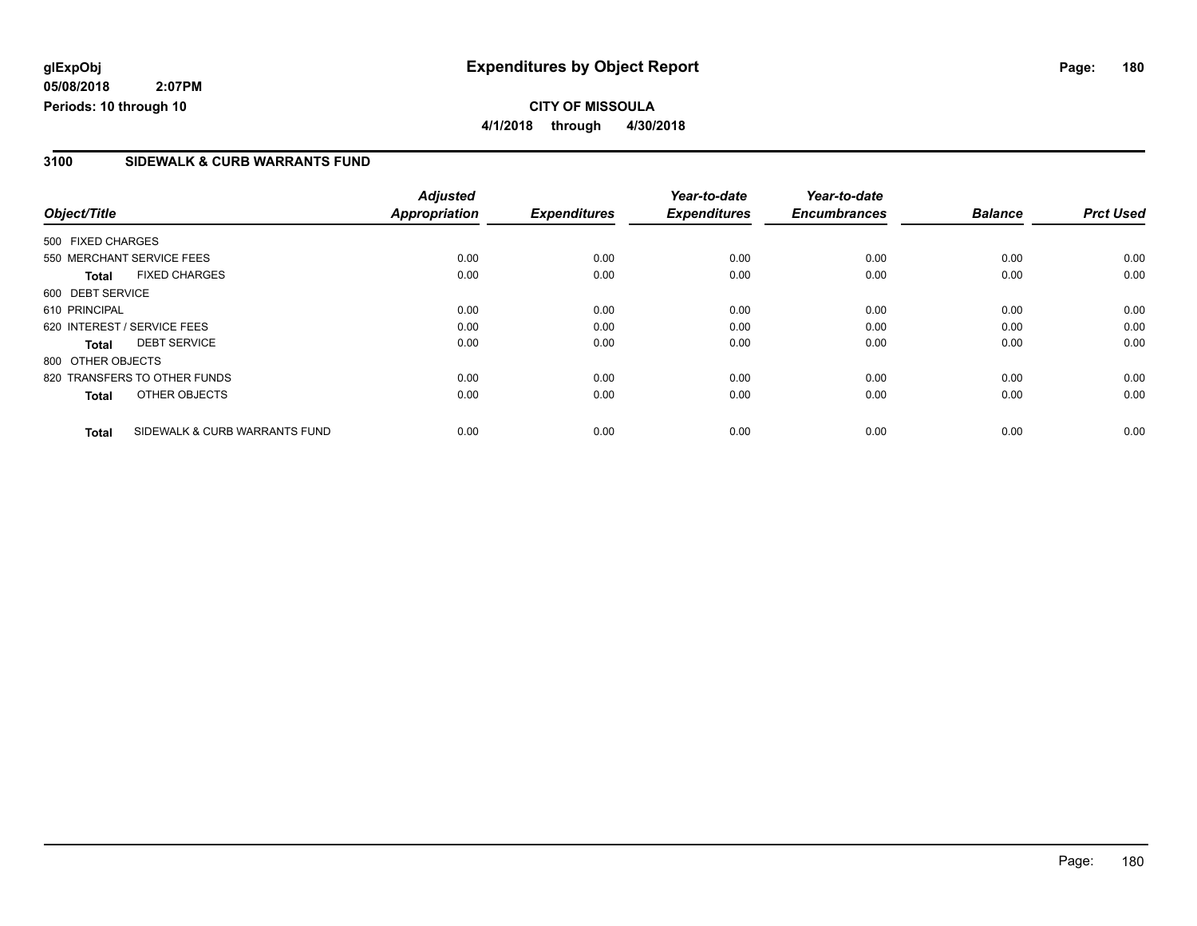#### **3100 SIDEWALK & CURB WARRANTS FUND**

| Object/Title              |                               | <b>Adjusted</b><br><b>Appropriation</b> | <b>Expenditures</b> | Year-to-date<br><b>Expenditures</b> | Year-to-date<br><b>Encumbrances</b> | <b>Balance</b> | <b>Prct Used</b> |
|---------------------------|-------------------------------|-----------------------------------------|---------------------|-------------------------------------|-------------------------------------|----------------|------------------|
|                           |                               |                                         |                     |                                     |                                     |                |                  |
| 550 MERCHANT SERVICE FEES |                               | 0.00                                    | 0.00                | 0.00                                | 0.00                                | 0.00           | 0.00             |
| <b>Total</b>              | <b>FIXED CHARGES</b>          | 0.00                                    | 0.00                | 0.00                                | 0.00                                | 0.00           | 0.00             |
| 600 DEBT SERVICE          |                               |                                         |                     |                                     |                                     |                |                  |
| 610 PRINCIPAL             |                               | 0.00                                    | 0.00                | 0.00                                | 0.00                                | 0.00           | 0.00             |
|                           | 620 INTEREST / SERVICE FEES   | 0.00                                    | 0.00                | 0.00                                | 0.00                                | 0.00           | 0.00             |
| Total                     | <b>DEBT SERVICE</b>           | 0.00                                    | 0.00                | 0.00                                | 0.00                                | 0.00           | 0.00             |
| 800 OTHER OBJECTS         |                               |                                         |                     |                                     |                                     |                |                  |
|                           | 820 TRANSFERS TO OTHER FUNDS  | 0.00                                    | 0.00                | 0.00                                | 0.00                                | 0.00           | 0.00             |
| <b>Total</b>              | OTHER OBJECTS                 | 0.00                                    | 0.00                | 0.00                                | 0.00                                | 0.00           | 0.00             |
| <b>Total</b>              | SIDEWALK & CURB WARRANTS FUND | 0.00                                    | 0.00                | 0.00                                | 0.00                                | 0.00           | 0.00             |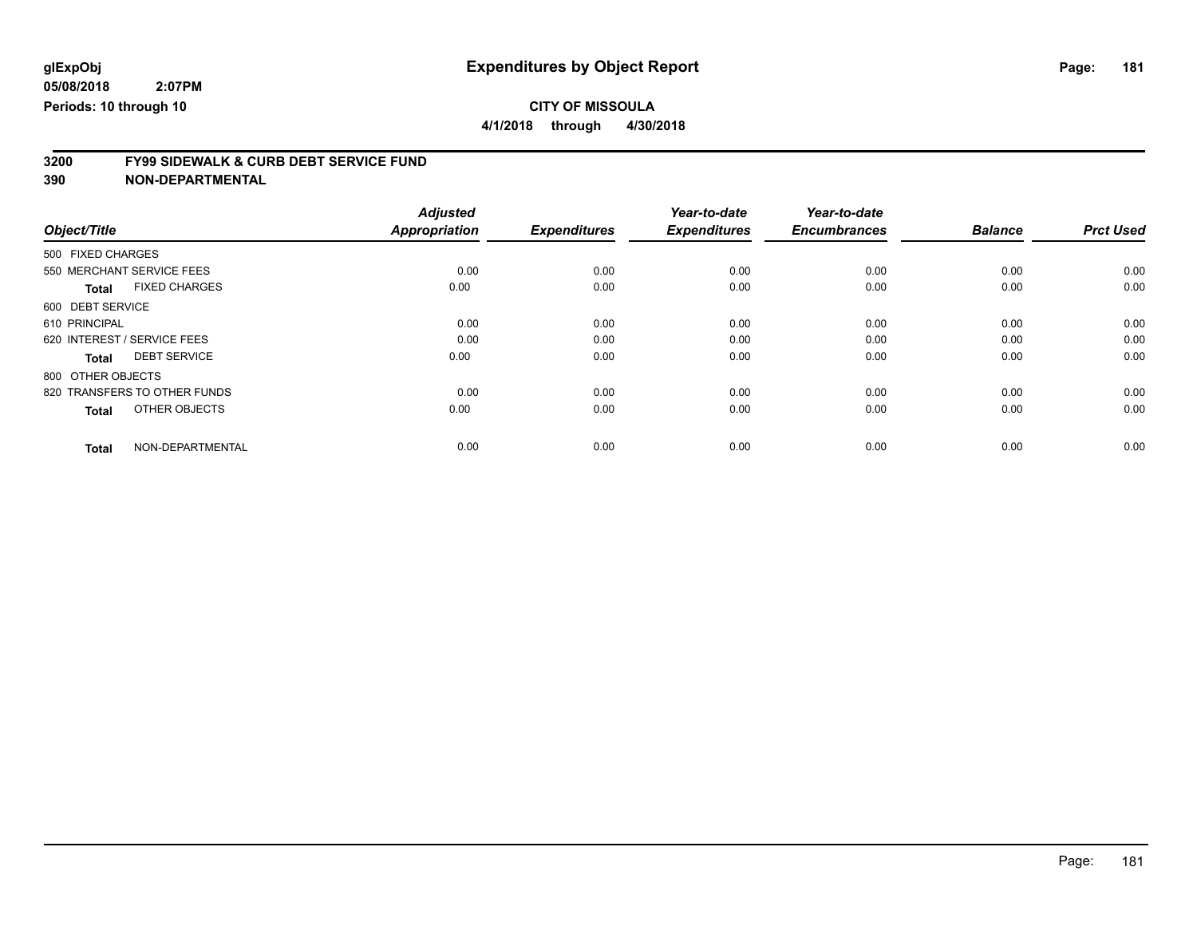# **CITY OF MISSOULA**

**4/1/2018 through 4/30/2018**

# **3200 FY99 SIDEWALK & CURB DEBT SERVICE FUND**

|                                      | <b>Adjusted</b>      |                     | Year-to-date        | Year-to-date        |                |                  |
|--------------------------------------|----------------------|---------------------|---------------------|---------------------|----------------|------------------|
| Object/Title                         | <b>Appropriation</b> | <b>Expenditures</b> | <b>Expenditures</b> | <b>Encumbrances</b> | <b>Balance</b> | <b>Prct Used</b> |
| 500 FIXED CHARGES                    |                      |                     |                     |                     |                |                  |
| 550 MERCHANT SERVICE FEES            | 0.00                 | 0.00                | 0.00                | 0.00                | 0.00           | 0.00             |
| <b>FIXED CHARGES</b><br><b>Total</b> | 0.00                 | 0.00                | 0.00                | 0.00                | 0.00           | 0.00             |
| 600 DEBT SERVICE                     |                      |                     |                     |                     |                |                  |
| 610 PRINCIPAL                        | 0.00                 | 0.00                | 0.00                | 0.00                | 0.00           | 0.00             |
| 620 INTEREST / SERVICE FEES          | 0.00                 | 0.00                | 0.00                | 0.00                | 0.00           | 0.00             |
| <b>DEBT SERVICE</b><br><b>Total</b>  | 0.00                 | 0.00                | 0.00                | 0.00                | 0.00           | 0.00             |
| 800 OTHER OBJECTS                    |                      |                     |                     |                     |                |                  |
| 820 TRANSFERS TO OTHER FUNDS         | 0.00                 | 0.00                | 0.00                | 0.00                | 0.00           | 0.00             |
| OTHER OBJECTS<br><b>Total</b>        | 0.00                 | 0.00                | 0.00                | 0.00                | 0.00           | 0.00             |
|                                      |                      |                     |                     |                     |                |                  |
| NON-DEPARTMENTAL<br><b>Total</b>     | 0.00                 | 0.00                | 0.00                | 0.00                | 0.00           | 0.00             |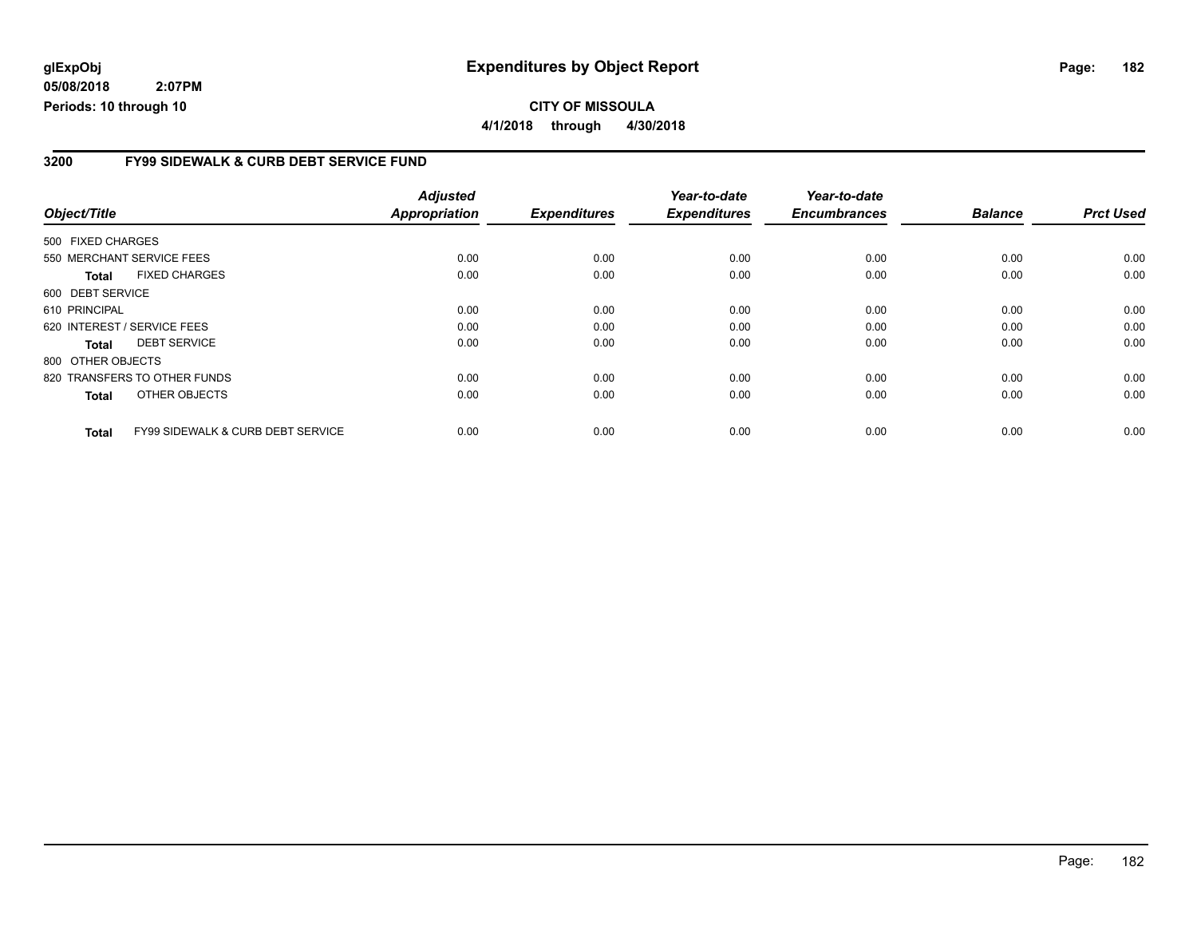#### **3200 FY99 SIDEWALK & CURB DEBT SERVICE FUND**

|                             |                                              | <b>Adjusted</b>      |                     | Year-to-date        | Year-to-date        |                |                  |
|-----------------------------|----------------------------------------------|----------------------|---------------------|---------------------|---------------------|----------------|------------------|
| Object/Title                |                                              | <b>Appropriation</b> | <b>Expenditures</b> | <b>Expenditures</b> | <b>Encumbrances</b> | <b>Balance</b> | <b>Prct Used</b> |
| 500 FIXED CHARGES           |                                              |                      |                     |                     |                     |                |                  |
| 550 MERCHANT SERVICE FEES   |                                              | 0.00                 | 0.00                | 0.00                | 0.00                | 0.00           | 0.00             |
| <b>Total</b>                | <b>FIXED CHARGES</b>                         | 0.00                 | 0.00                | 0.00                | 0.00                | 0.00           | 0.00             |
| 600 DEBT SERVICE            |                                              |                      |                     |                     |                     |                |                  |
| 610 PRINCIPAL               |                                              | 0.00                 | 0.00                | 0.00                | 0.00                | 0.00           | 0.00             |
| 620 INTEREST / SERVICE FEES |                                              | 0.00                 | 0.00                | 0.00                | 0.00                | 0.00           | 0.00             |
| <b>Total</b>                | <b>DEBT SERVICE</b>                          | 0.00                 | 0.00                | 0.00                | 0.00                | 0.00           | 0.00             |
| 800 OTHER OBJECTS           |                                              |                      |                     |                     |                     |                |                  |
|                             | 820 TRANSFERS TO OTHER FUNDS                 | 0.00                 | 0.00                | 0.00                | 0.00                | 0.00           | 0.00             |
| <b>Total</b>                | OTHER OBJECTS                                | 0.00                 | 0.00                | 0.00                | 0.00                | 0.00           | 0.00             |
| <b>Total</b>                | <b>FY99 SIDEWALK &amp; CURB DEBT SERVICE</b> | 0.00                 | 0.00                | 0.00                | 0.00                | 0.00           | 0.00             |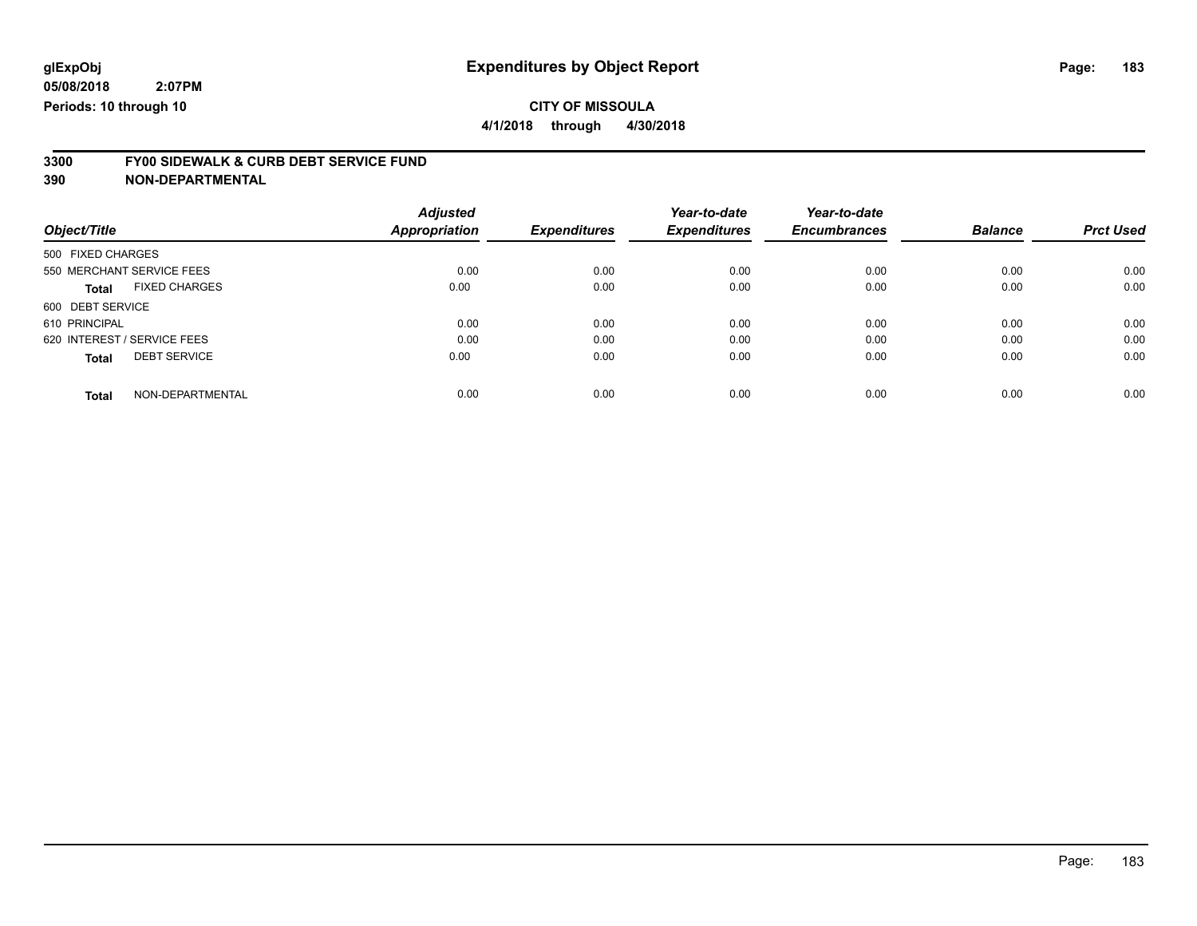# **CITY OF MISSOULA**

**4/1/2018 through 4/30/2018**

# **3300 FY00 SIDEWALK & CURB DEBT SERVICE FUND**

|                                      | <b>Adjusted</b> |                     | Year-to-date        | Year-to-date        |                |                  |
|--------------------------------------|-----------------|---------------------|---------------------|---------------------|----------------|------------------|
| Object/Title                         | Appropriation   | <b>Expenditures</b> | <b>Expenditures</b> | <b>Encumbrances</b> | <b>Balance</b> | <b>Prct Used</b> |
| 500 FIXED CHARGES                    |                 |                     |                     |                     |                |                  |
| 550 MERCHANT SERVICE FEES            | 0.00            | 0.00                | 0.00                | 0.00                | 0.00           | 0.00             |
| <b>FIXED CHARGES</b><br><b>Total</b> | 0.00            | 0.00                | 0.00                | 0.00                | 0.00           | 0.00             |
| 600 DEBT SERVICE                     |                 |                     |                     |                     |                |                  |
| 610 PRINCIPAL                        | 0.00            | 0.00                | 0.00                | 0.00                | 0.00           | 0.00             |
| 620 INTEREST / SERVICE FEES          | 0.00            | 0.00                | 0.00                | 0.00                | 0.00           | 0.00             |
| <b>DEBT SERVICE</b><br><b>Total</b>  | 0.00            | 0.00                | 0.00                | 0.00                | 0.00           | 0.00             |
| NON-DEPARTMENTAL<br><b>Total</b>     | 0.00            | 0.00                | 0.00                | 0.00                | 0.00           | 0.00             |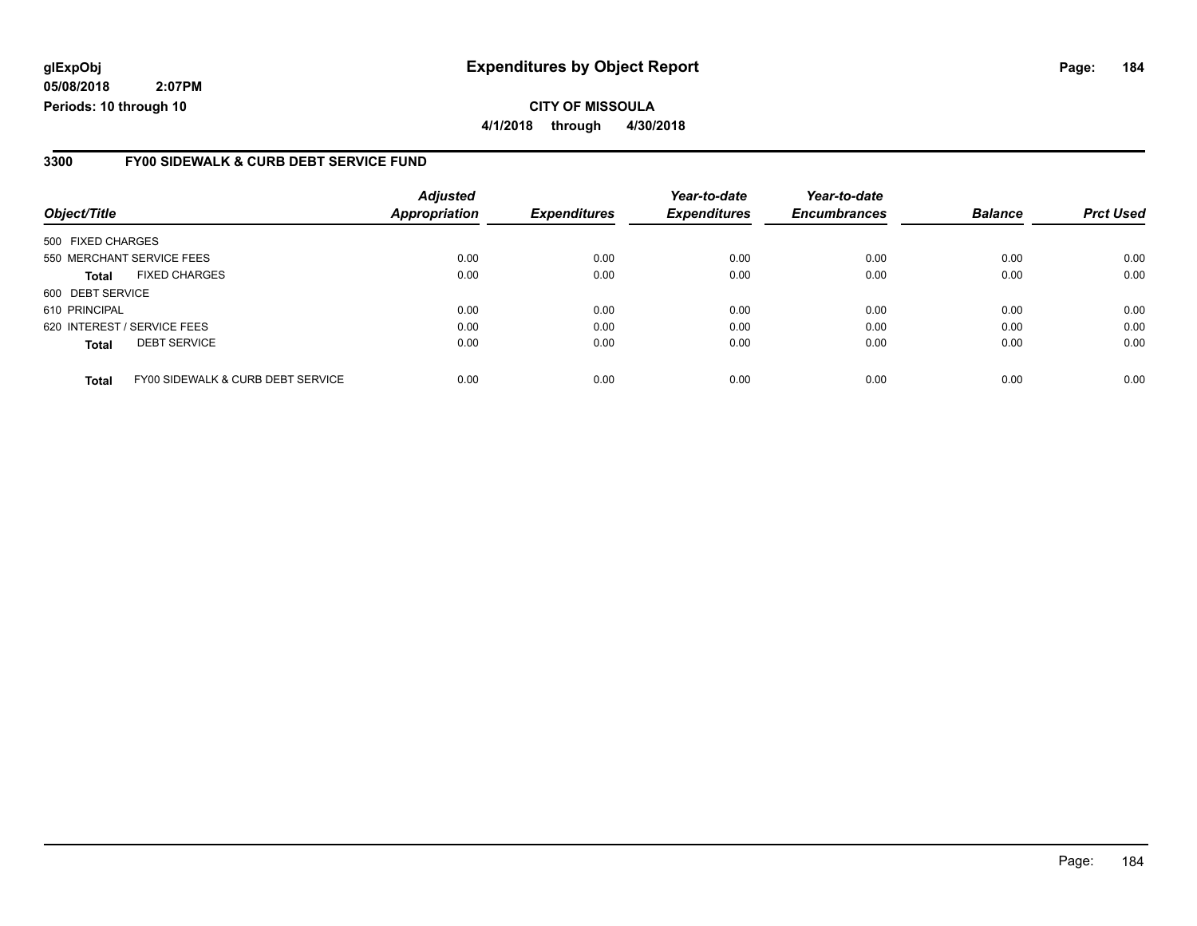# **glExpObj Expenditures by Object Report Page: 184**

**05/08/2018 2:07PM Periods: 10 through 10**

#### **3300 FY00 SIDEWALK & CURB DEBT SERVICE FUND**

| Object/Title                |                                   | <b>Adjusted</b><br><b>Appropriation</b> | <b>Expenditures</b> | Year-to-date<br><b>Expenditures</b> | Year-to-date<br><b>Encumbrances</b> | <b>Balance</b> | <b>Prct Used</b> |
|-----------------------------|-----------------------------------|-----------------------------------------|---------------------|-------------------------------------|-------------------------------------|----------------|------------------|
| 500 FIXED CHARGES           |                                   |                                         |                     |                                     |                                     |                |                  |
|                             | 550 MERCHANT SERVICE FEES         | 0.00                                    | 0.00                | 0.00                                | 0.00                                | 0.00           | 0.00             |
| <b>Total</b>                | <b>FIXED CHARGES</b>              | 0.00                                    | 0.00                | 0.00                                | 0.00                                | 0.00           | 0.00             |
| 600 DEBT SERVICE            |                                   |                                         |                     |                                     |                                     |                |                  |
| 610 PRINCIPAL               |                                   | 0.00                                    | 0.00                | 0.00                                | 0.00                                | 0.00           | 0.00             |
| 620 INTEREST / SERVICE FEES |                                   | 0.00                                    | 0.00                | 0.00                                | 0.00                                | 0.00           | 0.00             |
| <b>Total</b>                | <b>DEBT SERVICE</b>               | 0.00                                    | 0.00                | 0.00                                | 0.00                                | 0.00           | 0.00             |
| <b>Total</b>                | FY00 SIDEWALK & CURB DEBT SERVICE | 0.00                                    | 0.00                | 0.00                                | 0.00                                | 0.00           | 0.00             |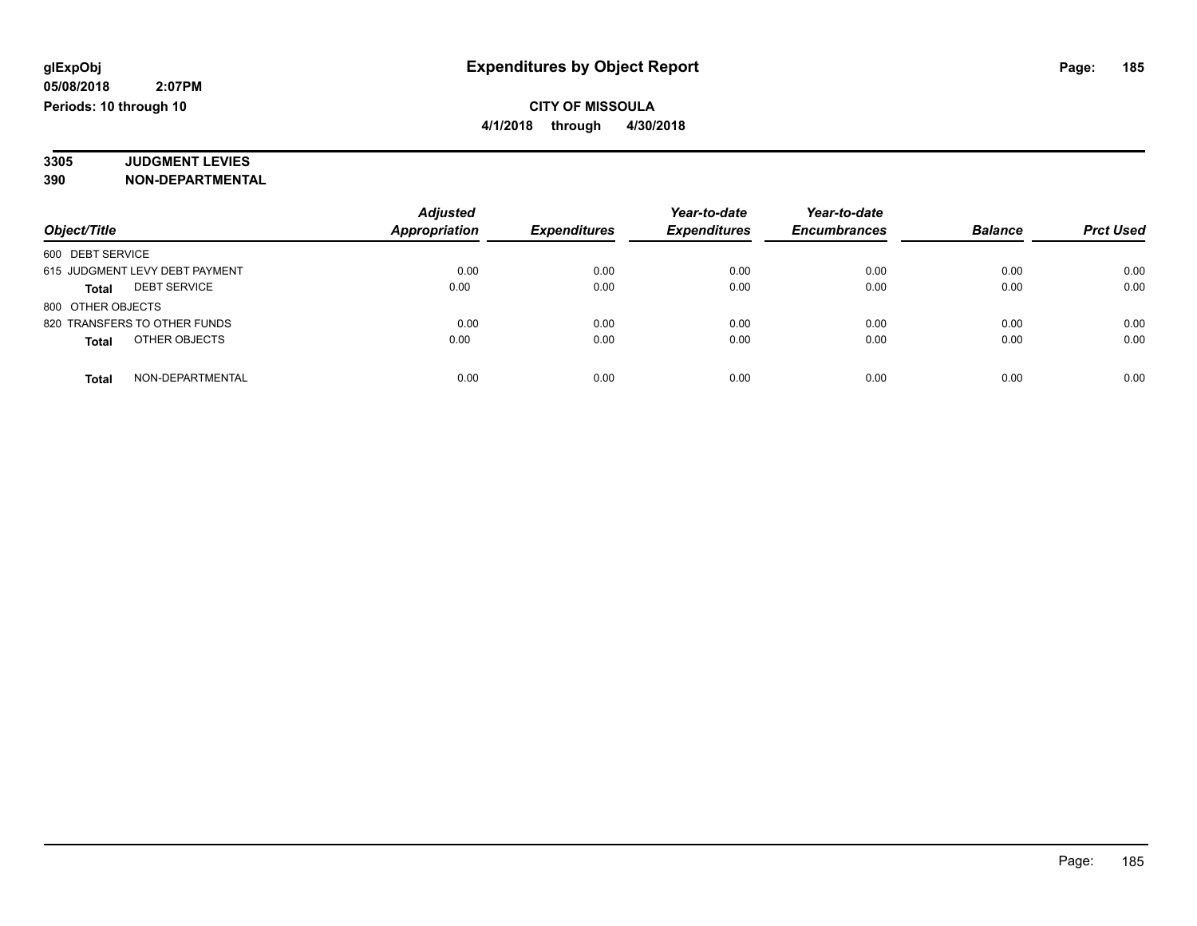#### **3305 JUDGMENT LEVIES 390 NON-DEPARTMENTAL**

|                                     | <b>Adjusted</b>      |                     | Year-to-date        | Year-to-date        |                |                  |
|-------------------------------------|----------------------|---------------------|---------------------|---------------------|----------------|------------------|
| Object/Title                        | <b>Appropriation</b> | <b>Expenditures</b> | <b>Expenditures</b> | <b>Encumbrances</b> | <b>Balance</b> | <b>Prct Used</b> |
| 600 DEBT SERVICE                    |                      |                     |                     |                     |                |                  |
| 615 JUDGMENT LEVY DEBT PAYMENT      | 0.00                 | 0.00                | 0.00                | 0.00                | 0.00           | 0.00             |
| <b>DEBT SERVICE</b><br><b>Total</b> | 0.00                 | 0.00                | 0.00                | 0.00                | 0.00           | 0.00             |
| 800 OTHER OBJECTS                   |                      |                     |                     |                     |                |                  |
| 820 TRANSFERS TO OTHER FUNDS        | 0.00                 | 0.00                | 0.00                | 0.00                | 0.00           | 0.00             |
| OTHER OBJECTS<br><b>Total</b>       | 0.00                 | 0.00                | 0.00                | 0.00                | 0.00           | 0.00             |
| NON-DEPARTMENTAL<br><b>Total</b>    | 0.00                 | 0.00                | 0.00                | 0.00                | 0.00           | 0.00             |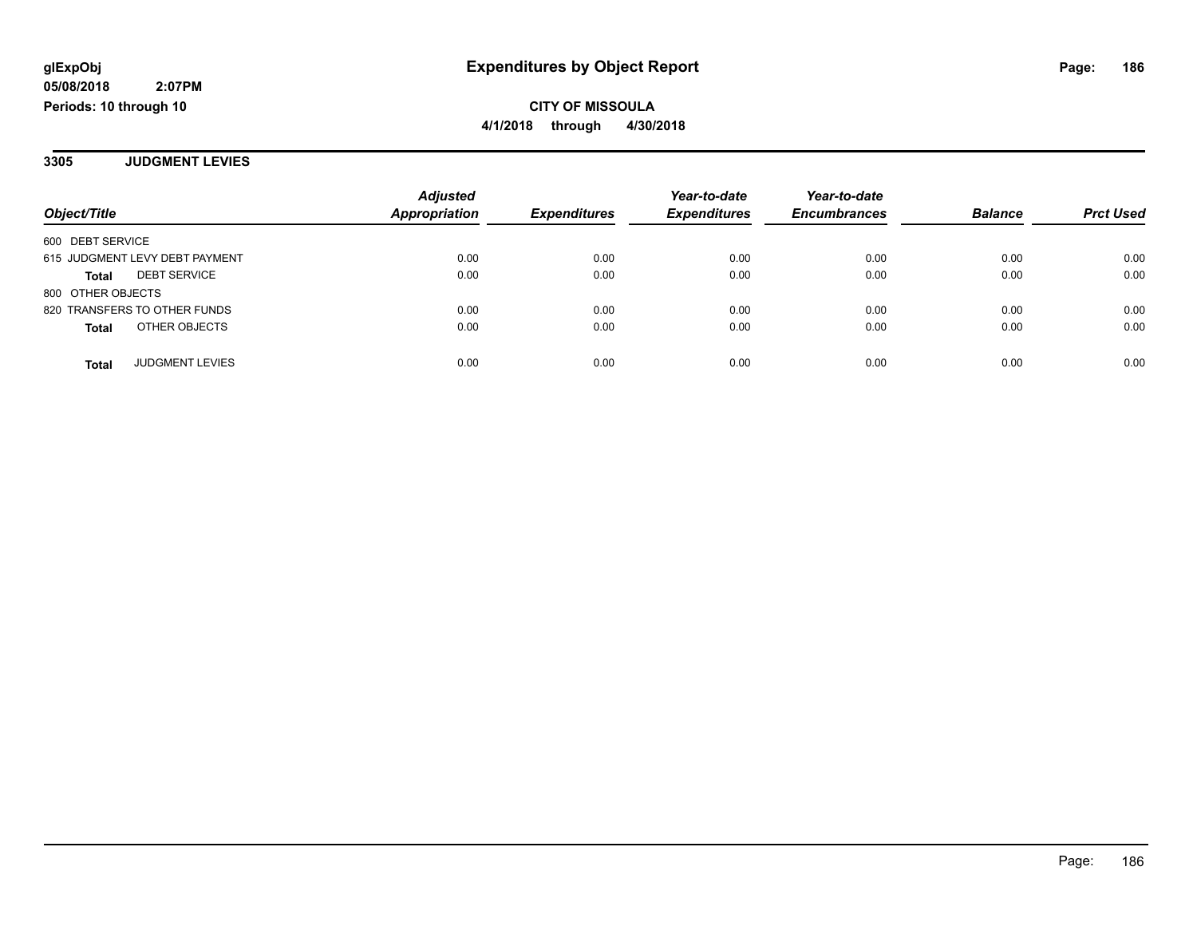**3305 JUDGMENT LEVIES**

|                                     | <b>Adjusted</b> |                     | Year-to-date        | Year-to-date        |                |                  |
|-------------------------------------|-----------------|---------------------|---------------------|---------------------|----------------|------------------|
| Object/Title                        | Appropriation   | <b>Expenditures</b> | <b>Expenditures</b> | <b>Encumbrances</b> | <b>Balance</b> | <b>Prct Used</b> |
| 600 DEBT SERVICE                    |                 |                     |                     |                     |                |                  |
| 615 JUDGMENT LEVY DEBT PAYMENT      | 0.00            | 0.00                | 0.00                | 0.00                | 0.00           | 0.00             |
| <b>DEBT SERVICE</b><br><b>Total</b> | 0.00            | 0.00                | 0.00                | 0.00                | 0.00           | 0.00             |
| 800 OTHER OBJECTS                   |                 |                     |                     |                     |                |                  |
| 820 TRANSFERS TO OTHER FUNDS        | 0.00            | 0.00                | 0.00                | 0.00                | 0.00           | 0.00             |
| OTHER OBJECTS<br><b>Total</b>       | 0.00            | 0.00                | 0.00                | 0.00                | 0.00           | 0.00             |
| <b>JUDGMENT LEVIES</b><br>Total     | 0.00            | 0.00                | 0.00                | 0.00                | 0.00           | 0.00             |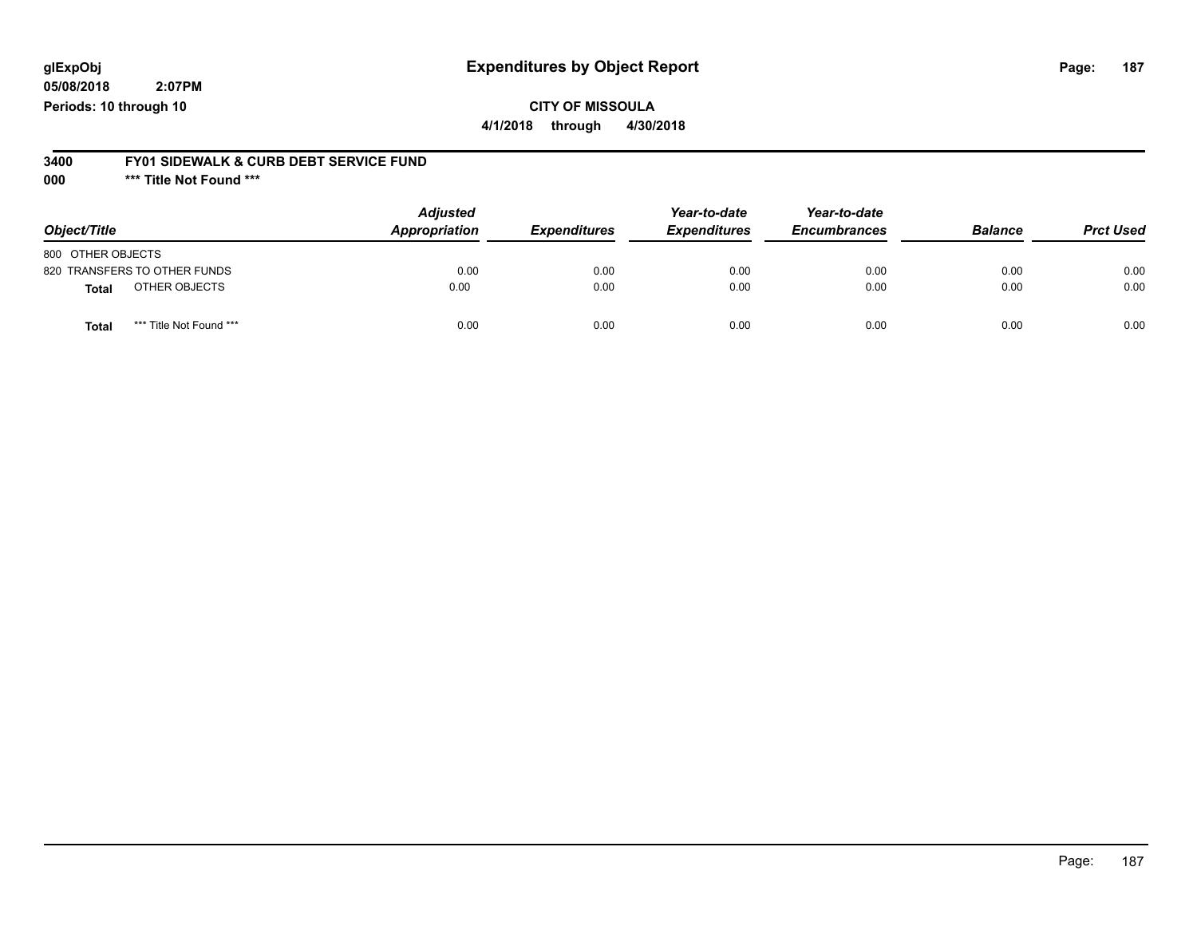## **glExpObj Expenditures by Object Report Page: 187**

**05/08/2018 2:07PM Periods: 10 through 10**

#### **3400 FY01 SIDEWALK & CURB DEBT SERVICE FUND**

**000 \*\*\* Title Not Found \*\*\***

| Object/Title                            | <b>Adjusted</b><br>Appropriation | <b>Expenditures</b> | Year-to-date<br><b>Expenditures</b> | Year-to-date<br><b>Encumbrances</b> | <b>Balance</b> | <b>Prct Used</b> |
|-----------------------------------------|----------------------------------|---------------------|-------------------------------------|-------------------------------------|----------------|------------------|
| 800 OTHER OBJECTS                       |                                  |                     |                                     |                                     |                |                  |
| 820 TRANSFERS TO OTHER FUNDS            | 0.00                             | 0.00                | 0.00                                | 0.00                                | 0.00           | 0.00             |
| OTHER OBJECTS<br><b>Total</b>           | 0.00                             | 0.00                | 0.00                                | 0.00                                | 0.00           | 0.00             |
| *** Title Not Found ***<br><b>Total</b> | 0.00                             | 0.00                | 0.00                                | 0.00                                | 0.00           | 0.00             |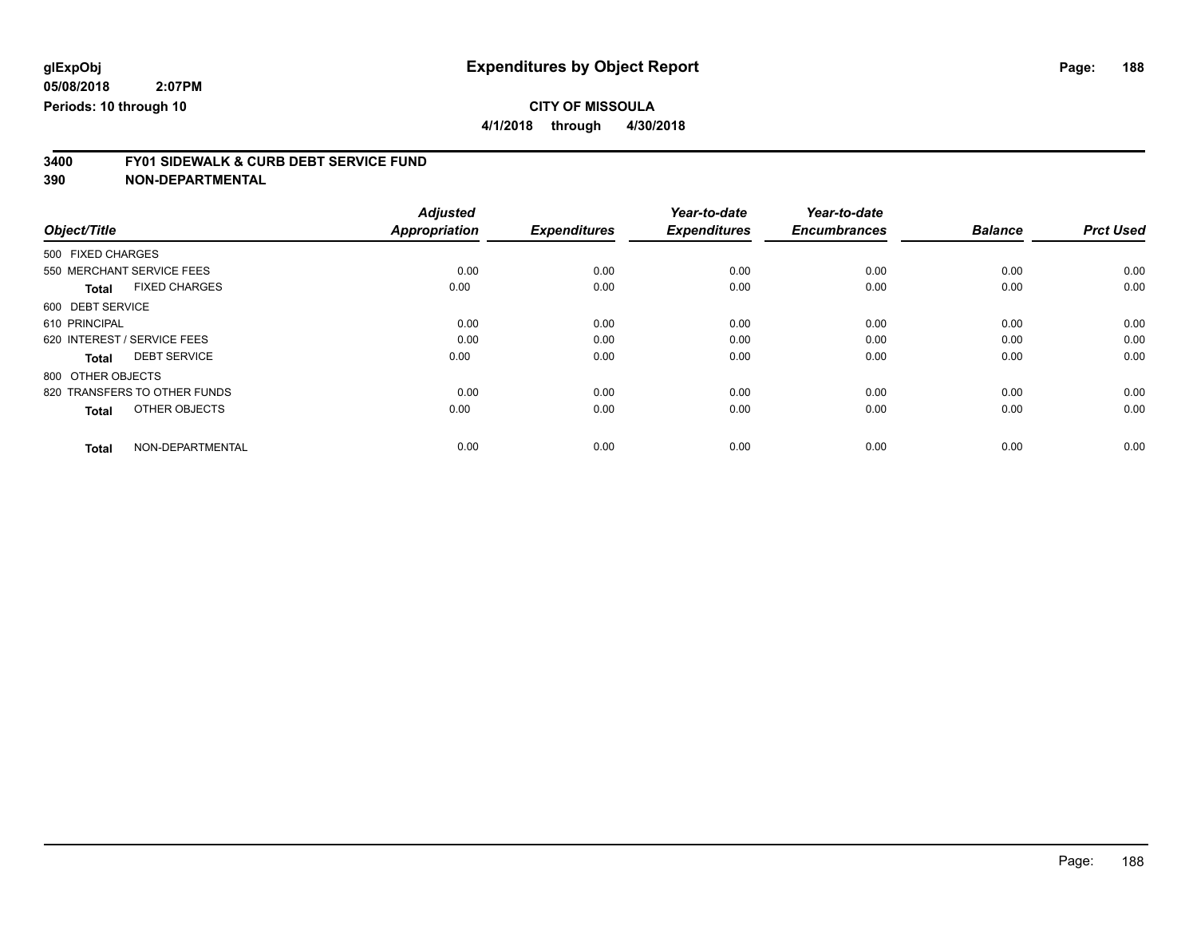# **CITY OF MISSOULA**

**4/1/2018 through 4/30/2018**

# **3400 FY01 SIDEWALK & CURB DEBT SERVICE FUND**

|                                      | <b>Adjusted</b>      |                     | Year-to-date        | Year-to-date        |                |                  |
|--------------------------------------|----------------------|---------------------|---------------------|---------------------|----------------|------------------|
| Object/Title                         | <b>Appropriation</b> | <b>Expenditures</b> | <b>Expenditures</b> | <b>Encumbrances</b> | <b>Balance</b> | <b>Prct Used</b> |
| 500 FIXED CHARGES                    |                      |                     |                     |                     |                |                  |
| 550 MERCHANT SERVICE FEES            | 0.00                 | 0.00                | 0.00                | 0.00                | 0.00           | 0.00             |
| <b>FIXED CHARGES</b><br><b>Total</b> | 0.00                 | 0.00                | 0.00                | 0.00                | 0.00           | 0.00             |
| 600 DEBT SERVICE                     |                      |                     |                     |                     |                |                  |
| 610 PRINCIPAL                        | 0.00                 | 0.00                | 0.00                | 0.00                | 0.00           | 0.00             |
| 620 INTEREST / SERVICE FEES          | 0.00                 | 0.00                | 0.00                | 0.00                | 0.00           | 0.00             |
| <b>DEBT SERVICE</b><br><b>Total</b>  | 0.00                 | 0.00                | 0.00                | 0.00                | 0.00           | 0.00             |
| 800 OTHER OBJECTS                    |                      |                     |                     |                     |                |                  |
| 820 TRANSFERS TO OTHER FUNDS         | 0.00                 | 0.00                | 0.00                | 0.00                | 0.00           | 0.00             |
| OTHER OBJECTS<br><b>Total</b>        | 0.00                 | 0.00                | 0.00                | 0.00                | 0.00           | 0.00             |
|                                      |                      |                     |                     |                     |                |                  |
| NON-DEPARTMENTAL<br><b>Total</b>     | 0.00                 | 0.00                | 0.00                | 0.00                | 0.00           | 0.00             |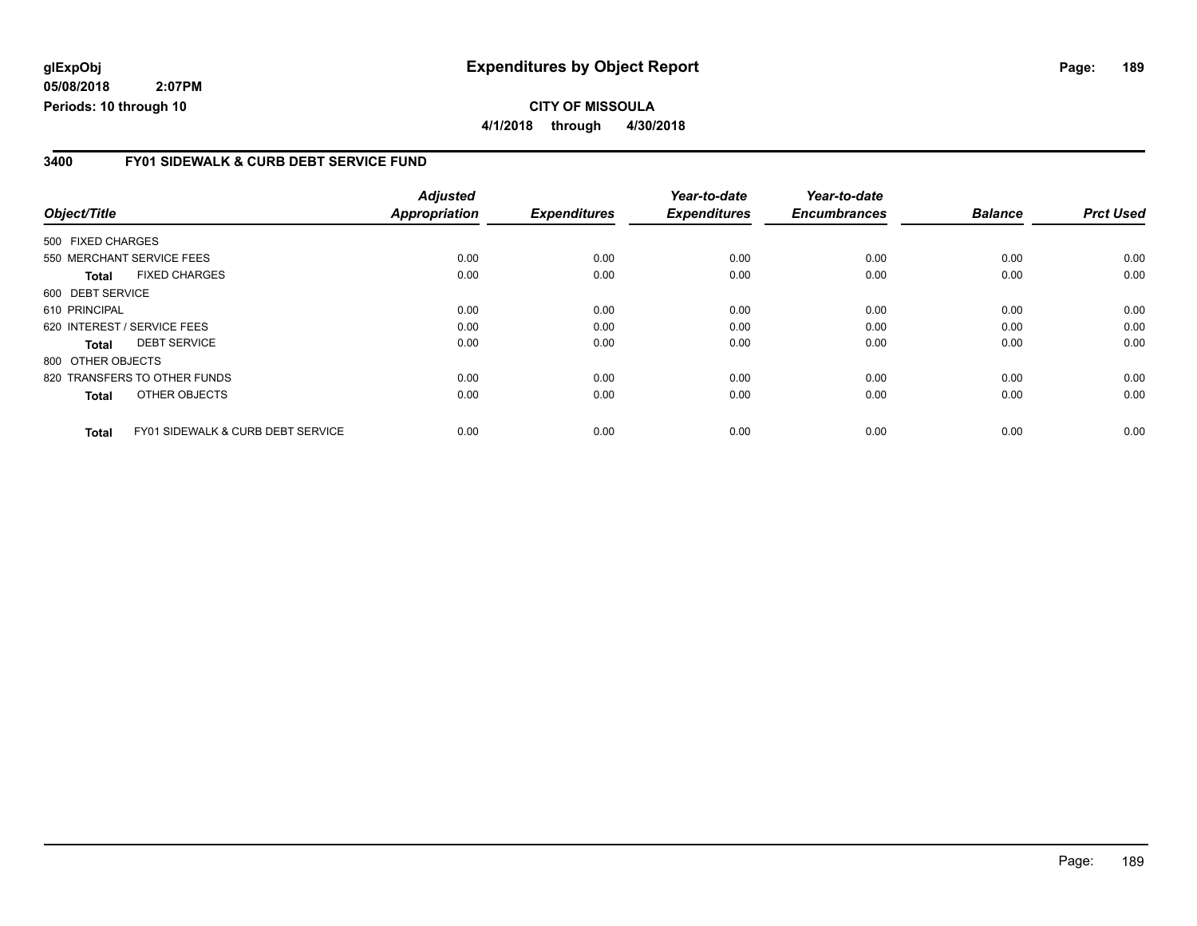#### **3400 FY01 SIDEWALK & CURB DEBT SERVICE FUND**

|                              |                                              | <b>Adjusted</b>      |                     | Year-to-date        | Year-to-date        |                |                  |
|------------------------------|----------------------------------------------|----------------------|---------------------|---------------------|---------------------|----------------|------------------|
| Object/Title                 |                                              | <b>Appropriation</b> | <b>Expenditures</b> | <b>Expenditures</b> | <b>Encumbrances</b> | <b>Balance</b> | <b>Prct Used</b> |
| 500 FIXED CHARGES            |                                              |                      |                     |                     |                     |                |                  |
| 550 MERCHANT SERVICE FEES    |                                              | 0.00                 | 0.00                | 0.00                | 0.00                | 0.00           | 0.00             |
| <b>Total</b>                 | <b>FIXED CHARGES</b>                         | 0.00                 | 0.00                | 0.00                | 0.00                | 0.00           | 0.00             |
| 600 DEBT SERVICE             |                                              |                      |                     |                     |                     |                |                  |
| 610 PRINCIPAL                |                                              | 0.00                 | 0.00                | 0.00                | 0.00                | 0.00           | 0.00             |
| 620 INTEREST / SERVICE FEES  |                                              | 0.00                 | 0.00                | 0.00                | 0.00                | 0.00           | 0.00             |
| <b>Total</b>                 | <b>DEBT SERVICE</b>                          | 0.00                 | 0.00                | 0.00                | 0.00                | 0.00           | 0.00             |
| 800 OTHER OBJECTS            |                                              |                      |                     |                     |                     |                |                  |
| 820 TRANSFERS TO OTHER FUNDS |                                              | 0.00                 | 0.00                | 0.00                | 0.00                | 0.00           | 0.00             |
| <b>Total</b>                 | OTHER OBJECTS                                | 0.00                 | 0.00                | 0.00                | 0.00                | 0.00           | 0.00             |
| <b>Total</b>                 | <b>FY01 SIDEWALK &amp; CURB DEBT SERVICE</b> | 0.00                 | 0.00                | 0.00                | 0.00                | 0.00           | 0.00             |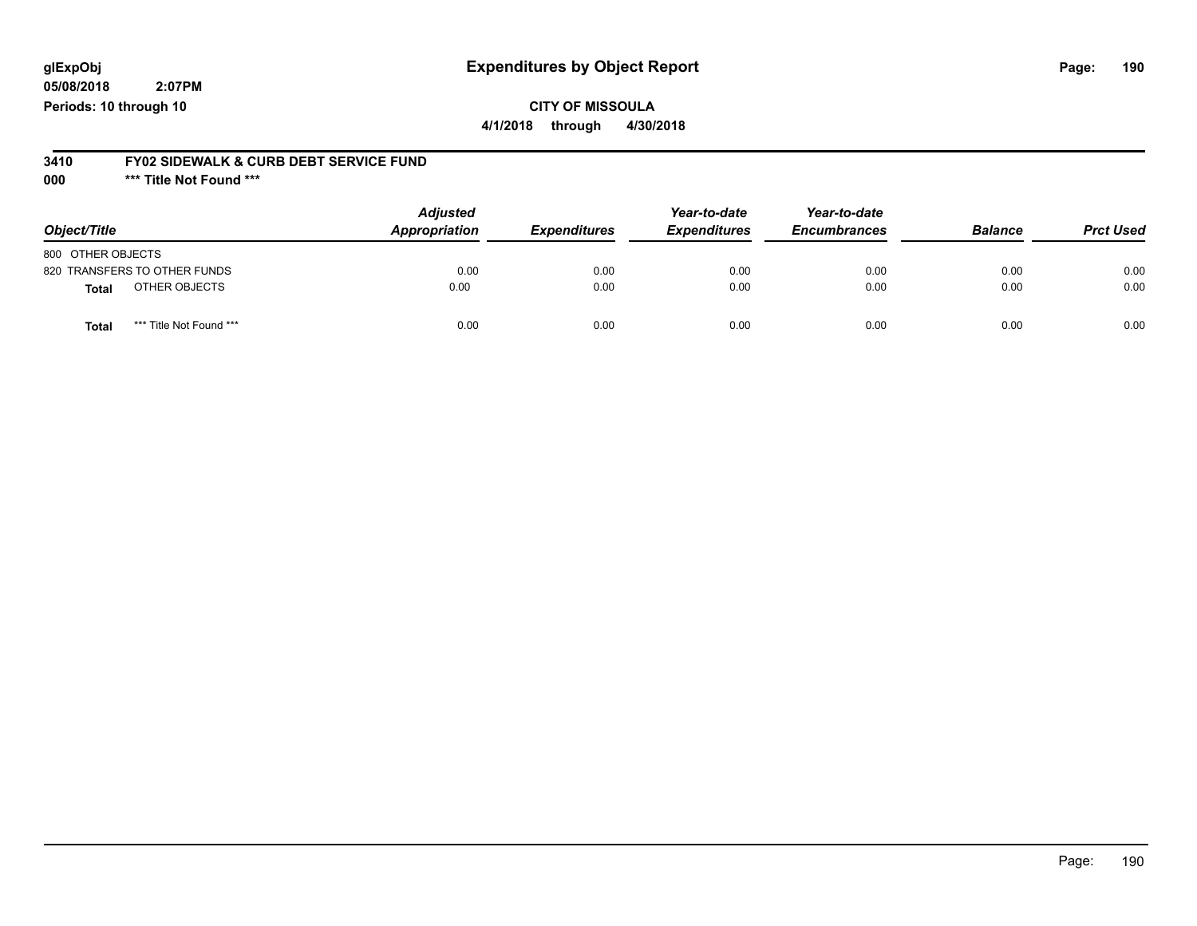# **glExpObj Expenditures by Object Report Page: 190**

**05/08/2018 2:07PM Periods: 10 through 10**

#### **3410 FY02 SIDEWALK & CURB DEBT SERVICE FUND**

**000 \*\*\* Title Not Found \*\*\***

| Object/Title                            | <b>Adjusted</b><br>Appropriation | <b>Expenditures</b> | Year-to-date<br><b>Expenditures</b> | Year-to-date<br><b>Encumbrances</b> | <b>Balance</b> | <b>Prct Used</b> |
|-----------------------------------------|----------------------------------|---------------------|-------------------------------------|-------------------------------------|----------------|------------------|
| 800 OTHER OBJECTS                       |                                  |                     |                                     |                                     |                |                  |
| 820 TRANSFERS TO OTHER FUNDS            | 0.00                             | 0.00                | 0.00                                | 0.00                                | 0.00           | 0.00             |
| OTHER OBJECTS<br>Total                  | 0.00                             | 0.00                | 0.00                                | 0.00                                | 0.00           | 0.00             |
| *** Title Not Found ***<br><b>Total</b> | 0.00                             | 0.00                | 0.00                                | 0.00                                | 0.00           | 0.00             |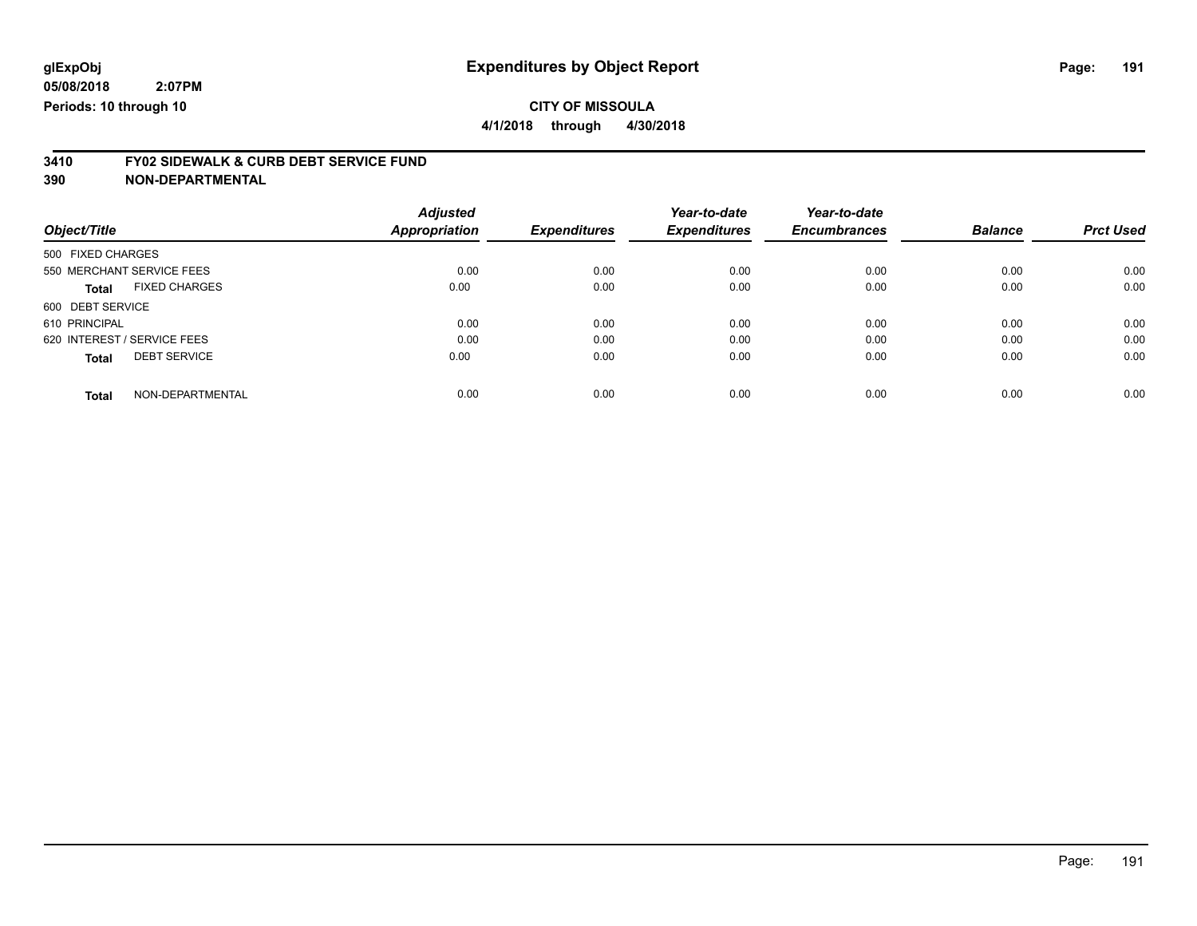# **CITY OF MISSOULA**

**4/1/2018 through 4/30/2018**

# **3410 FY02 SIDEWALK & CURB DEBT SERVICE FUND**

|                             |                      | <b>Adjusted</b>      |                     | Year-to-date        | Year-to-date        |                |                  |
|-----------------------------|----------------------|----------------------|---------------------|---------------------|---------------------|----------------|------------------|
| Object/Title                |                      | <b>Appropriation</b> | <b>Expenditures</b> | <b>Expenditures</b> | <b>Encumbrances</b> | <b>Balance</b> | <b>Prct Used</b> |
| 500 FIXED CHARGES           |                      |                      |                     |                     |                     |                |                  |
| 550 MERCHANT SERVICE FEES   |                      | 0.00                 | 0.00                | 0.00                | 0.00                | 0.00           | 0.00             |
| <b>Total</b>                | <b>FIXED CHARGES</b> | 0.00                 | 0.00                | 0.00                | 0.00                | 0.00           | 0.00             |
| 600 DEBT SERVICE            |                      |                      |                     |                     |                     |                |                  |
| 610 PRINCIPAL               |                      | 0.00                 | 0.00                | 0.00                | 0.00                | 0.00           | 0.00             |
| 620 INTEREST / SERVICE FEES |                      | 0.00                 | 0.00                | 0.00                | 0.00                | 0.00           | 0.00             |
| <b>Total</b>                | <b>DEBT SERVICE</b>  | 0.00                 | 0.00                | 0.00                | 0.00                | 0.00           | 0.00             |
| <b>Total</b>                | NON-DEPARTMENTAL     | 0.00                 | 0.00                | 0.00                | 0.00                | 0.00           | 0.00             |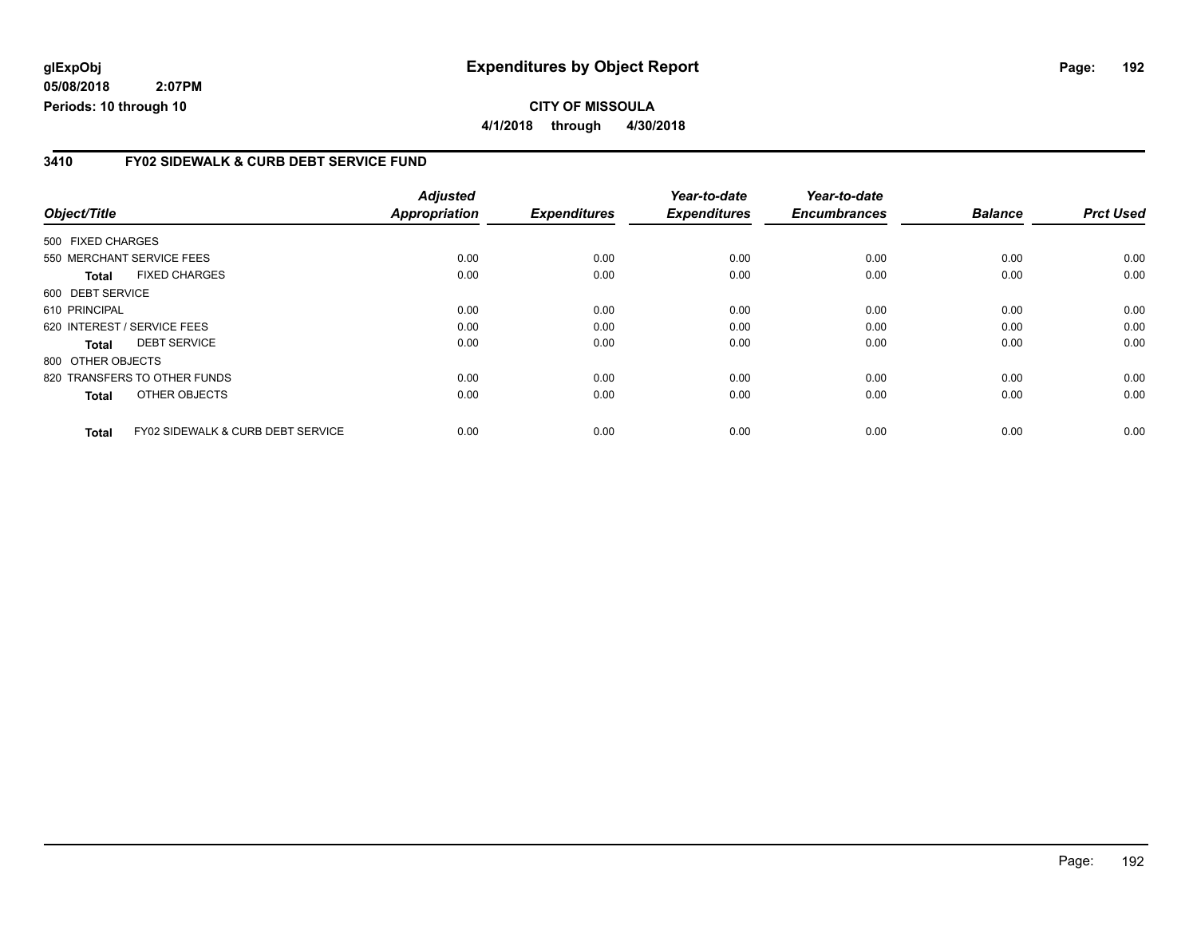#### **3410 FY02 SIDEWALK & CURB DEBT SERVICE FUND**

|                             |                                              | <b>Adjusted</b>      |                     | Year-to-date        | Year-to-date        |                |                  |
|-----------------------------|----------------------------------------------|----------------------|---------------------|---------------------|---------------------|----------------|------------------|
| Object/Title                |                                              | <b>Appropriation</b> | <b>Expenditures</b> | <b>Expenditures</b> | <b>Encumbrances</b> | <b>Balance</b> | <b>Prct Used</b> |
| 500 FIXED CHARGES           |                                              |                      |                     |                     |                     |                |                  |
| 550 MERCHANT SERVICE FEES   |                                              | 0.00                 | 0.00                | 0.00                | 0.00                | 0.00           | 0.00             |
| Total                       | <b>FIXED CHARGES</b>                         | 0.00                 | 0.00                | 0.00                | 0.00                | 0.00           | 0.00             |
| 600 DEBT SERVICE            |                                              |                      |                     |                     |                     |                |                  |
| 610 PRINCIPAL               |                                              | 0.00                 | 0.00                | 0.00                | 0.00                | 0.00           | 0.00             |
| 620 INTEREST / SERVICE FEES |                                              | 0.00                 | 0.00                | 0.00                | 0.00                | 0.00           | 0.00             |
| <b>Total</b>                | <b>DEBT SERVICE</b>                          | 0.00                 | 0.00                | 0.00                | 0.00                | 0.00           | 0.00             |
| 800 OTHER OBJECTS           |                                              |                      |                     |                     |                     |                |                  |
|                             | 820 TRANSFERS TO OTHER FUNDS                 | 0.00                 | 0.00                | 0.00                | 0.00                | 0.00           | 0.00             |
| <b>Total</b>                | OTHER OBJECTS                                | 0.00                 | 0.00                | 0.00                | 0.00                | 0.00           | 0.00             |
| <b>Total</b>                | <b>FY02 SIDEWALK &amp; CURB DEBT SERVICE</b> | 0.00                 | 0.00                | 0.00                | 0.00                | 0.00           | 0.00             |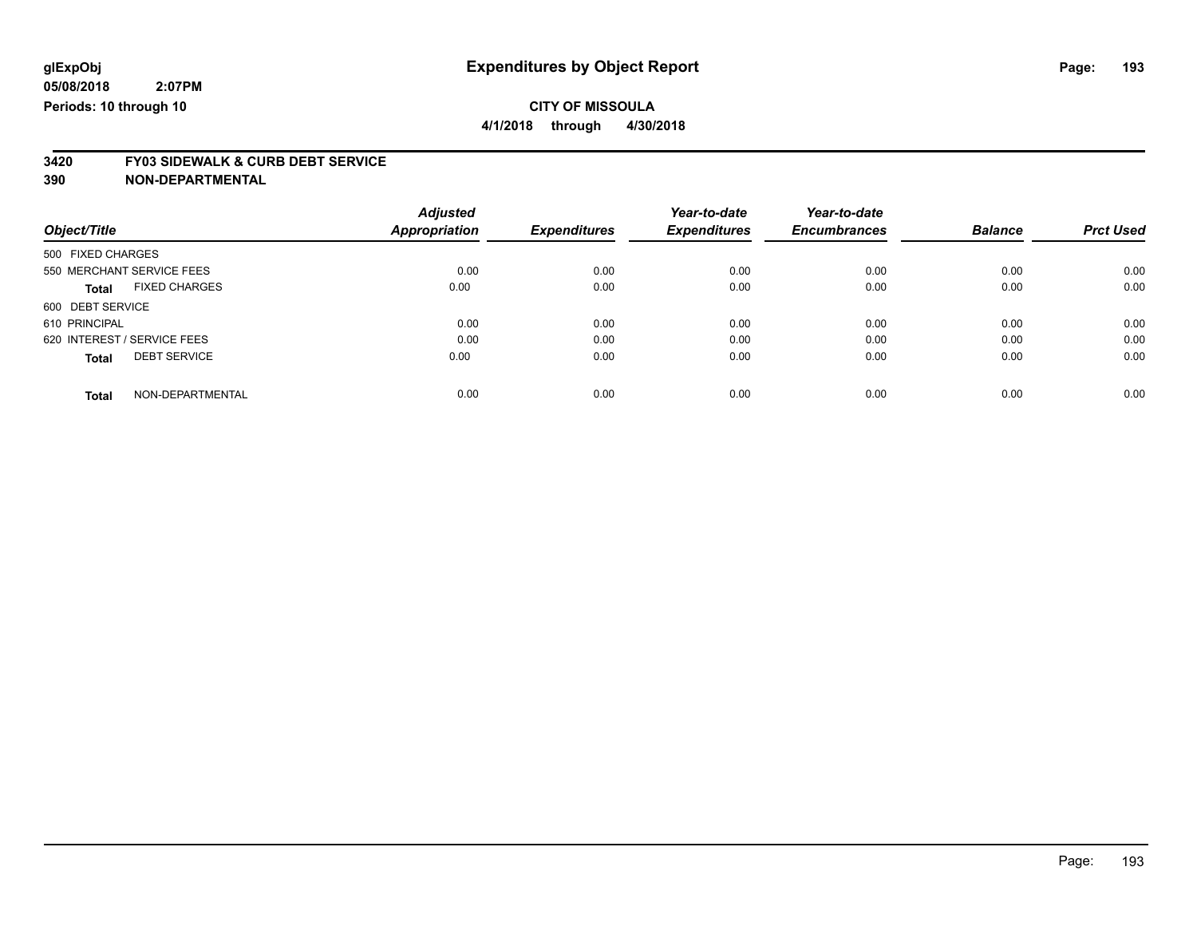# **3420 FY03 SIDEWALK & CURB DEBT SERVICE**

|                                      | <b>Adjusted</b>      |                     | Year-to-date        | Year-to-date        |                |                  |
|--------------------------------------|----------------------|---------------------|---------------------|---------------------|----------------|------------------|
| Object/Title                         | <b>Appropriation</b> | <b>Expenditures</b> | <b>Expenditures</b> | <b>Encumbrances</b> | <b>Balance</b> | <b>Prct Used</b> |
| 500 FIXED CHARGES                    |                      |                     |                     |                     |                |                  |
| 550 MERCHANT SERVICE FEES            | 0.00                 | 0.00                | 0.00                | 0.00                | 0.00           | 0.00             |
| <b>FIXED CHARGES</b><br><b>Total</b> | 0.00                 | 0.00                | 0.00                | 0.00                | 0.00           | 0.00             |
| 600 DEBT SERVICE                     |                      |                     |                     |                     |                |                  |
| 610 PRINCIPAL                        | 0.00                 | 0.00                | 0.00                | 0.00                | 0.00           | 0.00             |
| 620 INTEREST / SERVICE FEES          | 0.00                 | 0.00                | 0.00                | 0.00                | 0.00           | 0.00             |
| <b>DEBT SERVICE</b><br><b>Total</b>  | 0.00                 | 0.00                | 0.00                | 0.00                | 0.00           | 0.00             |
| NON-DEPARTMENTAL<br><b>Total</b>     | 0.00                 | 0.00                | 0.00                | 0.00                | 0.00           | 0.00             |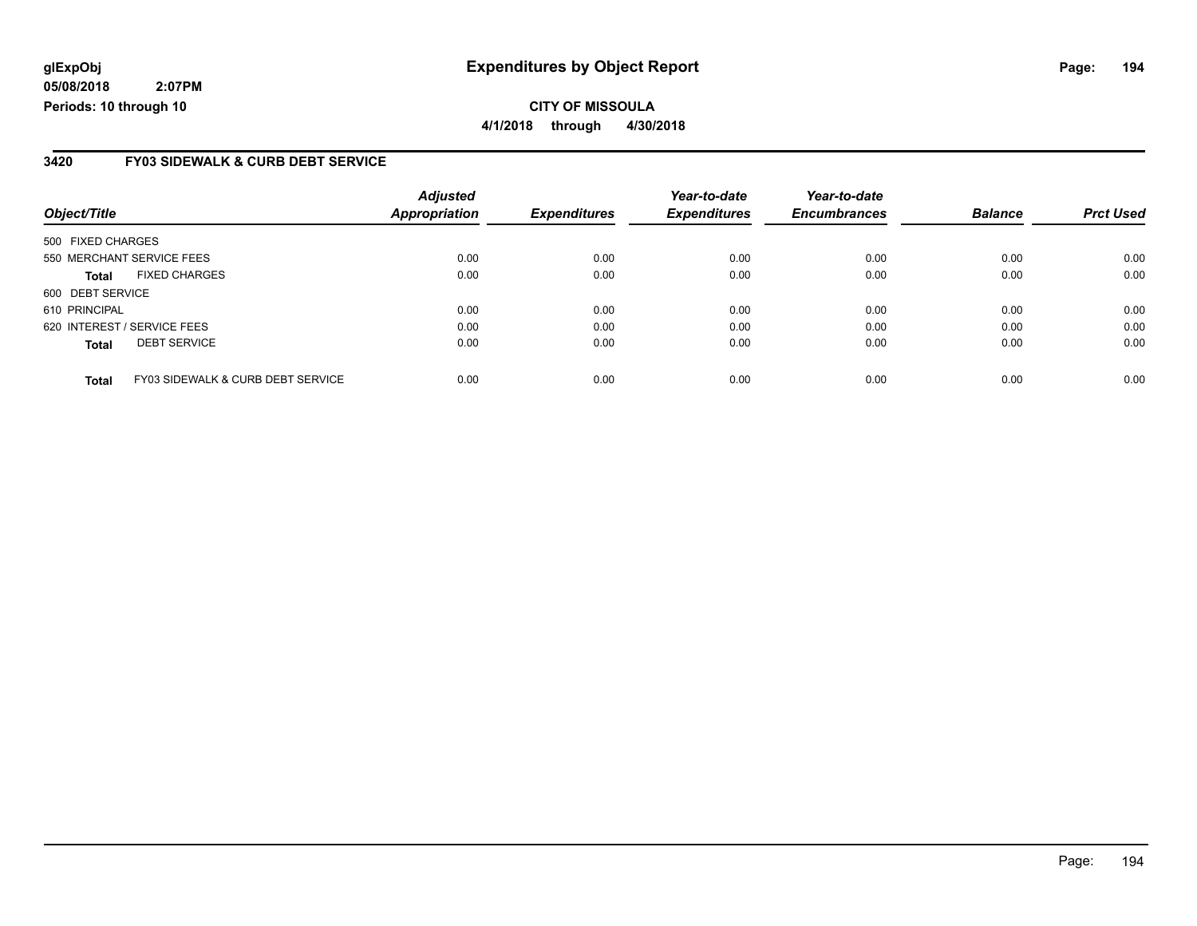**CITY OF MISSOULA 4/1/2018 through 4/30/2018**

#### **3420 FY03 SIDEWALK & CURB DEBT SERVICE**

| Object/Title                |                                   | <b>Adjusted</b><br><b>Appropriation</b> | <b>Expenditures</b> | Year-to-date<br><b>Expenditures</b> | Year-to-date<br><b>Encumbrances</b> | <b>Balance</b> | <b>Prct Used</b> |
|-----------------------------|-----------------------------------|-----------------------------------------|---------------------|-------------------------------------|-------------------------------------|----------------|------------------|
|                             |                                   |                                         |                     |                                     |                                     |                |                  |
| 500 FIXED CHARGES           |                                   |                                         |                     |                                     |                                     |                |                  |
| 550 MERCHANT SERVICE FEES   |                                   | 0.00                                    | 0.00                | 0.00                                | 0.00                                | 0.00           | 0.00             |
| <b>Total</b>                | <b>FIXED CHARGES</b>              | 0.00                                    | 0.00                | 0.00                                | 0.00                                | 0.00           | 0.00             |
| 600 DEBT SERVICE            |                                   |                                         |                     |                                     |                                     |                |                  |
| 610 PRINCIPAL               |                                   | 0.00                                    | 0.00                | 0.00                                | 0.00                                | 0.00           | 0.00             |
| 620 INTEREST / SERVICE FEES |                                   | 0.00                                    | 0.00                | 0.00                                | 0.00                                | 0.00           | 0.00             |
| <b>Total</b>                | <b>DEBT SERVICE</b>               | 0.00                                    | 0.00                | 0.00                                | 0.00                                | 0.00           | 0.00             |
| <b>Total</b>                | FY03 SIDEWALK & CURB DEBT SERVICE | 0.00                                    | 0.00                | 0.00                                | 0.00                                | 0.00           | 0.00             |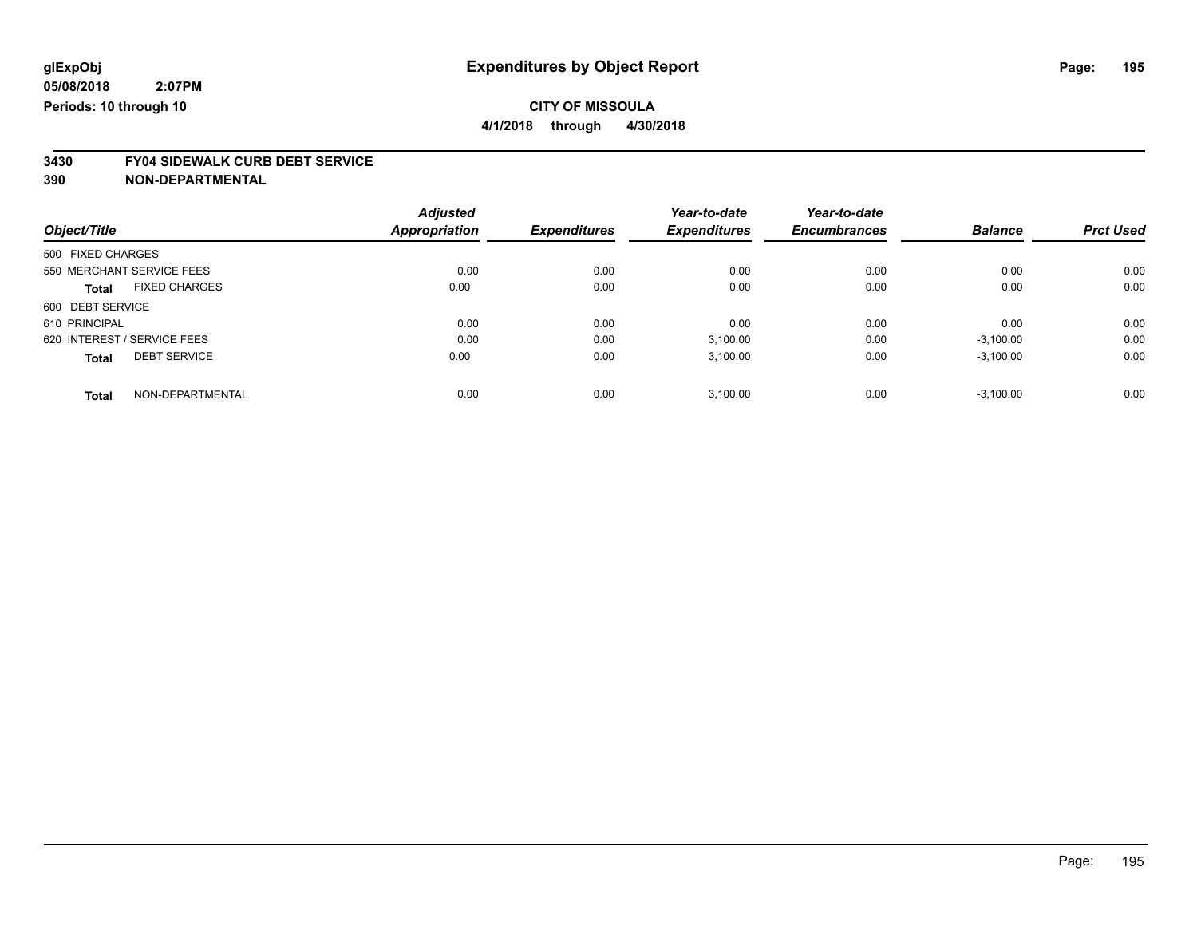# **3430 FY04 SIDEWALK CURB DEBT SERVICE**

|                                      | <b>Adjusted</b><br><b>Appropriation</b> | <b>Expenditures</b> | Year-to-date<br><b>Expenditures</b> | Year-to-date<br><b>Encumbrances</b> | <b>Balance</b> | <b>Prct Used</b> |
|--------------------------------------|-----------------------------------------|---------------------|-------------------------------------|-------------------------------------|----------------|------------------|
| Object/Title                         |                                         |                     |                                     |                                     |                |                  |
| 500 FIXED CHARGES                    |                                         |                     |                                     |                                     |                |                  |
| 550 MERCHANT SERVICE FEES            | 0.00                                    | 0.00                | 0.00                                | 0.00                                | 0.00           | 0.00             |
| <b>FIXED CHARGES</b><br><b>Total</b> | 0.00                                    | 0.00                | 0.00                                | 0.00                                | 0.00           | 0.00             |
| 600 DEBT SERVICE                     |                                         |                     |                                     |                                     |                |                  |
| 610 PRINCIPAL                        | 0.00                                    | 0.00                | 0.00                                | 0.00                                | 0.00           | 0.00             |
| 620 INTEREST / SERVICE FEES          | 0.00                                    | 0.00                | 3,100.00                            | 0.00                                | $-3,100.00$    | 0.00             |
| <b>DEBT SERVICE</b><br><b>Total</b>  | 0.00                                    | 0.00                | 3,100.00                            | 0.00                                | $-3,100.00$    | 0.00             |
| NON-DEPARTMENTAL<br><b>Total</b>     | 0.00                                    | 0.00                | 3.100.00                            | 0.00                                | $-3.100.00$    | 0.00             |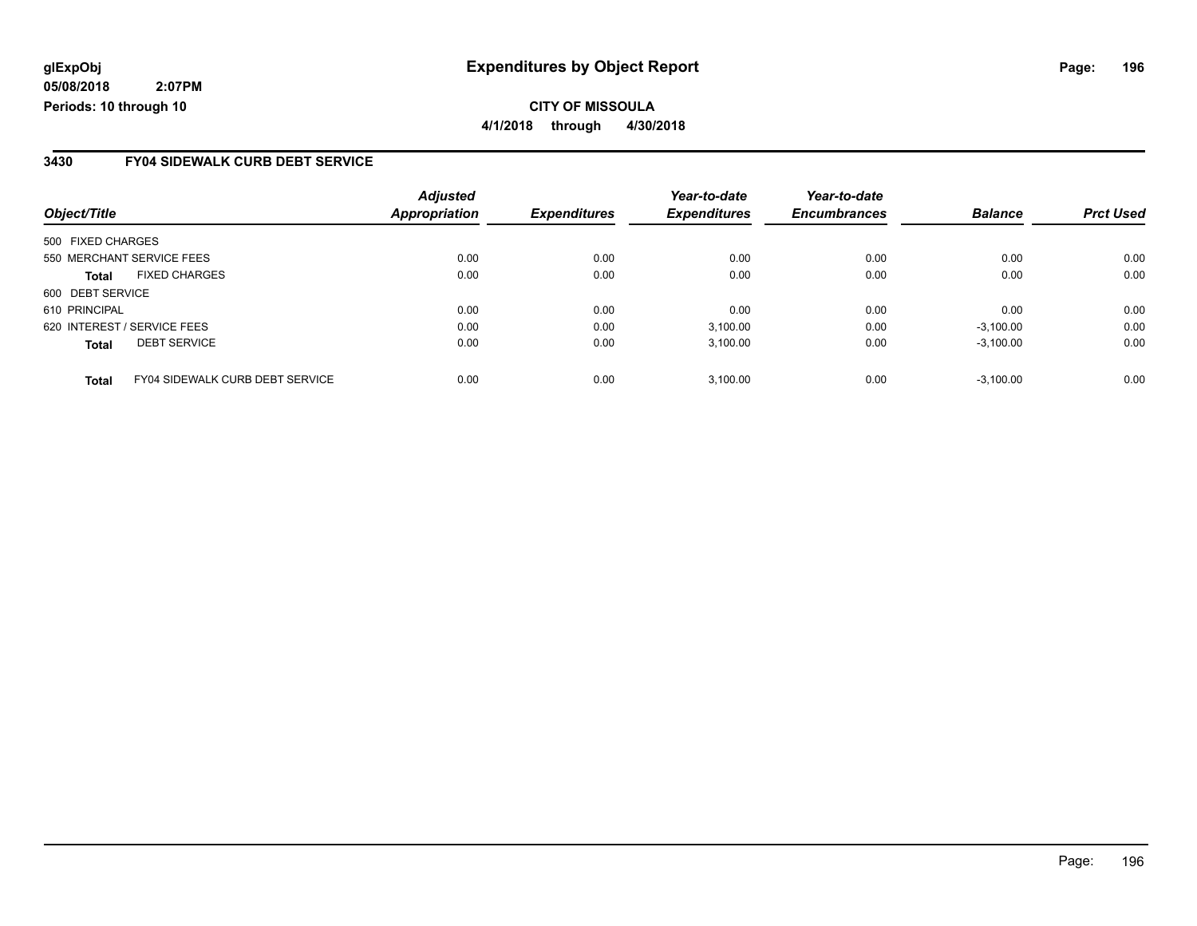**CITY OF MISSOULA 4/1/2018 through 4/30/2018**

#### **3430 FY04 SIDEWALK CURB DEBT SERVICE**

| Object/Title                                           | <b>Adjusted</b><br><b>Appropriation</b> | <b>Expenditures</b> | Year-to-date<br><b>Expenditures</b> | Year-to-date<br><b>Encumbrances</b> | <b>Balance</b> | <b>Prct Used</b> |
|--------------------------------------------------------|-----------------------------------------|---------------------|-------------------------------------|-------------------------------------|----------------|------------------|
|                                                        |                                         |                     |                                     |                                     |                |                  |
| 500 FIXED CHARGES                                      |                                         |                     |                                     |                                     |                |                  |
| 550 MERCHANT SERVICE FEES                              | 0.00                                    | 0.00                | 0.00                                | 0.00                                | 0.00           | 0.00             |
| <b>FIXED CHARGES</b><br><b>Total</b>                   | 0.00                                    | 0.00                | 0.00                                | 0.00                                | 0.00           | 0.00             |
| 600 DEBT SERVICE                                       |                                         |                     |                                     |                                     |                |                  |
| 610 PRINCIPAL                                          | 0.00                                    | 0.00                | 0.00                                | 0.00                                | 0.00           | 0.00             |
| 620 INTEREST / SERVICE FEES                            | 0.00                                    | 0.00                | 3.100.00                            | 0.00                                | $-3.100.00$    | 0.00             |
| <b>DEBT SERVICE</b><br><b>Total</b>                    | 0.00                                    | 0.00                | 3,100.00                            | 0.00                                | $-3,100.00$    | 0.00             |
| <b>FY04 SIDEWALK CURB DEBT SERVICE</b><br><b>Total</b> | 0.00                                    | 0.00                | 3,100.00                            | 0.00                                | $-3.100.00$    | 0.00             |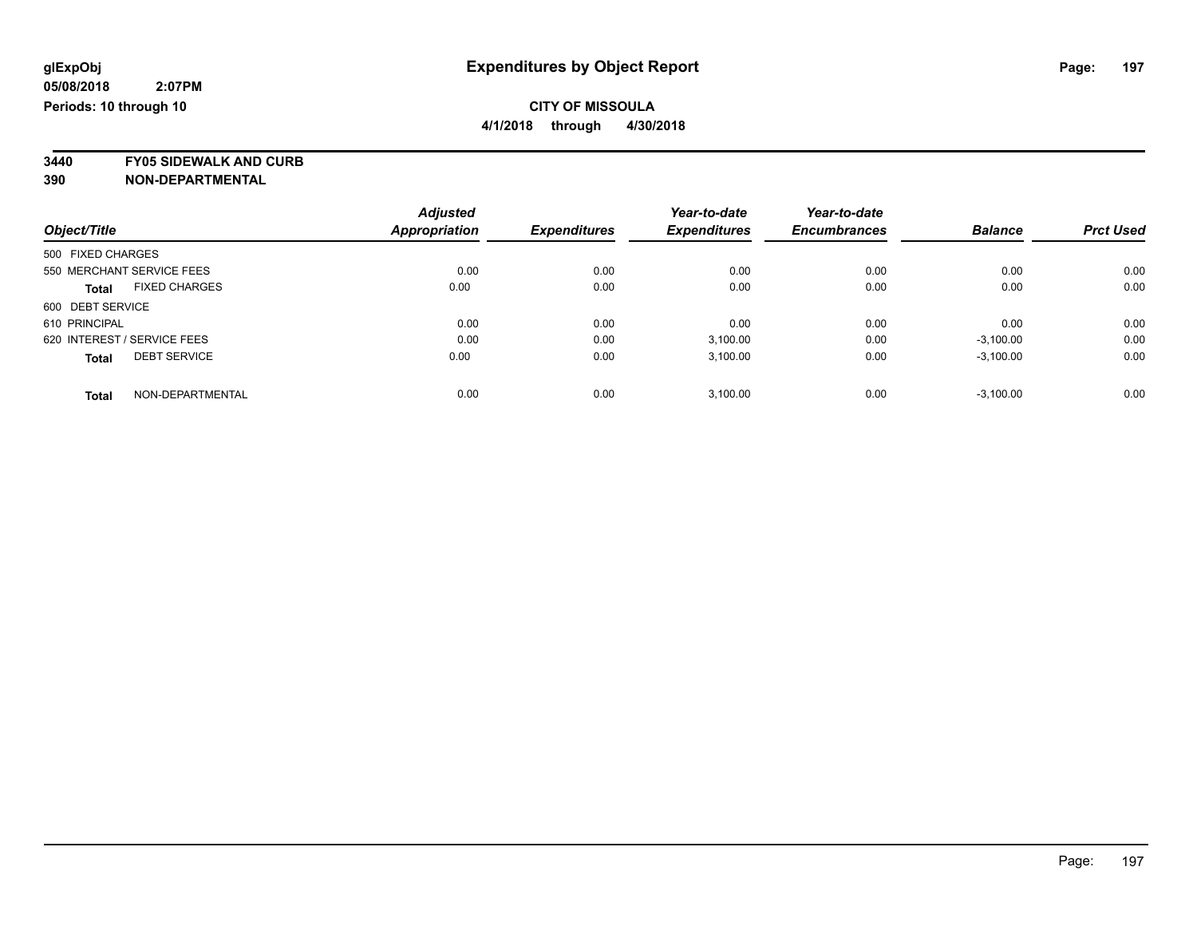**3440 FY05 SIDEWALK AND CURB**

|                                      | <b>Adjusted</b>      | <b>Expenditures</b> | Year-to-date<br><b>Expenditures</b> | Year-to-date        | <b>Balance</b> | <b>Prct Used</b> |
|--------------------------------------|----------------------|---------------------|-------------------------------------|---------------------|----------------|------------------|
| Object/Title                         | <b>Appropriation</b> |                     |                                     | <b>Encumbrances</b> |                |                  |
| 500 FIXED CHARGES                    |                      |                     |                                     |                     |                |                  |
| 550 MERCHANT SERVICE FEES            | 0.00                 | 0.00                | 0.00                                | 0.00                | 0.00           | 0.00             |
| <b>FIXED CHARGES</b><br><b>Total</b> | 0.00                 | 0.00                | 0.00                                | 0.00                | 0.00           | 0.00             |
| 600 DEBT SERVICE                     |                      |                     |                                     |                     |                |                  |
| 610 PRINCIPAL                        | 0.00                 | 0.00                | 0.00                                | 0.00                | 0.00           | 0.00             |
| 620 INTEREST / SERVICE FEES          | 0.00                 | 0.00                | 3,100.00                            | 0.00                | $-3.100.00$    | 0.00             |
| <b>DEBT SERVICE</b><br><b>Total</b>  | 0.00                 | 0.00                | 3.100.00                            | 0.00                | $-3,100.00$    | 0.00             |
| NON-DEPARTMENTAL<br><b>Total</b>     | 0.00                 | 0.00                | 3,100.00                            | 0.00                | $-3.100.00$    | 0.00             |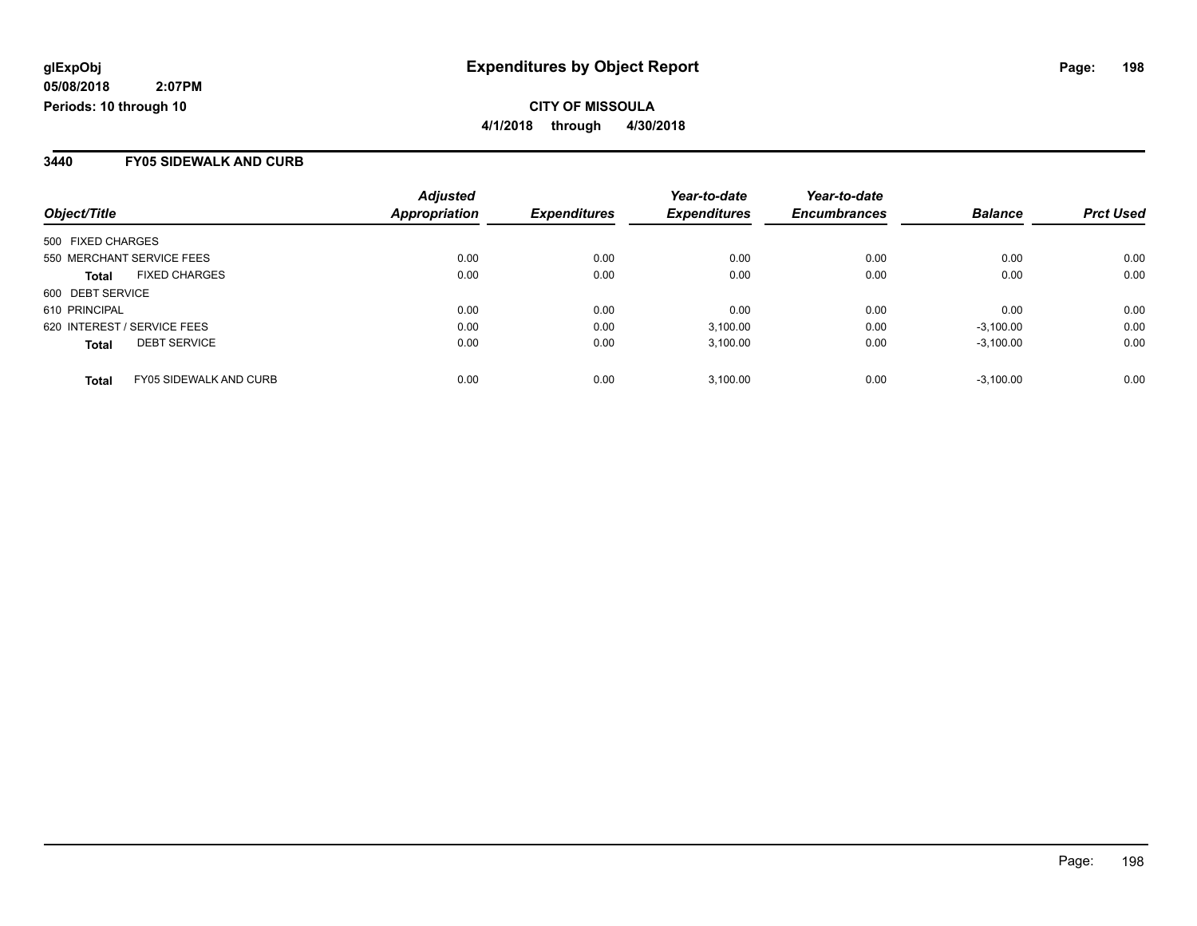#### **3440 FY05 SIDEWALK AND CURB**

| Object/Title                                  | <b>Adjusted</b><br>Appropriation | <b>Expenditures</b> | Year-to-date<br><b>Expenditures</b> | Year-to-date<br><b>Encumbrances</b> | <b>Balance</b> | <b>Prct Used</b> |
|-----------------------------------------------|----------------------------------|---------------------|-------------------------------------|-------------------------------------|----------------|------------------|
| 500 FIXED CHARGES                             |                                  |                     |                                     |                                     |                |                  |
| 550 MERCHANT SERVICE FEES                     | 0.00                             | 0.00                | 0.00                                | 0.00                                | 0.00           | 0.00             |
| <b>FIXED CHARGES</b><br><b>Total</b>          | 0.00                             | 0.00                | 0.00                                | 0.00                                | 0.00           | 0.00             |
| 600 DEBT SERVICE                              |                                  |                     |                                     |                                     |                |                  |
| 610 PRINCIPAL                                 | 0.00                             | 0.00                | 0.00                                | 0.00                                | 0.00           | 0.00             |
| 620 INTEREST / SERVICE FEES                   | 0.00                             | 0.00                | 3,100.00                            | 0.00                                | $-3,100.00$    | 0.00             |
| <b>DEBT SERVICE</b><br><b>Total</b>           | 0.00                             | 0.00                | 3,100.00                            | 0.00                                | $-3,100.00$    | 0.00             |
| <b>FY05 SIDEWALK AND CURB</b><br><b>Total</b> | 0.00                             | 0.00                | 3.100.00                            | 0.00                                | $-3.100.00$    | 0.00             |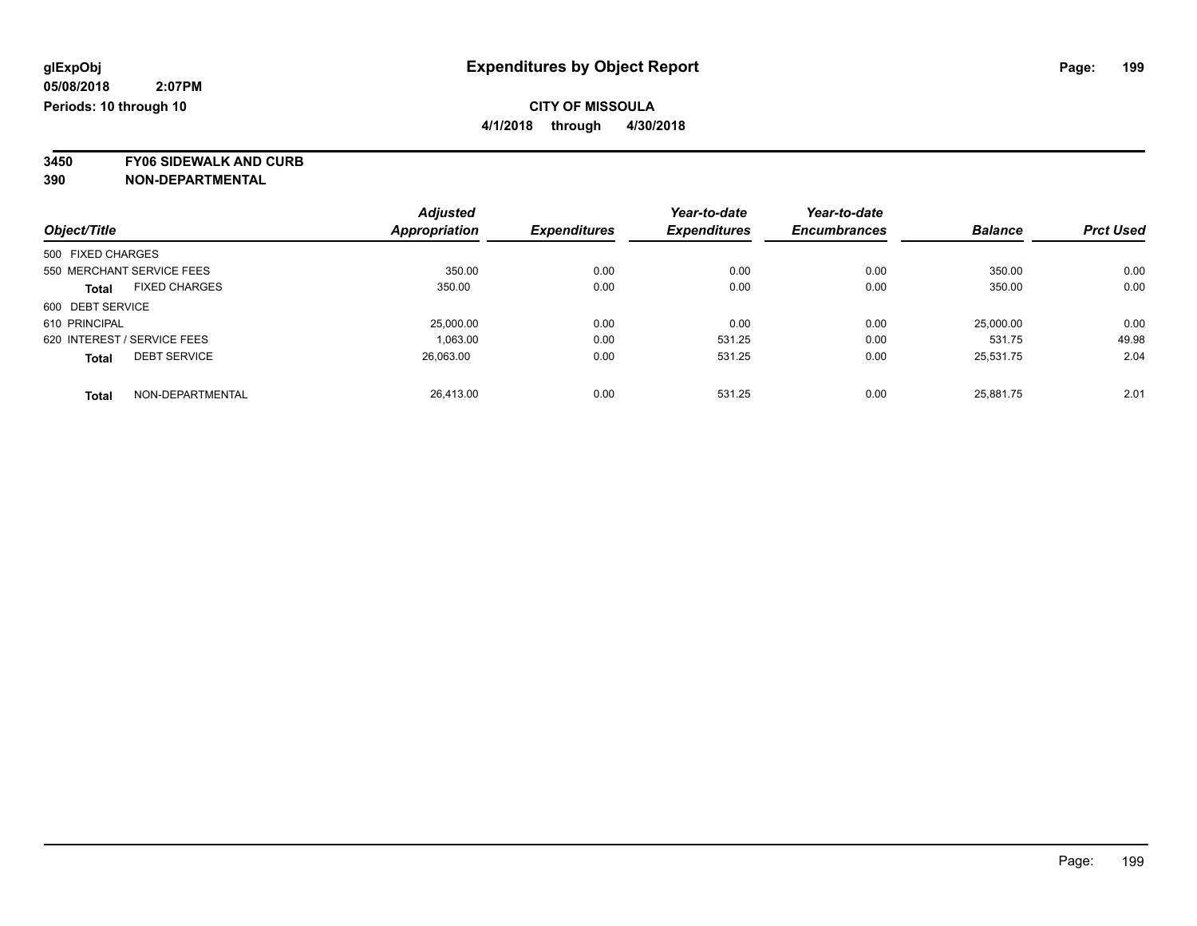**3450 FY06 SIDEWALK AND CURB**

|                                      | <b>Adjusted</b>      |                     | Year-to-date        | Year-to-date        |                |                  |
|--------------------------------------|----------------------|---------------------|---------------------|---------------------|----------------|------------------|
| Object/Title                         | <b>Appropriation</b> | <b>Expenditures</b> | <b>Expenditures</b> | <b>Encumbrances</b> | <b>Balance</b> | <b>Prct Used</b> |
| 500 FIXED CHARGES                    |                      |                     |                     |                     |                |                  |
| 550 MERCHANT SERVICE FEES            | 350.00               | 0.00                | 0.00                | 0.00                | 350.00         | 0.00             |
| <b>FIXED CHARGES</b><br><b>Total</b> | 350.00               | 0.00                | 0.00                | 0.00                | 350.00         | 0.00             |
| 600 DEBT SERVICE                     |                      |                     |                     |                     |                |                  |
| 610 PRINCIPAL                        | 25,000.00            | 0.00                | 0.00                | 0.00                | 25,000.00      | 0.00             |
| 620 INTEREST / SERVICE FEES          | 1.063.00             | 0.00                | 531.25              | 0.00                | 531.75         | 49.98            |
| <b>DEBT SERVICE</b><br><b>Total</b>  | 26,063.00            | 0.00                | 531.25              | 0.00                | 25,531.75      | 2.04             |
| NON-DEPARTMENTAL<br><b>Total</b>     | 26.413.00            | 0.00                | 531.25              | 0.00                | 25.881.75      | 2.01             |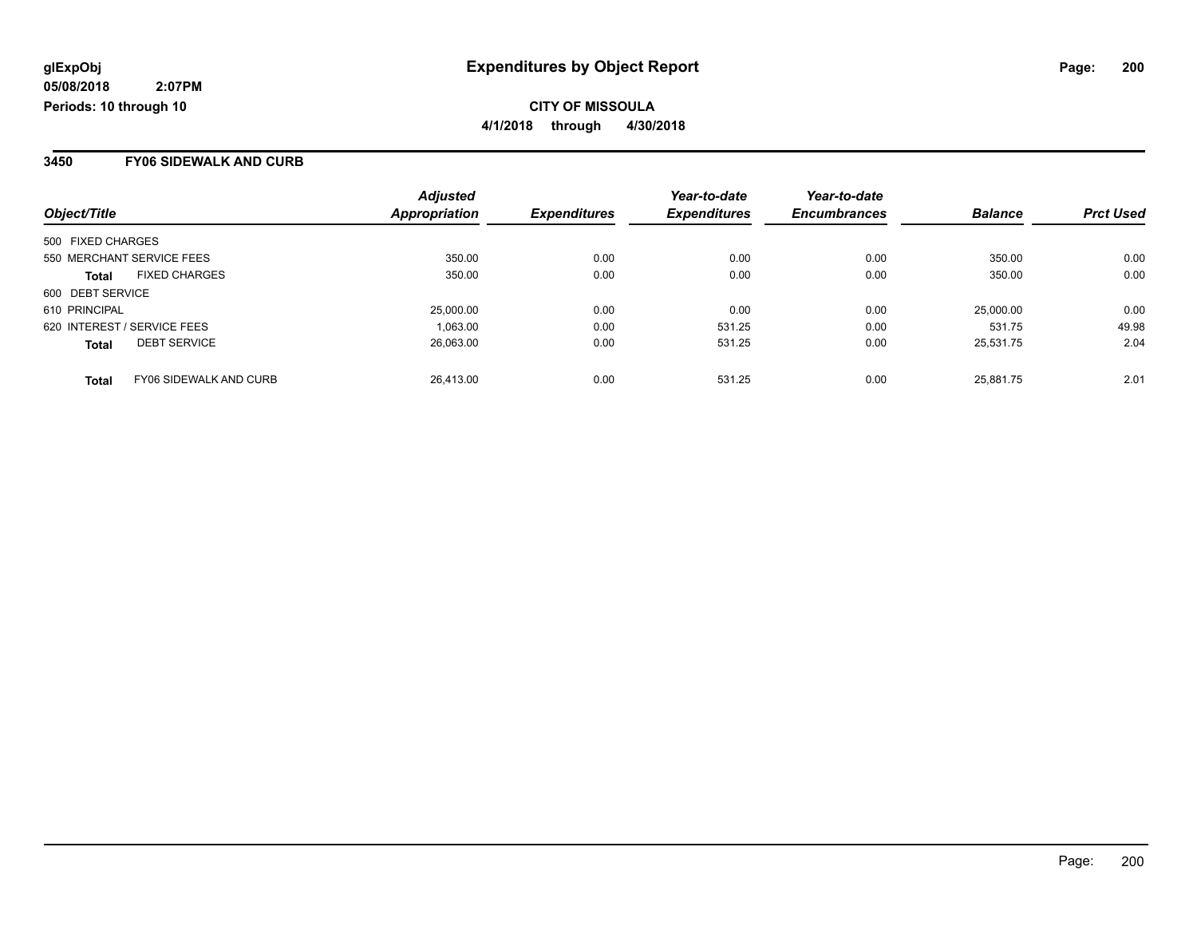#### **3450 FY06 SIDEWALK AND CURB**

| Object/Title      |                               | <b>Adjusted</b><br>Appropriation | <b>Expenditures</b> | Year-to-date<br><b>Expenditures</b> | Year-to-date<br><b>Encumbrances</b> | <b>Balance</b> | <b>Prct Used</b> |
|-------------------|-------------------------------|----------------------------------|---------------------|-------------------------------------|-------------------------------------|----------------|------------------|
| 500 FIXED CHARGES |                               |                                  |                     |                                     |                                     |                |                  |
|                   |                               |                                  |                     |                                     |                                     |                |                  |
|                   | 550 MERCHANT SERVICE FEES     | 350.00                           | 0.00                | 0.00                                | 0.00                                | 350.00         | 0.00             |
| <b>Total</b>      | <b>FIXED CHARGES</b>          | 350.00                           | 0.00                | 0.00                                | 0.00                                | 350.00         | 0.00             |
| 600 DEBT SERVICE  |                               |                                  |                     |                                     |                                     |                |                  |
| 610 PRINCIPAL     |                               | 25,000.00                        | 0.00                | 0.00                                | 0.00                                | 25,000.00      | 0.00             |
|                   | 620 INTEREST / SERVICE FEES   | 1,063.00                         | 0.00                | 531.25                              | 0.00                                | 531.75         | 49.98            |
| <b>Total</b>      | <b>DEBT SERVICE</b>           | 26,063.00                        | 0.00                | 531.25                              | 0.00                                | 25,531.75      | 2.04             |
| <b>Total</b>      | <b>FY06 SIDEWALK AND CURB</b> | 26.413.00                        | 0.00                | 531.25                              | 0.00                                | 25.881.75      | 2.01             |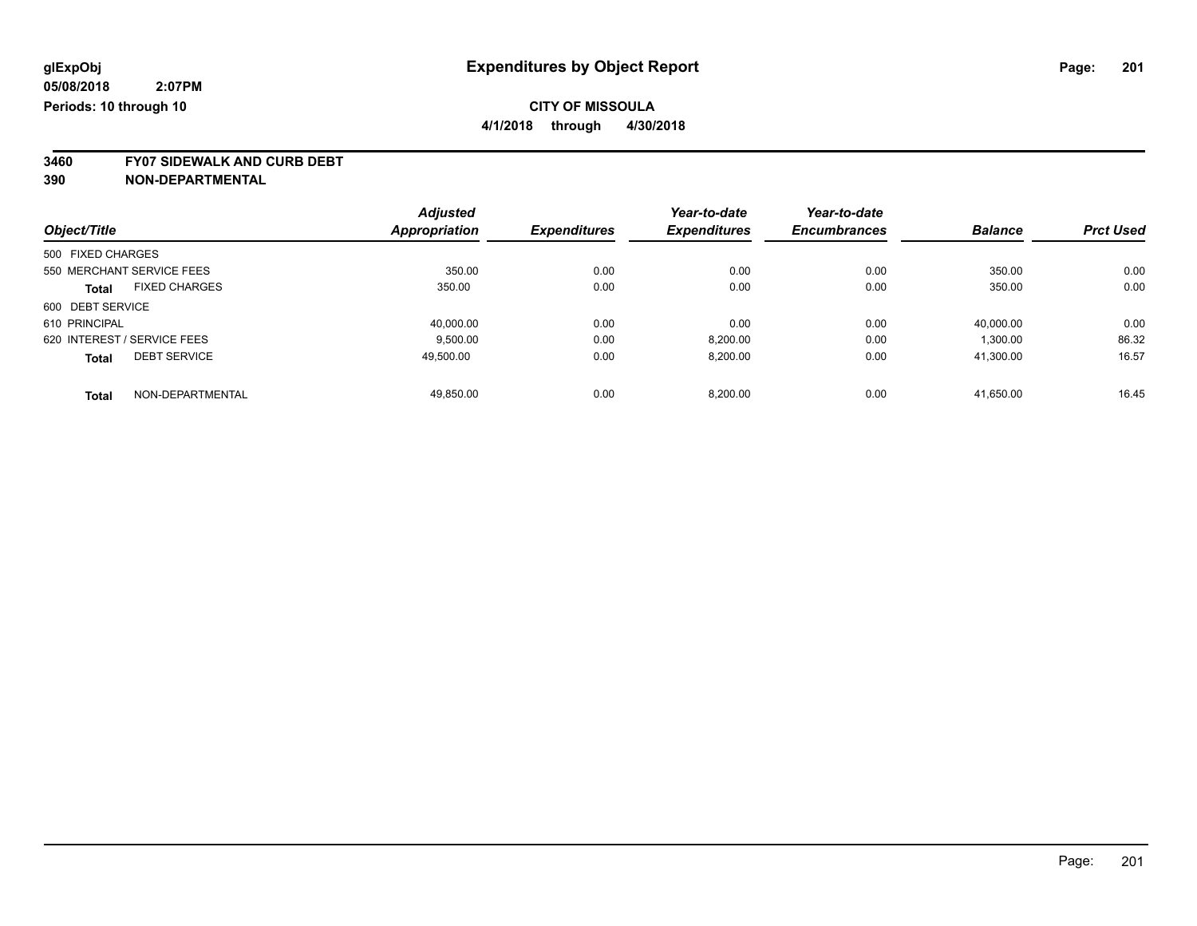**3460 FY07 SIDEWALK AND CURB DEBT**

|                                      | <b>Adjusted</b>      |                     | Year-to-date        | Year-to-date        |                |                  |
|--------------------------------------|----------------------|---------------------|---------------------|---------------------|----------------|------------------|
| Object/Title                         | <b>Appropriation</b> | <b>Expenditures</b> | <b>Expenditures</b> | <b>Encumbrances</b> | <b>Balance</b> | <b>Prct Used</b> |
| 500 FIXED CHARGES                    |                      |                     |                     |                     |                |                  |
| 550 MERCHANT SERVICE FEES            | 350.00               | 0.00                | 0.00                | 0.00                | 350.00         | 0.00             |
| <b>FIXED CHARGES</b><br><b>Total</b> | 350.00               | 0.00                | 0.00                | 0.00                | 350.00         | 0.00             |
| 600 DEBT SERVICE                     |                      |                     |                     |                     |                |                  |
| 610 PRINCIPAL                        | 40.000.00            | 0.00                | 0.00                | 0.00                | 40.000.00      | 0.00             |
| 620 INTEREST / SERVICE FEES          | 9.500.00             | 0.00                | 8,200.00            | 0.00                | 1.300.00       | 86.32            |
| <b>DEBT SERVICE</b><br><b>Total</b>  | 49.500.00            | 0.00                | 8,200.00            | 0.00                | 41.300.00      | 16.57            |
| NON-DEPARTMENTAL<br><b>Total</b>     | 49.850.00            | 0.00                | 8,200.00            | 0.00                | 41.650.00      | 16.45            |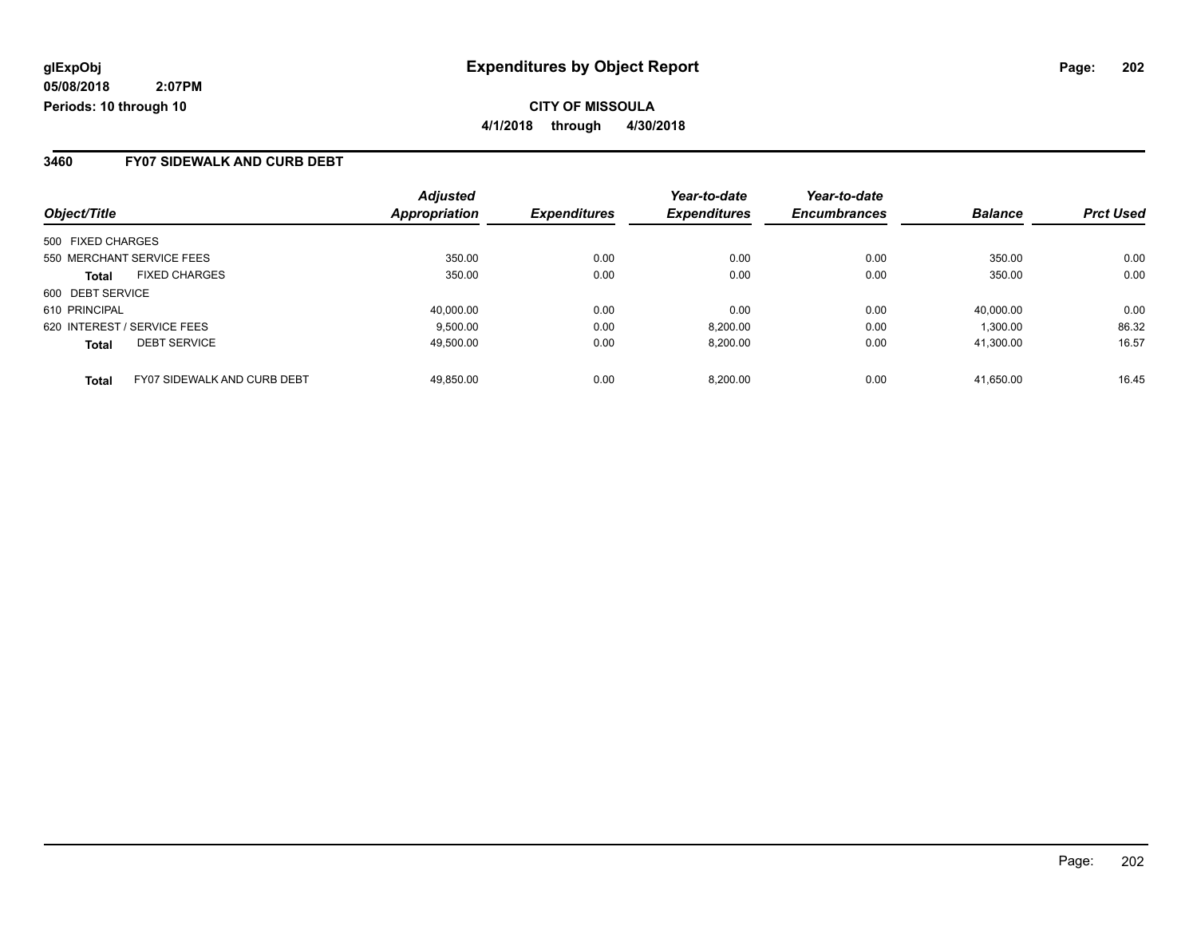**CITY OF MISSOULA 4/1/2018 through 4/30/2018**

#### **3460 FY07 SIDEWALK AND CURB DEBT**

| Object/Title                                       | <b>Adjusted</b><br><b>Appropriation</b> | <b>Expenditures</b> | Year-to-date<br><b>Expenditures</b> | Year-to-date<br><b>Encumbrances</b> | <b>Balance</b> | <b>Prct Used</b> |
|----------------------------------------------------|-----------------------------------------|---------------------|-------------------------------------|-------------------------------------|----------------|------------------|
| 500 FIXED CHARGES                                  |                                         |                     |                                     |                                     |                |                  |
| 550 MERCHANT SERVICE FEES                          | 350.00                                  | 0.00                | 0.00                                | 0.00                                | 350.00         | 0.00             |
| <b>FIXED CHARGES</b><br><b>Total</b>               | 350.00                                  | 0.00                | 0.00                                | 0.00                                | 350.00         | 0.00             |
| 600 DEBT SERVICE                                   |                                         |                     |                                     |                                     |                |                  |
| 610 PRINCIPAL                                      | 40,000.00                               | 0.00                | 0.00                                | 0.00                                | 40,000.00      | 0.00             |
| 620 INTEREST / SERVICE FEES                        | 9,500.00                                | 0.00                | 8,200.00                            | 0.00                                | 1,300.00       | 86.32            |
| <b>DEBT SERVICE</b><br><b>Total</b>                | 49,500.00                               | 0.00                | 8,200.00                            | 0.00                                | 41,300.00      | 16.57            |
| <b>FY07 SIDEWALK AND CURB DEBT</b><br><b>Total</b> | 49.850.00                               | 0.00                | 8.200.00                            | 0.00                                | 41.650.00      | 16.45            |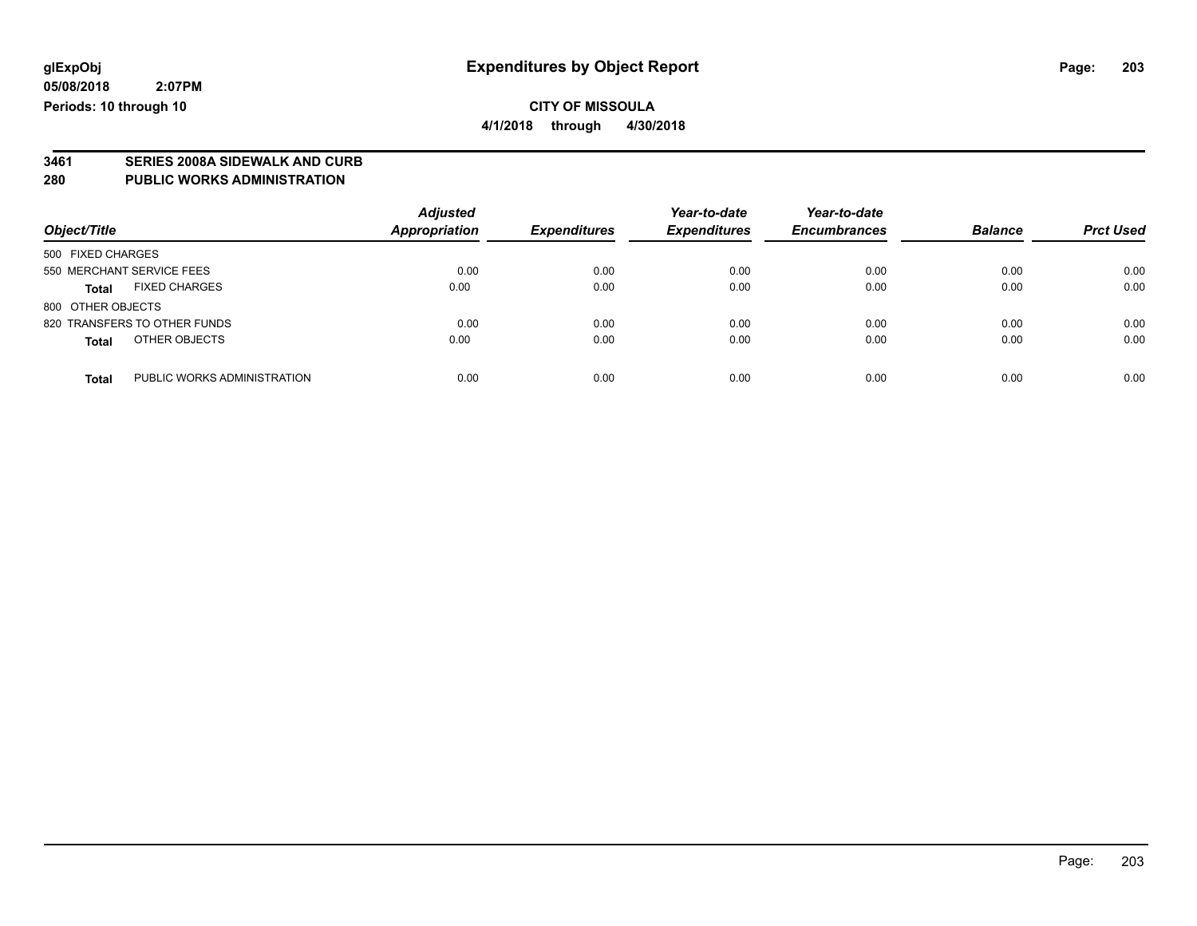# **3461 SERIES 2008A SIDEWALK AND CURB**

#### **280 PUBLIC WORKS ADMINISTRATION**

| Object/Title                                | <b>Adjusted</b><br>Appropriation | <b>Expenditures</b> | Year-to-date<br><b>Expenditures</b> | Year-to-date<br><b>Encumbrances</b> | <b>Balance</b> | <b>Prct Used</b> |
|---------------------------------------------|----------------------------------|---------------------|-------------------------------------|-------------------------------------|----------------|------------------|
| 500 FIXED CHARGES                           |                                  |                     |                                     |                                     |                |                  |
| 550 MERCHANT SERVICE FEES                   | 0.00                             | 0.00                | 0.00                                | 0.00                                | 0.00           | 0.00             |
| <b>FIXED CHARGES</b><br><b>Total</b>        | 0.00                             | 0.00                | 0.00                                | 0.00                                | 0.00           | 0.00             |
| 800 OTHER OBJECTS                           |                                  |                     |                                     |                                     |                |                  |
| 820 TRANSFERS TO OTHER FUNDS                | 0.00                             | 0.00                | 0.00                                | 0.00                                | 0.00           | 0.00             |
| OTHER OBJECTS<br><b>Total</b>               | 0.00                             | 0.00                | 0.00                                | 0.00                                | 0.00           | 0.00             |
| PUBLIC WORKS ADMINISTRATION<br><b>Total</b> | 0.00                             | 0.00                | 0.00                                | 0.00                                | 0.00           | 0.00             |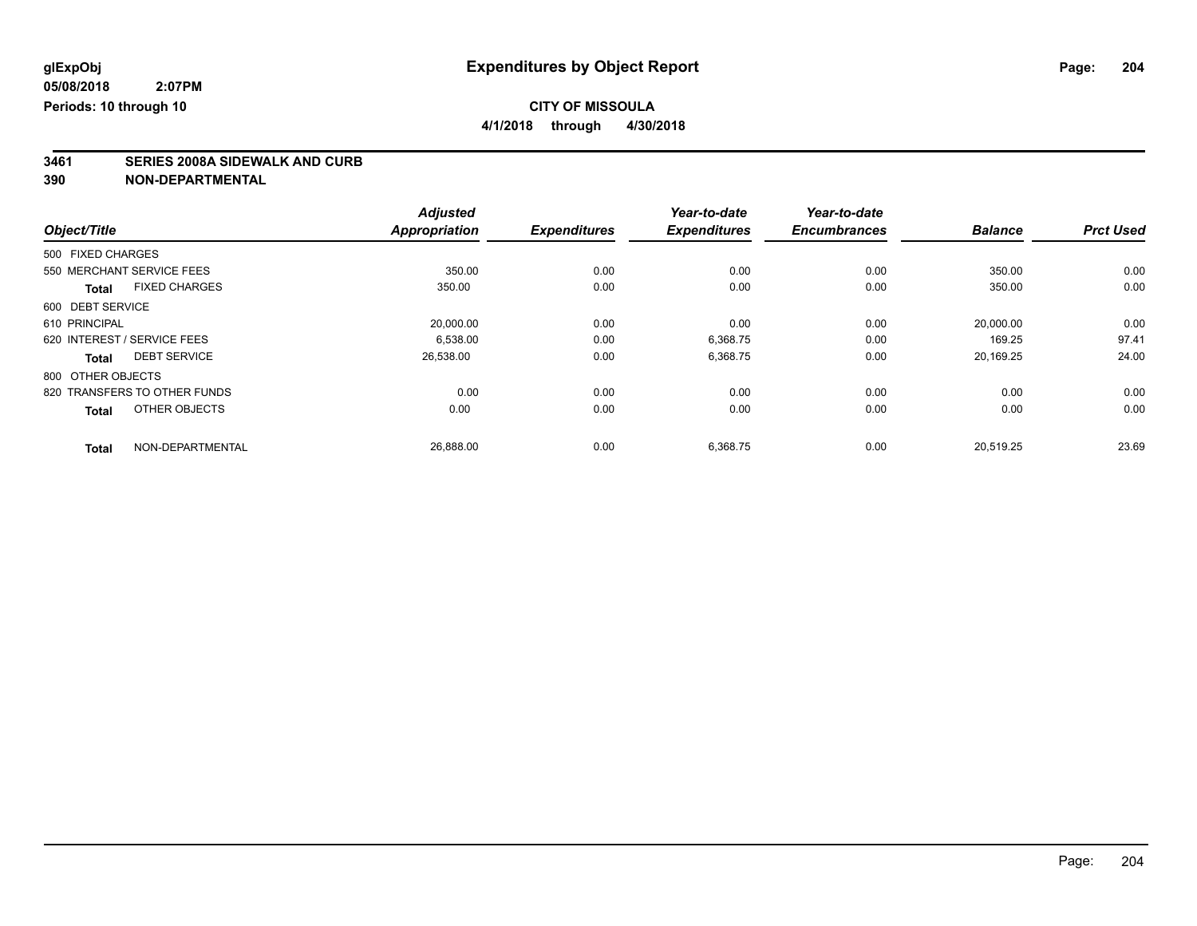**3461 SERIES 2008A SIDEWALK AND CURB**

|                   |                              | <b>Adjusted</b>      |                     | Year-to-date        | Year-to-date        |                |                  |
|-------------------|------------------------------|----------------------|---------------------|---------------------|---------------------|----------------|------------------|
| Object/Title      |                              | <b>Appropriation</b> | <b>Expenditures</b> | <b>Expenditures</b> | <b>Encumbrances</b> | <b>Balance</b> | <b>Prct Used</b> |
| 500 FIXED CHARGES |                              |                      |                     |                     |                     |                |                  |
|                   | 550 MERCHANT SERVICE FEES    | 350.00               | 0.00                | 0.00                | 0.00                | 350.00         | 0.00             |
| <b>Total</b>      | <b>FIXED CHARGES</b>         | 350.00               | 0.00                | 0.00                | 0.00                | 350.00         | 0.00             |
| 600 DEBT SERVICE  |                              |                      |                     |                     |                     |                |                  |
| 610 PRINCIPAL     |                              | 20,000.00            | 0.00                | 0.00                | 0.00                | 20,000.00      | 0.00             |
|                   | 620 INTEREST / SERVICE FEES  | 6,538.00             | 0.00                | 6,368.75            | 0.00                | 169.25         | 97.41            |
| Total             | <b>DEBT SERVICE</b>          | 26,538.00            | 0.00                | 6,368.75            | 0.00                | 20,169.25      | 24.00            |
| 800 OTHER OBJECTS |                              |                      |                     |                     |                     |                |                  |
|                   | 820 TRANSFERS TO OTHER FUNDS | 0.00                 | 0.00                | 0.00                | 0.00                | 0.00           | 0.00             |
| <b>Total</b>      | OTHER OBJECTS                | 0.00                 | 0.00                | 0.00                | 0.00                | 0.00           | 0.00             |
| <b>Total</b>      | NON-DEPARTMENTAL             | 26,888.00            | 0.00                | 6,368.75            | 0.00                | 20,519.25      | 23.69            |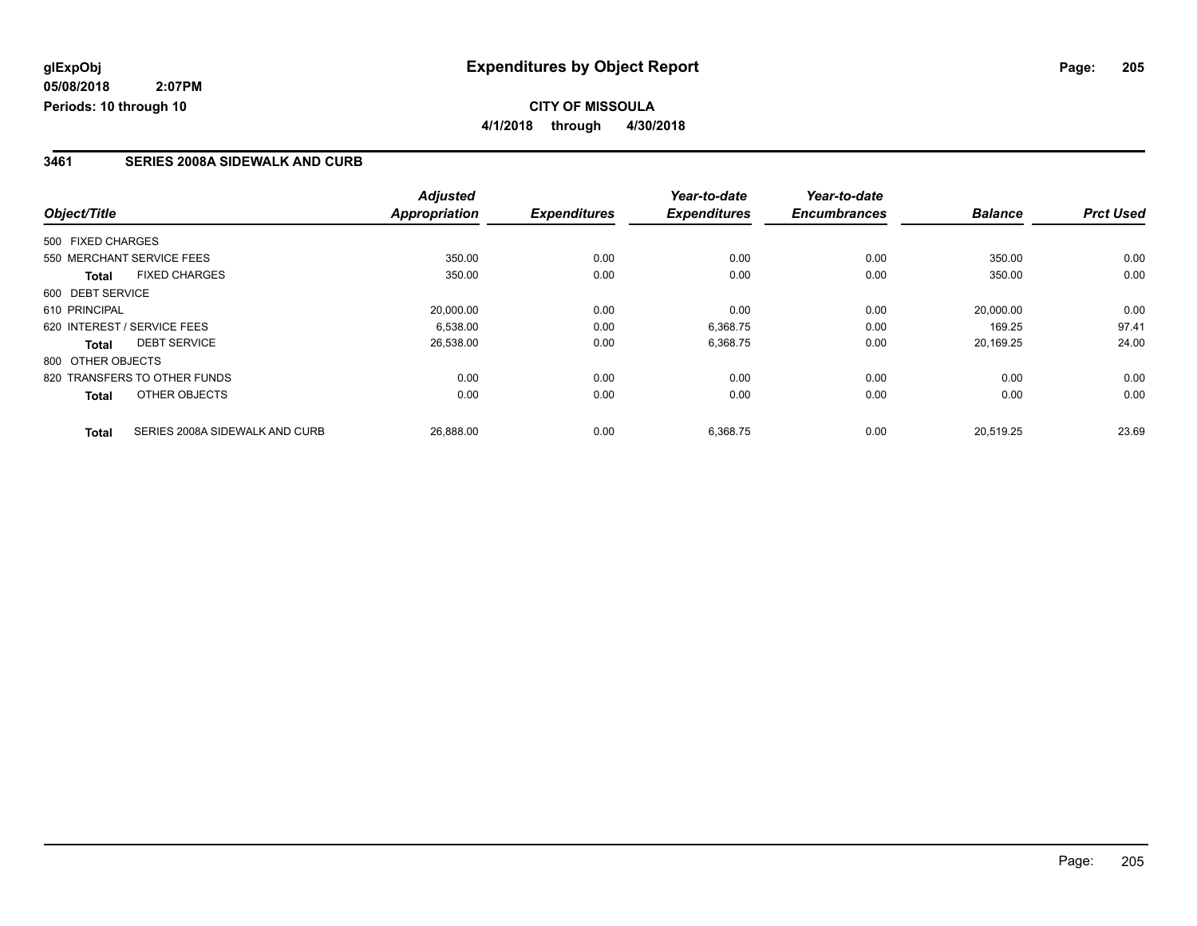## **CITY OF MISSOULA 4/1/2018 through 4/30/2018**

#### **3461 SERIES 2008A SIDEWALK AND CURB**

|                   |                                | <b>Adjusted</b> |                     | Year-to-date        | Year-to-date        |                |                  |
|-------------------|--------------------------------|-----------------|---------------------|---------------------|---------------------|----------------|------------------|
| Object/Title      |                                | Appropriation   | <b>Expenditures</b> | <b>Expenditures</b> | <b>Encumbrances</b> | <b>Balance</b> | <b>Prct Used</b> |
| 500 FIXED CHARGES |                                |                 |                     |                     |                     |                |                  |
|                   | 550 MERCHANT SERVICE FEES      | 350.00          | 0.00                | 0.00                | 0.00                | 350.00         | 0.00             |
| <b>Total</b>      | <b>FIXED CHARGES</b>           | 350.00          | 0.00                | 0.00                | 0.00                | 350.00         | 0.00             |
| 600 DEBT SERVICE  |                                |                 |                     |                     |                     |                |                  |
| 610 PRINCIPAL     |                                | 20.000.00       | 0.00                | 0.00                | 0.00                | 20.000.00      | 0.00             |
|                   | 620 INTEREST / SERVICE FEES    | 6,538.00        | 0.00                | 6,368.75            | 0.00                | 169.25         | 97.41            |
| <b>Total</b>      | <b>DEBT SERVICE</b>            | 26,538.00       | 0.00                | 6,368.75            | 0.00                | 20,169.25      | 24.00            |
| 800 OTHER OBJECTS |                                |                 |                     |                     |                     |                |                  |
|                   | 820 TRANSFERS TO OTHER FUNDS   | 0.00            | 0.00                | 0.00                | 0.00                | 0.00           | 0.00             |
| <b>Total</b>      | OTHER OBJECTS                  | 0.00            | 0.00                | 0.00                | 0.00                | 0.00           | 0.00             |
| <b>Total</b>      | SERIES 2008A SIDEWALK AND CURB | 26,888.00       | 0.00                | 6,368.75            | 0.00                | 20.519.25      | 23.69            |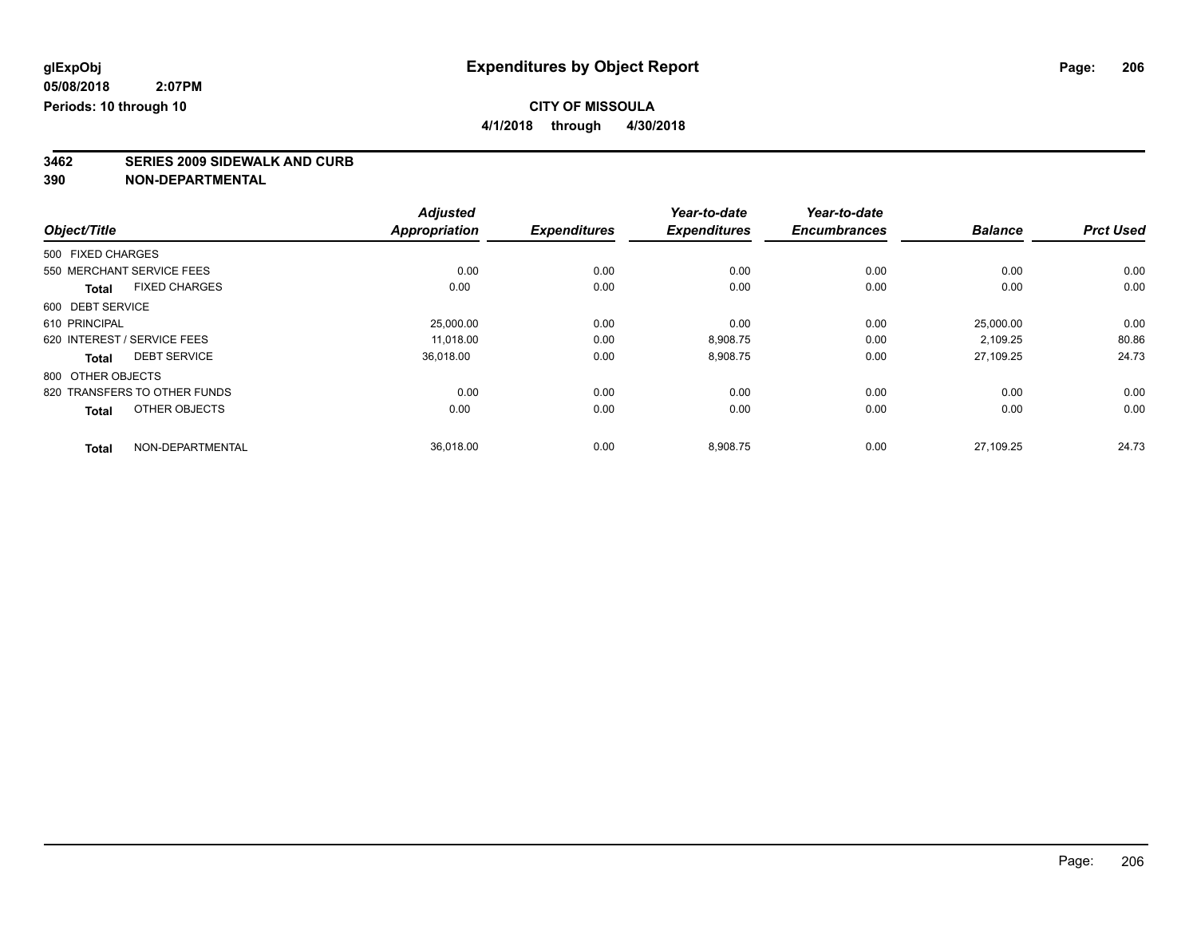# **3462 SERIES 2009 SIDEWALK AND CURB**

|                   |                              | <b>Adjusted</b>      |                     | Year-to-date        | Year-to-date        |                |                  |
|-------------------|------------------------------|----------------------|---------------------|---------------------|---------------------|----------------|------------------|
| Object/Title      |                              | <b>Appropriation</b> | <b>Expenditures</b> | <b>Expenditures</b> | <b>Encumbrances</b> | <b>Balance</b> | <b>Prct Used</b> |
| 500 FIXED CHARGES |                              |                      |                     |                     |                     |                |                  |
|                   | 550 MERCHANT SERVICE FEES    | 0.00                 | 0.00                | 0.00                | 0.00                | 0.00           | 0.00             |
| <b>Total</b>      | <b>FIXED CHARGES</b>         | 0.00                 | 0.00                | 0.00                | 0.00                | 0.00           | 0.00             |
| 600 DEBT SERVICE  |                              |                      |                     |                     |                     |                |                  |
| 610 PRINCIPAL     |                              | 25,000.00            | 0.00                | 0.00                | 0.00                | 25,000.00      | 0.00             |
|                   | 620 INTEREST / SERVICE FEES  | 11.018.00            | 0.00                | 8,908.75            | 0.00                | 2,109.25       | 80.86            |
| <b>Total</b>      | <b>DEBT SERVICE</b>          | 36,018.00            | 0.00                | 8,908.75            | 0.00                | 27,109.25      | 24.73            |
| 800 OTHER OBJECTS |                              |                      |                     |                     |                     |                |                  |
|                   | 820 TRANSFERS TO OTHER FUNDS | 0.00                 | 0.00                | 0.00                | 0.00                | 0.00           | 0.00             |
| <b>Total</b>      | OTHER OBJECTS                | 0.00                 | 0.00                | 0.00                | 0.00                | 0.00           | 0.00             |
| <b>Total</b>      | NON-DEPARTMENTAL             | 36,018.00            | 0.00                | 8,908.75            | 0.00                | 27,109.25      | 24.73            |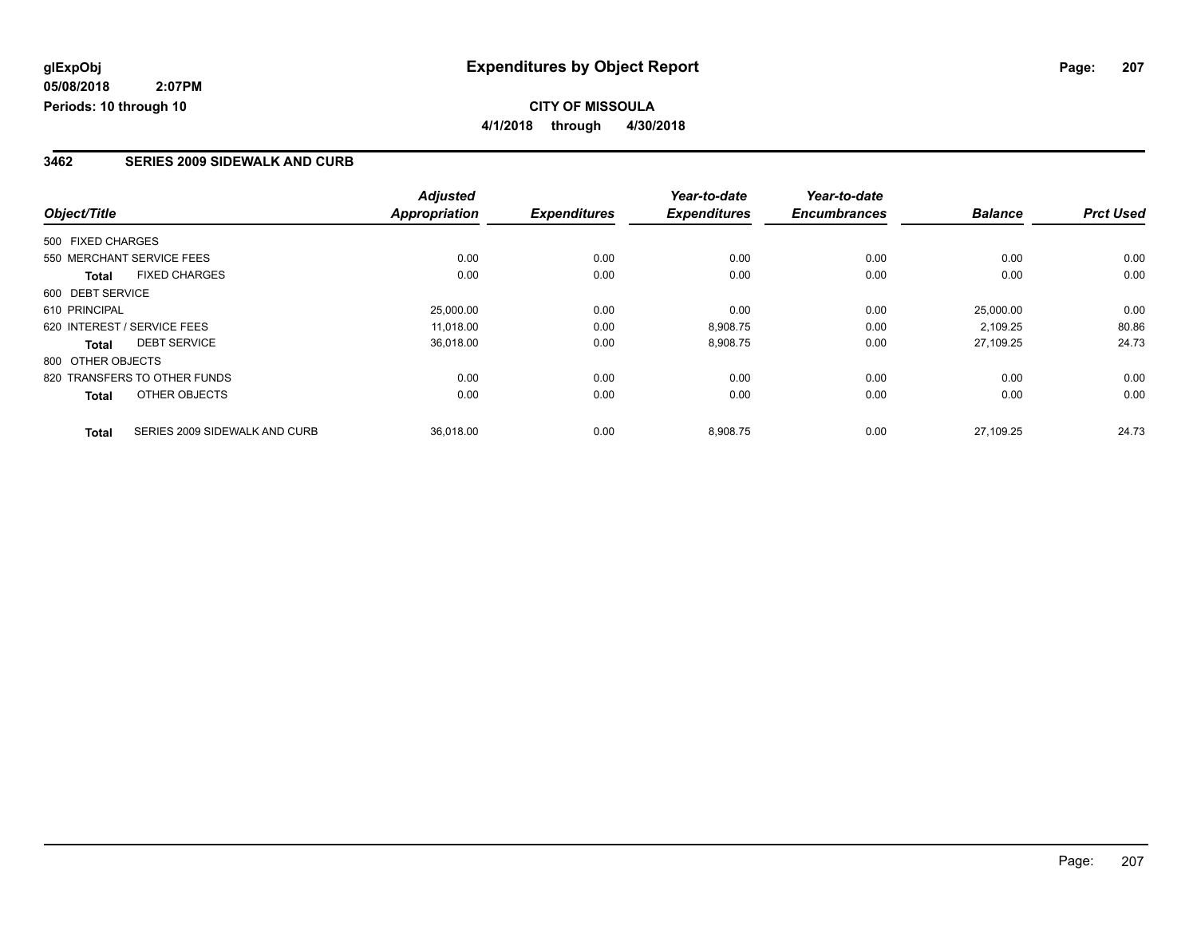# **CITY OF MISSOULA 4/1/2018 through 4/30/2018**

#### **3462 SERIES 2009 SIDEWALK AND CURB**

|                   |                               | <b>Adjusted</b>      |                     | Year-to-date        | Year-to-date        |                |                  |
|-------------------|-------------------------------|----------------------|---------------------|---------------------|---------------------|----------------|------------------|
| Object/Title      |                               | <b>Appropriation</b> | <b>Expenditures</b> | <b>Expenditures</b> | <b>Encumbrances</b> | <b>Balance</b> | <b>Prct Used</b> |
| 500 FIXED CHARGES |                               |                      |                     |                     |                     |                |                  |
|                   | 550 MERCHANT SERVICE FEES     | 0.00                 | 0.00                | 0.00                | 0.00                | 0.00           | 0.00             |
| <b>Total</b>      | <b>FIXED CHARGES</b>          | 0.00                 | 0.00                | 0.00                | 0.00                | 0.00           | 0.00             |
| 600 DEBT SERVICE  |                               |                      |                     |                     |                     |                |                  |
| 610 PRINCIPAL     |                               | 25,000.00            | 0.00                | 0.00                | 0.00                | 25,000.00      | 0.00             |
|                   | 620 INTEREST / SERVICE FEES   | 11.018.00            | 0.00                | 8,908.75            | 0.00                | 2.109.25       | 80.86            |
| <b>Total</b>      | <b>DEBT SERVICE</b>           | 36,018.00            | 0.00                | 8,908.75            | 0.00                | 27.109.25      | 24.73            |
| 800 OTHER OBJECTS |                               |                      |                     |                     |                     |                |                  |
|                   | 820 TRANSFERS TO OTHER FUNDS  | 0.00                 | 0.00                | 0.00                | 0.00                | 0.00           | 0.00             |
| <b>Total</b>      | OTHER OBJECTS                 | 0.00                 | 0.00                | 0.00                | 0.00                | 0.00           | 0.00             |
| <b>Total</b>      | SERIES 2009 SIDEWALK AND CURB | 36,018.00            | 0.00                | 8,908.75            | 0.00                | 27.109.25      | 24.73            |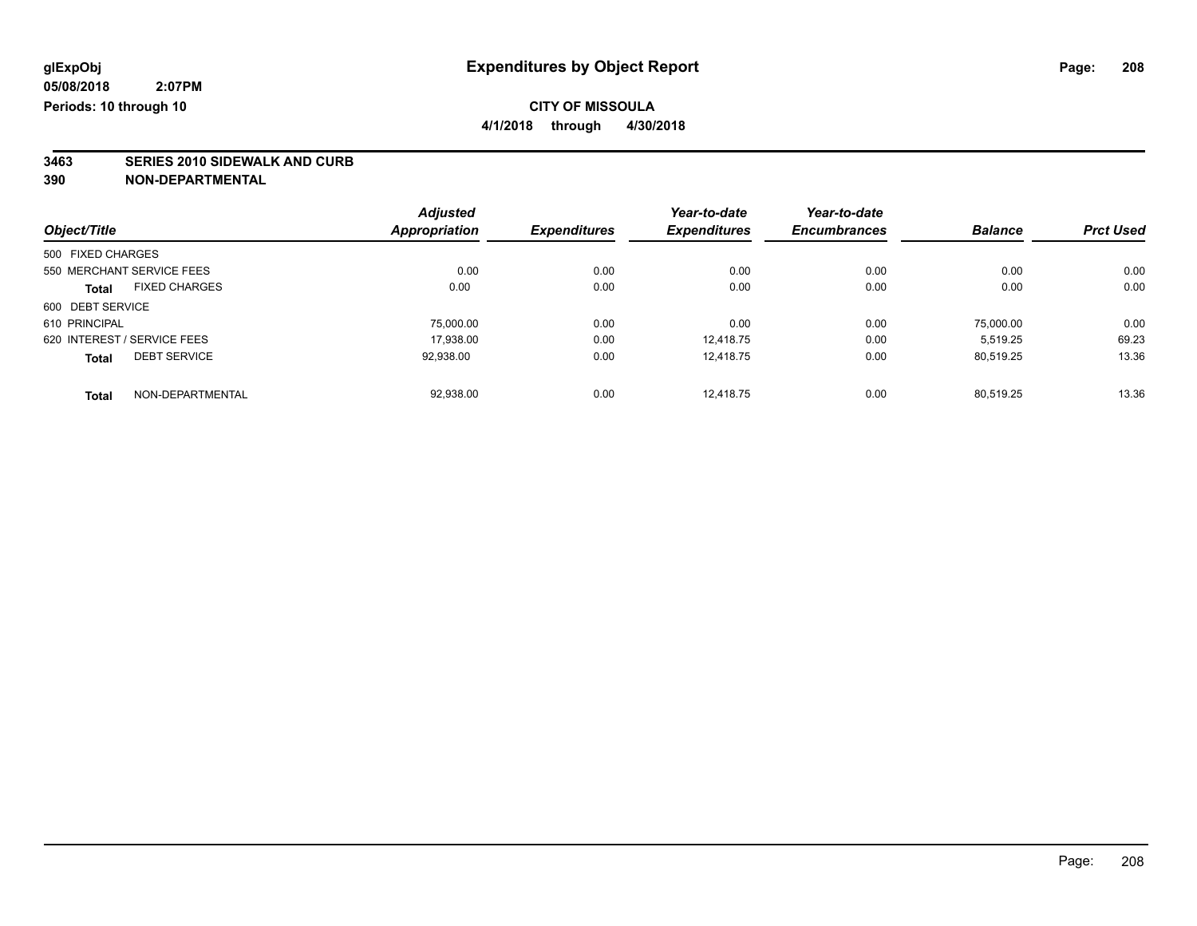# **3463 SERIES 2010 SIDEWALK AND CURB**

|                             |                      | <b>Adjusted</b> |                     | Year-to-date        | Year-to-date        |                |                  |
|-----------------------------|----------------------|-----------------|---------------------|---------------------|---------------------|----------------|------------------|
| Object/Title                |                      | Appropriation   | <b>Expenditures</b> | <b>Expenditures</b> | <b>Encumbrances</b> | <b>Balance</b> | <b>Prct Used</b> |
| 500 FIXED CHARGES           |                      |                 |                     |                     |                     |                |                  |
| 550 MERCHANT SERVICE FEES   |                      | 0.00            | 0.00                | 0.00                | 0.00                | 0.00           | 0.00             |
| <b>Total</b>                | <b>FIXED CHARGES</b> | 0.00            | 0.00                | 0.00                | 0.00                | 0.00           | 0.00             |
| 600 DEBT SERVICE            |                      |                 |                     |                     |                     |                |                  |
| 610 PRINCIPAL               |                      | 75,000.00       | 0.00                | 0.00                | 0.00                | 75.000.00      | 0.00             |
| 620 INTEREST / SERVICE FEES |                      | 17.938.00       | 0.00                | 12.418.75           | 0.00                | 5,519.25       | 69.23            |
| <b>Total</b>                | <b>DEBT SERVICE</b>  | 92,938.00       | 0.00                | 12.418.75           | 0.00                | 80.519.25      | 13.36            |
| <b>Total</b>                | NON-DEPARTMENTAL     | 92.938.00       | 0.00                | 12.418.75           | 0.00                | 80.519.25      | 13.36            |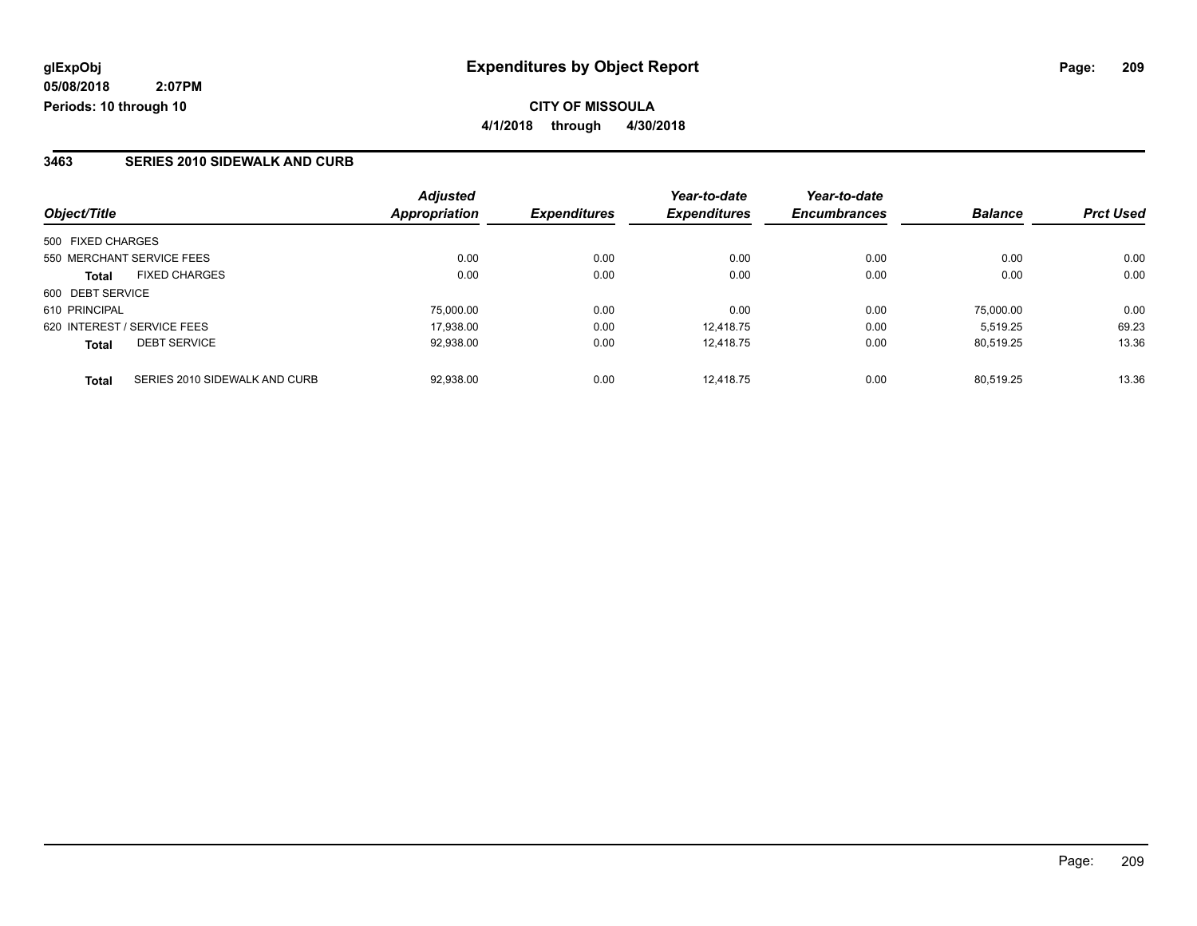#### **3463 SERIES 2010 SIDEWALK AND CURB**

|                             |                               | <b>Adjusted</b>      |                     | Year-to-date        | Year-to-date        |                |                  |
|-----------------------------|-------------------------------|----------------------|---------------------|---------------------|---------------------|----------------|------------------|
| Object/Title                |                               | <b>Appropriation</b> | <b>Expenditures</b> | <b>Expenditures</b> | <b>Encumbrances</b> | <b>Balance</b> | <b>Prct Used</b> |
| 500 FIXED CHARGES           |                               |                      |                     |                     |                     |                |                  |
| 550 MERCHANT SERVICE FEES   |                               | 0.00                 | 0.00                | 0.00                | 0.00                | 0.00           | 0.00             |
| <b>Total</b>                | <b>FIXED CHARGES</b>          | 0.00                 | 0.00                | 0.00                | 0.00                | 0.00           | 0.00             |
| 600 DEBT SERVICE            |                               |                      |                     |                     |                     |                |                  |
| 610 PRINCIPAL               |                               | 75,000.00            | 0.00                | 0.00                | 0.00                | 75.000.00      | 0.00             |
| 620 INTEREST / SERVICE FEES |                               | 17.938.00            | 0.00                | 12.418.75           | 0.00                | 5.519.25       | 69.23            |
| <b>Total</b>                | <b>DEBT SERVICE</b>           | 92.938.00            | 0.00                | 12.418.75           | 0.00                | 80.519.25      | 13.36            |
| <b>Total</b>                | SERIES 2010 SIDEWALK AND CURB | 92.938.00            | 0.00                | 12.418.75           | 0.00                | 80.519.25      | 13.36            |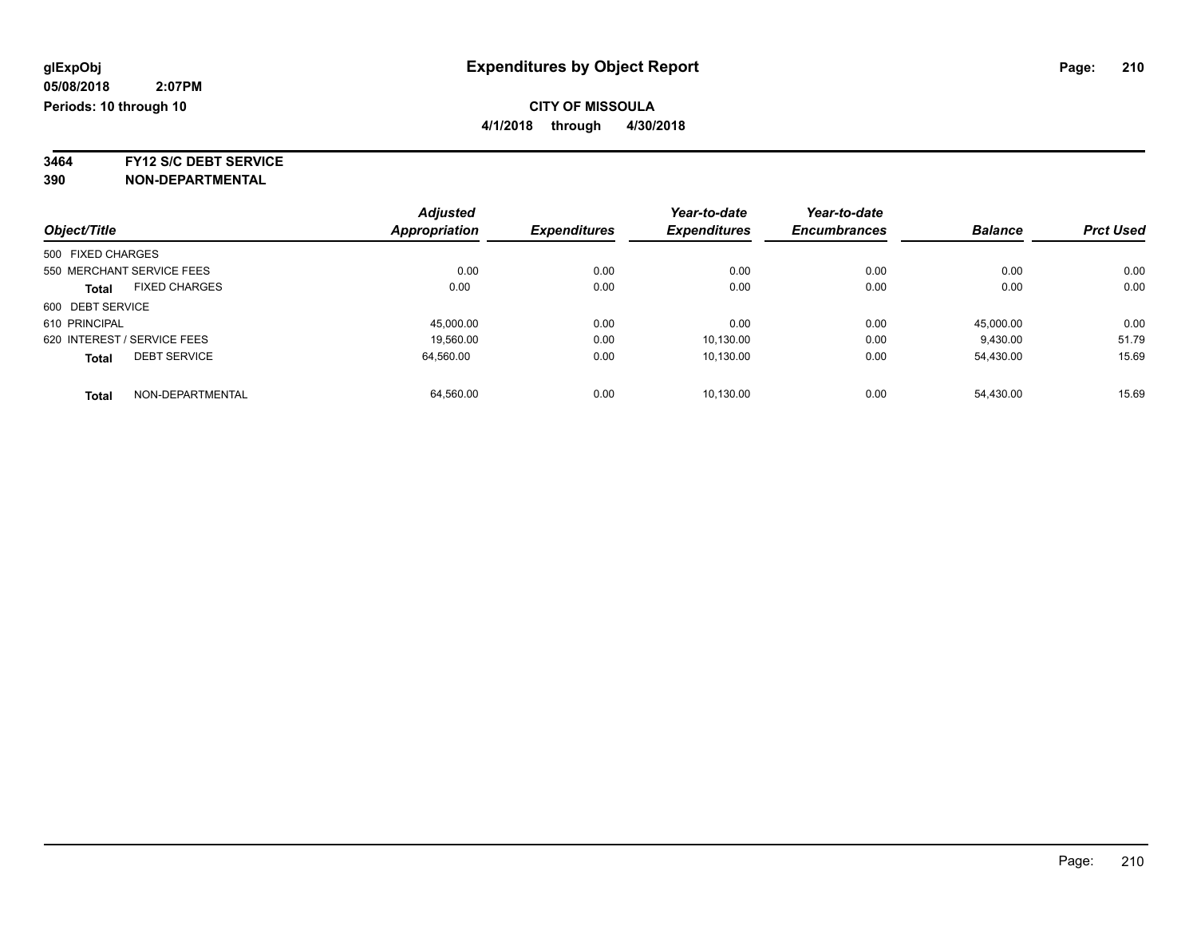**3464 FY12 S/C DEBT SERVICE**

|                             |                      | <b>Adjusted</b> |                     | Year-to-date        | Year-to-date        |                |                  |
|-----------------------------|----------------------|-----------------|---------------------|---------------------|---------------------|----------------|------------------|
| Object/Title                |                      | Appropriation   | <b>Expenditures</b> | <b>Expenditures</b> | <b>Encumbrances</b> | <b>Balance</b> | <b>Prct Used</b> |
| 500 FIXED CHARGES           |                      |                 |                     |                     |                     |                |                  |
| 550 MERCHANT SERVICE FEES   |                      | 0.00            | 0.00                | 0.00                | 0.00                | 0.00           | 0.00             |
| <b>Total</b>                | <b>FIXED CHARGES</b> | 0.00            | 0.00                | 0.00                | 0.00                | 0.00           | 0.00             |
| 600 DEBT SERVICE            |                      |                 |                     |                     |                     |                |                  |
| 610 PRINCIPAL               |                      | 45,000.00       | 0.00                | 0.00                | 0.00                | 45,000.00      | 0.00             |
| 620 INTEREST / SERVICE FEES |                      | 19,560.00       | 0.00                | 10,130.00           | 0.00                | 9,430.00       | 51.79            |
| <b>Total</b>                | <b>DEBT SERVICE</b>  | 64.560.00       | 0.00                | 10.130.00           | 0.00                | 54.430.00      | 15.69            |
| <b>Total</b>                | NON-DEPARTMENTAL     | 64.560.00       | 0.00                | 10.130.00           | 0.00                | 54.430.00      | 15.69            |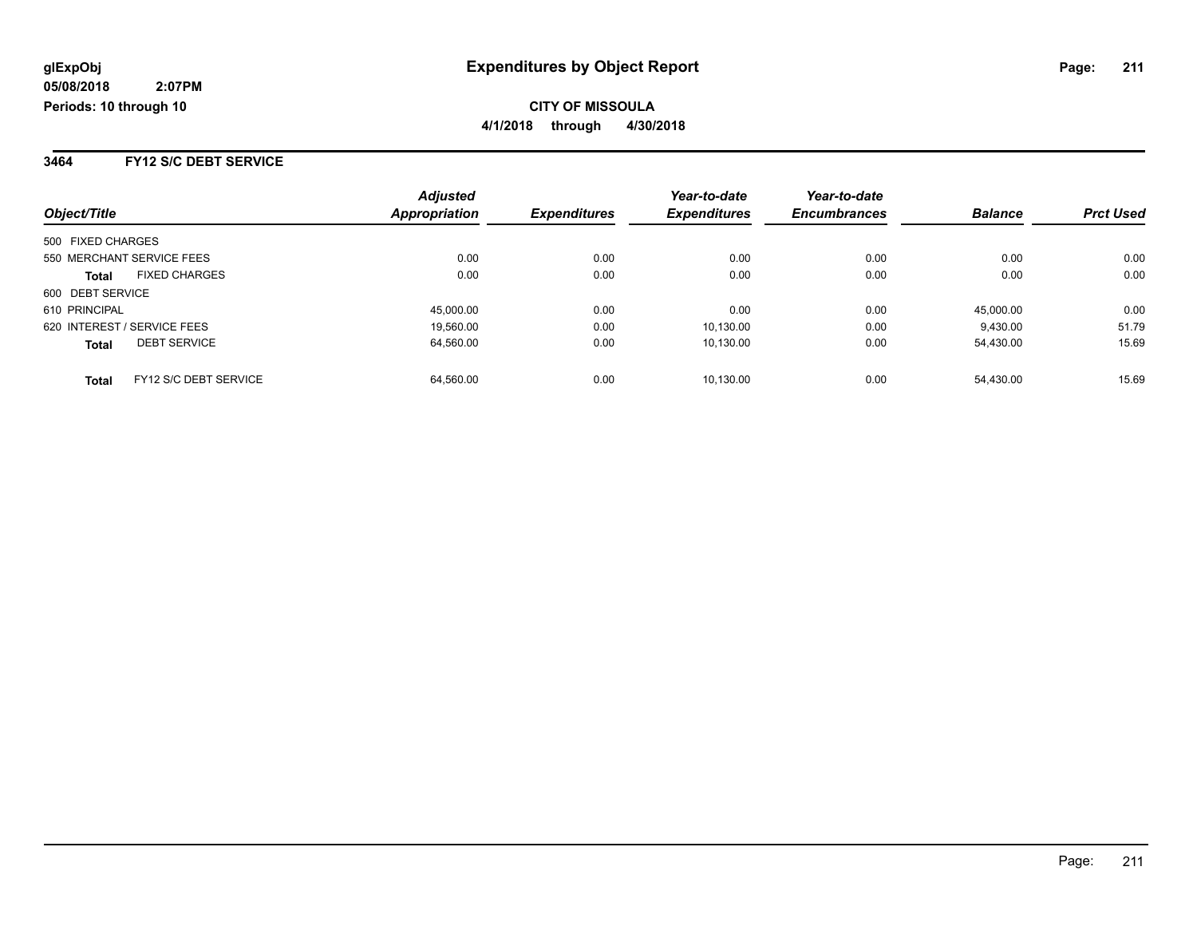#### **3464 FY12 S/C DEBT SERVICE**

|                                       | <b>Adjusted</b>      |                     | Year-to-date        | Year-to-date        |                |                  |
|---------------------------------------|----------------------|---------------------|---------------------|---------------------|----------------|------------------|
| Object/Title                          | <b>Appropriation</b> | <b>Expenditures</b> | <b>Expenditures</b> | <b>Encumbrances</b> | <b>Balance</b> | <b>Prct Used</b> |
| 500 FIXED CHARGES                     |                      |                     |                     |                     |                |                  |
| 550 MERCHANT SERVICE FEES             | 0.00                 | 0.00                | 0.00                | 0.00                | 0.00           | 0.00             |
| <b>FIXED CHARGES</b><br>Total         | 0.00                 | 0.00                | 0.00                | 0.00                | 0.00           | 0.00             |
| 600 DEBT SERVICE                      |                      |                     |                     |                     |                |                  |
| 610 PRINCIPAL                         | 45,000.00            | 0.00                | 0.00                | 0.00                | 45,000.00      | 0.00             |
| 620 INTEREST / SERVICE FEES           | 19.560.00            | 0.00                | 10.130.00           | 0.00                | 9,430.00       | 51.79            |
| <b>DEBT SERVICE</b><br><b>Total</b>   | 64.560.00            | 0.00                | 10.130.00           | 0.00                | 54.430.00      | 15.69            |
| FY12 S/C DEBT SERVICE<br><b>Total</b> | 64.560.00            | 0.00                | 10.130.00           | 0.00                | 54.430.00      | 15.69            |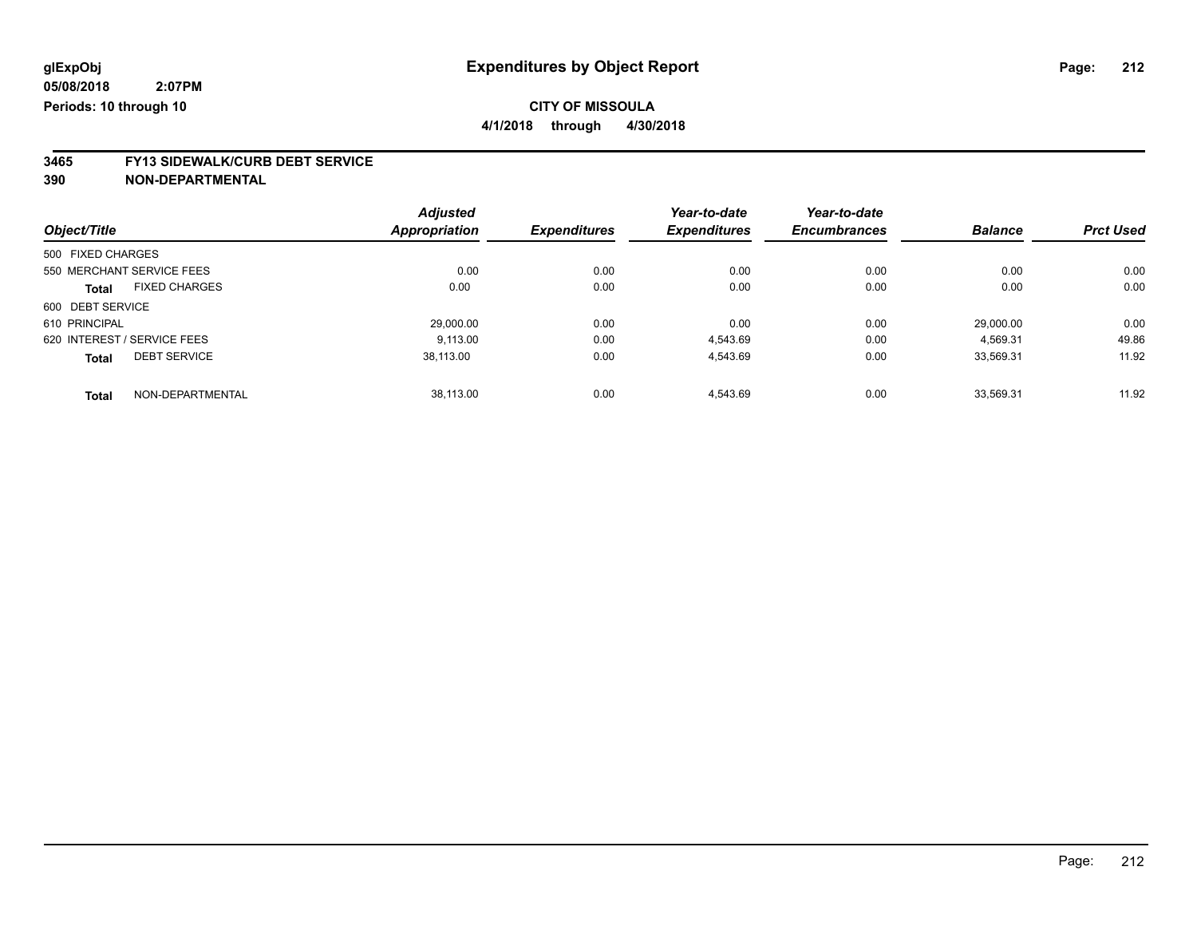# **3465 FY13 SIDEWALK/CURB DEBT SERVICE**

|                             |                      | <b>Adjusted</b>      |                     | Year-to-date        | Year-to-date        |                |                  |
|-----------------------------|----------------------|----------------------|---------------------|---------------------|---------------------|----------------|------------------|
| Object/Title                |                      | <b>Appropriation</b> | <b>Expenditures</b> | <b>Expenditures</b> | <b>Encumbrances</b> | <b>Balance</b> | <b>Prct Used</b> |
| 500 FIXED CHARGES           |                      |                      |                     |                     |                     |                |                  |
| 550 MERCHANT SERVICE FEES   |                      | 0.00                 | 0.00                | 0.00                | 0.00                | 0.00           | 0.00             |
| <b>Total</b>                | <b>FIXED CHARGES</b> | 0.00                 | 0.00                | 0.00                | 0.00                | 0.00           | 0.00             |
| 600 DEBT SERVICE            |                      |                      |                     |                     |                     |                |                  |
| 610 PRINCIPAL               |                      | 29.000.00            | 0.00                | 0.00                | 0.00                | 29.000.00      | 0.00             |
| 620 INTEREST / SERVICE FEES |                      | 9,113.00             | 0.00                | 4,543.69            | 0.00                | 4,569.31       | 49.86            |
| <b>Total</b>                | <b>DEBT SERVICE</b>  | 38.113.00            | 0.00                | 4,543.69            | 0.00                | 33,569.31      | 11.92            |
| <b>Total</b>                | NON-DEPARTMENTAL     | 38.113.00            | 0.00                | 4.543.69            | 0.00                | 33.569.31      | 11.92            |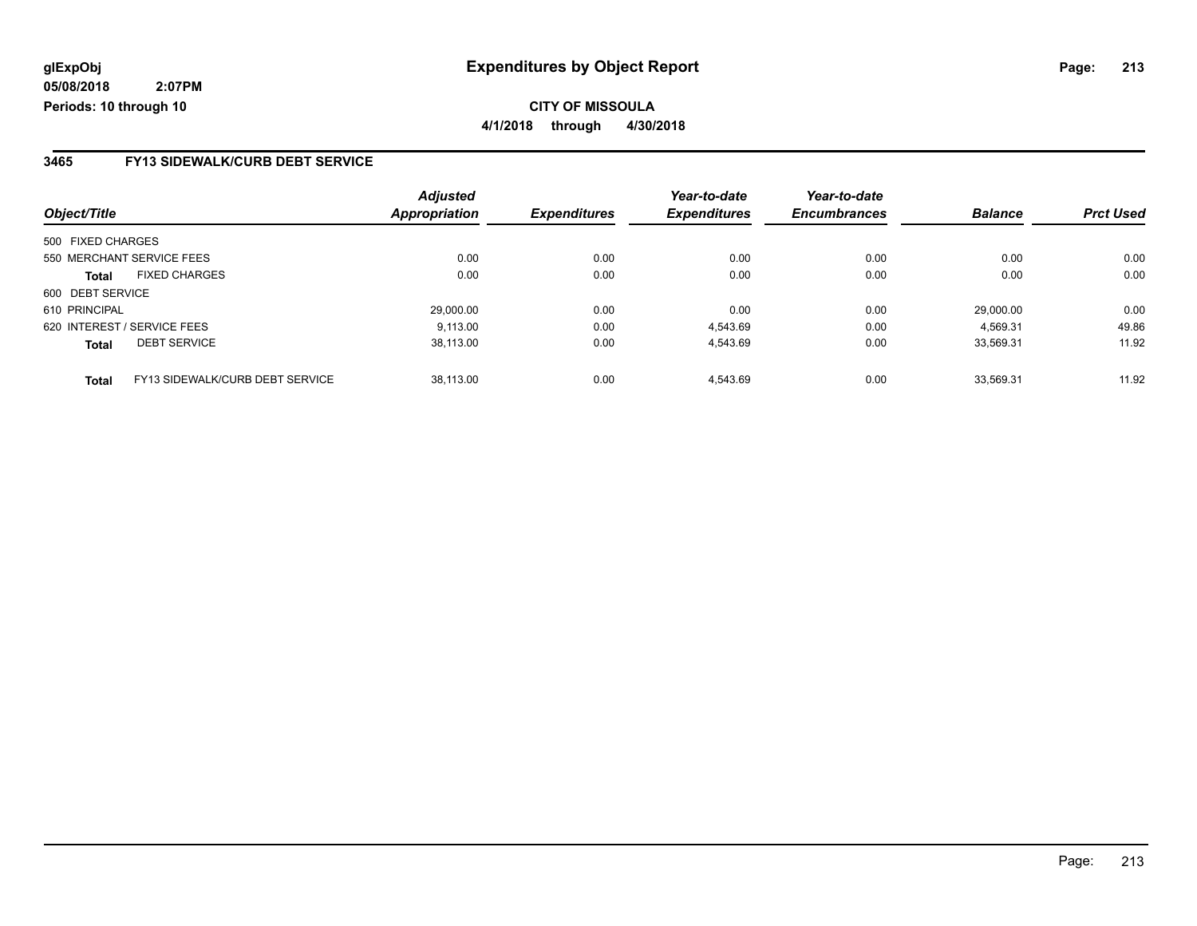**CITY OF MISSOULA 4/1/2018 through 4/30/2018**

#### **3465 FY13 SIDEWALK/CURB DEBT SERVICE**

| Object/Title                                    | <b>Adjusted</b><br><b>Appropriation</b> | <b>Expenditures</b> | Year-to-date<br><b>Expenditures</b> | Year-to-date<br><b>Encumbrances</b> | <b>Balance</b> | <b>Prct Used</b> |
|-------------------------------------------------|-----------------------------------------|---------------------|-------------------------------------|-------------------------------------|----------------|------------------|
|                                                 |                                         |                     |                                     |                                     |                |                  |
| 500 FIXED CHARGES                               |                                         |                     |                                     |                                     |                |                  |
| 550 MERCHANT SERVICE FEES                       | 0.00                                    | 0.00                | 0.00                                | 0.00                                | 0.00           | 0.00             |
| <b>FIXED CHARGES</b><br><b>Total</b>            | 0.00                                    | 0.00                | 0.00                                | 0.00                                | 0.00           | 0.00             |
| 600 DEBT SERVICE                                |                                         |                     |                                     |                                     |                |                  |
| 610 PRINCIPAL                                   | 29,000.00                               | 0.00                | 0.00                                | 0.00                                | 29.000.00      | 0.00             |
| 620 INTEREST / SERVICE FEES                     | 9.113.00                                | 0.00                | 4.543.69                            | 0.00                                | 4.569.31       | 49.86            |
| <b>DEBT SERVICE</b><br><b>Total</b>             | 38,113.00                               | 0.00                | 4,543.69                            | 0.00                                | 33.569.31      | 11.92            |
| FY13 SIDEWALK/CURB DEBT SERVICE<br><b>Total</b> | 38.113.00                               | 0.00                | 4.543.69                            | 0.00                                | 33.569.31      | 11.92            |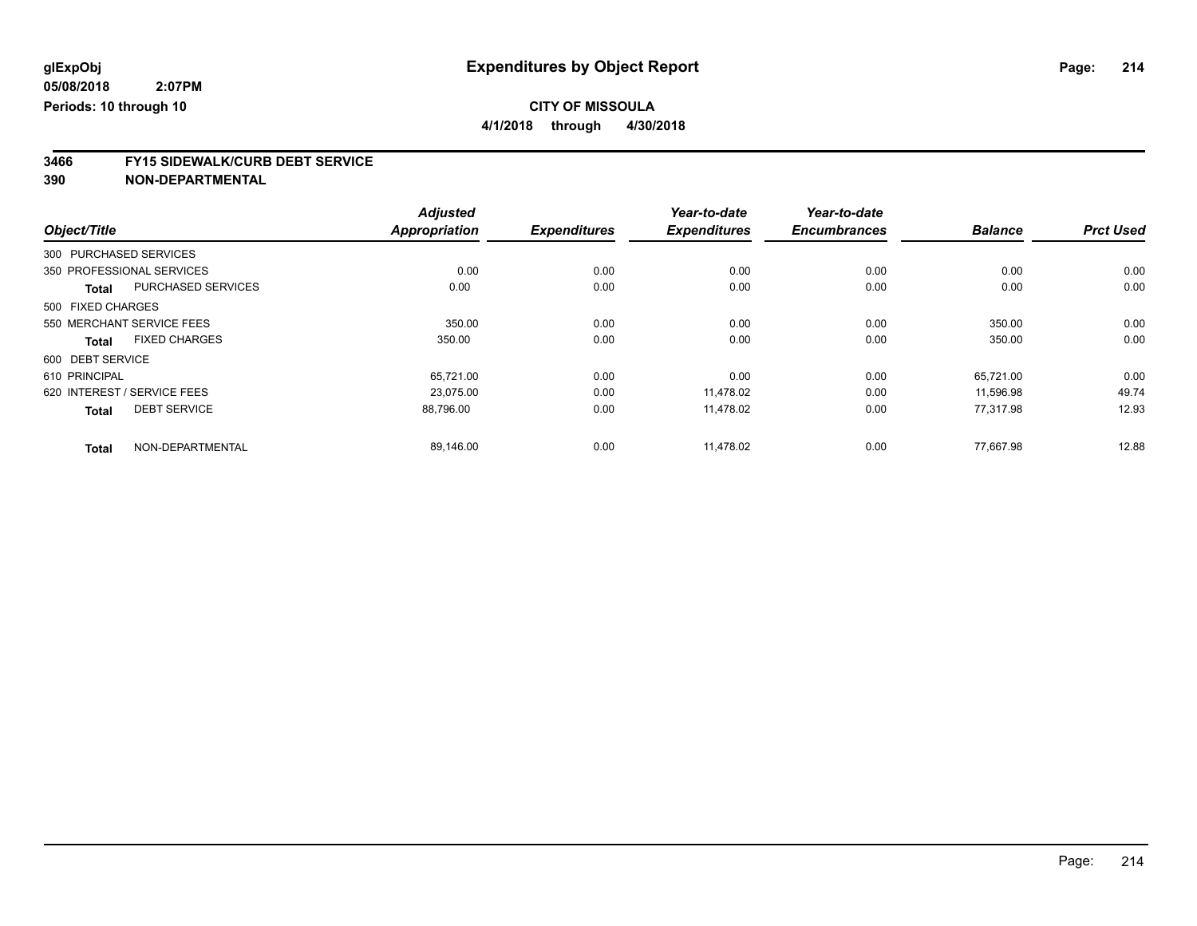# **3466 FY15 SIDEWALK/CURB DEBT SERVICE**

|                             |                           | <b>Adjusted</b>      |                     | Year-to-date        | Year-to-date        |                |                  |
|-----------------------------|---------------------------|----------------------|---------------------|---------------------|---------------------|----------------|------------------|
| Object/Title                |                           | <b>Appropriation</b> | <b>Expenditures</b> | <b>Expenditures</b> | <b>Encumbrances</b> | <b>Balance</b> | <b>Prct Used</b> |
| 300 PURCHASED SERVICES      |                           |                      |                     |                     |                     |                |                  |
| 350 PROFESSIONAL SERVICES   |                           | 0.00                 | 0.00                | 0.00                | 0.00                | 0.00           | 0.00             |
| <b>Total</b>                | <b>PURCHASED SERVICES</b> | 0.00                 | 0.00                | 0.00                | 0.00                | 0.00           | 0.00             |
| 500 FIXED CHARGES           |                           |                      |                     |                     |                     |                |                  |
| 550 MERCHANT SERVICE FEES   |                           | 350.00               | 0.00                | 0.00                | 0.00                | 350.00         | 0.00             |
| <b>Total</b>                | <b>FIXED CHARGES</b>      | 350.00               | 0.00                | 0.00                | 0.00                | 350.00         | 0.00             |
| 600 DEBT SERVICE            |                           |                      |                     |                     |                     |                |                  |
| 610 PRINCIPAL               |                           | 65,721.00            | 0.00                | 0.00                | 0.00                | 65,721.00      | 0.00             |
| 620 INTEREST / SERVICE FEES |                           | 23.075.00            | 0.00                | 11,478.02           | 0.00                | 11,596.98      | 49.74            |
| <b>Total</b>                | <b>DEBT SERVICE</b>       | 88,796.00            | 0.00                | 11,478.02           | 0.00                | 77.317.98      | 12.93            |
| <b>Total</b>                | NON-DEPARTMENTAL          | 89,146.00            | 0.00                | 11,478.02           | 0.00                | 77,667.98      | 12.88            |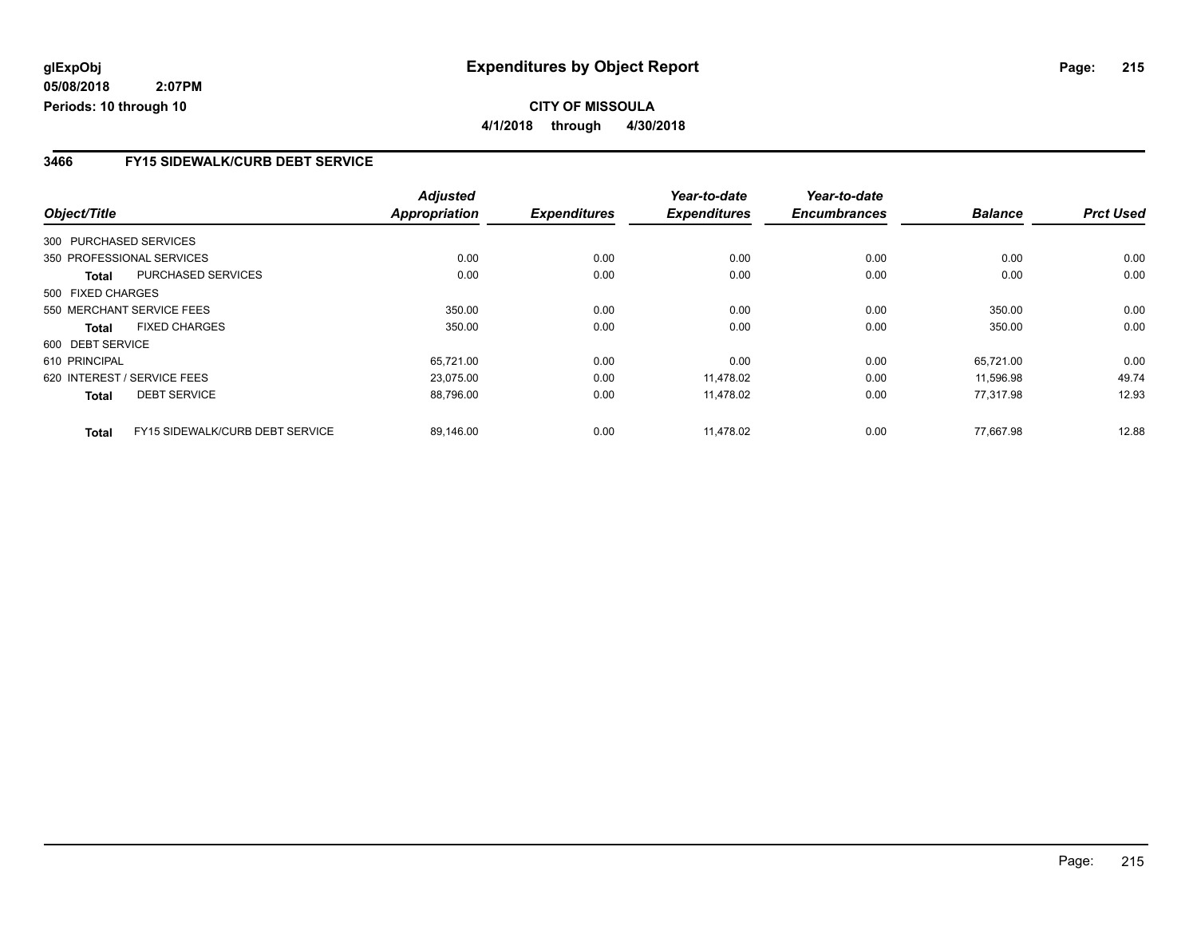#### **3466 FY15 SIDEWALK/CURB DEBT SERVICE**

|                   |                                 | <b>Adjusted</b>      |                     | Year-to-date        | Year-to-date        |                |                  |
|-------------------|---------------------------------|----------------------|---------------------|---------------------|---------------------|----------------|------------------|
| Object/Title      |                                 | <b>Appropriation</b> | <b>Expenditures</b> | <b>Expenditures</b> | <b>Encumbrances</b> | <b>Balance</b> | <b>Prct Used</b> |
|                   | 300 PURCHASED SERVICES          |                      |                     |                     |                     |                |                  |
|                   | 350 PROFESSIONAL SERVICES       | 0.00                 | 0.00                | 0.00                | 0.00                | 0.00           | 0.00             |
| Total             | PURCHASED SERVICES              | 0.00                 | 0.00                | 0.00                | 0.00                | 0.00           | 0.00             |
| 500 FIXED CHARGES |                                 |                      |                     |                     |                     |                |                  |
|                   | 550 MERCHANT SERVICE FEES       | 350.00               | 0.00                | 0.00                | 0.00                | 350.00         | 0.00             |
| Total             | <b>FIXED CHARGES</b>            | 350.00               | 0.00                | 0.00                | 0.00                | 350.00         | 0.00             |
| 600 DEBT SERVICE  |                                 |                      |                     |                     |                     |                |                  |
| 610 PRINCIPAL     |                                 | 65,721.00            | 0.00                | 0.00                | 0.00                | 65,721.00      | 0.00             |
|                   | 620 INTEREST / SERVICE FEES     | 23,075.00            | 0.00                | 11,478.02           | 0.00                | 11.596.98      | 49.74            |
| <b>Total</b>      | <b>DEBT SERVICE</b>             | 88,796.00            | 0.00                | 11,478.02           | 0.00                | 77,317.98      | 12.93            |
| <b>Total</b>      | FY15 SIDEWALK/CURB DEBT SERVICE | 89,146.00            | 0.00                | 11.478.02           | 0.00                | 77.667.98      | 12.88            |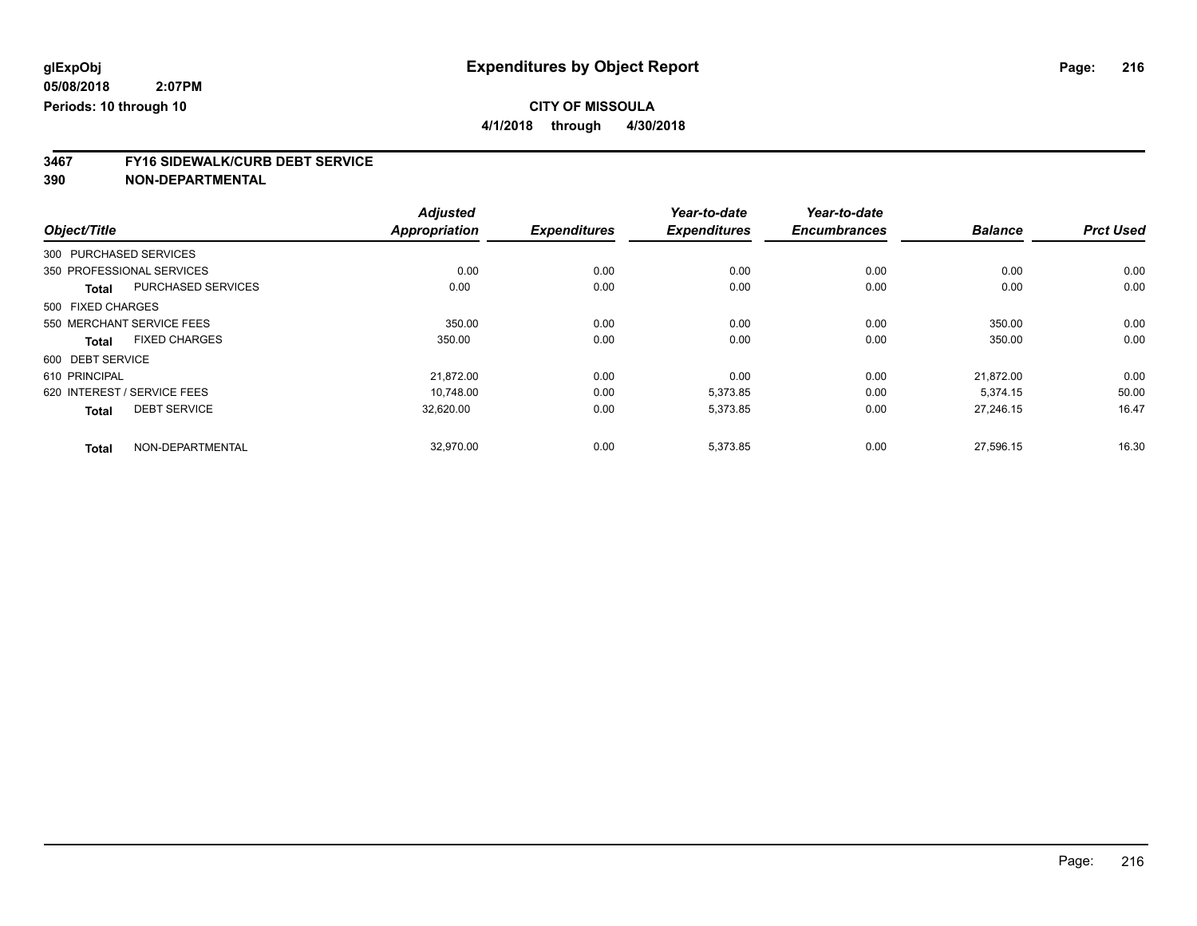# **3467 FY16 SIDEWALK/CURB DEBT SERVICE**

|                   |                             | <b>Adjusted</b>      |                     | Year-to-date        | Year-to-date        |                |                  |
|-------------------|-----------------------------|----------------------|---------------------|---------------------|---------------------|----------------|------------------|
| Object/Title      |                             | <b>Appropriation</b> | <b>Expenditures</b> | <b>Expenditures</b> | <b>Encumbrances</b> | <b>Balance</b> | <b>Prct Used</b> |
|                   | 300 PURCHASED SERVICES      |                      |                     |                     |                     |                |                  |
|                   | 350 PROFESSIONAL SERVICES   | 0.00                 | 0.00                | 0.00                | 0.00                | 0.00           | 0.00             |
| <b>Total</b>      | <b>PURCHASED SERVICES</b>   | 0.00                 | 0.00                | 0.00                | 0.00                | 0.00           | 0.00             |
| 500 FIXED CHARGES |                             |                      |                     |                     |                     |                |                  |
|                   | 550 MERCHANT SERVICE FEES   | 350.00               | 0.00                | 0.00                | 0.00                | 350.00         | 0.00             |
| <b>Total</b>      | <b>FIXED CHARGES</b>        | 350.00               | 0.00                | 0.00                | 0.00                | 350.00         | 0.00             |
| 600 DEBT SERVICE  |                             |                      |                     |                     |                     |                |                  |
| 610 PRINCIPAL     |                             | 21,872.00            | 0.00                | 0.00                | 0.00                | 21.872.00      | 0.00             |
|                   | 620 INTEREST / SERVICE FEES | 10.748.00            | 0.00                | 5,373.85            | 0.00                | 5,374.15       | 50.00            |
| <b>Total</b>      | <b>DEBT SERVICE</b>         | 32,620.00            | 0.00                | 5,373.85            | 0.00                | 27.246.15      | 16.47            |
| <b>Total</b>      | NON-DEPARTMENTAL            | 32,970.00            | 0.00                | 5,373.85            | 0.00                | 27,596.15      | 16.30            |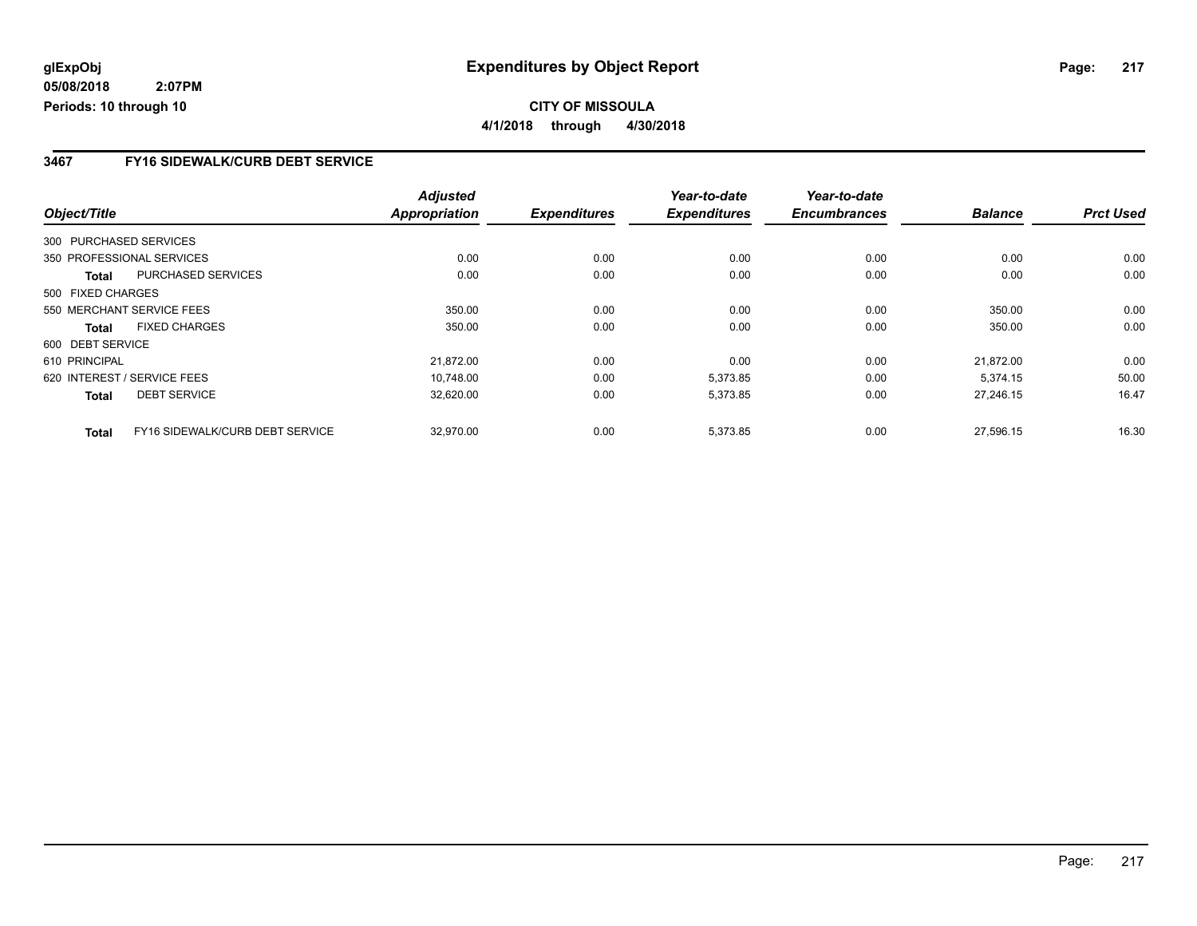## **3467 FY16 SIDEWALK/CURB DEBT SERVICE**

|                   |                                 | <b>Adjusted</b>      |                     | Year-to-date        | Year-to-date        |                |                  |
|-------------------|---------------------------------|----------------------|---------------------|---------------------|---------------------|----------------|------------------|
| Object/Title      |                                 | <b>Appropriation</b> | <b>Expenditures</b> | <b>Expenditures</b> | <b>Encumbrances</b> | <b>Balance</b> | <b>Prct Used</b> |
|                   | 300 PURCHASED SERVICES          |                      |                     |                     |                     |                |                  |
|                   | 350 PROFESSIONAL SERVICES       | 0.00                 | 0.00                | 0.00                | 0.00                | 0.00           | 0.00             |
| Total             | <b>PURCHASED SERVICES</b>       | 0.00                 | 0.00                | 0.00                | 0.00                | 0.00           | 0.00             |
| 500 FIXED CHARGES |                                 |                      |                     |                     |                     |                |                  |
|                   | 550 MERCHANT SERVICE FEES       | 350.00               | 0.00                | 0.00                | 0.00                | 350.00         | 0.00             |
| Total             | <b>FIXED CHARGES</b>            | 350.00               | 0.00                | 0.00                | 0.00                | 350.00         | 0.00             |
| 600 DEBT SERVICE  |                                 |                      |                     |                     |                     |                |                  |
| 610 PRINCIPAL     |                                 | 21,872.00            | 0.00                | 0.00                | 0.00                | 21,872.00      | 0.00             |
|                   | 620 INTEREST / SERVICE FEES     | 10.748.00            | 0.00                | 5.373.85            | 0.00                | 5.374.15       | 50.00            |
| Total             | <b>DEBT SERVICE</b>             | 32,620.00            | 0.00                | 5,373.85            | 0.00                | 27,246.15      | 16.47            |
| <b>Total</b>      | FY16 SIDEWALK/CURB DEBT SERVICE | 32.970.00            | 0.00                | 5.373.85            | 0.00                | 27.596.15      | 16.30            |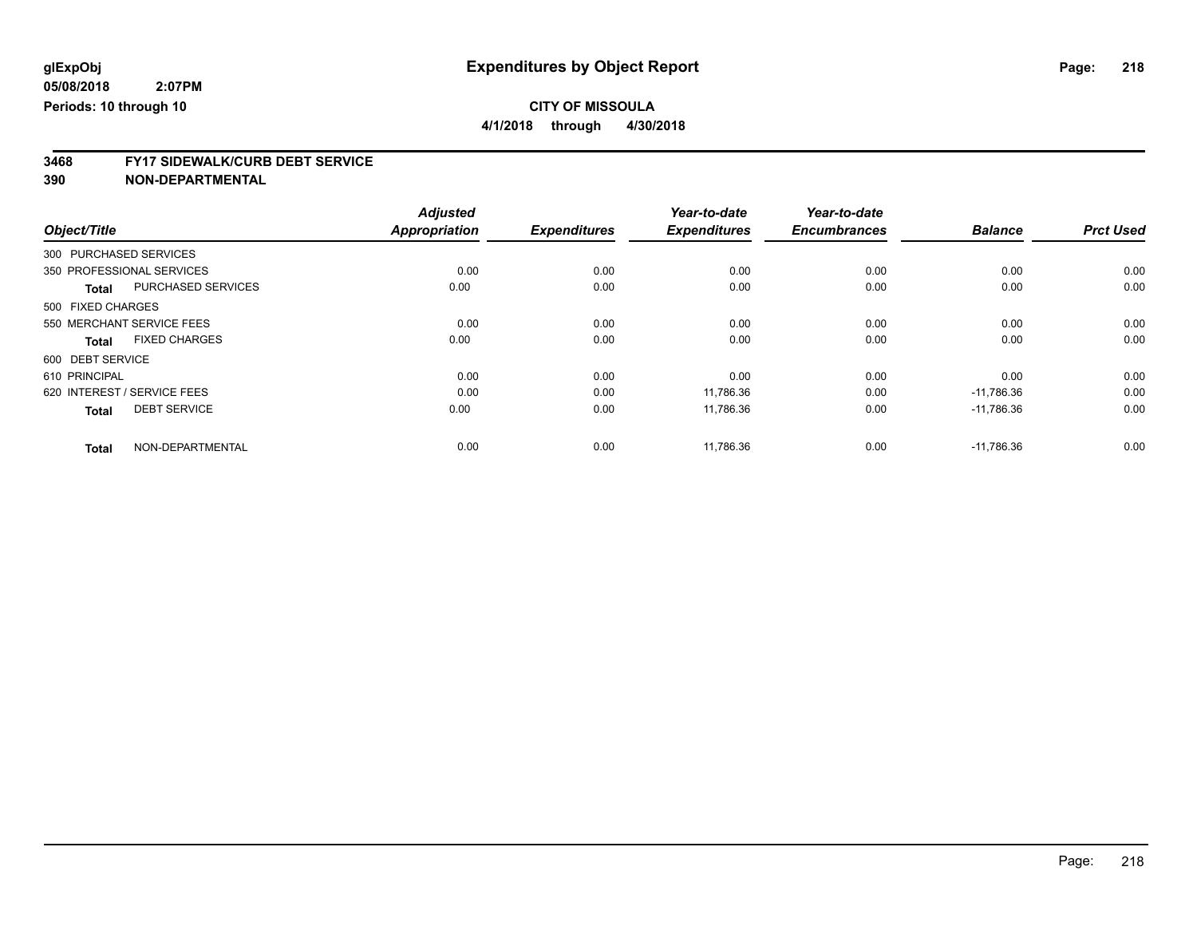**3468 FY17 SIDEWALK/CURB DEBT SERVICE**

|                   |                             | <b>Adjusted</b>      |                     | Year-to-date        | Year-to-date        |                |                  |
|-------------------|-----------------------------|----------------------|---------------------|---------------------|---------------------|----------------|------------------|
| Object/Title      |                             | <b>Appropriation</b> | <b>Expenditures</b> | <b>Expenditures</b> | <b>Encumbrances</b> | <b>Balance</b> | <b>Prct Used</b> |
|                   | 300 PURCHASED SERVICES      |                      |                     |                     |                     |                |                  |
|                   | 350 PROFESSIONAL SERVICES   | 0.00                 | 0.00                | 0.00                | 0.00                | 0.00           | 0.00             |
| <b>Total</b>      | <b>PURCHASED SERVICES</b>   | 0.00                 | 0.00                | 0.00                | 0.00                | 0.00           | 0.00             |
| 500 FIXED CHARGES |                             |                      |                     |                     |                     |                |                  |
|                   | 550 MERCHANT SERVICE FEES   | 0.00                 | 0.00                | 0.00                | 0.00                | 0.00           | 0.00             |
| Total             | <b>FIXED CHARGES</b>        | 0.00                 | 0.00                | 0.00                | 0.00                | 0.00           | 0.00             |
| 600 DEBT SERVICE  |                             |                      |                     |                     |                     |                |                  |
| 610 PRINCIPAL     |                             | 0.00                 | 0.00                | 0.00                | 0.00                | 0.00           | 0.00             |
|                   | 620 INTEREST / SERVICE FEES | 0.00                 | 0.00                | 11,786.36           | 0.00                | $-11,786.36$   | 0.00             |
| <b>Total</b>      | <b>DEBT SERVICE</b>         | 0.00                 | 0.00                | 11,786.36           | 0.00                | $-11.786.36$   | 0.00             |
| <b>Total</b>      | NON-DEPARTMENTAL            | 0.00                 | 0.00                | 11,786.36           | 0.00                | $-11,786.36$   | 0.00             |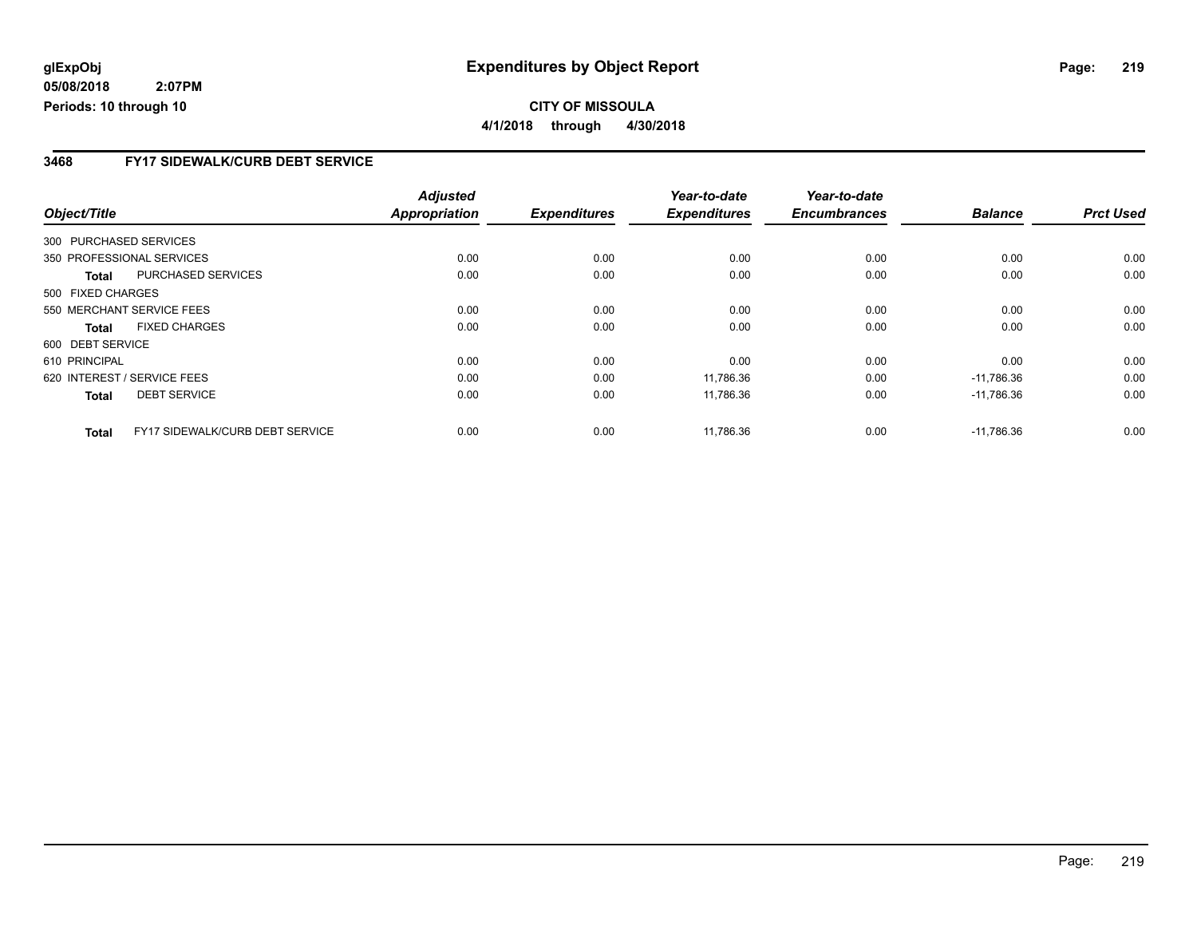**CITY OF MISSOULA 4/1/2018 through 4/30/2018**

## **3468 FY17 SIDEWALK/CURB DEBT SERVICE**

|                        |                                        | <b>Adjusted</b>      |                     | Year-to-date        | Year-to-date        |                |                  |
|------------------------|----------------------------------------|----------------------|---------------------|---------------------|---------------------|----------------|------------------|
| Object/Title           |                                        | <b>Appropriation</b> | <b>Expenditures</b> | <b>Expenditures</b> | <b>Encumbrances</b> | <b>Balance</b> | <b>Prct Used</b> |
| 300 PURCHASED SERVICES |                                        |                      |                     |                     |                     |                |                  |
|                        | 350 PROFESSIONAL SERVICES              | 0.00                 | 0.00                | 0.00                | 0.00                | 0.00           | 0.00             |
| Total                  | PURCHASED SERVICES                     | 0.00                 | 0.00                | 0.00                | 0.00                | 0.00           | 0.00             |
| 500 FIXED CHARGES      |                                        |                      |                     |                     |                     |                |                  |
|                        | 550 MERCHANT SERVICE FEES              | 0.00                 | 0.00                | 0.00                | 0.00                | 0.00           | 0.00             |
| Total                  | <b>FIXED CHARGES</b>                   | 0.00                 | 0.00                | 0.00                | 0.00                | 0.00           | 0.00             |
| 600 DEBT SERVICE       |                                        |                      |                     |                     |                     |                |                  |
| 610 PRINCIPAL          |                                        | 0.00                 | 0.00                | 0.00                | 0.00                | 0.00           | 0.00             |
|                        | 620 INTEREST / SERVICE FEES            | 0.00                 | 0.00                | 11,786.36           | 0.00                | $-11.786.36$   | 0.00             |
| <b>Total</b>           | <b>DEBT SERVICE</b>                    | 0.00                 | 0.00                | 11,786.36           | 0.00                | $-11.786.36$   | 0.00             |
| <b>Total</b>           | <b>FY17 SIDEWALK/CURB DEBT SERVICE</b> | 0.00                 | 0.00                | 11.786.36           | 0.00                | $-11.786.36$   | 0.00             |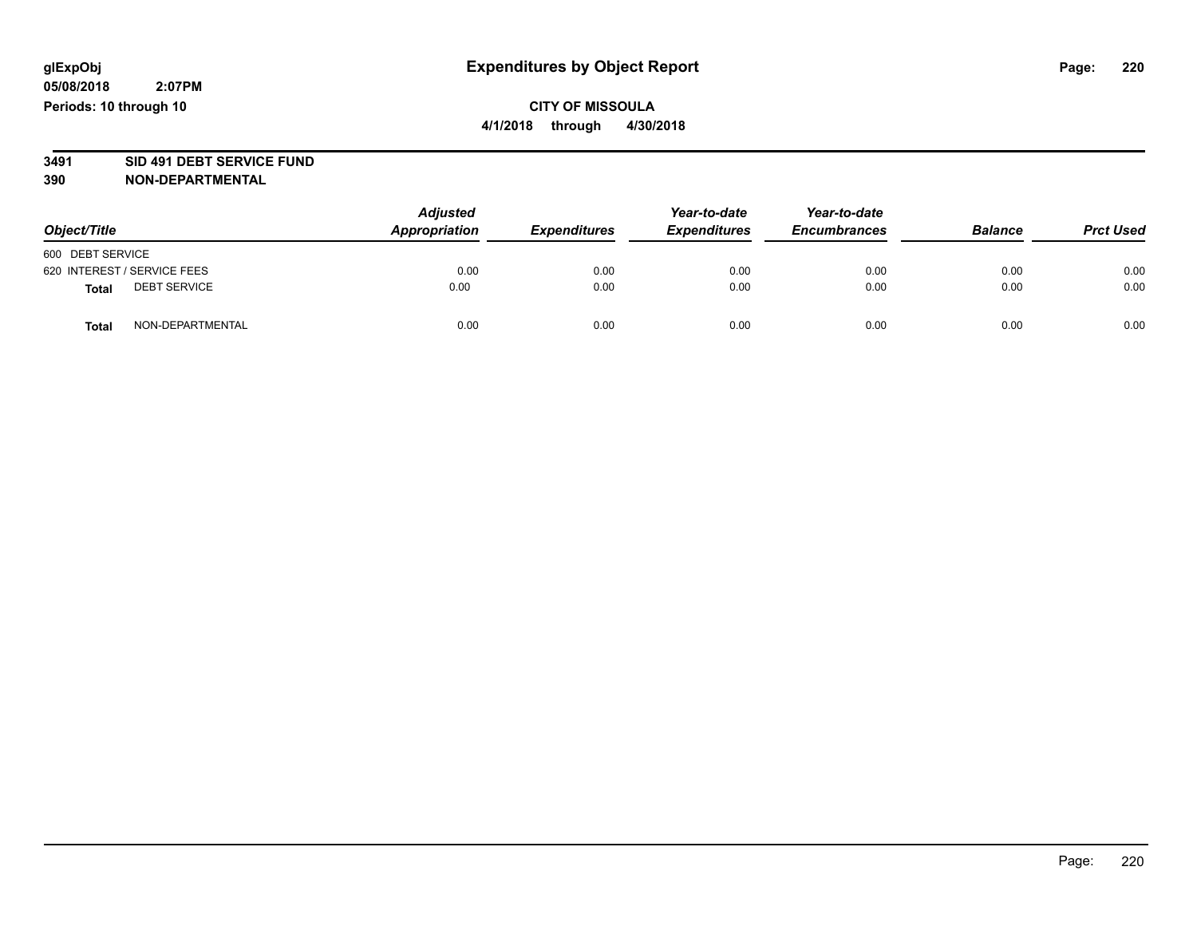# **3491 SID 491 DEBT SERVICE FUND**

**390 NON-DEPARTMENTAL**

**05/08/2018**

**Periods: 10 through 10**

| Object/Title                        | <b>Adjusted</b><br>Appropriation | <b>Expenditures</b> | Year-to-date<br><b>Expenditures</b> | Year-to-date<br><b>Encumbrances</b> | <b>Balance</b> | <b>Prct Used</b> |
|-------------------------------------|----------------------------------|---------------------|-------------------------------------|-------------------------------------|----------------|------------------|
| 600 DEBT SERVICE                    |                                  |                     |                                     |                                     |                |                  |
| 620 INTEREST / SERVICE FEES         | 0.00                             | 0.00                | 0.00                                | 0.00                                | 0.00           | 0.00             |
| <b>DEBT SERVICE</b><br><b>Total</b> | 0.00                             | 0.00                | 0.00                                | 0.00                                | 0.00           | 0.00             |
| NON-DEPARTMENTAL<br><b>Total</b>    | 0.00                             | 0.00                | 0.00                                | 0.00                                | 0.00           | 0.00             |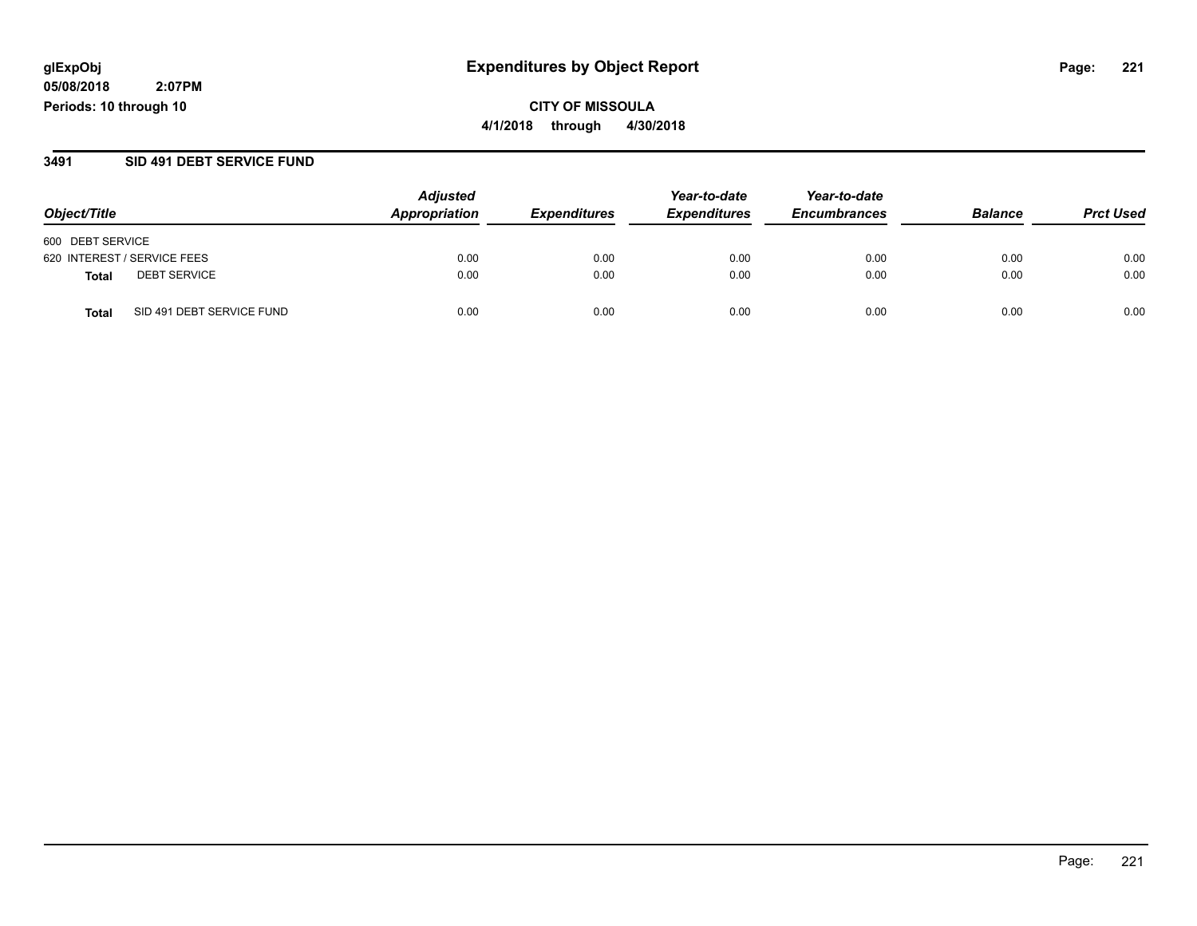**CITY OF MISSOULA 4/1/2018 through 4/30/2018**

## **3491 SID 491 DEBT SERVICE FUND**

|                                           | <b>Adjusted</b> |                            | Year-to-date        | Year-to-date        |                |                  |
|-------------------------------------------|-----------------|----------------------------|---------------------|---------------------|----------------|------------------|
| Object/Title                              | Appropriation   | <i><b>Expenditures</b></i> | <b>Expenditures</b> | <b>Encumbrances</b> | <b>Balance</b> | <b>Prct Used</b> |
| 600 DEBT SERVICE                          |                 |                            |                     |                     |                |                  |
| 620 INTEREST / SERVICE FEES               | 0.00            | 0.00                       | 0.00                | 0.00                | 0.00           | 0.00             |
| <b>DEBT SERVICE</b><br><b>Total</b>       | 0.00            | 0.00                       | 0.00                | 0.00                | 0.00           | 0.00             |
| SID 491 DEBT SERVICE FUND<br><b>Total</b> | 0.00            | 0.00                       | 0.00                | 0.00                | 0.00           | 0.00             |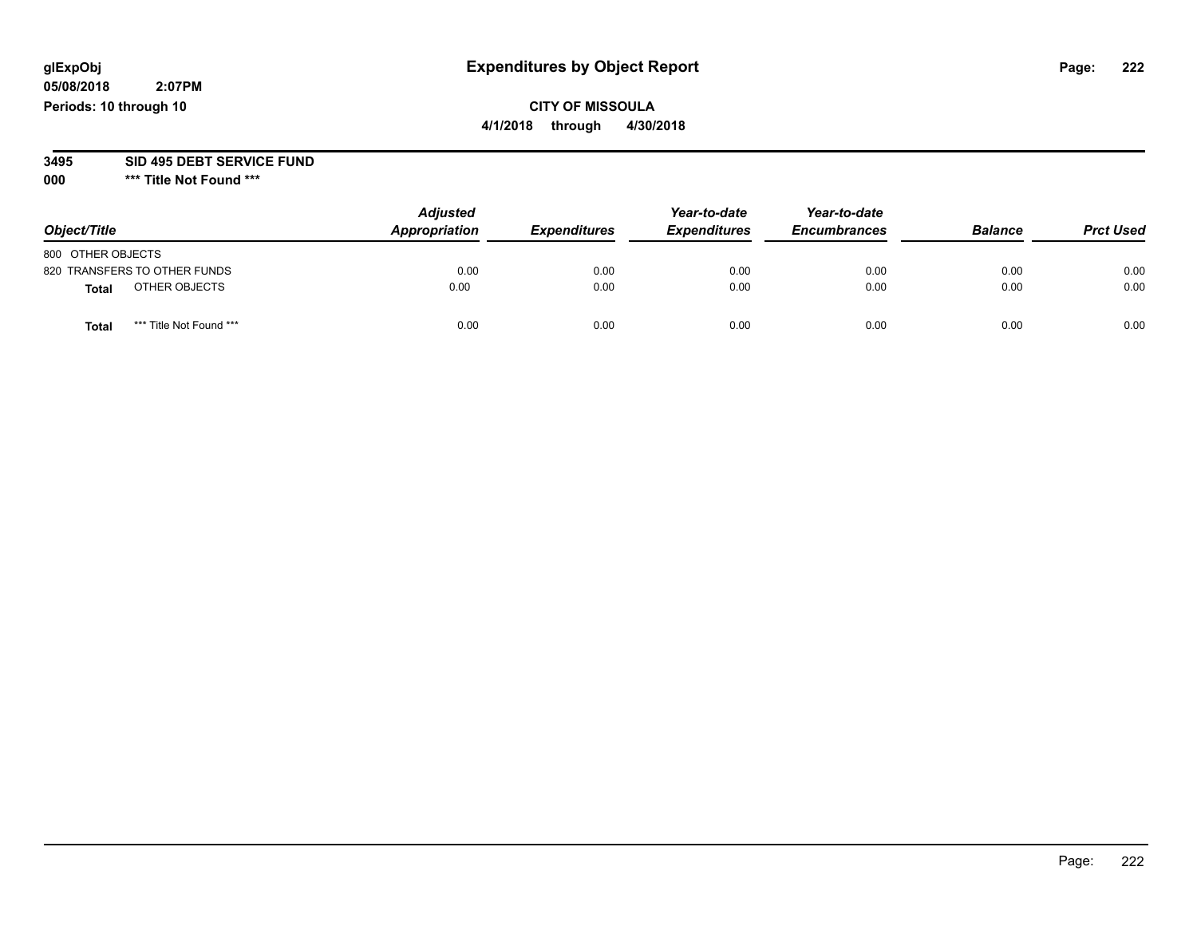# **CITY OF MISSOULA 4/1/2018 through 4/30/2018**

# **3495 SID 495 DEBT SERVICE FUND**

| Object/Title                 |                         | <b>Adjusted</b><br>Appropriation | <b>Expenditures</b> | Year-to-date<br><b>Expenditures</b> | Year-to-date<br><b>Encumbrances</b> | <b>Balance</b> | <b>Prct Used</b> |
|------------------------------|-------------------------|----------------------------------|---------------------|-------------------------------------|-------------------------------------|----------------|------------------|
| 800 OTHER OBJECTS            |                         |                                  |                     |                                     |                                     |                |                  |
| 820 TRANSFERS TO OTHER FUNDS |                         | 0.00                             | 0.00                | 0.00                                | 0.00                                | 0.00           | 0.00             |
| Total                        | OTHER OBJECTS           | 0.00                             | 0.00                | 0.00                                | 0.00                                | 0.00           | 0.00             |
| Tota                         | *** Title Not Found *** | 0.00                             | 0.00                | 0.00                                | 0.00                                | 0.00           | 0.00             |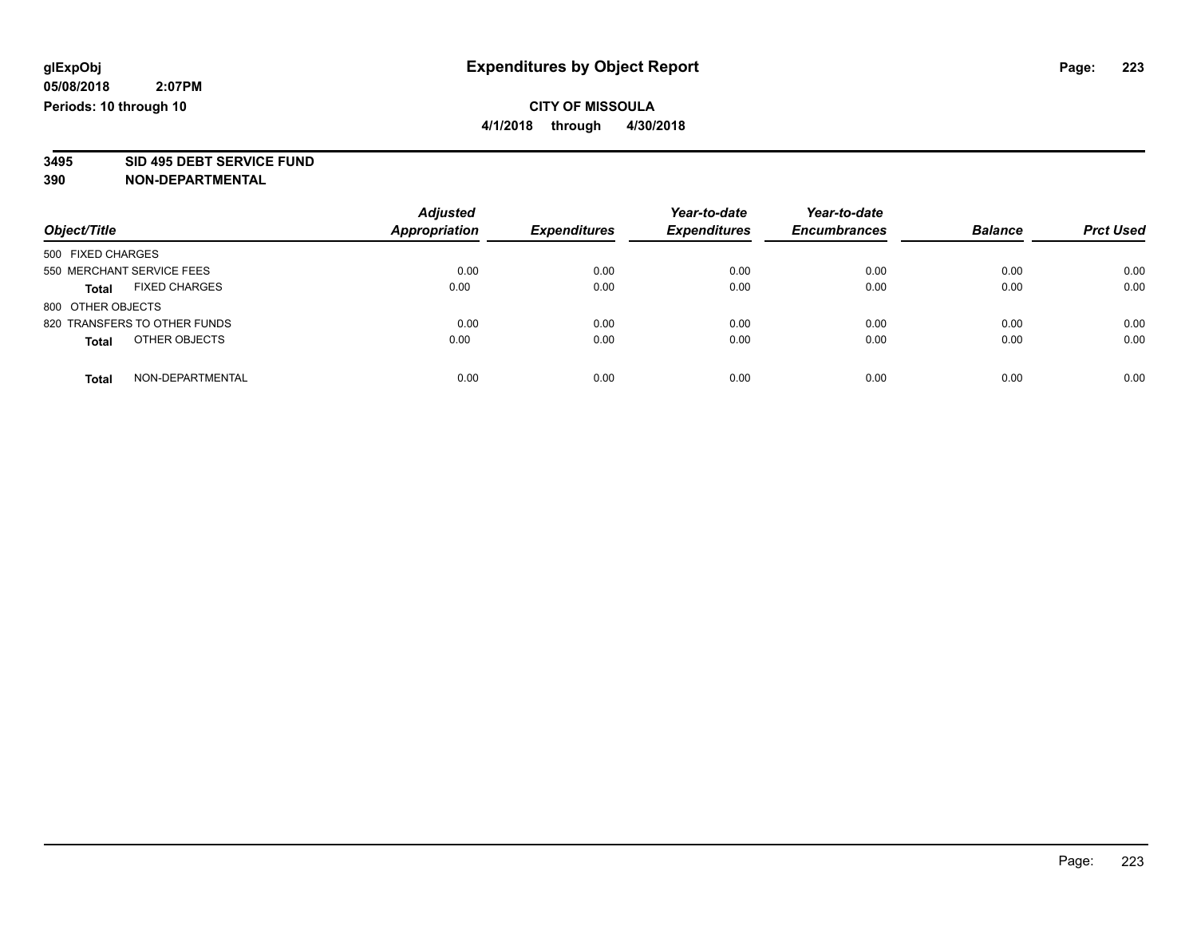**3495 SID 495 DEBT SERVICE FUND**

| Object/Title                  | <b>Adjusted</b><br>Appropriation | <b>Expenditures</b> | Year-to-date<br><b>Expenditures</b> | Year-to-date<br><b>Encumbrances</b> | <b>Balance</b> | <b>Prct Used</b> |
|-------------------------------|----------------------------------|---------------------|-------------------------------------|-------------------------------------|----------------|------------------|
| 500 FIXED CHARGES             |                                  |                     |                                     |                                     |                |                  |
| 550 MERCHANT SERVICE FEES     | 0.00                             | 0.00                | 0.00                                | 0.00                                | 0.00           | 0.00             |
| <b>FIXED CHARGES</b><br>Total | 0.00                             | 0.00                | 0.00                                | 0.00                                | 0.00           | 0.00             |
| 800 OTHER OBJECTS             |                                  |                     |                                     |                                     |                |                  |
| 820 TRANSFERS TO OTHER FUNDS  | 0.00                             | 0.00                | 0.00                                | 0.00                                | 0.00           | 0.00             |
| OTHER OBJECTS<br><b>Total</b> | 0.00                             | 0.00                | 0.00                                | 0.00                                | 0.00           | 0.00             |
| NON-DEPARTMENTAL<br>Total     | 0.00                             | 0.00                | 0.00                                | 0.00                                | 0.00           | 0.00             |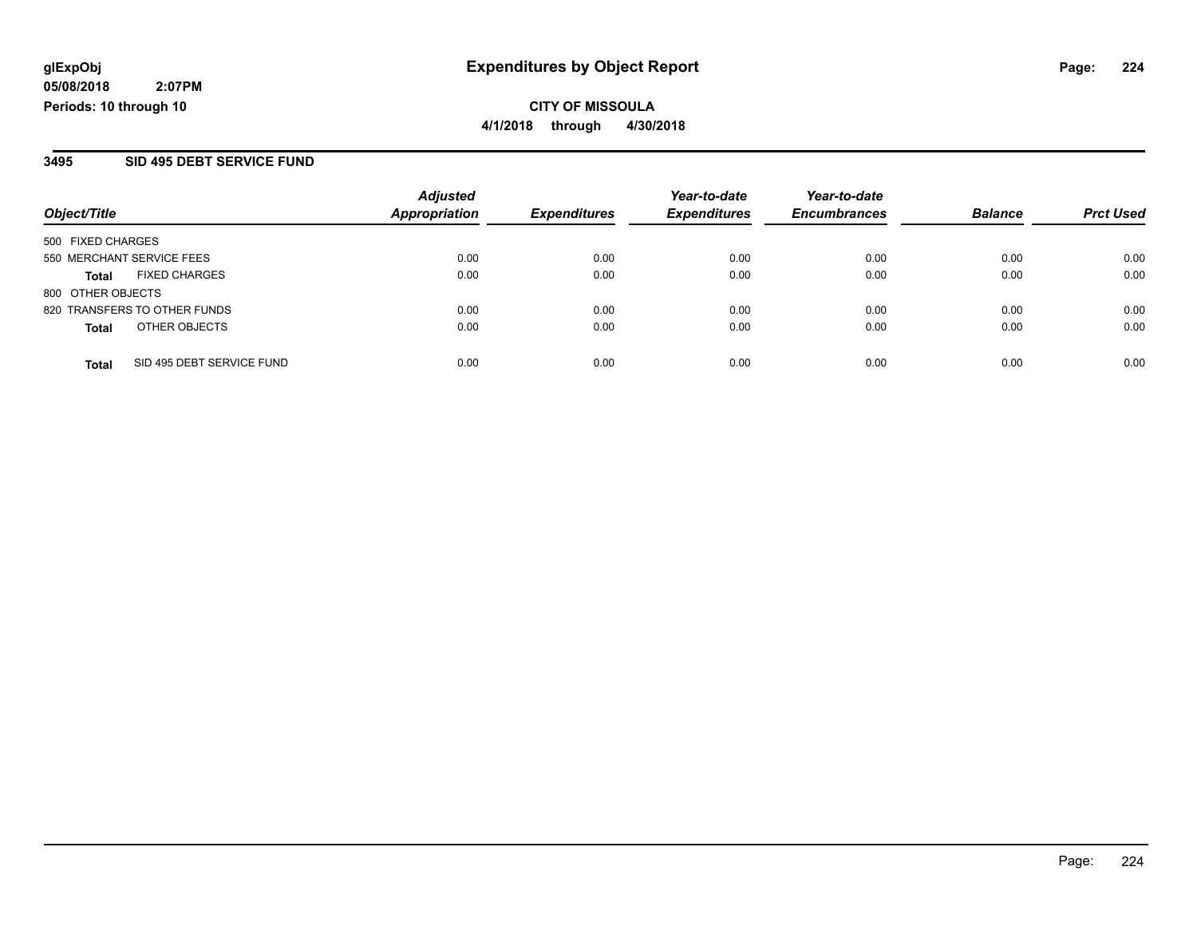**CITY OF MISSOULA 4/1/2018 through 4/30/2018**

### **3495 SID 495 DEBT SERVICE FUND**

| Object/Title                              | <b>Adjusted</b><br><b>Appropriation</b> | <b>Expenditures</b> | Year-to-date<br><b>Expenditures</b> | Year-to-date<br><b>Encumbrances</b> | <b>Balance</b> | <b>Prct Used</b> |
|-------------------------------------------|-----------------------------------------|---------------------|-------------------------------------|-------------------------------------|----------------|------------------|
|                                           |                                         |                     |                                     |                                     |                |                  |
| 500 FIXED CHARGES                         |                                         |                     |                                     |                                     |                |                  |
| 550 MERCHANT SERVICE FEES                 | 0.00                                    | 0.00                | 0.00                                | 0.00                                | 0.00           | 0.00             |
| <b>FIXED CHARGES</b><br><b>Total</b>      | 0.00                                    | 0.00                | 0.00                                | 0.00                                | 0.00           | 0.00             |
| 800 OTHER OBJECTS                         |                                         |                     |                                     |                                     |                |                  |
| 820 TRANSFERS TO OTHER FUNDS              | 0.00                                    | 0.00                | 0.00                                | 0.00                                | 0.00           | 0.00             |
| OTHER OBJECTS<br><b>Total</b>             | 0.00                                    | 0.00                | 0.00                                | 0.00                                | 0.00           | 0.00             |
|                                           |                                         |                     |                                     |                                     |                |                  |
| SID 495 DEBT SERVICE FUND<br><b>Total</b> | 0.00                                    | 0.00                | 0.00                                | 0.00                                | 0.00           | 0.00             |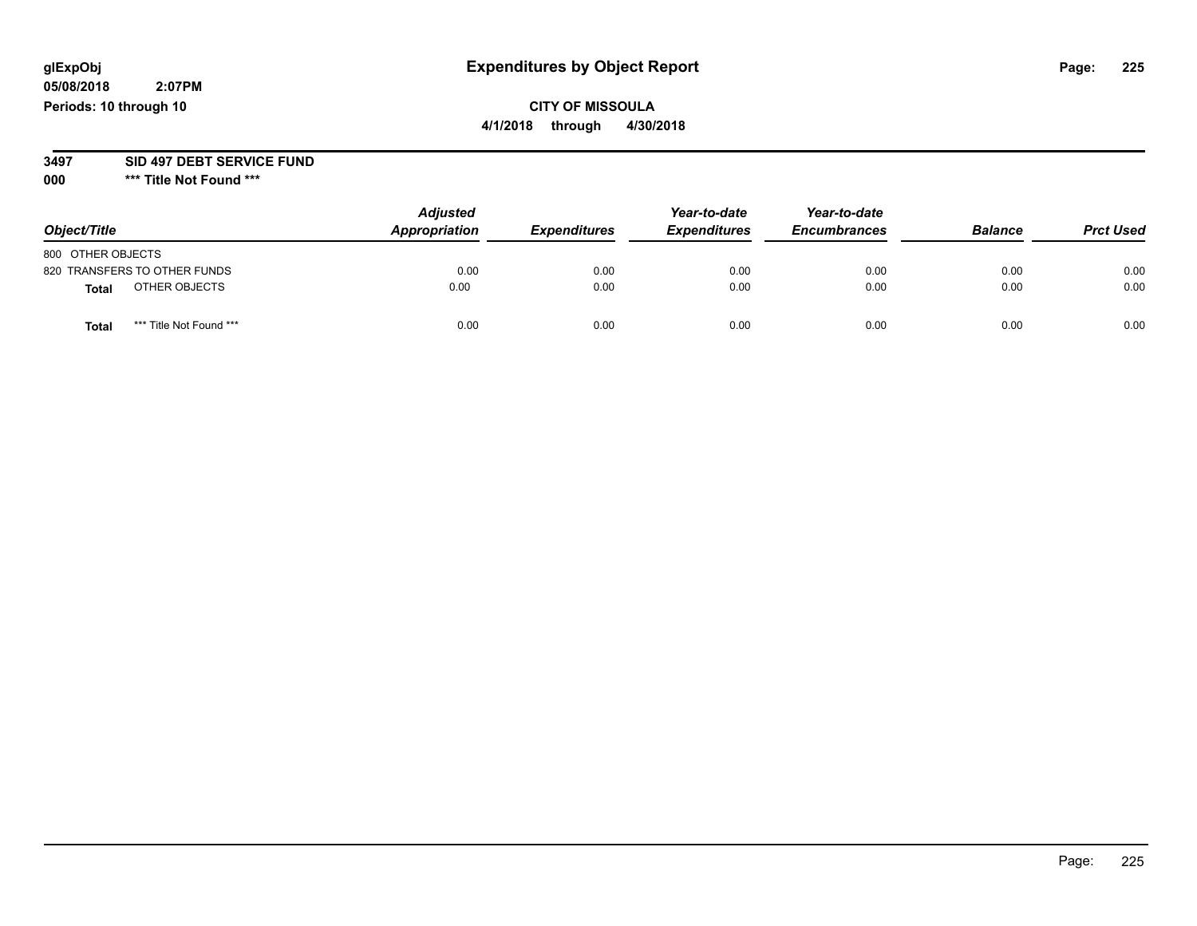# **CITY OF MISSOULA 4/1/2018 through 4/30/2018**

### **3497 SID 497 DEBT SERVICE FUND**

| Object/Title      |                              | <b>Adjusted</b><br>Appropriation | <b>Expenditures</b> | Year-to-date<br><b>Expenditures</b> | Year-to-date<br><b>Encumbrances</b> | <b>Balance</b> | <b>Prct Used</b> |
|-------------------|------------------------------|----------------------------------|---------------------|-------------------------------------|-------------------------------------|----------------|------------------|
| 800 OTHER OBJECTS |                              |                                  |                     |                                     |                                     |                |                  |
|                   | 820 TRANSFERS TO OTHER FUNDS | 0.00                             | 0.00                | 0.00                                | 0.00                                | 0.00           | 0.00             |
| <b>Total</b>      | OTHER OBJECTS                | 0.00                             | 0.00                | 0.00                                | 0.00                                | 0.00           | 0.00             |
| <b>Total</b>      | *** Title Not Found ***      | 0.00                             | 0.00                | 0.00                                | 0.00                                | 0.00           | 0.00             |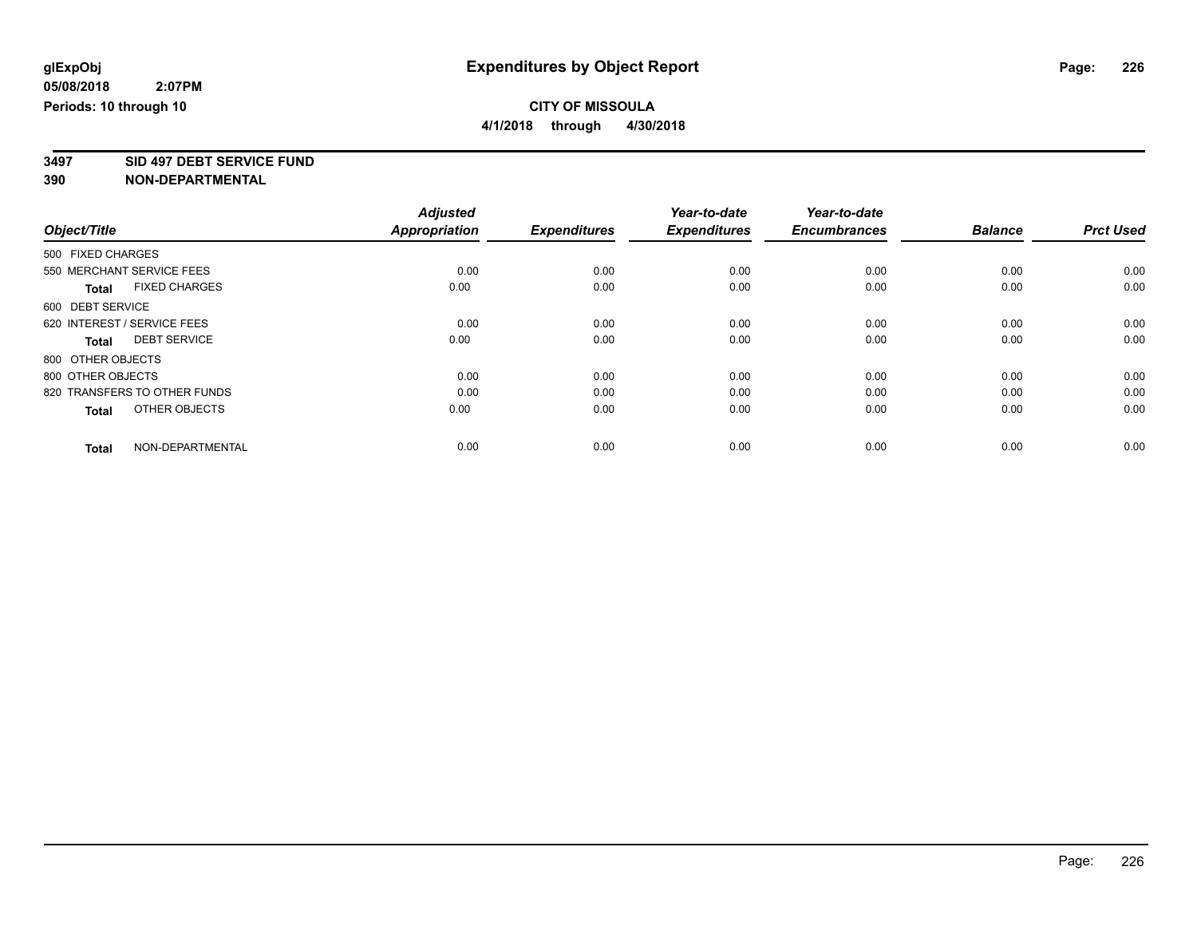**3497 SID 497 DEBT SERVICE FUND**

|                                      | <b>Adjusted</b>      |                     | Year-to-date        | Year-to-date        |                |                  |
|--------------------------------------|----------------------|---------------------|---------------------|---------------------|----------------|------------------|
| Object/Title                         | <b>Appropriation</b> | <b>Expenditures</b> | <b>Expenditures</b> | <b>Encumbrances</b> | <b>Balance</b> | <b>Prct Used</b> |
| 500 FIXED CHARGES                    |                      |                     |                     |                     |                |                  |
| 550 MERCHANT SERVICE FEES            | 0.00                 | 0.00                | 0.00                | 0.00                | 0.00           | 0.00             |
| <b>FIXED CHARGES</b><br><b>Total</b> | 0.00                 | 0.00                | 0.00                | 0.00                | 0.00           | 0.00             |
| 600 DEBT SERVICE                     |                      |                     |                     |                     |                |                  |
| 620 INTEREST / SERVICE FEES          | 0.00                 | 0.00                | 0.00                | 0.00                | 0.00           | 0.00             |
| <b>DEBT SERVICE</b><br>Total         | 0.00                 | 0.00                | 0.00                | 0.00                | 0.00           | 0.00             |
| 800 OTHER OBJECTS                    |                      |                     |                     |                     |                |                  |
| 800 OTHER OBJECTS                    | 0.00                 | 0.00                | 0.00                | 0.00                | 0.00           | 0.00             |
| 820 TRANSFERS TO OTHER FUNDS         | 0.00                 | 0.00                | 0.00                | 0.00                | 0.00           | 0.00             |
| OTHER OBJECTS<br><b>Total</b>        | 0.00                 | 0.00                | 0.00                | 0.00                | 0.00           | 0.00             |
|                                      |                      |                     |                     |                     |                |                  |
| NON-DEPARTMENTAL<br><b>Total</b>     | 0.00                 | 0.00                | 0.00                | 0.00                | 0.00           | 0.00             |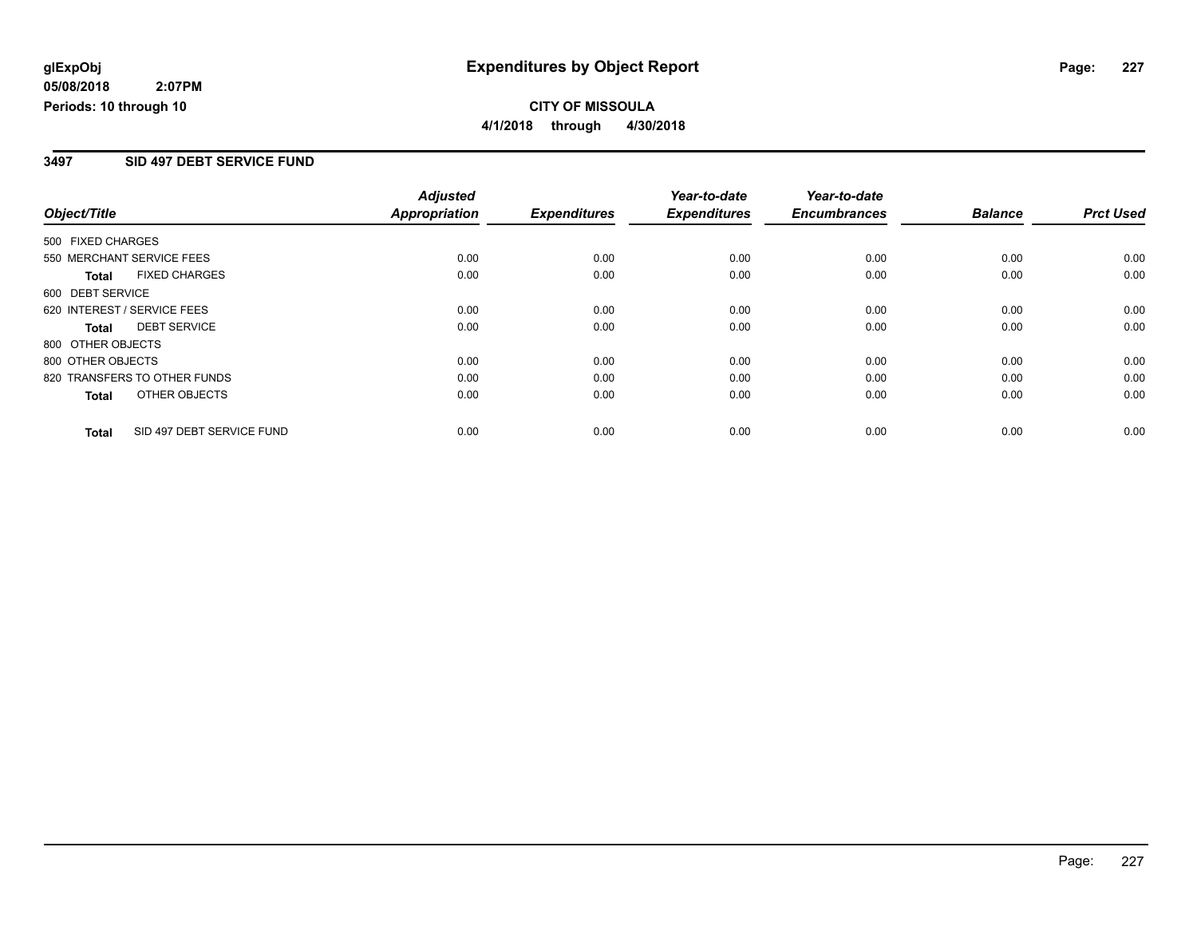## **3497 SID 497 DEBT SERVICE FUND**

|                                           | <b>Adjusted</b>      |                     | Year-to-date        | Year-to-date        |                |                  |
|-------------------------------------------|----------------------|---------------------|---------------------|---------------------|----------------|------------------|
| Object/Title                              | <b>Appropriation</b> | <b>Expenditures</b> | <b>Expenditures</b> | <b>Encumbrances</b> | <b>Balance</b> | <b>Prct Used</b> |
| 500 FIXED CHARGES                         |                      |                     |                     |                     |                |                  |
| 550 MERCHANT SERVICE FEES                 | 0.00                 | 0.00                | 0.00                | 0.00                | 0.00           | 0.00             |
| <b>FIXED CHARGES</b><br><b>Total</b>      | 0.00                 | 0.00                | 0.00                | 0.00                | 0.00           | 0.00             |
| 600 DEBT SERVICE                          |                      |                     |                     |                     |                |                  |
| 620 INTEREST / SERVICE FEES               | 0.00                 | 0.00                | 0.00                | 0.00                | 0.00           | 0.00             |
| <b>DEBT SERVICE</b><br><b>Total</b>       | 0.00                 | 0.00                | 0.00                | 0.00                | 0.00           | 0.00             |
| 800 OTHER OBJECTS                         |                      |                     |                     |                     |                |                  |
| 800 OTHER OBJECTS                         | 0.00                 | 0.00                | 0.00                | 0.00                | 0.00           | 0.00             |
| 820 TRANSFERS TO OTHER FUNDS              | 0.00                 | 0.00                | 0.00                | 0.00                | 0.00           | 0.00             |
| OTHER OBJECTS<br><b>Total</b>             | 0.00                 | 0.00                | 0.00                | 0.00                | 0.00           | 0.00             |
| SID 497 DEBT SERVICE FUND<br><b>Total</b> | 0.00                 | 0.00                | 0.00                | 0.00                | 0.00           | 0.00             |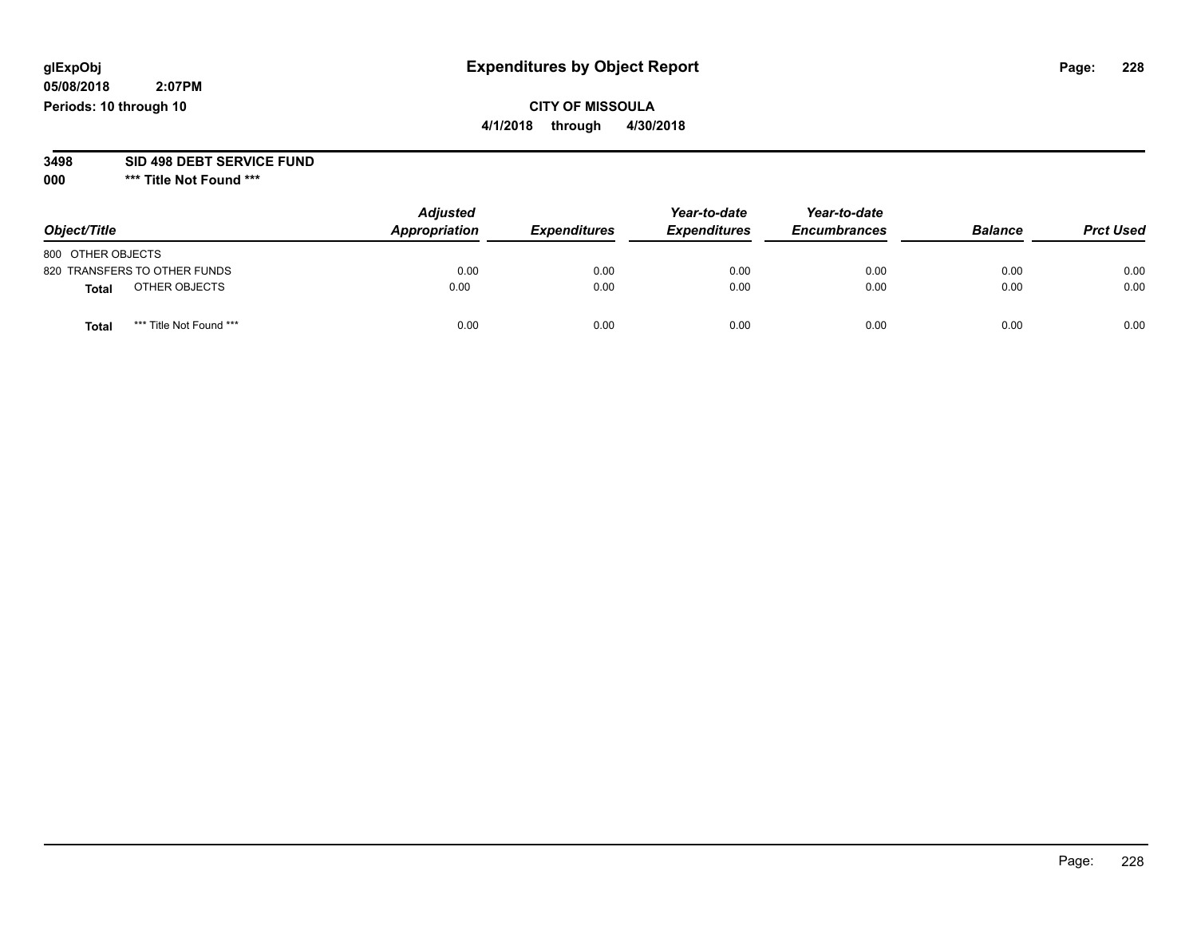# **CITY OF MISSOULA 4/1/2018 through 4/30/2018**

### **3498 SID 498 DEBT SERVICE FUND**

| Object/Title                 |                         | <b>Adjusted</b><br>Appropriation | <b>Expenditures</b> | Year-to-date<br><b>Expenditures</b> | Year-to-date<br><b>Encumbrances</b> | <b>Balance</b> | <b>Prct Used</b> |
|------------------------------|-------------------------|----------------------------------|---------------------|-------------------------------------|-------------------------------------|----------------|------------------|
| 800 OTHER OBJECTS            |                         |                                  |                     |                                     |                                     |                |                  |
| 820 TRANSFERS TO OTHER FUNDS |                         | 0.00                             | 0.00                | 0.00                                | 0.00                                | 0.00           | 0.00             |
| Total                        | OTHER OBJECTS           | 0.00                             | 0.00                | 0.00                                | 0.00                                | 0.00           | 0.00             |
| Tota                         | *** Title Not Found *** | 0.00                             | 0.00                | 0.00                                | 0.00                                | 0.00           | 0.00             |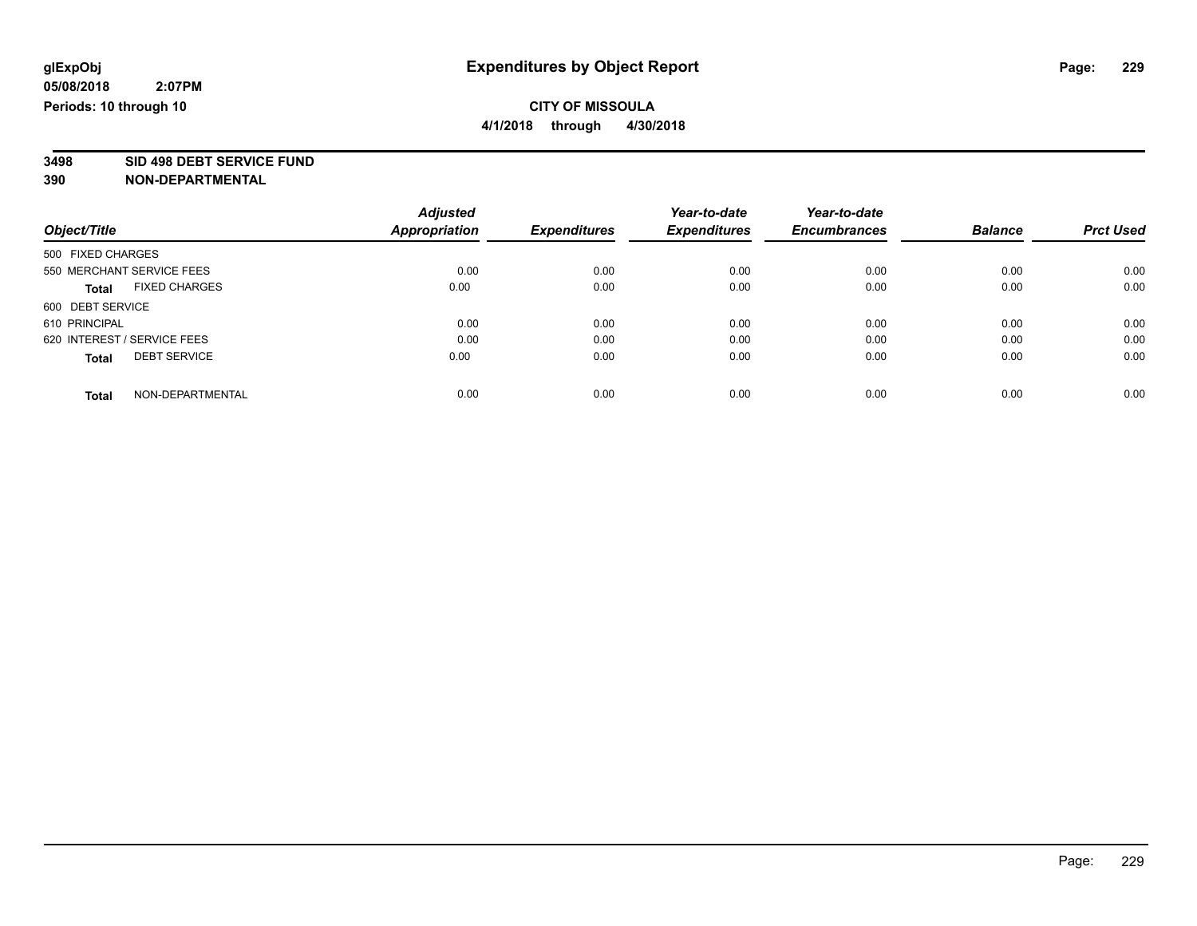**3498 SID 498 DEBT SERVICE FUND**

|                             |                      | <b>Adjusted</b> |                     | Year-to-date        | Year-to-date        |                |                  |
|-----------------------------|----------------------|-----------------|---------------------|---------------------|---------------------|----------------|------------------|
| Object/Title                |                      | Appropriation   | <b>Expenditures</b> | <b>Expenditures</b> | <b>Encumbrances</b> | <b>Balance</b> | <b>Prct Used</b> |
| 500 FIXED CHARGES           |                      |                 |                     |                     |                     |                |                  |
| 550 MERCHANT SERVICE FEES   |                      | 0.00            | 0.00                | 0.00                | 0.00                | 0.00           | 0.00             |
| Total                       | <b>FIXED CHARGES</b> | 0.00            | 0.00                | 0.00                | 0.00                | 0.00           | 0.00             |
| 600 DEBT SERVICE            |                      |                 |                     |                     |                     |                |                  |
| 610 PRINCIPAL               |                      | 0.00            | 0.00                | 0.00                | 0.00                | 0.00           | 0.00             |
| 620 INTEREST / SERVICE FEES |                      | 0.00            | 0.00                | 0.00                | 0.00                | 0.00           | 0.00             |
| <b>Total</b>                | <b>DEBT SERVICE</b>  | 0.00            | 0.00                | 0.00                | 0.00                | 0.00           | 0.00             |
| <b>Total</b>                | NON-DEPARTMENTAL     | 0.00            | 0.00                | 0.00                | 0.00                | 0.00           | 0.00             |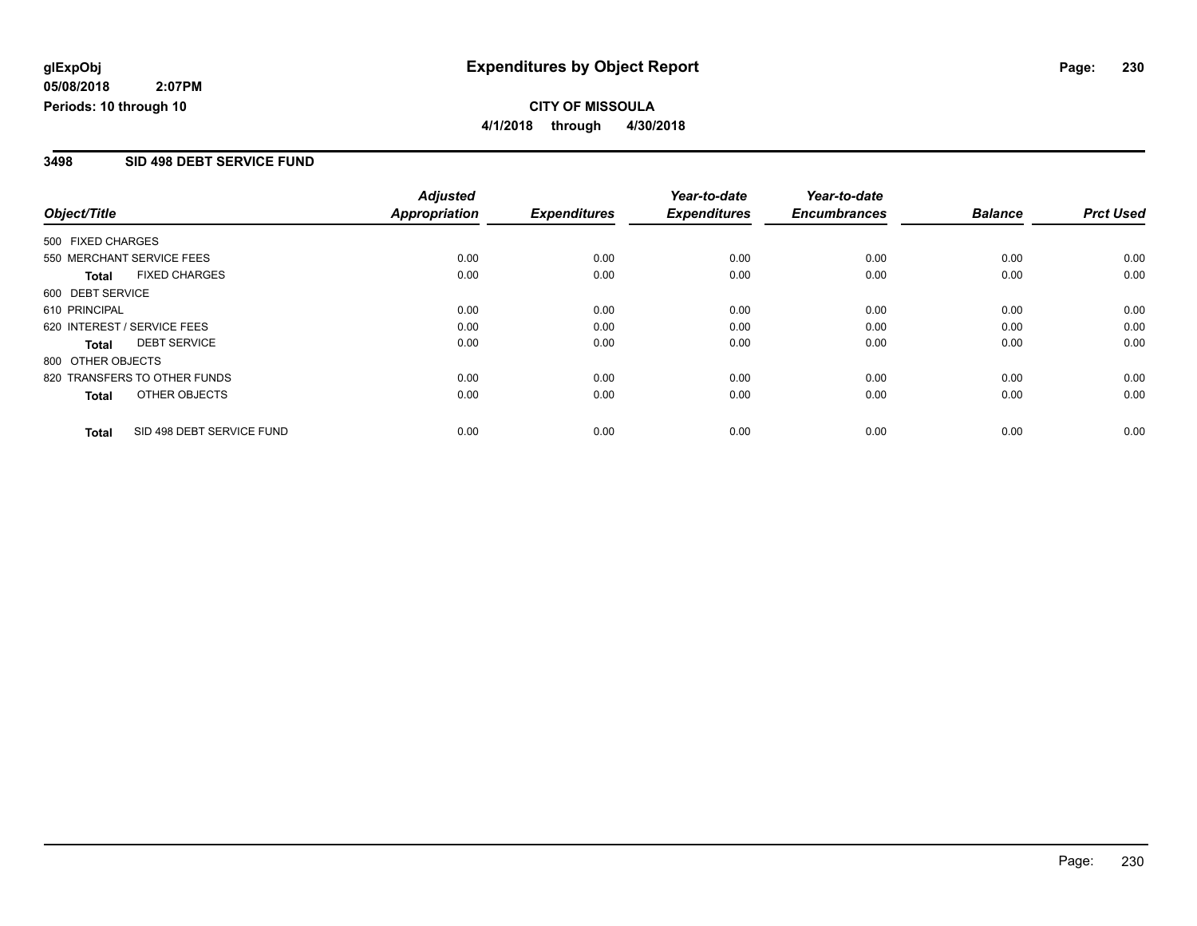## **3498 SID 498 DEBT SERVICE FUND**

|                             |                              | <b>Adjusted</b>      |                     | Year-to-date        | Year-to-date        |                |                  |
|-----------------------------|------------------------------|----------------------|---------------------|---------------------|---------------------|----------------|------------------|
| Object/Title                |                              | <b>Appropriation</b> | <b>Expenditures</b> | <b>Expenditures</b> | <b>Encumbrances</b> | <b>Balance</b> | <b>Prct Used</b> |
| 500 FIXED CHARGES           |                              |                      |                     |                     |                     |                |                  |
| 550 MERCHANT SERVICE FEES   |                              | 0.00                 | 0.00                | 0.00                | 0.00                | 0.00           | 0.00             |
| <b>Total</b>                | <b>FIXED CHARGES</b>         | 0.00                 | 0.00                | 0.00                | 0.00                | 0.00           | 0.00             |
| 600 DEBT SERVICE            |                              |                      |                     |                     |                     |                |                  |
| 610 PRINCIPAL               |                              | 0.00                 | 0.00                | 0.00                | 0.00                | 0.00           | 0.00             |
| 620 INTEREST / SERVICE FEES |                              | 0.00                 | 0.00                | 0.00                | 0.00                | 0.00           | 0.00             |
| <b>Total</b>                | <b>DEBT SERVICE</b>          | 0.00                 | 0.00                | 0.00                | 0.00                | 0.00           | 0.00             |
| 800 OTHER OBJECTS           |                              |                      |                     |                     |                     |                |                  |
|                             | 820 TRANSFERS TO OTHER FUNDS | 0.00                 | 0.00                | 0.00                | 0.00                | 0.00           | 0.00             |
| Total                       | OTHER OBJECTS                | 0.00                 | 0.00                | 0.00                | 0.00                | 0.00           | 0.00             |
| <b>Total</b>                | SID 498 DEBT SERVICE FUND    | 0.00                 | 0.00                | 0.00                | 0.00                | 0.00           | 0.00             |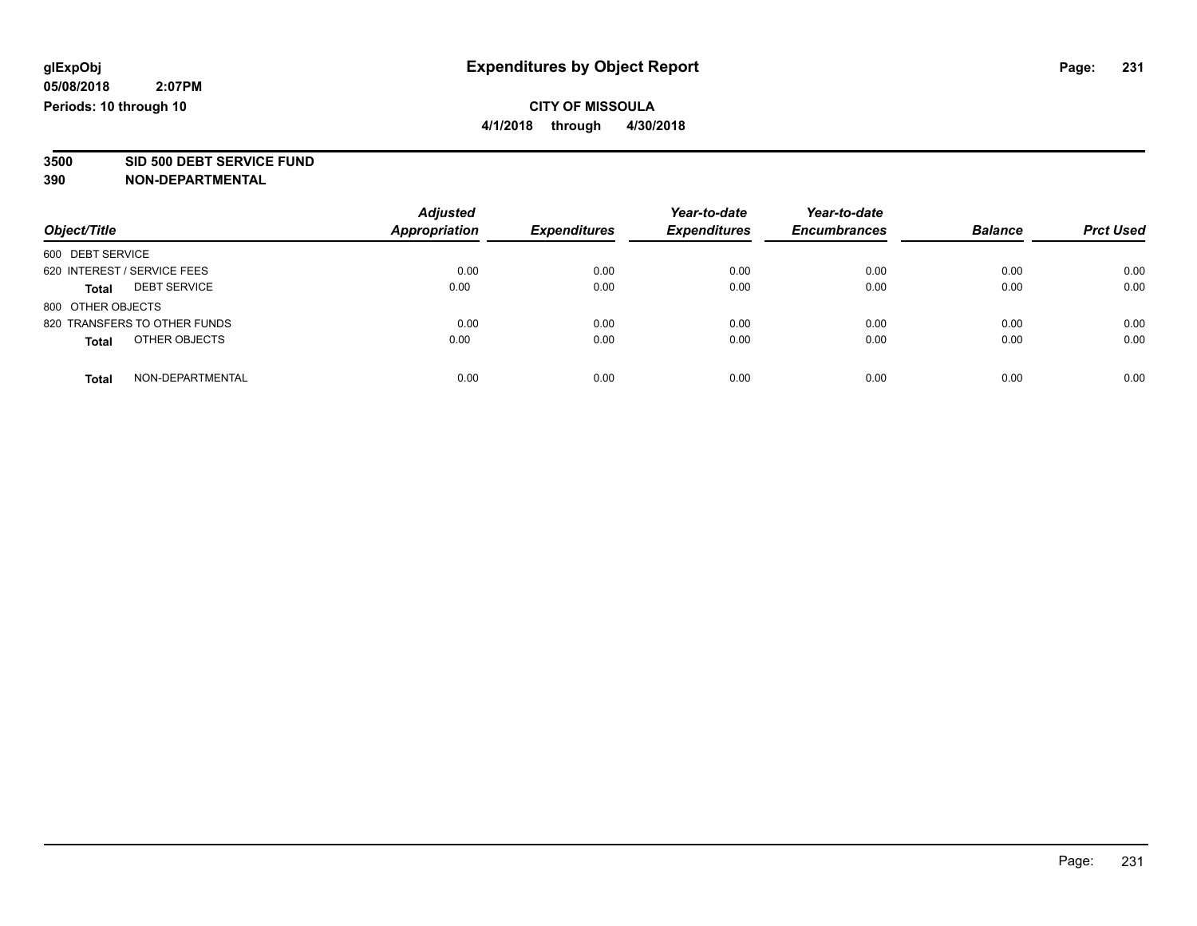**3500 SID 500 DEBT SERVICE FUND**

|                                     | <b>Adjusted</b>      |                     | Year-to-date        | Year-to-date        |                |                  |
|-------------------------------------|----------------------|---------------------|---------------------|---------------------|----------------|------------------|
| Object/Title                        | <b>Appropriation</b> | <b>Expenditures</b> | <b>Expenditures</b> | <b>Encumbrances</b> | <b>Balance</b> | <b>Prct Used</b> |
| 600 DEBT SERVICE                    |                      |                     |                     |                     |                |                  |
| 620 INTEREST / SERVICE FEES         | 0.00                 | 0.00                | 0.00                | 0.00                | 0.00           | 0.00             |
| <b>DEBT SERVICE</b><br><b>Total</b> | 0.00                 | 0.00                | 0.00                | 0.00                | 0.00           | 0.00             |
| 800 OTHER OBJECTS                   |                      |                     |                     |                     |                |                  |
| 820 TRANSFERS TO OTHER FUNDS        | 0.00                 | 0.00                | 0.00                | 0.00                | 0.00           | 0.00             |
| OTHER OBJECTS<br><b>Total</b>       | 0.00                 | 0.00                | 0.00                | 0.00                | 0.00           | 0.00             |
| NON-DEPARTMENTAL<br><b>Total</b>    | 0.00                 | 0.00                | 0.00                | 0.00                | 0.00           | 0.00             |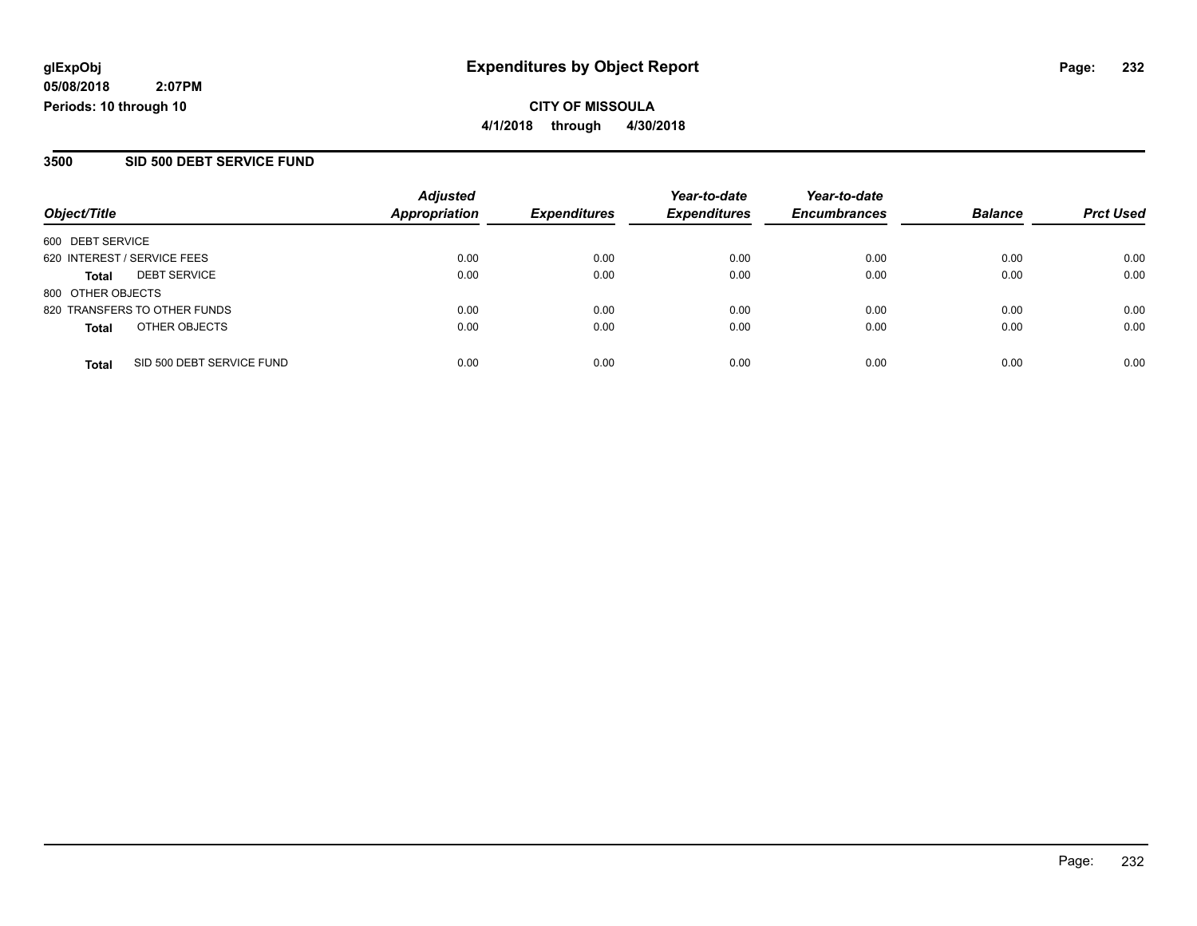**CITY OF MISSOULA 4/1/2018 through 4/30/2018**

## **3500 SID 500 DEBT SERVICE FUND**

| Object/Title                |                              | <b>Adjusted</b><br><b>Appropriation</b> | <b>Expenditures</b> | Year-to-date<br><b>Expenditures</b> | Year-to-date<br><b>Encumbrances</b> | <b>Balance</b> | <b>Prct Used</b> |
|-----------------------------|------------------------------|-----------------------------------------|---------------------|-------------------------------------|-------------------------------------|----------------|------------------|
|                             |                              |                                         |                     |                                     |                                     |                |                  |
| 600 DEBT SERVICE            |                              |                                         |                     |                                     |                                     |                |                  |
| 620 INTEREST / SERVICE FEES |                              | 0.00                                    | 0.00                | 0.00                                | 0.00                                | 0.00           | 0.00             |
| <b>Total</b>                | <b>DEBT SERVICE</b>          | 0.00                                    | 0.00                | 0.00                                | 0.00                                | 0.00           | 0.00             |
| 800 OTHER OBJECTS           |                              |                                         |                     |                                     |                                     |                |                  |
|                             | 820 TRANSFERS TO OTHER FUNDS | 0.00                                    | 0.00                | 0.00                                | 0.00                                | 0.00           | 0.00             |
| <b>Total</b>                | OTHER OBJECTS                | 0.00                                    | 0.00                | 0.00                                | 0.00                                | 0.00           | 0.00             |
| <b>Total</b>                | SID 500 DEBT SERVICE FUND    | 0.00                                    | 0.00                | 0.00                                | 0.00                                | 0.00           | 0.00             |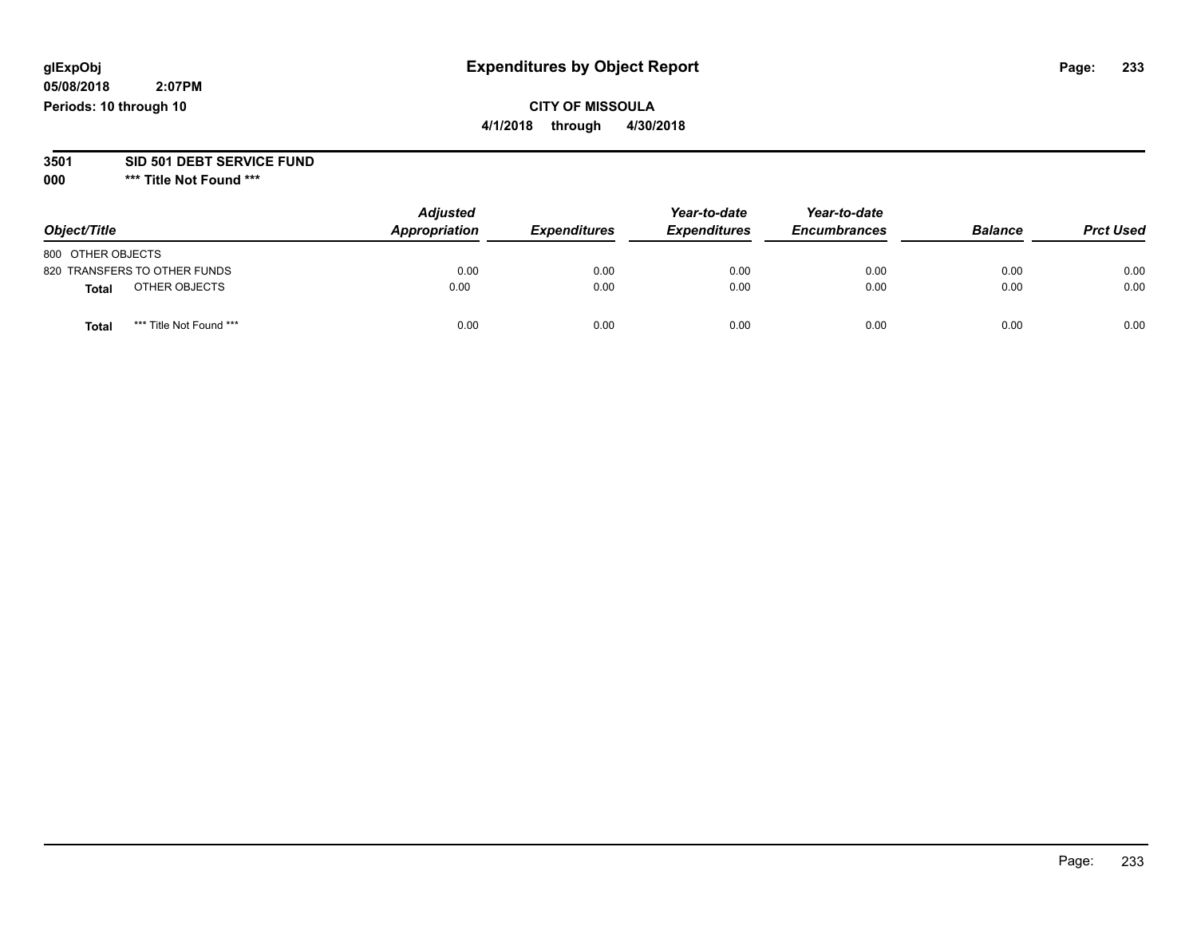# **CITY OF MISSOULA 4/1/2018 through 4/30/2018**

### **3501 SID 501 DEBT SERVICE FUND**

| Object/Title                     | <b>Adjusted</b><br>Appropriation | <b>Expenditures</b> | Year-to-date<br><b>Expenditures</b> | Year-to-date<br><b>Encumbrances</b> | <b>Balance</b> | <b>Prct Used</b> |
|----------------------------------|----------------------------------|---------------------|-------------------------------------|-------------------------------------|----------------|------------------|
| 800 OTHER OBJECTS                |                                  |                     |                                     |                                     |                |                  |
| 820 TRANSFERS TO OTHER FUNDS     | 0.00                             | 0.00                | 0.00                                | 0.00                                | 0.00           | 0.00             |
| OTHER OBJECTS<br><b>Total</b>    | 0.00                             | 0.00                | 0.00                                | 0.00                                | 0.00           | 0.00             |
| *** Title Not Found ***<br>Total | 0.00                             | 0.00                | 0.00                                | 0.00                                | 0.00           | 0.00             |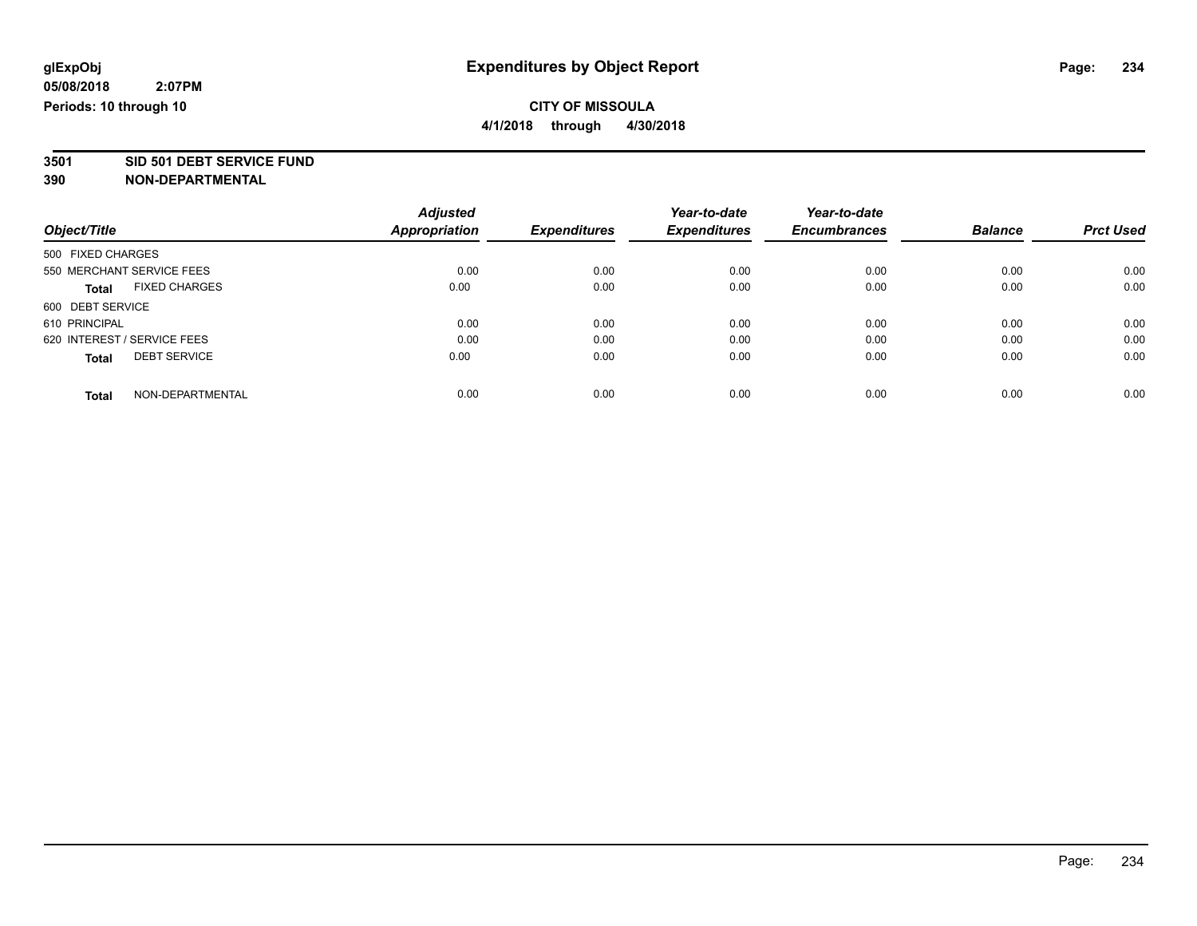# **3501 SID 501 DEBT SERVICE FUND**

|                                     | <b>Adjusted</b>      |                     | Year-to-date        | Year-to-date        |                |                  |
|-------------------------------------|----------------------|---------------------|---------------------|---------------------|----------------|------------------|
| Object/Title                        | <b>Appropriation</b> | <b>Expenditures</b> | <b>Expenditures</b> | <b>Encumbrances</b> | <b>Balance</b> | <b>Prct Used</b> |
| 500 FIXED CHARGES                   |                      |                     |                     |                     |                |                  |
| 550 MERCHANT SERVICE FEES           | 0.00                 | 0.00                | 0.00                | 0.00                | 0.00           | 0.00             |
| <b>FIXED CHARGES</b><br>Total       | 0.00                 | 0.00                | 0.00                | 0.00                | 0.00           | 0.00             |
| 600 DEBT SERVICE                    |                      |                     |                     |                     |                |                  |
| 610 PRINCIPAL                       | 0.00                 | 0.00                | 0.00                | 0.00                | 0.00           | 0.00             |
| 620 INTEREST / SERVICE FEES         | 0.00                 | 0.00                | 0.00                | 0.00                | 0.00           | 0.00             |
| <b>DEBT SERVICE</b><br><b>Total</b> | 0.00                 | 0.00                | 0.00                | 0.00                | 0.00           | 0.00             |
| NON-DEPARTMENTAL<br><b>Total</b>    | 0.00                 | 0.00                | 0.00                | 0.00                | 0.00           | 0.00             |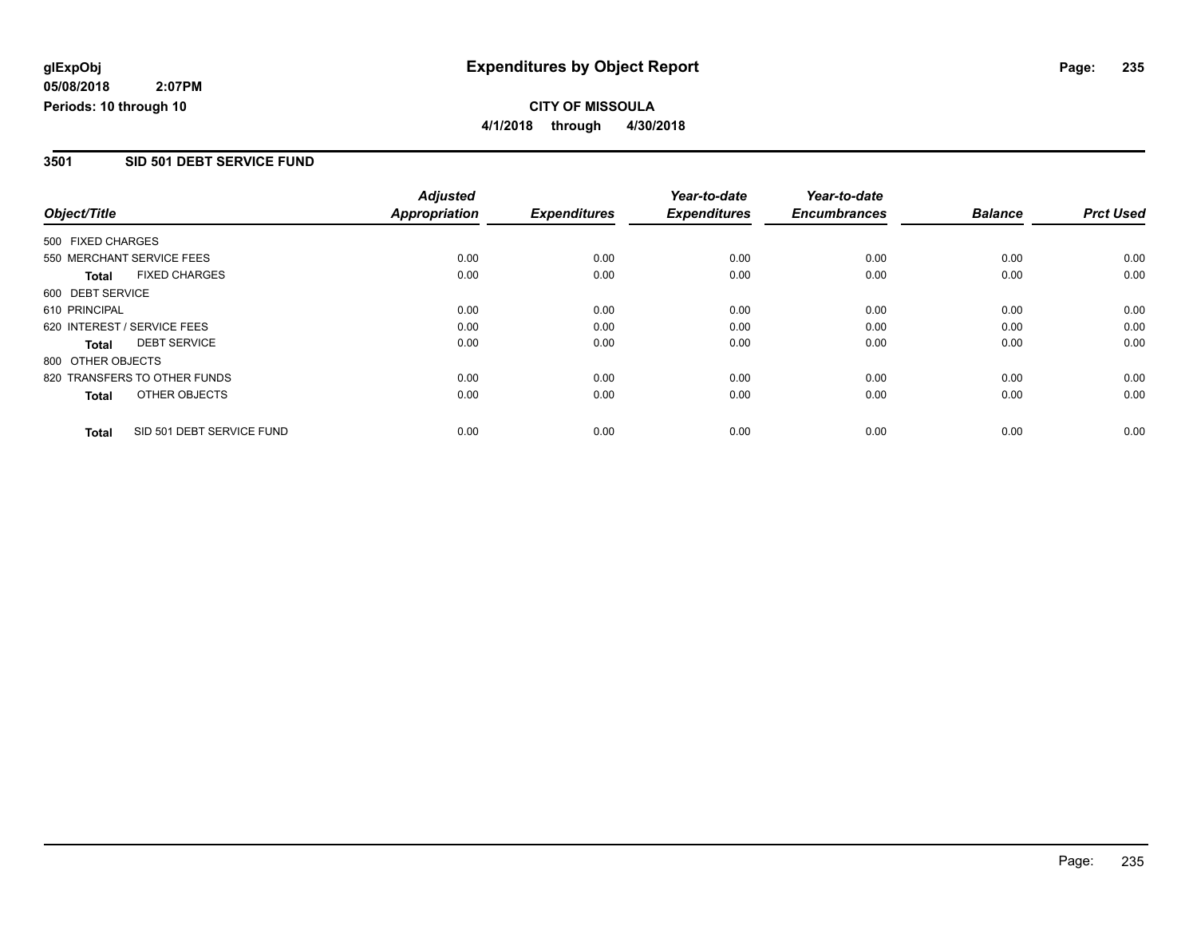## **3501 SID 501 DEBT SERVICE FUND**

|                             |                              | <b>Adjusted</b>      |                     | Year-to-date        | Year-to-date        |                |                  |
|-----------------------------|------------------------------|----------------------|---------------------|---------------------|---------------------|----------------|------------------|
| Object/Title                |                              | <b>Appropriation</b> | <b>Expenditures</b> | <b>Expenditures</b> | <b>Encumbrances</b> | <b>Balance</b> | <b>Prct Used</b> |
| 500 FIXED CHARGES           |                              |                      |                     |                     |                     |                |                  |
| 550 MERCHANT SERVICE FEES   |                              | 0.00                 | 0.00                | 0.00                | 0.00                | 0.00           | 0.00             |
| <b>Total</b>                | <b>FIXED CHARGES</b>         | 0.00                 | 0.00                | 0.00                | 0.00                | 0.00           | 0.00             |
| 600 DEBT SERVICE            |                              |                      |                     |                     |                     |                |                  |
| 610 PRINCIPAL               |                              | 0.00                 | 0.00                | 0.00                | 0.00                | 0.00           | 0.00             |
| 620 INTEREST / SERVICE FEES |                              | 0.00                 | 0.00                | 0.00                | 0.00                | 0.00           | 0.00             |
| <b>Total</b>                | <b>DEBT SERVICE</b>          | 0.00                 | 0.00                | 0.00                | 0.00                | 0.00           | 0.00             |
| 800 OTHER OBJECTS           |                              |                      |                     |                     |                     |                |                  |
|                             | 820 TRANSFERS TO OTHER FUNDS | 0.00                 | 0.00                | 0.00                | 0.00                | 0.00           | 0.00             |
| Total                       | OTHER OBJECTS                | 0.00                 | 0.00                | 0.00                | 0.00                | 0.00           | 0.00             |
| <b>Total</b>                | SID 501 DEBT SERVICE FUND    | 0.00                 | 0.00                | 0.00                | 0.00                | 0.00           | 0.00             |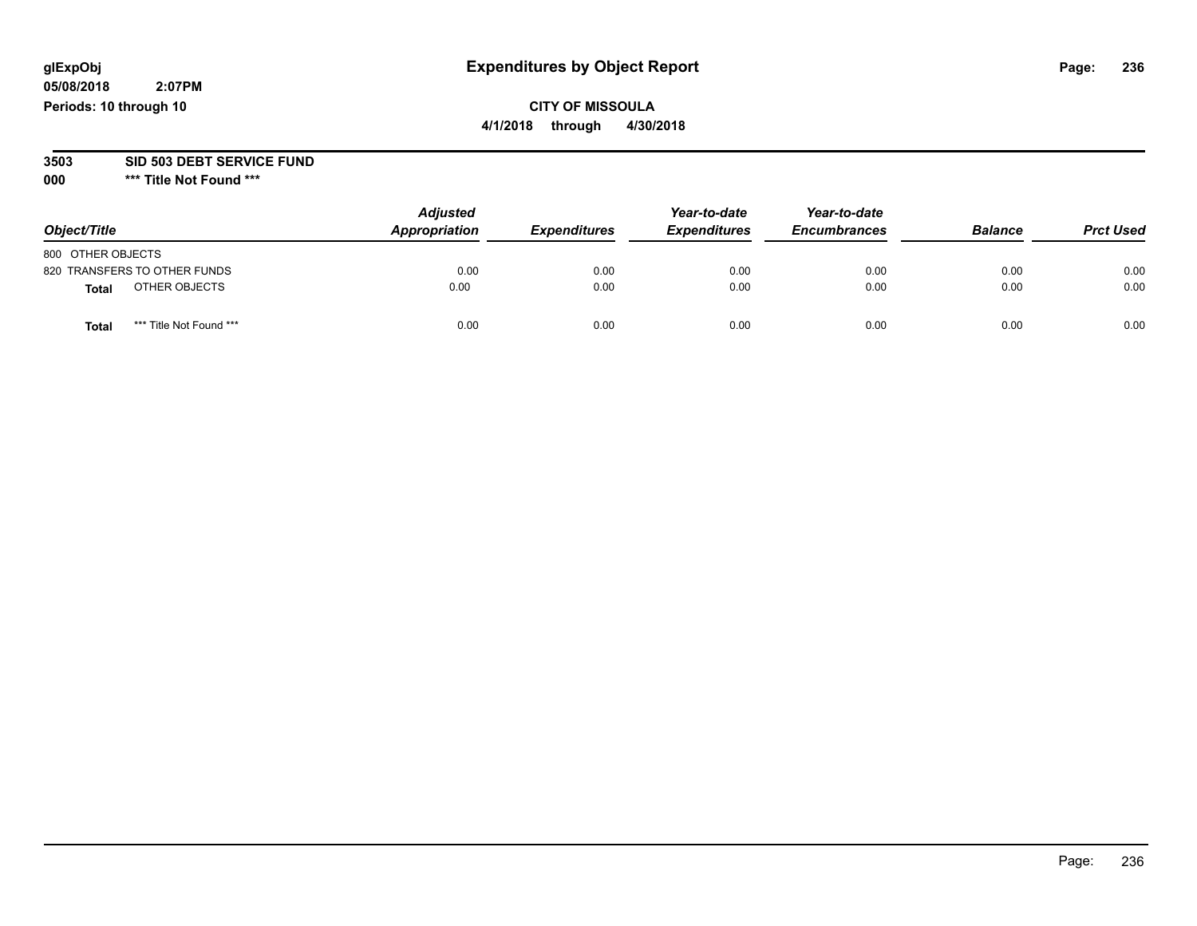# **CITY OF MISSOULA 4/1/2018 through 4/30/2018**

### **3503 SID 503 DEBT SERVICE FUND**

| Object/Title                    | <b>Adjusted</b><br><b>Appropriation</b> | <b>Expenditures</b> | Year-to-date<br><b>Expenditures</b> | Year-to-date<br><b>Encumbrances</b> | <b>Balance</b> | <b>Prct Used</b> |
|---------------------------------|-----------------------------------------|---------------------|-------------------------------------|-------------------------------------|----------------|------------------|
| 800 OTHER OBJECTS               |                                         |                     |                                     |                                     |                |                  |
| 820 TRANSFERS TO OTHER FUNDS    | 0.00                                    | 0.00                | 0.00                                | 0.00                                | 0.00           | 0.00             |
| OTHER OBJECTS<br>Total          | 0.00                                    | 0.00                | 0.00                                | 0.00                                | 0.00           | 0.00             |
| *** Title Not Found ***<br>Tota | 0.00                                    | 0.00                | 0.00                                | 0.00                                | 0.00           | 0.00             |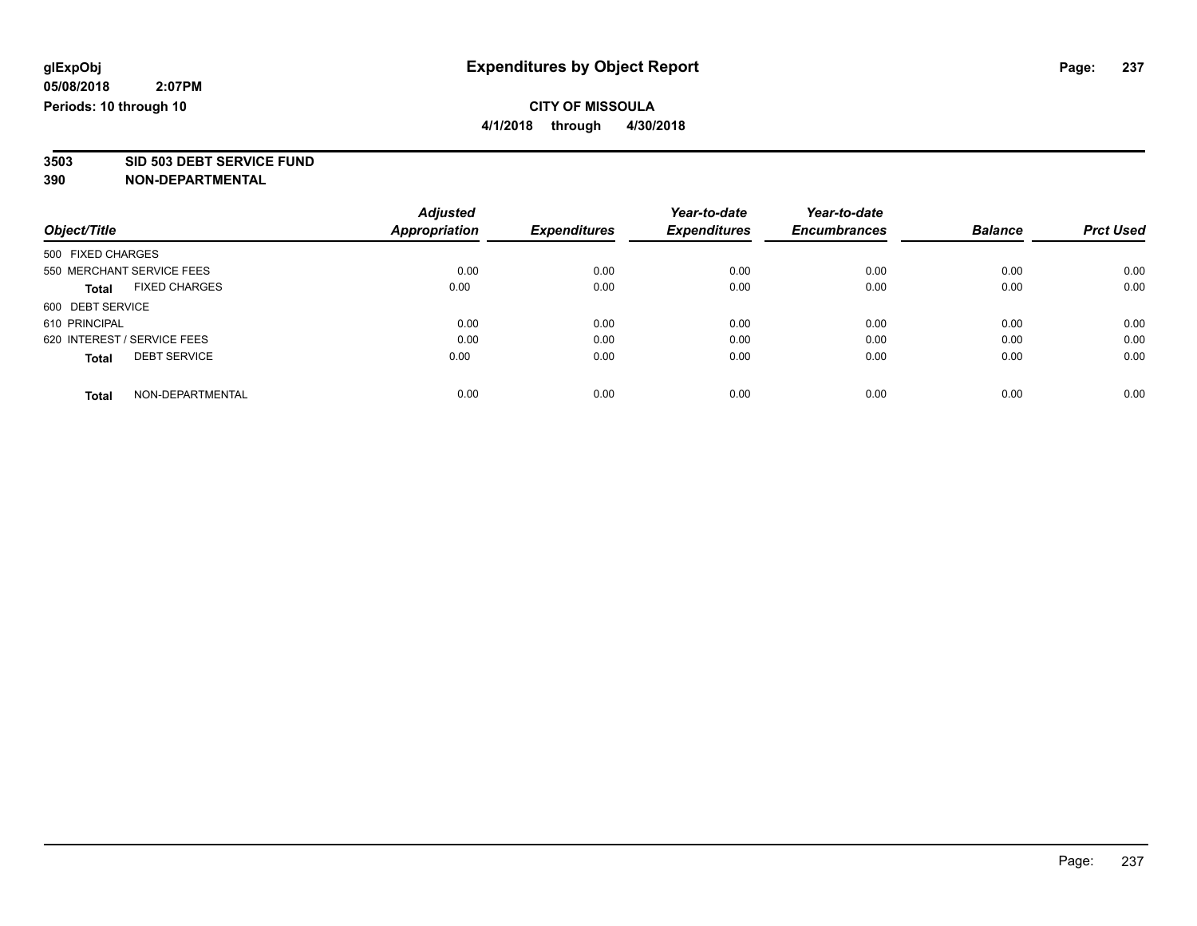**3503 SID 503 DEBT SERVICE FUND**

|                                      | <b>Adjusted</b> | <b>Expenditures</b> | Year-to-date<br><b>Expenditures</b> | Year-to-date        | <b>Balance</b> |                  |
|--------------------------------------|-----------------|---------------------|-------------------------------------|---------------------|----------------|------------------|
| Object/Title                         | Appropriation   |                     |                                     | <b>Encumbrances</b> |                | <b>Prct Used</b> |
| 500 FIXED CHARGES                    |                 |                     |                                     |                     |                |                  |
| 550 MERCHANT SERVICE FEES            | 0.00            | 0.00                | 0.00                                | 0.00                | 0.00           | 0.00             |
| <b>FIXED CHARGES</b><br><b>Total</b> | 0.00            | 0.00                | 0.00                                | 0.00                | 0.00           | 0.00             |
| 600 DEBT SERVICE                     |                 |                     |                                     |                     |                |                  |
| 610 PRINCIPAL                        | 0.00            | 0.00                | 0.00                                | 0.00                | 0.00           | 0.00             |
| 620 INTEREST / SERVICE FEES          | 0.00            | 0.00                | 0.00                                | 0.00                | 0.00           | 0.00             |
| <b>DEBT SERVICE</b><br><b>Total</b>  | 0.00            | 0.00                | 0.00                                | 0.00                | 0.00           | 0.00             |
| NON-DEPARTMENTAL<br><b>Total</b>     | 0.00            | 0.00                | 0.00                                | 0.00                | 0.00           | 0.00             |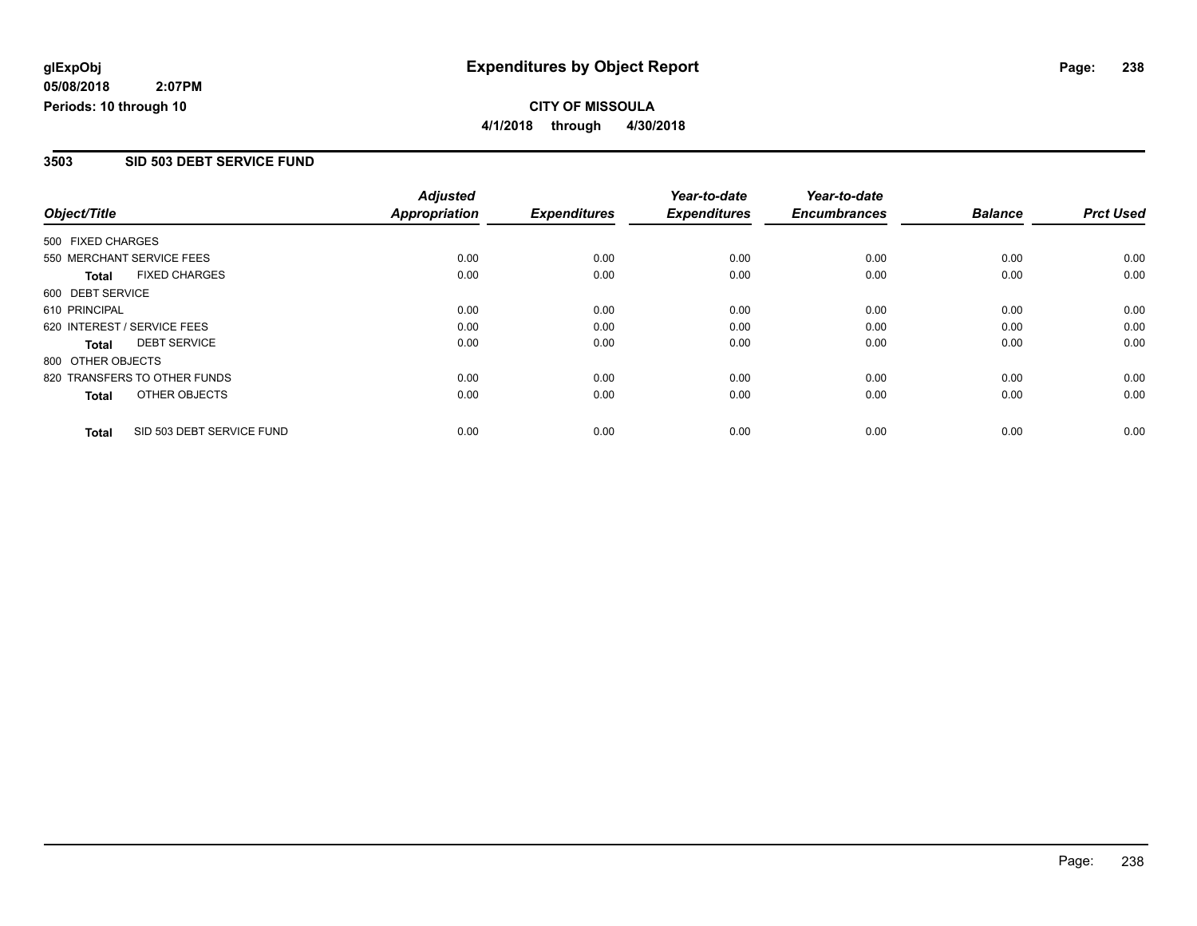## **3503 SID 503 DEBT SERVICE FUND**

|                             |                              | <b>Adjusted</b>      |                     | Year-to-date        | Year-to-date        |                |                  |
|-----------------------------|------------------------------|----------------------|---------------------|---------------------|---------------------|----------------|------------------|
| Object/Title                |                              | <b>Appropriation</b> | <b>Expenditures</b> | <b>Expenditures</b> | <b>Encumbrances</b> | <b>Balance</b> | <b>Prct Used</b> |
| 500 FIXED CHARGES           |                              |                      |                     |                     |                     |                |                  |
| 550 MERCHANT SERVICE FEES   |                              | 0.00                 | 0.00                | 0.00                | 0.00                | 0.00           | 0.00             |
| <b>Total</b>                | <b>FIXED CHARGES</b>         | 0.00                 | 0.00                | 0.00                | 0.00                | 0.00           | 0.00             |
| 600 DEBT SERVICE            |                              |                      |                     |                     |                     |                |                  |
| 610 PRINCIPAL               |                              | 0.00                 | 0.00                | 0.00                | 0.00                | 0.00           | 0.00             |
| 620 INTEREST / SERVICE FEES |                              | 0.00                 | 0.00                | 0.00                | 0.00                | 0.00           | 0.00             |
| <b>Total</b>                | <b>DEBT SERVICE</b>          | 0.00                 | 0.00                | 0.00                | 0.00                | 0.00           | 0.00             |
| 800 OTHER OBJECTS           |                              |                      |                     |                     |                     |                |                  |
|                             | 820 TRANSFERS TO OTHER FUNDS | 0.00                 | 0.00                | 0.00                | 0.00                | 0.00           | 0.00             |
| Total                       | OTHER OBJECTS                | 0.00                 | 0.00                | 0.00                | 0.00                | 0.00           | 0.00             |
| <b>Total</b>                | SID 503 DEBT SERVICE FUND    | 0.00                 | 0.00                | 0.00                | 0.00                | 0.00           | 0.00             |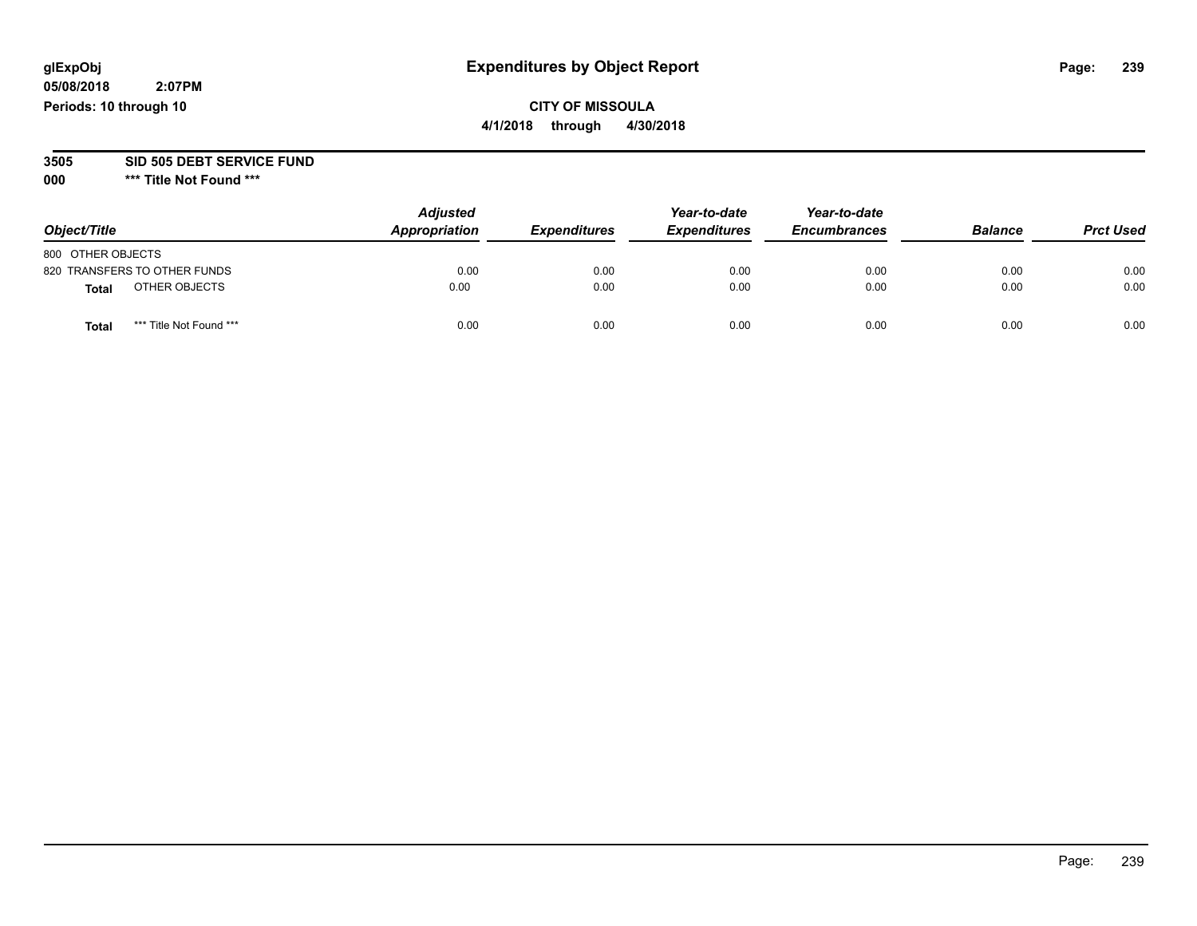# **CITY OF MISSOULA 4/1/2018 through 4/30/2018**

### **3505 SID 505 DEBT SERVICE FUND**

| Object/Title                     | <b>Adjusted</b><br>Appropriation | <b>Expenditures</b> | Year-to-date<br><b>Expenditures</b> | Year-to-date<br><b>Encumbrances</b> | <b>Balance</b> | <b>Prct Used</b> |
|----------------------------------|----------------------------------|---------------------|-------------------------------------|-------------------------------------|----------------|------------------|
| 800 OTHER OBJECTS                |                                  |                     |                                     |                                     |                |                  |
| 820 TRANSFERS TO OTHER FUNDS     | 0.00                             | 0.00                | 0.00                                | 0.00                                | 0.00           | 0.00             |
| OTHER OBJECTS<br><b>Total</b>    | 0.00                             | 0.00                | 0.00                                | 0.00                                | 0.00           | 0.00             |
| *** Title Not Found ***<br>Total | 0.00                             | 0.00                | 0.00                                | 0.00                                | 0.00           | 0.00             |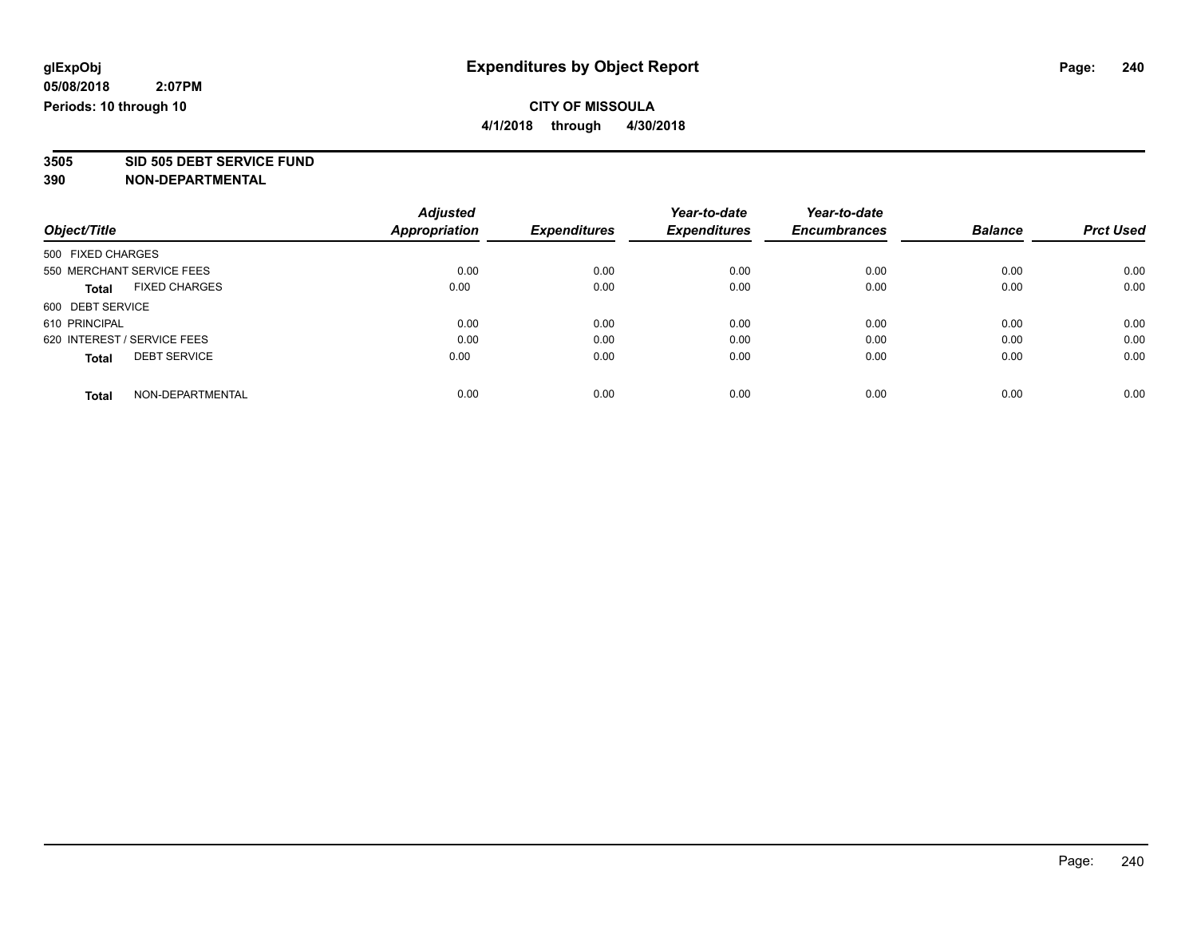**3505 SID 505 DEBT SERVICE FUND**

|                                      | <b>Adjusted</b> | <b>Expenditures</b> | Year-to-date<br><b>Expenditures</b> | Year-to-date        | <b>Balance</b> |                  |
|--------------------------------------|-----------------|---------------------|-------------------------------------|---------------------|----------------|------------------|
| Object/Title                         | Appropriation   |                     |                                     | <b>Encumbrances</b> |                | <b>Prct Used</b> |
| 500 FIXED CHARGES                    |                 |                     |                                     |                     |                |                  |
| 550 MERCHANT SERVICE FEES            | 0.00            | 0.00                | 0.00                                | 0.00                | 0.00           | 0.00             |
| <b>FIXED CHARGES</b><br><b>Total</b> | 0.00            | 0.00                | 0.00                                | 0.00                | 0.00           | 0.00             |
| 600 DEBT SERVICE                     |                 |                     |                                     |                     |                |                  |
| 610 PRINCIPAL                        | 0.00            | 0.00                | 0.00                                | 0.00                | 0.00           | 0.00             |
| 620 INTEREST / SERVICE FEES          | 0.00            | 0.00                | 0.00                                | 0.00                | 0.00           | 0.00             |
| <b>DEBT SERVICE</b><br><b>Total</b>  | 0.00            | 0.00                | 0.00                                | 0.00                | 0.00           | 0.00             |
| NON-DEPARTMENTAL<br><b>Total</b>     | 0.00            | 0.00                | 0.00                                | 0.00                | 0.00           | 0.00             |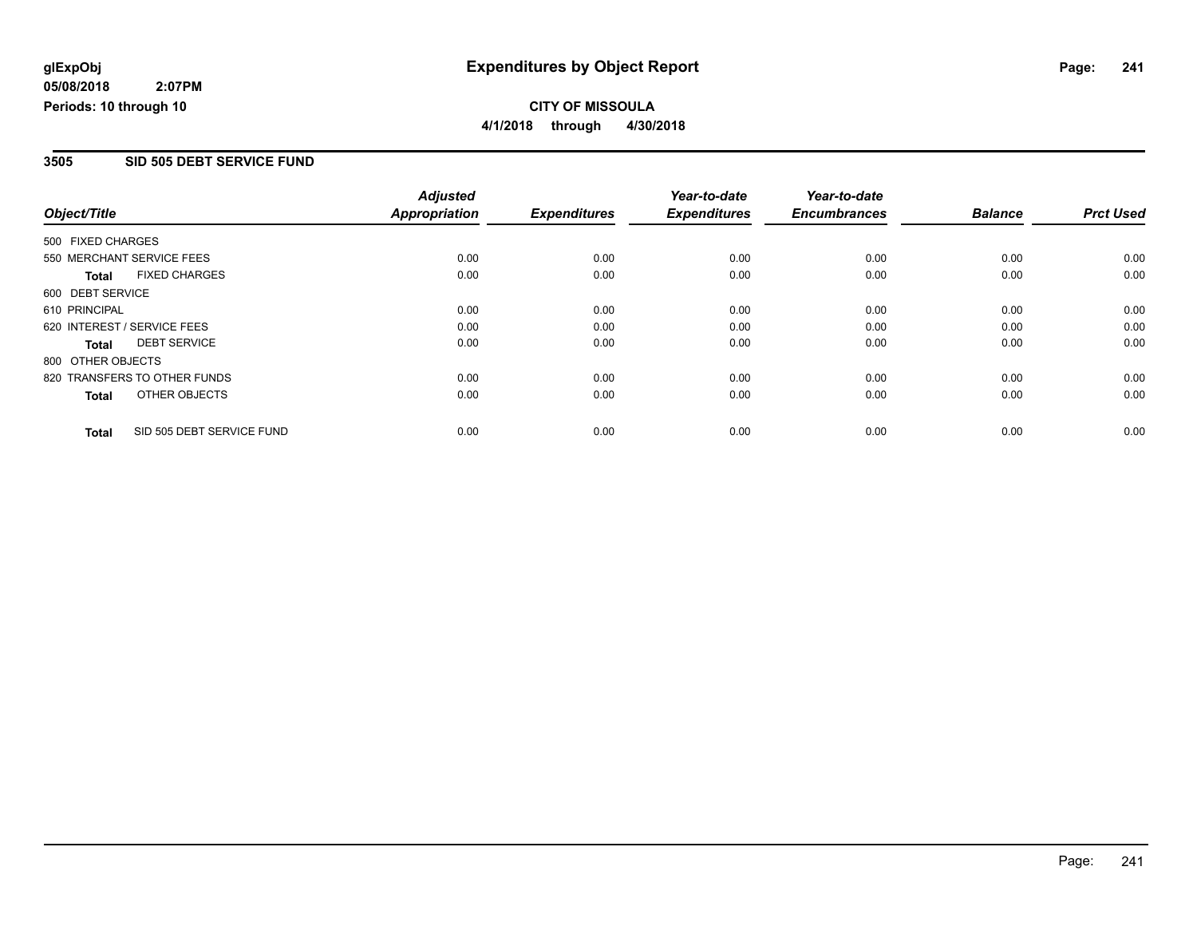## **3505 SID 505 DEBT SERVICE FUND**

|                   |                              | <b>Adjusted</b>      |                     | Year-to-date        | Year-to-date        |                |                  |
|-------------------|------------------------------|----------------------|---------------------|---------------------|---------------------|----------------|------------------|
| Object/Title      |                              | <b>Appropriation</b> | <b>Expenditures</b> | <b>Expenditures</b> | <b>Encumbrances</b> | <b>Balance</b> | <b>Prct Used</b> |
| 500 FIXED CHARGES |                              |                      |                     |                     |                     |                |                  |
|                   | 550 MERCHANT SERVICE FEES    | 0.00                 | 0.00                | 0.00                | 0.00                | 0.00           | 0.00             |
| <b>Total</b>      | <b>FIXED CHARGES</b>         | 0.00                 | 0.00                | 0.00                | 0.00                | 0.00           | 0.00             |
| 600 DEBT SERVICE  |                              |                      |                     |                     |                     |                |                  |
| 610 PRINCIPAL     |                              | 0.00                 | 0.00                | 0.00                | 0.00                | 0.00           | 0.00             |
|                   | 620 INTEREST / SERVICE FEES  | 0.00                 | 0.00                | 0.00                | 0.00                | 0.00           | 0.00             |
| Total             | <b>DEBT SERVICE</b>          | 0.00                 | 0.00                | 0.00                | 0.00                | 0.00           | 0.00             |
| 800 OTHER OBJECTS |                              |                      |                     |                     |                     |                |                  |
|                   | 820 TRANSFERS TO OTHER FUNDS | 0.00                 | 0.00                | 0.00                | 0.00                | 0.00           | 0.00             |
| Total             | OTHER OBJECTS                | 0.00                 | 0.00                | 0.00                | 0.00                | 0.00           | 0.00             |
| <b>Total</b>      | SID 505 DEBT SERVICE FUND    | 0.00                 | 0.00                | 0.00                | 0.00                | 0.00           | 0.00             |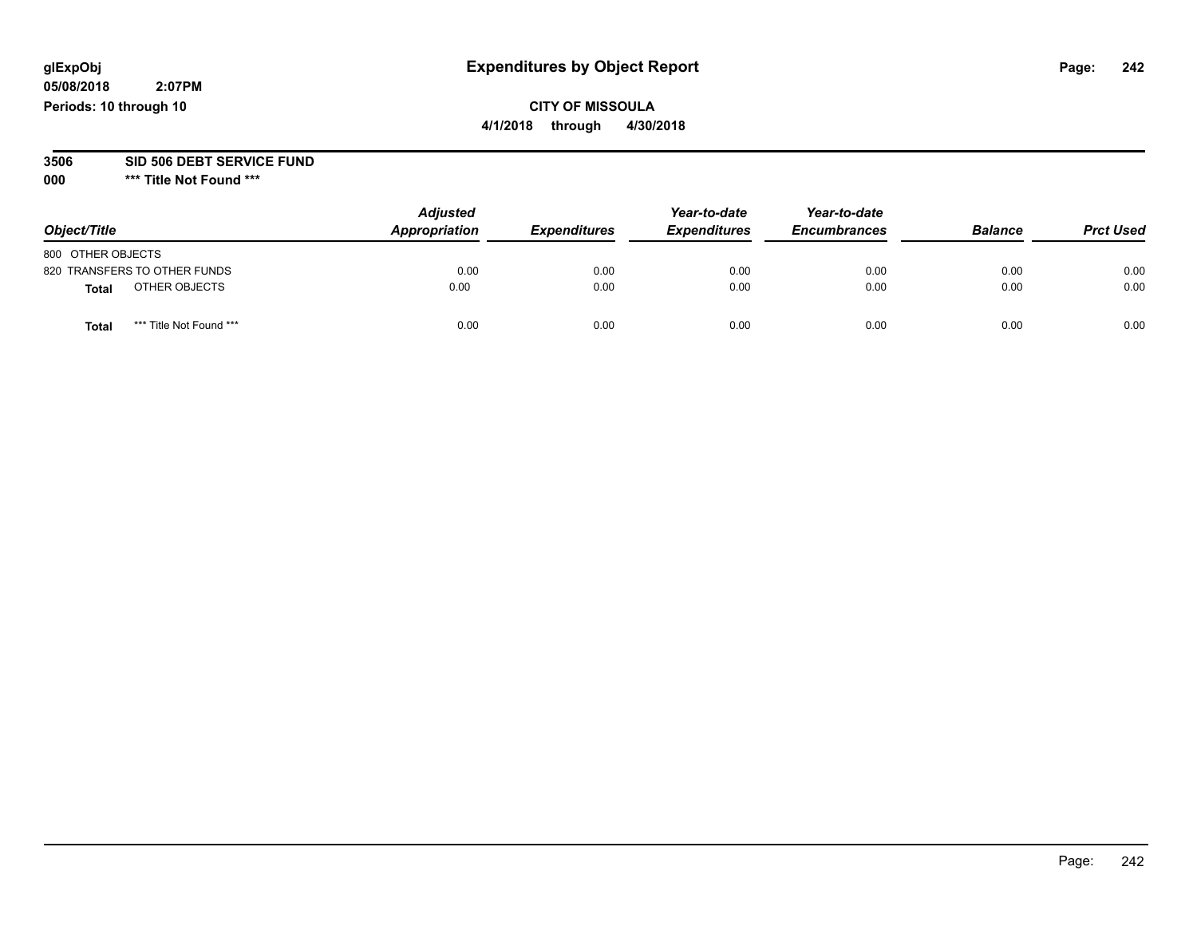# **CITY OF MISSOULA 4/1/2018 through 4/30/2018**

# **3506 SID 506 DEBT SERVICE FUND**

| Object/Title                    | <b>Adjusted</b><br>Appropriation | <b>Expenditures</b> | Year-to-date<br><b>Expenditures</b> | Year-to-date<br><b>Encumbrances</b> | <b>Balance</b> | <b>Prct Used</b> |
|---------------------------------|----------------------------------|---------------------|-------------------------------------|-------------------------------------|----------------|------------------|
| 800 OTHER OBJECTS               |                                  |                     |                                     |                                     |                |                  |
| 820 TRANSFERS TO OTHER FUNDS    | 0.00                             | 0.00                | 0.00                                | 0.00                                | 0.00           | 0.00             |
| OTHER OBJECTS<br>Total          | 0.00                             | 0.00                | 0.00                                | 0.00                                | 0.00           | 0.00             |
| *** Title Not Found ***<br>Tota | 0.00                             | 0.00                | 0.00                                | 0.00                                | 0.00           | 0.00             |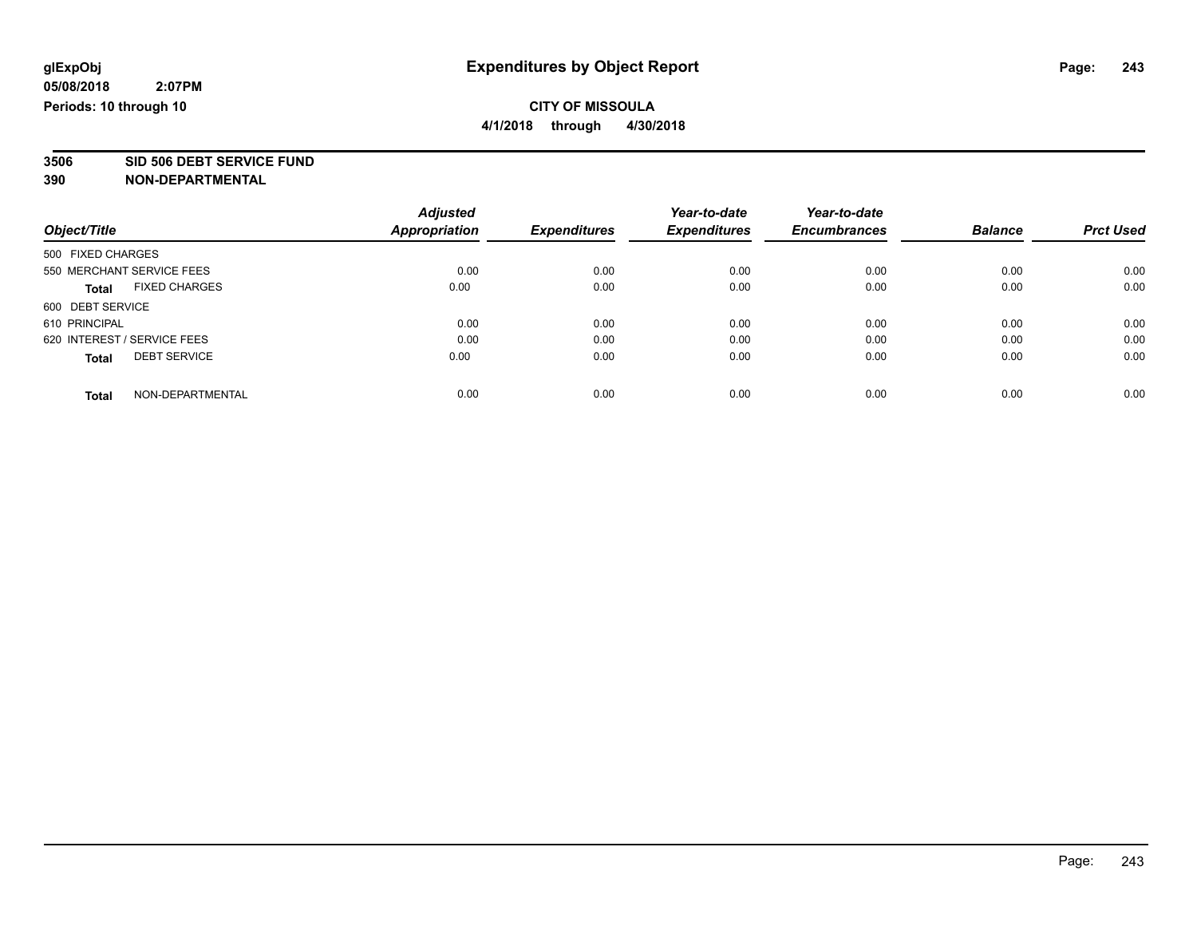**3506 SID 506 DEBT SERVICE FUND**

|                                      | <b>Adjusted</b> |                     | Year-to-date        | Year-to-date        |                |                  |
|--------------------------------------|-----------------|---------------------|---------------------|---------------------|----------------|------------------|
| Object/Title                         | Appropriation   | <b>Expenditures</b> | <b>Expenditures</b> | <b>Encumbrances</b> | <b>Balance</b> | <b>Prct Used</b> |
| 500 FIXED CHARGES                    |                 |                     |                     |                     |                |                  |
| 550 MERCHANT SERVICE FEES            | 0.00            | 0.00                | 0.00                | 0.00                | 0.00           | 0.00             |
| <b>FIXED CHARGES</b><br><b>Total</b> | 0.00            | 0.00                | 0.00                | 0.00                | 0.00           | 0.00             |
| 600 DEBT SERVICE                     |                 |                     |                     |                     |                |                  |
| 610 PRINCIPAL                        | 0.00            | 0.00                | 0.00                | 0.00                | 0.00           | 0.00             |
| 620 INTEREST / SERVICE FEES          | 0.00            | 0.00                | 0.00                | 0.00                | 0.00           | 0.00             |
| <b>DEBT SERVICE</b><br><b>Total</b>  | 0.00            | 0.00                | 0.00                | 0.00                | 0.00           | 0.00             |
| NON-DEPARTMENTAL<br><b>Total</b>     | 0.00            | 0.00                | 0.00                | 0.00                | 0.00           | 0.00             |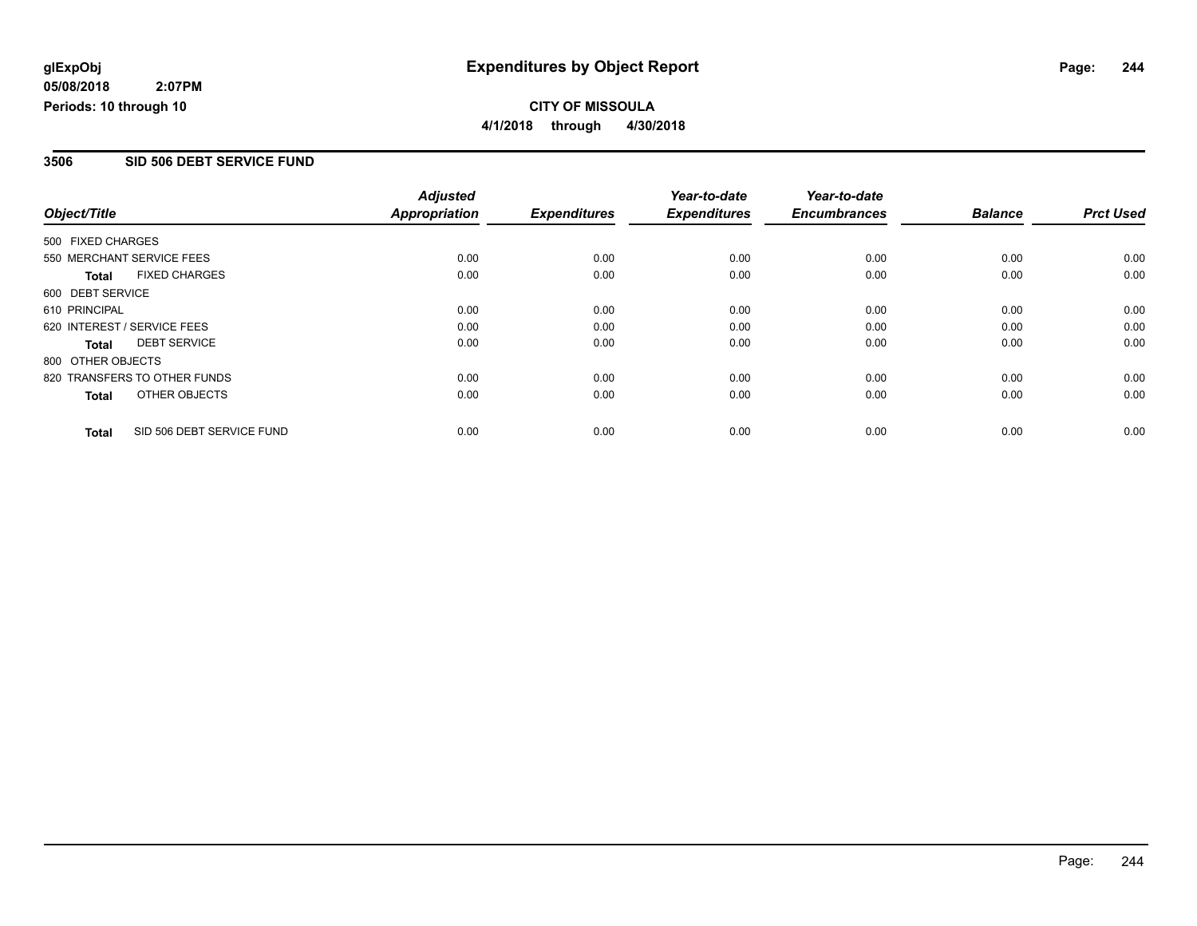## **3506 SID 506 DEBT SERVICE FUND**

|                   |                              | <b>Adjusted</b>      |                     | Year-to-date        | Year-to-date        |                |                  |
|-------------------|------------------------------|----------------------|---------------------|---------------------|---------------------|----------------|------------------|
| Object/Title      |                              | <b>Appropriation</b> | <b>Expenditures</b> | <b>Expenditures</b> | <b>Encumbrances</b> | <b>Balance</b> | <b>Prct Used</b> |
| 500 FIXED CHARGES |                              |                      |                     |                     |                     |                |                  |
|                   | 550 MERCHANT SERVICE FEES    | 0.00                 | 0.00                | 0.00                | 0.00                | 0.00           | 0.00             |
| <b>Total</b>      | <b>FIXED CHARGES</b>         | 0.00                 | 0.00                | 0.00                | 0.00                | 0.00           | 0.00             |
| 600 DEBT SERVICE  |                              |                      |                     |                     |                     |                |                  |
| 610 PRINCIPAL     |                              | 0.00                 | 0.00                | 0.00                | 0.00                | 0.00           | 0.00             |
|                   | 620 INTEREST / SERVICE FEES  | 0.00                 | 0.00                | 0.00                | 0.00                | 0.00           | 0.00             |
| <b>Total</b>      | <b>DEBT SERVICE</b>          | 0.00                 | 0.00                | 0.00                | 0.00                | 0.00           | 0.00             |
| 800 OTHER OBJECTS |                              |                      |                     |                     |                     |                |                  |
|                   | 820 TRANSFERS TO OTHER FUNDS | 0.00                 | 0.00                | 0.00                | 0.00                | 0.00           | 0.00             |
| Total             | OTHER OBJECTS                | 0.00                 | 0.00                | 0.00                | 0.00                | 0.00           | 0.00             |
| <b>Total</b>      | SID 506 DEBT SERVICE FUND    | 0.00                 | 0.00                | 0.00                | 0.00                | 0.00           | 0.00             |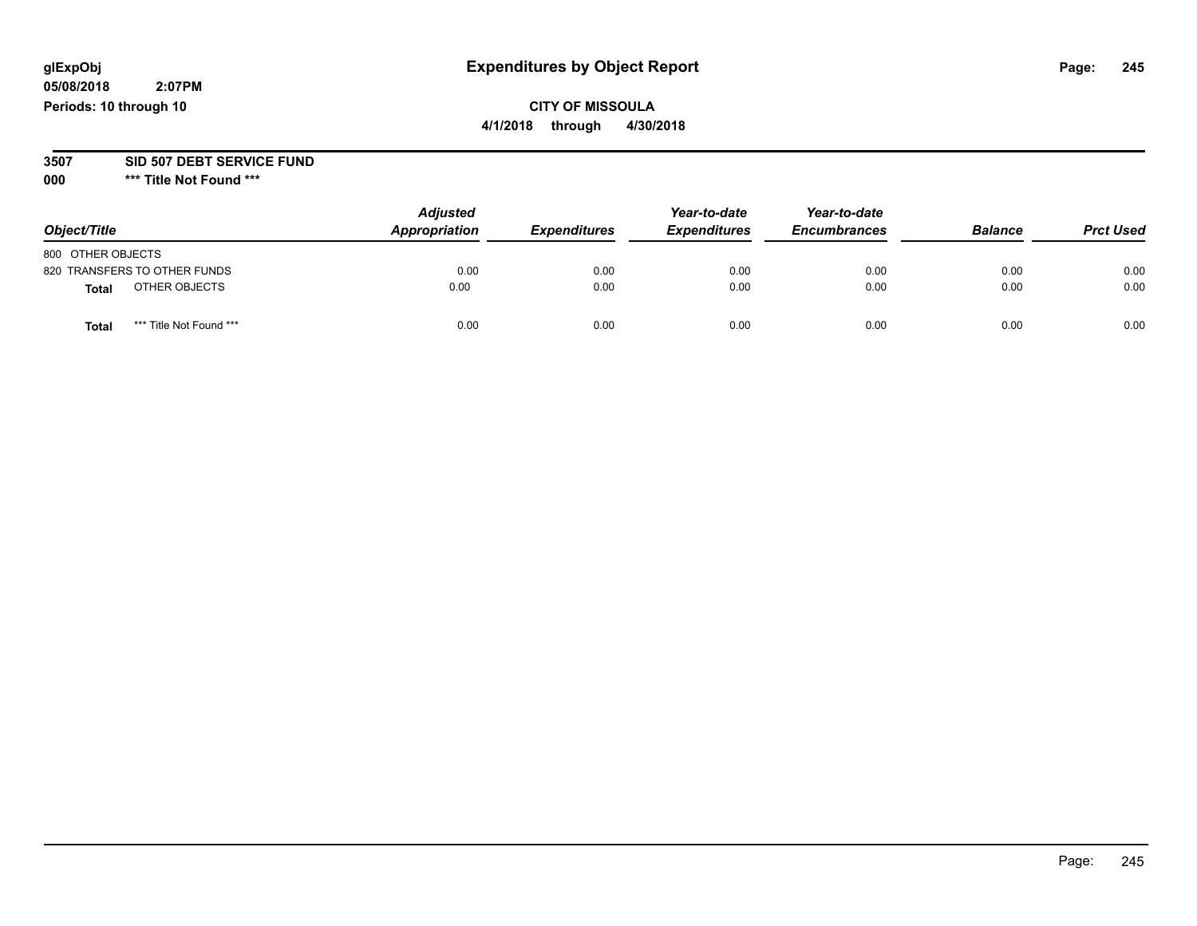# **CITY OF MISSOULA 4/1/2018 through 4/30/2018**

### **3507 SID 507 DEBT SERVICE FUND**

| Object/Title                 |                         | <b>Adjusted</b><br>Appropriation | <b>Expenditures</b> | Year-to-date<br><b>Expenditures</b> | Year-to-date<br><b>Encumbrances</b> | <b>Balance</b> | <b>Prct Used</b> |
|------------------------------|-------------------------|----------------------------------|---------------------|-------------------------------------|-------------------------------------|----------------|------------------|
| 800 OTHER OBJECTS            |                         |                                  |                     |                                     |                                     |                |                  |
| 820 TRANSFERS TO OTHER FUNDS |                         | 0.00                             | 0.00                | 0.00                                | 0.00                                | 0.00           | 0.00             |
| Total                        | OTHER OBJECTS           | 0.00                             | 0.00                | 0.00                                | 0.00                                | 0.00           | 0.00             |
| Tota                         | *** Title Not Found *** | 0.00                             | 0.00                | 0.00                                | 0.00                                | 0.00           | 0.00             |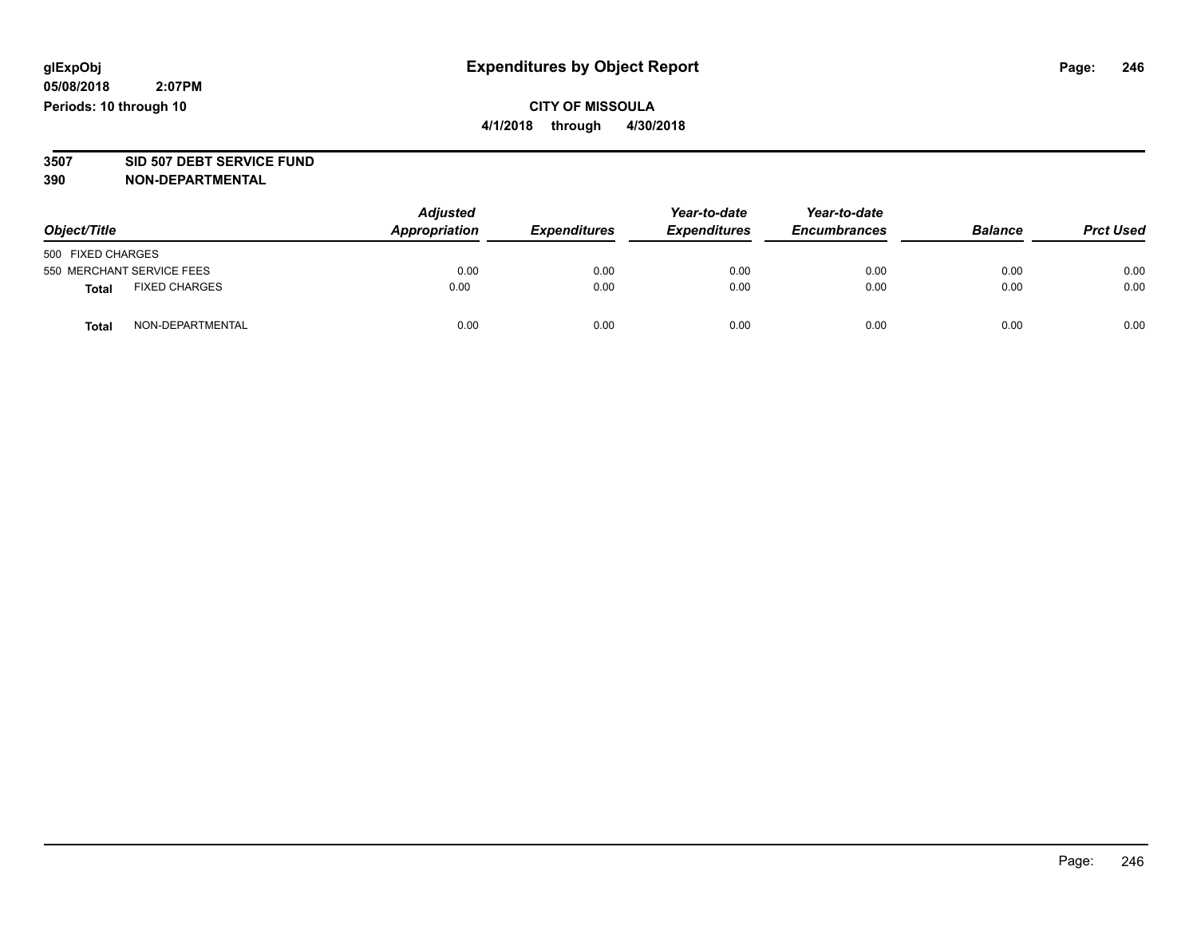# **3507 SID 507 DEBT SERVICE FUND**

| Object/Title                         |                  | <b>Adjusted</b><br>Appropriation | <b>Expenditures</b> | Year-to-date<br><b>Expenditures</b> | Year-to-date<br><b>Encumbrances</b> | <b>Balance</b> | <b>Prct Used</b> |
|--------------------------------------|------------------|----------------------------------|---------------------|-------------------------------------|-------------------------------------|----------------|------------------|
| 500 FIXED CHARGES                    |                  |                                  |                     |                                     |                                     |                |                  |
| 550 MERCHANT SERVICE FEES            |                  | 0.00                             | 0.00                | 0.00                                | 0.00                                | 0.00           | 0.00             |
| <b>FIXED CHARGES</b><br><b>Total</b> |                  | 0.00                             | 0.00                | 0.00                                | 0.00                                | 0.00           | 0.00             |
| <b>Total</b>                         | NON-DEPARTMENTAL | 0.00                             | 0.00                | 0.00                                | 0.00                                | 0.00           | 0.00             |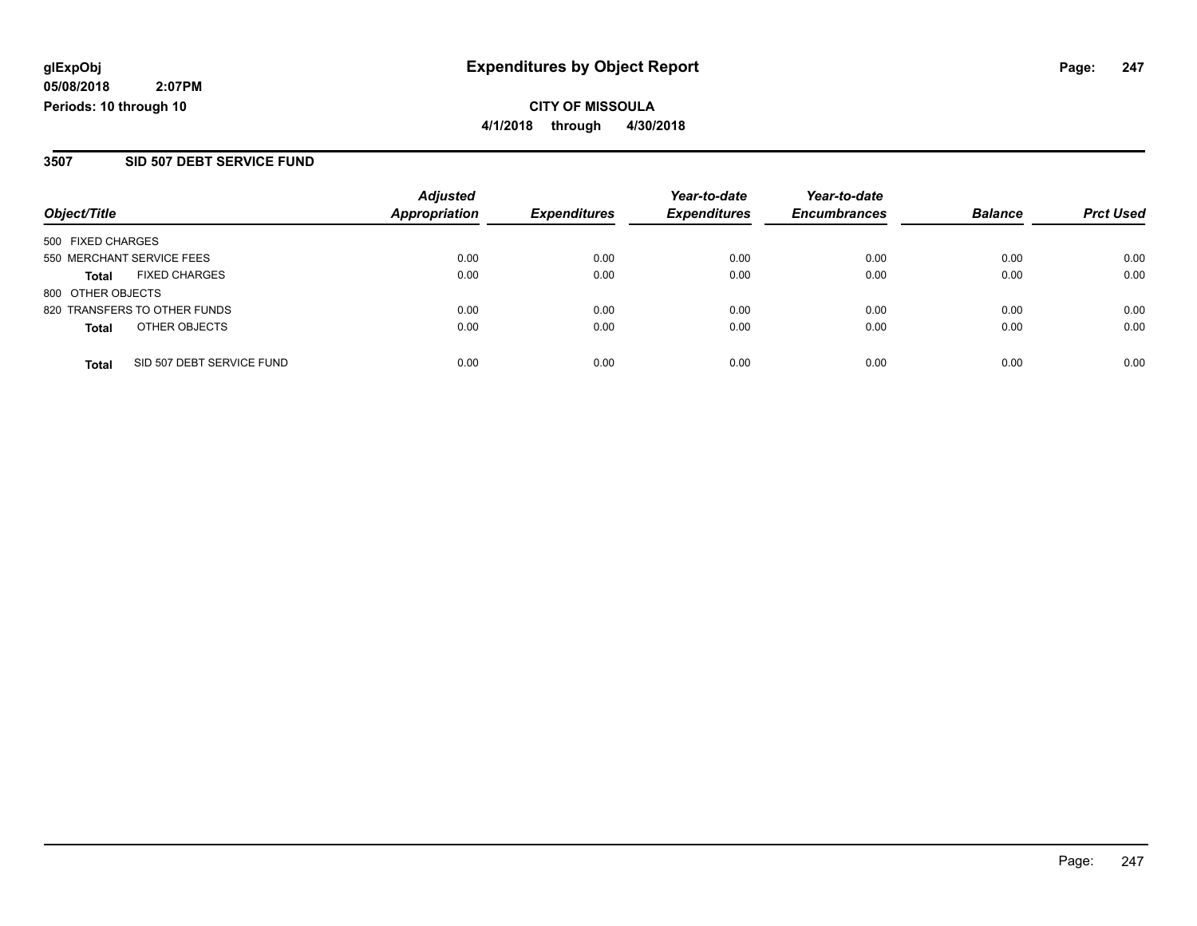**CITY OF MISSOULA 4/1/2018 through 4/30/2018**

## **3507 SID 507 DEBT SERVICE FUND**

|                           |                              | <b>Adjusted</b>      |                     | Year-to-date        | Year-to-date        |                |                  |
|---------------------------|------------------------------|----------------------|---------------------|---------------------|---------------------|----------------|------------------|
| Object/Title              |                              | <b>Appropriation</b> | <b>Expenditures</b> | <b>Expenditures</b> | <b>Encumbrances</b> | <b>Balance</b> | <b>Prct Used</b> |
| 500 FIXED CHARGES         |                              |                      |                     |                     |                     |                |                  |
| 550 MERCHANT SERVICE FEES |                              | 0.00                 | 0.00                | 0.00                | 0.00                | 0.00           | 0.00             |
| <b>Total</b>              | <b>FIXED CHARGES</b>         | 0.00                 | 0.00                | 0.00                | 0.00                | 0.00           | 0.00             |
| 800 OTHER OBJECTS         |                              |                      |                     |                     |                     |                |                  |
|                           | 820 TRANSFERS TO OTHER FUNDS | 0.00                 | 0.00                | 0.00                | 0.00                | 0.00           | 0.00             |
| <b>Total</b>              | OTHER OBJECTS                | 0.00                 | 0.00                | 0.00                | 0.00                | 0.00           | 0.00             |
| <b>Total</b>              | SID 507 DEBT SERVICE FUND    | 0.00                 | 0.00                | 0.00                | 0.00                | 0.00           | 0.00             |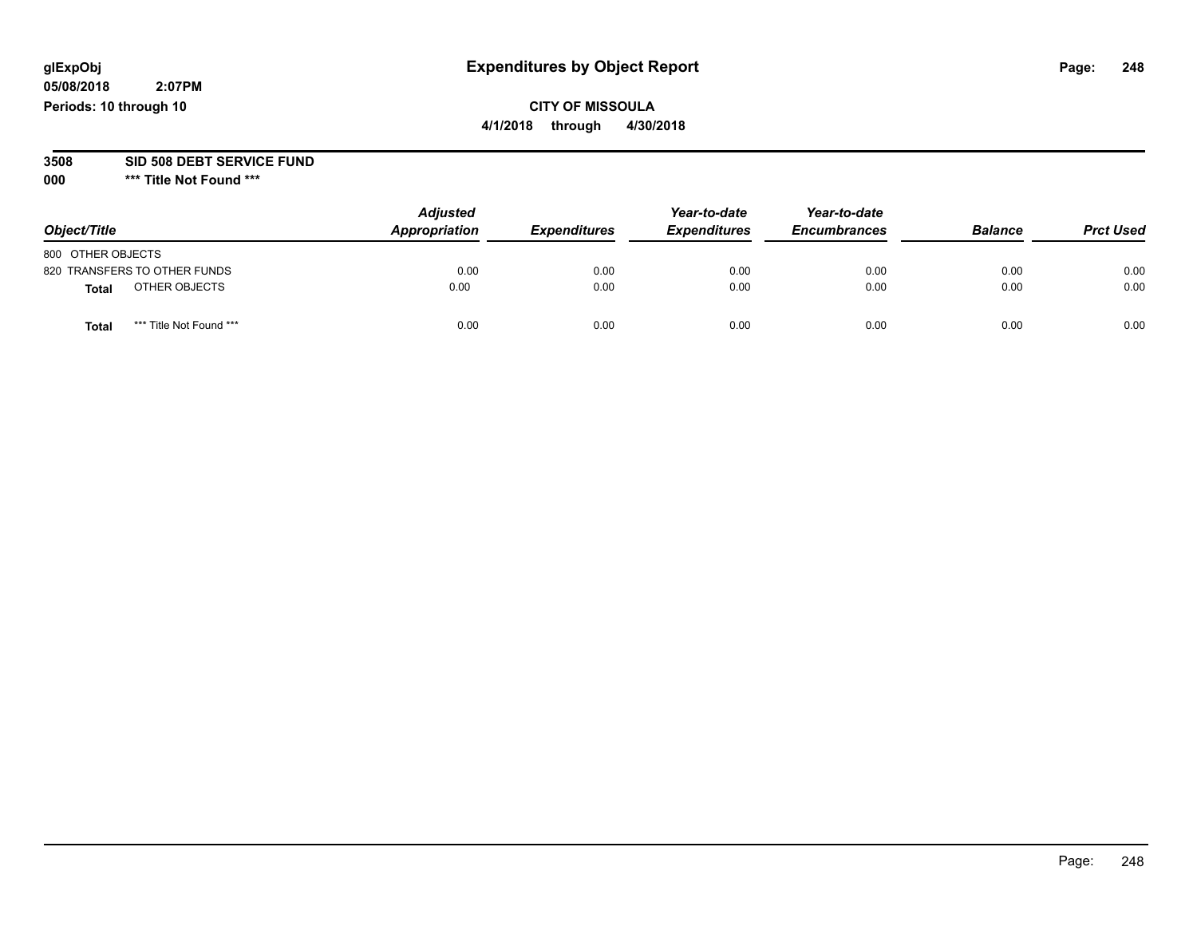# **CITY OF MISSOULA 4/1/2018 through 4/30/2018**

### **3508 SID 508 DEBT SERVICE FUND**

| Object/Title                            | <b>Adjusted</b><br>Appropriation | <b>Expenditures</b> | Year-to-date<br><b>Expenditures</b> | Year-to-date<br><b>Encumbrances</b> | <b>Balance</b> | <b>Prct Used</b> |
|-----------------------------------------|----------------------------------|---------------------|-------------------------------------|-------------------------------------|----------------|------------------|
| 800 OTHER OBJECTS                       |                                  |                     |                                     |                                     |                |                  |
| 820 TRANSFERS TO OTHER FUNDS            | 0.00                             | 0.00                | 0.00                                | 0.00                                | 0.00           | 0.00             |
| OTHER OBJECTS<br>Total                  | 0.00                             | 0.00                | 0.00                                | 0.00                                | 0.00           | 0.00             |
| *** Title Not Found ***<br><b>Total</b> | 0.00                             | 0.00                | 0.00                                | 0.00                                | 0.00           | 0.00             |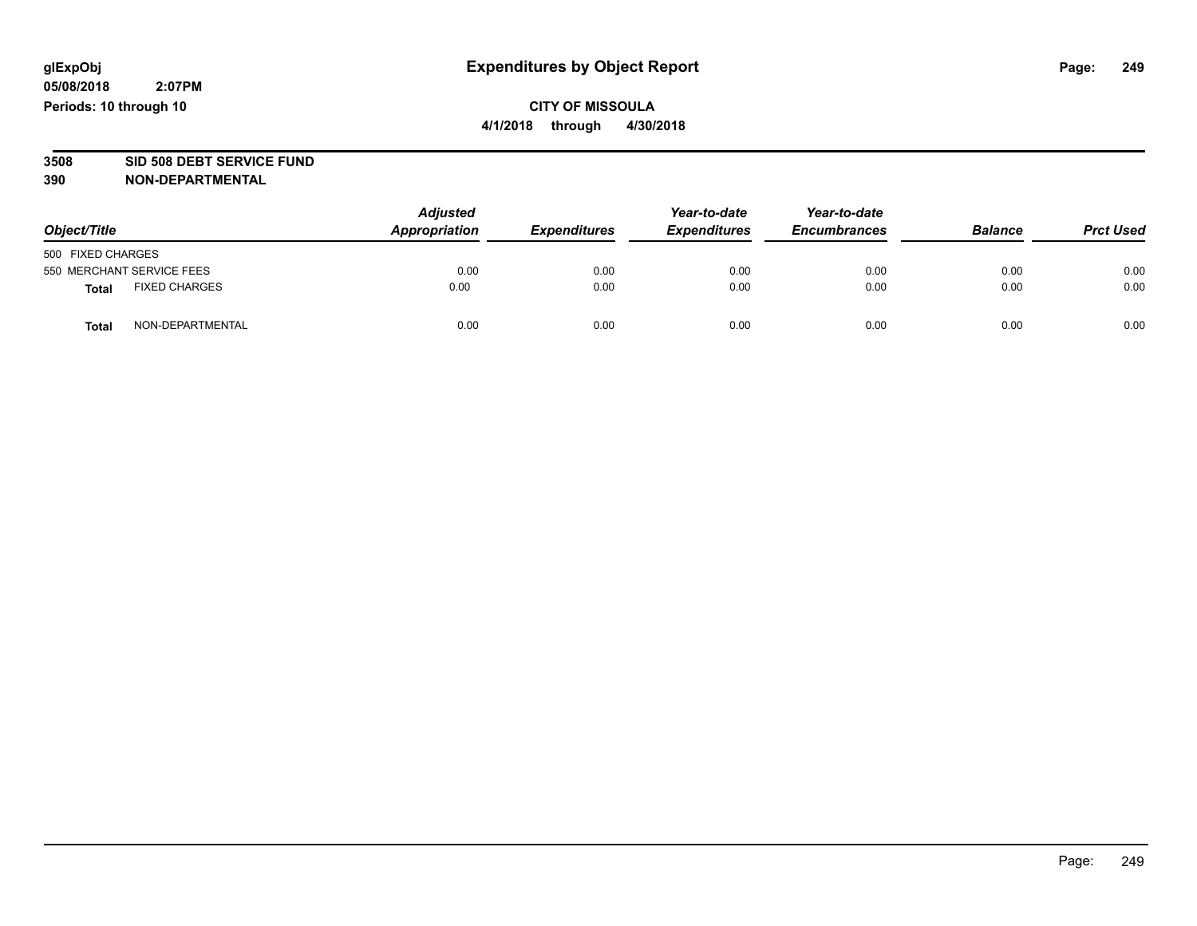# **3508 SID 508 DEBT SERVICE FUND**

**390 NON-DEPARTMENTAL**

**05/08/2018**

**Periods: 10 through 10**

| Object/Title                         | <b>Adjusted</b><br><b>Appropriation</b> | <b>Expenditures</b> | Year-to-date<br><b>Expenditures</b> | Year-to-date<br><b>Encumbrances</b> | <b>Balance</b> | <b>Prct Used</b> |
|--------------------------------------|-----------------------------------------|---------------------|-------------------------------------|-------------------------------------|----------------|------------------|
| 500 FIXED CHARGES                    |                                         |                     |                                     |                                     |                |                  |
| 550 MERCHANT SERVICE FEES            | 0.00                                    | 0.00                | 0.00                                | 0.00                                | 0.00           | 0.00             |
| <b>FIXED CHARGES</b><br><b>Total</b> | 0.00                                    | 0.00                | 0.00                                | 0.00                                | 0.00           | 0.00             |
| NON-DEPARTMENTAL<br>Total            | 0.00                                    | 0.00                | 0.00                                | 0.00                                | 0.00           | 0.00             |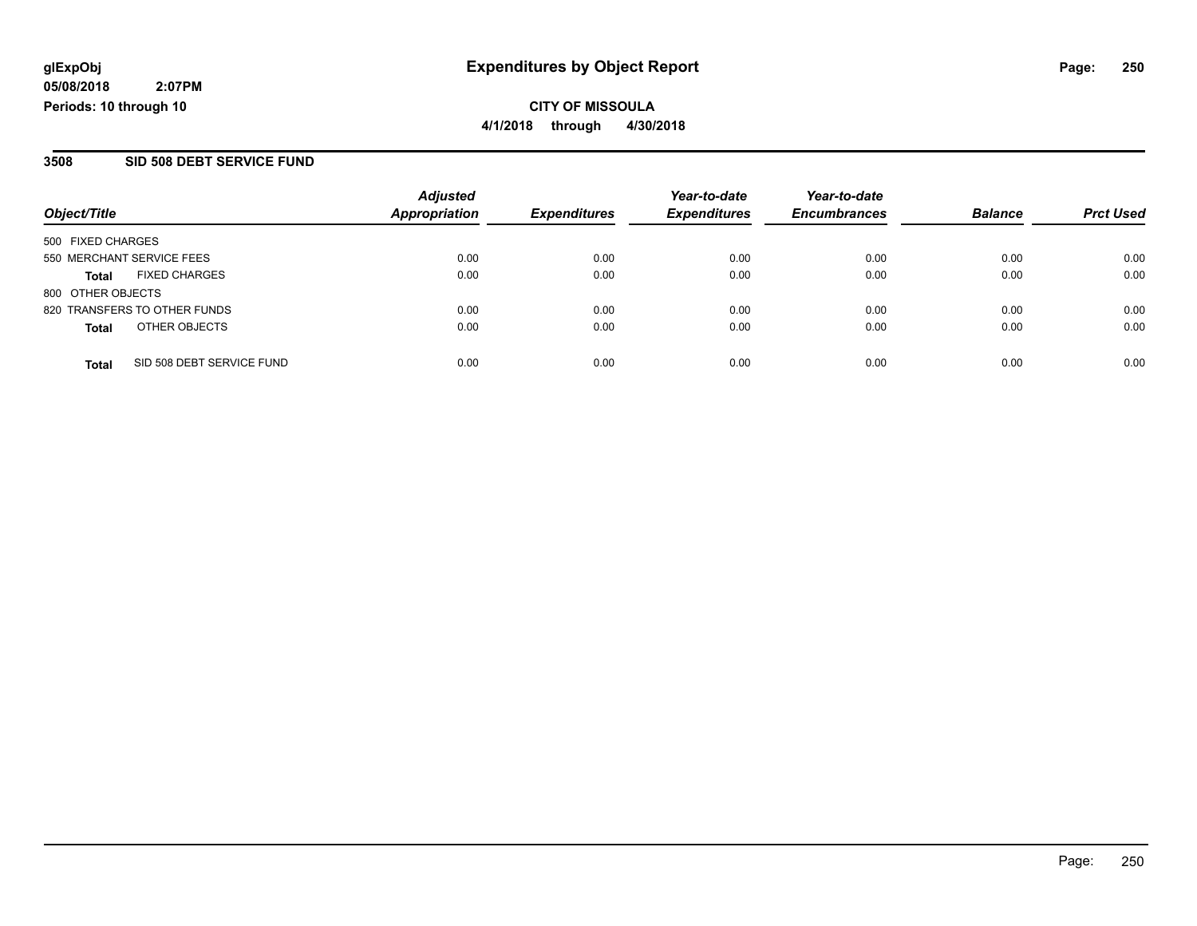**CITY OF MISSOULA 4/1/2018 through 4/30/2018**

## **3508 SID 508 DEBT SERVICE FUND**

|                              |                           | <b>Adjusted</b> |                     | Year-to-date        | Year-to-date        |                |                  |
|------------------------------|---------------------------|-----------------|---------------------|---------------------|---------------------|----------------|------------------|
| Object/Title                 |                           | Appropriation   | <b>Expenditures</b> | <b>Expenditures</b> | <b>Encumbrances</b> | <b>Balance</b> | <b>Prct Used</b> |
| 500 FIXED CHARGES            |                           |                 |                     |                     |                     |                |                  |
| 550 MERCHANT SERVICE FEES    |                           | 0.00            | 0.00                | 0.00                | 0.00                | 0.00           | 0.00             |
| <b>Total</b>                 | <b>FIXED CHARGES</b>      | 0.00            | 0.00                | 0.00                | 0.00                | 0.00           | 0.00             |
| 800 OTHER OBJECTS            |                           |                 |                     |                     |                     |                |                  |
| 820 TRANSFERS TO OTHER FUNDS |                           | 0.00            | 0.00                | 0.00                | 0.00                | 0.00           | 0.00             |
| <b>Total</b>                 | OTHER OBJECTS             | 0.00            | 0.00                | 0.00                | 0.00                | 0.00           | 0.00             |
| <b>Total</b>                 | SID 508 DEBT SERVICE FUND | 0.00            | 0.00                | 0.00                | 0.00                | 0.00           | 0.00             |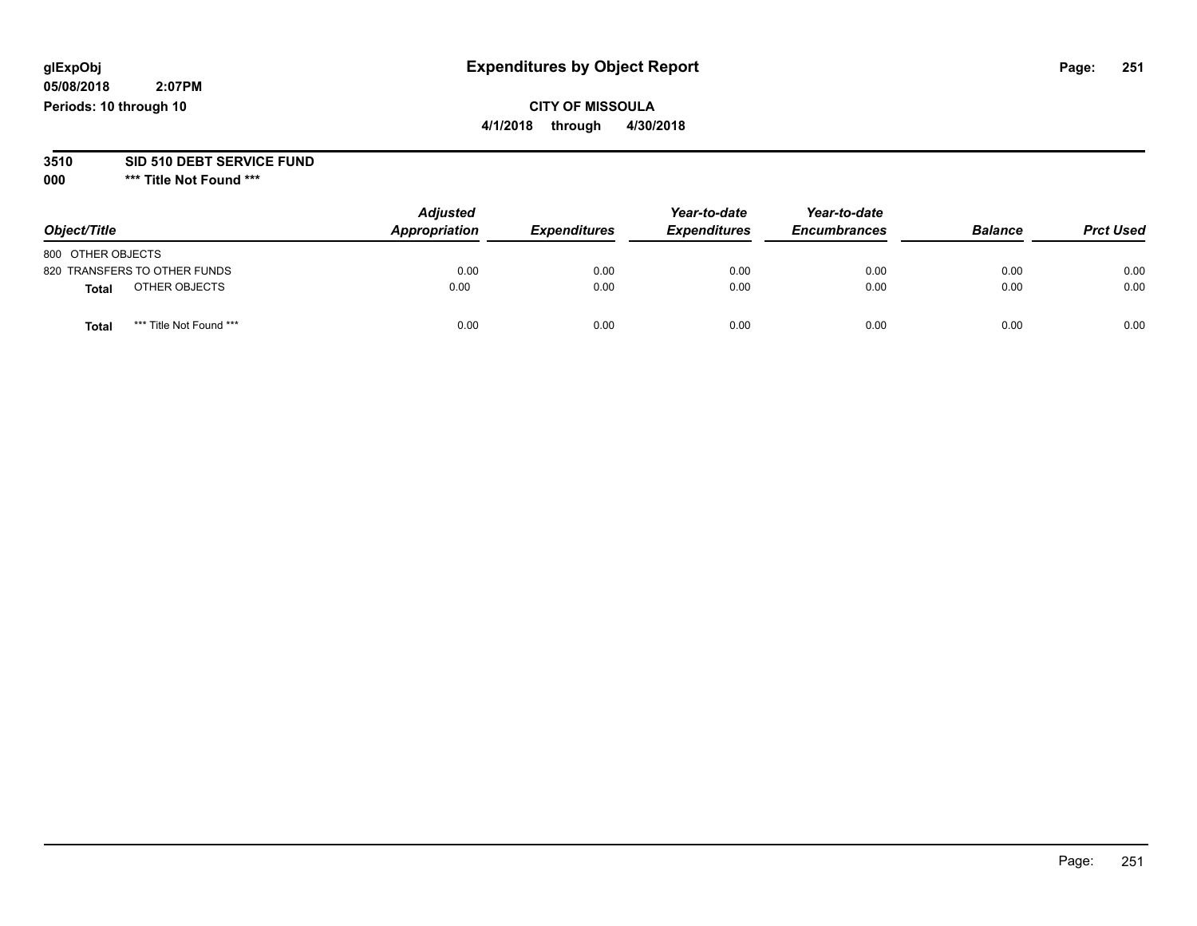# **CITY OF MISSOULA 4/1/2018 through 4/30/2018**

# **3510 SID 510 DEBT SERVICE FUND**

| Object/Title                     | <b>Adjusted</b><br>Appropriation | <b>Expenditures</b> | Year-to-date<br><b>Expenditures</b> | Year-to-date<br><b>Encumbrances</b> | <b>Balance</b> | <b>Prct Used</b> |
|----------------------------------|----------------------------------|---------------------|-------------------------------------|-------------------------------------|----------------|------------------|
| 800 OTHER OBJECTS                |                                  |                     |                                     |                                     |                |                  |
| 820 TRANSFERS TO OTHER FUNDS     | 0.00                             | 0.00                | 0.00                                | 0.00                                | 0.00           | 0.00             |
| OTHER OBJECTS<br><b>Total</b>    | 0.00                             | 0.00                | 0.00                                | 0.00                                | 0.00           | 0.00             |
| *** Title Not Found ***<br>Total | 0.00                             | 0.00                | 0.00                                | 0.00                                | 0.00           | 0.00             |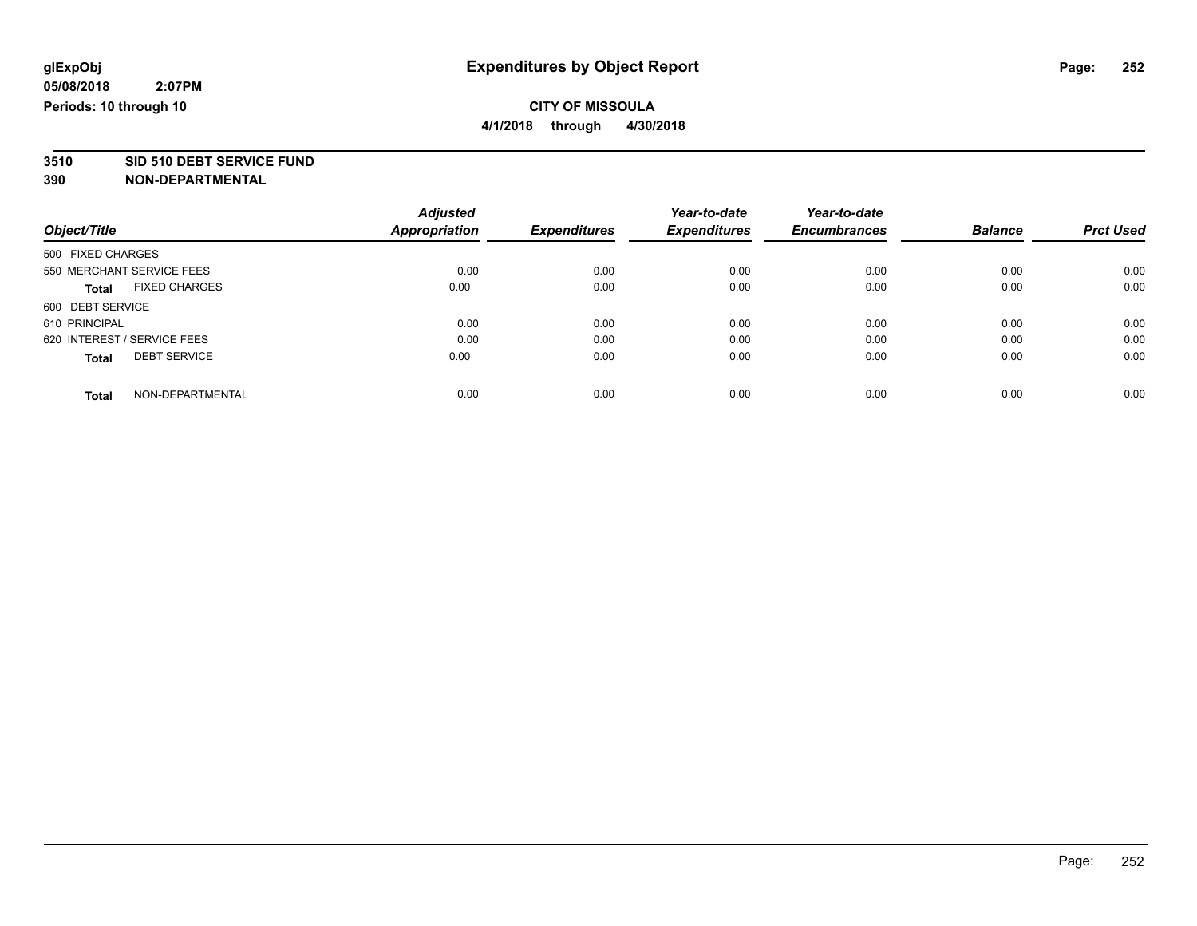# **3510 SID 510 DEBT SERVICE FUND**

|                                      | <b>Adjusted</b>      |                     | Year-to-date        | Year-to-date        |                |                  |
|--------------------------------------|----------------------|---------------------|---------------------|---------------------|----------------|------------------|
| Object/Title                         | <b>Appropriation</b> | <b>Expenditures</b> | <b>Expenditures</b> | <b>Encumbrances</b> | <b>Balance</b> | <b>Prct Used</b> |
| 500 FIXED CHARGES                    |                      |                     |                     |                     |                |                  |
| 550 MERCHANT SERVICE FEES            | 0.00                 | 0.00                | 0.00                | 0.00                | 0.00           | 0.00             |
| <b>FIXED CHARGES</b><br><b>Total</b> | 0.00                 | 0.00                | 0.00                | 0.00                | 0.00           | 0.00             |
| 600 DEBT SERVICE                     |                      |                     |                     |                     |                |                  |
| 610 PRINCIPAL                        | 0.00                 | 0.00                | 0.00                | 0.00                | 0.00           | 0.00             |
| 620 INTEREST / SERVICE FEES          | 0.00                 | 0.00                | 0.00                | 0.00                | 0.00           | 0.00             |
| <b>DEBT SERVICE</b><br><b>Total</b>  | 0.00                 | 0.00                | 0.00                | 0.00                | 0.00           | 0.00             |
| NON-DEPARTMENTAL<br>Total            | 0.00                 | 0.00                | 0.00                | 0.00                | 0.00           | 0.00             |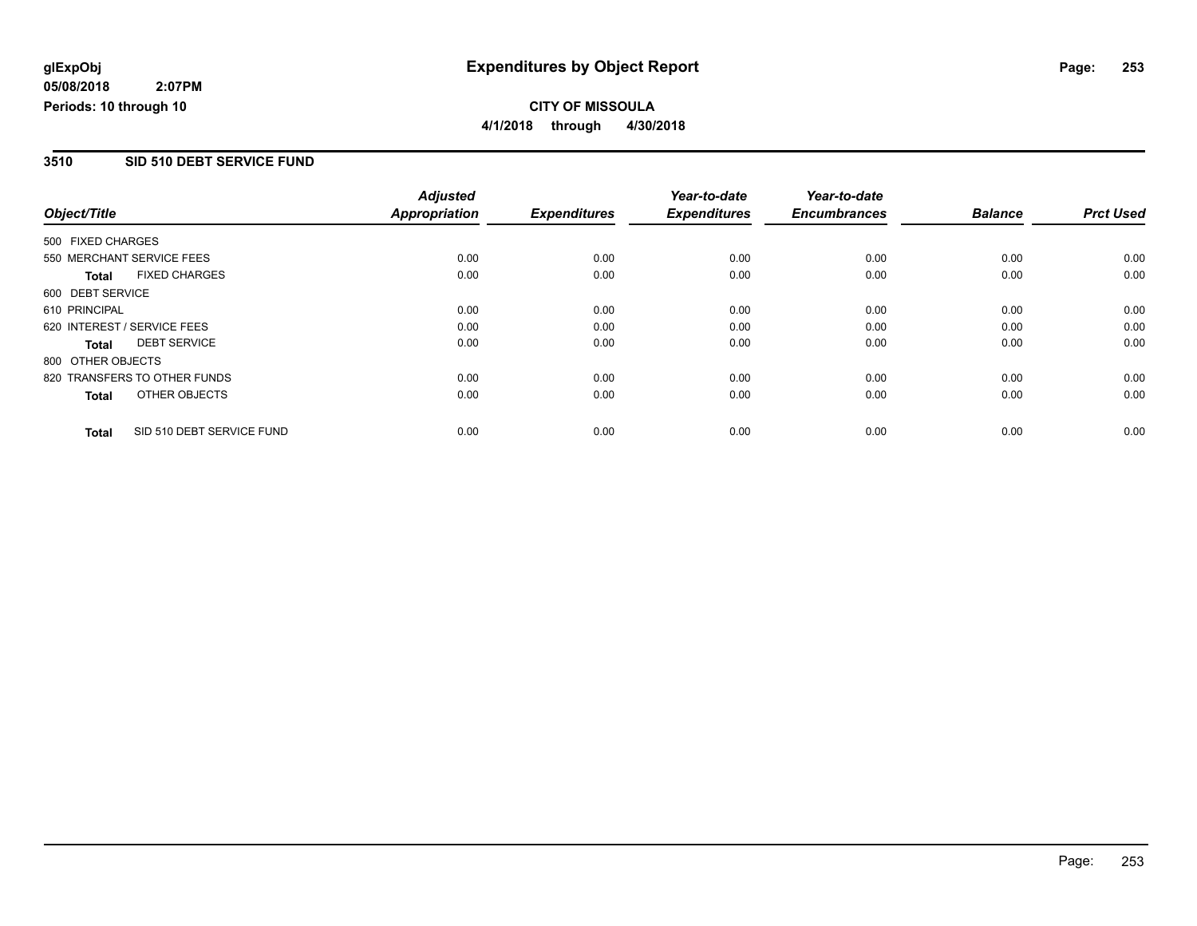## **3510 SID 510 DEBT SERVICE FUND**

|                   |                              | <b>Adjusted</b>      |                     | Year-to-date        | Year-to-date        |                |                  |
|-------------------|------------------------------|----------------------|---------------------|---------------------|---------------------|----------------|------------------|
| Object/Title      |                              | <b>Appropriation</b> | <b>Expenditures</b> | <b>Expenditures</b> | <b>Encumbrances</b> | <b>Balance</b> | <b>Prct Used</b> |
| 500 FIXED CHARGES |                              |                      |                     |                     |                     |                |                  |
|                   | 550 MERCHANT SERVICE FEES    | 0.00                 | 0.00                | 0.00                | 0.00                | 0.00           | 0.00             |
| <b>Total</b>      | <b>FIXED CHARGES</b>         | 0.00                 | 0.00                | 0.00                | 0.00                | 0.00           | 0.00             |
| 600 DEBT SERVICE  |                              |                      |                     |                     |                     |                |                  |
| 610 PRINCIPAL     |                              | 0.00                 | 0.00                | 0.00                | 0.00                | 0.00           | 0.00             |
|                   | 620 INTEREST / SERVICE FEES  | 0.00                 | 0.00                | 0.00                | 0.00                | 0.00           | 0.00             |
| Total             | <b>DEBT SERVICE</b>          | 0.00                 | 0.00                | 0.00                | 0.00                | 0.00           | 0.00             |
| 800 OTHER OBJECTS |                              |                      |                     |                     |                     |                |                  |
|                   | 820 TRANSFERS TO OTHER FUNDS | 0.00                 | 0.00                | 0.00                | 0.00                | 0.00           | 0.00             |
| Total             | OTHER OBJECTS                | 0.00                 | 0.00                | 0.00                | 0.00                | 0.00           | 0.00             |
| <b>Total</b>      | SID 510 DEBT SERVICE FUND    | 0.00                 | 0.00                | 0.00                | 0.00                | 0.00           | 0.00             |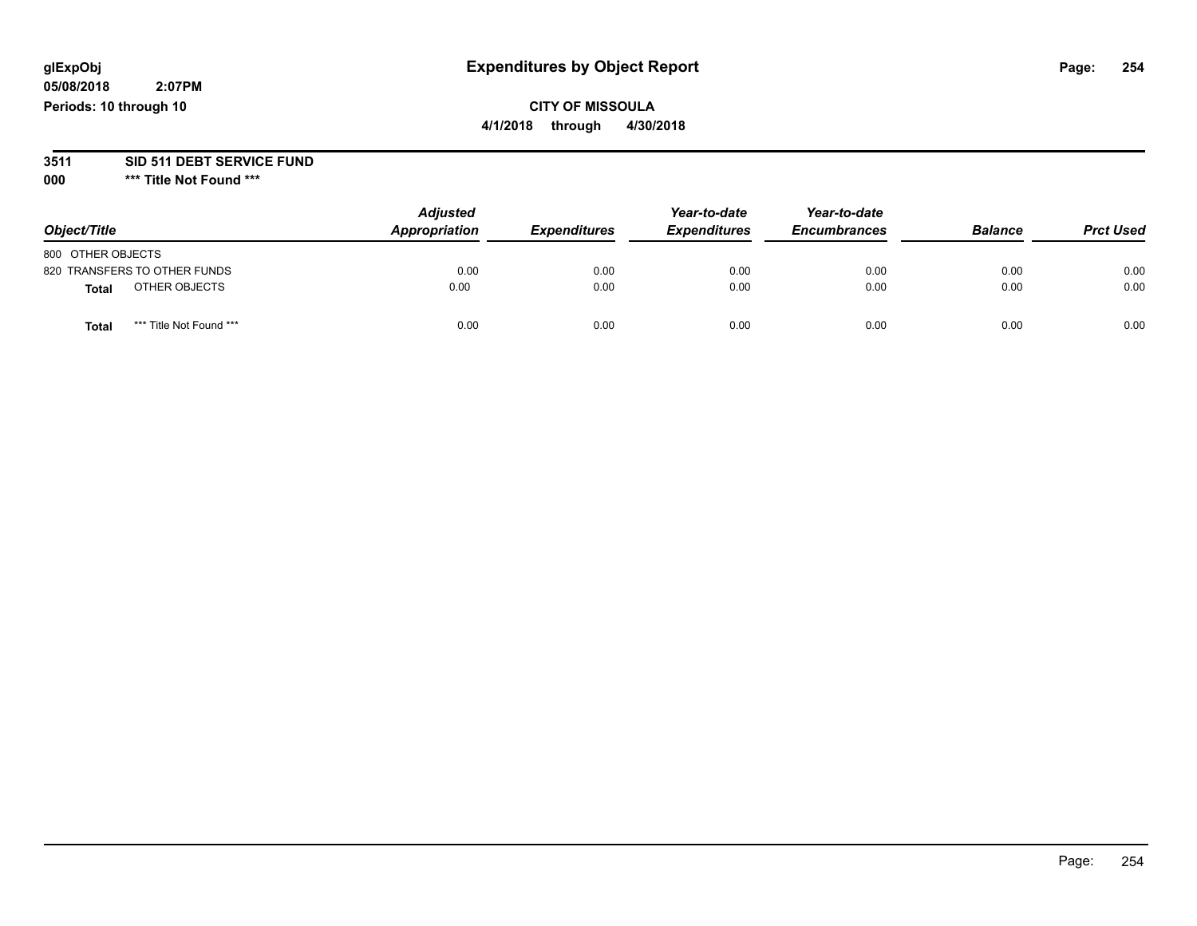#### **05/08/2018 2:07PM Periods: 10 through 10**

## **CITY OF MISSOULA 4/1/2018 through 4/30/2018**

# **3511 SID 511 DEBT SERVICE FUND**

**000 \*\*\* Title Not Found \*\*\***

| Object/Title                            | <b>Adjusted</b><br>Appropriation | <b>Expenditures</b> | Year-to-date<br><b>Expenditures</b> | Year-to-date<br><b>Encumbrances</b> | <b>Balance</b> | <b>Prct Used</b> |
|-----------------------------------------|----------------------------------|---------------------|-------------------------------------|-------------------------------------|----------------|------------------|
| 800 OTHER OBJECTS                       |                                  |                     |                                     |                                     |                |                  |
| 820 TRANSFERS TO OTHER FUNDS            | 0.00                             | 0.00                | 0.00                                | 0.00                                | 0.00           | 0.00             |
| OTHER OBJECTS<br><b>Total</b>           | 0.00                             | 0.00                | 0.00                                | 0.00                                | 0.00           | 0.00             |
| *** Title Not Found ***<br><b>Total</b> | 0.00                             | 0.00                | 0.00                                | 0.00                                | 0.00           | 0.00             |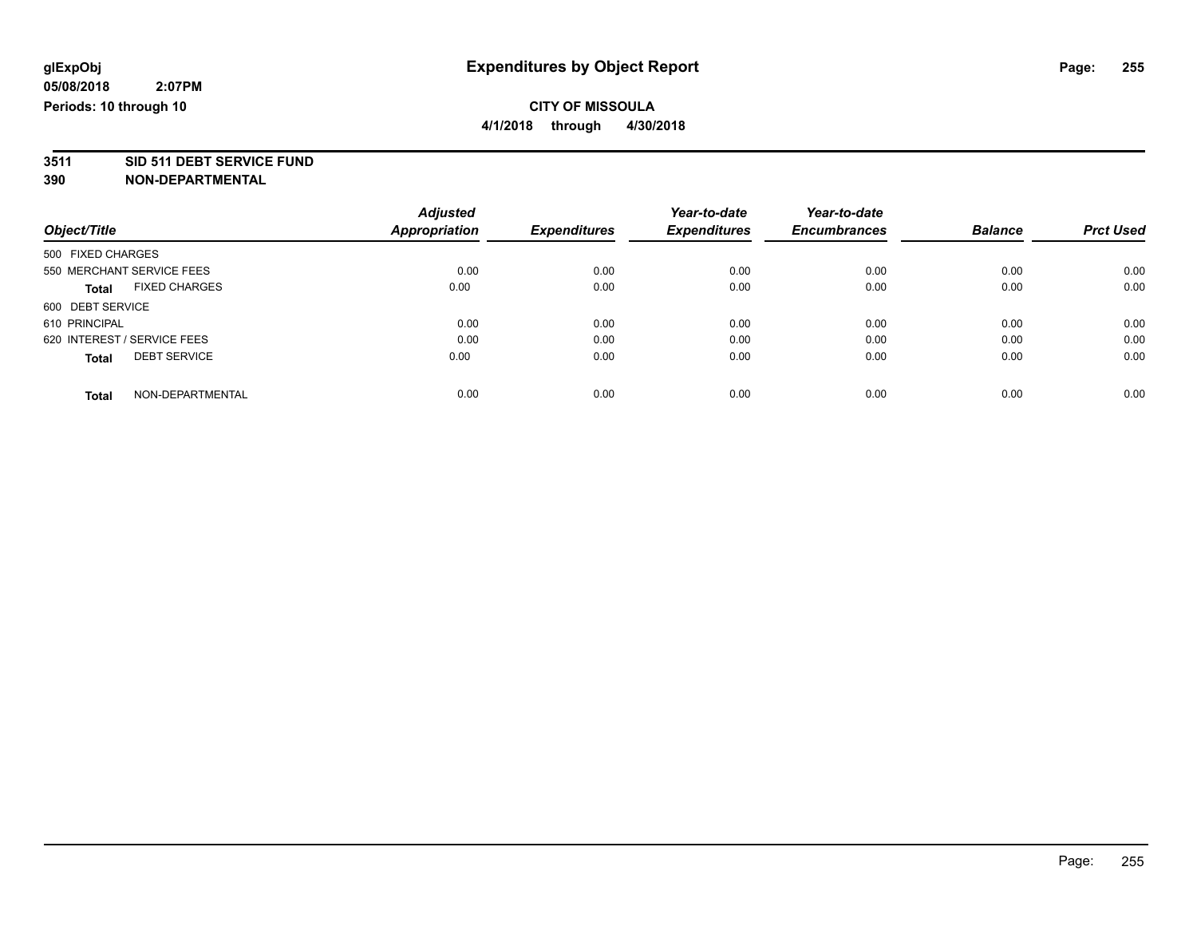# **3511 SID 511 DEBT SERVICE FUND**

|                                      | <b>Adjusted</b> |                     | Year-to-date        | Year-to-date        |                |                  |
|--------------------------------------|-----------------|---------------------|---------------------|---------------------|----------------|------------------|
| Object/Title                         | Appropriation   | <b>Expenditures</b> | <b>Expenditures</b> | <b>Encumbrances</b> | <b>Balance</b> | <b>Prct Used</b> |
| 500 FIXED CHARGES                    |                 |                     |                     |                     |                |                  |
| 550 MERCHANT SERVICE FEES            | 0.00            | 0.00                | 0.00                | 0.00                | 0.00           | 0.00             |
| <b>FIXED CHARGES</b><br><b>Total</b> | 0.00            | 0.00                | 0.00                | 0.00                | 0.00           | 0.00             |
| 600 DEBT SERVICE                     |                 |                     |                     |                     |                |                  |
| 610 PRINCIPAL                        | 0.00            | 0.00                | 0.00                | 0.00                | 0.00           | 0.00             |
| 620 INTEREST / SERVICE FEES          | 0.00            | 0.00                | 0.00                | 0.00                | 0.00           | 0.00             |
| <b>DEBT SERVICE</b><br><b>Total</b>  | 0.00            | 0.00                | 0.00                | 0.00                | 0.00           | 0.00             |
| NON-DEPARTMENTAL<br><b>Total</b>     | 0.00            | 0.00                | 0.00                | 0.00                | 0.00           | 0.00             |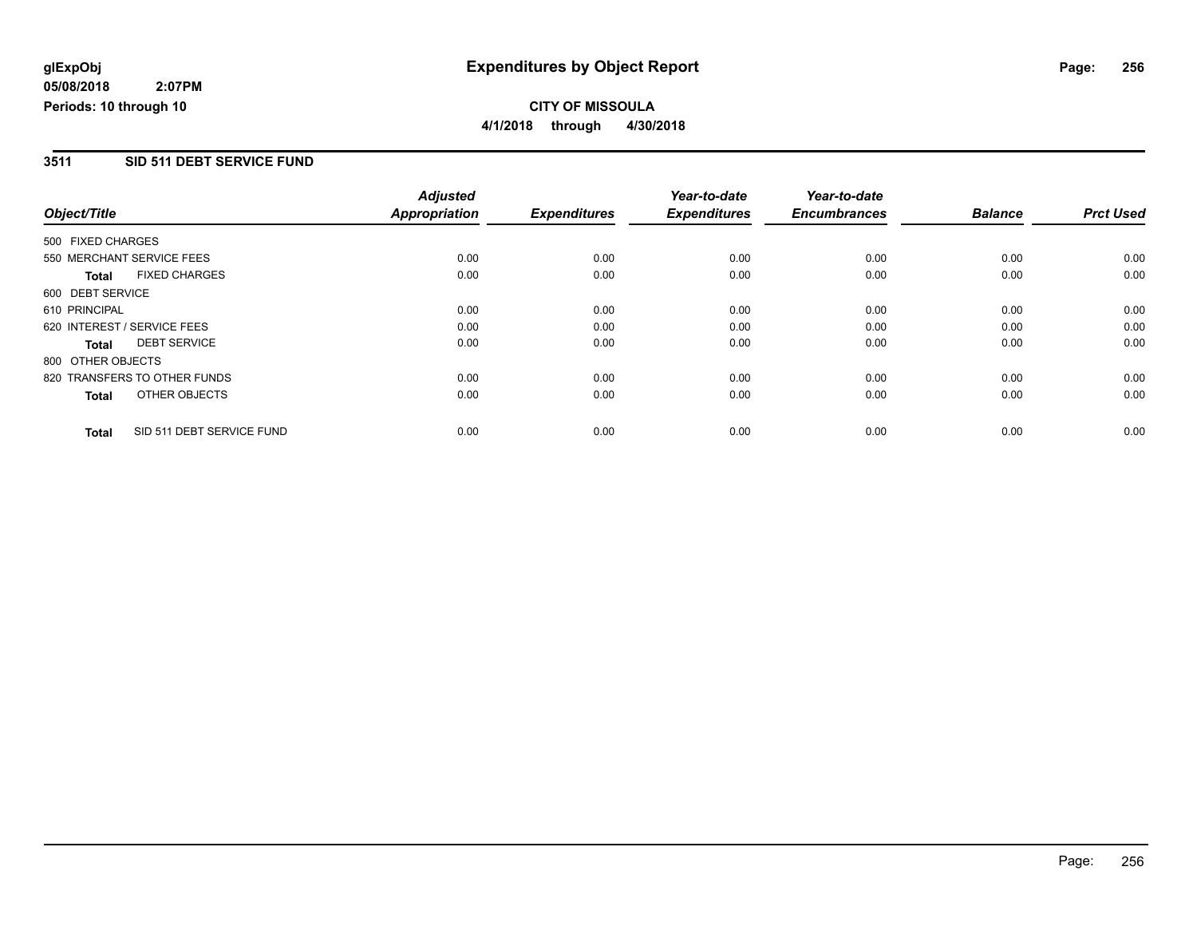## **3511 SID 511 DEBT SERVICE FUND**

|                   |                              | <b>Adjusted</b>      |                     | Year-to-date        | Year-to-date        |                |                  |
|-------------------|------------------------------|----------------------|---------------------|---------------------|---------------------|----------------|------------------|
| Object/Title      |                              | <b>Appropriation</b> | <b>Expenditures</b> | <b>Expenditures</b> | <b>Encumbrances</b> | <b>Balance</b> | <b>Prct Used</b> |
| 500 FIXED CHARGES |                              |                      |                     |                     |                     |                |                  |
|                   | 550 MERCHANT SERVICE FEES    | 0.00                 | 0.00                | 0.00                | 0.00                | 0.00           | 0.00             |
| <b>Total</b>      | <b>FIXED CHARGES</b>         | 0.00                 | 0.00                | 0.00                | 0.00                | 0.00           | 0.00             |
| 600 DEBT SERVICE  |                              |                      |                     |                     |                     |                |                  |
| 610 PRINCIPAL     |                              | 0.00                 | 0.00                | 0.00                | 0.00                | 0.00           | 0.00             |
|                   | 620 INTEREST / SERVICE FEES  | 0.00                 | 0.00                | 0.00                | 0.00                | 0.00           | 0.00             |
| Total             | <b>DEBT SERVICE</b>          | 0.00                 | 0.00                | 0.00                | 0.00                | 0.00           | 0.00             |
| 800 OTHER OBJECTS |                              |                      |                     |                     |                     |                |                  |
|                   | 820 TRANSFERS TO OTHER FUNDS | 0.00                 | 0.00                | 0.00                | 0.00                | 0.00           | 0.00             |
| <b>Total</b>      | OTHER OBJECTS                | 0.00                 | 0.00                | 0.00                | 0.00                | 0.00           | 0.00             |
| <b>Total</b>      | SID 511 DEBT SERVICE FUND    | 0.00                 | 0.00                | 0.00                | 0.00                | 0.00           | 0.00             |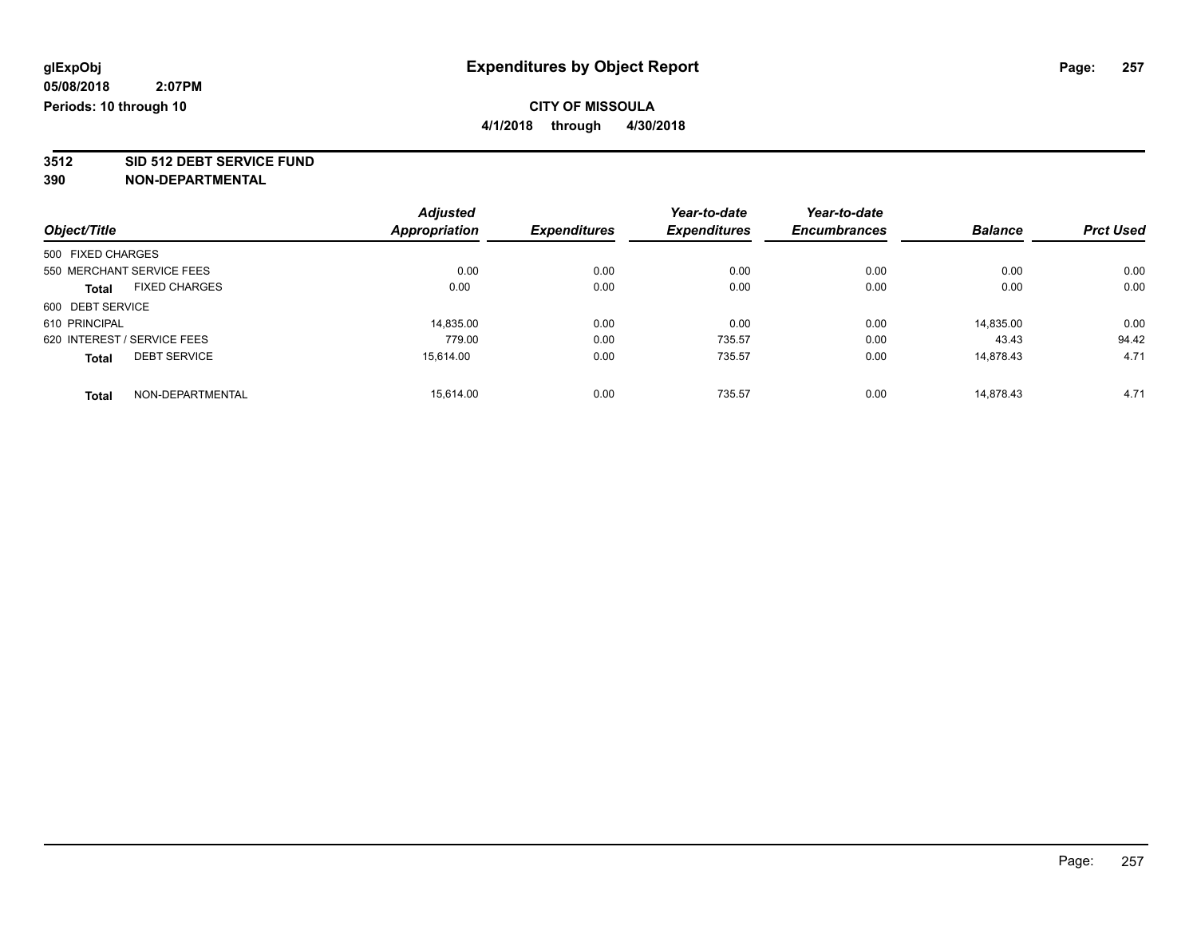**3512 SID 512 DEBT SERVICE FUND**

|                                      | <b>Adjusted</b> |                     | Year-to-date        | Year-to-date        |                |                  |
|--------------------------------------|-----------------|---------------------|---------------------|---------------------|----------------|------------------|
| Object/Title                         | Appropriation   | <b>Expenditures</b> | <b>Expenditures</b> | <b>Encumbrances</b> | <b>Balance</b> | <b>Prct Used</b> |
| 500 FIXED CHARGES                    |                 |                     |                     |                     |                |                  |
| 550 MERCHANT SERVICE FEES            | 0.00            | 0.00                | 0.00                | 0.00                | 0.00           | 0.00             |
| <b>FIXED CHARGES</b><br><b>Total</b> | 0.00            | 0.00                | 0.00                | 0.00                | 0.00           | 0.00             |
| 600 DEBT SERVICE                     |                 |                     |                     |                     |                |                  |
| 610 PRINCIPAL                        | 14,835.00       | 0.00                | 0.00                | 0.00                | 14.835.00      | 0.00             |
| 620 INTEREST / SERVICE FEES          | 779.00          | 0.00                | 735.57              | 0.00                | 43.43          | 94.42            |
| <b>DEBT SERVICE</b><br><b>Total</b>  | 15.614.00       | 0.00                | 735.57              | 0.00                | 14,878.43      | 4.71             |
| NON-DEPARTMENTAL<br><b>Total</b>     | 15.614.00       | 0.00                | 735.57              | 0.00                | 14.878.43      | 4.71             |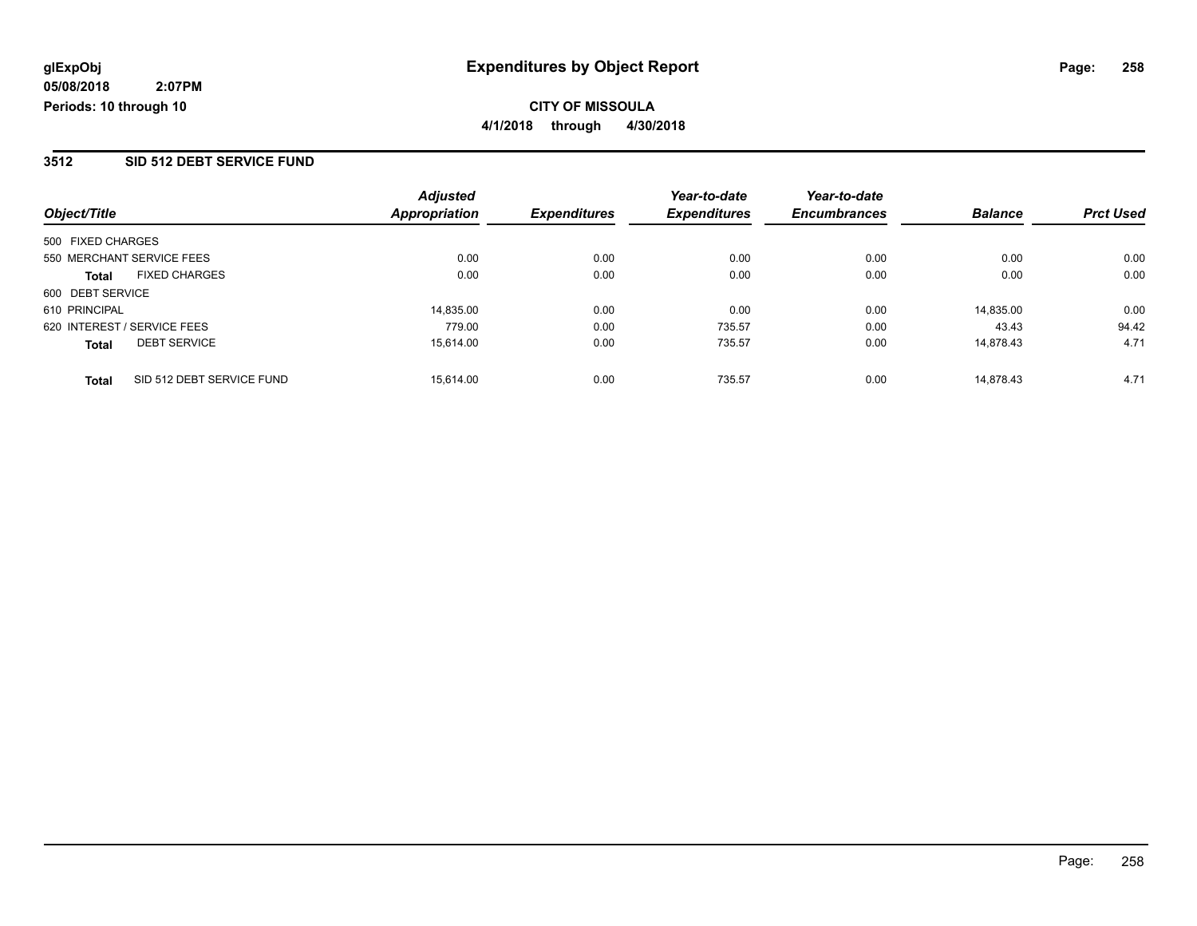### **3512 SID 512 DEBT SERVICE FUND**

|                                           | <b>Adjusted</b>      |                     | Year-to-date        | Year-to-date        |                |                  |
|-------------------------------------------|----------------------|---------------------|---------------------|---------------------|----------------|------------------|
| Object/Title                              | <b>Appropriation</b> | <b>Expenditures</b> | <b>Expenditures</b> | <b>Encumbrances</b> | <b>Balance</b> | <b>Prct Used</b> |
| 500 FIXED CHARGES                         |                      |                     |                     |                     |                |                  |
| 550 MERCHANT SERVICE FEES                 | 0.00                 | 0.00                | 0.00                | 0.00                | 0.00           | 0.00             |
| <b>FIXED CHARGES</b><br>Total             | 0.00                 | 0.00                | 0.00                | 0.00                | 0.00           | 0.00             |
| 600 DEBT SERVICE                          |                      |                     |                     |                     |                |                  |
| 610 PRINCIPAL                             | 14.835.00            | 0.00                | 0.00                | 0.00                | 14,835.00      | 0.00             |
| 620 INTEREST / SERVICE FEES               | 779.00               | 0.00                | 735.57              | 0.00                | 43.43          | 94.42            |
| <b>DEBT SERVICE</b><br><b>Total</b>       | 15.614.00            | 0.00                | 735.57              | 0.00                | 14.878.43      | 4.71             |
| SID 512 DEBT SERVICE FUND<br><b>Total</b> | 15.614.00            | 0.00                | 735.57              | 0.00                | 14.878.43      | 4.71             |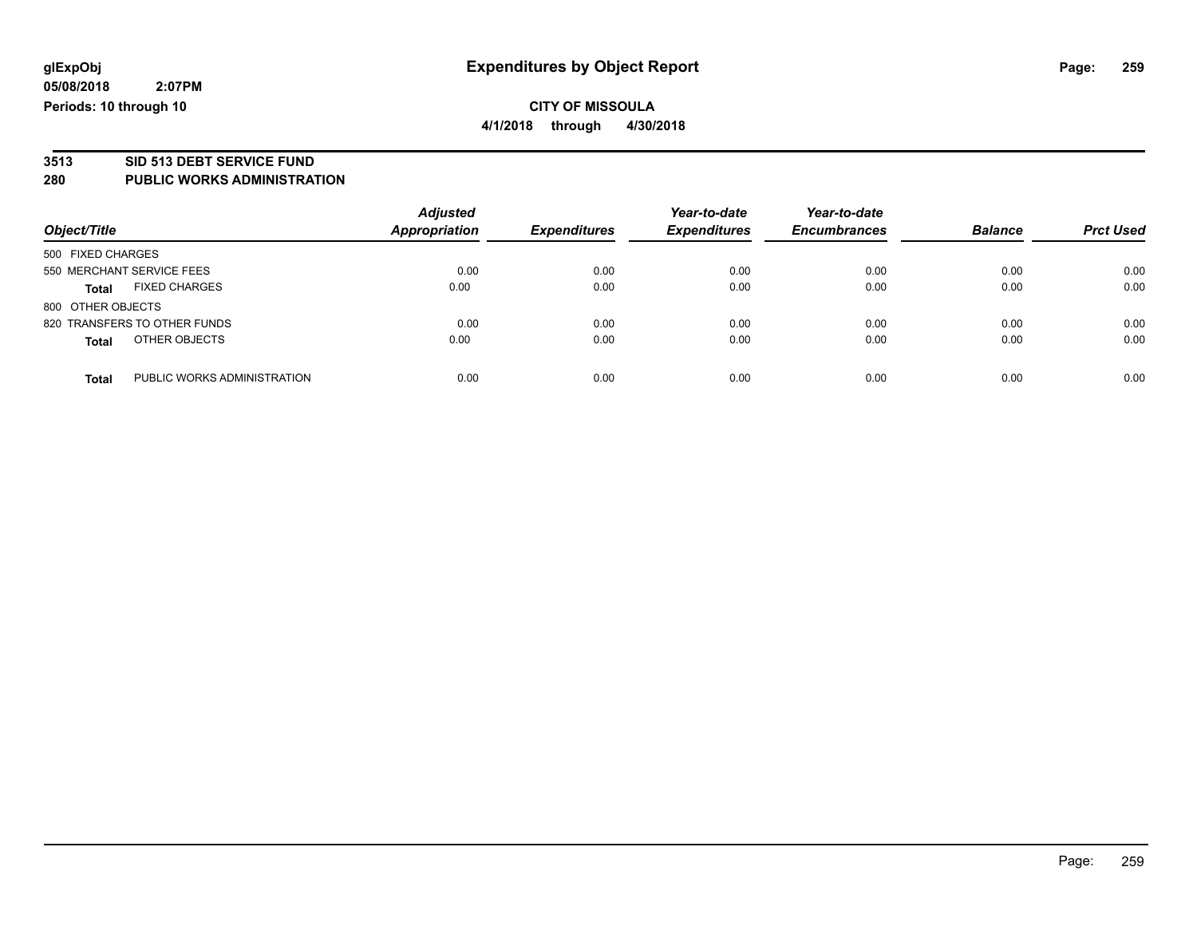**05/08/2018 2:07PM Periods: 10 through 10**

## **CITY OF MISSOULA 4/1/2018 through 4/30/2018**

# **3513 SID 513 DEBT SERVICE FUND**

### **280 PUBLIC WORKS ADMINISTRATION**

| Object/Title                                | <b>Adjusted</b><br><b>Appropriation</b> | <b>Expenditures</b> | Year-to-date<br><b>Expenditures</b> | Year-to-date<br><b>Encumbrances</b> | <b>Balance</b> | <b>Prct Used</b> |
|---------------------------------------------|-----------------------------------------|---------------------|-------------------------------------|-------------------------------------|----------------|------------------|
| 500 FIXED CHARGES                           |                                         |                     |                                     |                                     |                |                  |
| 550 MERCHANT SERVICE FEES                   | 0.00                                    | 0.00                | 0.00                                | 0.00                                | 0.00           | 0.00             |
| <b>FIXED CHARGES</b><br><b>Total</b>        | 0.00                                    | 0.00                | 0.00                                | 0.00                                | 0.00           | 0.00             |
| 800 OTHER OBJECTS                           |                                         |                     |                                     |                                     |                |                  |
| 820 TRANSFERS TO OTHER FUNDS                | 0.00                                    | 0.00                | 0.00                                | 0.00                                | 0.00           | 0.00             |
| OTHER OBJECTS<br><b>Total</b>               | 0.00                                    | 0.00                | 0.00                                | 0.00                                | 0.00           | 0.00             |
| PUBLIC WORKS ADMINISTRATION<br><b>Total</b> | 0.00                                    | 0.00                | 0.00                                | 0.00                                | 0.00           | 0.00             |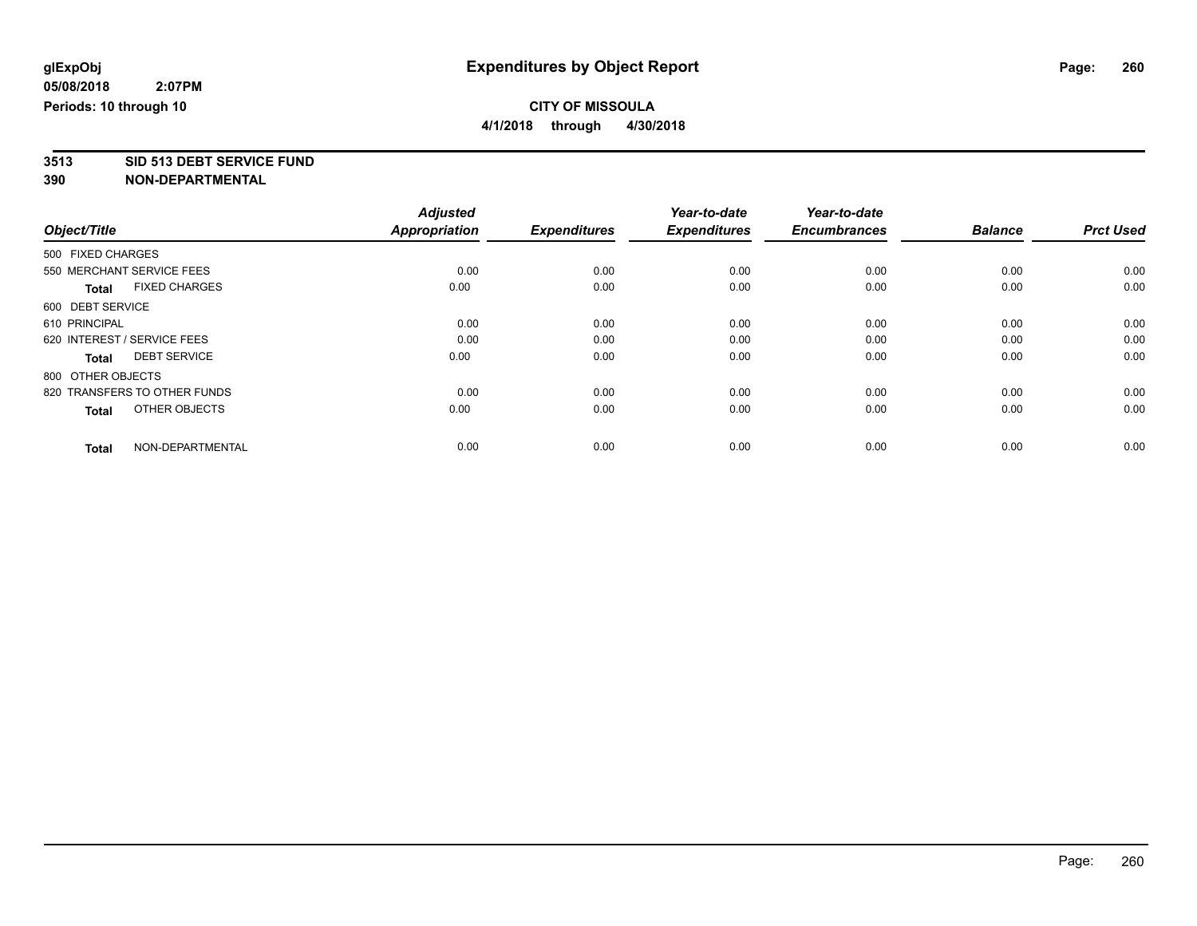# **3513 SID 513 DEBT SERVICE FUND**

|                                      | <b>Adjusted</b>      |                     | Year-to-date        | Year-to-date        |                |                  |
|--------------------------------------|----------------------|---------------------|---------------------|---------------------|----------------|------------------|
| Object/Title                         | <b>Appropriation</b> | <b>Expenditures</b> | <b>Expenditures</b> | <b>Encumbrances</b> | <b>Balance</b> | <b>Prct Used</b> |
| 500 FIXED CHARGES                    |                      |                     |                     |                     |                |                  |
| 550 MERCHANT SERVICE FEES            | 0.00                 | 0.00                | 0.00                | 0.00                | 0.00           | 0.00             |
| <b>FIXED CHARGES</b><br><b>Total</b> | 0.00                 | 0.00                | 0.00                | 0.00                | 0.00           | 0.00             |
| 600 DEBT SERVICE                     |                      |                     |                     |                     |                |                  |
| 610 PRINCIPAL                        | 0.00                 | 0.00                | 0.00                | 0.00                | 0.00           | 0.00             |
| 620 INTEREST / SERVICE FEES          | 0.00                 | 0.00                | 0.00                | 0.00                | 0.00           | 0.00             |
| <b>DEBT SERVICE</b><br><b>Total</b>  | 0.00                 | 0.00                | 0.00                | 0.00                | 0.00           | 0.00             |
| 800 OTHER OBJECTS                    |                      |                     |                     |                     |                |                  |
| 820 TRANSFERS TO OTHER FUNDS         | 0.00                 | 0.00                | 0.00                | 0.00                | 0.00           | 0.00             |
| OTHER OBJECTS<br><b>Total</b>        | 0.00                 | 0.00                | 0.00                | 0.00                | 0.00           | 0.00             |
|                                      |                      |                     |                     |                     |                |                  |
| NON-DEPARTMENTAL<br><b>Total</b>     | 0.00                 | 0.00                | 0.00                | 0.00                | 0.00           | 0.00             |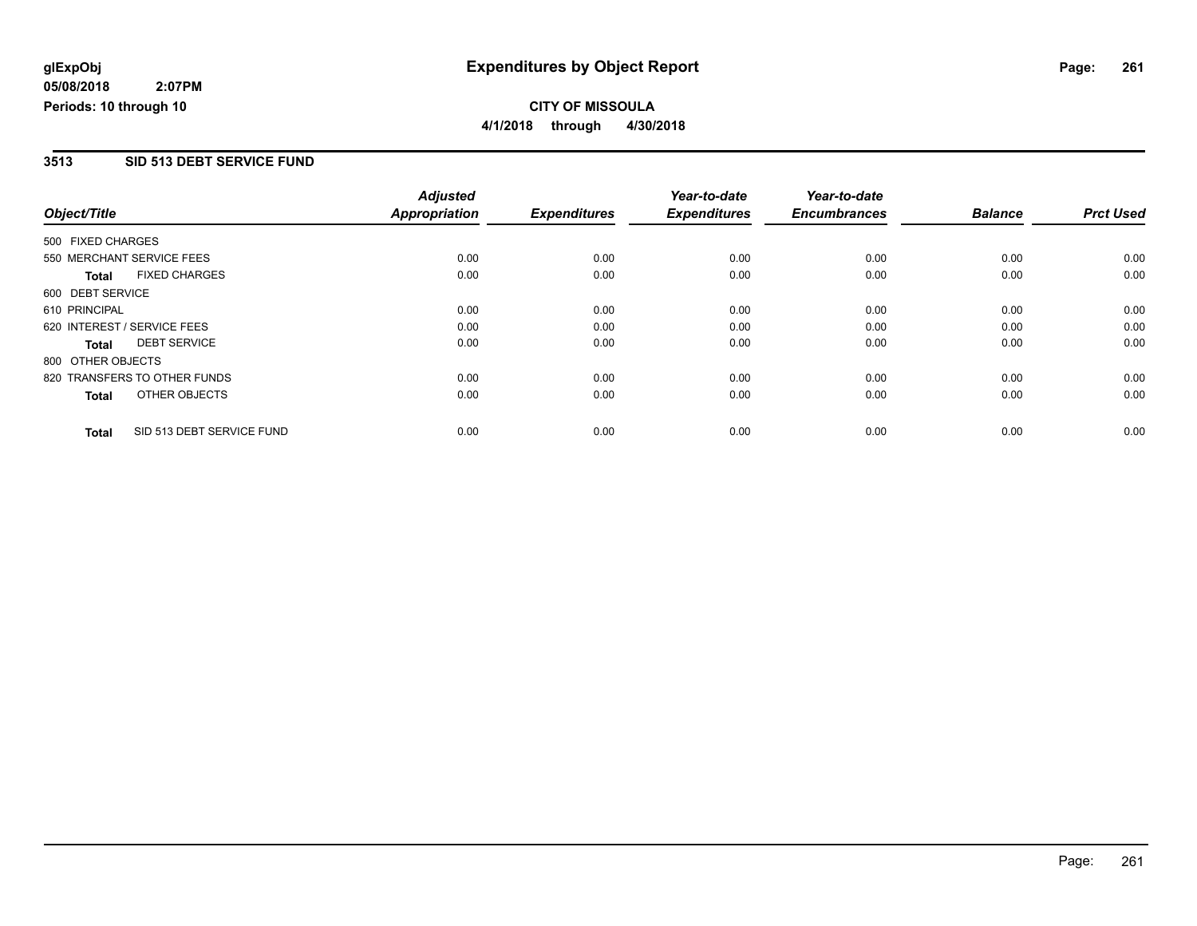## **3513 SID 513 DEBT SERVICE FUND**

|                              |                           | <b>Adjusted</b>      |                     | Year-to-date        | Year-to-date        |                |                  |
|------------------------------|---------------------------|----------------------|---------------------|---------------------|---------------------|----------------|------------------|
| Object/Title                 |                           | <b>Appropriation</b> | <b>Expenditures</b> | <b>Expenditures</b> | <b>Encumbrances</b> | <b>Balance</b> | <b>Prct Used</b> |
| 500 FIXED CHARGES            |                           |                      |                     |                     |                     |                |                  |
| 550 MERCHANT SERVICE FEES    |                           | 0.00                 | 0.00                | 0.00                | 0.00                | 0.00           | 0.00             |
| <b>Total</b>                 | <b>FIXED CHARGES</b>      | 0.00                 | 0.00                | 0.00                | 0.00                | 0.00           | 0.00             |
| 600 DEBT SERVICE             |                           |                      |                     |                     |                     |                |                  |
| 610 PRINCIPAL                |                           | 0.00                 | 0.00                | 0.00                | 0.00                | 0.00           | 0.00             |
| 620 INTEREST / SERVICE FEES  |                           | 0.00                 | 0.00                | 0.00                | 0.00                | 0.00           | 0.00             |
| Total                        | <b>DEBT SERVICE</b>       | 0.00                 | 0.00                | 0.00                | 0.00                | 0.00           | 0.00             |
| 800 OTHER OBJECTS            |                           |                      |                     |                     |                     |                |                  |
| 820 TRANSFERS TO OTHER FUNDS |                           | 0.00                 | 0.00                | 0.00                | 0.00                | 0.00           | 0.00             |
| Total                        | OTHER OBJECTS             | 0.00                 | 0.00                | 0.00                | 0.00                | 0.00           | 0.00             |
| <b>Total</b>                 | SID 513 DEBT SERVICE FUND | 0.00                 | 0.00                | 0.00                | 0.00                | 0.00           | 0.00             |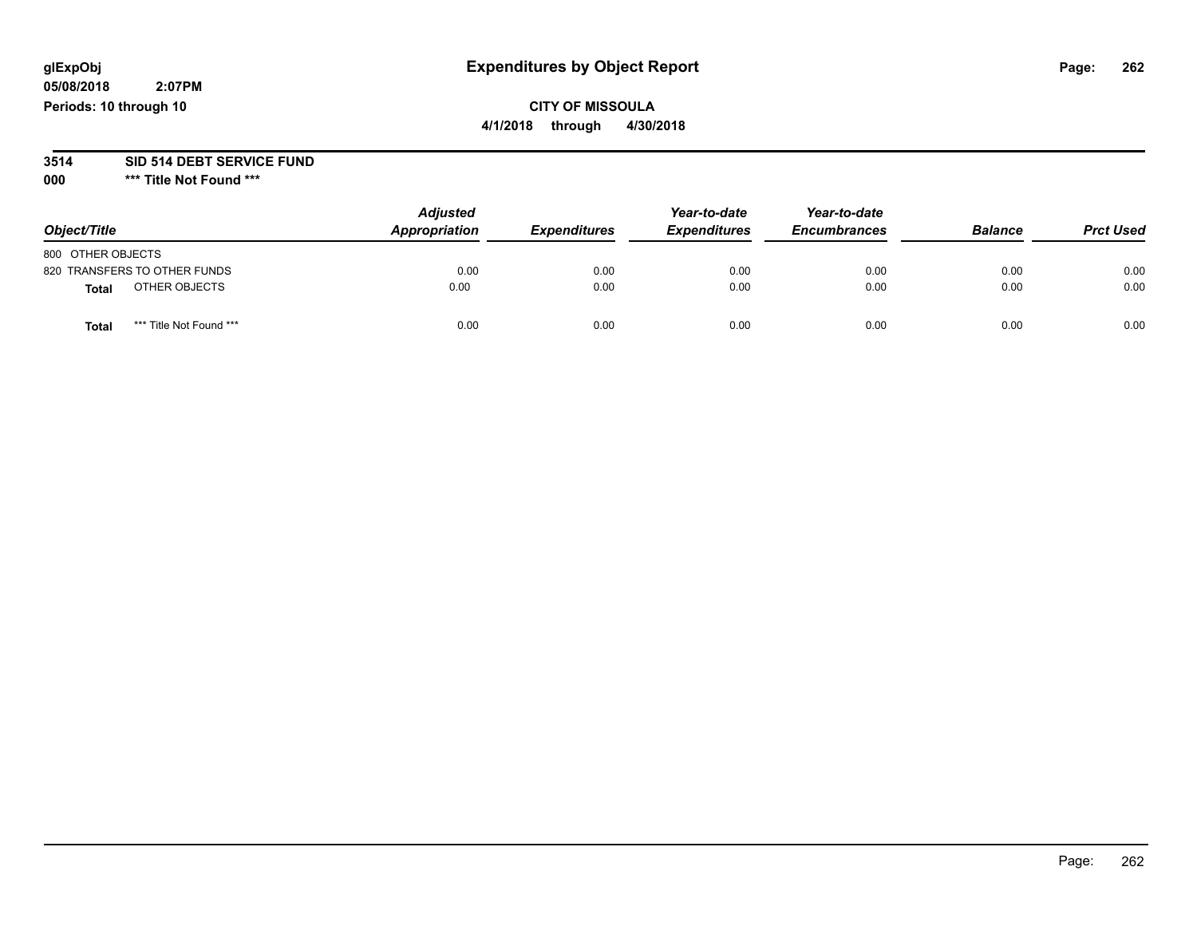#### **05/08/2018 2:07PM Periods: 10 through 10**

## **CITY OF MISSOULA 4/1/2018 through 4/30/2018**

#### **3514 SID 514 DEBT SERVICE FUND**

**000 \*\*\* Title Not Found \*\*\***

| Object/Title                     | <b>Adjusted</b><br>Appropriation | <b>Expenditures</b> | Year-to-date<br><b>Expenditures</b> | Year-to-date<br><b>Encumbrances</b> | <b>Balance</b> | <b>Prct Used</b> |
|----------------------------------|----------------------------------|---------------------|-------------------------------------|-------------------------------------|----------------|------------------|
| 800 OTHER OBJECTS                |                                  |                     |                                     |                                     |                |                  |
| 820 TRANSFERS TO OTHER FUNDS     | 0.00                             | 0.00                | 0.00                                | 0.00                                | 0.00           | 0.00             |
| OTHER OBJECTS<br><b>Total</b>    | 0.00                             | 0.00                | 0.00                                | 0.00                                | 0.00           | 0.00             |
| *** Title Not Found ***<br>Total | 0.00                             | 0.00                | 0.00                                | 0.00                                | 0.00           | 0.00             |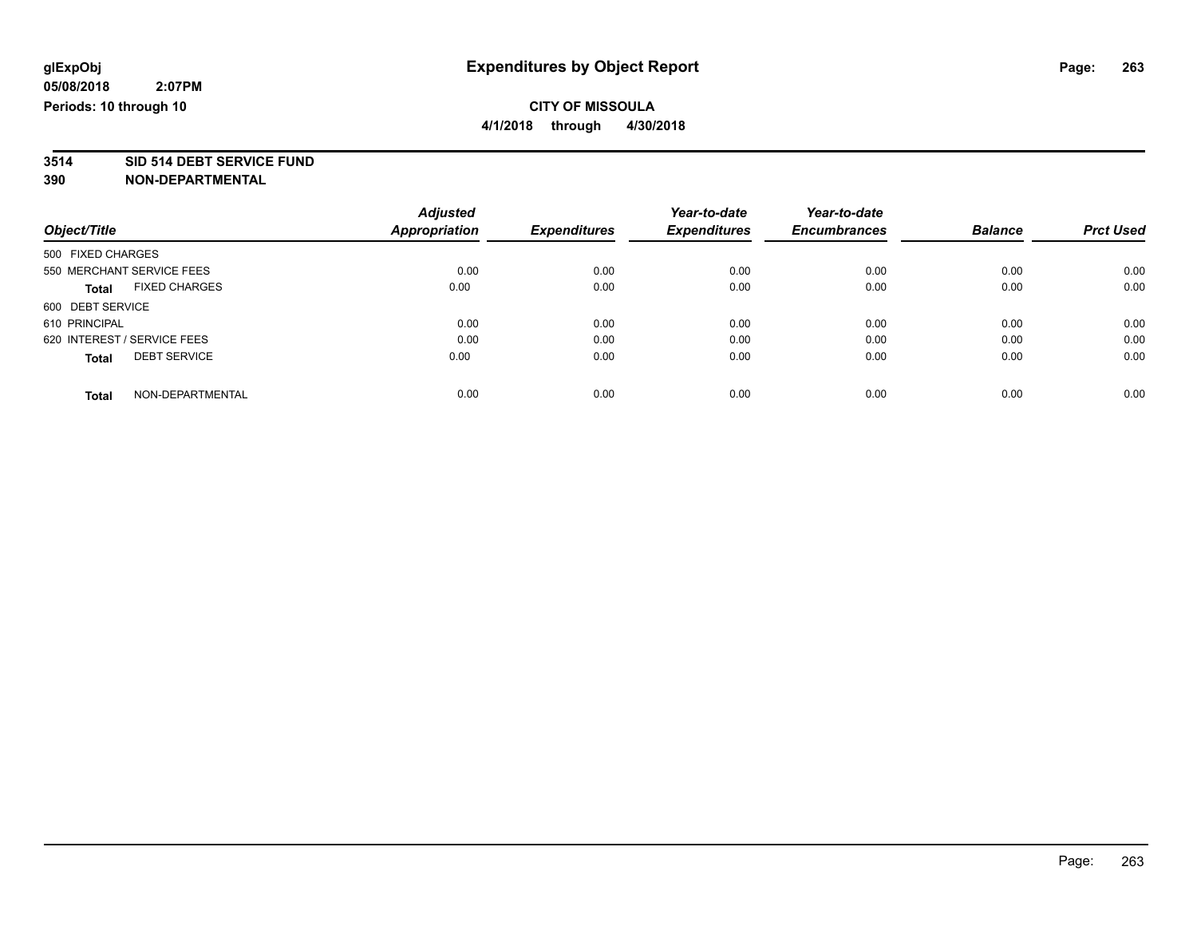# **3514 SID 514 DEBT SERVICE FUND**

|                                      | <b>Adjusted</b> |                     | Year-to-date        | Year-to-date        |                |                  |
|--------------------------------------|-----------------|---------------------|---------------------|---------------------|----------------|------------------|
| Object/Title                         | Appropriation   | <b>Expenditures</b> | <b>Expenditures</b> | <b>Encumbrances</b> | <b>Balance</b> | <b>Prct Used</b> |
| 500 FIXED CHARGES                    |                 |                     |                     |                     |                |                  |
| 550 MERCHANT SERVICE FEES            | 0.00            | 0.00                | 0.00                | 0.00                | 0.00           | 0.00             |
| <b>FIXED CHARGES</b><br><b>Total</b> | 0.00            | 0.00                | 0.00                | 0.00                | 0.00           | 0.00             |
| 600 DEBT SERVICE                     |                 |                     |                     |                     |                |                  |
| 610 PRINCIPAL                        | 0.00            | 0.00                | 0.00                | 0.00                | 0.00           | 0.00             |
| 620 INTEREST / SERVICE FEES          | 0.00            | 0.00                | 0.00                | 0.00                | 0.00           | 0.00             |
| <b>DEBT SERVICE</b><br><b>Total</b>  | 0.00            | 0.00                | 0.00                | 0.00                | 0.00           | 0.00             |
| NON-DEPARTMENTAL<br><b>Total</b>     | 0.00            | 0.00                | 0.00                | 0.00                | 0.00           | 0.00             |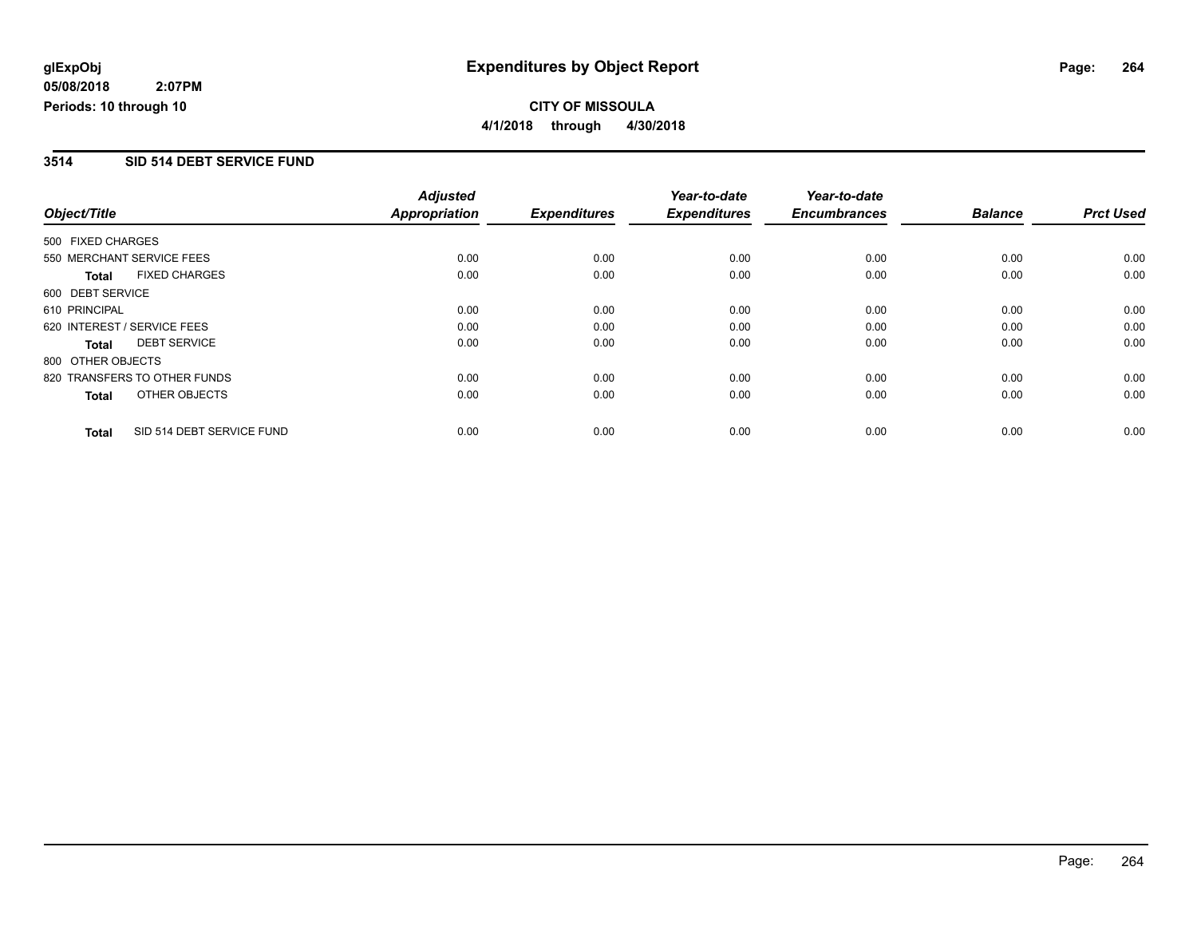## **3514 SID 514 DEBT SERVICE FUND**

|                             |                              | <b>Adjusted</b>      |                     | Year-to-date        | Year-to-date        |                |                  |
|-----------------------------|------------------------------|----------------------|---------------------|---------------------|---------------------|----------------|------------------|
| Object/Title                |                              | <b>Appropriation</b> | <b>Expenditures</b> | <b>Expenditures</b> | <b>Encumbrances</b> | <b>Balance</b> | <b>Prct Used</b> |
| 500 FIXED CHARGES           |                              |                      |                     |                     |                     |                |                  |
|                             | 550 MERCHANT SERVICE FEES    | 0.00                 | 0.00                | 0.00                | 0.00                | 0.00           | 0.00             |
| <b>Total</b>                | <b>FIXED CHARGES</b>         | 0.00                 | 0.00                | 0.00                | 0.00                | 0.00           | 0.00             |
| 600 DEBT SERVICE            |                              |                      |                     |                     |                     |                |                  |
| 610 PRINCIPAL               |                              | 0.00                 | 0.00                | 0.00                | 0.00                | 0.00           | 0.00             |
| 620 INTEREST / SERVICE FEES |                              | 0.00                 | 0.00                | 0.00                | 0.00                | 0.00           | 0.00             |
| Total                       | <b>DEBT SERVICE</b>          | 0.00                 | 0.00                | 0.00                | 0.00                | 0.00           | 0.00             |
| 800 OTHER OBJECTS           |                              |                      |                     |                     |                     |                |                  |
|                             | 820 TRANSFERS TO OTHER FUNDS | 0.00                 | 0.00                | 0.00                | 0.00                | 0.00           | 0.00             |
| Total                       | OTHER OBJECTS                | 0.00                 | 0.00                | 0.00                | 0.00                | 0.00           | 0.00             |
| <b>Total</b>                | SID 514 DEBT SERVICE FUND    | 0.00                 | 0.00                | 0.00                | 0.00                | 0.00           | 0.00             |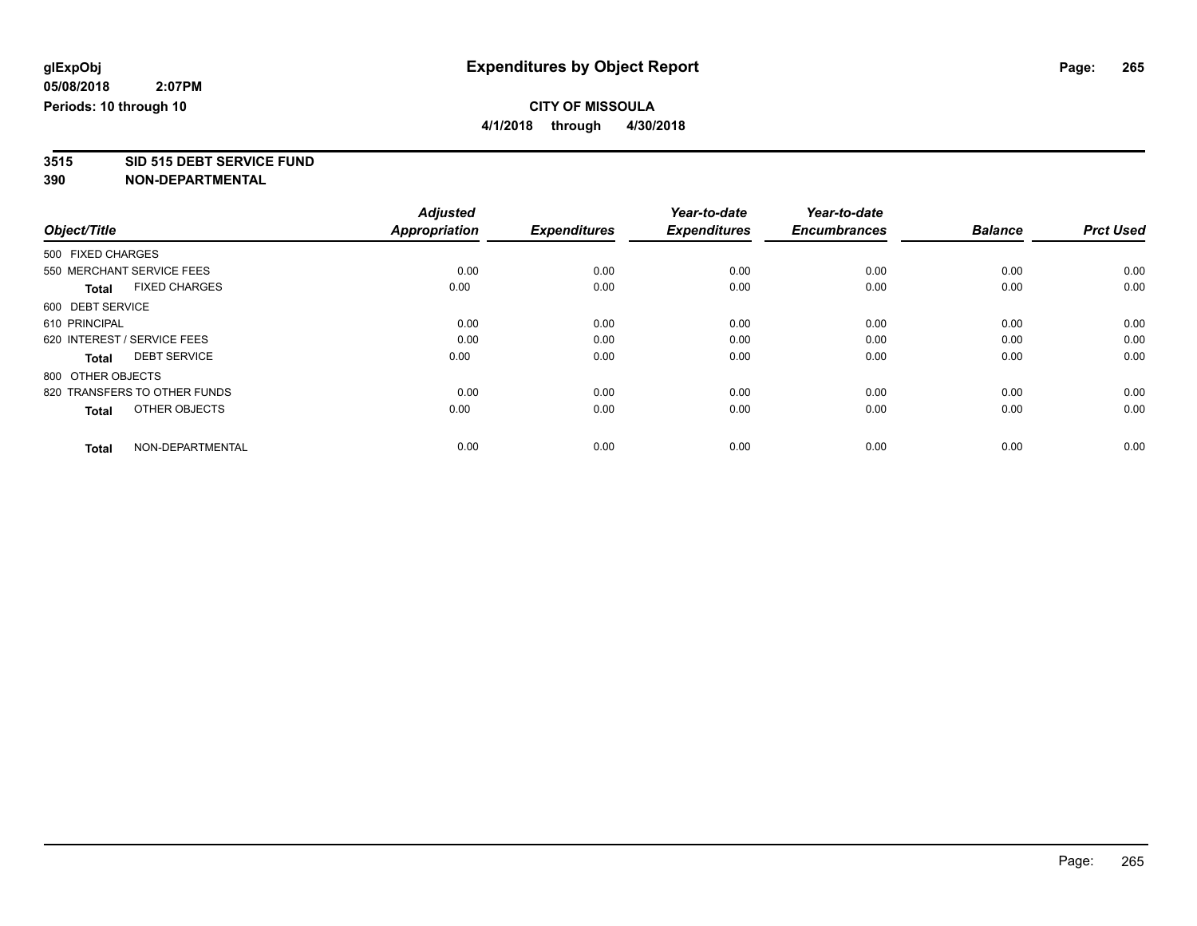# **3515 SID 515 DEBT SERVICE FUND**

|                                      | <b>Adjusted</b>      |                     | Year-to-date<br><b>Expenditures</b> | Year-to-date<br><b>Encumbrances</b> | <b>Balance</b> | <b>Prct Used</b> |
|--------------------------------------|----------------------|---------------------|-------------------------------------|-------------------------------------|----------------|------------------|
| Object/Title                         | <b>Appropriation</b> | <b>Expenditures</b> |                                     |                                     |                |                  |
| 500 FIXED CHARGES                    |                      |                     |                                     |                                     |                |                  |
| 550 MERCHANT SERVICE FEES            | 0.00                 | 0.00                | 0.00                                | 0.00                                | 0.00           | 0.00             |
| <b>FIXED CHARGES</b><br><b>Total</b> | 0.00                 | 0.00                | 0.00                                | 0.00                                | 0.00           | 0.00             |
| 600 DEBT SERVICE                     |                      |                     |                                     |                                     |                |                  |
| 610 PRINCIPAL                        | 0.00                 | 0.00                | 0.00                                | 0.00                                | 0.00           | 0.00             |
| 620 INTEREST / SERVICE FEES          | 0.00                 | 0.00                | 0.00                                | 0.00                                | 0.00           | 0.00             |
| <b>DEBT SERVICE</b><br><b>Total</b>  | 0.00                 | 0.00                | 0.00                                | 0.00                                | 0.00           | 0.00             |
| 800 OTHER OBJECTS                    |                      |                     |                                     |                                     |                |                  |
| 820 TRANSFERS TO OTHER FUNDS         | 0.00                 | 0.00                | 0.00                                | 0.00                                | 0.00           | 0.00             |
| OTHER OBJECTS<br><b>Total</b>        | 0.00                 | 0.00                | 0.00                                | 0.00                                | 0.00           | 0.00             |
|                                      |                      |                     |                                     |                                     |                |                  |
| NON-DEPARTMENTAL<br><b>Total</b>     | 0.00                 | 0.00                | 0.00                                | 0.00                                | 0.00           | 0.00             |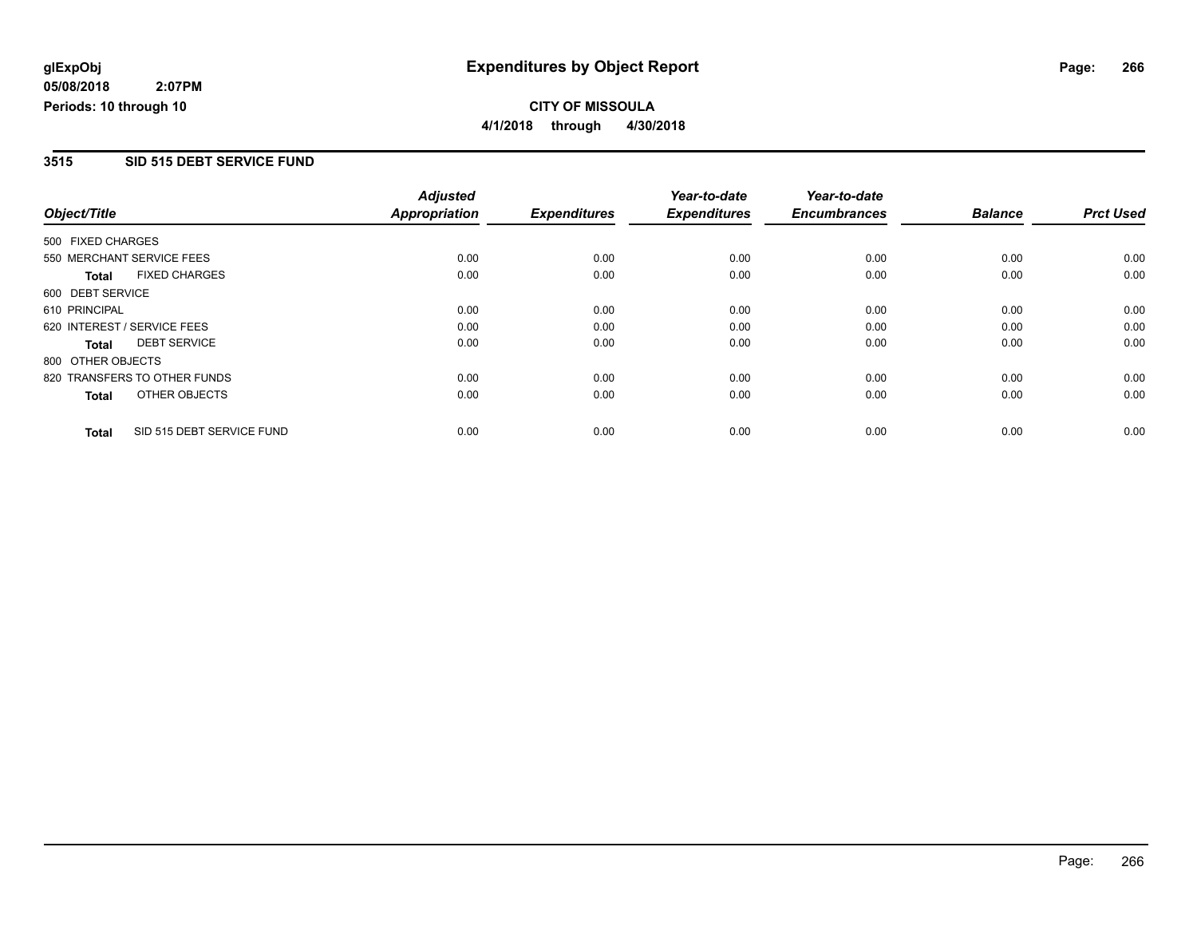## **3515 SID 515 DEBT SERVICE FUND**

|                   |                              | <b>Adjusted</b>      |                     | Year-to-date        | Year-to-date        |                |                  |
|-------------------|------------------------------|----------------------|---------------------|---------------------|---------------------|----------------|------------------|
| Object/Title      |                              | <b>Appropriation</b> | <b>Expenditures</b> | <b>Expenditures</b> | <b>Encumbrances</b> | <b>Balance</b> | <b>Prct Used</b> |
| 500 FIXED CHARGES |                              |                      |                     |                     |                     |                |                  |
|                   | 550 MERCHANT SERVICE FEES    | 0.00                 | 0.00                | 0.00                | 0.00                | 0.00           | 0.00             |
| <b>Total</b>      | <b>FIXED CHARGES</b>         | 0.00                 | 0.00                | 0.00                | 0.00                | 0.00           | 0.00             |
| 600 DEBT SERVICE  |                              |                      |                     |                     |                     |                |                  |
| 610 PRINCIPAL     |                              | 0.00                 | 0.00                | 0.00                | 0.00                | 0.00           | 0.00             |
|                   | 620 INTEREST / SERVICE FEES  | 0.00                 | 0.00                | 0.00                | 0.00                | 0.00           | 0.00             |
| Total             | <b>DEBT SERVICE</b>          | 0.00                 | 0.00                | 0.00                | 0.00                | 0.00           | 0.00             |
| 800 OTHER OBJECTS |                              |                      |                     |                     |                     |                |                  |
|                   | 820 TRANSFERS TO OTHER FUNDS | 0.00                 | 0.00                | 0.00                | 0.00                | 0.00           | 0.00             |
| Total             | OTHER OBJECTS                | 0.00                 | 0.00                | 0.00                | 0.00                | 0.00           | 0.00             |
| <b>Total</b>      | SID 515 DEBT SERVICE FUND    | 0.00                 | 0.00                | 0.00                | 0.00                | 0.00           | 0.00             |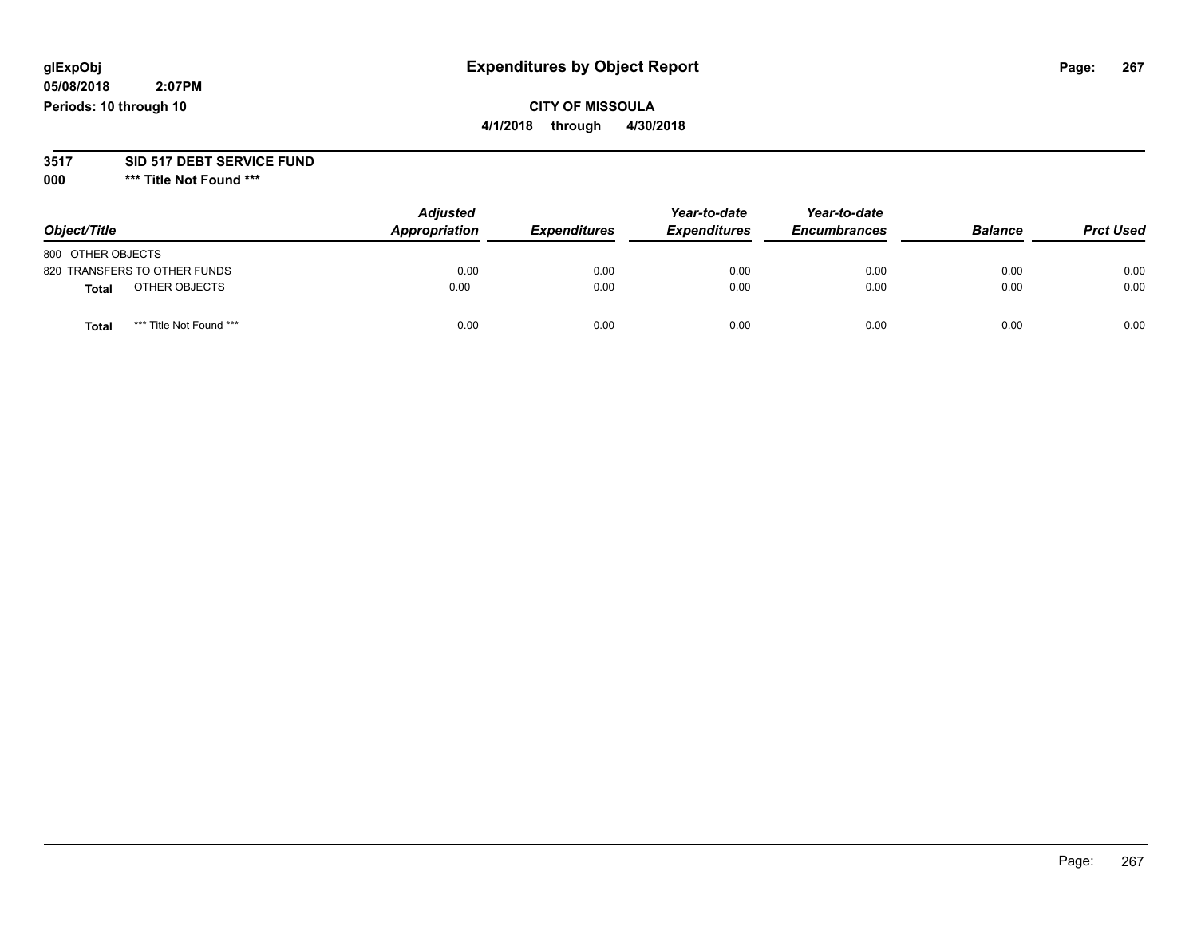#### **05/08/2018 2:07PM Periods: 10 through 10**

## **CITY OF MISSOULA 4/1/2018 through 4/30/2018**

### **3517 SID 517 DEBT SERVICE FUND**

**000 \*\*\* Title Not Found \*\*\***

| Object/Title                            | <b>Adjusted</b><br>Appropriation | <b>Expenditures</b> | Year-to-date<br><b>Expenditures</b> | Year-to-date<br><b>Encumbrances</b> | <b>Balance</b> | <b>Prct Used</b> |
|-----------------------------------------|----------------------------------|---------------------|-------------------------------------|-------------------------------------|----------------|------------------|
| 800 OTHER OBJECTS                       |                                  |                     |                                     |                                     |                |                  |
| 820 TRANSFERS TO OTHER FUNDS            | 0.00                             | 0.00                | 0.00                                | 0.00                                | 0.00           | 0.00             |
| OTHER OBJECTS<br><b>Total</b>           | 0.00                             | 0.00                | 0.00                                | 0.00                                | 0.00           | 0.00             |
| *** Title Not Found ***<br><b>Total</b> | 0.00                             | 0.00                | 0.00                                | 0.00                                | 0.00           | 0.00             |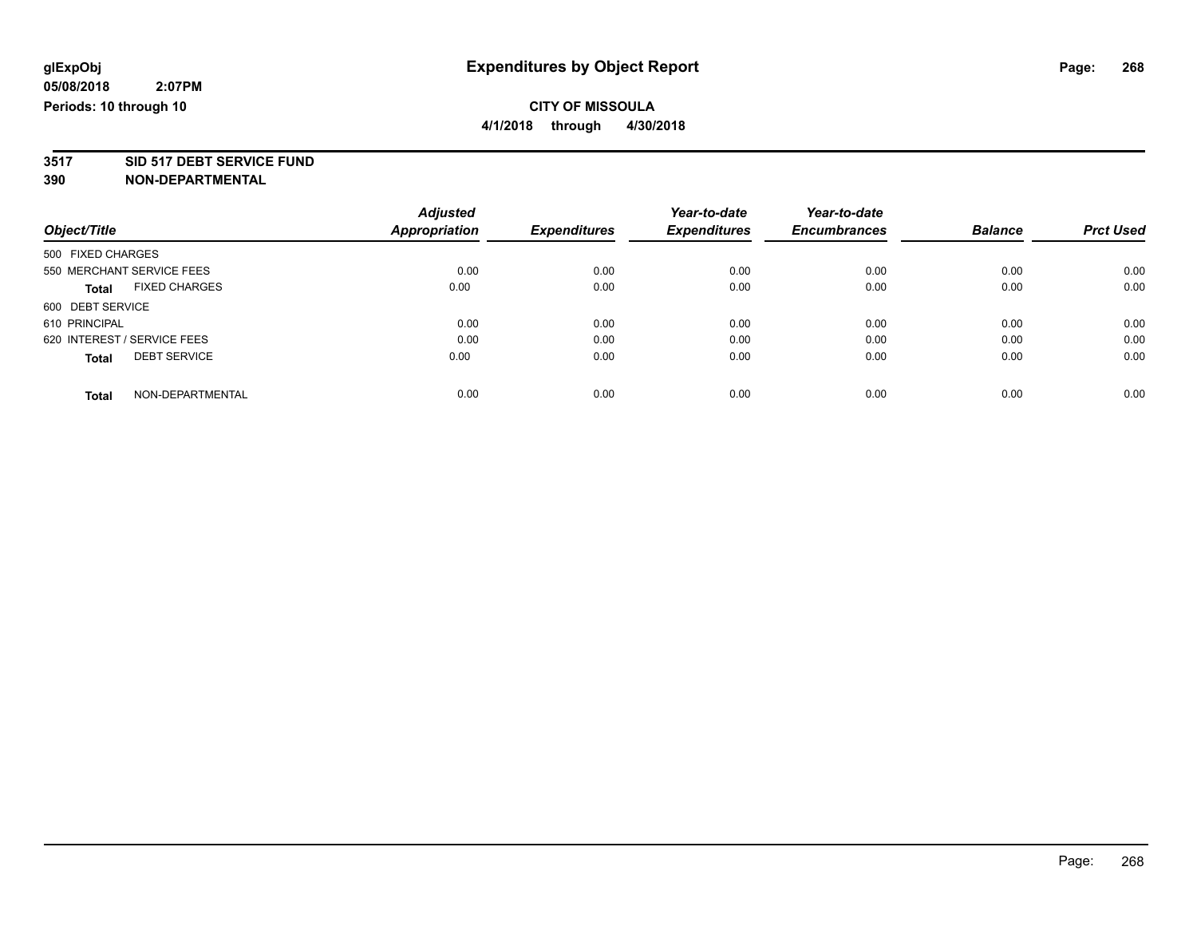# **3517 SID 517 DEBT SERVICE FUND**

|                                      | <b>Adjusted</b>      |                     | Year-to-date        | Year-to-date        |                |                  |
|--------------------------------------|----------------------|---------------------|---------------------|---------------------|----------------|------------------|
| Object/Title                         | <b>Appropriation</b> | <b>Expenditures</b> | <b>Expenditures</b> | <b>Encumbrances</b> | <b>Balance</b> | <b>Prct Used</b> |
| 500 FIXED CHARGES                    |                      |                     |                     |                     |                |                  |
| 550 MERCHANT SERVICE FEES            | 0.00                 | 0.00                | 0.00                | 0.00                | 0.00           | 0.00             |
| <b>FIXED CHARGES</b><br><b>Total</b> | 0.00                 | 0.00                | 0.00                | 0.00                | 0.00           | 0.00             |
| 600 DEBT SERVICE                     |                      |                     |                     |                     |                |                  |
| 610 PRINCIPAL                        | 0.00                 | 0.00                | 0.00                | 0.00                | 0.00           | 0.00             |
| 620 INTEREST / SERVICE FEES          | 0.00                 | 0.00                | 0.00                | 0.00                | 0.00           | 0.00             |
| <b>DEBT SERVICE</b><br><b>Total</b>  | 0.00                 | 0.00                | 0.00                | 0.00                | 0.00           | 0.00             |
| NON-DEPARTMENTAL<br>Total            | 0.00                 | 0.00                | 0.00                | 0.00                | 0.00           | 0.00             |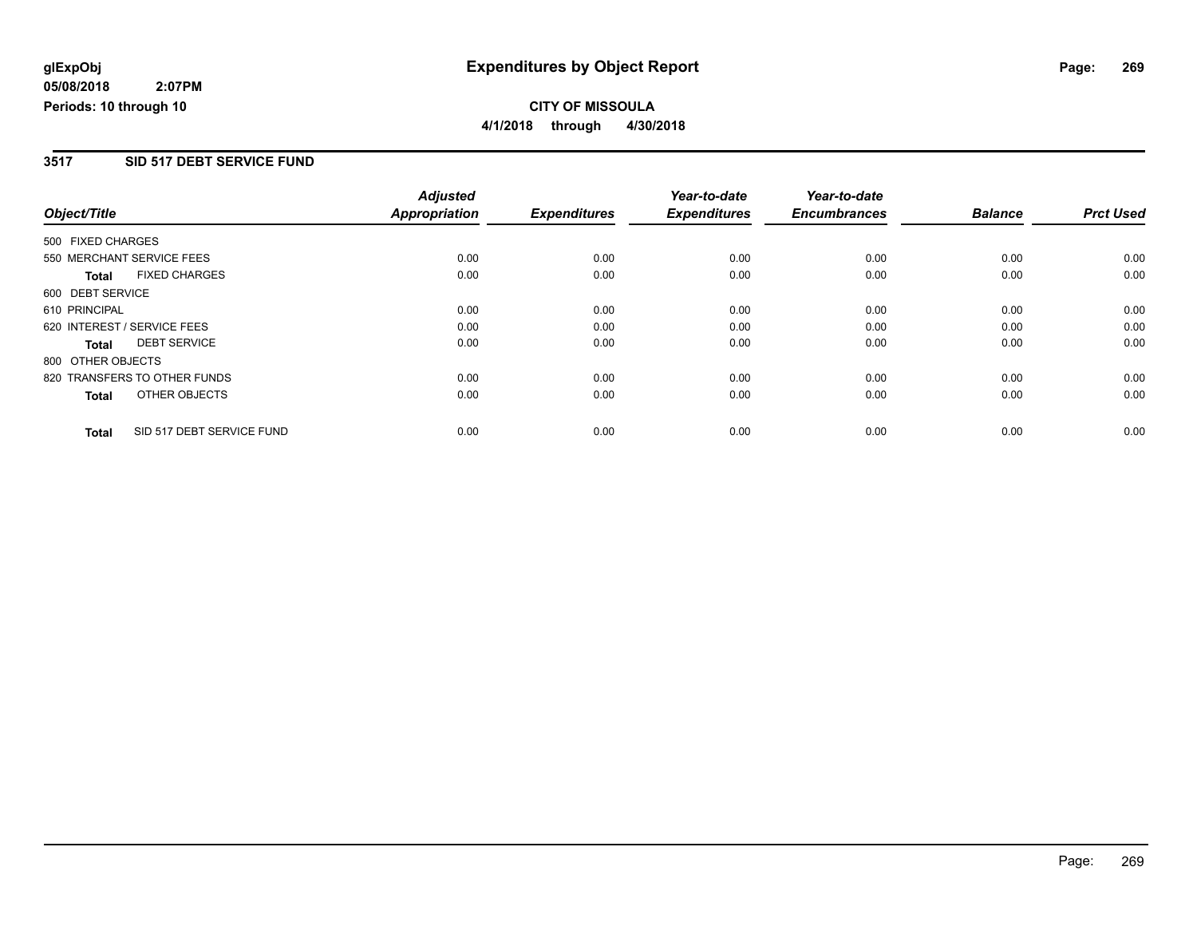## **3517 SID 517 DEBT SERVICE FUND**

|                   |                              | <b>Adjusted</b>      |                     | Year-to-date        | Year-to-date        |                |                  |
|-------------------|------------------------------|----------------------|---------------------|---------------------|---------------------|----------------|------------------|
| Object/Title      |                              | <b>Appropriation</b> | <b>Expenditures</b> | <b>Expenditures</b> | <b>Encumbrances</b> | <b>Balance</b> | <b>Prct Used</b> |
| 500 FIXED CHARGES |                              |                      |                     |                     |                     |                |                  |
|                   | 550 MERCHANT SERVICE FEES    | 0.00                 | 0.00                | 0.00                | 0.00                | 0.00           | 0.00             |
| <b>Total</b>      | <b>FIXED CHARGES</b>         | 0.00                 | 0.00                | 0.00                | 0.00                | 0.00           | 0.00             |
| 600 DEBT SERVICE  |                              |                      |                     |                     |                     |                |                  |
| 610 PRINCIPAL     |                              | 0.00                 | 0.00                | 0.00                | 0.00                | 0.00           | 0.00             |
|                   | 620 INTEREST / SERVICE FEES  | 0.00                 | 0.00                | 0.00                | 0.00                | 0.00           | 0.00             |
| Total             | <b>DEBT SERVICE</b>          | 0.00                 | 0.00                | 0.00                | 0.00                | 0.00           | 0.00             |
| 800 OTHER OBJECTS |                              |                      |                     |                     |                     |                |                  |
|                   | 820 TRANSFERS TO OTHER FUNDS | 0.00                 | 0.00                | 0.00                | 0.00                | 0.00           | 0.00             |
| <b>Total</b>      | OTHER OBJECTS                | 0.00                 | 0.00                | 0.00                | 0.00                | 0.00           | 0.00             |
| <b>Total</b>      | SID 517 DEBT SERVICE FUND    | 0.00                 | 0.00                | 0.00                | 0.00                | 0.00           | 0.00             |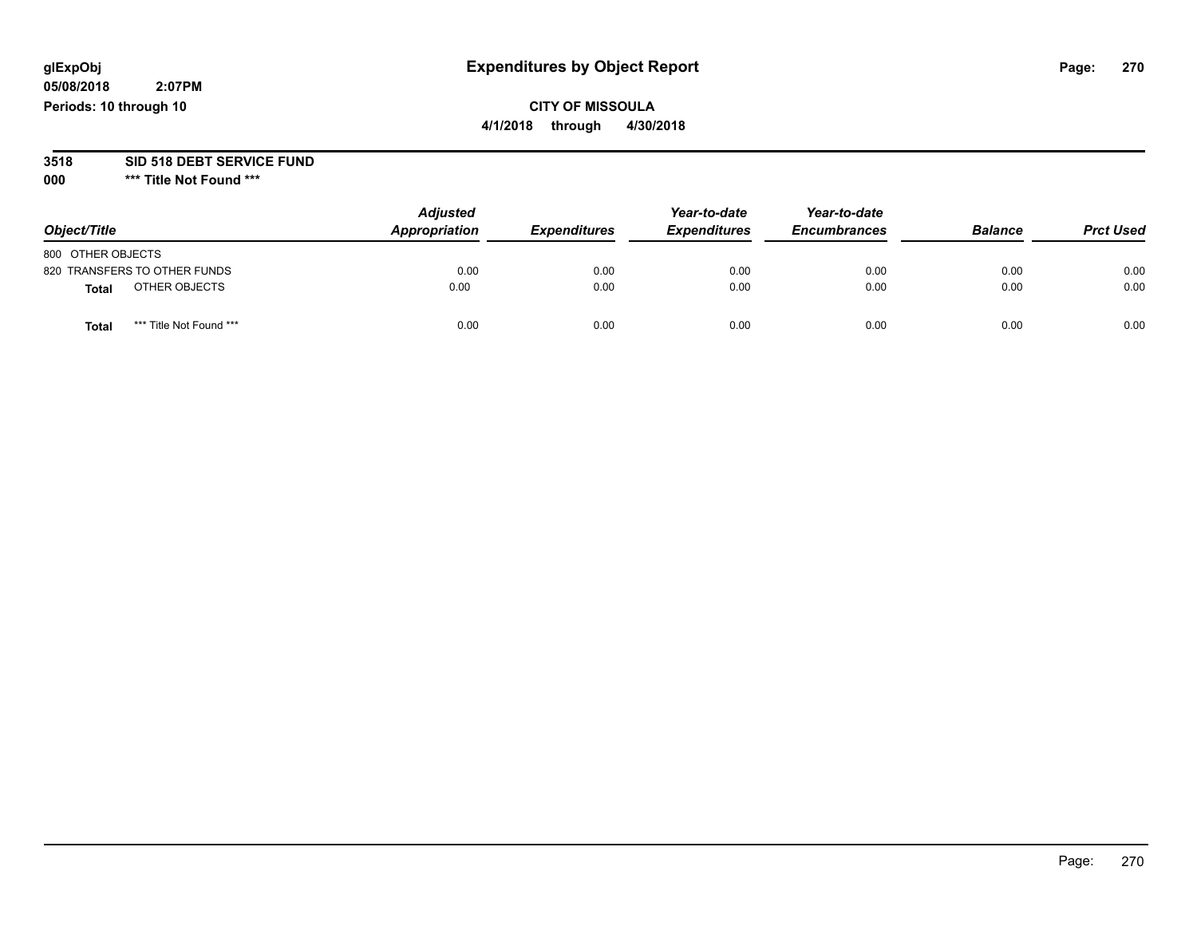#### **05/08/2018 2:07PM Periods: 10 through 10**

## **CITY OF MISSOULA 4/1/2018 through 4/30/2018**

# **3518 SID 518 DEBT SERVICE FUND**

**000 \*\*\* Title Not Found \*\*\***

| Object/Title                     | <b>Adjusted</b><br>Appropriation | <b>Expenditures</b> | Year-to-date<br><b>Expenditures</b> | Year-to-date<br><b>Encumbrances</b> | <b>Balance</b> | <b>Prct Used</b> |
|----------------------------------|----------------------------------|---------------------|-------------------------------------|-------------------------------------|----------------|------------------|
| 800 OTHER OBJECTS                |                                  |                     |                                     |                                     |                |                  |
| 820 TRANSFERS TO OTHER FUNDS     | 0.00                             | 0.00                | 0.00                                | 0.00                                | 0.00           | 0.00             |
| OTHER OBJECTS<br><b>Total</b>    | 0.00                             | 0.00                | 0.00                                | 0.00                                | 0.00           | 0.00             |
| *** Title Not Found ***<br>Total | 0.00                             | 0.00                | 0.00                                | 0.00                                | 0.00           | 0.00             |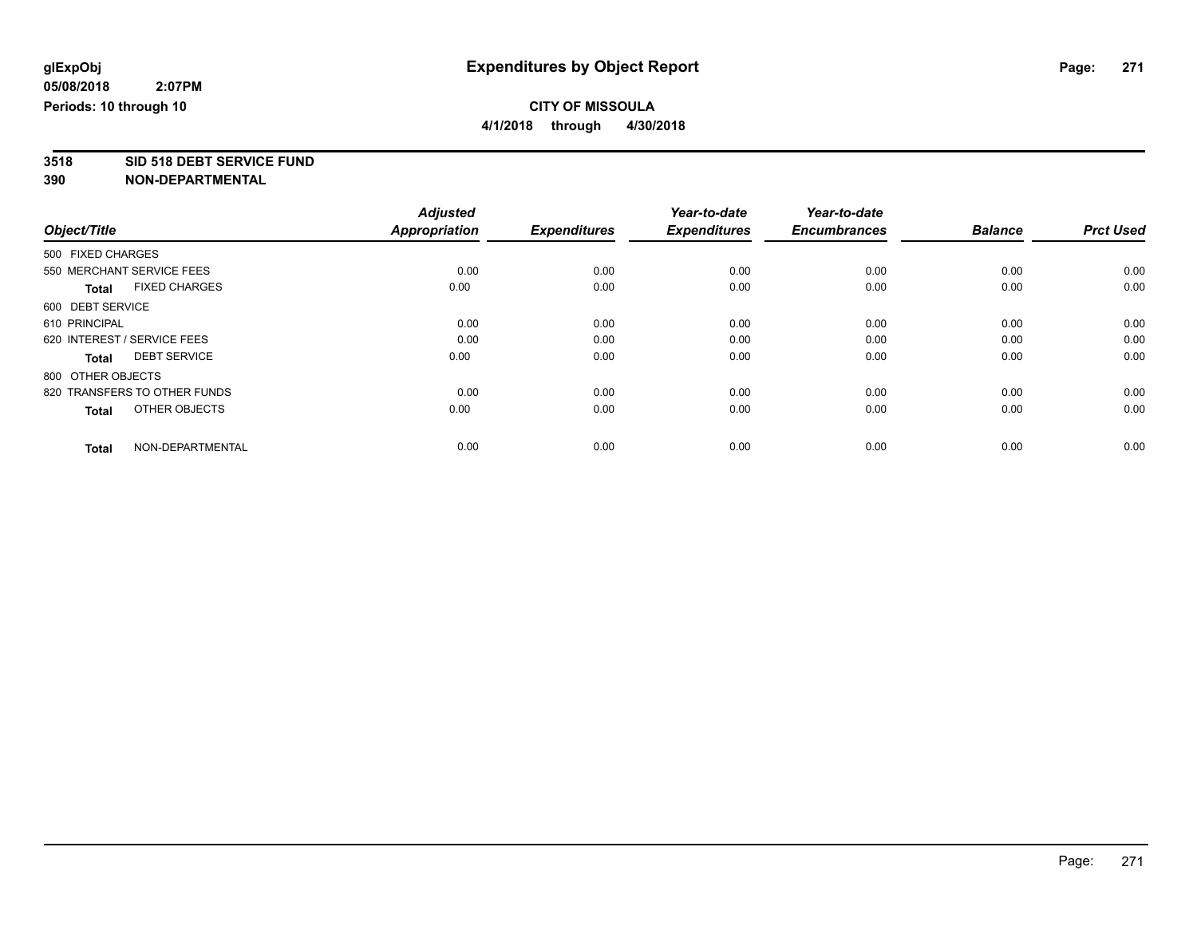# **3518 SID 518 DEBT SERVICE FUND**

|                                      | <b>Adjusted</b>      |                     | Year-to-date        | Year-to-date        |                |                  |
|--------------------------------------|----------------------|---------------------|---------------------|---------------------|----------------|------------------|
| Object/Title                         | <b>Appropriation</b> | <b>Expenditures</b> | <b>Expenditures</b> | <b>Encumbrances</b> | <b>Balance</b> | <b>Prct Used</b> |
| 500 FIXED CHARGES                    |                      |                     |                     |                     |                |                  |
| 550 MERCHANT SERVICE FEES            | 0.00                 | 0.00                | 0.00                | 0.00                | 0.00           | 0.00             |
| <b>FIXED CHARGES</b><br><b>Total</b> | 0.00                 | 0.00                | 0.00                | 0.00                | 0.00           | 0.00             |
| 600 DEBT SERVICE                     |                      |                     |                     |                     |                |                  |
| 610 PRINCIPAL                        | 0.00                 | 0.00                | 0.00                | 0.00                | 0.00           | 0.00             |
| 620 INTEREST / SERVICE FEES          | 0.00                 | 0.00                | 0.00                | 0.00                | 0.00           | 0.00             |
| <b>DEBT SERVICE</b><br><b>Total</b>  | 0.00                 | 0.00                | 0.00                | 0.00                | 0.00           | 0.00             |
| 800 OTHER OBJECTS                    |                      |                     |                     |                     |                |                  |
| 820 TRANSFERS TO OTHER FUNDS         | 0.00                 | 0.00                | 0.00                | 0.00                | 0.00           | 0.00             |
| OTHER OBJECTS<br><b>Total</b>        | 0.00                 | 0.00                | 0.00                | 0.00                | 0.00           | 0.00             |
|                                      |                      |                     |                     |                     |                |                  |
| NON-DEPARTMENTAL<br><b>Total</b>     | 0.00                 | 0.00                | 0.00                | 0.00                | 0.00           | 0.00             |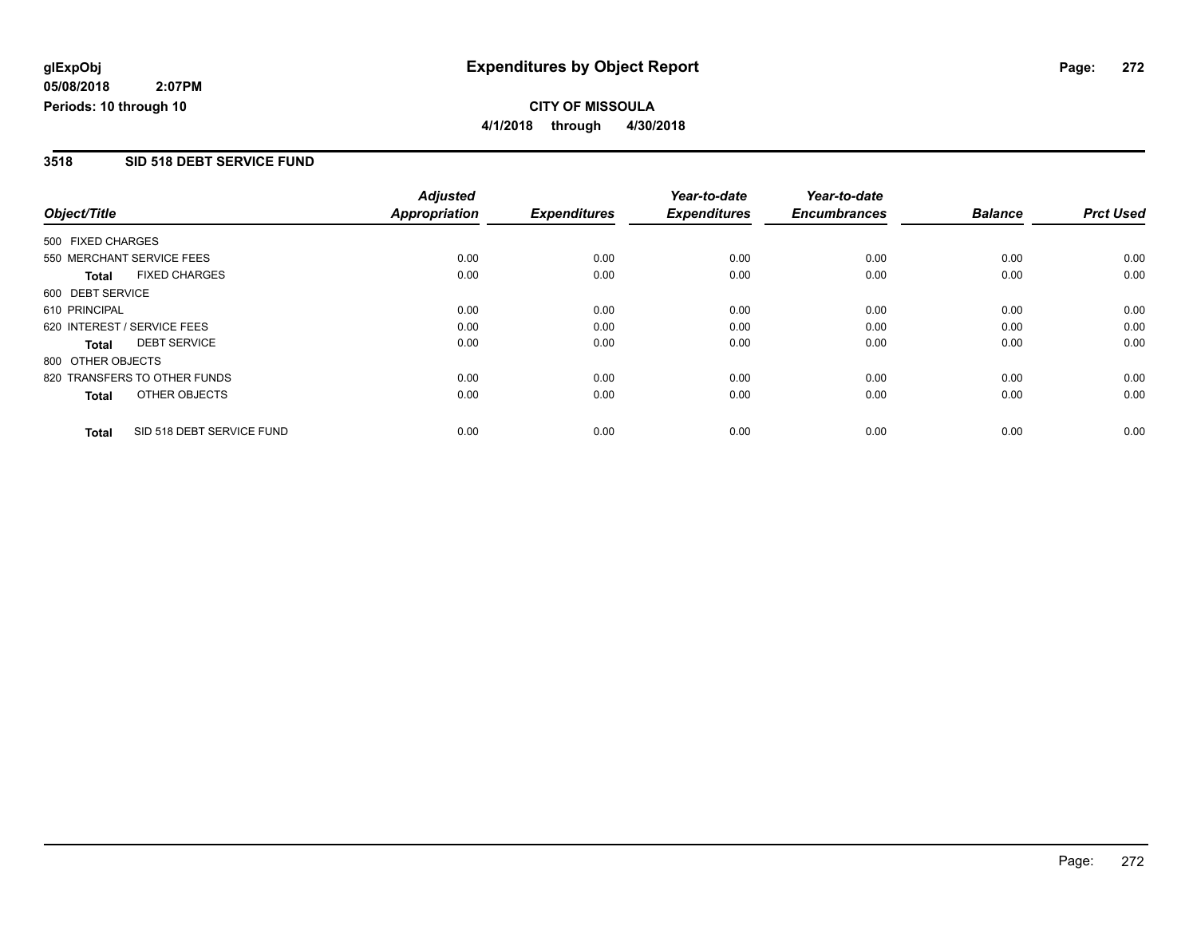### **3518 SID 518 DEBT SERVICE FUND**

|                             |                              | <b>Adjusted</b>      |                     | Year-to-date        | Year-to-date        |                |                  |
|-----------------------------|------------------------------|----------------------|---------------------|---------------------|---------------------|----------------|------------------|
| Object/Title                |                              | <b>Appropriation</b> | <b>Expenditures</b> | <b>Expenditures</b> | <b>Encumbrances</b> | <b>Balance</b> | <b>Prct Used</b> |
| 500 FIXED CHARGES           |                              |                      |                     |                     |                     |                |                  |
|                             | 550 MERCHANT SERVICE FEES    | 0.00                 | 0.00                | 0.00                | 0.00                | 0.00           | 0.00             |
| <b>Total</b>                | <b>FIXED CHARGES</b>         | 0.00                 | 0.00                | 0.00                | 0.00                | 0.00           | 0.00             |
| 600 DEBT SERVICE            |                              |                      |                     |                     |                     |                |                  |
| 610 PRINCIPAL               |                              | 0.00                 | 0.00                | 0.00                | 0.00                | 0.00           | 0.00             |
| 620 INTEREST / SERVICE FEES |                              | 0.00                 | 0.00                | 0.00                | 0.00                | 0.00           | 0.00             |
| Total                       | <b>DEBT SERVICE</b>          | 0.00                 | 0.00                | 0.00                | 0.00                | 0.00           | 0.00             |
| 800 OTHER OBJECTS           |                              |                      |                     |                     |                     |                |                  |
|                             | 820 TRANSFERS TO OTHER FUNDS | 0.00                 | 0.00                | 0.00                | 0.00                | 0.00           | 0.00             |
| Total                       | OTHER OBJECTS                | 0.00                 | 0.00                | 0.00                | 0.00                | 0.00           | 0.00             |
| <b>Total</b>                | SID 518 DEBT SERVICE FUND    | 0.00                 | 0.00                | 0.00                | 0.00                | 0.00           | 0.00             |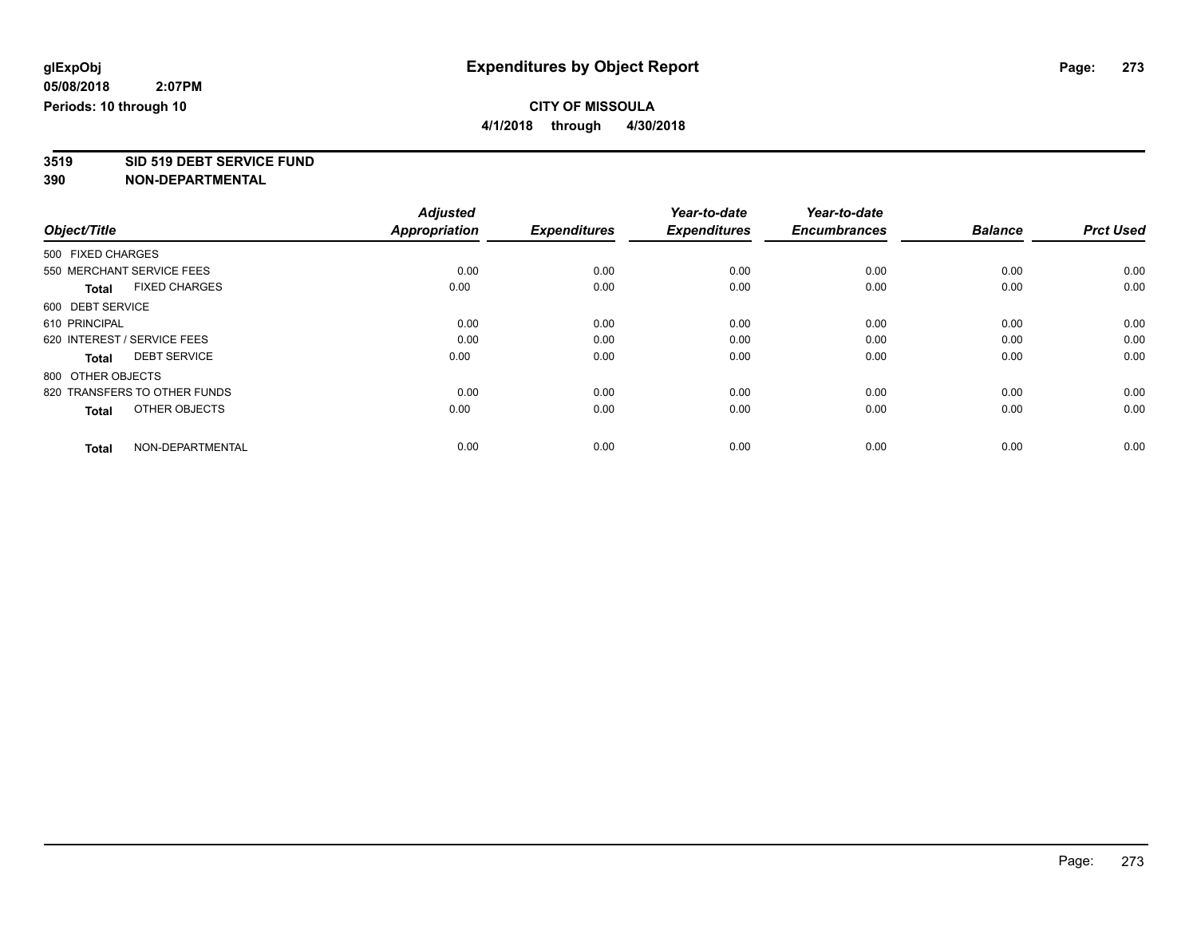# **3519 SID 519 DEBT SERVICE FUND**

|                                      | <b>Adjusted</b>      |                     | Year-to-date<br><b>Expenditures</b> | Year-to-date<br><b>Encumbrances</b> | <b>Balance</b> | <b>Prct Used</b> |
|--------------------------------------|----------------------|---------------------|-------------------------------------|-------------------------------------|----------------|------------------|
| Object/Title                         | <b>Appropriation</b> | <b>Expenditures</b> |                                     |                                     |                |                  |
| 500 FIXED CHARGES                    |                      |                     |                                     |                                     |                |                  |
| 550 MERCHANT SERVICE FEES            | 0.00                 | 0.00                | 0.00                                | 0.00                                | 0.00           | 0.00             |
| <b>FIXED CHARGES</b><br><b>Total</b> | 0.00                 | 0.00                | 0.00                                | 0.00                                | 0.00           | 0.00             |
| 600 DEBT SERVICE                     |                      |                     |                                     |                                     |                |                  |
| 610 PRINCIPAL                        | 0.00                 | 0.00                | 0.00                                | 0.00                                | 0.00           | 0.00             |
| 620 INTEREST / SERVICE FEES          | 0.00                 | 0.00                | 0.00                                | 0.00                                | 0.00           | 0.00             |
| <b>DEBT SERVICE</b><br><b>Total</b>  | 0.00                 | 0.00                | 0.00                                | 0.00                                | 0.00           | 0.00             |
| 800 OTHER OBJECTS                    |                      |                     |                                     |                                     |                |                  |
| 820 TRANSFERS TO OTHER FUNDS         | 0.00                 | 0.00                | 0.00                                | 0.00                                | 0.00           | 0.00             |
| OTHER OBJECTS<br><b>Total</b>        | 0.00                 | 0.00                | 0.00                                | 0.00                                | 0.00           | 0.00             |
|                                      |                      |                     |                                     |                                     |                |                  |
| NON-DEPARTMENTAL<br><b>Total</b>     | 0.00                 | 0.00                | 0.00                                | 0.00                                | 0.00           | 0.00             |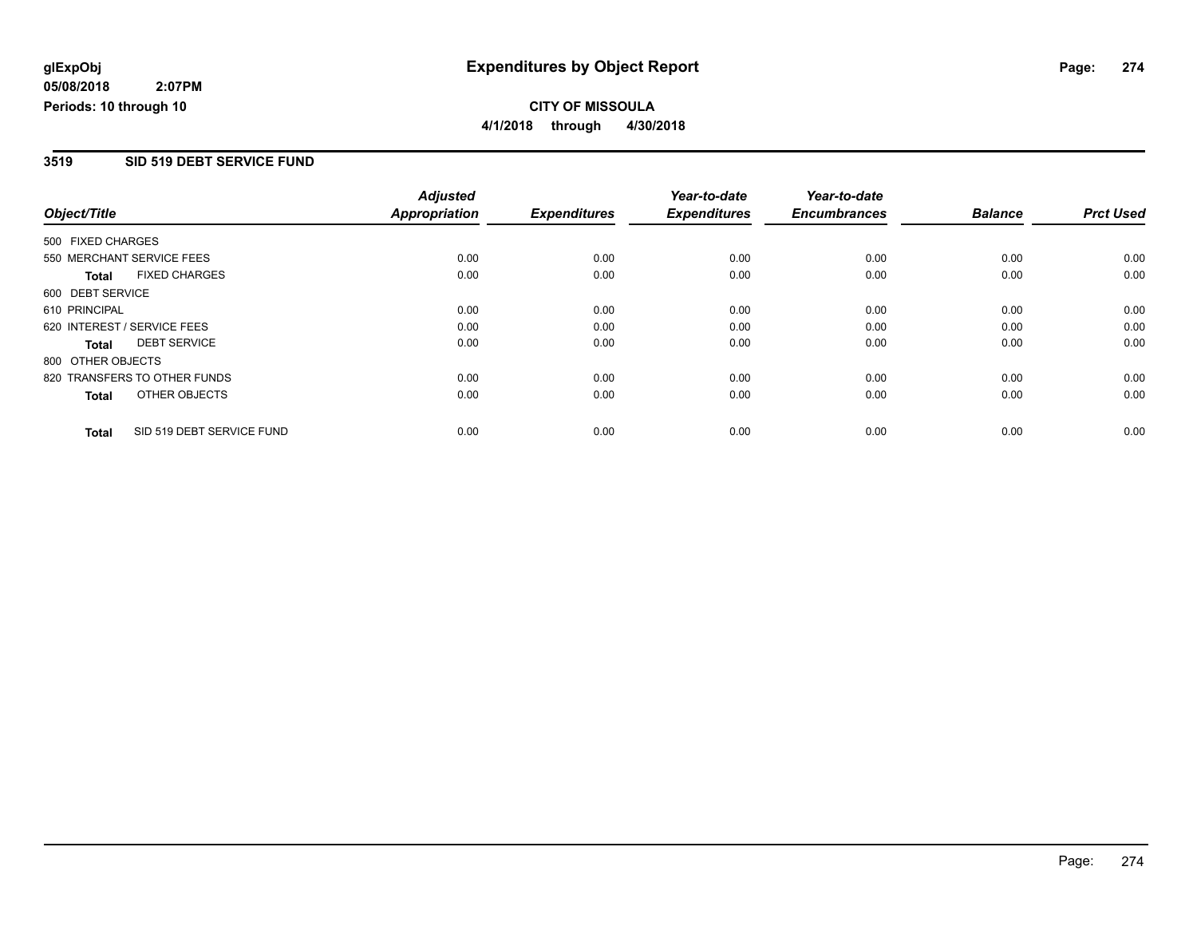### **3519 SID 519 DEBT SERVICE FUND**

|                             |                              | <b>Adjusted</b>      |                     | Year-to-date        | Year-to-date        |                |                  |
|-----------------------------|------------------------------|----------------------|---------------------|---------------------|---------------------|----------------|------------------|
| Object/Title                |                              | <b>Appropriation</b> | <b>Expenditures</b> | <b>Expenditures</b> | <b>Encumbrances</b> | <b>Balance</b> | <b>Prct Used</b> |
| 500 FIXED CHARGES           |                              |                      |                     |                     |                     |                |                  |
| 550 MERCHANT SERVICE FEES   |                              | 0.00                 | 0.00                | 0.00                | 0.00                | 0.00           | 0.00             |
| <b>Total</b>                | <b>FIXED CHARGES</b>         | 0.00                 | 0.00                | 0.00                | 0.00                | 0.00           | 0.00             |
| 600 DEBT SERVICE            |                              |                      |                     |                     |                     |                |                  |
| 610 PRINCIPAL               |                              | 0.00                 | 0.00                | 0.00                | 0.00                | 0.00           | 0.00             |
| 620 INTEREST / SERVICE FEES |                              | 0.00                 | 0.00                | 0.00                | 0.00                | 0.00           | 0.00             |
| Total                       | <b>DEBT SERVICE</b>          | 0.00                 | 0.00                | 0.00                | 0.00                | 0.00           | 0.00             |
| 800 OTHER OBJECTS           |                              |                      |                     |                     |                     |                |                  |
|                             | 820 TRANSFERS TO OTHER FUNDS | 0.00                 | 0.00                | 0.00                | 0.00                | 0.00           | 0.00             |
| Total                       | OTHER OBJECTS                | 0.00                 | 0.00                | 0.00                | 0.00                | 0.00           | 0.00             |
| <b>Total</b>                | SID 519 DEBT SERVICE FUND    | 0.00                 | 0.00                | 0.00                | 0.00                | 0.00           | 0.00             |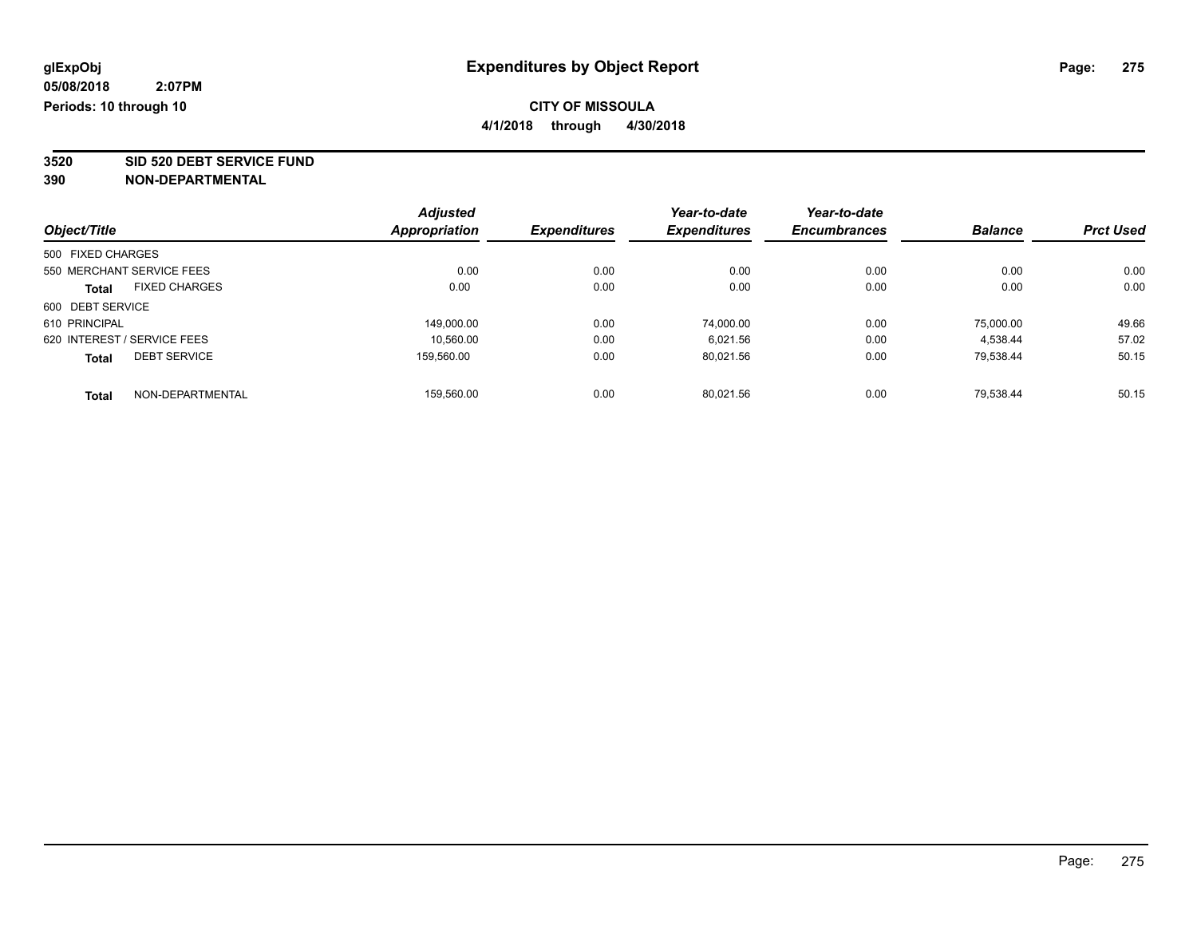**3520 SID 520 DEBT SERVICE FUND**

|                                      | <b>Adjusted</b>      | <b>Expenditures</b> | Year-to-date<br><b>Expenditures</b> | Year-to-date        | <b>Balance</b> | <b>Prct Used</b> |
|--------------------------------------|----------------------|---------------------|-------------------------------------|---------------------|----------------|------------------|
| Object/Title                         | <b>Appropriation</b> |                     |                                     | <b>Encumbrances</b> |                |                  |
| 500 FIXED CHARGES                    |                      |                     |                                     |                     |                |                  |
| 550 MERCHANT SERVICE FEES            | 0.00                 | 0.00                | 0.00                                | 0.00                | 0.00           | 0.00             |
| <b>FIXED CHARGES</b><br><b>Total</b> | 0.00                 | 0.00                | 0.00                                | 0.00                | 0.00           | 0.00             |
| 600 DEBT SERVICE                     |                      |                     |                                     |                     |                |                  |
| 610 PRINCIPAL                        | 149.000.00           | 0.00                | 74,000.00                           | 0.00                | 75,000.00      | 49.66            |
| 620 INTEREST / SERVICE FEES          | 10.560.00            | 0.00                | 6.021.56                            | 0.00                | 4.538.44       | 57.02            |
| <b>DEBT SERVICE</b><br><b>Total</b>  | 159.560.00           | 0.00                | 80.021.56                           | 0.00                | 79.538.44      | 50.15            |
| NON-DEPARTMENTAL<br><b>Total</b>     | 159.560.00           | 0.00                | 80.021.56                           | 0.00                | 79.538.44      | 50.15            |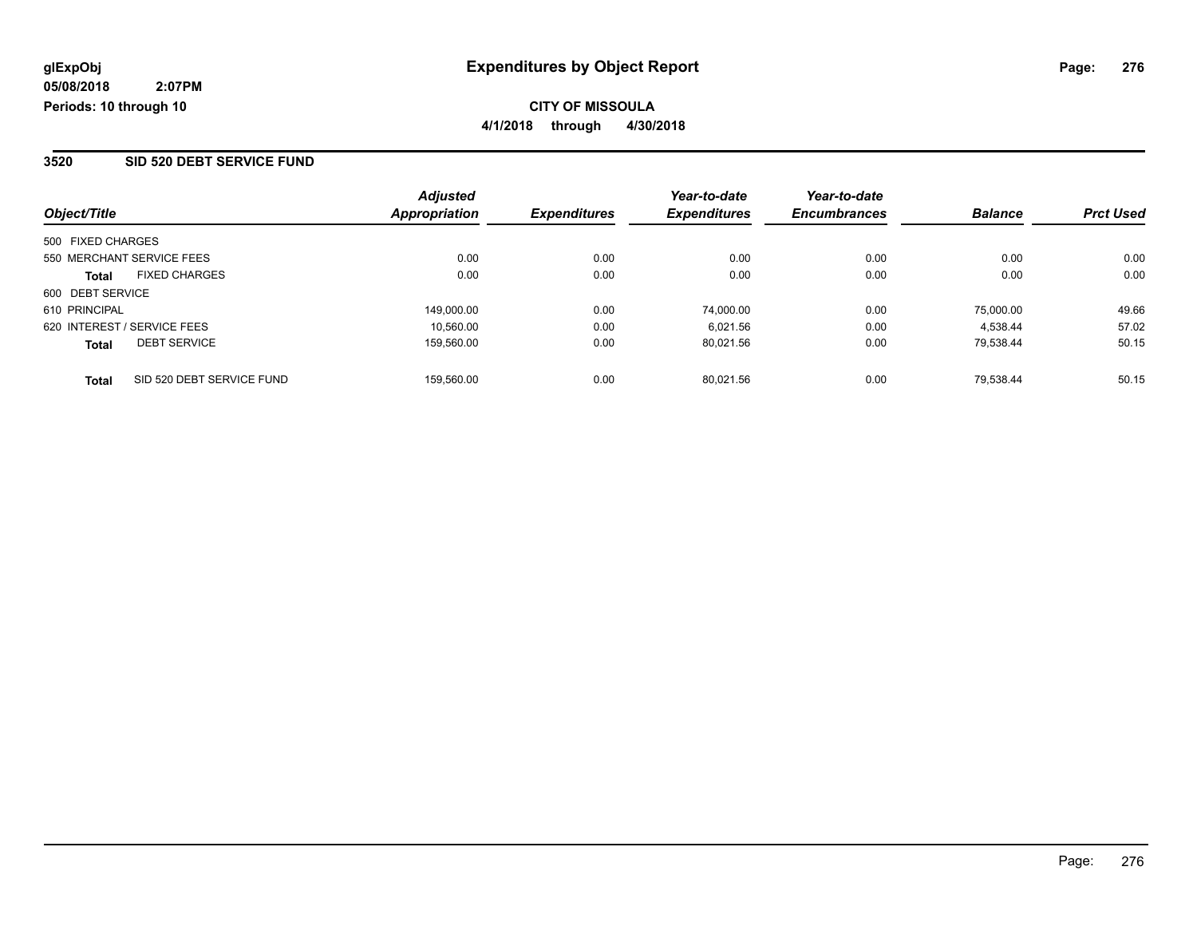#### **3520 SID 520 DEBT SERVICE FUND**

| Object/Title                              | <b>Adjusted</b><br>Appropriation | <b>Expenditures</b> | Year-to-date<br><b>Expenditures</b> | Year-to-date<br><b>Encumbrances</b> | <b>Balance</b> | <b>Prct Used</b> |
|-------------------------------------------|----------------------------------|---------------------|-------------------------------------|-------------------------------------|----------------|------------------|
| 500 FIXED CHARGES                         |                                  |                     |                                     |                                     |                |                  |
| 550 MERCHANT SERVICE FEES                 | 0.00                             | 0.00                | 0.00                                | 0.00                                | 0.00           | 0.00             |
| <b>FIXED CHARGES</b><br><b>Total</b>      | 0.00                             | 0.00                | 0.00                                | 0.00                                | 0.00           | 0.00             |
| 600 DEBT SERVICE                          |                                  |                     |                                     |                                     |                |                  |
| 610 PRINCIPAL                             | 149.000.00                       | 0.00                | 74,000.00                           | 0.00                                | 75,000.00      | 49.66            |
| 620 INTEREST / SERVICE FEES               | 10.560.00                        | 0.00                | 6.021.56                            | 0.00                                | 4.538.44       | 57.02            |
| <b>DEBT SERVICE</b><br><b>Total</b>       | 159.560.00                       | 0.00                | 80.021.56                           | 0.00                                | 79.538.44      | 50.15            |
| SID 520 DEBT SERVICE FUND<br><b>Total</b> | 159.560.00                       | 0.00                | 80.021.56                           | 0.00                                | 79.538.44      | 50.15            |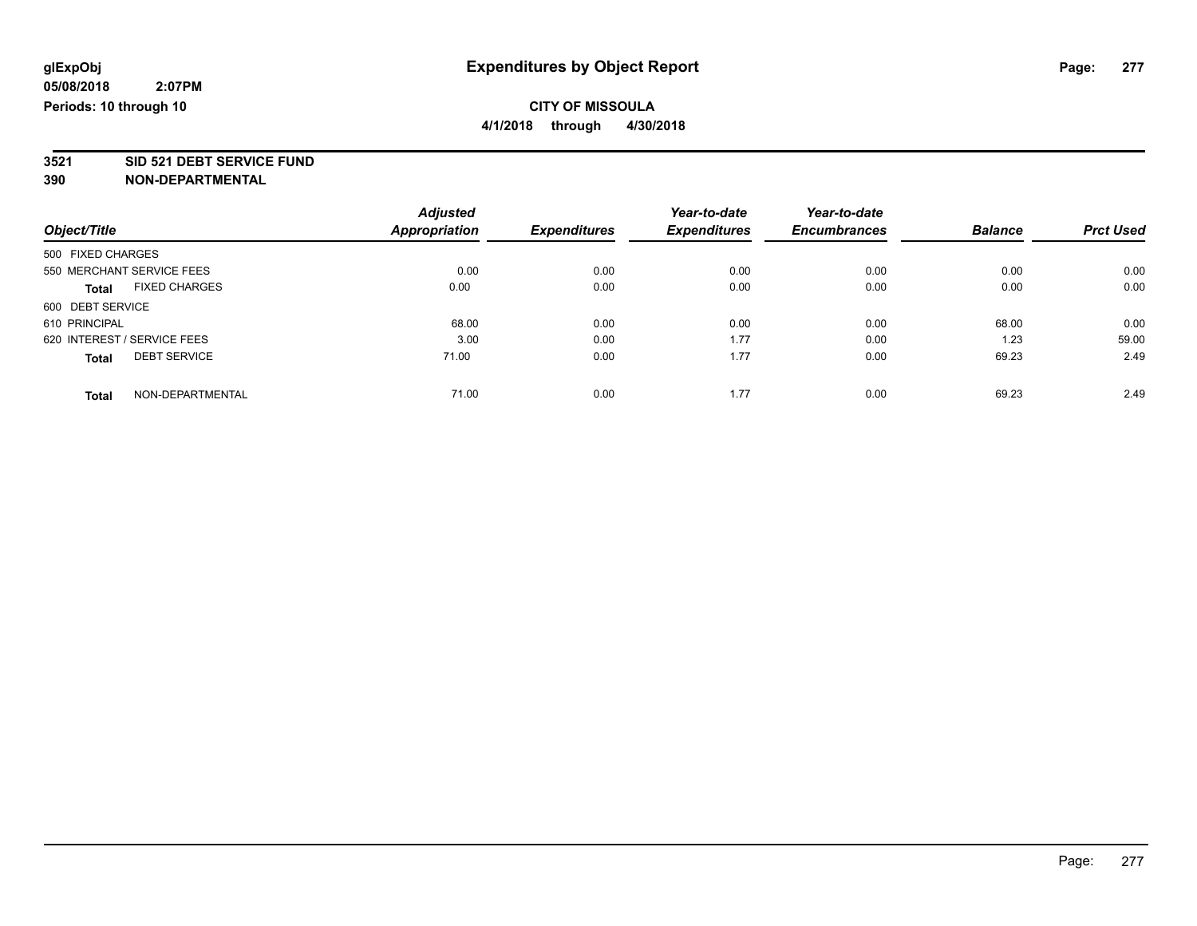# **3521 SID 521 DEBT SERVICE FUND**

| Object/Title                |                      | <b>Adjusted</b> | <b>Expenditures</b> | Year-to-date<br><b>Expenditures</b> | Year-to-date<br><b>Encumbrances</b> | <b>Balance</b> | <b>Prct Used</b> |
|-----------------------------|----------------------|-----------------|---------------------|-------------------------------------|-------------------------------------|----------------|------------------|
|                             |                      | Appropriation   |                     |                                     |                                     |                |                  |
| 500 FIXED CHARGES           |                      |                 |                     |                                     |                                     |                |                  |
| 550 MERCHANT SERVICE FEES   |                      | 0.00            | 0.00                | 0.00                                | 0.00                                | 0.00           | 0.00             |
| <b>Total</b>                | <b>FIXED CHARGES</b> | 0.00            | 0.00                | 0.00                                | 0.00                                | 0.00           | 0.00             |
| 600 DEBT SERVICE            |                      |                 |                     |                                     |                                     |                |                  |
| 610 PRINCIPAL               |                      | 68.00           | 0.00                | 0.00                                | 0.00                                | 68.00          | 0.00             |
| 620 INTEREST / SERVICE FEES |                      | 3.00            | 0.00                | 1.77                                | 0.00                                | 1.23           | 59.00            |
| <b>Total</b>                | <b>DEBT SERVICE</b>  | 71.00           | 0.00                | 1.77                                | 0.00                                | 69.23          | 2.49             |
| <b>Total</b>                | NON-DEPARTMENTAL     | 71.00           | 0.00                | 1.77                                | 0.00                                | 69.23          | 2.49             |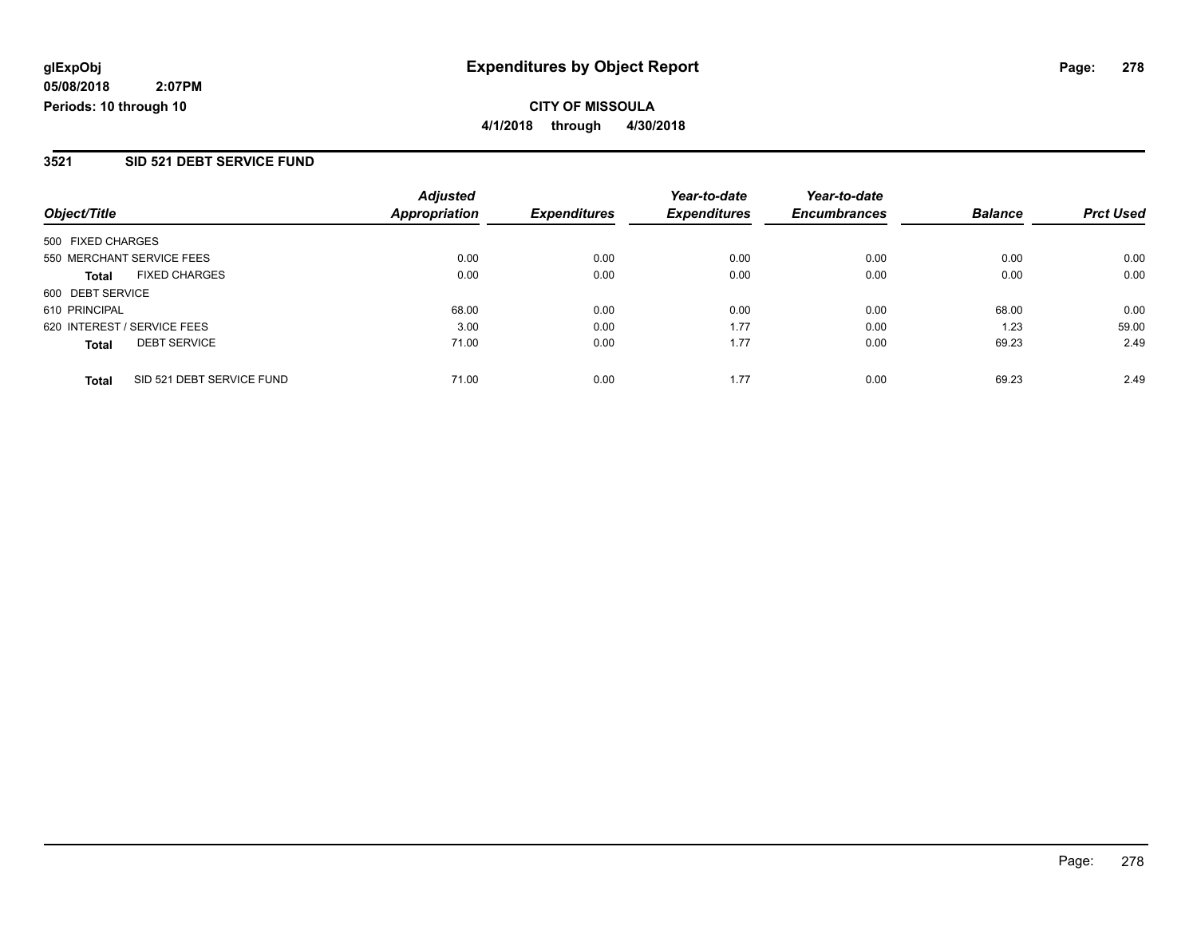## **3521 SID 521 DEBT SERVICE FUND**

|                                           | <b>Adjusted</b> |                     | Year-to-date        | Year-to-date        |                |                  |
|-------------------------------------------|-----------------|---------------------|---------------------|---------------------|----------------|------------------|
| Object/Title                              | Appropriation   | <b>Expenditures</b> | <b>Expenditures</b> | <b>Encumbrances</b> | <b>Balance</b> | <b>Prct Used</b> |
| 500 FIXED CHARGES                         |                 |                     |                     |                     |                |                  |
| 550 MERCHANT SERVICE FEES                 | 0.00            | 0.00                | 0.00                | 0.00                | 0.00           | 0.00             |
| <b>FIXED CHARGES</b><br><b>Total</b>      | 0.00            | 0.00                | 0.00                | 0.00                | 0.00           | 0.00             |
| 600 DEBT SERVICE                          |                 |                     |                     |                     |                |                  |
| 610 PRINCIPAL                             | 68.00           | 0.00                | 0.00                | 0.00                | 68.00          | 0.00             |
| 620 INTEREST / SERVICE FEES               | 3.00            | 0.00                | 1.77                | 0.00                | 1.23           | 59.00            |
| <b>DEBT SERVICE</b><br><b>Total</b>       | 71.00           | 0.00                | 1.77                | 0.00                | 69.23          | 2.49             |
| SID 521 DEBT SERVICE FUND<br><b>Total</b> | 71.00           | 0.00                | 1.77                | 0.00                | 69.23          | 2.49             |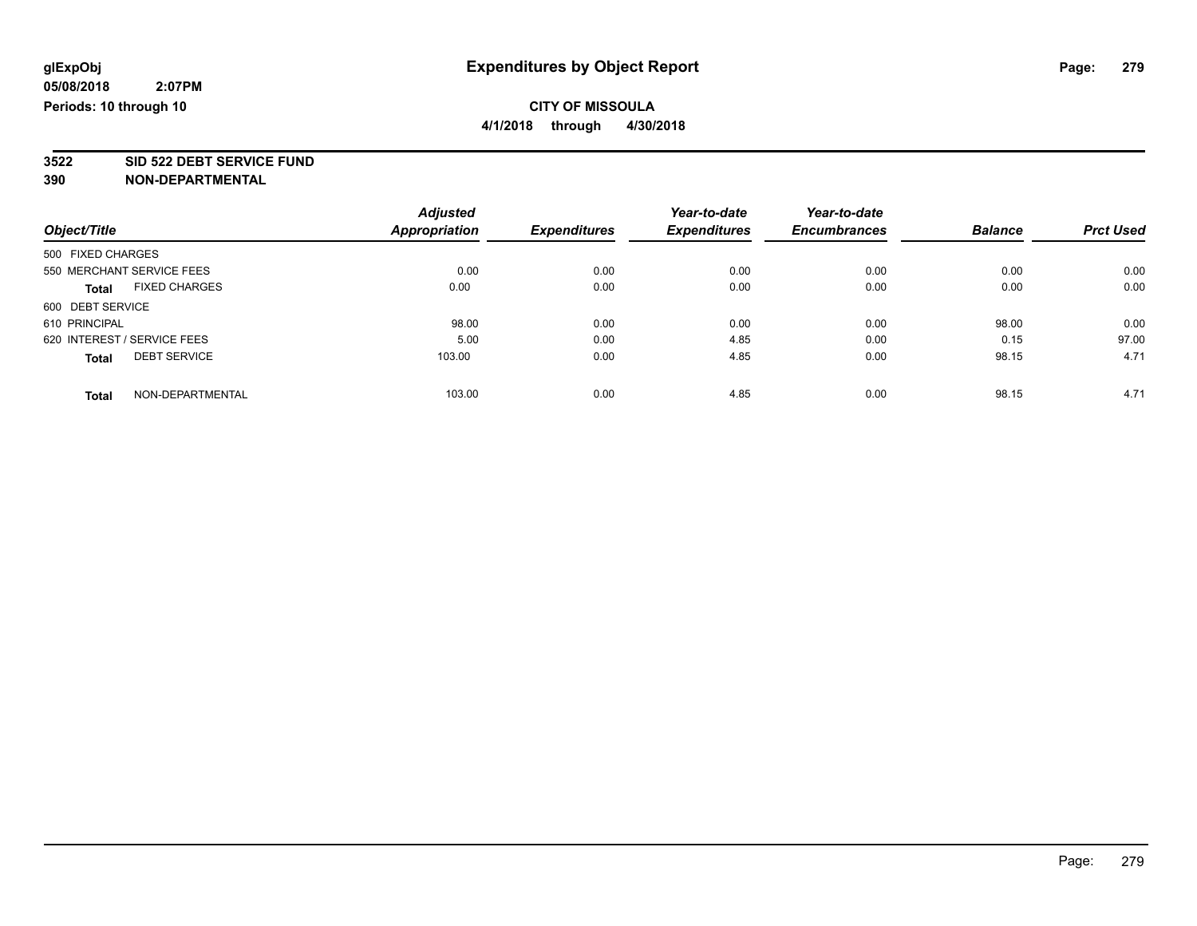**3522 SID 522 DEBT SERVICE FUND**

|                                      | <b>Adjusted</b> | <b>Expenditures</b> | Year-to-date<br><b>Expenditures</b> | Year-to-date<br><b>Encumbrances</b> | <b>Balance</b> | <b>Prct Used</b> |
|--------------------------------------|-----------------|---------------------|-------------------------------------|-------------------------------------|----------------|------------------|
| Object/Title                         | Appropriation   |                     |                                     |                                     |                |                  |
| 500 FIXED CHARGES                    |                 |                     |                                     |                                     |                |                  |
| 550 MERCHANT SERVICE FEES            | 0.00            | 0.00                | 0.00                                | 0.00                                | 0.00           | 0.00             |
| <b>FIXED CHARGES</b><br><b>Total</b> | 0.00            | 0.00                | 0.00                                | 0.00                                | 0.00           | 0.00             |
| 600 DEBT SERVICE                     |                 |                     |                                     |                                     |                |                  |
| 610 PRINCIPAL                        | 98.00           | 0.00                | 0.00                                | 0.00                                | 98.00          | 0.00             |
| 620 INTEREST / SERVICE FEES          | 5.00            | 0.00                | 4.85                                | 0.00                                | 0.15           | 97.00            |
| <b>DEBT SERVICE</b><br><b>Total</b>  | 103.00          | 0.00                | 4.85                                | 0.00                                | 98.15          | 4.71             |
| NON-DEPARTMENTAL<br><b>Total</b>     | 103.00          | 0.00                | 4.85                                | 0.00                                | 98.15          | 4.71             |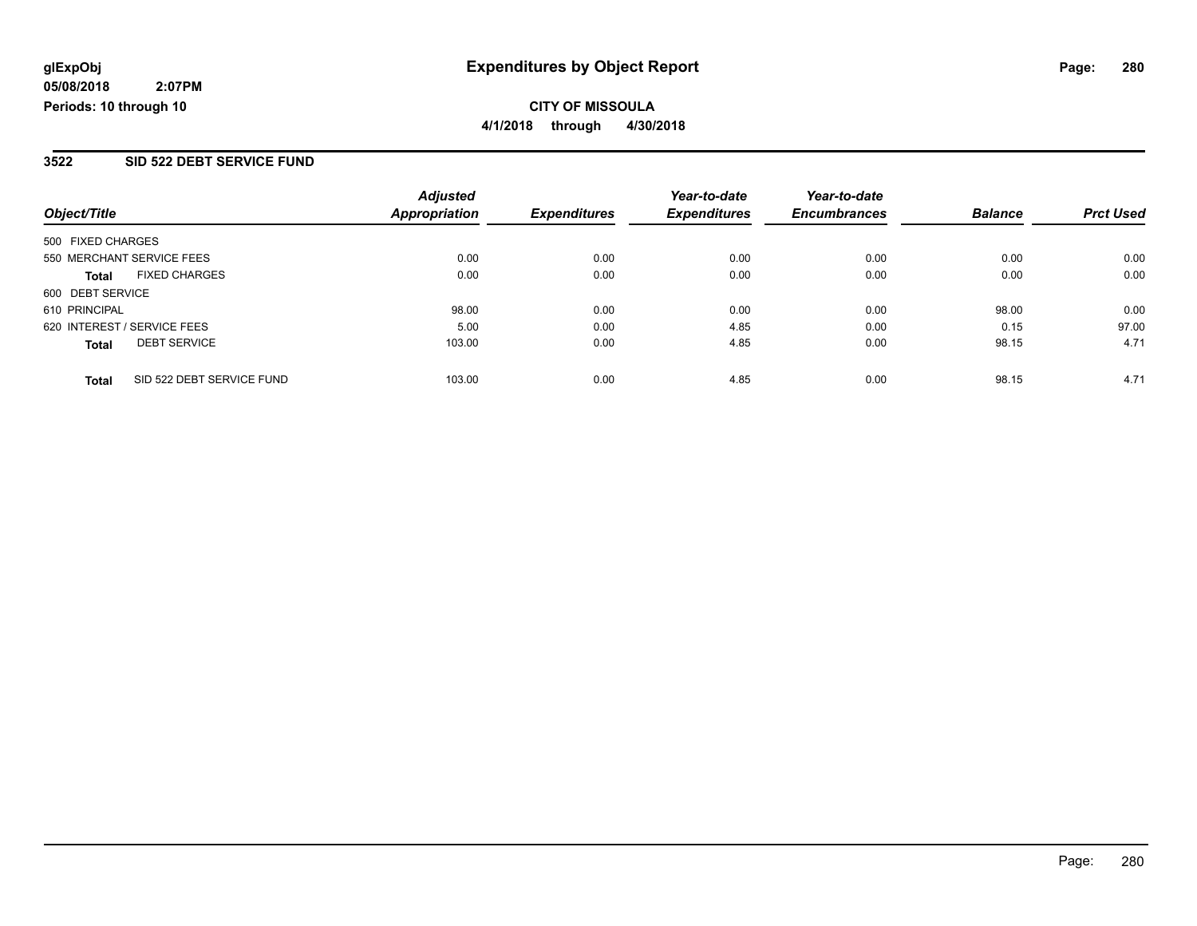## **3522 SID 522 DEBT SERVICE FUND**

|                                           | <b>Adjusted</b>      |                     | Year-to-date        | Year-to-date        |                |                  |
|-------------------------------------------|----------------------|---------------------|---------------------|---------------------|----------------|------------------|
| Object/Title                              | <b>Appropriation</b> | <b>Expenditures</b> | <b>Expenditures</b> | <b>Encumbrances</b> | <b>Balance</b> | <b>Prct Used</b> |
| 500 FIXED CHARGES                         |                      |                     |                     |                     |                |                  |
| 550 MERCHANT SERVICE FEES                 | 0.00                 | 0.00                | 0.00                | 0.00                | 0.00           | 0.00             |
| <b>FIXED CHARGES</b><br><b>Total</b>      | 0.00                 | 0.00                | 0.00                | 0.00                | 0.00           | 0.00             |
| 600 DEBT SERVICE                          |                      |                     |                     |                     |                |                  |
| 610 PRINCIPAL                             | 98.00                | 0.00                | 0.00                | 0.00                | 98.00          | 0.00             |
| 620 INTEREST / SERVICE FEES               | 5.00                 | 0.00                | 4.85                | 0.00                | 0.15           | 97.00            |
| <b>DEBT SERVICE</b><br><b>Total</b>       | 103.00               | 0.00                | 4.85                | 0.00                | 98.15          | 4.71             |
| SID 522 DEBT SERVICE FUND<br><b>Total</b> | 103.00               | 0.00                | 4.85                | 0.00                | 98.15          | 4.71             |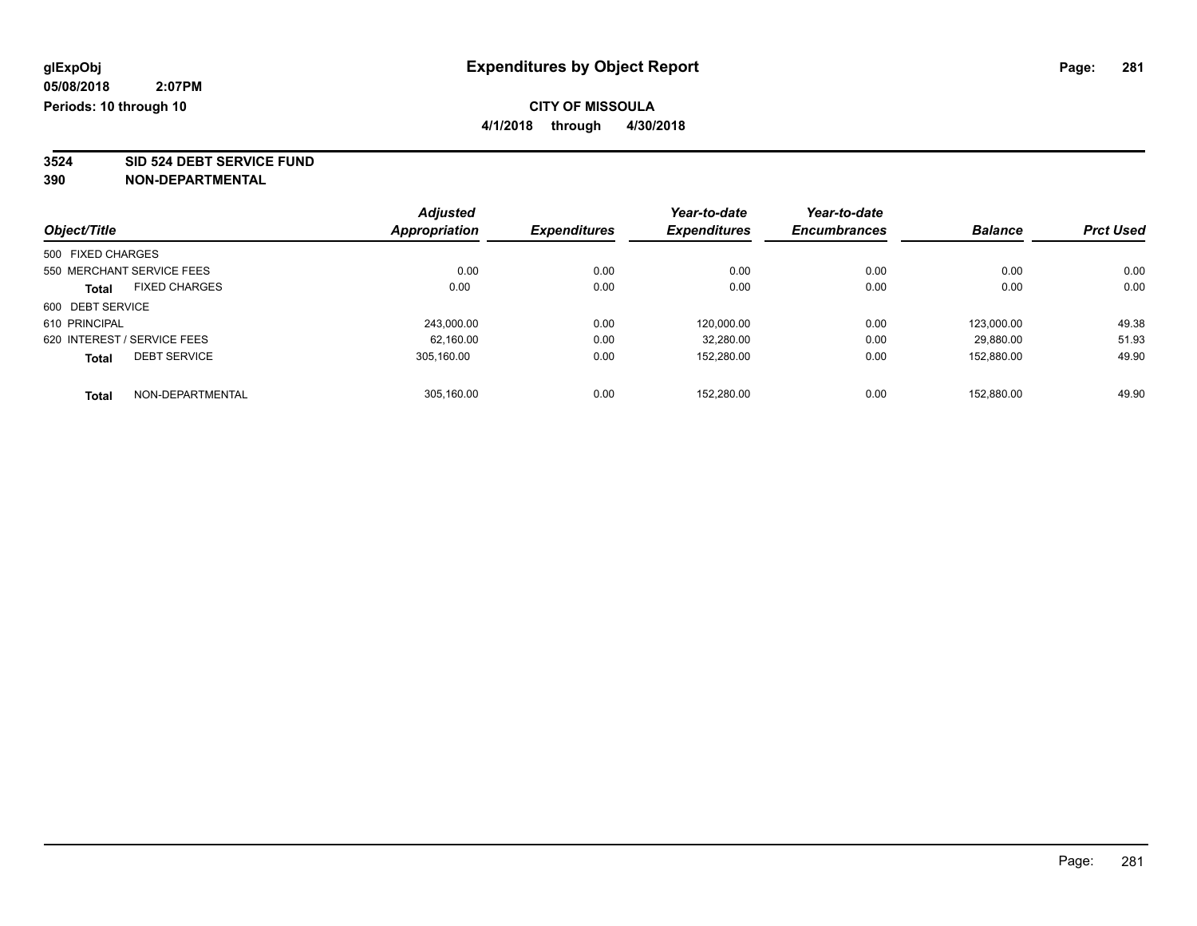**3524 SID 524 DEBT SERVICE FUND**

|                                      |  | <b>Adjusted</b> |                     | Year-to-date        | Year-to-date        |                |                  |
|--------------------------------------|--|-----------------|---------------------|---------------------|---------------------|----------------|------------------|
| Object/Title                         |  | Appropriation   | <b>Expenditures</b> | <b>Expenditures</b> | <b>Encumbrances</b> | <b>Balance</b> | <b>Prct Used</b> |
| 500 FIXED CHARGES                    |  |                 |                     |                     |                     |                |                  |
| 550 MERCHANT SERVICE FEES            |  | 0.00            | 0.00                | 0.00                | 0.00                | 0.00           | 0.00             |
| <b>FIXED CHARGES</b><br><b>Total</b> |  | 0.00            | 0.00                | 0.00                | 0.00                | 0.00           | 0.00             |
| 600 DEBT SERVICE                     |  |                 |                     |                     |                     |                |                  |
| 610 PRINCIPAL                        |  | 243,000.00      | 0.00                | 120,000.00          | 0.00                | 123.000.00     | 49.38            |
| 620 INTEREST / SERVICE FEES          |  | 62.160.00       | 0.00                | 32,280.00           | 0.00                | 29.880.00      | 51.93            |
| <b>DEBT SERVICE</b><br><b>Total</b>  |  | 305.160.00      | 0.00                | 152.280.00          | 0.00                | 152.880.00     | 49.90            |
| NON-DEPARTMENTAL<br><b>Total</b>     |  | 305.160.00      | 0.00                | 152.280.00          | 0.00                | 152.880.00     | 49.90            |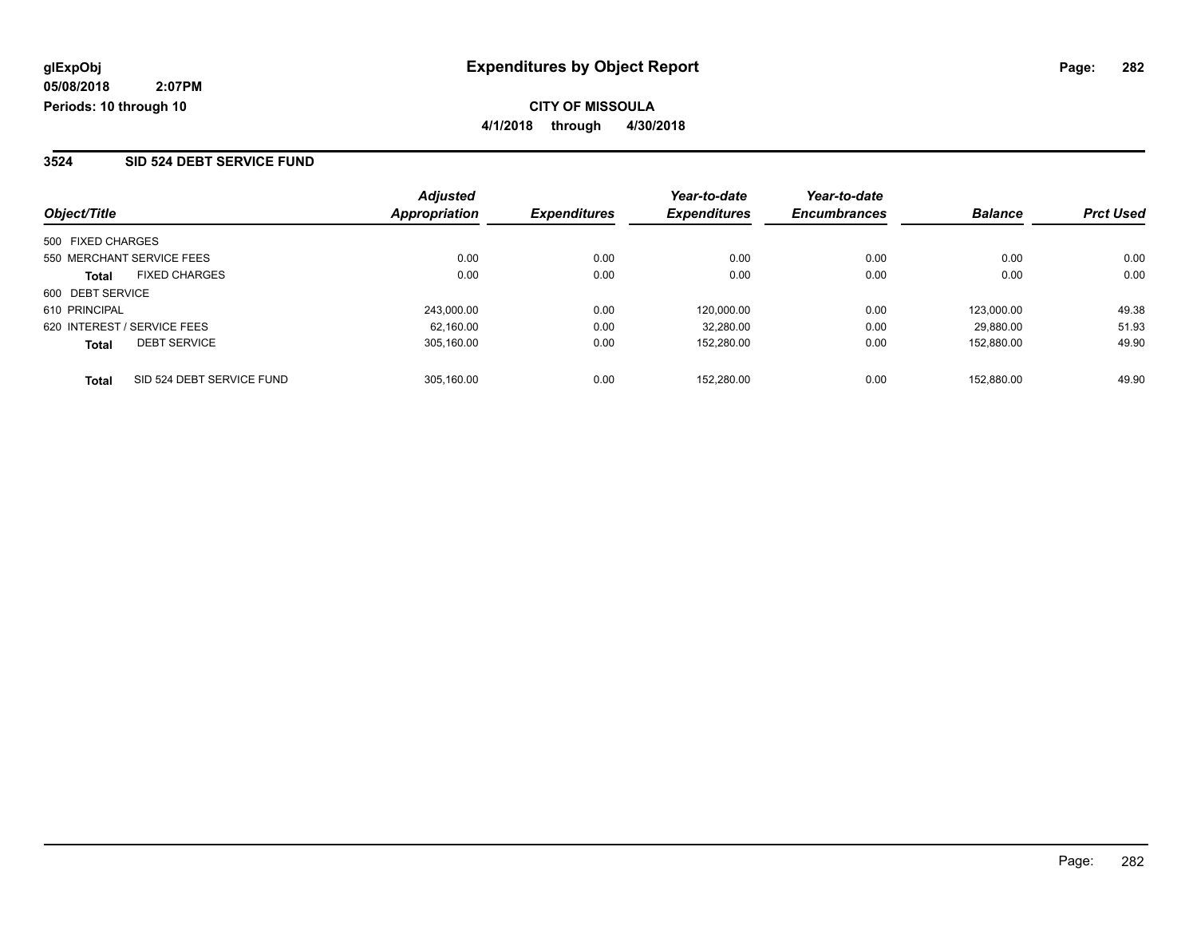#### **3524 SID 524 DEBT SERVICE FUND**

| Object/Title                |                           | <b>Adjusted</b><br>Appropriation | <b>Expenditures</b> | Year-to-date<br><b>Expenditures</b> | Year-to-date<br><b>Encumbrances</b> | <b>Balance</b> | <b>Prct Used</b> |
|-----------------------------|---------------------------|----------------------------------|---------------------|-------------------------------------|-------------------------------------|----------------|------------------|
| 500 FIXED CHARGES           |                           |                                  |                     |                                     |                                     |                |                  |
|                             |                           |                                  |                     |                                     |                                     |                |                  |
|                             | 550 MERCHANT SERVICE FEES | 0.00                             | 0.00                | 0.00                                | 0.00                                | 0.00           | 0.00             |
| <b>Total</b>                | <b>FIXED CHARGES</b>      | 0.00                             | 0.00                | 0.00                                | 0.00                                | 0.00           | 0.00             |
| 600 DEBT SERVICE            |                           |                                  |                     |                                     |                                     |                |                  |
| 610 PRINCIPAL               |                           | 243.000.00                       | 0.00                | 120.000.00                          | 0.00                                | 123,000.00     | 49.38            |
| 620 INTEREST / SERVICE FEES |                           | 62,160.00                        | 0.00                | 32,280.00                           | 0.00                                | 29.880.00      | 51.93            |
| <b>Total</b>                | <b>DEBT SERVICE</b>       | 305.160.00                       | 0.00                | 152,280.00                          | 0.00                                | 152.880.00     | 49.90            |
| <b>Total</b>                | SID 524 DEBT SERVICE FUND | 305.160.00                       | 0.00                | 152.280.00                          | 0.00                                | 152.880.00     | 49.90            |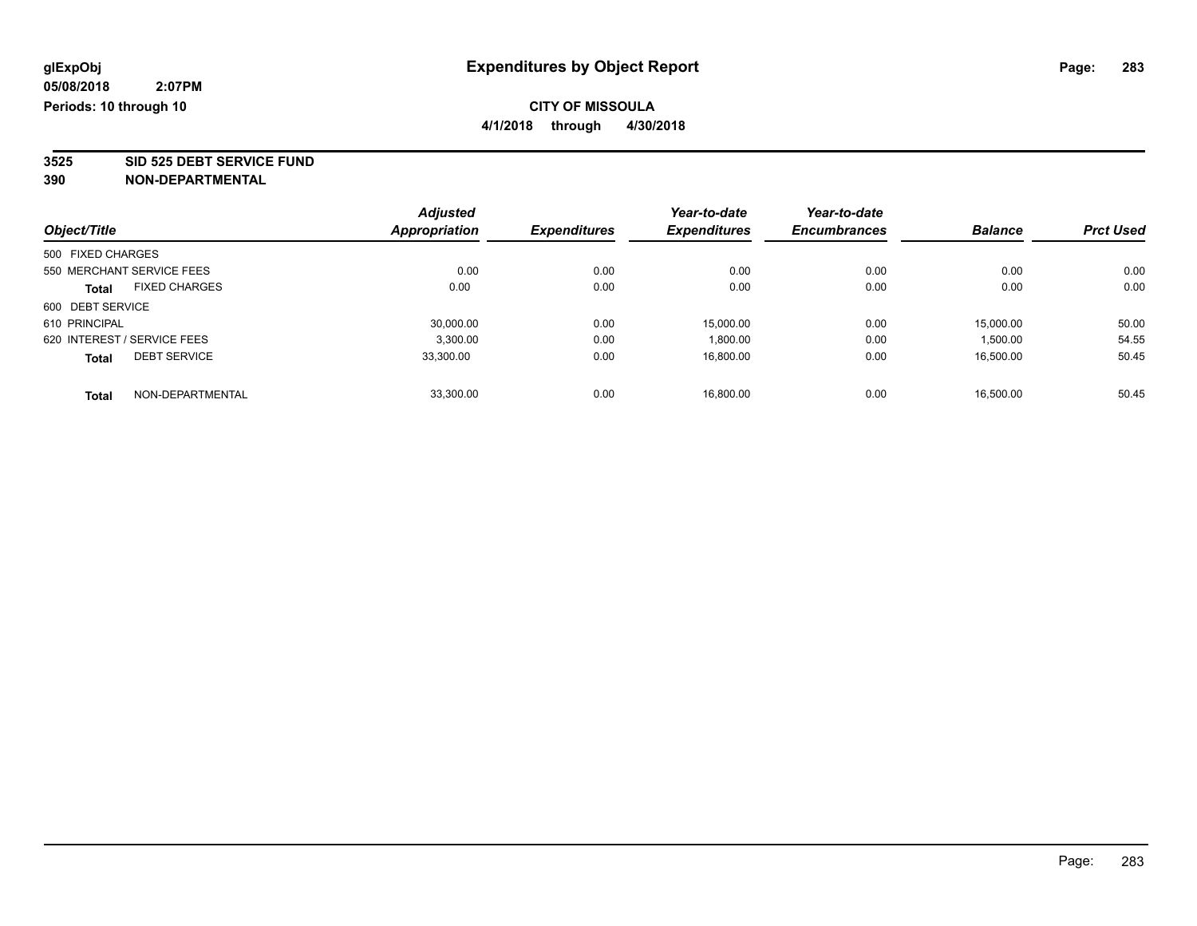**3525 SID 525 DEBT SERVICE FUND**

|                                      | <b>Adjusted</b>      | <b>Expenditures</b> | Year-to-date<br><b>Expenditures</b> | Year-to-date<br><b>Encumbrances</b> | <b>Balance</b> | <b>Prct Used</b> |
|--------------------------------------|----------------------|---------------------|-------------------------------------|-------------------------------------|----------------|------------------|
| Object/Title                         | <b>Appropriation</b> |                     |                                     |                                     |                |                  |
| 500 FIXED CHARGES                    |                      |                     |                                     |                                     |                |                  |
| 550 MERCHANT SERVICE FEES            | 0.00                 | 0.00                | 0.00                                | 0.00                                | 0.00           | 0.00             |
| <b>FIXED CHARGES</b><br><b>Total</b> | 0.00                 | 0.00                | 0.00                                | 0.00                                | 0.00           | 0.00             |
| 600 DEBT SERVICE                     |                      |                     |                                     |                                     |                |                  |
| 610 PRINCIPAL                        | 30.000.00            | 0.00                | 15.000.00                           | 0.00                                | 15,000.00      | 50.00            |
| 620 INTEREST / SERVICE FEES          | 3,300.00             | 0.00                | 1,800.00                            | 0.00                                | 1,500.00       | 54.55            |
| <b>DEBT SERVICE</b><br><b>Total</b>  | 33,300.00            | 0.00                | 16,800.00                           | 0.00                                | 16,500.00      | 50.45            |
| NON-DEPARTMENTAL<br><b>Total</b>     | 33.300.00            | 0.00                | 16.800.00                           | 0.00                                | 16.500.00      | 50.45            |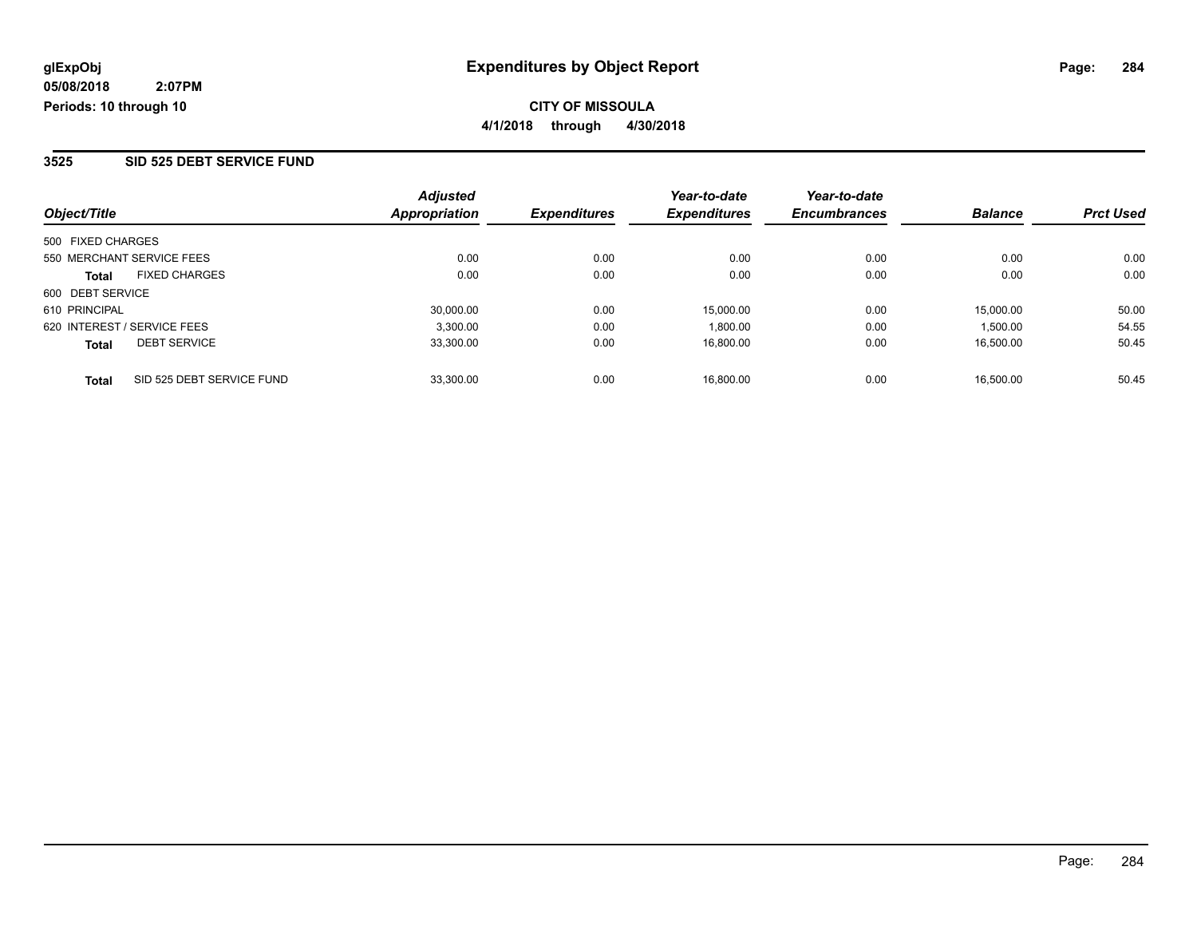### **3525 SID 525 DEBT SERVICE FUND**

| Object/Title                              | <b>Adjusted</b><br>Appropriation | <b>Expenditures</b> | Year-to-date<br><b>Expenditures</b> | Year-to-date<br><b>Encumbrances</b> | <b>Balance</b> | <b>Prct Used</b> |
|-------------------------------------------|----------------------------------|---------------------|-------------------------------------|-------------------------------------|----------------|------------------|
| 500 FIXED CHARGES                         |                                  |                     |                                     |                                     |                |                  |
| 550 MERCHANT SERVICE FEES                 | 0.00                             | 0.00                | 0.00                                | 0.00                                | 0.00           | 0.00             |
| <b>FIXED CHARGES</b><br><b>Total</b>      | 0.00                             | 0.00                | 0.00                                | 0.00                                | 0.00           | 0.00             |
| 600 DEBT SERVICE                          |                                  |                     |                                     |                                     |                |                  |
| 610 PRINCIPAL                             | 30,000.00                        | 0.00                | 15,000.00                           | 0.00                                | 15,000.00      | 50.00            |
| 620 INTEREST / SERVICE FEES               | 3,300.00                         | 0.00                | 1,800.00                            | 0.00                                | 1,500.00       | 54.55            |
| <b>DEBT SERVICE</b><br><b>Total</b>       | 33,300.00                        | 0.00                | 16,800.00                           | 0.00                                | 16.500.00      | 50.45            |
| SID 525 DEBT SERVICE FUND<br><b>Total</b> | 33.300.00                        | 0.00                | 16.800.00                           | 0.00                                | 16.500.00      | 50.45            |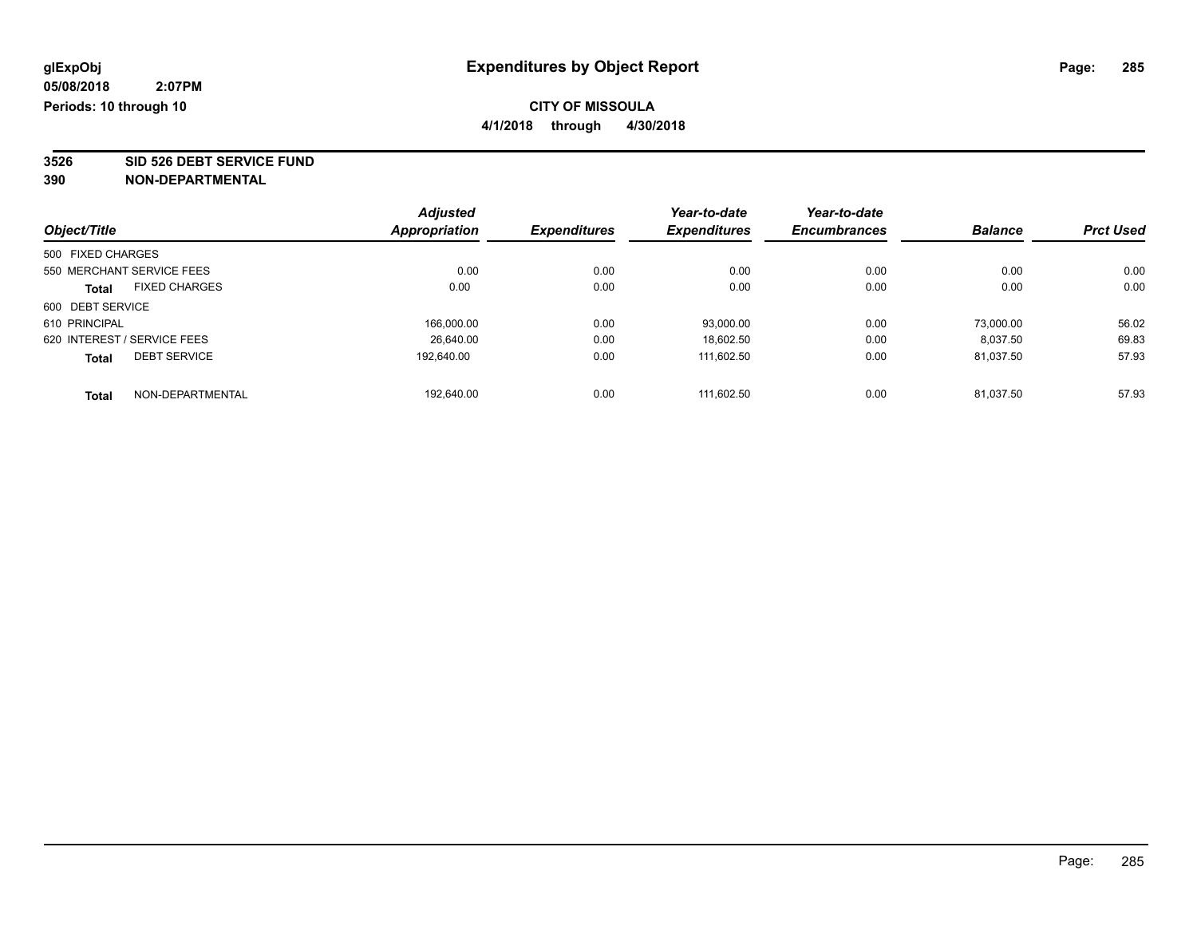**3526 SID 526 DEBT SERVICE FUND**

|                                      | <b>Adjusted</b>      | <b>Expenditures</b> | Year-to-date<br><b>Expenditures</b> | Year-to-date<br><b>Encumbrances</b> | <b>Balance</b> | <b>Prct Used</b> |
|--------------------------------------|----------------------|---------------------|-------------------------------------|-------------------------------------|----------------|------------------|
| Object/Title                         | <b>Appropriation</b> |                     |                                     |                                     |                |                  |
| 500 FIXED CHARGES                    |                      |                     |                                     |                                     |                |                  |
| 550 MERCHANT SERVICE FEES            | 0.00                 | 0.00                | 0.00                                | 0.00                                | 0.00           | 0.00             |
| <b>FIXED CHARGES</b><br><b>Total</b> | 0.00                 | 0.00                | 0.00                                | 0.00                                | 0.00           | 0.00             |
| 600 DEBT SERVICE                     |                      |                     |                                     |                                     |                |                  |
| 610 PRINCIPAL                        | 166.000.00           | 0.00                | 93.000.00                           | 0.00                                | 73.000.00      | 56.02            |
| 620 INTEREST / SERVICE FEES          | 26.640.00            | 0.00                | 18,602.50                           | 0.00                                | 8.037.50       | 69.83            |
| <b>DEBT SERVICE</b><br><b>Total</b>  | 192.640.00           | 0.00                | 111,602.50                          | 0.00                                | 81.037.50      | 57.93            |
| NON-DEPARTMENTAL<br><b>Total</b>     | 192.640.00           | 0.00                | 111.602.50                          | 0.00                                | 81.037.50      | 57.93            |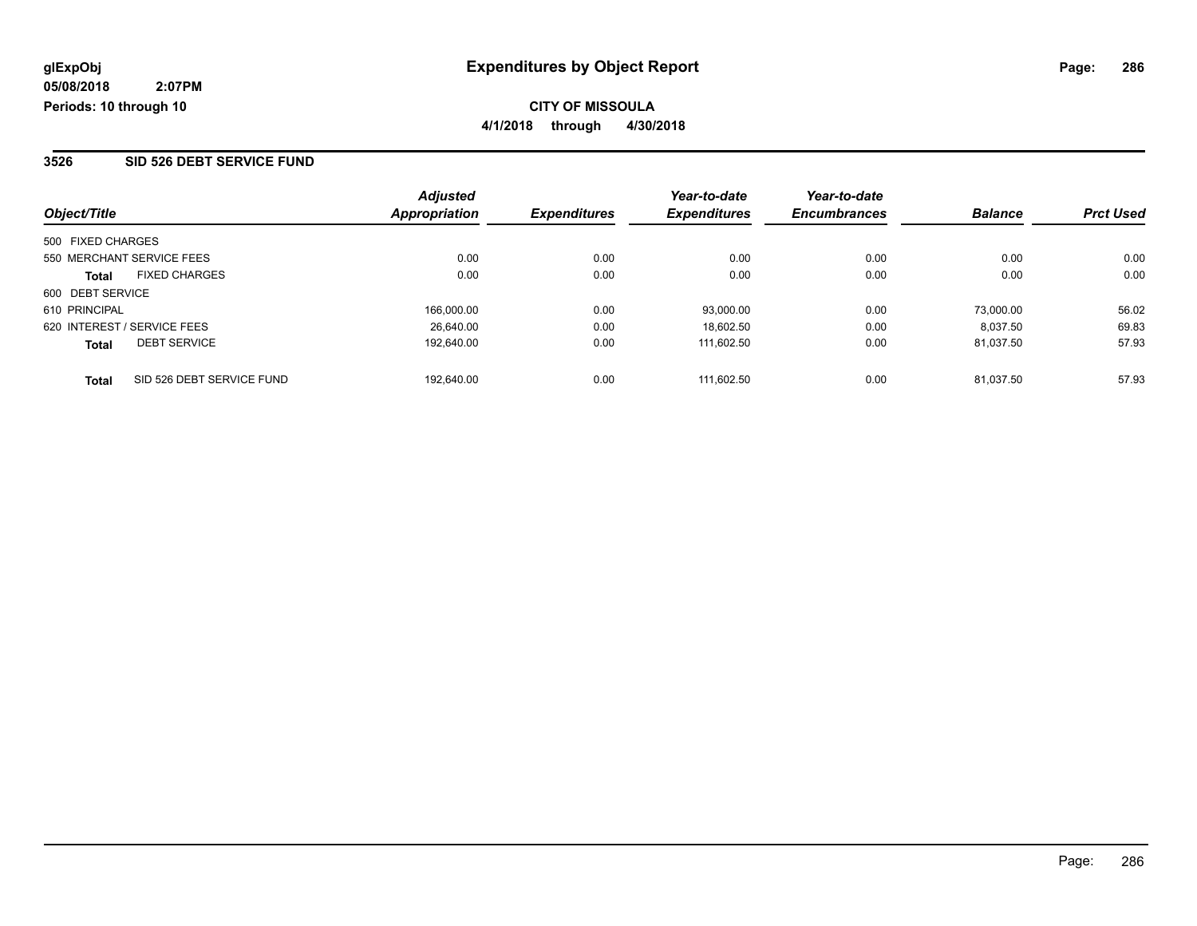#### **3526 SID 526 DEBT SERVICE FUND**

| Object/Title                              | <b>Adjusted</b><br>Appropriation | <b>Expenditures</b> | Year-to-date<br><b>Expenditures</b> | Year-to-date<br><b>Encumbrances</b> | <b>Balance</b> | <b>Prct Used</b> |
|-------------------------------------------|----------------------------------|---------------------|-------------------------------------|-------------------------------------|----------------|------------------|
| 500 FIXED CHARGES                         |                                  |                     |                                     |                                     |                |                  |
| 550 MERCHANT SERVICE FEES                 | 0.00                             | 0.00                | 0.00                                | 0.00                                | 0.00           | 0.00             |
| <b>FIXED CHARGES</b><br><b>Total</b>      | 0.00                             | 0.00                | 0.00                                | 0.00                                | 0.00           | 0.00             |
| 600 DEBT SERVICE                          |                                  |                     |                                     |                                     |                |                  |
| 610 PRINCIPAL                             | 166.000.00                       | 0.00                | 93,000.00                           | 0.00                                | 73.000.00      | 56.02            |
| 620 INTEREST / SERVICE FEES               | 26.640.00                        | 0.00                | 18.602.50                           | 0.00                                | 8.037.50       | 69.83            |
| <b>DEBT SERVICE</b><br><b>Total</b>       | 192.640.00                       | 0.00                | 111.602.50                          | 0.00                                | 81.037.50      | 57.93            |
| SID 526 DEBT SERVICE FUND<br><b>Total</b> | 192.640.00                       | 0.00                | 111.602.50                          | 0.00                                | 81.037.50      | 57.93            |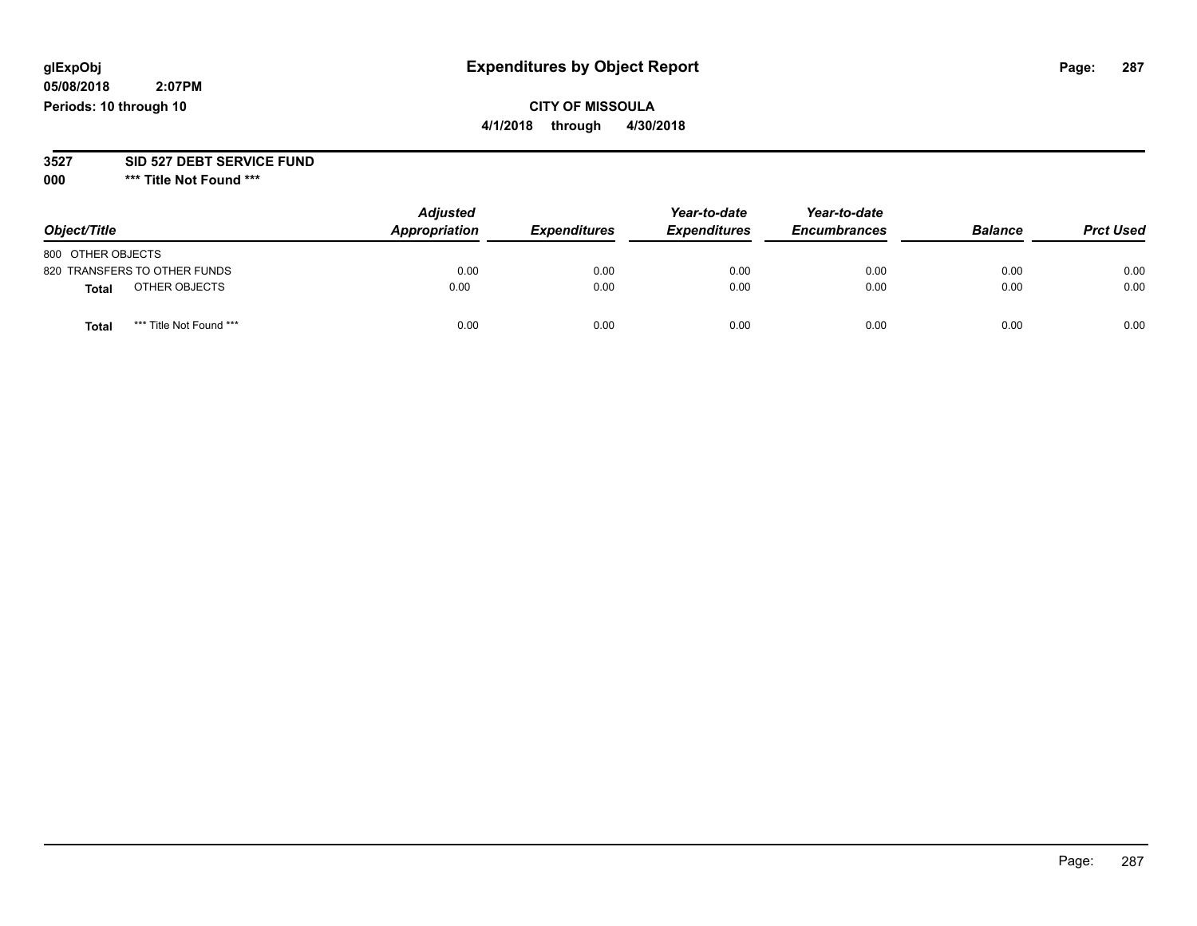#### **05/08/2018 2:07PM Periods: 10 through 10**

## **CITY OF MISSOULA 4/1/2018 through 4/30/2018**

#### **3527 SID 527 DEBT SERVICE FUND**

**000 \*\*\* Title Not Found \*\*\***

| Object/Title                            | <b>Adjusted</b><br>Appropriation | <b>Expenditures</b> | Year-to-date<br><b>Expenditures</b> | Year-to-date<br><b>Encumbrances</b> | <b>Balance</b> | <b>Prct Used</b> |
|-----------------------------------------|----------------------------------|---------------------|-------------------------------------|-------------------------------------|----------------|------------------|
| 800 OTHER OBJECTS                       |                                  |                     |                                     |                                     |                |                  |
| 820 TRANSFERS TO OTHER FUNDS            | 0.00                             | 0.00                | 0.00                                | 0.00                                | 0.00           | 0.00             |
| OTHER OBJECTS<br><b>Total</b>           | 0.00                             | 0.00                | 0.00                                | 0.00                                | 0.00           | 0.00             |
| *** Title Not Found ***<br><b>Total</b> | 0.00                             | 0.00                | 0.00                                | 0.00                                | 0.00           | 0.00             |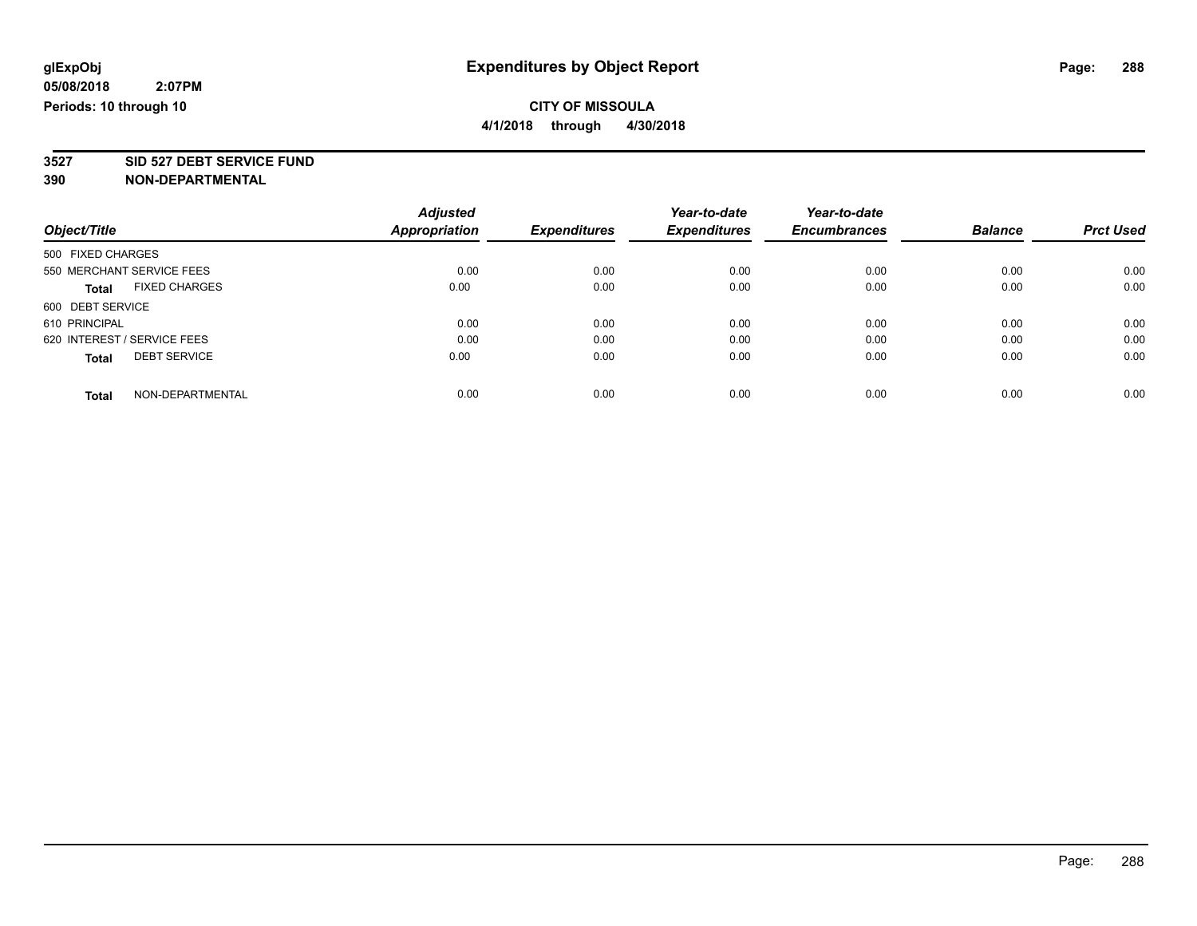**3527 SID 527 DEBT SERVICE FUND**

| Object/Title                |                           | <b>Adjusted</b>      |                     | Year-to-date        | Year-to-date<br><b>Encumbrances</b> |                | <b>Prct Used</b> |
|-----------------------------|---------------------------|----------------------|---------------------|---------------------|-------------------------------------|----------------|------------------|
|                             |                           | <b>Appropriation</b> | <b>Expenditures</b> | <b>Expenditures</b> |                                     | <b>Balance</b> |                  |
| 500 FIXED CHARGES           |                           |                      |                     |                     |                                     |                |                  |
|                             | 550 MERCHANT SERVICE FEES | 0.00                 | 0.00                | 0.00                | 0.00                                | 0.00           | 0.00             |
| <b>Total</b>                | <b>FIXED CHARGES</b>      | 0.00                 | 0.00                | 0.00                | 0.00                                | 0.00           | 0.00             |
| 600 DEBT SERVICE            |                           |                      |                     |                     |                                     |                |                  |
| 610 PRINCIPAL               |                           | 0.00                 | 0.00                | 0.00                | 0.00                                | 0.00           | 0.00             |
| 620 INTEREST / SERVICE FEES |                           | 0.00                 | 0.00                | 0.00                | 0.00                                | 0.00           | 0.00             |
| <b>Total</b>                | <b>DEBT SERVICE</b>       | 0.00                 | 0.00                | 0.00                | 0.00                                | 0.00           | 0.00             |
| <b>Total</b>                | NON-DEPARTMENTAL          | 0.00                 | 0.00                | 0.00                | 0.00                                | 0.00           | 0.00             |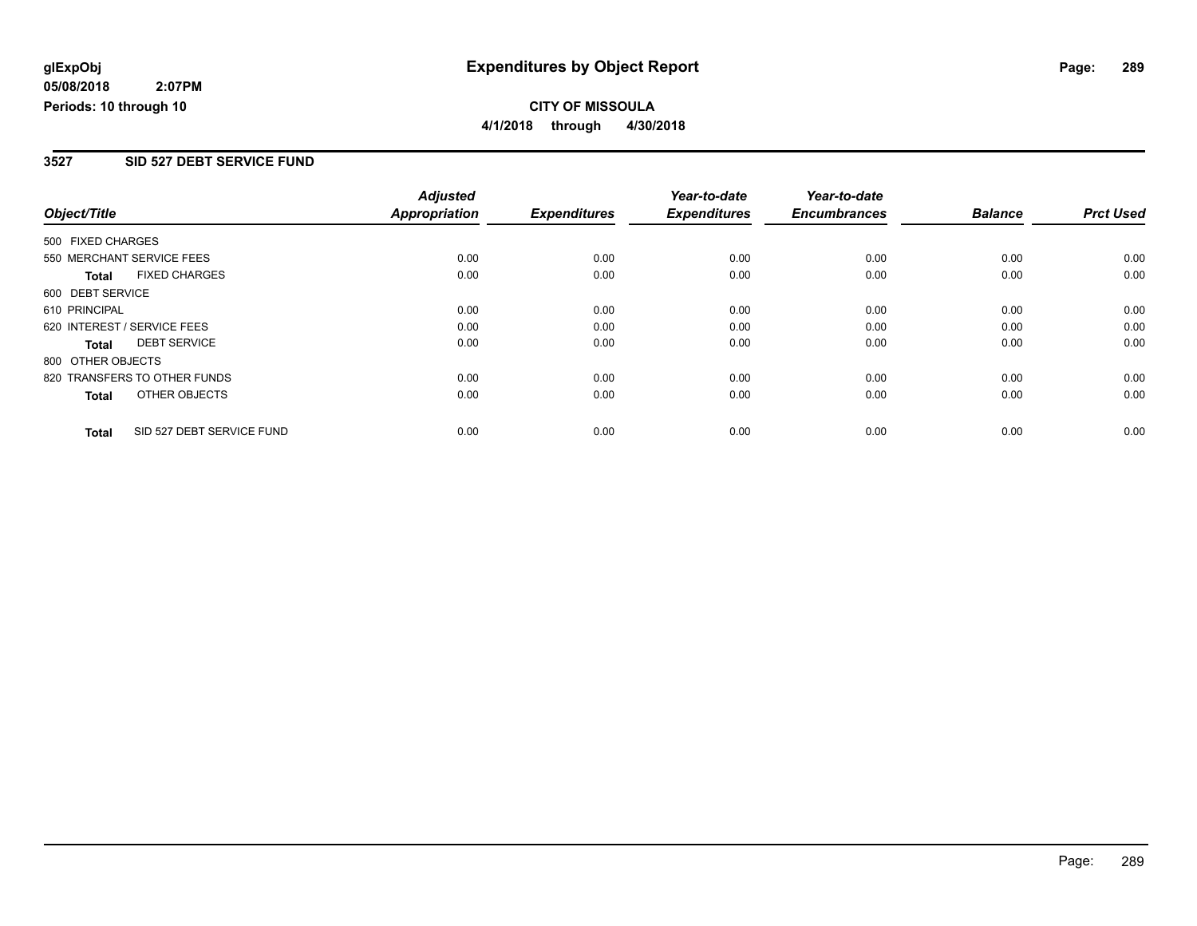#### **3527 SID 527 DEBT SERVICE FUND**

|                             |                              | <b>Adjusted</b>      |                     | Year-to-date        | Year-to-date        |                |                  |
|-----------------------------|------------------------------|----------------------|---------------------|---------------------|---------------------|----------------|------------------|
| Object/Title                |                              | <b>Appropriation</b> | <b>Expenditures</b> | <b>Expenditures</b> | <b>Encumbrances</b> | <b>Balance</b> | <b>Prct Used</b> |
| 500 FIXED CHARGES           |                              |                      |                     |                     |                     |                |                  |
|                             | 550 MERCHANT SERVICE FEES    | 0.00                 | 0.00                | 0.00                | 0.00                | 0.00           | 0.00             |
| <b>Total</b>                | <b>FIXED CHARGES</b>         | 0.00                 | 0.00                | 0.00                | 0.00                | 0.00           | 0.00             |
| 600 DEBT SERVICE            |                              |                      |                     |                     |                     |                |                  |
| 610 PRINCIPAL               |                              | 0.00                 | 0.00                | 0.00                | 0.00                | 0.00           | 0.00             |
| 620 INTEREST / SERVICE FEES |                              | 0.00                 | 0.00                | 0.00                | 0.00                | 0.00           | 0.00             |
| Total                       | <b>DEBT SERVICE</b>          | 0.00                 | 0.00                | 0.00                | 0.00                | 0.00           | 0.00             |
| 800 OTHER OBJECTS           |                              |                      |                     |                     |                     |                |                  |
|                             | 820 TRANSFERS TO OTHER FUNDS | 0.00                 | 0.00                | 0.00                | 0.00                | 0.00           | 0.00             |
| Total                       | OTHER OBJECTS                | 0.00                 | 0.00                | 0.00                | 0.00                | 0.00           | 0.00             |
| <b>Total</b>                | SID 527 DEBT SERVICE FUND    | 0.00                 | 0.00                | 0.00                | 0.00                | 0.00           | 0.00             |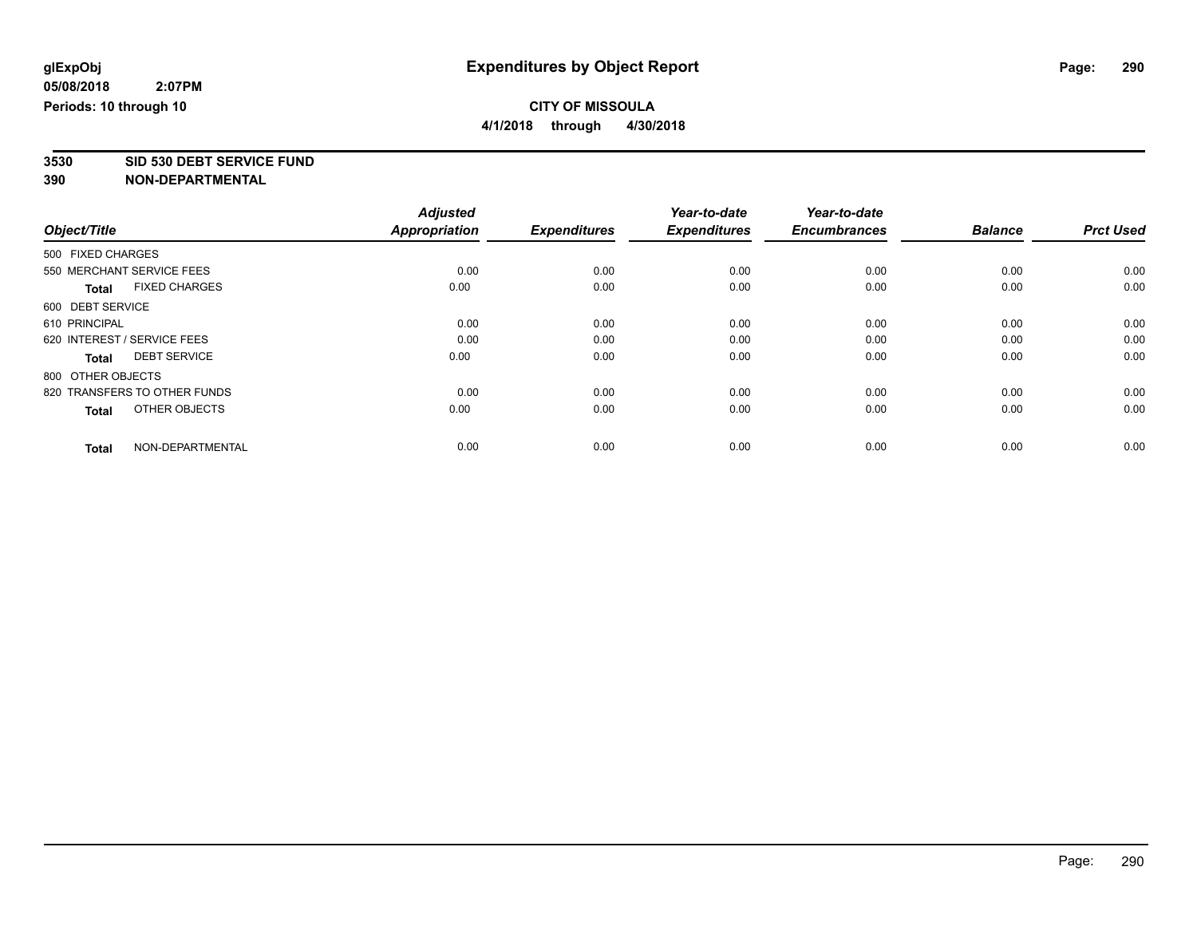# **3530 SID 530 DEBT SERVICE FUND**

|                                      | <b>Adjusted</b>      |                     | Year-to-date        | Year-to-date        |                |                  |
|--------------------------------------|----------------------|---------------------|---------------------|---------------------|----------------|------------------|
| Object/Title                         | <b>Appropriation</b> | <b>Expenditures</b> | <b>Expenditures</b> | <b>Encumbrances</b> | <b>Balance</b> | <b>Prct Used</b> |
| 500 FIXED CHARGES                    |                      |                     |                     |                     |                |                  |
| 550 MERCHANT SERVICE FEES            | 0.00                 | 0.00                | 0.00                | 0.00                | 0.00           | 0.00             |
| <b>FIXED CHARGES</b><br><b>Total</b> | 0.00                 | 0.00                | 0.00                | 0.00                | 0.00           | 0.00             |
| 600 DEBT SERVICE                     |                      |                     |                     |                     |                |                  |
| 610 PRINCIPAL                        | 0.00                 | 0.00                | 0.00                | 0.00                | 0.00           | 0.00             |
| 620 INTEREST / SERVICE FEES          | 0.00                 | 0.00                | 0.00                | 0.00                | 0.00           | 0.00             |
| <b>DEBT SERVICE</b><br><b>Total</b>  | 0.00                 | 0.00                | 0.00                | 0.00                | 0.00           | 0.00             |
| 800 OTHER OBJECTS                    |                      |                     |                     |                     |                |                  |
| 820 TRANSFERS TO OTHER FUNDS         | 0.00                 | 0.00                | 0.00                | 0.00                | 0.00           | 0.00             |
| OTHER OBJECTS<br><b>Total</b>        | 0.00                 | 0.00                | 0.00                | 0.00                | 0.00           | 0.00             |
|                                      |                      |                     |                     |                     |                |                  |
| NON-DEPARTMENTAL<br><b>Total</b>     | 0.00                 | 0.00                | 0.00                | 0.00                | 0.00           | 0.00             |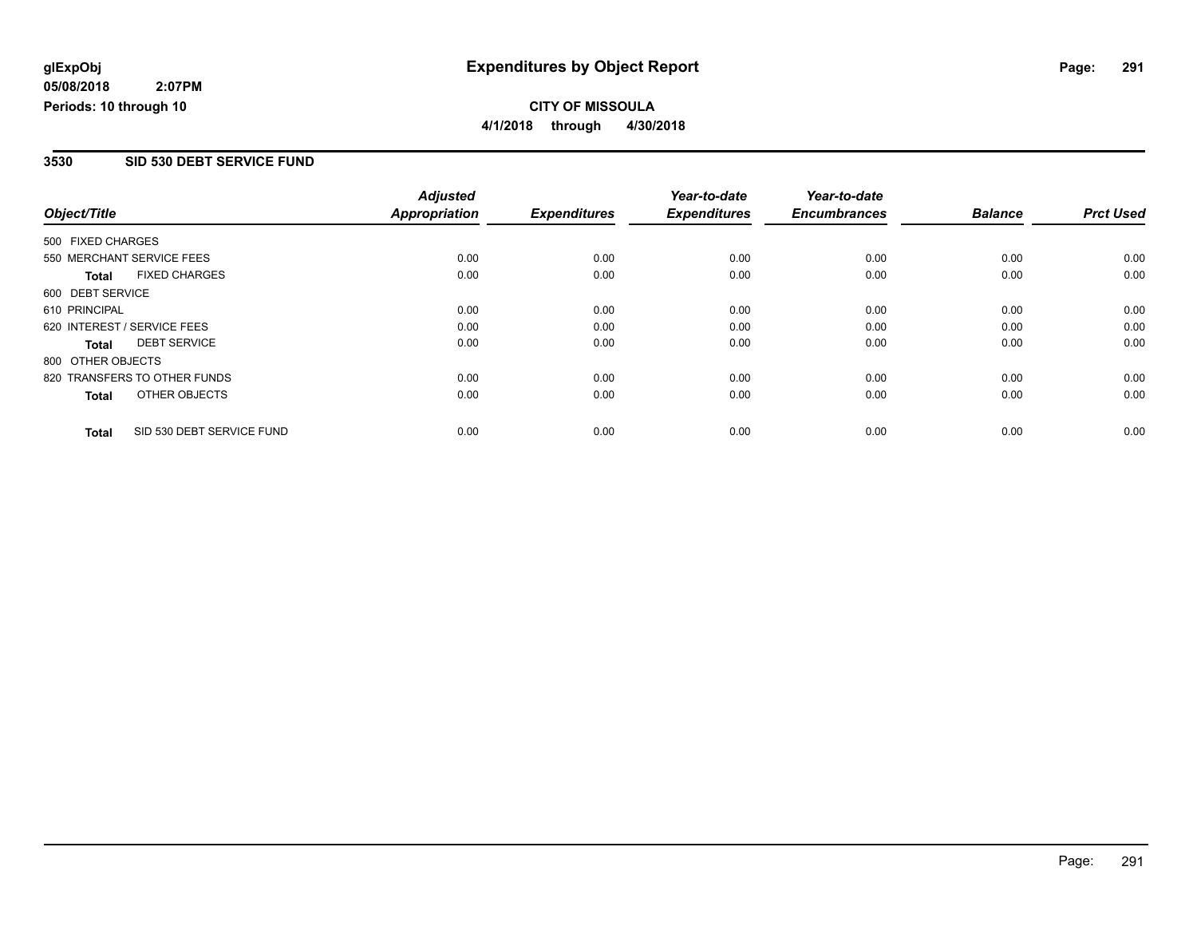#### **3530 SID 530 DEBT SERVICE FUND**

|                   |                              | <b>Adjusted</b>      |                     | Year-to-date        | Year-to-date        |                |                  |
|-------------------|------------------------------|----------------------|---------------------|---------------------|---------------------|----------------|------------------|
| Object/Title      |                              | <b>Appropriation</b> | <b>Expenditures</b> | <b>Expenditures</b> | <b>Encumbrances</b> | <b>Balance</b> | <b>Prct Used</b> |
| 500 FIXED CHARGES |                              |                      |                     |                     |                     |                |                  |
|                   | 550 MERCHANT SERVICE FEES    | 0.00                 | 0.00                | 0.00                | 0.00                | 0.00           | 0.00             |
| <b>Total</b>      | <b>FIXED CHARGES</b>         | 0.00                 | 0.00                | 0.00                | 0.00                | 0.00           | 0.00             |
| 600 DEBT SERVICE  |                              |                      |                     |                     |                     |                |                  |
| 610 PRINCIPAL     |                              | 0.00                 | 0.00                | 0.00                | 0.00                | 0.00           | 0.00             |
|                   | 620 INTEREST / SERVICE FEES  | 0.00                 | 0.00                | 0.00                | 0.00                | 0.00           | 0.00             |
| <b>Total</b>      | <b>DEBT SERVICE</b>          | 0.00                 | 0.00                | 0.00                | 0.00                | 0.00           | 0.00             |
| 800 OTHER OBJECTS |                              |                      |                     |                     |                     |                |                  |
|                   | 820 TRANSFERS TO OTHER FUNDS | 0.00                 | 0.00                | 0.00                | 0.00                | 0.00           | 0.00             |
| Total             | OTHER OBJECTS                | 0.00                 | 0.00                | 0.00                | 0.00                | 0.00           | 0.00             |
| <b>Total</b>      | SID 530 DEBT SERVICE FUND    | 0.00                 | 0.00                | 0.00                | 0.00                | 0.00           | 0.00             |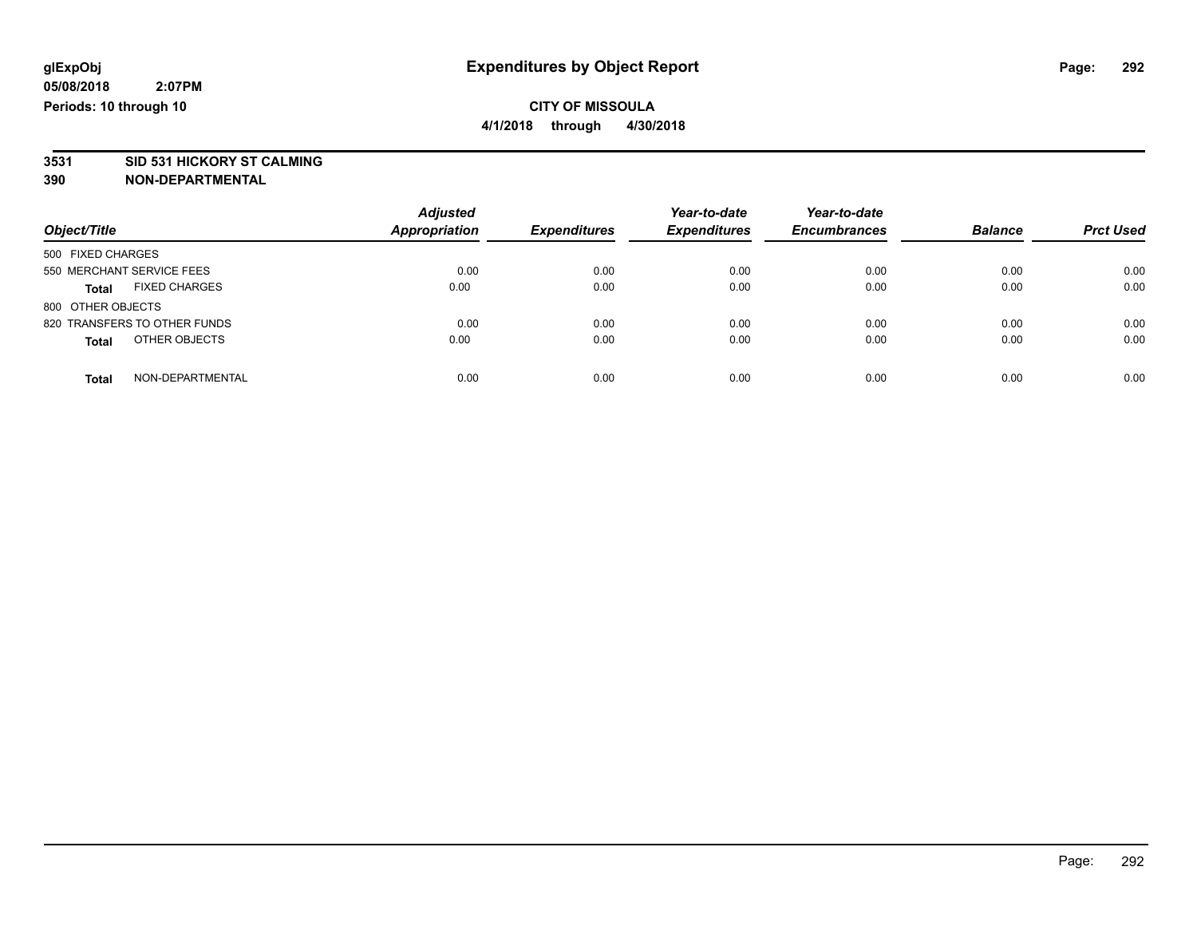# **3531 SID 531 HICKORY ST CALMING**

| Object/Title                         | <b>Adjusted</b><br><b>Appropriation</b> | <b>Expenditures</b> | Year-to-date<br><b>Expenditures</b> | Year-to-date<br><b>Encumbrances</b> | <b>Balance</b> | <b>Prct Used</b> |
|--------------------------------------|-----------------------------------------|---------------------|-------------------------------------|-------------------------------------|----------------|------------------|
| 500 FIXED CHARGES                    |                                         |                     |                                     |                                     |                |                  |
| 550 MERCHANT SERVICE FEES            | 0.00                                    | 0.00                | 0.00                                | 0.00                                | 0.00           | 0.00             |
| <b>FIXED CHARGES</b><br><b>Total</b> | 0.00                                    | 0.00                | 0.00                                | 0.00                                | 0.00           | 0.00             |
| 800 OTHER OBJECTS                    |                                         |                     |                                     |                                     |                |                  |
| 820 TRANSFERS TO OTHER FUNDS         | 0.00                                    | 0.00                | 0.00                                | 0.00                                | 0.00           | 0.00             |
| OTHER OBJECTS<br><b>Total</b>        | 0.00                                    | 0.00                | 0.00                                | 0.00                                | 0.00           | 0.00             |
| NON-DEPARTMENTAL<br>Total            | 0.00                                    | 0.00                | 0.00                                | 0.00                                | 0.00           | 0.00             |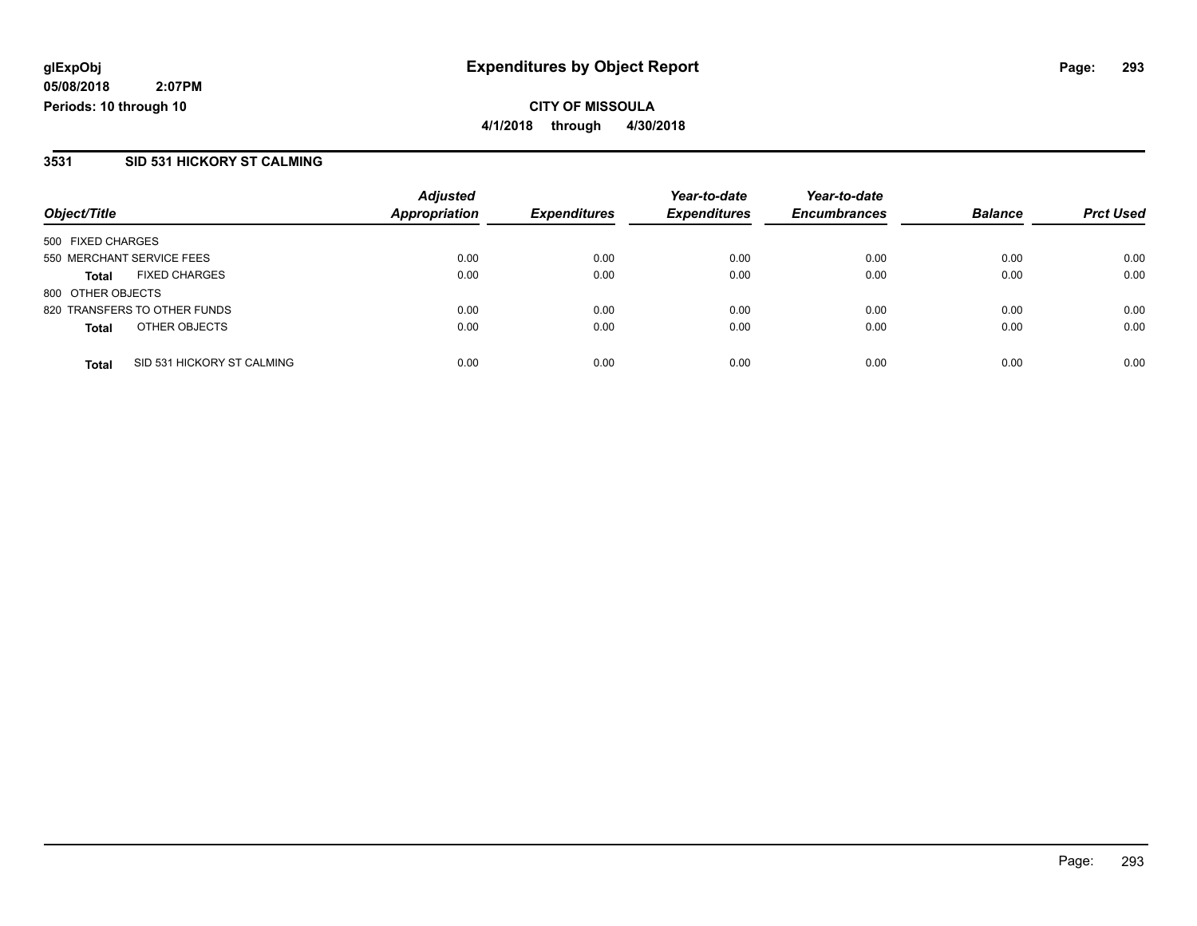**CITY OF MISSOULA 4/1/2018 through 4/30/2018**

#### **3531 SID 531 HICKORY ST CALMING**

|                           |                              | <b>Adjusted</b>      |                     | Year-to-date        | Year-to-date        |                |                  |
|---------------------------|------------------------------|----------------------|---------------------|---------------------|---------------------|----------------|------------------|
| Object/Title              |                              | <b>Appropriation</b> | <b>Expenditures</b> | <b>Expenditures</b> | <b>Encumbrances</b> | <b>Balance</b> | <b>Prct Used</b> |
| 500 FIXED CHARGES         |                              |                      |                     |                     |                     |                |                  |
| 550 MERCHANT SERVICE FEES |                              | 0.00                 | 0.00                | 0.00                | 0.00                | 0.00           | 0.00             |
| <b>Total</b>              | <b>FIXED CHARGES</b>         | 0.00                 | 0.00                | 0.00                | 0.00                | 0.00           | 0.00             |
| 800 OTHER OBJECTS         |                              |                      |                     |                     |                     |                |                  |
|                           | 820 TRANSFERS TO OTHER FUNDS | 0.00                 | 0.00                | 0.00                | 0.00                | 0.00           | 0.00             |
| <b>Total</b>              | OTHER OBJECTS                | 0.00                 | 0.00                | 0.00                | 0.00                | 0.00           | 0.00             |
| <b>Total</b>              | SID 531 HICKORY ST CALMING   | 0.00                 | 0.00                | 0.00                | 0.00                | 0.00           | 0.00             |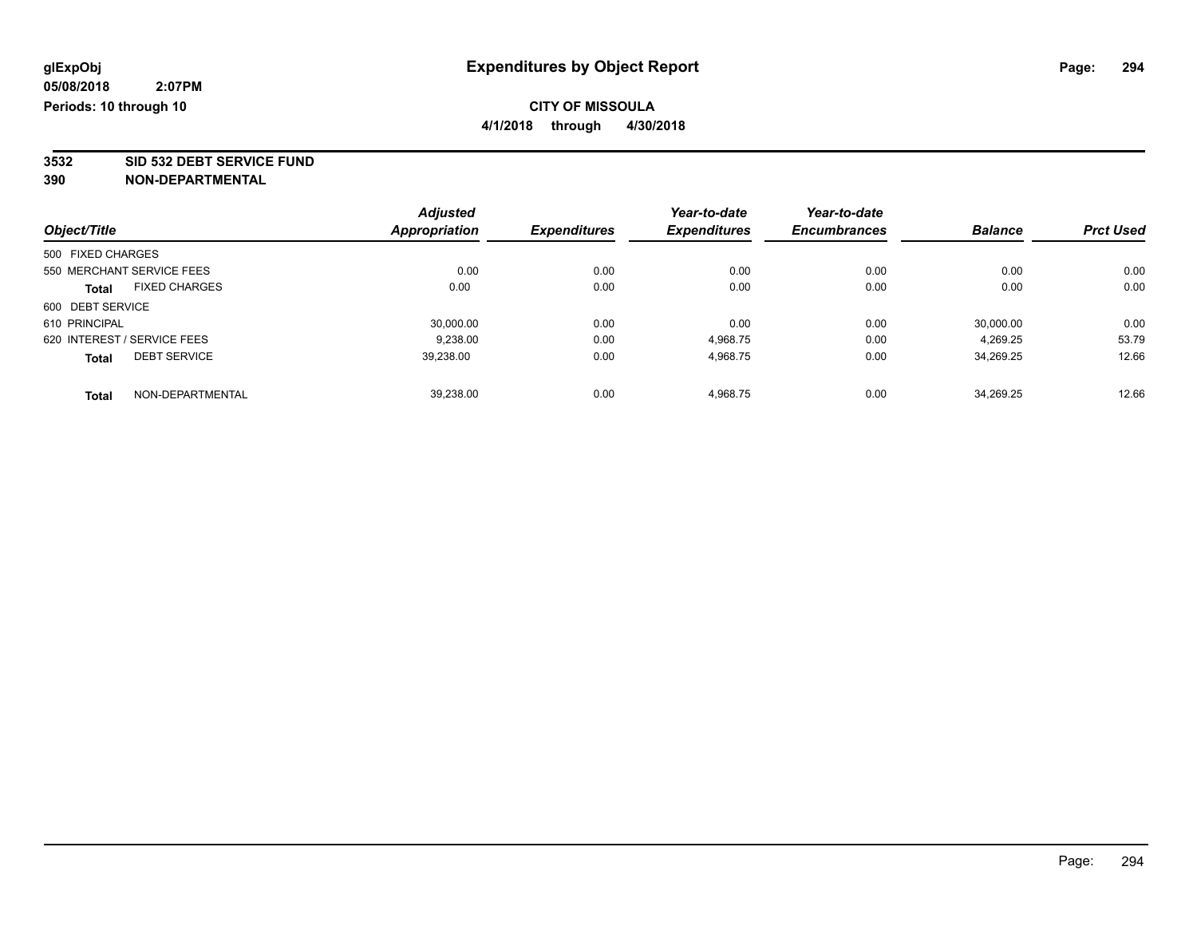**3532 SID 532 DEBT SERVICE FUND**

|                             |                      | <b>Adjusted</b> |                     | Year-to-date        | Year-to-date        |                |                  |
|-----------------------------|----------------------|-----------------|---------------------|---------------------|---------------------|----------------|------------------|
| Object/Title                |                      | Appropriation   | <b>Expenditures</b> | <b>Expenditures</b> | <b>Encumbrances</b> | <b>Balance</b> | <b>Prct Used</b> |
| 500 FIXED CHARGES           |                      |                 |                     |                     |                     |                |                  |
| 550 MERCHANT SERVICE FEES   |                      | 0.00            | 0.00                | 0.00                | 0.00                | 0.00           | 0.00             |
| <b>Total</b>                | <b>FIXED CHARGES</b> | 0.00            | 0.00                | 0.00                | 0.00                | 0.00           | 0.00             |
| 600 DEBT SERVICE            |                      |                 |                     |                     |                     |                |                  |
| 610 PRINCIPAL               |                      | 30,000.00       | 0.00                | 0.00                | 0.00                | 30,000.00      | 0.00             |
| 620 INTEREST / SERVICE FEES |                      | 9,238.00        | 0.00                | 4,968.75            | 0.00                | 4,269.25       | 53.79            |
| <b>Total</b>                | <b>DEBT SERVICE</b>  | 39.238.00       | 0.00                | 4,968.75            | 0.00                | 34.269.25      | 12.66            |
| <b>Total</b>                | NON-DEPARTMENTAL     | 39.238.00       | 0.00                | 4.968.75            | 0.00                | 34.269.25      | 12.66            |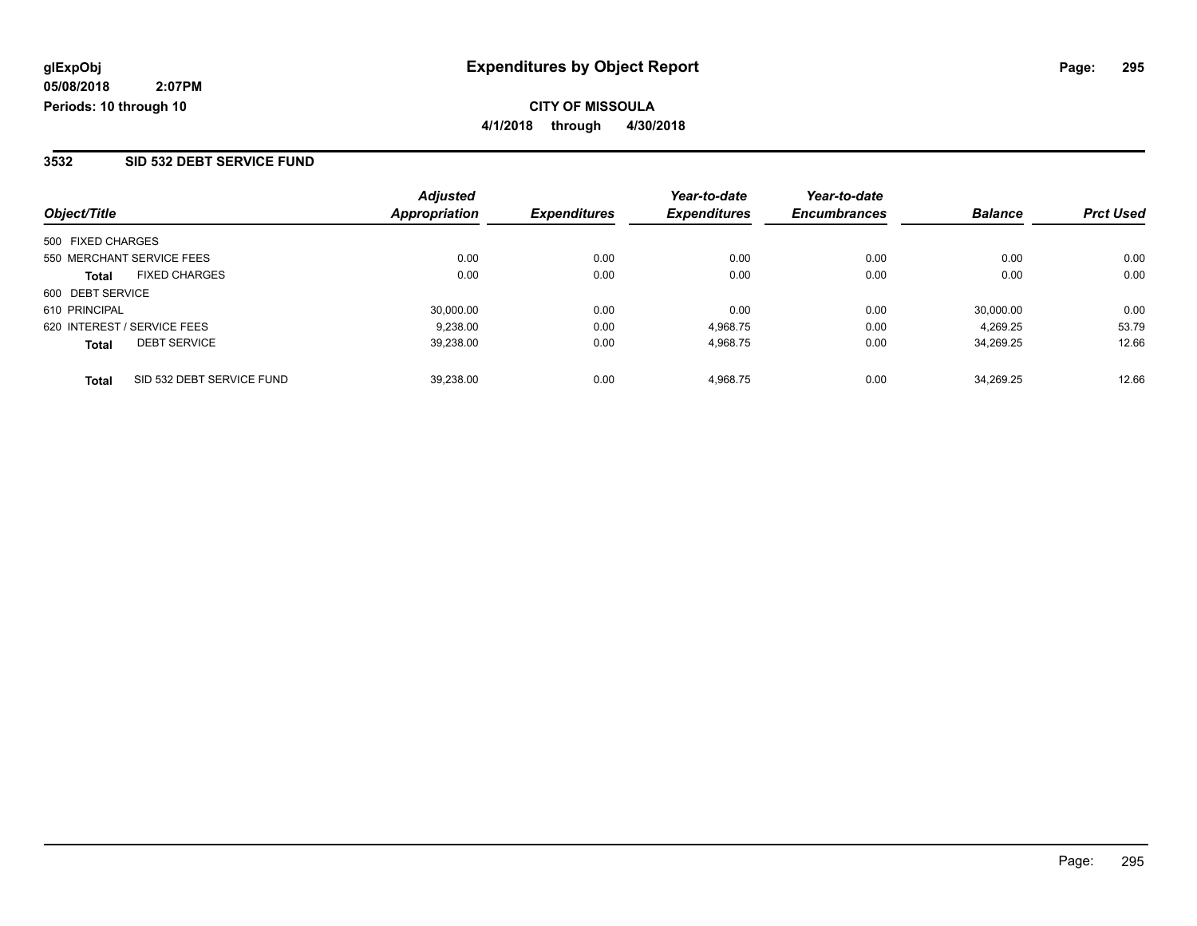#### **3532 SID 532 DEBT SERVICE FUND**

| Object/Title      |                             | <b>Adjusted</b><br>Appropriation | <b>Expenditures</b> | Year-to-date<br><b>Expenditures</b> | Year-to-date<br><b>Encumbrances</b> | <b>Balance</b> | <b>Prct Used</b> |
|-------------------|-----------------------------|----------------------------------|---------------------|-------------------------------------|-------------------------------------|----------------|------------------|
|                   |                             |                                  |                     |                                     |                                     |                |                  |
| 500 FIXED CHARGES |                             |                                  |                     |                                     |                                     |                |                  |
|                   | 550 MERCHANT SERVICE FEES   | 0.00                             | 0.00                | 0.00                                | 0.00                                | 0.00           | 0.00             |
| <b>Total</b>      | <b>FIXED CHARGES</b>        | 0.00                             | 0.00                | 0.00                                | 0.00                                | 0.00           | 0.00             |
| 600 DEBT SERVICE  |                             |                                  |                     |                                     |                                     |                |                  |
| 610 PRINCIPAL     |                             | 30.000.00                        | 0.00                | 0.00                                | 0.00                                | 30,000.00      | 0.00             |
|                   | 620 INTEREST / SERVICE FEES | 9.238.00                         | 0.00                | 4.968.75                            | 0.00                                | 4.269.25       | 53.79            |
| <b>Total</b>      | <b>DEBT SERVICE</b>         | 39,238.00                        | 0.00                | 4,968.75                            | 0.00                                | 34.269.25      | 12.66            |
| <b>Total</b>      | SID 532 DEBT SERVICE FUND   | 39.238.00                        | 0.00                | 4.968.75                            | 0.00                                | 34.269.25      | 12.66            |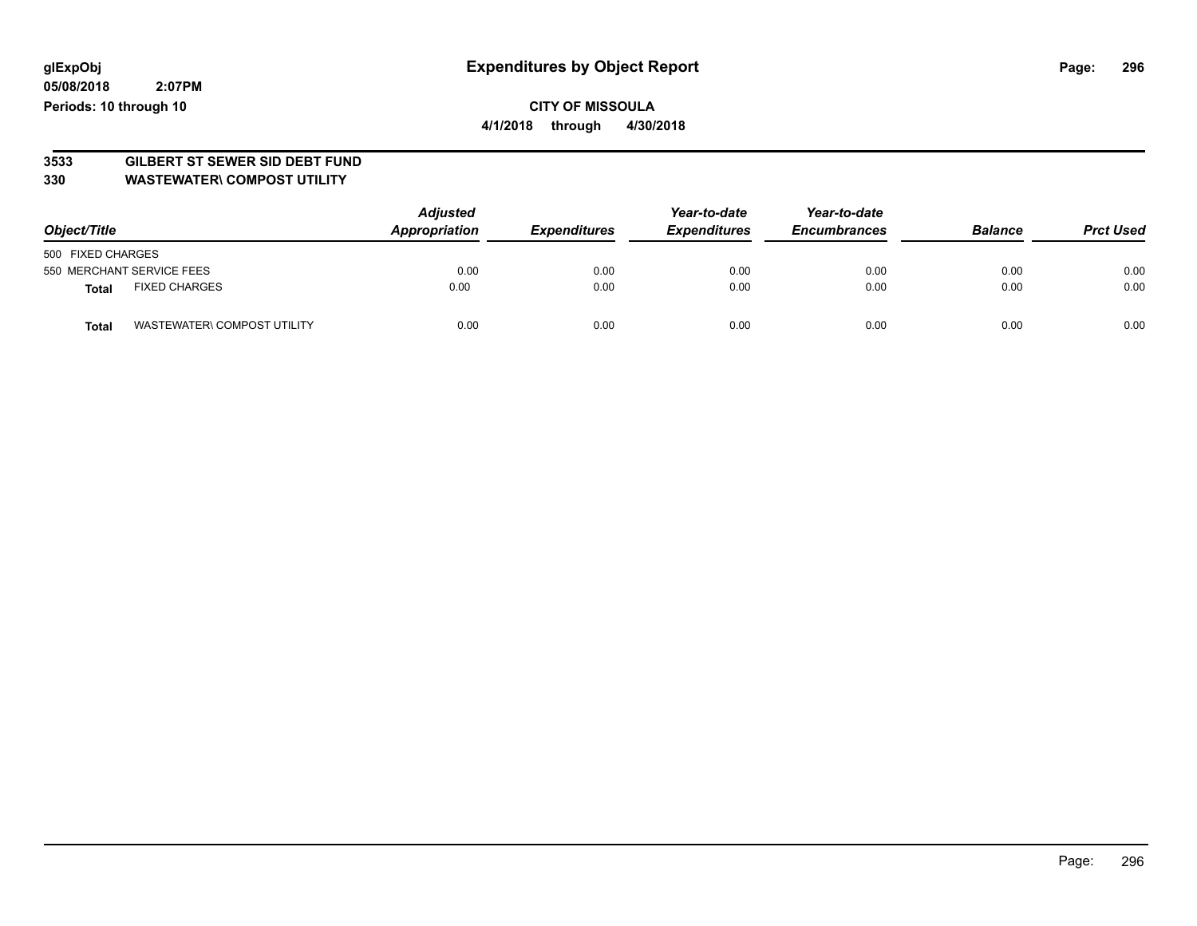# **3533 GILBERT ST SEWER SID DEBT FUND**

## **330 WASTEWATER\ COMPOST UTILITY**

| Object/Title                                | <b>Adjusted</b><br><b>Appropriation</b> | <b>Expenditures</b> | Year-to-date<br><b>Expenditures</b> | Year-to-date<br><b>Encumbrances</b> | <b>Balance</b> | <b>Prct Used</b> |
|---------------------------------------------|-----------------------------------------|---------------------|-------------------------------------|-------------------------------------|----------------|------------------|
| 500 FIXED CHARGES                           |                                         |                     |                                     |                                     |                |                  |
| 550 MERCHANT SERVICE FEES                   | 0.00                                    | 0.00                | 0.00                                | 0.00                                | 0.00           | 0.00             |
| <b>FIXED CHARGES</b><br><b>Total</b>        | 0.00                                    | 0.00                | 0.00                                | 0.00                                | 0.00           | 0.00             |
| WASTEWATER\ COMPOST UTILITY<br><b>Total</b> | 0.00                                    | 0.00                | 0.00                                | 0.00                                | 0.00           | 0.00             |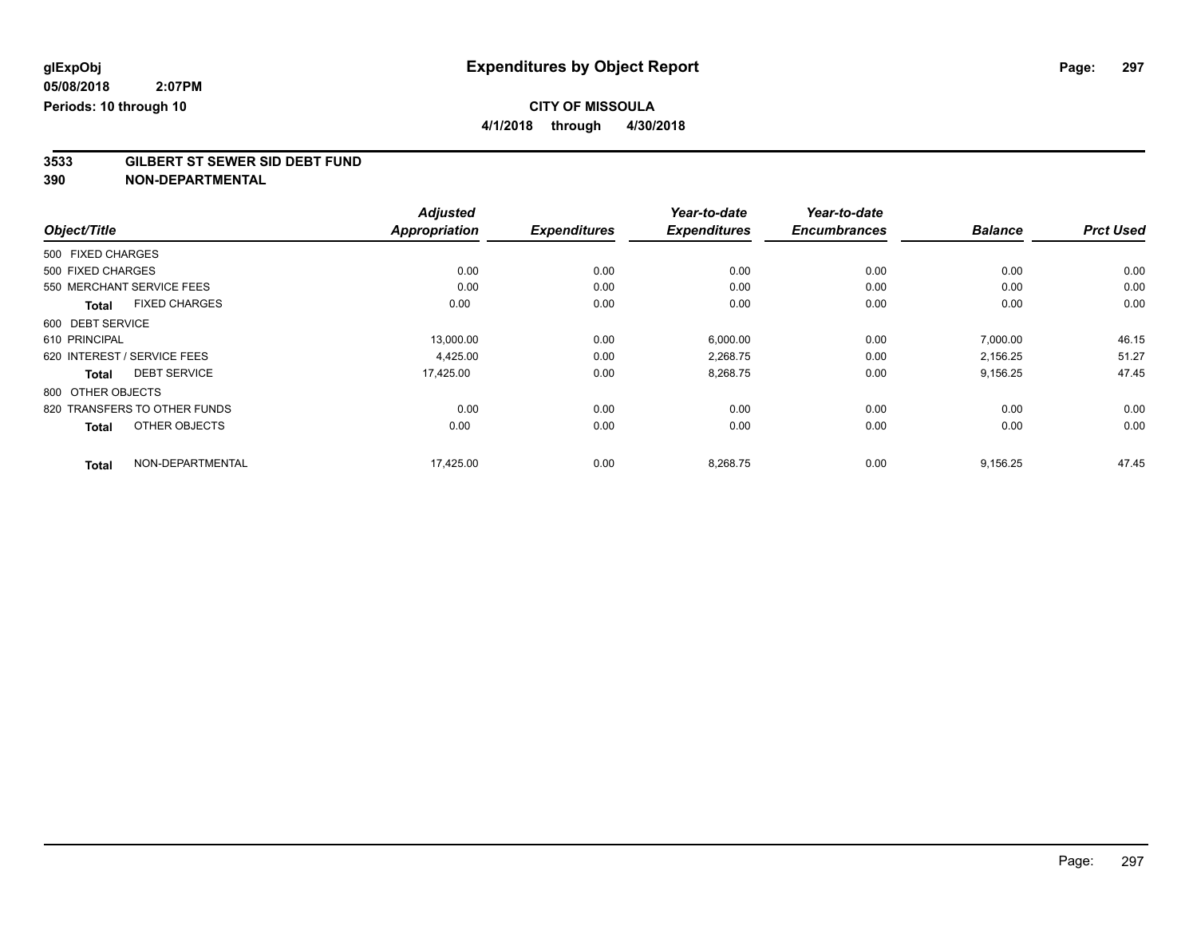**3533 GILBERT ST SEWER SID DEBT FUND**

|                                      | <b>Adjusted</b>      |                     | Year-to-date        | Year-to-date        |                |                  |
|--------------------------------------|----------------------|---------------------|---------------------|---------------------|----------------|------------------|
| Object/Title                         | <b>Appropriation</b> | <b>Expenditures</b> | <b>Expenditures</b> | <b>Encumbrances</b> | <b>Balance</b> | <b>Prct Used</b> |
| 500 FIXED CHARGES                    |                      |                     |                     |                     |                |                  |
| 500 FIXED CHARGES                    | 0.00                 | 0.00                | 0.00                | 0.00                | 0.00           | 0.00             |
| 550 MERCHANT SERVICE FEES            | 0.00                 | 0.00                | 0.00                | 0.00                | 0.00           | 0.00             |
| <b>FIXED CHARGES</b><br><b>Total</b> | 0.00                 | 0.00                | 0.00                | 0.00                | 0.00           | 0.00             |
| 600 DEBT SERVICE                     |                      |                     |                     |                     |                |                  |
| 610 PRINCIPAL                        | 13,000.00            | 0.00                | 6,000.00            | 0.00                | 7,000.00       | 46.15            |
| 620 INTEREST / SERVICE FEES          | 4,425.00             | 0.00                | 2,268.75            | 0.00                | 2,156.25       | 51.27            |
| <b>DEBT SERVICE</b><br><b>Total</b>  | 17,425.00            | 0.00                | 8,268.75            | 0.00                | 9,156.25       | 47.45            |
| 800 OTHER OBJECTS                    |                      |                     |                     |                     |                |                  |
| 820 TRANSFERS TO OTHER FUNDS         | 0.00                 | 0.00                | 0.00                | 0.00                | 0.00           | 0.00             |
| OTHER OBJECTS<br><b>Total</b>        | 0.00                 | 0.00                | 0.00                | 0.00                | 0.00           | 0.00             |
| NON-DEPARTMENTAL<br><b>Total</b>     | 17,425.00            | 0.00                | 8,268.75            | 0.00                | 9,156.25       | 47.45            |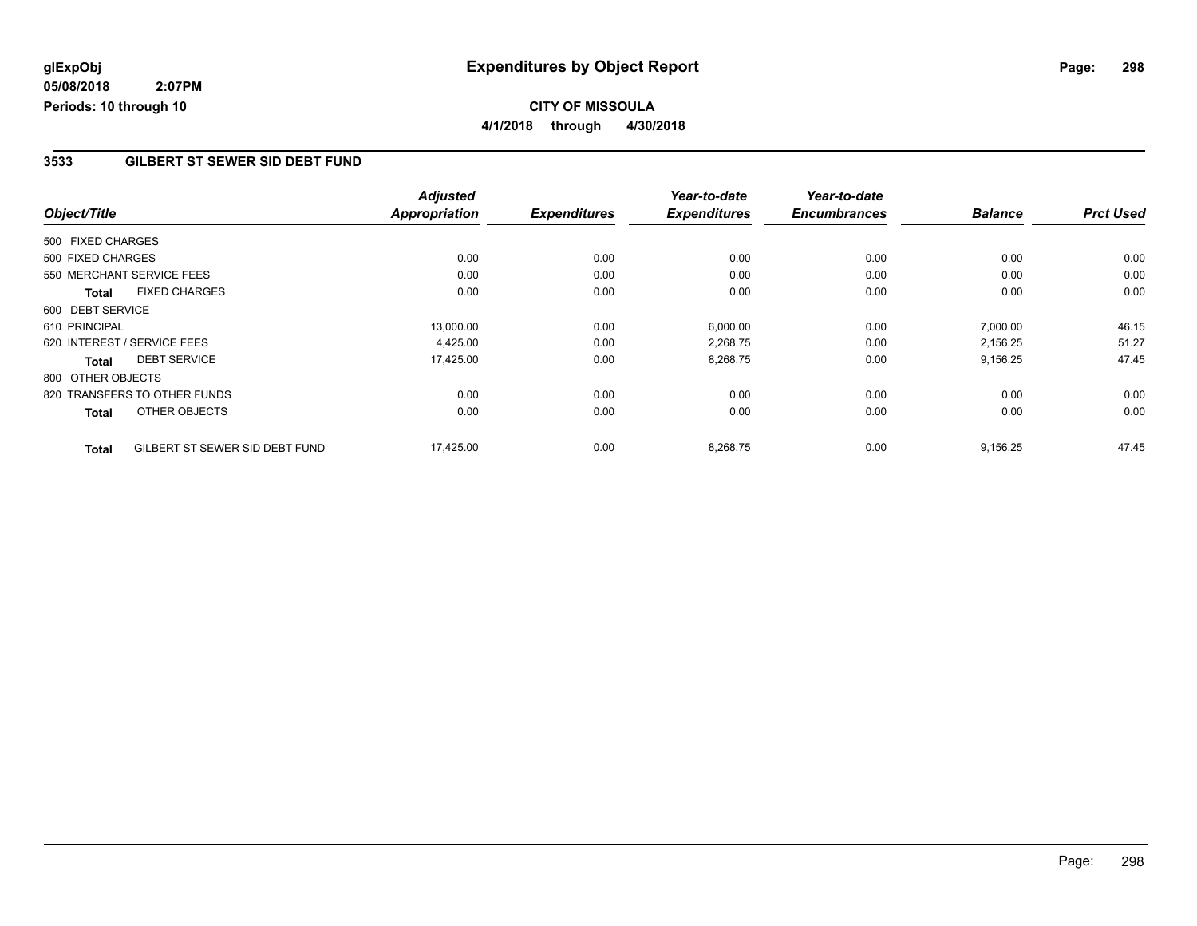**CITY OF MISSOULA 4/1/2018 through 4/30/2018**

#### **3533 GILBERT ST SEWER SID DEBT FUND**

|                   |                                | <b>Adjusted</b>      |                     | Year-to-date        | Year-to-date        |                |                  |
|-------------------|--------------------------------|----------------------|---------------------|---------------------|---------------------|----------------|------------------|
| Object/Title      |                                | <b>Appropriation</b> | <b>Expenditures</b> | <b>Expenditures</b> | <b>Encumbrances</b> | <b>Balance</b> | <b>Prct Used</b> |
| 500 FIXED CHARGES |                                |                      |                     |                     |                     |                |                  |
| 500 FIXED CHARGES |                                | 0.00                 | 0.00                | 0.00                | 0.00                | 0.00           | 0.00             |
|                   | 550 MERCHANT SERVICE FEES      | 0.00                 | 0.00                | 0.00                | 0.00                | 0.00           | 0.00             |
| <b>Total</b>      | <b>FIXED CHARGES</b>           | 0.00                 | 0.00                | 0.00                | 0.00                | 0.00           | 0.00             |
| 600 DEBT SERVICE  |                                |                      |                     |                     |                     |                |                  |
| 610 PRINCIPAL     |                                | 13,000.00            | 0.00                | 6,000.00            | 0.00                | 7,000.00       | 46.15            |
|                   | 620 INTEREST / SERVICE FEES    | 4,425.00             | 0.00                | 2,268.75            | 0.00                | 2,156.25       | 51.27            |
| <b>Total</b>      | <b>DEBT SERVICE</b>            | 17,425.00            | 0.00                | 8,268.75            | 0.00                | 9,156.25       | 47.45            |
| 800 OTHER OBJECTS |                                |                      |                     |                     |                     |                |                  |
|                   | 820 TRANSFERS TO OTHER FUNDS   | 0.00                 | 0.00                | 0.00                | 0.00                | 0.00           | 0.00             |
| <b>Total</b>      | OTHER OBJECTS                  | 0.00                 | 0.00                | 0.00                | 0.00                | 0.00           | 0.00             |
| <b>Total</b>      | GILBERT ST SEWER SID DEBT FUND | 17,425.00            | 0.00                | 8,268.75            | 0.00                | 9,156.25       | 47.45            |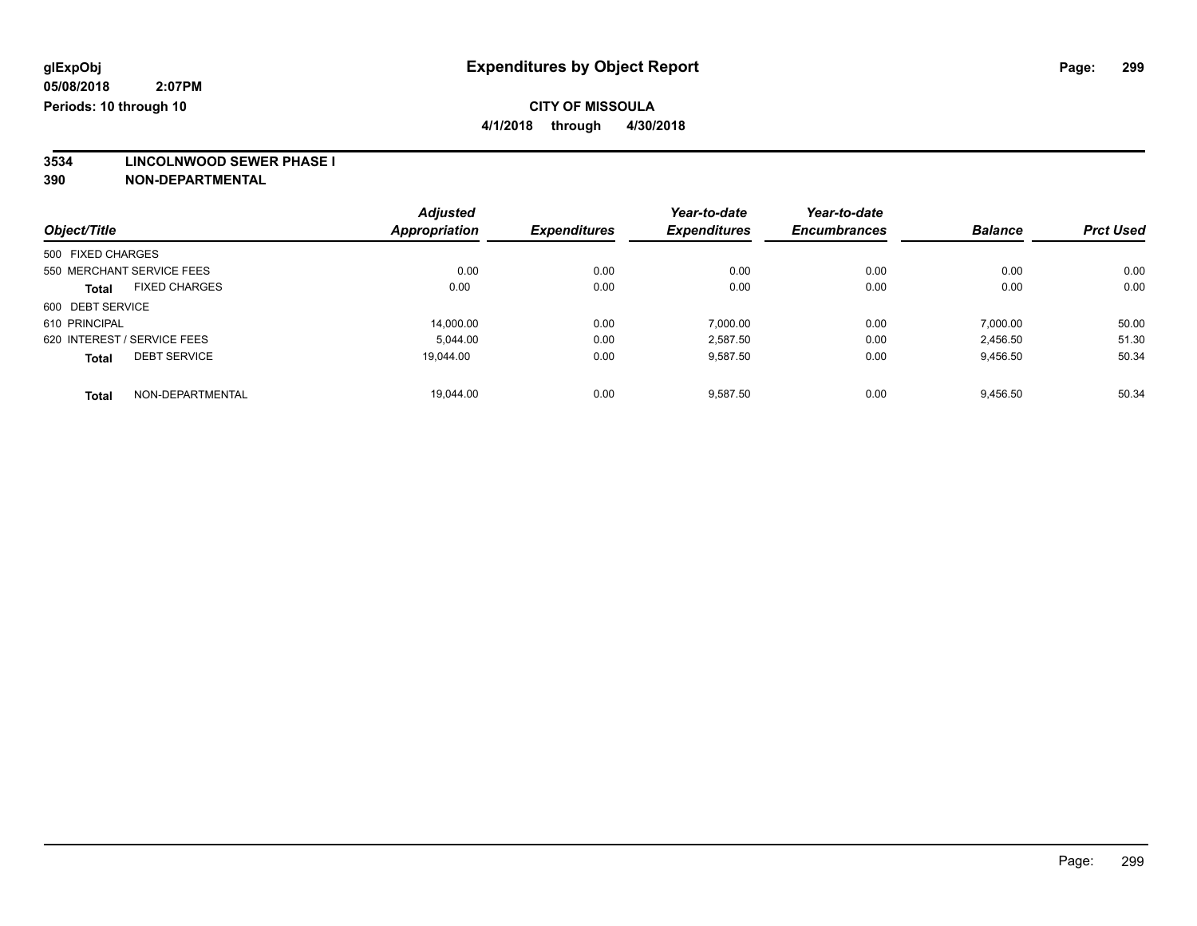**3534 LINCOLNWOOD SEWER PHASE I**

|                                      | <b>Adjusted</b>      |                     | Year-to-date        | Year-to-date        |                |                  |
|--------------------------------------|----------------------|---------------------|---------------------|---------------------|----------------|------------------|
| Object/Title                         | <b>Appropriation</b> | <b>Expenditures</b> | <b>Expenditures</b> | <b>Encumbrances</b> | <b>Balance</b> | <b>Prct Used</b> |
| 500 FIXED CHARGES                    |                      |                     |                     |                     |                |                  |
| 550 MERCHANT SERVICE FEES            | 0.00                 | 0.00                | 0.00                | 0.00                | 0.00           | 0.00             |
| <b>FIXED CHARGES</b><br><b>Total</b> | 0.00                 | 0.00                | 0.00                | 0.00                | 0.00           | 0.00             |
| 600 DEBT SERVICE                     |                      |                     |                     |                     |                |                  |
| 610 PRINCIPAL                        | 14.000.00            | 0.00                | 7.000.00            | 0.00                | 7.000.00       | 50.00            |
| 620 INTEREST / SERVICE FEES          | 5.044.00             | 0.00                | 2,587.50            | 0.00                | 2,456.50       | 51.30            |
| <b>DEBT SERVICE</b><br><b>Total</b>  | 19.044.00            | 0.00                | 9,587.50            | 0.00                | 9,456.50       | 50.34            |
| NON-DEPARTMENTAL<br><b>Total</b>     | 19.044.00            | 0.00                | 9.587.50            | 0.00                | 9.456.50       | 50.34            |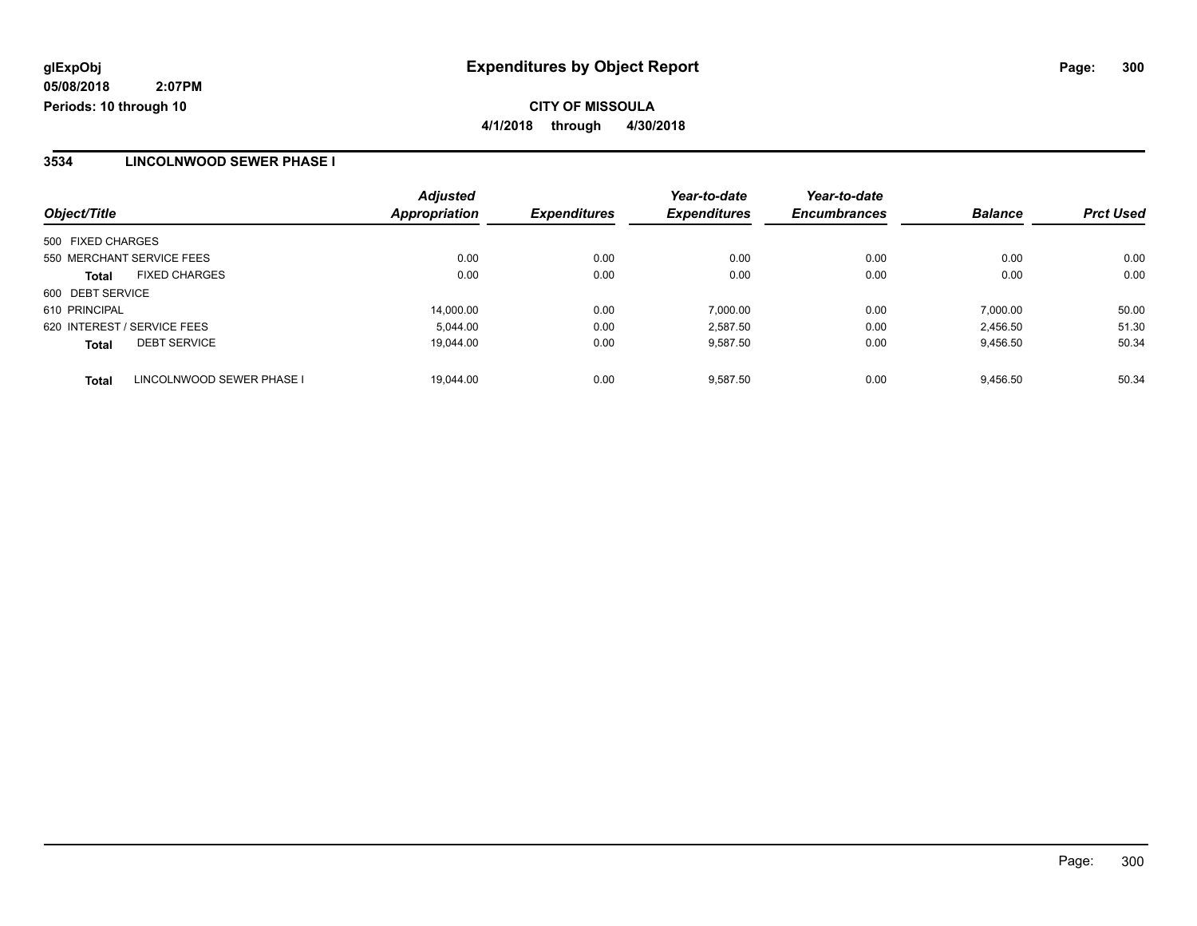**4/1/2018 through 4/30/2018**

#### **3534 LINCOLNWOOD SEWER PHASE I**

| Object/Title                              | <b>Adjusted</b><br>Appropriation | <b>Expenditures</b> | Year-to-date<br><b>Expenditures</b> | Year-to-date<br><b>Encumbrances</b> | <b>Balance</b> | <b>Prct Used</b> |
|-------------------------------------------|----------------------------------|---------------------|-------------------------------------|-------------------------------------|----------------|------------------|
|                                           |                                  |                     |                                     |                                     |                |                  |
| 500 FIXED CHARGES                         |                                  |                     |                                     |                                     |                |                  |
| 550 MERCHANT SERVICE FEES                 | 0.00                             | 0.00                | 0.00                                | 0.00                                | 0.00           | 0.00             |
| <b>FIXED CHARGES</b><br><b>Total</b>      | 0.00                             | 0.00                | 0.00                                | 0.00                                | 0.00           | 0.00             |
| 600 DEBT SERVICE                          |                                  |                     |                                     |                                     |                |                  |
| 610 PRINCIPAL                             | 14,000.00                        | 0.00                | 7.000.00                            | 0.00                                | 7.000.00       | 50.00            |
| 620 INTEREST / SERVICE FEES               | 5,044.00                         | 0.00                | 2,587.50                            | 0.00                                | 2.456.50       | 51.30            |
| <b>DEBT SERVICE</b><br><b>Total</b>       | 19,044.00                        | 0.00                | 9,587.50                            | 0.00                                | 9,456.50       | 50.34            |
| LINCOLNWOOD SEWER PHASE I<br><b>Total</b> | 19.044.00                        | 0.00                | 9.587.50                            | 0.00                                | 9.456.50       | 50.34            |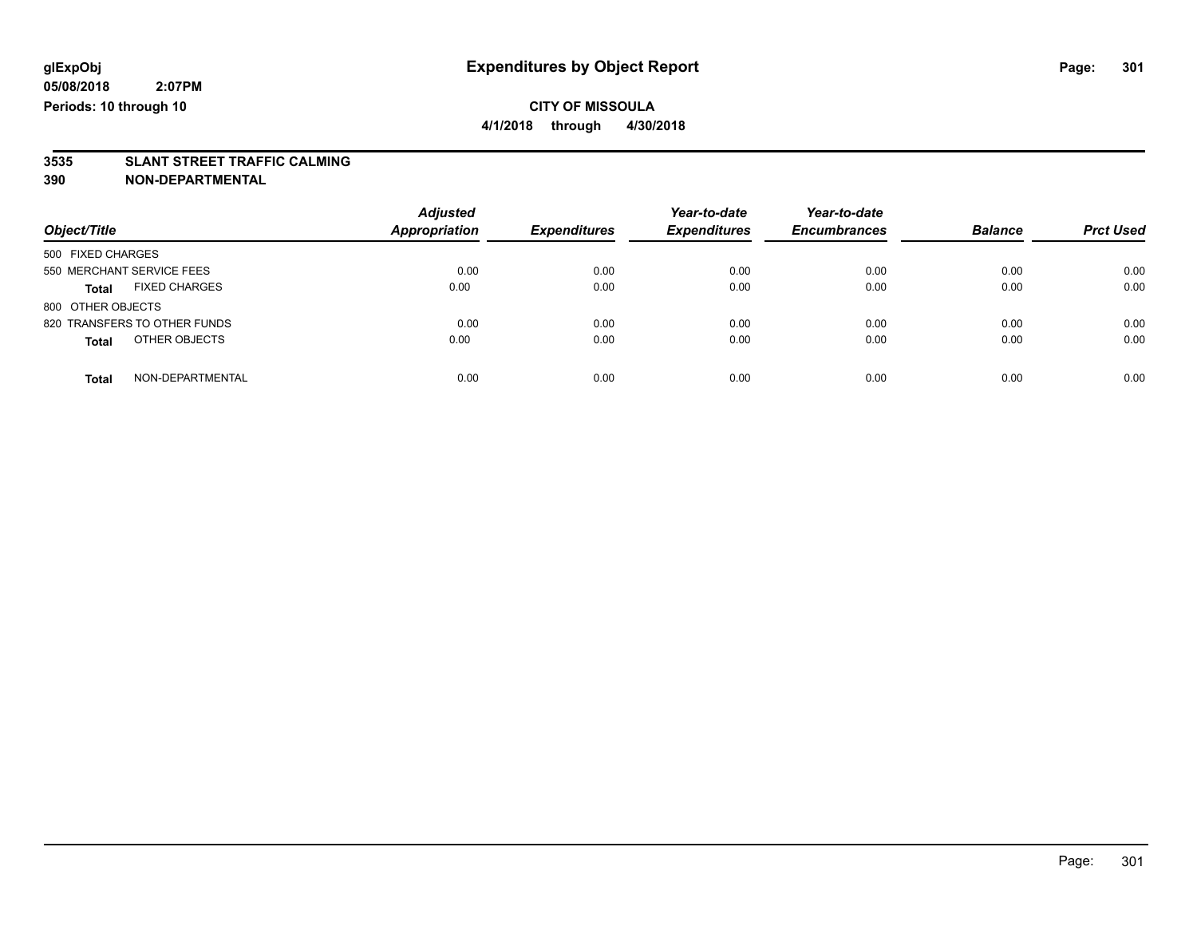# **3535 SLANT STREET TRAFFIC CALMING**

| Object/Title                         | <b>Adjusted</b><br><b>Appropriation</b> | <b>Expenditures</b> | Year-to-date<br><b>Expenditures</b> | Year-to-date<br><b>Encumbrances</b> | <b>Balance</b> | <b>Prct Used</b> |
|--------------------------------------|-----------------------------------------|---------------------|-------------------------------------|-------------------------------------|----------------|------------------|
| 500 FIXED CHARGES                    |                                         |                     |                                     |                                     |                |                  |
| 550 MERCHANT SERVICE FEES            | 0.00                                    | 0.00                | 0.00                                | 0.00                                | 0.00           | 0.00             |
| <b>FIXED CHARGES</b><br><b>Total</b> | 0.00                                    | 0.00                | 0.00                                | 0.00                                | 0.00           | 0.00             |
| 800 OTHER OBJECTS                    |                                         |                     |                                     |                                     |                |                  |
| 820 TRANSFERS TO OTHER FUNDS         | 0.00                                    | 0.00                | 0.00                                | 0.00                                | 0.00           | 0.00             |
| OTHER OBJECTS<br><b>Total</b>        | 0.00                                    | 0.00                | 0.00                                | 0.00                                | 0.00           | 0.00             |
| NON-DEPARTMENTAL<br>Total            | 0.00                                    | 0.00                | 0.00                                | 0.00                                | 0.00           | 0.00             |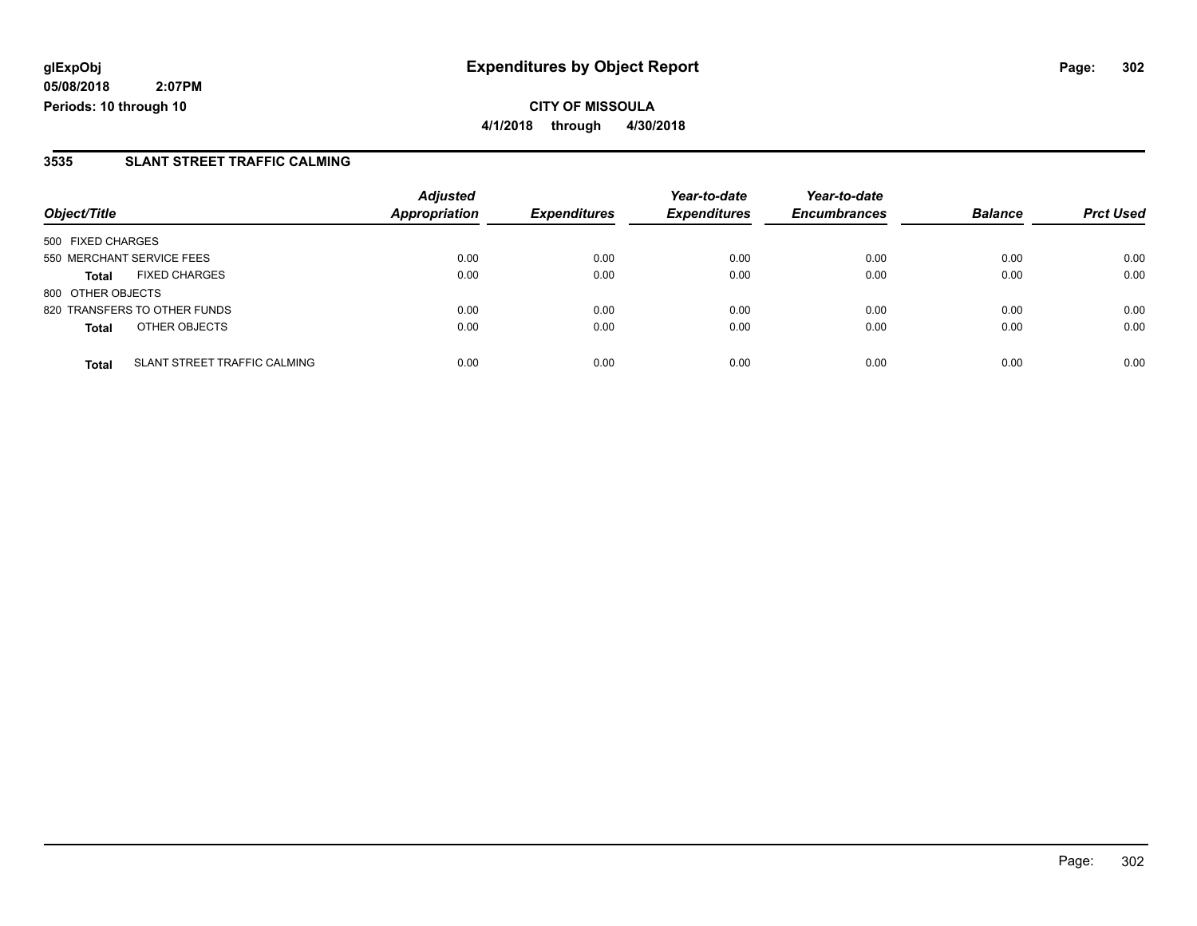**CITY OF MISSOULA 4/1/2018 through 4/30/2018**

#### **3535 SLANT STREET TRAFFIC CALMING**

|                              |                                     | <b>Adjusted</b>      |                     | Year-to-date        | Year-to-date        |                |                  |
|------------------------------|-------------------------------------|----------------------|---------------------|---------------------|---------------------|----------------|------------------|
| Object/Title                 |                                     | <b>Appropriation</b> | <b>Expenditures</b> | <b>Expenditures</b> | <b>Encumbrances</b> | <b>Balance</b> | <b>Prct Used</b> |
| 500 FIXED CHARGES            |                                     |                      |                     |                     |                     |                |                  |
| 550 MERCHANT SERVICE FEES    |                                     | 0.00                 | 0.00                | 0.00                | 0.00                | 0.00           | 0.00             |
| <b>Total</b>                 | <b>FIXED CHARGES</b>                | 0.00                 | 0.00                | 0.00                | 0.00                | 0.00           | 0.00             |
| 800 OTHER OBJECTS            |                                     |                      |                     |                     |                     |                |                  |
| 820 TRANSFERS TO OTHER FUNDS |                                     | 0.00                 | 0.00                | 0.00                | 0.00                | 0.00           | 0.00             |
| <b>Total</b>                 | OTHER OBJECTS                       | 0.00                 | 0.00                | 0.00                | 0.00                | 0.00           | 0.00             |
| <b>Total</b>                 | <b>SLANT STREET TRAFFIC CALMING</b> | 0.00                 | 0.00                | 0.00                | 0.00                | 0.00           | 0.00             |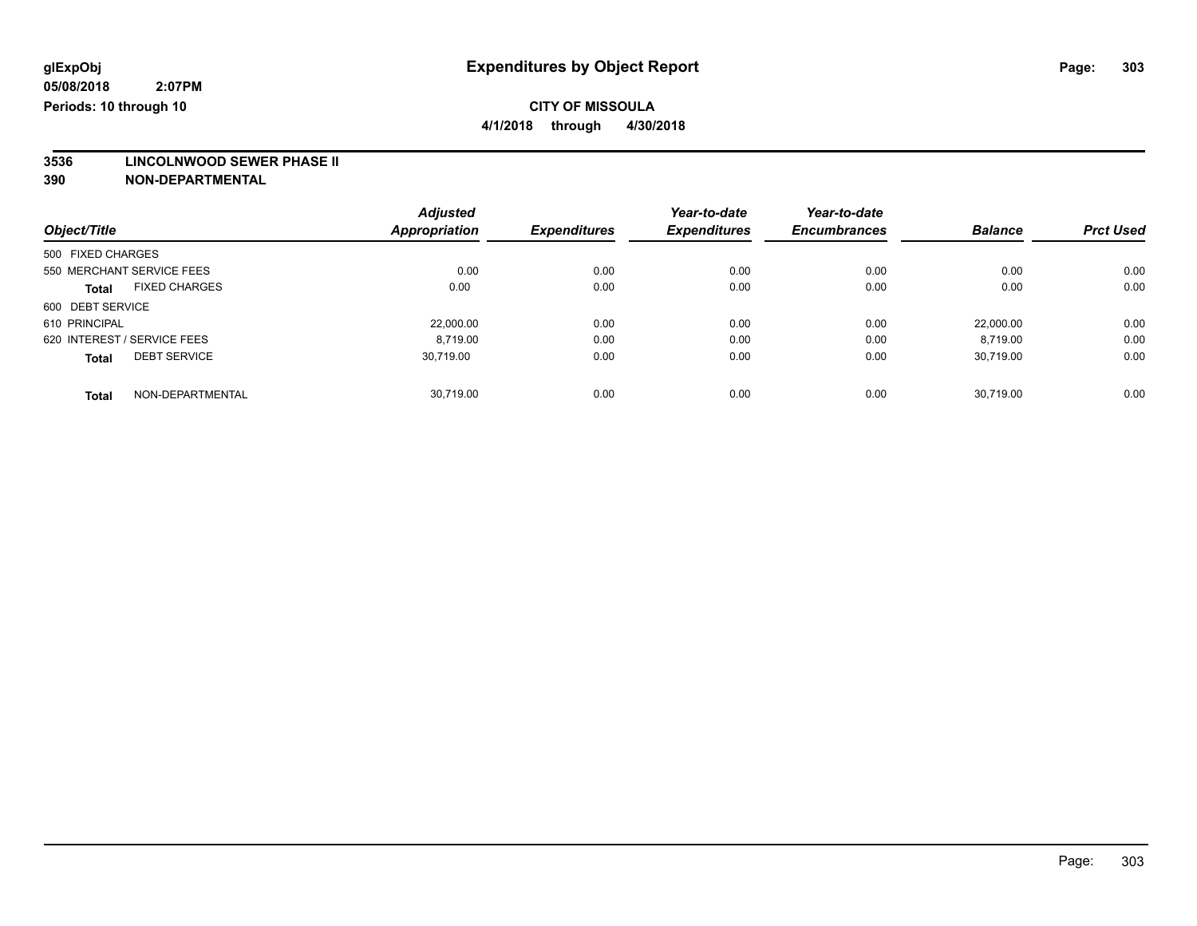# **3536 LINCOLNWOOD SEWER PHASE II**

|                                      | <b>Adjusted</b><br><b>Appropriation</b> |                     | Year-to-date        | Year-to-date        | <b>Balance</b> | <b>Prct Used</b> |
|--------------------------------------|-----------------------------------------|---------------------|---------------------|---------------------|----------------|------------------|
| Object/Title                         |                                         | <b>Expenditures</b> | <b>Expenditures</b> | <b>Encumbrances</b> |                |                  |
| 500 FIXED CHARGES                    |                                         |                     |                     |                     |                |                  |
| 550 MERCHANT SERVICE FEES            | 0.00                                    | 0.00                | 0.00                | 0.00                | 0.00           | 0.00             |
| <b>FIXED CHARGES</b><br><b>Total</b> | 0.00                                    | 0.00                | 0.00                | 0.00                | 0.00           | 0.00             |
| 600 DEBT SERVICE                     |                                         |                     |                     |                     |                |                  |
| 610 PRINCIPAL                        | 22,000.00                               | 0.00                | 0.00                | 0.00                | 22,000.00      | 0.00             |
| 620 INTEREST / SERVICE FEES          | 8.719.00                                | 0.00                | 0.00                | 0.00                | 8.719.00       | 0.00             |
| <b>DEBT SERVICE</b><br><b>Total</b>  | 30.719.00                               | 0.00                | 0.00                | 0.00                | 30.719.00      | 0.00             |
| NON-DEPARTMENTAL<br><b>Total</b>     | 30.719.00                               | 0.00                | 0.00                | 0.00                | 30.719.00      | 0.00             |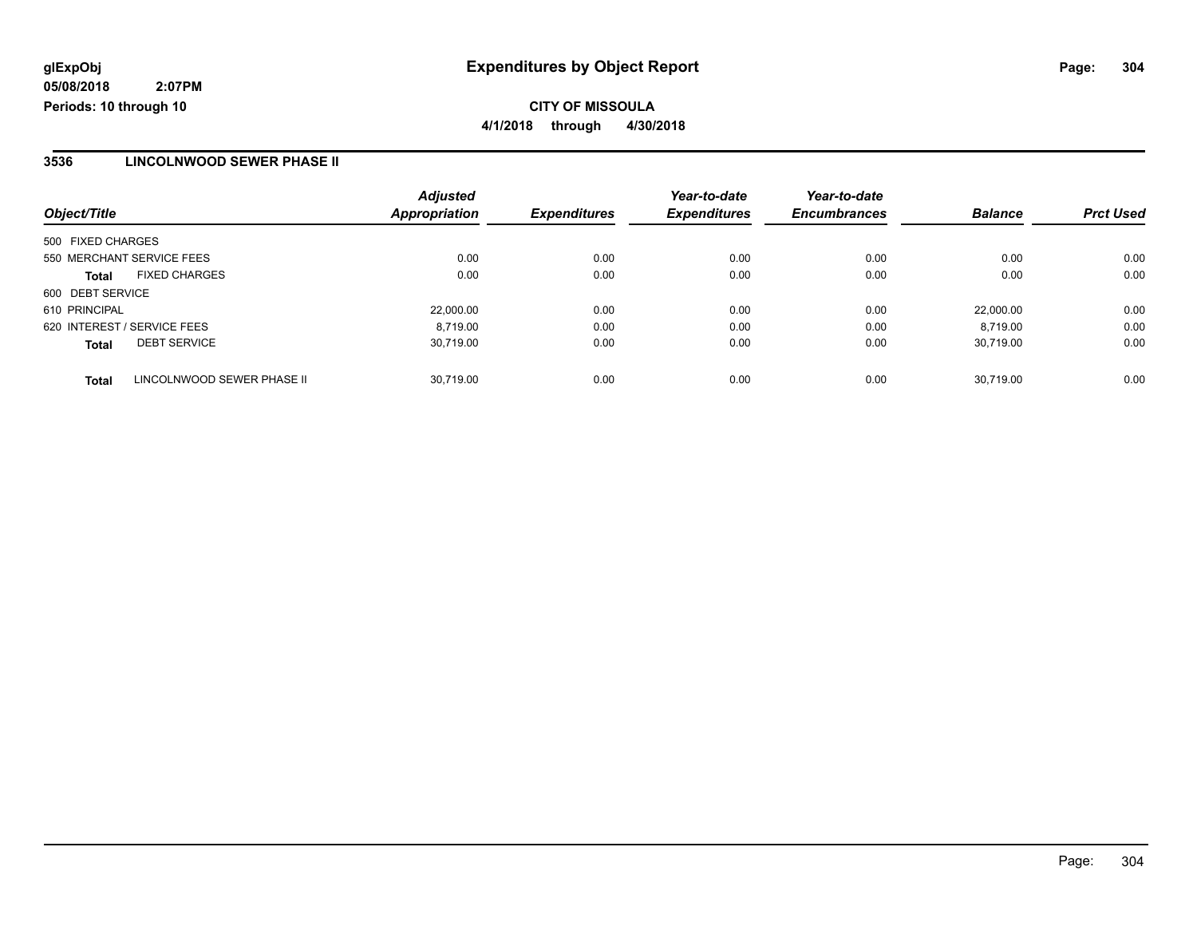## **CITY OF MISSOULA 4/1/2018 through 4/30/2018**

#### **3536 LINCOLNWOOD SEWER PHASE II**

| Object/Title                               | <b>Adjusted</b><br><b>Appropriation</b> | <b>Expenditures</b> | Year-to-date<br><b>Expenditures</b> | Year-to-date<br><b>Encumbrances</b> | <b>Balance</b> | <b>Prct Used</b> |
|--------------------------------------------|-----------------------------------------|---------------------|-------------------------------------|-------------------------------------|----------------|------------------|
| 500 FIXED CHARGES                          |                                         |                     |                                     |                                     |                |                  |
| 550 MERCHANT SERVICE FEES                  | 0.00                                    | 0.00                | 0.00                                | 0.00                                | 0.00           | 0.00             |
| <b>FIXED CHARGES</b><br><b>Total</b>       | 0.00                                    | 0.00                | 0.00                                | 0.00                                | 0.00           | 0.00             |
| 600 DEBT SERVICE                           |                                         |                     |                                     |                                     |                |                  |
| 610 PRINCIPAL                              | 22,000.00                               | 0.00                | 0.00                                | 0.00                                | 22.000.00      | 0.00             |
| 620 INTEREST / SERVICE FEES                | 8.719.00                                | 0.00                | 0.00                                | 0.00                                | 8.719.00       | 0.00             |
| <b>DEBT SERVICE</b><br><b>Total</b>        | 30.719.00                               | 0.00                | 0.00                                | 0.00                                | 30.719.00      | 0.00             |
| LINCOLNWOOD SEWER PHASE II<br><b>Total</b> | 30.719.00                               | 0.00                | 0.00                                | 0.00                                | 30.719.00      | 0.00             |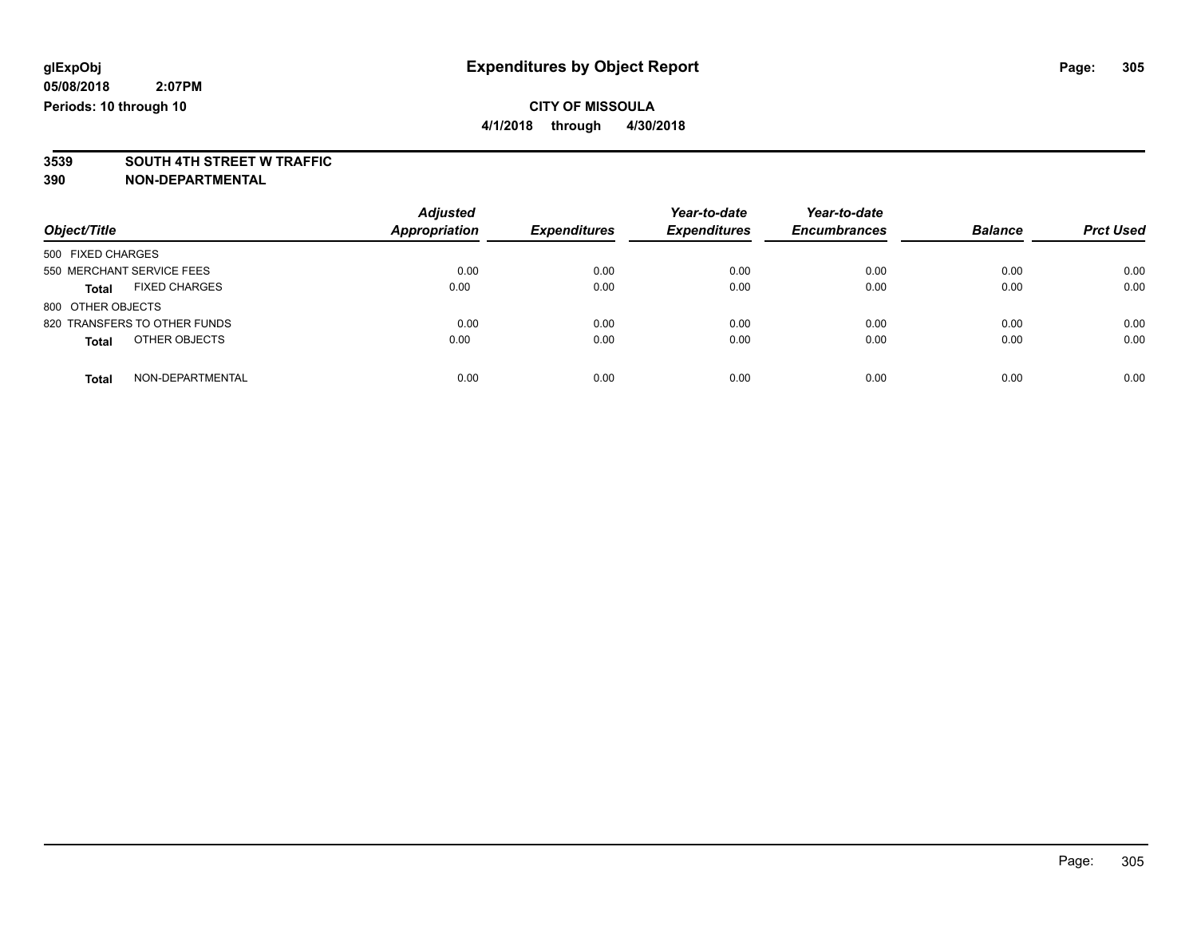# **3539 SOUTH 4TH STREET W TRAFFIC**

| Object/Title                  | <b>Adjusted</b><br>Appropriation | <b>Expenditures</b> | Year-to-date<br><b>Expenditures</b> | Year-to-date<br><b>Encumbrances</b> | <b>Balance</b> | <b>Prct Used</b> |
|-------------------------------|----------------------------------|---------------------|-------------------------------------|-------------------------------------|----------------|------------------|
| 500 FIXED CHARGES             |                                  |                     |                                     |                                     |                |                  |
| 550 MERCHANT SERVICE FEES     | 0.00                             | 0.00                | 0.00                                | 0.00                                | 0.00           | 0.00             |
| <b>FIXED CHARGES</b><br>Total | 0.00                             | 0.00                | 0.00                                | 0.00                                | 0.00           | 0.00             |
| 800 OTHER OBJECTS             |                                  |                     |                                     |                                     |                |                  |
| 820 TRANSFERS TO OTHER FUNDS  | 0.00                             | 0.00                | 0.00                                | 0.00                                | 0.00           | 0.00             |
| OTHER OBJECTS<br><b>Total</b> | 0.00                             | 0.00                | 0.00                                | 0.00                                | 0.00           | 0.00             |
| NON-DEPARTMENTAL<br>Total     | 0.00                             | 0.00                | 0.00                                | 0.00                                | 0.00           | 0.00             |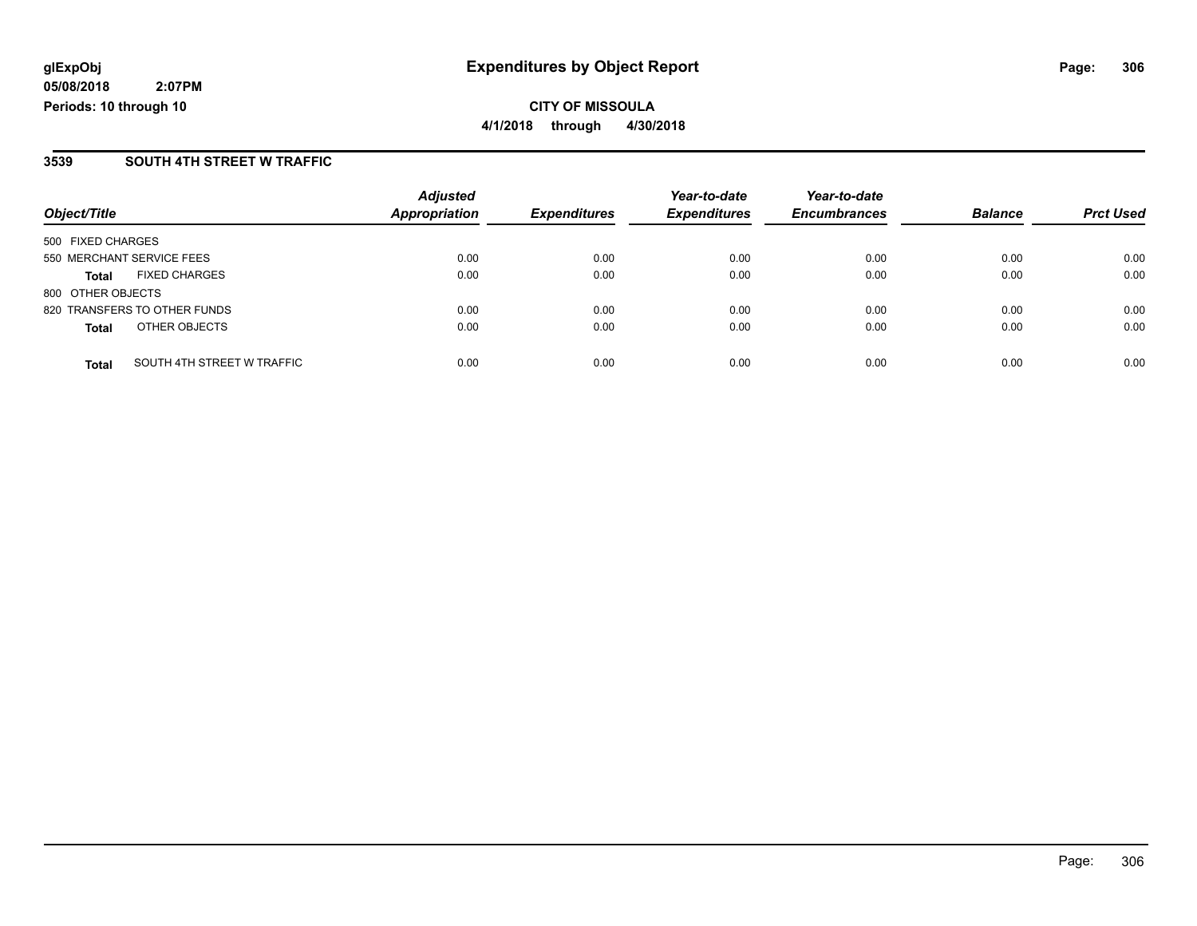**CITY OF MISSOULA 4/1/2018 through 4/30/2018**

#### **3539 SOUTH 4TH STREET W TRAFFIC**

|                           |                              | <b>Adjusted</b>      |                     | Year-to-date        | Year-to-date<br><b>Encumbrances</b> | <b>Balance</b> | <b>Prct Used</b> |
|---------------------------|------------------------------|----------------------|---------------------|---------------------|-------------------------------------|----------------|------------------|
| Object/Title              |                              | <b>Appropriation</b> | <b>Expenditures</b> | <b>Expenditures</b> |                                     |                |                  |
| 500 FIXED CHARGES         |                              |                      |                     |                     |                                     |                |                  |
| 550 MERCHANT SERVICE FEES |                              | 0.00                 | 0.00                | 0.00                | 0.00                                | 0.00           | 0.00             |
| <b>Total</b>              | <b>FIXED CHARGES</b>         | 0.00                 | 0.00                | 0.00                | 0.00                                | 0.00           | 0.00             |
| 800 OTHER OBJECTS         |                              |                      |                     |                     |                                     |                |                  |
|                           | 820 TRANSFERS TO OTHER FUNDS | 0.00                 | 0.00                | 0.00                | 0.00                                | 0.00           | 0.00             |
| <b>Total</b>              | OTHER OBJECTS                | 0.00                 | 0.00                | 0.00                | 0.00                                | 0.00           | 0.00             |
| <b>Total</b>              | SOUTH 4TH STREET W TRAFFIC   | 0.00                 | 0.00                | 0.00                | 0.00                                | 0.00           | 0.00             |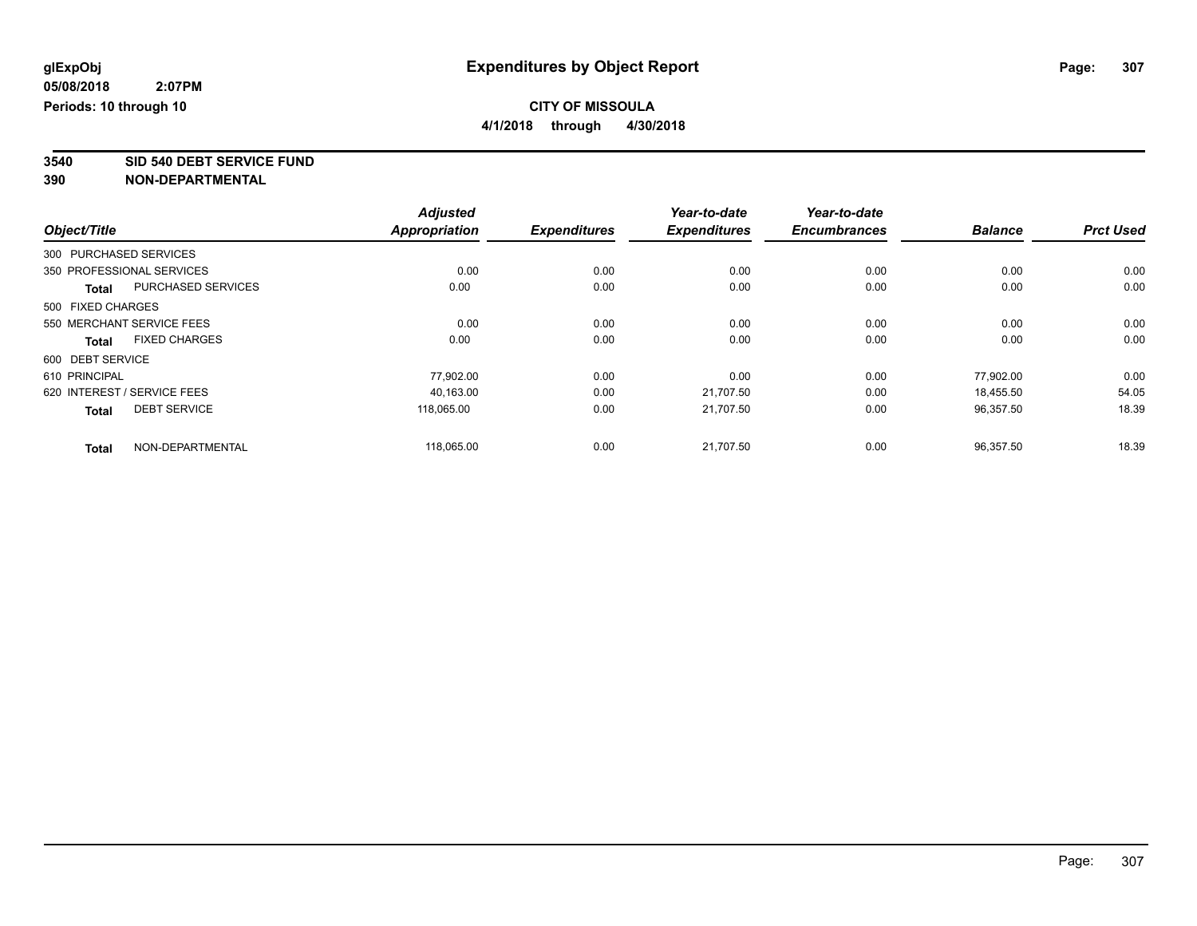**3540 SID 540 DEBT SERVICE FUND**

|                             |                           | <b>Adjusted</b>      |                     | Year-to-date        | Year-to-date        |                |                  |
|-----------------------------|---------------------------|----------------------|---------------------|---------------------|---------------------|----------------|------------------|
| Object/Title                |                           | <b>Appropriation</b> | <b>Expenditures</b> | <b>Expenditures</b> | <b>Encumbrances</b> | <b>Balance</b> | <b>Prct Used</b> |
| 300 PURCHASED SERVICES      |                           |                      |                     |                     |                     |                |                  |
| 350 PROFESSIONAL SERVICES   |                           | 0.00                 | 0.00                | 0.00                | 0.00                | 0.00           | 0.00             |
| <b>Total</b>                | <b>PURCHASED SERVICES</b> | 0.00                 | 0.00                | 0.00                | 0.00                | 0.00           | 0.00             |
| 500 FIXED CHARGES           |                           |                      |                     |                     |                     |                |                  |
| 550 MERCHANT SERVICE FEES   |                           | 0.00                 | 0.00                | 0.00                | 0.00                | 0.00           | 0.00             |
| <b>Total</b>                | <b>FIXED CHARGES</b>      | 0.00                 | 0.00                | 0.00                | 0.00                | 0.00           | 0.00             |
| 600 DEBT SERVICE            |                           |                      |                     |                     |                     |                |                  |
| 610 PRINCIPAL               |                           | 77,902.00            | 0.00                | 0.00                | 0.00                | 77,902.00      | 0.00             |
| 620 INTEREST / SERVICE FEES |                           | 40,163.00            | 0.00                | 21,707.50           | 0.00                | 18,455.50      | 54.05            |
| <b>Total</b>                | <b>DEBT SERVICE</b>       | 118.065.00           | 0.00                | 21.707.50           | 0.00                | 96,357.50      | 18.39            |
| <b>Total</b>                | NON-DEPARTMENTAL          | 118,065.00           | 0.00                | 21,707.50           | 0.00                | 96,357.50      | 18.39            |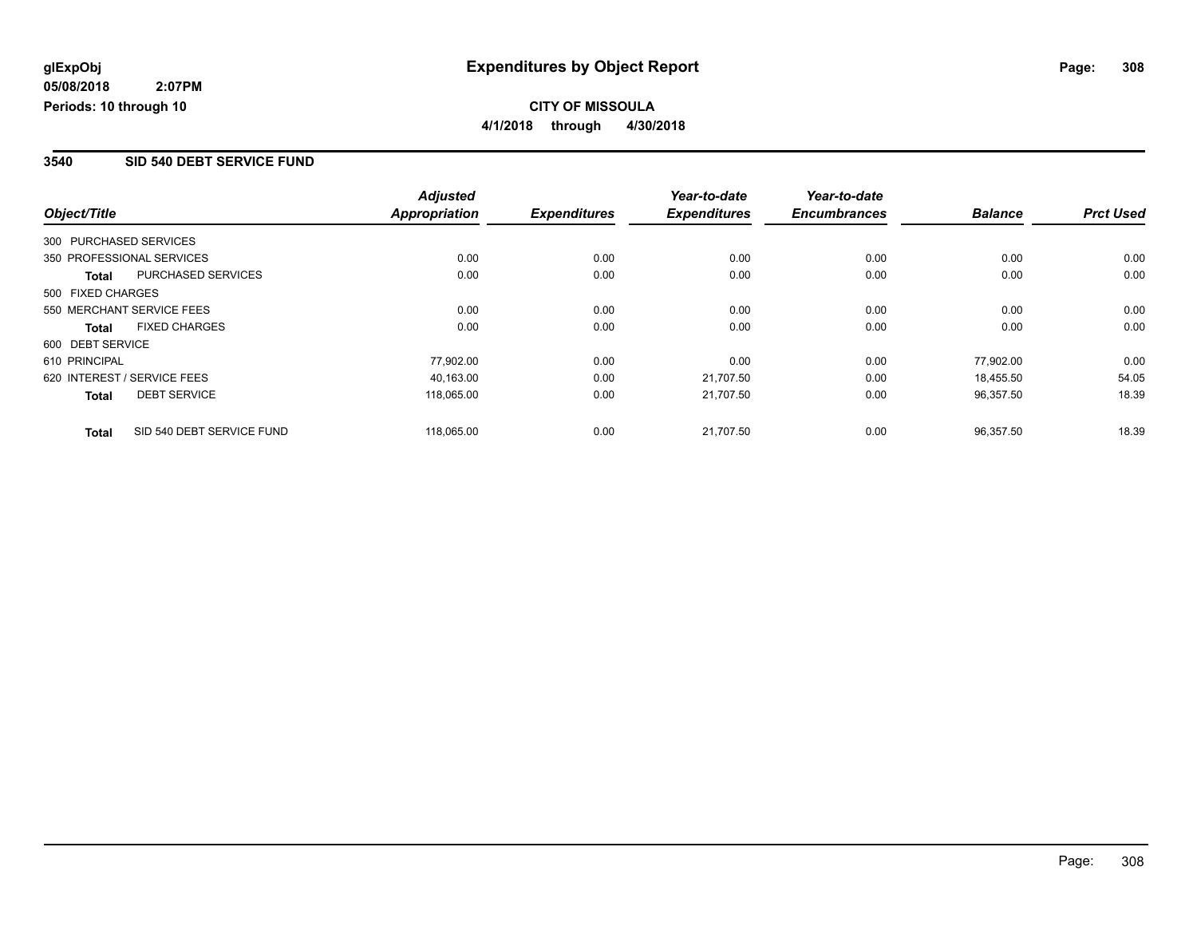#### **3540 SID 540 DEBT SERVICE FUND**

|                             |                           | <b>Adjusted</b> |                     | Year-to-date        | Year-to-date        |                |                  |
|-----------------------------|---------------------------|-----------------|---------------------|---------------------|---------------------|----------------|------------------|
| Object/Title                |                           | Appropriation   | <b>Expenditures</b> | <b>Expenditures</b> | <b>Encumbrances</b> | <b>Balance</b> | <b>Prct Used</b> |
| 300 PURCHASED SERVICES      |                           |                 |                     |                     |                     |                |                  |
| 350 PROFESSIONAL SERVICES   |                           | 0.00            | 0.00                | 0.00                | 0.00                | 0.00           | 0.00             |
| Total                       | PURCHASED SERVICES        | 0.00            | 0.00                | 0.00                | 0.00                | 0.00           | 0.00             |
| 500 FIXED CHARGES           |                           |                 |                     |                     |                     |                |                  |
| 550 MERCHANT SERVICE FEES   |                           | 0.00            | 0.00                | 0.00                | 0.00                | 0.00           | 0.00             |
| Total                       | <b>FIXED CHARGES</b>      | 0.00            | 0.00                | 0.00                | 0.00                | 0.00           | 0.00             |
| 600 DEBT SERVICE            |                           |                 |                     |                     |                     |                |                  |
| 610 PRINCIPAL               |                           | 77.902.00       | 0.00                | 0.00                | 0.00                | 77.902.00      | 0.00             |
| 620 INTEREST / SERVICE FEES |                           | 40.163.00       | 0.00                | 21.707.50           | 0.00                | 18.455.50      | 54.05            |
| <b>Total</b>                | <b>DEBT SERVICE</b>       | 118,065.00      | 0.00                | 21.707.50           | 0.00                | 96,357.50      | 18.39            |
| <b>Total</b>                | SID 540 DEBT SERVICE FUND | 118,065.00      | 0.00                | 21.707.50           | 0.00                | 96,357.50      | 18.39            |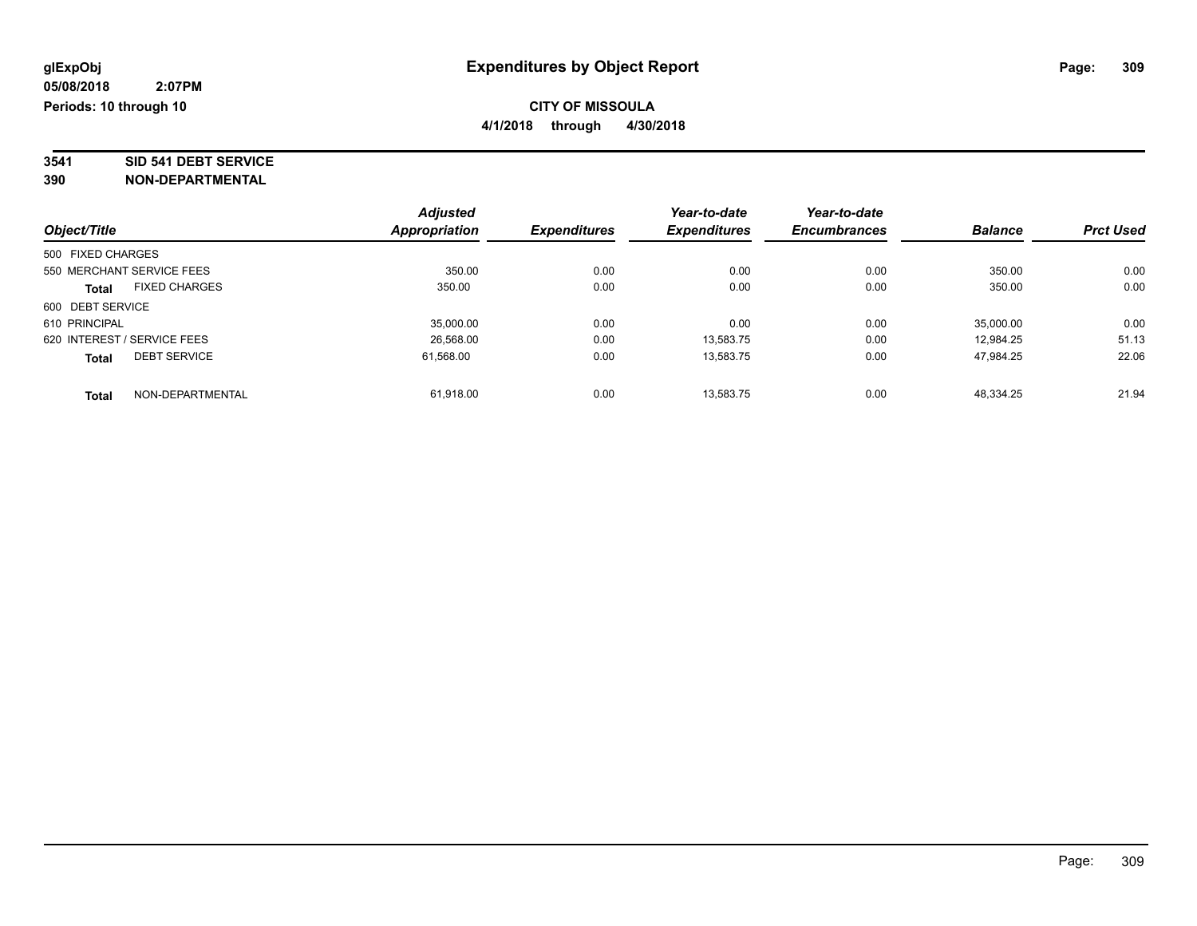# **3541 SID 541 DEBT SERVICE**

|                                      | <b>Adjusted</b> |                     | Year-to-date        | Year-to-date        |                |                  |
|--------------------------------------|-----------------|---------------------|---------------------|---------------------|----------------|------------------|
| Object/Title                         | Appropriation   | <b>Expenditures</b> | <b>Expenditures</b> | <b>Encumbrances</b> | <b>Balance</b> | <b>Prct Used</b> |
| 500 FIXED CHARGES                    |                 |                     |                     |                     |                |                  |
| 550 MERCHANT SERVICE FEES            | 350.00          | 0.00                | 0.00                | 0.00                | 350.00         | 0.00             |
| <b>FIXED CHARGES</b><br><b>Total</b> | 350.00          | 0.00                | 0.00                | 0.00                | 350.00         | 0.00             |
| 600 DEBT SERVICE                     |                 |                     |                     |                     |                |                  |
| 610 PRINCIPAL                        | 35,000.00       | 0.00                | 0.00                | 0.00                | 35,000.00      | 0.00             |
| 620 INTEREST / SERVICE FEES          | 26,568.00       | 0.00                | 13,583.75           | 0.00                | 12.984.25      | 51.13            |
| <b>DEBT SERVICE</b><br><b>Total</b>  | 61,568.00       | 0.00                | 13,583.75           | 0.00                | 47.984.25      | 22.06            |
| NON-DEPARTMENTAL<br><b>Total</b>     | 61.918.00       | 0.00                | 13.583.75           | 0.00                | 48.334.25      | 21.94            |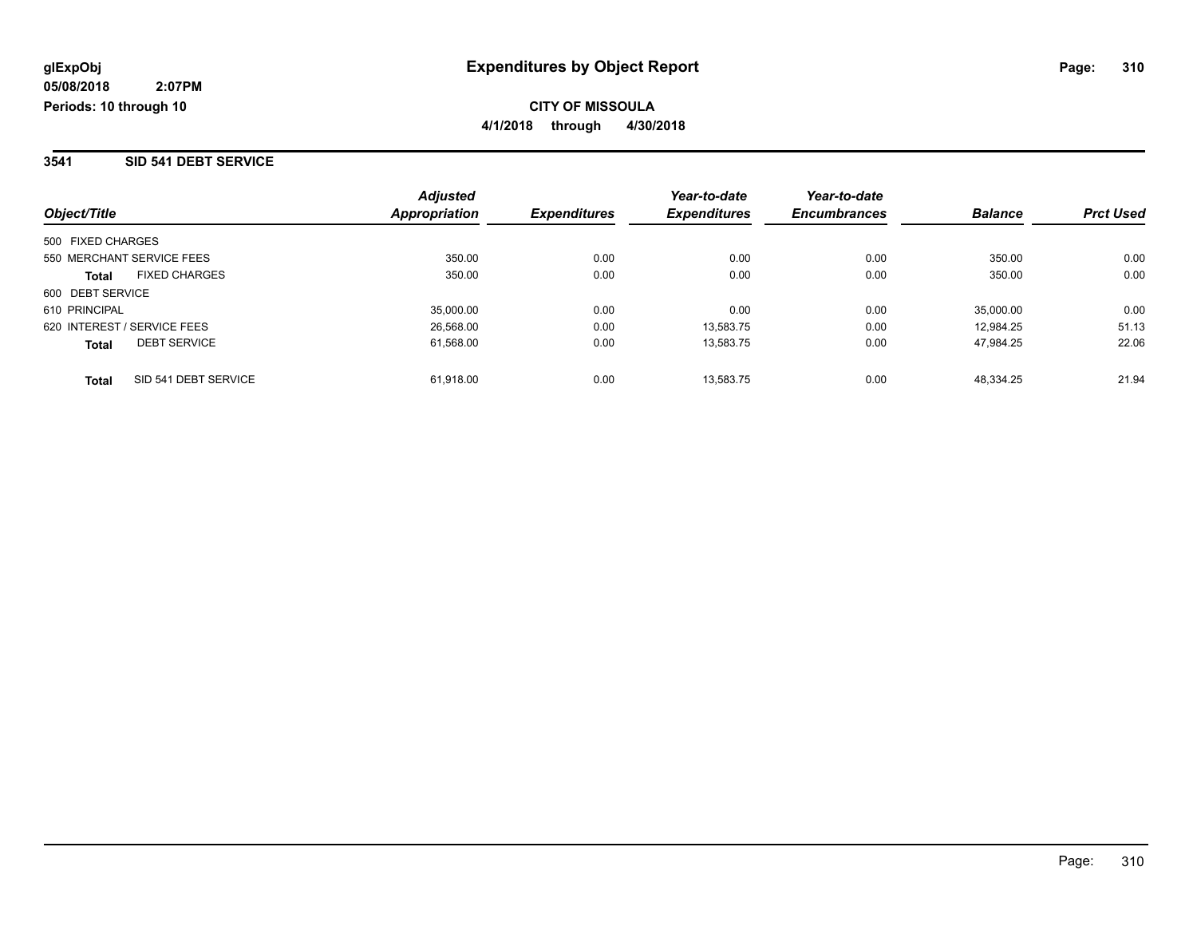#### **3541 SID 541 DEBT SERVICE**

| Object/Title                         | <b>Adjusted</b><br>Appropriation | <b>Expenditures</b> | Year-to-date<br><b>Expenditures</b> | Year-to-date<br><b>Encumbrances</b> | <b>Balance</b> | <b>Prct Used</b> |
|--------------------------------------|----------------------------------|---------------------|-------------------------------------|-------------------------------------|----------------|------------------|
| 500 FIXED CHARGES                    |                                  |                     |                                     |                                     |                |                  |
| 550 MERCHANT SERVICE FEES            | 350.00                           | 0.00                | 0.00                                | 0.00                                | 350.00         | 0.00             |
| <b>FIXED CHARGES</b><br><b>Total</b> | 350.00                           | 0.00                | 0.00                                | 0.00                                | 350.00         | 0.00             |
| 600 DEBT SERVICE                     |                                  |                     |                                     |                                     |                |                  |
| 610 PRINCIPAL                        | 35,000.00                        | 0.00                | 0.00                                | 0.00                                | 35,000.00      | 0.00             |
| 620 INTEREST / SERVICE FEES          | 26,568.00                        | 0.00                | 13.583.75                           | 0.00                                | 12.984.25      | 51.13            |
| <b>DEBT SERVICE</b><br><b>Total</b>  | 61,568.00                        | 0.00                | 13,583.75                           | 0.00                                | 47.984.25      | 22.06            |
| SID 541 DEBT SERVICE<br><b>Total</b> | 61.918.00                        | 0.00                | 13.583.75                           | 0.00                                | 48.334.25      | 21.94            |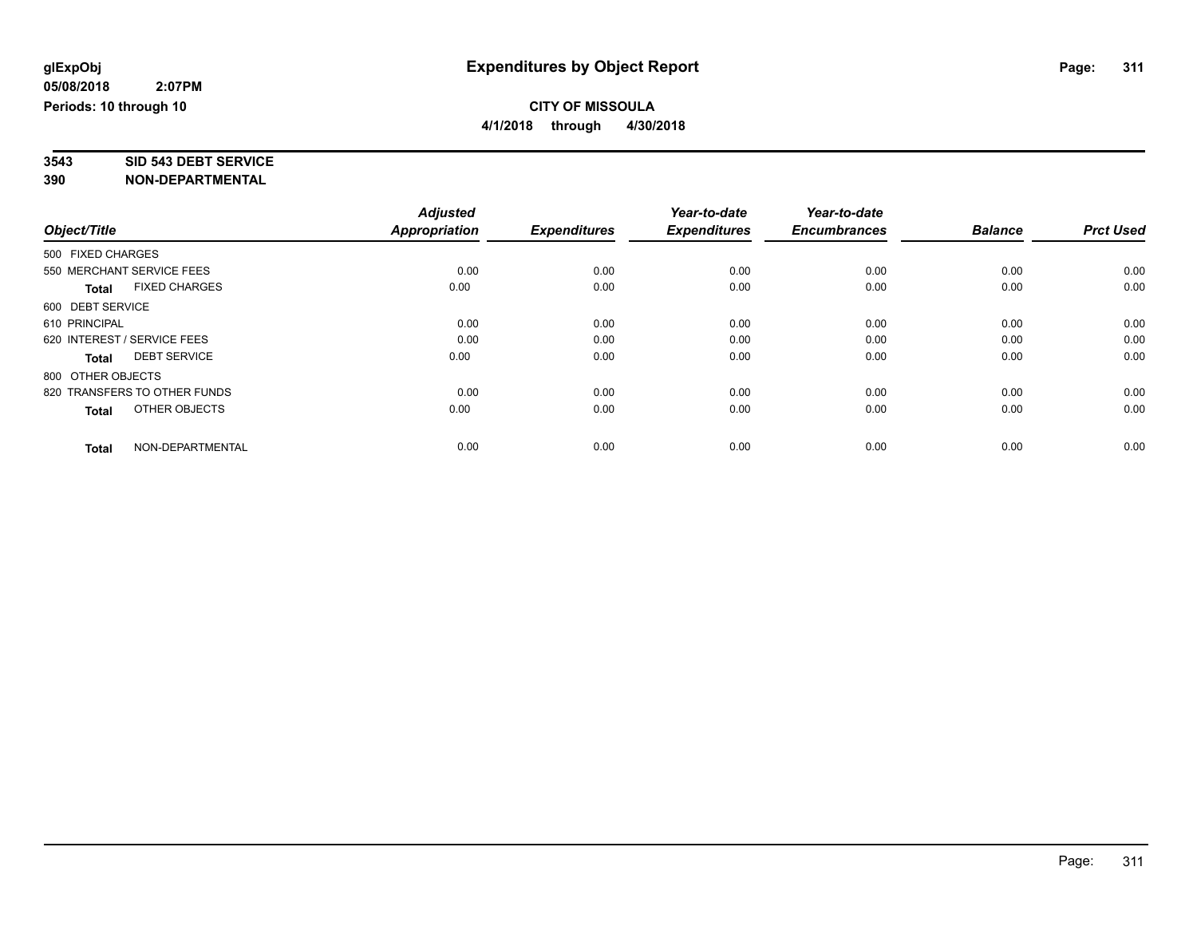# **3543 SID 543 DEBT SERVICE**

|                                      | <b>Adjusted</b> |                     | Year-to-date        | Year-to-date        |                |                  |
|--------------------------------------|-----------------|---------------------|---------------------|---------------------|----------------|------------------|
| Object/Title                         | Appropriation   | <b>Expenditures</b> | <b>Expenditures</b> | <b>Encumbrances</b> | <b>Balance</b> | <b>Prct Used</b> |
| 500 FIXED CHARGES                    |                 |                     |                     |                     |                |                  |
| 550 MERCHANT SERVICE FEES            | 0.00            | 0.00                | 0.00                | 0.00                | 0.00           | 0.00             |
| <b>FIXED CHARGES</b><br><b>Total</b> | 0.00            | 0.00                | 0.00                | 0.00                | 0.00           | 0.00             |
| 600 DEBT SERVICE                     |                 |                     |                     |                     |                |                  |
| 610 PRINCIPAL                        | 0.00            | 0.00                | 0.00                | 0.00                | 0.00           | 0.00             |
| 620 INTEREST / SERVICE FEES          | 0.00            | 0.00                | 0.00                | 0.00                | 0.00           | 0.00             |
| <b>DEBT SERVICE</b><br><b>Total</b>  | 0.00            | 0.00                | 0.00                | 0.00                | 0.00           | 0.00             |
| 800 OTHER OBJECTS                    |                 |                     |                     |                     |                |                  |
| 820 TRANSFERS TO OTHER FUNDS         | 0.00            | 0.00                | 0.00                | 0.00                | 0.00           | 0.00             |
| OTHER OBJECTS<br><b>Total</b>        | 0.00            | 0.00                | 0.00                | 0.00                | 0.00           | 0.00             |
|                                      |                 |                     |                     |                     |                |                  |
| NON-DEPARTMENTAL<br><b>Total</b>     | 0.00            | 0.00                | 0.00                | 0.00                | 0.00           | 0.00             |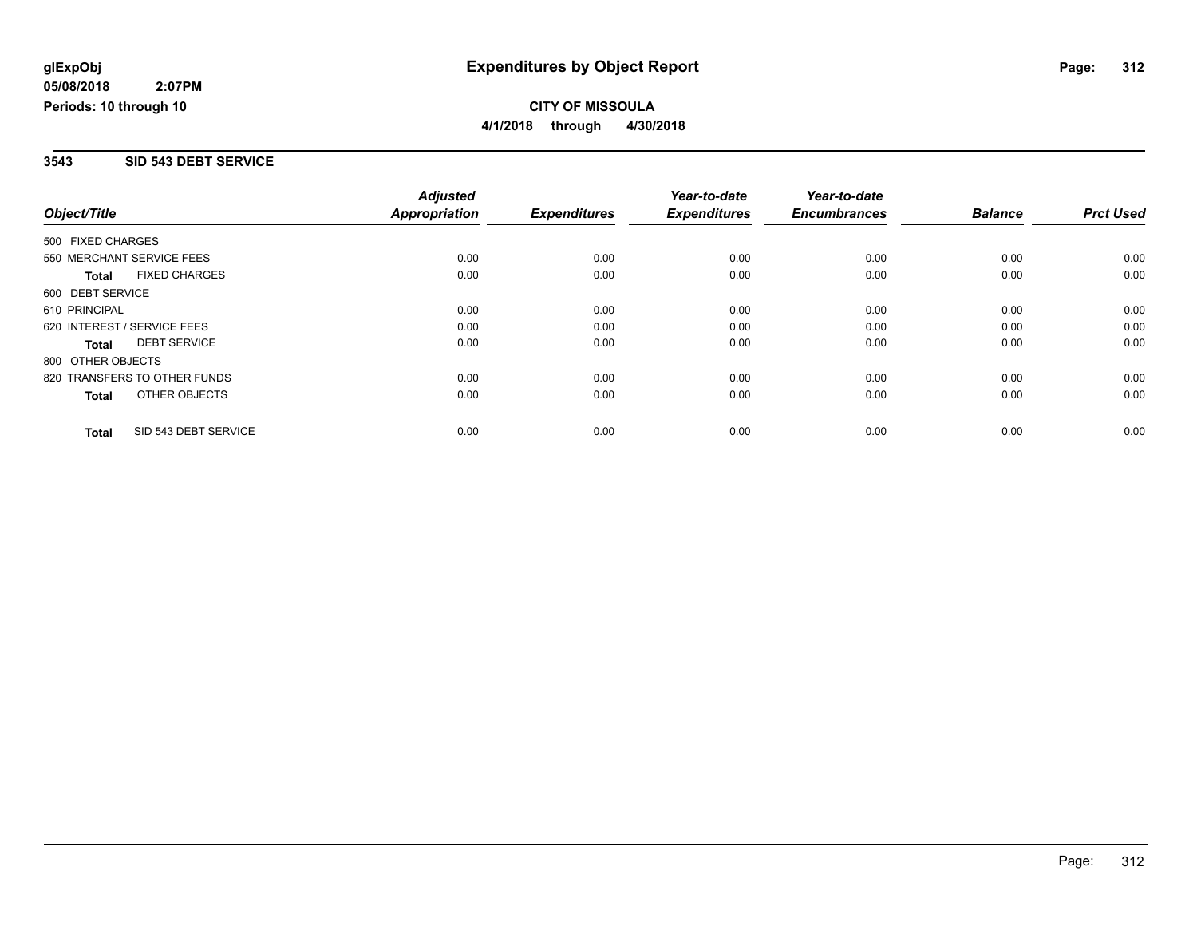#### **3543 SID 543 DEBT SERVICE**

|                   |                              | <b>Adjusted</b>     |                     | Year-to-date        | Year-to-date   |                  |      |
|-------------------|------------------------------|---------------------|---------------------|---------------------|----------------|------------------|------|
| Object/Title      | Appropriation                | <b>Expenditures</b> | <b>Expenditures</b> | <b>Encumbrances</b> | <b>Balance</b> | <b>Prct Used</b> |      |
| 500 FIXED CHARGES |                              |                     |                     |                     |                |                  |      |
|                   | 550 MERCHANT SERVICE FEES    | 0.00                | 0.00                | 0.00                | 0.00           | 0.00             | 0.00 |
| Total             | <b>FIXED CHARGES</b>         | 0.00                | 0.00                | 0.00                | 0.00           | 0.00             | 0.00 |
| 600 DEBT SERVICE  |                              |                     |                     |                     |                |                  |      |
| 610 PRINCIPAL     |                              | 0.00                | 0.00                | 0.00                | 0.00           | 0.00             | 0.00 |
|                   | 620 INTEREST / SERVICE FEES  | 0.00                | 0.00                | 0.00                | 0.00           | 0.00             | 0.00 |
| Total             | <b>DEBT SERVICE</b>          | 0.00                | 0.00                | 0.00                | 0.00           | 0.00             | 0.00 |
| 800 OTHER OBJECTS |                              |                     |                     |                     |                |                  |      |
|                   | 820 TRANSFERS TO OTHER FUNDS | 0.00                | 0.00                | 0.00                | 0.00           | 0.00             | 0.00 |
| Total             | OTHER OBJECTS                | 0.00                | 0.00                | 0.00                | 0.00           | 0.00             | 0.00 |
| <b>Total</b>      | SID 543 DEBT SERVICE         | 0.00                | 0.00                | 0.00                | 0.00           | 0.00             | 0.00 |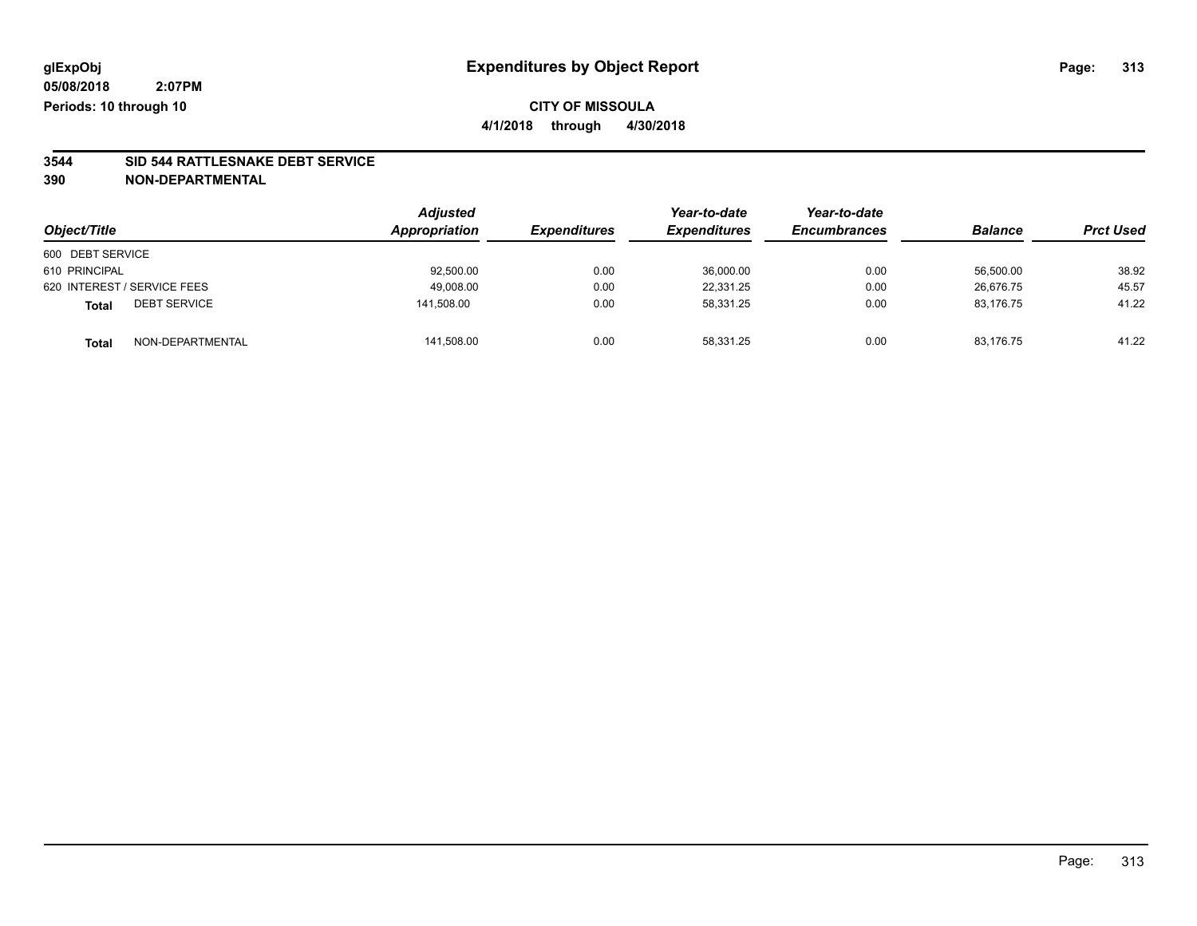# **3544 SID 544 RATTLESNAKE DEBT SERVICE**

|                                     | <b>Adjusted</b><br>Appropriation |                     | Year-to-date        | Year-to-date        |                |                  |
|-------------------------------------|----------------------------------|---------------------|---------------------|---------------------|----------------|------------------|
| Object/Title                        |                                  | <b>Expenditures</b> | <b>Expenditures</b> | <b>Encumbrances</b> | <b>Balance</b> | <b>Prct Used</b> |
| 600 DEBT SERVICE                    |                                  |                     |                     |                     |                |                  |
| 610 PRINCIPAL                       | 92,500.00                        | 0.00                | 36,000.00           | 0.00                | 56,500.00      | 38.92            |
| 620 INTEREST / SERVICE FEES         | 49,008.00                        | 0.00                | 22.331.25           | 0.00                | 26.676.75      | 45.57            |
| <b>DEBT SERVICE</b><br><b>Total</b> | 141.508.00                       | 0.00                | 58.331.25           | 0.00                | 83.176.75      | 41.22            |
| NON-DEPARTMENTAL<br>Total           | 141,508.00                       | 0.00                | 58.331.25           | 0.00                | 83.176.75      | 41.22            |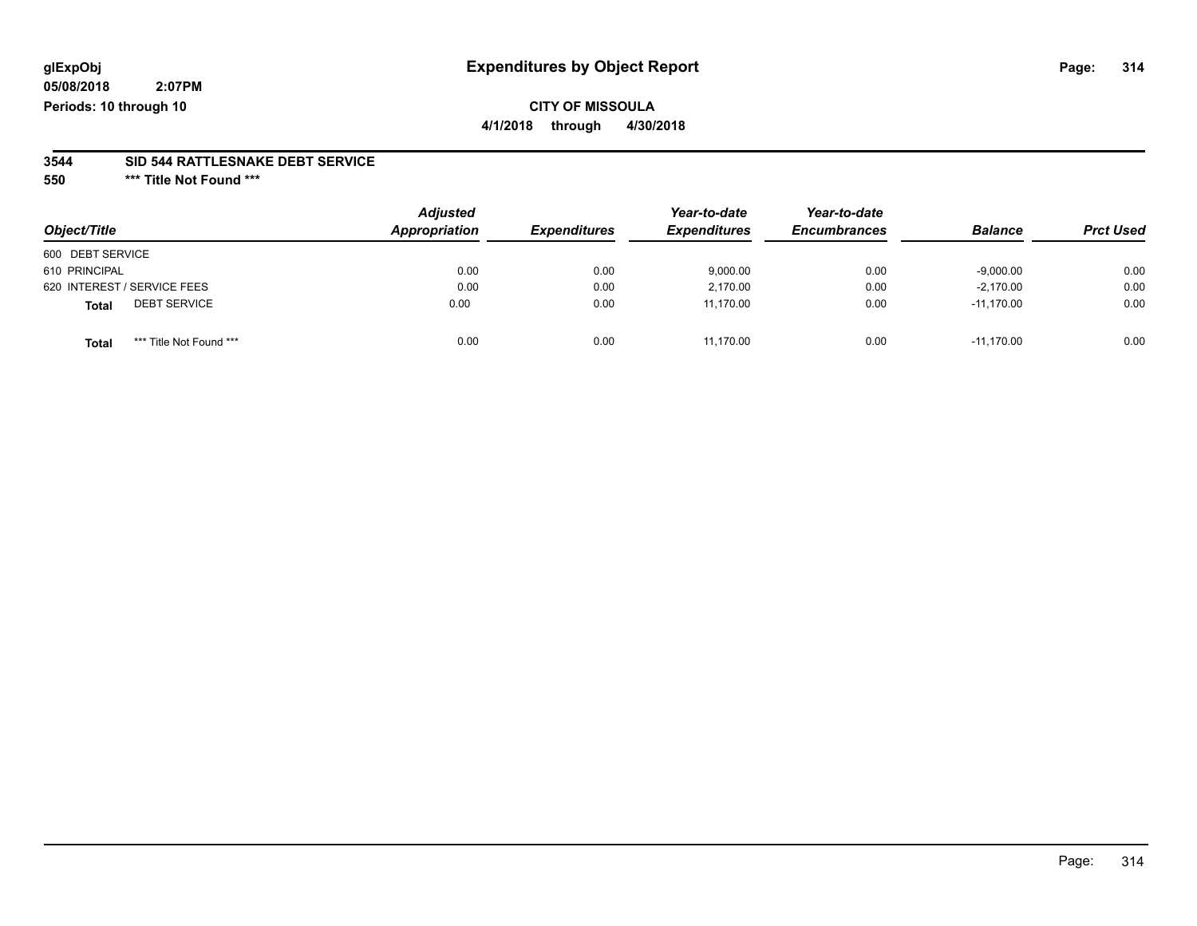### **CITY OF MISSOULA 4/1/2018 through 4/30/2018**

#### **3544 SID 544 RATTLESNAKE DEBT SERVICE**

**550 \*\*\* Title Not Found \*\*\***

| Object/Title                            | <b>Adjusted</b><br>Appropriation | <b>Expenditures</b> | Year-to-date<br><b>Expenditures</b> | Year-to-date<br><b>Encumbrances</b> | <b>Balance</b> | <b>Prct Used</b> |
|-----------------------------------------|----------------------------------|---------------------|-------------------------------------|-------------------------------------|----------------|------------------|
| 600 DEBT SERVICE                        |                                  |                     |                                     |                                     |                |                  |
| 610 PRINCIPAL                           | 0.00                             | 0.00                | 9.000.00                            | 0.00                                | $-9,000.00$    | 0.00             |
| 620 INTEREST / SERVICE FEES             | 0.00                             | 0.00                | 2,170.00                            | 0.00                                | $-2,170.00$    | 0.00             |
| <b>DEBT SERVICE</b><br><b>Total</b>     | 0.00                             | 0.00                | 11,170.00                           | 0.00                                | $-11,170.00$   | 0.00             |
| *** Title Not Found ***<br><b>Total</b> | 0.00                             | 0.00                | 11.170.00                           | 0.00                                | $-11.170.00$   | 0.00             |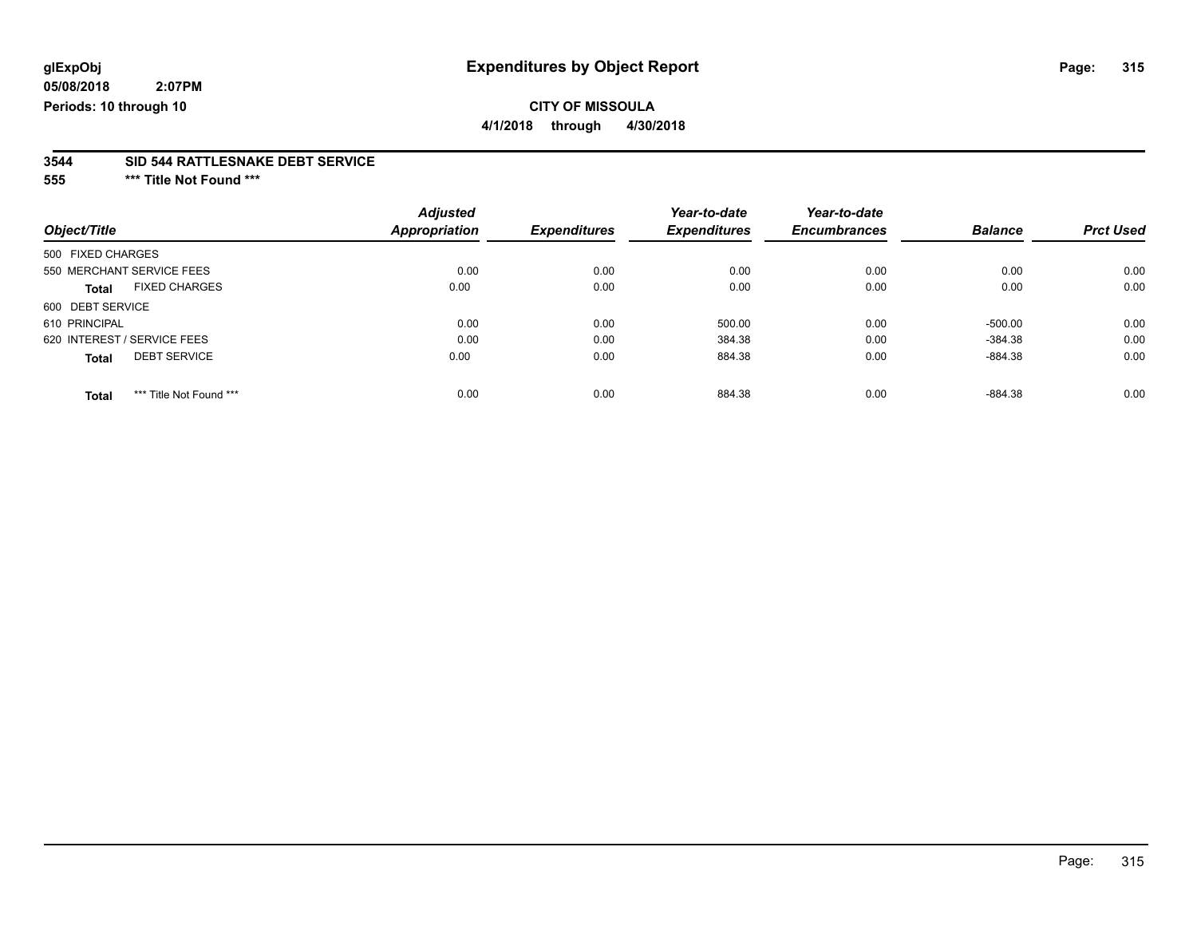## **CITY OF MISSOULA**

**4/1/2018 through 4/30/2018**

#### **3544 SID 544 RATTLESNAKE DEBT SERVICE**

**555 \*\*\* Title Not Found \*\*\***

|                                         | <b>Adjusted</b><br>Appropriation | <b>Expenditures</b> | Year-to-date<br><b>Expenditures</b> | Year-to-date<br><b>Encumbrances</b> | <b>Balance</b> | <b>Prct Used</b> |
|-----------------------------------------|----------------------------------|---------------------|-------------------------------------|-------------------------------------|----------------|------------------|
| Object/Title                            |                                  |                     |                                     |                                     |                |                  |
| 500 FIXED CHARGES                       |                                  |                     |                                     |                                     |                |                  |
| 550 MERCHANT SERVICE FEES               | 0.00                             | 0.00                | 0.00                                | 0.00                                | 0.00           | 0.00             |
| <b>FIXED CHARGES</b><br><b>Total</b>    | 0.00                             | 0.00                | 0.00                                | 0.00                                | 0.00           | 0.00             |
| 600 DEBT SERVICE                        |                                  |                     |                                     |                                     |                |                  |
| 610 PRINCIPAL                           | 0.00                             | 0.00                | 500.00                              | 0.00                                | $-500.00$      | 0.00             |
| 620 INTEREST / SERVICE FEES             | 0.00                             | 0.00                | 384.38                              | 0.00                                | $-384.38$      | 0.00             |
| <b>DEBT SERVICE</b><br><b>Total</b>     | 0.00                             | 0.00                | 884.38                              | 0.00                                | $-884.38$      | 0.00             |
| *** Title Not Found ***<br><b>Total</b> | 0.00                             | 0.00                | 884.38                              | 0.00                                | $-884.38$      | 0.00             |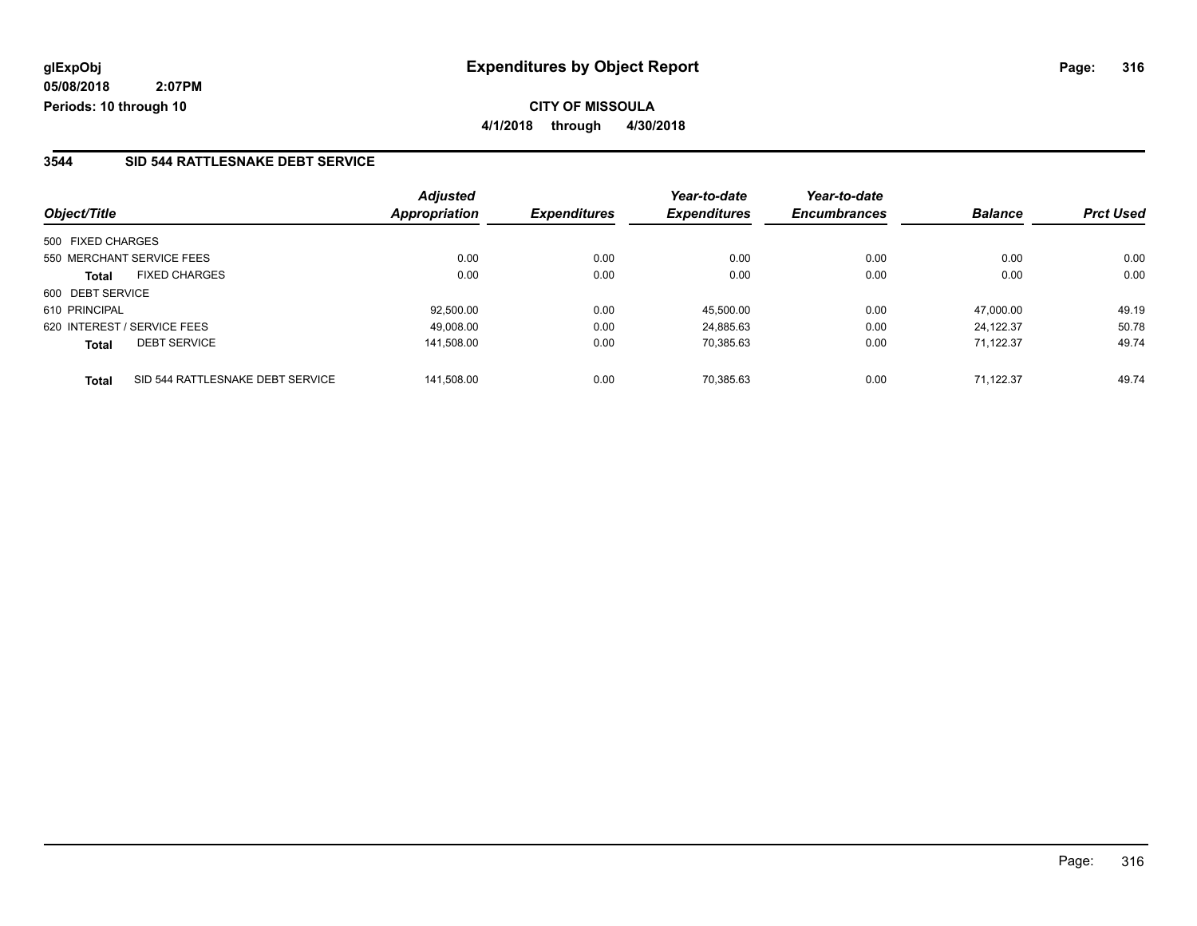**CITY OF MISSOULA 4/1/2018 through 4/30/2018**

#### **3544 SID 544 RATTLESNAKE DEBT SERVICE**

| Object/Title                                     | <b>Adjusted</b><br>Appropriation | <b>Expenditures</b> | Year-to-date<br><b>Expenditures</b> | Year-to-date<br><b>Encumbrances</b> | <b>Balance</b> | <b>Prct Used</b> |
|--------------------------------------------------|----------------------------------|---------------------|-------------------------------------|-------------------------------------|----------------|------------------|
|                                                  |                                  |                     |                                     |                                     |                |                  |
| 500 FIXED CHARGES                                |                                  |                     |                                     |                                     |                |                  |
| 550 MERCHANT SERVICE FEES                        | 0.00                             | 0.00                | 0.00                                | 0.00                                | 0.00           | 0.00             |
| <b>FIXED CHARGES</b><br><b>Total</b>             | 0.00                             | 0.00                | 0.00                                | 0.00                                | 0.00           | 0.00             |
| 600 DEBT SERVICE                                 |                                  |                     |                                     |                                     |                |                  |
| 610 PRINCIPAL                                    | 92,500.00                        | 0.00                | 45,500.00                           | 0.00                                | 47.000.00      | 49.19            |
| 620 INTEREST / SERVICE FEES                      | 49.008.00                        | 0.00                | 24,885.63                           | 0.00                                | 24.122.37      | 50.78            |
| <b>DEBT SERVICE</b><br><b>Total</b>              | 141,508.00                       | 0.00                | 70,385.63                           | 0.00                                | 71,122.37      | 49.74            |
| SID 544 RATTLESNAKE DEBT SERVICE<br><b>Total</b> | 141.508.00                       | 0.00                | 70.385.63                           | 0.00                                | 71.122.37      | 49.74            |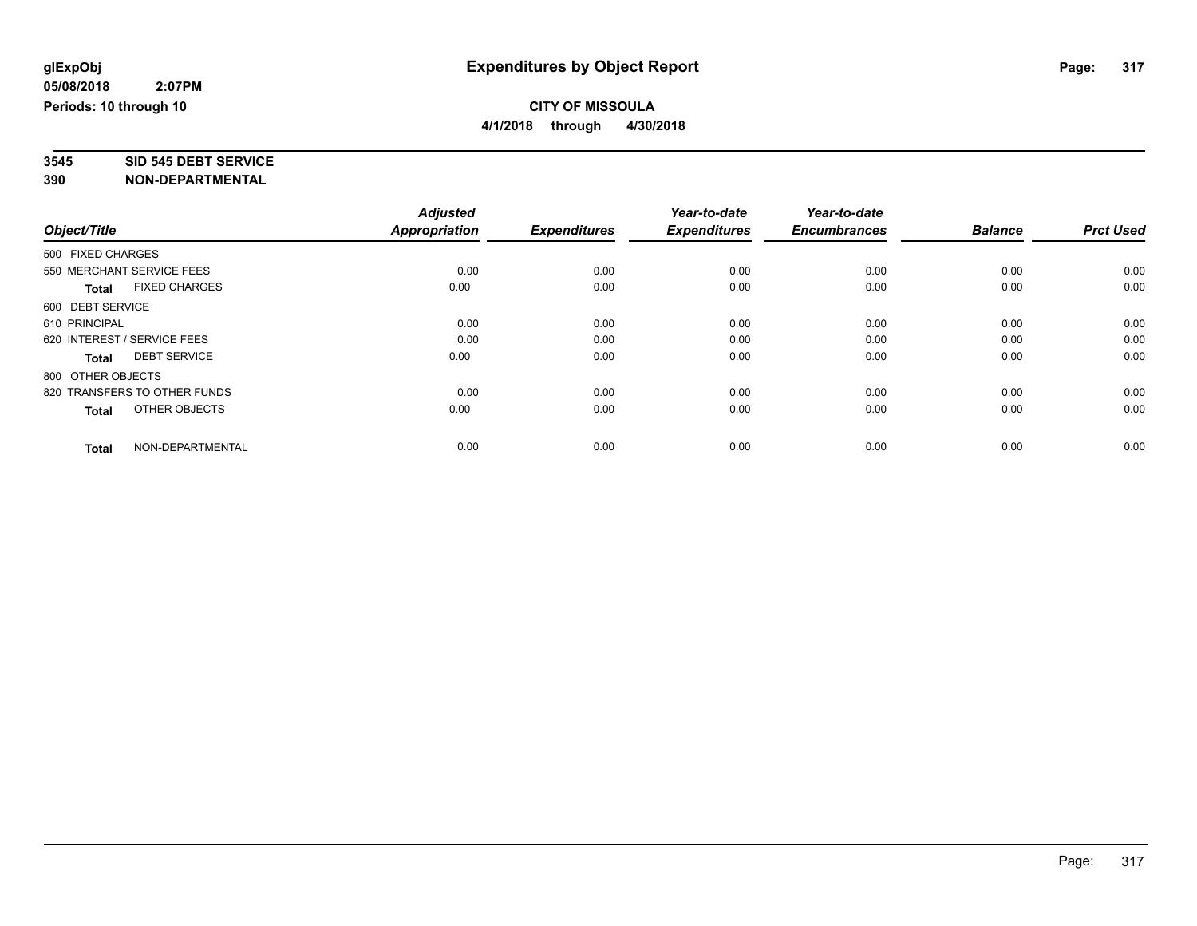# **3545 SID 545 DEBT SERVICE**

|                                      | <b>Adjusted</b>      | <b>Expenditures</b> | Year-to-date<br><b>Expenditures</b> | Year-to-date<br><b>Encumbrances</b> | <b>Balance</b> | <b>Prct Used</b> |
|--------------------------------------|----------------------|---------------------|-------------------------------------|-------------------------------------|----------------|------------------|
| Object/Title                         | <b>Appropriation</b> |                     |                                     |                                     |                |                  |
| 500 FIXED CHARGES                    |                      |                     |                                     |                                     |                |                  |
| 550 MERCHANT SERVICE FEES            | 0.00                 | 0.00                | 0.00                                | 0.00                                | 0.00           | 0.00             |
| <b>FIXED CHARGES</b><br><b>Total</b> | 0.00                 | 0.00                | 0.00                                | 0.00                                | 0.00           | 0.00             |
| 600 DEBT SERVICE                     |                      |                     |                                     |                                     |                |                  |
| 610 PRINCIPAL                        | 0.00                 | 0.00                | 0.00                                | 0.00                                | 0.00           | 0.00             |
| 620 INTEREST / SERVICE FEES          | 0.00                 | 0.00                | 0.00                                | 0.00                                | 0.00           | 0.00             |
| <b>DEBT SERVICE</b><br><b>Total</b>  | 0.00                 | 0.00                | 0.00                                | 0.00                                | 0.00           | 0.00             |
| 800 OTHER OBJECTS                    |                      |                     |                                     |                                     |                |                  |
| 820 TRANSFERS TO OTHER FUNDS         | 0.00                 | 0.00                | 0.00                                | 0.00                                | 0.00           | 0.00             |
| OTHER OBJECTS<br><b>Total</b>        | 0.00                 | 0.00                | 0.00                                | 0.00                                | 0.00           | 0.00             |
|                                      |                      |                     |                                     |                                     |                |                  |
| NON-DEPARTMENTAL<br><b>Total</b>     | 0.00                 | 0.00                | 0.00                                | 0.00                                | 0.00           | 0.00             |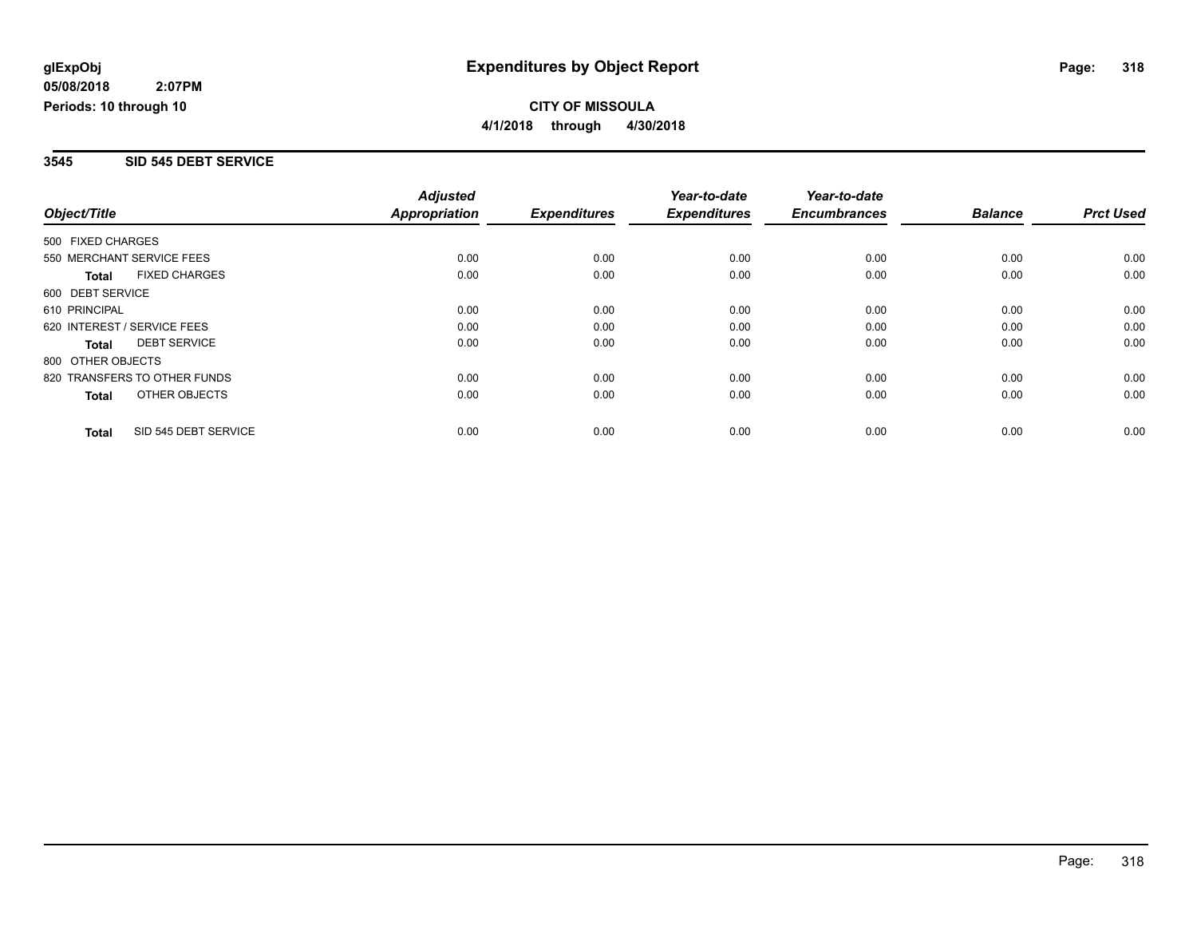#### **3545 SID 545 DEBT SERVICE**

|                              |                      | <b>Adjusted</b>      |                     | Year-to-date        | Year-to-date        |                |                  |
|------------------------------|----------------------|----------------------|---------------------|---------------------|---------------------|----------------|------------------|
| Object/Title                 |                      | <b>Appropriation</b> | <b>Expenditures</b> | <b>Expenditures</b> | <b>Encumbrances</b> | <b>Balance</b> | <b>Prct Used</b> |
| 500 FIXED CHARGES            |                      |                      |                     |                     |                     |                |                  |
| 550 MERCHANT SERVICE FEES    |                      | 0.00                 | 0.00                | 0.00                | 0.00                | 0.00           | 0.00             |
| <b>Total</b>                 | <b>FIXED CHARGES</b> | 0.00                 | 0.00                | 0.00                | 0.00                | 0.00           | 0.00             |
| 600 DEBT SERVICE             |                      |                      |                     |                     |                     |                |                  |
| 610 PRINCIPAL                |                      | 0.00                 | 0.00                | 0.00                | 0.00                | 0.00           | 0.00             |
| 620 INTEREST / SERVICE FEES  |                      | 0.00                 | 0.00                | 0.00                | 0.00                | 0.00           | 0.00             |
| Total                        | <b>DEBT SERVICE</b>  | 0.00                 | 0.00                | 0.00                | 0.00                | 0.00           | 0.00             |
| 800 OTHER OBJECTS            |                      |                      |                     |                     |                     |                |                  |
| 820 TRANSFERS TO OTHER FUNDS |                      | 0.00                 | 0.00                | 0.00                | 0.00                | 0.00           | 0.00             |
| Total                        | OTHER OBJECTS        | 0.00                 | 0.00                | 0.00                | 0.00                | 0.00           | 0.00             |
| <b>Total</b>                 | SID 545 DEBT SERVICE | 0.00                 | 0.00                | 0.00                | 0.00                | 0.00           | 0.00             |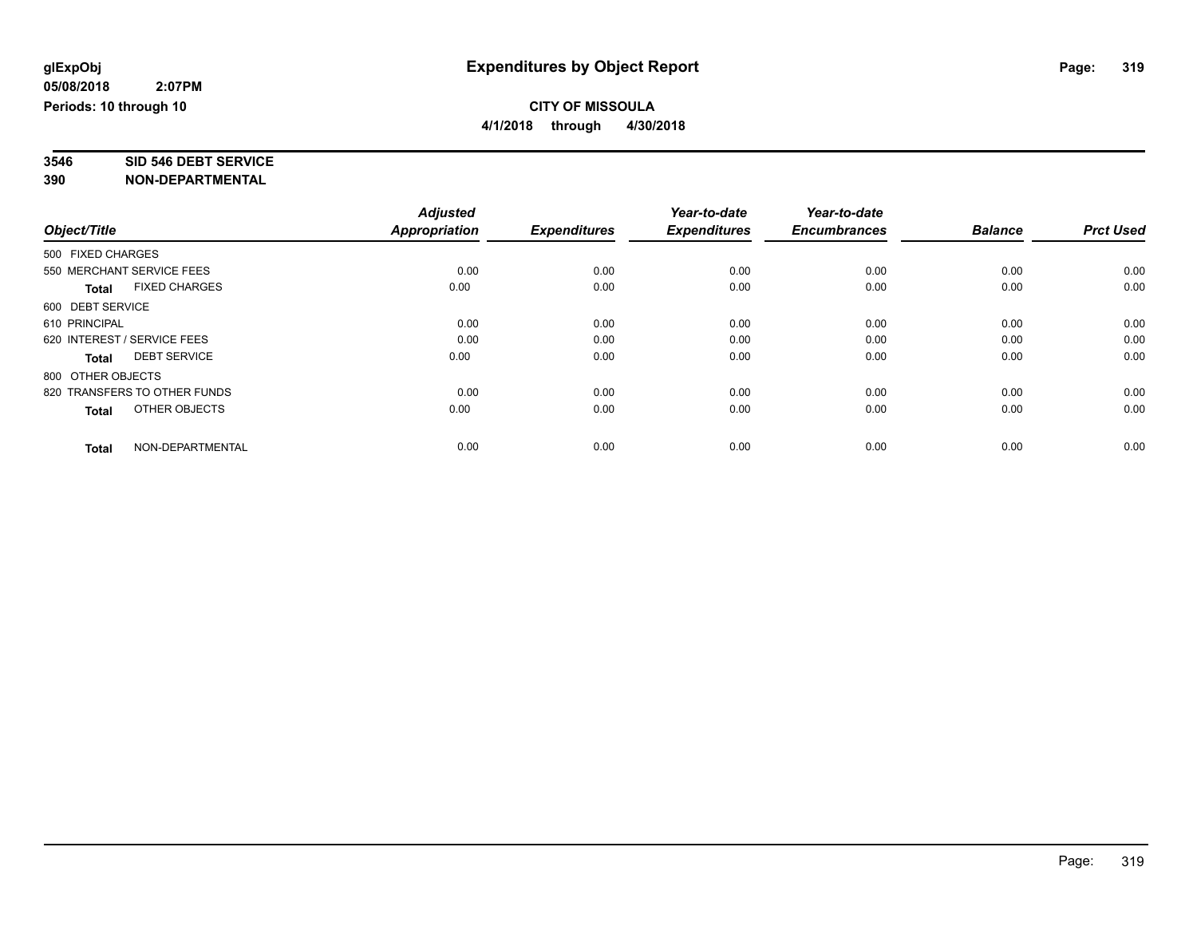# **3546 SID 546 DEBT SERVICE**

|                                      | <b>Adjusted</b>      | <b>Expenditures</b> | Year-to-date<br><b>Expenditures</b> | Year-to-date<br><b>Encumbrances</b> | <b>Balance</b> | <b>Prct Used</b> |
|--------------------------------------|----------------------|---------------------|-------------------------------------|-------------------------------------|----------------|------------------|
| Object/Title                         | <b>Appropriation</b> |                     |                                     |                                     |                |                  |
| 500 FIXED CHARGES                    |                      |                     |                                     |                                     |                |                  |
| 550 MERCHANT SERVICE FEES            | 0.00                 | 0.00                | 0.00                                | 0.00                                | 0.00           | 0.00             |
| <b>FIXED CHARGES</b><br><b>Total</b> | 0.00                 | 0.00                | 0.00                                | 0.00                                | 0.00           | 0.00             |
| 600 DEBT SERVICE                     |                      |                     |                                     |                                     |                |                  |
| 610 PRINCIPAL                        | 0.00                 | 0.00                | 0.00                                | 0.00                                | 0.00           | 0.00             |
| 620 INTEREST / SERVICE FEES          | 0.00                 | 0.00                | 0.00                                | 0.00                                | 0.00           | 0.00             |
| <b>DEBT SERVICE</b><br><b>Total</b>  | 0.00                 | 0.00                | 0.00                                | 0.00                                | 0.00           | 0.00             |
| 800 OTHER OBJECTS                    |                      |                     |                                     |                                     |                |                  |
| 820 TRANSFERS TO OTHER FUNDS         | 0.00                 | 0.00                | 0.00                                | 0.00                                | 0.00           | 0.00             |
| OTHER OBJECTS<br><b>Total</b>        | 0.00                 | 0.00                | 0.00                                | 0.00                                | 0.00           | 0.00             |
|                                      |                      |                     |                                     |                                     |                |                  |
| NON-DEPARTMENTAL<br><b>Total</b>     | 0.00                 | 0.00                | 0.00                                | 0.00                                | 0.00           | 0.00             |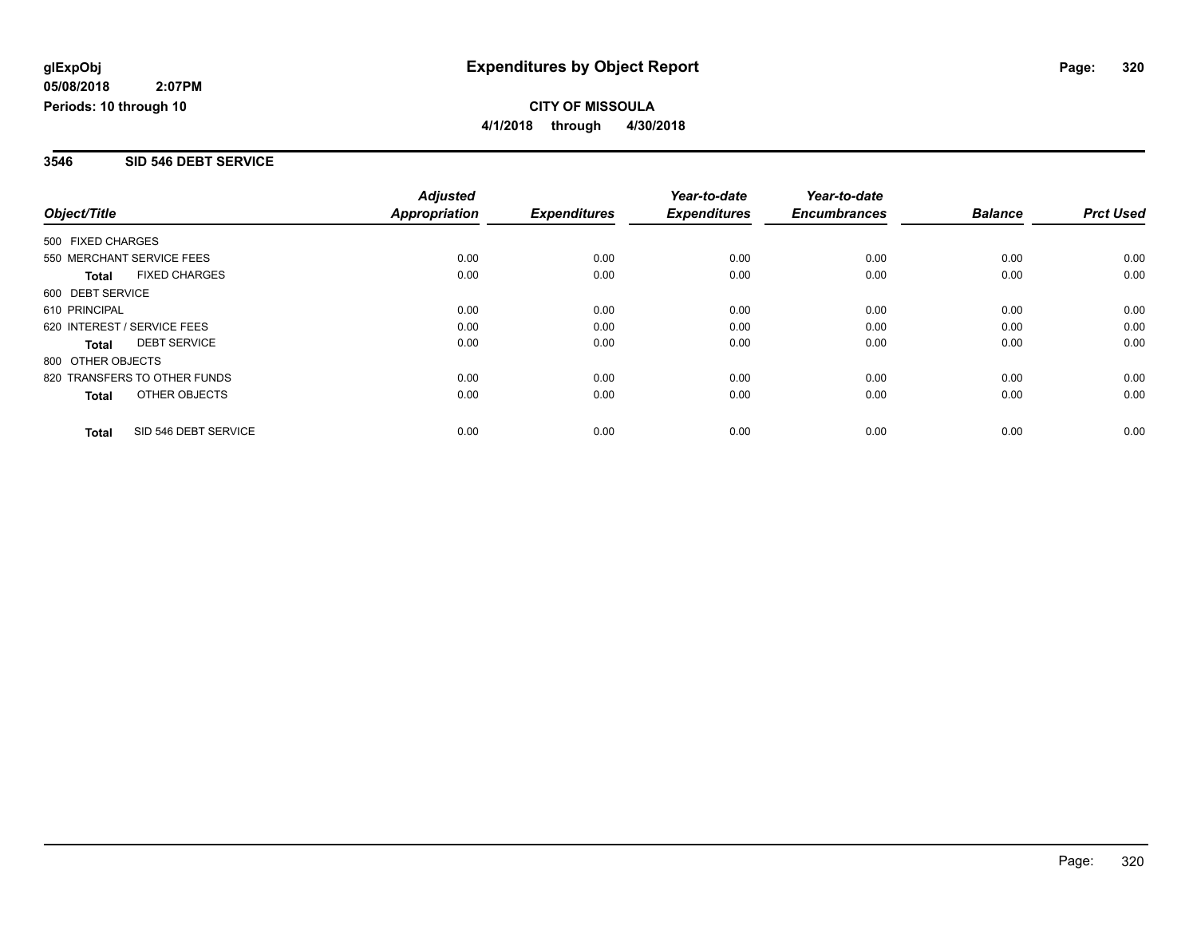#### **3546 SID 546 DEBT SERVICE**

|                              |                      | <b>Adjusted</b>      |                     | Year-to-date        | Year-to-date        |                |                  |
|------------------------------|----------------------|----------------------|---------------------|---------------------|---------------------|----------------|------------------|
| Object/Title                 |                      | <b>Appropriation</b> | <b>Expenditures</b> | <b>Expenditures</b> | <b>Encumbrances</b> | <b>Balance</b> | <b>Prct Used</b> |
| 500 FIXED CHARGES            |                      |                      |                     |                     |                     |                |                  |
| 550 MERCHANT SERVICE FEES    |                      | 0.00                 | 0.00                | 0.00                | 0.00                | 0.00           | 0.00             |
| <b>Total</b>                 | <b>FIXED CHARGES</b> | 0.00                 | 0.00                | 0.00                | 0.00                | 0.00           | 0.00             |
| 600 DEBT SERVICE             |                      |                      |                     |                     |                     |                |                  |
| 610 PRINCIPAL                |                      | 0.00                 | 0.00                | 0.00                | 0.00                | 0.00           | 0.00             |
| 620 INTEREST / SERVICE FEES  |                      | 0.00                 | 0.00                | 0.00                | 0.00                | 0.00           | 0.00             |
| Total                        | <b>DEBT SERVICE</b>  | 0.00                 | 0.00                | 0.00                | 0.00                | 0.00           | 0.00             |
| 800 OTHER OBJECTS            |                      |                      |                     |                     |                     |                |                  |
| 820 TRANSFERS TO OTHER FUNDS |                      | 0.00                 | 0.00                | 0.00                | 0.00                | 0.00           | 0.00             |
| Total                        | OTHER OBJECTS        | 0.00                 | 0.00                | 0.00                | 0.00                | 0.00           | 0.00             |
| <b>Total</b>                 | SID 546 DEBT SERVICE | 0.00                 | 0.00                | 0.00                | 0.00                | 0.00           | 0.00             |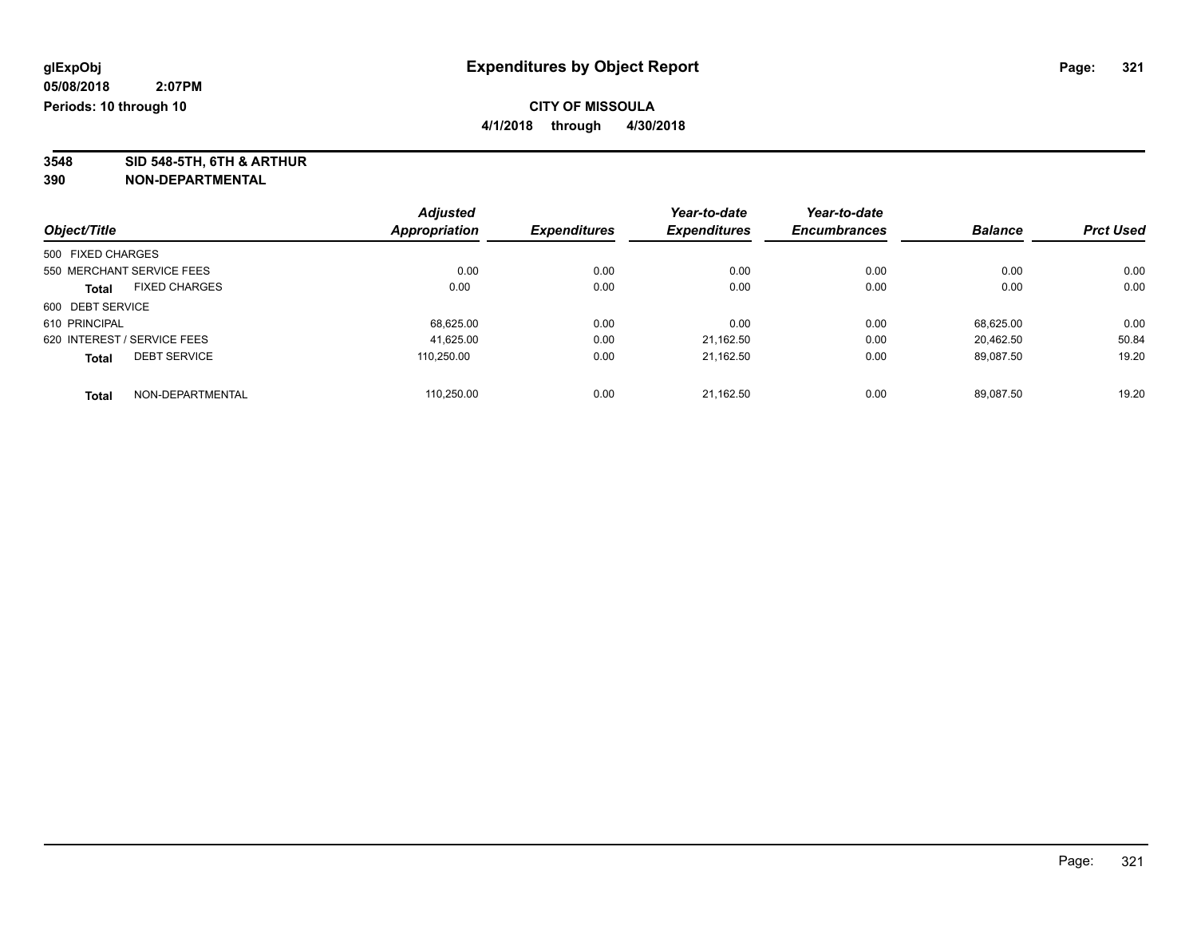**3548 SID 548-5TH, 6TH & ARTHUR**

| Object/Title                |                      | <b>Adjusted</b> | <b>Expenditures</b> | Year-to-date        | Year-to-date        | <b>Balance</b> | <b>Prct Used</b> |
|-----------------------------|----------------------|-----------------|---------------------|---------------------|---------------------|----------------|------------------|
|                             |                      | Appropriation   |                     | <b>Expenditures</b> | <b>Encumbrances</b> |                |                  |
| 500 FIXED CHARGES           |                      |                 |                     |                     |                     |                |                  |
| 550 MERCHANT SERVICE FEES   |                      | 0.00            | 0.00                | 0.00                | 0.00                | 0.00           | 0.00             |
| <b>Total</b>                | <b>FIXED CHARGES</b> | 0.00            | 0.00                | 0.00                | 0.00                | 0.00           | 0.00             |
| 600 DEBT SERVICE            |                      |                 |                     |                     |                     |                |                  |
| 610 PRINCIPAL               |                      | 68.625.00       | 0.00                | 0.00                | 0.00                | 68.625.00      | 0.00             |
| 620 INTEREST / SERVICE FEES |                      | 41,625.00       | 0.00                | 21,162.50           | 0.00                | 20.462.50      | 50.84            |
| <b>Total</b>                | <b>DEBT SERVICE</b>  | 110.250.00      | 0.00                | 21.162.50           | 0.00                | 89.087.50      | 19.20            |
| <b>Total</b>                | NON-DEPARTMENTAL     | 110.250.00      | 0.00                | 21.162.50           | 0.00                | 89.087.50      | 19.20            |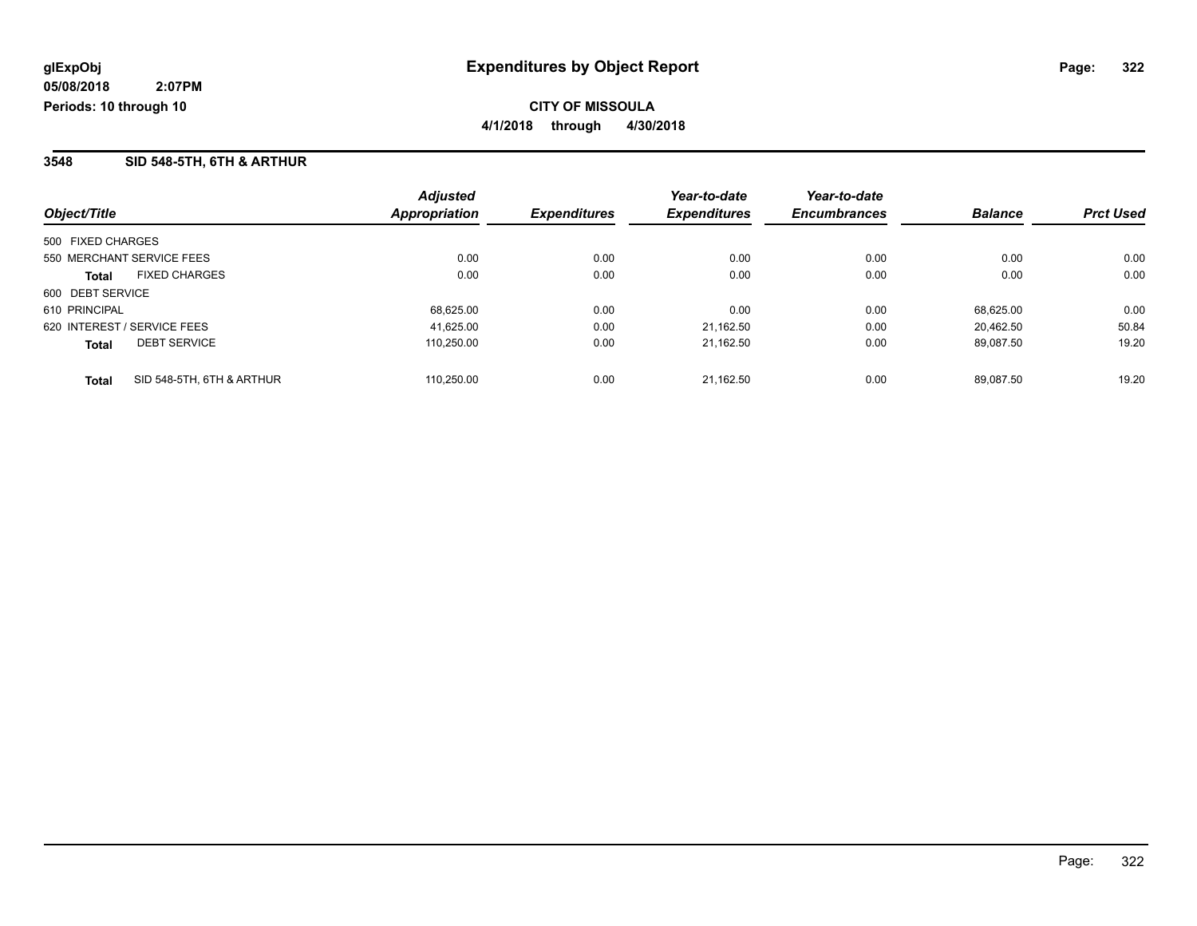### **3548 SID 548-5TH, 6TH & ARTHUR**

| Object/Title                              | <b>Adjusted</b><br>Appropriation | <b>Expenditures</b> | Year-to-date<br><b>Expenditures</b> | Year-to-date<br><b>Encumbrances</b> | <b>Balance</b> | <b>Prct Used</b> |
|-------------------------------------------|----------------------------------|---------------------|-------------------------------------|-------------------------------------|----------------|------------------|
|                                           |                                  |                     |                                     |                                     |                |                  |
| 500 FIXED CHARGES                         |                                  |                     |                                     |                                     |                |                  |
| 550 MERCHANT SERVICE FEES                 | 0.00                             | 0.00                | 0.00                                | 0.00                                | 0.00           | 0.00             |
| <b>FIXED CHARGES</b><br><b>Total</b>      | 0.00                             | 0.00                | 0.00                                | 0.00                                | 0.00           | 0.00             |
| 600 DEBT SERVICE                          |                                  |                     |                                     |                                     |                |                  |
| 610 PRINCIPAL                             | 68,625.00                        | 0.00                | 0.00                                | 0.00                                | 68.625.00      | 0.00             |
| 620 INTEREST / SERVICE FEES               | 41.625.00                        | 0.00                | 21.162.50                           | 0.00                                | 20.462.50      | 50.84            |
| <b>DEBT SERVICE</b><br><b>Total</b>       | 110.250.00                       | 0.00                | 21.162.50                           | 0.00                                | 89.087.50      | 19.20            |
| SID 548-5TH, 6TH & ARTHUR<br><b>Total</b> | 110.250.00                       | 0.00                | 21.162.50                           | 0.00                                | 89.087.50      | 19.20            |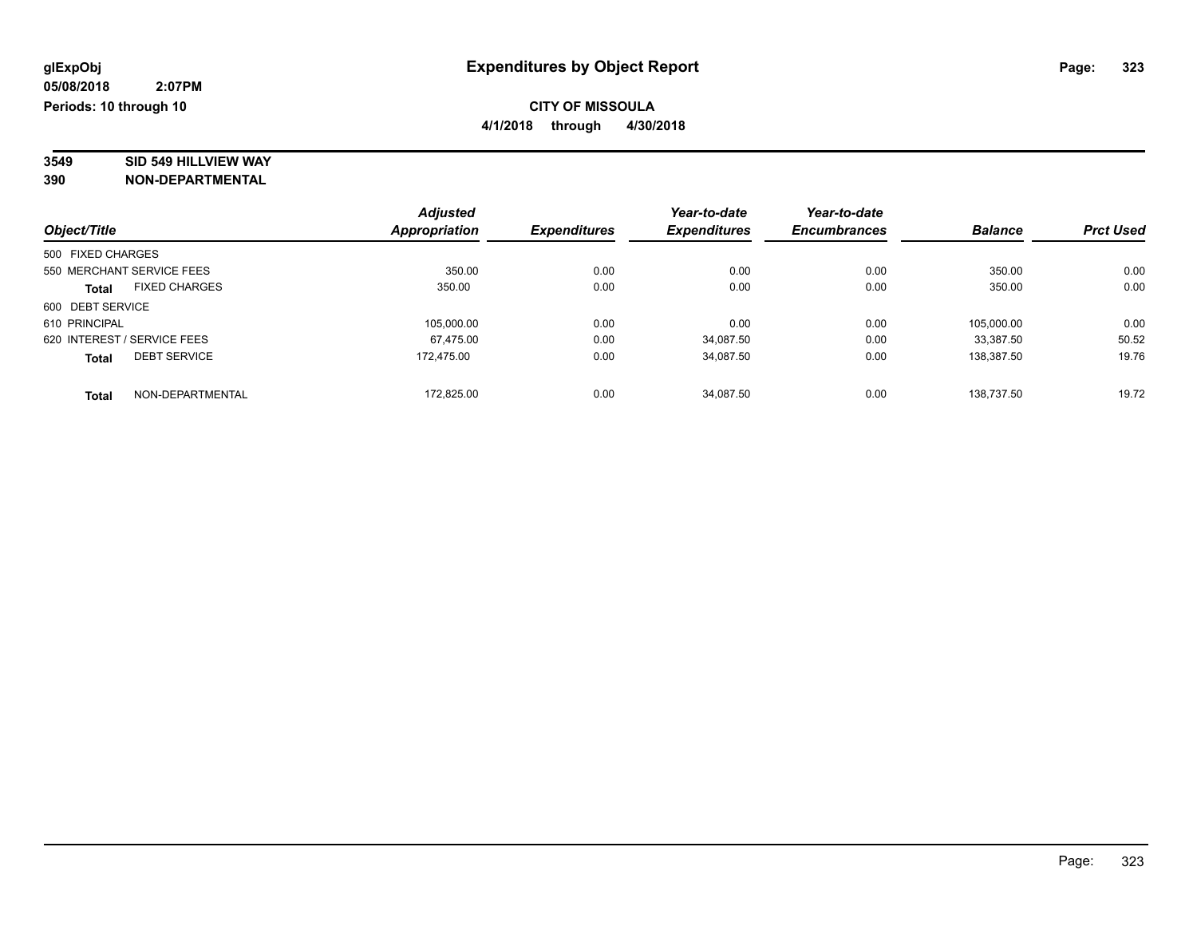# **3549 SID 549 HILLVIEW WAY**

| Object/Title                |                      | <b>Adjusted</b><br>Appropriation | <b>Expenditures</b> | Year-to-date        | Year-to-date        | <b>Balance</b> | <b>Prct Used</b> |
|-----------------------------|----------------------|----------------------------------|---------------------|---------------------|---------------------|----------------|------------------|
|                             |                      |                                  |                     | <b>Expenditures</b> | <b>Encumbrances</b> |                |                  |
| 500 FIXED CHARGES           |                      |                                  |                     |                     |                     |                |                  |
| 550 MERCHANT SERVICE FEES   |                      | 350.00                           | 0.00                | 0.00                | 0.00                | 350.00         | 0.00             |
| <b>Total</b>                | <b>FIXED CHARGES</b> | 350.00                           | 0.00                | 0.00                | 0.00                | 350.00         | 0.00             |
| 600 DEBT SERVICE            |                      |                                  |                     |                     |                     |                |                  |
| 610 PRINCIPAL               |                      | 105.000.00                       | 0.00                | 0.00                | 0.00                | 105.000.00     | 0.00             |
| 620 INTEREST / SERVICE FEES |                      | 67.475.00                        | 0.00                | 34.087.50           | 0.00                | 33.387.50      | 50.52            |
| <b>Total</b>                | <b>DEBT SERVICE</b>  | 172.475.00                       | 0.00                | 34,087.50           | 0.00                | 138,387.50     | 19.76            |
| <b>Total</b>                | NON-DEPARTMENTAL     | 172.825.00                       | 0.00                | 34.087.50           | 0.00                | 138.737.50     | 19.72            |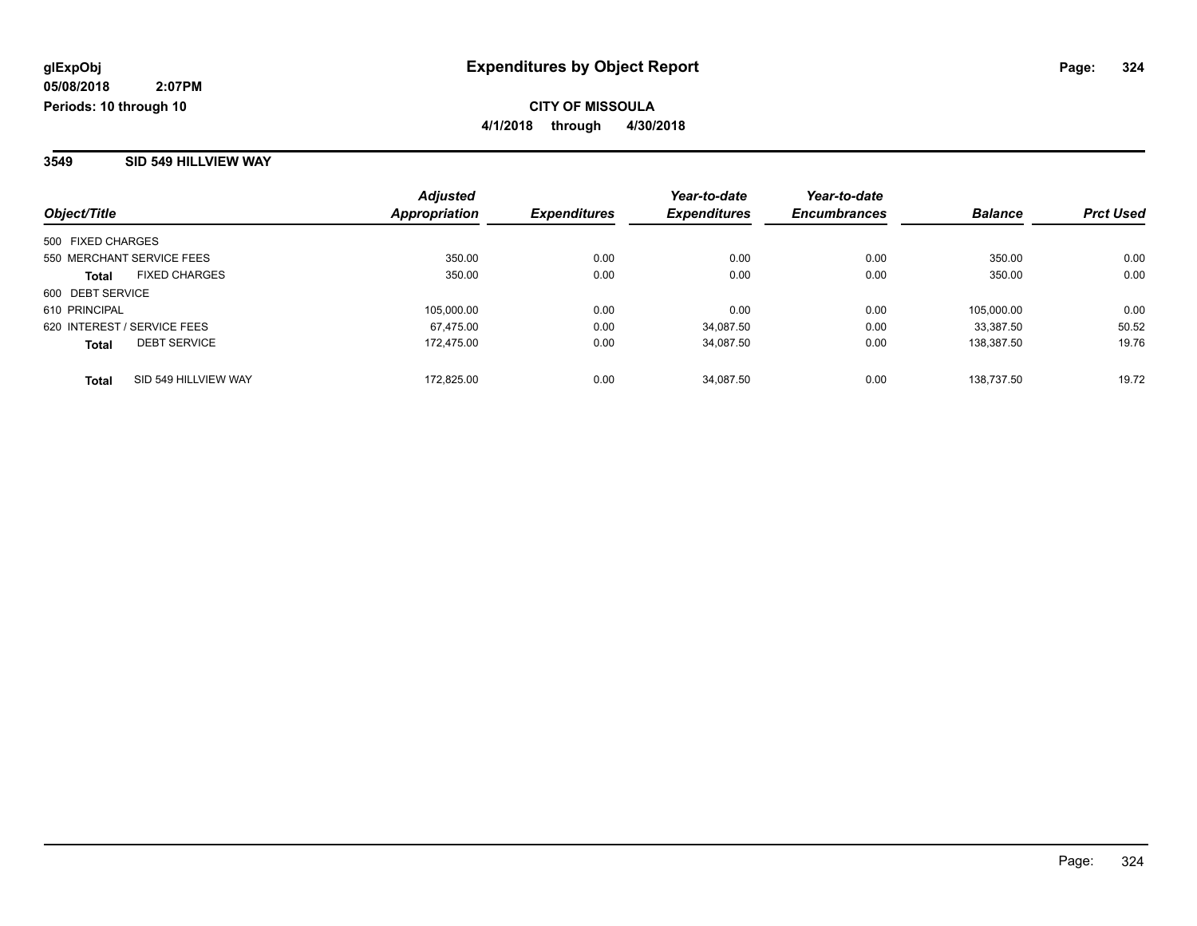#### **3549 SID 549 HILLVIEW WAY**

| Object/Title                         | <b>Adjusted</b><br>Appropriation | <b>Expenditures</b> | Year-to-date<br><b>Expenditures</b> | Year-to-date<br><b>Encumbrances</b> | <b>Balance</b> | <b>Prct Used</b> |
|--------------------------------------|----------------------------------|---------------------|-------------------------------------|-------------------------------------|----------------|------------------|
|                                      |                                  |                     |                                     |                                     |                |                  |
| 500 FIXED CHARGES                    |                                  |                     |                                     |                                     |                |                  |
| 550 MERCHANT SERVICE FEES            | 350.00                           | 0.00                | 0.00                                | 0.00                                | 350.00         | 0.00             |
| <b>FIXED CHARGES</b><br><b>Total</b> | 350.00                           | 0.00                | 0.00                                | 0.00                                | 350.00         | 0.00             |
| 600 DEBT SERVICE                     |                                  |                     |                                     |                                     |                |                  |
| 610 PRINCIPAL                        | 105.000.00                       | 0.00                | 0.00                                | 0.00                                | 105.000.00     | 0.00             |
| 620 INTEREST / SERVICE FEES          | 67.475.00                        | 0.00                | 34.087.50                           | 0.00                                | 33,387.50      | 50.52            |
| <b>DEBT SERVICE</b><br><b>Total</b>  | 172.475.00                       | 0.00                | 34,087.50                           | 0.00                                | 138,387.50     | 19.76            |
| SID 549 HILLVIEW WAY<br>Total        | 172.825.00                       | 0.00                | 34.087.50                           | 0.00                                | 138.737.50     | 19.72            |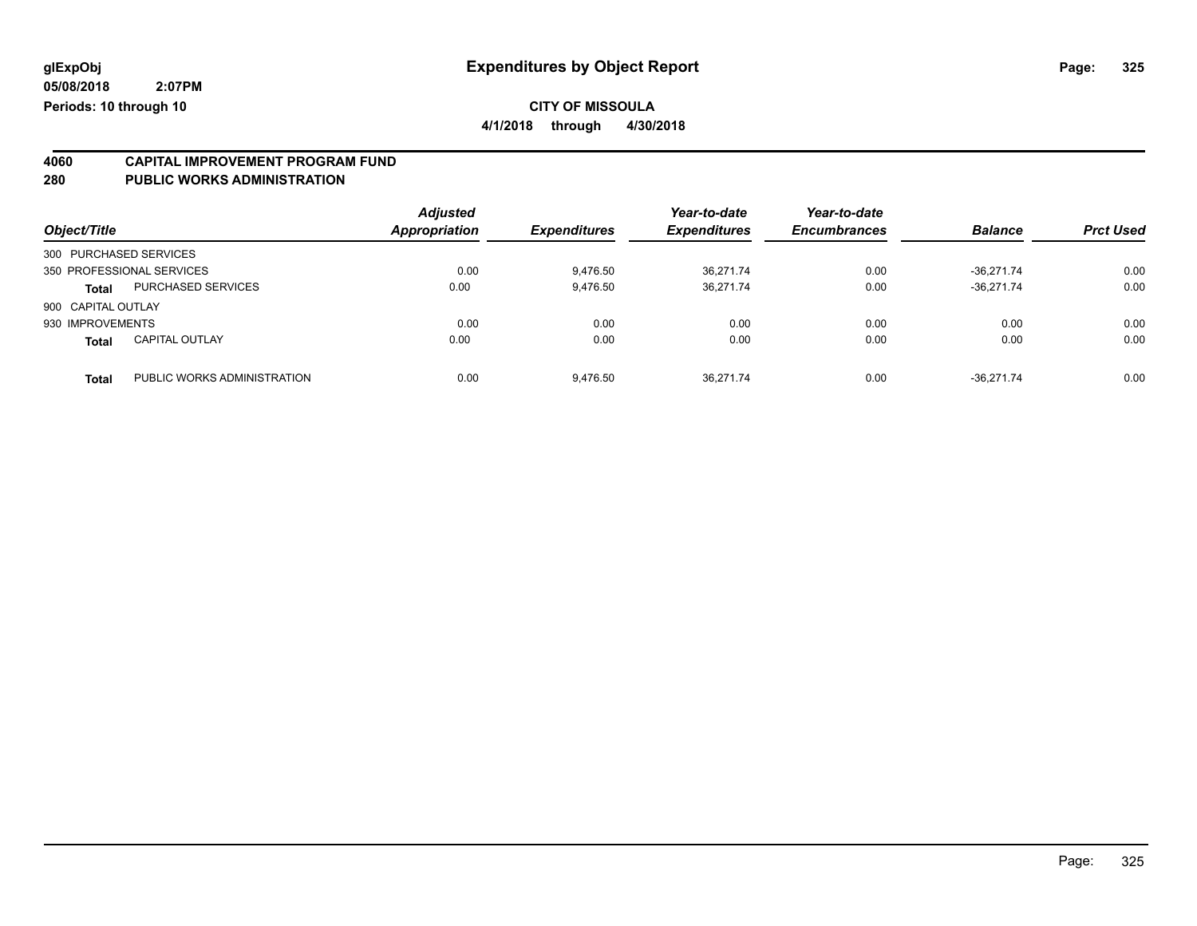# **4060 CAPITAL IMPROVEMENT PROGRAM FUND**

| Object/Title              |                             | <b>Adjusted</b><br>Appropriation | <b>Expenditures</b> | Year-to-date<br><b>Expenditures</b> | Year-to-date<br><b>Encumbrances</b> | <b>Balance</b> | <b>Prct Used</b> |
|---------------------------|-----------------------------|----------------------------------|---------------------|-------------------------------------|-------------------------------------|----------------|------------------|
| 300 PURCHASED SERVICES    |                             |                                  |                     |                                     |                                     |                |                  |
| 350 PROFESSIONAL SERVICES |                             | 0.00                             | 9.476.50            | 36.271.74                           | 0.00                                | $-36.271.74$   | 0.00             |
| <b>Total</b>              | <b>PURCHASED SERVICES</b>   | 0.00                             | 9,476.50            | 36,271.74                           | 0.00                                | $-36,271.74$   | 0.00             |
| 900 CAPITAL OUTLAY        |                             |                                  |                     |                                     |                                     |                |                  |
| 930 IMPROVEMENTS          |                             | 0.00                             | 0.00                | 0.00                                | 0.00                                | 0.00           | 0.00             |
| <b>Total</b>              | <b>CAPITAL OUTLAY</b>       | 0.00                             | 0.00                | 0.00                                | 0.00                                | 0.00           | 0.00             |
| <b>Total</b>              | PUBLIC WORKS ADMINISTRATION | 0.00                             | 9.476.50            | 36.271.74                           | 0.00                                | $-36.271.74$   | 0.00             |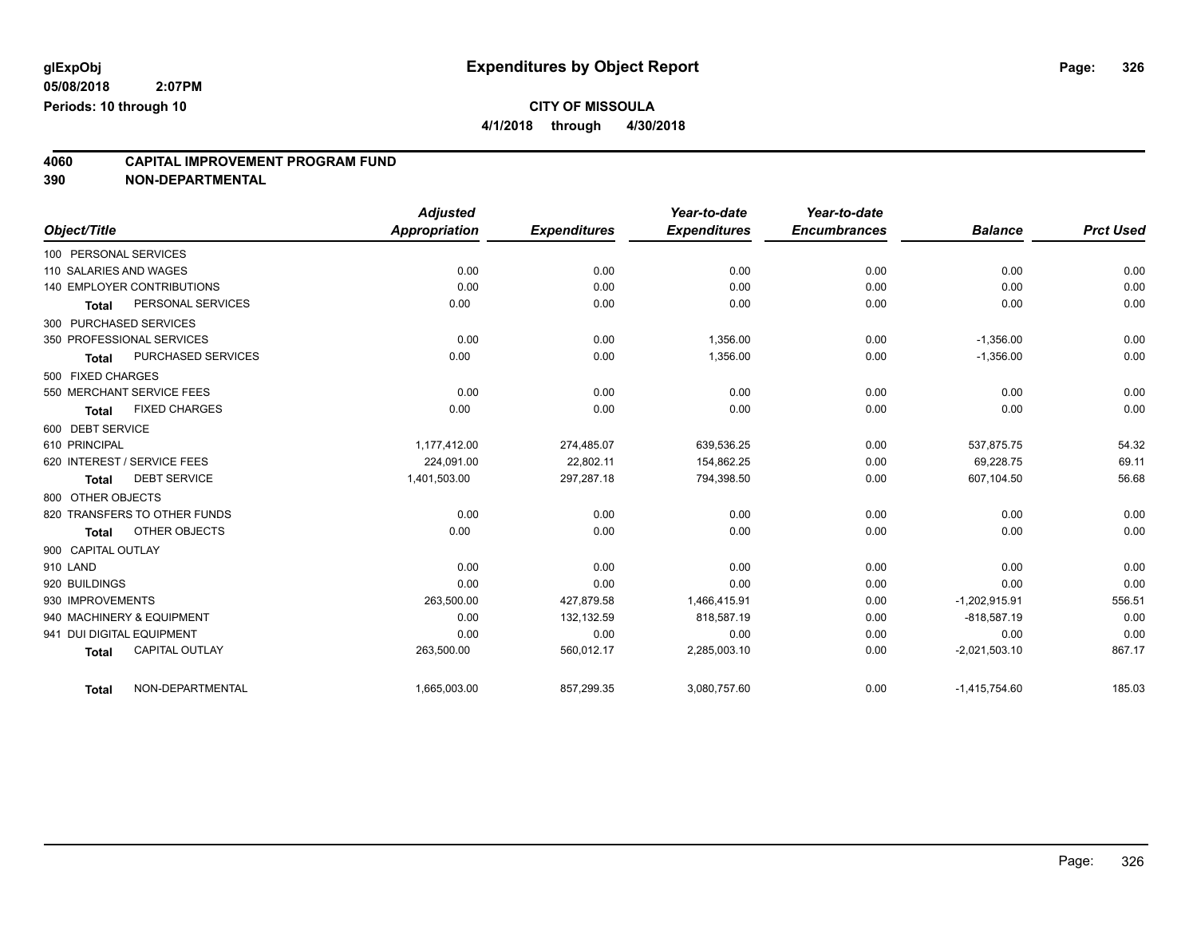# **CITY OF MISSOULA**

**4/1/2018 through 4/30/2018**

# **4060 CAPITAL IMPROVEMENT PROGRAM FUND**

**390 NON-DEPARTMENTAL**

|                             |                                   | <b>Adjusted</b> |                     | Year-to-date        | Year-to-date        |                 |                  |
|-----------------------------|-----------------------------------|-----------------|---------------------|---------------------|---------------------|-----------------|------------------|
| Object/Title                |                                   | Appropriation   | <b>Expenditures</b> | <b>Expenditures</b> | <b>Encumbrances</b> | <b>Balance</b>  | <b>Prct Used</b> |
| 100 PERSONAL SERVICES       |                                   |                 |                     |                     |                     |                 |                  |
| 110 SALARIES AND WAGES      |                                   | 0.00            | 0.00                | 0.00                | 0.00                | 0.00            | 0.00             |
|                             | <b>140 EMPLOYER CONTRIBUTIONS</b> | 0.00            | 0.00                | 0.00                | 0.00                | 0.00            | 0.00             |
| <b>Total</b>                | PERSONAL SERVICES                 | 0.00            | 0.00                | 0.00                | 0.00                | 0.00            | 0.00             |
| 300 PURCHASED SERVICES      |                                   |                 |                     |                     |                     |                 |                  |
| 350 PROFESSIONAL SERVICES   |                                   | 0.00            | 0.00                | 1.356.00            | 0.00                | $-1,356.00$     | 0.00             |
| <b>Total</b>                | PURCHASED SERVICES                | 0.00            | 0.00                | 1,356.00            | 0.00                | $-1,356.00$     | 0.00             |
| 500 FIXED CHARGES           |                                   |                 |                     |                     |                     |                 |                  |
| 550 MERCHANT SERVICE FEES   |                                   | 0.00            | 0.00                | 0.00                | 0.00                | 0.00            | 0.00             |
| <b>Total</b>                | <b>FIXED CHARGES</b>              | 0.00            | 0.00                | 0.00                | 0.00                | 0.00            | 0.00             |
| 600 DEBT SERVICE            |                                   |                 |                     |                     |                     |                 |                  |
| 610 PRINCIPAL               |                                   | 1,177,412.00    | 274,485.07          | 639,536.25          | 0.00                | 537,875.75      | 54.32            |
| 620 INTEREST / SERVICE FEES |                                   | 224,091.00      | 22,802.11           | 154,862.25          | 0.00                | 69,228.75       | 69.11            |
| <b>Total</b>                | <b>DEBT SERVICE</b>               | 1,401,503.00    | 297,287.18          | 794,398.50          | 0.00                | 607,104.50      | 56.68            |
| 800 OTHER OBJECTS           |                                   |                 |                     |                     |                     |                 |                  |
|                             | 820 TRANSFERS TO OTHER FUNDS      | 0.00            | 0.00                | 0.00                | 0.00                | 0.00            | 0.00             |
| <b>Total</b>                | OTHER OBJECTS                     | 0.00            | 0.00                | 0.00                | 0.00                | 0.00            | 0.00             |
| 900 CAPITAL OUTLAY          |                                   |                 |                     |                     |                     |                 |                  |
| 910 LAND                    |                                   | 0.00            | 0.00                | 0.00                | 0.00                | 0.00            | 0.00             |
| 920 BUILDINGS               |                                   | 0.00            | 0.00                | 0.00                | 0.00                | 0.00            | 0.00             |
| 930 IMPROVEMENTS            |                                   | 263,500.00      | 427,879.58          | 1,466,415.91        | 0.00                | $-1,202,915.91$ | 556.51           |
| 940 MACHINERY & EQUIPMENT   |                                   | 0.00            | 132,132.59          | 818,587.19          | 0.00                | $-818,587.19$   | 0.00             |
| 941 DUI DIGITAL EQUIPMENT   |                                   | 0.00            | 0.00                | 0.00                | 0.00                | 0.00            | 0.00             |
| <b>Total</b>                | <b>CAPITAL OUTLAY</b>             | 263,500.00      | 560,012.17          | 2,285,003.10        | 0.00                | $-2,021,503.10$ | 867.17           |
| <b>Total</b>                | NON-DEPARTMENTAL                  | 1,665,003.00    | 857,299.35          | 3,080,757.60        | 0.00                | $-1,415,754.60$ | 185.03           |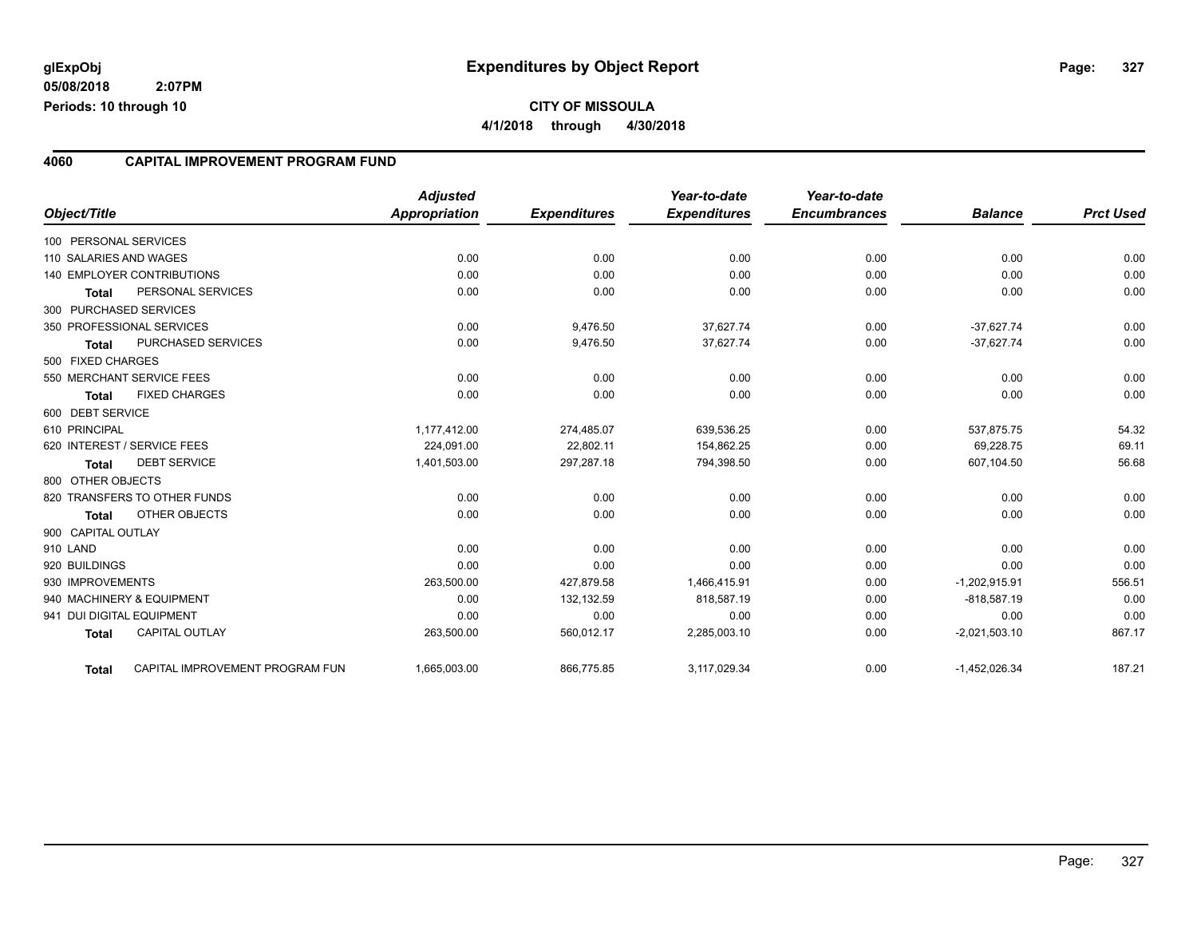### **4060 CAPITAL IMPROVEMENT PROGRAM FUND**

|                        |                                   | <b>Adjusted</b> |                     | Year-to-date        | Year-to-date        |                 |                  |
|------------------------|-----------------------------------|-----------------|---------------------|---------------------|---------------------|-----------------|------------------|
| Object/Title           |                                   | Appropriation   | <b>Expenditures</b> | <b>Expenditures</b> | <b>Encumbrances</b> | <b>Balance</b>  | <b>Prct Used</b> |
| 100 PERSONAL SERVICES  |                                   |                 |                     |                     |                     |                 |                  |
| 110 SALARIES AND WAGES |                                   | 0.00            | 0.00                | 0.00                | 0.00                | 0.00            | 0.00             |
|                        | <b>140 EMPLOYER CONTRIBUTIONS</b> | 0.00            | 0.00                | 0.00                | 0.00                | 0.00            | 0.00             |
| <b>Total</b>           | PERSONAL SERVICES                 | 0.00            | 0.00                | 0.00                | 0.00                | 0.00            | 0.00             |
|                        | 300 PURCHASED SERVICES            |                 |                     |                     |                     |                 |                  |
|                        | 350 PROFESSIONAL SERVICES         | 0.00            | 9,476.50            | 37,627.74           | 0.00                | $-37,627.74$    | 0.00             |
| <b>Total</b>           | PURCHASED SERVICES                | 0.00            | 9,476.50            | 37,627.74           | 0.00                | $-37,627.74$    | 0.00             |
| 500 FIXED CHARGES      |                                   |                 |                     |                     |                     |                 |                  |
|                        | 550 MERCHANT SERVICE FEES         | 0.00            | 0.00                | 0.00                | 0.00                | 0.00            | 0.00             |
| <b>Total</b>           | <b>FIXED CHARGES</b>              | 0.00            | 0.00                | 0.00                | 0.00                | 0.00            | 0.00             |
| 600 DEBT SERVICE       |                                   |                 |                     |                     |                     |                 |                  |
| 610 PRINCIPAL          |                                   | 1,177,412.00    | 274,485.07          | 639,536.25          | 0.00                | 537,875.75      | 54.32            |
|                        | 620 INTEREST / SERVICE FEES       | 224,091.00      | 22,802.11           | 154,862.25          | 0.00                | 69,228.75       | 69.11            |
| <b>Total</b>           | <b>DEBT SERVICE</b>               | 1,401,503.00    | 297,287.18          | 794,398.50          | 0.00                | 607,104.50      | 56.68            |
| 800 OTHER OBJECTS      |                                   |                 |                     |                     |                     |                 |                  |
|                        | 820 TRANSFERS TO OTHER FUNDS      | 0.00            | 0.00                | 0.00                | 0.00                | 0.00            | 0.00             |
| <b>Total</b>           | OTHER OBJECTS                     | 0.00            | 0.00                | 0.00                | 0.00                | 0.00            | 0.00             |
| 900 CAPITAL OUTLAY     |                                   |                 |                     |                     |                     |                 |                  |
| 910 LAND               |                                   | 0.00            | 0.00                | 0.00                | 0.00                | 0.00            | 0.00             |
| 920 BUILDINGS          |                                   | 0.00            | 0.00                | 0.00                | 0.00                | 0.00            | 0.00             |
| 930 IMPROVEMENTS       |                                   | 263,500.00      | 427,879.58          | 1,466,415.91        | 0.00                | $-1,202,915.91$ | 556.51           |
|                        | 940 MACHINERY & EQUIPMENT         | 0.00            | 132,132.59          | 818,587.19          | 0.00                | $-818,587.19$   | 0.00             |
|                        | 941 DUI DIGITAL EQUIPMENT         | 0.00            | 0.00                | 0.00                | 0.00                | 0.00            | 0.00             |
| <b>Total</b>           | <b>CAPITAL OUTLAY</b>             | 263,500.00      | 560,012.17          | 2,285,003.10        | 0.00                | $-2,021,503.10$ | 867.17           |
| <b>Total</b>           | CAPITAL IMPROVEMENT PROGRAM FUN   | 1,665,003.00    | 866,775.85          | 3,117,029.34        | 0.00                | $-1,452,026.34$ | 187.21           |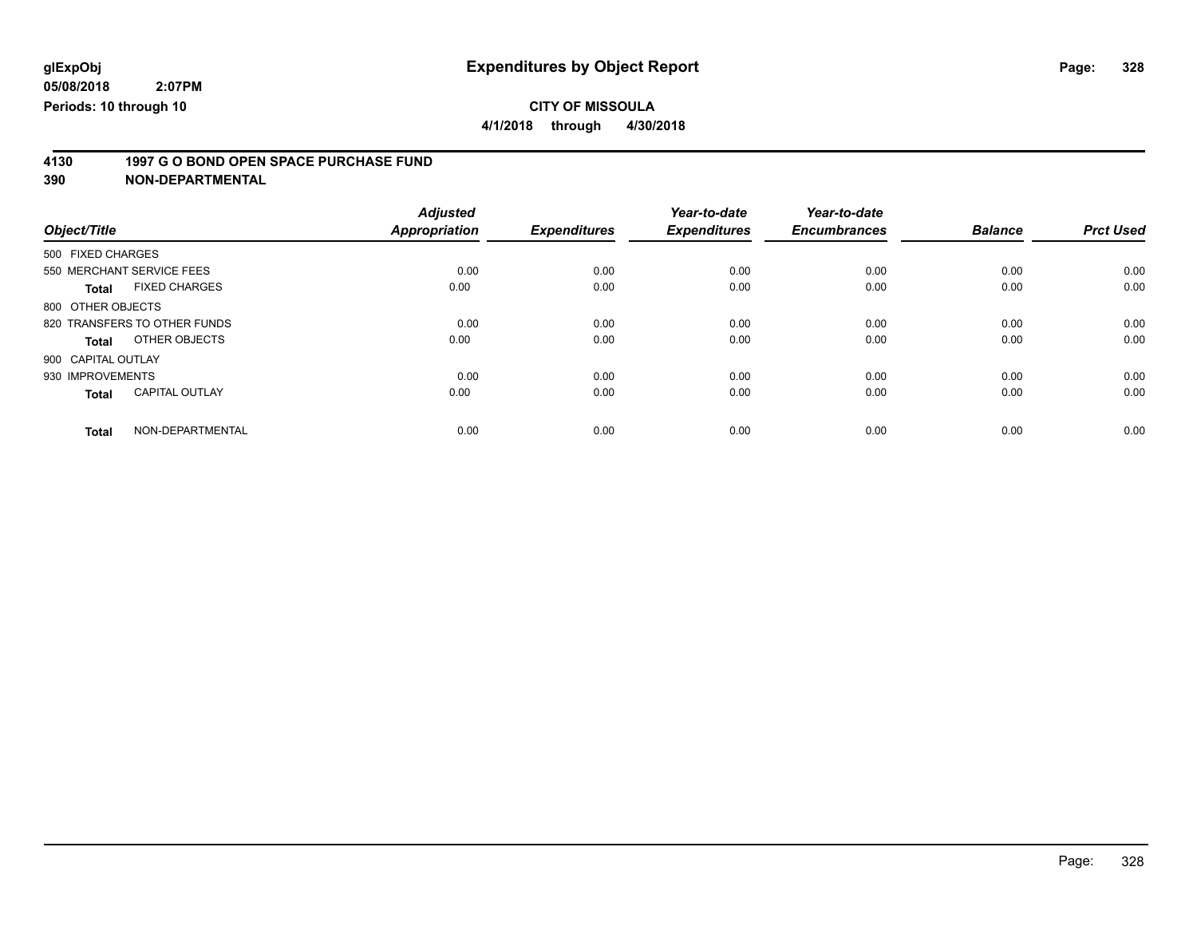# **CITY OF MISSOULA**

**4/1/2018 through 4/30/2018**

# **4130 1997 G O BOND OPEN SPACE PURCHASE FUND**

**390 NON-DEPARTMENTAL**

|                                       | <b>Adjusted</b>      |                     | Year-to-date        | Year-to-date        |                |                  |
|---------------------------------------|----------------------|---------------------|---------------------|---------------------|----------------|------------------|
| Object/Title                          | <b>Appropriation</b> | <b>Expenditures</b> | <b>Expenditures</b> | <b>Encumbrances</b> | <b>Balance</b> | <b>Prct Used</b> |
| 500 FIXED CHARGES                     |                      |                     |                     |                     |                |                  |
| 550 MERCHANT SERVICE FEES             | 0.00                 | 0.00                | 0.00                | 0.00                | 0.00           | 0.00             |
| <b>FIXED CHARGES</b><br><b>Total</b>  | 0.00                 | 0.00                | 0.00                | 0.00                | 0.00           | 0.00             |
| 800 OTHER OBJECTS                     |                      |                     |                     |                     |                |                  |
| 820 TRANSFERS TO OTHER FUNDS          | 0.00                 | 0.00                | 0.00                | 0.00                | 0.00           | 0.00             |
| OTHER OBJECTS<br>Total                | 0.00                 | 0.00                | 0.00                | 0.00                | 0.00           | 0.00             |
| 900 CAPITAL OUTLAY                    |                      |                     |                     |                     |                |                  |
| 930 IMPROVEMENTS                      | 0.00                 | 0.00                | 0.00                | 0.00                | 0.00           | 0.00             |
| <b>CAPITAL OUTLAY</b><br><b>Total</b> | 0.00                 | 0.00                | 0.00                | 0.00                | 0.00           | 0.00             |
| NON-DEPARTMENTAL<br><b>Total</b>      | 0.00                 | 0.00                | 0.00                | 0.00                | 0.00           | 0.00             |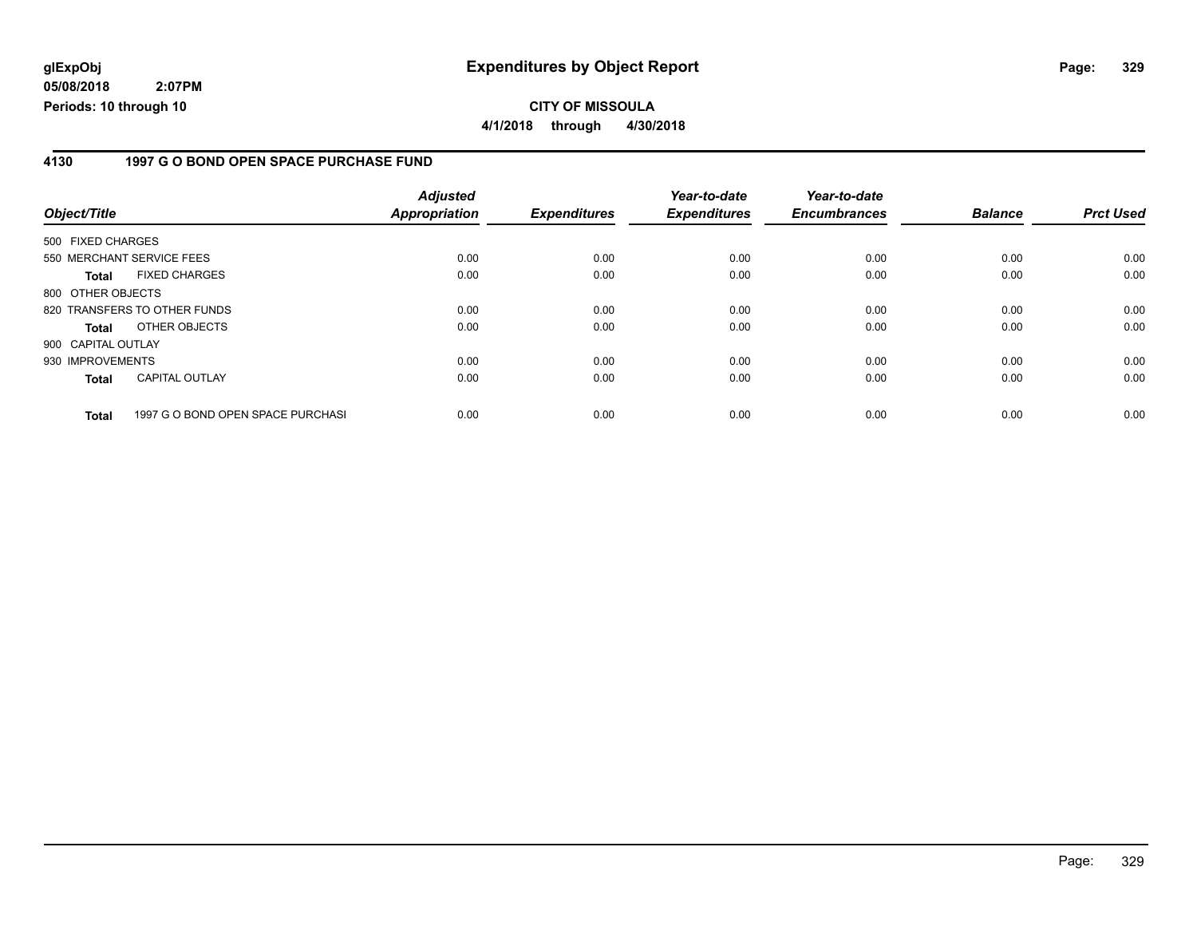### **4130 1997 G O BOND OPEN SPACE PURCHASE FUND**

| Object/Title       |                                   | <b>Adjusted</b><br><b>Appropriation</b> | <b>Expenditures</b> | Year-to-date<br><b>Expenditures</b> | Year-to-date<br><b>Encumbrances</b> | <b>Balance</b> | <b>Prct Used</b> |
|--------------------|-----------------------------------|-----------------------------------------|---------------------|-------------------------------------|-------------------------------------|----------------|------------------|
| 500 FIXED CHARGES  |                                   |                                         |                     |                                     |                                     |                |                  |
|                    | 550 MERCHANT SERVICE FEES         | 0.00                                    | 0.00                | 0.00                                | 0.00                                | 0.00           | 0.00             |
| <b>Total</b>       | <b>FIXED CHARGES</b>              | 0.00                                    | 0.00                | 0.00                                | 0.00                                | 0.00           | 0.00             |
| 800 OTHER OBJECTS  |                                   |                                         |                     |                                     |                                     |                |                  |
|                    | 820 TRANSFERS TO OTHER FUNDS      | 0.00                                    | 0.00                | 0.00                                | 0.00                                | 0.00           | 0.00             |
| Total              | OTHER OBJECTS                     | 0.00                                    | 0.00                | 0.00                                | 0.00                                | 0.00           | 0.00             |
| 900 CAPITAL OUTLAY |                                   |                                         |                     |                                     |                                     |                |                  |
| 930 IMPROVEMENTS   |                                   | 0.00                                    | 0.00                | 0.00                                | 0.00                                | 0.00           | 0.00             |
| <b>Total</b>       | CAPITAL OUTLAY                    | 0.00                                    | 0.00                | 0.00                                | 0.00                                | 0.00           | 0.00             |
| <b>Total</b>       | 1997 G O BOND OPEN SPACE PURCHASI | 0.00                                    | 0.00                | 0.00                                | 0.00                                | 0.00           | 0.00             |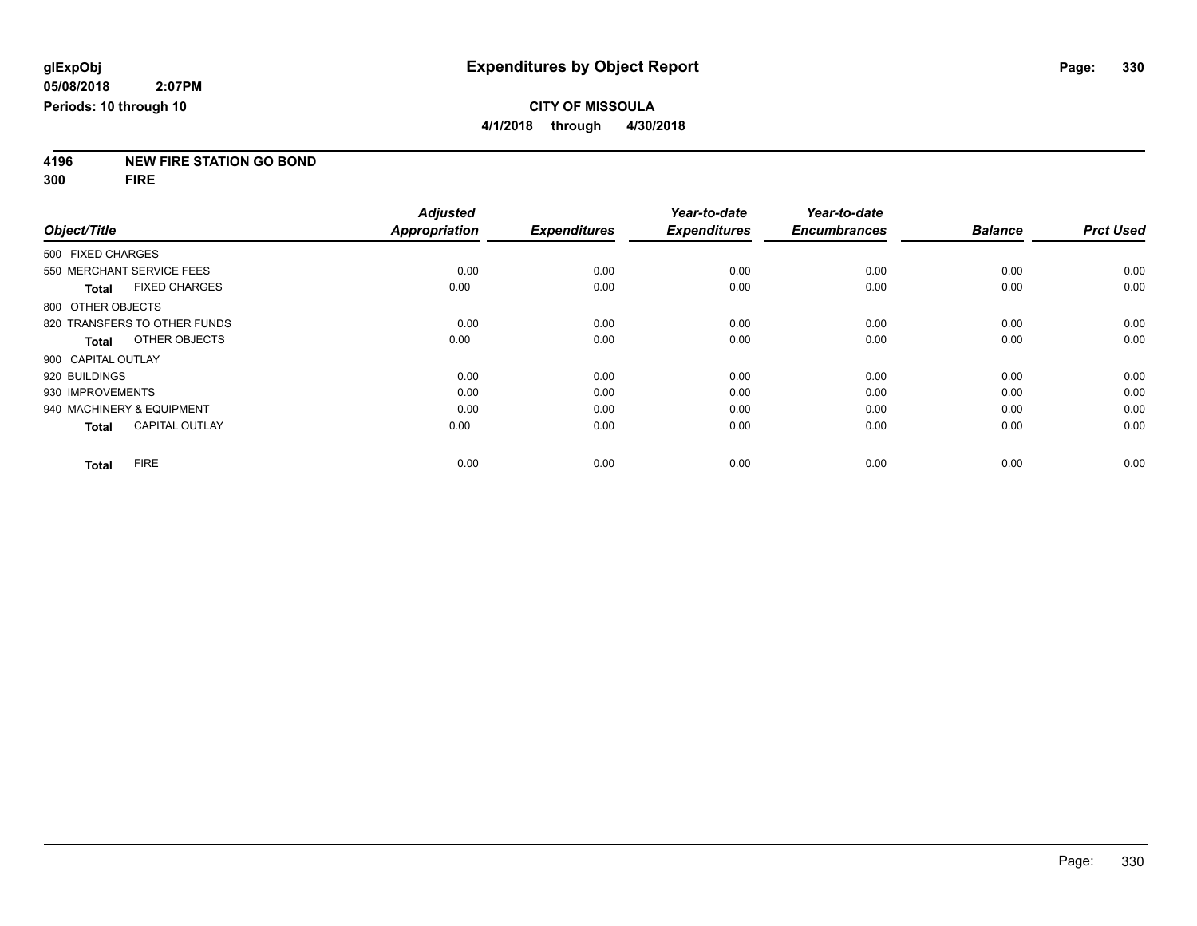# **CITY OF MISSOULA 4/1/2018 through 4/30/2018**

# **4196 NEW FIRE STATION GO BOND**

**300 FIRE**

|                                       | <b>Adjusted</b>      |                     | Year-to-date        | Year-to-date        |                |                  |
|---------------------------------------|----------------------|---------------------|---------------------|---------------------|----------------|------------------|
| Object/Title                          | <b>Appropriation</b> | <b>Expenditures</b> | <b>Expenditures</b> | <b>Encumbrances</b> | <b>Balance</b> | <b>Prct Used</b> |
| 500 FIXED CHARGES                     |                      |                     |                     |                     |                |                  |
| 550 MERCHANT SERVICE FEES             | 0.00                 | 0.00                | 0.00                | 0.00                | 0.00           | 0.00             |
| <b>FIXED CHARGES</b><br>Total         | 0.00                 | 0.00                | 0.00                | 0.00                | 0.00           | 0.00             |
| 800 OTHER OBJECTS                     |                      |                     |                     |                     |                |                  |
| 820 TRANSFERS TO OTHER FUNDS          | 0.00                 | 0.00                | 0.00                | 0.00                | 0.00           | 0.00             |
| OTHER OBJECTS<br>Total                | 0.00                 | 0.00                | 0.00                | 0.00                | 0.00           | 0.00             |
| 900 CAPITAL OUTLAY                    |                      |                     |                     |                     |                |                  |
| 920 BUILDINGS                         | 0.00                 | 0.00                | 0.00                | 0.00                | 0.00           | 0.00             |
| 930 IMPROVEMENTS                      | 0.00                 | 0.00                | 0.00                | 0.00                | 0.00           | 0.00             |
| 940 MACHINERY & EQUIPMENT             | 0.00                 | 0.00                | 0.00                | 0.00                | 0.00           | 0.00             |
| <b>CAPITAL OUTLAY</b><br><b>Total</b> | 0.00                 | 0.00                | 0.00                | 0.00                | 0.00           | 0.00             |
| <b>FIRE</b><br>Total                  | 0.00                 | 0.00                | 0.00                | 0.00                | 0.00           | 0.00             |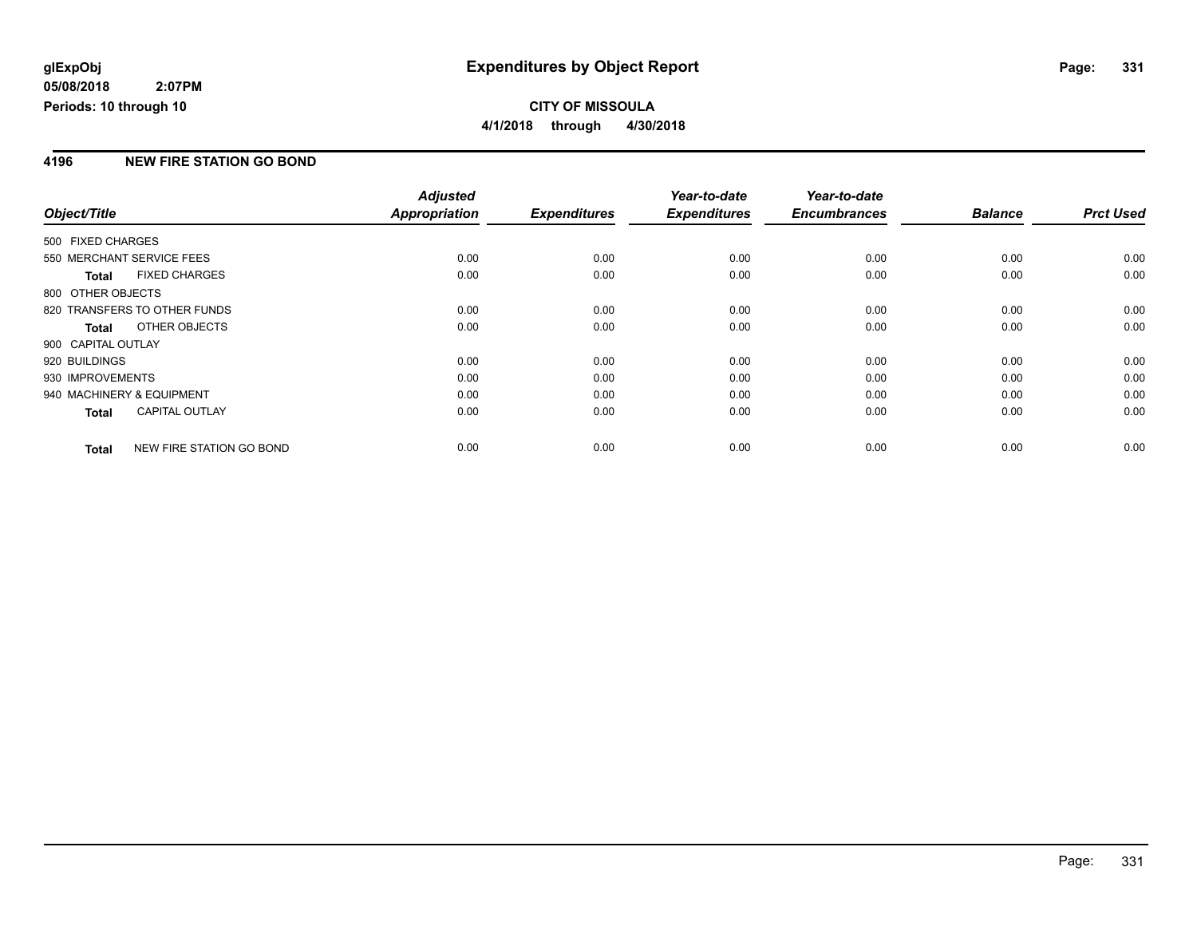# **CITY OF MISSOULA 4/1/2018 through 4/30/2018**

# **4196 NEW FIRE STATION GO BOND**

|                    |                              | <b>Adjusted</b>      |                     | Year-to-date        | Year-to-date        |                |                  |
|--------------------|------------------------------|----------------------|---------------------|---------------------|---------------------|----------------|------------------|
| Object/Title       |                              | <b>Appropriation</b> | <b>Expenditures</b> | <b>Expenditures</b> | <b>Encumbrances</b> | <b>Balance</b> | <b>Prct Used</b> |
| 500 FIXED CHARGES  |                              |                      |                     |                     |                     |                |                  |
|                    | 550 MERCHANT SERVICE FEES    | 0.00                 | 0.00                | 0.00                | 0.00                | 0.00           | 0.00             |
| <b>Total</b>       | <b>FIXED CHARGES</b>         | 0.00                 | 0.00                | 0.00                | 0.00                | 0.00           | 0.00             |
| 800 OTHER OBJECTS  |                              |                      |                     |                     |                     |                |                  |
|                    | 820 TRANSFERS TO OTHER FUNDS | 0.00                 | 0.00                | 0.00                | 0.00                | 0.00           | 0.00             |
| <b>Total</b>       | OTHER OBJECTS                | 0.00                 | 0.00                | 0.00                | 0.00                | 0.00           | 0.00             |
| 900 CAPITAL OUTLAY |                              |                      |                     |                     |                     |                |                  |
| 920 BUILDINGS      |                              | 0.00                 | 0.00                | 0.00                | 0.00                | 0.00           | 0.00             |
| 930 IMPROVEMENTS   |                              | 0.00                 | 0.00                | 0.00                | 0.00                | 0.00           | 0.00             |
|                    | 940 MACHINERY & EQUIPMENT    | 0.00                 | 0.00                | 0.00                | 0.00                | 0.00           | 0.00             |
| <b>Total</b>       | <b>CAPITAL OUTLAY</b>        | 0.00                 | 0.00                | 0.00                | 0.00                | 0.00           | 0.00             |
| <b>Total</b>       | NEW FIRE STATION GO BOND     | 0.00                 | 0.00                | 0.00                | 0.00                | 0.00           | 0.00             |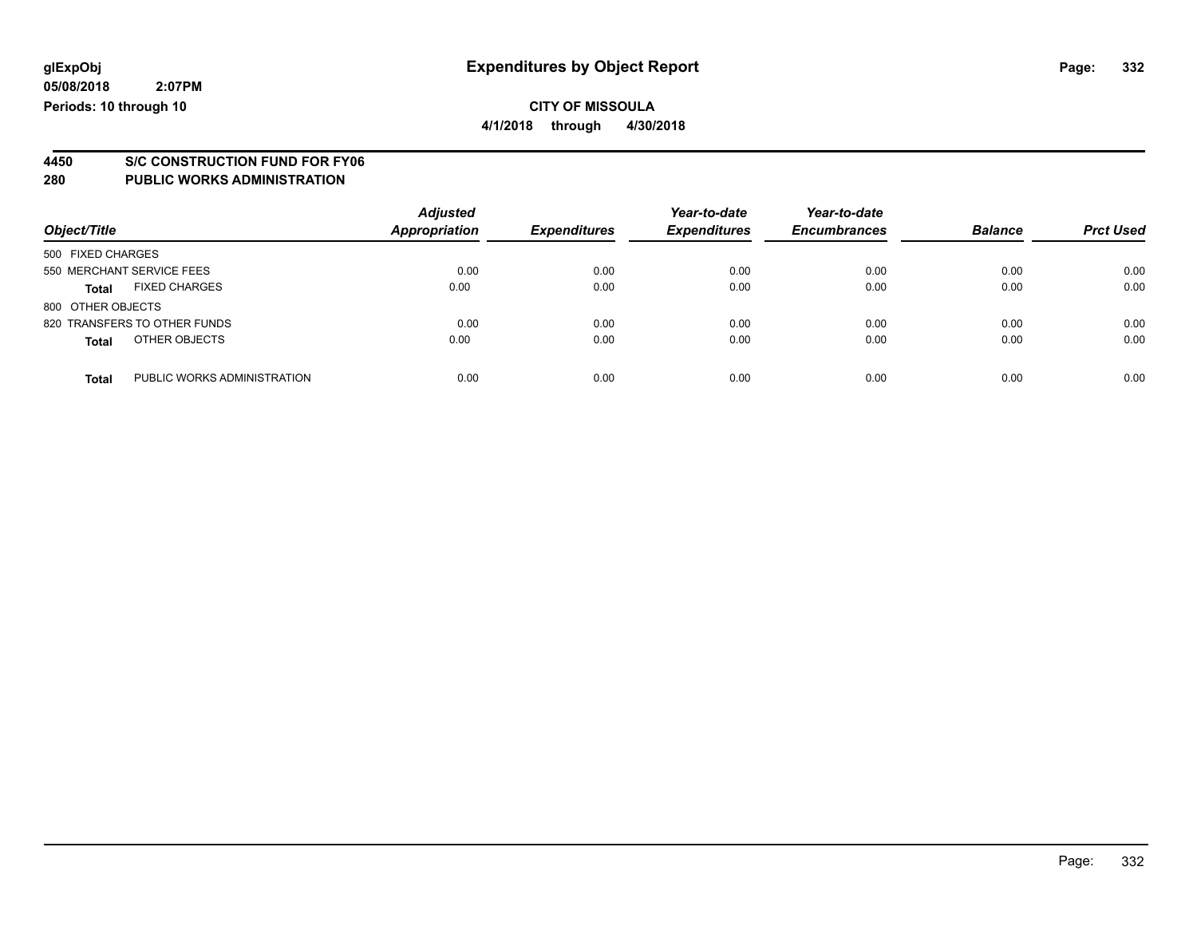# **4450 S/C CONSTRUCTION FUND FOR FY06**

| Object/Title                                | <b>Adjusted</b><br><b>Appropriation</b> | <b>Expenditures</b> | Year-to-date<br><b>Expenditures</b> | Year-to-date<br><b>Encumbrances</b> | <b>Balance</b> | <b>Prct Used</b> |
|---------------------------------------------|-----------------------------------------|---------------------|-------------------------------------|-------------------------------------|----------------|------------------|
| 500 FIXED CHARGES                           |                                         |                     |                                     |                                     |                |                  |
| 550 MERCHANT SERVICE FEES                   | 0.00                                    | 0.00                | 0.00                                | 0.00                                | 0.00           | 0.00             |
| <b>FIXED CHARGES</b><br><b>Total</b>        | 0.00                                    | 0.00                | 0.00                                | 0.00                                | 0.00           | 0.00             |
| 800 OTHER OBJECTS                           |                                         |                     |                                     |                                     |                |                  |
| 820 TRANSFERS TO OTHER FUNDS                | 0.00                                    | 0.00                | 0.00                                | 0.00                                | 0.00           | 0.00             |
| OTHER OBJECTS<br><b>Total</b>               | 0.00                                    | 0.00                | 0.00                                | 0.00                                | 0.00           | 0.00             |
| PUBLIC WORKS ADMINISTRATION<br><b>Total</b> | 0.00                                    | 0.00                | 0.00                                | 0.00                                | 0.00           | 0.00             |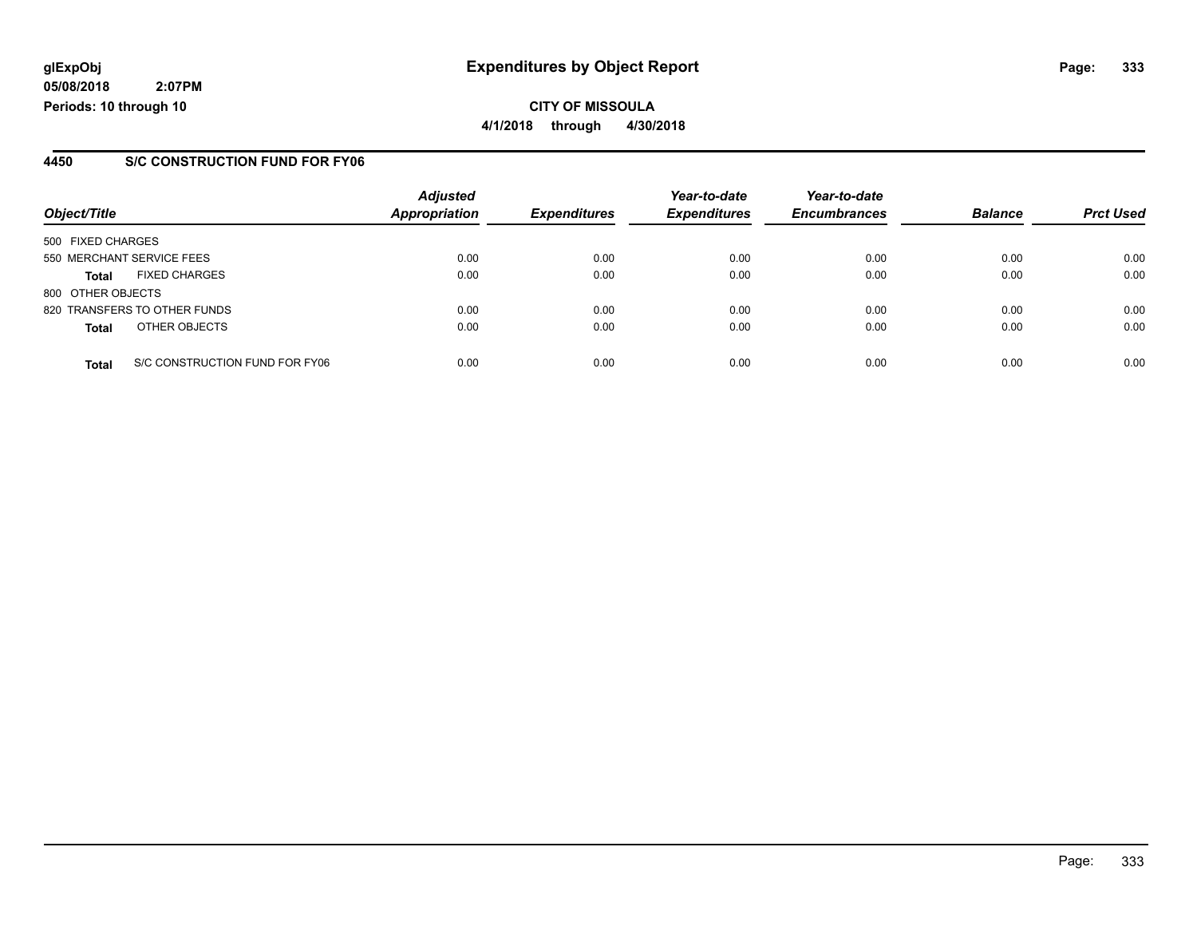**CITY OF MISSOULA 4/1/2018 through 4/30/2018**

### **4450 S/C CONSTRUCTION FUND FOR FY06**

|                   |                                | <b>Adjusted</b> |                     | Year-to-date        | Year-to-date        |                |                  |
|-------------------|--------------------------------|-----------------|---------------------|---------------------|---------------------|----------------|------------------|
| Object/Title      |                                | Appropriation   | <b>Expenditures</b> | <b>Expenditures</b> | <b>Encumbrances</b> | <b>Balance</b> | <b>Prct Used</b> |
| 500 FIXED CHARGES |                                |                 |                     |                     |                     |                |                  |
|                   | 550 MERCHANT SERVICE FEES      | 0.00            | 0.00                | 0.00                | 0.00                | 0.00           | 0.00             |
| <b>Total</b>      | <b>FIXED CHARGES</b>           | 0.00            | 0.00                | 0.00                | 0.00                | 0.00           | 0.00             |
| 800 OTHER OBJECTS |                                |                 |                     |                     |                     |                |                  |
|                   | 820 TRANSFERS TO OTHER FUNDS   | 0.00            | 0.00                | 0.00                | 0.00                | 0.00           | 0.00             |
| <b>Total</b>      | OTHER OBJECTS                  | 0.00            | 0.00                | 0.00                | 0.00                | 0.00           | 0.00             |
| <b>Total</b>      | S/C CONSTRUCTION FUND FOR FY06 | 0.00            | 0.00                | 0.00                | 0.00                | 0.00           | 0.00             |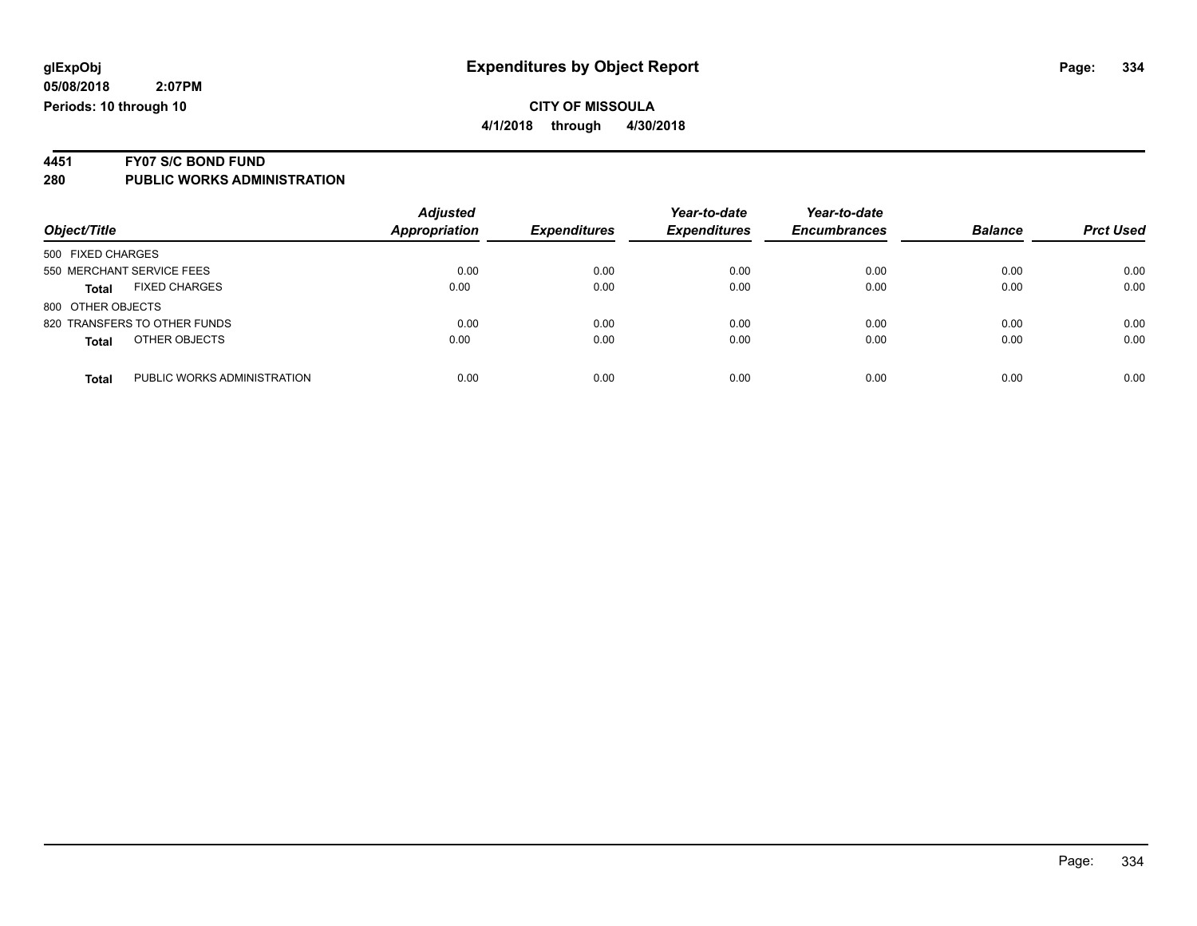# **CITY OF MISSOULA 4/1/2018 through 4/30/2018**

**4451 FY07 S/C BOND FUND 280 PUBLIC WORKS ADMINISTRATION**

|                                      | <b>Adjusted</b>      |                     | Year-to-date        | Year-to-date        |                |                  |
|--------------------------------------|----------------------|---------------------|---------------------|---------------------|----------------|------------------|
| Object/Title                         | <b>Appropriation</b> | <b>Expenditures</b> | <b>Expenditures</b> | <b>Encumbrances</b> | <b>Balance</b> | <b>Prct Used</b> |
| 500 FIXED CHARGES                    |                      |                     |                     |                     |                |                  |
| 550 MERCHANT SERVICE FEES            | 0.00                 | 0.00                | 0.00                | 0.00                | 0.00           | 0.00             |
| <b>FIXED CHARGES</b><br><b>Total</b> | 0.00                 | 0.00                | 0.00                | 0.00                | 0.00           | 0.00             |
| 800 OTHER OBJECTS                    |                      |                     |                     |                     |                |                  |
| 820 TRANSFERS TO OTHER FUNDS         | 0.00                 | 0.00                | 0.00                | 0.00                | 0.00           | 0.00             |
| OTHER OBJECTS<br><b>Total</b>        | 0.00                 | 0.00                | 0.00                | 0.00                | 0.00           | 0.00             |
| PUBLIC WORKS ADMINISTRATION<br>Total | 0.00                 | 0.00                | 0.00                | 0.00                | 0.00           | 0.00             |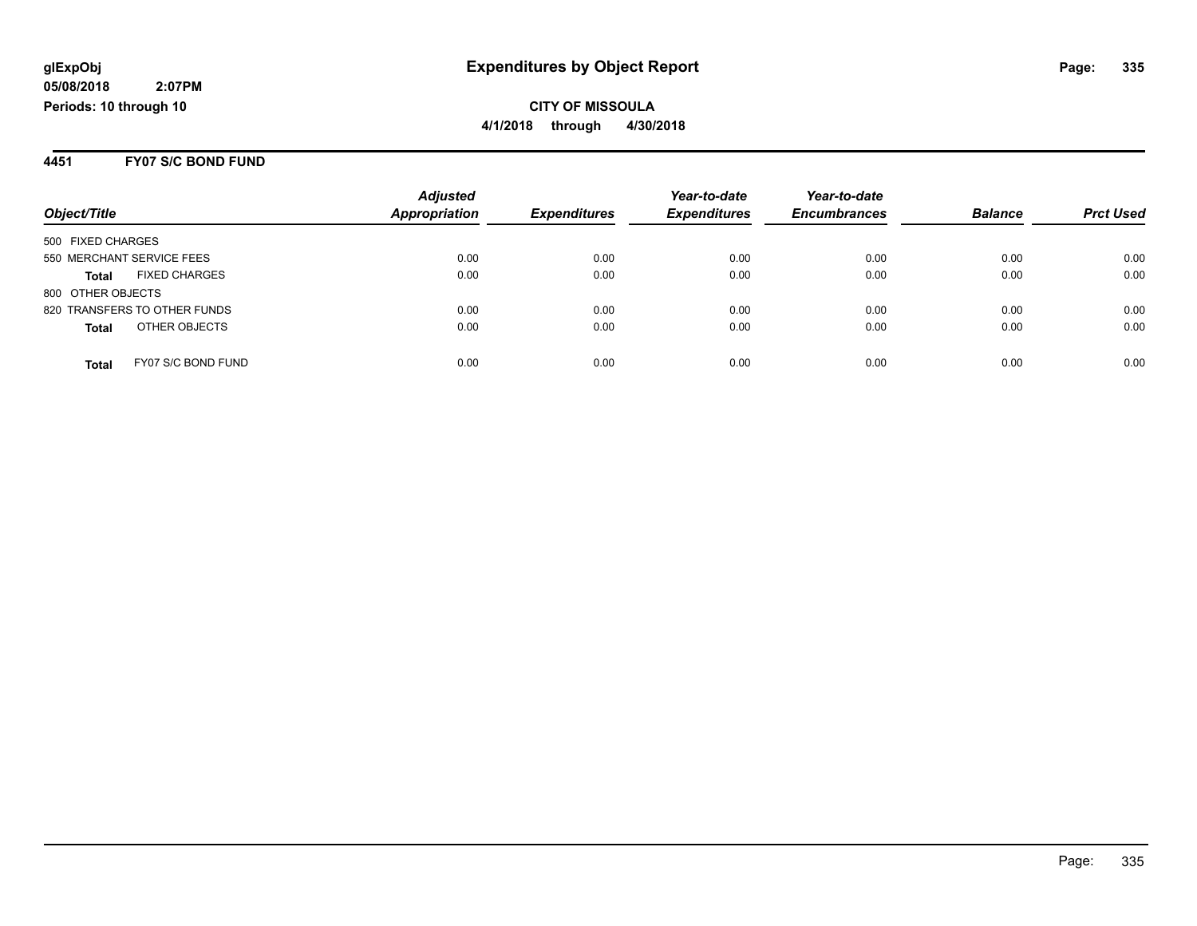**CITY OF MISSOULA 4/1/2018 through 4/30/2018**

### **4451 FY07 S/C BOND FUND**

|                                    | <b>Adjusted</b>      |                     | Year-to-date        | Year-to-date        |                |                  |
|------------------------------------|----------------------|---------------------|---------------------|---------------------|----------------|------------------|
| Object/Title                       | <b>Appropriation</b> | <b>Expenditures</b> | <b>Expenditures</b> | <b>Encumbrances</b> | <b>Balance</b> | <b>Prct Used</b> |
| 500 FIXED CHARGES                  |                      |                     |                     |                     |                |                  |
| 550 MERCHANT SERVICE FEES          | 0.00                 | 0.00                | 0.00                | 0.00                | 0.00           | 0.00             |
| <b>FIXED CHARGES</b><br>Total      | 0.00                 | 0.00                | 0.00                | 0.00                | 0.00           | 0.00             |
| 800 OTHER OBJECTS                  |                      |                     |                     |                     |                |                  |
| 820 TRANSFERS TO OTHER FUNDS       | 0.00                 | 0.00                | 0.00                | 0.00                | 0.00           | 0.00             |
| OTHER OBJECTS<br><b>Total</b>      | 0.00                 | 0.00                | 0.00                | 0.00                | 0.00           | 0.00             |
| FY07 S/C BOND FUND<br><b>Total</b> | 0.00                 | 0.00                | 0.00                | 0.00                | 0.00           | 0.00             |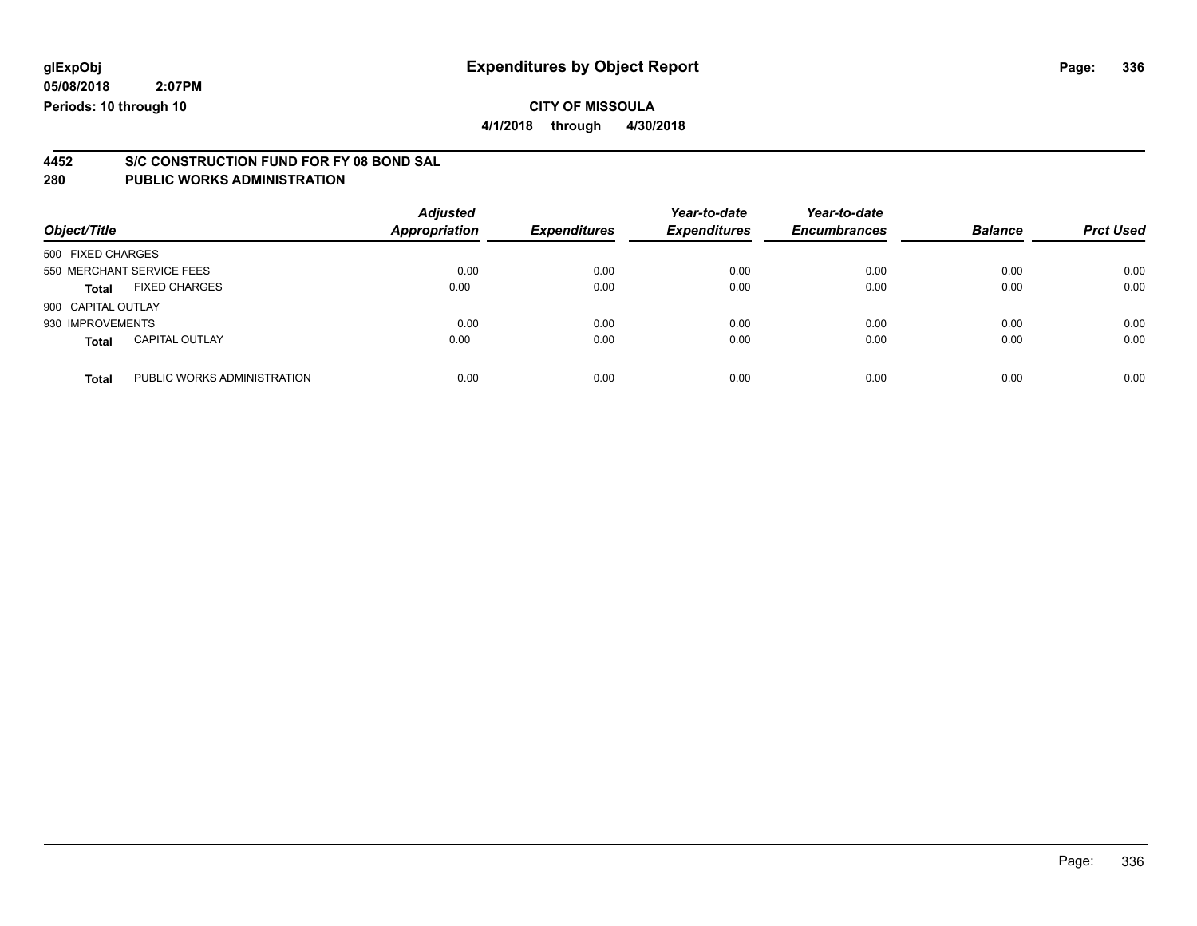# **CITY OF MISSOULA 4/1/2018 through 4/30/2018**

# **4452 S/C CONSTRUCTION FUND FOR FY 08 BOND SAL**

| Object/Title              |                             | <b>Adjusted</b><br>Appropriation | <b>Expenditures</b> | Year-to-date<br><b>Expenditures</b> | Year-to-date<br><b>Encumbrances</b> | <b>Balance</b> | <b>Prct Used</b> |
|---------------------------|-----------------------------|----------------------------------|---------------------|-------------------------------------|-------------------------------------|----------------|------------------|
| 500 FIXED CHARGES         |                             |                                  |                     |                                     |                                     |                |                  |
| 550 MERCHANT SERVICE FEES |                             | 0.00                             | 0.00                | 0.00                                | 0.00                                | 0.00           | 0.00             |
| Total                     | <b>FIXED CHARGES</b>        | 0.00                             | 0.00                | 0.00                                | 0.00                                | 0.00           | 0.00             |
| 900 CAPITAL OUTLAY        |                             |                                  |                     |                                     |                                     |                |                  |
| 930 IMPROVEMENTS          |                             | 0.00                             | 0.00                | 0.00                                | 0.00                                | 0.00           | 0.00             |
| <b>Total</b>              | <b>CAPITAL OUTLAY</b>       | 0.00                             | 0.00                | 0.00                                | 0.00                                | 0.00           | 0.00             |
| <b>Total</b>              | PUBLIC WORKS ADMINISTRATION | 0.00                             | 0.00                | 0.00                                | 0.00                                | 0.00           | 0.00             |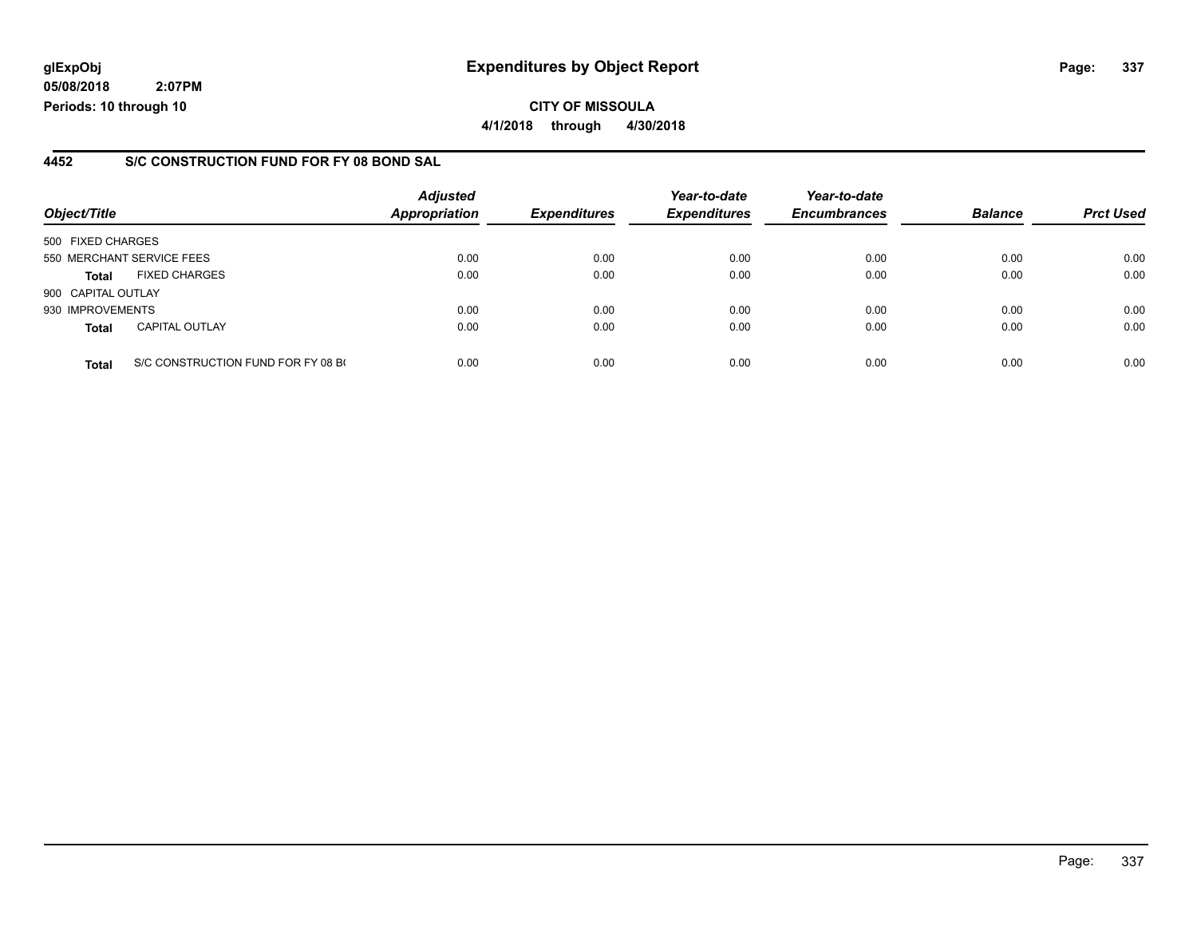# **glExpObj Expenditures by Object Report Page: 337**

**05/08/2018 2:07PM Periods: 10 through 10**

# **4452 S/C CONSTRUCTION FUND FOR FY 08 BOND SAL**

| Object/Title       |                                    | <b>Adjusted</b><br><b>Appropriation</b> | <b>Expenditures</b> | Year-to-date<br><b>Expenditures</b> | Year-to-date<br><b>Encumbrances</b> | <b>Balance</b> | <b>Prct Used</b> |
|--------------------|------------------------------------|-----------------------------------------|---------------------|-------------------------------------|-------------------------------------|----------------|------------------|
| 500 FIXED CHARGES  |                                    |                                         |                     |                                     |                                     |                |                  |
|                    | 550 MERCHANT SERVICE FEES          | 0.00                                    | 0.00                | 0.00                                | 0.00                                | 0.00           | 0.00             |
| <b>Total</b>       | <b>FIXED CHARGES</b>               | 0.00                                    | 0.00                | 0.00                                | 0.00                                | 0.00           | 0.00             |
| 900 CAPITAL OUTLAY |                                    |                                         |                     |                                     |                                     |                |                  |
| 930 IMPROVEMENTS   |                                    | 0.00                                    | 0.00                | 0.00                                | 0.00                                | 0.00           | 0.00             |
| <b>Total</b>       | <b>CAPITAL OUTLAY</b>              | 0.00                                    | 0.00                | 0.00                                | 0.00                                | 0.00           | 0.00             |
| <b>Total</b>       | S/C CONSTRUCTION FUND FOR FY 08 BO | 0.00                                    | 0.00                | 0.00                                | 0.00                                | 0.00           | 0.00             |

Page: 337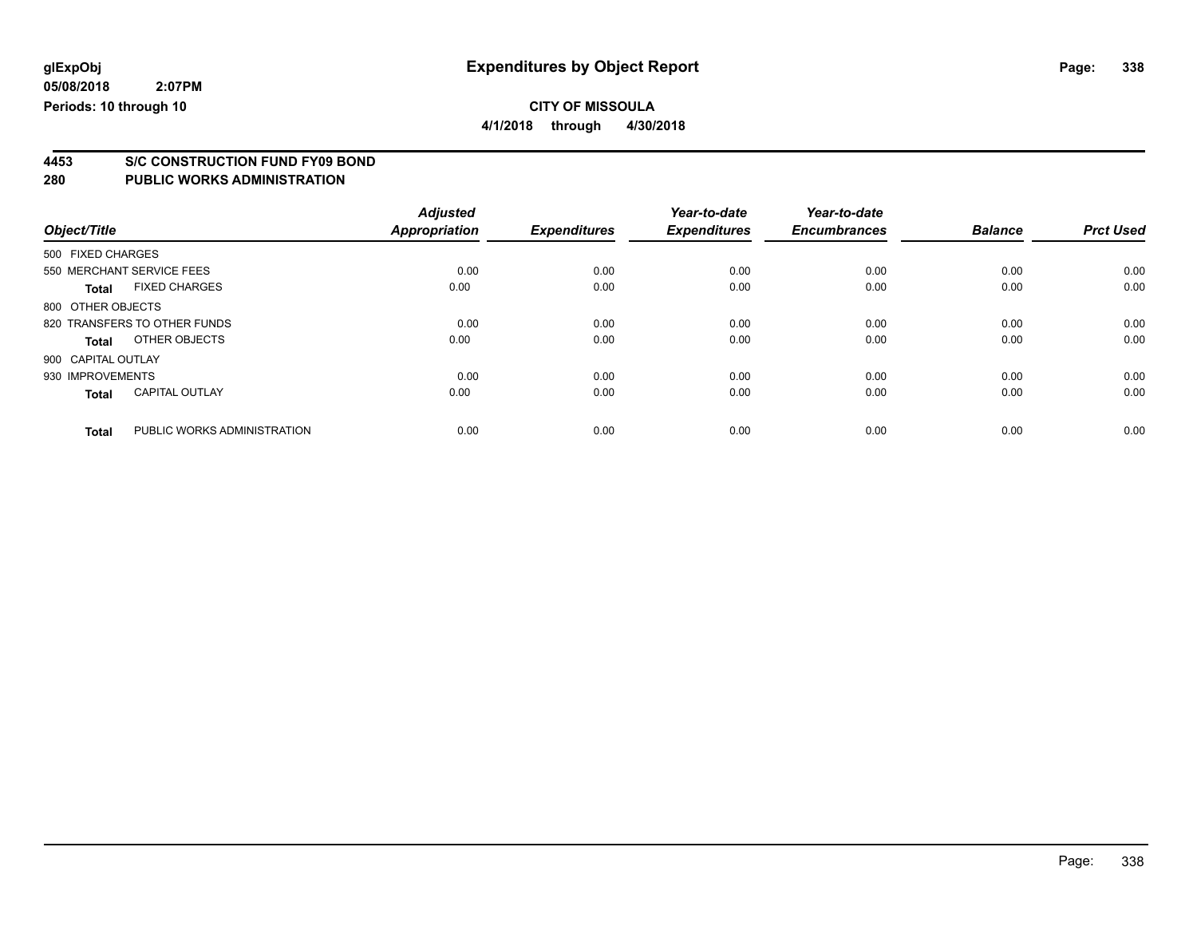# **4453 S/C CONSTRUCTION FUND FY09 BOND**

| Object/Title       |                              | <b>Adjusted</b><br>Appropriation | <b>Expenditures</b> | Year-to-date<br><b>Expenditures</b> | Year-to-date<br><b>Encumbrances</b> | <b>Balance</b> | <b>Prct Used</b> |
|--------------------|------------------------------|----------------------------------|---------------------|-------------------------------------|-------------------------------------|----------------|------------------|
| 500 FIXED CHARGES  |                              |                                  |                     |                                     |                                     |                |                  |
|                    | 550 MERCHANT SERVICE FEES    | 0.00                             | 0.00                | 0.00                                | 0.00                                | 0.00           | 0.00             |
| <b>Total</b>       | <b>FIXED CHARGES</b>         | 0.00                             | 0.00                | 0.00                                | 0.00                                | 0.00           | 0.00             |
| 800 OTHER OBJECTS  |                              |                                  |                     |                                     |                                     |                |                  |
|                    | 820 TRANSFERS TO OTHER FUNDS | 0.00                             | 0.00                | 0.00                                | 0.00                                | 0.00           | 0.00             |
| Total              | OTHER OBJECTS                | 0.00                             | 0.00                | 0.00                                | 0.00                                | 0.00           | 0.00             |
| 900 CAPITAL OUTLAY |                              |                                  |                     |                                     |                                     |                |                  |
| 930 IMPROVEMENTS   |                              | 0.00                             | 0.00                | 0.00                                | 0.00                                | 0.00           | 0.00             |
| <b>Total</b>       | <b>CAPITAL OUTLAY</b>        | 0.00                             | 0.00                | 0.00                                | 0.00                                | 0.00           | 0.00             |
| <b>Total</b>       | PUBLIC WORKS ADMINISTRATION  | 0.00                             | 0.00                | 0.00                                | 0.00                                | 0.00           | 0.00             |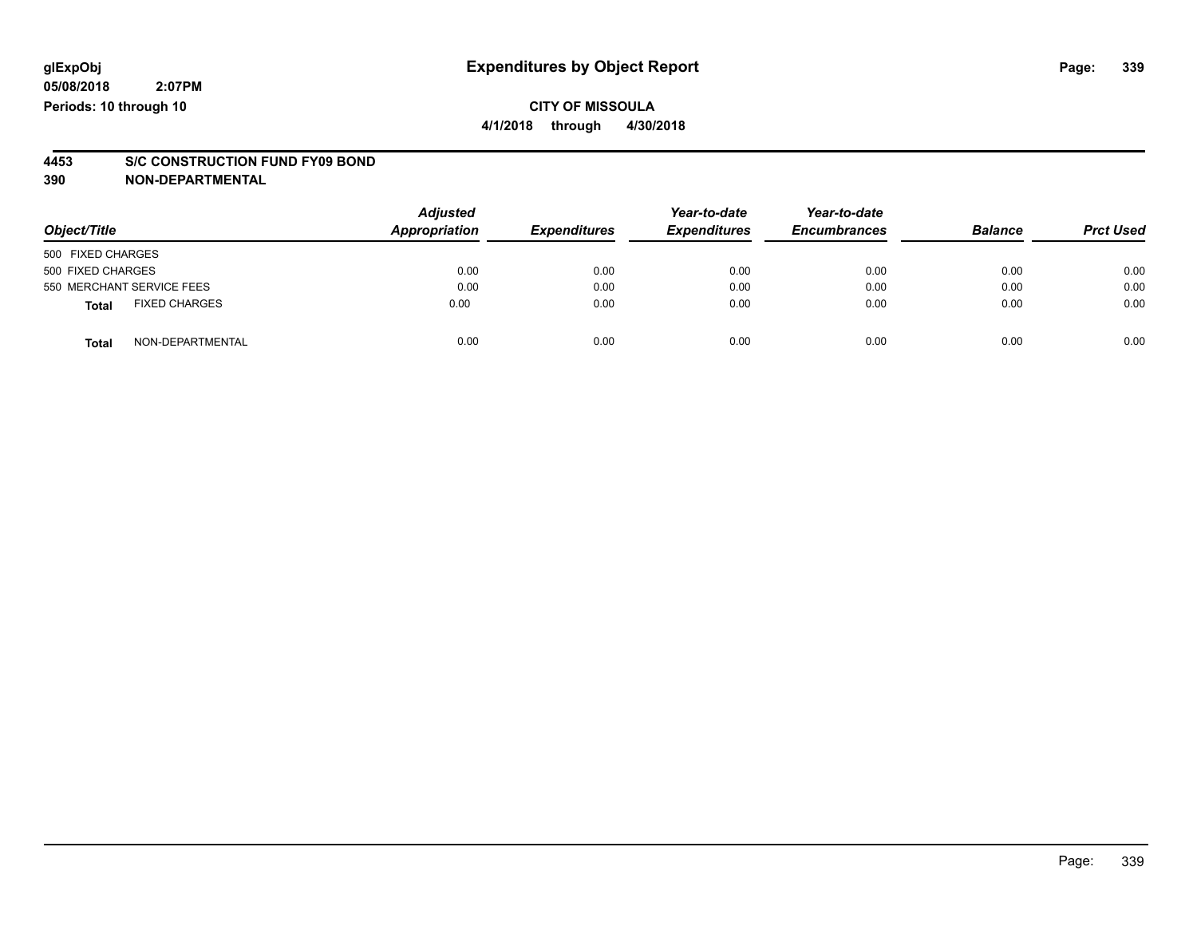# **CITY OF MISSOULA 4/1/2018 through 4/30/2018**

# **4453 S/C CONSTRUCTION FUND FY09 BOND**

**390 NON-DEPARTMENTAL**

| Object/Title                         | <b>Adjusted</b><br>Appropriation | <b>Expenditures</b> | Year-to-date<br><b>Expenditures</b> | Year-to-date<br><b>Encumbrances</b> | <b>Balance</b> | <b>Prct Used</b> |
|--------------------------------------|----------------------------------|---------------------|-------------------------------------|-------------------------------------|----------------|------------------|
| 500 FIXED CHARGES                    |                                  |                     |                                     |                                     |                |                  |
| 500 FIXED CHARGES                    | 0.00                             | 0.00                | 0.00                                | 0.00                                | 0.00           | 0.00             |
| 550 MERCHANT SERVICE FEES            | 0.00                             | 0.00                | 0.00                                | 0.00                                | 0.00           | 0.00             |
| <b>FIXED CHARGES</b><br><b>Total</b> | 0.00                             | 0.00                | 0.00                                | 0.00                                | 0.00           | 0.00             |
| NON-DEPARTMENTAL<br><b>Total</b>     | 0.00                             | 0.00                | 0.00                                | 0.00                                | 0.00           | 0.00             |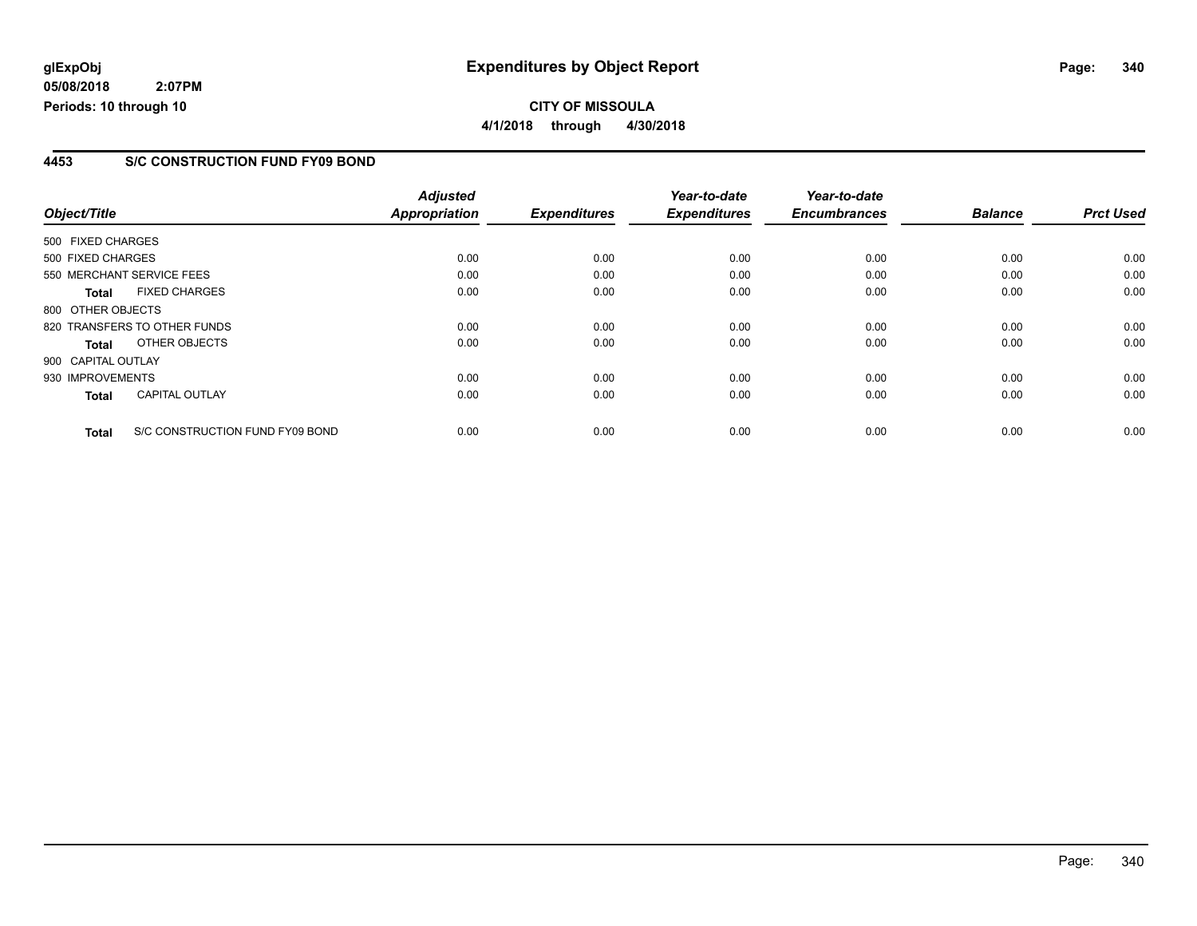**CITY OF MISSOULA 4/1/2018 through 4/30/2018**

## **4453 S/C CONSTRUCTION FUND FY09 BOND**

|                    |                                 | <b>Adjusted</b> |                     | Year-to-date        | Year-to-date        |                |                  |
|--------------------|---------------------------------|-----------------|---------------------|---------------------|---------------------|----------------|------------------|
| Object/Title       |                                 | Appropriation   | <b>Expenditures</b> | <b>Expenditures</b> | <b>Encumbrances</b> | <b>Balance</b> | <b>Prct Used</b> |
| 500 FIXED CHARGES  |                                 |                 |                     |                     |                     |                |                  |
| 500 FIXED CHARGES  |                                 | 0.00            | 0.00                | 0.00                | 0.00                | 0.00           | 0.00             |
|                    | 550 MERCHANT SERVICE FEES       | 0.00            | 0.00                | 0.00                | 0.00                | 0.00           | 0.00             |
| <b>Total</b>       | <b>FIXED CHARGES</b>            | 0.00            | 0.00                | 0.00                | 0.00                | 0.00           | 0.00             |
| 800 OTHER OBJECTS  |                                 |                 |                     |                     |                     |                |                  |
|                    | 820 TRANSFERS TO OTHER FUNDS    | 0.00            | 0.00                | 0.00                | 0.00                | 0.00           | 0.00             |
| Total              | OTHER OBJECTS                   | 0.00            | 0.00                | 0.00                | 0.00                | 0.00           | 0.00             |
| 900 CAPITAL OUTLAY |                                 |                 |                     |                     |                     |                |                  |
| 930 IMPROVEMENTS   |                                 | 0.00            | 0.00                | 0.00                | 0.00                | 0.00           | 0.00             |
| <b>Total</b>       | <b>CAPITAL OUTLAY</b>           | 0.00            | 0.00                | 0.00                | 0.00                | 0.00           | 0.00             |
| <b>Total</b>       | S/C CONSTRUCTION FUND FY09 BOND | 0.00            | 0.00                | 0.00                | 0.00                | 0.00           | 0.00             |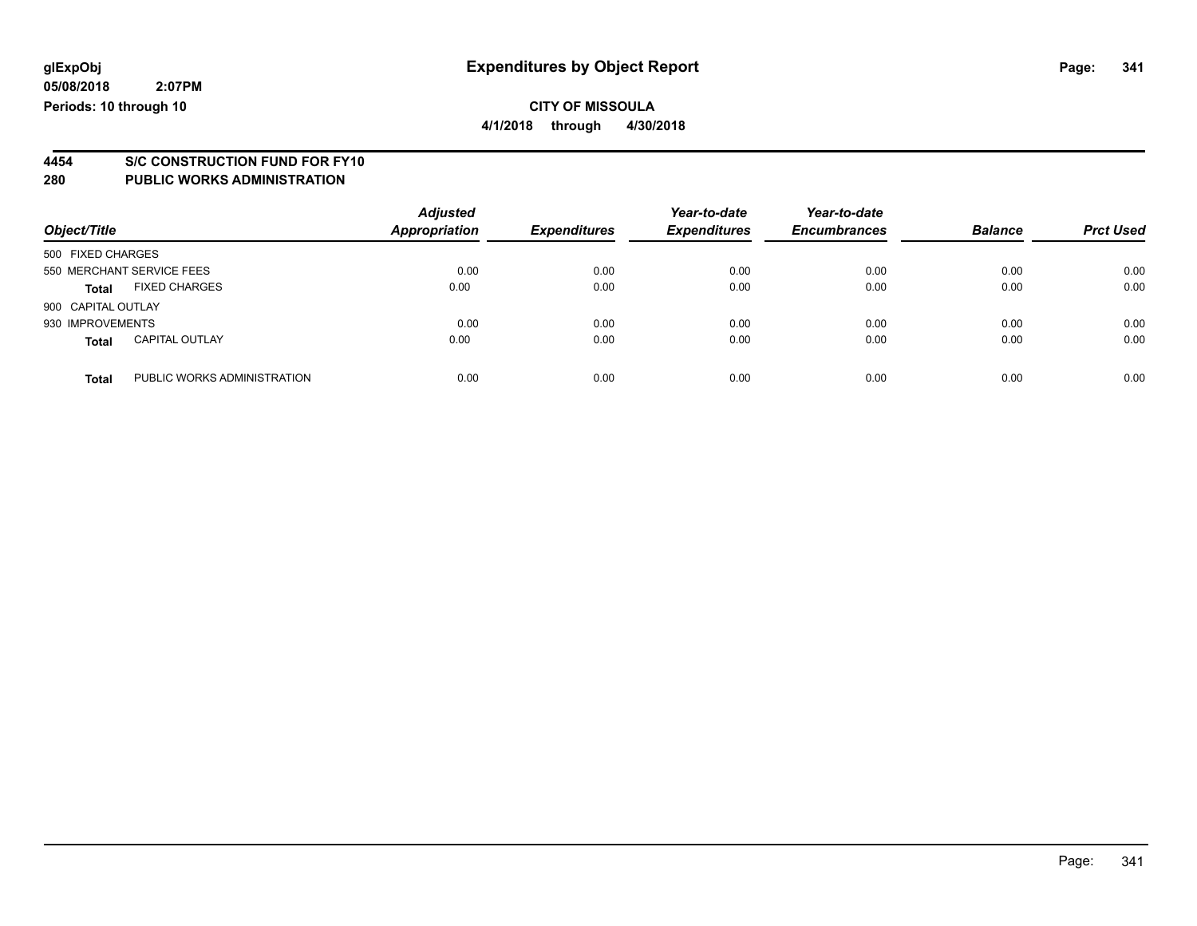# **CITY OF MISSOULA 4/1/2018 through 4/30/2018**

# **4454 S/C CONSTRUCTION FUND FOR FY10**

| Object/Title                                | <b>Adjusted</b><br><b>Appropriation</b> | <b>Expenditures</b> | Year-to-date<br><b>Expenditures</b> | Year-to-date<br><b>Encumbrances</b> | <b>Balance</b> | <b>Prct Used</b> |
|---------------------------------------------|-----------------------------------------|---------------------|-------------------------------------|-------------------------------------|----------------|------------------|
| 500 FIXED CHARGES                           |                                         |                     |                                     |                                     |                |                  |
| 550 MERCHANT SERVICE FEES                   | 0.00                                    | 0.00                | 0.00                                | 0.00                                | 0.00           | 0.00             |
| <b>FIXED CHARGES</b><br><b>Total</b>        | 0.00                                    | 0.00                | 0.00                                | 0.00                                | 0.00           | 0.00             |
| 900 CAPITAL OUTLAY                          |                                         |                     |                                     |                                     |                |                  |
| 930 IMPROVEMENTS                            | 0.00                                    | 0.00                | 0.00                                | 0.00                                | 0.00           | 0.00             |
| <b>CAPITAL OUTLAY</b><br><b>Total</b>       | 0.00                                    | 0.00                | 0.00                                | 0.00                                | 0.00           | 0.00             |
| PUBLIC WORKS ADMINISTRATION<br><b>Total</b> | 0.00                                    | 0.00                | 0.00                                | 0.00                                | 0.00           | 0.00             |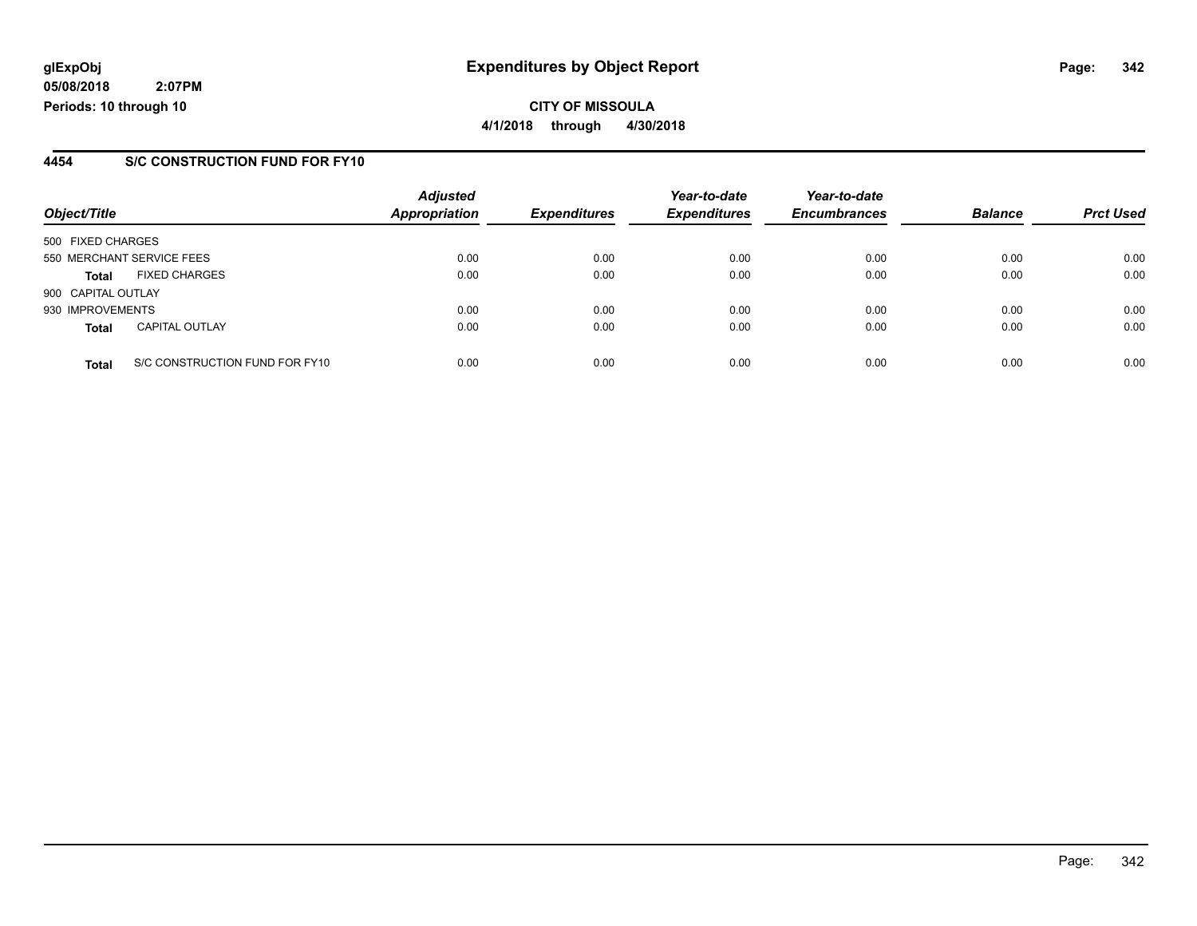**CITY OF MISSOULA 4/1/2018 through 4/30/2018**

### **4454 S/C CONSTRUCTION FUND FOR FY10**

|                    |                                | <b>Adjusted</b>      |                     | Year-to-date        | Year-to-date        |                |                  |
|--------------------|--------------------------------|----------------------|---------------------|---------------------|---------------------|----------------|------------------|
| Object/Title       |                                | <b>Appropriation</b> | <b>Expenditures</b> | <b>Expenditures</b> | <b>Encumbrances</b> | <b>Balance</b> | <b>Prct Used</b> |
| 500 FIXED CHARGES  |                                |                      |                     |                     |                     |                |                  |
|                    | 550 MERCHANT SERVICE FEES      | 0.00                 | 0.00                | 0.00                | 0.00                | 0.00           | 0.00             |
| <b>Total</b>       | <b>FIXED CHARGES</b>           | 0.00                 | 0.00                | 0.00                | 0.00                | 0.00           | 0.00             |
| 900 CAPITAL OUTLAY |                                |                      |                     |                     |                     |                |                  |
| 930 IMPROVEMENTS   |                                | 0.00                 | 0.00                | 0.00                | 0.00                | 0.00           | 0.00             |
| <b>Total</b>       | <b>CAPITAL OUTLAY</b>          | 0.00                 | 0.00                | 0.00                | 0.00                | 0.00           | 0.00             |
| <b>Total</b>       | S/C CONSTRUCTION FUND FOR FY10 | 0.00                 | 0.00                | 0.00                | 0.00                | 0.00           | 0.00             |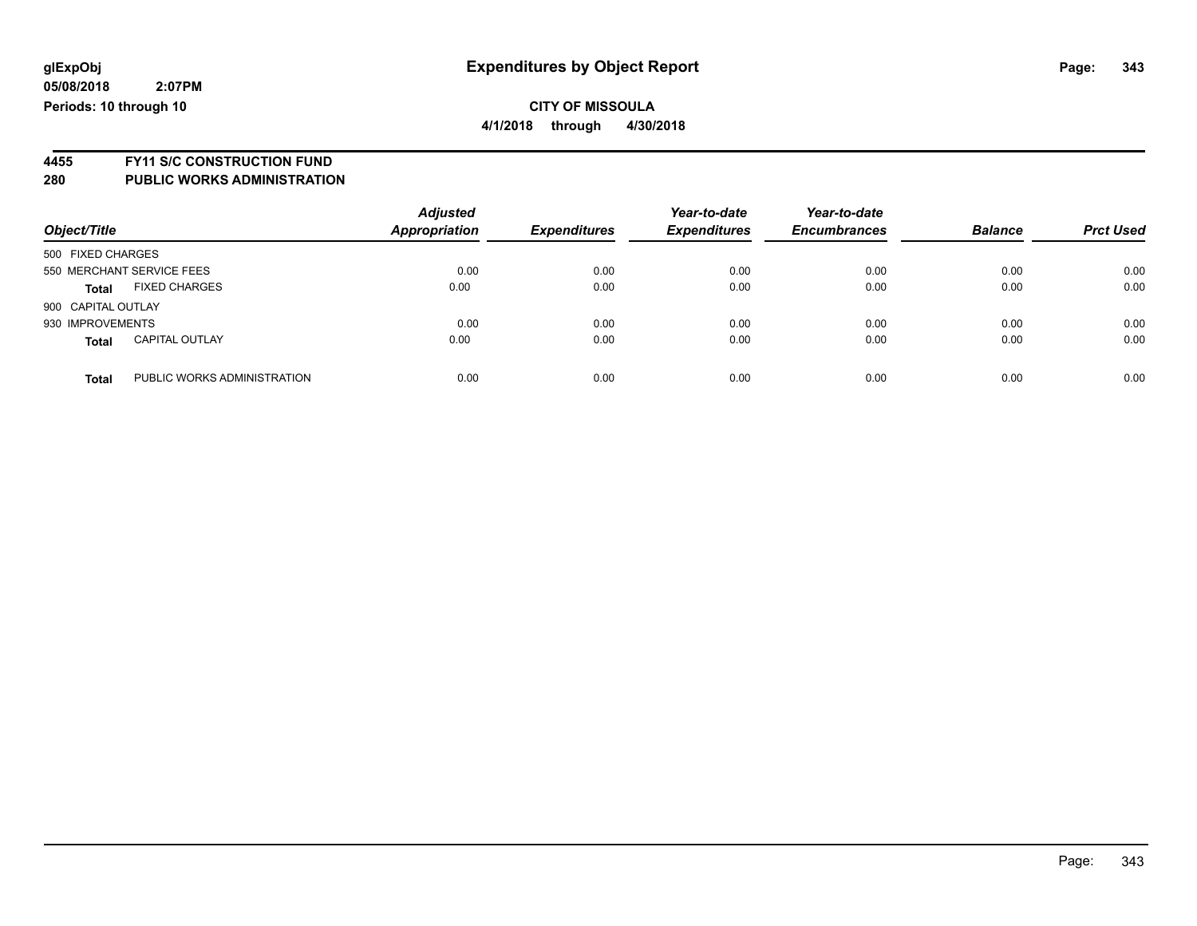# **CITY OF MISSOULA 4/1/2018 through 4/30/2018**

# **4455 FY11 S/C CONSTRUCTION FUND**

| Object/Title                                | <b>Adjusted</b><br><b>Appropriation</b> | <b>Expenditures</b> | Year-to-date<br><b>Expenditures</b> | Year-to-date<br><b>Encumbrances</b> | <b>Balance</b> | <b>Prct Used</b> |
|---------------------------------------------|-----------------------------------------|---------------------|-------------------------------------|-------------------------------------|----------------|------------------|
| 500 FIXED CHARGES                           |                                         |                     |                                     |                                     |                |                  |
| 550 MERCHANT SERVICE FEES                   | 0.00                                    | 0.00                | 0.00                                | 0.00                                | 0.00           | 0.00             |
| <b>FIXED CHARGES</b><br>Total               | 0.00                                    | 0.00                | 0.00                                | 0.00                                | 0.00           | 0.00             |
| 900 CAPITAL OUTLAY                          |                                         |                     |                                     |                                     |                |                  |
| 930 IMPROVEMENTS                            | 0.00                                    | 0.00                | 0.00                                | 0.00                                | 0.00           | 0.00             |
| <b>CAPITAL OUTLAY</b><br><b>Total</b>       | 0.00                                    | 0.00                | 0.00                                | 0.00                                | 0.00           | 0.00             |
| PUBLIC WORKS ADMINISTRATION<br><b>Total</b> | 0.00                                    | 0.00                | 0.00                                | 0.00                                | 0.00           | 0.00             |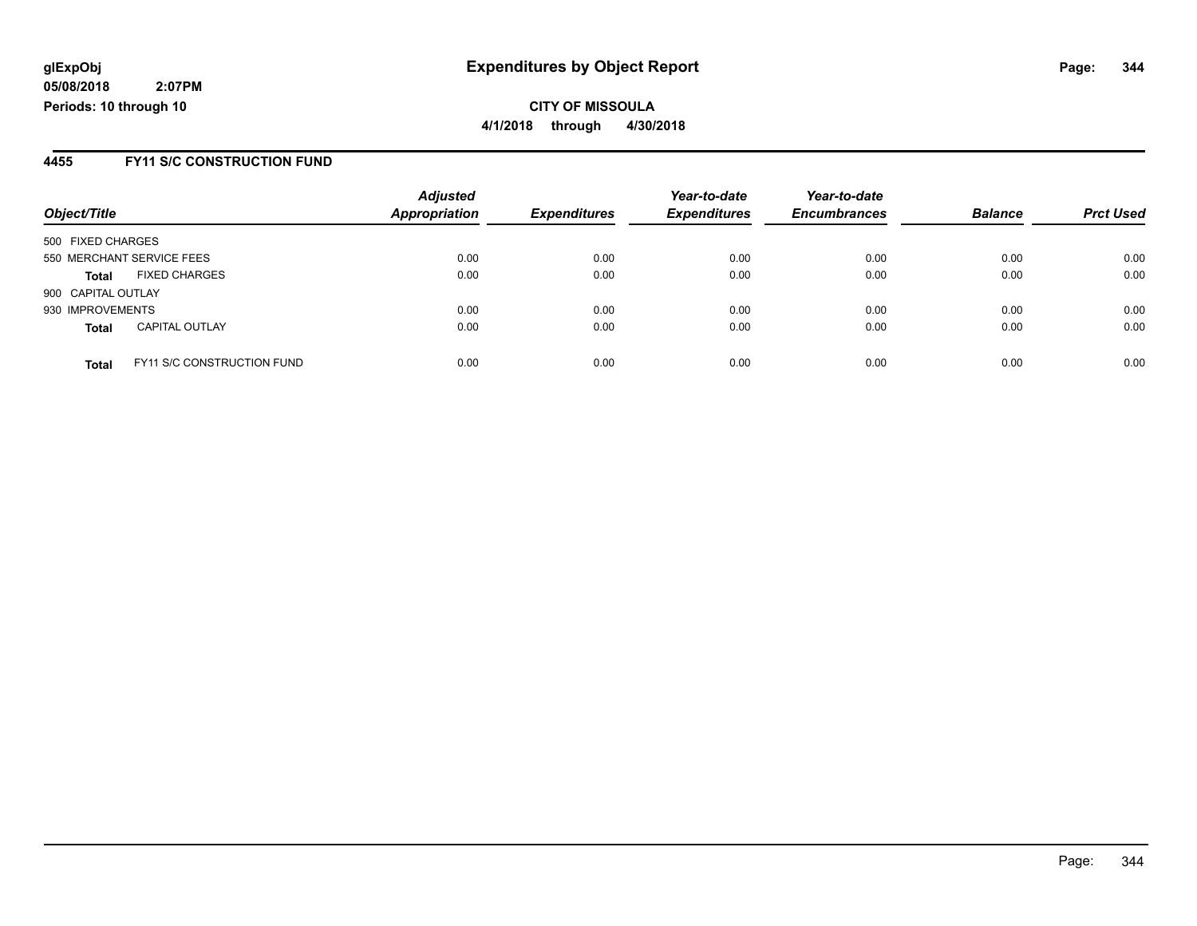**CITY OF MISSOULA 4/1/2018 through 4/30/2018**

### **4455 FY11 S/C CONSTRUCTION FUND**

| Object/Title       |                            | <b>Adjusted</b><br>Appropriation | <b>Expenditures</b> | Year-to-date<br><b>Expenditures</b> | Year-to-date<br><b>Encumbrances</b> | <b>Balance</b> | <b>Prct Used</b> |
|--------------------|----------------------------|----------------------------------|---------------------|-------------------------------------|-------------------------------------|----------------|------------------|
|                    |                            |                                  |                     |                                     |                                     |                |                  |
| 500 FIXED CHARGES  |                            |                                  |                     |                                     |                                     |                |                  |
|                    | 550 MERCHANT SERVICE FEES  | 0.00                             | 0.00                | 0.00                                | 0.00                                | 0.00           | 0.00             |
| <b>Total</b>       | <b>FIXED CHARGES</b>       | 0.00                             | 0.00                | 0.00                                | 0.00                                | 0.00           | 0.00             |
| 900 CAPITAL OUTLAY |                            |                                  |                     |                                     |                                     |                |                  |
| 930 IMPROVEMENTS   |                            | 0.00                             | 0.00                | 0.00                                | 0.00                                | 0.00           | 0.00             |
| <b>Total</b>       | <b>CAPITAL OUTLAY</b>      | 0.00                             | 0.00                | 0.00                                | 0.00                                | 0.00           | 0.00             |
| <b>Total</b>       | FY11 S/C CONSTRUCTION FUND | 0.00                             | 0.00                | 0.00                                | 0.00                                | 0.00           | 0.00             |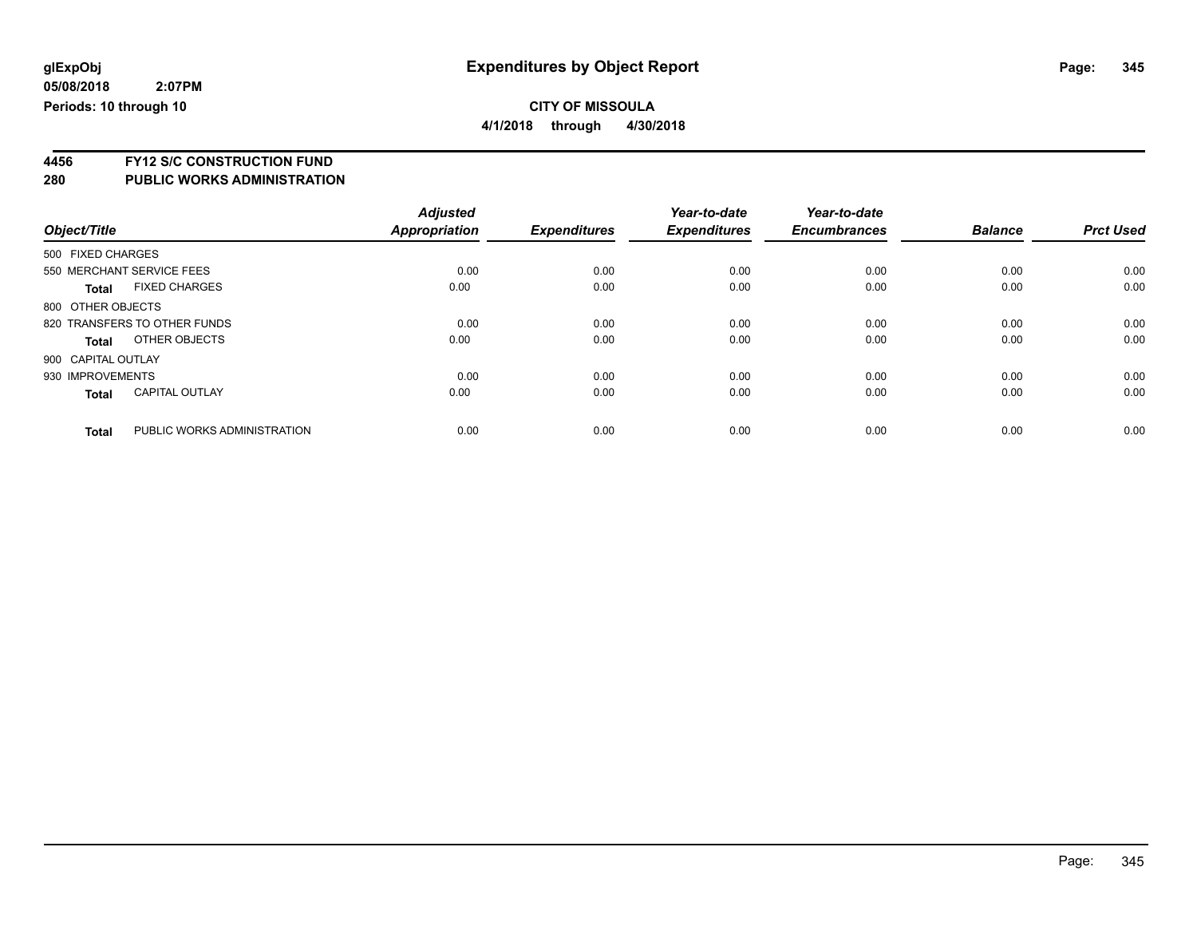**4456 FY12 S/C CONSTRUCTION FUND**

|                                             | <b>Adjusted</b>      |                     | Year-to-date        | Year-to-date        |                |                  |
|---------------------------------------------|----------------------|---------------------|---------------------|---------------------|----------------|------------------|
| Object/Title                                | <b>Appropriation</b> | <b>Expenditures</b> | <b>Expenditures</b> | <b>Encumbrances</b> | <b>Balance</b> | <b>Prct Used</b> |
| 500 FIXED CHARGES                           |                      |                     |                     |                     |                |                  |
| 550 MERCHANT SERVICE FEES                   | 0.00                 | 0.00                | 0.00                | 0.00                | 0.00           | 0.00             |
| <b>FIXED CHARGES</b><br><b>Total</b>        | 0.00                 | 0.00                | 0.00                | 0.00                | 0.00           | 0.00             |
| 800 OTHER OBJECTS                           |                      |                     |                     |                     |                |                  |
| 820 TRANSFERS TO OTHER FUNDS                | 0.00                 | 0.00                | 0.00                | 0.00                | 0.00           | 0.00             |
| OTHER OBJECTS<br><b>Total</b>               | 0.00                 | 0.00                | 0.00                | 0.00                | 0.00           | 0.00             |
| 900 CAPITAL OUTLAY                          |                      |                     |                     |                     |                |                  |
| 930 IMPROVEMENTS                            | 0.00                 | 0.00                | 0.00                | 0.00                | 0.00           | 0.00             |
| <b>CAPITAL OUTLAY</b><br><b>Total</b>       | 0.00                 | 0.00                | 0.00                | 0.00                | 0.00           | 0.00             |
| PUBLIC WORKS ADMINISTRATION<br><b>Total</b> | 0.00                 | 0.00                | 0.00                | 0.00                | 0.00           | 0.00             |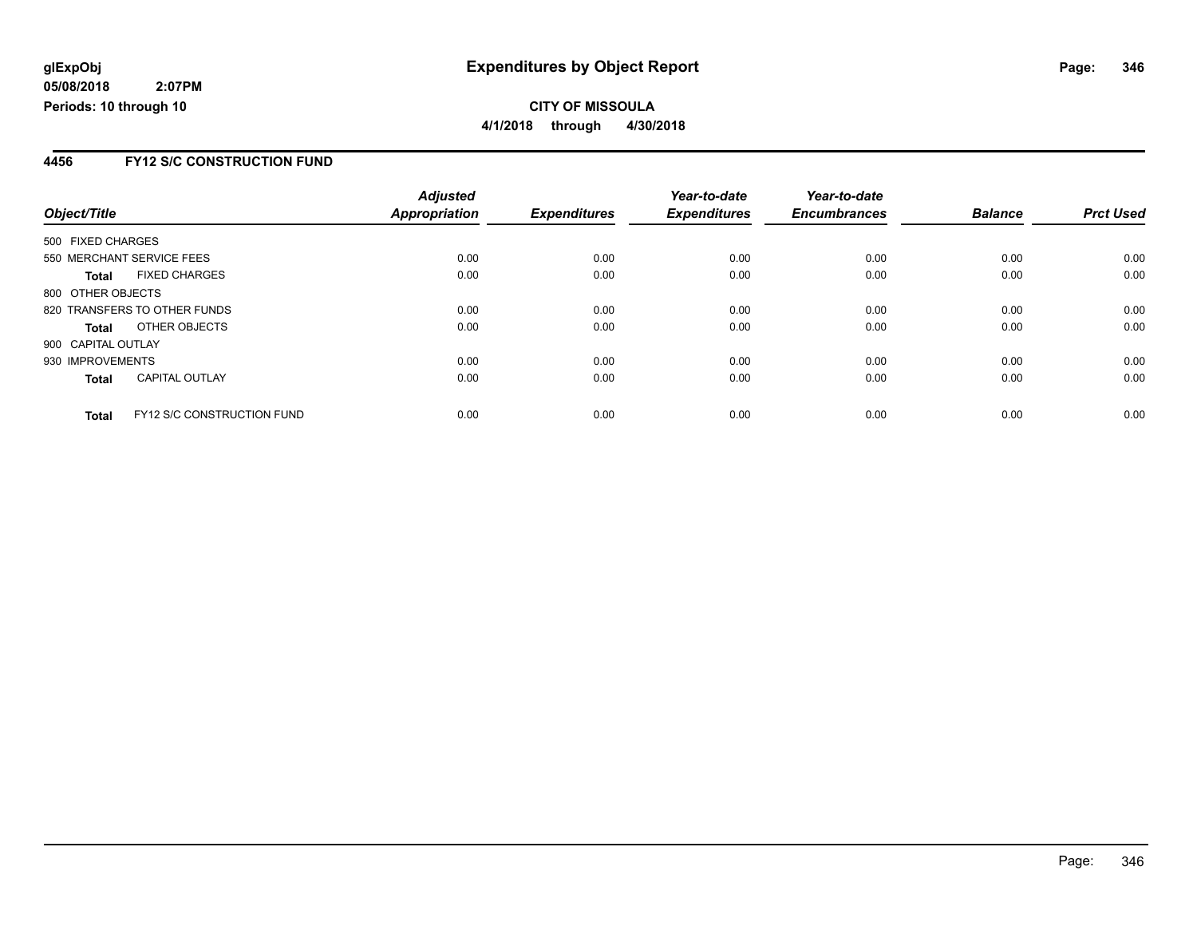**CITY OF MISSOULA 4/1/2018 through 4/30/2018**

## **4456 FY12 S/C CONSTRUCTION FUND**

|                    |                              | <b>Adjusted</b>      |                     | Year-to-date        | Year-to-date        |                |                  |
|--------------------|------------------------------|----------------------|---------------------|---------------------|---------------------|----------------|------------------|
| Object/Title       |                              | <b>Appropriation</b> | <b>Expenditures</b> | <b>Expenditures</b> | <b>Encumbrances</b> | <b>Balance</b> | <b>Prct Used</b> |
| 500 FIXED CHARGES  |                              |                      |                     |                     |                     |                |                  |
|                    | 550 MERCHANT SERVICE FEES    | 0.00                 | 0.00                | 0.00                | 0.00                | 0.00           | 0.00             |
| <b>Total</b>       | <b>FIXED CHARGES</b>         | 0.00                 | 0.00                | 0.00                | 0.00                | 0.00           | 0.00             |
| 800 OTHER OBJECTS  |                              |                      |                     |                     |                     |                |                  |
|                    | 820 TRANSFERS TO OTHER FUNDS | 0.00                 | 0.00                | 0.00                | 0.00                | 0.00           | 0.00             |
| <b>Total</b>       | OTHER OBJECTS                | 0.00                 | 0.00                | 0.00                | 0.00                | 0.00           | 0.00             |
| 900 CAPITAL OUTLAY |                              |                      |                     |                     |                     |                |                  |
| 930 IMPROVEMENTS   |                              | 0.00                 | 0.00                | 0.00                | 0.00                | 0.00           | 0.00             |
| <b>Total</b>       | <b>CAPITAL OUTLAY</b>        | 0.00                 | 0.00                | 0.00                | 0.00                | 0.00           | 0.00             |
| <b>Total</b>       | FY12 S/C CONSTRUCTION FUND   | 0.00                 | 0.00                | 0.00                | 0.00                | 0.00           | 0.00             |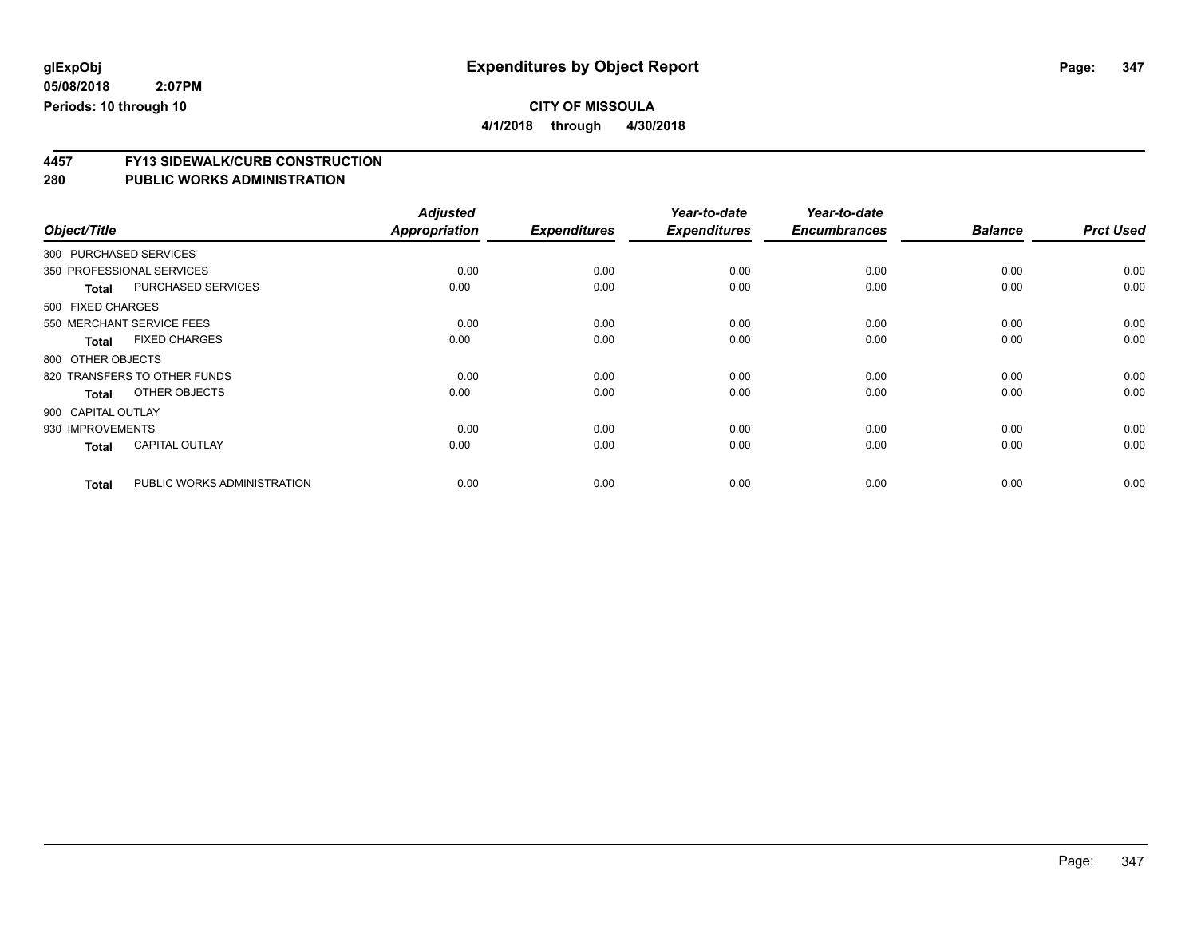**4457 FY13 SIDEWALK/CURB CONSTRUCTION**

| Object/Title       |                              | <b>Adjusted</b><br>Appropriation | <b>Expenditures</b> | Year-to-date<br><b>Expenditures</b> | Year-to-date<br><b>Encumbrances</b> | <b>Balance</b> | <b>Prct Used</b> |
|--------------------|------------------------------|----------------------------------|---------------------|-------------------------------------|-------------------------------------|----------------|------------------|
|                    | 300 PURCHASED SERVICES       |                                  |                     |                                     |                                     |                |                  |
|                    | 350 PROFESSIONAL SERVICES    | 0.00                             | 0.00                | 0.00                                | 0.00                                | 0.00           | 0.00             |
| <b>Total</b>       | <b>PURCHASED SERVICES</b>    | 0.00                             | 0.00                | 0.00                                | 0.00                                | 0.00           | 0.00             |
| 500 FIXED CHARGES  |                              |                                  |                     |                                     |                                     |                |                  |
|                    | 550 MERCHANT SERVICE FEES    | 0.00                             | 0.00                | 0.00                                | 0.00                                | 0.00           | 0.00             |
| Total              | <b>FIXED CHARGES</b>         | 0.00                             | 0.00                | 0.00                                | 0.00                                | 0.00           | 0.00             |
| 800 OTHER OBJECTS  |                              |                                  |                     |                                     |                                     |                |                  |
|                    | 820 TRANSFERS TO OTHER FUNDS | 0.00                             | 0.00                | 0.00                                | 0.00                                | 0.00           | 0.00             |
| <b>Total</b>       | OTHER OBJECTS                | 0.00                             | 0.00                | 0.00                                | 0.00                                | 0.00           | 0.00             |
| 900 CAPITAL OUTLAY |                              |                                  |                     |                                     |                                     |                |                  |
| 930 IMPROVEMENTS   |                              | 0.00                             | 0.00                | 0.00                                | 0.00                                | 0.00           | 0.00             |
| <b>Total</b>       | <b>CAPITAL OUTLAY</b>        | 0.00                             | 0.00                | 0.00                                | 0.00                                | 0.00           | 0.00             |
| <b>Total</b>       | PUBLIC WORKS ADMINISTRATION  | 0.00                             | 0.00                | 0.00                                | 0.00                                | 0.00           | 0.00             |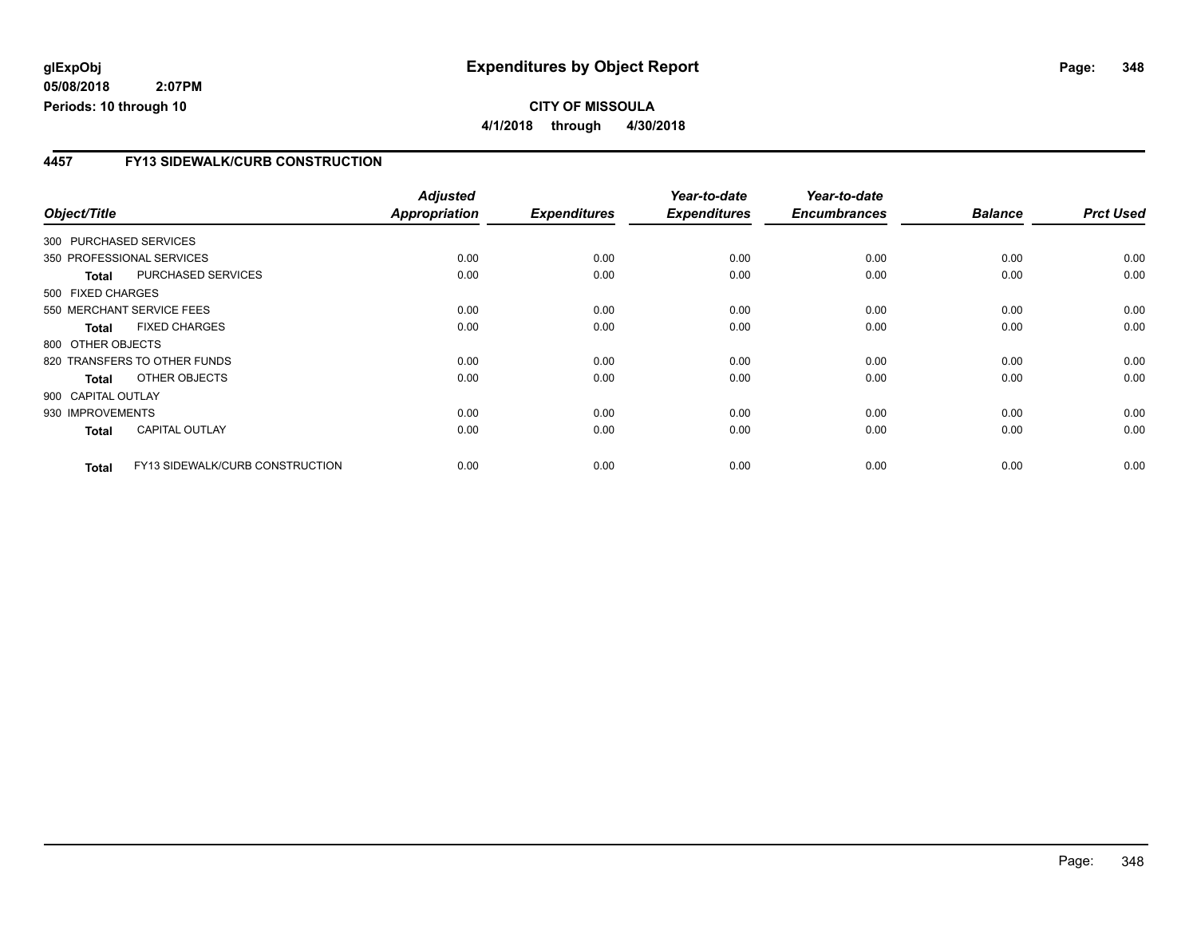# **4457 FY13 SIDEWALK/CURB CONSTRUCTION**

|                    |                                 | <b>Adjusted</b>      |                     | Year-to-date        | Year-to-date        |                |                  |
|--------------------|---------------------------------|----------------------|---------------------|---------------------|---------------------|----------------|------------------|
| Object/Title       |                                 | <b>Appropriation</b> | <b>Expenditures</b> | <b>Expenditures</b> | <b>Encumbrances</b> | <b>Balance</b> | <b>Prct Used</b> |
|                    | 300 PURCHASED SERVICES          |                      |                     |                     |                     |                |                  |
|                    | 350 PROFESSIONAL SERVICES       | 0.00                 | 0.00                | 0.00                | 0.00                | 0.00           | 0.00             |
| <b>Total</b>       | PURCHASED SERVICES              | 0.00                 | 0.00                | 0.00                | 0.00                | 0.00           | 0.00             |
| 500 FIXED CHARGES  |                                 |                      |                     |                     |                     |                |                  |
|                    | 550 MERCHANT SERVICE FEES       | 0.00                 | 0.00                | 0.00                | 0.00                | 0.00           | 0.00             |
| <b>Total</b>       | <b>FIXED CHARGES</b>            | 0.00                 | 0.00                | 0.00                | 0.00                | 0.00           | 0.00             |
| 800 OTHER OBJECTS  |                                 |                      |                     |                     |                     |                |                  |
|                    | 820 TRANSFERS TO OTHER FUNDS    | 0.00                 | 0.00                | 0.00                | 0.00                | 0.00           | 0.00             |
| Total              | OTHER OBJECTS                   | 0.00                 | 0.00                | 0.00                | 0.00                | 0.00           | 0.00             |
| 900 CAPITAL OUTLAY |                                 |                      |                     |                     |                     |                |                  |
| 930 IMPROVEMENTS   |                                 | 0.00                 | 0.00                | 0.00                | 0.00                | 0.00           | 0.00             |
| <b>Total</b>       | <b>CAPITAL OUTLAY</b>           | 0.00                 | 0.00                | 0.00                | 0.00                | 0.00           | 0.00             |
| <b>Total</b>       | FY13 SIDEWALK/CURB CONSTRUCTION | 0.00                 | 0.00                | 0.00                | 0.00                | 0.00           | 0.00             |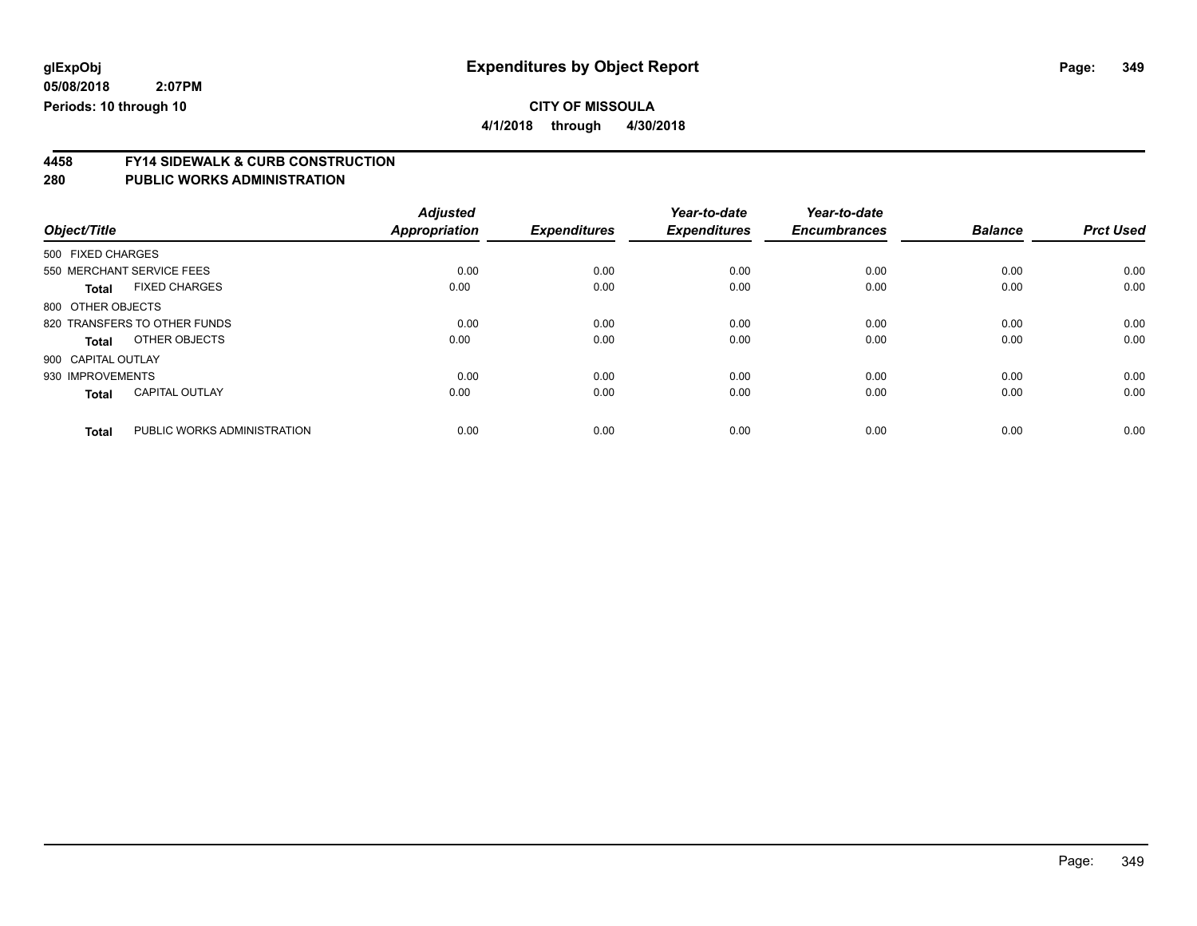# **4458 FY14 SIDEWALK & CURB CONSTRUCTION**

| Object/Title       |                              | <b>Adjusted</b><br><b>Appropriation</b> | <b>Expenditures</b> | Year-to-date<br><b>Expenditures</b> | Year-to-date<br><b>Encumbrances</b> | <b>Balance</b> | <b>Prct Used</b> |
|--------------------|------------------------------|-----------------------------------------|---------------------|-------------------------------------|-------------------------------------|----------------|------------------|
| 500 FIXED CHARGES  |                              |                                         |                     |                                     |                                     |                |                  |
|                    | 550 MERCHANT SERVICE FEES    | 0.00                                    | 0.00                | 0.00                                | 0.00                                | 0.00           | 0.00             |
| <b>Total</b>       | <b>FIXED CHARGES</b>         | 0.00                                    | 0.00                | 0.00                                | 0.00                                | 0.00           | 0.00             |
| 800 OTHER OBJECTS  |                              |                                         |                     |                                     |                                     |                |                  |
|                    | 820 TRANSFERS TO OTHER FUNDS | 0.00                                    | 0.00                | 0.00                                | 0.00                                | 0.00           | 0.00             |
| <b>Total</b>       | OTHER OBJECTS                | 0.00                                    | 0.00                | 0.00                                | 0.00                                | 0.00           | 0.00             |
| 900 CAPITAL OUTLAY |                              |                                         |                     |                                     |                                     |                |                  |
| 930 IMPROVEMENTS   |                              | 0.00                                    | 0.00                | 0.00                                | 0.00                                | 0.00           | 0.00             |
| <b>Total</b>       | <b>CAPITAL OUTLAY</b>        | 0.00                                    | 0.00                | 0.00                                | 0.00                                | 0.00           | 0.00             |
| <b>Total</b>       | PUBLIC WORKS ADMINISTRATION  | 0.00                                    | 0.00                | 0.00                                | 0.00                                | 0.00           | 0.00             |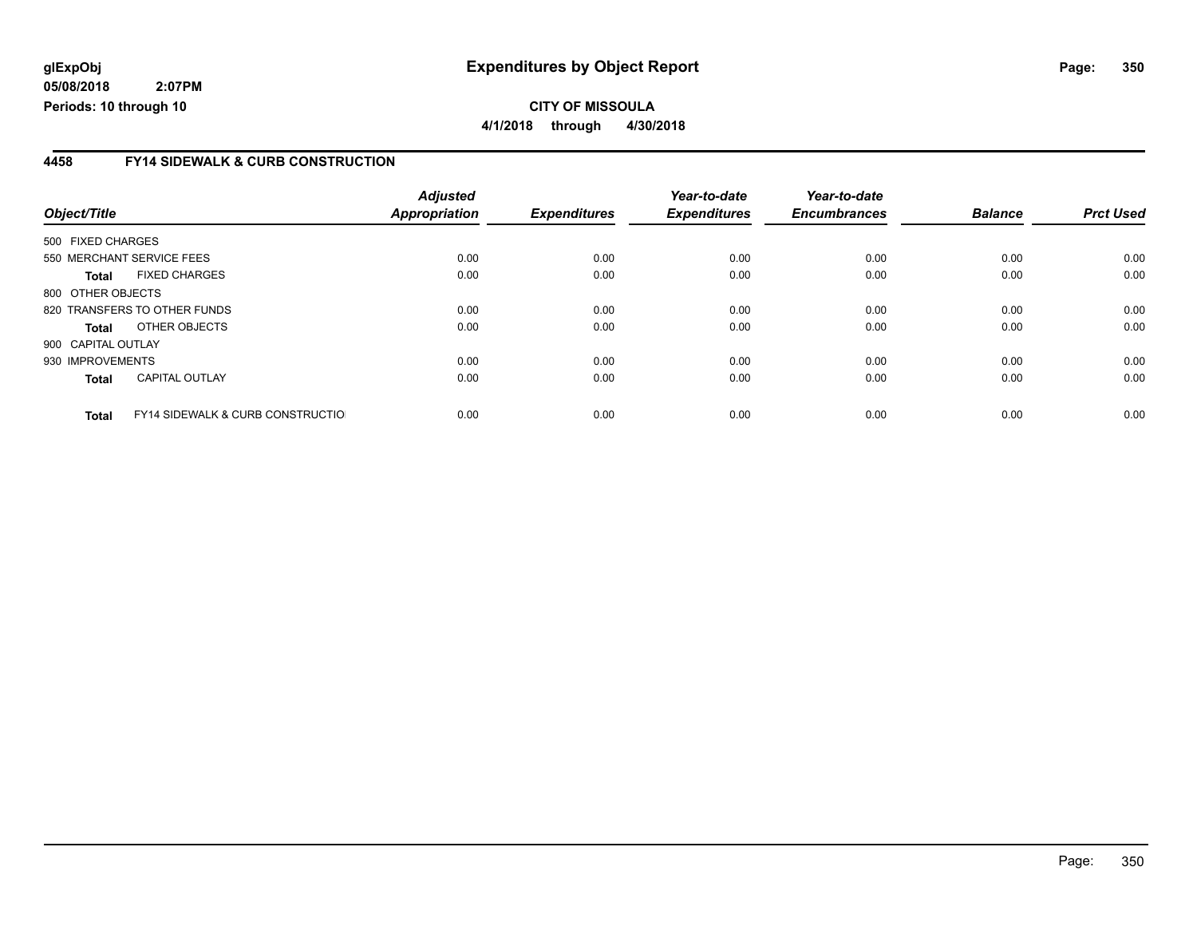# **4458 FY14 SIDEWALK & CURB CONSTRUCTION**

| Object/Title       |                                              | <b>Adjusted</b><br><b>Appropriation</b> | <b>Expenditures</b> | Year-to-date<br><b>Expenditures</b> | Year-to-date<br><b>Encumbrances</b> | <b>Balance</b> | <b>Prct Used</b> |
|--------------------|----------------------------------------------|-----------------------------------------|---------------------|-------------------------------------|-------------------------------------|----------------|------------------|
| 500 FIXED CHARGES  |                                              |                                         |                     |                                     |                                     |                |                  |
|                    | 550 MERCHANT SERVICE FEES                    | 0.00                                    | 0.00                | 0.00                                | 0.00                                | 0.00           | 0.00             |
|                    |                                              |                                         |                     |                                     |                                     |                |                  |
| Total              | <b>FIXED CHARGES</b>                         | 0.00                                    | 0.00                | 0.00                                | 0.00                                | 0.00           | 0.00             |
| 800 OTHER OBJECTS  |                                              |                                         |                     |                                     |                                     |                |                  |
|                    | 820 TRANSFERS TO OTHER FUNDS                 | 0.00                                    | 0.00                | 0.00                                | 0.00                                | 0.00           | 0.00             |
| Total              | OTHER OBJECTS                                | 0.00                                    | 0.00                | 0.00                                | 0.00                                | 0.00           | 0.00             |
| 900 CAPITAL OUTLAY |                                              |                                         |                     |                                     |                                     |                |                  |
| 930 IMPROVEMENTS   |                                              | 0.00                                    | 0.00                | 0.00                                | 0.00                                | 0.00           | 0.00             |
| <b>Total</b>       | <b>CAPITAL OUTLAY</b>                        | 0.00                                    | 0.00                | 0.00                                | 0.00                                | 0.00           | 0.00             |
| <b>Total</b>       | <b>FY14 SIDEWALK &amp; CURB CONSTRUCTIOL</b> | 0.00                                    | 0.00                | 0.00                                | 0.00                                | 0.00           | 0.00             |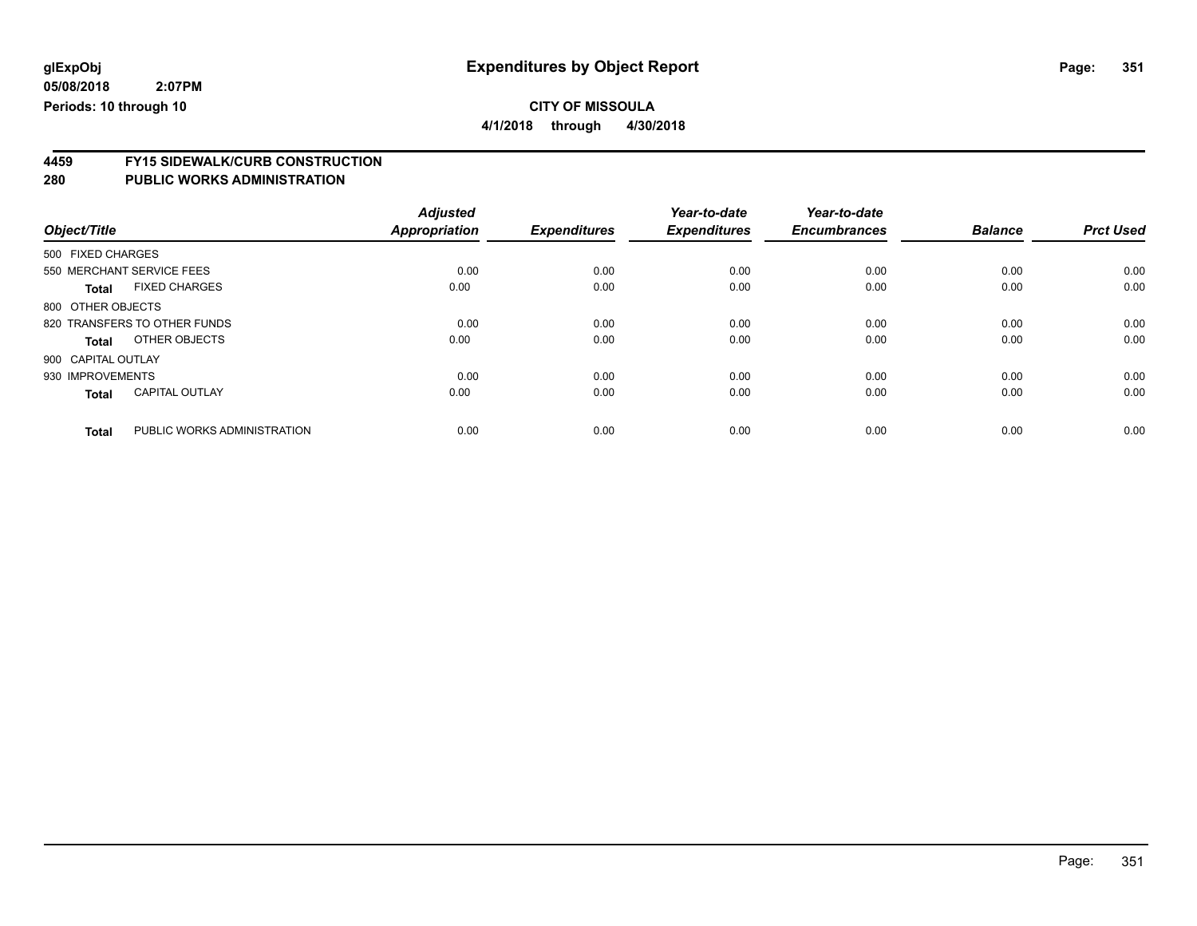# **4459 FY15 SIDEWALK/CURB CONSTRUCTION**

| Object/Title       |                              | <b>Adjusted</b><br><b>Appropriation</b> | <b>Expenditures</b> | Year-to-date<br><b>Expenditures</b> | Year-to-date<br><b>Encumbrances</b> | <b>Balance</b> | <b>Prct Used</b> |
|--------------------|------------------------------|-----------------------------------------|---------------------|-------------------------------------|-------------------------------------|----------------|------------------|
| 500 FIXED CHARGES  |                              |                                         |                     |                                     |                                     |                |                  |
|                    | 550 MERCHANT SERVICE FEES    | 0.00                                    | 0.00                | 0.00                                | 0.00                                | 0.00           | 0.00             |
| <b>Total</b>       | <b>FIXED CHARGES</b>         | 0.00                                    | 0.00                | 0.00                                | 0.00                                | 0.00           | 0.00             |
| 800 OTHER OBJECTS  |                              |                                         |                     |                                     |                                     |                |                  |
|                    | 820 TRANSFERS TO OTHER FUNDS | 0.00                                    | 0.00                | 0.00                                | 0.00                                | 0.00           | 0.00             |
| Total              | OTHER OBJECTS                | 0.00                                    | 0.00                | 0.00                                | 0.00                                | 0.00           | 0.00             |
| 900 CAPITAL OUTLAY |                              |                                         |                     |                                     |                                     |                |                  |
| 930 IMPROVEMENTS   |                              | 0.00                                    | 0.00                | 0.00                                | 0.00                                | 0.00           | 0.00             |
| <b>Total</b>       | <b>CAPITAL OUTLAY</b>        | 0.00                                    | 0.00                | 0.00                                | 0.00                                | 0.00           | 0.00             |
| <b>Total</b>       | PUBLIC WORKS ADMINISTRATION  | 0.00                                    | 0.00                | 0.00                                | 0.00                                | 0.00           | 0.00             |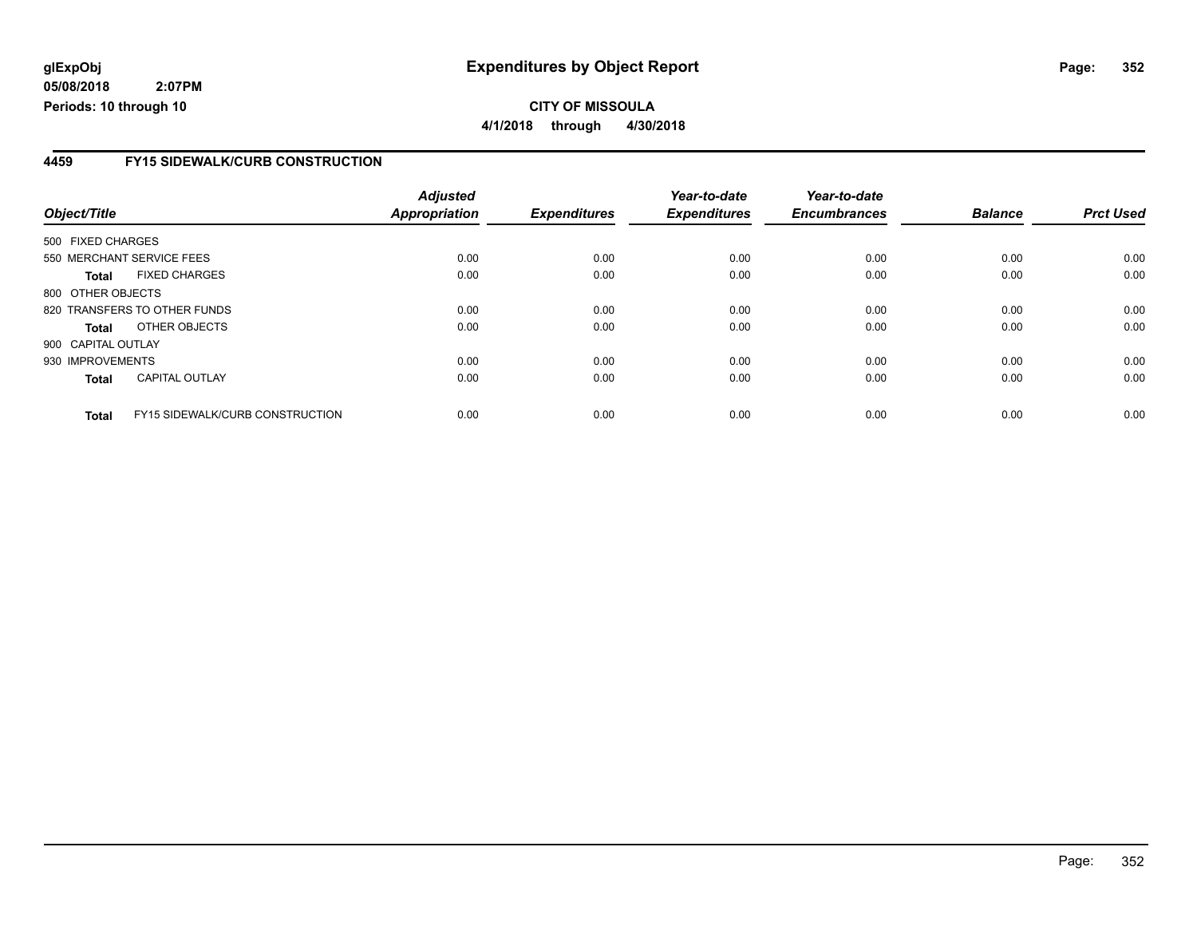**CITY OF MISSOULA 4/1/2018 through 4/30/2018**

### **4459 FY15 SIDEWALK/CURB CONSTRUCTION**

|                                                        | <b>Adjusted</b> |                     | Year-to-date        | Year-to-date        |                |                  |
|--------------------------------------------------------|-----------------|---------------------|---------------------|---------------------|----------------|------------------|
| Object/Title                                           | Appropriation   | <b>Expenditures</b> | <b>Expenditures</b> | <b>Encumbrances</b> | <b>Balance</b> | <b>Prct Used</b> |
| 500 FIXED CHARGES                                      |                 |                     |                     |                     |                |                  |
| 550 MERCHANT SERVICE FEES                              | 0.00            | 0.00                | 0.00                | 0.00                | 0.00           | 0.00             |
| <b>FIXED CHARGES</b><br><b>Total</b>                   | 0.00            | 0.00                | 0.00                | 0.00                | 0.00           | 0.00             |
| 800 OTHER OBJECTS                                      |                 |                     |                     |                     |                |                  |
| 820 TRANSFERS TO OTHER FUNDS                           | 0.00            | 0.00                | 0.00                | 0.00                | 0.00           | 0.00             |
| OTHER OBJECTS<br><b>Total</b>                          | 0.00            | 0.00                | 0.00                | 0.00                | 0.00           | 0.00             |
| 900 CAPITAL OUTLAY                                     |                 |                     |                     |                     |                |                  |
| 930 IMPROVEMENTS                                       | 0.00            | 0.00                | 0.00                | 0.00                | 0.00           | 0.00             |
| <b>CAPITAL OUTLAY</b><br><b>Total</b>                  | 0.00            | 0.00                | 0.00                | 0.00                | 0.00           | 0.00             |
| <b>FY15 SIDEWALK/CURB CONSTRUCTION</b><br><b>Total</b> | 0.00            | 0.00                | 0.00                | 0.00                | 0.00           | 0.00             |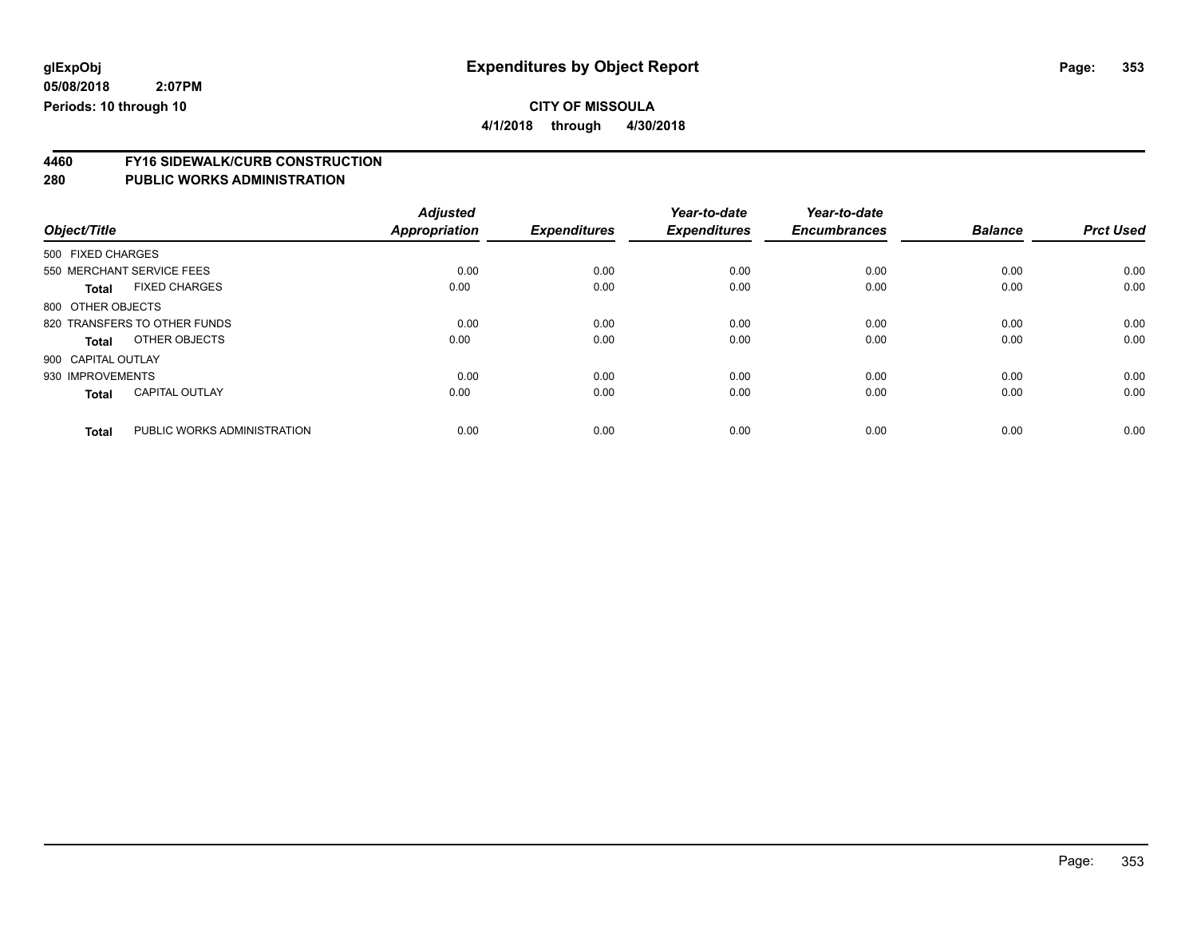# **4460 FY16 SIDEWALK/CURB CONSTRUCTION**

| Object/Title       |                              | <b>Adjusted</b><br><b>Appropriation</b> | <b>Expenditures</b> | Year-to-date<br><b>Expenditures</b> | Year-to-date<br><b>Encumbrances</b> | <b>Balance</b> | <b>Prct Used</b> |
|--------------------|------------------------------|-----------------------------------------|---------------------|-------------------------------------|-------------------------------------|----------------|------------------|
| 500 FIXED CHARGES  |                              |                                         |                     |                                     |                                     |                |                  |
|                    | 550 MERCHANT SERVICE FEES    | 0.00                                    | 0.00                | 0.00                                | 0.00                                | 0.00           | 0.00             |
| <b>Total</b>       | <b>FIXED CHARGES</b>         | 0.00                                    | 0.00                | 0.00                                | 0.00                                | 0.00           | 0.00             |
| 800 OTHER OBJECTS  |                              |                                         |                     |                                     |                                     |                |                  |
|                    | 820 TRANSFERS TO OTHER FUNDS | 0.00                                    | 0.00                | 0.00                                | 0.00                                | 0.00           | 0.00             |
| Total              | OTHER OBJECTS                | 0.00                                    | 0.00                | 0.00                                | 0.00                                | 0.00           | 0.00             |
| 900 CAPITAL OUTLAY |                              |                                         |                     |                                     |                                     |                |                  |
| 930 IMPROVEMENTS   |                              | 0.00                                    | 0.00                | 0.00                                | 0.00                                | 0.00           | 0.00             |
| <b>Total</b>       | <b>CAPITAL OUTLAY</b>        | 0.00                                    | 0.00                | 0.00                                | 0.00                                | 0.00           | 0.00             |
| <b>Total</b>       | PUBLIC WORKS ADMINISTRATION  | 0.00                                    | 0.00                | 0.00                                | 0.00                                | 0.00           | 0.00             |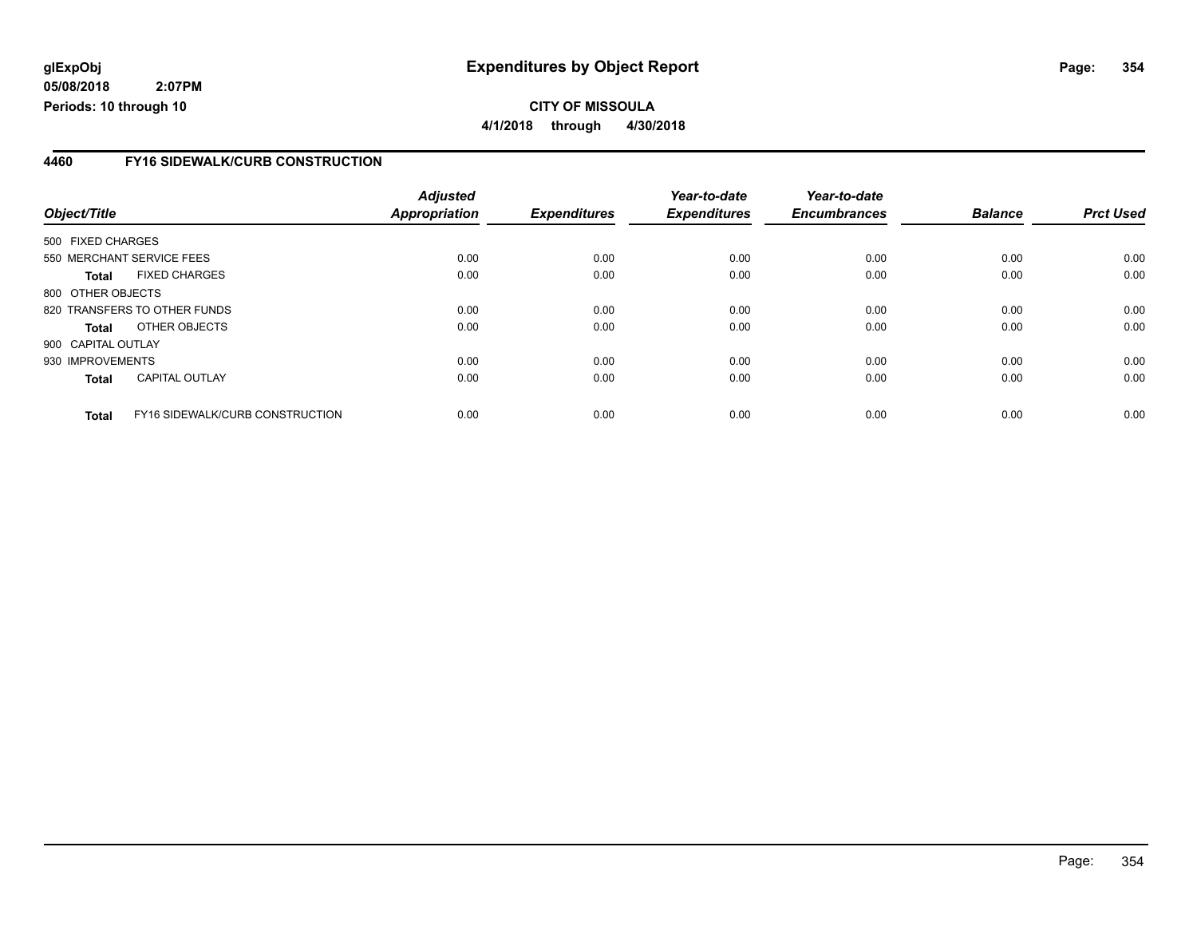**CITY OF MISSOULA 4/1/2018 through 4/30/2018**

### **4460 FY16 SIDEWALK/CURB CONSTRUCTION**

|                    |                                 | <b>Adjusted</b> |                     | Year-to-date        | Year-to-date        |                |                  |
|--------------------|---------------------------------|-----------------|---------------------|---------------------|---------------------|----------------|------------------|
| Object/Title       |                                 | Appropriation   | <b>Expenditures</b> | <b>Expenditures</b> | <b>Encumbrances</b> | <b>Balance</b> | <b>Prct Used</b> |
| 500 FIXED CHARGES  |                                 |                 |                     |                     |                     |                |                  |
|                    | 550 MERCHANT SERVICE FEES       | 0.00            | 0.00                | 0.00                | 0.00                | 0.00           | 0.00             |
| <b>Total</b>       | <b>FIXED CHARGES</b>            | 0.00            | 0.00                | 0.00                | 0.00                | 0.00           | 0.00             |
| 800 OTHER OBJECTS  |                                 |                 |                     |                     |                     |                |                  |
|                    | 820 TRANSFERS TO OTHER FUNDS    | 0.00            | 0.00                | 0.00                | 0.00                | 0.00           | 0.00             |
| Total              | OTHER OBJECTS                   | 0.00            | 0.00                | 0.00                | 0.00                | 0.00           | 0.00             |
| 900 CAPITAL OUTLAY |                                 |                 |                     |                     |                     |                |                  |
| 930 IMPROVEMENTS   |                                 | 0.00            | 0.00                | 0.00                | 0.00                | 0.00           | 0.00             |
| <b>Total</b>       | <b>CAPITAL OUTLAY</b>           | 0.00            | 0.00                | 0.00                | 0.00                | 0.00           | 0.00             |
| <b>Total</b>       | FY16 SIDEWALK/CURB CONSTRUCTION | 0.00            | 0.00                | 0.00                | 0.00                | 0.00           | 0.00             |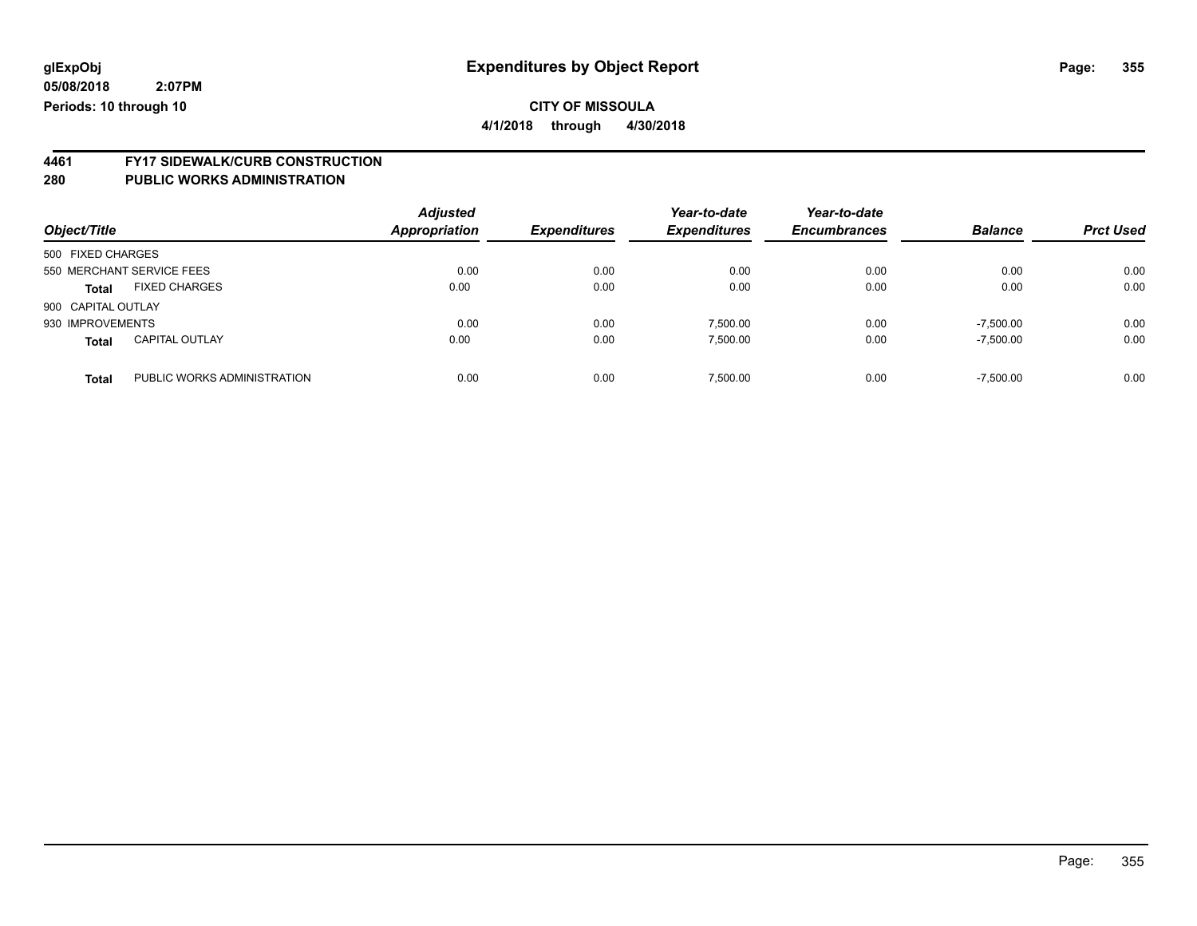**4/1/2018 through 4/30/2018**

# **4461 FY17 SIDEWALK/CURB CONSTRUCTION**

| Object/Title       |                             | <b>Adjusted</b><br><b>Appropriation</b> | <b>Expenditures</b> | Year-to-date<br><b>Expenditures</b> | Year-to-date<br><b>Encumbrances</b> | <b>Balance</b> | <b>Prct Used</b> |
|--------------------|-----------------------------|-----------------------------------------|---------------------|-------------------------------------|-------------------------------------|----------------|------------------|
| 500 FIXED CHARGES  |                             |                                         |                     |                                     |                                     |                |                  |
|                    | 550 MERCHANT SERVICE FEES   | 0.00                                    | 0.00                | 0.00                                | 0.00                                | 0.00           | 0.00             |
| <b>Total</b>       | <b>FIXED CHARGES</b>        | 0.00                                    | 0.00                | 0.00                                | 0.00                                | 0.00           | 0.00             |
| 900 CAPITAL OUTLAY |                             |                                         |                     |                                     |                                     |                |                  |
| 930 IMPROVEMENTS   |                             | 0.00                                    | 0.00                | 7,500.00                            | 0.00                                | $-7,500.00$    | 0.00             |
| <b>Total</b>       | <b>CAPITAL OUTLAY</b>       | 0.00                                    | 0.00                | 7.500.00                            | 0.00                                | $-7,500.00$    | 0.00             |
| <b>Total</b>       | PUBLIC WORKS ADMINISTRATION | 0.00                                    | 0.00                | 7.500.00                            | 0.00                                | $-7,500.00$    | 0.00             |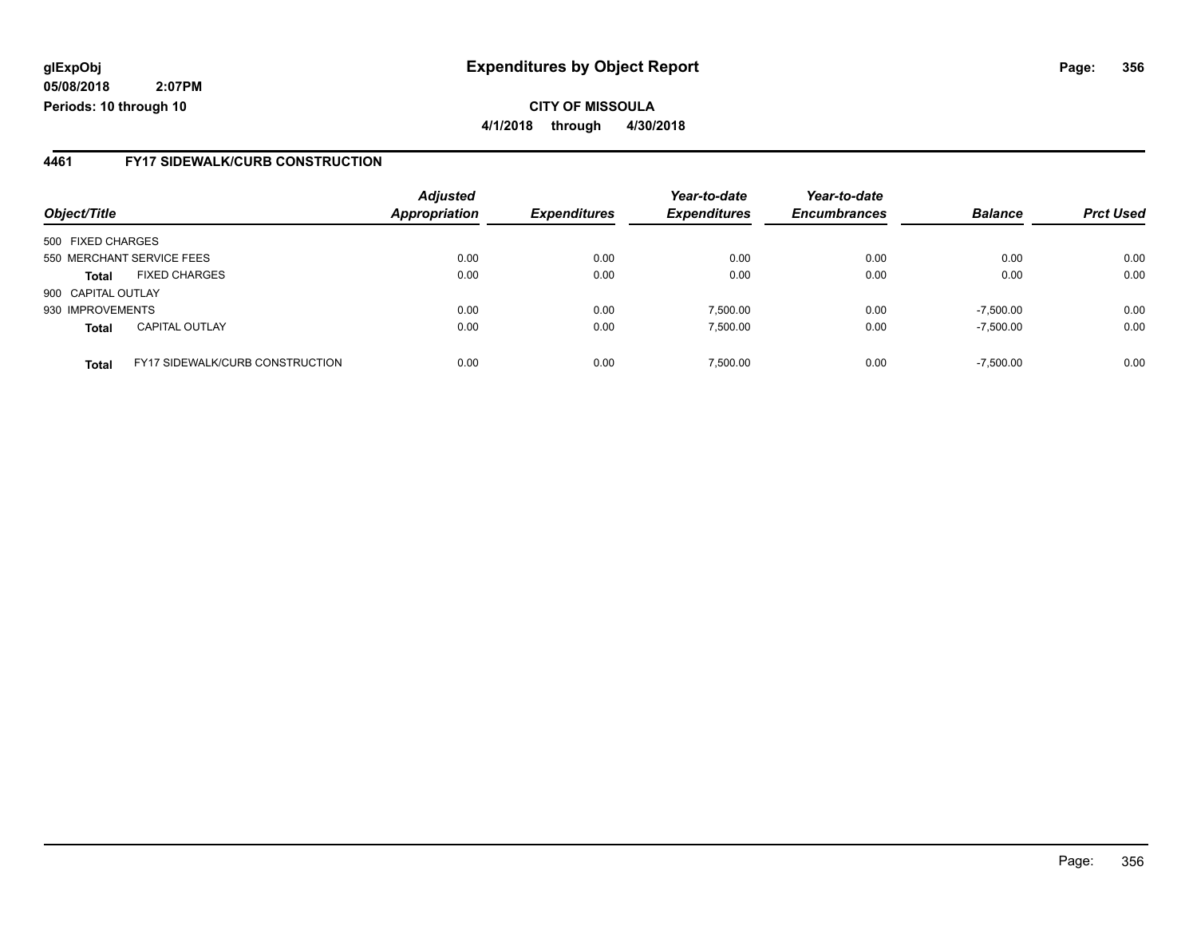**CITY OF MISSOULA 4/1/2018 through 4/30/2018**

### **4461 FY17 SIDEWALK/CURB CONSTRUCTION**

|                    |                                        | <b>Adjusted</b>      |                     | Year-to-date        | Year-to-date        |                |                  |
|--------------------|----------------------------------------|----------------------|---------------------|---------------------|---------------------|----------------|------------------|
| Object/Title       |                                        | <b>Appropriation</b> | <b>Expenditures</b> | <b>Expenditures</b> | <b>Encumbrances</b> | <b>Balance</b> | <b>Prct Used</b> |
| 500 FIXED CHARGES  |                                        |                      |                     |                     |                     |                |                  |
|                    | 550 MERCHANT SERVICE FEES              | 0.00                 | 0.00                | 0.00                | 0.00                | 0.00           | 0.00             |
| <b>Total</b>       | <b>FIXED CHARGES</b>                   | 0.00                 | 0.00                | 0.00                | 0.00                | 0.00           | 0.00             |
| 900 CAPITAL OUTLAY |                                        |                      |                     |                     |                     |                |                  |
| 930 IMPROVEMENTS   |                                        | 0.00                 | 0.00                | 7,500.00            | 0.00                | $-7,500.00$    | 0.00             |
| <b>Total</b>       | <b>CAPITAL OUTLAY</b>                  | 0.00                 | 0.00                | 7.500.00            | 0.00                | $-7,500.00$    | 0.00             |
| <b>Total</b>       | <b>FY17 SIDEWALK/CURB CONSTRUCTION</b> | 0.00                 | 0.00                | 7,500.00            | 0.00                | $-7,500.00$    | 0.00             |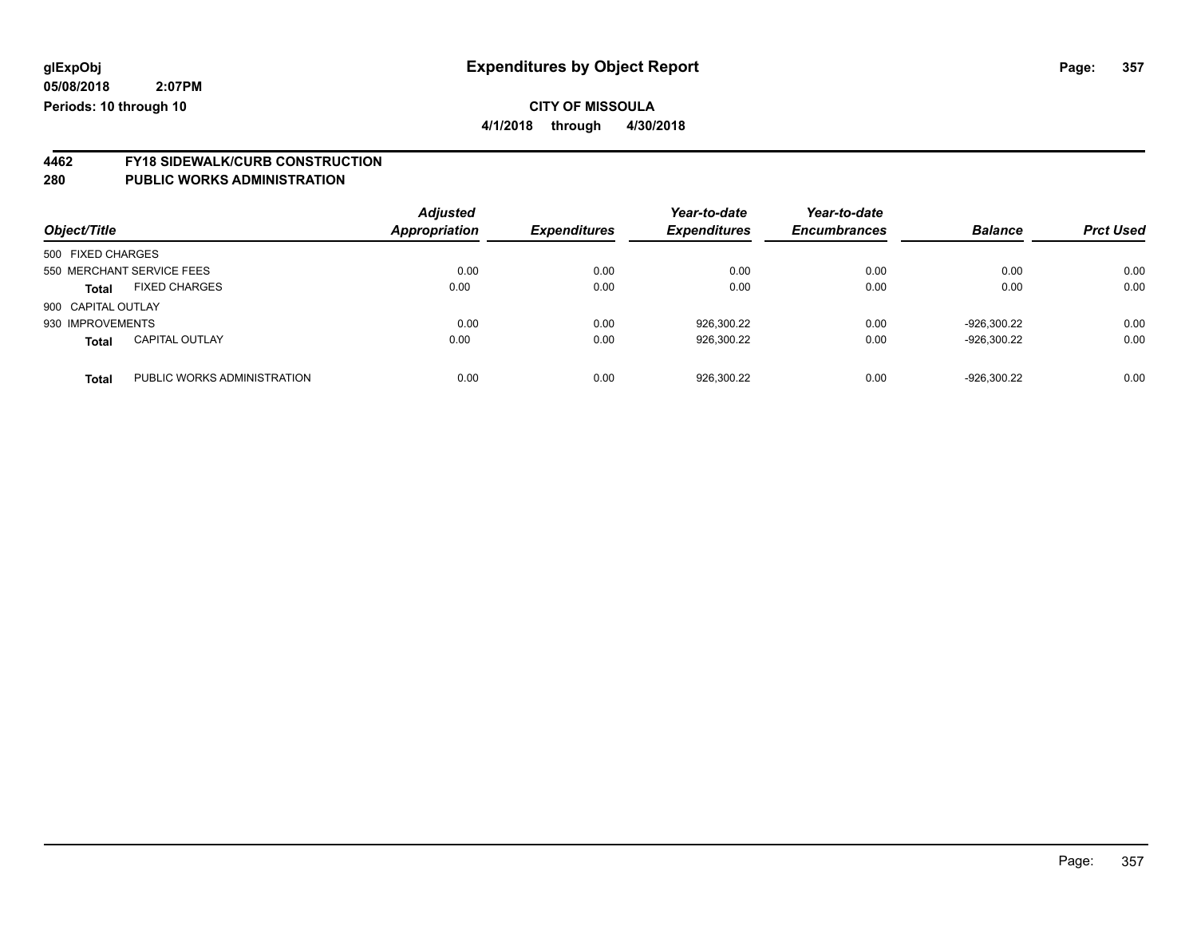**4/1/2018 through 4/30/2018**

# **4462 FY18 SIDEWALK/CURB CONSTRUCTION**

| Object/Title              |                             | <b>Adjusted</b><br><b>Appropriation</b> | <b>Expenditures</b> | Year-to-date<br><b>Expenditures</b> | Year-to-date<br><b>Encumbrances</b> | <b>Balance</b> | <b>Prct Used</b> |
|---------------------------|-----------------------------|-----------------------------------------|---------------------|-------------------------------------|-------------------------------------|----------------|------------------|
| 500 FIXED CHARGES         |                             |                                         |                     |                                     |                                     |                |                  |
| 550 MERCHANT SERVICE FEES |                             | 0.00                                    | 0.00                | 0.00                                | 0.00                                | 0.00           | 0.00             |
| <b>Total</b>              | <b>FIXED CHARGES</b>        | 0.00                                    | 0.00                | 0.00                                | 0.00                                | 0.00           | 0.00             |
| 900 CAPITAL OUTLAY        |                             |                                         |                     |                                     |                                     |                |                  |
| 930 IMPROVEMENTS          |                             | 0.00                                    | 0.00                | 926,300.22                          | 0.00                                | -926.300.22    | 0.00             |
| <b>Total</b>              | <b>CAPITAL OUTLAY</b>       | 0.00                                    | 0.00                | 926,300.22                          | 0.00                                | -926.300.22    | 0.00             |
| <b>Total</b>              | PUBLIC WORKS ADMINISTRATION | 0.00                                    | 0.00                | 926,300.22                          | 0.00                                | -926.300.22    | 0.00             |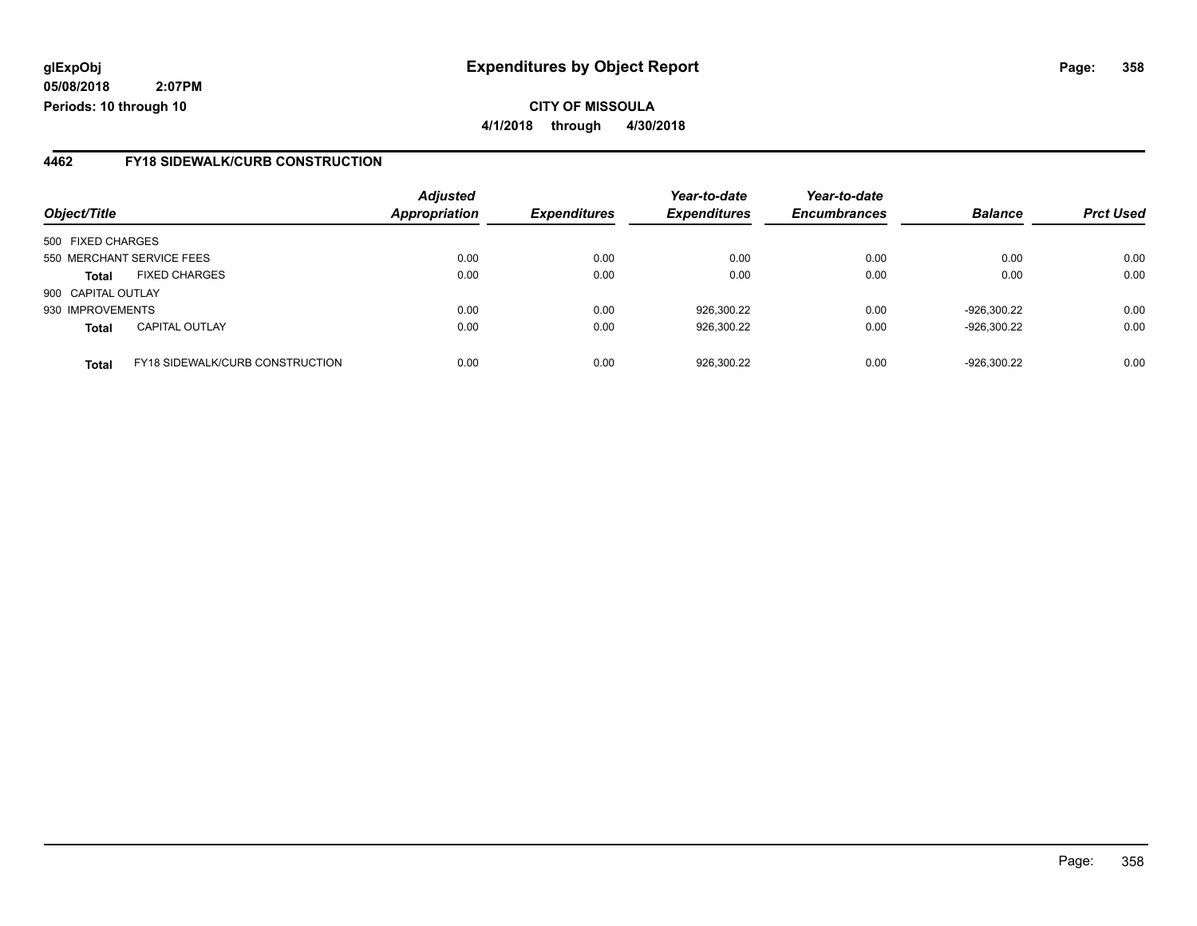**CITY OF MISSOULA 4/1/2018 through 4/30/2018**

### **4462 FY18 SIDEWALK/CURB CONSTRUCTION**

|                    |                                 | <b>Adjusted</b>      |                     | Year-to-date        | Year-to-date        |                |                  |
|--------------------|---------------------------------|----------------------|---------------------|---------------------|---------------------|----------------|------------------|
| Object/Title       |                                 | <b>Appropriation</b> | <b>Expenditures</b> | <b>Expenditures</b> | <b>Encumbrances</b> | <b>Balance</b> | <b>Prct Used</b> |
| 500 FIXED CHARGES  |                                 |                      |                     |                     |                     |                |                  |
|                    | 550 MERCHANT SERVICE FEES       | 0.00                 | 0.00                | 0.00                | 0.00                | 0.00           | 0.00             |
| <b>Total</b>       | <b>FIXED CHARGES</b>            | 0.00                 | 0.00                | 0.00                | 0.00                | 0.00           | 0.00             |
| 900 CAPITAL OUTLAY |                                 |                      |                     |                     |                     |                |                  |
| 930 IMPROVEMENTS   |                                 | 0.00                 | 0.00                | 926,300.22          | 0.00                | -926,300.22    | 0.00             |
| <b>Total</b>       | <b>CAPITAL OUTLAY</b>           | 0.00                 | 0.00                | 926,300.22          | 0.00                | -926,300.22    | 0.00             |
| <b>Total</b>       | FY18 SIDEWALK/CURB CONSTRUCTION | 0.00                 | 0.00                | 926,300.22          | 0.00                | -926,300.22    | 0.00             |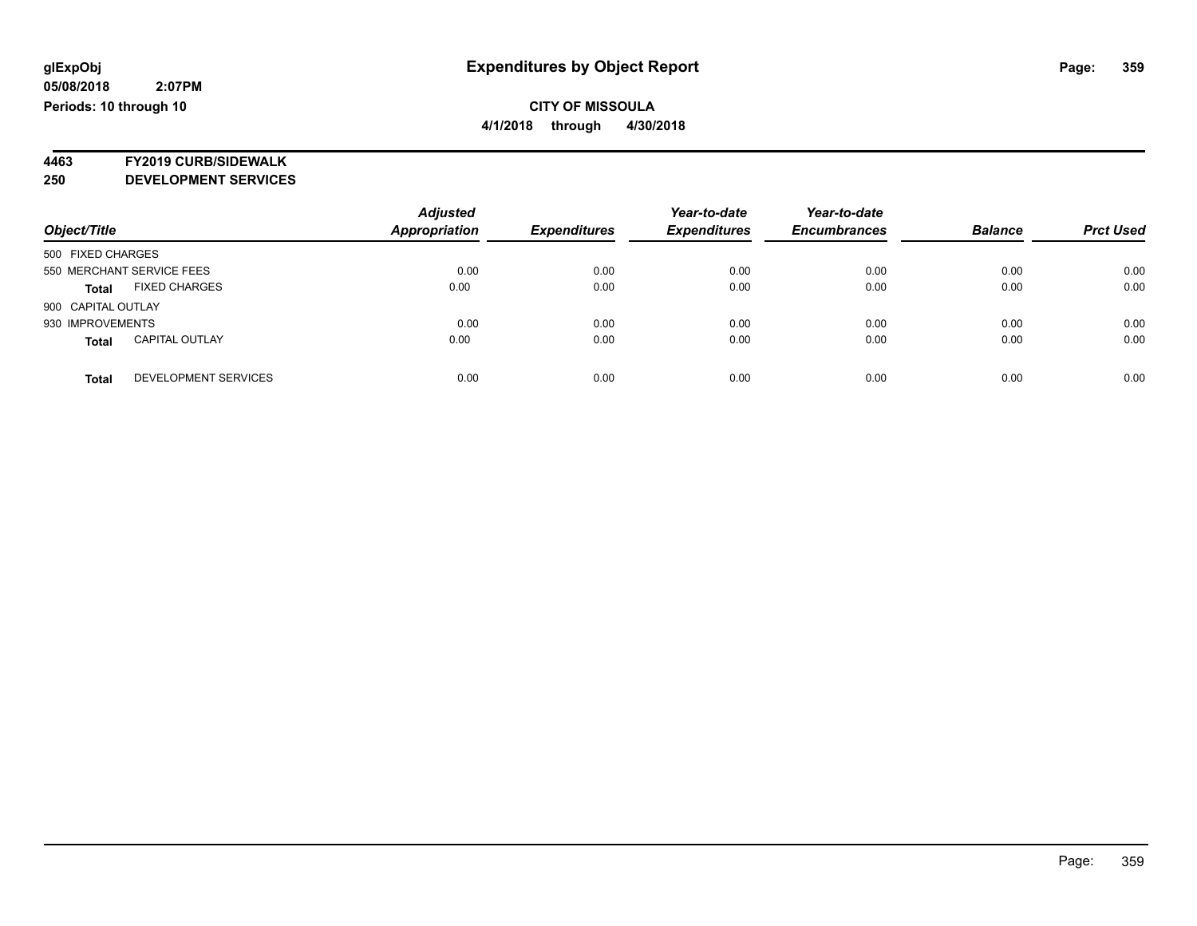# **CITY OF MISSOULA 4/1/2018 through 4/30/2018**

# **4463 FY2019 CURB/SIDEWALK**

**250 DEVELOPMENT SERVICES**

| Object/Title                          | <b>Adjusted</b><br><b>Appropriation</b> | <b>Expenditures</b> | Year-to-date<br><b>Expenditures</b> | Year-to-date<br><b>Encumbrances</b> | <b>Balance</b> | <b>Prct Used</b> |
|---------------------------------------|-----------------------------------------|---------------------|-------------------------------------|-------------------------------------|----------------|------------------|
| 500 FIXED CHARGES                     |                                         |                     |                                     |                                     |                |                  |
| 550 MERCHANT SERVICE FEES             | 0.00                                    | 0.00                | 0.00                                | 0.00                                | 0.00           | 0.00             |
| <b>FIXED CHARGES</b><br><b>Total</b>  | 0.00                                    | 0.00                | 0.00                                | 0.00                                | 0.00           | 0.00             |
| 900 CAPITAL OUTLAY                    |                                         |                     |                                     |                                     |                |                  |
| 930 IMPROVEMENTS                      | 0.00                                    | 0.00                | 0.00                                | 0.00                                | 0.00           | 0.00             |
| <b>CAPITAL OUTLAY</b><br><b>Total</b> | 0.00                                    | 0.00                | 0.00                                | 0.00                                | 0.00           | 0.00             |
| DEVELOPMENT SERVICES<br>Total         | 0.00                                    | 0.00                | 0.00                                | 0.00                                | 0.00           | 0.00             |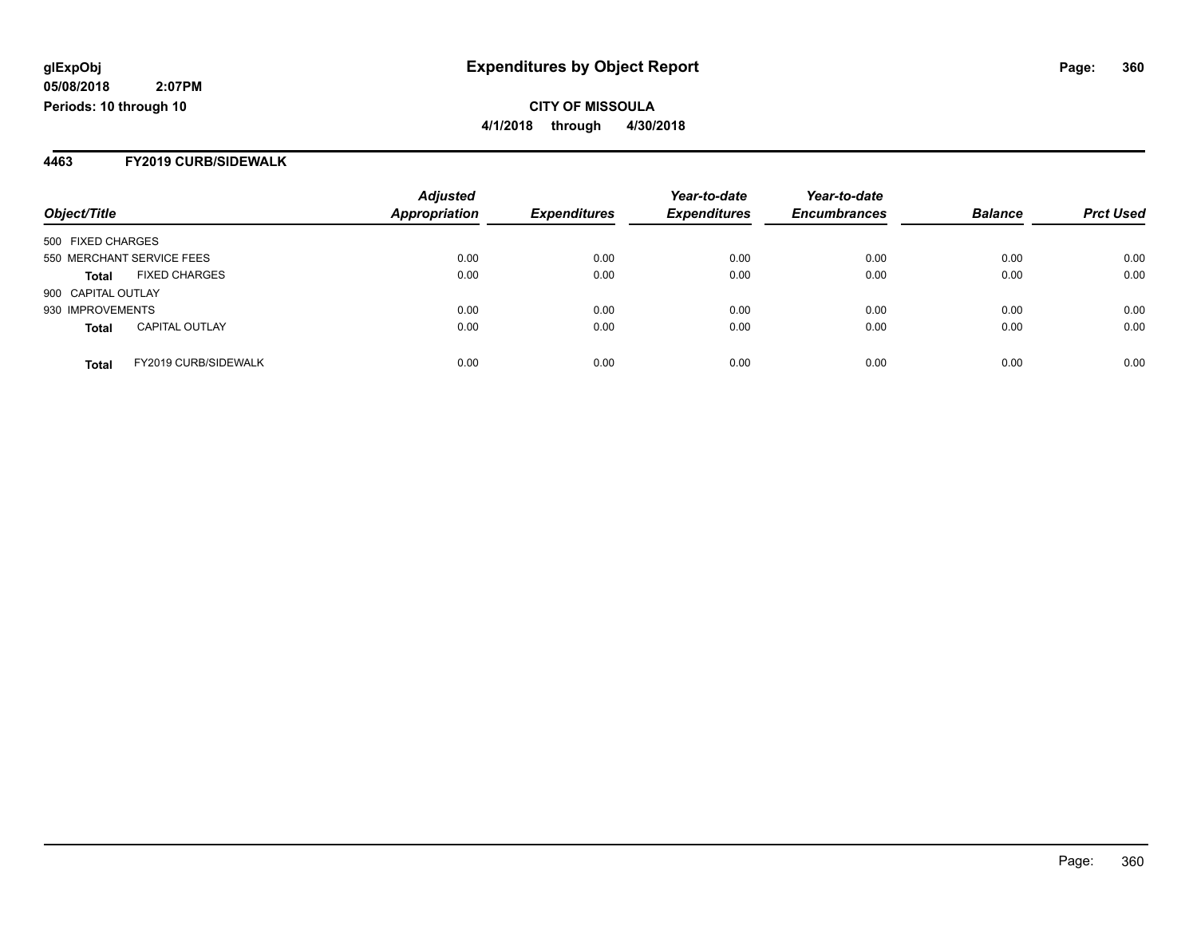**CITY OF MISSOULA 4/1/2018 through 4/30/2018**

### **4463 FY2019 CURB/SIDEWALK**

|                           |                       | <b>Adjusted</b>      |                     | Year-to-date        | Year-to-date        |                |                  |
|---------------------------|-----------------------|----------------------|---------------------|---------------------|---------------------|----------------|------------------|
| Object/Title              |                       | <b>Appropriation</b> | <b>Expenditures</b> | <b>Expenditures</b> | <b>Encumbrances</b> | <b>Balance</b> | <b>Prct Used</b> |
| 500 FIXED CHARGES         |                       |                      |                     |                     |                     |                |                  |
| 550 MERCHANT SERVICE FEES |                       | 0.00                 | 0.00                | 0.00                | 0.00                | 0.00           | 0.00             |
| <b>Total</b>              | <b>FIXED CHARGES</b>  | 0.00                 | 0.00                | 0.00                | 0.00                | 0.00           | 0.00             |
| 900 CAPITAL OUTLAY        |                       |                      |                     |                     |                     |                |                  |
| 930 IMPROVEMENTS          |                       | 0.00                 | 0.00                | 0.00                | 0.00                | 0.00           | 0.00             |
| <b>Total</b>              | <b>CAPITAL OUTLAY</b> | 0.00                 | 0.00                | 0.00                | 0.00                | 0.00           | 0.00             |
| <b>Total</b>              | FY2019 CURB/SIDEWALK  | 0.00                 | 0.00                | 0.00                | 0.00                | 0.00           | 0.00             |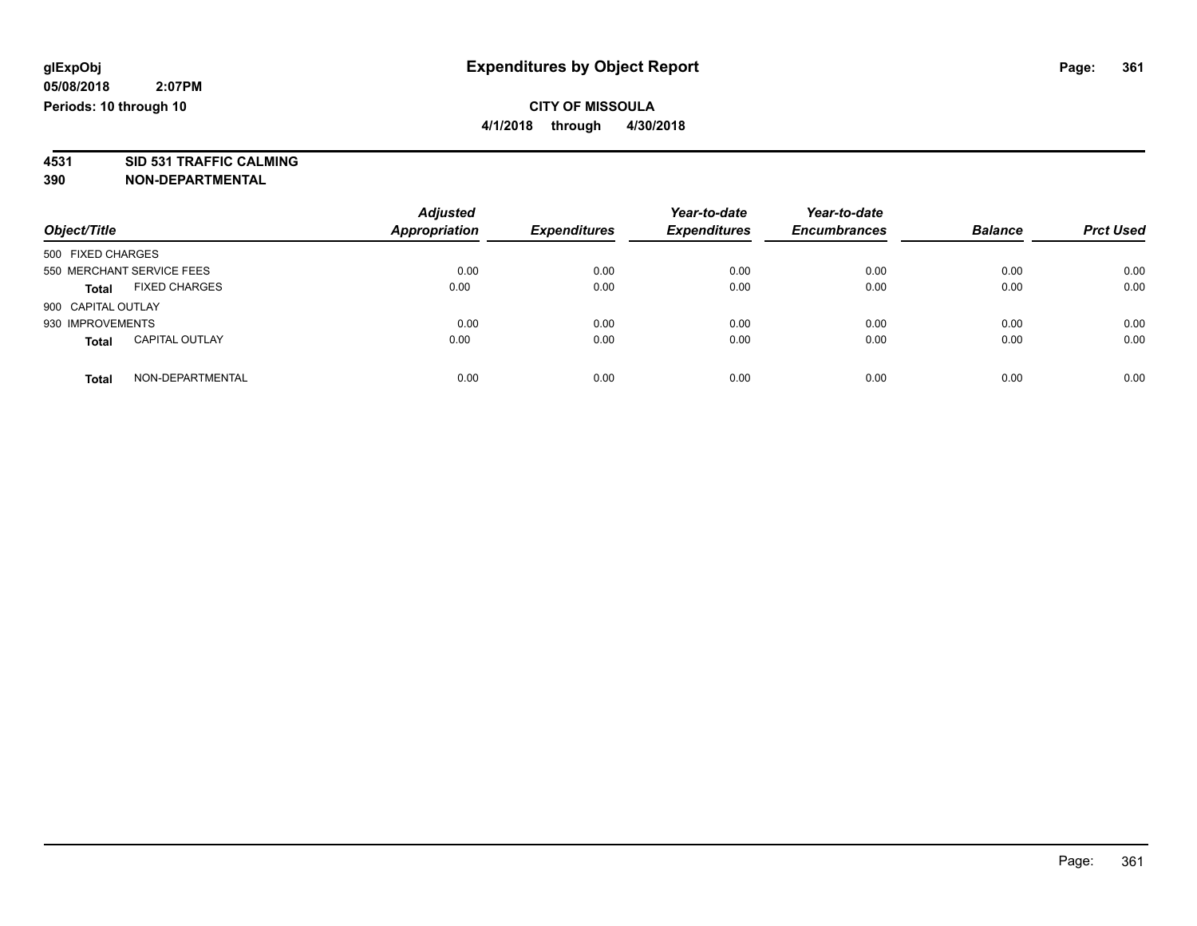**4531 SID 531 TRAFFIC CALMING 390 NON-DEPARTMENTAL**

| Object/Title                          | <b>Adjusted</b><br><b>Appropriation</b> | <b>Expenditures</b> | Year-to-date<br><b>Expenditures</b> | Year-to-date<br><b>Encumbrances</b> | <b>Balance</b> | <b>Prct Used</b> |
|---------------------------------------|-----------------------------------------|---------------------|-------------------------------------|-------------------------------------|----------------|------------------|
| 500 FIXED CHARGES                     |                                         |                     |                                     |                                     |                |                  |
| 550 MERCHANT SERVICE FEES             | 0.00                                    | 0.00                | 0.00                                | 0.00                                | 0.00           | 0.00             |
| <b>FIXED CHARGES</b><br><b>Total</b>  | 0.00                                    | 0.00                | 0.00                                | 0.00                                | 0.00           | 0.00             |
| 900 CAPITAL OUTLAY                    |                                         |                     |                                     |                                     |                |                  |
| 930 IMPROVEMENTS                      | 0.00                                    | 0.00                | 0.00                                | 0.00                                | 0.00           | 0.00             |
| <b>CAPITAL OUTLAY</b><br><b>Total</b> | 0.00                                    | 0.00                | 0.00                                | 0.00                                | 0.00           | 0.00             |
| NON-DEPARTMENTAL<br>Total             | 0.00                                    | 0.00                | 0.00                                | 0.00                                | 0.00           | 0.00             |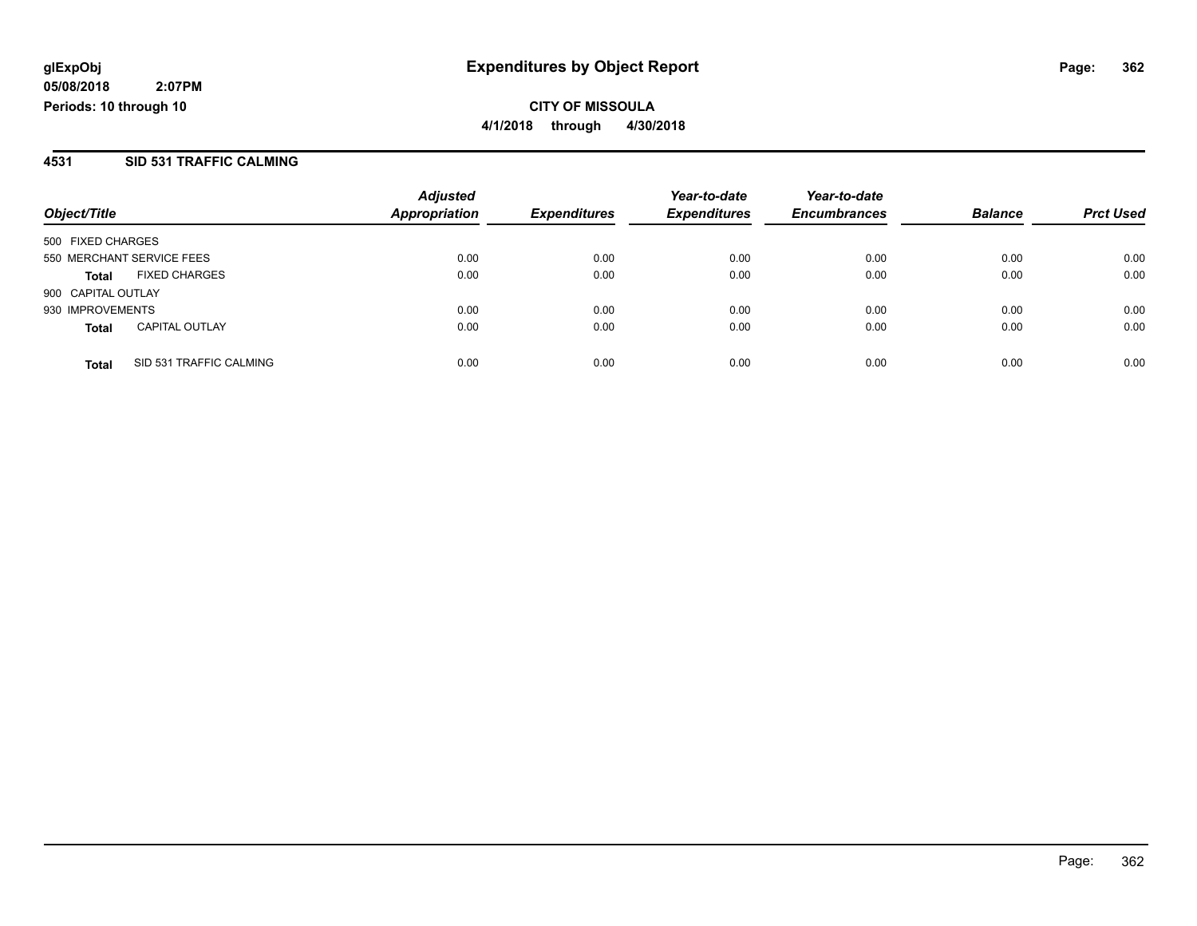#### **4531 SID 531 TRAFFIC CALMING**

|                    |                           | <b>Adjusted</b>      |                     | Year-to-date        | Year-to-date        |                |                  |
|--------------------|---------------------------|----------------------|---------------------|---------------------|---------------------|----------------|------------------|
| Object/Title       |                           | <b>Appropriation</b> | <b>Expenditures</b> | <b>Expenditures</b> | <b>Encumbrances</b> | <b>Balance</b> | <b>Prct Used</b> |
| 500 FIXED CHARGES  |                           |                      |                     |                     |                     |                |                  |
|                    | 550 MERCHANT SERVICE FEES | 0.00                 | 0.00                | 0.00                | 0.00                | 0.00           | 0.00             |
| <b>Total</b>       | <b>FIXED CHARGES</b>      | 0.00                 | 0.00                | 0.00                | 0.00                | 0.00           | 0.00             |
| 900 CAPITAL OUTLAY |                           |                      |                     |                     |                     |                |                  |
| 930 IMPROVEMENTS   |                           | 0.00                 | 0.00                | 0.00                | 0.00                | 0.00           | 0.00             |
| <b>Total</b>       | <b>CAPITAL OUTLAY</b>     | 0.00                 | 0.00                | 0.00                | 0.00                | 0.00           | 0.00             |
| <b>Total</b>       | SID 531 TRAFFIC CALMING   | 0.00                 | 0.00                | 0.00                | 0.00                | 0.00           | 0.00             |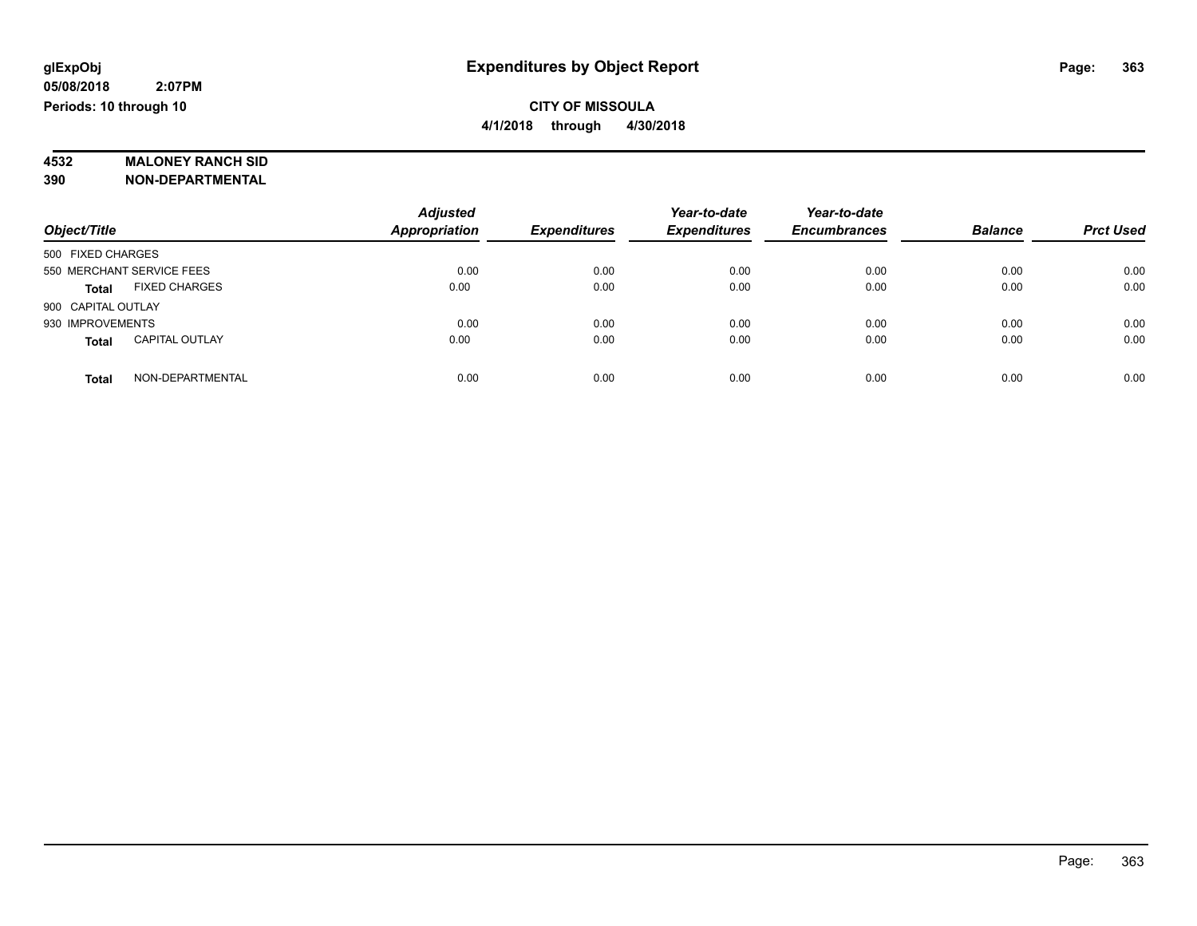# **4532 MALONEY RANCH SID**

| Object/Title                          | <b>Adjusted</b><br><b>Appropriation</b> | <b>Expenditures</b> | Year-to-date<br><b>Expenditures</b> | Year-to-date<br><b>Encumbrances</b> | <b>Balance</b> | <b>Prct Used</b> |
|---------------------------------------|-----------------------------------------|---------------------|-------------------------------------|-------------------------------------|----------------|------------------|
| 500 FIXED CHARGES                     |                                         |                     |                                     |                                     |                |                  |
| 550 MERCHANT SERVICE FEES             | 0.00                                    | 0.00                | 0.00                                | 0.00                                | 0.00           | 0.00             |
| <b>FIXED CHARGES</b><br><b>Total</b>  | 0.00                                    | 0.00                | 0.00                                | 0.00                                | 0.00           | 0.00             |
| 900 CAPITAL OUTLAY                    |                                         |                     |                                     |                                     |                |                  |
| 930 IMPROVEMENTS                      | 0.00                                    | 0.00                | 0.00                                | 0.00                                | 0.00           | 0.00             |
| <b>CAPITAL OUTLAY</b><br><b>Total</b> | 0.00                                    | 0.00                | 0.00                                | 0.00                                | 0.00           | 0.00             |
| NON-DEPARTMENTAL<br><b>Total</b>      | 0.00                                    | 0.00                | 0.00                                | 0.00                                | 0.00           | 0.00             |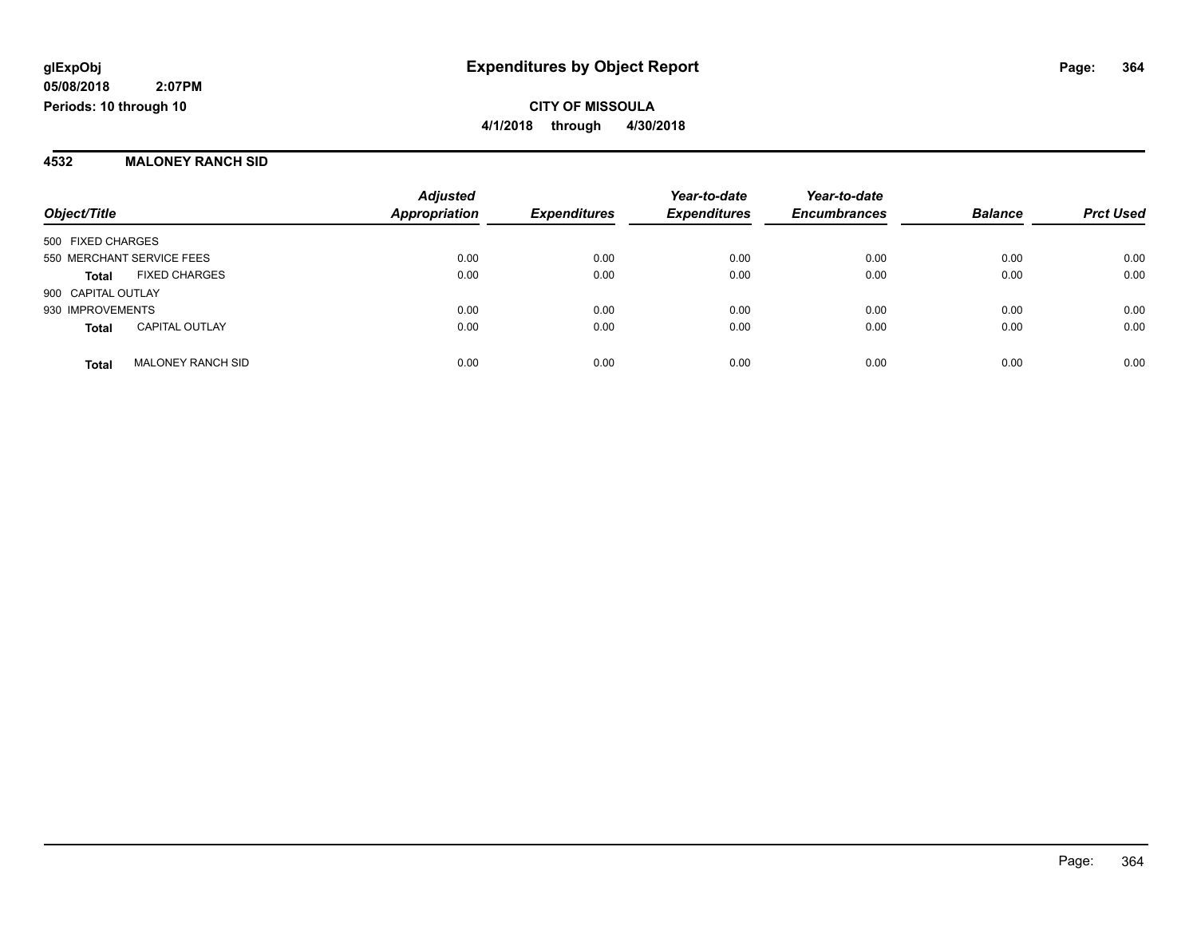#### **4532 MALONEY RANCH SID**

| Object/Title              |                          | <b>Adjusted</b>      |                     | Year-to-date        | Year-to-date<br><b>Encumbrances</b> | <b>Balance</b> | <b>Prct Used</b> |
|---------------------------|--------------------------|----------------------|---------------------|---------------------|-------------------------------------|----------------|------------------|
|                           |                          | <b>Appropriation</b> | <b>Expenditures</b> | <b>Expenditures</b> |                                     |                |                  |
| 500 FIXED CHARGES         |                          |                      |                     |                     |                                     |                |                  |
| 550 MERCHANT SERVICE FEES |                          | 0.00                 | 0.00                | 0.00                | 0.00                                | 0.00           | 0.00             |
| <b>Total</b>              | <b>FIXED CHARGES</b>     | 0.00                 | 0.00                | 0.00                | 0.00                                | 0.00           | 0.00             |
| 900 CAPITAL OUTLAY        |                          |                      |                     |                     |                                     |                |                  |
| 930 IMPROVEMENTS          |                          | 0.00                 | 0.00                | 0.00                | 0.00                                | 0.00           | 0.00             |
| <b>Total</b>              | <b>CAPITAL OUTLAY</b>    | 0.00                 | 0.00                | 0.00                | 0.00                                | 0.00           | 0.00             |
| <b>Total</b>              | <b>MALONEY RANCH SID</b> | 0.00                 | 0.00                | 0.00                | 0.00                                | 0.00           | 0.00             |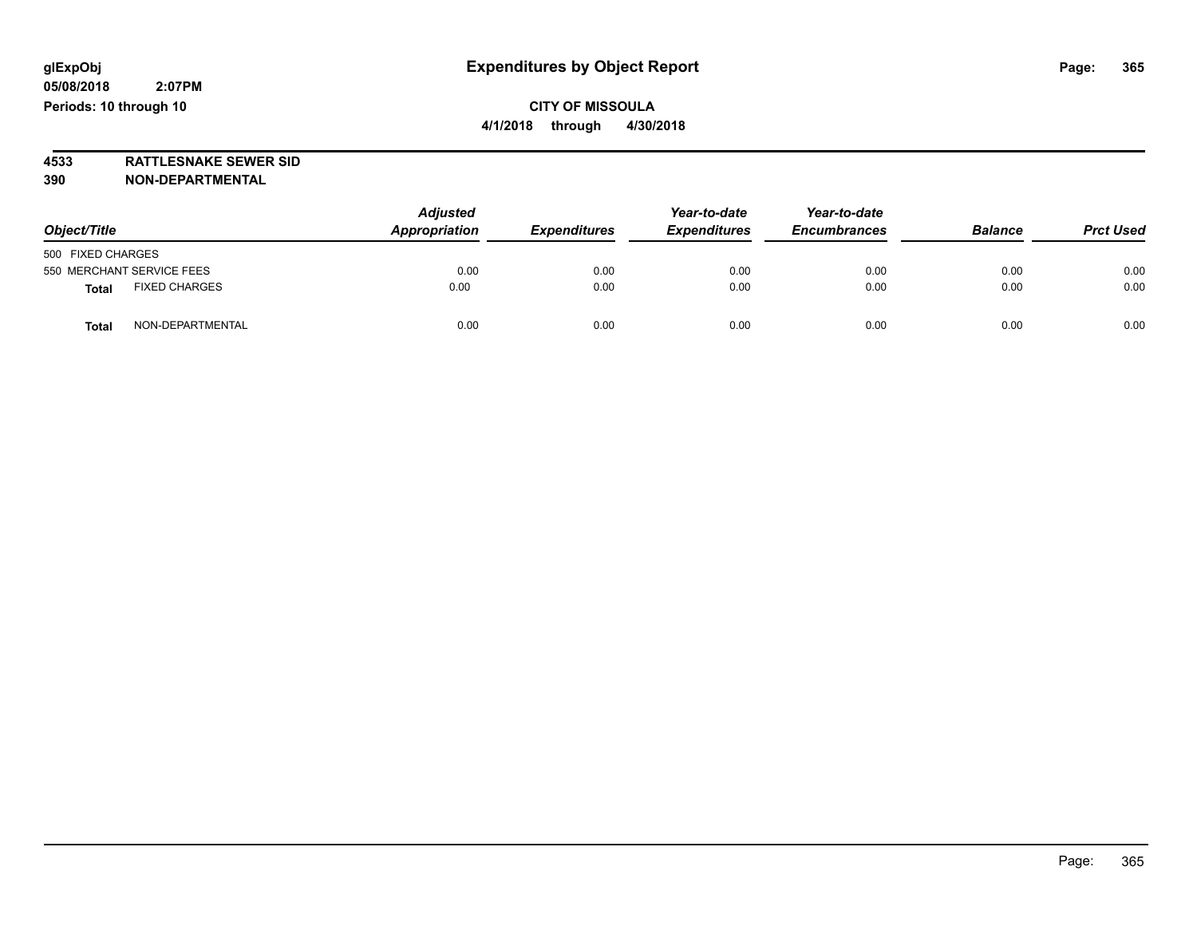**4533 RATTLESNAKE SEWER SID 390 NON-DEPARTMENTAL**

| Object/Title                         | <b>Adjusted</b><br>Appropriation | <b>Expenditures</b> | Year-to-date<br><b>Expenditures</b> | Year-to-date<br><b>Encumbrances</b> | <b>Balance</b> | <b>Prct Used</b> |
|--------------------------------------|----------------------------------|---------------------|-------------------------------------|-------------------------------------|----------------|------------------|
| 500 FIXED CHARGES                    |                                  |                     |                                     |                                     |                |                  |
| 550 MERCHANT SERVICE FEES            | 0.00                             | 0.00                | 0.00                                | 0.00                                | 0.00           | 0.00             |
| <b>FIXED CHARGES</b><br><b>Total</b> | 0.00                             | 0.00                | 0.00                                | 0.00                                | 0.00           | 0.00             |
| NON-DEPARTMENTAL<br><b>Total</b>     | 0.00                             | 0.00                | 0.00                                | 0.00                                | 0.00           | 0.00             |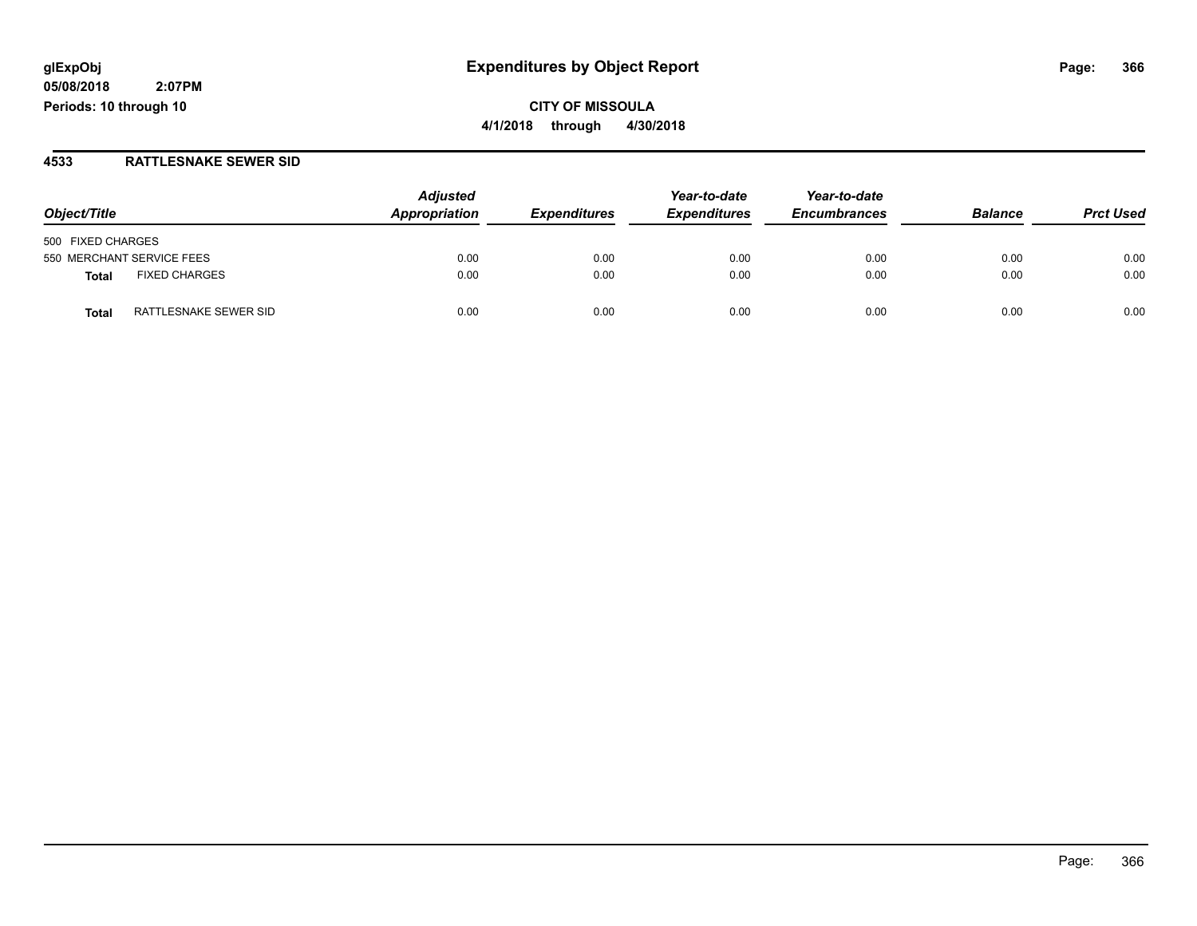**CITY OF MISSOULA 4/1/2018 through 4/30/2018**

#### **4533 RATTLESNAKE SEWER SID**

| Object/Title                   | <b>Adjusted</b><br>Appropriation | <b>Expenditures</b> | Year-to-date<br><b>Expenditures</b> | Year-to-date<br><b>Encumbrances</b> | <b>Balance</b> | <b>Prct Used</b> |
|--------------------------------|----------------------------------|---------------------|-------------------------------------|-------------------------------------|----------------|------------------|
| 500 FIXED CHARGES              |                                  |                     |                                     |                                     |                |                  |
| 550 MERCHANT SERVICE FEES      | 0.00                             | 0.00                | 0.00                                | 0.00                                | 0.00           | 0.00             |
| <b>FIXED CHARGES</b><br>Total  | 0.00                             | 0.00                | 0.00                                | 0.00                                | 0.00           | 0.00             |
| RATTLESNAKE SEWER SID<br>Total | 0.00                             | 0.00                | 0.00                                | 0.00                                | 0.00           | 0.00             |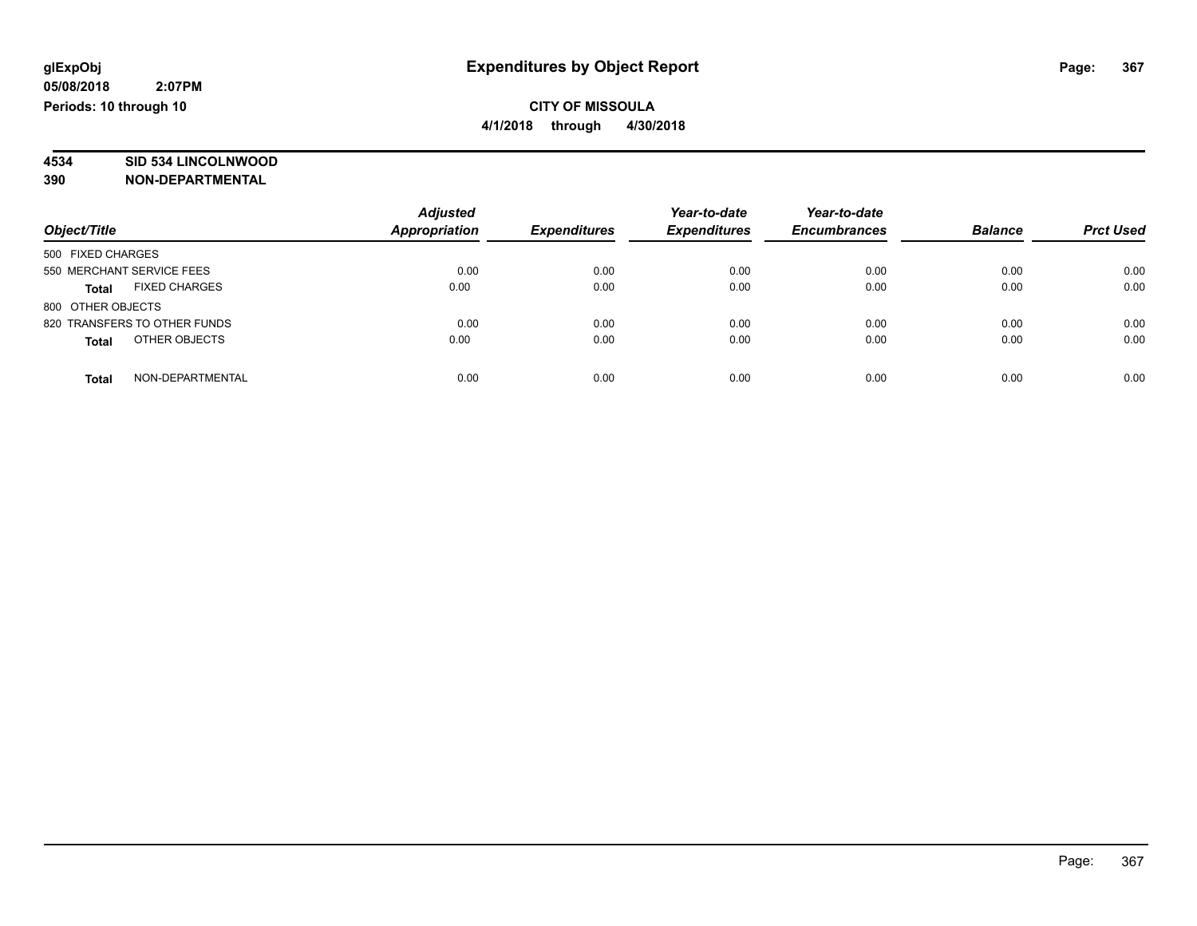# **4534 SID 534 LINCOLNWOOD**

|                                      | <b>Adjusted</b>      |                     | Year-to-date        | Year-to-date        |                |                  |
|--------------------------------------|----------------------|---------------------|---------------------|---------------------|----------------|------------------|
| Object/Title                         | <b>Appropriation</b> | <b>Expenditures</b> | <b>Expenditures</b> | <b>Encumbrances</b> | <b>Balance</b> | <b>Prct Used</b> |
| 500 FIXED CHARGES                    |                      |                     |                     |                     |                |                  |
| 550 MERCHANT SERVICE FEES            | 0.00                 | 0.00                | 0.00                | 0.00                | 0.00           | 0.00             |
| <b>FIXED CHARGES</b><br><b>Total</b> | 0.00                 | 0.00                | 0.00                | 0.00                | 0.00           | 0.00             |
| 800 OTHER OBJECTS                    |                      |                     |                     |                     |                |                  |
| 820 TRANSFERS TO OTHER FUNDS         | 0.00                 | 0.00                | 0.00                | 0.00                | 0.00           | 0.00             |
| OTHER OBJECTS<br><b>Total</b>        | 0.00                 | 0.00                | 0.00                | 0.00                | 0.00           | 0.00             |
| NON-DEPARTMENTAL<br>Total            | 0.00                 | 0.00                | 0.00                | 0.00                | 0.00           | 0.00             |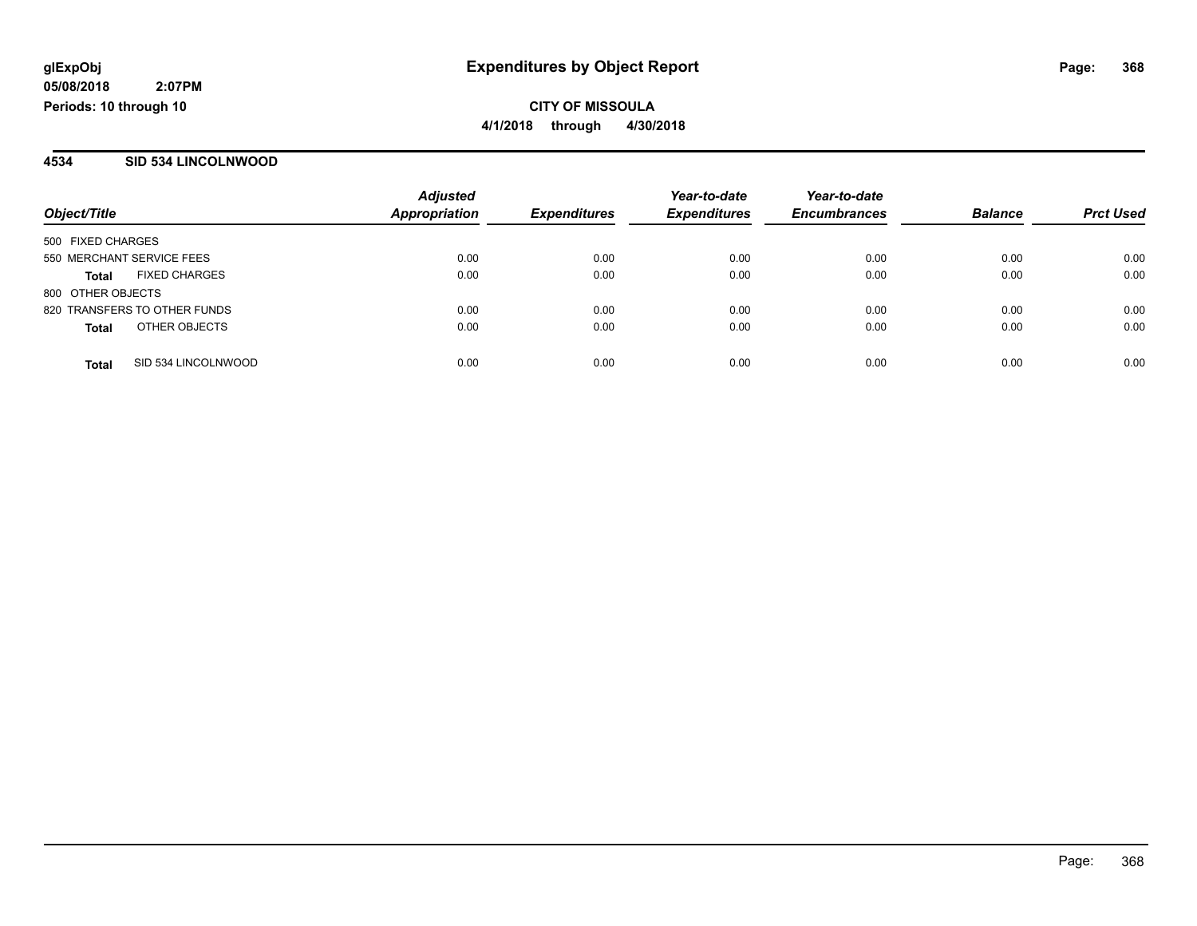#### **4534 SID 534 LINCOLNWOOD**

| Object/Title              |                              | <b>Adjusted</b>      |                     | Year-to-date<br><b>Expenditures</b> | Year-to-date<br><b>Encumbrances</b> | <b>Balance</b> | <b>Prct Used</b> |
|---------------------------|------------------------------|----------------------|---------------------|-------------------------------------|-------------------------------------|----------------|------------------|
|                           |                              | <b>Appropriation</b> | <b>Expenditures</b> |                                     |                                     |                |                  |
| 500 FIXED CHARGES         |                              |                      |                     |                                     |                                     |                |                  |
| 550 MERCHANT SERVICE FEES |                              | 0.00                 | 0.00                | 0.00                                | 0.00                                | 0.00           | 0.00             |
| Total                     | <b>FIXED CHARGES</b>         | 0.00                 | 0.00                | 0.00                                | 0.00                                | 0.00           | 0.00             |
| 800 OTHER OBJECTS         |                              |                      |                     |                                     |                                     |                |                  |
|                           | 820 TRANSFERS TO OTHER FUNDS | 0.00                 | 0.00                | 0.00                                | 0.00                                | 0.00           | 0.00             |
| <b>Total</b>              | OTHER OBJECTS                | 0.00                 | 0.00                | 0.00                                | 0.00                                | 0.00           | 0.00             |
| <b>Total</b>              | SID 534 LINCOLNWOOD          | 0.00                 | 0.00                | 0.00                                | 0.00                                | 0.00           | 0.00             |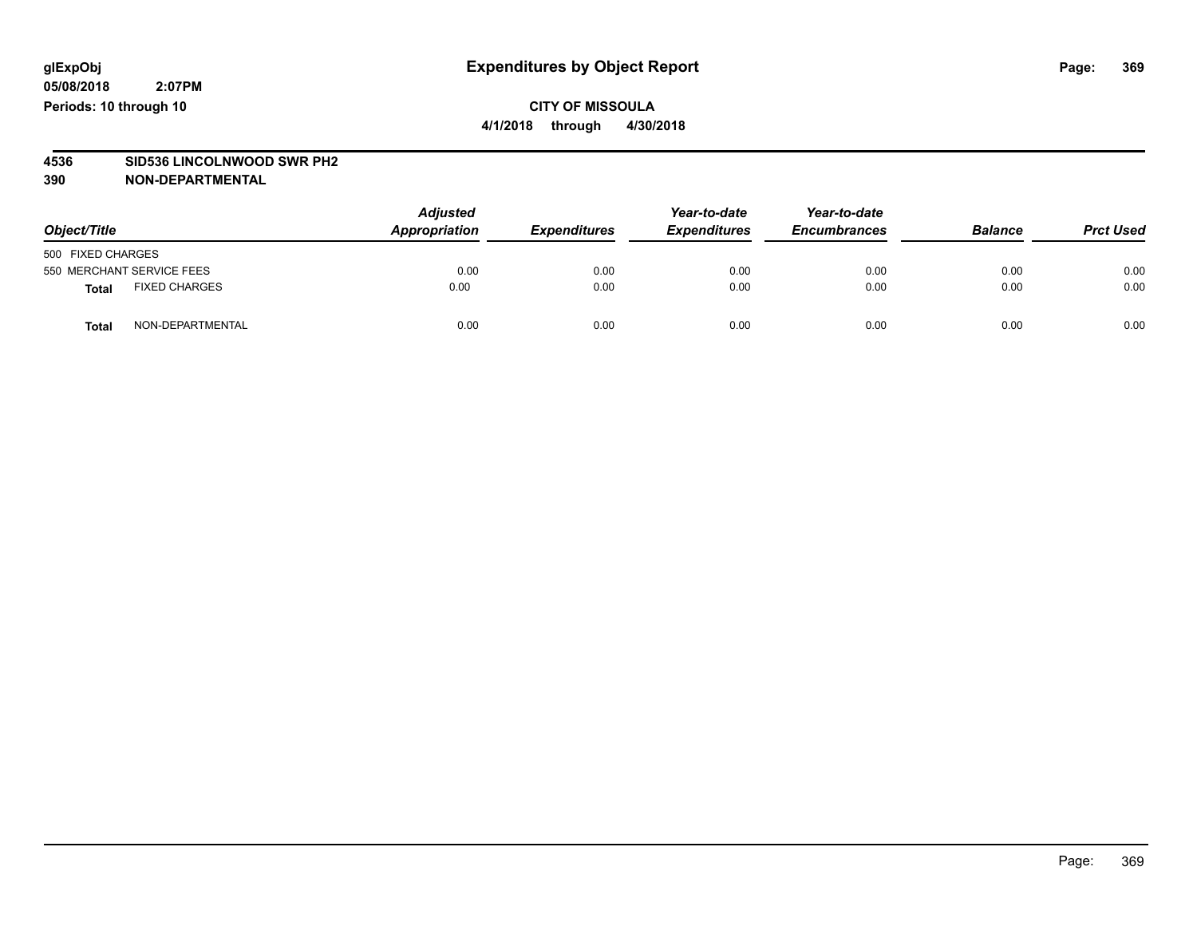# **4536 SID536 LINCOLNWOOD SWR PH2**

| Object/Title                         | <b>Adjusted</b><br>Appropriation | <b>Expenditures</b> | Year-to-date<br><b>Expenditures</b> | Year-to-date<br><b>Encumbrances</b> | <b>Balance</b> | <b>Prct Used</b> |
|--------------------------------------|----------------------------------|---------------------|-------------------------------------|-------------------------------------|----------------|------------------|
| 500 FIXED CHARGES                    |                                  |                     |                                     |                                     |                |                  |
| 550 MERCHANT SERVICE FEES            | 0.00                             | 0.00                | 0.00                                | 0.00                                | 0.00           | 0.00             |
| <b>FIXED CHARGES</b><br><b>Total</b> | 0.00                             | 0.00                | 0.00                                | 0.00                                | 0.00           | 0.00             |
| NON-DEPARTMENTAL<br><b>Total</b>     | 0.00                             | 0.00                | 0.00                                | 0.00                                | 0.00           | 0.00             |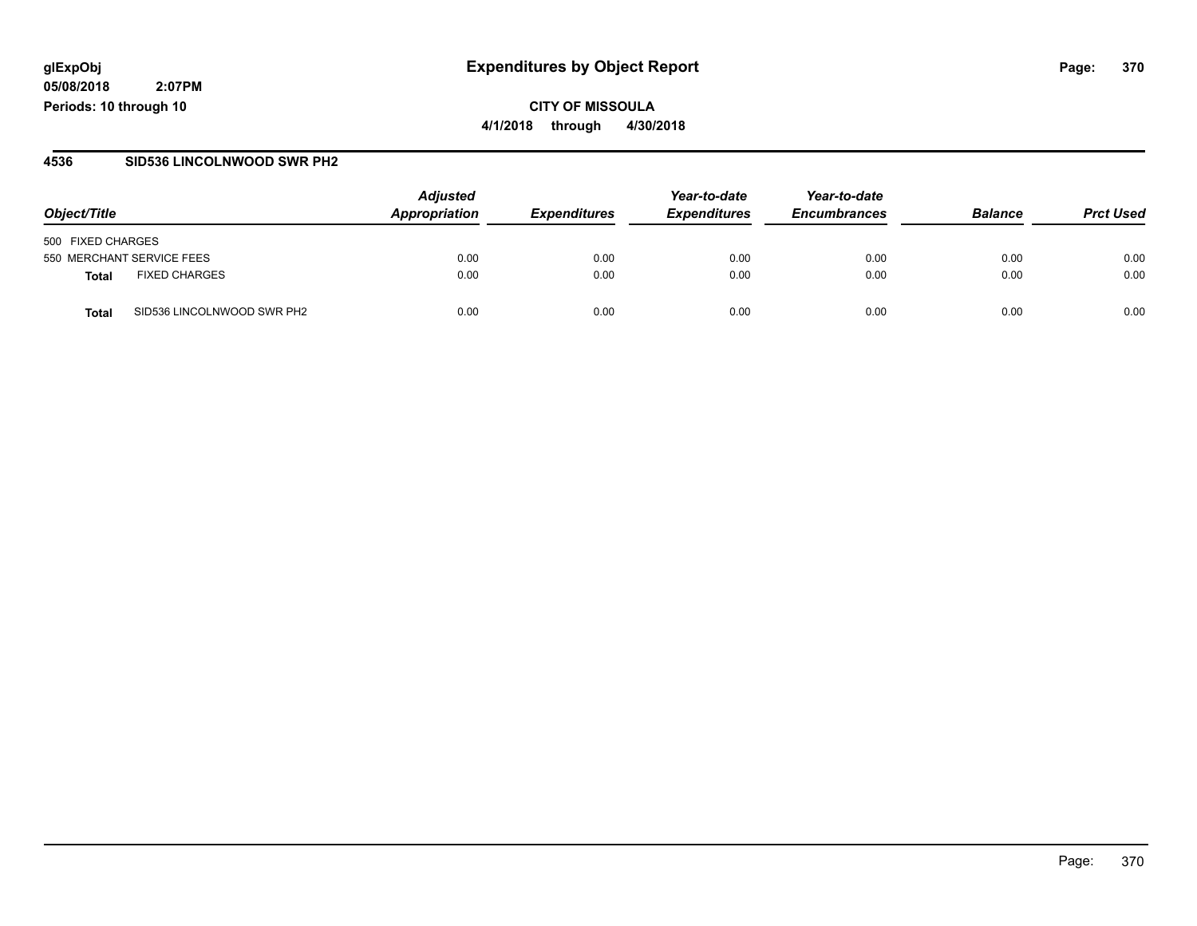**CITY OF MISSOULA 4/1/2018 through 4/30/2018**

#### **4536 SID536 LINCOLNWOOD SWR PH2**

|                                            | <b>Adjusted</b> |                     | Year-to-date        | Year-to-date        | <b>Balance</b> | <b>Prct Used</b> |
|--------------------------------------------|-----------------|---------------------|---------------------|---------------------|----------------|------------------|
| Object/Title                               | Appropriation   | <b>Expenditures</b> | <b>Expenditures</b> | <b>Encumbrances</b> |                |                  |
| 500 FIXED CHARGES                          |                 |                     |                     |                     |                |                  |
| 550 MERCHANT SERVICE FEES                  | 0.00            | 0.00                | 0.00                | 0.00                | 0.00           | 0.00             |
| <b>FIXED CHARGES</b><br>Total              | 0.00            | 0.00                | 0.00                | 0.00                | 0.00           | 0.00             |
| SID536 LINCOLNWOOD SWR PH2<br><b>Total</b> | 0.00            | 0.00                | 0.00                | 0.00                | 0.00           | 0.00             |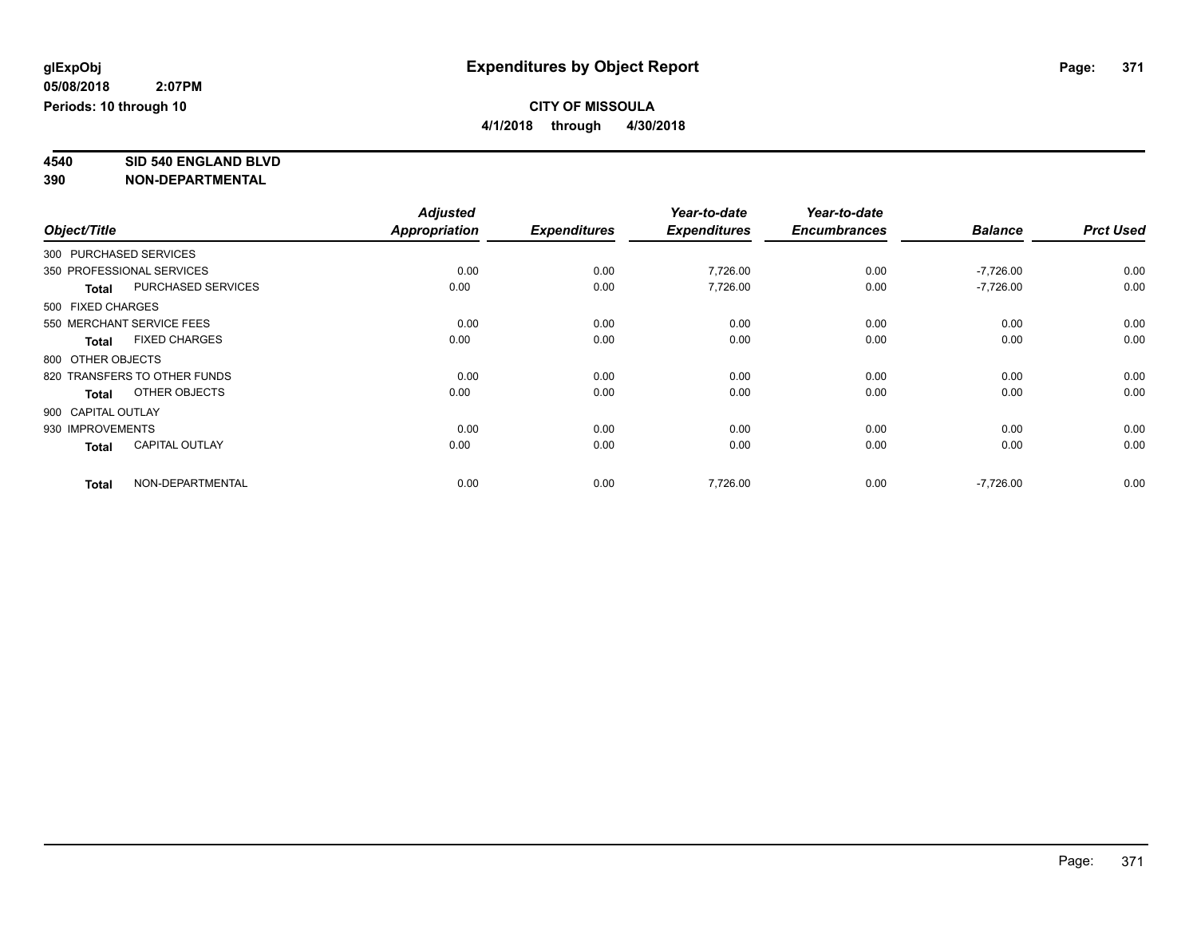**4540 SID 540 ENGLAND BLVD**

|                    |                              | <b>Adjusted</b>      |                     | Year-to-date        | Year-to-date        |                |                  |
|--------------------|------------------------------|----------------------|---------------------|---------------------|---------------------|----------------|------------------|
| Object/Title       |                              | <b>Appropriation</b> | <b>Expenditures</b> | <b>Expenditures</b> | <b>Encumbrances</b> | <b>Balance</b> | <b>Prct Used</b> |
|                    | 300 PURCHASED SERVICES       |                      |                     |                     |                     |                |                  |
|                    | 350 PROFESSIONAL SERVICES    | 0.00                 | 0.00                | 7,726.00            | 0.00                | $-7,726.00$    | 0.00             |
| <b>Total</b>       | PURCHASED SERVICES           | 0.00                 | 0.00                | 7,726.00            | 0.00                | $-7,726.00$    | 0.00             |
| 500 FIXED CHARGES  |                              |                      |                     |                     |                     |                |                  |
|                    | 550 MERCHANT SERVICE FEES    | 0.00                 | 0.00                | 0.00                | 0.00                | 0.00           | 0.00             |
| <b>Total</b>       | <b>FIXED CHARGES</b>         | 0.00                 | 0.00                | 0.00                | 0.00                | 0.00           | 0.00             |
| 800 OTHER OBJECTS  |                              |                      |                     |                     |                     |                |                  |
|                    | 820 TRANSFERS TO OTHER FUNDS | 0.00                 | 0.00                | 0.00                | 0.00                | 0.00           | 0.00             |
| <b>Total</b>       | OTHER OBJECTS                | 0.00                 | 0.00                | 0.00                | 0.00                | 0.00           | 0.00             |
| 900 CAPITAL OUTLAY |                              |                      |                     |                     |                     |                |                  |
| 930 IMPROVEMENTS   |                              | 0.00                 | 0.00                | 0.00                | 0.00                | 0.00           | 0.00             |
| <b>Total</b>       | <b>CAPITAL OUTLAY</b>        | 0.00                 | 0.00                | 0.00                | 0.00                | 0.00           | 0.00             |
| <b>Total</b>       | NON-DEPARTMENTAL             | 0.00                 | 0.00                | 7,726.00            | 0.00                | $-7,726.00$    | 0.00             |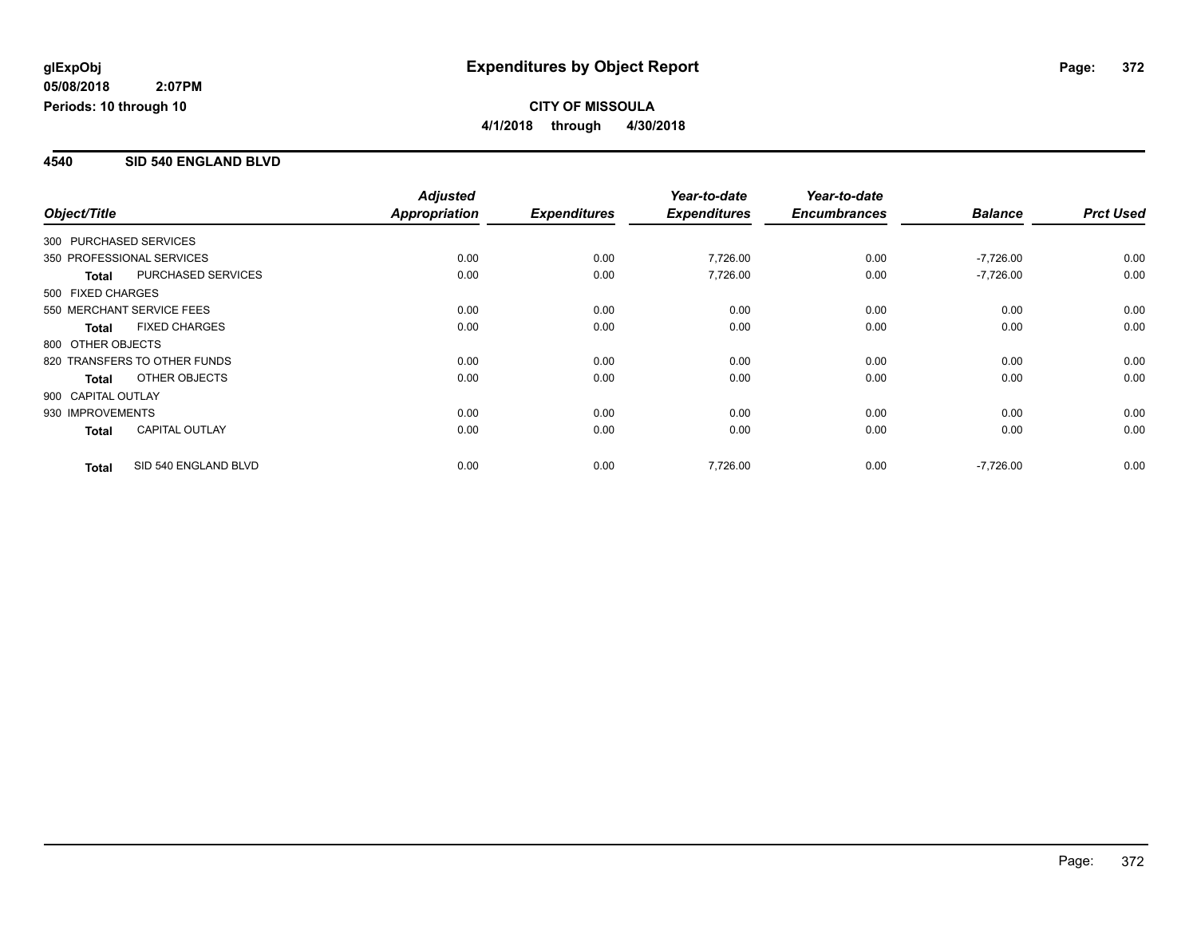#### **4540 SID 540 ENGLAND BLVD**

|                           |                              | <b>Adjusted</b>      |                     | Year-to-date        | Year-to-date        |                |                  |
|---------------------------|------------------------------|----------------------|---------------------|---------------------|---------------------|----------------|------------------|
| Object/Title              |                              | <b>Appropriation</b> | <b>Expenditures</b> | <b>Expenditures</b> | <b>Encumbrances</b> | <b>Balance</b> | <b>Prct Used</b> |
| 300 PURCHASED SERVICES    |                              |                      |                     |                     |                     |                |                  |
| 350 PROFESSIONAL SERVICES |                              | 0.00                 | 0.00                | 7,726.00            | 0.00                | $-7,726.00$    | 0.00             |
| <b>Total</b>              | PURCHASED SERVICES           | 0.00                 | 0.00                | 7,726.00            | 0.00                | $-7,726.00$    | 0.00             |
| 500 FIXED CHARGES         |                              |                      |                     |                     |                     |                |                  |
| 550 MERCHANT SERVICE FEES |                              | 0.00                 | 0.00                | 0.00                | 0.00                | 0.00           | 0.00             |
| <b>Total</b>              | <b>FIXED CHARGES</b>         | 0.00                 | 0.00                | 0.00                | 0.00                | 0.00           | 0.00             |
| 800 OTHER OBJECTS         |                              |                      |                     |                     |                     |                |                  |
|                           | 820 TRANSFERS TO OTHER FUNDS | 0.00                 | 0.00                | 0.00                | 0.00                | 0.00           | 0.00             |
| <b>Total</b>              | OTHER OBJECTS                | 0.00                 | 0.00                | 0.00                | 0.00                | 0.00           | 0.00             |
| 900 CAPITAL OUTLAY        |                              |                      |                     |                     |                     |                |                  |
| 930 IMPROVEMENTS          |                              | 0.00                 | 0.00                | 0.00                | 0.00                | 0.00           | 0.00             |
| <b>Total</b>              | <b>CAPITAL OUTLAY</b>        | 0.00                 | 0.00                | 0.00                | 0.00                | 0.00           | 0.00             |
| <b>Total</b>              | SID 540 ENGLAND BLVD         | 0.00                 | 0.00                | 7,726.00            | 0.00                | $-7,726.00$    | 0.00             |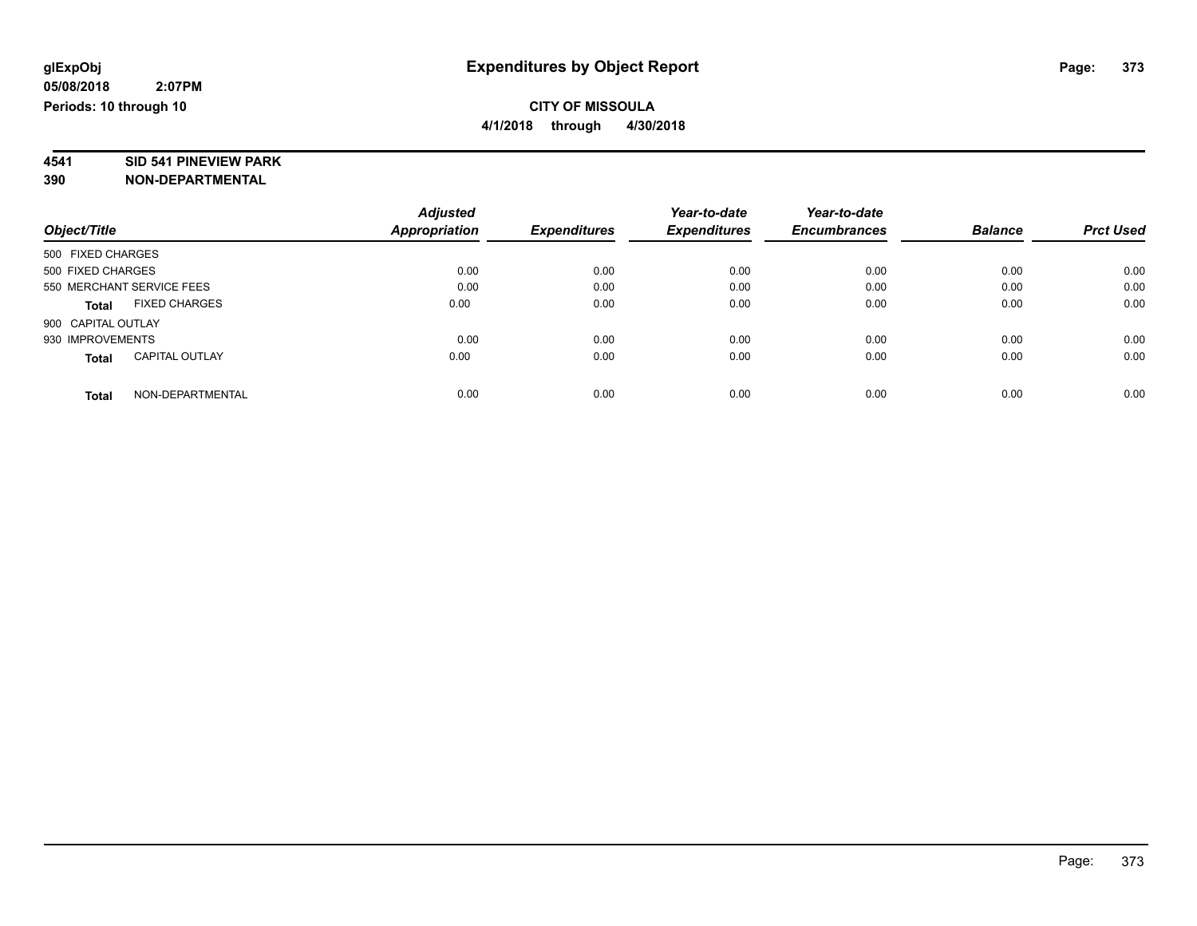# **4541 SID 541 PINEVIEW PARK**

|                                       | <b>Adjusted</b>      |                     | Year-to-date        | Year-to-date        |                |                  |
|---------------------------------------|----------------------|---------------------|---------------------|---------------------|----------------|------------------|
| Object/Title                          | <b>Appropriation</b> | <b>Expenditures</b> | <b>Expenditures</b> | <b>Encumbrances</b> | <b>Balance</b> | <b>Prct Used</b> |
| 500 FIXED CHARGES                     |                      |                     |                     |                     |                |                  |
| 500 FIXED CHARGES                     | 0.00                 | 0.00                | 0.00                | 0.00                | 0.00           | 0.00             |
| 550 MERCHANT SERVICE FEES             | 0.00                 | 0.00                | 0.00                | 0.00                | 0.00           | 0.00             |
| <b>FIXED CHARGES</b><br><b>Total</b>  | 0.00                 | 0.00                | 0.00                | 0.00                | 0.00           | 0.00             |
| 900 CAPITAL OUTLAY                    |                      |                     |                     |                     |                |                  |
| 930 IMPROVEMENTS                      | 0.00                 | 0.00                | 0.00                | 0.00                | 0.00           | 0.00             |
| <b>CAPITAL OUTLAY</b><br><b>Total</b> | 0.00                 | 0.00                | 0.00                | 0.00                | 0.00           | 0.00             |
| NON-DEPARTMENTAL<br><b>Total</b>      | 0.00                 | 0.00                | 0.00                | 0.00                | 0.00           | 0.00             |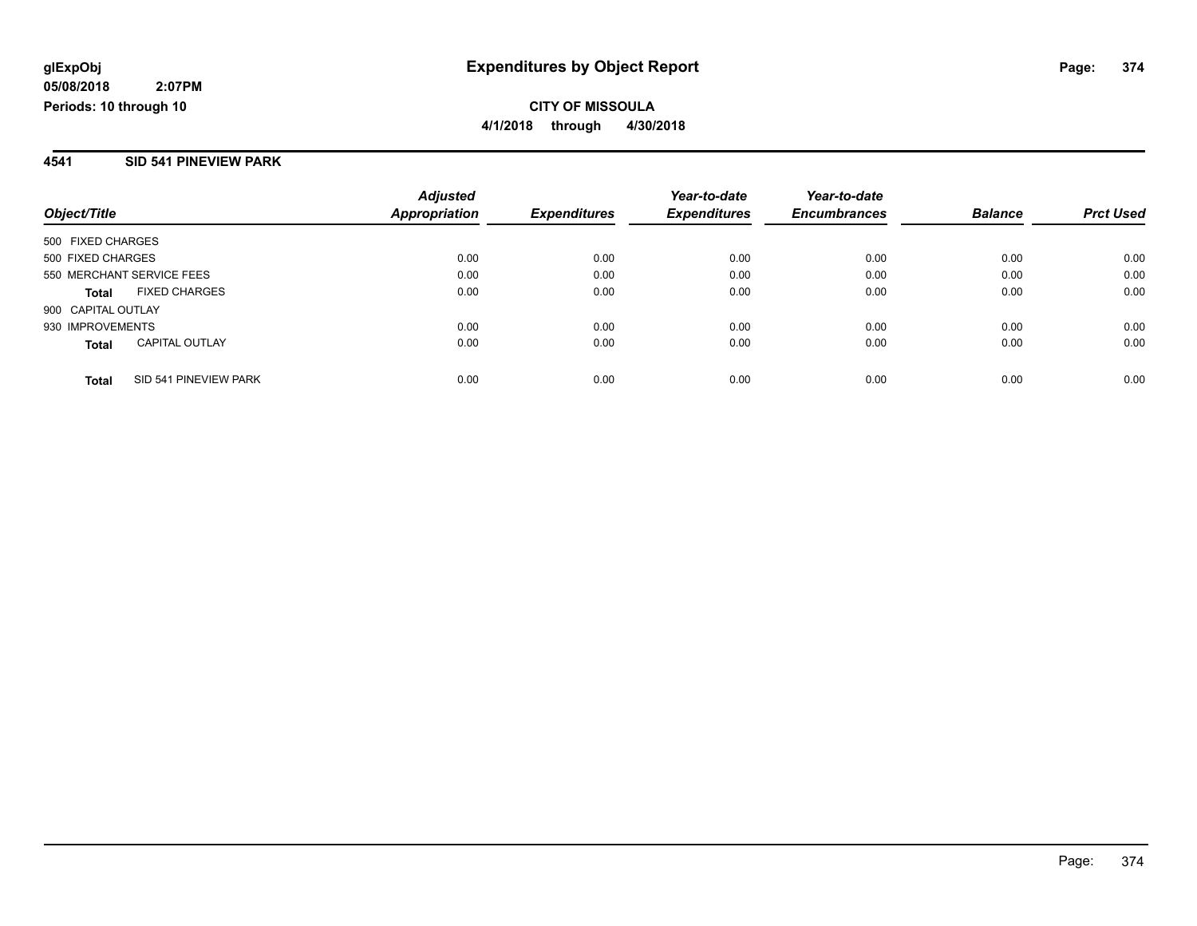#### **4541 SID 541 PINEVIEW PARK**

| Object/Title                          | <b>Adjusted</b><br><b>Appropriation</b> | <b>Expenditures</b> | Year-to-date<br><b>Expenditures</b> | Year-to-date<br><b>Encumbrances</b> | <b>Balance</b> | <b>Prct Used</b> |
|---------------------------------------|-----------------------------------------|---------------------|-------------------------------------|-------------------------------------|----------------|------------------|
| 500 FIXED CHARGES                     |                                         |                     |                                     |                                     |                |                  |
| 500 FIXED CHARGES                     | 0.00                                    | 0.00                | 0.00                                | 0.00                                | 0.00           | 0.00             |
| 550 MERCHANT SERVICE FEES             | 0.00                                    | 0.00                | 0.00                                | 0.00                                | 0.00           | 0.00             |
| <b>FIXED CHARGES</b><br><b>Total</b>  | 0.00                                    | 0.00                | 0.00                                | 0.00                                | 0.00           | 0.00             |
| 900 CAPITAL OUTLAY                    |                                         |                     |                                     |                                     |                |                  |
| 930 IMPROVEMENTS                      | 0.00                                    | 0.00                | 0.00                                | 0.00                                | 0.00           | 0.00             |
| <b>CAPITAL OUTLAY</b><br><b>Total</b> | 0.00                                    | 0.00                | 0.00                                | 0.00                                | 0.00           | 0.00             |
| SID 541 PINEVIEW PARK<br><b>Total</b> | 0.00                                    | 0.00                | 0.00                                | 0.00                                | 0.00           | 0.00             |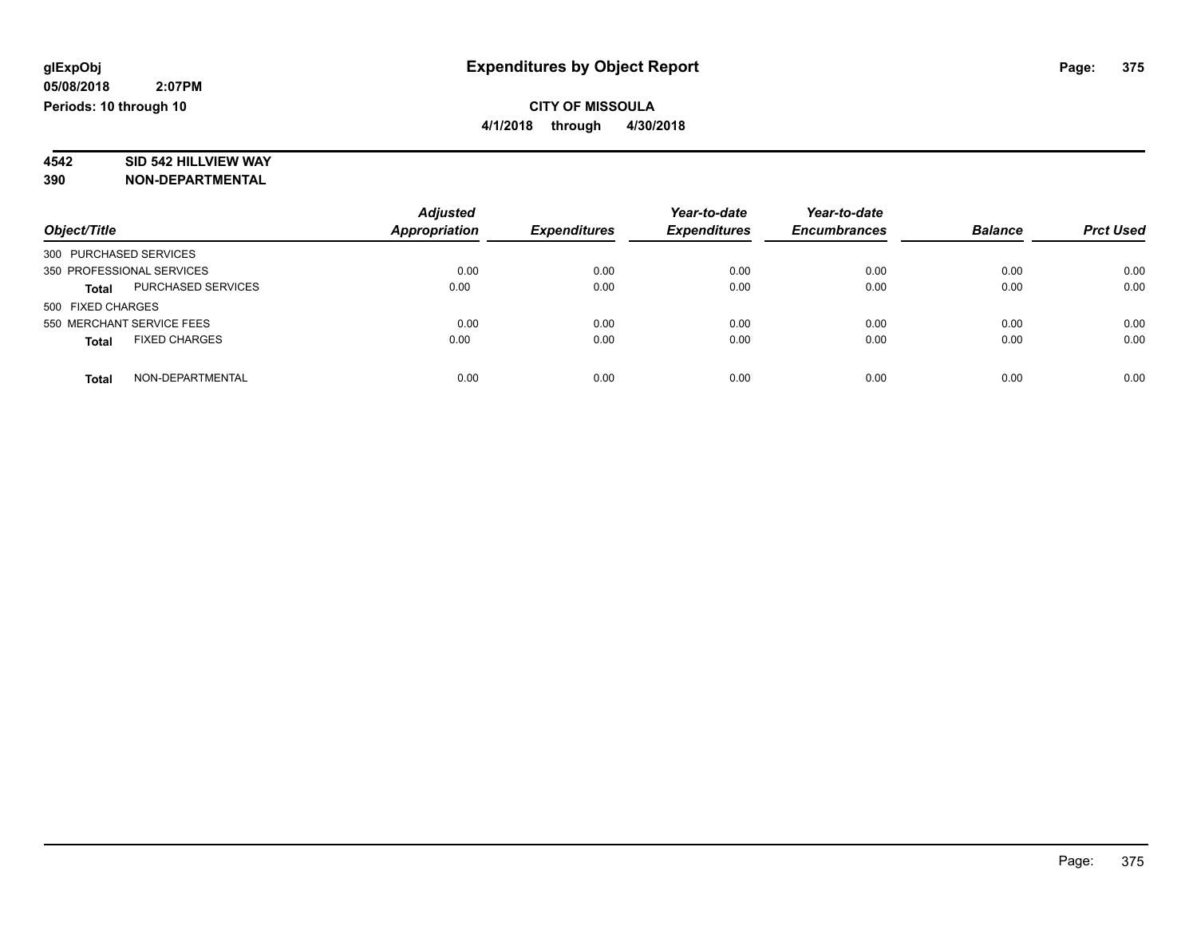# **4542 SID 542 HILLVIEW WAY**

|                                      | <b>Adjusted</b>      |                     | Year-to-date        | Year-to-date        |                |                  |
|--------------------------------------|----------------------|---------------------|---------------------|---------------------|----------------|------------------|
| Object/Title                         | <b>Appropriation</b> | <b>Expenditures</b> | <b>Expenditures</b> | <b>Encumbrances</b> | <b>Balance</b> | <b>Prct Used</b> |
| 300 PURCHASED SERVICES               |                      |                     |                     |                     |                |                  |
| 350 PROFESSIONAL SERVICES            | 0.00                 | 0.00                | 0.00                | 0.00                | 0.00           | 0.00             |
| PURCHASED SERVICES<br><b>Total</b>   | 0.00                 | 0.00                | 0.00                | 0.00                | 0.00           | 0.00             |
| 500 FIXED CHARGES                    |                      |                     |                     |                     |                |                  |
| 550 MERCHANT SERVICE FEES            | 0.00                 | 0.00                | 0.00                | 0.00                | 0.00           | 0.00             |
| <b>FIXED CHARGES</b><br><b>Total</b> | 0.00                 | 0.00                | 0.00                | 0.00                | 0.00           | 0.00             |
| NON-DEPARTMENTAL<br><b>Total</b>     | 0.00                 | 0.00                | 0.00                | 0.00                | 0.00           | 0.00             |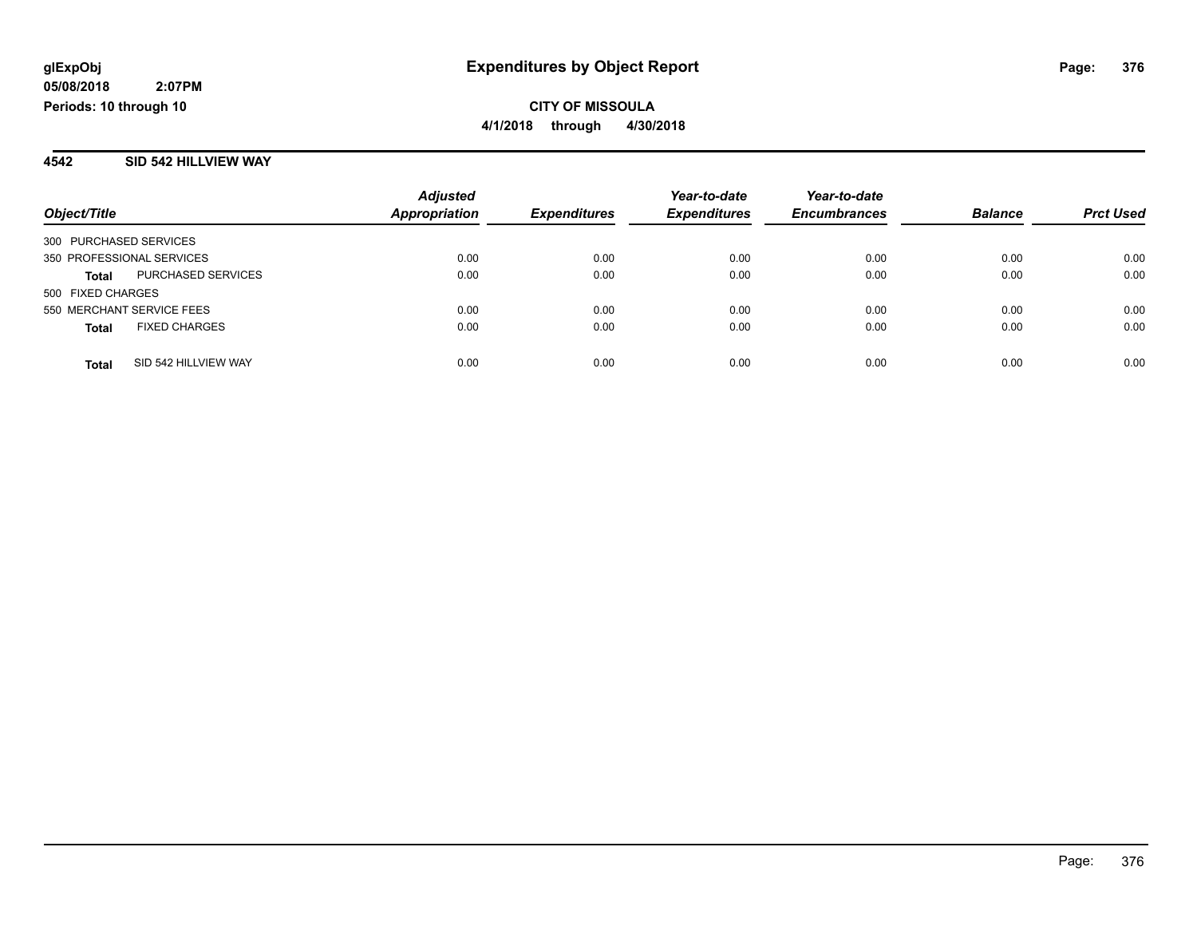#### **4542 SID 542 HILLVIEW WAY**

|                           |                      | <b>Adjusted</b>      |                     | Year-to-date        | Year-to-date        |                |                  |
|---------------------------|----------------------|----------------------|---------------------|---------------------|---------------------|----------------|------------------|
| Object/Title              |                      | <b>Appropriation</b> | <b>Expenditures</b> | <b>Expenditures</b> | <b>Encumbrances</b> | <b>Balance</b> | <b>Prct Used</b> |
| 300 PURCHASED SERVICES    |                      |                      |                     |                     |                     |                |                  |
| 350 PROFESSIONAL SERVICES |                      | 0.00                 | 0.00                | 0.00                | 0.00                | 0.00           | 0.00             |
| <b>Total</b>              | PURCHASED SERVICES   | 0.00                 | 0.00                | 0.00                | 0.00                | 0.00           | 0.00             |
| 500 FIXED CHARGES         |                      |                      |                     |                     |                     |                |                  |
| 550 MERCHANT SERVICE FEES |                      | 0.00                 | 0.00                | 0.00                | 0.00                | 0.00           | 0.00             |
| <b>Total</b>              | <b>FIXED CHARGES</b> | 0.00                 | 0.00                | 0.00                | 0.00                | 0.00           | 0.00             |
| <b>Total</b>              | SID 542 HILLVIEW WAY | 0.00                 | 0.00                | 0.00                | 0.00                | 0.00           | 0.00             |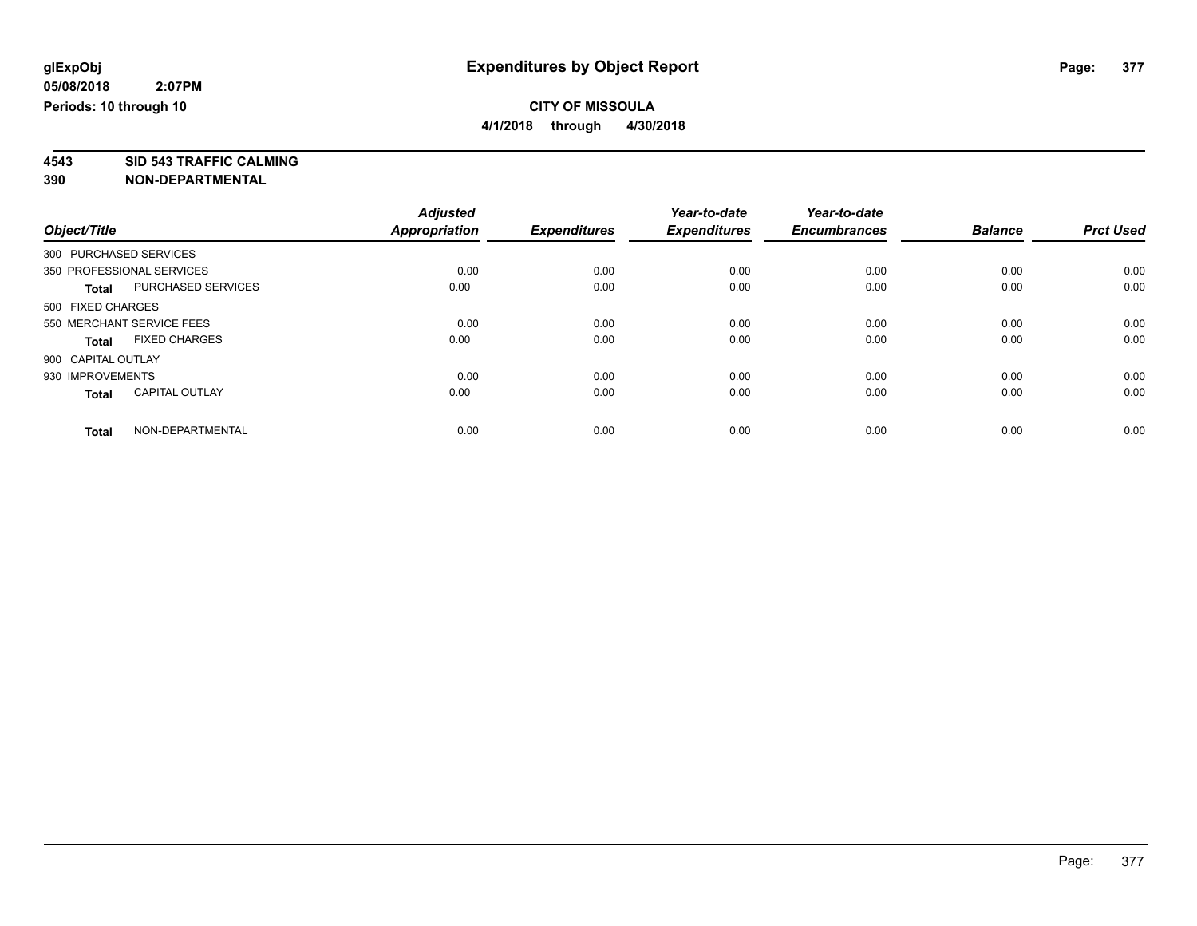**4543 SID 543 TRAFFIC CALMING**

|                                       | <b>Adjusted</b>      |                     | Year-to-date        | Year-to-date        |                |                  |
|---------------------------------------|----------------------|---------------------|---------------------|---------------------|----------------|------------------|
| Object/Title                          | <b>Appropriation</b> | <b>Expenditures</b> | <b>Expenditures</b> | <b>Encumbrances</b> | <b>Balance</b> | <b>Prct Used</b> |
| 300 PURCHASED SERVICES                |                      |                     |                     |                     |                |                  |
| 350 PROFESSIONAL SERVICES             | 0.00                 | 0.00                | 0.00                | 0.00                | 0.00           | 0.00             |
| PURCHASED SERVICES<br>Total           | 0.00                 | 0.00                | 0.00                | 0.00                | 0.00           | 0.00             |
| 500 FIXED CHARGES                     |                      |                     |                     |                     |                |                  |
| 550 MERCHANT SERVICE FEES             | 0.00                 | 0.00                | 0.00                | 0.00                | 0.00           | 0.00             |
| <b>FIXED CHARGES</b><br><b>Total</b>  | 0.00                 | 0.00                | 0.00                | 0.00                | 0.00           | 0.00             |
| 900 CAPITAL OUTLAY                    |                      |                     |                     |                     |                |                  |
| 930 IMPROVEMENTS                      | 0.00                 | 0.00                | 0.00                | 0.00                | 0.00           | 0.00             |
| <b>CAPITAL OUTLAY</b><br><b>Total</b> | 0.00                 | 0.00                | 0.00                | 0.00                | 0.00           | 0.00             |
| NON-DEPARTMENTAL<br><b>Total</b>      | 0.00                 | 0.00                | 0.00                | 0.00                | 0.00           | 0.00             |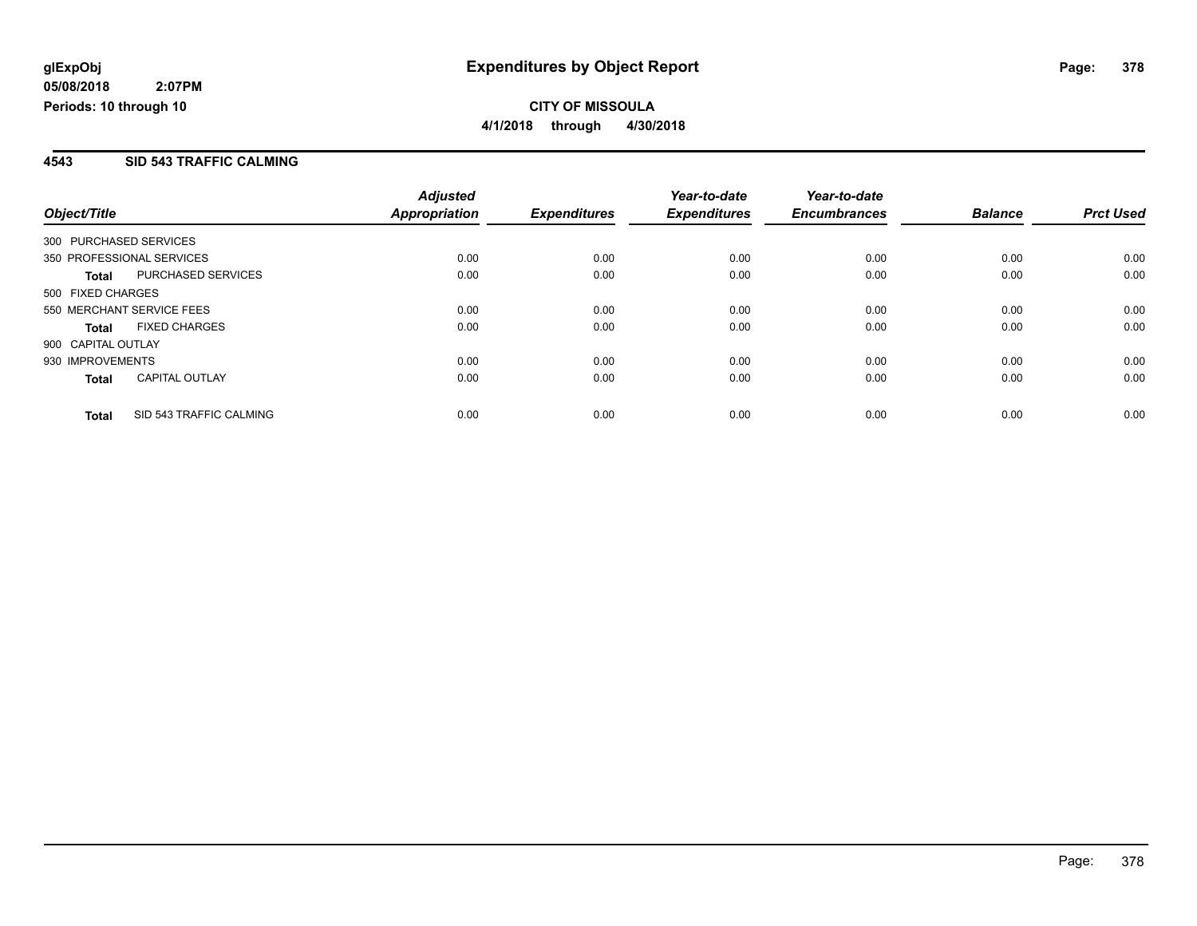#### **4543 SID 543 TRAFFIC CALMING**

|                           |                           | <b>Adjusted</b>      |                     | Year-to-date        | Year-to-date        |                |                  |
|---------------------------|---------------------------|----------------------|---------------------|---------------------|---------------------|----------------|------------------|
| Object/Title              |                           | <b>Appropriation</b> | <b>Expenditures</b> | <b>Expenditures</b> | <b>Encumbrances</b> | <b>Balance</b> | <b>Prct Used</b> |
| 300 PURCHASED SERVICES    |                           |                      |                     |                     |                     |                |                  |
| 350 PROFESSIONAL SERVICES |                           | 0.00                 | 0.00                | 0.00                | 0.00                | 0.00           | 0.00             |
| <b>Total</b>              | <b>PURCHASED SERVICES</b> | 0.00                 | 0.00                | 0.00                | 0.00                | 0.00           | 0.00             |
| 500 FIXED CHARGES         |                           |                      |                     |                     |                     |                |                  |
| 550 MERCHANT SERVICE FEES |                           | 0.00                 | 0.00                | 0.00                | 0.00                | 0.00           | 0.00             |
| <b>Total</b>              | <b>FIXED CHARGES</b>      | 0.00                 | 0.00                | 0.00                | 0.00                | 0.00           | 0.00             |
| 900 CAPITAL OUTLAY        |                           |                      |                     |                     |                     |                |                  |
| 930 IMPROVEMENTS          |                           | 0.00                 | 0.00                | 0.00                | 0.00                | 0.00           | 0.00             |
| <b>Total</b>              | <b>CAPITAL OUTLAY</b>     | 0.00                 | 0.00                | 0.00                | 0.00                | 0.00           | 0.00             |
| <b>Total</b>              | SID 543 TRAFFIC CALMING   | 0.00                 | 0.00                | 0.00                | 0.00                | 0.00           | 0.00             |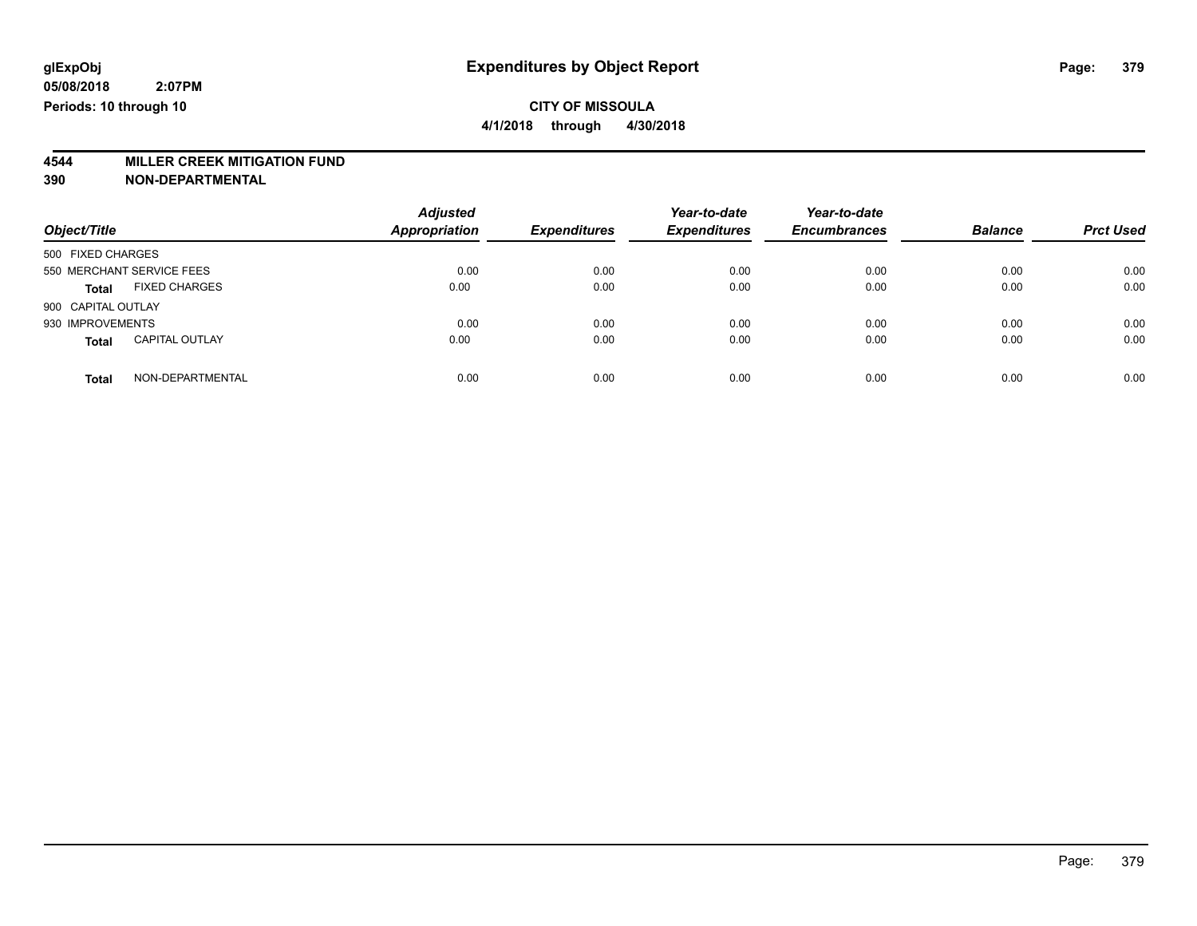# **4544 MILLER CREEK MITIGATION FUND**

| Object/Title                          | <b>Adjusted</b><br><b>Appropriation</b> | <b>Expenditures</b> | Year-to-date<br><b>Expenditures</b> | Year-to-date<br><b>Encumbrances</b> | <b>Balance</b> | <b>Prct Used</b> |
|---------------------------------------|-----------------------------------------|---------------------|-------------------------------------|-------------------------------------|----------------|------------------|
| 500 FIXED CHARGES                     |                                         |                     |                                     |                                     |                |                  |
| 550 MERCHANT SERVICE FEES             | 0.00                                    | 0.00                | 0.00                                | 0.00                                | 0.00           | 0.00             |
| <b>FIXED CHARGES</b><br><b>Total</b>  | 0.00                                    | 0.00                | 0.00                                | 0.00                                | 0.00           | 0.00             |
| 900 CAPITAL OUTLAY                    |                                         |                     |                                     |                                     |                |                  |
| 930 IMPROVEMENTS                      | 0.00                                    | 0.00                | 0.00                                | 0.00                                | 0.00           | 0.00             |
| <b>CAPITAL OUTLAY</b><br><b>Total</b> | 0.00                                    | 0.00                | 0.00                                | 0.00                                | 0.00           | 0.00             |
| NON-DEPARTMENTAL<br>Total             | 0.00                                    | 0.00                | 0.00                                | 0.00                                | 0.00           | 0.00             |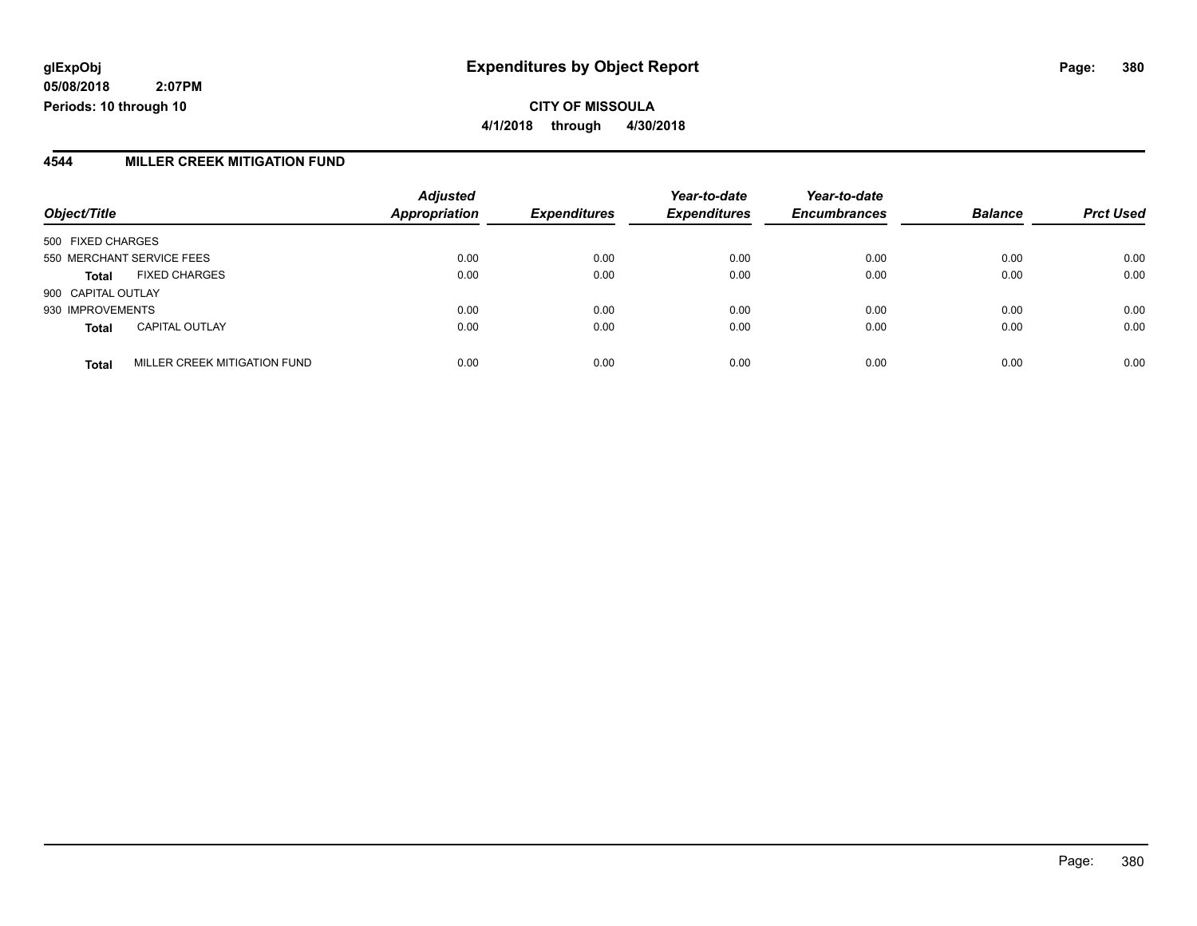**CITY OF MISSOULA 4/1/2018 through 4/30/2018**

#### **4544 MILLER CREEK MITIGATION FUND**

| Object/Title       |                              | <b>Adjusted</b><br><b>Appropriation</b> | <b>Expenditures</b> | Year-to-date<br><b>Expenditures</b> | Year-to-date<br><b>Encumbrances</b> | <b>Balance</b> | <b>Prct Used</b> |
|--------------------|------------------------------|-----------------------------------------|---------------------|-------------------------------------|-------------------------------------|----------------|------------------|
| 500 FIXED CHARGES  |                              |                                         |                     |                                     |                                     |                |                  |
|                    | 550 MERCHANT SERVICE FEES    | 0.00                                    | 0.00                | 0.00                                | 0.00                                | 0.00           | 0.00             |
| <b>Total</b>       | <b>FIXED CHARGES</b>         | 0.00                                    | 0.00                | 0.00                                | 0.00                                | 0.00           | 0.00             |
| 900 CAPITAL OUTLAY |                              |                                         |                     |                                     |                                     |                |                  |
| 930 IMPROVEMENTS   |                              | 0.00                                    | 0.00                | 0.00                                | 0.00                                | 0.00           | 0.00             |
| <b>Total</b>       | <b>CAPITAL OUTLAY</b>        | 0.00                                    | 0.00                | 0.00                                | 0.00                                | 0.00           | 0.00             |
| <b>Total</b>       | MILLER CREEK MITIGATION FUND | 0.00                                    | 0.00                | 0.00                                | 0.00                                | 0.00           | 0.00             |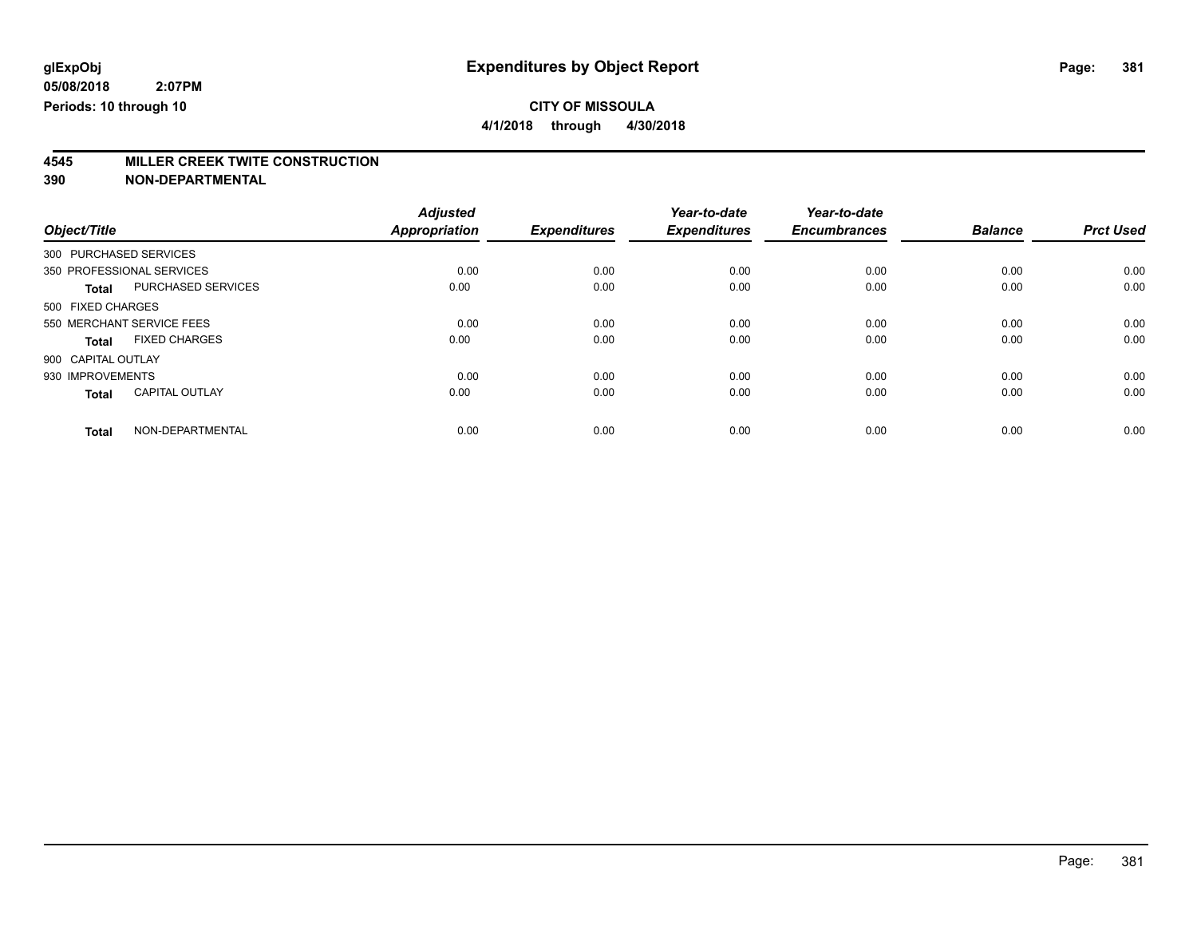**4545 MILLER CREEK TWITE CONSTRUCTION**

|                        |                           | <b>Adjusted</b>      |                     | Year-to-date        | Year-to-date        |                |                  |
|------------------------|---------------------------|----------------------|---------------------|---------------------|---------------------|----------------|------------------|
| Object/Title           |                           | <b>Appropriation</b> | <b>Expenditures</b> | <b>Expenditures</b> | <b>Encumbrances</b> | <b>Balance</b> | <b>Prct Used</b> |
| 300 PURCHASED SERVICES |                           |                      |                     |                     |                     |                |                  |
|                        | 350 PROFESSIONAL SERVICES | 0.00                 | 0.00                | 0.00                | 0.00                | 0.00           | 0.00             |
| <b>Total</b>           | PURCHASED SERVICES        | 0.00                 | 0.00                | 0.00                | 0.00                | 0.00           | 0.00             |
| 500 FIXED CHARGES      |                           |                      |                     |                     |                     |                |                  |
|                        | 550 MERCHANT SERVICE FEES | 0.00                 | 0.00                | 0.00                | 0.00                | 0.00           | 0.00             |
| <b>Total</b>           | <b>FIXED CHARGES</b>      | 0.00                 | 0.00                | 0.00                | 0.00                | 0.00           | 0.00             |
| 900 CAPITAL OUTLAY     |                           |                      |                     |                     |                     |                |                  |
| 930 IMPROVEMENTS       |                           | 0.00                 | 0.00                | 0.00                | 0.00                | 0.00           | 0.00             |
| <b>Total</b>           | <b>CAPITAL OUTLAY</b>     | 0.00                 | 0.00                | 0.00                | 0.00                | 0.00           | 0.00             |
| <b>Total</b>           | NON-DEPARTMENTAL          | 0.00                 | 0.00                | 0.00                | 0.00                | 0.00           | 0.00             |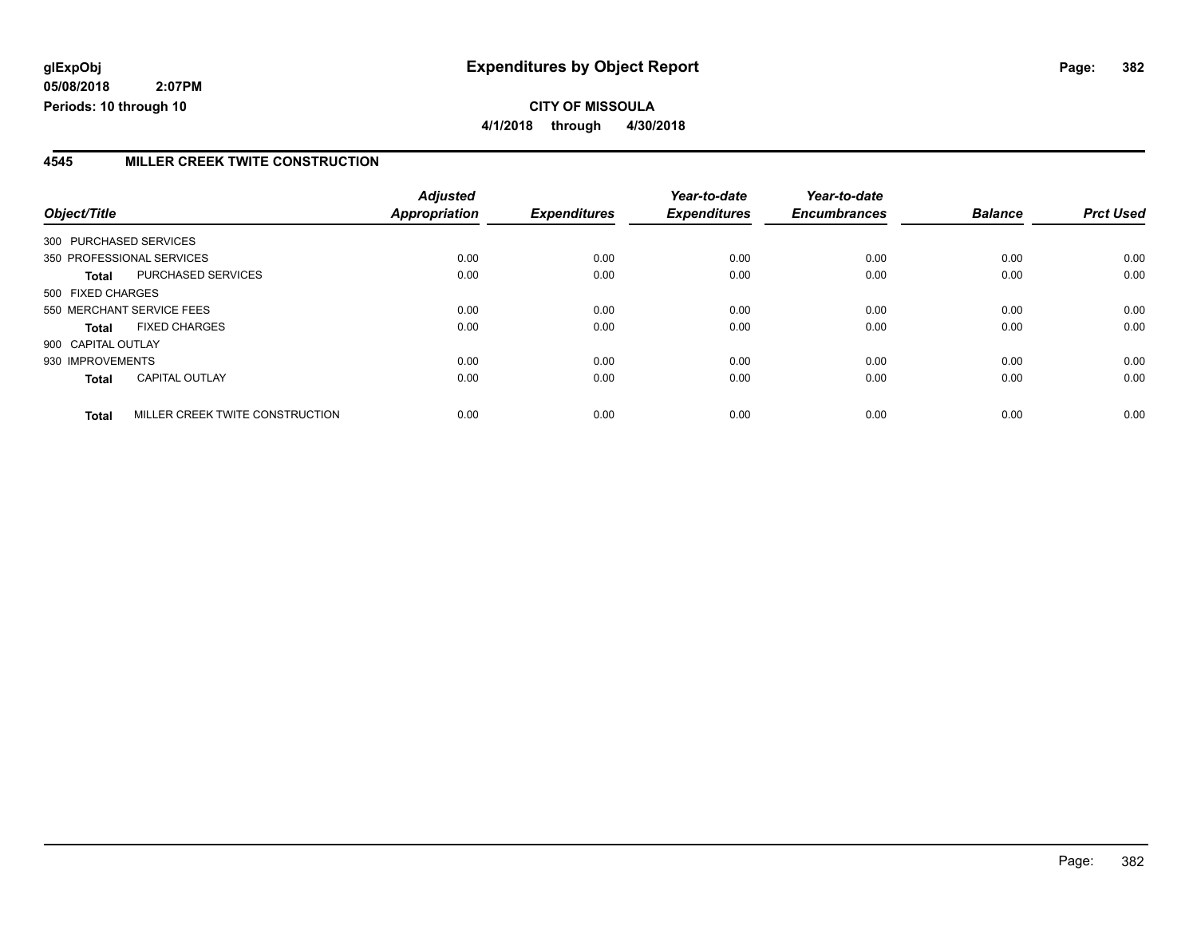**CITY OF MISSOULA 4/1/2018 through 4/30/2018**

#### **4545 MILLER CREEK TWITE CONSTRUCTION**

|                        |                                 | <b>Adjusted</b> |                     | Year-to-date        | Year-to-date        |                |                  |
|------------------------|---------------------------------|-----------------|---------------------|---------------------|---------------------|----------------|------------------|
| Object/Title           |                                 | Appropriation   | <b>Expenditures</b> | <b>Expenditures</b> | <b>Encumbrances</b> | <b>Balance</b> | <b>Prct Used</b> |
| 300 PURCHASED SERVICES |                                 |                 |                     |                     |                     |                |                  |
|                        | 350 PROFESSIONAL SERVICES       | 0.00            | 0.00                | 0.00                | 0.00                | 0.00           | 0.00             |
| <b>Total</b>           | <b>PURCHASED SERVICES</b>       | 0.00            | 0.00                | 0.00                | 0.00                | 0.00           | 0.00             |
| 500 FIXED CHARGES      |                                 |                 |                     |                     |                     |                |                  |
|                        | 550 MERCHANT SERVICE FEES       | 0.00            | 0.00                | 0.00                | 0.00                | 0.00           | 0.00             |
| <b>Total</b>           | <b>FIXED CHARGES</b>            | 0.00            | 0.00                | 0.00                | 0.00                | 0.00           | 0.00             |
| 900 CAPITAL OUTLAY     |                                 |                 |                     |                     |                     |                |                  |
| 930 IMPROVEMENTS       |                                 | 0.00            | 0.00                | 0.00                | 0.00                | 0.00           | 0.00             |
| <b>Total</b>           | <b>CAPITAL OUTLAY</b>           | 0.00            | 0.00                | 0.00                | 0.00                | 0.00           | 0.00             |
| <b>Total</b>           | MILLER CREEK TWITE CONSTRUCTION | 0.00            | 0.00                | 0.00                | 0.00                | 0.00           | 0.00             |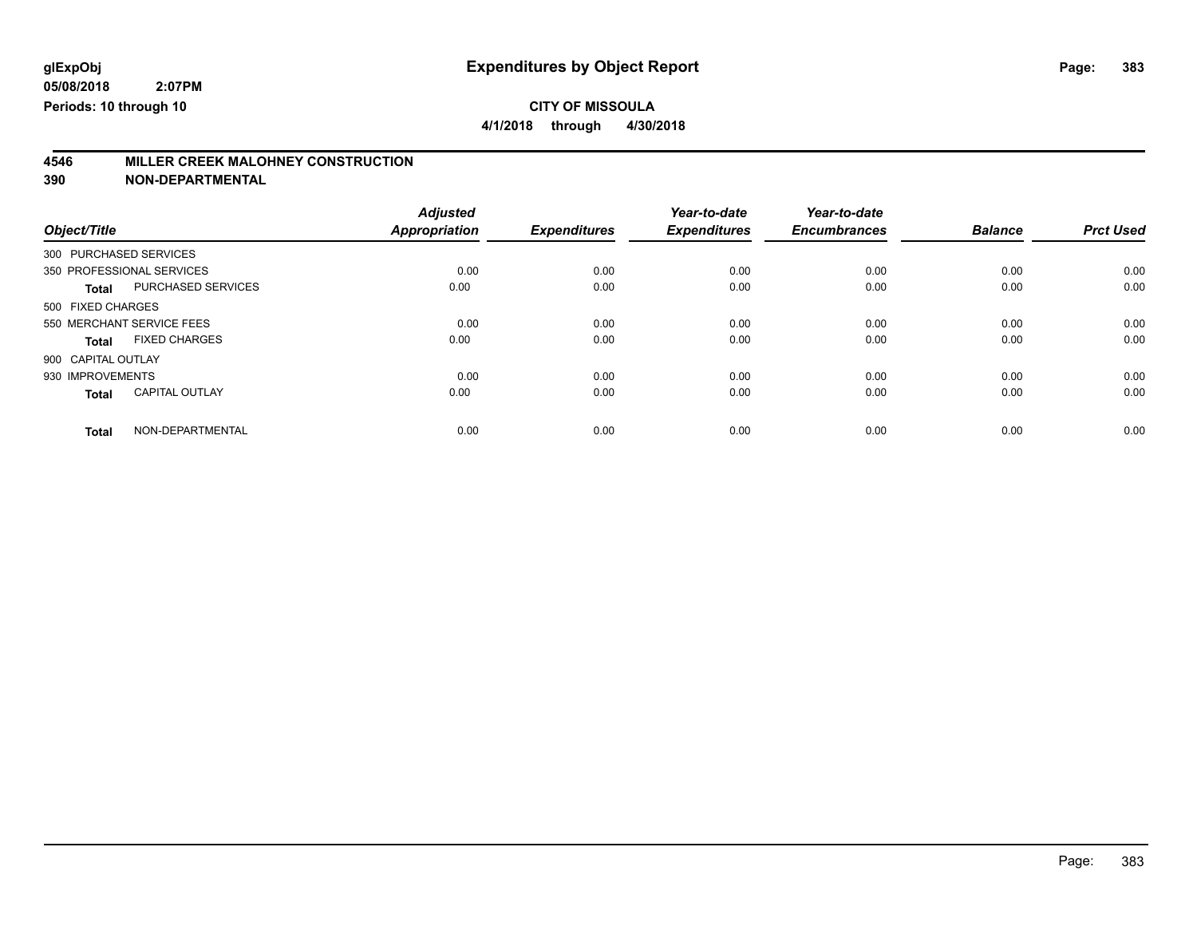# **CITY OF MISSOULA**

**4/1/2018 through 4/30/2018**

# **4546 MILLER CREEK MALOHNEY CONSTRUCTION**

|                        |                           | <b>Adjusted</b> |                     | Year-to-date        | Year-to-date        |                |                  |
|------------------------|---------------------------|-----------------|---------------------|---------------------|---------------------|----------------|------------------|
| Object/Title           |                           | Appropriation   | <b>Expenditures</b> | <b>Expenditures</b> | <b>Encumbrances</b> | <b>Balance</b> | <b>Prct Used</b> |
| 300 PURCHASED SERVICES |                           |                 |                     |                     |                     |                |                  |
|                        | 350 PROFESSIONAL SERVICES | 0.00            | 0.00                | 0.00                | 0.00                | 0.00           | 0.00             |
| <b>Total</b>           | PURCHASED SERVICES        | 0.00            | 0.00                | 0.00                | 0.00                | 0.00           | 0.00             |
| 500 FIXED CHARGES      |                           |                 |                     |                     |                     |                |                  |
|                        | 550 MERCHANT SERVICE FEES | 0.00            | 0.00                | 0.00                | 0.00                | 0.00           | 0.00             |
| <b>Total</b>           | <b>FIXED CHARGES</b>      | 0.00            | 0.00                | 0.00                | 0.00                | 0.00           | 0.00             |
| 900 CAPITAL OUTLAY     |                           |                 |                     |                     |                     |                |                  |
| 930 IMPROVEMENTS       |                           | 0.00            | 0.00                | 0.00                | 0.00                | 0.00           | 0.00             |
| <b>Total</b>           | <b>CAPITAL OUTLAY</b>     | 0.00            | 0.00                | 0.00                | 0.00                | 0.00           | 0.00             |
| <b>Total</b>           | NON-DEPARTMENTAL          | 0.00            | 0.00                | 0.00                | 0.00                | 0.00           | 0.00             |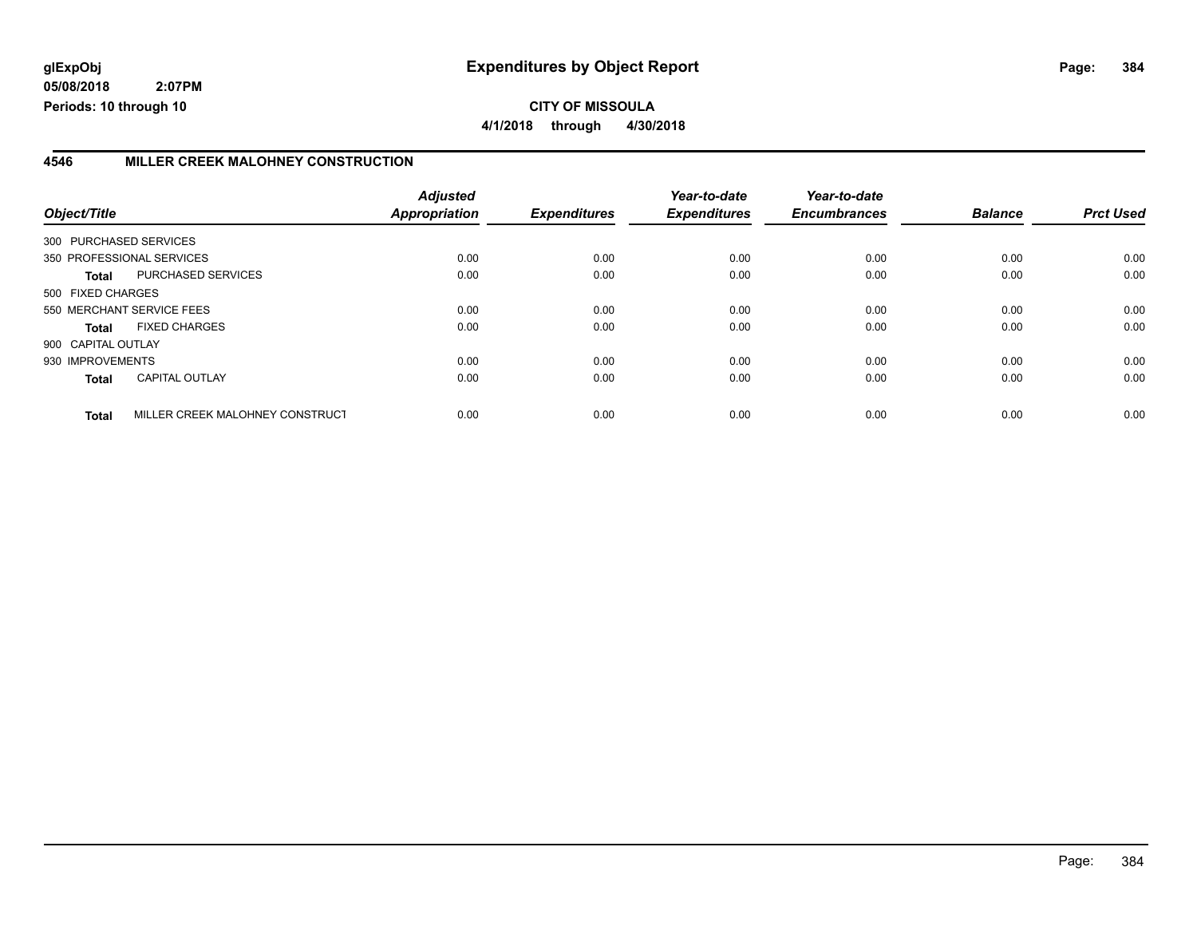### **4546 MILLER CREEK MALOHNEY CONSTRUCTION**

| Object/Title       |                                 | <b>Adjusted</b><br><b>Appropriation</b> | <b>Expenditures</b> | Year-to-date<br><b>Expenditures</b> | Year-to-date<br><b>Encumbrances</b> | <b>Balance</b> | <b>Prct Used</b> |
|--------------------|---------------------------------|-----------------------------------------|---------------------|-------------------------------------|-------------------------------------|----------------|------------------|
|                    | 300 PURCHASED SERVICES          |                                         |                     |                                     |                                     |                |                  |
|                    | 350 PROFESSIONAL SERVICES       | 0.00                                    | 0.00                | 0.00                                | 0.00                                | 0.00           | 0.00             |
| Total              | PURCHASED SERVICES              | 0.00                                    | 0.00                | 0.00                                | 0.00                                | 0.00           | 0.00             |
| 500 FIXED CHARGES  |                                 |                                         |                     |                                     |                                     |                |                  |
|                    | 550 MERCHANT SERVICE FEES       | 0.00                                    | 0.00                | 0.00                                | 0.00                                | 0.00           | 0.00             |
| <b>Total</b>       | <b>FIXED CHARGES</b>            | 0.00                                    | 0.00                | 0.00                                | 0.00                                | 0.00           | 0.00             |
| 900 CAPITAL OUTLAY |                                 |                                         |                     |                                     |                                     |                |                  |
| 930 IMPROVEMENTS   |                                 | 0.00                                    | 0.00                | 0.00                                | 0.00                                | 0.00           | 0.00             |
| <b>Total</b>       | <b>CAPITAL OUTLAY</b>           | 0.00                                    | 0.00                | 0.00                                | 0.00                                | 0.00           | 0.00             |
| <b>Total</b>       | MILLER CREEK MALOHNEY CONSTRUCT | 0.00                                    | 0.00                | 0.00                                | 0.00                                | 0.00           | 0.00             |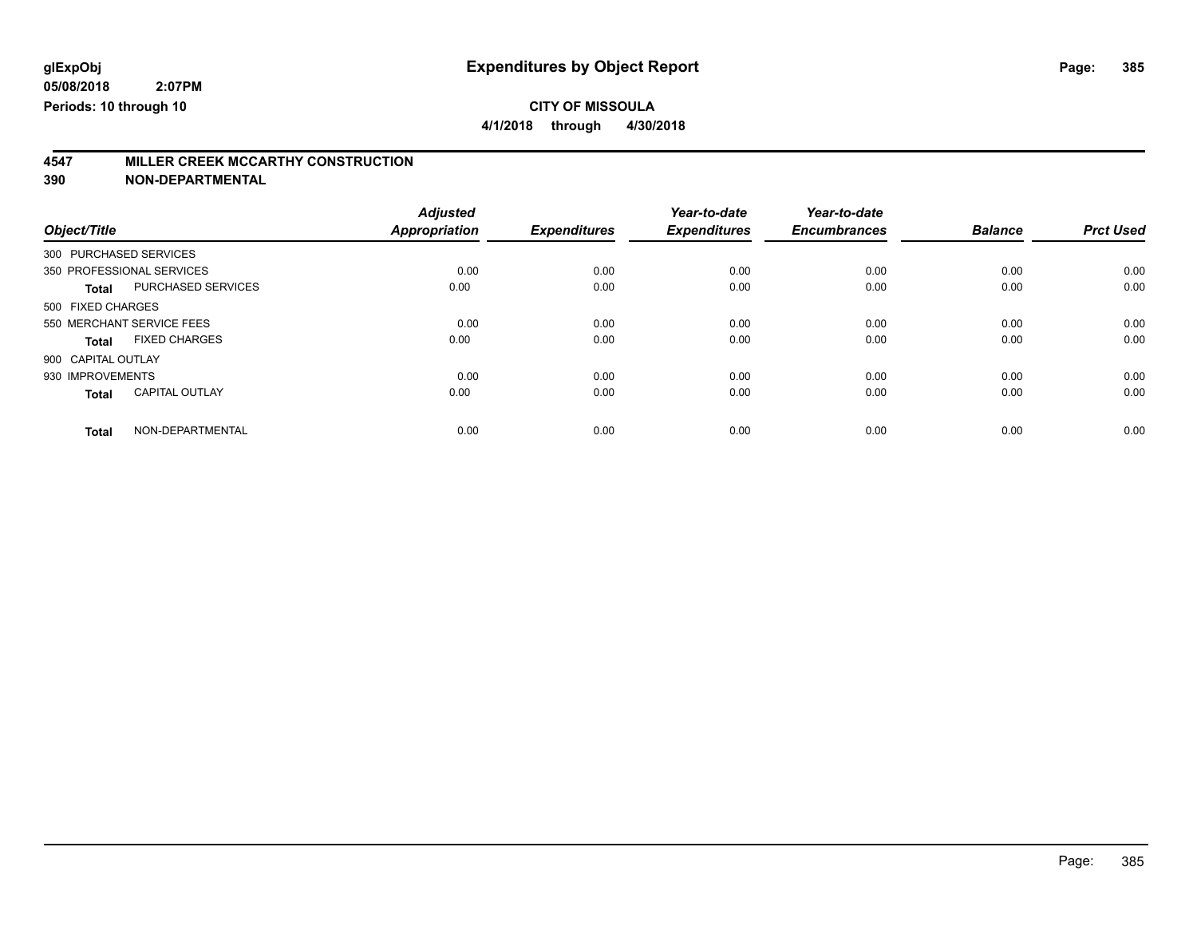# **CITY OF MISSOULA**

**4/1/2018 through 4/30/2018**

# **4547 MILLER CREEK MCCARTHY CONSTRUCTION**

|                           |                       | <b>Adjusted</b> |                     | Year-to-date        | Year-to-date        |                |                  |
|---------------------------|-----------------------|-----------------|---------------------|---------------------|---------------------|----------------|------------------|
| Object/Title              |                       | Appropriation   | <b>Expenditures</b> | <b>Expenditures</b> | <b>Encumbrances</b> | <b>Balance</b> | <b>Prct Used</b> |
| 300 PURCHASED SERVICES    |                       |                 |                     |                     |                     |                |                  |
| 350 PROFESSIONAL SERVICES |                       | 0.00            | 0.00                | 0.00                | 0.00                | 0.00           | 0.00             |
| <b>Total</b>              | PURCHASED SERVICES    | 0.00            | 0.00                | 0.00                | 0.00                | 0.00           | 0.00             |
| 500 FIXED CHARGES         |                       |                 |                     |                     |                     |                |                  |
| 550 MERCHANT SERVICE FEES |                       | 0.00            | 0.00                | 0.00                | 0.00                | 0.00           | 0.00             |
| Total                     | <b>FIXED CHARGES</b>  | 0.00            | 0.00                | 0.00                | 0.00                | 0.00           | 0.00             |
| 900 CAPITAL OUTLAY        |                       |                 |                     |                     |                     |                |                  |
| 930 IMPROVEMENTS          |                       | 0.00            | 0.00                | 0.00                | 0.00                | 0.00           | 0.00             |
| <b>Total</b>              | <b>CAPITAL OUTLAY</b> | 0.00            | 0.00                | 0.00                | 0.00                | 0.00           | 0.00             |
| <b>Total</b>              | NON-DEPARTMENTAL      | 0.00            | 0.00                | 0.00                | 0.00                | 0.00           | 0.00             |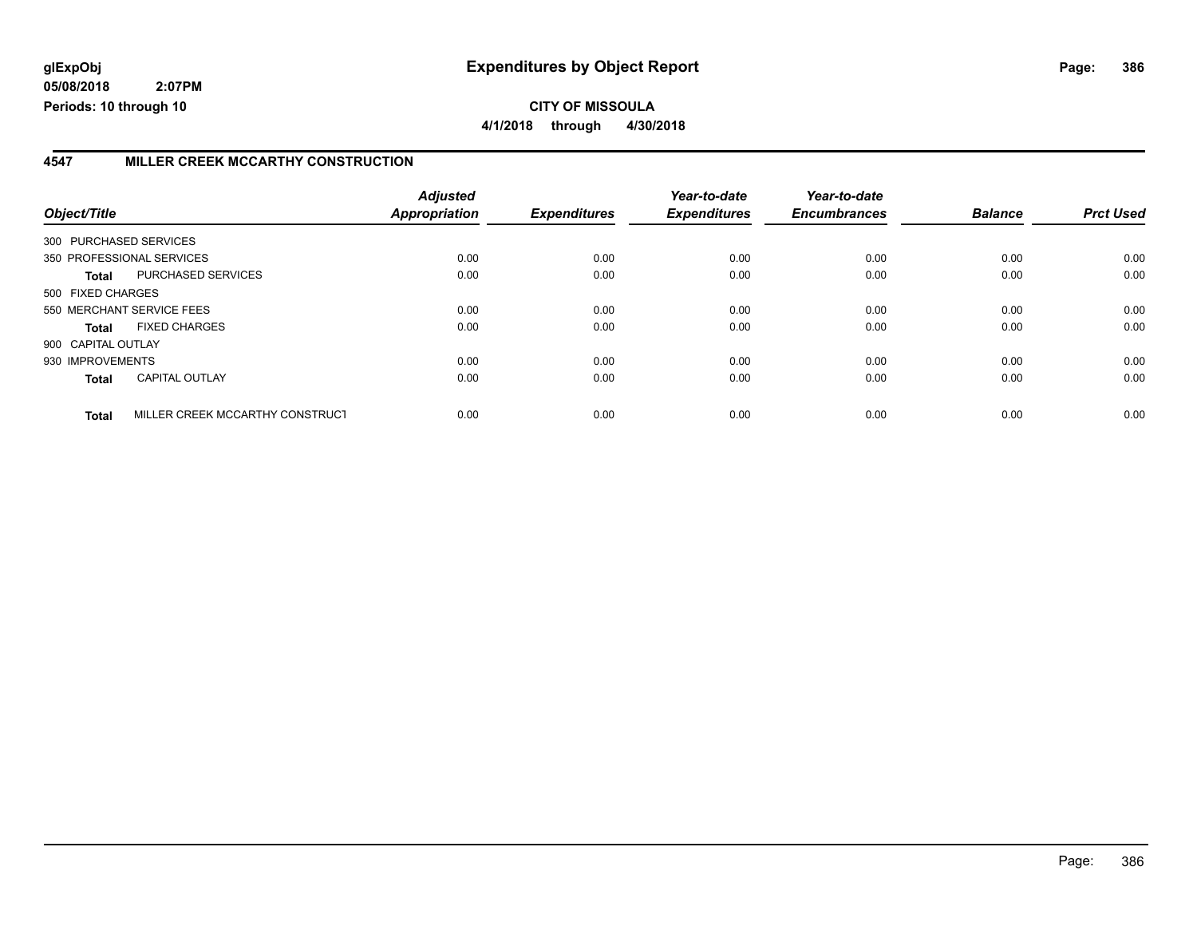#### **4547 MILLER CREEK MCCARTHY CONSTRUCTION**

| Object/Title       |                                 | <b>Adjusted</b><br>Appropriation | <b>Expenditures</b> | Year-to-date<br><b>Expenditures</b> | Year-to-date<br><b>Encumbrances</b> | <b>Balance</b> | <b>Prct Used</b> |
|--------------------|---------------------------------|----------------------------------|---------------------|-------------------------------------|-------------------------------------|----------------|------------------|
|                    |                                 |                                  |                     |                                     |                                     |                |                  |
|                    | 300 PURCHASED SERVICES          |                                  |                     |                                     |                                     |                |                  |
|                    | 350 PROFESSIONAL SERVICES       | 0.00                             | 0.00                | 0.00                                | 0.00                                | 0.00           | 0.00             |
| Total              | PURCHASED SERVICES              | 0.00                             | 0.00                | 0.00                                | 0.00                                | 0.00           | 0.00             |
| 500 FIXED CHARGES  |                                 |                                  |                     |                                     |                                     |                |                  |
|                    | 550 MERCHANT SERVICE FEES       | 0.00                             | 0.00                | 0.00                                | 0.00                                | 0.00           | 0.00             |
| <b>Total</b>       | <b>FIXED CHARGES</b>            | 0.00                             | 0.00                | 0.00                                | 0.00                                | 0.00           | 0.00             |
| 900 CAPITAL OUTLAY |                                 |                                  |                     |                                     |                                     |                |                  |
| 930 IMPROVEMENTS   |                                 | 0.00                             | 0.00                | 0.00                                | 0.00                                | 0.00           | 0.00             |
| <b>Total</b>       | <b>CAPITAL OUTLAY</b>           | 0.00                             | 0.00                | 0.00                                | 0.00                                | 0.00           | 0.00             |
| <b>Total</b>       | MILLER CREEK MCCARTHY CONSTRUCT | 0.00                             | 0.00                | 0.00                                | 0.00                                | 0.00           | 0.00             |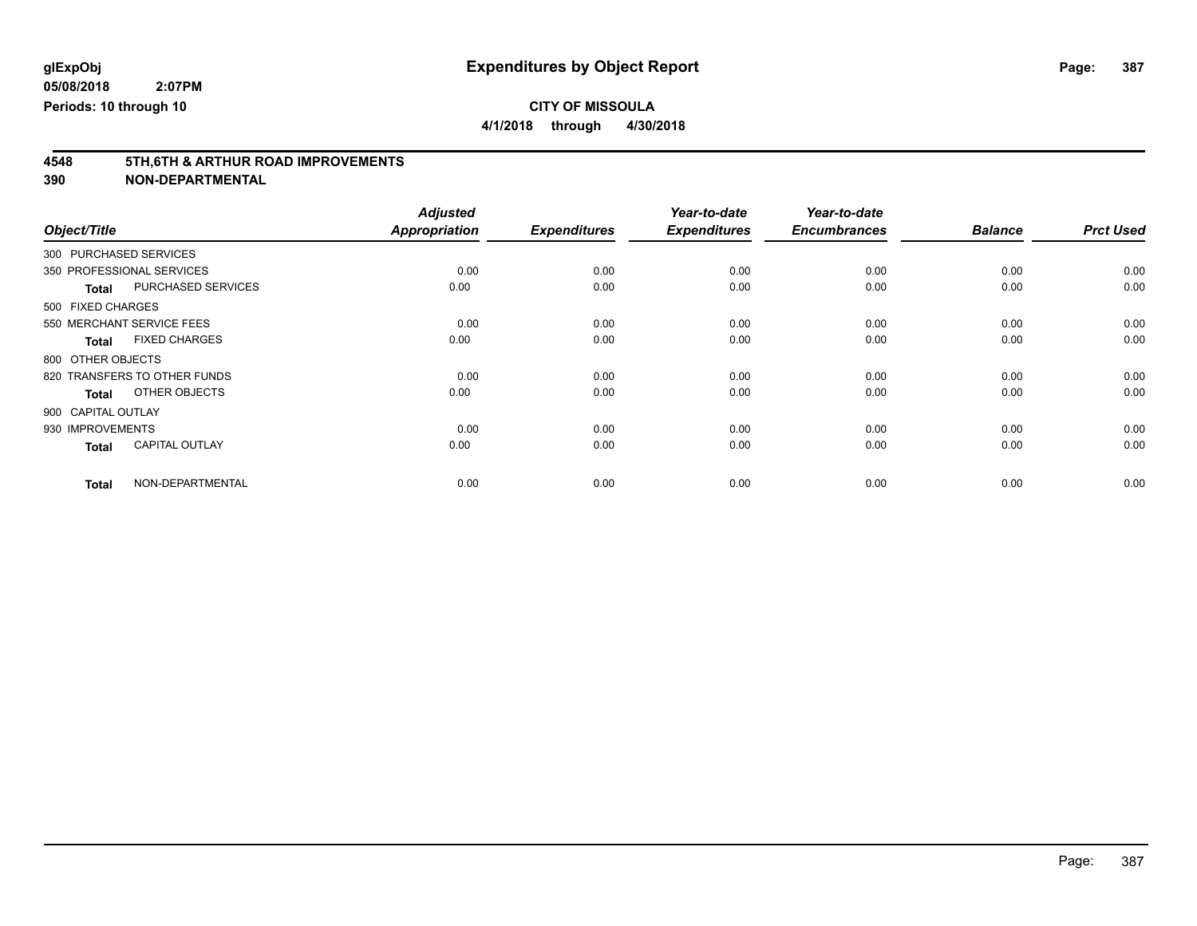# **CITY OF MISSOULA**

**4/1/2018 through 4/30/2018**

# **4548 5TH,6TH & ARTHUR ROAD IMPROVEMENTS**

|                    |                              | <b>Adjusted</b>      |                     | Year-to-date        | Year-to-date        |                |                  |
|--------------------|------------------------------|----------------------|---------------------|---------------------|---------------------|----------------|------------------|
| Object/Title       |                              | <b>Appropriation</b> | <b>Expenditures</b> | <b>Expenditures</b> | <b>Encumbrances</b> | <b>Balance</b> | <b>Prct Used</b> |
|                    | 300 PURCHASED SERVICES       |                      |                     |                     |                     |                |                  |
|                    | 350 PROFESSIONAL SERVICES    | 0.00                 | 0.00                | 0.00                | 0.00                | 0.00           | 0.00             |
| <b>Total</b>       | <b>PURCHASED SERVICES</b>    | 0.00                 | 0.00                | 0.00                | 0.00                | 0.00           | 0.00             |
| 500 FIXED CHARGES  |                              |                      |                     |                     |                     |                |                  |
|                    | 550 MERCHANT SERVICE FEES    | 0.00                 | 0.00                | 0.00                | 0.00                | 0.00           | 0.00             |
| <b>Total</b>       | <b>FIXED CHARGES</b>         | 0.00                 | 0.00                | 0.00                | 0.00                | 0.00           | 0.00             |
| 800 OTHER OBJECTS  |                              |                      |                     |                     |                     |                |                  |
|                    | 820 TRANSFERS TO OTHER FUNDS | 0.00                 | 0.00                | 0.00                | 0.00                | 0.00           | 0.00             |
| <b>Total</b>       | OTHER OBJECTS                | 0.00                 | 0.00                | 0.00                | 0.00                | 0.00           | 0.00             |
| 900 CAPITAL OUTLAY |                              |                      |                     |                     |                     |                |                  |
| 930 IMPROVEMENTS   |                              | 0.00                 | 0.00                | 0.00                | 0.00                | 0.00           | 0.00             |
| <b>Total</b>       | <b>CAPITAL OUTLAY</b>        | 0.00                 | 0.00                | 0.00                | 0.00                | 0.00           | 0.00             |
| <b>Total</b>       | NON-DEPARTMENTAL             | 0.00                 | 0.00                | 0.00                | 0.00                | 0.00           | 0.00             |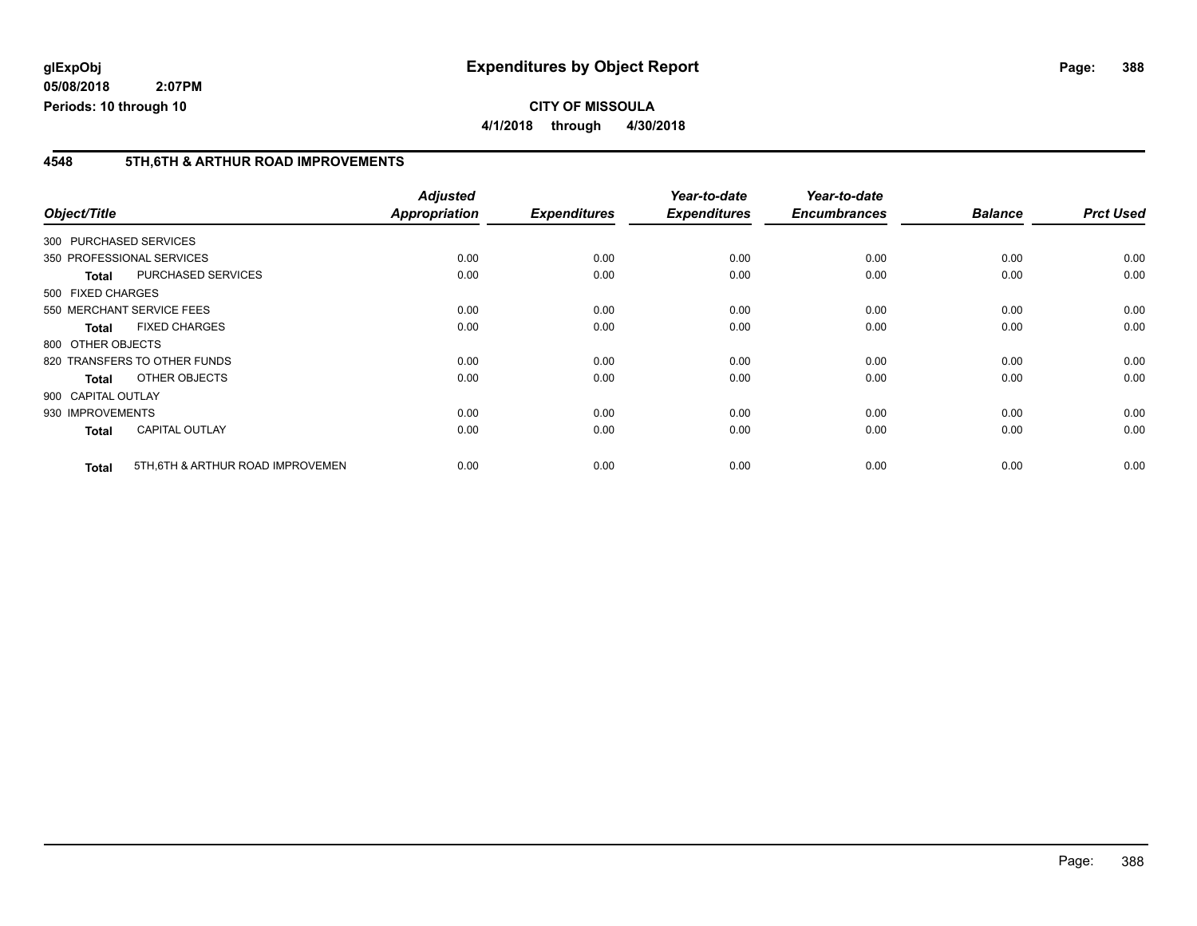#### **4548 5TH,6TH & ARTHUR ROAD IMPROVEMENTS**

| Object/Title |                                                   | <b>Adjusted</b><br><b>Appropriation</b> | <b>Expenditures</b> | Year-to-date<br><b>Expenditures</b> | Year-to-date<br><b>Encumbrances</b> | <b>Balance</b> | <b>Prct Used</b> |
|--------------|---------------------------------------------------|-----------------------------------------|---------------------|-------------------------------------|-------------------------------------|----------------|------------------|
|              |                                                   |                                         |                     |                                     |                                     |                |                  |
|              | 300 PURCHASED SERVICES                            |                                         |                     |                                     |                                     |                |                  |
|              | 350 PROFESSIONAL SERVICES                         | 0.00                                    | 0.00                | 0.00                                | 0.00                                | 0.00           | 0.00             |
|              | PURCHASED SERVICES<br><b>Total</b>                | 0.00                                    | 0.00                | 0.00                                | 0.00                                | 0.00           | 0.00             |
|              | 500 FIXED CHARGES                                 |                                         |                     |                                     |                                     |                |                  |
|              | 550 MERCHANT SERVICE FEES                         | 0.00                                    | 0.00                | 0.00                                | 0.00                                | 0.00           | 0.00             |
|              | <b>FIXED CHARGES</b><br><b>Total</b>              | 0.00                                    | 0.00                | 0.00                                | 0.00                                | 0.00           | 0.00             |
|              | 800 OTHER OBJECTS                                 |                                         |                     |                                     |                                     |                |                  |
|              | 820 TRANSFERS TO OTHER FUNDS                      | 0.00                                    | 0.00                | 0.00                                | 0.00                                | 0.00           | 0.00             |
|              | OTHER OBJECTS<br><b>Total</b>                     | 0.00                                    | 0.00                | 0.00                                | 0.00                                | 0.00           | 0.00             |
|              | 900 CAPITAL OUTLAY                                |                                         |                     |                                     |                                     |                |                  |
|              | 930 IMPROVEMENTS                                  | 0.00                                    | 0.00                | 0.00                                | 0.00                                | 0.00           | 0.00             |
|              | <b>CAPITAL OUTLAY</b><br><b>Total</b>             | 0.00                                    | 0.00                | 0.00                                | 0.00                                | 0.00           | 0.00             |
|              | 5TH, 6TH & ARTHUR ROAD IMPROVEMEN<br><b>Total</b> | 0.00                                    | 0.00                | 0.00                                | 0.00                                | 0.00           | 0.00             |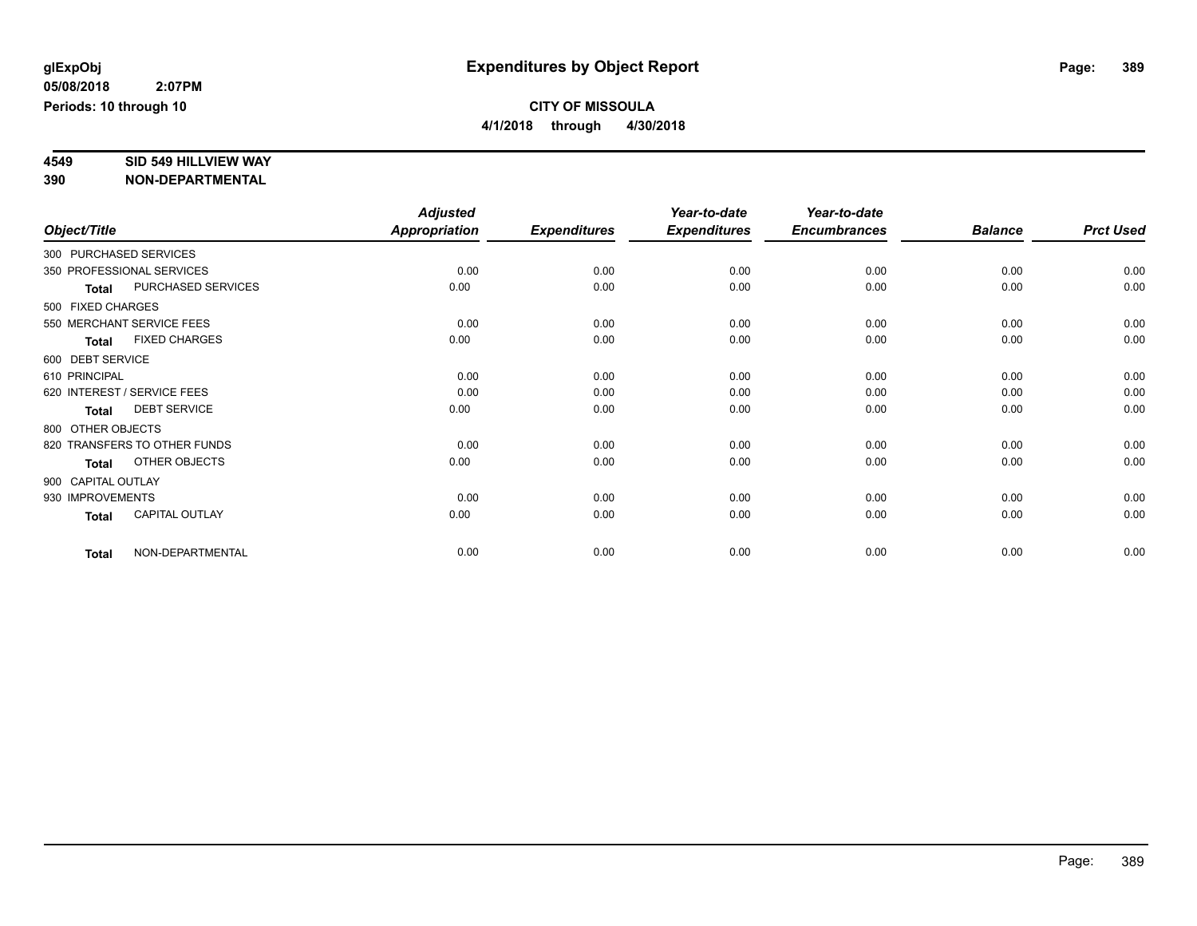# **4549 SID 549 HILLVIEW WAY**

|                        |                              | <b>Adjusted</b> |                     | Year-to-date        | Year-to-date        |                |                  |
|------------------------|------------------------------|-----------------|---------------------|---------------------|---------------------|----------------|------------------|
| Object/Title           |                              | Appropriation   | <b>Expenditures</b> | <b>Expenditures</b> | <b>Encumbrances</b> | <b>Balance</b> | <b>Prct Used</b> |
| 300 PURCHASED SERVICES |                              |                 |                     |                     |                     |                |                  |
|                        | 350 PROFESSIONAL SERVICES    | 0.00            | 0.00                | 0.00                | 0.00                | 0.00           | 0.00             |
| <b>Total</b>           | PURCHASED SERVICES           | 0.00            | 0.00                | 0.00                | 0.00                | 0.00           | 0.00             |
| 500 FIXED CHARGES      |                              |                 |                     |                     |                     |                |                  |
|                        | 550 MERCHANT SERVICE FEES    | 0.00            | 0.00                | 0.00                | 0.00                | 0.00           | 0.00             |
| <b>Total</b>           | <b>FIXED CHARGES</b>         | 0.00            | 0.00                | 0.00                | 0.00                | 0.00           | 0.00             |
| 600 DEBT SERVICE       |                              |                 |                     |                     |                     |                |                  |
| 610 PRINCIPAL          |                              | 0.00            | 0.00                | 0.00                | 0.00                | 0.00           | 0.00             |
|                        | 620 INTEREST / SERVICE FEES  | 0.00            | 0.00                | 0.00                | 0.00                | 0.00           | 0.00             |
| <b>Total</b>           | <b>DEBT SERVICE</b>          | 0.00            | 0.00                | 0.00                | 0.00                | 0.00           | 0.00             |
| 800 OTHER OBJECTS      |                              |                 |                     |                     |                     |                |                  |
|                        | 820 TRANSFERS TO OTHER FUNDS | 0.00            | 0.00                | 0.00                | 0.00                | 0.00           | 0.00             |
| <b>Total</b>           | OTHER OBJECTS                | 0.00            | 0.00                | 0.00                | 0.00                | 0.00           | 0.00             |
| 900 CAPITAL OUTLAY     |                              |                 |                     |                     |                     |                |                  |
| 930 IMPROVEMENTS       |                              | 0.00            | 0.00                | 0.00                | 0.00                | 0.00           | 0.00             |
| <b>Total</b>           | CAPITAL OUTLAY               | 0.00            | 0.00                | 0.00                | 0.00                | 0.00           | 0.00             |
| <b>Total</b>           | NON-DEPARTMENTAL             | 0.00            | 0.00                | 0.00                | 0.00                | 0.00           | 0.00             |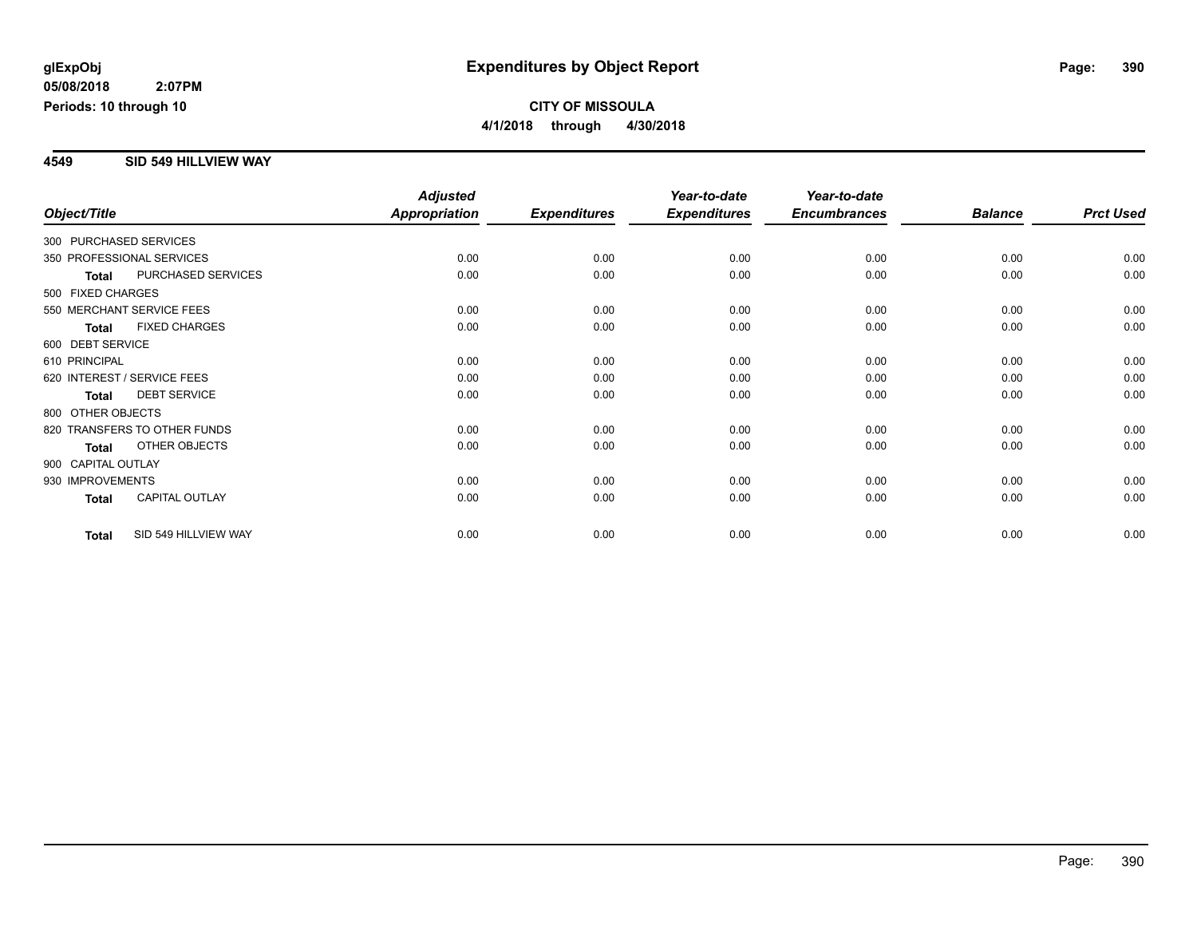#### **4549 SID 549 HILLVIEW WAY**

|                    |                              | <b>Adjusted</b>      |                     | Year-to-date        | Year-to-date        |                |                  |
|--------------------|------------------------------|----------------------|---------------------|---------------------|---------------------|----------------|------------------|
| Object/Title       |                              | <b>Appropriation</b> | <b>Expenditures</b> | <b>Expenditures</b> | <b>Encumbrances</b> | <b>Balance</b> | <b>Prct Used</b> |
|                    | 300 PURCHASED SERVICES       |                      |                     |                     |                     |                |                  |
|                    | 350 PROFESSIONAL SERVICES    | 0.00                 | 0.00                | 0.00                | 0.00                | 0.00           | 0.00             |
| <b>Total</b>       | PURCHASED SERVICES           | 0.00                 | 0.00                | 0.00                | 0.00                | 0.00           | 0.00             |
| 500 FIXED CHARGES  |                              |                      |                     |                     |                     |                |                  |
|                    | 550 MERCHANT SERVICE FEES    | 0.00                 | 0.00                | 0.00                | 0.00                | 0.00           | 0.00             |
| Total              | <b>FIXED CHARGES</b>         | 0.00                 | 0.00                | 0.00                | 0.00                | 0.00           | 0.00             |
| 600 DEBT SERVICE   |                              |                      |                     |                     |                     |                |                  |
| 610 PRINCIPAL      |                              | 0.00                 | 0.00                | 0.00                | 0.00                | 0.00           | 0.00             |
|                    | 620 INTEREST / SERVICE FEES  | 0.00                 | 0.00                | 0.00                | 0.00                | 0.00           | 0.00             |
| <b>Total</b>       | <b>DEBT SERVICE</b>          | 0.00                 | 0.00                | 0.00                | 0.00                | 0.00           | 0.00             |
| 800 OTHER OBJECTS  |                              |                      |                     |                     |                     |                |                  |
|                    | 820 TRANSFERS TO OTHER FUNDS | 0.00                 | 0.00                | 0.00                | 0.00                | 0.00           | 0.00             |
| <b>Total</b>       | OTHER OBJECTS                | 0.00                 | 0.00                | 0.00                | 0.00                | 0.00           | 0.00             |
| 900 CAPITAL OUTLAY |                              |                      |                     |                     |                     |                |                  |
| 930 IMPROVEMENTS   |                              | 0.00                 | 0.00                | 0.00                | 0.00                | 0.00           | 0.00             |
| <b>Total</b>       | <b>CAPITAL OUTLAY</b>        | 0.00                 | 0.00                | 0.00                | 0.00                | 0.00           | 0.00             |
| <b>Total</b>       | SID 549 HILLVIEW WAY         | 0.00                 | 0.00                | 0.00                | 0.00                | 0.00           | 0.00             |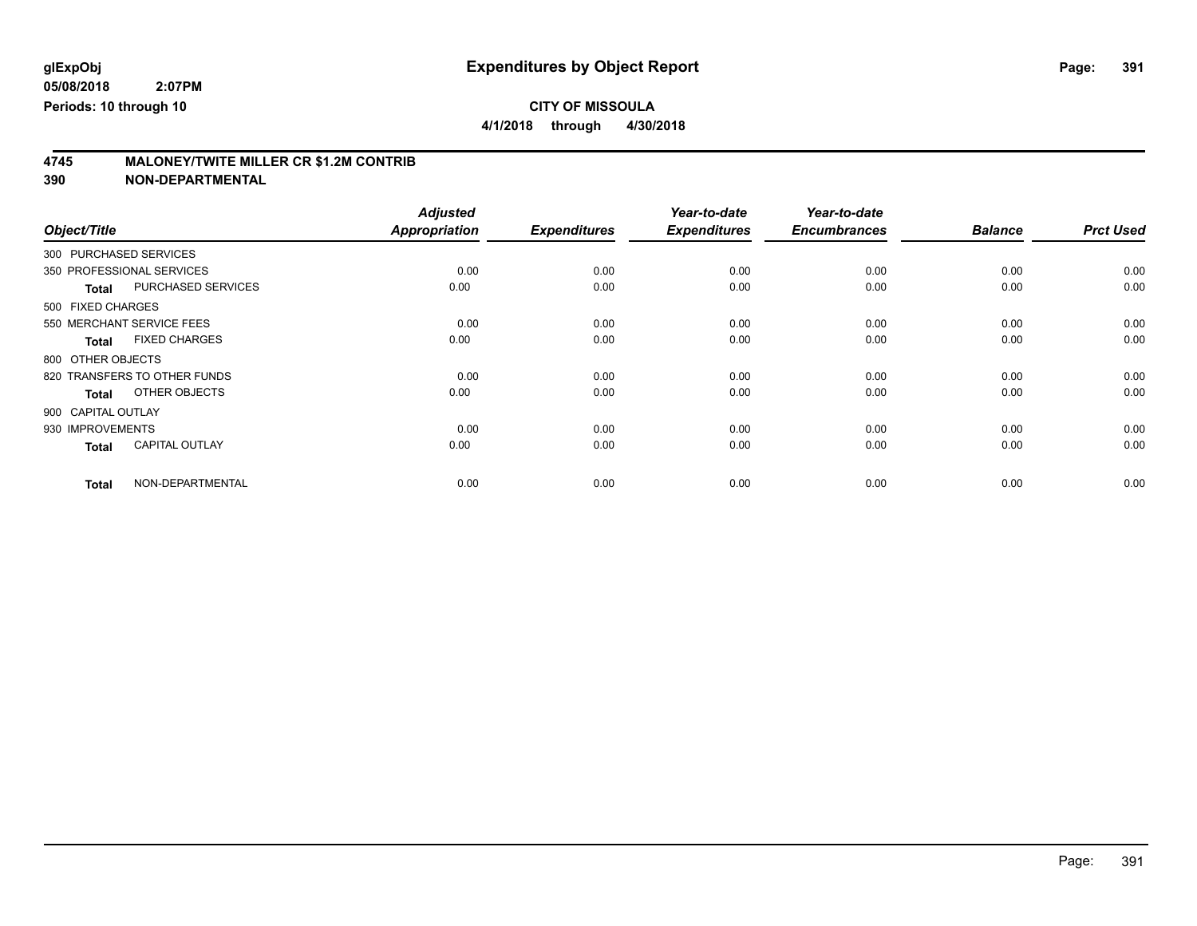## **CITY OF MISSOULA**

**4/1/2018 through 4/30/2018**

# **4745 MALONEY/TWITE MILLER CR \$1.2M CONTRIB**

| Object/Title       |                              | <b>Adjusted</b><br>Appropriation | <b>Expenditures</b> | Year-to-date<br><b>Expenditures</b> | Year-to-date<br><b>Encumbrances</b> | <b>Balance</b> | <b>Prct Used</b> |
|--------------------|------------------------------|----------------------------------|---------------------|-------------------------------------|-------------------------------------|----------------|------------------|
|                    | 300 PURCHASED SERVICES       |                                  |                     |                                     |                                     |                |                  |
|                    | 350 PROFESSIONAL SERVICES    | 0.00                             | 0.00                | 0.00                                | 0.00                                | 0.00           | 0.00             |
| <b>Total</b>       | <b>PURCHASED SERVICES</b>    | 0.00                             | 0.00                | 0.00                                | 0.00                                | 0.00           | 0.00             |
| 500 FIXED CHARGES  |                              |                                  |                     |                                     |                                     |                |                  |
|                    | 550 MERCHANT SERVICE FEES    | 0.00                             | 0.00                | 0.00                                | 0.00                                | 0.00           | 0.00             |
| <b>Total</b>       | <b>FIXED CHARGES</b>         | 0.00                             | 0.00                | 0.00                                | 0.00                                | 0.00           | 0.00             |
| 800 OTHER OBJECTS  |                              |                                  |                     |                                     |                                     |                |                  |
|                    | 820 TRANSFERS TO OTHER FUNDS | 0.00                             | 0.00                | 0.00                                | 0.00                                | 0.00           | 0.00             |
| <b>Total</b>       | OTHER OBJECTS                | 0.00                             | 0.00                | 0.00                                | 0.00                                | 0.00           | 0.00             |
| 900 CAPITAL OUTLAY |                              |                                  |                     |                                     |                                     |                |                  |
| 930 IMPROVEMENTS   |                              | 0.00                             | 0.00                | 0.00                                | 0.00                                | 0.00           | 0.00             |
| <b>Total</b>       | <b>CAPITAL OUTLAY</b>        | 0.00                             | 0.00                | 0.00                                | 0.00                                | 0.00           | 0.00             |
| <b>Total</b>       | NON-DEPARTMENTAL             | 0.00                             | 0.00                | 0.00                                | 0.00                                | 0.00           | 0.00             |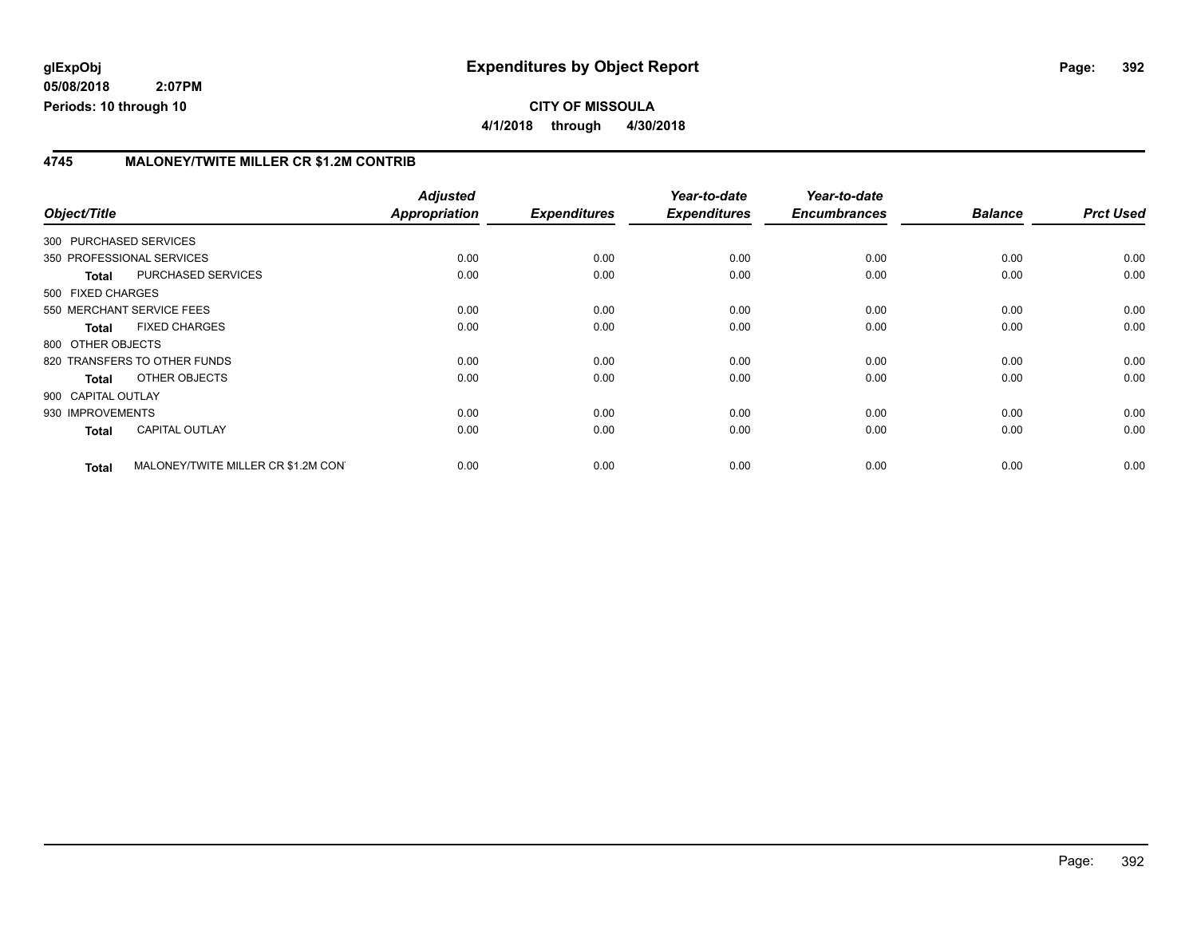#### **4745 MALONEY/TWITE MILLER CR \$1.2M CONTRIB**

| Object/Title           |                                     | <b>Adjusted</b><br>Appropriation | <b>Expenditures</b> | Year-to-date<br><b>Expenditures</b> | Year-to-date<br><b>Encumbrances</b> | <b>Balance</b> | <b>Prct Used</b> |
|------------------------|-------------------------------------|----------------------------------|---------------------|-------------------------------------|-------------------------------------|----------------|------------------|
| 300 PURCHASED SERVICES |                                     |                                  |                     |                                     |                                     |                |                  |
|                        | 350 PROFESSIONAL SERVICES           | 0.00                             | 0.00                | 0.00                                | 0.00                                | 0.00           | 0.00             |
| <b>Total</b>           | PURCHASED SERVICES                  | 0.00                             | 0.00                | 0.00                                | 0.00                                | 0.00           | 0.00             |
| 500 FIXED CHARGES      |                                     |                                  |                     |                                     |                                     |                |                  |
|                        | 550 MERCHANT SERVICE FEES           | 0.00                             | 0.00                | 0.00                                | 0.00                                | 0.00           | 0.00             |
| <b>Total</b>           | <b>FIXED CHARGES</b>                | 0.00                             | 0.00                | 0.00                                | 0.00                                | 0.00           | 0.00             |
| 800 OTHER OBJECTS      |                                     |                                  |                     |                                     |                                     |                |                  |
|                        | 820 TRANSFERS TO OTHER FUNDS        | 0.00                             | 0.00                | 0.00                                | 0.00                                | 0.00           | 0.00             |
| Total                  | OTHER OBJECTS                       | 0.00                             | 0.00                | 0.00                                | 0.00                                | 0.00           | 0.00             |
| 900 CAPITAL OUTLAY     |                                     |                                  |                     |                                     |                                     |                |                  |
| 930 IMPROVEMENTS       |                                     | 0.00                             | 0.00                | 0.00                                | 0.00                                | 0.00           | 0.00             |
| <b>Total</b>           | <b>CAPITAL OUTLAY</b>               | 0.00                             | 0.00                | 0.00                                | 0.00                                | 0.00           | 0.00             |
| <b>Total</b>           | MALONEY/TWITE MILLER CR \$1.2M CONT | 0.00                             | 0.00                | 0.00                                | 0.00                                | 0.00           | 0.00             |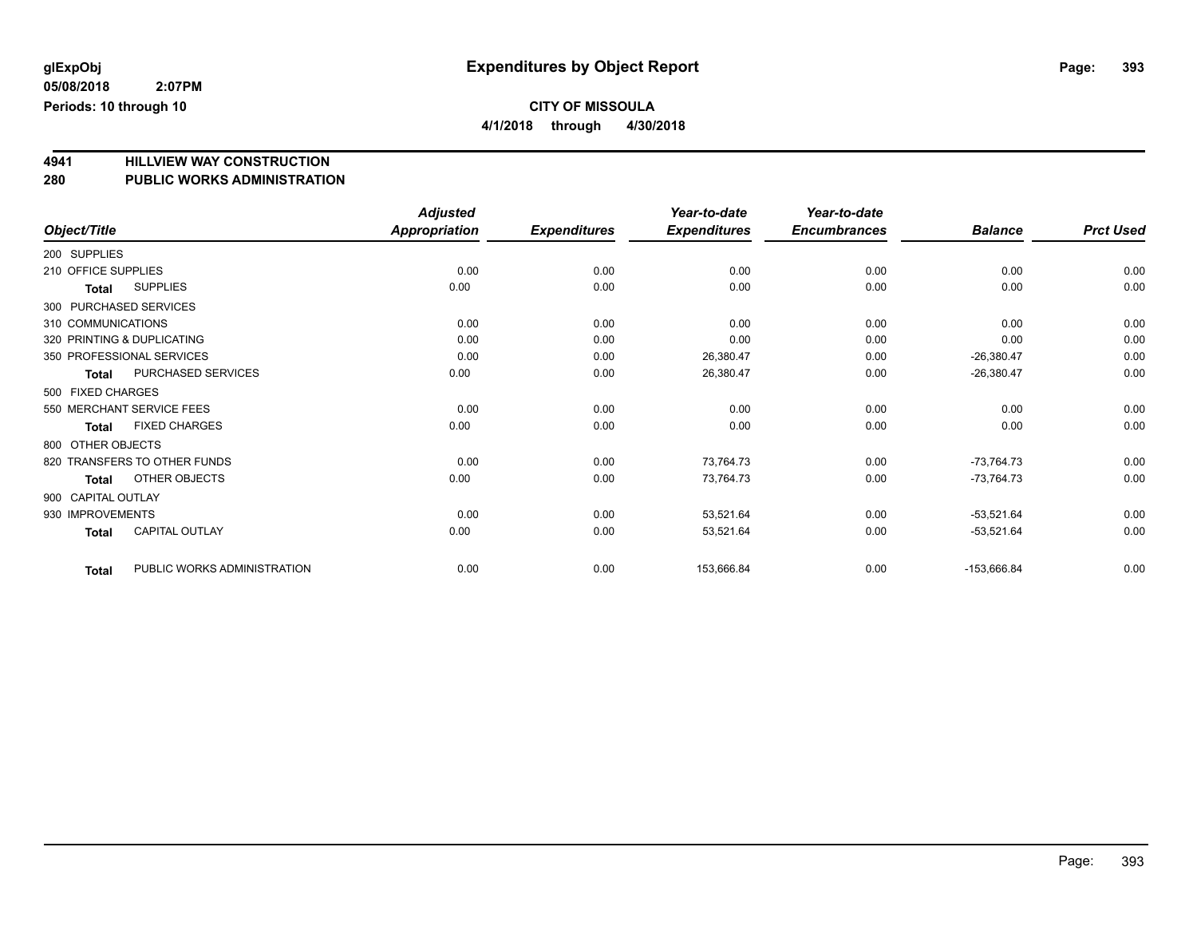# **4941 HILLVIEW WAY CONSTRUCTION**

#### **280 PUBLIC WORKS ADMINISTRATION**

|                            |                              | <b>Adjusted</b> |                     | Year-to-date        | Year-to-date<br><b>Encumbrances</b> |                | <b>Prct Used</b> |
|----------------------------|------------------------------|-----------------|---------------------|---------------------|-------------------------------------|----------------|------------------|
| Object/Title               |                              | Appropriation   | <b>Expenditures</b> | <b>Expenditures</b> |                                     | <b>Balance</b> |                  |
| 200 SUPPLIES               |                              |                 |                     |                     |                                     |                |                  |
| 210 OFFICE SUPPLIES        |                              | 0.00            | 0.00                | 0.00                | 0.00                                | 0.00           | 0.00             |
| Total                      | <b>SUPPLIES</b>              | 0.00            | 0.00                | 0.00                | 0.00                                | 0.00           | 0.00             |
| 300 PURCHASED SERVICES     |                              |                 |                     |                     |                                     |                |                  |
| 310 COMMUNICATIONS         |                              | 0.00            | 0.00                | 0.00                | 0.00                                | 0.00           | 0.00             |
| 320 PRINTING & DUPLICATING |                              | 0.00            | 0.00                | 0.00                | 0.00                                | 0.00           | 0.00             |
| 350 PROFESSIONAL SERVICES  |                              | 0.00            | 0.00                | 26,380.47           | 0.00                                | $-26,380.47$   | 0.00             |
| <b>Total</b>               | PURCHASED SERVICES           | 0.00            | 0.00                | 26,380.47           | 0.00                                | $-26,380.47$   | 0.00             |
| 500 FIXED CHARGES          |                              |                 |                     |                     |                                     |                |                  |
| 550 MERCHANT SERVICE FEES  |                              | 0.00            | 0.00                | 0.00                | 0.00                                | 0.00           | 0.00             |
| <b>Total</b>               | <b>FIXED CHARGES</b>         | 0.00            | 0.00                | 0.00                | 0.00                                | 0.00           | 0.00             |
| 800 OTHER OBJECTS          |                              |                 |                     |                     |                                     |                |                  |
|                            | 820 TRANSFERS TO OTHER FUNDS | 0.00            | 0.00                | 73,764.73           | 0.00                                | $-73,764.73$   | 0.00             |
| Total                      | OTHER OBJECTS                | 0.00            | 0.00                | 73,764.73           | 0.00                                | $-73,764.73$   | 0.00             |
| 900 CAPITAL OUTLAY         |                              |                 |                     |                     |                                     |                |                  |
| 930 IMPROVEMENTS           |                              | 0.00            | 0.00                | 53,521.64           | 0.00                                | $-53,521.64$   | 0.00             |
| <b>Total</b>               | <b>CAPITAL OUTLAY</b>        | 0.00            | 0.00                | 53,521.64           | 0.00                                | $-53,521.64$   | 0.00             |
| <b>Total</b>               | PUBLIC WORKS ADMINISTRATION  | 0.00            | 0.00                | 153,666.84          | 0.00                                | $-153,666.84$  | 0.00             |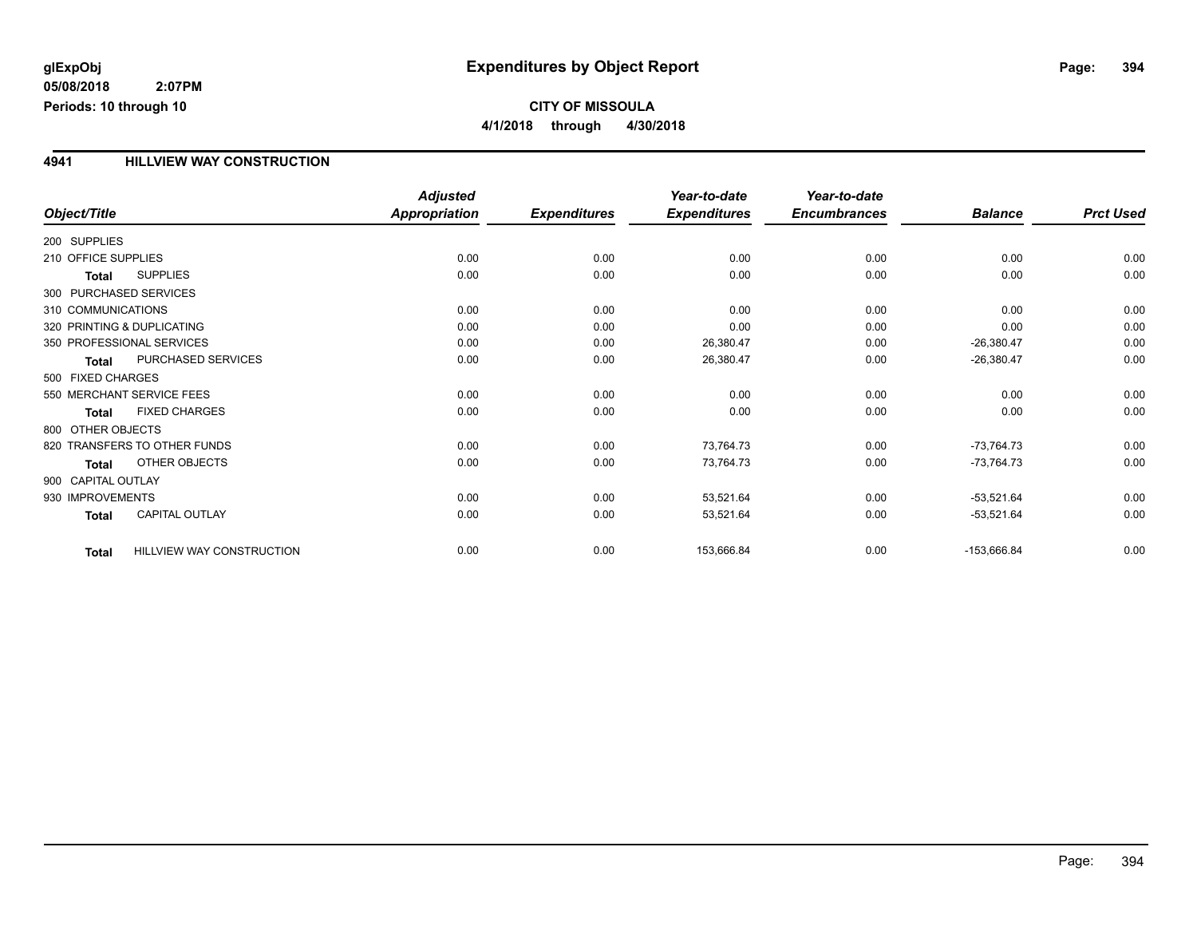### **4941 HILLVIEW WAY CONSTRUCTION**

|                        |                              | <b>Adjusted</b>      |                     | Year-to-date        | Year-to-date        |                |                  |
|------------------------|------------------------------|----------------------|---------------------|---------------------|---------------------|----------------|------------------|
| Object/Title           |                              | <b>Appropriation</b> | <b>Expenditures</b> | <b>Expenditures</b> | <b>Encumbrances</b> | <b>Balance</b> | <b>Prct Used</b> |
| 200 SUPPLIES           |                              |                      |                     |                     |                     |                |                  |
| 210 OFFICE SUPPLIES    |                              | 0.00                 | 0.00                | 0.00                | 0.00                | 0.00           | 0.00             |
| Total                  | <b>SUPPLIES</b>              | 0.00                 | 0.00                | 0.00                | 0.00                | 0.00           | 0.00             |
| 300 PURCHASED SERVICES |                              |                      |                     |                     |                     |                |                  |
| 310 COMMUNICATIONS     |                              | 0.00                 | 0.00                | 0.00                | 0.00                | 0.00           | 0.00             |
|                        | 320 PRINTING & DUPLICATING   | 0.00                 | 0.00                | 0.00                | 0.00                | 0.00           | 0.00             |
|                        | 350 PROFESSIONAL SERVICES    | 0.00                 | 0.00                | 26,380.47           | 0.00                | $-26,380.47$   | 0.00             |
| <b>Total</b>           | PURCHASED SERVICES           | 0.00                 | 0.00                | 26,380.47           | 0.00                | $-26,380.47$   | 0.00             |
| 500 FIXED CHARGES      |                              |                      |                     |                     |                     |                |                  |
|                        | 550 MERCHANT SERVICE FEES    | 0.00                 | 0.00                | 0.00                | 0.00                | 0.00           | 0.00             |
| <b>Total</b>           | <b>FIXED CHARGES</b>         | 0.00                 | 0.00                | 0.00                | 0.00                | 0.00           | 0.00             |
| 800 OTHER OBJECTS      |                              |                      |                     |                     |                     |                |                  |
|                        | 820 TRANSFERS TO OTHER FUNDS | 0.00                 | 0.00                | 73,764.73           | 0.00                | $-73,764.73$   | 0.00             |
| <b>Total</b>           | <b>OTHER OBJECTS</b>         | 0.00                 | 0.00                | 73,764.73           | 0.00                | $-73,764.73$   | 0.00             |
| 900 CAPITAL OUTLAY     |                              |                      |                     |                     |                     |                |                  |
| 930 IMPROVEMENTS       |                              | 0.00                 | 0.00                | 53,521.64           | 0.00                | $-53,521.64$   | 0.00             |
| <b>Total</b>           | <b>CAPITAL OUTLAY</b>        | 0.00                 | 0.00                | 53,521.64           | 0.00                | $-53,521.64$   | 0.00             |
| <b>Total</b>           | HILLVIEW WAY CONSTRUCTION    | 0.00                 | 0.00                | 153,666.84          | 0.00                | $-153,666.84$  | 0.00             |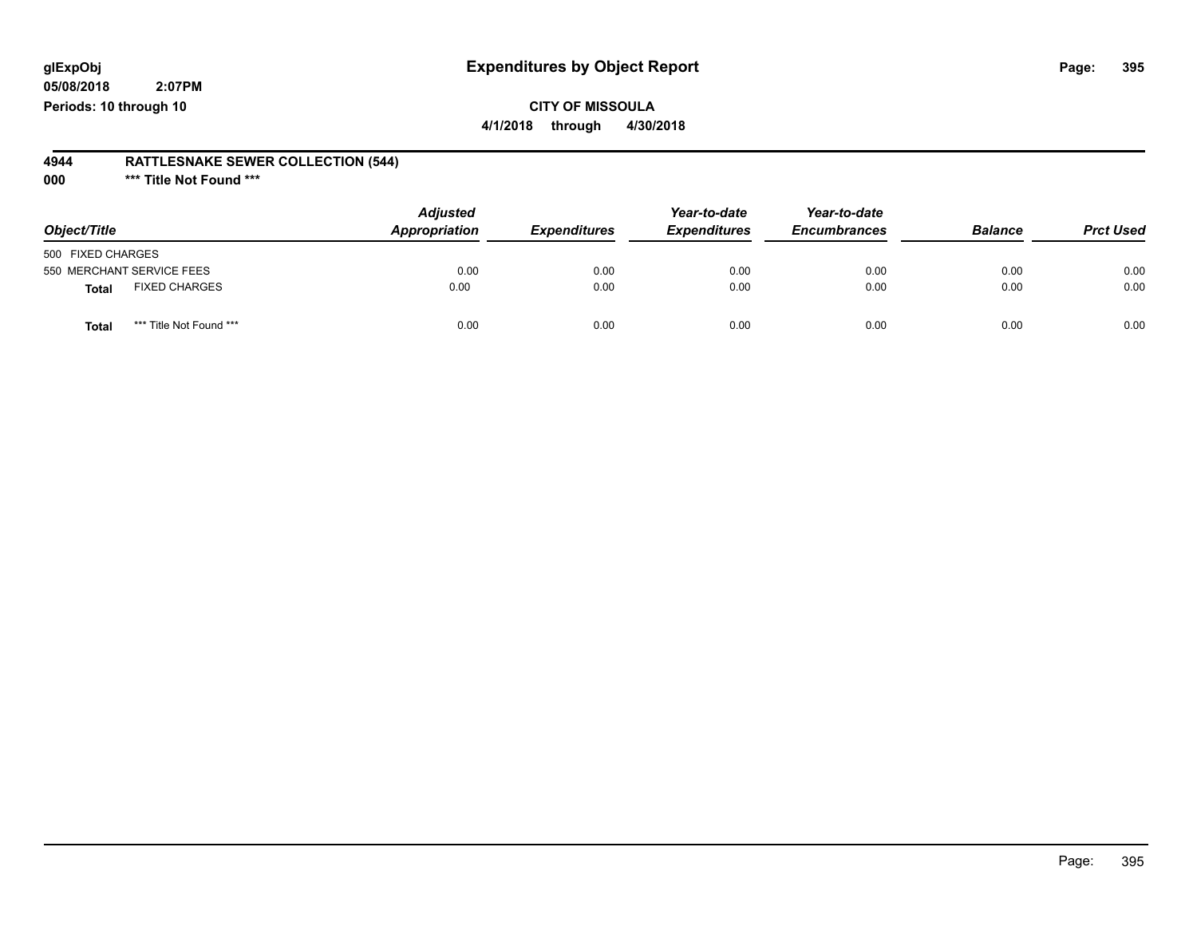### **CITY OF MISSOULA 4/1/2018 through 4/30/2018**

#### **4944 RATTLESNAKE SEWER COLLECTION (544)**

**000 \*\*\* Title Not Found \*\*\***

| Object/Title                            | <b>Adjusted</b><br>Appropriation | <b>Expenditures</b> | Year-to-date<br><b>Expenditures</b> | Year-to-date<br><b>Encumbrances</b> | <b>Balance</b> | <b>Prct Used</b> |
|-----------------------------------------|----------------------------------|---------------------|-------------------------------------|-------------------------------------|----------------|------------------|
| 500 FIXED CHARGES                       |                                  |                     |                                     |                                     |                |                  |
| 550 MERCHANT SERVICE FEES               | 0.00                             | 0.00                | 0.00                                | 0.00                                | 0.00           | 0.00             |
| <b>FIXED CHARGES</b><br>Total           | 0.00                             | 0.00                | 0.00                                | 0.00                                | 0.00           | 0.00             |
| *** Title Not Found ***<br><b>Total</b> | 0.00                             | 0.00                | 0.00                                | 0.00                                | 0.00           | 0.00             |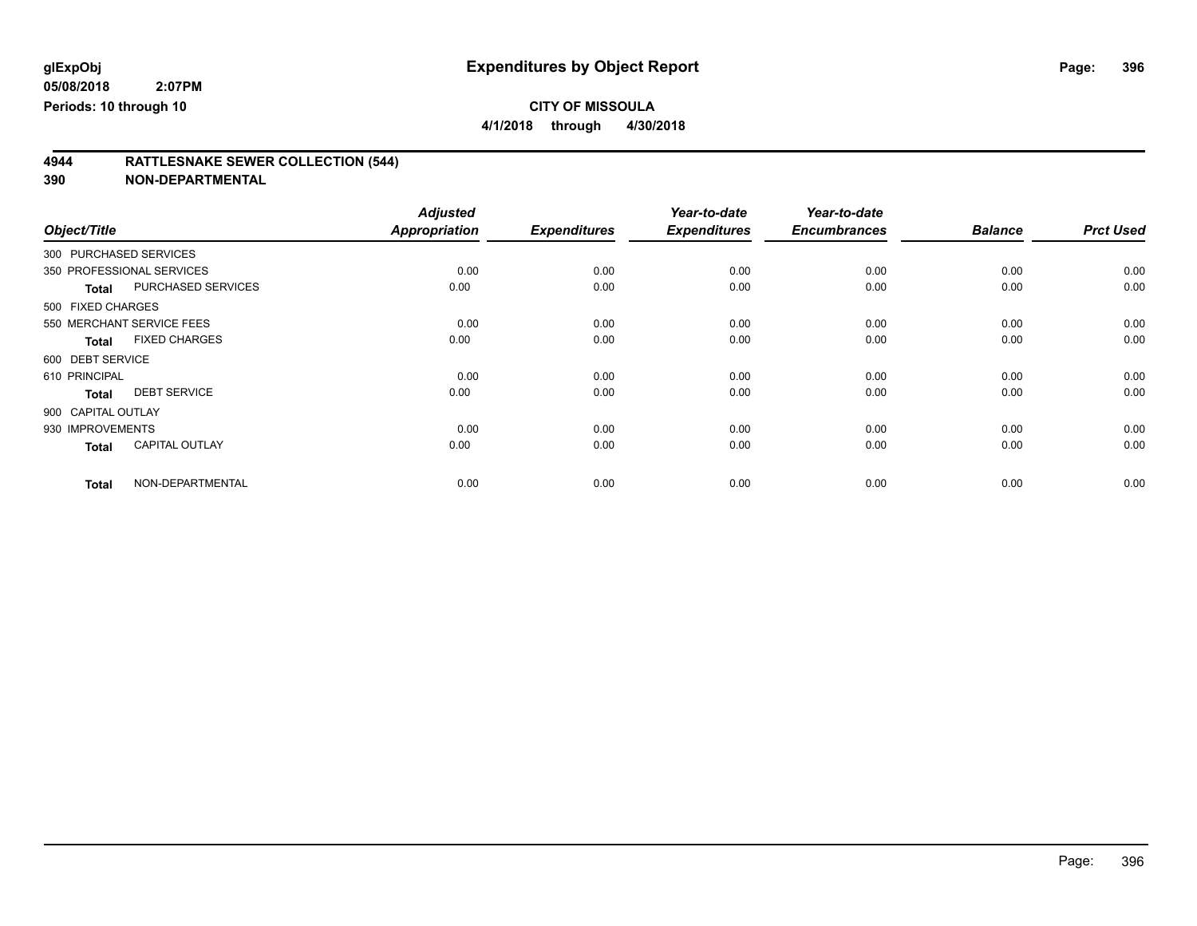# **CITY OF MISSOULA**

**4/1/2018 through 4/30/2018**

# **4944 RATTLESNAKE SEWER COLLECTION (544)**

|                    |                           | <b>Adjusted</b> |                     | Year-to-date        | Year-to-date        |                |                  |
|--------------------|---------------------------|-----------------|---------------------|---------------------|---------------------|----------------|------------------|
| Object/Title       |                           | Appropriation   | <b>Expenditures</b> | <b>Expenditures</b> | <b>Encumbrances</b> | <b>Balance</b> | <b>Prct Used</b> |
|                    | 300 PURCHASED SERVICES    |                 |                     |                     |                     |                |                  |
|                    | 350 PROFESSIONAL SERVICES | 0.00            | 0.00                | 0.00                | 0.00                | 0.00           | 0.00             |
| <b>Total</b>       | PURCHASED SERVICES        | 0.00            | 0.00                | 0.00                | 0.00                | 0.00           | 0.00             |
| 500 FIXED CHARGES  |                           |                 |                     |                     |                     |                |                  |
|                    | 550 MERCHANT SERVICE FEES | 0.00            | 0.00                | 0.00                | 0.00                | 0.00           | 0.00             |
| <b>Total</b>       | <b>FIXED CHARGES</b>      | 0.00            | 0.00                | 0.00                | 0.00                | 0.00           | 0.00             |
| 600 DEBT SERVICE   |                           |                 |                     |                     |                     |                |                  |
| 610 PRINCIPAL      |                           | 0.00            | 0.00                | 0.00                | 0.00                | 0.00           | 0.00             |
| <b>Total</b>       | <b>DEBT SERVICE</b>       | 0.00            | 0.00                | 0.00                | 0.00                | 0.00           | 0.00             |
| 900 CAPITAL OUTLAY |                           |                 |                     |                     |                     |                |                  |
| 930 IMPROVEMENTS   |                           | 0.00            | 0.00                | 0.00                | 0.00                | 0.00           | 0.00             |
| <b>Total</b>       | <b>CAPITAL OUTLAY</b>     | 0.00            | 0.00                | 0.00                | 0.00                | 0.00           | 0.00             |
| <b>Total</b>       | NON-DEPARTMENTAL          | 0.00            | 0.00                | 0.00                | 0.00                | 0.00           | 0.00             |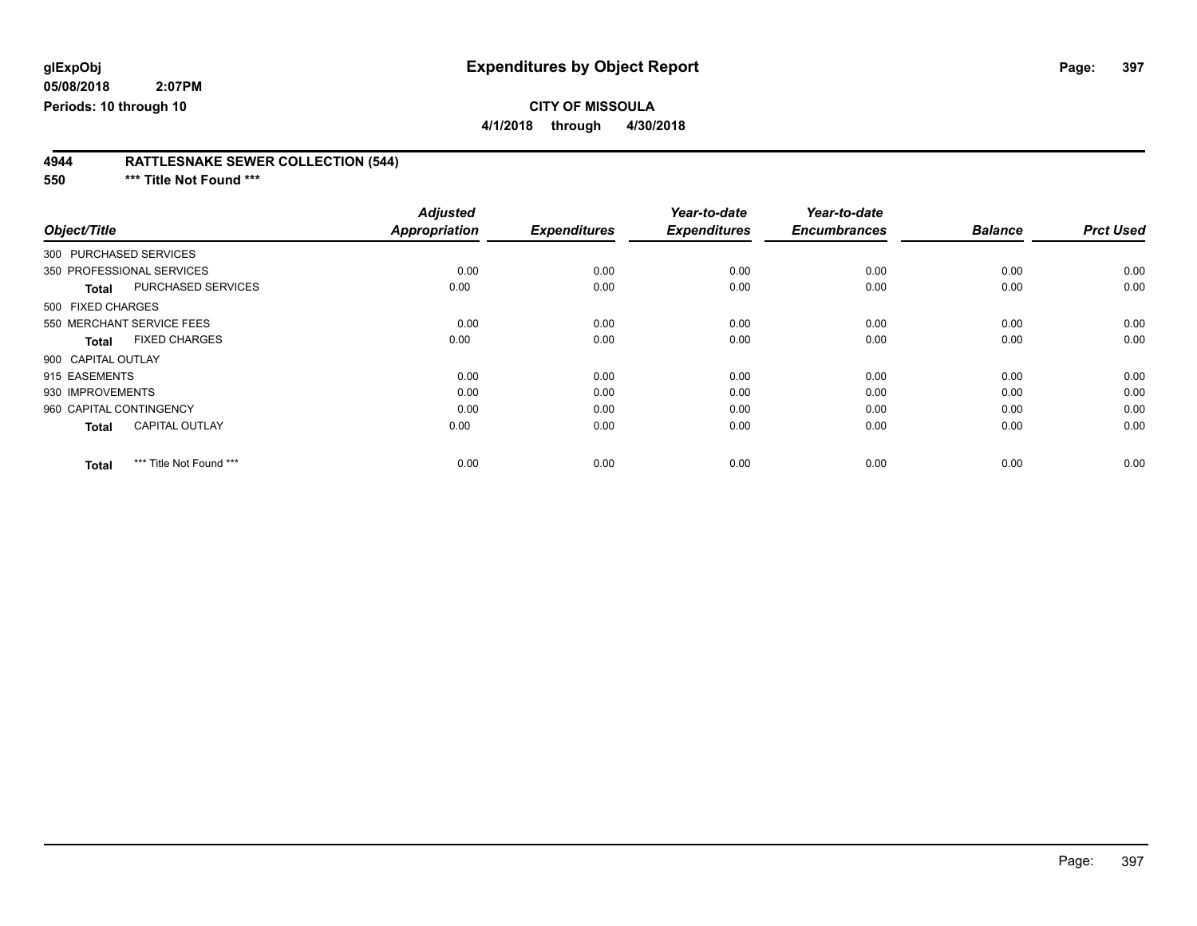## **CITY OF MISSOULA**

**4/1/2018 through 4/30/2018**

#### **4944 RATTLESNAKE SEWER COLLECTION (544)**

|                           |                         | <b>Adjusted</b>      |                     | Year-to-date        | Year-to-date        |                |                  |
|---------------------------|-------------------------|----------------------|---------------------|---------------------|---------------------|----------------|------------------|
| Object/Title              |                         | <b>Appropriation</b> | <b>Expenditures</b> | <b>Expenditures</b> | <b>Encumbrances</b> | <b>Balance</b> | <b>Prct Used</b> |
| 300 PURCHASED SERVICES    |                         |                      |                     |                     |                     |                |                  |
| 350 PROFESSIONAL SERVICES |                         | 0.00                 | 0.00                | 0.00                | 0.00                | 0.00           | 0.00             |
| <b>Total</b>              | PURCHASED SERVICES      | 0.00                 | 0.00                | 0.00                | 0.00                | 0.00           | 0.00             |
| 500 FIXED CHARGES         |                         |                      |                     |                     |                     |                |                  |
| 550 MERCHANT SERVICE FEES |                         | 0.00                 | 0.00                | 0.00                | 0.00                | 0.00           | 0.00             |
| <b>Total</b>              | <b>FIXED CHARGES</b>    | 0.00                 | 0.00                | 0.00                | 0.00                | 0.00           | 0.00             |
| 900 CAPITAL OUTLAY        |                         |                      |                     |                     |                     |                |                  |
| 915 EASEMENTS             |                         | 0.00                 | 0.00                | 0.00                | 0.00                | 0.00           | 0.00             |
| 930 IMPROVEMENTS          |                         | 0.00                 | 0.00                | 0.00                | 0.00                | 0.00           | 0.00             |
| 960 CAPITAL CONTINGENCY   |                         | 0.00                 | 0.00                | 0.00                | 0.00                | 0.00           | 0.00             |
| <b>Total</b>              | <b>CAPITAL OUTLAY</b>   | 0.00                 | 0.00                | 0.00                | 0.00                | 0.00           | 0.00             |
| <b>Total</b>              | *** Title Not Found *** | 0.00                 | 0.00                | 0.00                | 0.00                | 0.00           | 0.00             |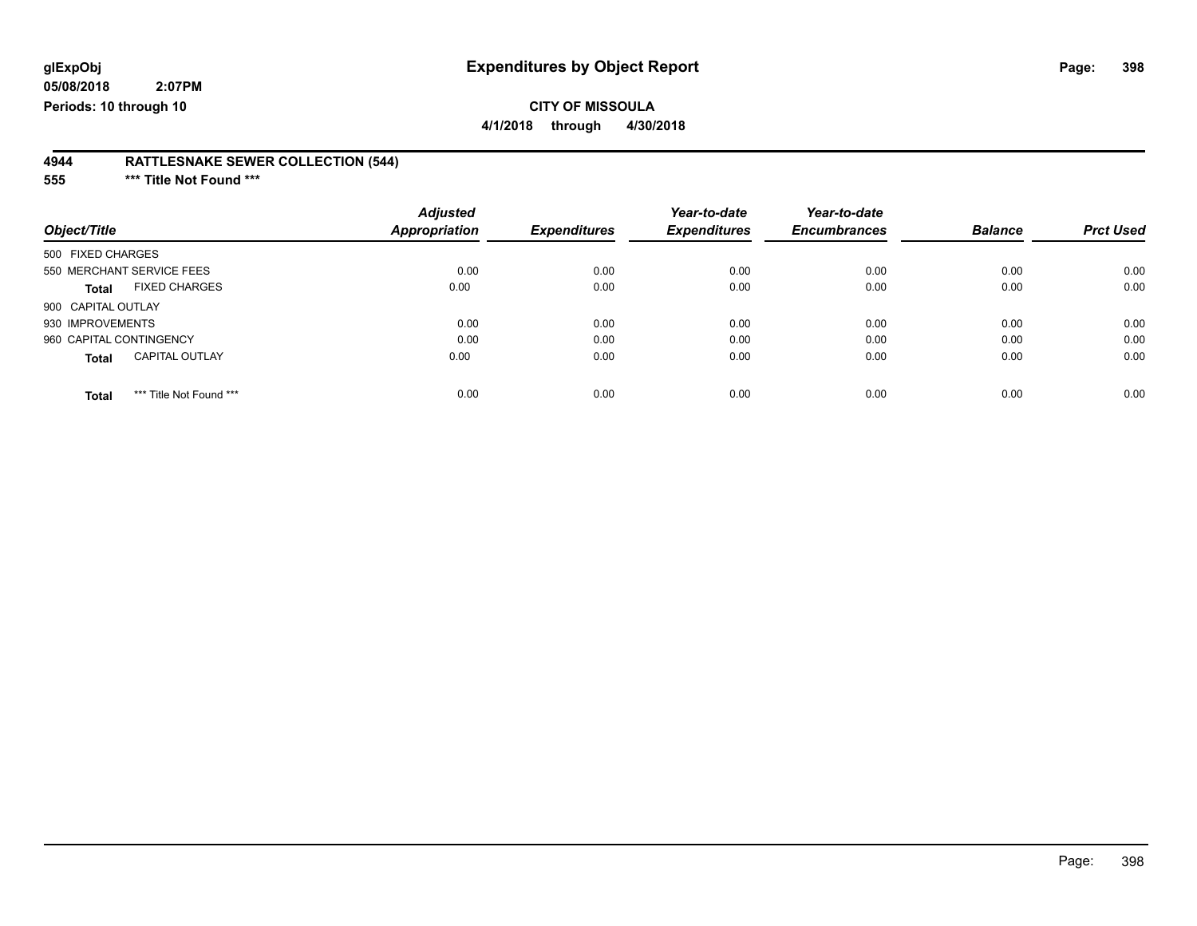## **CITY OF MISSOULA**

**4/1/2018 through 4/30/2018**

#### **4944 RATTLESNAKE SEWER COLLECTION (544)**

|                                         | <b>Adjusted</b>      |                     | Year-to-date        | Year-to-date        |                |                  |
|-----------------------------------------|----------------------|---------------------|---------------------|---------------------|----------------|------------------|
| Object/Title                            | <b>Appropriation</b> | <b>Expenditures</b> | <b>Expenditures</b> | <b>Encumbrances</b> | <b>Balance</b> | <b>Prct Used</b> |
| 500 FIXED CHARGES                       |                      |                     |                     |                     |                |                  |
| 550 MERCHANT SERVICE FEES               | 0.00                 | 0.00                | 0.00                | 0.00                | 0.00           | 0.00             |
| <b>FIXED CHARGES</b><br>Total           | 0.00                 | 0.00                | 0.00                | 0.00                | 0.00           | 0.00             |
| 900 CAPITAL OUTLAY                      |                      |                     |                     |                     |                |                  |
| 930 IMPROVEMENTS                        | 0.00                 | 0.00                | 0.00                | 0.00                | 0.00           | 0.00             |
| 960 CAPITAL CONTINGENCY                 | 0.00                 | 0.00                | 0.00                | 0.00                | 0.00           | 0.00             |
| <b>CAPITAL OUTLAY</b><br><b>Total</b>   | 0.00                 | 0.00                | 0.00                | 0.00                | 0.00           | 0.00             |
|                                         |                      |                     |                     |                     |                |                  |
| *** Title Not Found ***<br><b>Total</b> | 0.00                 | 0.00                | 0.00                | 0.00                | 0.00           | 0.00             |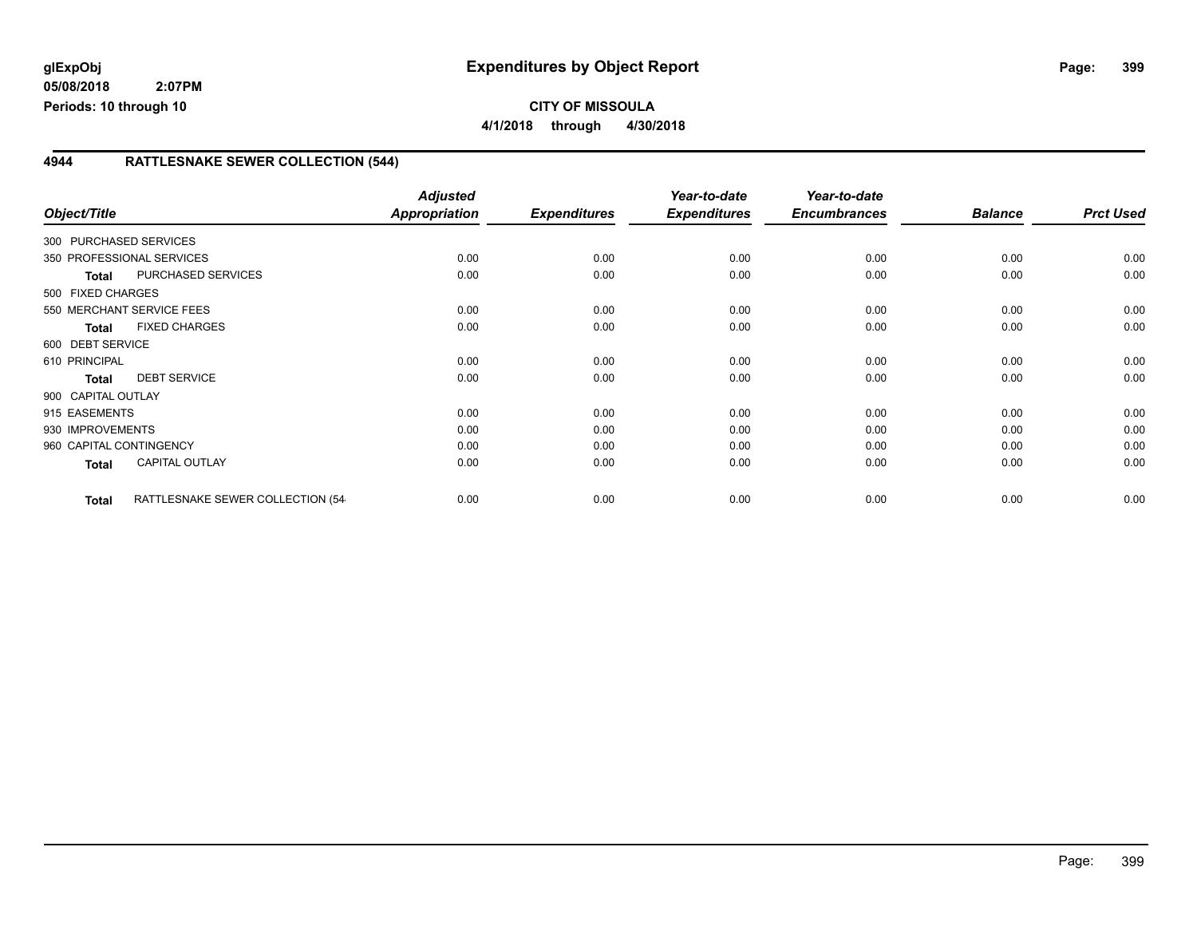**CITY OF MISSOULA 4/1/2018 through 4/30/2018**

### **4944 RATTLESNAKE SEWER COLLECTION (544)**

|                                      | <b>Adjusted</b> |                     | Year-to-date        | Year-to-date        |                |                  |
|--------------------------------------|-----------------|---------------------|---------------------|---------------------|----------------|------------------|
| Object/Title                         | Appropriation   | <b>Expenditures</b> | <b>Expenditures</b> | <b>Encumbrances</b> | <b>Balance</b> | <b>Prct Used</b> |
| 300 PURCHASED SERVICES               |                 |                     |                     |                     |                |                  |
| 350 PROFESSIONAL SERVICES            | 0.00            | 0.00                | 0.00                | 0.00                | 0.00           | 0.00             |
| PURCHASED SERVICES<br><b>Total</b>   | 0.00            | 0.00                | 0.00                | 0.00                | 0.00           | 0.00             |
| 500 FIXED CHARGES                    |                 |                     |                     |                     |                |                  |
| 550 MERCHANT SERVICE FEES            | 0.00            | 0.00                | 0.00                | 0.00                | 0.00           | 0.00             |
| <b>FIXED CHARGES</b><br><b>Total</b> | 0.00            | 0.00                | 0.00                | 0.00                | 0.00           | 0.00             |
| 600 DEBT SERVICE                     |                 |                     |                     |                     |                |                  |
| 610 PRINCIPAL                        | 0.00            | 0.00                | 0.00                | 0.00                | 0.00           | 0.00             |
| <b>DEBT SERVICE</b><br><b>Total</b>  | 0.00            | 0.00                | 0.00                | 0.00                | 0.00           | 0.00             |
| 900 CAPITAL OUTLAY                   |                 |                     |                     |                     |                |                  |
| 915 EASEMENTS                        | 0.00            | 0.00                | 0.00                | 0.00                | 0.00           | 0.00             |
| 930 IMPROVEMENTS                     | 0.00            | 0.00                | 0.00                | 0.00                | 0.00           | 0.00             |
| 960 CAPITAL CONTINGENCY              | 0.00            | 0.00                | 0.00                | 0.00                | 0.00           | 0.00             |
| <b>CAPITAL OUTLAY</b><br>Total       | 0.00            | 0.00                | 0.00                | 0.00                | 0.00           | 0.00             |
| RATTLESNAKE SEWER COLLECTION (54-    | 0.00            | 0.00                | 0.00                | 0.00                | 0.00           | 0.00             |
| <b>Total</b>                         |                 |                     |                     |                     |                |                  |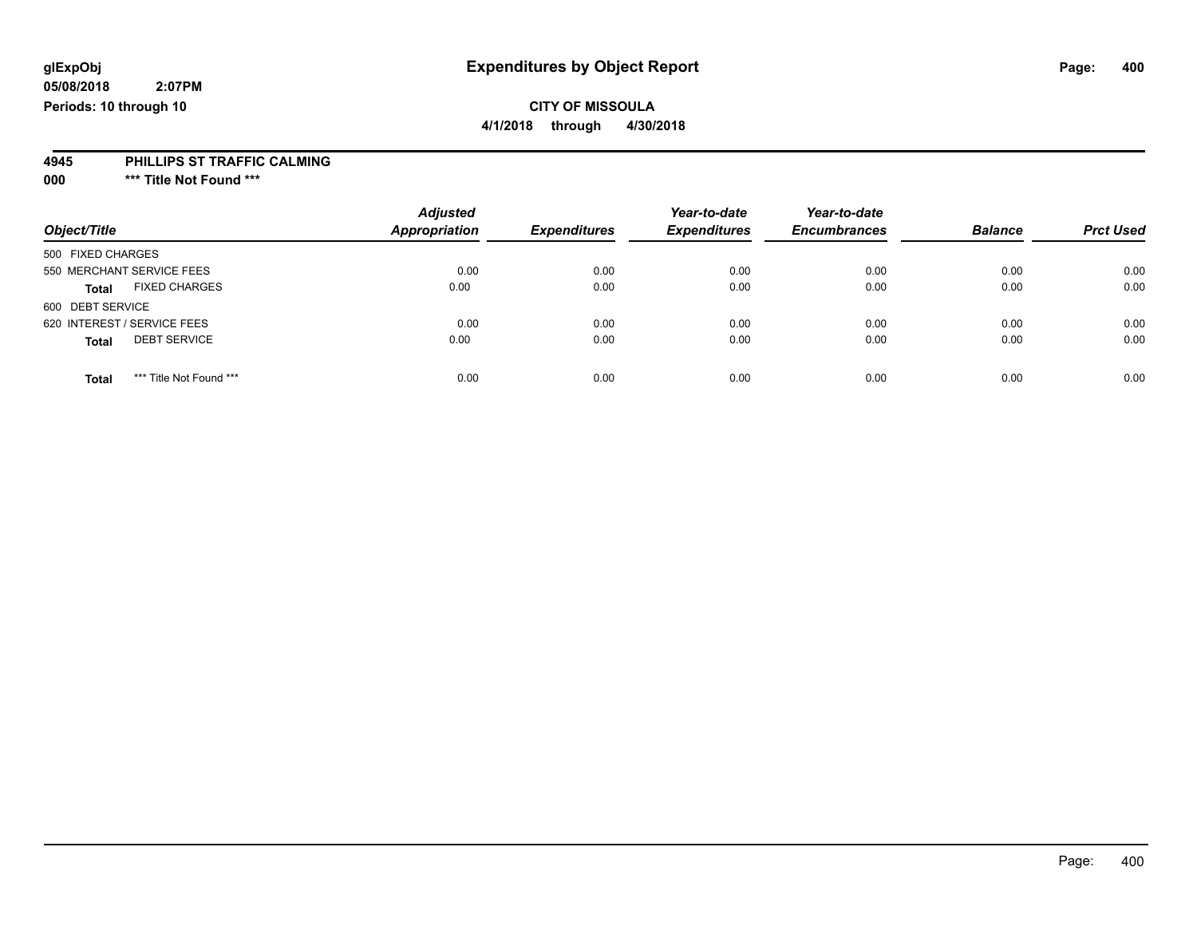### **CITY OF MISSOULA 4/1/2018 through 4/30/2018**

#### **4945 PHILLIPS ST TRAFFIC CALMING**

| Object/Title                            | <b>Adjusted</b><br><b>Appropriation</b> | <b>Expenditures</b> | Year-to-date<br><b>Expenditures</b> | Year-to-date<br><b>Encumbrances</b> | <b>Balance</b> | <b>Prct Used</b> |
|-----------------------------------------|-----------------------------------------|---------------------|-------------------------------------|-------------------------------------|----------------|------------------|
| 500 FIXED CHARGES                       |                                         |                     |                                     |                                     |                |                  |
| 550 MERCHANT SERVICE FEES               | 0.00                                    | 0.00                | 0.00                                | 0.00                                | 0.00           | 0.00             |
| <b>FIXED CHARGES</b><br><b>Total</b>    | 0.00                                    | 0.00                | 0.00                                | 0.00                                | 0.00           | 0.00             |
| 600 DEBT SERVICE                        |                                         |                     |                                     |                                     |                |                  |
| 620 INTEREST / SERVICE FEES             | 0.00                                    | 0.00                | 0.00                                | 0.00                                | 0.00           | 0.00             |
| <b>DEBT SERVICE</b><br><b>Total</b>     | 0.00                                    | 0.00                | 0.00                                | 0.00                                | 0.00           | 0.00             |
| *** Title Not Found ***<br><b>Total</b> | 0.00                                    | 0.00                | 0.00                                | 0.00                                | 0.00           | 0.00             |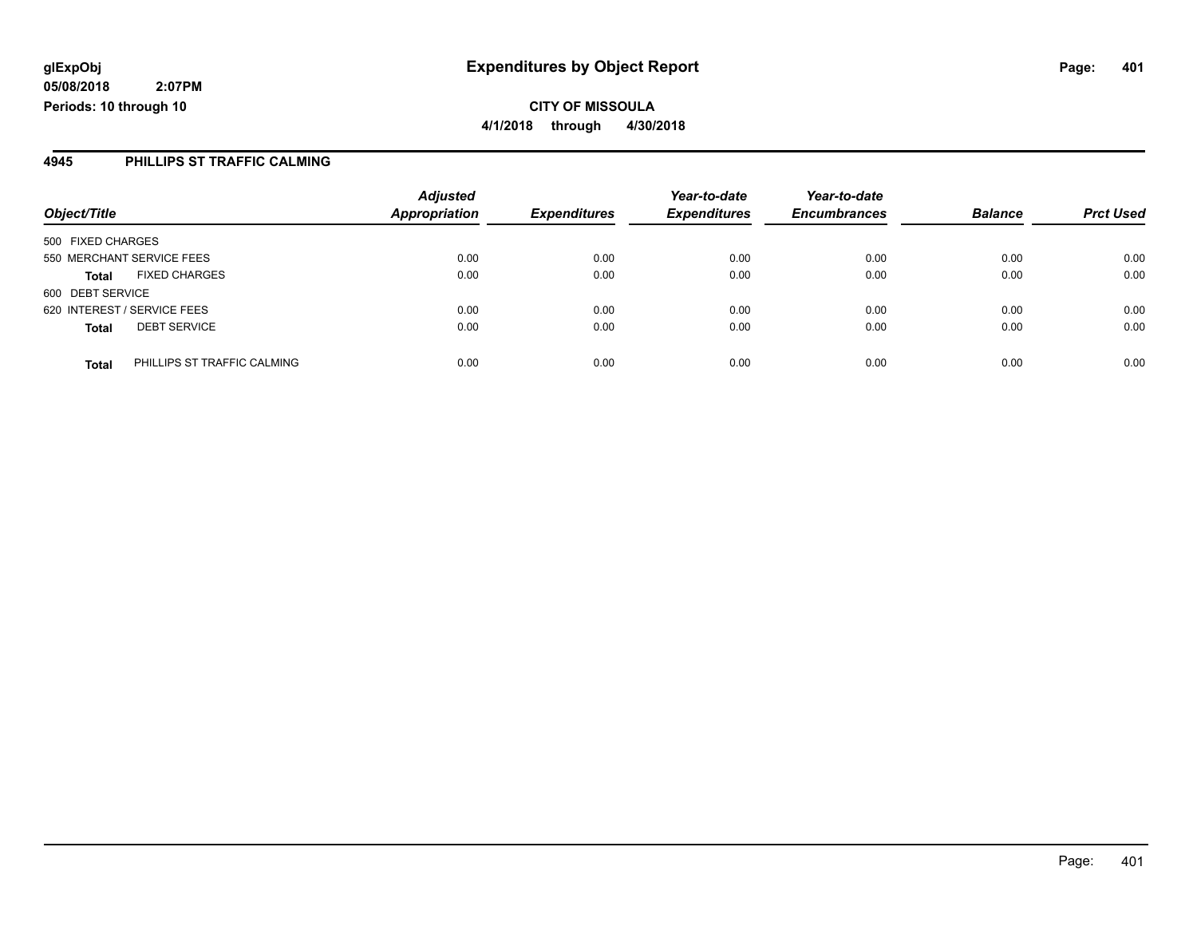**CITY OF MISSOULA 4/1/2018 through 4/30/2018**

#### **4945 PHILLIPS ST TRAFFIC CALMING**

|                             |                             | <b>Adjusted</b>      |                     | Year-to-date        | Year-to-date        |                |                  |
|-----------------------------|-----------------------------|----------------------|---------------------|---------------------|---------------------|----------------|------------------|
| Object/Title                |                             | <b>Appropriation</b> | <b>Expenditures</b> | <b>Expenditures</b> | <b>Encumbrances</b> | <b>Balance</b> | <b>Prct Used</b> |
| 500 FIXED CHARGES           |                             |                      |                     |                     |                     |                |                  |
| 550 MERCHANT SERVICE FEES   |                             | 0.00                 | 0.00                | 0.00                | 0.00                | 0.00           | 0.00             |
| <b>Total</b>                | <b>FIXED CHARGES</b>        | 0.00                 | 0.00                | 0.00                | 0.00                | 0.00           | 0.00             |
| 600 DEBT SERVICE            |                             |                      |                     |                     |                     |                |                  |
| 620 INTEREST / SERVICE FEES |                             | 0.00                 | 0.00                | 0.00                | 0.00                | 0.00           | 0.00             |
| <b>Total</b>                | <b>DEBT SERVICE</b>         | 0.00                 | 0.00                | 0.00                | 0.00                | 0.00           | 0.00             |
| <b>Total</b>                | PHILLIPS ST TRAFFIC CALMING | 0.00                 | 0.00                | 0.00                | 0.00                | 0.00           | 0.00             |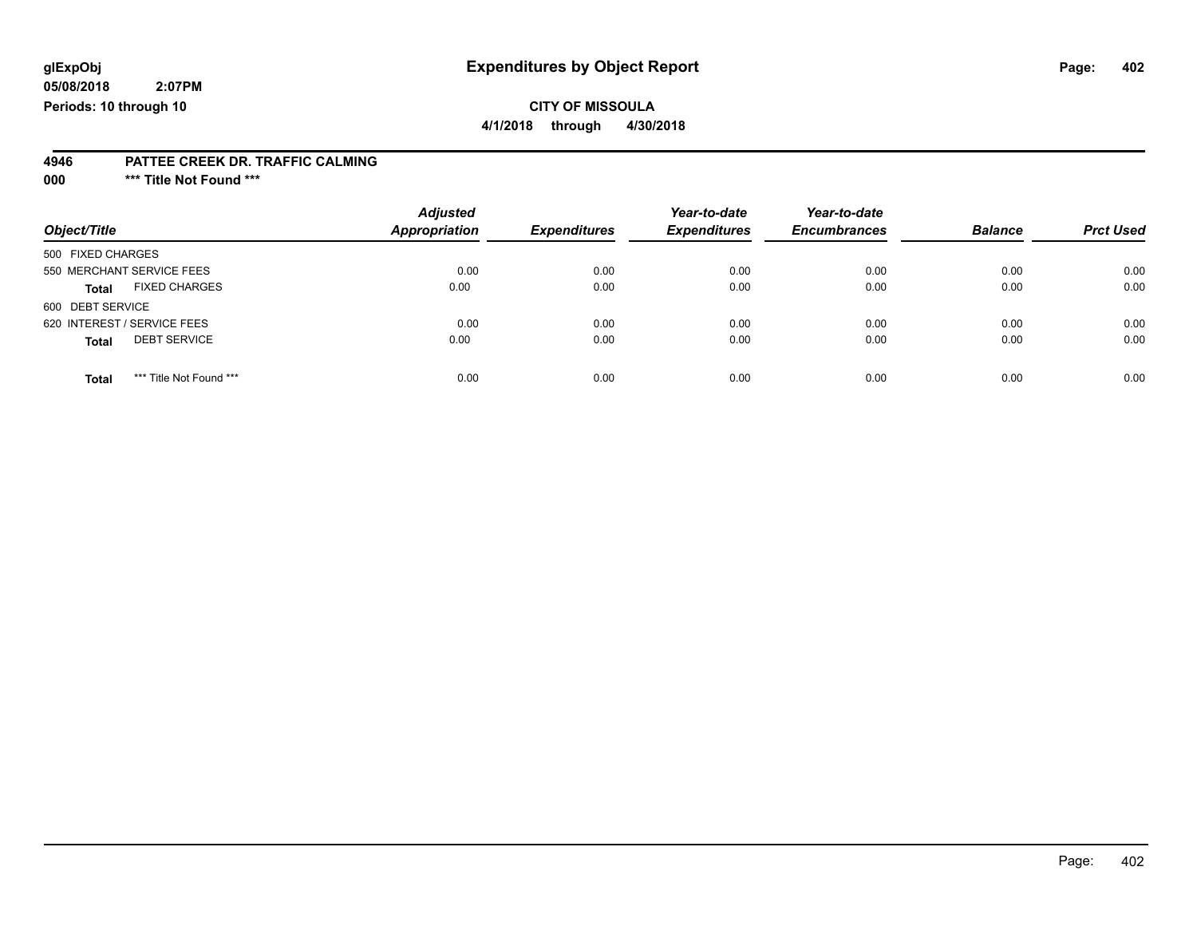## **CITY OF MISSOULA**

**4/1/2018 through 4/30/2018**

#### **4946 PATTEE CREEK DR. TRAFFIC CALMING**

| Object/Title                            | <b>Adjusted</b><br><b>Appropriation</b> | <b>Expenditures</b> | Year-to-date<br><b>Expenditures</b> | Year-to-date<br><b>Encumbrances</b> | <b>Balance</b> | <b>Prct Used</b> |
|-----------------------------------------|-----------------------------------------|---------------------|-------------------------------------|-------------------------------------|----------------|------------------|
|                                         |                                         |                     |                                     |                                     |                |                  |
| 500 FIXED CHARGES                       |                                         |                     |                                     |                                     |                |                  |
| 550 MERCHANT SERVICE FEES               | 0.00                                    | 0.00                | 0.00                                | 0.00                                | 0.00           | 0.00             |
| <b>FIXED CHARGES</b><br><b>Total</b>    | 0.00                                    | 0.00                | 0.00                                | 0.00                                | 0.00           | 0.00             |
| 600 DEBT SERVICE                        |                                         |                     |                                     |                                     |                |                  |
| 620 INTEREST / SERVICE FEES             | 0.00                                    | 0.00                | 0.00                                | 0.00                                | 0.00           | 0.00             |
| <b>DEBT SERVICE</b><br><b>Total</b>     | 0.00                                    | 0.00                | 0.00                                | 0.00                                | 0.00           | 0.00             |
| *** Title Not Found ***<br><b>Total</b> | 0.00                                    | 0.00                | 0.00                                | 0.00                                | 0.00           | 0.00             |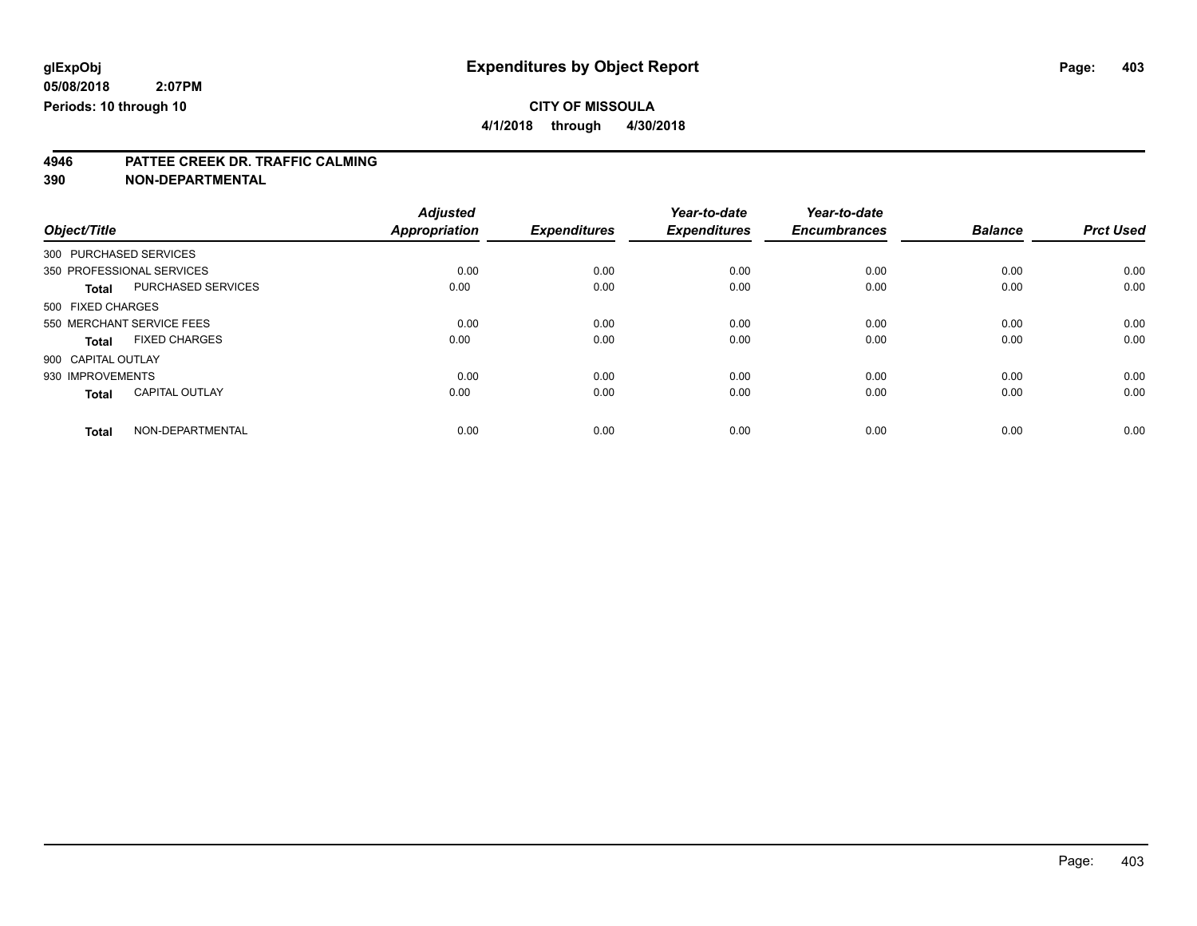**4946 PATTEE CREEK DR. TRAFFIC CALMING**

**390 NON-DEPARTMENTAL**

| Object/Title           |                           | <b>Adjusted</b><br>Appropriation | <b>Expenditures</b> | Year-to-date<br><b>Expenditures</b> | Year-to-date<br><b>Encumbrances</b> | <b>Balance</b> | <b>Prct Used</b> |
|------------------------|---------------------------|----------------------------------|---------------------|-------------------------------------|-------------------------------------|----------------|------------------|
| 300 PURCHASED SERVICES |                           |                                  |                     |                                     |                                     |                |                  |
|                        | 350 PROFESSIONAL SERVICES | 0.00                             | 0.00                | 0.00                                | 0.00                                | 0.00           | 0.00             |
| <b>Total</b>           | <b>PURCHASED SERVICES</b> | 0.00                             | 0.00                | 0.00                                | 0.00                                | 0.00           | 0.00             |
| 500 FIXED CHARGES      |                           |                                  |                     |                                     |                                     |                |                  |
|                        | 550 MERCHANT SERVICE FEES | 0.00                             | 0.00                | 0.00                                | 0.00                                | 0.00           | 0.00             |
| <b>Total</b>           | <b>FIXED CHARGES</b>      | 0.00                             | 0.00                | 0.00                                | 0.00                                | 0.00           | 0.00             |
| 900 CAPITAL OUTLAY     |                           |                                  |                     |                                     |                                     |                |                  |
| 930 IMPROVEMENTS       |                           | 0.00                             | 0.00                | 0.00                                | 0.00                                | 0.00           | 0.00             |
| <b>Total</b>           | <b>CAPITAL OUTLAY</b>     | 0.00                             | 0.00                | 0.00                                | 0.00                                | 0.00           | 0.00             |
| <b>Total</b>           | NON-DEPARTMENTAL          | 0.00                             | 0.00                | 0.00                                | 0.00                                | 0.00           | 0.00             |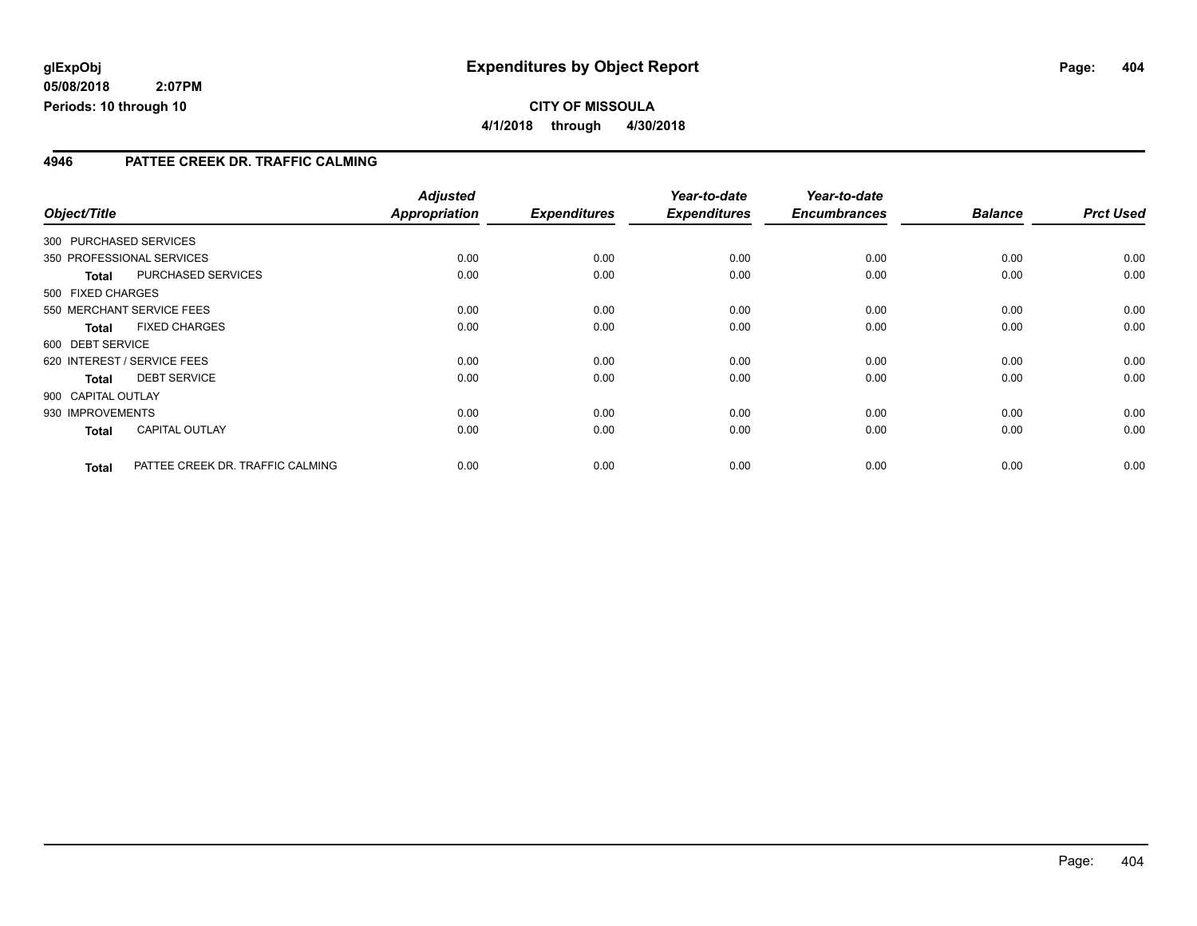#### **4946 PATTEE CREEK DR. TRAFFIC CALMING**

| Object/Title |                                                  | <b>Adjusted</b><br>Appropriation | <b>Expenditures</b> | Year-to-date<br><b>Expenditures</b> | Year-to-date<br><b>Encumbrances</b> | <b>Balance</b> | <b>Prct Used</b> |
|--------------|--------------------------------------------------|----------------------------------|---------------------|-------------------------------------|-------------------------------------|----------------|------------------|
|              | 300 PURCHASED SERVICES                           |                                  |                     |                                     |                                     |                |                  |
|              | 350 PROFESSIONAL SERVICES                        | 0.00                             | 0.00                | 0.00                                | 0.00                                | 0.00           | 0.00             |
|              | PURCHASED SERVICES<br><b>Total</b>               | 0.00                             | 0.00                | 0.00                                | 0.00                                | 0.00           | 0.00             |
|              | 500 FIXED CHARGES                                |                                  |                     |                                     |                                     |                |                  |
|              | 550 MERCHANT SERVICE FEES                        | 0.00                             | 0.00                | 0.00                                | 0.00                                | 0.00           | 0.00             |
|              | <b>FIXED CHARGES</b><br><b>Total</b>             | 0.00                             | 0.00                | 0.00                                | 0.00                                | 0.00           | 0.00             |
|              | 600 DEBT SERVICE                                 |                                  |                     |                                     |                                     |                |                  |
|              | 620 INTEREST / SERVICE FEES                      | 0.00                             | 0.00                | 0.00                                | 0.00                                | 0.00           | 0.00             |
|              | <b>DEBT SERVICE</b><br><b>Total</b>              | 0.00                             | 0.00                | 0.00                                | 0.00                                | 0.00           | 0.00             |
|              | 900 CAPITAL OUTLAY                               |                                  |                     |                                     |                                     |                |                  |
|              | 930 IMPROVEMENTS                                 | 0.00                             | 0.00                | 0.00                                | 0.00                                | 0.00           | 0.00             |
|              | <b>CAPITAL OUTLAY</b><br><b>Total</b>            | 0.00                             | 0.00                | 0.00                                | 0.00                                | 0.00           | 0.00             |
|              | PATTEE CREEK DR. TRAFFIC CALMING<br><b>Total</b> | 0.00                             | 0.00                | 0.00                                | 0.00                                | 0.00           | 0.00             |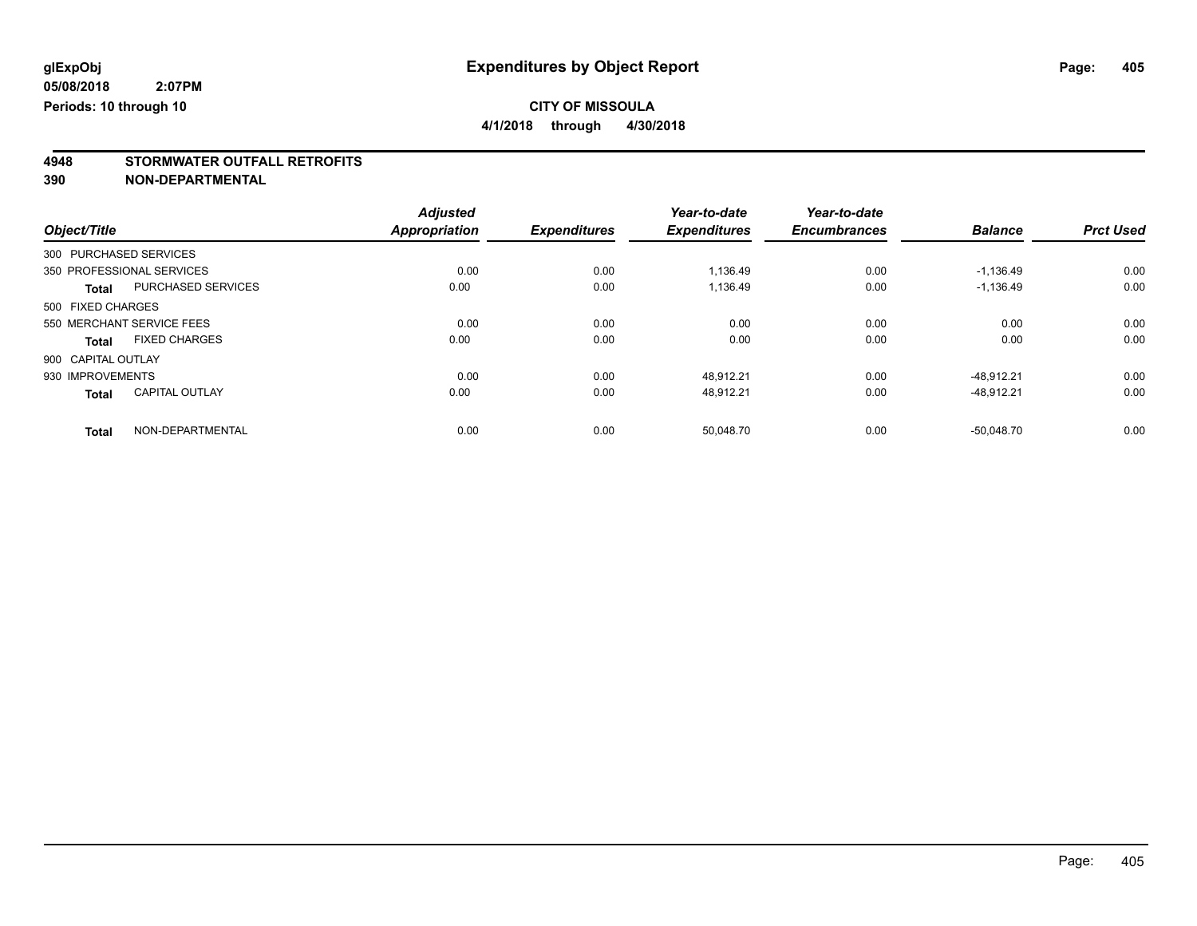# **4948 STORMWATER OUTFALL RETROFITS**

**390 NON-DEPARTMENTAL**

|                                       | <b>Adjusted</b>      |                     | Year-to-date        | Year-to-date        |                |                  |
|---------------------------------------|----------------------|---------------------|---------------------|---------------------|----------------|------------------|
| Object/Title                          | <b>Appropriation</b> | <b>Expenditures</b> | <b>Expenditures</b> | <b>Encumbrances</b> | <b>Balance</b> | <b>Prct Used</b> |
| 300 PURCHASED SERVICES                |                      |                     |                     |                     |                |                  |
| 350 PROFESSIONAL SERVICES             | 0.00                 | 0.00                | 1,136.49            | 0.00                | $-1,136.49$    | 0.00             |
| PURCHASED SERVICES<br><b>Total</b>    | 0.00                 | 0.00                | 1.136.49            | 0.00                | $-1.136.49$    | 0.00             |
| 500 FIXED CHARGES                     |                      |                     |                     |                     |                |                  |
| 550 MERCHANT SERVICE FEES             | 0.00                 | 0.00                | 0.00                | 0.00                | 0.00           | 0.00             |
| <b>FIXED CHARGES</b><br>Total         | 0.00                 | 0.00                | 0.00                | 0.00                | 0.00           | 0.00             |
| 900 CAPITAL OUTLAY                    |                      |                     |                     |                     |                |                  |
| 930 IMPROVEMENTS                      | 0.00                 | 0.00                | 48.912.21           | 0.00                | $-48.912.21$   | 0.00             |
| <b>CAPITAL OUTLAY</b><br><b>Total</b> | 0.00                 | 0.00                | 48,912.21           | 0.00                | $-48,912.21$   | 0.00             |
| NON-DEPARTMENTAL<br><b>Total</b>      | 0.00                 | 0.00                | 50.048.70           | 0.00                | $-50.048.70$   | 0.00             |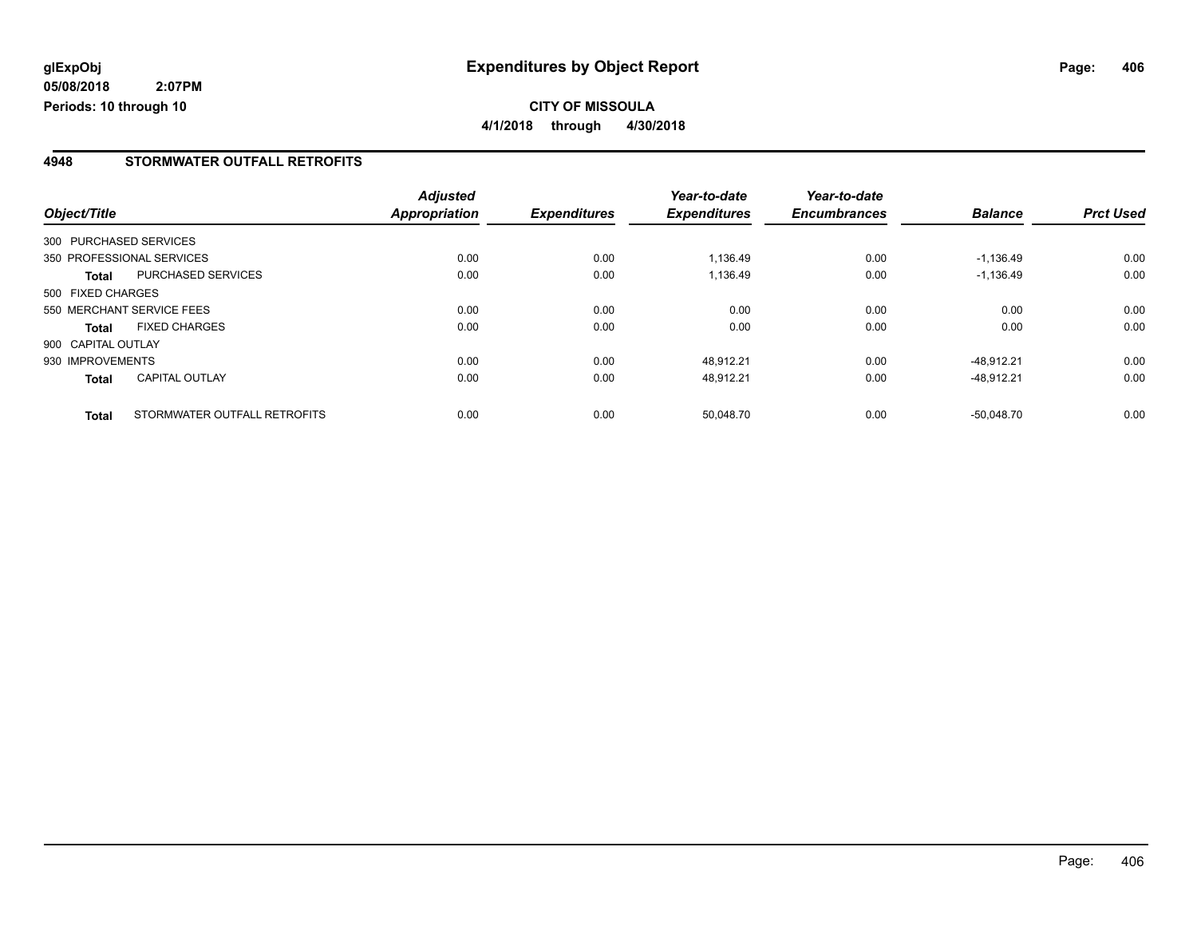**CITY OF MISSOULA 4/1/2018 through 4/30/2018**

#### **4948 STORMWATER OUTFALL RETROFITS**

|                    |                              | <b>Adjusted</b>      |                     | Year-to-date        | Year-to-date        |                |                  |
|--------------------|------------------------------|----------------------|---------------------|---------------------|---------------------|----------------|------------------|
| Object/Title       |                              | <b>Appropriation</b> | <b>Expenditures</b> | <b>Expenditures</b> | <b>Encumbrances</b> | <b>Balance</b> | <b>Prct Used</b> |
|                    | 300 PURCHASED SERVICES       |                      |                     |                     |                     |                |                  |
|                    | 350 PROFESSIONAL SERVICES    | 0.00                 | 0.00                | 1.136.49            | 0.00                | $-1.136.49$    | 0.00             |
| Total              | PURCHASED SERVICES           | 0.00                 | 0.00                | 1,136.49            | 0.00                | $-1,136.49$    | 0.00             |
| 500 FIXED CHARGES  |                              |                      |                     |                     |                     |                |                  |
|                    | 550 MERCHANT SERVICE FEES    | 0.00                 | 0.00                | 0.00                | 0.00                | 0.00           | 0.00             |
| <b>Total</b>       | <b>FIXED CHARGES</b>         | 0.00                 | 0.00                | 0.00                | 0.00                | 0.00           | 0.00             |
| 900 CAPITAL OUTLAY |                              |                      |                     |                     |                     |                |                  |
| 930 IMPROVEMENTS   |                              | 0.00                 | 0.00                | 48.912.21           | 0.00                | $-48.912.21$   | 0.00             |
| <b>Total</b>       | <b>CAPITAL OUTLAY</b>        | 0.00                 | 0.00                | 48.912.21           | 0.00                | $-48.912.21$   | 0.00             |
| <b>Total</b>       | STORMWATER OUTFALL RETROFITS | 0.00                 | 0.00                | 50.048.70           | 0.00                | $-50.048.70$   | 0.00             |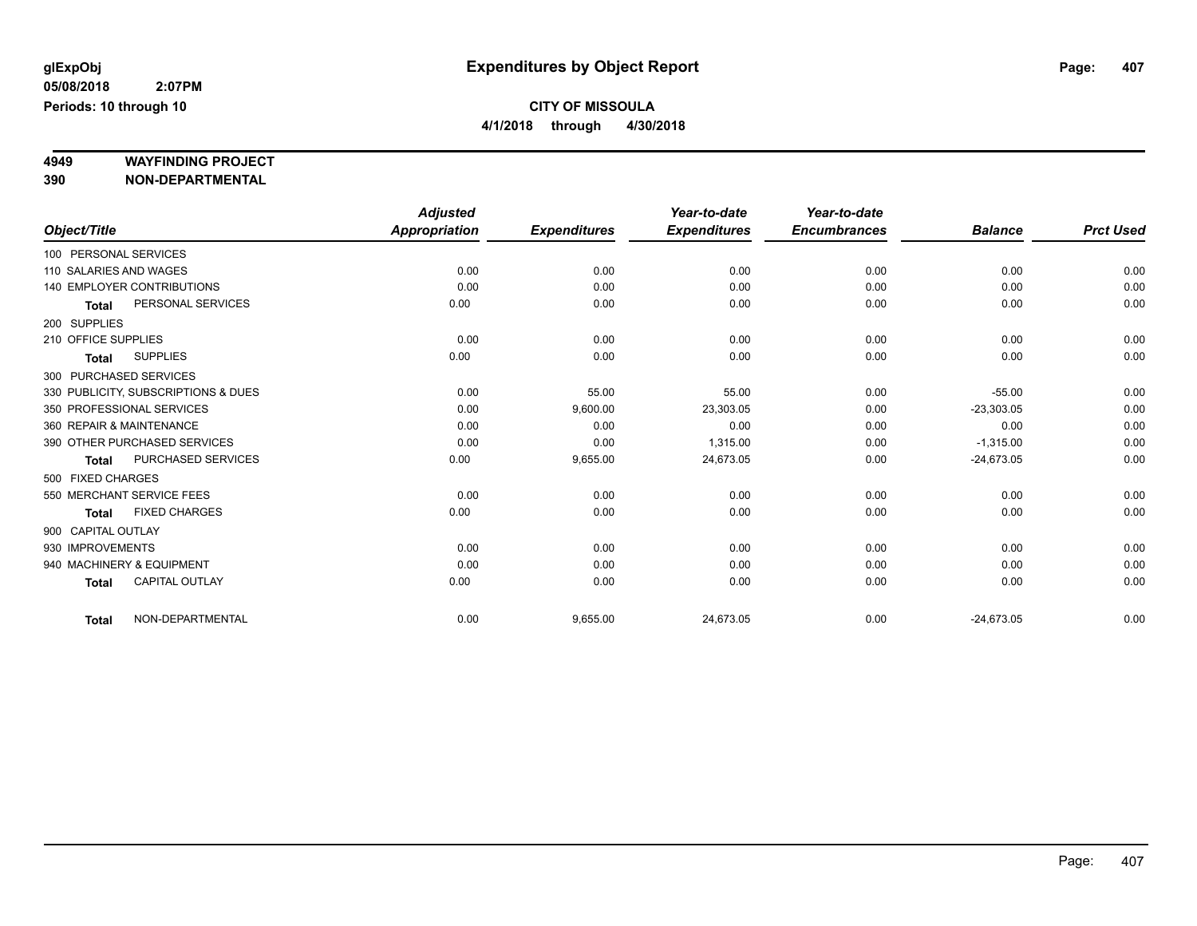# **4949 WAYFINDING PROJECT**

**390 NON-DEPARTMENTAL**

|                                           | <b>Adjusted</b>      |                     | Year-to-date        | Year-to-date        |                |                  |
|-------------------------------------------|----------------------|---------------------|---------------------|---------------------|----------------|------------------|
| Object/Title                              | <b>Appropriation</b> | <b>Expenditures</b> | <b>Expenditures</b> | <b>Encumbrances</b> | <b>Balance</b> | <b>Prct Used</b> |
| 100 PERSONAL SERVICES                     |                      |                     |                     |                     |                |                  |
| 110 SALARIES AND WAGES                    | 0.00                 | 0.00                | 0.00                | 0.00                | 0.00           | 0.00             |
| 140 EMPLOYER CONTRIBUTIONS                | 0.00                 | 0.00                | 0.00                | 0.00                | 0.00           | 0.00             |
| PERSONAL SERVICES<br><b>Total</b>         | 0.00                 | 0.00                | 0.00                | 0.00                | 0.00           | 0.00             |
| 200 SUPPLIES                              |                      |                     |                     |                     |                |                  |
| 210 OFFICE SUPPLIES                       | 0.00                 | 0.00                | 0.00                | 0.00                | 0.00           | 0.00             |
| <b>SUPPLIES</b><br><b>Total</b>           | 0.00                 | 0.00                | 0.00                | 0.00                | 0.00           | 0.00             |
| 300 PURCHASED SERVICES                    |                      |                     |                     |                     |                |                  |
| 330 PUBLICITY, SUBSCRIPTIONS & DUES       | 0.00                 | 55.00               | 55.00               | 0.00                | $-55.00$       | 0.00             |
| 350 PROFESSIONAL SERVICES                 | 0.00                 | 9,600.00            | 23,303.05           | 0.00                | $-23,303.05$   | 0.00             |
| 360 REPAIR & MAINTENANCE                  | 0.00                 | 0.00                | 0.00                | 0.00                | 0.00           | 0.00             |
| 390 OTHER PURCHASED SERVICES              | 0.00                 | 0.00                | 1,315.00            | 0.00                | $-1,315.00$    | 0.00             |
| <b>PURCHASED SERVICES</b><br><b>Total</b> | 0.00                 | 9,655.00            | 24,673.05           | 0.00                | $-24,673.05$   | 0.00             |
| 500 FIXED CHARGES                         |                      |                     |                     |                     |                |                  |
| 550 MERCHANT SERVICE FEES                 | 0.00                 | 0.00                | 0.00                | 0.00                | 0.00           | 0.00             |
| <b>FIXED CHARGES</b><br><b>Total</b>      | 0.00                 | 0.00                | 0.00                | 0.00                | 0.00           | 0.00             |
| 900 CAPITAL OUTLAY                        |                      |                     |                     |                     |                |                  |
| 930 IMPROVEMENTS                          | 0.00                 | 0.00                | 0.00                | 0.00                | 0.00           | 0.00             |
| 940 MACHINERY & EQUIPMENT                 | 0.00                 | 0.00                | 0.00                | 0.00                | 0.00           | 0.00             |
| <b>CAPITAL OUTLAY</b><br><b>Total</b>     | 0.00                 | 0.00                | 0.00                | 0.00                | 0.00           | 0.00             |
| NON-DEPARTMENTAL<br><b>Total</b>          | 0.00                 | 9,655.00            | 24,673.05           | 0.00                | $-24,673.05$   | 0.00             |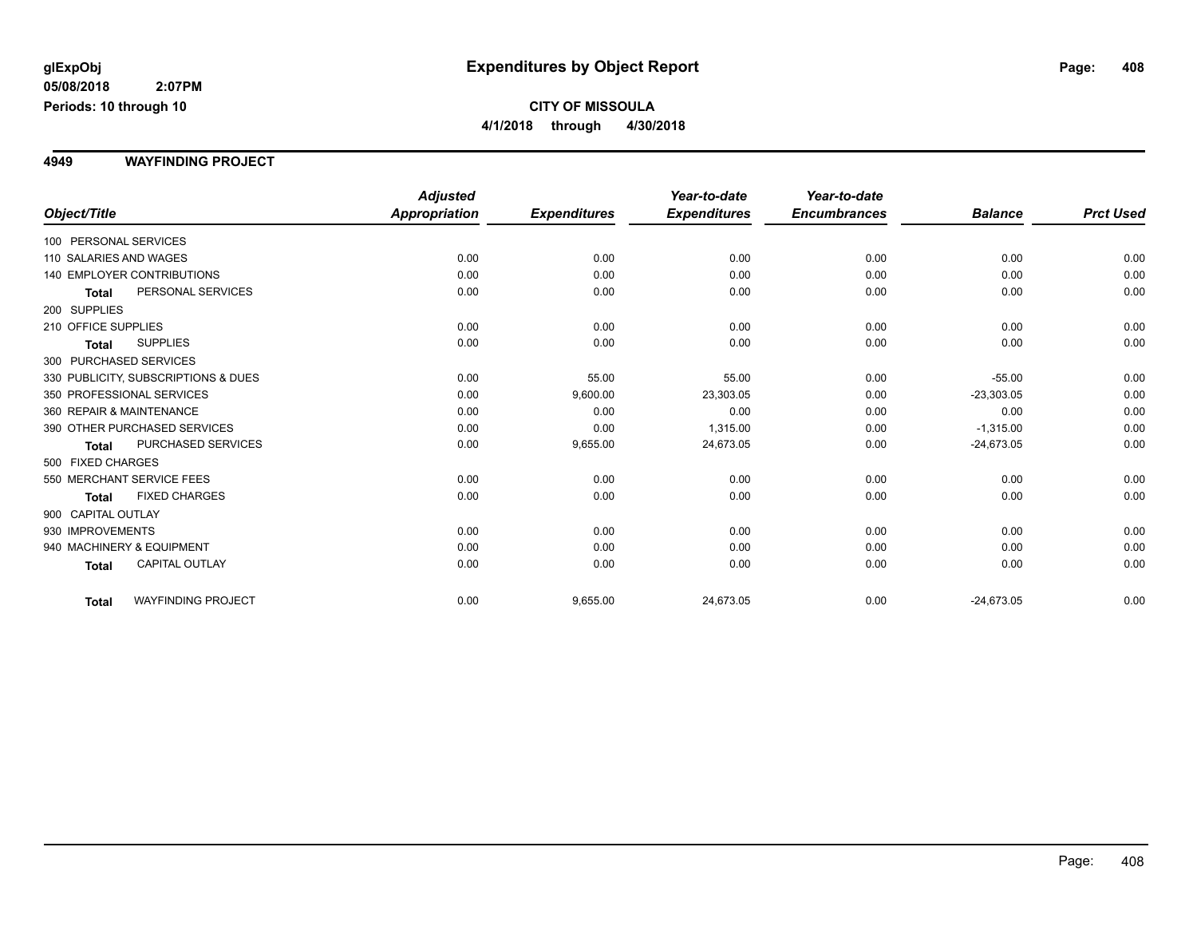#### **4949 WAYFINDING PROJECT**

|                                     |                           | <b>Adjusted</b>      |                     | Year-to-date        | Year-to-date        |                |                  |
|-------------------------------------|---------------------------|----------------------|---------------------|---------------------|---------------------|----------------|------------------|
| Object/Title                        |                           | <b>Appropriation</b> | <b>Expenditures</b> | <b>Expenditures</b> | <b>Encumbrances</b> | <b>Balance</b> | <b>Prct Used</b> |
| 100 PERSONAL SERVICES               |                           |                      |                     |                     |                     |                |                  |
| 110 SALARIES AND WAGES              |                           | 0.00                 | 0.00                | 0.00                | 0.00                | 0.00           | 0.00             |
| <b>140 EMPLOYER CONTRIBUTIONS</b>   |                           | 0.00                 | 0.00                | 0.00                | 0.00                | 0.00           | 0.00             |
| <b>Total</b>                        | PERSONAL SERVICES         | 0.00                 | 0.00                | 0.00                | 0.00                | 0.00           | 0.00             |
| 200 SUPPLIES                        |                           |                      |                     |                     |                     |                |                  |
| 210 OFFICE SUPPLIES                 |                           | 0.00                 | 0.00                | 0.00                | 0.00                | 0.00           | 0.00             |
| <b>Total</b>                        | <b>SUPPLIES</b>           | 0.00                 | 0.00                | 0.00                | 0.00                | 0.00           | 0.00             |
| 300 PURCHASED SERVICES              |                           |                      |                     |                     |                     |                |                  |
| 330 PUBLICITY, SUBSCRIPTIONS & DUES |                           | 0.00                 | 55.00               | 55.00               | 0.00                | $-55.00$       | 0.00             |
| 350 PROFESSIONAL SERVICES           |                           | 0.00                 | 9,600.00            | 23,303.05           | 0.00                | $-23,303.05$   | 0.00             |
| 360 REPAIR & MAINTENANCE            |                           | 0.00                 | 0.00                | 0.00                | 0.00                | 0.00           | 0.00             |
| 390 OTHER PURCHASED SERVICES        |                           | 0.00                 | 0.00                | 1,315.00            | 0.00                | $-1,315.00$    | 0.00             |
| <b>Total</b>                        | PURCHASED SERVICES        | 0.00                 | 9,655.00            | 24,673.05           | 0.00                | $-24,673.05$   | 0.00             |
| 500 FIXED CHARGES                   |                           |                      |                     |                     |                     |                |                  |
| 550 MERCHANT SERVICE FEES           |                           | 0.00                 | 0.00                | 0.00                | 0.00                | 0.00           | 0.00             |
| <b>Total</b>                        | <b>FIXED CHARGES</b>      | 0.00                 | 0.00                | 0.00                | 0.00                | 0.00           | 0.00             |
| 900 CAPITAL OUTLAY                  |                           |                      |                     |                     |                     |                |                  |
| 930 IMPROVEMENTS                    |                           | 0.00                 | 0.00                | 0.00                | 0.00                | 0.00           | 0.00             |
| 940 MACHINERY & EQUIPMENT           |                           | 0.00                 | 0.00                | 0.00                | 0.00                | 0.00           | 0.00             |
| <b>Total</b>                        | <b>CAPITAL OUTLAY</b>     | 0.00                 | 0.00                | 0.00                | 0.00                | 0.00           | 0.00             |
| <b>Total</b>                        | <b>WAYFINDING PROJECT</b> | 0.00                 | 9,655.00            | 24,673.05           | 0.00                | $-24,673.05$   | 0.00             |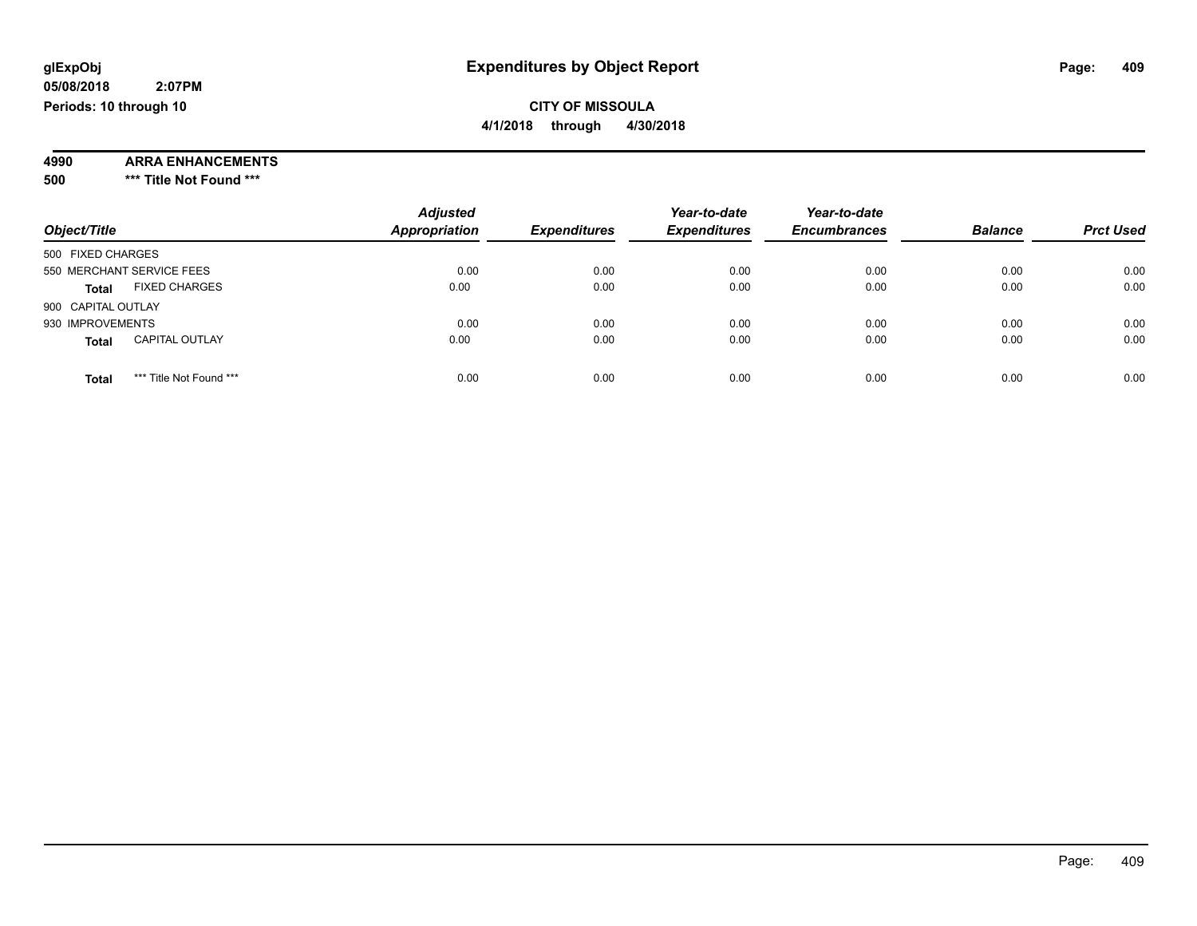### **CITY OF MISSOULA 4/1/2018 through 4/30/2018**

#### **4990 ARRA ENHANCEMENTS**

| Object/Title                            | <b>Adjusted</b><br><b>Appropriation</b> | <b>Expenditures</b> | Year-to-date<br><b>Expenditures</b> | Year-to-date<br><b>Encumbrances</b> | <b>Balance</b> | <b>Prct Used</b> |
|-----------------------------------------|-----------------------------------------|---------------------|-------------------------------------|-------------------------------------|----------------|------------------|
| 500 FIXED CHARGES                       |                                         |                     |                                     |                                     |                |                  |
| 550 MERCHANT SERVICE FEES               | 0.00                                    | 0.00                | 0.00                                | 0.00                                | 0.00           | 0.00             |
| <b>FIXED CHARGES</b><br><b>Total</b>    | 0.00                                    | 0.00                | 0.00                                | 0.00                                | 0.00           | 0.00             |
| 900 CAPITAL OUTLAY                      |                                         |                     |                                     |                                     |                |                  |
| 930 IMPROVEMENTS                        | 0.00                                    | 0.00                | 0.00                                | 0.00                                | 0.00           | 0.00             |
| <b>CAPITAL OUTLAY</b><br><b>Total</b>   | 0.00                                    | 0.00                | 0.00                                | 0.00                                | 0.00           | 0.00             |
| *** Title Not Found ***<br><b>Total</b> | 0.00                                    | 0.00                | 0.00                                | 0.00                                | 0.00           | 0.00             |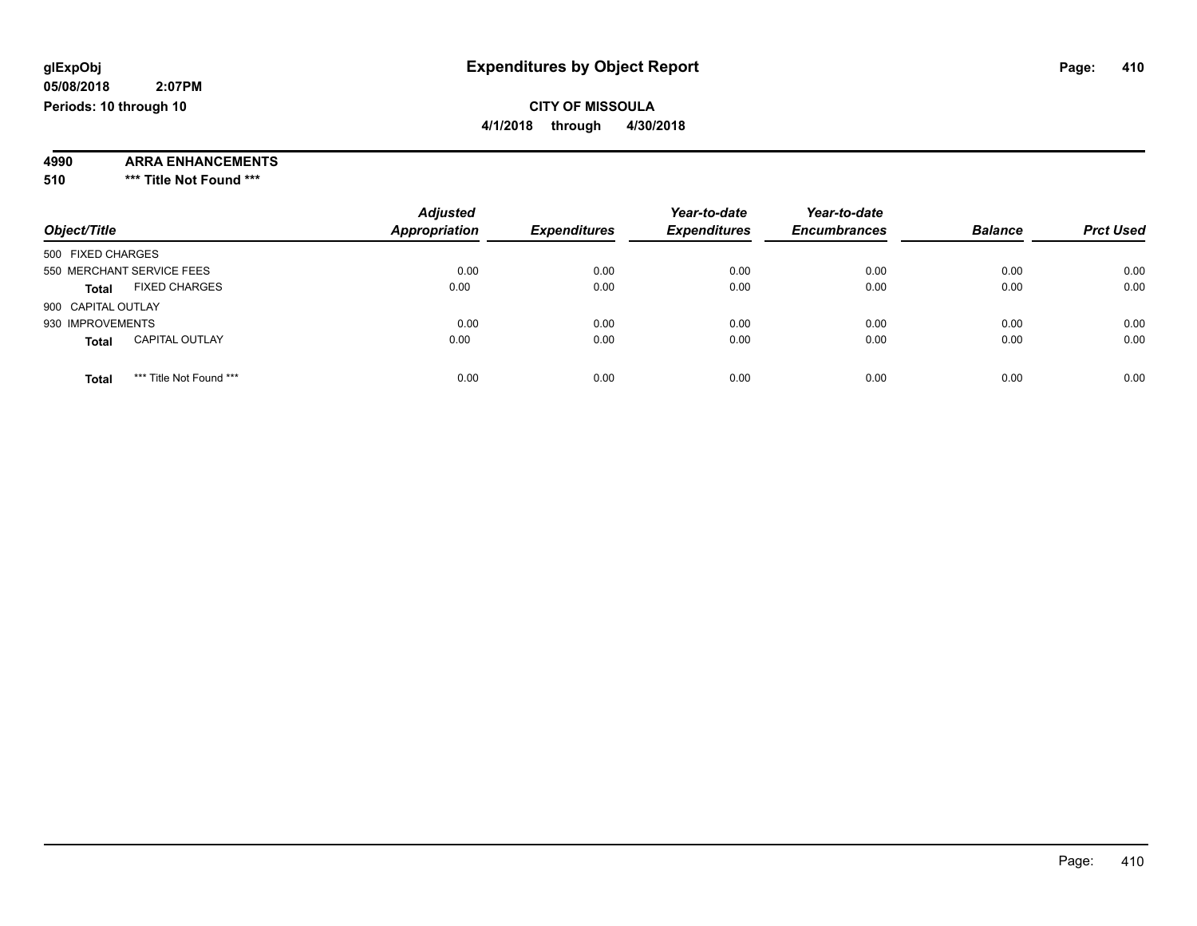| Object/Title                            | <b>Adjusted</b><br><b>Appropriation</b> | <b>Expenditures</b> | Year-to-date<br><b>Expenditures</b> | Year-to-date<br><b>Encumbrances</b> | <b>Balance</b> | <b>Prct Used</b> |
|-----------------------------------------|-----------------------------------------|---------------------|-------------------------------------|-------------------------------------|----------------|------------------|
| 500 FIXED CHARGES                       |                                         |                     |                                     |                                     |                |                  |
| 550 MERCHANT SERVICE FEES               | 0.00                                    | 0.00                | 0.00                                | 0.00                                | 0.00           | 0.00             |
| <b>FIXED CHARGES</b><br><b>Total</b>    | 0.00                                    | 0.00                | 0.00                                | 0.00                                | 0.00           | 0.00             |
| 900 CAPITAL OUTLAY                      |                                         |                     |                                     |                                     |                |                  |
| 930 IMPROVEMENTS                        | 0.00                                    | 0.00                | 0.00                                | 0.00                                | 0.00           | 0.00             |
| <b>CAPITAL OUTLAY</b><br><b>Total</b>   | 0.00                                    | 0.00                | 0.00                                | 0.00                                | 0.00           | 0.00             |
| *** Title Not Found ***<br><b>Total</b> | 0.00                                    | 0.00                | 0.00                                | 0.00                                | 0.00           | 0.00             |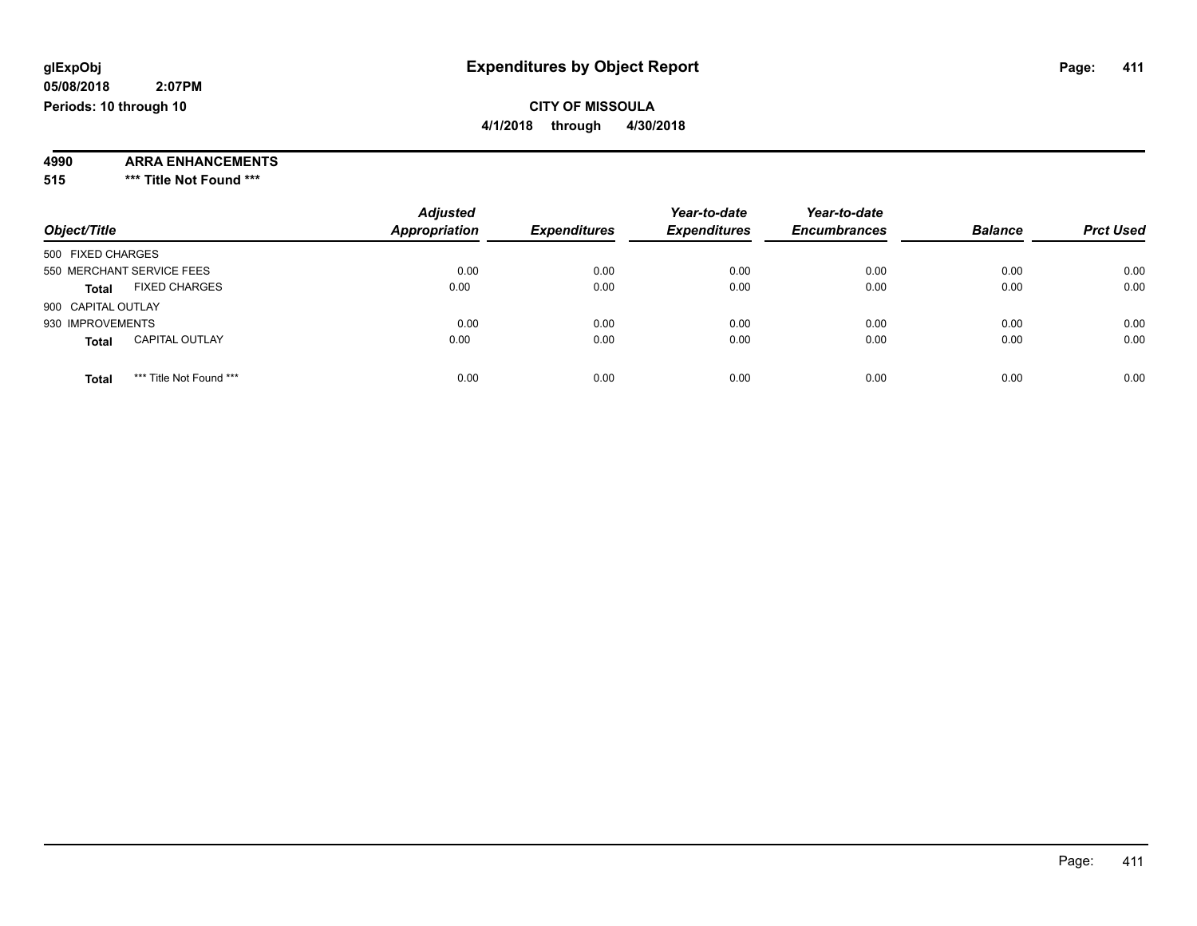| Object/Title                            | <b>Adjusted</b><br><b>Appropriation</b> | <b>Expenditures</b> | Year-to-date<br><b>Expenditures</b> | Year-to-date<br><b>Encumbrances</b> | <b>Balance</b> | <b>Prct Used</b> |
|-----------------------------------------|-----------------------------------------|---------------------|-------------------------------------|-------------------------------------|----------------|------------------|
| 500 FIXED CHARGES                       |                                         |                     |                                     |                                     |                |                  |
| 550 MERCHANT SERVICE FEES               | 0.00                                    | 0.00                | 0.00                                | 0.00                                | 0.00           | 0.00             |
| <b>FIXED CHARGES</b><br><b>Total</b>    | 0.00                                    | 0.00                | 0.00                                | 0.00                                | 0.00           | 0.00             |
| 900 CAPITAL OUTLAY                      |                                         |                     |                                     |                                     |                |                  |
| 930 IMPROVEMENTS                        | 0.00                                    | 0.00                | 0.00                                | 0.00                                | 0.00           | 0.00             |
| <b>CAPITAL OUTLAY</b><br><b>Total</b>   | 0.00                                    | 0.00                | 0.00                                | 0.00                                | 0.00           | 0.00             |
| *** Title Not Found ***<br><b>Total</b> | 0.00                                    | 0.00                | 0.00                                | 0.00                                | 0.00           | 0.00             |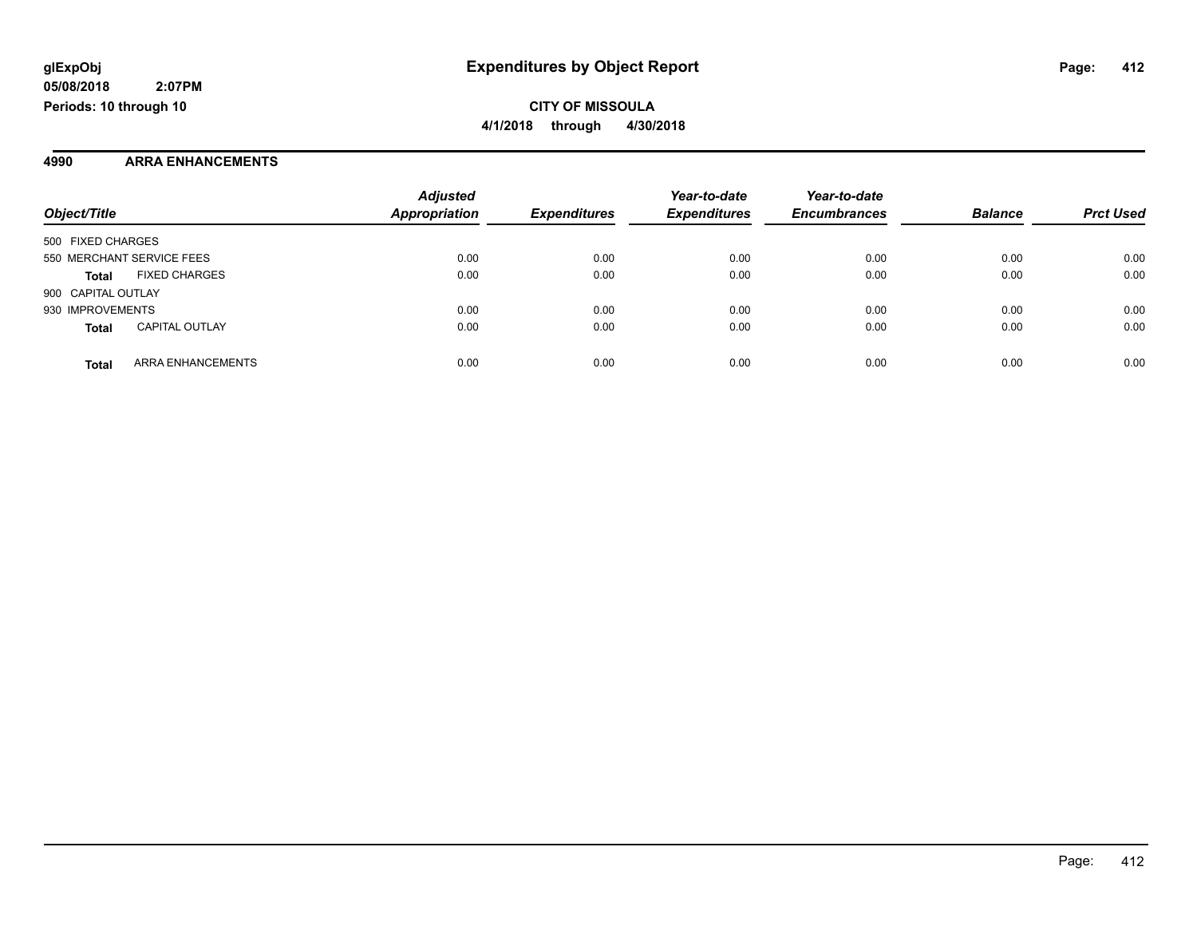#### **4990 ARRA ENHANCEMENTS**

| Object/Title       |                           | <b>Adjusted</b><br><b>Appropriation</b> | <b>Expenditures</b> | Year-to-date<br><b>Expenditures</b> | Year-to-date<br><b>Encumbrances</b> | <b>Balance</b> | <b>Prct Used</b> |
|--------------------|---------------------------|-----------------------------------------|---------------------|-------------------------------------|-------------------------------------|----------------|------------------|
| 500 FIXED CHARGES  |                           |                                         |                     |                                     |                                     |                |                  |
|                    | 550 MERCHANT SERVICE FEES | 0.00                                    | 0.00                | 0.00                                | 0.00                                | 0.00           | 0.00             |
| <b>Total</b>       | <b>FIXED CHARGES</b>      | 0.00                                    | 0.00                | 0.00                                | 0.00                                | 0.00           | 0.00             |
| 900 CAPITAL OUTLAY |                           |                                         |                     |                                     |                                     |                |                  |
| 930 IMPROVEMENTS   |                           | 0.00                                    | 0.00                | 0.00                                | 0.00                                | 0.00           | 0.00             |
| <b>Total</b>       | <b>CAPITAL OUTLAY</b>     | 0.00                                    | 0.00                | 0.00                                | 0.00                                | 0.00           | 0.00             |
| <b>Total</b>       | ARRA ENHANCEMENTS         | 0.00                                    | 0.00                | 0.00                                | 0.00                                | 0.00           | 0.00             |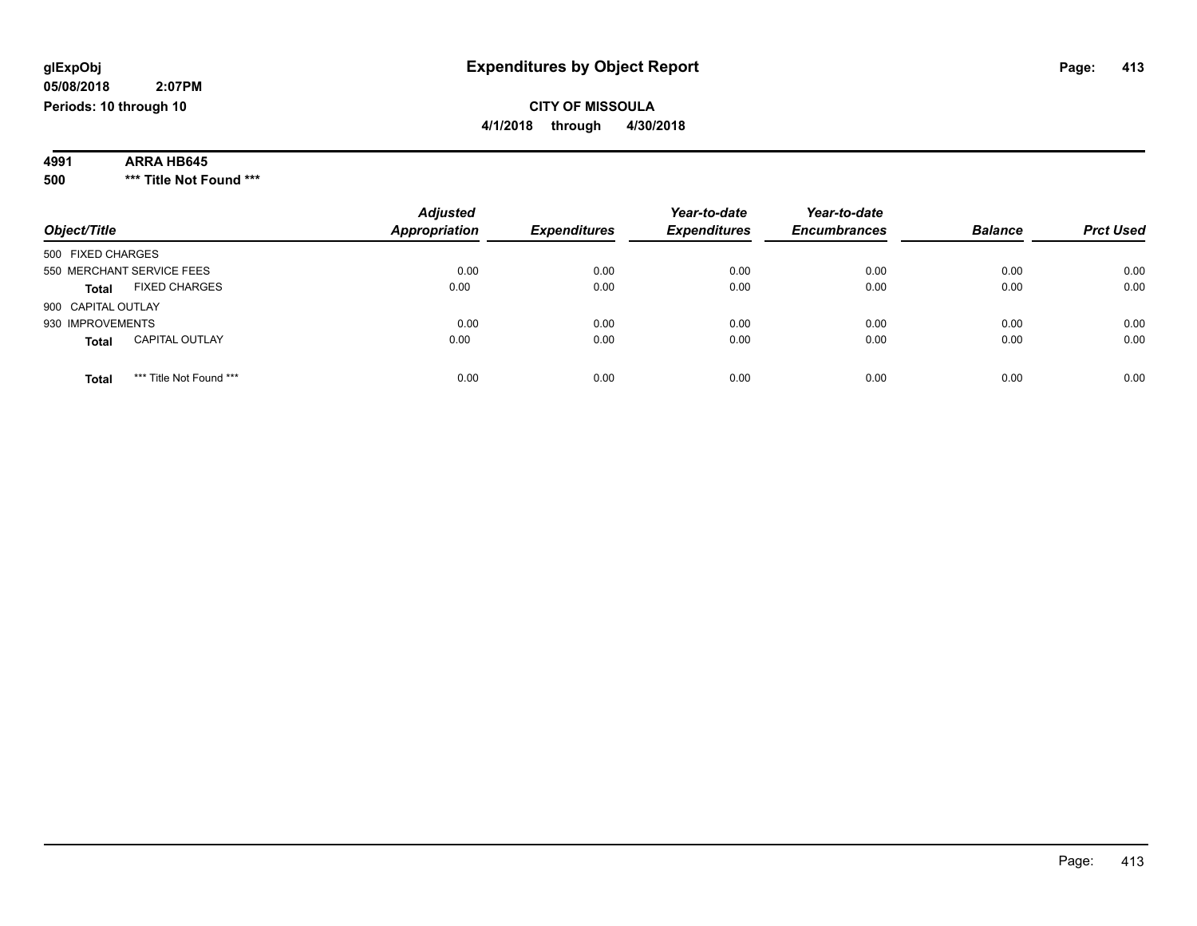## **CITY OF MISSOULA 4/1/2018 through 4/30/2018**

#### **4991 ARRA HB645**

| Object/Title                            | <b>Adjusted</b><br><b>Appropriation</b> | <b>Expenditures</b> | Year-to-date<br><b>Expenditures</b> | Year-to-date<br><b>Encumbrances</b> | <b>Balance</b> | <b>Prct Used</b> |
|-----------------------------------------|-----------------------------------------|---------------------|-------------------------------------|-------------------------------------|----------------|------------------|
|                                         |                                         |                     |                                     |                                     |                |                  |
| 500 FIXED CHARGES                       |                                         |                     |                                     |                                     |                |                  |
| 550 MERCHANT SERVICE FEES               | 0.00                                    | 0.00                | 0.00                                | 0.00                                | 0.00           | 0.00             |
| <b>FIXED CHARGES</b><br><b>Total</b>    | 0.00                                    | 0.00                | 0.00                                | 0.00                                | 0.00           | 0.00             |
| 900 CAPITAL OUTLAY                      |                                         |                     |                                     |                                     |                |                  |
| 930 IMPROVEMENTS                        | 0.00                                    | 0.00                | 0.00                                | 0.00                                | 0.00           | 0.00             |
| <b>CAPITAL OUTLAY</b><br><b>Total</b>   | 0.00                                    | 0.00                | 0.00                                | 0.00                                | 0.00           | 0.00             |
| *** Title Not Found ***<br><b>Total</b> | 0.00                                    | 0.00                | 0.00                                | 0.00                                | 0.00           | 0.00             |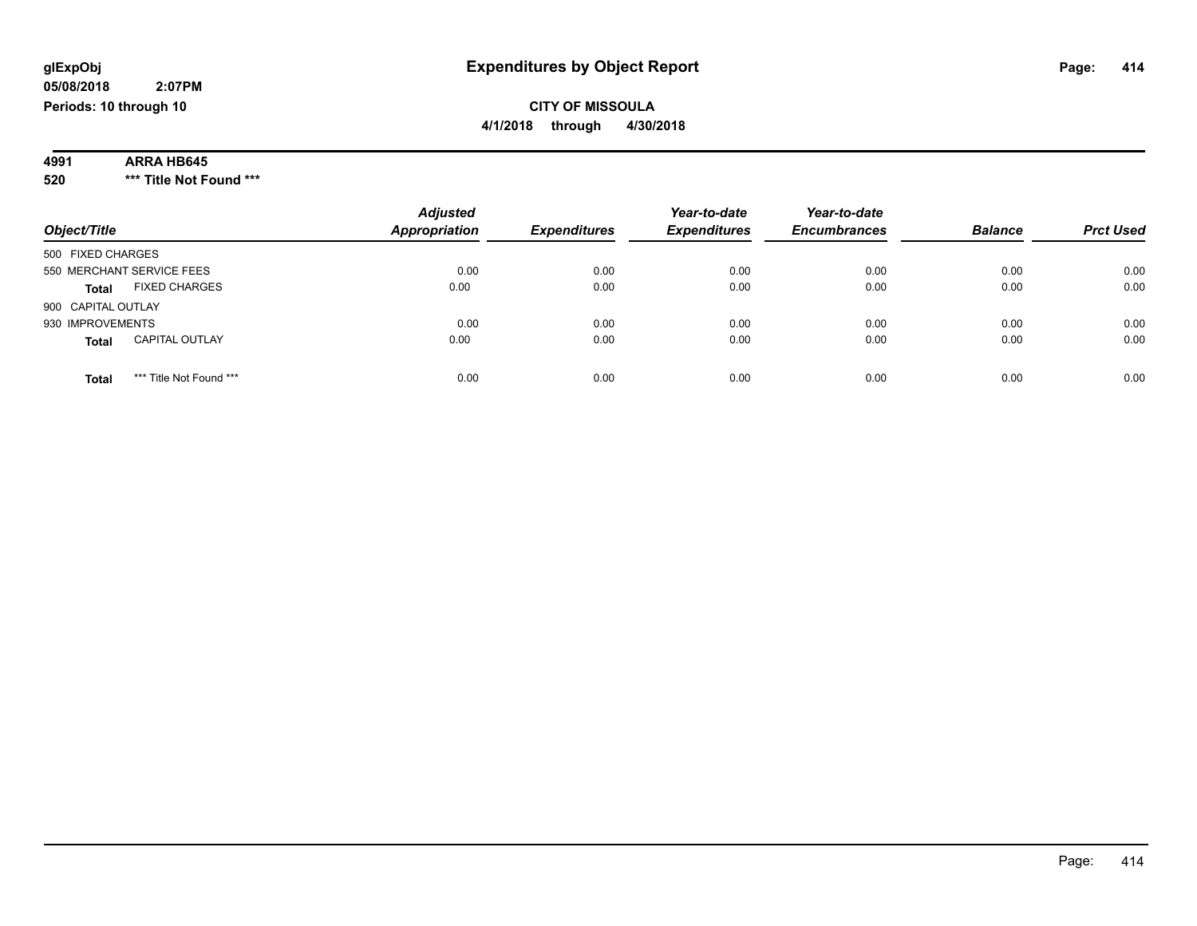## **CITY OF MISSOULA 4/1/2018 through 4/30/2018**

#### **4991 ARRA HB645**

| Object/Title                            | <b>Adjusted</b><br><b>Appropriation</b> | <b>Expenditures</b> | Year-to-date<br><b>Expenditures</b> | Year-to-date<br><b>Encumbrances</b> | <b>Balance</b> | <b>Prct Used</b> |
|-----------------------------------------|-----------------------------------------|---------------------|-------------------------------------|-------------------------------------|----------------|------------------|
| 500 FIXED CHARGES                       |                                         |                     |                                     |                                     |                |                  |
| 550 MERCHANT SERVICE FEES               | 0.00                                    | 0.00                | 0.00                                | 0.00                                | 0.00           | 0.00             |
| <b>FIXED CHARGES</b><br><b>Total</b>    | 0.00                                    | 0.00                | 0.00                                | 0.00                                | 0.00           | 0.00             |
| 900 CAPITAL OUTLAY                      |                                         |                     |                                     |                                     |                |                  |
| 930 IMPROVEMENTS                        | 0.00                                    | 0.00                | 0.00                                | 0.00                                | 0.00           | 0.00             |
| <b>CAPITAL OUTLAY</b><br><b>Total</b>   | 0.00                                    | 0.00                | 0.00                                | 0.00                                | 0.00           | 0.00             |
| *** Title Not Found ***<br><b>Total</b> | 0.00                                    | 0.00                | 0.00                                | 0.00                                | 0.00           | 0.00             |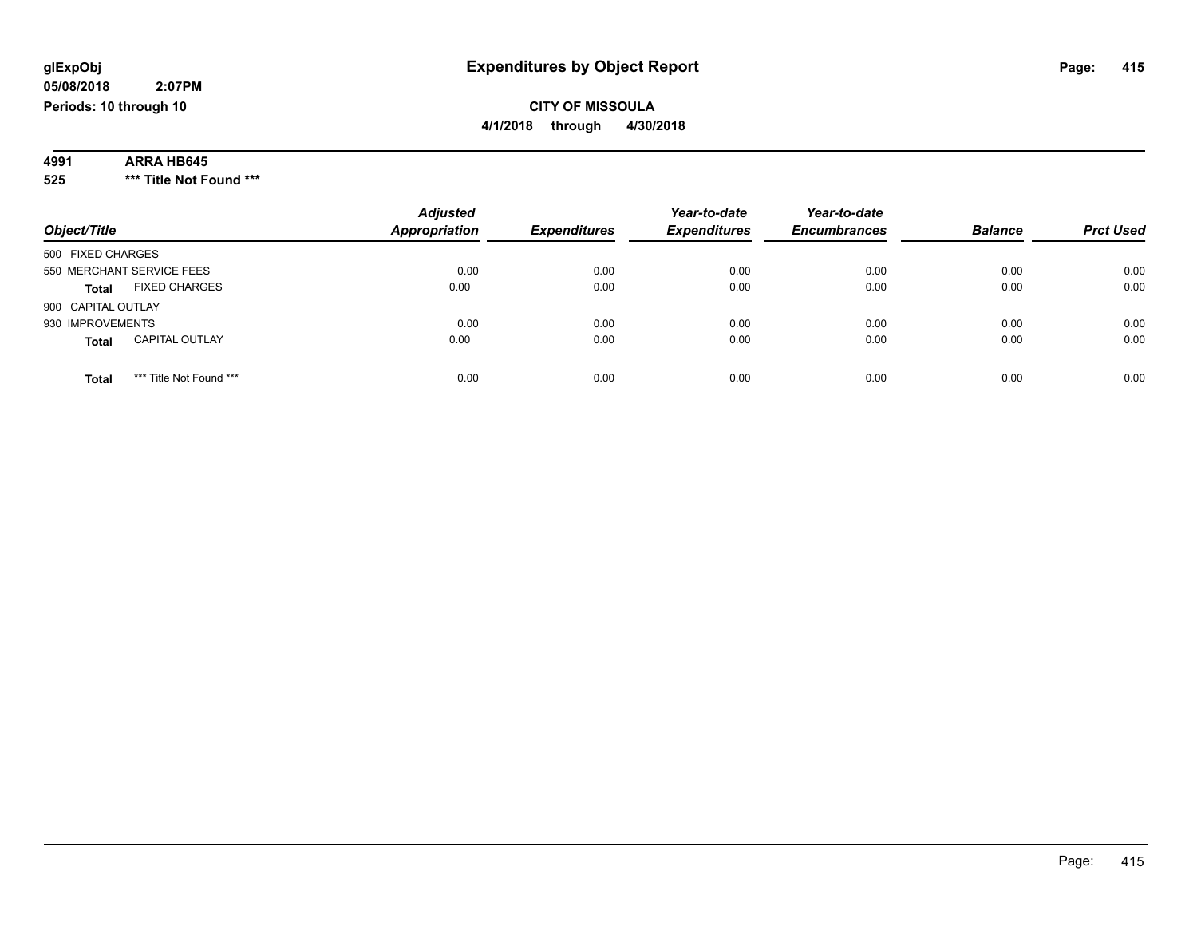## **CITY OF MISSOULA 4/1/2018 through 4/30/2018**

# **4991 ARRA HB645**

| Object/Title                            | <b>Adjusted</b><br><b>Appropriation</b> | <b>Expenditures</b> | Year-to-date<br><b>Expenditures</b> | Year-to-date<br><b>Encumbrances</b> | <b>Balance</b> | <b>Prct Used</b> |
|-----------------------------------------|-----------------------------------------|---------------------|-------------------------------------|-------------------------------------|----------------|------------------|
| 500 FIXED CHARGES                       |                                         |                     |                                     |                                     |                |                  |
| 550 MERCHANT SERVICE FEES               | 0.00                                    | 0.00                | 0.00                                | 0.00                                | 0.00           | 0.00             |
| <b>FIXED CHARGES</b><br><b>Total</b>    | 0.00                                    | 0.00                | 0.00                                | 0.00                                | 0.00           | 0.00             |
| 900 CAPITAL OUTLAY                      |                                         |                     |                                     |                                     |                |                  |
| 930 IMPROVEMENTS                        | 0.00                                    | 0.00                | 0.00                                | 0.00                                | 0.00           | 0.00             |
| <b>CAPITAL OUTLAY</b><br><b>Total</b>   | 0.00                                    | 0.00                | 0.00                                | 0.00                                | 0.00           | 0.00             |
| *** Title Not Found ***<br><b>Total</b> | 0.00                                    | 0.00                | 0.00                                | 0.00                                | 0.00           | 0.00             |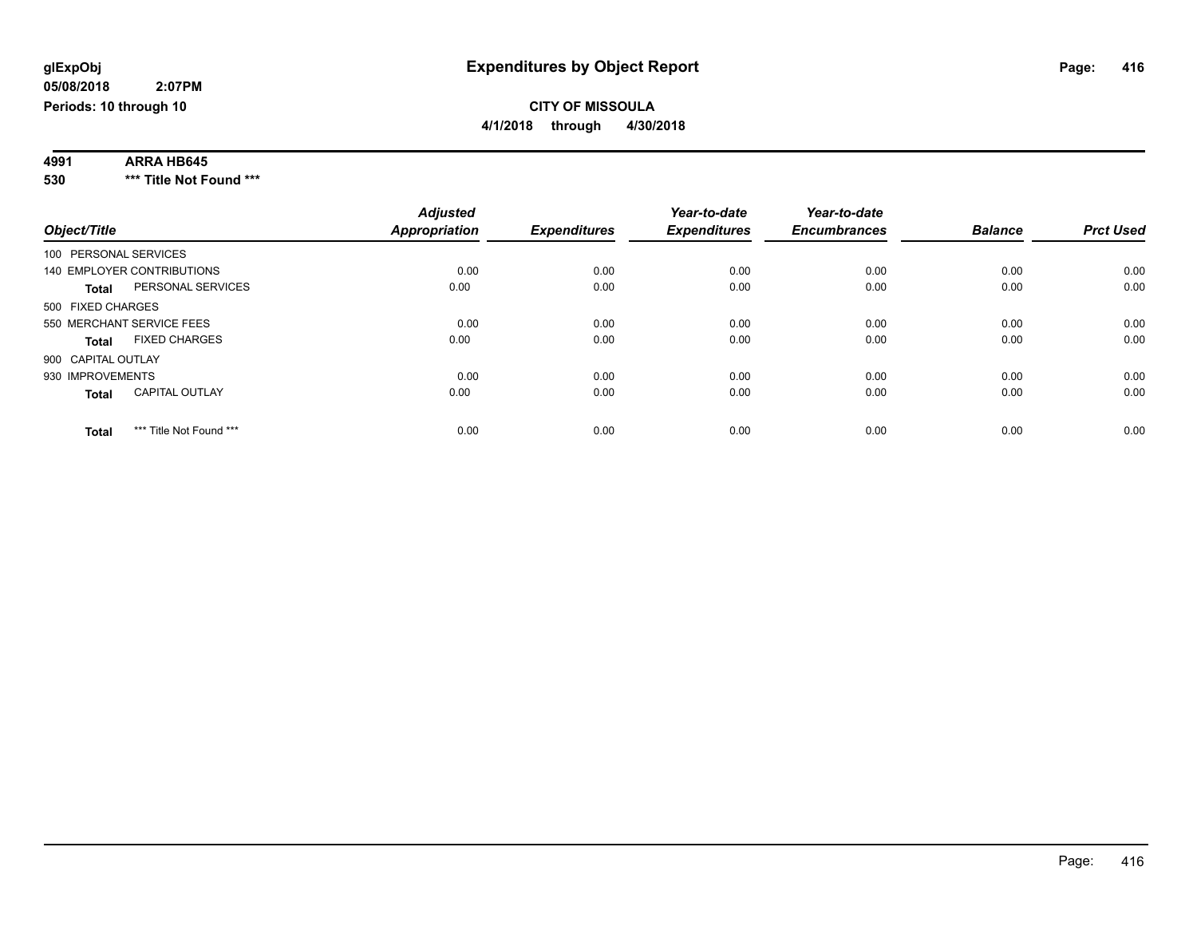|                                         | <b>Adjusted</b> |                     | Year-to-date        | Year-to-date        |                |                  |
|-----------------------------------------|-----------------|---------------------|---------------------|---------------------|----------------|------------------|
| Object/Title                            | Appropriation   | <b>Expenditures</b> | <b>Expenditures</b> | <b>Encumbrances</b> | <b>Balance</b> | <b>Prct Used</b> |
| 100 PERSONAL SERVICES                   |                 |                     |                     |                     |                |                  |
| 140 EMPLOYER CONTRIBUTIONS              | 0.00            | 0.00                | 0.00                | 0.00                | 0.00           | 0.00             |
| PERSONAL SERVICES<br><b>Total</b>       | 0.00            | 0.00                | 0.00                | 0.00                | 0.00           | 0.00             |
| 500 FIXED CHARGES                       |                 |                     |                     |                     |                |                  |
| 550 MERCHANT SERVICE FEES               | 0.00            | 0.00                | 0.00                | 0.00                | 0.00           | 0.00             |
| <b>FIXED CHARGES</b><br><b>Total</b>    | 0.00            | 0.00                | 0.00                | 0.00                | 0.00           | 0.00             |
| 900 CAPITAL OUTLAY                      |                 |                     |                     |                     |                |                  |
| 930 IMPROVEMENTS                        | 0.00            | 0.00                | 0.00                | 0.00                | 0.00           | 0.00             |
| <b>CAPITAL OUTLAY</b><br><b>Total</b>   | 0.00            | 0.00                | 0.00                | 0.00                | 0.00           | 0.00             |
| *** Title Not Found ***<br><b>Total</b> | 0.00            | 0.00                | 0.00                | 0.00                | 0.00           | 0.00             |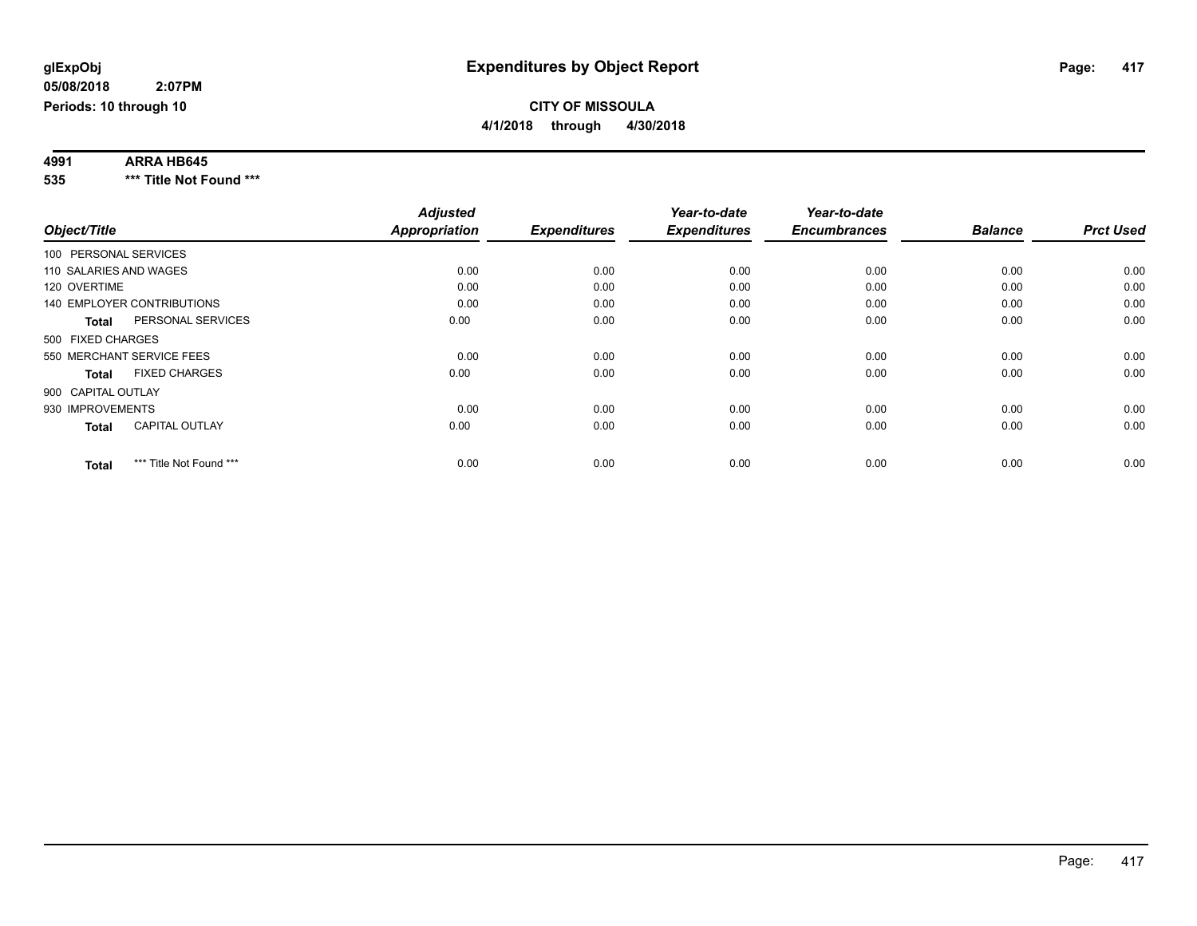# **4991 ARRA HB645**

|                            |                         | <b>Adjusted</b>      |                     | Year-to-date        | Year-to-date        |                |                  |
|----------------------------|-------------------------|----------------------|---------------------|---------------------|---------------------|----------------|------------------|
| Object/Title               |                         | <b>Appropriation</b> | <b>Expenditures</b> | <b>Expenditures</b> | <b>Encumbrances</b> | <b>Balance</b> | <b>Prct Used</b> |
| 100 PERSONAL SERVICES      |                         |                      |                     |                     |                     |                |                  |
| 110 SALARIES AND WAGES     |                         | 0.00                 | 0.00                | 0.00                | 0.00                | 0.00           | 0.00             |
| 120 OVERTIME               |                         | 0.00                 | 0.00                | 0.00                | 0.00                | 0.00           | 0.00             |
| 140 EMPLOYER CONTRIBUTIONS |                         | 0.00                 | 0.00                | 0.00                | 0.00                | 0.00           | 0.00             |
| <b>Total</b>               | PERSONAL SERVICES       | 0.00                 | 0.00                | 0.00                | 0.00                | 0.00           | 0.00             |
| 500 FIXED CHARGES          |                         |                      |                     |                     |                     |                |                  |
| 550 MERCHANT SERVICE FEES  |                         | 0.00                 | 0.00                | 0.00                | 0.00                | 0.00           | 0.00             |
| <b>Total</b>               | <b>FIXED CHARGES</b>    | 0.00                 | 0.00                | 0.00                | 0.00                | 0.00           | 0.00             |
| 900 CAPITAL OUTLAY         |                         |                      |                     |                     |                     |                |                  |
| 930 IMPROVEMENTS           |                         | 0.00                 | 0.00                | 0.00                | 0.00                | 0.00           | 0.00             |
| <b>Total</b>               | <b>CAPITAL OUTLAY</b>   | 0.00                 | 0.00                | 0.00                | 0.00                | 0.00           | 0.00             |
| <b>Total</b>               | *** Title Not Found *** | 0.00                 | 0.00                | 0.00                | 0.00                | 0.00           | 0.00             |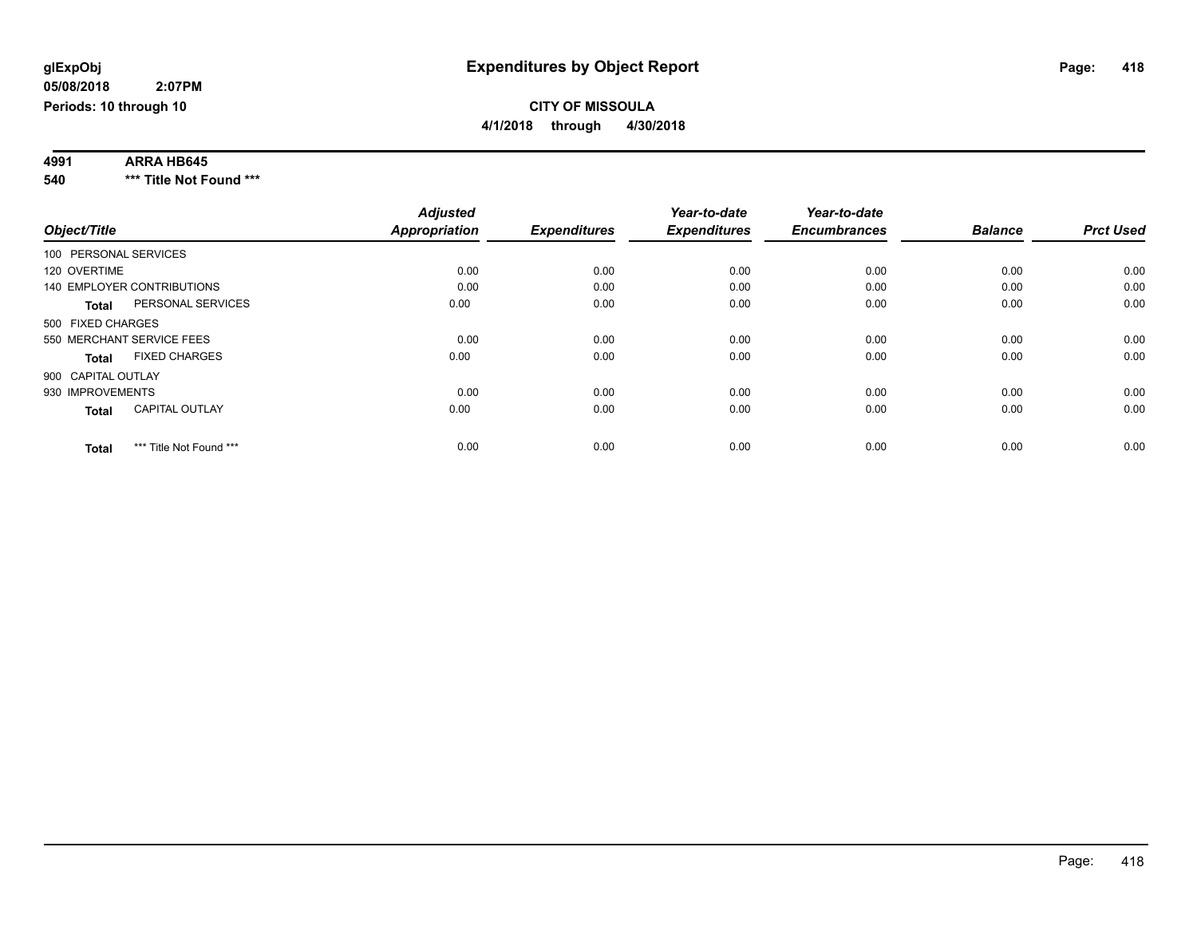# **4991 ARRA HB645**

|                                         | <b>Adjusted</b>      |                     | Year-to-date        | Year-to-date        |                |                  |
|-----------------------------------------|----------------------|---------------------|---------------------|---------------------|----------------|------------------|
| Object/Title                            | <b>Appropriation</b> | <b>Expenditures</b> | <b>Expenditures</b> | <b>Encumbrances</b> | <b>Balance</b> | <b>Prct Used</b> |
| 100 PERSONAL SERVICES                   |                      |                     |                     |                     |                |                  |
| 120 OVERTIME                            | 0.00                 | 0.00                | 0.00                | 0.00                | 0.00           | 0.00             |
| 140 EMPLOYER CONTRIBUTIONS              | 0.00                 | 0.00                | 0.00                | 0.00                | 0.00           | 0.00             |
| PERSONAL SERVICES<br><b>Total</b>       | 0.00                 | 0.00                | 0.00                | 0.00                | 0.00           | 0.00             |
| 500 FIXED CHARGES                       |                      |                     |                     |                     |                |                  |
| 550 MERCHANT SERVICE FEES               | 0.00                 | 0.00                | 0.00                | 0.00                | 0.00           | 0.00             |
| <b>FIXED CHARGES</b><br><b>Total</b>    | 0.00                 | 0.00                | 0.00                | 0.00                | 0.00           | 0.00             |
| 900 CAPITAL OUTLAY                      |                      |                     |                     |                     |                |                  |
| 930 IMPROVEMENTS                        | 0.00                 | 0.00                | 0.00                | 0.00                | 0.00           | 0.00             |
| <b>CAPITAL OUTLAY</b><br><b>Total</b>   | 0.00                 | 0.00                | 0.00                | 0.00                | 0.00           | 0.00             |
|                                         |                      |                     |                     |                     |                |                  |
| *** Title Not Found ***<br><b>Total</b> | 0.00                 | 0.00                | 0.00                | 0.00                | 0.00           | 0.00             |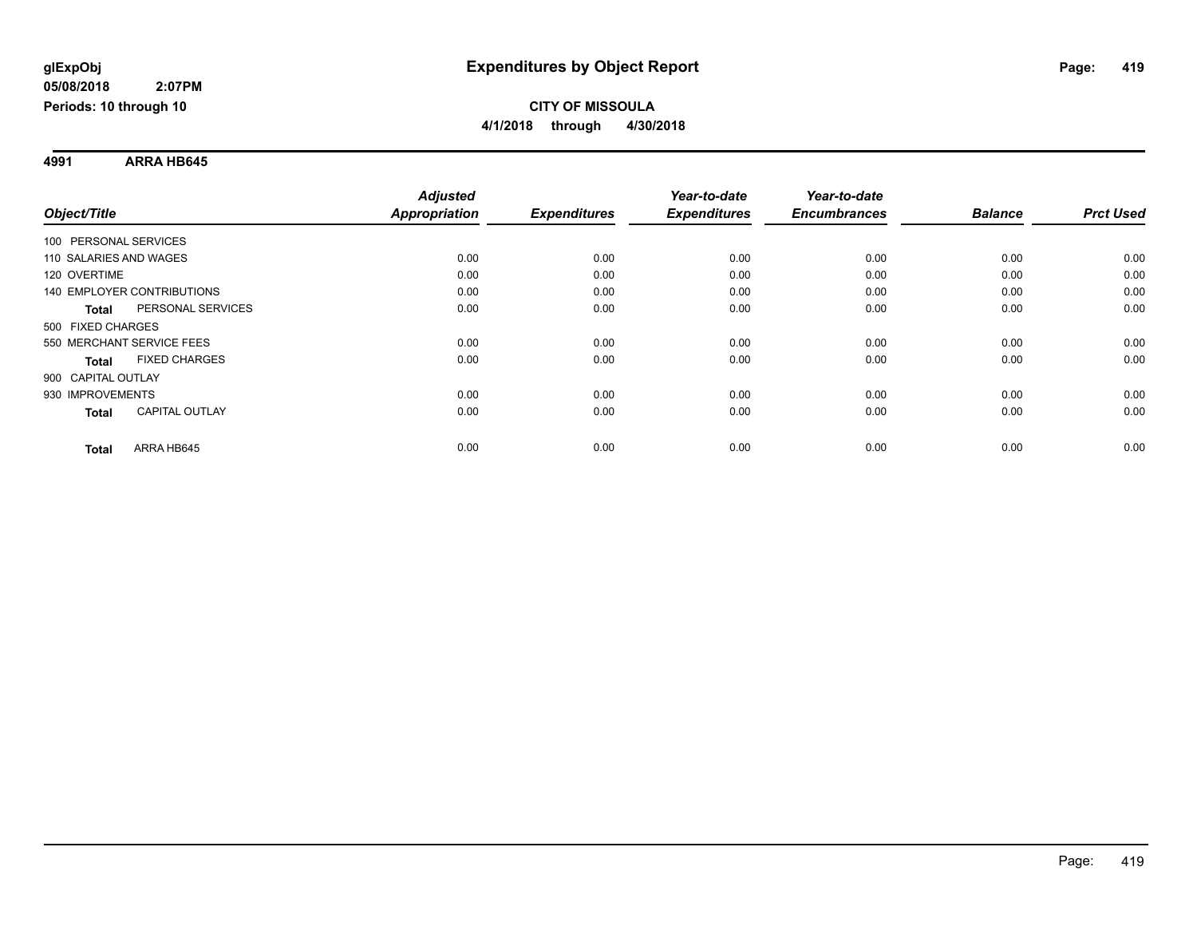**4991 ARRA HB645**

|                                       | <b>Adjusted</b>      |                     | Year-to-date        | Year-to-date        |                |                  |
|---------------------------------------|----------------------|---------------------|---------------------|---------------------|----------------|------------------|
| Object/Title                          | <b>Appropriation</b> | <b>Expenditures</b> | <b>Expenditures</b> | <b>Encumbrances</b> | <b>Balance</b> | <b>Prct Used</b> |
| 100 PERSONAL SERVICES                 |                      |                     |                     |                     |                |                  |
| 110 SALARIES AND WAGES                | 0.00                 | 0.00                | 0.00                | 0.00                | 0.00           | 0.00             |
| 120 OVERTIME                          | 0.00                 | 0.00                | 0.00                | 0.00                | 0.00           | 0.00             |
| <b>140 EMPLOYER CONTRIBUTIONS</b>     | 0.00                 | 0.00                | 0.00                | 0.00                | 0.00           | 0.00             |
| PERSONAL SERVICES<br>Total            | 0.00                 | 0.00                | 0.00                | 0.00                | 0.00           | 0.00             |
| 500 FIXED CHARGES                     |                      |                     |                     |                     |                |                  |
| 550 MERCHANT SERVICE FEES             | 0.00                 | 0.00                | 0.00                | 0.00                | 0.00           | 0.00             |
| <b>FIXED CHARGES</b><br>Total         | 0.00                 | 0.00                | 0.00                | 0.00                | 0.00           | 0.00             |
| 900 CAPITAL OUTLAY                    |                      |                     |                     |                     |                |                  |
| 930 IMPROVEMENTS                      | 0.00                 | 0.00                | 0.00                | 0.00                | 0.00           | 0.00             |
| <b>CAPITAL OUTLAY</b><br><b>Total</b> | 0.00                 | 0.00                | 0.00                | 0.00                | 0.00           | 0.00             |
| ARRA HB645<br><b>Total</b>            | 0.00                 | 0.00                | 0.00                | 0.00                | 0.00           | 0.00             |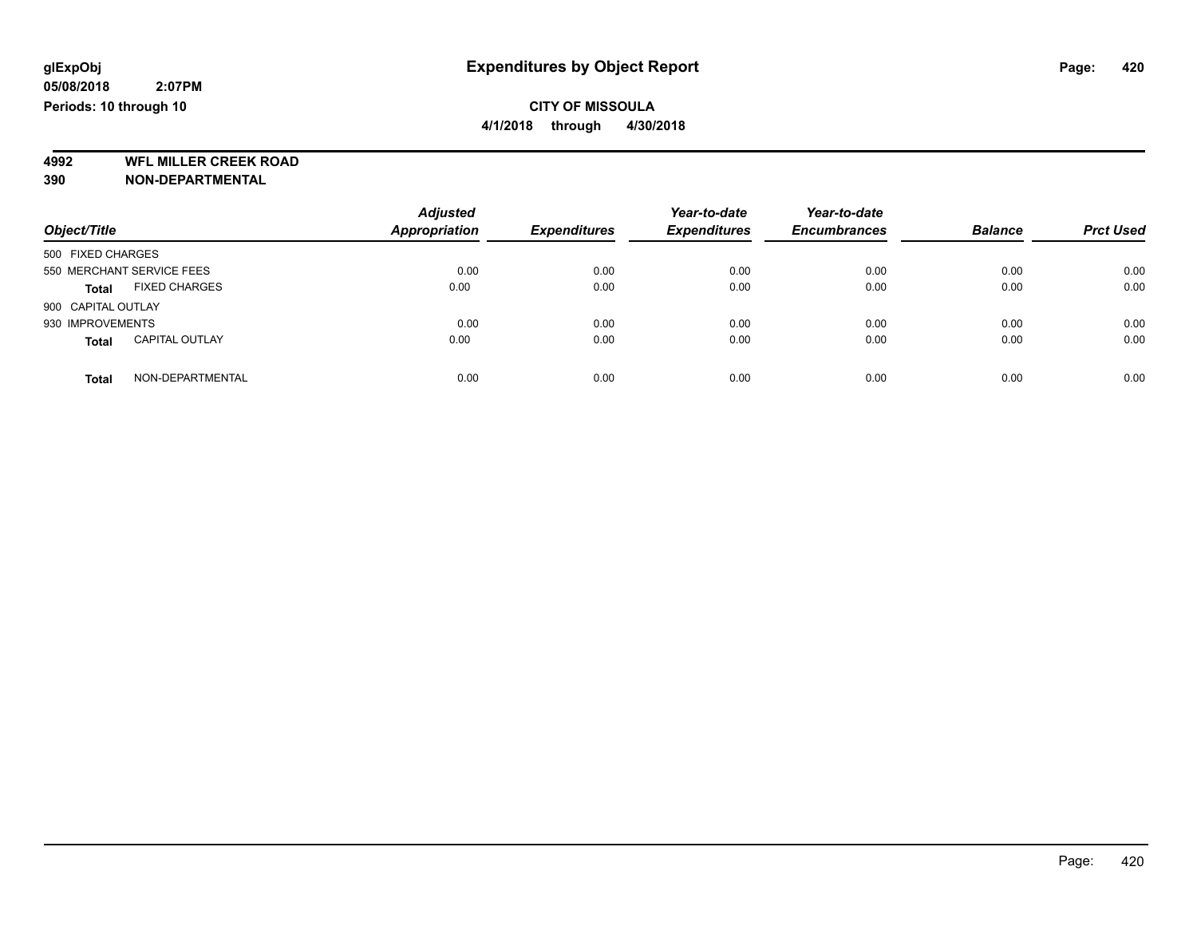**4992 WFL MILLER CREEK ROAD 390 NON-DEPARTMENTAL**

| Object/Title       |                           | <b>Adjusted</b><br><b>Appropriation</b> | <b>Expenditures</b> | Year-to-date<br><b>Expenditures</b> | Year-to-date<br><b>Encumbrances</b> | <b>Balance</b> | <b>Prct Used</b> |
|--------------------|---------------------------|-----------------------------------------|---------------------|-------------------------------------|-------------------------------------|----------------|------------------|
| 500 FIXED CHARGES  |                           |                                         |                     |                                     |                                     |                |                  |
|                    | 550 MERCHANT SERVICE FEES | 0.00                                    | 0.00                | 0.00                                | 0.00                                | 0.00           | 0.00             |
| Total              | <b>FIXED CHARGES</b>      | 0.00                                    | 0.00                | 0.00                                | 0.00                                | 0.00           | 0.00             |
| 900 CAPITAL OUTLAY |                           |                                         |                     |                                     |                                     |                |                  |
| 930 IMPROVEMENTS   |                           | 0.00                                    | 0.00                | 0.00                                | 0.00                                | 0.00           | 0.00             |
| Total              | <b>CAPITAL OUTLAY</b>     | 0.00                                    | 0.00                | 0.00                                | 0.00                                | 0.00           | 0.00             |
| <b>Total</b>       | NON-DEPARTMENTAL          | 0.00                                    | 0.00                | 0.00                                | 0.00                                | 0.00           | 0.00             |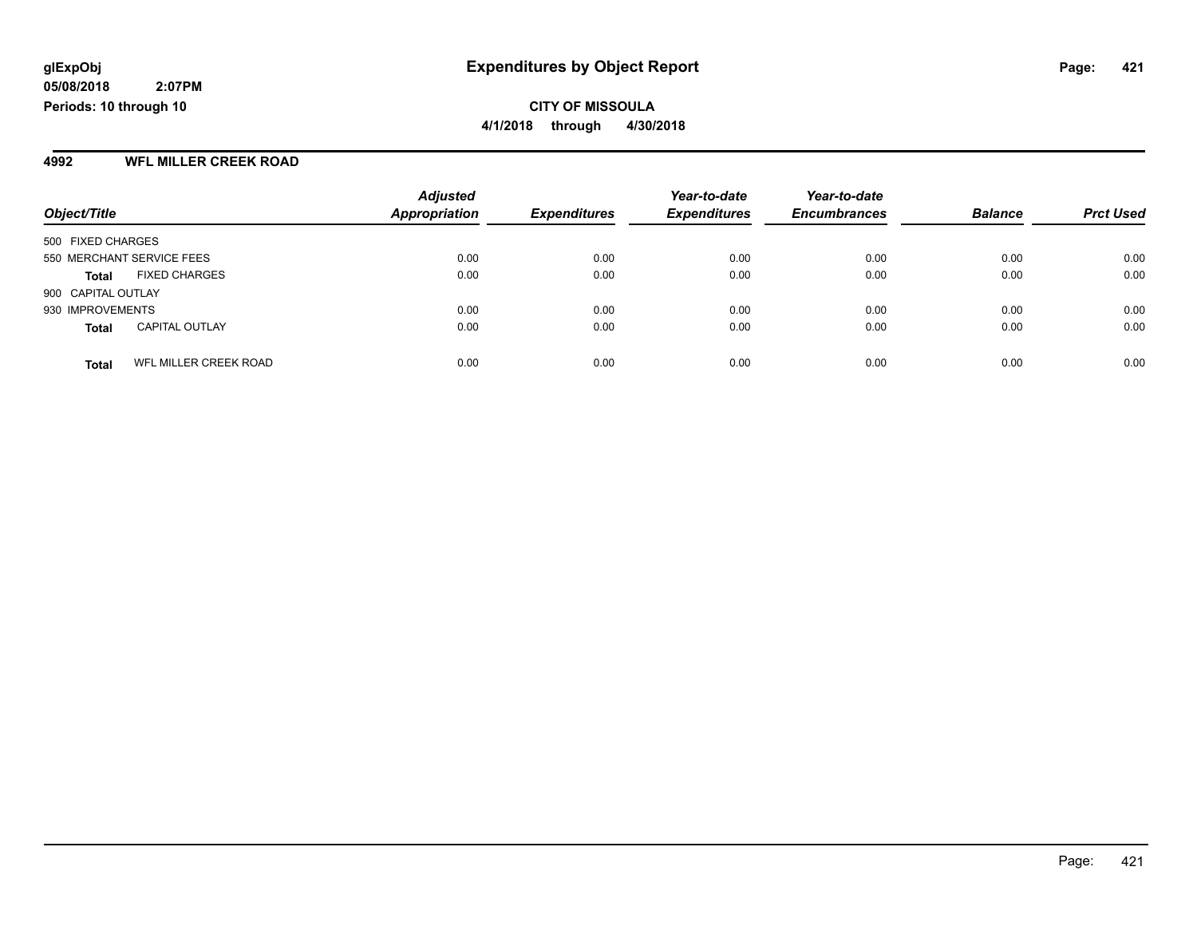#### **4992 WFL MILLER CREEK ROAD**

|                    |                           | <b>Adjusted</b>      |                     | Year-to-date        | Year-to-date        |                |                  |
|--------------------|---------------------------|----------------------|---------------------|---------------------|---------------------|----------------|------------------|
| Object/Title       |                           | <b>Appropriation</b> | <b>Expenditures</b> | <b>Expenditures</b> | <b>Encumbrances</b> | <b>Balance</b> | <b>Prct Used</b> |
| 500 FIXED CHARGES  |                           |                      |                     |                     |                     |                |                  |
|                    | 550 MERCHANT SERVICE FEES | 0.00                 | 0.00                | 0.00                | 0.00                | 0.00           | 0.00             |
| <b>Total</b>       | <b>FIXED CHARGES</b>      | 0.00                 | 0.00                | 0.00                | 0.00                | 0.00           | 0.00             |
| 900 CAPITAL OUTLAY |                           |                      |                     |                     |                     |                |                  |
| 930 IMPROVEMENTS   |                           | 0.00                 | 0.00                | 0.00                | 0.00                | 0.00           | 0.00             |
| <b>Total</b>       | <b>CAPITAL OUTLAY</b>     | 0.00                 | 0.00                | 0.00                | 0.00                | 0.00           | 0.00             |
| <b>Total</b>       | WFL MILLER CREEK ROAD     | 0.00                 | 0.00                | 0.00                | 0.00                | 0.00           | 0.00             |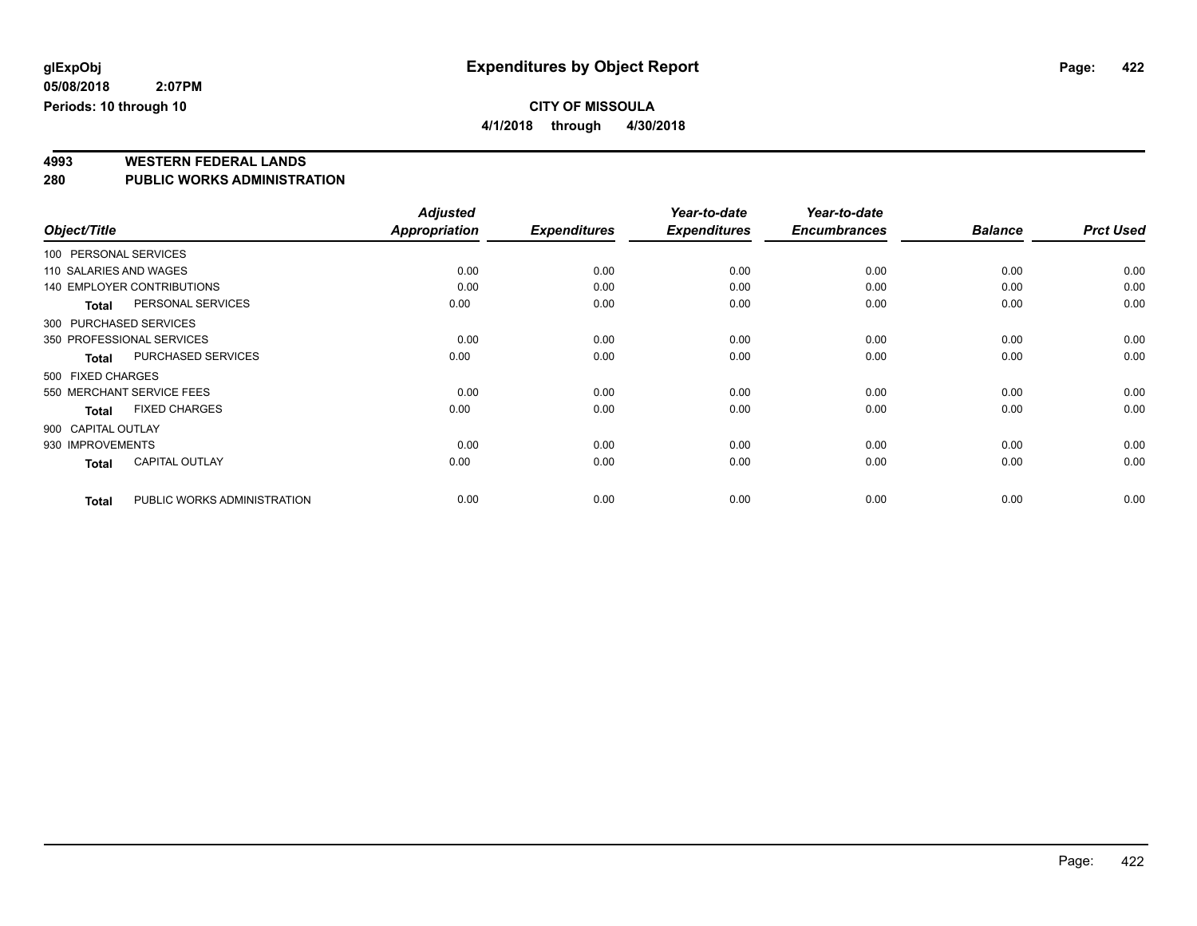### **CITY OF MISSOULA 4/1/2018 through 4/30/2018**

# **4993 WESTERN FEDERAL LANDS**

#### **280 PUBLIC WORKS ADMINISTRATION**

| Object/Title           |                                   | <b>Adjusted</b><br><b>Appropriation</b> | <b>Expenditures</b> | Year-to-date<br><b>Expenditures</b> | Year-to-date<br><b>Encumbrances</b> | <b>Balance</b> | <b>Prct Used</b> |
|------------------------|-----------------------------------|-----------------------------------------|---------------------|-------------------------------------|-------------------------------------|----------------|------------------|
|                        |                                   |                                         |                     |                                     |                                     |                |                  |
| 100 PERSONAL SERVICES  |                                   |                                         |                     |                                     |                                     |                |                  |
| 110 SALARIES AND WAGES |                                   | 0.00                                    | 0.00                | 0.00                                | 0.00                                | 0.00           | 0.00             |
|                        | <b>140 EMPLOYER CONTRIBUTIONS</b> | 0.00                                    | 0.00                | 0.00                                | 0.00                                | 0.00           | 0.00             |
| <b>Total</b>           | PERSONAL SERVICES                 | 0.00                                    | 0.00                | 0.00                                | 0.00                                | 0.00           | 0.00             |
| 300 PURCHASED SERVICES |                                   |                                         |                     |                                     |                                     |                |                  |
|                        | 350 PROFESSIONAL SERVICES         | 0.00                                    | 0.00                | 0.00                                | 0.00                                | 0.00           | 0.00             |
| <b>Total</b>           | PURCHASED SERVICES                | 0.00                                    | 0.00                | 0.00                                | 0.00                                | 0.00           | 0.00             |
| 500 FIXED CHARGES      |                                   |                                         |                     |                                     |                                     |                |                  |
|                        | 550 MERCHANT SERVICE FEES         | 0.00                                    | 0.00                | 0.00                                | 0.00                                | 0.00           | 0.00             |
| <b>Total</b>           | <b>FIXED CHARGES</b>              | 0.00                                    | 0.00                | 0.00                                | 0.00                                | 0.00           | 0.00             |
| 900 CAPITAL OUTLAY     |                                   |                                         |                     |                                     |                                     |                |                  |
| 930 IMPROVEMENTS       |                                   | 0.00                                    | 0.00                | 0.00                                | 0.00                                | 0.00           | 0.00             |
| <b>Total</b>           | <b>CAPITAL OUTLAY</b>             | 0.00                                    | 0.00                | 0.00                                | 0.00                                | 0.00           | 0.00             |
| <b>Total</b>           | PUBLIC WORKS ADMINISTRATION       | 0.00                                    | 0.00                | 0.00                                | 0.00                                | 0.00           | 0.00             |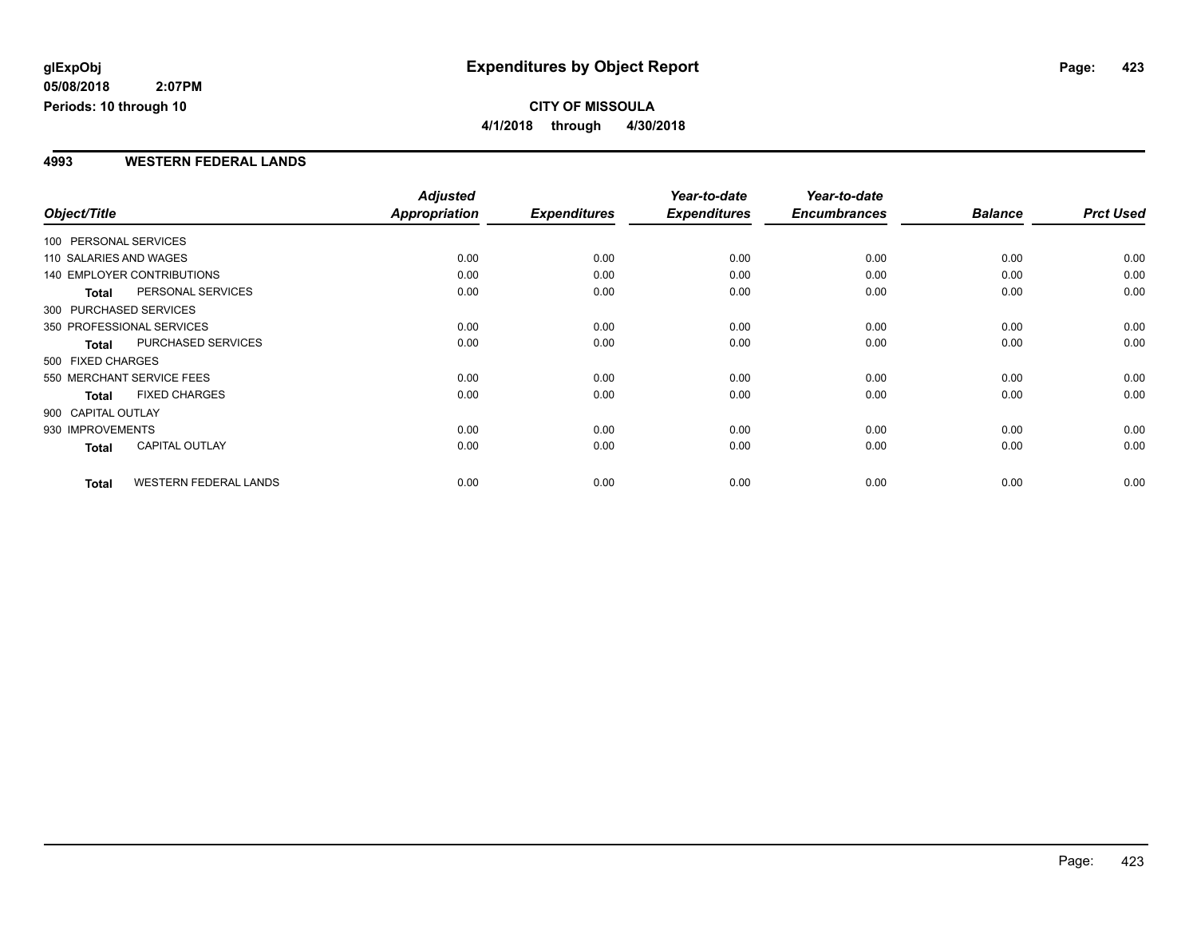#### **4993 WESTERN FEDERAL LANDS**

|                        |                              | <b>Adjusted</b>      |                     | Year-to-date        | Year-to-date        |                |                  |
|------------------------|------------------------------|----------------------|---------------------|---------------------|---------------------|----------------|------------------|
| Object/Title           |                              | <b>Appropriation</b> | <b>Expenditures</b> | <b>Expenditures</b> | <b>Encumbrances</b> | <b>Balance</b> | <b>Prct Used</b> |
| 100 PERSONAL SERVICES  |                              |                      |                     |                     |                     |                |                  |
| 110 SALARIES AND WAGES |                              | 0.00                 | 0.00                | 0.00                | 0.00                | 0.00           | 0.00             |
|                        | 140 EMPLOYER CONTRIBUTIONS   | 0.00                 | 0.00                | 0.00                | 0.00                | 0.00           | 0.00             |
| <b>Total</b>           | PERSONAL SERVICES            | 0.00                 | 0.00                | 0.00                | 0.00                | 0.00           | 0.00             |
|                        | 300 PURCHASED SERVICES       |                      |                     |                     |                     |                |                  |
|                        | 350 PROFESSIONAL SERVICES    | 0.00                 | 0.00                | 0.00                | 0.00                | 0.00           | 0.00             |
| <b>Total</b>           | PURCHASED SERVICES           | 0.00                 | 0.00                | 0.00                | 0.00                | 0.00           | 0.00             |
| 500 FIXED CHARGES      |                              |                      |                     |                     |                     |                |                  |
|                        | 550 MERCHANT SERVICE FEES    | 0.00                 | 0.00                | 0.00                | 0.00                | 0.00           | 0.00             |
| <b>Total</b>           | <b>FIXED CHARGES</b>         | 0.00                 | 0.00                | 0.00                | 0.00                | 0.00           | 0.00             |
| 900 CAPITAL OUTLAY     |                              |                      |                     |                     |                     |                |                  |
| 930 IMPROVEMENTS       |                              | 0.00                 | 0.00                | 0.00                | 0.00                | 0.00           | 0.00             |
| Total                  | <b>CAPITAL OUTLAY</b>        | 0.00                 | 0.00                | 0.00                | 0.00                | 0.00           | 0.00             |
| <b>Total</b>           | <b>WESTERN FEDERAL LANDS</b> | 0.00                 | 0.00                | 0.00                | 0.00                | 0.00           | 0.00             |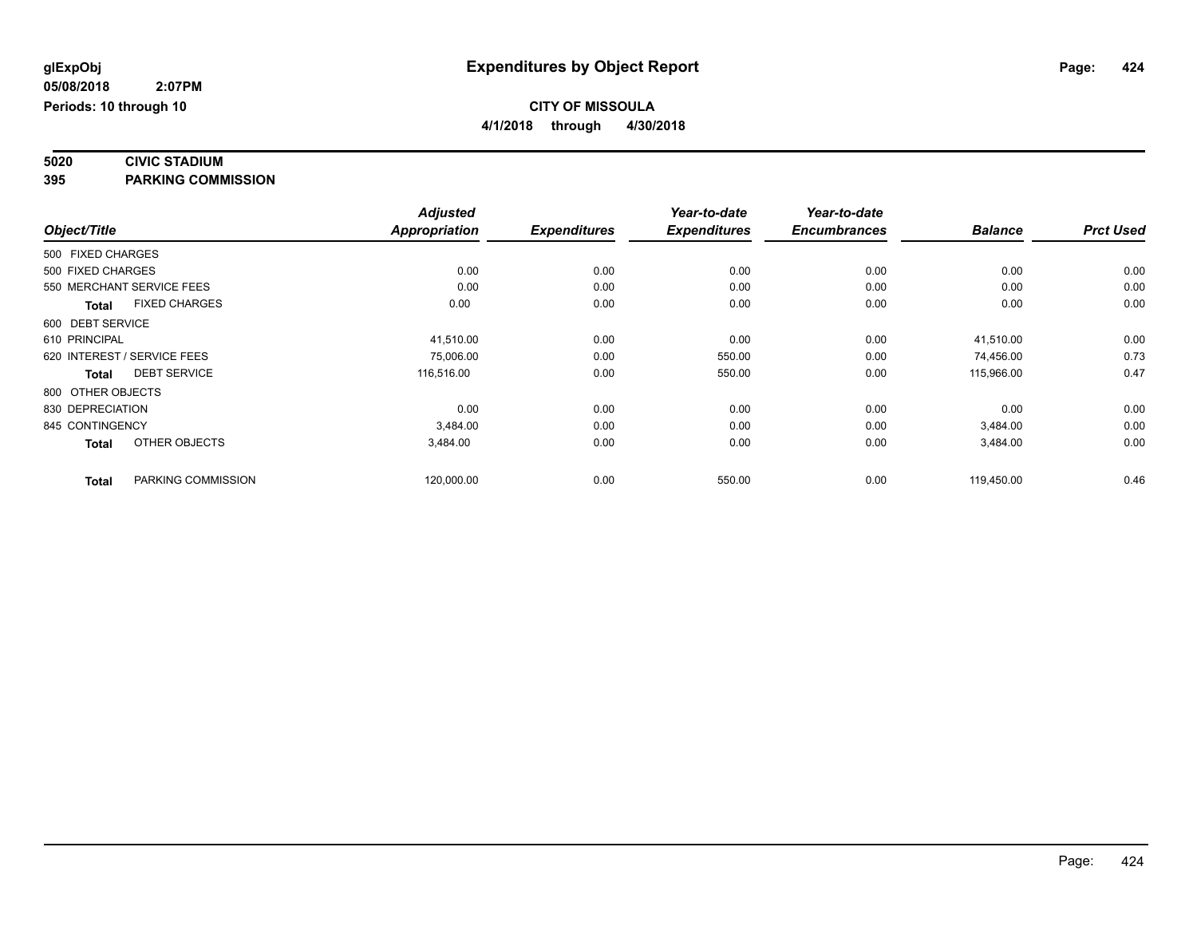# **5020 CIVIC STADIUM**

**395 PARKING COMMISSION**

|                   |                             | <b>Adjusted</b>      |                     | Year-to-date        | Year-to-date        |                |                  |
|-------------------|-----------------------------|----------------------|---------------------|---------------------|---------------------|----------------|------------------|
| Object/Title      |                             | <b>Appropriation</b> | <b>Expenditures</b> | <b>Expenditures</b> | <b>Encumbrances</b> | <b>Balance</b> | <b>Prct Used</b> |
| 500 FIXED CHARGES |                             |                      |                     |                     |                     |                |                  |
| 500 FIXED CHARGES |                             | 0.00                 | 0.00                | 0.00                | 0.00                | 0.00           | 0.00             |
|                   | 550 MERCHANT SERVICE FEES   | 0.00                 | 0.00                | 0.00                | 0.00                | 0.00           | 0.00             |
| <b>Total</b>      | <b>FIXED CHARGES</b>        | 0.00                 | 0.00                | 0.00                | 0.00                | 0.00           | 0.00             |
| 600 DEBT SERVICE  |                             |                      |                     |                     |                     |                |                  |
| 610 PRINCIPAL     |                             | 41,510.00            | 0.00                | 0.00                | 0.00                | 41,510.00      | 0.00             |
|                   | 620 INTEREST / SERVICE FEES | 75,006.00            | 0.00                | 550.00              | 0.00                | 74,456.00      | 0.73             |
| <b>Total</b>      | <b>DEBT SERVICE</b>         | 116,516.00           | 0.00                | 550.00              | 0.00                | 115,966.00     | 0.47             |
| 800 OTHER OBJECTS |                             |                      |                     |                     |                     |                |                  |
| 830 DEPRECIATION  |                             | 0.00                 | 0.00                | 0.00                | 0.00                | 0.00           | 0.00             |
| 845 CONTINGENCY   |                             | 3,484.00             | 0.00                | 0.00                | 0.00                | 3,484.00       | 0.00             |
| <b>Total</b>      | OTHER OBJECTS               | 3,484.00             | 0.00                | 0.00                | 0.00                | 3,484.00       | 0.00             |
| <b>Total</b>      | PARKING COMMISSION          | 120,000.00           | 0.00                | 550.00              | 0.00                | 119,450.00     | 0.46             |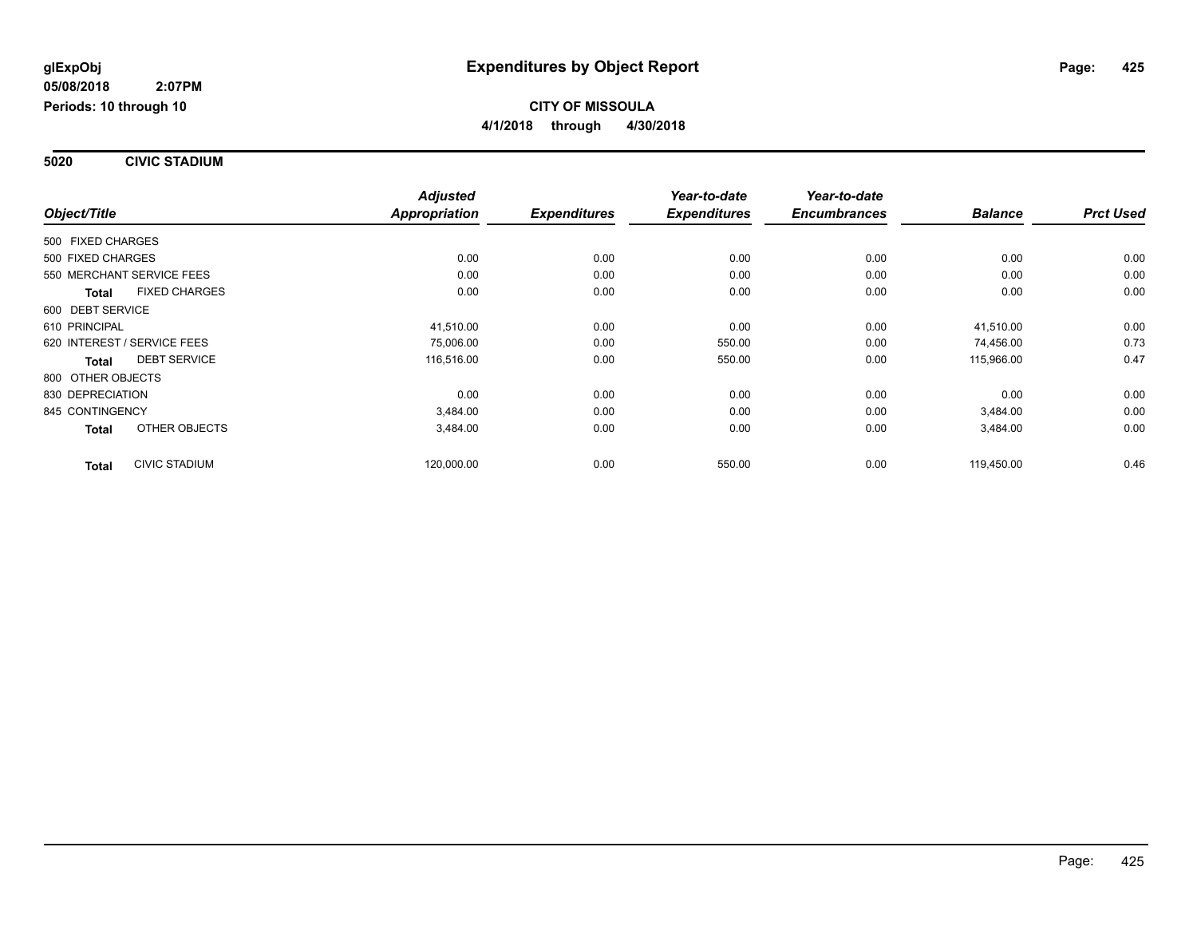#### **5020 CIVIC STADIUM**

|                             |                      | <b>Adjusted</b> |                     | Year-to-date        | Year-to-date        |                |                  |
|-----------------------------|----------------------|-----------------|---------------------|---------------------|---------------------|----------------|------------------|
| Object/Title                |                      | Appropriation   | <b>Expenditures</b> | <b>Expenditures</b> | <b>Encumbrances</b> | <b>Balance</b> | <b>Prct Used</b> |
| 500 FIXED CHARGES           |                      |                 |                     |                     |                     |                |                  |
| 500 FIXED CHARGES           |                      | 0.00            | 0.00                | 0.00                | 0.00                | 0.00           | 0.00             |
| 550 MERCHANT SERVICE FEES   |                      | 0.00            | 0.00                | 0.00                | 0.00                | 0.00           | 0.00             |
| <b>Total</b>                | <b>FIXED CHARGES</b> | 0.00            | 0.00                | 0.00                | 0.00                | 0.00           | 0.00             |
| 600 DEBT SERVICE            |                      |                 |                     |                     |                     |                |                  |
| 610 PRINCIPAL               |                      | 41,510.00       | 0.00                | 0.00                | 0.00                | 41,510.00      | 0.00             |
| 620 INTEREST / SERVICE FEES |                      | 75,006.00       | 0.00                | 550.00              | 0.00                | 74,456.00      | 0.73             |
| <b>Total</b>                | <b>DEBT SERVICE</b>  | 116,516.00      | 0.00                | 550.00              | 0.00                | 115,966.00     | 0.47             |
| 800 OTHER OBJECTS           |                      |                 |                     |                     |                     |                |                  |
| 830 DEPRECIATION            |                      | 0.00            | 0.00                | 0.00                | 0.00                | 0.00           | 0.00             |
| 845 CONTINGENCY             |                      | 3.484.00        | 0.00                | 0.00                | 0.00                | 3,484.00       | 0.00             |
| <b>Total</b>                | OTHER OBJECTS        | 3,484.00        | 0.00                | 0.00                | 0.00                | 3,484.00       | 0.00             |
| <b>Total</b>                | <b>CIVIC STADIUM</b> | 120,000.00      | 0.00                | 550.00              | 0.00                | 119,450.00     | 0.46             |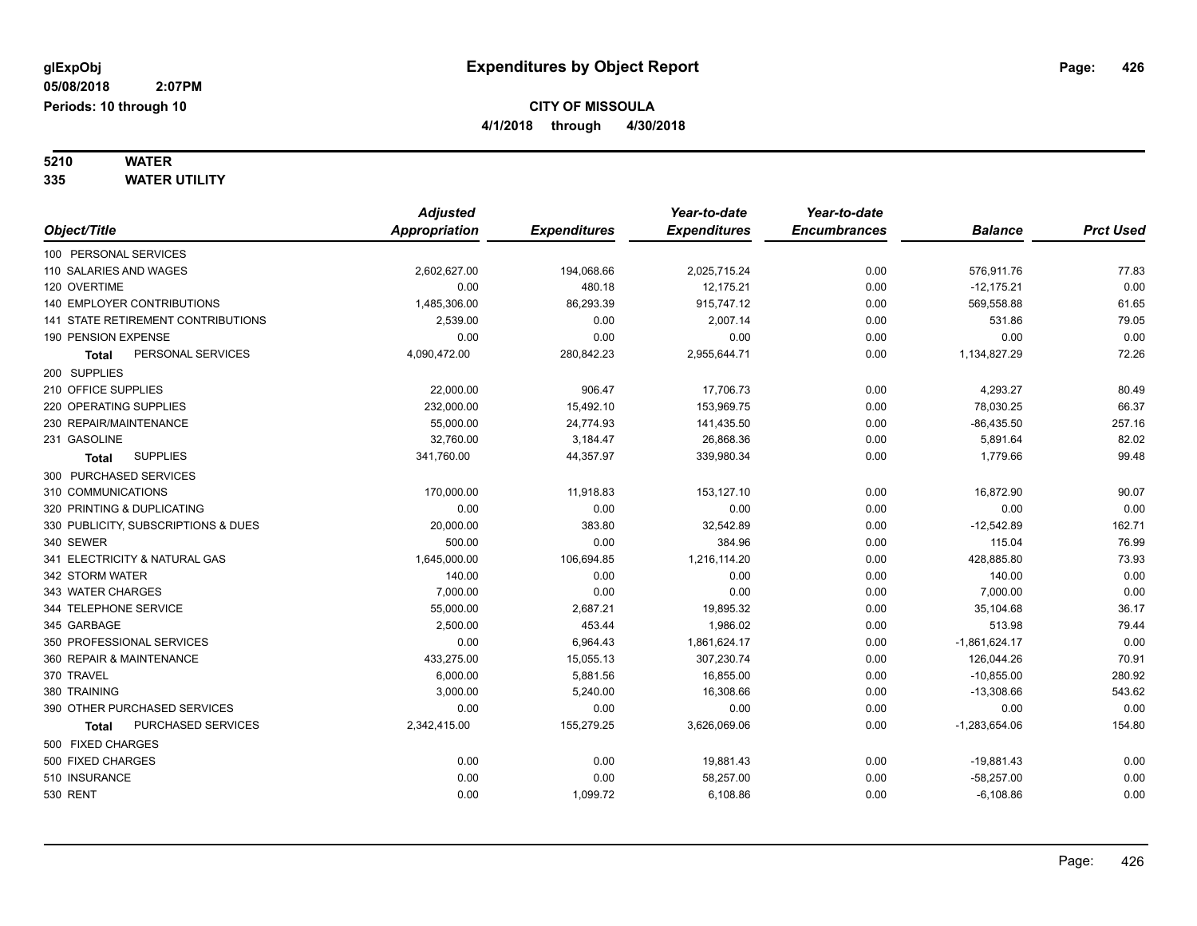# **5210 WATER**

**335 WATER UTILITY**

|                                     | <b>Adjusted</b> |                     | Year-to-date        | Year-to-date        |                 |                  |
|-------------------------------------|-----------------|---------------------|---------------------|---------------------|-----------------|------------------|
| Object/Title                        | Appropriation   | <b>Expenditures</b> | <b>Expenditures</b> | <b>Encumbrances</b> | <b>Balance</b>  | <b>Prct Used</b> |
| 100 PERSONAL SERVICES               |                 |                     |                     |                     |                 |                  |
| 110 SALARIES AND WAGES              | 2,602,627.00    | 194,068.66          | 2,025,715.24        | 0.00                | 576,911.76      | 77.83            |
| 120 OVERTIME                        | 0.00            | 480.18              | 12.175.21           | 0.00                | $-12,175.21$    | 0.00             |
| 140 EMPLOYER CONTRIBUTIONS          | 1,485,306.00    | 86,293.39           | 915,747.12          | 0.00                | 569,558.88      | 61.65            |
| 141 STATE RETIREMENT CONTRIBUTIONS  | 2,539.00        | 0.00                | 2,007.14            | 0.00                | 531.86          | 79.05            |
| 190 PENSION EXPENSE                 | 0.00            | 0.00                | 0.00                | 0.00                | 0.00            | 0.00             |
| PERSONAL SERVICES<br><b>Total</b>   | 4,090,472.00    | 280,842.23          | 2,955,644.71        | 0.00                | 1,134,827.29    | 72.26            |
| 200 SUPPLIES                        |                 |                     |                     |                     |                 |                  |
| 210 OFFICE SUPPLIES                 | 22,000.00       | 906.47              | 17,706.73           | 0.00                | 4,293.27        | 80.49            |
| 220 OPERATING SUPPLIES              | 232,000.00      | 15,492.10           | 153,969.75          | 0.00                | 78,030.25       | 66.37            |
| 230 REPAIR/MAINTENANCE              | 55,000.00       | 24,774.93           | 141,435.50          | 0.00                | $-86,435.50$    | 257.16           |
| 231 GASOLINE                        | 32,760.00       | 3,184.47            | 26,868.36           | 0.00                | 5,891.64        | 82.02            |
| <b>SUPPLIES</b><br><b>Total</b>     | 341,760.00      | 44,357.97           | 339,980.34          | 0.00                | 1,779.66        | 99.48            |
| 300 PURCHASED SERVICES              |                 |                     |                     |                     |                 |                  |
| 310 COMMUNICATIONS                  | 170,000.00      | 11,918.83           | 153,127.10          | 0.00                | 16,872.90       | 90.07            |
| 320 PRINTING & DUPLICATING          | 0.00            | 0.00                | 0.00                | 0.00                | 0.00            | 0.00             |
| 330 PUBLICITY, SUBSCRIPTIONS & DUES | 20,000.00       | 383.80              | 32,542.89           | 0.00                | $-12,542.89$    | 162.71           |
| 340 SEWER                           | 500.00          | 0.00                | 384.96              | 0.00                | 115.04          | 76.99            |
| 341 ELECTRICITY & NATURAL GAS       | 1,645,000.00    | 106,694.85          | 1,216,114.20        | 0.00                | 428,885.80      | 73.93            |
| 342 STORM WATER                     | 140.00          | 0.00                | 0.00                | 0.00                | 140.00          | 0.00             |
| 343 WATER CHARGES                   | 7,000.00        | 0.00                | 0.00                | 0.00                | 7,000.00        | 0.00             |
| 344 TELEPHONE SERVICE               | 55,000.00       | 2,687.21            | 19,895.32           | 0.00                | 35,104.68       | 36.17            |
| 345 GARBAGE                         | 2,500.00        | 453.44              | 1,986.02            | 0.00                | 513.98          | 79.44            |
| 350 PROFESSIONAL SERVICES           | 0.00            | 6,964.43            | 1,861,624.17        | 0.00                | $-1,861,624.17$ | 0.00             |
| 360 REPAIR & MAINTENANCE            | 433,275.00      | 15,055.13           | 307,230.74          | 0.00                | 126,044.26      | 70.91            |
| 370 TRAVEL                          | 6,000.00        | 5,881.56            | 16,855.00           | 0.00                | $-10,855.00$    | 280.92           |
| 380 TRAINING                        | 3,000.00        | 5,240.00            | 16,308.66           | 0.00                | $-13,308.66$    | 543.62           |
| 390 OTHER PURCHASED SERVICES        | 0.00            | 0.00                | 0.00                | 0.00                | 0.00            | 0.00             |
| PURCHASED SERVICES<br><b>Total</b>  | 2,342,415.00    | 155,279.25          | 3,626,069.06        | 0.00                | $-1,283,654.06$ | 154.80           |
| 500 FIXED CHARGES                   |                 |                     |                     |                     |                 |                  |
| 500 FIXED CHARGES                   | 0.00            | 0.00                | 19,881.43           | 0.00                | $-19,881.43$    | 0.00             |
| 510 INSURANCE                       | 0.00            | 0.00                | 58,257.00           | 0.00                | $-58,257.00$    | 0.00             |
| <b>530 RENT</b>                     | 0.00            | 1,099.72            | 6,108.86            | 0.00                | $-6,108.86$     | 0.00             |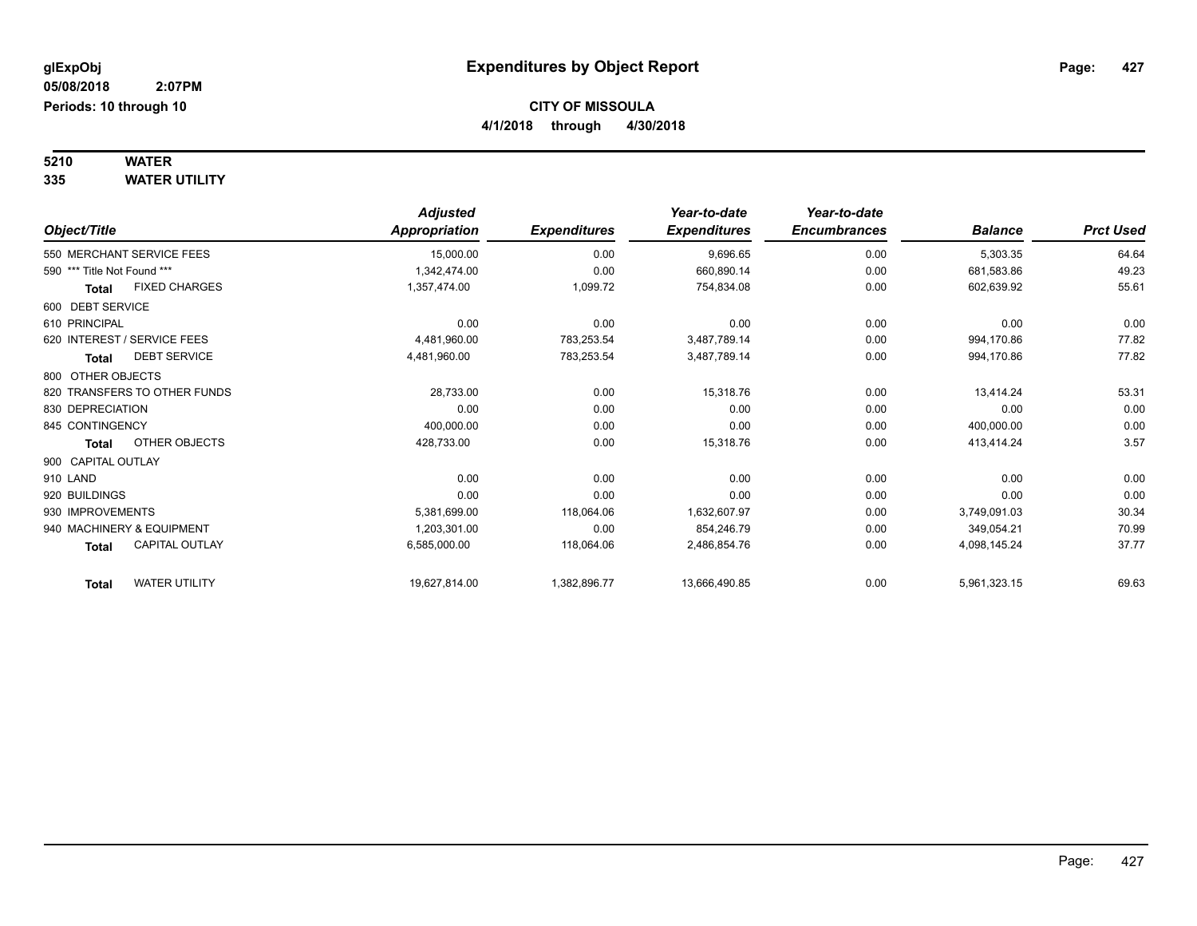# **5210 WATER**

**335 WATER UTILITY**

|                                       | <b>Adjusted</b> |                     | Year-to-date        | Year-to-date        |                |                  |
|---------------------------------------|-----------------|---------------------|---------------------|---------------------|----------------|------------------|
| Object/Title                          | Appropriation   | <b>Expenditures</b> | <b>Expenditures</b> | <b>Encumbrances</b> | <b>Balance</b> | <b>Prct Used</b> |
| 550 MERCHANT SERVICE FEES             | 15,000.00       | 0.00                | 9,696.65            | 0.00                | 5,303.35       | 64.64            |
| 590 *** Title Not Found ***           | 1,342,474.00    | 0.00                | 660,890.14          | 0.00                | 681,583.86     | 49.23            |
| <b>FIXED CHARGES</b><br><b>Total</b>  | 1,357,474.00    | 1,099.72            | 754,834.08          | 0.00                | 602,639.92     | 55.61            |
| 600 DEBT SERVICE                      |                 |                     |                     |                     |                |                  |
| 610 PRINCIPAL                         | 0.00            | 0.00                | 0.00                | 0.00                | 0.00           | 0.00             |
| 620 INTEREST / SERVICE FEES           | 4,481,960.00    | 783,253.54          | 3,487,789.14        | 0.00                | 994,170.86     | 77.82            |
| <b>DEBT SERVICE</b><br>Total          | 4,481,960.00    | 783,253.54          | 3,487,789.14        | 0.00                | 994,170.86     | 77.82            |
| 800 OTHER OBJECTS                     |                 |                     |                     |                     |                |                  |
| 820 TRANSFERS TO OTHER FUNDS          | 28,733.00       | 0.00                | 15,318.76           | 0.00                | 13,414.24      | 53.31            |
| 830 DEPRECIATION                      | 0.00            | 0.00                | 0.00                | 0.00                | 0.00           | 0.00             |
| 845 CONTINGENCY                       | 400,000.00      | 0.00                | 0.00                | 0.00                | 400,000.00     | 0.00             |
| OTHER OBJECTS<br><b>Total</b>         | 428,733.00      | 0.00                | 15,318.76           | 0.00                | 413,414.24     | 3.57             |
| 900 CAPITAL OUTLAY                    |                 |                     |                     |                     |                |                  |
| 910 LAND                              | 0.00            | 0.00                | 0.00                | 0.00                | 0.00           | 0.00             |
| 920 BUILDINGS                         | 0.00            | 0.00                | 0.00                | 0.00                | 0.00           | 0.00             |
| 930 IMPROVEMENTS                      | 5,381,699.00    | 118,064.06          | 1,632,607.97        | 0.00                | 3,749,091.03   | 30.34            |
| 940 MACHINERY & EQUIPMENT             | 1,203,301.00    | 0.00                | 854,246.79          | 0.00                | 349,054.21     | 70.99            |
| <b>CAPITAL OUTLAY</b><br><b>Total</b> | 6,585,000.00    | 118,064.06          | 2,486,854.76        | 0.00                | 4,098,145.24   | 37.77            |
| <b>WATER UTILITY</b><br><b>Total</b>  | 19,627,814.00   | 1,382,896.77        | 13,666,490.85       | 0.00                | 5,961,323.15   | 69.63            |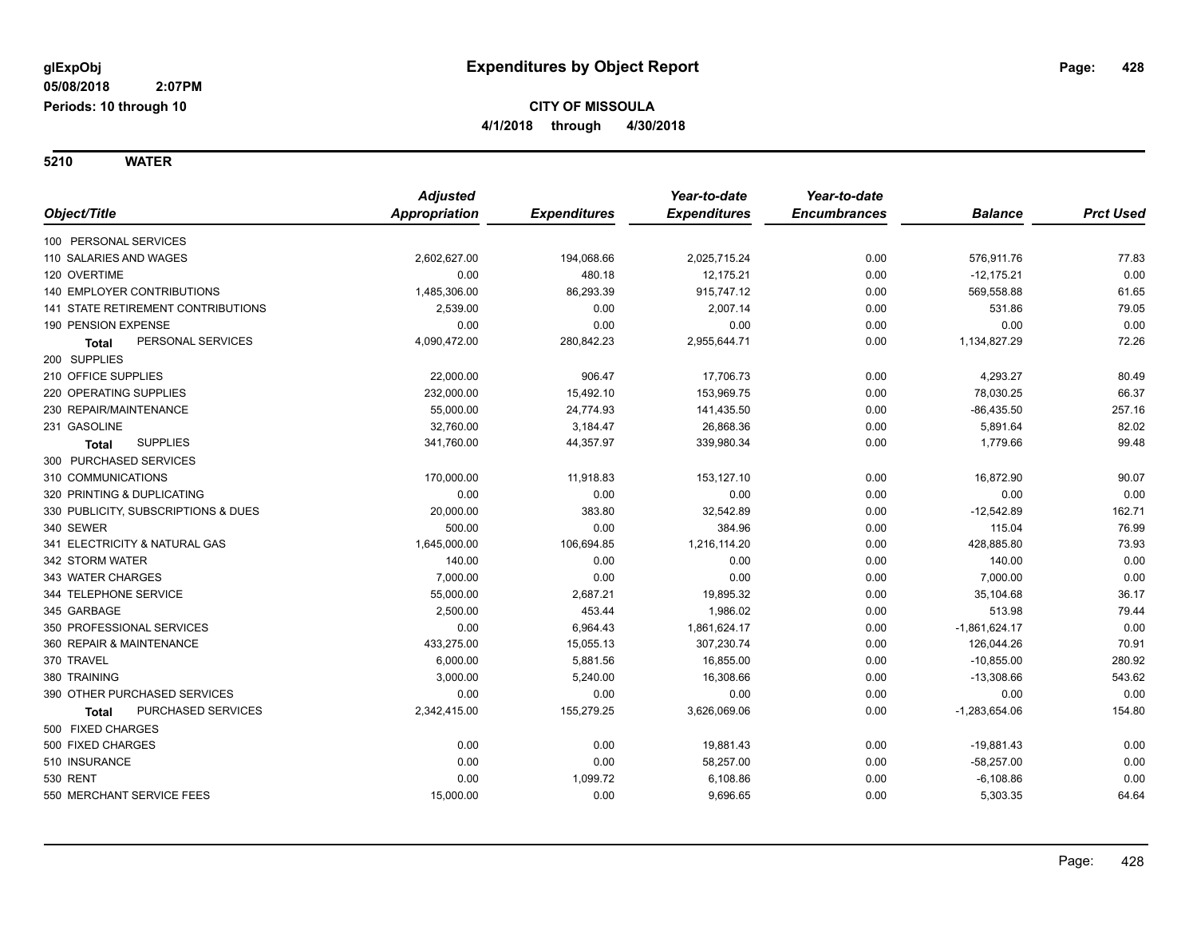**5210 WATER**

|                                           | <b>Adjusted</b> |                     | Year-to-date        | Year-to-date        |                 |                  |
|-------------------------------------------|-----------------|---------------------|---------------------|---------------------|-----------------|------------------|
| Object/Title                              | Appropriation   | <b>Expenditures</b> | <b>Expenditures</b> | <b>Encumbrances</b> | <b>Balance</b>  | <b>Prct Used</b> |
| 100 PERSONAL SERVICES                     |                 |                     |                     |                     |                 |                  |
| 110 SALARIES AND WAGES                    | 2,602,627.00    | 194,068.66          | 2,025,715.24        | 0.00                | 576,911.76      | 77.83            |
| 120 OVERTIME                              | 0.00            | 480.18              | 12,175.21           | 0.00                | $-12,175.21$    | 0.00             |
| <b>140 EMPLOYER CONTRIBUTIONS</b>         | 1,485,306.00    | 86,293.39           | 915,747.12          | 0.00                | 569,558.88      | 61.65            |
| <b>141 STATE RETIREMENT CONTRIBUTIONS</b> | 2,539.00        | 0.00                | 2,007.14            | 0.00                | 531.86          | 79.05            |
| 190 PENSION EXPENSE                       | 0.00            | 0.00                | 0.00                | 0.00                | 0.00            | 0.00             |
| PERSONAL SERVICES<br><b>Total</b>         | 4,090,472.00    | 280,842.23          | 2,955,644.71        | 0.00                | 1,134,827.29    | 72.26            |
| 200 SUPPLIES                              |                 |                     |                     |                     |                 |                  |
| 210 OFFICE SUPPLIES                       | 22,000.00       | 906.47              | 17,706.73           | 0.00                | 4,293.27        | 80.49            |
| 220 OPERATING SUPPLIES                    | 232,000.00      | 15,492.10           | 153,969.75          | 0.00                | 78,030.25       | 66.37            |
| 230 REPAIR/MAINTENANCE                    | 55,000.00       | 24,774.93           | 141,435.50          | 0.00                | $-86,435.50$    | 257.16           |
| 231 GASOLINE                              | 32,760.00       | 3,184.47            | 26,868.36           | 0.00                | 5,891.64        | 82.02            |
| <b>SUPPLIES</b><br><b>Total</b>           | 341,760.00      | 44,357.97           | 339,980.34          | 0.00                | 1,779.66        | 99.48            |
| 300 PURCHASED SERVICES                    |                 |                     |                     |                     |                 |                  |
| 310 COMMUNICATIONS                        | 170,000.00      | 11,918.83           | 153,127.10          | 0.00                | 16,872.90       | 90.07            |
| 320 PRINTING & DUPLICATING                | 0.00            | 0.00                | 0.00                | 0.00                | 0.00            | 0.00             |
| 330 PUBLICITY, SUBSCRIPTIONS & DUES       | 20,000.00       | 383.80              | 32,542.89           | 0.00                | $-12,542.89$    | 162.71           |
| 340 SEWER                                 | 500.00          | 0.00                | 384.96              | 0.00                | 115.04          | 76.99            |
| 341 ELECTRICITY & NATURAL GAS             | 1,645,000.00    | 106,694.85          | 1,216,114.20        | 0.00                | 428,885.80      | 73.93            |
| 342 STORM WATER                           | 140.00          | 0.00                | 0.00                | 0.00                | 140.00          | 0.00             |
| 343 WATER CHARGES                         | 7,000.00        | 0.00                | 0.00                | 0.00                | 7,000.00        | 0.00             |
| 344 TELEPHONE SERVICE                     | 55,000.00       | 2,687.21            | 19,895.32           | 0.00                | 35,104.68       | 36.17            |
| 345 GARBAGE                               | 2,500.00        | 453.44              | 1,986.02            | 0.00                | 513.98          | 79.44            |
| 350 PROFESSIONAL SERVICES                 | 0.00            | 6,964.43            | 1,861,624.17        | 0.00                | $-1,861,624.17$ | 0.00             |
| 360 REPAIR & MAINTENANCE                  | 433,275.00      | 15,055.13           | 307,230.74          | 0.00                | 126,044.26      | 70.91            |
| 370 TRAVEL                                | 6,000.00        | 5,881.56            | 16,855.00           | 0.00                | $-10,855.00$    | 280.92           |
| 380 TRAINING                              | 3,000.00        | 5,240.00            | 16,308.66           | 0.00                | $-13,308.66$    | 543.62           |
| 390 OTHER PURCHASED SERVICES              | 0.00            | 0.00                | 0.00                | 0.00                | 0.00            | 0.00             |
| <b>PURCHASED SERVICES</b><br>Total        | 2,342,415.00    | 155,279.25          | 3,626,069.06        | 0.00                | $-1,283,654.06$ | 154.80           |
| 500 FIXED CHARGES                         |                 |                     |                     |                     |                 |                  |
| 500 FIXED CHARGES                         | 0.00            | 0.00                | 19,881.43           | 0.00                | $-19,881.43$    | 0.00             |
| 510 INSURANCE                             | 0.00            | 0.00                | 58,257.00           | 0.00                | $-58,257.00$    | 0.00             |
| 530 RENT                                  | 0.00            | 1,099.72            | 6,108.86            | 0.00                | $-6,108.86$     | 0.00             |
| 550 MERCHANT SERVICE FEES                 | 15,000.00       | 0.00                | 9,696.65            | 0.00                | 5,303.35        | 64.64            |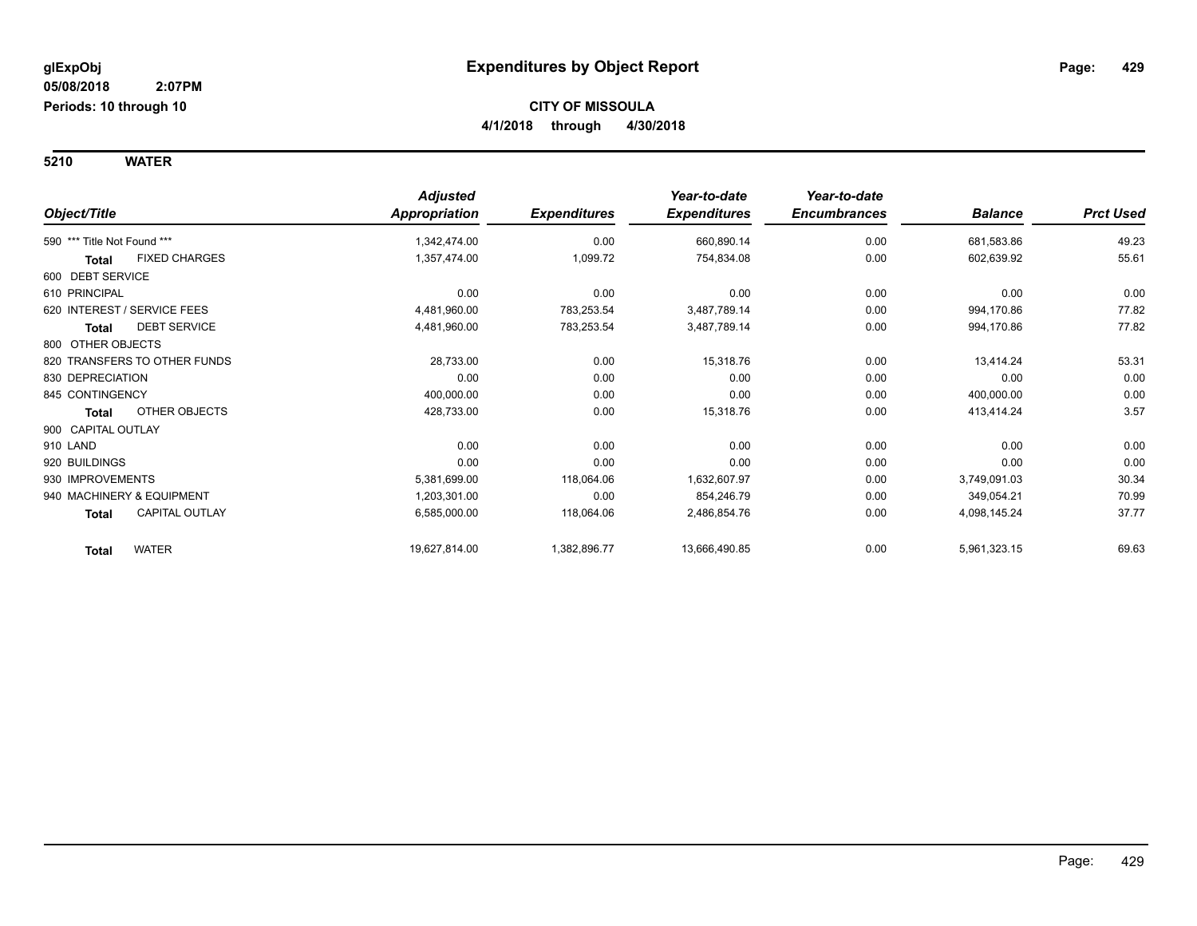**5210 WATER**

|                                      | <b>Adjusted</b> |                     | Year-to-date        | Year-to-date        |                |                  |
|--------------------------------------|-----------------|---------------------|---------------------|---------------------|----------------|------------------|
| Object/Title                         | Appropriation   | <b>Expenditures</b> | <b>Expenditures</b> | <b>Encumbrances</b> | <b>Balance</b> | <b>Prct Used</b> |
| 590 *** Title Not Found ***          | 1,342,474.00    | 0.00                | 660,890.14          | 0.00                | 681,583.86     | 49.23            |
| <b>FIXED CHARGES</b><br><b>Total</b> | 1,357,474.00    | 1,099.72            | 754,834.08          | 0.00                | 602,639.92     | 55.61            |
| 600 DEBT SERVICE                     |                 |                     |                     |                     |                |                  |
| 610 PRINCIPAL                        | 0.00            | 0.00                | 0.00                | 0.00                | 0.00           | 0.00             |
| 620 INTEREST / SERVICE FEES          | 4,481,960.00    | 783,253.54          | 3,487,789.14        | 0.00                | 994,170.86     | 77.82            |
| <b>DEBT SERVICE</b><br><b>Total</b>  | 4,481,960.00    | 783,253.54          | 3,487,789.14        | 0.00                | 994,170.86     | 77.82            |
| 800 OTHER OBJECTS                    |                 |                     |                     |                     |                |                  |
| 820 TRANSFERS TO OTHER FUNDS         | 28,733.00       | 0.00                | 15,318.76           | 0.00                | 13,414.24      | 53.31            |
| 830 DEPRECIATION                     | 0.00            | 0.00                | 0.00                | 0.00                | 0.00           | 0.00             |
| 845 CONTINGENCY                      | 400,000.00      | 0.00                | 0.00                | 0.00                | 400,000.00     | 0.00             |
| OTHER OBJECTS<br>Total               | 428,733.00      | 0.00                | 15,318.76           | 0.00                | 413,414.24     | 3.57             |
| 900 CAPITAL OUTLAY                   |                 |                     |                     |                     |                |                  |
| 910 LAND                             | 0.00            | 0.00                | 0.00                | 0.00                | 0.00           | 0.00             |
| 920 BUILDINGS                        | 0.00            | 0.00                | 0.00                | 0.00                | 0.00           | 0.00             |
| 930 IMPROVEMENTS                     | 5,381,699.00    | 118,064.06          | 1,632,607.97        | 0.00                | 3,749,091.03   | 30.34            |
| 940 MACHINERY & EQUIPMENT            | 1,203,301.00    | 0.00                | 854.246.79          | 0.00                | 349,054.21     | 70.99            |
| <b>CAPITAL OUTLAY</b><br>Total       | 6,585,000.00    | 118,064.06          | 2,486,854.76        | 0.00                | 4,098,145.24   | 37.77            |
| <b>WATER</b><br><b>Total</b>         | 19,627,814.00   | 1,382,896.77        | 13,666,490.85       | 0.00                | 5,961,323.15   | 69.63            |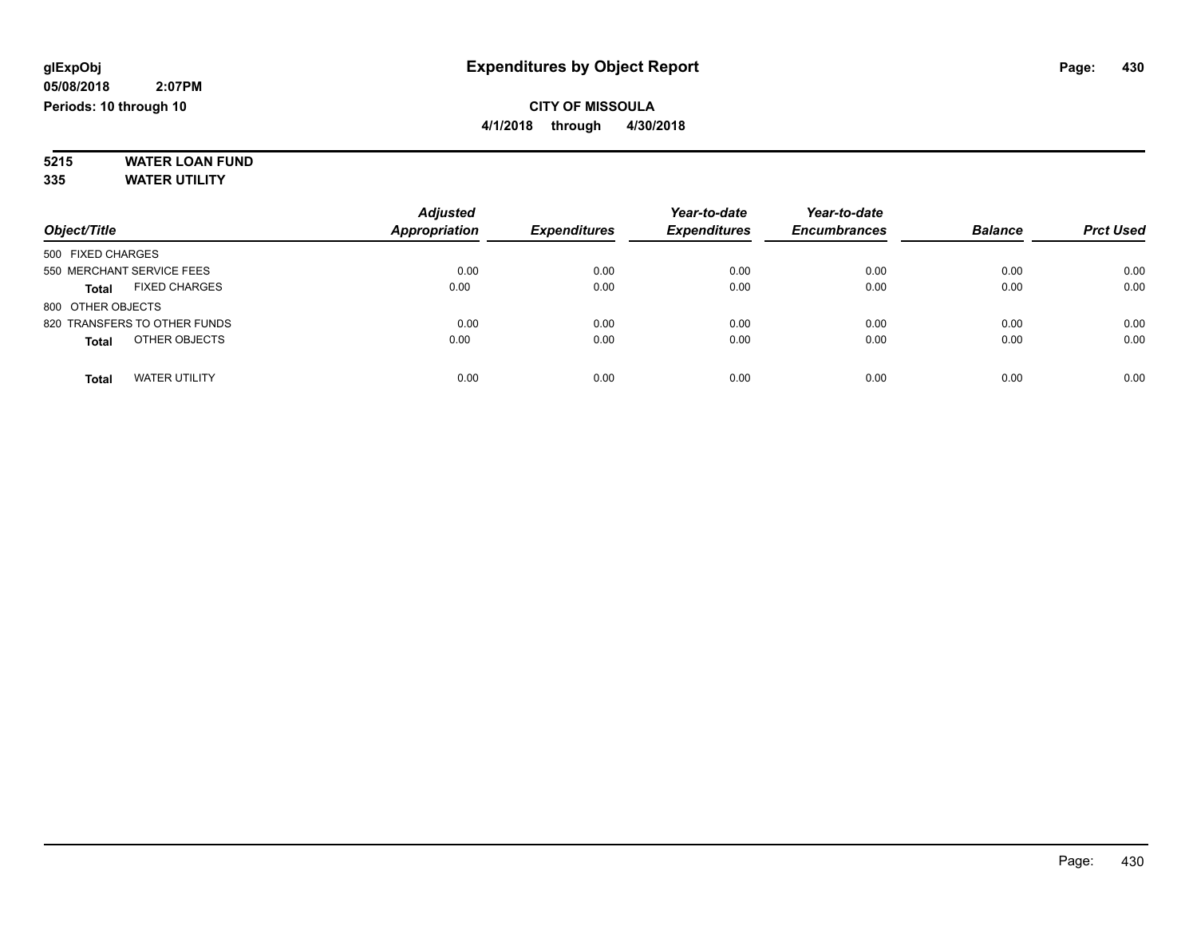# **5215 WATER LOAN FUND**

**335 WATER UTILITY**

|                                      | <b>Adjusted</b>      |                     | Year-to-date<br><b>Expenditures</b> | Year-to-date<br><b>Encumbrances</b> | <b>Balance</b> | <b>Prct Used</b> |
|--------------------------------------|----------------------|---------------------|-------------------------------------|-------------------------------------|----------------|------------------|
| Object/Title                         | <b>Appropriation</b> | <b>Expenditures</b> |                                     |                                     |                |                  |
| 500 FIXED CHARGES                    |                      |                     |                                     |                                     |                |                  |
| 550 MERCHANT SERVICE FEES            | 0.00                 | 0.00                | 0.00                                | 0.00                                | 0.00           | 0.00             |
| <b>FIXED CHARGES</b><br><b>Total</b> | 0.00                 | 0.00                | 0.00                                | 0.00                                | 0.00           | 0.00             |
| 800 OTHER OBJECTS                    |                      |                     |                                     |                                     |                |                  |
| 820 TRANSFERS TO OTHER FUNDS         | 0.00                 | 0.00                | 0.00                                | 0.00                                | 0.00           | 0.00             |
| OTHER OBJECTS<br><b>Total</b>        | 0.00                 | 0.00                | 0.00                                | 0.00                                | 0.00           | 0.00             |
| <b>WATER UTILITY</b><br><b>Total</b> | 0.00                 | 0.00                | 0.00                                | 0.00                                | 0.00           | 0.00             |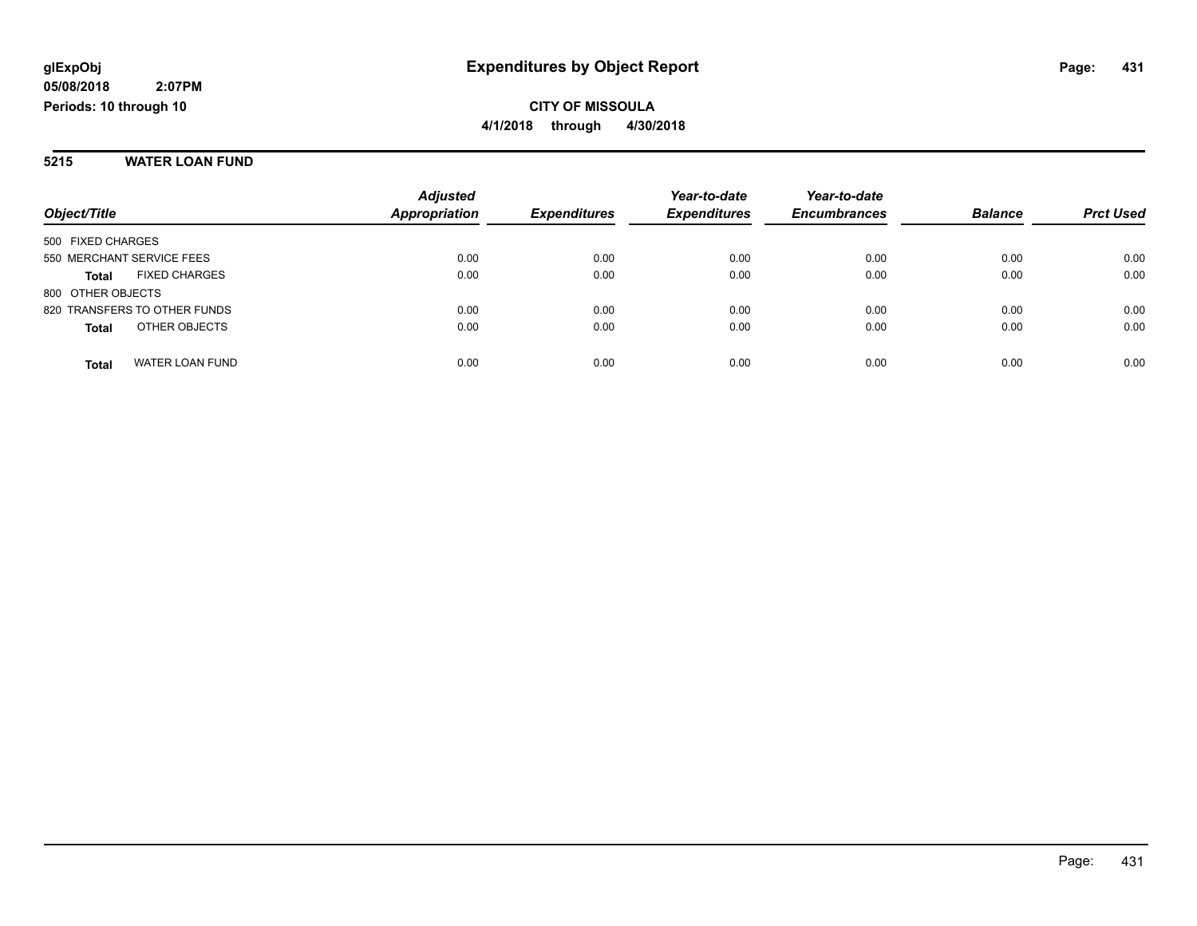#### **5215 WATER LOAN FUND**

|                                        | <b>Adjusted</b><br><b>Appropriation</b> | <b>Expenditures</b> | Year-to-date<br><b>Expenditures</b> | Year-to-date<br><b>Encumbrances</b> | <b>Balance</b> | <b>Prct Used</b> |
|----------------------------------------|-----------------------------------------|---------------------|-------------------------------------|-------------------------------------|----------------|------------------|
| Object/Title                           |                                         |                     |                                     |                                     |                |                  |
| 500 FIXED CHARGES                      |                                         |                     |                                     |                                     |                |                  |
| 550 MERCHANT SERVICE FEES              | 0.00                                    | 0.00                | 0.00                                | 0.00                                | 0.00           | 0.00             |
| <b>FIXED CHARGES</b><br><b>Total</b>   | 0.00                                    | 0.00                | 0.00                                | 0.00                                | 0.00           | 0.00             |
| 800 OTHER OBJECTS                      |                                         |                     |                                     |                                     |                |                  |
| 820 TRANSFERS TO OTHER FUNDS           | 0.00                                    | 0.00                | 0.00                                | 0.00                                | 0.00           | 0.00             |
| OTHER OBJECTS<br><b>Total</b>          | 0.00                                    | 0.00                | 0.00                                | 0.00                                | 0.00           | 0.00             |
| <b>WATER LOAN FUND</b><br><b>Total</b> | 0.00                                    | 0.00                | 0.00                                | 0.00                                | 0.00           | 0.00             |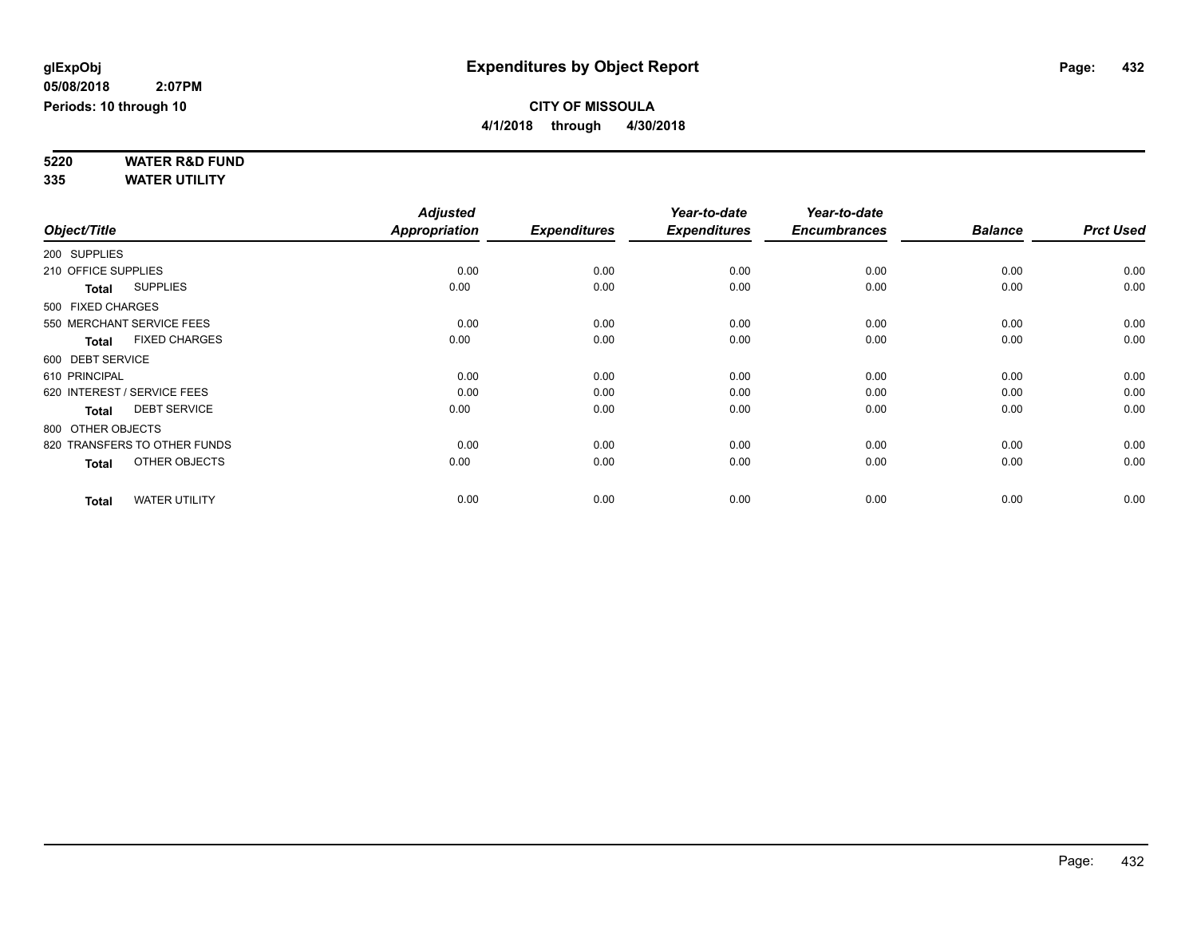| 5220 | <b>WATER R&amp;D FUND</b> |  |
|------|---------------------------|--|
|      |                           |  |

**335 WATER UTILITY**

|               |                                      | <b>Adjusted</b>      |                     | Year-to-date        | Year-to-date        |                |                  |
|---------------|--------------------------------------|----------------------|---------------------|---------------------|---------------------|----------------|------------------|
| Object/Title  |                                      | <b>Appropriation</b> | <b>Expenditures</b> | <b>Expenditures</b> | <b>Encumbrances</b> | <b>Balance</b> | <b>Prct Used</b> |
| 200 SUPPLIES  |                                      |                      |                     |                     |                     |                |                  |
|               | 210 OFFICE SUPPLIES                  | 0.00                 | 0.00                | 0.00                | 0.00                | 0.00           | 0.00             |
|               | <b>SUPPLIES</b><br><b>Total</b>      | 0.00                 | 0.00                | 0.00                | 0.00                | 0.00           | 0.00             |
|               | 500 FIXED CHARGES                    |                      |                     |                     |                     |                |                  |
|               | 550 MERCHANT SERVICE FEES            | 0.00                 | 0.00                | 0.00                | 0.00                | 0.00           | 0.00             |
|               | <b>FIXED CHARGES</b><br><b>Total</b> | 0.00                 | 0.00                | 0.00                | 0.00                | 0.00           | 0.00             |
|               | 600 DEBT SERVICE                     |                      |                     |                     |                     |                |                  |
| 610 PRINCIPAL |                                      | 0.00                 | 0.00                | 0.00                | 0.00                | 0.00           | 0.00             |
|               | 620 INTEREST / SERVICE FEES          | 0.00                 | 0.00                | 0.00                | 0.00                | 0.00           | 0.00             |
|               | <b>DEBT SERVICE</b><br><b>Total</b>  | 0.00                 | 0.00                | 0.00                | 0.00                | 0.00           | 0.00             |
|               | 800 OTHER OBJECTS                    |                      |                     |                     |                     |                |                  |
|               | 820 TRANSFERS TO OTHER FUNDS         | 0.00                 | 0.00                | 0.00                | 0.00                | 0.00           | 0.00             |
|               | OTHER OBJECTS<br><b>Total</b>        | 0.00                 | 0.00                | 0.00                | 0.00                | 0.00           | 0.00             |
|               | <b>WATER UTILITY</b><br><b>Total</b> | 0.00                 | 0.00                | 0.00                | 0.00                | 0.00           | 0.00             |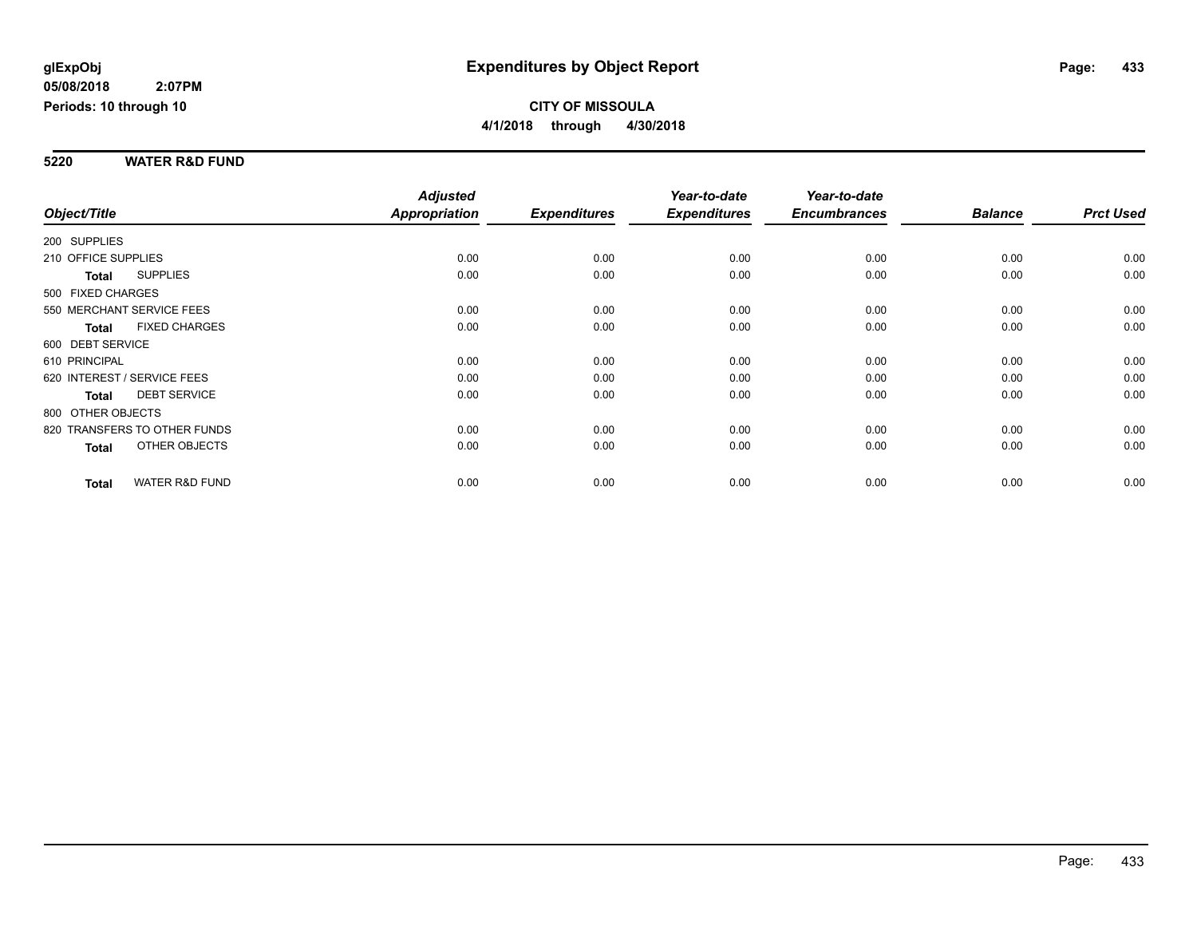#### **5220 WATER R&D FUND**

|                                           | <b>Adjusted</b>      |                     | Year-to-date        | Year-to-date        |                |                  |
|-------------------------------------------|----------------------|---------------------|---------------------|---------------------|----------------|------------------|
| Object/Title                              | <b>Appropriation</b> | <b>Expenditures</b> | <b>Expenditures</b> | <b>Encumbrances</b> | <b>Balance</b> | <b>Prct Used</b> |
| 200 SUPPLIES                              |                      |                     |                     |                     |                |                  |
| 210 OFFICE SUPPLIES                       | 0.00                 | 0.00                | 0.00                | 0.00                | 0.00           | 0.00             |
| <b>SUPPLIES</b><br>Total                  | 0.00                 | 0.00                | 0.00                | 0.00                | 0.00           | 0.00             |
| 500 FIXED CHARGES                         |                      |                     |                     |                     |                |                  |
| 550 MERCHANT SERVICE FEES                 | 0.00                 | 0.00                | 0.00                | 0.00                | 0.00           | 0.00             |
| <b>FIXED CHARGES</b><br><b>Total</b>      | 0.00                 | 0.00                | 0.00                | 0.00                | 0.00           | 0.00             |
| 600 DEBT SERVICE                          |                      |                     |                     |                     |                |                  |
| 610 PRINCIPAL                             | 0.00                 | 0.00                | 0.00                | 0.00                | 0.00           | 0.00             |
| 620 INTEREST / SERVICE FEES               | 0.00                 | 0.00                | 0.00                | 0.00                | 0.00           | 0.00             |
| <b>DEBT SERVICE</b><br><b>Total</b>       | 0.00                 | 0.00                | 0.00                | 0.00                | 0.00           | 0.00             |
| 800 OTHER OBJECTS                         |                      |                     |                     |                     |                |                  |
| 820 TRANSFERS TO OTHER FUNDS              | 0.00                 | 0.00                | 0.00                | 0.00                | 0.00           | 0.00             |
| OTHER OBJECTS<br>Total                    | 0.00                 | 0.00                | 0.00                | 0.00                | 0.00           | 0.00             |
| <b>WATER R&amp;D FUND</b><br><b>Total</b> | 0.00                 | 0.00                | 0.00                | 0.00                | 0.00           | 0.00             |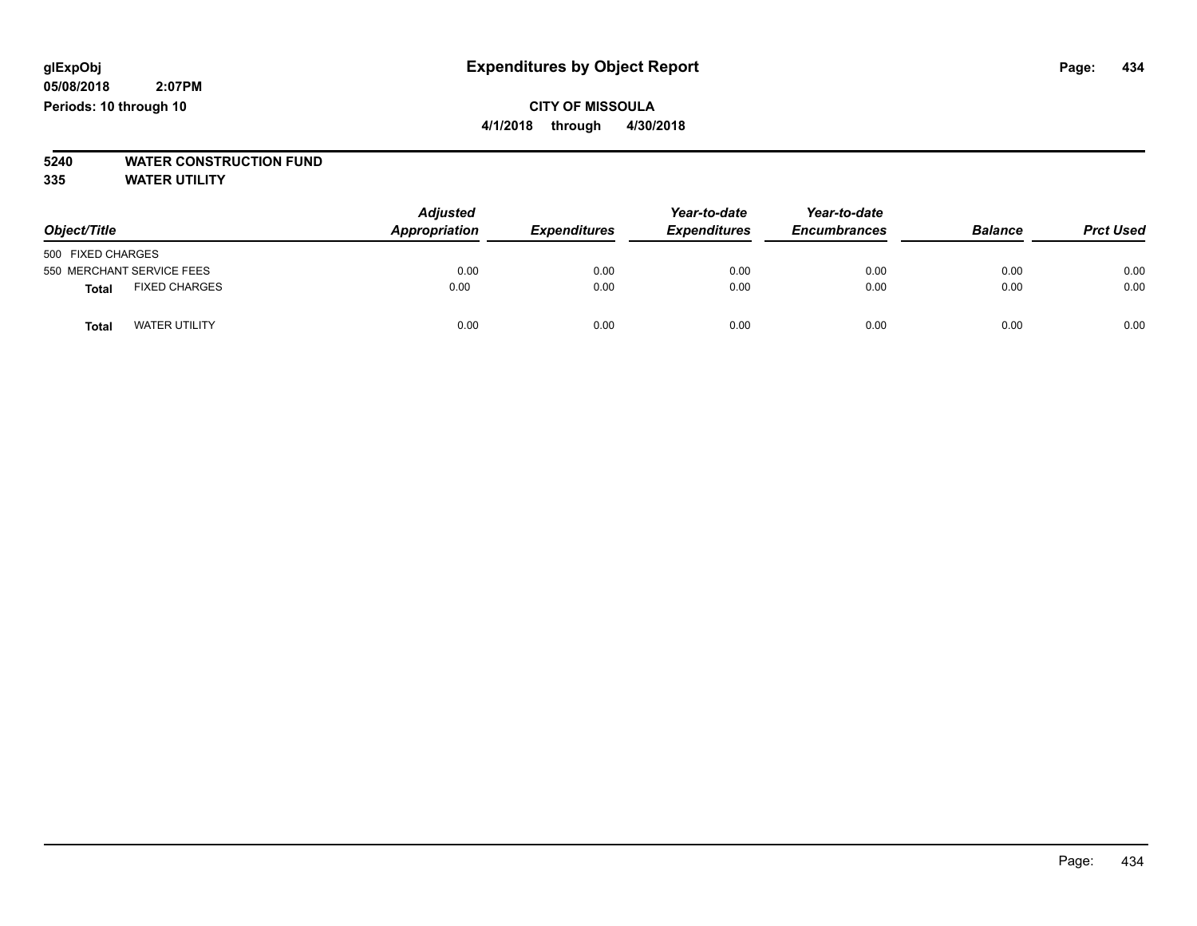# **5240 WATER CONSTRUCTION FUND**

**335 WATER UTILITY**

| Object/Title                         | <b>Adjusted</b><br><b>Appropriation</b> | <b>Expenditures</b> | Year-to-date<br><b>Expenditures</b> | Year-to-date<br><b>Encumbrances</b> | <b>Balance</b> | <b>Prct Used</b> |
|--------------------------------------|-----------------------------------------|---------------------|-------------------------------------|-------------------------------------|----------------|------------------|
| 500 FIXED CHARGES                    |                                         |                     |                                     |                                     |                |                  |
| 550 MERCHANT SERVICE FEES            | 0.00                                    | 0.00                | 0.00                                | 0.00                                | 0.00           | 0.00             |
| <b>FIXED CHARGES</b><br><b>Total</b> | 0.00                                    | 0.00                | 0.00                                | 0.00                                | 0.00           | 0.00             |
| <b>WATER UTILITY</b><br><b>Total</b> | 0.00                                    | 0.00                | 0.00                                | 0.00                                | 0.00           | 0.00             |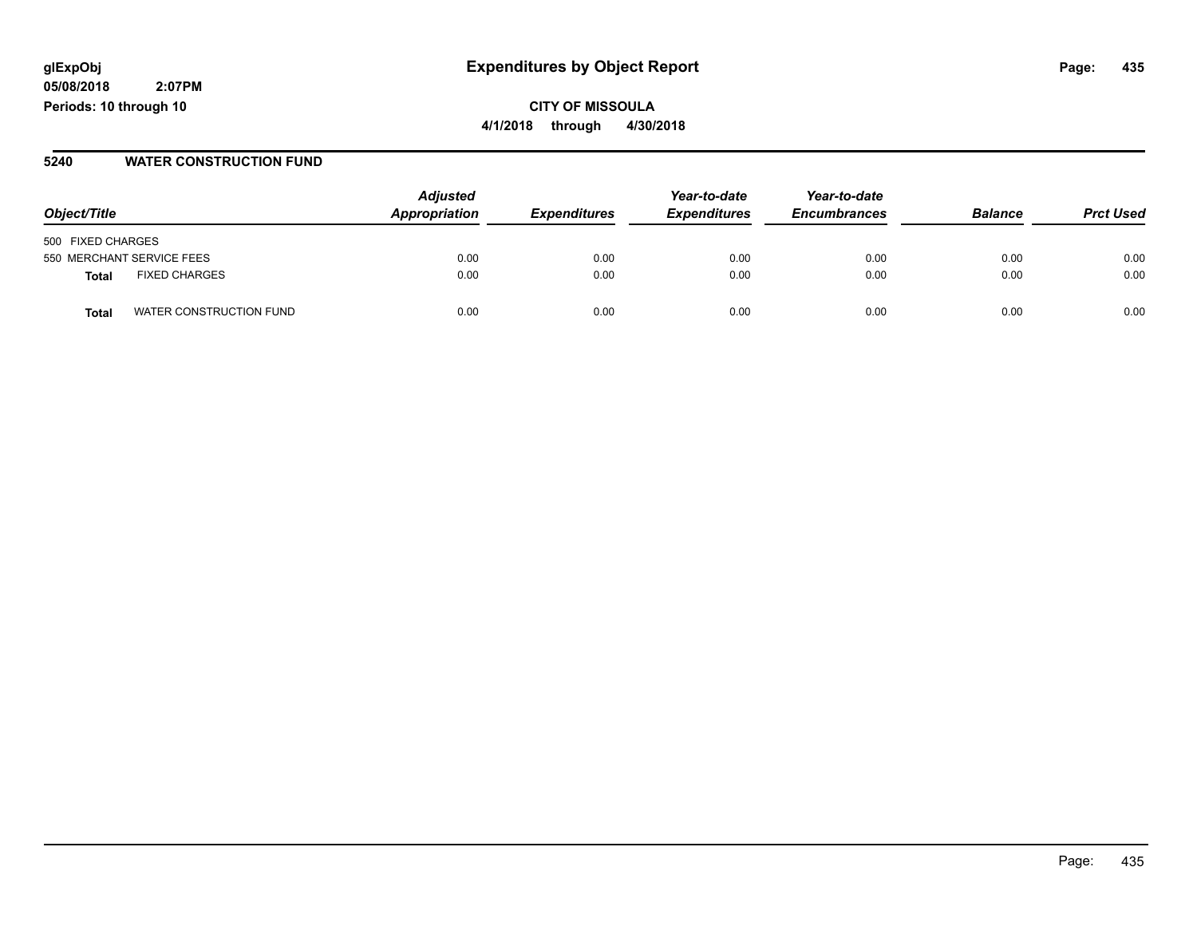**CITY OF MISSOULA 4/1/2018 through 4/30/2018**

#### **5240 WATER CONSTRUCTION FUND**

| Object/Title                     | <b>Adjusted</b><br>Appropriation | <i><b>Expenditures</b></i> | Year-to-date<br><b>Expenditures</b> | Year-to-date<br><b>Encumbrances</b> | <b>Balance</b> | <b>Prct Used</b> |
|----------------------------------|----------------------------------|----------------------------|-------------------------------------|-------------------------------------|----------------|------------------|
|                                  |                                  |                            |                                     |                                     |                |                  |
| 500 FIXED CHARGES                |                                  |                            |                                     |                                     |                |                  |
| 550 MERCHANT SERVICE FEES        | 0.00                             | 0.00                       | 0.00                                | 0.00                                | 0.00           | 0.00             |
| <b>FIXED CHARGES</b><br>Total    | 0.00                             | 0.00                       | 0.00                                | 0.00                                | 0.00           | 0.00             |
| WATER CONSTRUCTION FUND<br>Total | 0.00                             | 0.00                       | 0.00                                | 0.00                                | 0.00           | 0.00             |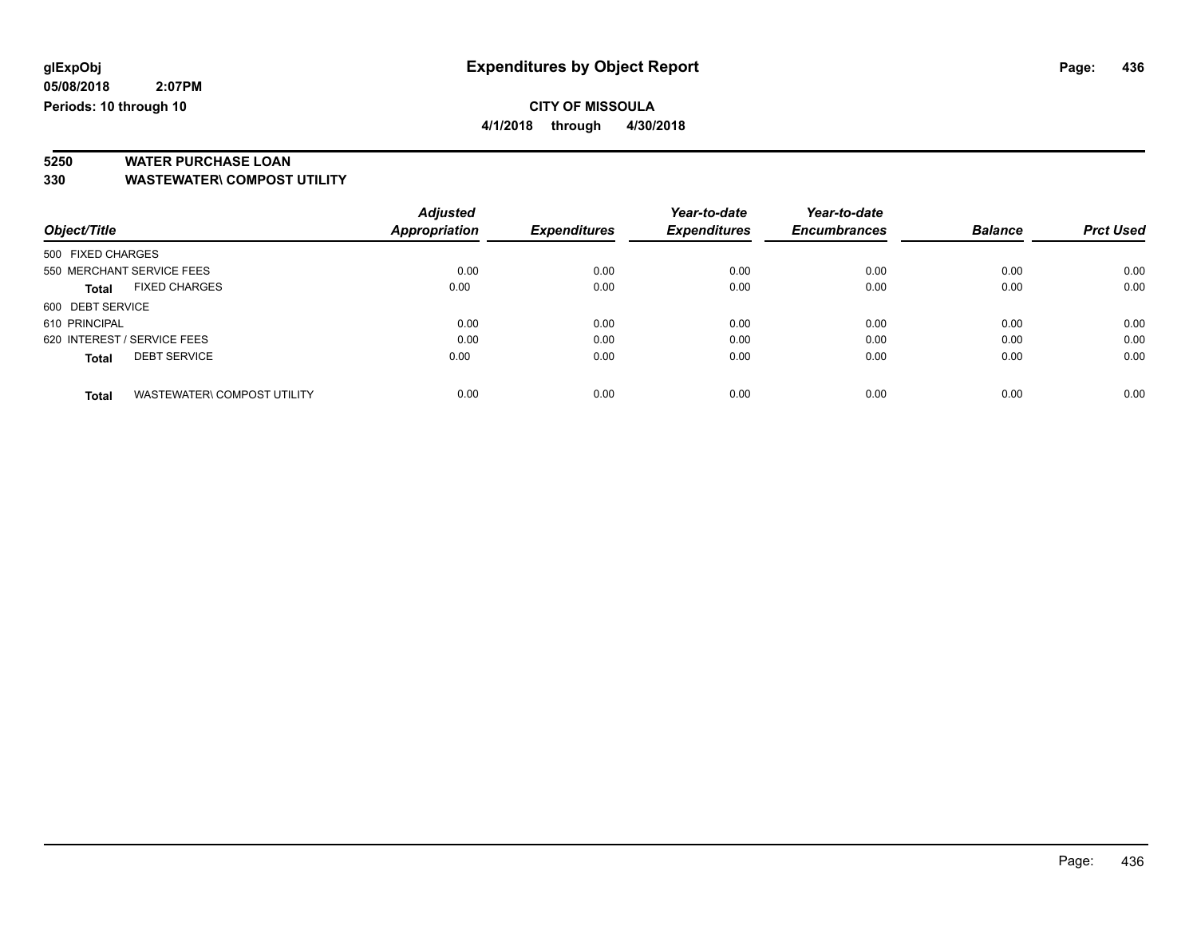### **CITY OF MISSOULA 4/1/2018 through 4/30/2018**

# **5250 WATER PURCHASE LOAN**

| Object/Title                |                                    | <b>Adjusted</b><br>Appropriation | <b>Expenditures</b> | Year-to-date<br><b>Expenditures</b> | Year-to-date<br><b>Encumbrances</b> | <b>Balance</b> | <b>Prct Used</b> |
|-----------------------------|------------------------------------|----------------------------------|---------------------|-------------------------------------|-------------------------------------|----------------|------------------|
|                             |                                    |                                  |                     |                                     |                                     |                |                  |
| 500 FIXED CHARGES           |                                    |                                  |                     |                                     |                                     |                |                  |
| 550 MERCHANT SERVICE FEES   |                                    | 0.00                             | 0.00                | 0.00                                | 0.00                                | 0.00           | 0.00             |
| <b>Total</b>                | <b>FIXED CHARGES</b>               | 0.00                             | 0.00                | 0.00                                | 0.00                                | 0.00           | 0.00             |
| 600 DEBT SERVICE            |                                    |                                  |                     |                                     |                                     |                |                  |
| 610 PRINCIPAL               |                                    | 0.00                             | 0.00                | 0.00                                | 0.00                                | 0.00           | 0.00             |
| 620 INTEREST / SERVICE FEES |                                    | 0.00                             | 0.00                | 0.00                                | 0.00                                | 0.00           | 0.00             |
| <b>Total</b>                | <b>DEBT SERVICE</b>                | 0.00                             | 0.00                | 0.00                                | 0.00                                | 0.00           | 0.00             |
| <b>Total</b>                | <b>WASTEWATER\ COMPOST UTILITY</b> | 0.00                             | 0.00                | 0.00                                | 0.00                                | 0.00           | 0.00             |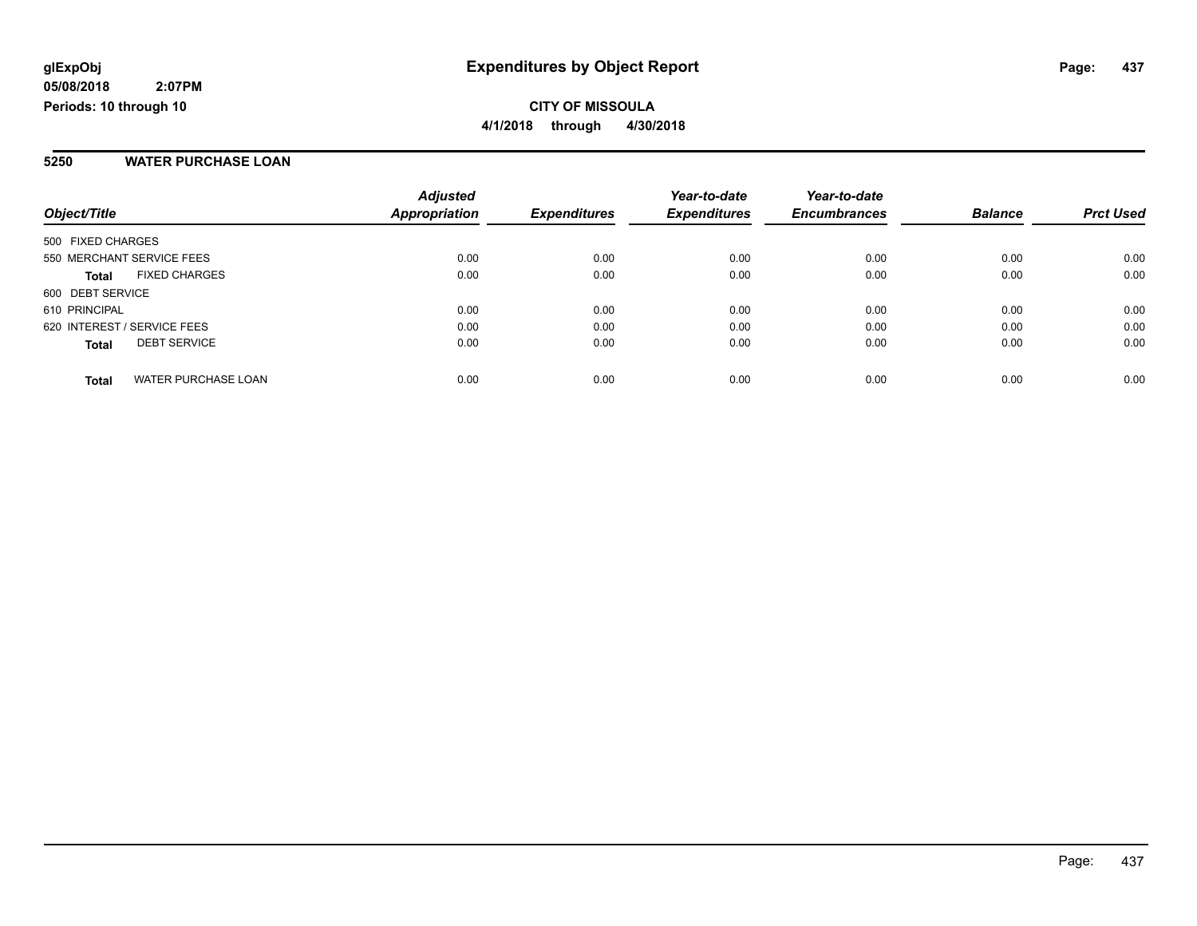#### **5250 WATER PURCHASE LOAN**

| Object/Title                               | <b>Adjusted</b><br><b>Appropriation</b> | <b>Expenditures</b> | Year-to-date<br><b>Expenditures</b> | Year-to-date<br><b>Encumbrances</b> | <b>Balance</b> | <b>Prct Used</b> |
|--------------------------------------------|-----------------------------------------|---------------------|-------------------------------------|-------------------------------------|----------------|------------------|
|                                            |                                         |                     |                                     |                                     |                |                  |
| 500 FIXED CHARGES                          |                                         |                     |                                     |                                     |                |                  |
| 550 MERCHANT SERVICE FEES                  | 0.00                                    | 0.00                | 0.00                                | 0.00                                | 0.00           | 0.00             |
| <b>FIXED CHARGES</b><br><b>Total</b>       | 0.00                                    | 0.00                | 0.00                                | 0.00                                | 0.00           | 0.00             |
| 600 DEBT SERVICE                           |                                         |                     |                                     |                                     |                |                  |
| 610 PRINCIPAL                              | 0.00                                    | 0.00                | 0.00                                | 0.00                                | 0.00           | 0.00             |
| 620 INTEREST / SERVICE FEES                | 0.00                                    | 0.00                | 0.00                                | 0.00                                | 0.00           | 0.00             |
| <b>DEBT SERVICE</b><br><b>Total</b>        | 0.00                                    | 0.00                | 0.00                                | 0.00                                | 0.00           | 0.00             |
| <b>WATER PURCHASE LOAN</b><br><b>Total</b> | 0.00                                    | 0.00                | 0.00                                | 0.00                                | 0.00           | 0.00             |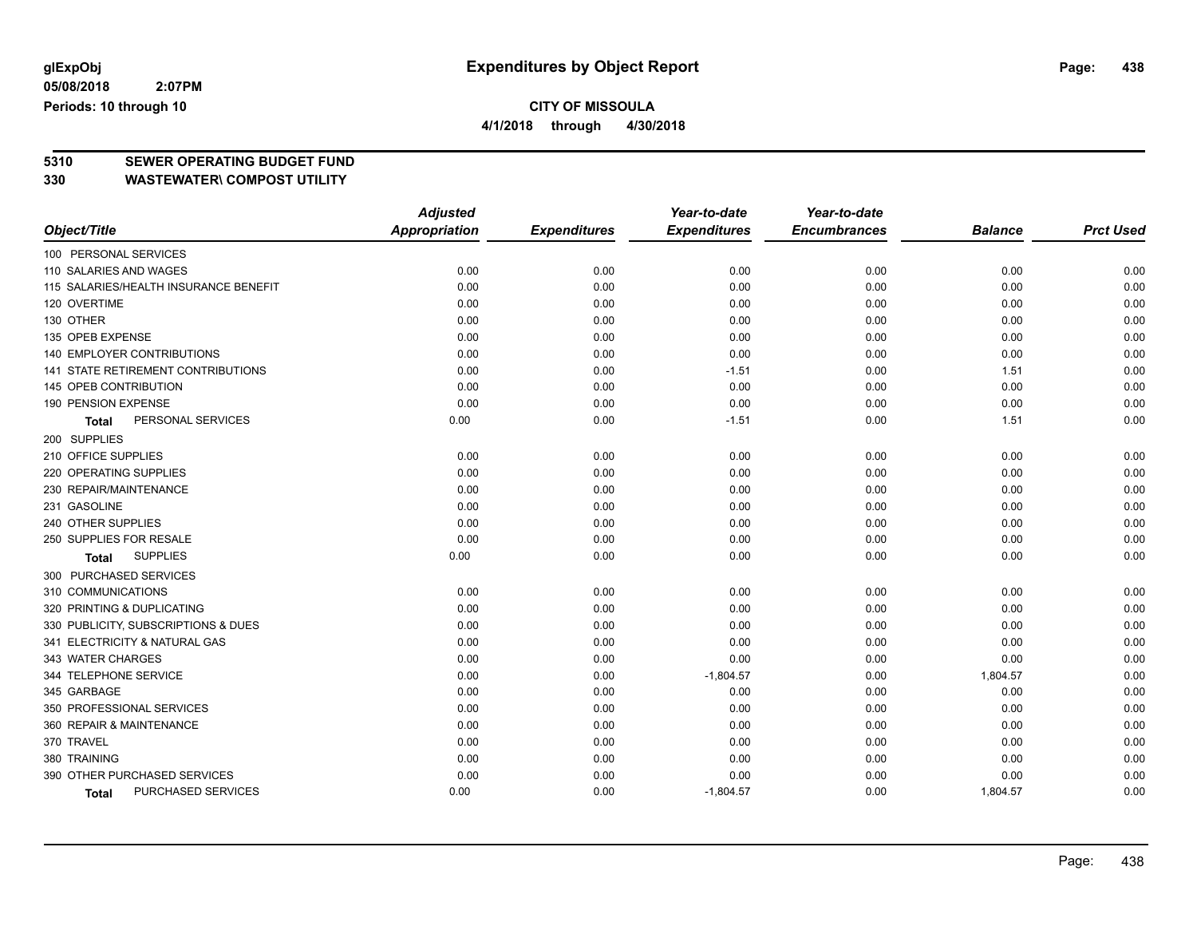**CITY OF MISSOULA 4/1/2018 through 4/30/2018**

# **5310 SEWER OPERATING BUDGET FUND<br>330 WASTEWATER\ COMPOST UTILITY**

|                                           | <b>Adjusted</b>      |                     | Year-to-date        | Year-to-date        |                |                  |
|-------------------------------------------|----------------------|---------------------|---------------------|---------------------|----------------|------------------|
| Object/Title                              | <b>Appropriation</b> | <b>Expenditures</b> | <b>Expenditures</b> | <b>Encumbrances</b> | <b>Balance</b> | <b>Prct Used</b> |
| 100 PERSONAL SERVICES                     |                      |                     |                     |                     |                |                  |
| 110 SALARIES AND WAGES                    | 0.00                 | 0.00                | 0.00                | 0.00                | 0.00           | 0.00             |
| 115 SALARIES/HEALTH INSURANCE BENEFIT     | 0.00                 | 0.00                | 0.00                | 0.00                | 0.00           | 0.00             |
| 120 OVERTIME                              | 0.00                 | 0.00                | 0.00                | 0.00                | 0.00           | 0.00             |
| 130 OTHER                                 | 0.00                 | 0.00                | 0.00                | 0.00                | 0.00           | 0.00             |
| 135 OPEB EXPENSE                          | 0.00                 | 0.00                | 0.00                | 0.00                | 0.00           | 0.00             |
| <b>140 EMPLOYER CONTRIBUTIONS</b>         | 0.00                 | 0.00                | 0.00                | 0.00                | 0.00           | 0.00             |
| <b>141 STATE RETIREMENT CONTRIBUTIONS</b> | 0.00                 | 0.00                | $-1.51$             | 0.00                | 1.51           | 0.00             |
| 145 OPEB CONTRIBUTION                     | 0.00                 | 0.00                | 0.00                | 0.00                | 0.00           | 0.00             |
| 190 PENSION EXPENSE                       | 0.00                 | 0.00                | 0.00                | 0.00                | 0.00           | 0.00             |
| PERSONAL SERVICES<br><b>Total</b>         | 0.00                 | 0.00                | $-1.51$             | 0.00                | 1.51           | 0.00             |
| 200 SUPPLIES                              |                      |                     |                     |                     |                |                  |
| 210 OFFICE SUPPLIES                       | 0.00                 | 0.00                | 0.00                | 0.00                | 0.00           | 0.00             |
| 220 OPERATING SUPPLIES                    | 0.00                 | 0.00                | 0.00                | 0.00                | 0.00           | 0.00             |
| 230 REPAIR/MAINTENANCE                    | 0.00                 | 0.00                | 0.00                | 0.00                | 0.00           | 0.00             |
| 231 GASOLINE                              | 0.00                 | 0.00                | 0.00                | 0.00                | 0.00           | 0.00             |
| 240 OTHER SUPPLIES                        | 0.00                 | 0.00                | 0.00                | 0.00                | 0.00           | 0.00             |
| 250 SUPPLIES FOR RESALE                   | 0.00                 | 0.00                | 0.00                | 0.00                | 0.00           | 0.00             |
| <b>SUPPLIES</b><br><b>Total</b>           | 0.00                 | 0.00                | 0.00                | 0.00                | 0.00           | 0.00             |
| 300 PURCHASED SERVICES                    |                      |                     |                     |                     |                |                  |
| 310 COMMUNICATIONS                        | 0.00                 | 0.00                | 0.00                | 0.00                | 0.00           | 0.00             |
| 320 PRINTING & DUPLICATING                | 0.00                 | 0.00                | 0.00                | 0.00                | 0.00           | 0.00             |
| 330 PUBLICITY, SUBSCRIPTIONS & DUES       | 0.00                 | 0.00                | 0.00                | 0.00                | 0.00           | 0.00             |
| 341 ELECTRICITY & NATURAL GAS             | 0.00                 | 0.00                | 0.00                | 0.00                | 0.00           | 0.00             |
| 343 WATER CHARGES                         | 0.00                 | 0.00                | 0.00                | 0.00                | 0.00           | 0.00             |
| 344 TELEPHONE SERVICE                     | 0.00                 | 0.00                | $-1,804.57$         | 0.00                | 1,804.57       | 0.00             |
| 345 GARBAGE                               | 0.00                 | 0.00                | 0.00                | 0.00                | 0.00           | 0.00             |
| 350 PROFESSIONAL SERVICES                 | 0.00                 | 0.00                | 0.00                | 0.00                | 0.00           | 0.00             |
| 360 REPAIR & MAINTENANCE                  | 0.00                 | 0.00                | 0.00                | 0.00                | 0.00           | 0.00             |
| 370 TRAVEL                                | 0.00                 | 0.00                | 0.00                | 0.00                | 0.00           | 0.00             |
| 380 TRAINING                              | 0.00                 | 0.00                | 0.00                | 0.00                | 0.00           | 0.00             |
| 390 OTHER PURCHASED SERVICES              | 0.00                 | 0.00                | 0.00                | 0.00                | 0.00           | 0.00             |
| PURCHASED SERVICES<br><b>Total</b>        | 0.00                 | 0.00                | $-1,804.57$         | 0.00                | 1,804.57       | 0.00             |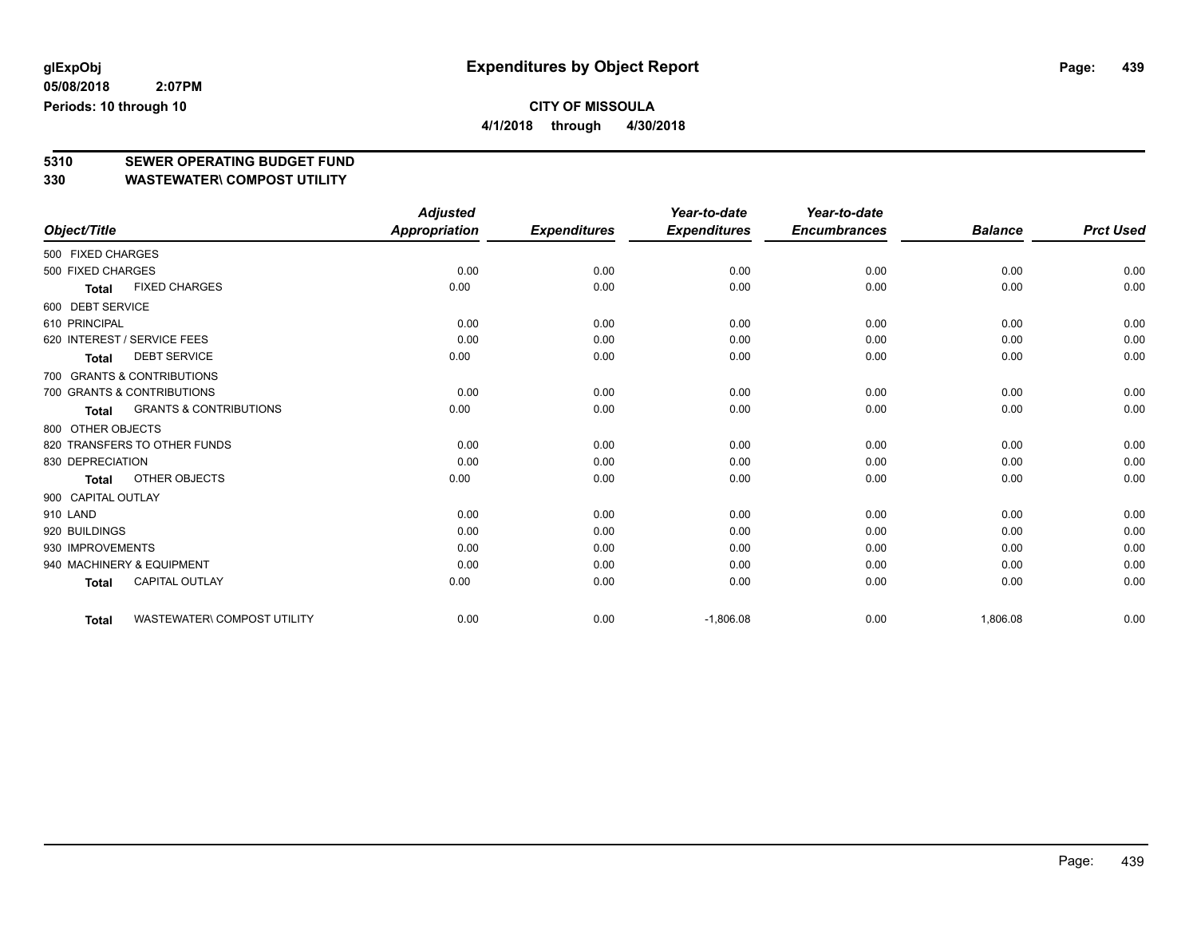# **5310 SEWER OPERATING BUDGET FUND<br>330 WASTEWATER\ COMPOST UTILITY**

|                    |                                   | <b>Adjusted</b> |                     | Year-to-date        | Year-to-date        |                |                  |
|--------------------|-----------------------------------|-----------------|---------------------|---------------------|---------------------|----------------|------------------|
| Object/Title       |                                   | Appropriation   | <b>Expenditures</b> | <b>Expenditures</b> | <b>Encumbrances</b> | <b>Balance</b> | <b>Prct Used</b> |
| 500 FIXED CHARGES  |                                   |                 |                     |                     |                     |                |                  |
| 500 FIXED CHARGES  |                                   | 0.00            | 0.00                | 0.00                | 0.00                | 0.00           | 0.00             |
| <b>Total</b>       | <b>FIXED CHARGES</b>              | 0.00            | 0.00                | 0.00                | 0.00                | 0.00           | 0.00             |
| 600 DEBT SERVICE   |                                   |                 |                     |                     |                     |                |                  |
| 610 PRINCIPAL      |                                   | 0.00            | 0.00                | 0.00                | 0.00                | 0.00           | 0.00             |
|                    | 620 INTEREST / SERVICE FEES       | 0.00            | 0.00                | 0.00                | 0.00                | 0.00           | 0.00             |
| <b>Total</b>       | <b>DEBT SERVICE</b>               | 0.00            | 0.00                | 0.00                | 0.00                | 0.00           | 0.00             |
|                    | 700 GRANTS & CONTRIBUTIONS        |                 |                     |                     |                     |                |                  |
|                    | 700 GRANTS & CONTRIBUTIONS        | 0.00            | 0.00                | 0.00                | 0.00                | 0.00           | 0.00             |
| <b>Total</b>       | <b>GRANTS &amp; CONTRIBUTIONS</b> | 0.00            | 0.00                | 0.00                | 0.00                | 0.00           | 0.00             |
| 800 OTHER OBJECTS  |                                   |                 |                     |                     |                     |                |                  |
|                    | 820 TRANSFERS TO OTHER FUNDS      | 0.00            | 0.00                | 0.00                | 0.00                | 0.00           | 0.00             |
| 830 DEPRECIATION   |                                   | 0.00            | 0.00                | 0.00                | 0.00                | 0.00           | 0.00             |
| <b>Total</b>       | OTHER OBJECTS                     | 0.00            | 0.00                | 0.00                | 0.00                | 0.00           | 0.00             |
| 900 CAPITAL OUTLAY |                                   |                 |                     |                     |                     |                |                  |
| 910 LAND           |                                   | 0.00            | 0.00                | 0.00                | 0.00                | 0.00           | 0.00             |
| 920 BUILDINGS      |                                   | 0.00            | 0.00                | 0.00                | 0.00                | 0.00           | 0.00             |
| 930 IMPROVEMENTS   |                                   | 0.00            | 0.00                | 0.00                | 0.00                | 0.00           | 0.00             |
|                    | 940 MACHINERY & EQUIPMENT         | 0.00            | 0.00                | 0.00                | 0.00                | 0.00           | 0.00             |
| <b>Total</b>       | <b>CAPITAL OUTLAY</b>             | 0.00            | 0.00                | 0.00                | 0.00                | 0.00           | 0.00             |
| <b>Total</b>       | WASTEWATER\ COMPOST UTILITY       | 0.00            | 0.00                | $-1,806.08$         | 0.00                | 1,806.08       | 0.00             |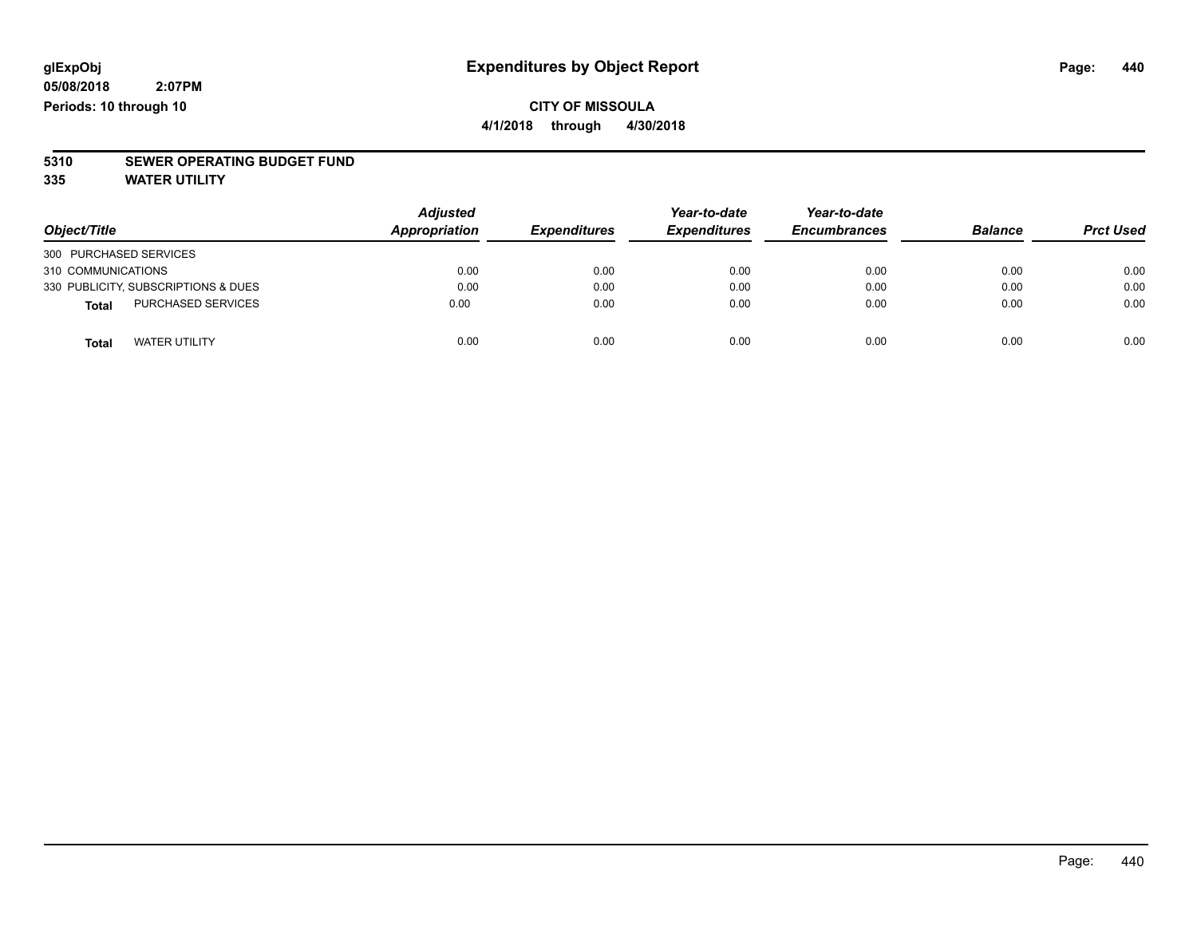# **5310 SEWER OPERATING BUDGET FUND**

**335 WATER UTILITY**

| Object/Title                              | <b>Adjusted</b><br>Appropriation | <b>Expenditures</b> | Year-to-date<br><b>Expenditures</b> | Year-to-date<br><b>Encumbrances</b> | <b>Balance</b> | <b>Prct Used</b> |
|-------------------------------------------|----------------------------------|---------------------|-------------------------------------|-------------------------------------|----------------|------------------|
| 300 PURCHASED SERVICES                    |                                  |                     |                                     |                                     |                |                  |
| 310 COMMUNICATIONS                        | 0.00                             | 0.00                | 0.00                                | 0.00                                | 0.00           | 0.00             |
| 330 PUBLICITY, SUBSCRIPTIONS & DUES       | 0.00                             | 0.00                | 0.00                                | 0.00                                | 0.00           | 0.00             |
| <b>PURCHASED SERVICES</b><br><b>Total</b> | 0.00                             | 0.00                | 0.00                                | 0.00                                | 0.00           | 0.00             |
| <b>WATER UTILITY</b><br><b>Total</b>      | 0.00                             | 0.00                | 0.00                                | 0.00                                | 0.00           | 0.00             |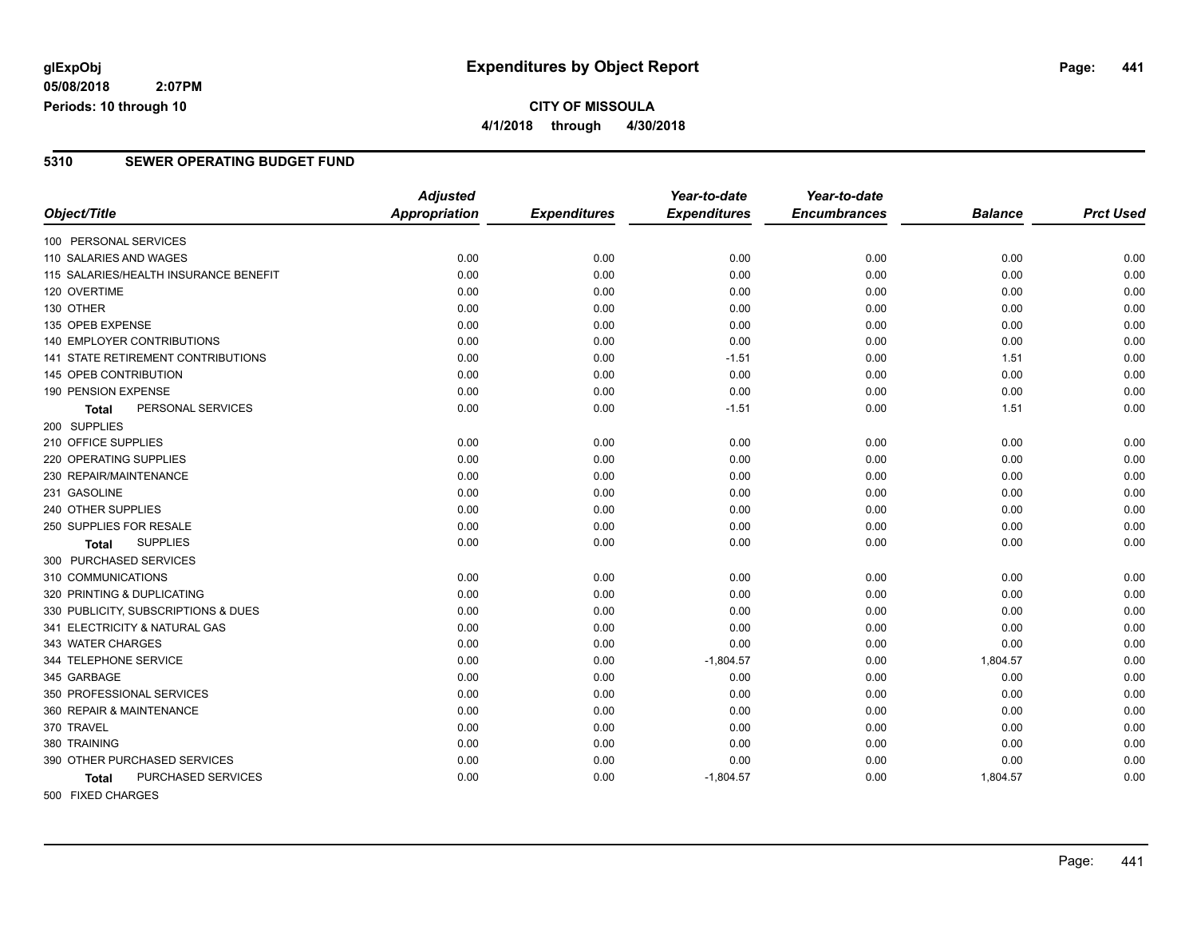# **glExpObj Expenditures by Object Report Page: 441**

**05/08/2018 2:07PM Periods: 10 through 10**

# **CITY OF MISSOULA 4/1/2018 through 4/30/2018**

#### **5310 SEWER OPERATING BUDGET FUND**

|                                           | <b>Adjusted</b> |                     | Year-to-date        | Year-to-date        |                |                  |
|-------------------------------------------|-----------------|---------------------|---------------------|---------------------|----------------|------------------|
| Object/Title                              | Appropriation   | <b>Expenditures</b> | <b>Expenditures</b> | <b>Encumbrances</b> | <b>Balance</b> | <b>Prct Used</b> |
| 100 PERSONAL SERVICES                     |                 |                     |                     |                     |                |                  |
| 110 SALARIES AND WAGES                    | 0.00            | 0.00                | 0.00                | 0.00                | 0.00           | 0.00             |
| 115 SALARIES/HEALTH INSURANCE BENEFIT     | 0.00            | 0.00                | 0.00                | 0.00                | 0.00           | 0.00             |
| 120 OVERTIME                              | 0.00            | 0.00                | 0.00                | 0.00                | 0.00           | 0.00             |
| 130 OTHER                                 | 0.00            | 0.00                | 0.00                | 0.00                | 0.00           | 0.00             |
| 135 OPEB EXPENSE                          | 0.00            | 0.00                | 0.00                | 0.00                | 0.00           | 0.00             |
| 140 EMPLOYER CONTRIBUTIONS                | 0.00            | 0.00                | 0.00                | 0.00                | 0.00           | 0.00             |
| 141 STATE RETIREMENT CONTRIBUTIONS        | 0.00            | 0.00                | $-1.51$             | 0.00                | 1.51           | 0.00             |
| 145 OPEB CONTRIBUTION                     | 0.00            | 0.00                | 0.00                | 0.00                | 0.00           | 0.00             |
| 190 PENSION EXPENSE                       | 0.00            | 0.00                | 0.00                | 0.00                | 0.00           | 0.00             |
| PERSONAL SERVICES<br><b>Total</b>         | 0.00            | 0.00                | $-1.51$             | 0.00                | 1.51           | 0.00             |
| 200 SUPPLIES                              |                 |                     |                     |                     |                |                  |
| 210 OFFICE SUPPLIES                       | 0.00            | 0.00                | 0.00                | 0.00                | 0.00           | 0.00             |
| 220 OPERATING SUPPLIES                    | 0.00            | 0.00                | 0.00                | 0.00                | 0.00           | 0.00             |
| 230 REPAIR/MAINTENANCE                    | 0.00            | 0.00                | 0.00                | 0.00                | 0.00           | 0.00             |
| 231 GASOLINE                              | 0.00            | 0.00                | 0.00                | 0.00                | 0.00           | 0.00             |
| 240 OTHER SUPPLIES                        | 0.00            | 0.00                | 0.00                | 0.00                | 0.00           | 0.00             |
| 250 SUPPLIES FOR RESALE                   | 0.00            | 0.00                | 0.00                | 0.00                | 0.00           | 0.00             |
| <b>SUPPLIES</b><br><b>Total</b>           | 0.00            | 0.00                | 0.00                | 0.00                | 0.00           | 0.00             |
| 300 PURCHASED SERVICES                    |                 |                     |                     |                     |                |                  |
| 310 COMMUNICATIONS                        | 0.00            | 0.00                | 0.00                | 0.00                | 0.00           | 0.00             |
| 320 PRINTING & DUPLICATING                | 0.00            | 0.00                | 0.00                | 0.00                | 0.00           | 0.00             |
| 330 PUBLICITY, SUBSCRIPTIONS & DUES       | 0.00            | 0.00                | 0.00                | 0.00                | 0.00           | 0.00             |
| 341 ELECTRICITY & NATURAL GAS             | 0.00            | 0.00                | 0.00                | 0.00                | 0.00           | 0.00             |
| 343 WATER CHARGES                         | 0.00            | 0.00                | 0.00                | 0.00                | 0.00           | 0.00             |
| 344 TELEPHONE SERVICE                     | 0.00            | 0.00                | $-1,804.57$         | 0.00                | 1,804.57       | 0.00             |
| 345 GARBAGE                               | 0.00            | 0.00                | 0.00                | 0.00                | 0.00           | 0.00             |
| 350 PROFESSIONAL SERVICES                 | 0.00            | 0.00                | 0.00                | 0.00                | 0.00           | 0.00             |
| 360 REPAIR & MAINTENANCE                  | 0.00            | 0.00                | 0.00                | 0.00                | 0.00           | 0.00             |
| 370 TRAVEL                                | 0.00            | 0.00                | 0.00                | 0.00                | 0.00           | 0.00             |
| 380 TRAINING                              | 0.00            | 0.00                | 0.00                | 0.00                | 0.00           | 0.00             |
| 390 OTHER PURCHASED SERVICES              | 0.00            | 0.00                | 0.00                | 0.00                | 0.00           | 0.00             |
| <b>PURCHASED SERVICES</b><br><b>Total</b> | 0.00            | 0.00                | $-1,804.57$         | 0.00                | 1,804.57       | 0.00             |
| FOR FIVED OURDOED                         |                 |                     |                     |                     |                |                  |

500 FIXED CHARGES

Page: 441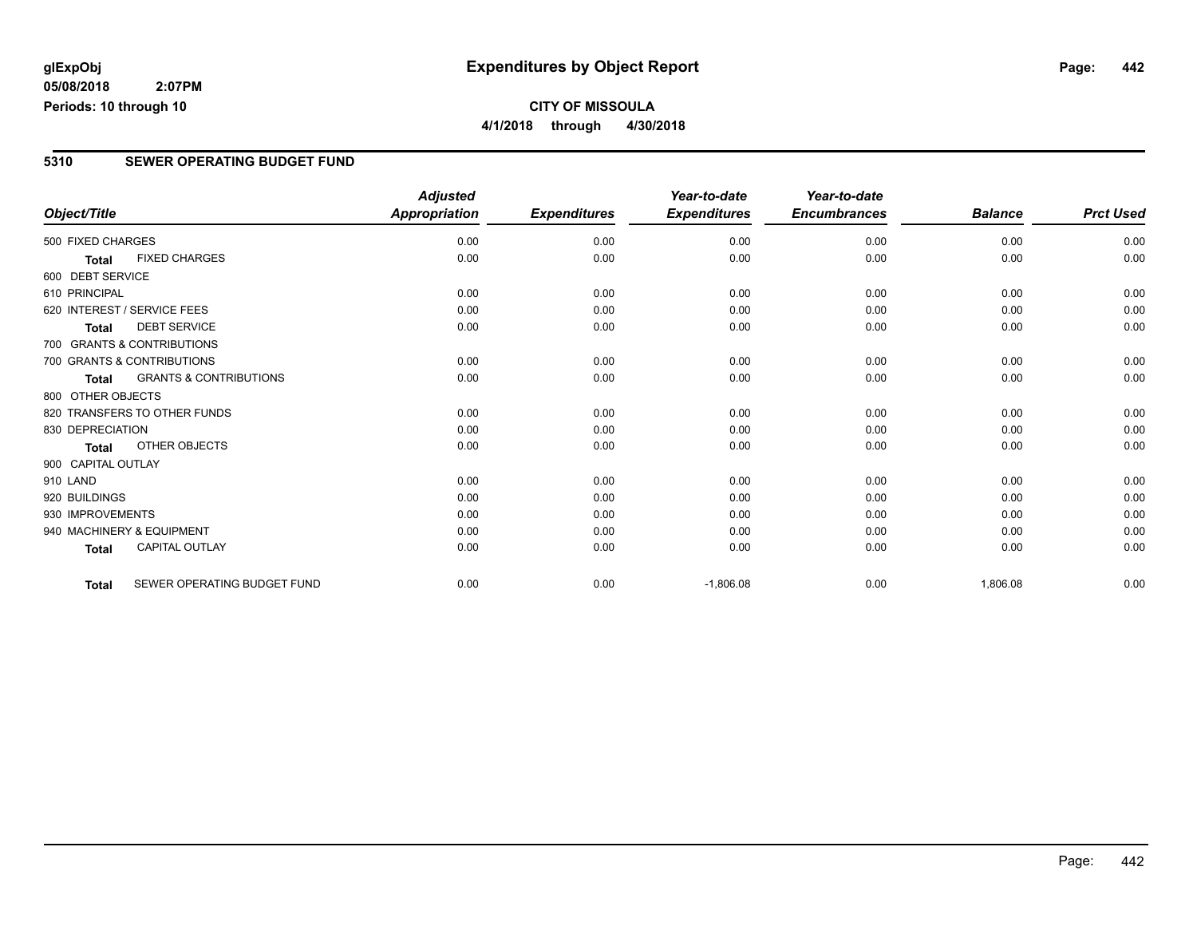# **glExpObj Expenditures by Object Report Page: 442**

**05/08/2018 2:07PM Periods: 10 through 10**

# **CITY OF MISSOULA 4/1/2018 through 4/30/2018**

#### **5310 SEWER OPERATING BUDGET FUND**

|                             |                                   | <b>Adjusted</b>      |                     | Year-to-date        | Year-to-date        |                |                  |
|-----------------------------|-----------------------------------|----------------------|---------------------|---------------------|---------------------|----------------|------------------|
| Object/Title                |                                   | <b>Appropriation</b> | <b>Expenditures</b> | <b>Expenditures</b> | <b>Encumbrances</b> | <b>Balance</b> | <b>Prct Used</b> |
| 500 FIXED CHARGES           |                                   | 0.00                 | 0.00                | 0.00                | 0.00                | 0.00           | 0.00             |
| <b>Total</b>                | <b>FIXED CHARGES</b>              | 0.00                 | 0.00                | 0.00                | 0.00                | 0.00           | 0.00             |
| 600 DEBT SERVICE            |                                   |                      |                     |                     |                     |                |                  |
| 610 PRINCIPAL               |                                   | 0.00                 | 0.00                | 0.00                | 0.00                | 0.00           | 0.00             |
| 620 INTEREST / SERVICE FEES |                                   | 0.00                 | 0.00                | 0.00                | 0.00                | 0.00           | 0.00             |
| <b>Total</b>                | <b>DEBT SERVICE</b>               | 0.00                 | 0.00                | 0.00                | 0.00                | 0.00           | 0.00             |
|                             | 700 GRANTS & CONTRIBUTIONS        |                      |                     |                     |                     |                |                  |
| 700 GRANTS & CONTRIBUTIONS  |                                   | 0.00                 | 0.00                | 0.00                | 0.00                | 0.00           | 0.00             |
| <b>Total</b>                | <b>GRANTS &amp; CONTRIBUTIONS</b> | 0.00                 | 0.00                | 0.00                | 0.00                | 0.00           | 0.00             |
| 800 OTHER OBJECTS           |                                   |                      |                     |                     |                     |                |                  |
|                             | 820 TRANSFERS TO OTHER FUNDS      | 0.00                 | 0.00                | 0.00                | 0.00                | 0.00           | 0.00             |
| 830 DEPRECIATION            |                                   | 0.00                 | 0.00                | 0.00                | 0.00                | 0.00           | 0.00             |
| Total                       | OTHER OBJECTS                     | 0.00                 | 0.00                | 0.00                | 0.00                | 0.00           | 0.00             |
| 900 CAPITAL OUTLAY          |                                   |                      |                     |                     |                     |                |                  |
| 910 LAND                    |                                   | 0.00                 | 0.00                | 0.00                | 0.00                | 0.00           | 0.00             |
| 920 BUILDINGS               |                                   | 0.00                 | 0.00                | 0.00                | 0.00                | 0.00           | 0.00             |
| 930 IMPROVEMENTS            |                                   | 0.00                 | 0.00                | 0.00                | 0.00                | 0.00           | 0.00             |
| 940 MACHINERY & EQUIPMENT   |                                   | 0.00                 | 0.00                | 0.00                | 0.00                | 0.00           | 0.00             |
| <b>Total</b>                | <b>CAPITAL OUTLAY</b>             | 0.00                 | 0.00                | 0.00                | 0.00                | 0.00           | 0.00             |
| <b>Total</b>                | SEWER OPERATING BUDGET FUND       | 0.00                 | 0.00                | $-1,806.08$         | 0.00                | 1,806.08       | 0.00             |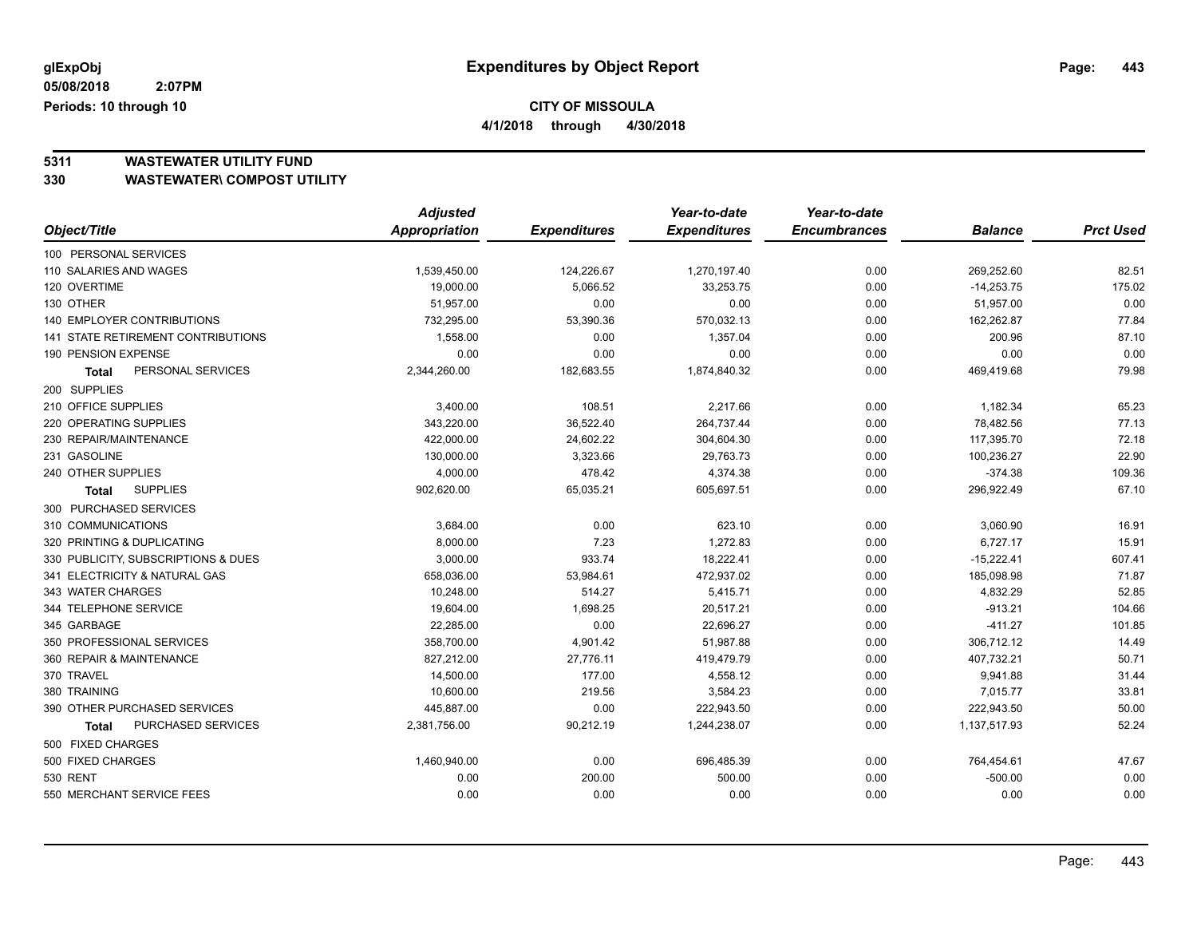# **5311 WASTEWATER UTILITY FUND**<br>330 WASTEWATER\ COMPOST UTI

|                                     | <b>Adjusted</b> |                     | Year-to-date        | Year-to-date        |                |                  |
|-------------------------------------|-----------------|---------------------|---------------------|---------------------|----------------|------------------|
| Object/Title                        | Appropriation   | <b>Expenditures</b> | <b>Expenditures</b> | <b>Encumbrances</b> | <b>Balance</b> | <b>Prct Used</b> |
| 100 PERSONAL SERVICES               |                 |                     |                     |                     |                |                  |
| 110 SALARIES AND WAGES              | 1,539,450.00    | 124,226.67          | 1,270,197.40        | 0.00                | 269,252.60     | 82.51            |
| 120 OVERTIME                        | 19,000.00       | 5,066.52            | 33,253.75           | 0.00                | $-14,253.75$   | 175.02           |
| 130 OTHER                           | 51,957.00       | 0.00                | 0.00                | 0.00                | 51,957.00      | 0.00             |
| 140 EMPLOYER CONTRIBUTIONS          | 732,295.00      | 53,390.36           | 570,032.13          | 0.00                | 162,262.87     | 77.84            |
| 141 STATE RETIREMENT CONTRIBUTIONS  | 1,558.00        | 0.00                | 1,357.04            | 0.00                | 200.96         | 87.10            |
| 190 PENSION EXPENSE                 | 0.00            | 0.00                | 0.00                | 0.00                | 0.00           | 0.00             |
| PERSONAL SERVICES<br>Total          | 2,344,260.00    | 182,683.55          | 1,874,840.32        | 0.00                | 469,419.68     | 79.98            |
| 200 SUPPLIES                        |                 |                     |                     |                     |                |                  |
| 210 OFFICE SUPPLIES                 | 3,400.00        | 108.51              | 2,217.66            | 0.00                | 1,182.34       | 65.23            |
| 220 OPERATING SUPPLIES              | 343,220.00      | 36,522.40           | 264,737.44          | 0.00                | 78,482.56      | 77.13            |
| 230 REPAIR/MAINTENANCE              | 422,000.00      | 24,602.22           | 304,604.30          | 0.00                | 117,395.70     | 72.18            |
| 231 GASOLINE                        | 130,000.00      | 3,323.66            | 29,763.73           | 0.00                | 100,236.27     | 22.90            |
| 240 OTHER SUPPLIES                  | 4,000.00        | 478.42              | 4,374.38            | 0.00                | $-374.38$      | 109.36           |
| <b>SUPPLIES</b><br><b>Total</b>     | 902,620.00      | 65,035.21           | 605,697.51          | 0.00                | 296,922.49     | 67.10            |
| 300 PURCHASED SERVICES              |                 |                     |                     |                     |                |                  |
| 310 COMMUNICATIONS                  | 3,684.00        | 0.00                | 623.10              | 0.00                | 3,060.90       | 16.91            |
| 320 PRINTING & DUPLICATING          | 8,000.00        | 7.23                | 1,272.83            | 0.00                | 6,727.17       | 15.91            |
| 330 PUBLICITY, SUBSCRIPTIONS & DUES | 3,000.00        | 933.74              | 18,222.41           | 0.00                | $-15,222.41$   | 607.41           |
| 341 ELECTRICITY & NATURAL GAS       | 658,036.00      | 53,984.61           | 472,937.02          | 0.00                | 185,098.98     | 71.87            |
| 343 WATER CHARGES                   | 10,248.00       | 514.27              | 5,415.71            | 0.00                | 4,832.29       | 52.85            |
| 344 TELEPHONE SERVICE               | 19,604.00       | 1,698.25            | 20,517.21           | 0.00                | $-913.21$      | 104.66           |
| 345 GARBAGE                         | 22,285.00       | 0.00                | 22,696.27           | 0.00                | $-411.27$      | 101.85           |
| 350 PROFESSIONAL SERVICES           | 358,700.00      | 4,901.42            | 51,987.88           | 0.00                | 306,712.12     | 14.49            |
| 360 REPAIR & MAINTENANCE            | 827,212.00      | 27,776.11           | 419,479.79          | 0.00                | 407,732.21     | 50.71            |
| 370 TRAVEL                          | 14,500.00       | 177.00              | 4,558.12            | 0.00                | 9,941.88       | 31.44            |
| 380 TRAINING                        | 10,600.00       | 219.56              | 3,584.23            | 0.00                | 7,015.77       | 33.81            |
| 390 OTHER PURCHASED SERVICES        | 445,887.00      | 0.00                | 222,943.50          | 0.00                | 222,943.50     | 50.00            |
| PURCHASED SERVICES<br><b>Total</b>  | 2,381,756.00    | 90,212.19           | 1,244,238.07        | 0.00                | 1,137,517.93   | 52.24            |
| 500 FIXED CHARGES                   |                 |                     |                     |                     |                |                  |
| 500 FIXED CHARGES                   | 1,460,940.00    | 0.00                | 696,485.39          | 0.00                | 764,454.61     | 47.67            |
| 530 RENT                            | 0.00            | 200.00              | 500.00              | 0.00                | $-500.00$      | 0.00             |
| 550 MERCHANT SERVICE FEES           | 0.00            | 0.00                | 0.00                | 0.00                | 0.00           | 0.00             |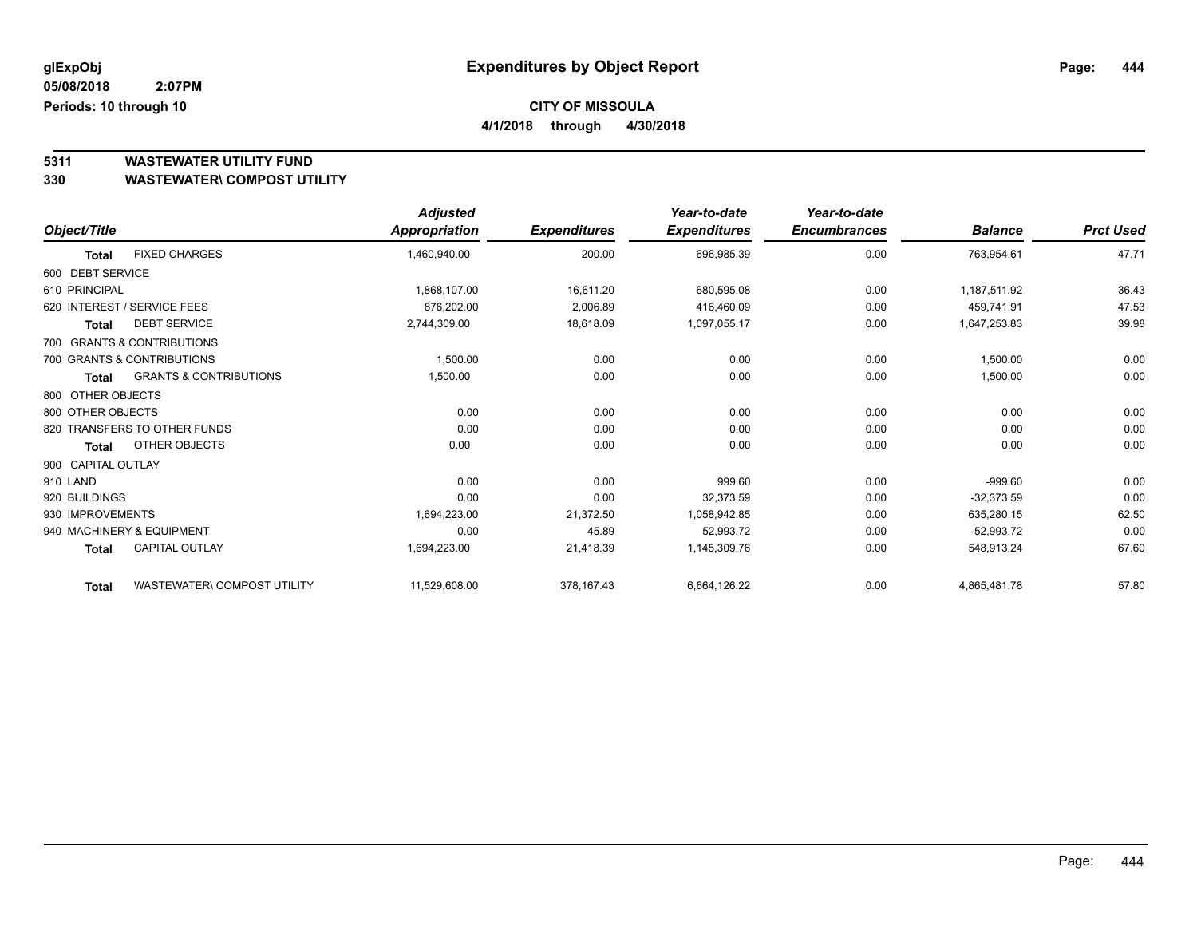# **5311 WASTEWATER UTILITY FUND**<br>330 WASTEWATER\ COMPOST UTI

|                    |                                    | <b>Adjusted</b>      |                     | Year-to-date        | Year-to-date        |                |                  |
|--------------------|------------------------------------|----------------------|---------------------|---------------------|---------------------|----------------|------------------|
| Object/Title       |                                    | <b>Appropriation</b> | <b>Expenditures</b> | <b>Expenditures</b> | <b>Encumbrances</b> | <b>Balance</b> | <b>Prct Used</b> |
| <b>Total</b>       | <b>FIXED CHARGES</b>               | 1,460,940.00         | 200.00              | 696,985.39          | 0.00                | 763,954.61     | 47.71            |
| 600 DEBT SERVICE   |                                    |                      |                     |                     |                     |                |                  |
| 610 PRINCIPAL      |                                    | 1.868.107.00         | 16.611.20           | 680,595.08          | 0.00                | 1,187,511.92   | 36.43            |
|                    | 620 INTEREST / SERVICE FEES        | 876,202.00           | 2,006.89            | 416,460.09          | 0.00                | 459.741.91     | 47.53            |
| <b>Total</b>       | <b>DEBT SERVICE</b>                | 2,744,309.00         | 18,618.09           | 1,097,055.17        | 0.00                | 1,647,253.83   | 39.98            |
|                    | 700 GRANTS & CONTRIBUTIONS         |                      |                     |                     |                     |                |                  |
|                    | 700 GRANTS & CONTRIBUTIONS         | 1,500.00             | 0.00                | 0.00                | 0.00                | 1,500.00       | 0.00             |
| <b>Total</b>       | <b>GRANTS &amp; CONTRIBUTIONS</b>  | 1,500.00             | 0.00                | 0.00                | 0.00                | 1,500.00       | 0.00             |
|                    | 800 OTHER OBJECTS                  |                      |                     |                     |                     |                |                  |
| 800 OTHER OBJECTS  |                                    | 0.00                 | 0.00                | 0.00                | 0.00                | 0.00           | 0.00             |
|                    | 820 TRANSFERS TO OTHER FUNDS       | 0.00                 | 0.00                | 0.00                | 0.00                | 0.00           | 0.00             |
| <b>Total</b>       | OTHER OBJECTS                      | 0.00                 | 0.00                | 0.00                | 0.00                | 0.00           | 0.00             |
| 900 CAPITAL OUTLAY |                                    |                      |                     |                     |                     |                |                  |
| 910 LAND           |                                    | 0.00                 | 0.00                | 999.60              | 0.00                | $-999.60$      | 0.00             |
| 920 BUILDINGS      |                                    | 0.00                 | 0.00                | 32.373.59           | 0.00                | $-32,373.59$   | 0.00             |
| 930 IMPROVEMENTS   |                                    | 1,694,223.00         | 21,372.50           | 1,058,942.85        | 0.00                | 635,280.15     | 62.50            |
|                    | 940 MACHINERY & EQUIPMENT          | 0.00                 | 45.89               | 52,993.72           | 0.00                | $-52,993.72$   | 0.00             |
| <b>Total</b>       | <b>CAPITAL OUTLAY</b>              | 1,694,223.00         | 21,418.39           | 1,145,309.76        | 0.00                | 548,913.24     | 67.60            |
| <b>Total</b>       | <b>WASTEWATER\ COMPOST UTILITY</b> | 11,529,608.00        | 378,167.43          | 6,664,126.22        | 0.00                | 4,865,481.78   | 57.80            |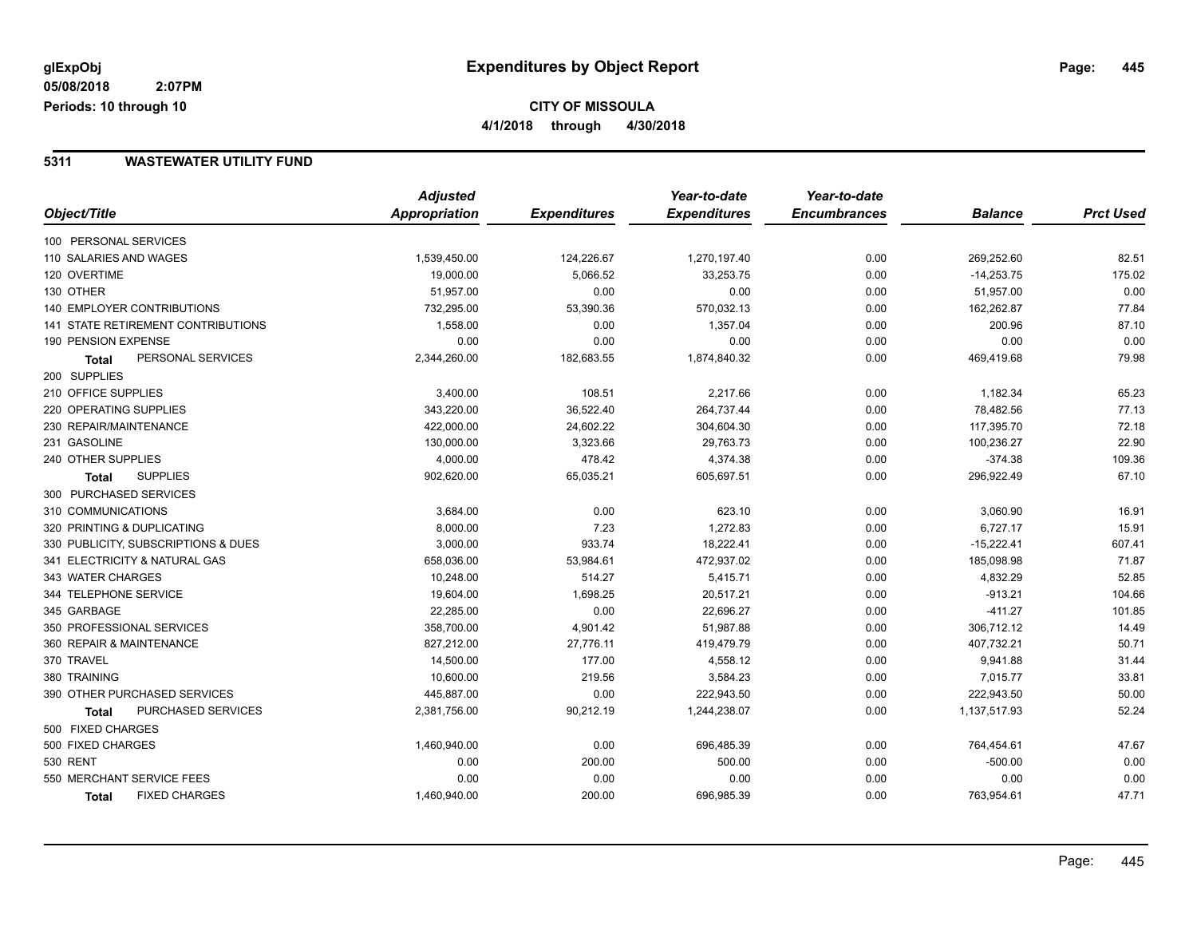#### **5311 WASTEWATER UTILITY FUND**

|                                      | <b>Adjusted</b> |                     | Year-to-date        | Year-to-date        |                |                  |
|--------------------------------------|-----------------|---------------------|---------------------|---------------------|----------------|------------------|
| Object/Title                         | Appropriation   | <b>Expenditures</b> | <b>Expenditures</b> | <b>Encumbrances</b> | <b>Balance</b> | <b>Prct Used</b> |
| 100 PERSONAL SERVICES                |                 |                     |                     |                     |                |                  |
| 110 SALARIES AND WAGES               | 1,539,450.00    | 124,226.67          | 1,270,197.40        | 0.00                | 269,252.60     | 82.51            |
| 120 OVERTIME                         | 19,000.00       | 5,066.52            | 33,253.75           | 0.00                | $-14,253.75$   | 175.02           |
| 130 OTHER                            | 51,957.00       | 0.00                | 0.00                | 0.00                | 51,957.00      | 0.00             |
| <b>140 EMPLOYER CONTRIBUTIONS</b>    | 732,295.00      | 53,390.36           | 570,032.13          | 0.00                | 162,262.87     | 77.84            |
| 141 STATE RETIREMENT CONTRIBUTIONS   | 1,558.00        | 0.00                | 1,357.04            | 0.00                | 200.96         | 87.10            |
| 190 PENSION EXPENSE                  | 0.00            | 0.00                | 0.00                | 0.00                | 0.00           | 0.00             |
| PERSONAL SERVICES<br><b>Total</b>    | 2,344,260.00    | 182,683.55          | 1,874,840.32        | 0.00                | 469,419.68     | 79.98            |
| 200 SUPPLIES                         |                 |                     |                     |                     |                |                  |
| 210 OFFICE SUPPLIES                  | 3,400.00        | 108.51              | 2,217.66            | 0.00                | 1,182.34       | 65.23            |
| 220 OPERATING SUPPLIES               | 343,220.00      | 36,522.40           | 264,737.44          | 0.00                | 78,482.56      | 77.13            |
| 230 REPAIR/MAINTENANCE               | 422,000.00      | 24,602.22           | 304,604.30          | 0.00                | 117,395.70     | 72.18            |
| 231 GASOLINE                         | 130,000.00      | 3,323.66            | 29,763.73           | 0.00                | 100,236.27     | 22.90            |
| 240 OTHER SUPPLIES                   | 4,000.00        | 478.42              | 4,374.38            | 0.00                | $-374.38$      | 109.36           |
| <b>SUPPLIES</b><br><b>Total</b>      | 902,620.00      | 65,035.21           | 605,697.51          | 0.00                | 296,922.49     | 67.10            |
| 300 PURCHASED SERVICES               |                 |                     |                     |                     |                |                  |
| 310 COMMUNICATIONS                   | 3,684.00        | 0.00                | 623.10              | 0.00                | 3,060.90       | 16.91            |
| 320 PRINTING & DUPLICATING           | 8,000.00        | 7.23                | 1,272.83            | 0.00                | 6,727.17       | 15.91            |
| 330 PUBLICITY, SUBSCRIPTIONS & DUES  | 3,000.00        | 933.74              | 18,222.41           | 0.00                | $-15,222.41$   | 607.41           |
| 341 ELECTRICITY & NATURAL GAS        | 658,036.00      | 53,984.61           | 472,937.02          | 0.00                | 185,098.98     | 71.87            |
| 343 WATER CHARGES                    | 10,248.00       | 514.27              | 5,415.71            | 0.00                | 4,832.29       | 52.85            |
| 344 TELEPHONE SERVICE                | 19,604.00       | 1,698.25            | 20,517.21           | 0.00                | $-913.21$      | 104.66           |
| 345 GARBAGE                          | 22,285.00       | 0.00                | 22,696.27           | 0.00                | $-411.27$      | 101.85           |
| 350 PROFESSIONAL SERVICES            | 358,700.00      | 4,901.42            | 51,987.88           | 0.00                | 306,712.12     | 14.49            |
| 360 REPAIR & MAINTENANCE             | 827,212.00      | 27,776.11           | 419,479.79          | 0.00                | 407,732.21     | 50.71            |
| 370 TRAVEL                           | 14,500.00       | 177.00              | 4,558.12            | 0.00                | 9,941.88       | 31.44            |
| 380 TRAINING                         | 10,600.00       | 219.56              | 3,584.23            | 0.00                | 7,015.77       | 33.81            |
| 390 OTHER PURCHASED SERVICES         | 445,887.00      | 0.00                | 222,943.50          | 0.00                | 222,943.50     | 50.00            |
| PURCHASED SERVICES<br><b>Total</b>   | 2,381,756.00    | 90,212.19           | 1,244,238.07        | 0.00                | 1,137,517.93   | 52.24            |
| 500 FIXED CHARGES                    |                 |                     |                     |                     |                |                  |
| 500 FIXED CHARGES                    | 1,460,940.00    | 0.00                | 696,485.39          | 0.00                | 764,454.61     | 47.67            |
| 530 RENT                             | 0.00            | 200.00              | 500.00              | 0.00                | $-500.00$      | 0.00             |
| 550 MERCHANT SERVICE FEES            | 0.00            | 0.00                | 0.00                | 0.00                | 0.00           | 0.00             |
| <b>FIXED CHARGES</b><br><b>Total</b> | 1,460,940.00    | 200.00              | 696,985.39          | 0.00                | 763,954.61     | 47.71            |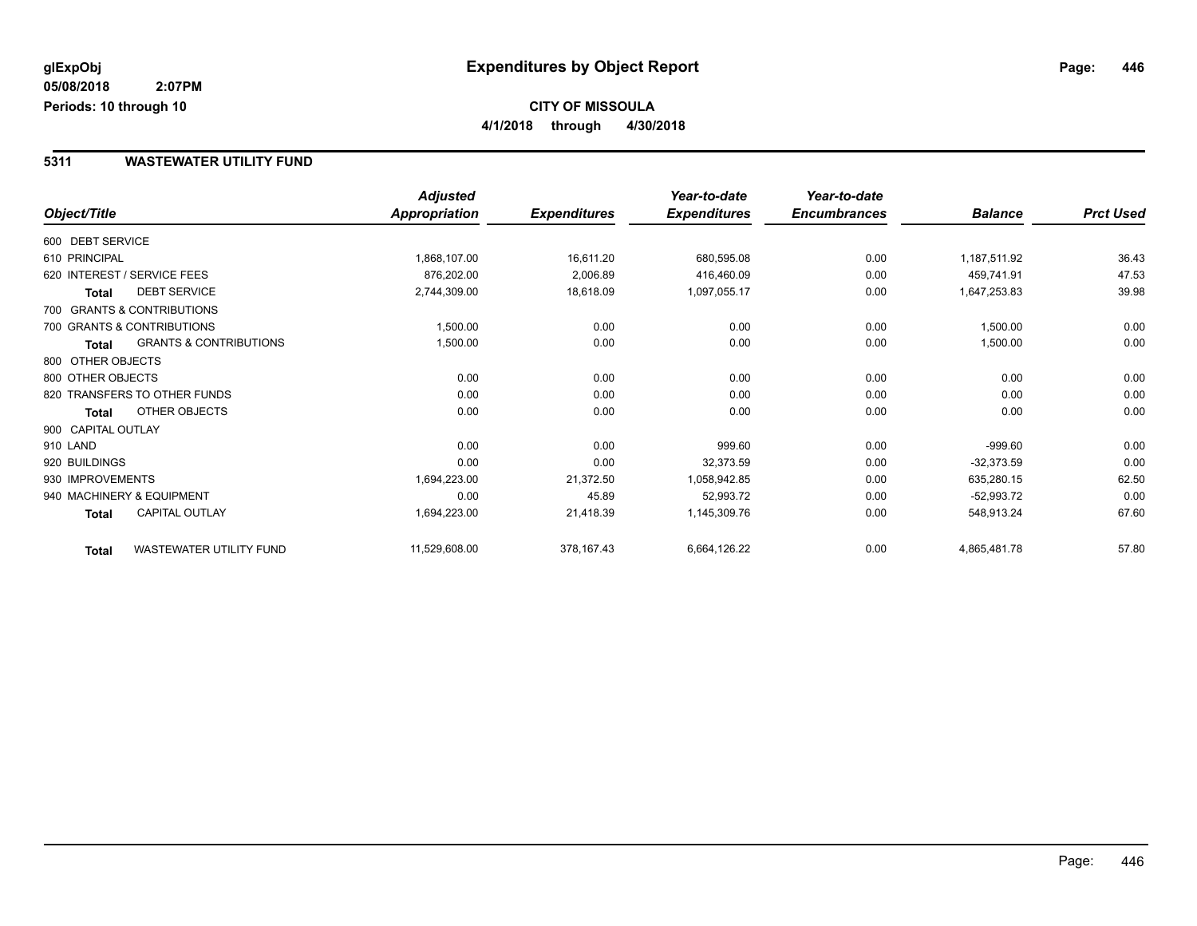### **5311 WASTEWATER UTILITY FUND**

|                    |                                   | <b>Adjusted</b> |                     | Year-to-date        | Year-to-date        |                |                  |
|--------------------|-----------------------------------|-----------------|---------------------|---------------------|---------------------|----------------|------------------|
| Object/Title       |                                   | Appropriation   | <b>Expenditures</b> | <b>Expenditures</b> | <b>Encumbrances</b> | <b>Balance</b> | <b>Prct Used</b> |
| 600 DEBT SERVICE   |                                   |                 |                     |                     |                     |                |                  |
| 610 PRINCIPAL      |                                   | 1,868,107.00    | 16,611.20           | 680,595.08          | 0.00                | 1,187,511.92   | 36.43            |
|                    | 620 INTEREST / SERVICE FEES       | 876,202.00      | 2,006.89            | 416,460.09          | 0.00                | 459,741.91     | 47.53            |
| <b>Total</b>       | <b>DEBT SERVICE</b>               | 2,744,309.00    | 18,618.09           | 1,097,055.17        | 0.00                | 1,647,253.83   | 39.98            |
|                    | 700 GRANTS & CONTRIBUTIONS        |                 |                     |                     |                     |                |                  |
|                    | 700 GRANTS & CONTRIBUTIONS        | 1,500.00        | 0.00                | 0.00                | 0.00                | 1,500.00       | 0.00             |
| <b>Total</b>       | <b>GRANTS &amp; CONTRIBUTIONS</b> | 1,500.00        | 0.00                | 0.00                | 0.00                | 1,500.00       | 0.00             |
| 800 OTHER OBJECTS  |                                   |                 |                     |                     |                     |                |                  |
| 800 OTHER OBJECTS  |                                   | 0.00            | 0.00                | 0.00                | 0.00                | 0.00           | 0.00             |
|                    | 820 TRANSFERS TO OTHER FUNDS      | 0.00            | 0.00                | 0.00                | 0.00                | 0.00           | 0.00             |
| Total              | OTHER OBJECTS                     | 0.00            | 0.00                | 0.00                | 0.00                | 0.00           | 0.00             |
| 900 CAPITAL OUTLAY |                                   |                 |                     |                     |                     |                |                  |
| 910 LAND           |                                   | 0.00            | 0.00                | 999.60              | 0.00                | $-999.60$      | 0.00             |
| 920 BUILDINGS      |                                   | 0.00            | 0.00                | 32,373.59           | 0.00                | $-32,373.59$   | 0.00             |
| 930 IMPROVEMENTS   |                                   | 1,694,223.00    | 21,372.50           | 1,058,942.85        | 0.00                | 635,280.15     | 62.50            |
|                    | 940 MACHINERY & EQUIPMENT         | 0.00            | 45.89               | 52,993.72           | 0.00                | $-52,993.72$   | 0.00             |
| Total              | <b>CAPITAL OUTLAY</b>             | 1,694,223.00    | 21,418.39           | 1,145,309.76        | 0.00                | 548,913.24     | 67.60            |
| <b>Total</b>       | WASTEWATER UTILITY FUND           | 11,529,608.00   | 378, 167.43         | 6,664,126.22        | 0.00                | 4,865,481.78   | 57.80            |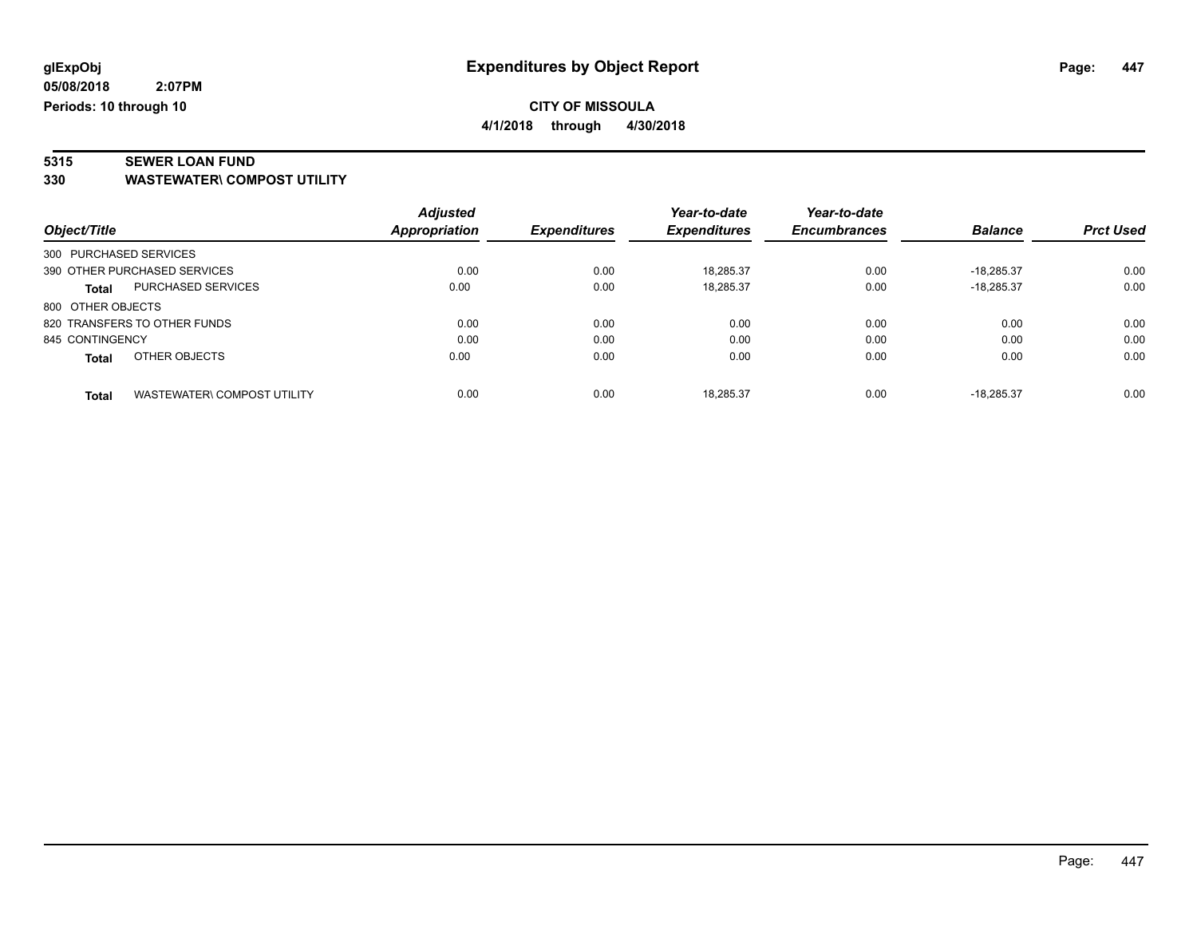**CITY OF MISSOULA 4/1/2018 through 4/30/2018**

**5315 SEWER LOAN FUND 330 WASTEWATER\ COMPOST UTILITY**

|                        |                                    | <b>Adjusted</b>      |                     | Year-to-date        | Year-to-date        |                |                  |
|------------------------|------------------------------------|----------------------|---------------------|---------------------|---------------------|----------------|------------------|
| Object/Title           |                                    | <b>Appropriation</b> | <b>Expenditures</b> | <b>Expenditures</b> | <b>Encumbrances</b> | <b>Balance</b> | <b>Prct Used</b> |
| 300 PURCHASED SERVICES |                                    |                      |                     |                     |                     |                |                  |
|                        | 390 OTHER PURCHASED SERVICES       | 0.00                 | 0.00                | 18.285.37           | 0.00                | $-18.285.37$   | 0.00             |
| <b>Total</b>           | <b>PURCHASED SERVICES</b>          | 0.00                 | 0.00                | 18,285.37           | 0.00                | $-18.285.37$   | 0.00             |
| 800 OTHER OBJECTS      |                                    |                      |                     |                     |                     |                |                  |
|                        | 820 TRANSFERS TO OTHER FUNDS       | 0.00                 | 0.00                | 0.00                | 0.00                | 0.00           | 0.00             |
| 845 CONTINGENCY        |                                    | 0.00                 | 0.00                | 0.00                | 0.00                | 0.00           | 0.00             |
| <b>Total</b>           | OTHER OBJECTS                      | 0.00                 | 0.00                | 0.00                | 0.00                | 0.00           | 0.00             |
| <b>Total</b>           | <b>WASTEWATER\ COMPOST UTILITY</b> | 0.00                 | 0.00                | 18.285.37           | 0.00                | $-18.285.37$   | 0.00             |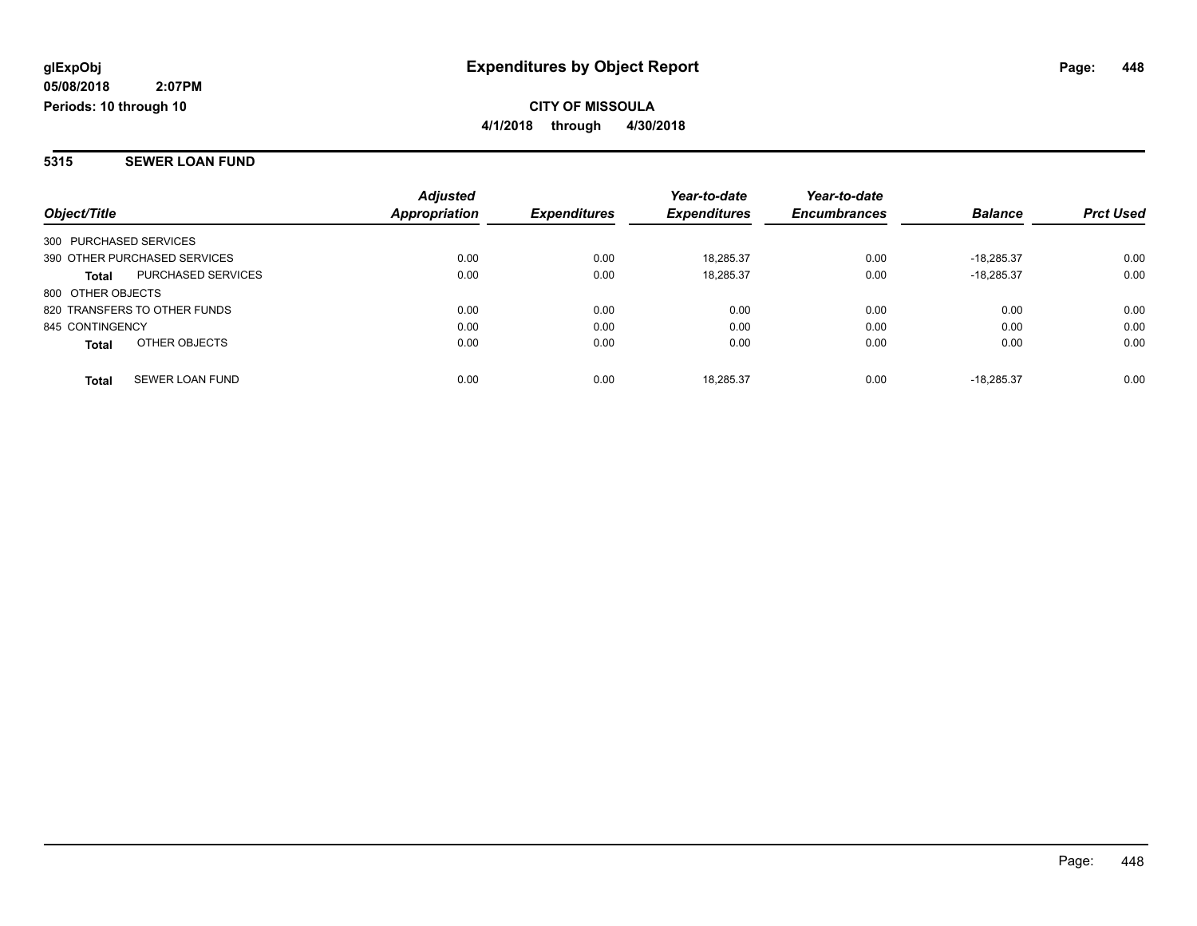#### **5315 SEWER LOAN FUND**

|                                        | <b>Adjusted</b> |                     | Year-to-date        | Year-to-date        |                |                  |
|----------------------------------------|-----------------|---------------------|---------------------|---------------------|----------------|------------------|
| Object/Title                           | Appropriation   | <b>Expenditures</b> | <b>Expenditures</b> | <b>Encumbrances</b> | <b>Balance</b> | <b>Prct Used</b> |
| 300 PURCHASED SERVICES                 |                 |                     |                     |                     |                |                  |
| 390 OTHER PURCHASED SERVICES           | 0.00            | 0.00                | 18.285.37           | 0.00                | $-18.285.37$   | 0.00             |
| PURCHASED SERVICES<br><b>Total</b>     | 0.00            | 0.00                | 18,285.37           | 0.00                | $-18.285.37$   | 0.00             |
| 800 OTHER OBJECTS                      |                 |                     |                     |                     |                |                  |
| 820 TRANSFERS TO OTHER FUNDS           | 0.00            | 0.00                | 0.00                | 0.00                | 0.00           | 0.00             |
| 845 CONTINGENCY                        | 0.00            | 0.00                | 0.00                | 0.00                | 0.00           | 0.00             |
| OTHER OBJECTS<br><b>Total</b>          | 0.00            | 0.00                | 0.00                | 0.00                | 0.00           | 0.00             |
| <b>SEWER LOAN FUND</b><br><b>Total</b> | 0.00            | 0.00                | 18.285.37           | 0.00                | $-18.285.37$   | 0.00             |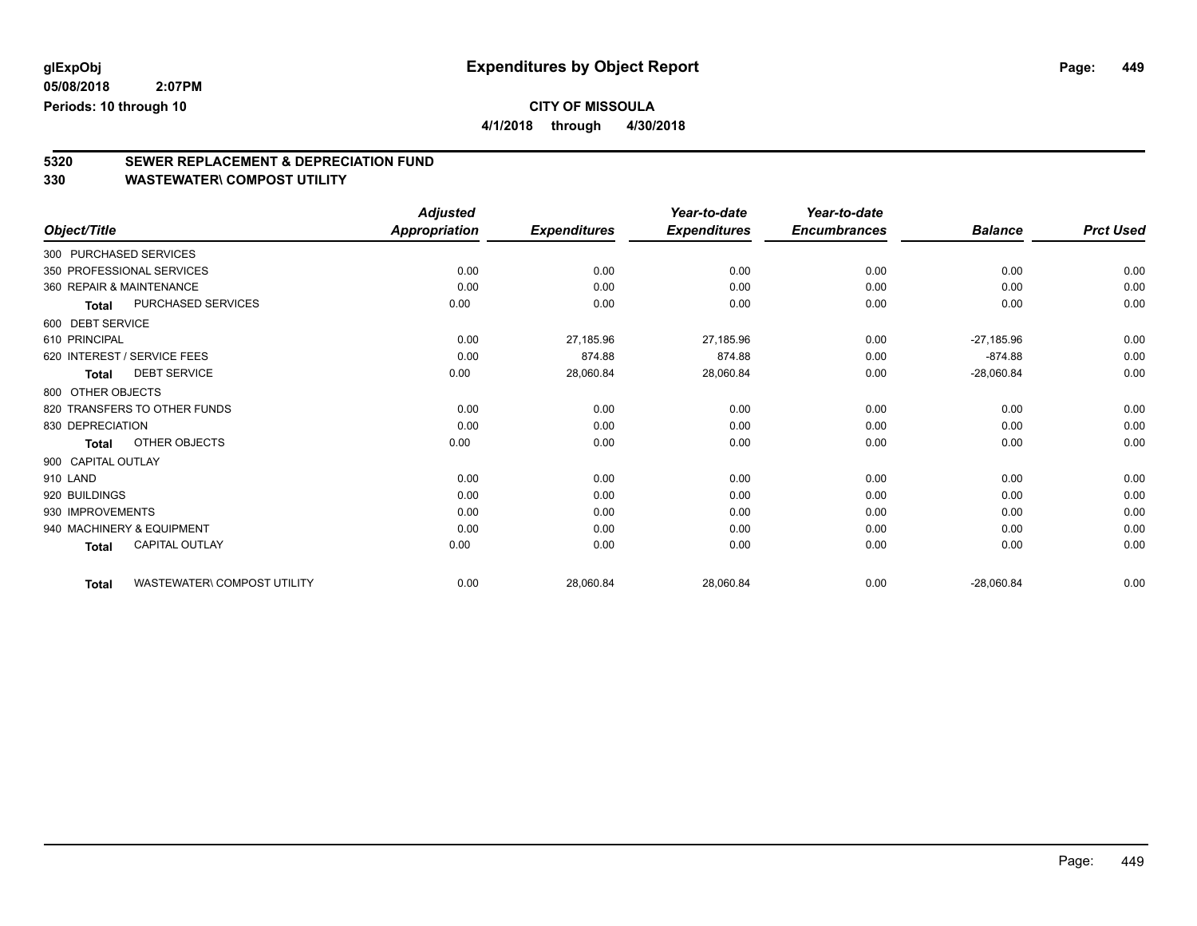# **5320 SEWER REPLACEMENT & DEPRECIATION FUND**

|                              |                             | <b>Adjusted</b> |                     | Year-to-date        | Year-to-date        |                |                  |
|------------------------------|-----------------------------|-----------------|---------------------|---------------------|---------------------|----------------|------------------|
| Object/Title                 |                             | Appropriation   | <b>Expenditures</b> | <b>Expenditures</b> | <b>Encumbrances</b> | <b>Balance</b> | <b>Prct Used</b> |
| 300 PURCHASED SERVICES       |                             |                 |                     |                     |                     |                |                  |
| 350 PROFESSIONAL SERVICES    |                             | 0.00            | 0.00                | 0.00                | 0.00                | 0.00           | 0.00             |
| 360 REPAIR & MAINTENANCE     |                             | 0.00            | 0.00                | 0.00                | 0.00                | 0.00           | 0.00             |
| <b>Total</b>                 | PURCHASED SERVICES          | 0.00            | 0.00                | 0.00                | 0.00                | 0.00           | 0.00             |
| 600 DEBT SERVICE             |                             |                 |                     |                     |                     |                |                  |
| 610 PRINCIPAL                |                             | 0.00            | 27,185.96           | 27,185.96           | 0.00                | $-27,185.96$   | 0.00             |
| 620 INTEREST / SERVICE FEES  |                             | 0.00            | 874.88              | 874.88              | 0.00                | $-874.88$      | 0.00             |
| <b>Total</b>                 | <b>DEBT SERVICE</b>         | 0.00            | 28,060.84           | 28,060.84           | 0.00                | $-28,060.84$   | 0.00             |
| 800 OTHER OBJECTS            |                             |                 |                     |                     |                     |                |                  |
| 820 TRANSFERS TO OTHER FUNDS |                             | 0.00            | 0.00                | 0.00                | 0.00                | 0.00           | 0.00             |
| 830 DEPRECIATION             |                             | 0.00            | 0.00                | 0.00                | 0.00                | 0.00           | 0.00             |
| <b>Total</b>                 | OTHER OBJECTS               | 0.00            | 0.00                | 0.00                | 0.00                | 0.00           | 0.00             |
| 900 CAPITAL OUTLAY           |                             |                 |                     |                     |                     |                |                  |
| 910 LAND                     |                             | 0.00            | 0.00                | 0.00                | 0.00                | 0.00           | 0.00             |
| 920 BUILDINGS                |                             | 0.00            | 0.00                | 0.00                | 0.00                | 0.00           | 0.00             |
| 930 IMPROVEMENTS             |                             | 0.00            | 0.00                | 0.00                | 0.00                | 0.00           | 0.00             |
| 940 MACHINERY & EQUIPMENT    |                             | 0.00            | 0.00                | 0.00                | 0.00                | 0.00           | 0.00             |
| <b>Total</b>                 | CAPITAL OUTLAY              | 0.00            | 0.00                | 0.00                | 0.00                | 0.00           | 0.00             |
| <b>Total</b>                 | WASTEWATER\ COMPOST UTILITY | 0.00            | 28,060.84           | 28,060.84           | 0.00                | $-28,060.84$   | 0.00             |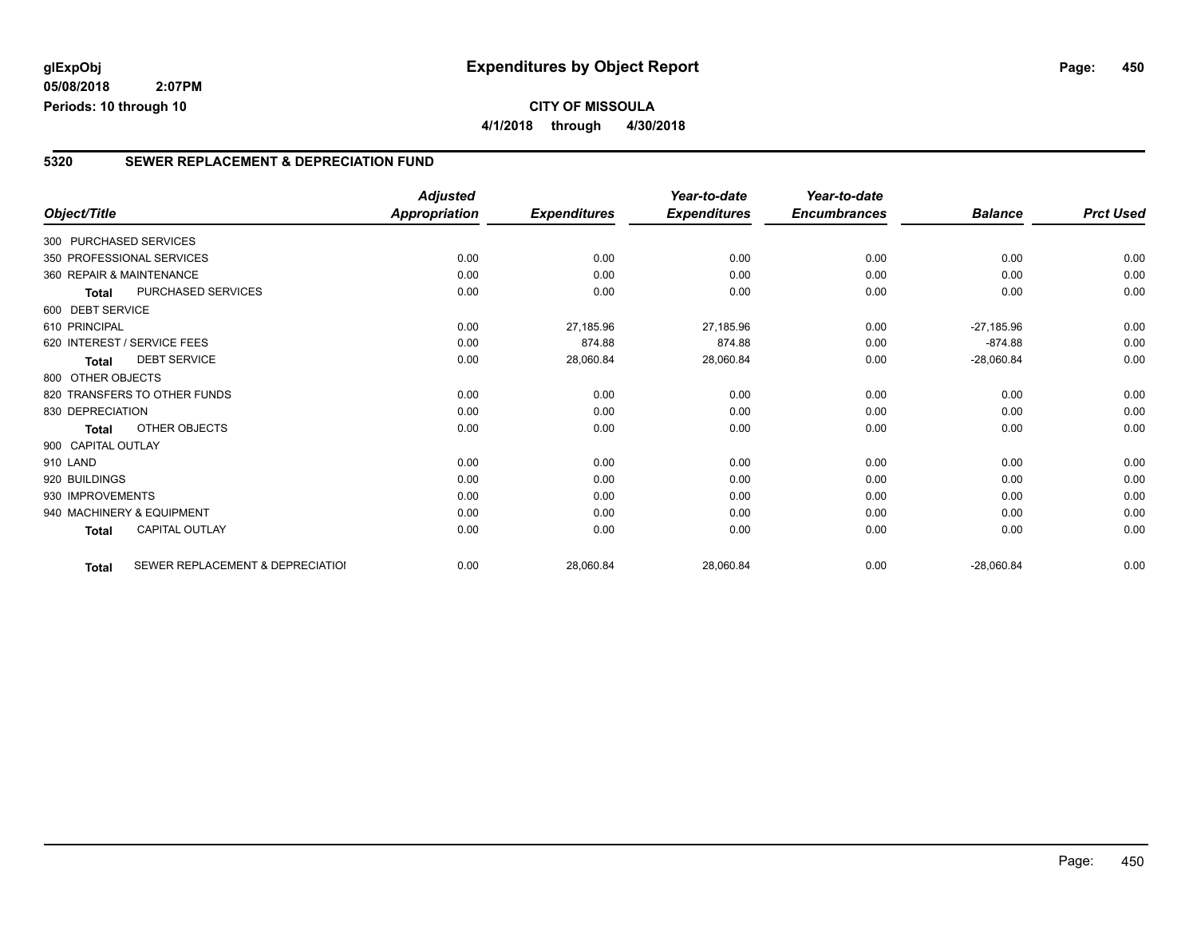#### **5320 SEWER REPLACEMENT & DEPRECIATION FUND**

|                          |                                  | <b>Adjusted</b>      |                     | Year-to-date        | Year-to-date        |                |                  |
|--------------------------|----------------------------------|----------------------|---------------------|---------------------|---------------------|----------------|------------------|
| Object/Title             |                                  | <b>Appropriation</b> | <b>Expenditures</b> | <b>Expenditures</b> | <b>Encumbrances</b> | <b>Balance</b> | <b>Prct Used</b> |
| 300 PURCHASED SERVICES   |                                  |                      |                     |                     |                     |                |                  |
|                          | 350 PROFESSIONAL SERVICES        | 0.00                 | 0.00                | 0.00                | 0.00                | 0.00           | 0.00             |
| 360 REPAIR & MAINTENANCE |                                  | 0.00                 | 0.00                | 0.00                | 0.00                | 0.00           | 0.00             |
| <b>Total</b>             | PURCHASED SERVICES               | 0.00                 | 0.00                | 0.00                | 0.00                | 0.00           | 0.00             |
| 600 DEBT SERVICE         |                                  |                      |                     |                     |                     |                |                  |
| 610 PRINCIPAL            |                                  | 0.00                 | 27,185.96           | 27,185.96           | 0.00                | $-27,185.96$   | 0.00             |
|                          | 620 INTEREST / SERVICE FEES      | 0.00                 | 874.88              | 874.88              | 0.00                | $-874.88$      | 0.00             |
| <b>Total</b>             | <b>DEBT SERVICE</b>              | 0.00                 | 28,060.84           | 28,060.84           | 0.00                | $-28,060.84$   | 0.00             |
| 800 OTHER OBJECTS        |                                  |                      |                     |                     |                     |                |                  |
|                          | 820 TRANSFERS TO OTHER FUNDS     | 0.00                 | 0.00                | 0.00                | 0.00                | 0.00           | 0.00             |
| 830 DEPRECIATION         |                                  | 0.00                 | 0.00                | 0.00                | 0.00                | 0.00           | 0.00             |
| <b>Total</b>             | OTHER OBJECTS                    | 0.00                 | 0.00                | 0.00                | 0.00                | 0.00           | 0.00             |
| 900 CAPITAL OUTLAY       |                                  |                      |                     |                     |                     |                |                  |
| 910 LAND                 |                                  | 0.00                 | 0.00                | 0.00                | 0.00                | 0.00           | 0.00             |
| 920 BUILDINGS            |                                  | 0.00                 | 0.00                | 0.00                | 0.00                | 0.00           | 0.00             |
| 930 IMPROVEMENTS         |                                  | 0.00                 | 0.00                | 0.00                | 0.00                | 0.00           | 0.00             |
|                          | 940 MACHINERY & EQUIPMENT        | 0.00                 | 0.00                | 0.00                | 0.00                | 0.00           | 0.00             |
| <b>Total</b>             | <b>CAPITAL OUTLAY</b>            | 0.00                 | 0.00                | 0.00                | 0.00                | 0.00           | 0.00             |
| <b>Total</b>             | SEWER REPLACEMENT & DEPRECIATIOI | 0.00                 | 28,060.84           | 28,060.84           | 0.00                | $-28,060.84$   | 0.00             |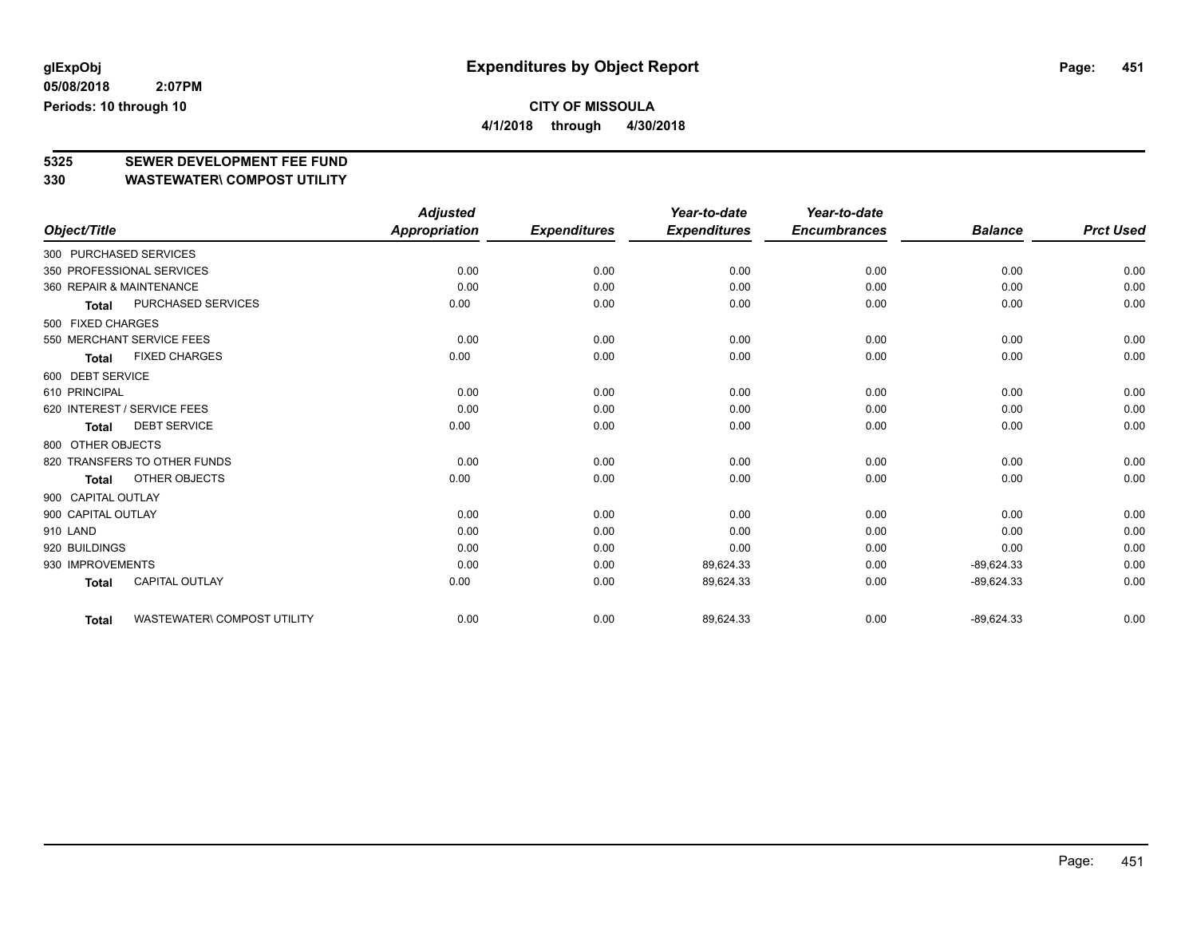**CITY OF MISSOULA 4/1/2018 through 4/30/2018**

# **5325 SEWER DEVELOPMENT FEE FUND<br>330 WASTEWATER\ COMPOST UTILITY**

|                          |                                    | <b>Adjusted</b>      |                     | Year-to-date        | Year-to-date        |                |                  |
|--------------------------|------------------------------------|----------------------|---------------------|---------------------|---------------------|----------------|------------------|
| Object/Title             |                                    | <b>Appropriation</b> | <b>Expenditures</b> | <b>Expenditures</b> | <b>Encumbrances</b> | <b>Balance</b> | <b>Prct Used</b> |
| 300 PURCHASED SERVICES   |                                    |                      |                     |                     |                     |                |                  |
|                          | 350 PROFESSIONAL SERVICES          | 0.00                 | 0.00                | 0.00                | 0.00                | 0.00           | 0.00             |
| 360 REPAIR & MAINTENANCE |                                    | 0.00                 | 0.00                | 0.00                | 0.00                | 0.00           | 0.00             |
| <b>Total</b>             | PURCHASED SERVICES                 | 0.00                 | 0.00                | 0.00                | 0.00                | 0.00           | 0.00             |
| 500 FIXED CHARGES        |                                    |                      |                     |                     |                     |                |                  |
|                          | 550 MERCHANT SERVICE FEES          | 0.00                 | 0.00                | 0.00                | 0.00                | 0.00           | 0.00             |
| <b>Total</b>             | <b>FIXED CHARGES</b>               | 0.00                 | 0.00                | 0.00                | 0.00                | 0.00           | 0.00             |
| 600 DEBT SERVICE         |                                    |                      |                     |                     |                     |                |                  |
| 610 PRINCIPAL            |                                    | 0.00                 | 0.00                | 0.00                | 0.00                | 0.00           | 0.00             |
|                          | 620 INTEREST / SERVICE FEES        | 0.00                 | 0.00                | 0.00                | 0.00                | 0.00           | 0.00             |
| <b>Total</b>             | <b>DEBT SERVICE</b>                | 0.00                 | 0.00                | 0.00                | 0.00                | 0.00           | 0.00             |
| 800 OTHER OBJECTS        |                                    |                      |                     |                     |                     |                |                  |
|                          | 820 TRANSFERS TO OTHER FUNDS       | 0.00                 | 0.00                | 0.00                | 0.00                | 0.00           | 0.00             |
| Total                    | OTHER OBJECTS                      | 0.00                 | 0.00                | 0.00                | 0.00                | 0.00           | 0.00             |
| 900 CAPITAL OUTLAY       |                                    |                      |                     |                     |                     |                |                  |
| 900 CAPITAL OUTLAY       |                                    | 0.00                 | 0.00                | 0.00                | 0.00                | 0.00           | 0.00             |
| 910 LAND                 |                                    | 0.00                 | 0.00                | 0.00                | 0.00                | 0.00           | 0.00             |
| 920 BUILDINGS            |                                    | 0.00                 | 0.00                | 0.00                | 0.00                | 0.00           | 0.00             |
| 930 IMPROVEMENTS         |                                    | 0.00                 | 0.00                | 89,624.33           | 0.00                | $-89,624.33$   | 0.00             |
| <b>Total</b>             | <b>CAPITAL OUTLAY</b>              | 0.00                 | 0.00                | 89,624.33           | 0.00                | $-89,624.33$   | 0.00             |
| <b>Total</b>             | <b>WASTEWATER\ COMPOST UTILITY</b> | 0.00                 | 0.00                | 89,624.33           | 0.00                | $-89,624.33$   | 0.00             |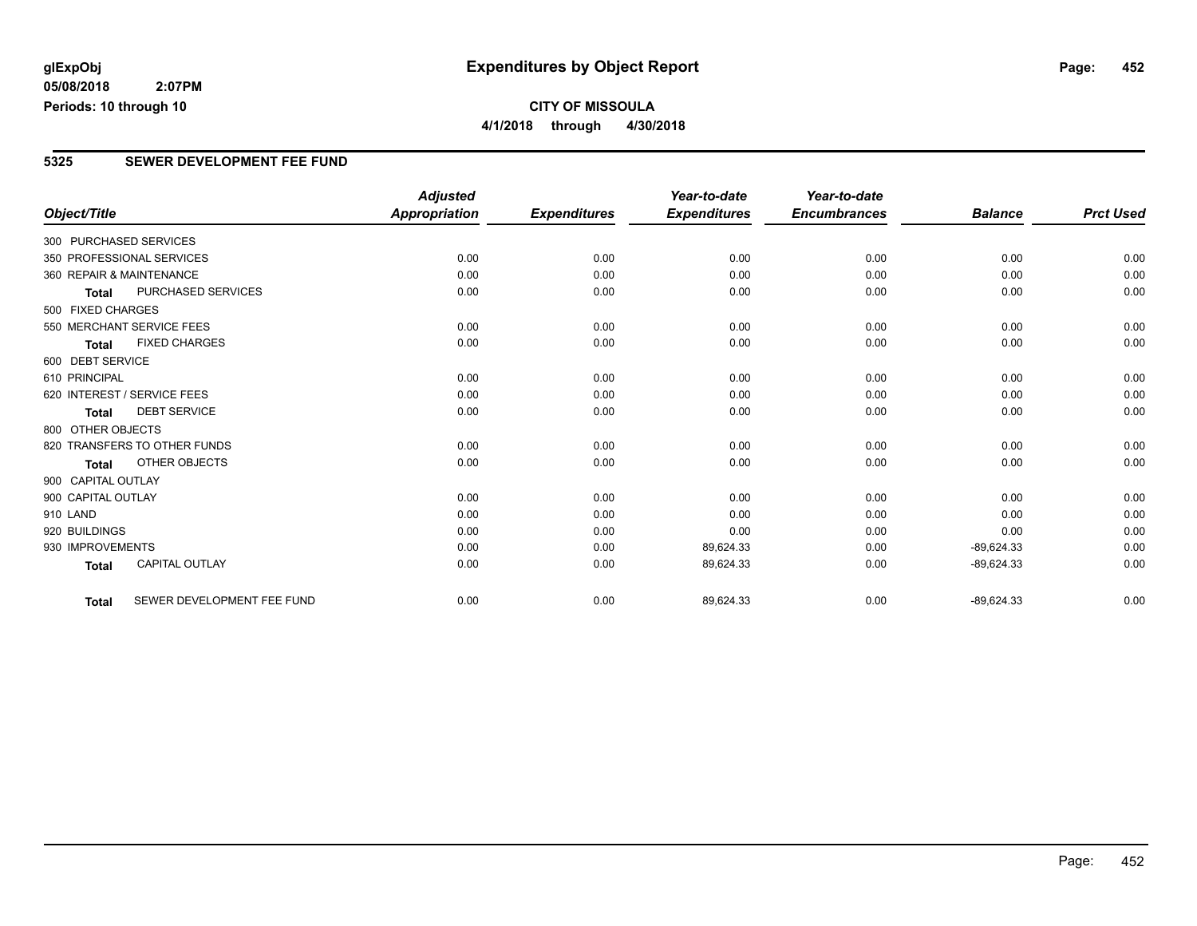### **5325 SEWER DEVELOPMENT FEE FUND**

|                          |                              | <b>Adjusted</b>      |                     | Year-to-date        | Year-to-date        |                |                  |
|--------------------------|------------------------------|----------------------|---------------------|---------------------|---------------------|----------------|------------------|
| Object/Title             |                              | <b>Appropriation</b> | <b>Expenditures</b> | <b>Expenditures</b> | <b>Encumbrances</b> | <b>Balance</b> | <b>Prct Used</b> |
| 300 PURCHASED SERVICES   |                              |                      |                     |                     |                     |                |                  |
|                          | 350 PROFESSIONAL SERVICES    | 0.00                 | 0.00                | 0.00                | 0.00                | 0.00           | 0.00             |
| 360 REPAIR & MAINTENANCE |                              | 0.00                 | 0.00                | 0.00                | 0.00                | 0.00           | 0.00             |
| Total                    | PURCHASED SERVICES           | 0.00                 | 0.00                | 0.00                | 0.00                | 0.00           | 0.00             |
| 500 FIXED CHARGES        |                              |                      |                     |                     |                     |                |                  |
|                          | 550 MERCHANT SERVICE FEES    | 0.00                 | 0.00                | 0.00                | 0.00                | 0.00           | 0.00             |
| <b>Total</b>             | <b>FIXED CHARGES</b>         | 0.00                 | 0.00                | 0.00                | 0.00                | 0.00           | 0.00             |
| 600 DEBT SERVICE         |                              |                      |                     |                     |                     |                |                  |
| 610 PRINCIPAL            |                              | 0.00                 | 0.00                | 0.00                | 0.00                | 0.00           | 0.00             |
|                          | 620 INTEREST / SERVICE FEES  | 0.00                 | 0.00                | 0.00                | 0.00                | 0.00           | 0.00             |
| <b>Total</b>             | <b>DEBT SERVICE</b>          | 0.00                 | 0.00                | 0.00                | 0.00                | 0.00           | 0.00             |
| 800 OTHER OBJECTS        |                              |                      |                     |                     |                     |                |                  |
|                          | 820 TRANSFERS TO OTHER FUNDS | 0.00                 | 0.00                | 0.00                | 0.00                | 0.00           | 0.00             |
| <b>Total</b>             | OTHER OBJECTS                | 0.00                 | 0.00                | 0.00                | 0.00                | 0.00           | 0.00             |
| 900 CAPITAL OUTLAY       |                              |                      |                     |                     |                     |                |                  |
| 900 CAPITAL OUTLAY       |                              | 0.00                 | 0.00                | 0.00                | 0.00                | 0.00           | 0.00             |
| 910 LAND                 |                              | 0.00                 | 0.00                | 0.00                | 0.00                | 0.00           | 0.00             |
| 920 BUILDINGS            |                              | 0.00                 | 0.00                | 0.00                | 0.00                | 0.00           | 0.00             |
| 930 IMPROVEMENTS         |                              | 0.00                 | 0.00                | 89,624.33           | 0.00                | $-89,624.33$   | 0.00             |
| <b>Total</b>             | <b>CAPITAL OUTLAY</b>        | 0.00                 | 0.00                | 89,624.33           | 0.00                | $-89,624.33$   | 0.00             |
| <b>Total</b>             | SEWER DEVELOPMENT FEE FUND   | 0.00                 | 0.00                | 89,624.33           | 0.00                | $-89,624.33$   | 0.00             |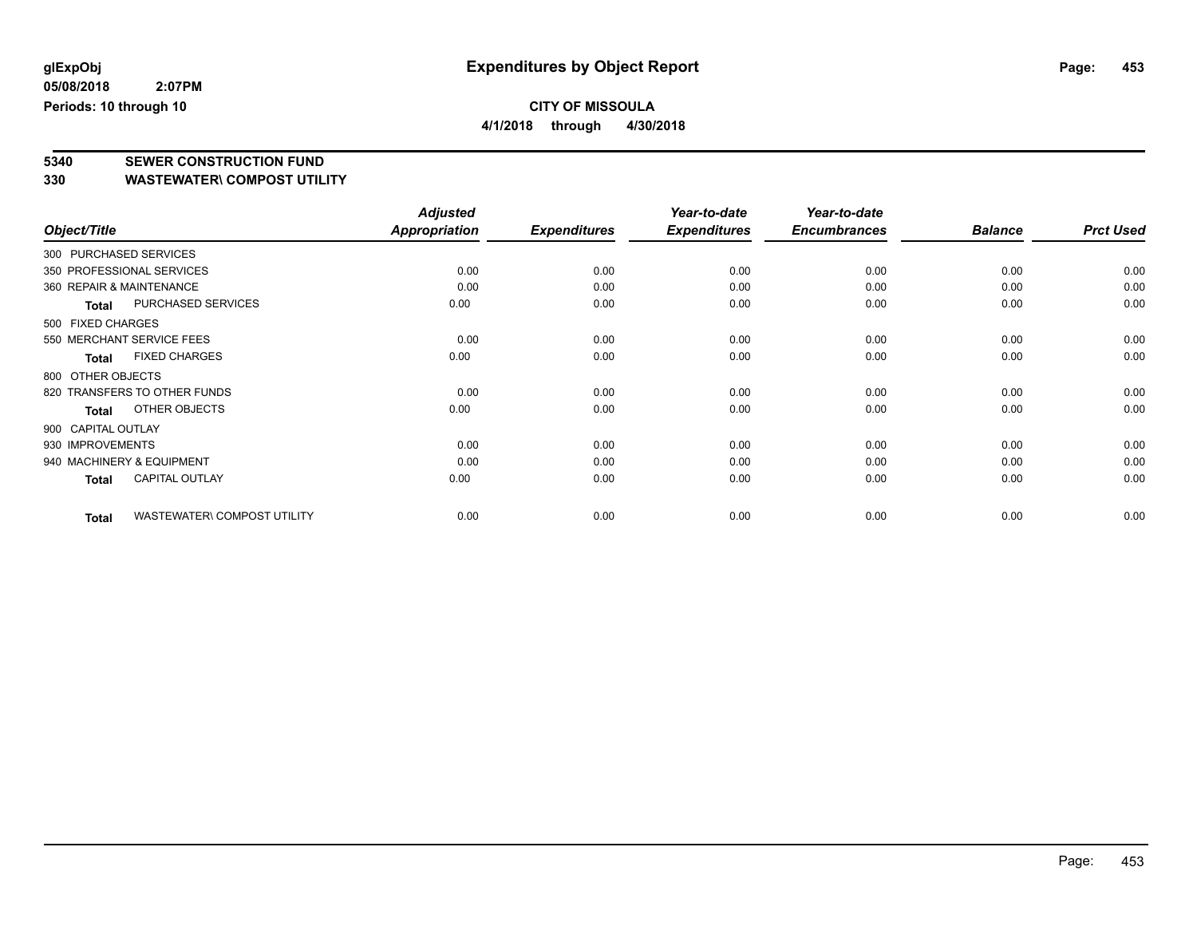# **5340 SEWER CONSTRUCTION FUND<br>330 WASTEWATER\ COMPOST UTILI**

| Object/Title             |                                    | <b>Adjusted</b><br>Appropriation | <b>Expenditures</b> | Year-to-date<br><b>Expenditures</b> | Year-to-date<br><b>Encumbrances</b> | <b>Balance</b> | <b>Prct Used</b> |
|--------------------------|------------------------------------|----------------------------------|---------------------|-------------------------------------|-------------------------------------|----------------|------------------|
| 300 PURCHASED SERVICES   |                                    |                                  |                     |                                     |                                     |                |                  |
|                          | 350 PROFESSIONAL SERVICES          | 0.00                             | 0.00                | 0.00                                | 0.00                                | 0.00           | 0.00             |
| 360 REPAIR & MAINTENANCE |                                    | 0.00                             | 0.00                | 0.00                                | 0.00                                | 0.00           | 0.00             |
| Total                    | <b>PURCHASED SERVICES</b>          | 0.00                             | 0.00                | 0.00                                | 0.00                                | 0.00           | 0.00             |
| 500 FIXED CHARGES        |                                    |                                  |                     |                                     |                                     |                |                  |
|                          | 550 MERCHANT SERVICE FEES          | 0.00                             | 0.00                | 0.00                                | 0.00                                | 0.00           | 0.00             |
| Total                    | <b>FIXED CHARGES</b>               | 0.00                             | 0.00                | 0.00                                | 0.00                                | 0.00           | 0.00             |
| 800 OTHER OBJECTS        |                                    |                                  |                     |                                     |                                     |                |                  |
|                          | 820 TRANSFERS TO OTHER FUNDS       | 0.00                             | 0.00                | 0.00                                | 0.00                                | 0.00           | 0.00             |
| <b>Total</b>             | OTHER OBJECTS                      | 0.00                             | 0.00                | 0.00                                | 0.00                                | 0.00           | 0.00             |
| 900 CAPITAL OUTLAY       |                                    |                                  |                     |                                     |                                     |                |                  |
| 930 IMPROVEMENTS         |                                    | 0.00                             | 0.00                | 0.00                                | 0.00                                | 0.00           | 0.00             |
|                          | 940 MACHINERY & EQUIPMENT          | 0.00                             | 0.00                | 0.00                                | 0.00                                | 0.00           | 0.00             |
| <b>Total</b>             | <b>CAPITAL OUTLAY</b>              | 0.00                             | 0.00                | 0.00                                | 0.00                                | 0.00           | 0.00             |
| <b>Total</b>             | <b>WASTEWATER\ COMPOST UTILITY</b> | 0.00                             | 0.00                | 0.00                                | 0.00                                | 0.00           | 0.00             |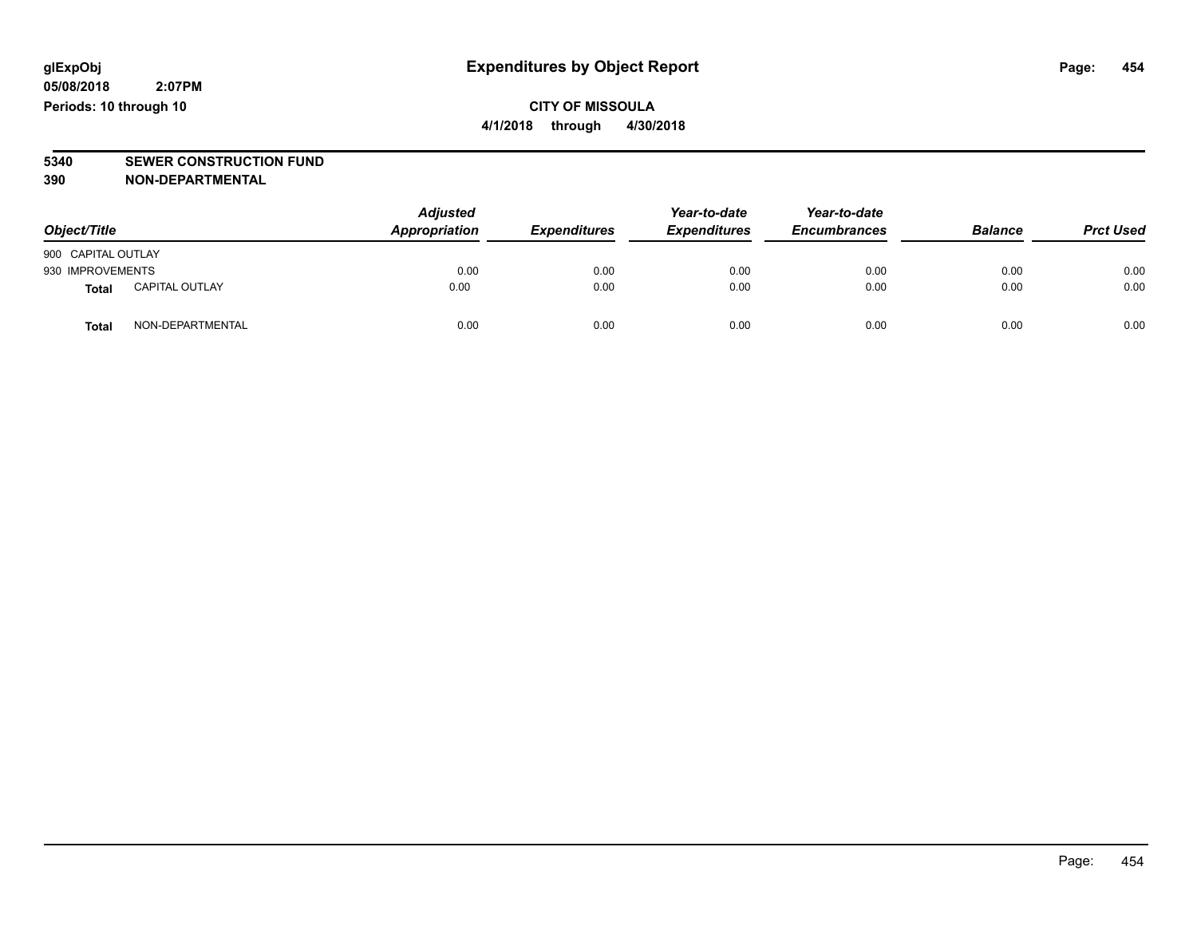# **CITY OF MISSOULA 4/1/2018 through 4/30/2018**

# **5340 SEWER CONSTRUCTION FUND**

**390 NON-DEPARTMENTAL**

| Object/Title       |                       | <b>Adjusted</b><br><b>Appropriation</b> | <b>Expenditures</b> | Year-to-date<br><b>Expenditures</b> | Year-to-date<br><b>Encumbrances</b> | <b>Balance</b> | <b>Prct Used</b> |
|--------------------|-----------------------|-----------------------------------------|---------------------|-------------------------------------|-------------------------------------|----------------|------------------|
| 900 CAPITAL OUTLAY |                       |                                         |                     |                                     |                                     |                |                  |
| 930 IMPROVEMENTS   |                       | 0.00                                    | 0.00                | 0.00                                | 0.00                                | 0.00           | 0.00             |
| Total              | <b>CAPITAL OUTLAY</b> | 0.00                                    | 0.00                | 0.00                                | 0.00                                | 0.00           | 0.00             |
| <b>Total</b>       | NON-DEPARTMENTAL      | 0.00                                    | 0.00                | 0.00                                | 0.00                                | 0.00           | 0.00             |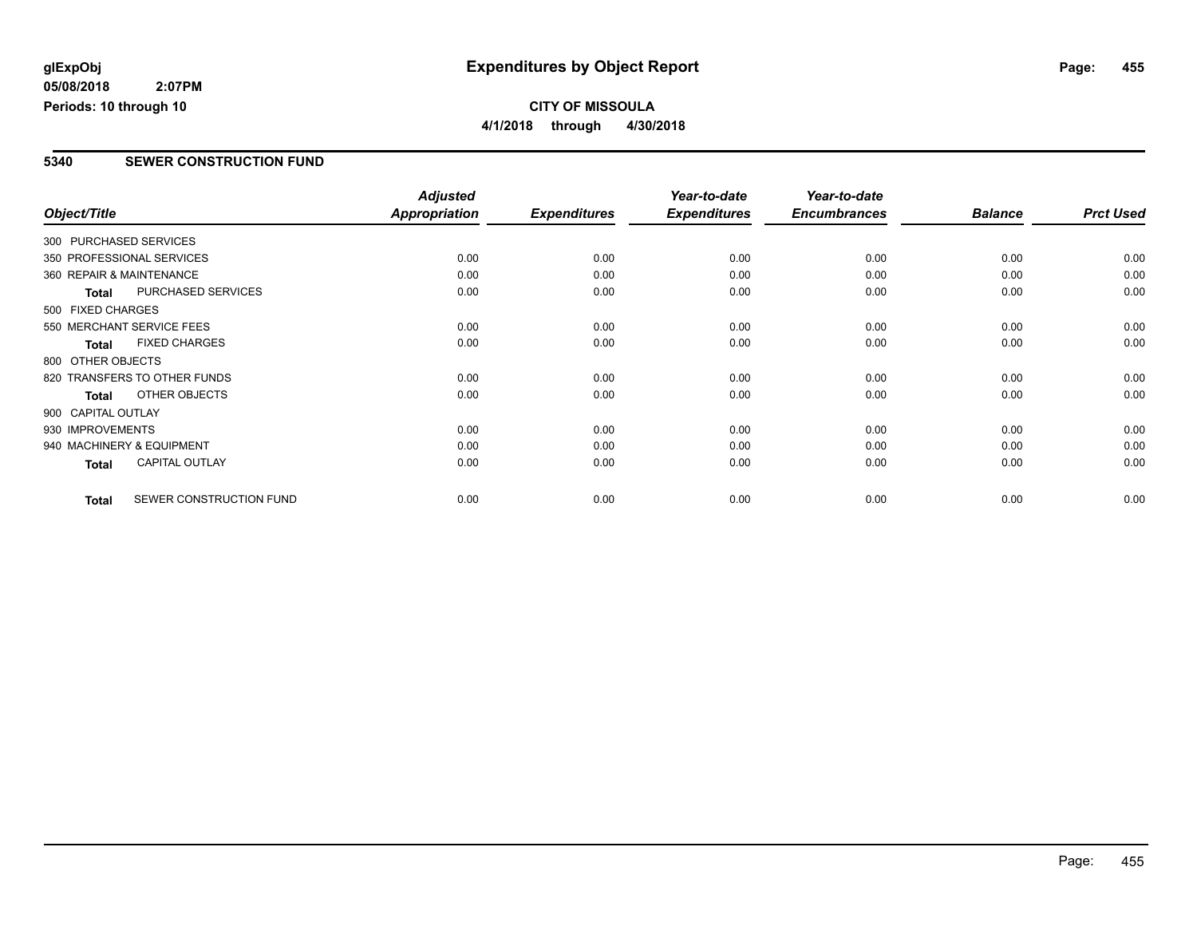**CITY OF MISSOULA 4/1/2018 through 4/30/2018**

### **5340 SEWER CONSTRUCTION FUND**

|                          |                              | <b>Adjusted</b>      |                     | Year-to-date        | Year-to-date        |                |                  |
|--------------------------|------------------------------|----------------------|---------------------|---------------------|---------------------|----------------|------------------|
| Object/Title             |                              | <b>Appropriation</b> | <b>Expenditures</b> | <b>Expenditures</b> | <b>Encumbrances</b> | <b>Balance</b> | <b>Prct Used</b> |
| 300 PURCHASED SERVICES   |                              |                      |                     |                     |                     |                |                  |
|                          | 350 PROFESSIONAL SERVICES    | 0.00                 | 0.00                | 0.00                | 0.00                | 0.00           | 0.00             |
| 360 REPAIR & MAINTENANCE |                              | 0.00                 | 0.00                | 0.00                | 0.00                | 0.00           | 0.00             |
| <b>Total</b>             | PURCHASED SERVICES           | 0.00                 | 0.00                | 0.00                | 0.00                | 0.00           | 0.00             |
| 500 FIXED CHARGES        |                              |                      |                     |                     |                     |                |                  |
|                          | 550 MERCHANT SERVICE FEES    | 0.00                 | 0.00                | 0.00                | 0.00                | 0.00           | 0.00             |
| <b>Total</b>             | <b>FIXED CHARGES</b>         | 0.00                 | 0.00                | 0.00                | 0.00                | 0.00           | 0.00             |
| 800 OTHER OBJECTS        |                              |                      |                     |                     |                     |                |                  |
|                          | 820 TRANSFERS TO OTHER FUNDS | 0.00                 | 0.00                | 0.00                | 0.00                | 0.00           | 0.00             |
| <b>Total</b>             | OTHER OBJECTS                | 0.00                 | 0.00                | 0.00                | 0.00                | 0.00           | 0.00             |
| 900 CAPITAL OUTLAY       |                              |                      |                     |                     |                     |                |                  |
| 930 IMPROVEMENTS         |                              | 0.00                 | 0.00                | 0.00                | 0.00                | 0.00           | 0.00             |
|                          | 940 MACHINERY & EQUIPMENT    | 0.00                 | 0.00                | 0.00                | 0.00                | 0.00           | 0.00             |
| <b>Total</b>             | <b>CAPITAL OUTLAY</b>        | 0.00                 | 0.00                | 0.00                | 0.00                | 0.00           | 0.00             |
| <b>Total</b>             | SEWER CONSTRUCTION FUND      | 0.00                 | 0.00                | 0.00                | 0.00                | 0.00           | 0.00             |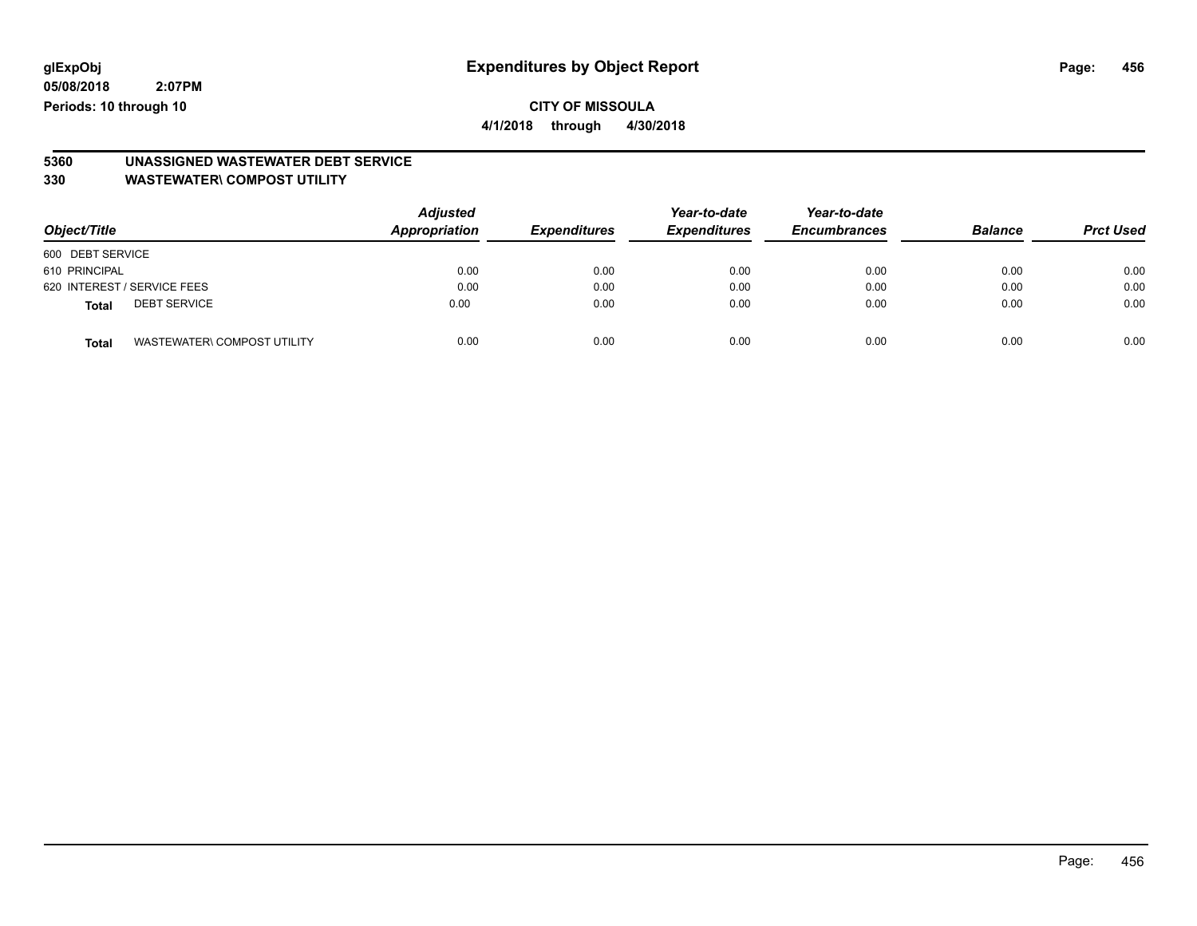### **CITY OF MISSOULA 4/1/2018 through 4/30/2018**

#### **5360 UNASSIGNED WASTEWATER DEBT SERVICE 330 WASTEWATER\ COMPOST UTILITY**

| Object/Title                                       | <b>Adjusted</b><br>Appropriation | <b>Expenditures</b> | Year-to-date<br><b>Expenditures</b> | Year-to-date<br><b>Encumbrances</b> | <b>Balance</b> | <b>Prct Used</b> |
|----------------------------------------------------|----------------------------------|---------------------|-------------------------------------|-------------------------------------|----------------|------------------|
| 600 DEBT SERVICE                                   |                                  |                     |                                     |                                     |                |                  |
| 610 PRINCIPAL                                      | 0.00                             | 0.00                | 0.00                                | 0.00                                | 0.00           | 0.00             |
| 620 INTEREST / SERVICE FEES                        | 0.00                             | 0.00                | 0.00                                | 0.00                                | 0.00           | 0.00             |
| <b>DEBT SERVICE</b><br><b>Total</b>                | 0.00                             | 0.00                | 0.00                                | 0.00                                | 0.00           | 0.00             |
| <b>WASTEWATER\ COMPOST UTILITY</b><br><b>Total</b> | 0.00                             | 0.00                | 0.00                                | 0.00                                | 0.00           | 0.00             |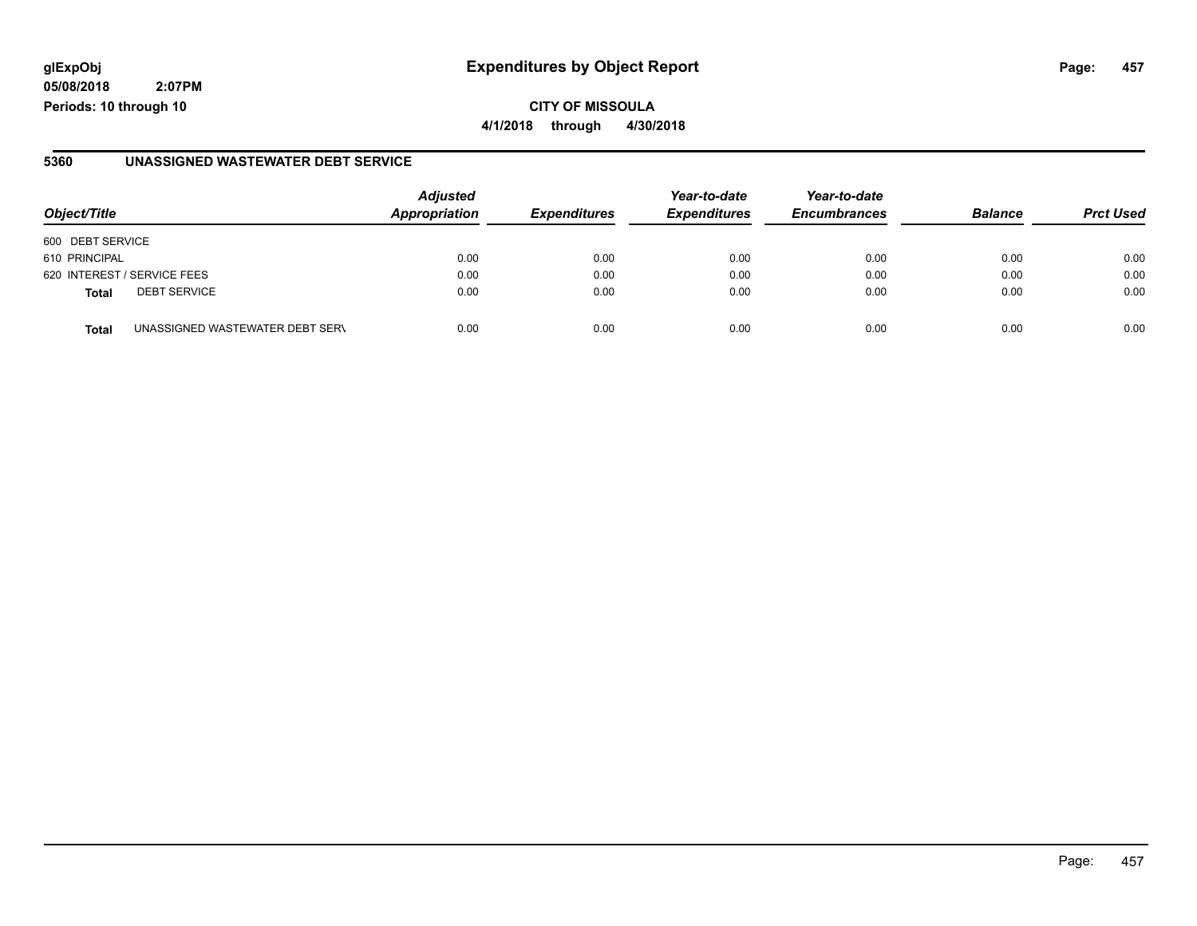# **glExpObj Expenditures by Object Report Page: 457**

**05/08/2018 2:07PM Periods: 10 through 10**

**CITY OF MISSOULA 4/1/2018 through 4/30/2018**

#### **5360 UNASSIGNED WASTEWATER DEBT SERVICE**

| Object/Title                                    | <b>Adjusted</b><br><b>Appropriation</b> | <b>Expenditures</b> | Year-to-date<br><b>Expenditures</b> | Year-to-date<br><b>Encumbrances</b> | <b>Balance</b> | <b>Prct Used</b> |
|-------------------------------------------------|-----------------------------------------|---------------------|-------------------------------------|-------------------------------------|----------------|------------------|
| 600 DEBT SERVICE                                |                                         |                     |                                     |                                     |                |                  |
| 610 PRINCIPAL                                   | 0.00                                    | 0.00                | 0.00                                | 0.00                                | 0.00           | 0.00             |
| 620 INTEREST / SERVICE FEES                     | 0.00                                    | 0.00                | 0.00                                | 0.00                                | 0.00           | 0.00             |
| <b>DEBT SERVICE</b><br><b>Total</b>             | 0.00                                    | 0.00                | 0.00                                | 0.00                                | 0.00           | 0.00             |
| UNASSIGNED WASTEWATER DEBT SERV<br><b>Total</b> | 0.00                                    | 0.00                | 0.00                                | 0.00                                | 0.00           | 0.00             |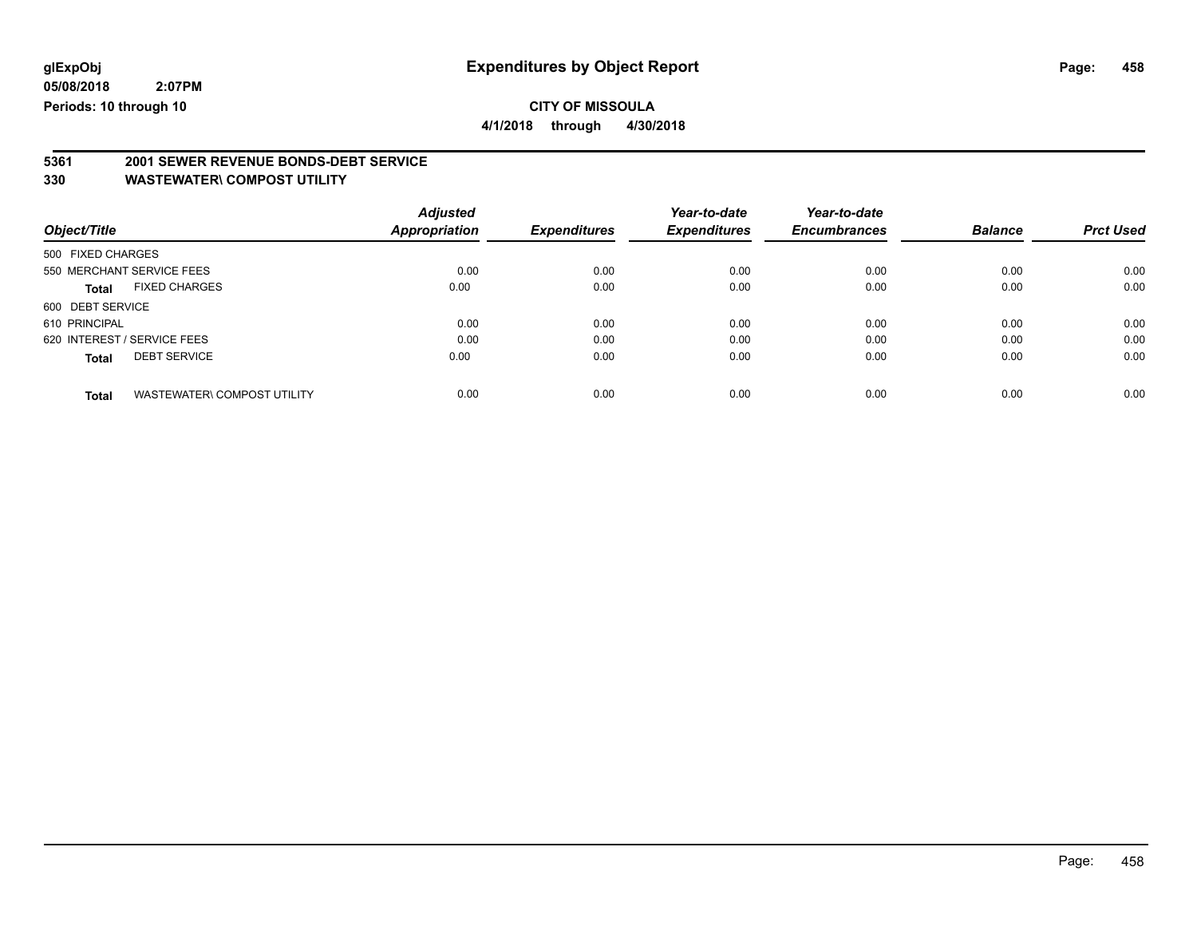### **CITY OF MISSOULA 4/1/2018 through 4/30/2018**

**5361 2001 SEWER REVENUE BONDS-DEBT SERVICE**

|                             |                                    | <b>Adjusted</b>      |                     | Year-to-date        | Year-to-date        |                |                  |
|-----------------------------|------------------------------------|----------------------|---------------------|---------------------|---------------------|----------------|------------------|
| Object/Title                |                                    | <b>Appropriation</b> | <b>Expenditures</b> | <b>Expenditures</b> | <b>Encumbrances</b> | <b>Balance</b> | <b>Prct Used</b> |
| 500 FIXED CHARGES           |                                    |                      |                     |                     |                     |                |                  |
| 550 MERCHANT SERVICE FEES   |                                    | 0.00                 | 0.00                | 0.00                | 0.00                | 0.00           | 0.00             |
| Total                       | <b>FIXED CHARGES</b>               | 0.00                 | 0.00                | 0.00                | 0.00                | 0.00           | 0.00             |
| 600 DEBT SERVICE            |                                    |                      |                     |                     |                     |                |                  |
| 610 PRINCIPAL               |                                    | 0.00                 | 0.00                | 0.00                | 0.00                | 0.00           | 0.00             |
| 620 INTEREST / SERVICE FEES |                                    | 0.00                 | 0.00                | 0.00                | 0.00                | 0.00           | 0.00             |
| <b>Total</b>                | <b>DEBT SERVICE</b>                | 0.00                 | 0.00                | 0.00                | 0.00                | 0.00           | 0.00             |
| <b>Total</b>                | <b>WASTEWATER\ COMPOST UTILITY</b> | 0.00                 | 0.00                | 0.00                | 0.00                | 0.00           | 0.00             |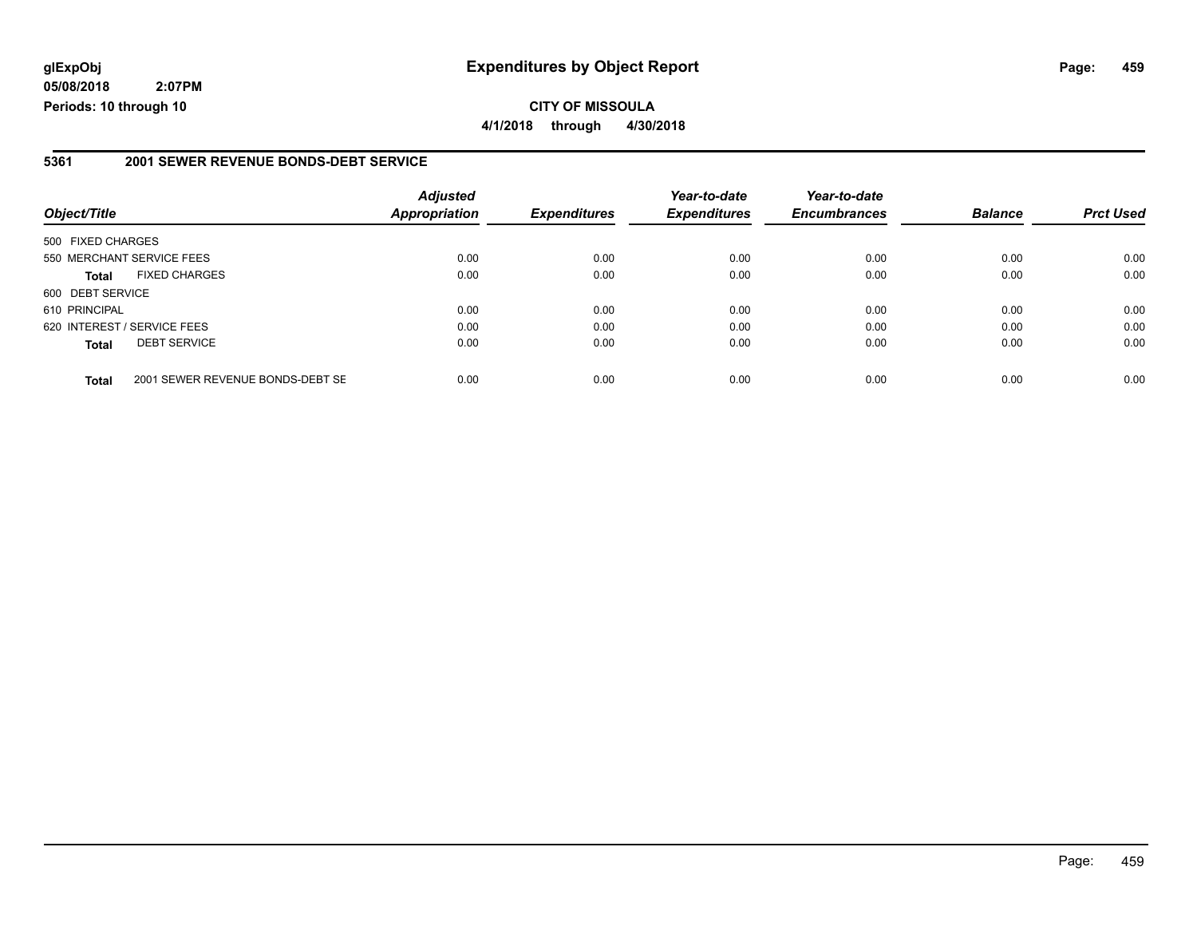# **glExpObj Expenditures by Object Report Page: 459**

**05/08/2018 2:07PM Periods: 10 through 10**

#### **5361 2001 SEWER REVENUE BONDS-DEBT SERVICE**

| Object/Title                |                                  | <b>Adjusted</b><br><b>Appropriation</b> | <b>Expenditures</b> | Year-to-date<br><b>Expenditures</b> | Year-to-date<br><b>Encumbrances</b> | <b>Balance</b> | <b>Prct Used</b> |
|-----------------------------|----------------------------------|-----------------------------------------|---------------------|-------------------------------------|-------------------------------------|----------------|------------------|
|                             |                                  |                                         |                     |                                     |                                     |                |                  |
| 500 FIXED CHARGES           |                                  |                                         |                     |                                     |                                     |                |                  |
| 550 MERCHANT SERVICE FEES   |                                  | 0.00                                    | 0.00                | 0.00                                | 0.00                                | 0.00           | 0.00             |
| <b>Total</b>                | <b>FIXED CHARGES</b>             | 0.00                                    | 0.00                | 0.00                                | 0.00                                | 0.00           | 0.00             |
| 600 DEBT SERVICE            |                                  |                                         |                     |                                     |                                     |                |                  |
| 610 PRINCIPAL               |                                  | 0.00                                    | 0.00                | 0.00                                | 0.00                                | 0.00           | 0.00             |
| 620 INTEREST / SERVICE FEES |                                  | 0.00                                    | 0.00                | 0.00                                | 0.00                                | 0.00           | 0.00             |
| <b>Total</b>                | <b>DEBT SERVICE</b>              | 0.00                                    | 0.00                | 0.00                                | 0.00                                | 0.00           | 0.00             |
| <b>Total</b>                | 2001 SEWER REVENUE BONDS-DEBT SE | 0.00                                    | 0.00                | 0.00                                | 0.00                                | 0.00           | 0.00             |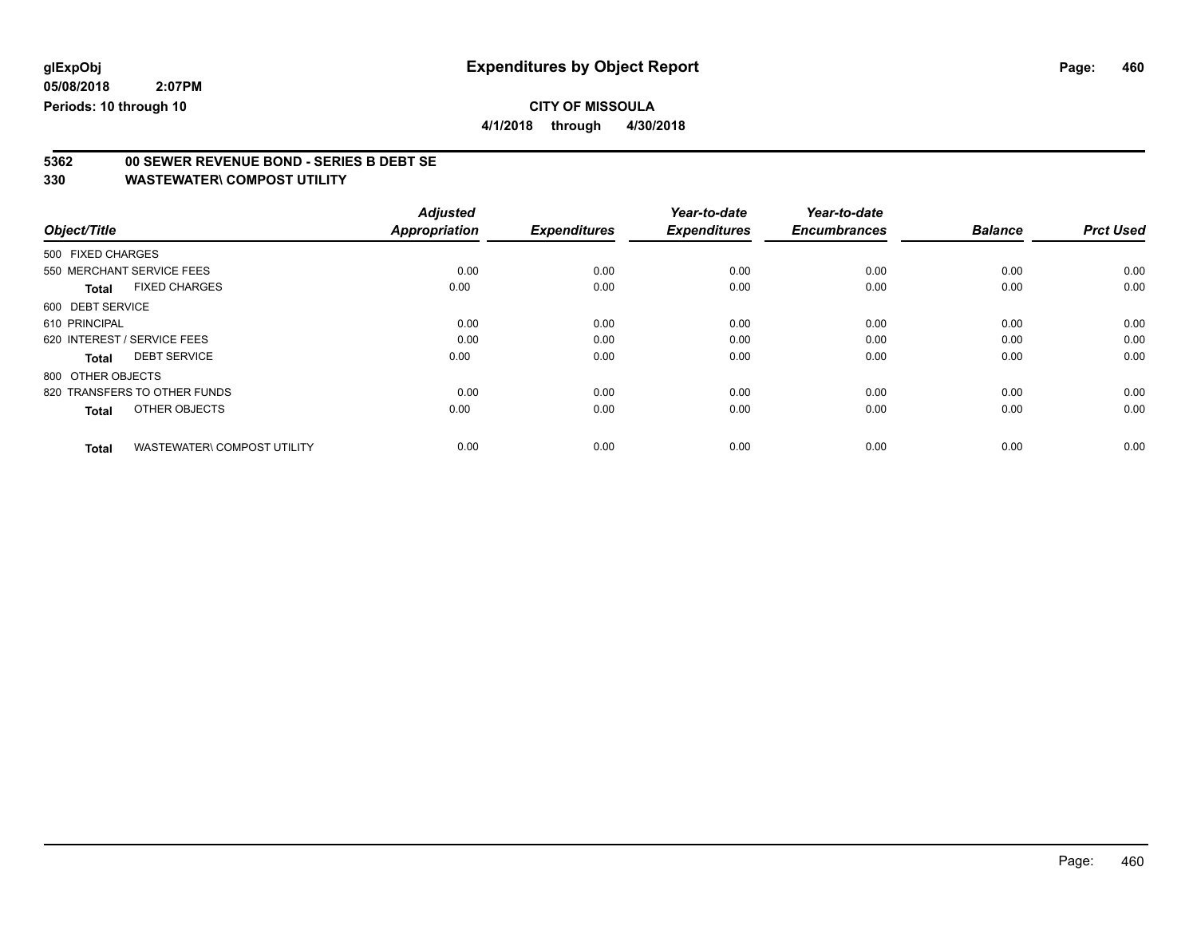**4/1/2018 through 4/30/2018**

# **5362 00 SEWER REVENUE BOND - SERIES B DEBT SE**

| Object/Title                                       | <b>Adjusted</b><br><b>Appropriation</b> | <b>Expenditures</b> | Year-to-date<br><b>Expenditures</b> | Year-to-date<br><b>Encumbrances</b> | <b>Balance</b> | <b>Prct Used</b> |
|----------------------------------------------------|-----------------------------------------|---------------------|-------------------------------------|-------------------------------------|----------------|------------------|
|                                                    |                                         |                     |                                     |                                     |                |                  |
| 500 FIXED CHARGES                                  |                                         |                     |                                     |                                     |                |                  |
| 550 MERCHANT SERVICE FEES                          | 0.00                                    | 0.00                | 0.00                                | 0.00                                | 0.00           | 0.00             |
| <b>FIXED CHARGES</b><br><b>Total</b>               | 0.00                                    | 0.00                | 0.00                                | 0.00                                | 0.00           | 0.00             |
| 600 DEBT SERVICE                                   |                                         |                     |                                     |                                     |                |                  |
| 610 PRINCIPAL                                      | 0.00                                    | 0.00                | 0.00                                | 0.00                                | 0.00           | 0.00             |
| 620 INTEREST / SERVICE FEES                        | 0.00                                    | 0.00                | 0.00                                | 0.00                                | 0.00           | 0.00             |
| <b>DEBT SERVICE</b><br><b>Total</b>                | 0.00                                    | 0.00                | 0.00                                | 0.00                                | 0.00           | 0.00             |
| 800 OTHER OBJECTS                                  |                                         |                     |                                     |                                     |                |                  |
| 820 TRANSFERS TO OTHER FUNDS                       | 0.00                                    | 0.00                | 0.00                                | 0.00                                | 0.00           | 0.00             |
| OTHER OBJECTS<br><b>Total</b>                      | 0.00                                    | 0.00                | 0.00                                | 0.00                                | 0.00           | 0.00             |
| <b>WASTEWATER\ COMPOST UTILITY</b><br><b>Total</b> | 0.00                                    | 0.00                | 0.00                                | 0.00                                | 0.00           | 0.00             |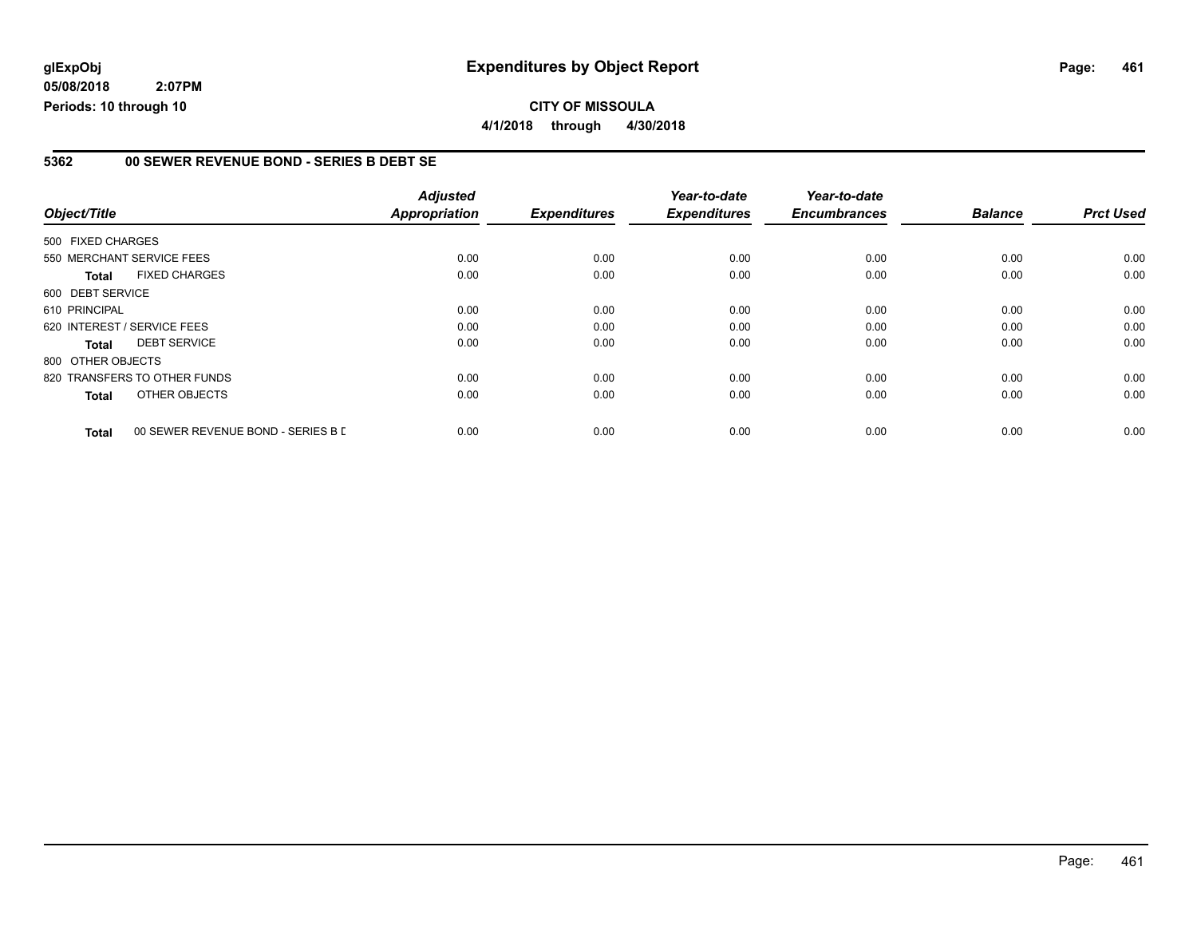#### **5362 00 SEWER REVENUE BOND - SERIES B DEBT SE**

|                   |                                    | <b>Adjusted</b>      |                     | Year-to-date        | Year-to-date        |                |                  |
|-------------------|------------------------------------|----------------------|---------------------|---------------------|---------------------|----------------|------------------|
| Object/Title      |                                    | <b>Appropriation</b> | <b>Expenditures</b> | <b>Expenditures</b> | <b>Encumbrances</b> | <b>Balance</b> | <b>Prct Used</b> |
| 500 FIXED CHARGES |                                    |                      |                     |                     |                     |                |                  |
|                   | 550 MERCHANT SERVICE FEES          | 0.00                 | 0.00                | 0.00                | 0.00                | 0.00           | 0.00             |
| Total             | <b>FIXED CHARGES</b>               | 0.00                 | 0.00                | 0.00                | 0.00                | 0.00           | 0.00             |
| 600 DEBT SERVICE  |                                    |                      |                     |                     |                     |                |                  |
| 610 PRINCIPAL     |                                    | 0.00                 | 0.00                | 0.00                | 0.00                | 0.00           | 0.00             |
|                   | 620 INTEREST / SERVICE FEES        | 0.00                 | 0.00                | 0.00                | 0.00                | 0.00           | 0.00             |
| Total             | <b>DEBT SERVICE</b>                | 0.00                 | 0.00                | 0.00                | 0.00                | 0.00           | 0.00             |
| 800 OTHER OBJECTS |                                    |                      |                     |                     |                     |                |                  |
|                   | 820 TRANSFERS TO OTHER FUNDS       | 0.00                 | 0.00                | 0.00                | 0.00                | 0.00           | 0.00             |
| <b>Total</b>      | OTHER OBJECTS                      | 0.00                 | 0.00                | 0.00                | 0.00                | 0.00           | 0.00             |
| <b>Total</b>      | 00 SEWER REVENUE BOND - SERIES B L | 0.00                 | 0.00                | 0.00                | 0.00                | 0.00           | 0.00             |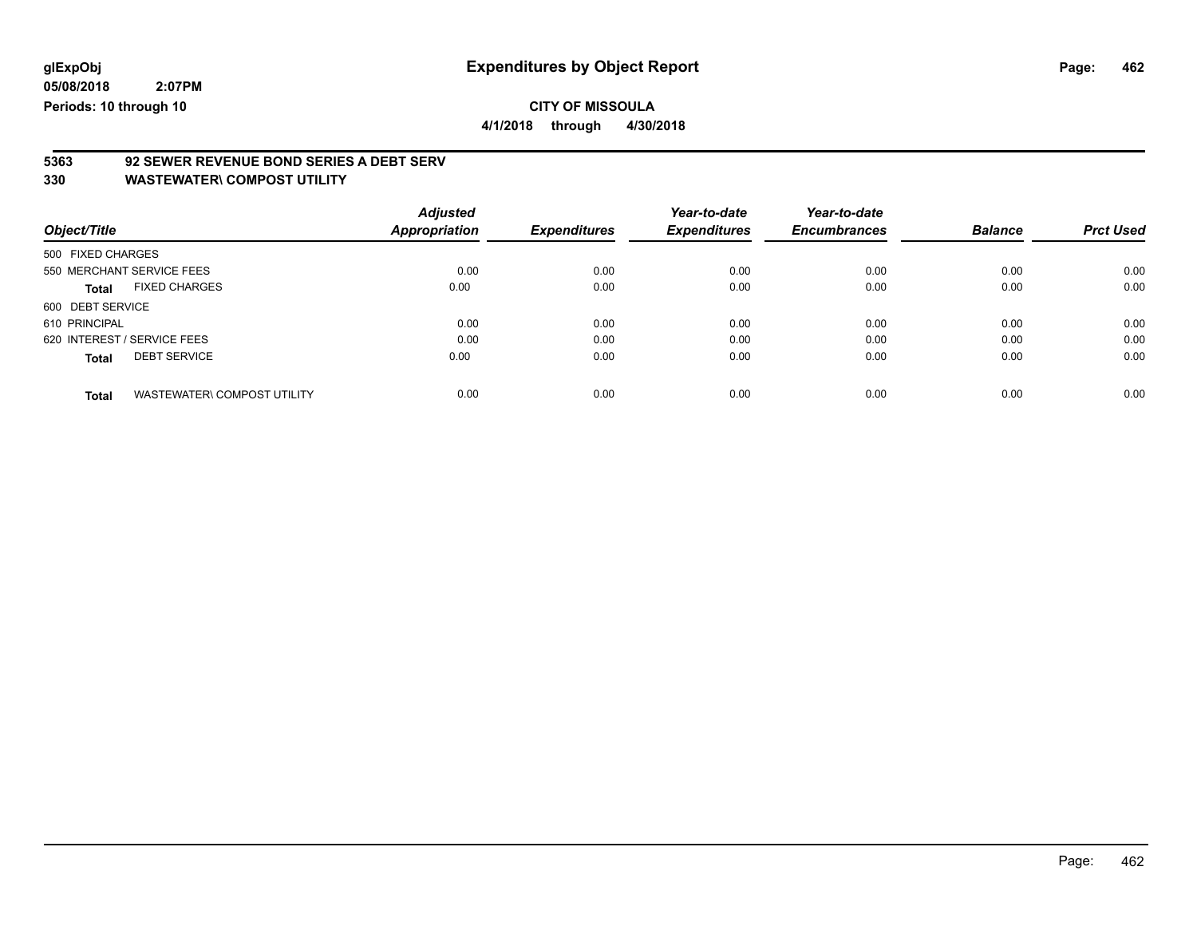**4/1/2018 through 4/30/2018**

# **5363 92 SEWER REVENUE BOND SERIES A DEBT SERV**

| Object/Title      |                                    | <b>Adjusted</b><br><b>Appropriation</b> | <b>Expenditures</b> | Year-to-date<br><b>Expenditures</b> | Year-to-date<br><b>Encumbrances</b> | <b>Balance</b> | <b>Prct Used</b> |
|-------------------|------------------------------------|-----------------------------------------|---------------------|-------------------------------------|-------------------------------------|----------------|------------------|
| 500 FIXED CHARGES |                                    |                                         |                     |                                     |                                     |                |                  |
|                   | 550 MERCHANT SERVICE FEES          | 0.00                                    | 0.00                | 0.00                                | 0.00                                | 0.00           | 0.00             |
| <b>Total</b>      | <b>FIXED CHARGES</b>               | 0.00                                    | 0.00                | 0.00                                | 0.00                                | 0.00           | 0.00             |
| 600 DEBT SERVICE  |                                    |                                         |                     |                                     |                                     |                |                  |
| 610 PRINCIPAL     |                                    | 0.00                                    | 0.00                | 0.00                                | 0.00                                | 0.00           | 0.00             |
|                   | 620 INTEREST / SERVICE FEES        | 0.00                                    | 0.00                | 0.00                                | 0.00                                | 0.00           | 0.00             |
| <b>Total</b>      | <b>DEBT SERVICE</b>                | 0.00                                    | 0.00                | 0.00                                | 0.00                                | 0.00           | 0.00             |
| <b>Total</b>      | <b>WASTEWATER\ COMPOST UTILITY</b> | 0.00                                    | 0.00                | 0.00                                | 0.00                                | 0.00           | 0.00             |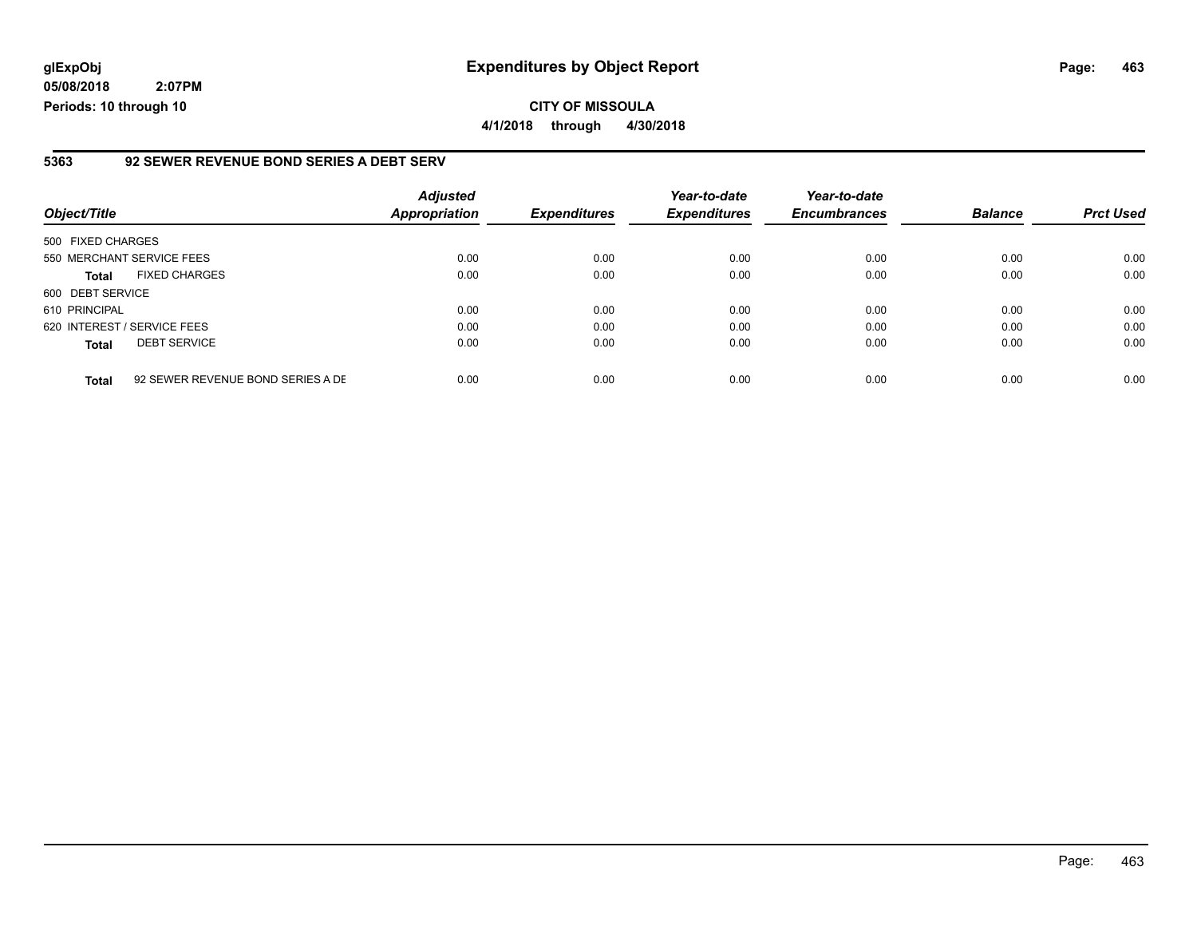# **glExpObj Expenditures by Object Report Page: 463**

**05/08/2018 2:07PM Periods: 10 through 10**

#### **5363 92 SEWER REVENUE BOND SERIES A DEBT SERV**

| Object/Title                |                                   | <b>Adjusted</b><br><b>Appropriation</b> | <b>Expenditures</b> | Year-to-date<br><b>Expenditures</b> | Year-to-date<br><b>Encumbrances</b> | <b>Balance</b> | <b>Prct Used</b> |
|-----------------------------|-----------------------------------|-----------------------------------------|---------------------|-------------------------------------|-------------------------------------|----------------|------------------|
| 500 FIXED CHARGES           |                                   |                                         |                     |                                     |                                     |                |                  |
| 550 MERCHANT SERVICE FEES   |                                   | 0.00                                    | 0.00                | 0.00                                | 0.00                                | 0.00           | 0.00             |
| <b>Total</b>                | <b>FIXED CHARGES</b>              | 0.00                                    | 0.00                | 0.00                                | 0.00                                | 0.00           | 0.00             |
| 600 DEBT SERVICE            |                                   |                                         |                     |                                     |                                     |                |                  |
| 610 PRINCIPAL               |                                   | 0.00                                    | 0.00                | 0.00                                | 0.00                                | 0.00           | 0.00             |
| 620 INTEREST / SERVICE FEES |                                   | 0.00                                    | 0.00                | 0.00                                | 0.00                                | 0.00           | 0.00             |
| <b>Total</b>                | <b>DEBT SERVICE</b>               | 0.00                                    | 0.00                | 0.00                                | 0.00                                | 0.00           | 0.00             |
| <b>Total</b>                | 92 SEWER REVENUE BOND SERIES A DE | 0.00                                    | 0.00                | 0.00                                | 0.00                                | 0.00           | 0.00             |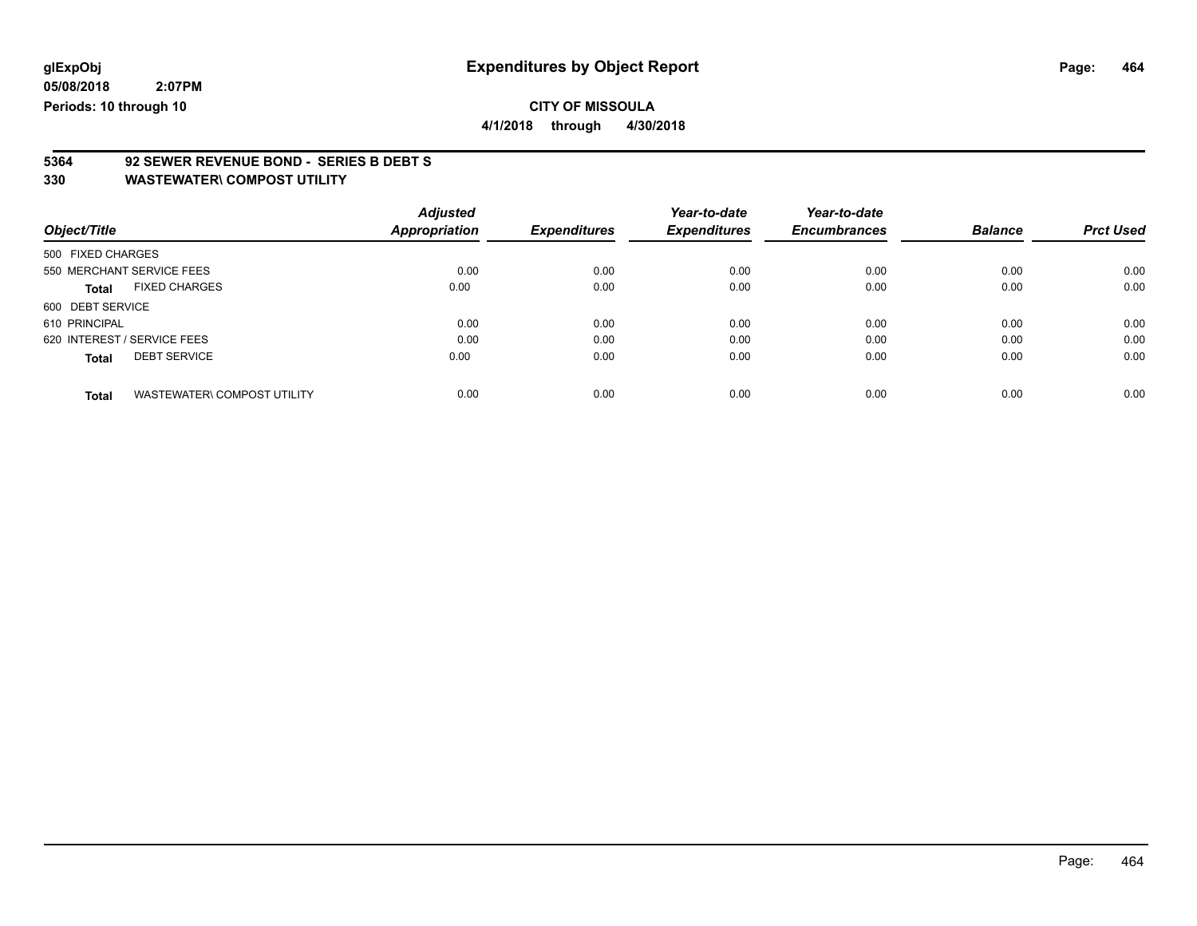### **CITY OF MISSOULA 4/1/2018 through 4/30/2018**

# **5364 92 SEWER REVENUE BOND - SERIES B DEBT S**

|                             |                                    | <b>Adjusted</b>      |                     | Year-to-date        | Year-to-date        |                |                  |
|-----------------------------|------------------------------------|----------------------|---------------------|---------------------|---------------------|----------------|------------------|
| Object/Title                |                                    | <b>Appropriation</b> | <b>Expenditures</b> | <b>Expenditures</b> | <b>Encumbrances</b> | <b>Balance</b> | <b>Prct Used</b> |
| 500 FIXED CHARGES           |                                    |                      |                     |                     |                     |                |                  |
|                             | 550 MERCHANT SERVICE FEES          | 0.00                 | 0.00                | 0.00                | 0.00                | 0.00           | 0.00             |
| <b>Total</b>                | <b>FIXED CHARGES</b>               | 0.00                 | 0.00                | 0.00                | 0.00                | 0.00           | 0.00             |
| 600 DEBT SERVICE            |                                    |                      |                     |                     |                     |                |                  |
| 610 PRINCIPAL               |                                    | 0.00                 | 0.00                | 0.00                | 0.00                | 0.00           | 0.00             |
| 620 INTEREST / SERVICE FEES |                                    | 0.00                 | 0.00                | 0.00                | 0.00                | 0.00           | 0.00             |
| <b>Total</b>                | <b>DEBT SERVICE</b>                | 0.00                 | 0.00                | 0.00                | 0.00                | 0.00           | 0.00             |
| <b>Total</b>                | <b>WASTEWATER\ COMPOST UTILITY</b> | 0.00                 | 0.00                | 0.00                | 0.00                | 0.00           | 0.00             |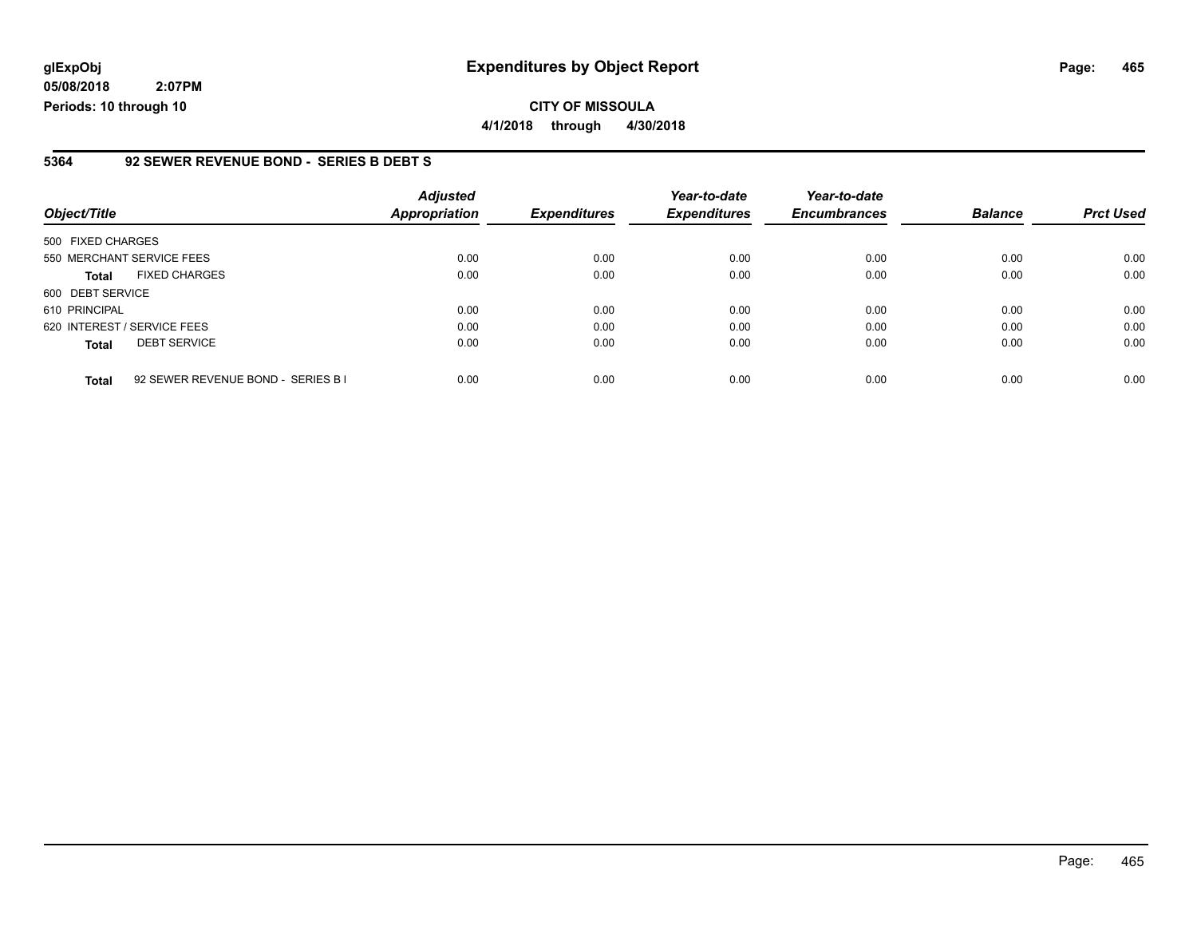#### **5364 92 SEWER REVENUE BOND - SERIES B DEBT S**

| Object/Title                         | <b>Appropriation</b>               | <b>Adjusted</b> | <b>Expenditures</b> | Year-to-date<br><b>Expenditures</b> | Year-to-date<br><b>Encumbrances</b> | <b>Balance</b> | <b>Prct Used</b> |
|--------------------------------------|------------------------------------|-----------------|---------------------|-------------------------------------|-------------------------------------|----------------|------------------|
| 500 FIXED CHARGES                    |                                    |                 |                     |                                     |                                     |                |                  |
| 550 MERCHANT SERVICE FEES            |                                    | 0.00            | 0.00                | 0.00                                | 0.00                                | 0.00           | 0.00             |
| <b>FIXED CHARGES</b><br><b>Total</b> |                                    | 0.00            | 0.00                | 0.00                                | 0.00                                | 0.00           | 0.00             |
| 600 DEBT SERVICE                     |                                    |                 |                     |                                     |                                     |                |                  |
| 610 PRINCIPAL                        |                                    | 0.00            | 0.00                | 0.00                                | 0.00                                | 0.00           | 0.00             |
| 620 INTEREST / SERVICE FEES          |                                    | 0.00            | 0.00                | 0.00                                | 0.00                                | 0.00           | 0.00             |
| <b>DEBT SERVICE</b><br><b>Total</b>  |                                    | 0.00            | 0.00                | 0.00                                | 0.00                                | 0.00           | 0.00             |
| <b>Total</b>                         | 92 SEWER REVENUE BOND - SERIES B I | 0.00            | 0.00                | 0.00                                | 0.00                                | 0.00           | 0.00             |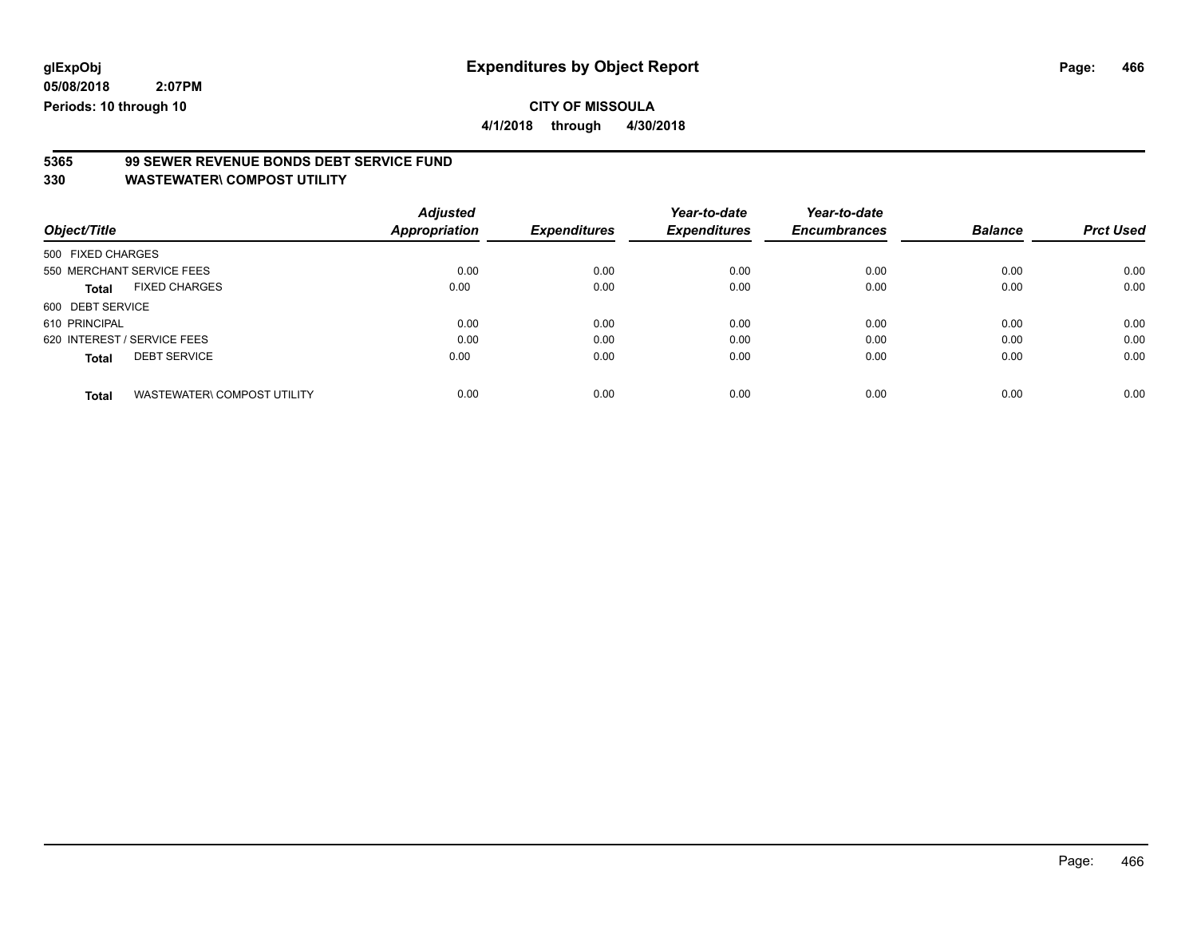### **CITY OF MISSOULA 4/1/2018 through 4/30/2018**

# **5365 99 SEWER REVENUE BONDS DEBT SERVICE FUND**

| Object/Title                |                                    | <b>Adjusted</b><br><b>Appropriation</b> | <b>Expenditures</b> | Year-to-date<br><b>Expenditures</b> | Year-to-date<br><b>Encumbrances</b> | <b>Balance</b> | <b>Prct Used</b> |
|-----------------------------|------------------------------------|-----------------------------------------|---------------------|-------------------------------------|-------------------------------------|----------------|------------------|
| 500 FIXED CHARGES           |                                    |                                         |                     |                                     |                                     |                |                  |
|                             | 550 MERCHANT SERVICE FEES          | 0.00                                    | 0.00                | 0.00                                | 0.00                                | 0.00           | 0.00             |
| <b>Total</b>                | <b>FIXED CHARGES</b>               | 0.00                                    | 0.00                | 0.00                                | 0.00                                | 0.00           | 0.00             |
| 600 DEBT SERVICE            |                                    |                                         |                     |                                     |                                     |                |                  |
| 610 PRINCIPAL               |                                    | 0.00                                    | 0.00                | 0.00                                | 0.00                                | 0.00           | 0.00             |
| 620 INTEREST / SERVICE FEES |                                    | 0.00                                    | 0.00                | 0.00                                | 0.00                                | 0.00           | 0.00             |
| <b>Total</b>                | <b>DEBT SERVICE</b>                | 0.00                                    | 0.00                | 0.00                                | 0.00                                | 0.00           | 0.00             |
| <b>Total</b>                | <b>WASTEWATER\ COMPOST UTILITY</b> | 0.00                                    | 0.00                | 0.00                                | 0.00                                | 0.00           | 0.00             |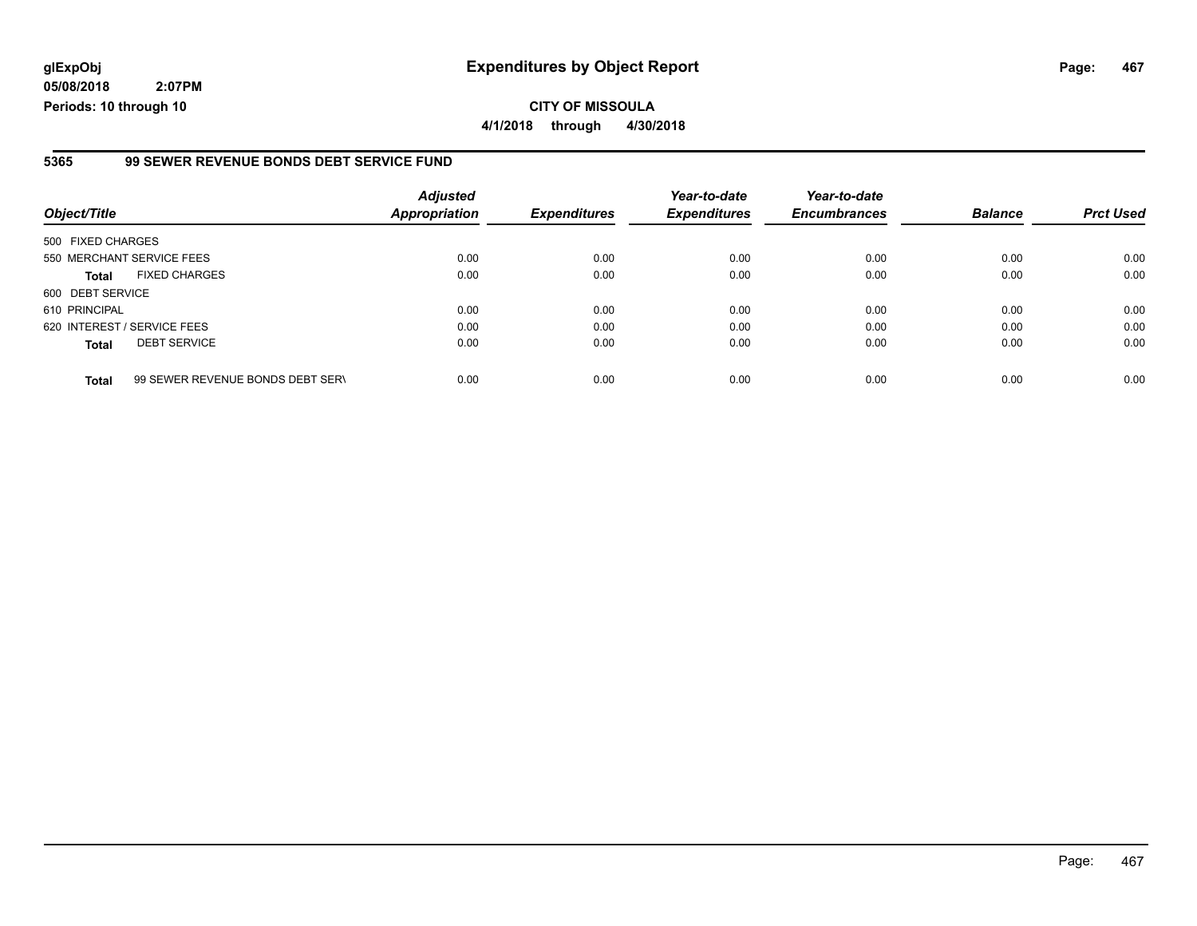# **glExpObj Expenditures by Object Report Page: 467**

**05/08/2018 2:07PM Periods: 10 through 10**

#### **5365 99 SEWER REVENUE BONDS DEBT SERVICE FUND**

| Object/Title                |                                  | <b>Adjusted</b><br><b>Appropriation</b> | <b>Expenditures</b> | Year-to-date<br><b>Expenditures</b> | Year-to-date<br><b>Encumbrances</b> | <b>Balance</b> | <b>Prct Used</b> |
|-----------------------------|----------------------------------|-----------------------------------------|---------------------|-------------------------------------|-------------------------------------|----------------|------------------|
| 500 FIXED CHARGES           |                                  |                                         |                     |                                     |                                     |                |                  |
| 550 MERCHANT SERVICE FEES   |                                  | 0.00                                    | 0.00                | 0.00                                | 0.00                                | 0.00           | 0.00             |
| <b>Total</b>                | <b>FIXED CHARGES</b>             | 0.00                                    | 0.00                | 0.00                                | 0.00                                | 0.00           | 0.00             |
| 600 DEBT SERVICE            |                                  |                                         |                     |                                     |                                     |                |                  |
| 610 PRINCIPAL               |                                  | 0.00                                    | 0.00                | 0.00                                | 0.00                                | 0.00           | 0.00             |
| 620 INTEREST / SERVICE FEES |                                  | 0.00                                    | 0.00                | 0.00                                | 0.00                                | 0.00           | 0.00             |
| <b>Total</b>                | <b>DEBT SERVICE</b>              | 0.00                                    | 0.00                | 0.00                                | 0.00                                | 0.00           | 0.00             |
| <b>Total</b>                | 99 SEWER REVENUE BONDS DEBT SERV | 0.00                                    | 0.00                | 0.00                                | 0.00                                | 0.00           | 0.00             |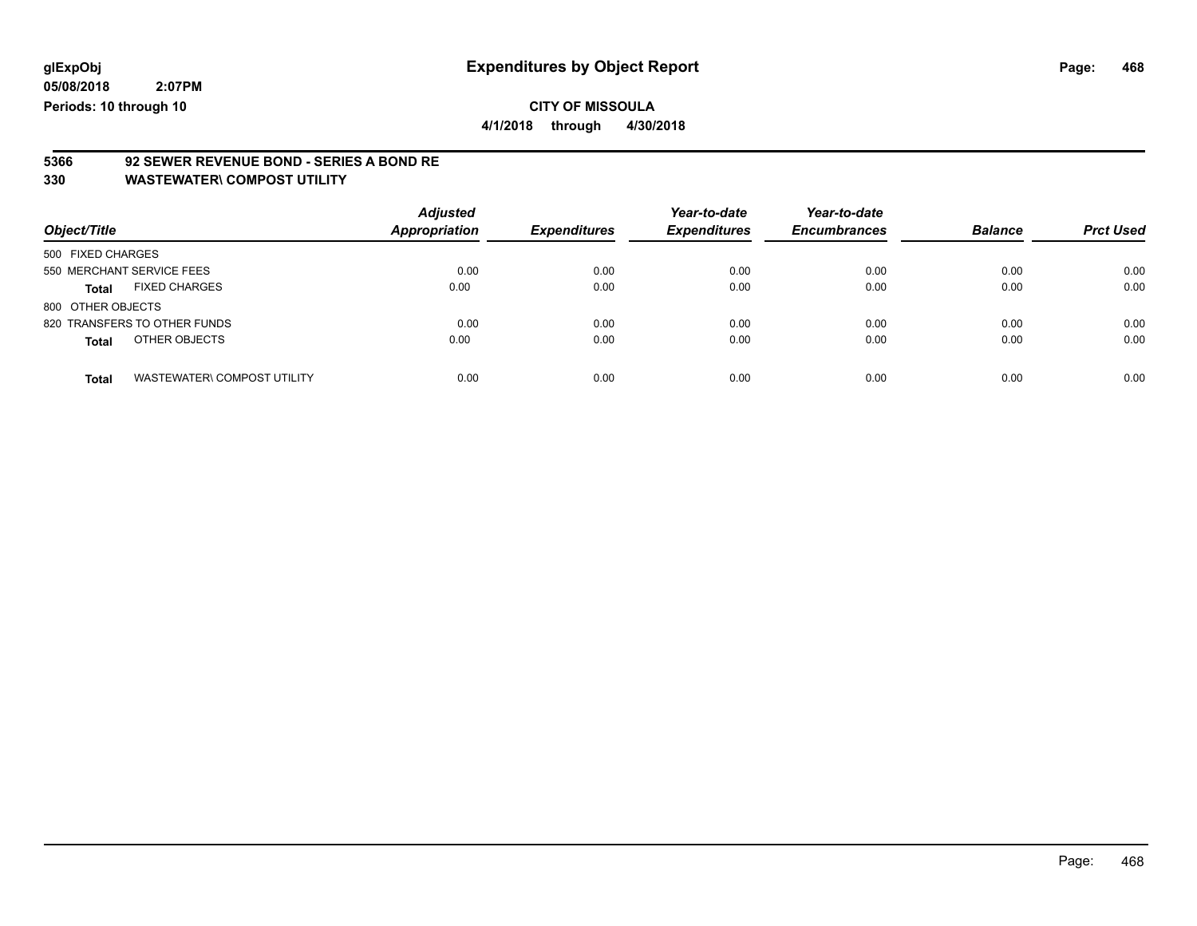### **CITY OF MISSOULA 4/1/2018 through 4/30/2018**

# **5366 92 SEWER REVENUE BOND - SERIES A BOND RE**

| Object/Title                                       | <b>Adjusted</b><br><b>Appropriation</b> | <b>Expenditures</b> | Year-to-date<br><b>Expenditures</b> | Year-to-date<br><b>Encumbrances</b> | <b>Balance</b> | <b>Prct Used</b> |
|----------------------------------------------------|-----------------------------------------|---------------------|-------------------------------------|-------------------------------------|----------------|------------------|
| 500 FIXED CHARGES                                  |                                         |                     |                                     |                                     |                |                  |
| 550 MERCHANT SERVICE FEES                          | 0.00                                    | 0.00                | 0.00                                | 0.00                                | 0.00           | 0.00             |
| <b>FIXED CHARGES</b><br><b>Total</b>               | 0.00                                    | 0.00                | 0.00                                | 0.00                                | 0.00           | 0.00             |
| 800 OTHER OBJECTS                                  |                                         |                     |                                     |                                     |                |                  |
| 820 TRANSFERS TO OTHER FUNDS                       | 0.00                                    | 0.00                | 0.00                                | 0.00                                | 0.00           | 0.00             |
| OTHER OBJECTS<br><b>Total</b>                      | 0.00                                    | 0.00                | 0.00                                | 0.00                                | 0.00           | 0.00             |
| <b>WASTEWATER\ COMPOST UTILITY</b><br><b>Total</b> | 0.00                                    | 0.00                | 0.00                                | 0.00                                | 0.00           | 0.00             |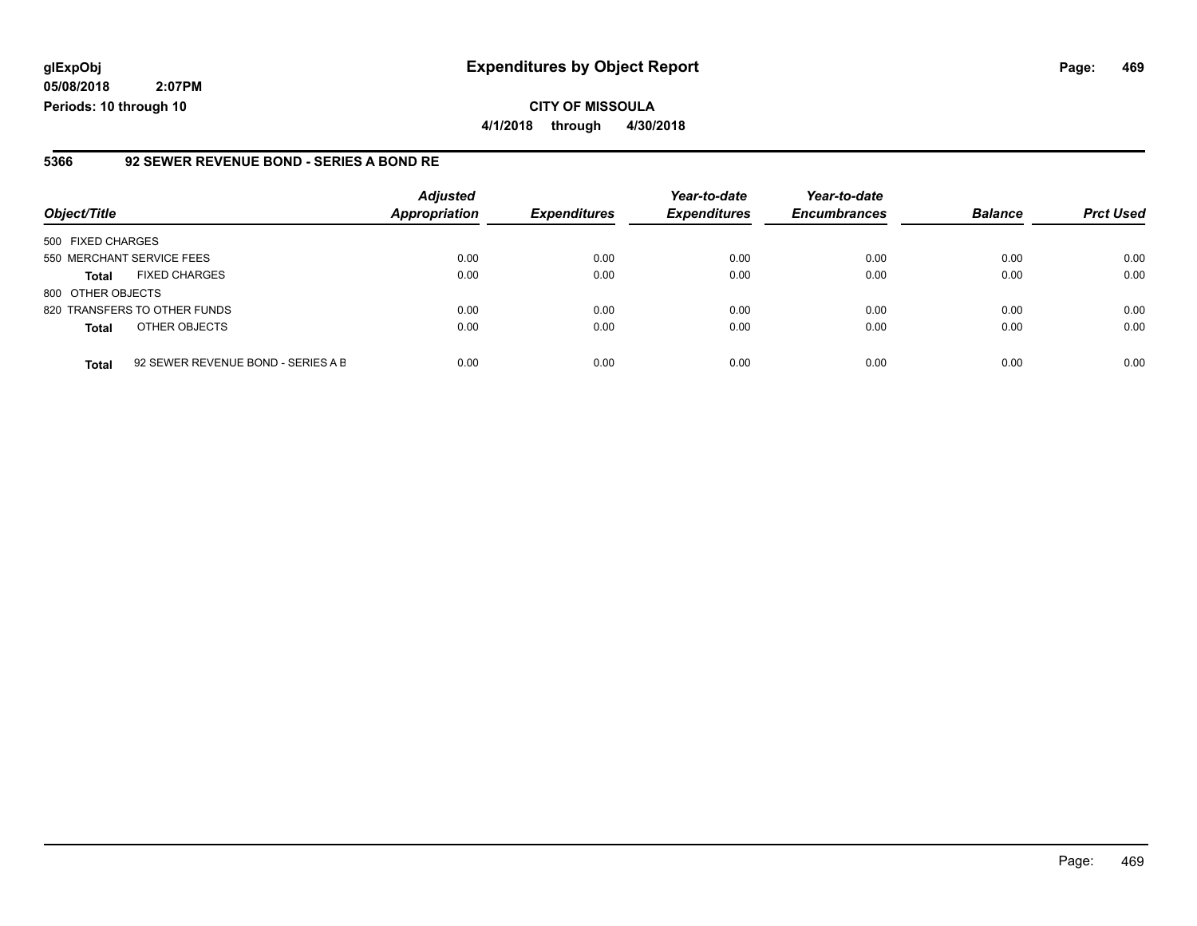#### **glExpObj Expenditures by Object Report Page: 469**

**05/08/2018 2:07PM Periods: 10 through 10**

#### **5366 92 SEWER REVENUE BOND - SERIES A BOND RE**

| Object/Title              |                                    | <b>Adjusted</b><br><b>Appropriation</b> | <b>Expenditures</b> | Year-to-date<br><b>Expenditures</b> | Year-to-date<br><b>Encumbrances</b> | <b>Balance</b> | <b>Prct Used</b> |
|---------------------------|------------------------------------|-----------------------------------------|---------------------|-------------------------------------|-------------------------------------|----------------|------------------|
| 500 FIXED CHARGES         |                                    |                                         |                     |                                     |                                     |                |                  |
| 550 MERCHANT SERVICE FEES |                                    | 0.00                                    | 0.00                | 0.00                                | 0.00                                | 0.00           | 0.00             |
| <b>Total</b>              | <b>FIXED CHARGES</b>               | 0.00                                    | 0.00                | 0.00                                | 0.00                                | 0.00           | 0.00             |
| 800 OTHER OBJECTS         |                                    |                                         |                     |                                     |                                     |                |                  |
|                           | 820 TRANSFERS TO OTHER FUNDS       | 0.00                                    | 0.00                | 0.00                                | 0.00                                | 0.00           | 0.00             |
| <b>Total</b>              | OTHER OBJECTS                      | 0.00                                    | 0.00                | 0.00                                | 0.00                                | 0.00           | 0.00             |
| <b>Total</b>              | 92 SEWER REVENUE BOND - SERIES A B | 0.00                                    | 0.00                | 0.00                                | 0.00                                | 0.00           | 0.00             |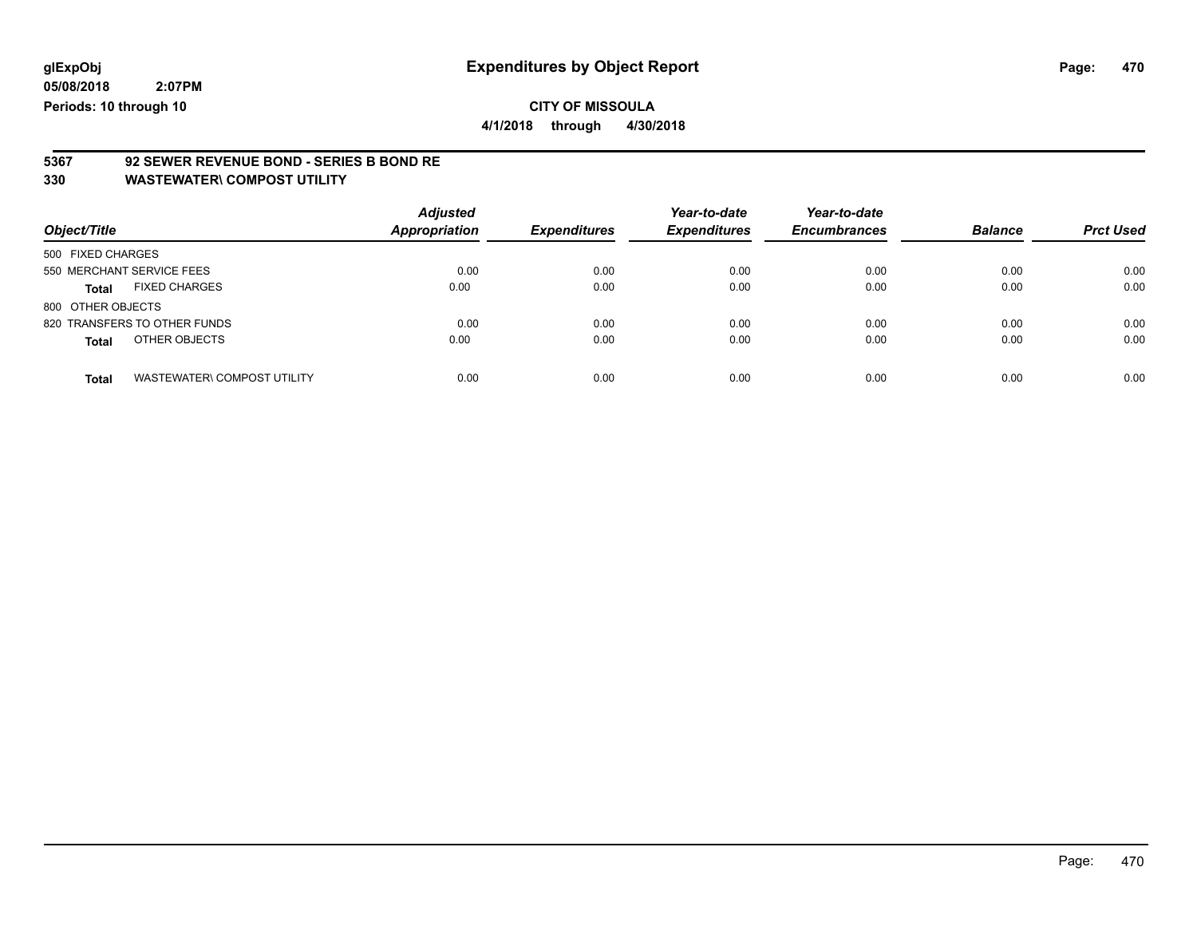#### **CITY OF MISSOULA 4/1/2018 through 4/30/2018**

# **5367 92 SEWER REVENUE BOND - SERIES B BOND RE**

| Object/Title                                       | <b>Adjusted</b><br><b>Appropriation</b> | <b>Expenditures</b> | Year-to-date<br><b>Expenditures</b> | Year-to-date<br><b>Encumbrances</b> | <b>Balance</b> | <b>Prct Used</b> |
|----------------------------------------------------|-----------------------------------------|---------------------|-------------------------------------|-------------------------------------|----------------|------------------|
| 500 FIXED CHARGES                                  |                                         |                     |                                     |                                     |                |                  |
| 550 MERCHANT SERVICE FEES                          | 0.00                                    | 0.00                | 0.00                                | 0.00                                | 0.00           | 0.00             |
| <b>FIXED CHARGES</b><br><b>Total</b>               | 0.00                                    | 0.00                | 0.00                                | 0.00                                | 0.00           | 0.00             |
| 800 OTHER OBJECTS                                  |                                         |                     |                                     |                                     |                |                  |
| 820 TRANSFERS TO OTHER FUNDS                       | 0.00                                    | 0.00                | 0.00                                | 0.00                                | 0.00           | 0.00             |
| OTHER OBJECTS<br><b>Total</b>                      | 0.00                                    | 0.00                | 0.00                                | 0.00                                | 0.00           | 0.00             |
| <b>WASTEWATER\ COMPOST UTILITY</b><br><b>Total</b> | 0.00                                    | 0.00                | 0.00                                | 0.00                                | 0.00           | 0.00             |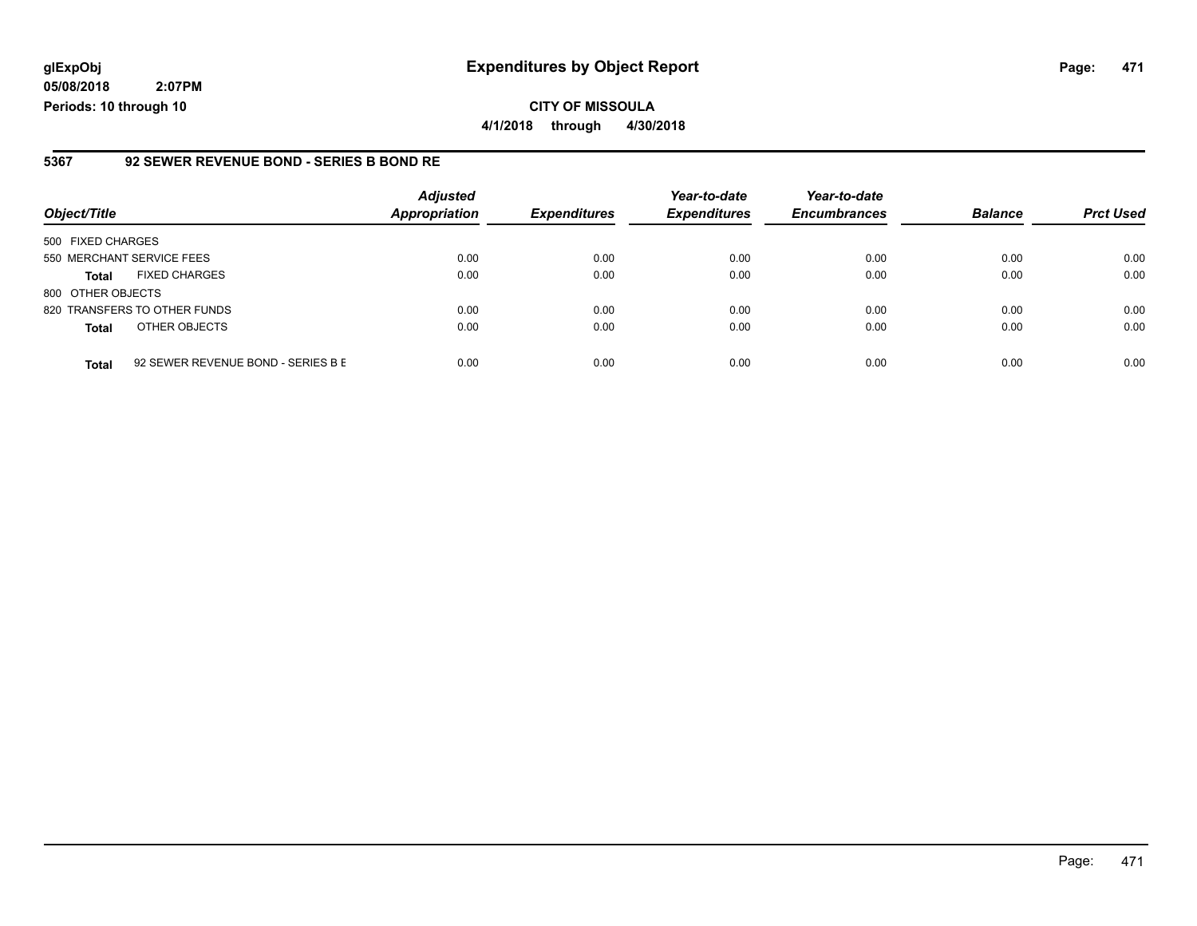### **glExpObj Expenditures by Object Report Page: 471**

**05/08/2018 2:07PM Periods: 10 through 10**

#### **5367 92 SEWER REVENUE BOND - SERIES B BOND RE**

| Object/Title              |                                    | <b>Adjusted</b><br><b>Appropriation</b> | <b>Expenditures</b> | Year-to-date<br><b>Expenditures</b> | Year-to-date<br><b>Encumbrances</b> | <b>Balance</b> | <b>Prct Used</b> |
|---------------------------|------------------------------------|-----------------------------------------|---------------------|-------------------------------------|-------------------------------------|----------------|------------------|
| 500 FIXED CHARGES         |                                    |                                         |                     |                                     |                                     |                |                  |
| 550 MERCHANT SERVICE FEES |                                    | 0.00                                    | 0.00                | 0.00                                | 0.00                                | 0.00           | 0.00             |
| <b>Total</b>              | <b>FIXED CHARGES</b>               | 0.00                                    | 0.00                | 0.00                                | 0.00                                | 0.00           | 0.00             |
| 800 OTHER OBJECTS         |                                    |                                         |                     |                                     |                                     |                |                  |
|                           | 820 TRANSFERS TO OTHER FUNDS       | 0.00                                    | 0.00                | 0.00                                | 0.00                                | 0.00           | 0.00             |
| <b>Total</b>              | OTHER OBJECTS                      | 0.00                                    | 0.00                | 0.00                                | 0.00                                | 0.00           | 0.00             |
| <b>Total</b>              | 92 SEWER REVENUE BOND - SERIES B E | 0.00                                    | 0.00                | 0.00                                | 0.00                                | 0.00           | 0.00             |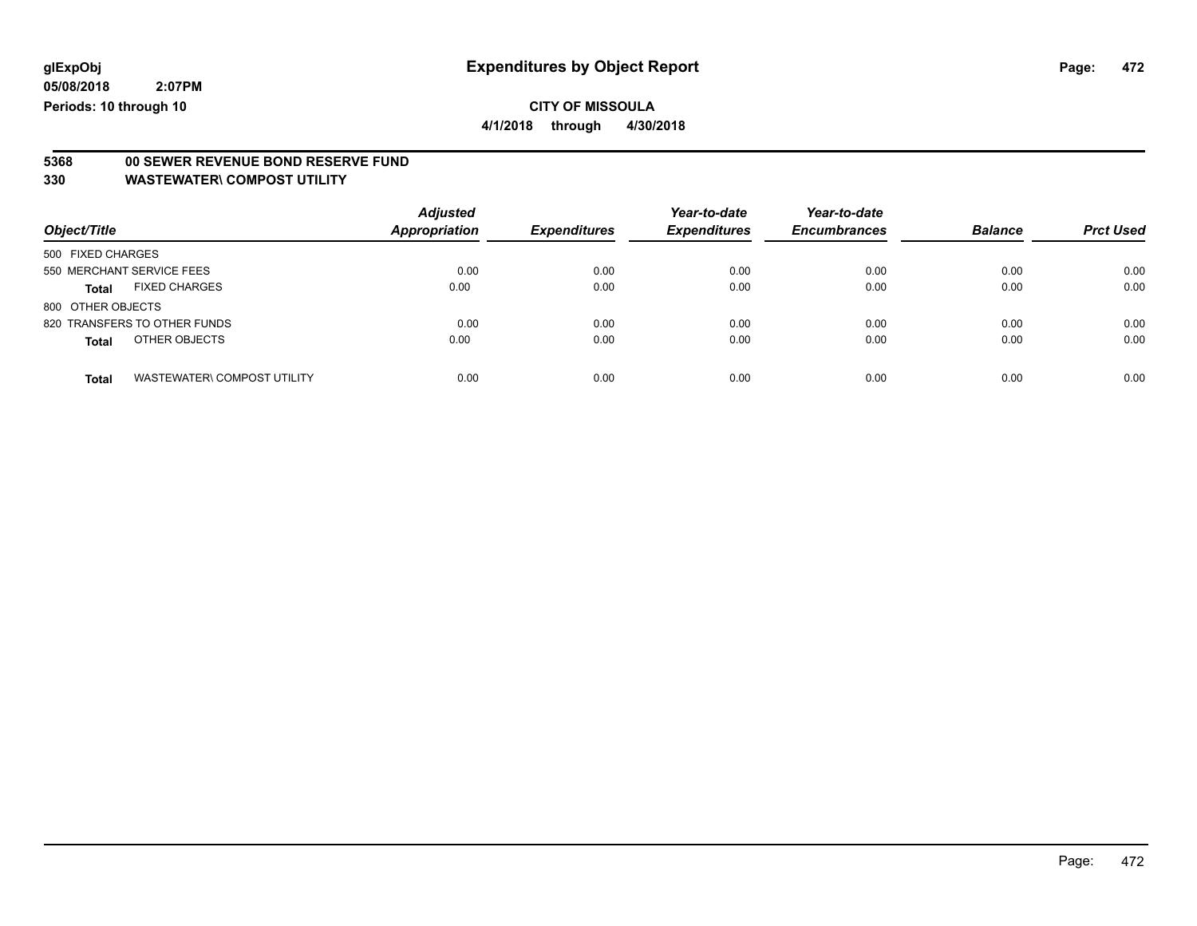**4/1/2018 through 4/30/2018**

### **5368 00 SEWER REVENUE BOND RESERVE FUND**

| Object/Title                                       | <b>Adjusted</b><br><b>Appropriation</b> | <b>Expenditures</b> | Year-to-date<br><b>Expenditures</b> | Year-to-date<br><b>Encumbrances</b> | <b>Balance</b> | <b>Prct Used</b> |
|----------------------------------------------------|-----------------------------------------|---------------------|-------------------------------------|-------------------------------------|----------------|------------------|
| 500 FIXED CHARGES                                  |                                         |                     |                                     |                                     |                |                  |
| 550 MERCHANT SERVICE FEES                          | 0.00                                    | 0.00                | 0.00                                | 0.00                                | 0.00           | 0.00             |
| <b>FIXED CHARGES</b><br><b>Total</b>               | 0.00                                    | 0.00                | 0.00                                | 0.00                                | 0.00           | 0.00             |
| 800 OTHER OBJECTS                                  |                                         |                     |                                     |                                     |                |                  |
| 820 TRANSFERS TO OTHER FUNDS                       | 0.00                                    | 0.00                | 0.00                                | 0.00                                | 0.00           | 0.00             |
| OTHER OBJECTS<br><b>Total</b>                      | 0.00                                    | 0.00                | 0.00                                | 0.00                                | 0.00           | 0.00             |
| <b>WASTEWATER\ COMPOST UTILITY</b><br><b>Total</b> | 0.00                                    | 0.00                | 0.00                                | 0.00                                | 0.00           | 0.00             |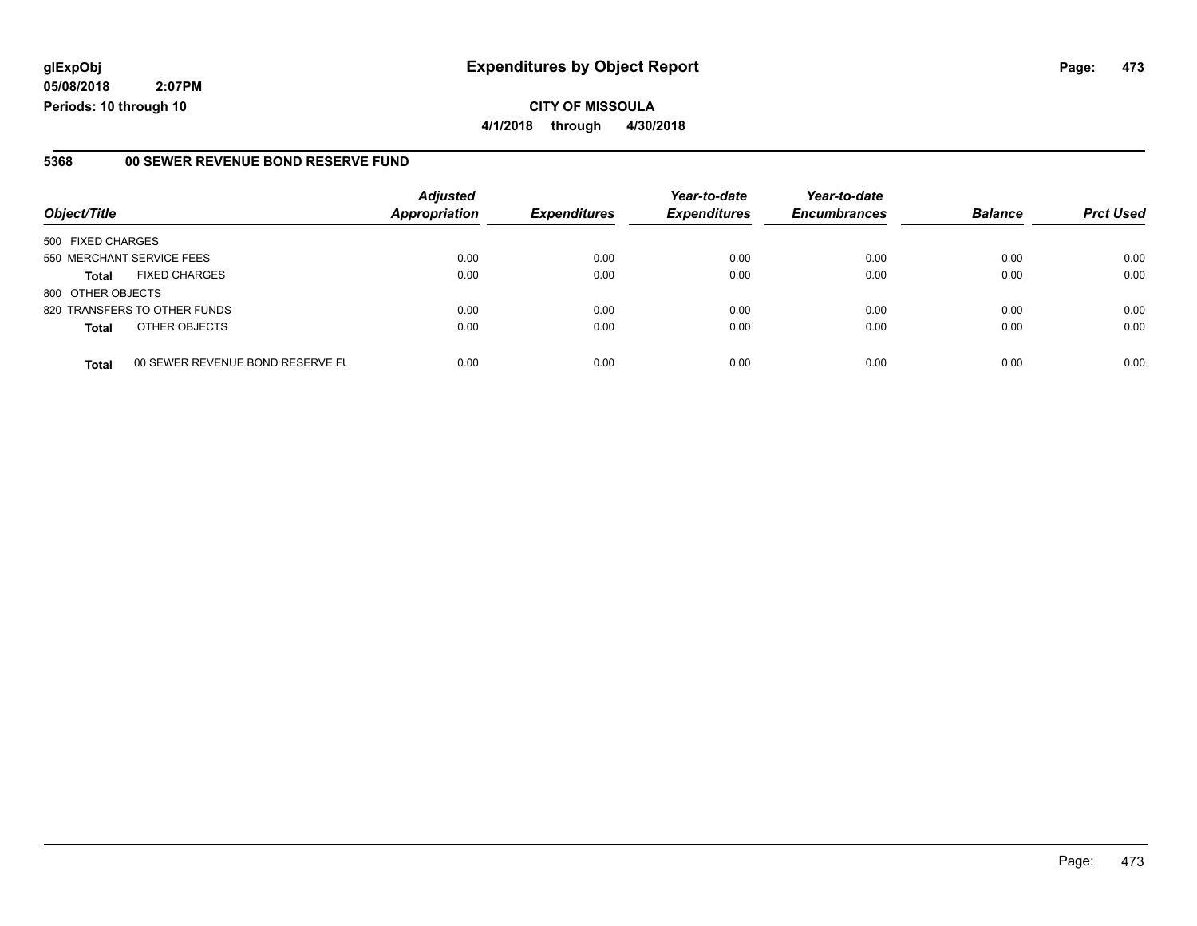**CITY OF MISSOULA 4/1/2018 through 4/30/2018**

#### **5368 00 SEWER REVENUE BOND RESERVE FUND**

| Object/Title      |                                  | <b>Adjusted</b><br><b>Appropriation</b> |                     | Year-to-date        | Year-to-date        | <b>Balance</b> |                  |
|-------------------|----------------------------------|-----------------------------------------|---------------------|---------------------|---------------------|----------------|------------------|
|                   |                                  |                                         | <b>Expenditures</b> | <b>Expenditures</b> | <b>Encumbrances</b> |                | <b>Prct Used</b> |
| 500 FIXED CHARGES |                                  |                                         |                     |                     |                     |                |                  |
|                   | 550 MERCHANT SERVICE FEES        | 0.00                                    | 0.00                | 0.00                | 0.00                | 0.00           | 0.00             |
| <b>Total</b>      | <b>FIXED CHARGES</b>             | 0.00                                    | 0.00                | 0.00                | 0.00                | 0.00           | 0.00             |
| 800 OTHER OBJECTS |                                  |                                         |                     |                     |                     |                |                  |
|                   | 820 TRANSFERS TO OTHER FUNDS     | 0.00                                    | 0.00                | 0.00                | 0.00                | 0.00           | 0.00             |
| <b>Total</b>      | OTHER OBJECTS                    | 0.00                                    | 0.00                | 0.00                | 0.00                | 0.00           | 0.00             |
| <b>Total</b>      | 00 SEWER REVENUE BOND RESERVE FU | 0.00                                    | 0.00                | 0.00                | 0.00                | 0.00           | 0.00             |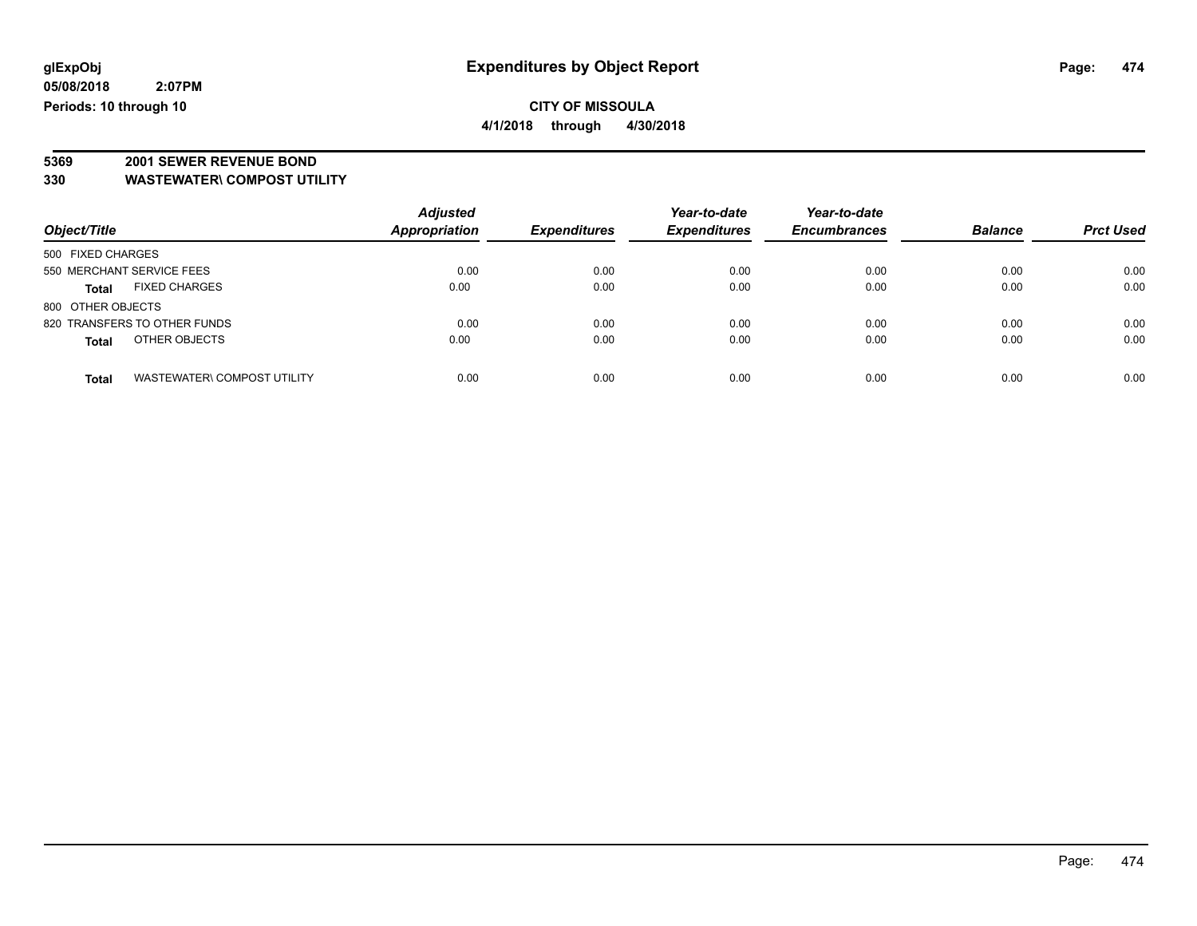#### **CITY OF MISSOULA 4/1/2018 through 4/30/2018**

# **5369 2001 SEWER REVENUE BOND<br>330 WASTEWATER\ COMPOST UTIL**

| Object/Title                                       | <b>Adjusted</b><br><b>Appropriation</b> | <b>Expenditures</b> | Year-to-date<br><b>Expenditures</b> | Year-to-date<br><b>Encumbrances</b> | <b>Balance</b> | <b>Prct Used</b> |
|----------------------------------------------------|-----------------------------------------|---------------------|-------------------------------------|-------------------------------------|----------------|------------------|
| 500 FIXED CHARGES                                  |                                         |                     |                                     |                                     |                |                  |
| 550 MERCHANT SERVICE FEES                          | 0.00                                    | 0.00                | 0.00                                | 0.00                                | 0.00           | 0.00             |
| <b>FIXED CHARGES</b><br><b>Total</b>               | 0.00                                    | 0.00                | 0.00                                | 0.00                                | 0.00           | 0.00             |
| 800 OTHER OBJECTS                                  |                                         |                     |                                     |                                     |                |                  |
| 820 TRANSFERS TO OTHER FUNDS                       | 0.00                                    | 0.00                | 0.00                                | 0.00                                | 0.00           | 0.00             |
| OTHER OBJECTS<br><b>Total</b>                      | 0.00                                    | 0.00                | 0.00                                | 0.00                                | 0.00           | 0.00             |
| <b>WASTEWATER\ COMPOST UTILITY</b><br><b>Total</b> | 0.00                                    | 0.00                | 0.00                                | 0.00                                | 0.00           | 0.00             |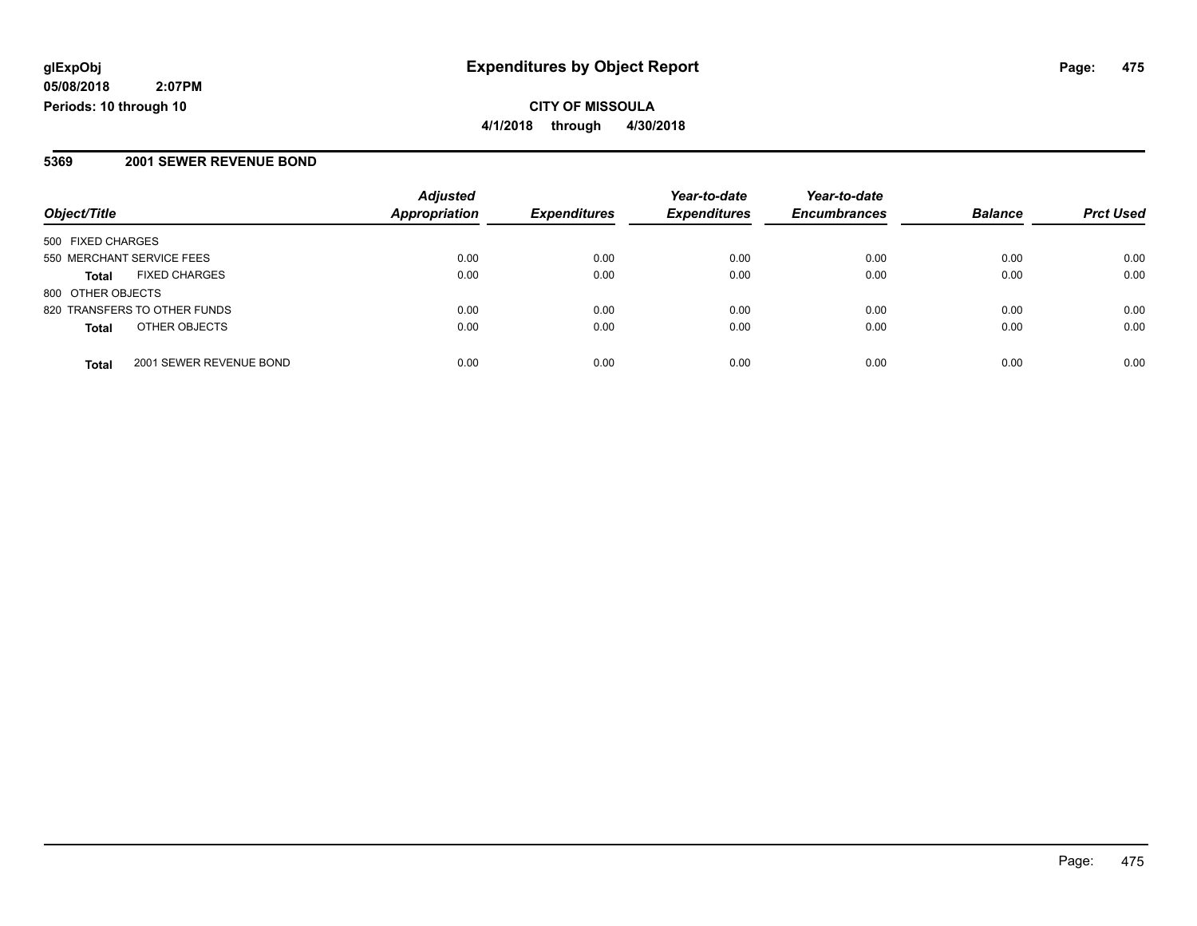**CITY OF MISSOULA 4/1/2018 through 4/30/2018**

#### **5369 2001 SEWER REVENUE BOND**

|                                         | <b>Adjusted</b>      |                     | Year-to-date        | Year-to-date        |                |                  |
|-----------------------------------------|----------------------|---------------------|---------------------|---------------------|----------------|------------------|
| Object/Title                            | <b>Appropriation</b> | <b>Expenditures</b> | <b>Expenditures</b> | <b>Encumbrances</b> | <b>Balance</b> | <b>Prct Used</b> |
| 500 FIXED CHARGES                       |                      |                     |                     |                     |                |                  |
| 550 MERCHANT SERVICE FEES               | 0.00                 | 0.00                | 0.00                | 0.00                | 0.00           | 0.00             |
| <b>FIXED CHARGES</b><br>Total           | 0.00                 | 0.00                | 0.00                | 0.00                | 0.00           | 0.00             |
| 800 OTHER OBJECTS                       |                      |                     |                     |                     |                |                  |
| 820 TRANSFERS TO OTHER FUNDS            | 0.00                 | 0.00                | 0.00                | 0.00                | 0.00           | 0.00             |
| OTHER OBJECTS<br><b>Total</b>           | 0.00                 | 0.00                | 0.00                | 0.00                | 0.00           | 0.00             |
| 2001 SEWER REVENUE BOND<br><b>Total</b> | 0.00                 | 0.00                | 0.00                | 0.00                | 0.00           | 0.00             |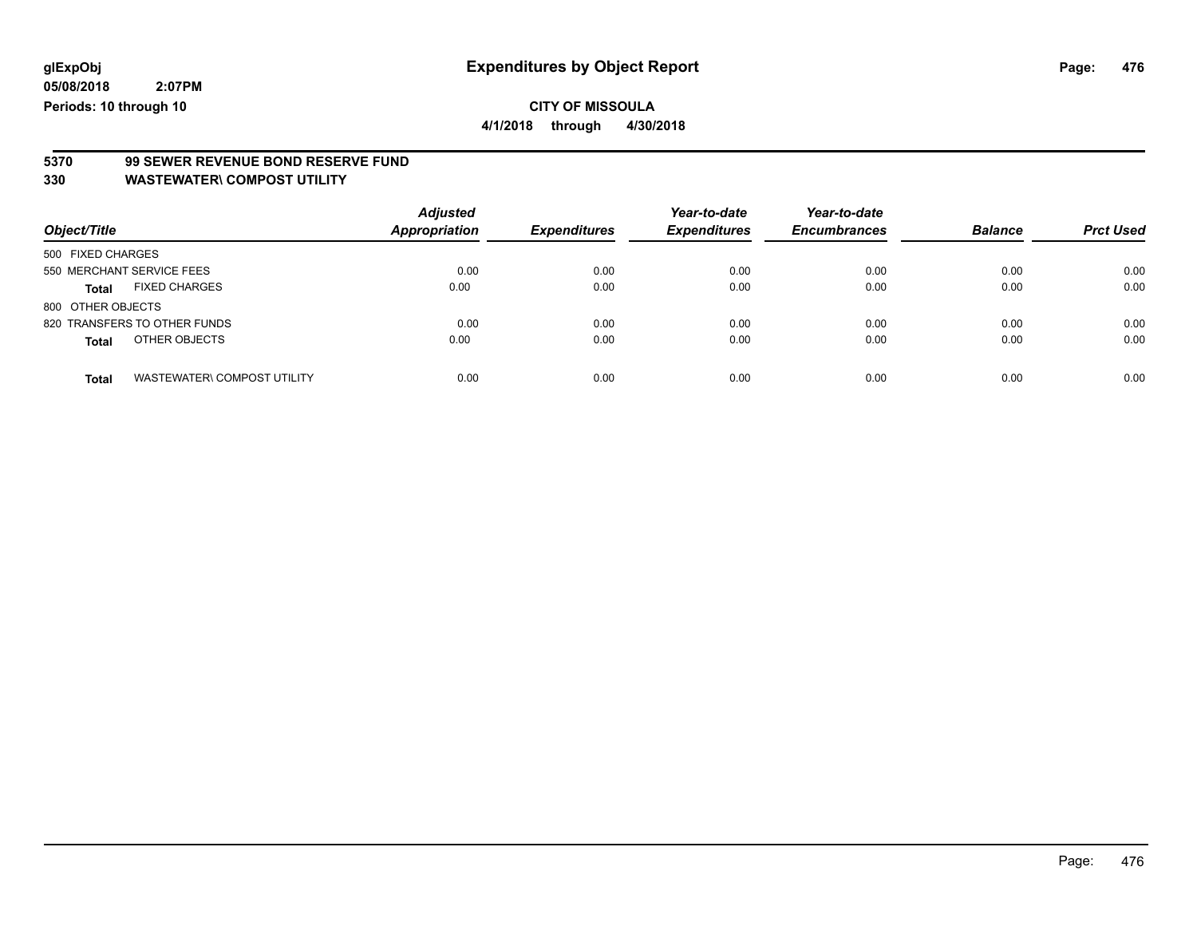**4/1/2018 through 4/30/2018**

# **5370 99 SEWER REVENUE BOND RESERVE FUND**

| Object/Title                                       | <b>Adjusted</b><br><b>Appropriation</b> | <b>Expenditures</b> | Year-to-date<br><b>Expenditures</b> | Year-to-date<br><b>Encumbrances</b> | <b>Balance</b> | <b>Prct Used</b> |
|----------------------------------------------------|-----------------------------------------|---------------------|-------------------------------------|-------------------------------------|----------------|------------------|
| 500 FIXED CHARGES                                  |                                         |                     |                                     |                                     |                |                  |
| 550 MERCHANT SERVICE FEES                          | 0.00                                    | 0.00                | 0.00                                | 0.00                                | 0.00           | 0.00             |
| <b>FIXED CHARGES</b><br><b>Total</b>               | 0.00                                    | 0.00                | 0.00                                | 0.00                                | 0.00           | 0.00             |
| 800 OTHER OBJECTS                                  |                                         |                     |                                     |                                     |                |                  |
| 820 TRANSFERS TO OTHER FUNDS                       | 0.00                                    | 0.00                | 0.00                                | 0.00                                | 0.00           | 0.00             |
| OTHER OBJECTS<br><b>Total</b>                      | 0.00                                    | 0.00                | 0.00                                | 0.00                                | 0.00           | 0.00             |
| <b>WASTEWATER\ COMPOST UTILITY</b><br><b>Total</b> | 0.00                                    | 0.00                | 0.00                                | 0.00                                | 0.00           | 0.00             |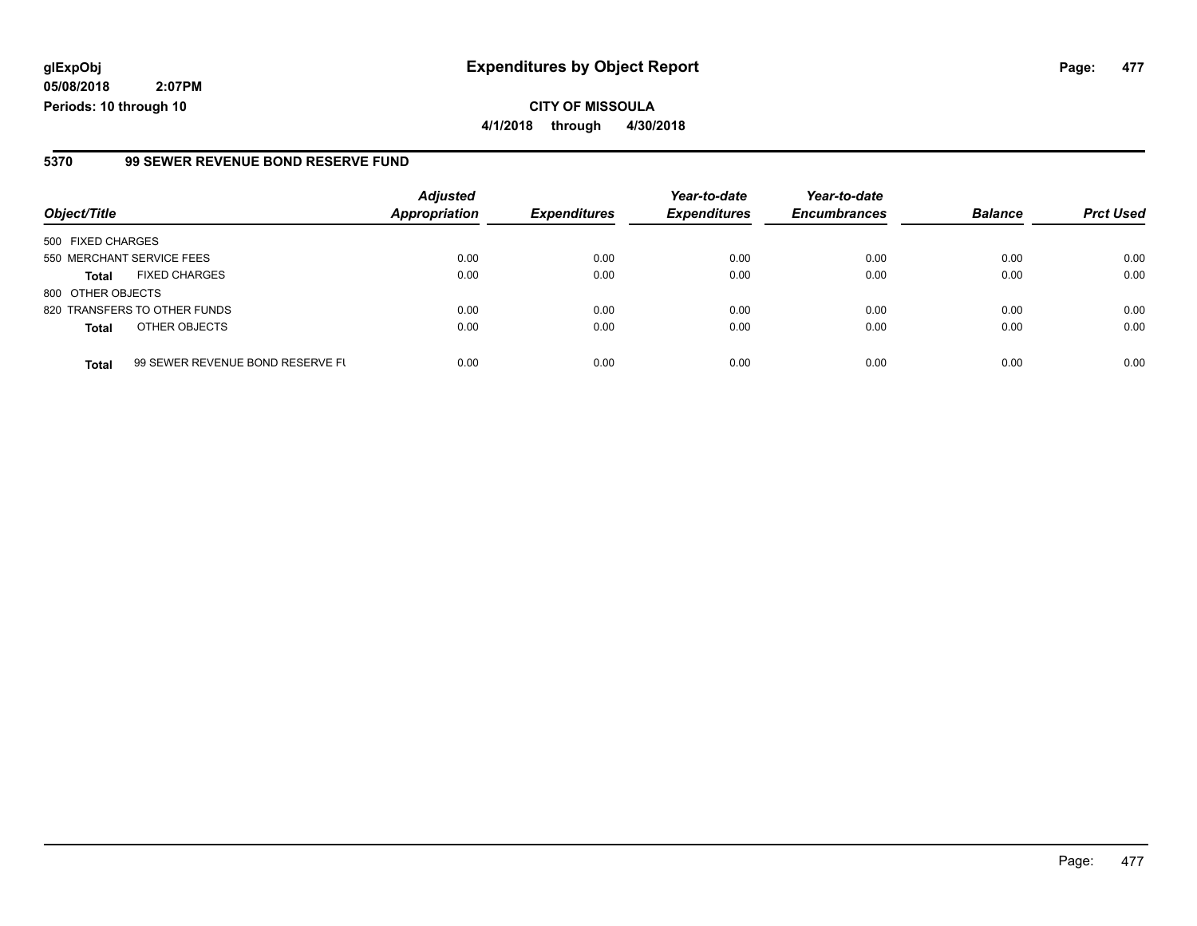**CITY OF MISSOULA 4/1/2018 through 4/30/2018**

#### **5370 99 SEWER REVENUE BOND RESERVE FUND**

|                           |                                  | <b>Adjusted</b>      |                     | Year-to-date        | Year-to-date        |                |                  |
|---------------------------|----------------------------------|----------------------|---------------------|---------------------|---------------------|----------------|------------------|
| Object/Title              |                                  | <b>Appropriation</b> | <b>Expenditures</b> | <b>Expenditures</b> | <b>Encumbrances</b> | <b>Balance</b> | <b>Prct Used</b> |
| 500 FIXED CHARGES         |                                  |                      |                     |                     |                     |                |                  |
| 550 MERCHANT SERVICE FEES |                                  | 0.00                 | 0.00                | 0.00                | 0.00                | 0.00           | 0.00             |
| <b>Total</b>              | <b>FIXED CHARGES</b>             | 0.00                 | 0.00                | 0.00                | 0.00                | 0.00           | 0.00             |
| 800 OTHER OBJECTS         |                                  |                      |                     |                     |                     |                |                  |
|                           | 820 TRANSFERS TO OTHER FUNDS     | 0.00                 | 0.00                | 0.00                | 0.00                | 0.00           | 0.00             |
| <b>Total</b>              | OTHER OBJECTS                    | 0.00                 | 0.00                | 0.00                | 0.00                | 0.00           | 0.00             |
| <b>Total</b>              | 99 SEWER REVENUE BOND RESERVE FL | 0.00                 | 0.00                | 0.00                | 0.00                | 0.00           | 0.00             |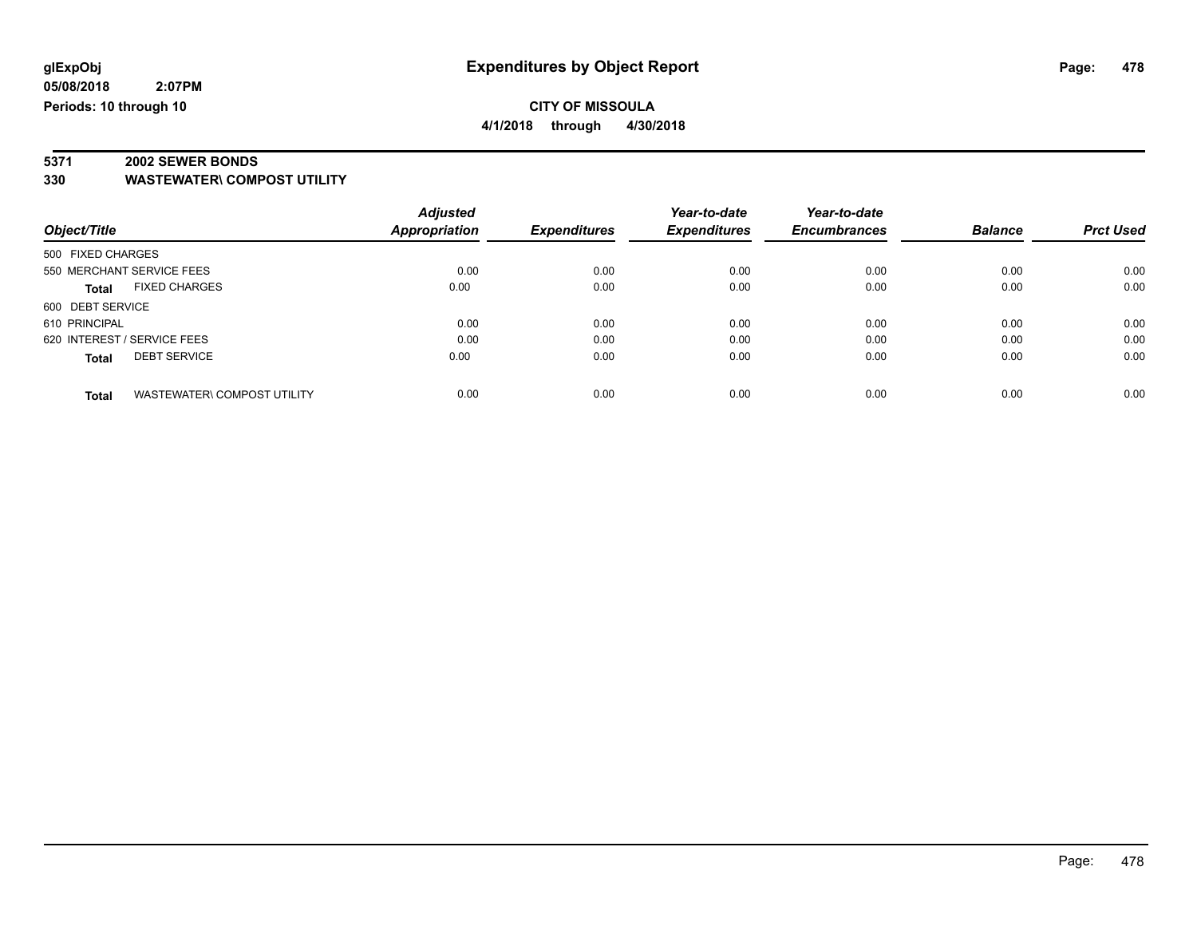#### **CITY OF MISSOULA 4/1/2018 through 4/30/2018**

**5371 2002 SEWER BONDS 330 WASTEWATER\ COMPOST UTILITY**

|                             |                                    | <b>Adjusted</b> |                     | Year-to-date        | Year-to-date        |                |                  |
|-----------------------------|------------------------------------|-----------------|---------------------|---------------------|---------------------|----------------|------------------|
| Object/Title                |                                    | Appropriation   | <b>Expenditures</b> | <b>Expenditures</b> | <b>Encumbrances</b> | <b>Balance</b> | <b>Prct Used</b> |
| 500 FIXED CHARGES           |                                    |                 |                     |                     |                     |                |                  |
| 550 MERCHANT SERVICE FEES   |                                    | 0.00            | 0.00                | 0.00                | 0.00                | 0.00           | 0.00             |
| <b>Total</b>                | <b>FIXED CHARGES</b>               | 0.00            | 0.00                | 0.00                | 0.00                | 0.00           | 0.00             |
| 600 DEBT SERVICE            |                                    |                 |                     |                     |                     |                |                  |
| 610 PRINCIPAL               |                                    | 0.00            | 0.00                | 0.00                | 0.00                | 0.00           | 0.00             |
| 620 INTEREST / SERVICE FEES |                                    | 0.00            | 0.00                | 0.00                | 0.00                | 0.00           | 0.00             |
| <b>Total</b>                | <b>DEBT SERVICE</b>                | 0.00            | 0.00                | 0.00                | 0.00                | 0.00           | 0.00             |
| <b>Total</b>                | <b>WASTEWATER\ COMPOST UTILITY</b> | 0.00            | 0.00                | 0.00                | 0.00                | 0.00           | 0.00             |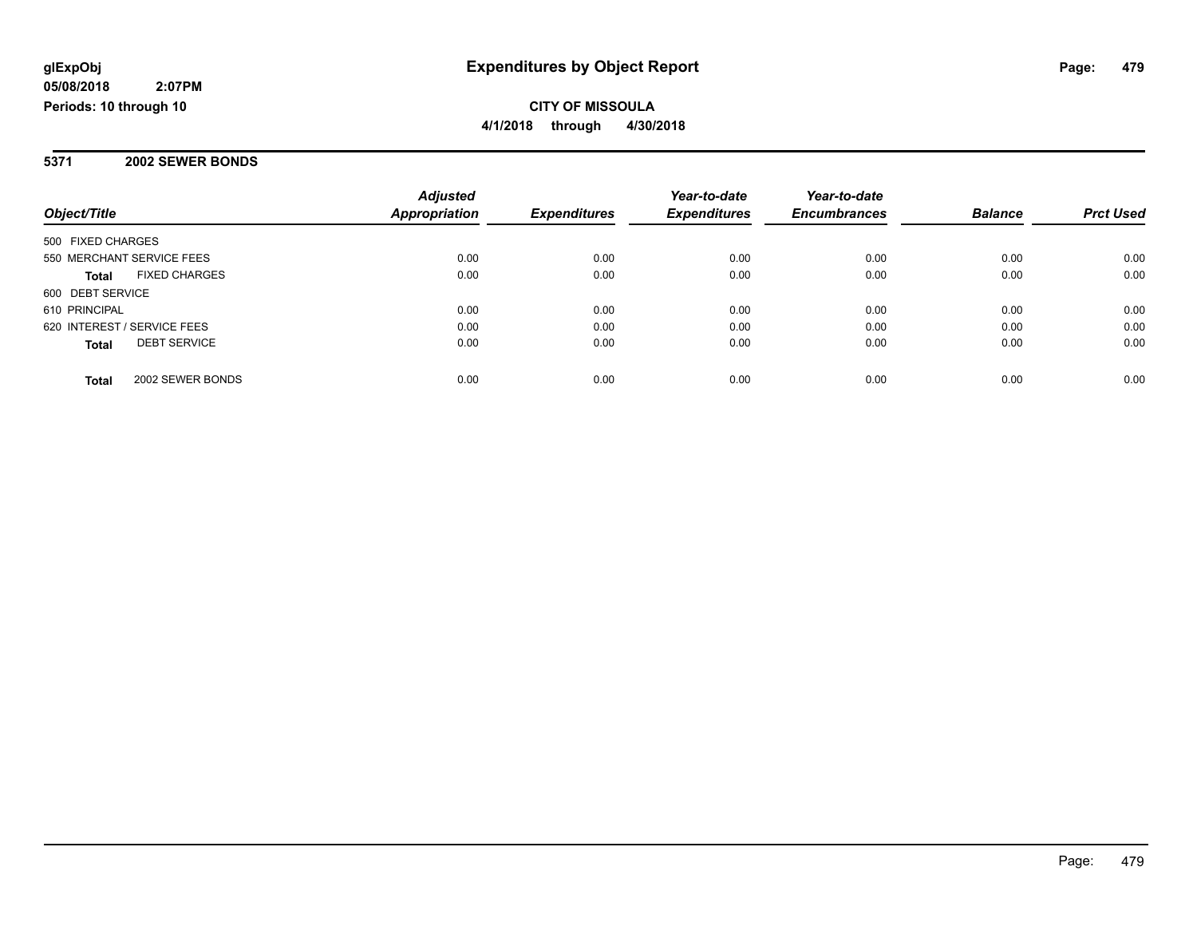**2:07PM Periods: 10 through 10**

#### **CITY OF MISSOULA 4/1/2018 through 4/30/2018**

#### **5371 2002 SEWER BONDS**

|                                      | <b>Adjusted</b>      |                     | Year-to-date        | Year-to-date        |                |                  |
|--------------------------------------|----------------------|---------------------|---------------------|---------------------|----------------|------------------|
| Object/Title                         | <b>Appropriation</b> | <b>Expenditures</b> | <b>Expenditures</b> | <b>Encumbrances</b> | <b>Balance</b> | <b>Prct Used</b> |
| 500 FIXED CHARGES                    |                      |                     |                     |                     |                |                  |
| 550 MERCHANT SERVICE FEES            | 0.00                 | 0.00                | 0.00                | 0.00                | 0.00           | 0.00             |
| <b>FIXED CHARGES</b><br><b>Total</b> | 0.00                 | 0.00                | 0.00                | 0.00                | 0.00           | 0.00             |
| 600 DEBT SERVICE                     |                      |                     |                     |                     |                |                  |
| 610 PRINCIPAL                        | 0.00                 | 0.00                | 0.00                | 0.00                | 0.00           | 0.00             |
| 620 INTEREST / SERVICE FEES          | 0.00                 | 0.00                | 0.00                | 0.00                | 0.00           | 0.00             |
| <b>DEBT SERVICE</b><br><b>Total</b>  | 0.00                 | 0.00                | 0.00                | 0.00                | 0.00           | 0.00             |
| 2002 SEWER BONDS<br>Total            | 0.00                 | 0.00                | 0.00                | 0.00                | 0.00           | 0.00             |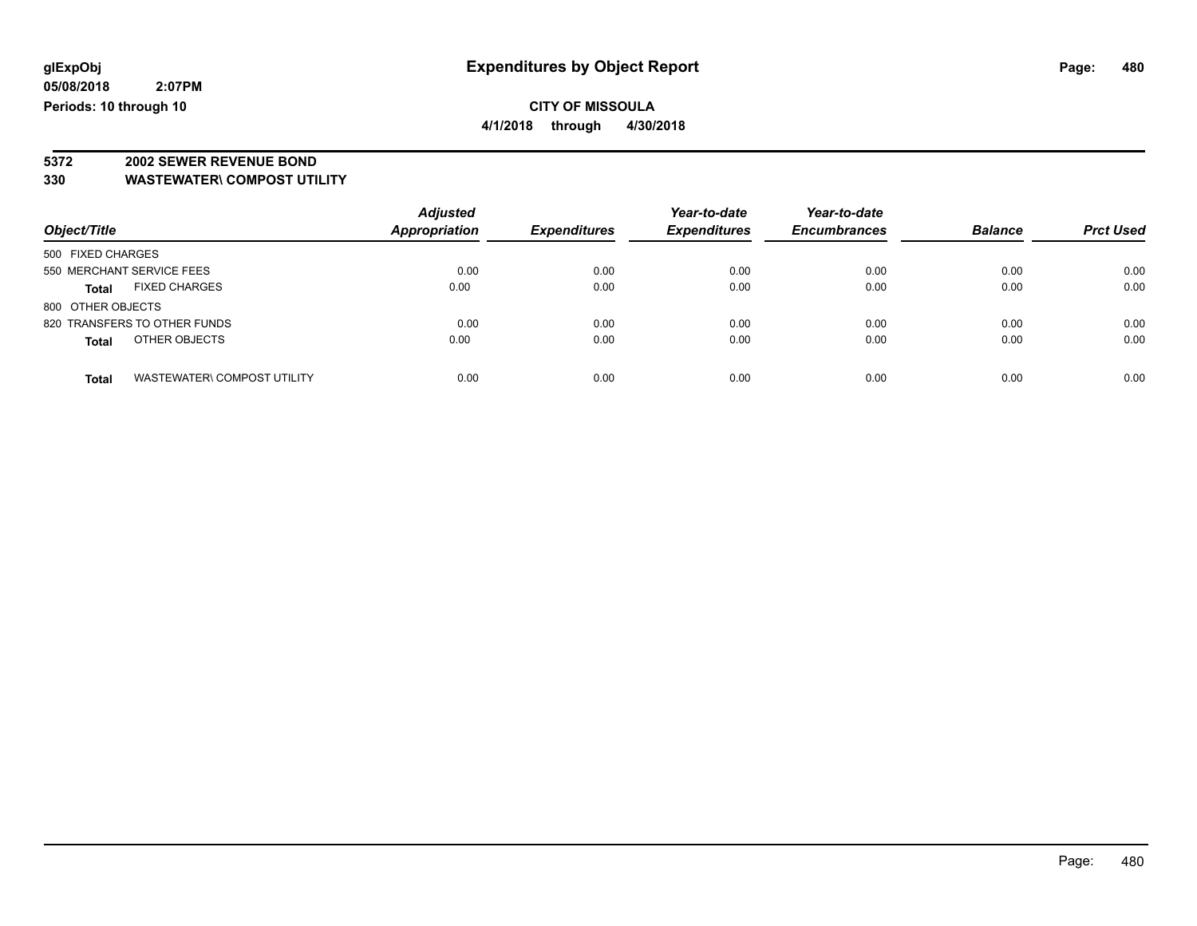#### **CITY OF MISSOULA 4/1/2018 through 4/30/2018**

# **5372 2002 SEWER REVENUE BOND**<br>**330 WASTEWATER\ COMPOST UTIL**

| Object/Title                                       | <b>Adjusted</b><br>Appropriation | <b>Expenditures</b> | Year-to-date<br><b>Expenditures</b> | Year-to-date<br><b>Encumbrances</b> | <b>Balance</b> | <b>Prct Used</b> |
|----------------------------------------------------|----------------------------------|---------------------|-------------------------------------|-------------------------------------|----------------|------------------|
| 500 FIXED CHARGES                                  |                                  |                     |                                     |                                     |                |                  |
| 550 MERCHANT SERVICE FEES                          | 0.00                             | 0.00                | 0.00                                | 0.00                                | 0.00           | 0.00             |
| <b>FIXED CHARGES</b><br><b>Total</b>               | 0.00                             | 0.00                | 0.00                                | 0.00                                | 0.00           | 0.00             |
| 800 OTHER OBJECTS                                  |                                  |                     |                                     |                                     |                |                  |
| 820 TRANSFERS TO OTHER FUNDS                       | 0.00                             | 0.00                | 0.00                                | 0.00                                | 0.00           | 0.00             |
| OTHER OBJECTS<br><b>Total</b>                      | 0.00                             | 0.00                | 0.00                                | 0.00                                | 0.00           | 0.00             |
|                                                    |                                  |                     |                                     |                                     |                |                  |
| <b>WASTEWATER\ COMPOST UTILITY</b><br><b>Total</b> | 0.00                             | 0.00                | 0.00                                | 0.00                                | 0.00           | 0.00             |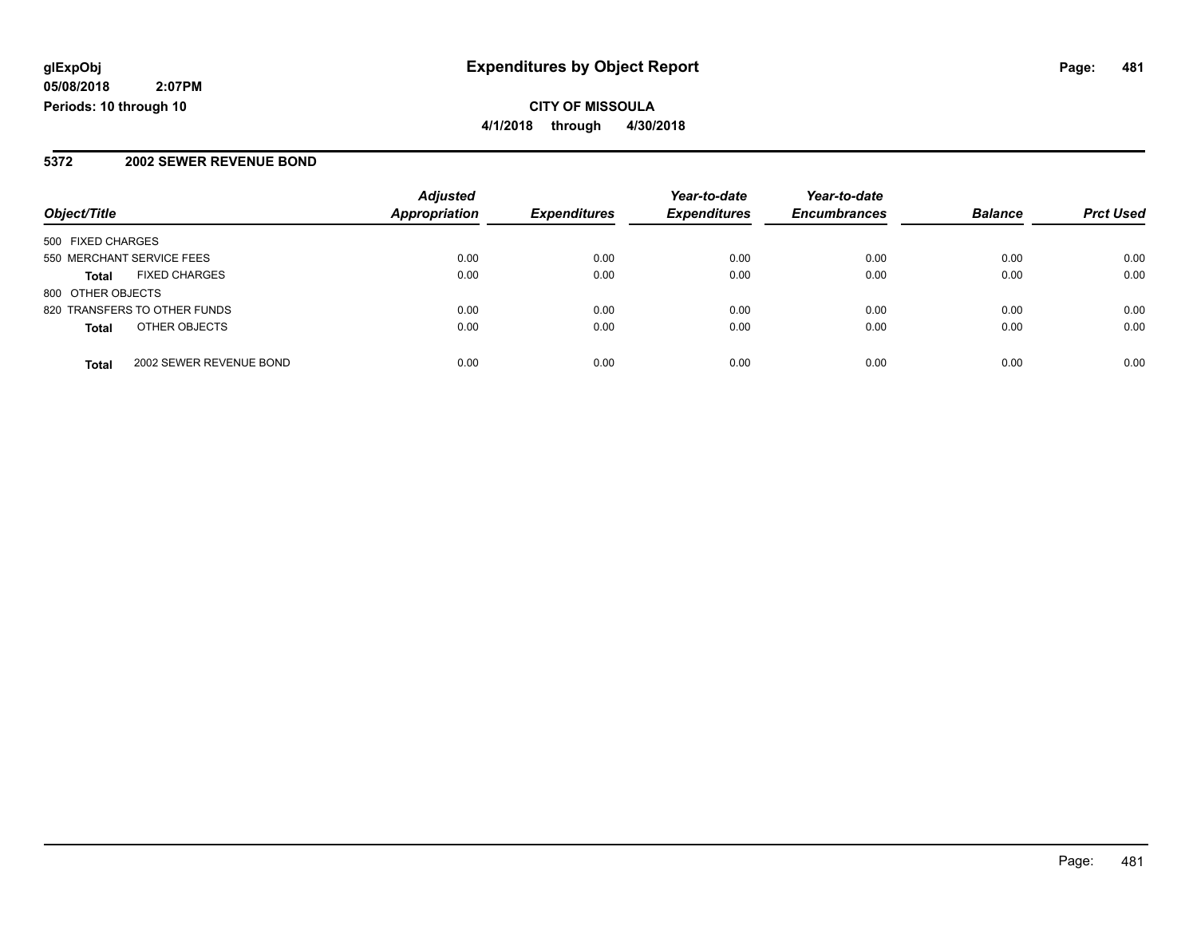**CITY OF MISSOULA 4/1/2018 through 4/30/2018**

#### **5372 2002 SEWER REVENUE BOND**

|                              |                         | <b>Adjusted</b>      |                     | Year-to-date        | Year-to-date        |                |                  |
|------------------------------|-------------------------|----------------------|---------------------|---------------------|---------------------|----------------|------------------|
| Object/Title                 |                         | <b>Appropriation</b> | <b>Expenditures</b> | <b>Expenditures</b> | <b>Encumbrances</b> | <b>Balance</b> | <b>Prct Used</b> |
| 500 FIXED CHARGES            |                         |                      |                     |                     |                     |                |                  |
| 550 MERCHANT SERVICE FEES    |                         | 0.00                 | 0.00                | 0.00                | 0.00                | 0.00           | 0.00             |
| <b>Total</b>                 | <b>FIXED CHARGES</b>    | 0.00                 | 0.00                | 0.00                | 0.00                | 0.00           | 0.00             |
| 800 OTHER OBJECTS            |                         |                      |                     |                     |                     |                |                  |
| 820 TRANSFERS TO OTHER FUNDS |                         | 0.00                 | 0.00                | 0.00                | 0.00                | 0.00           | 0.00             |
| <b>Total</b>                 | OTHER OBJECTS           | 0.00                 | 0.00                | 0.00                | 0.00                | 0.00           | 0.00             |
| <b>Total</b>                 | 2002 SEWER REVENUE BOND | 0.00                 | 0.00                | 0.00                | 0.00                | 0.00           | 0.00             |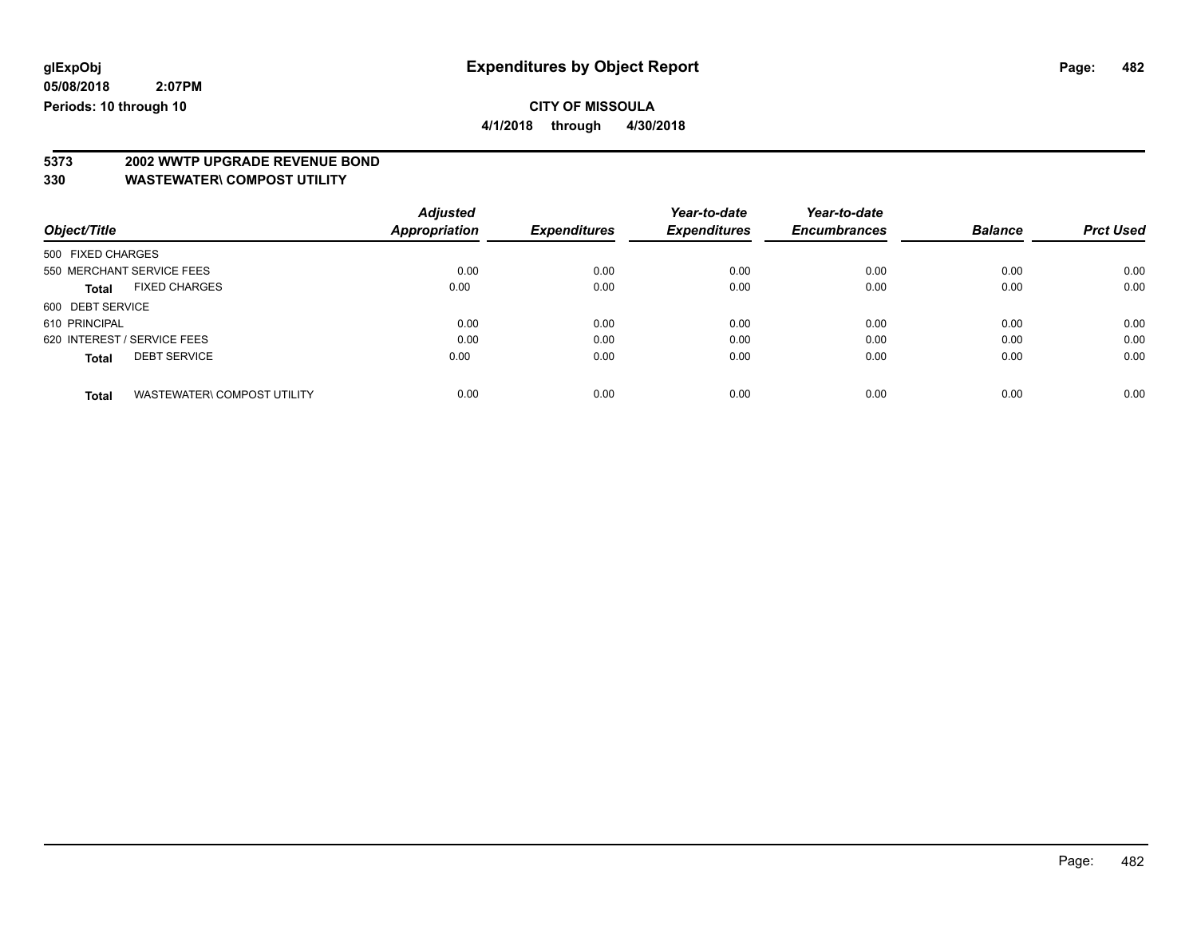# **5373 2002 WWTP UPGRADE REVENUE BOND**

| Object/Title                |                                    | <b>Adjusted</b><br><b>Appropriation</b> | <b>Expenditures</b> | Year-to-date<br><b>Expenditures</b> | Year-to-date<br><b>Encumbrances</b> | <b>Balance</b> | <b>Prct Used</b> |
|-----------------------------|------------------------------------|-----------------------------------------|---------------------|-------------------------------------|-------------------------------------|----------------|------------------|
| 500 FIXED CHARGES           |                                    |                                         |                     |                                     |                                     |                |                  |
| 550 MERCHANT SERVICE FEES   |                                    | 0.00                                    | 0.00                | 0.00                                | 0.00                                | 0.00           | 0.00             |
| <b>Total</b>                | <b>FIXED CHARGES</b>               | 0.00                                    | 0.00                | 0.00                                | 0.00                                | 0.00           | 0.00             |
| 600 DEBT SERVICE            |                                    |                                         |                     |                                     |                                     |                |                  |
| 610 PRINCIPAL               |                                    | 0.00                                    | 0.00                | 0.00                                | 0.00                                | 0.00           | 0.00             |
| 620 INTEREST / SERVICE FEES |                                    | 0.00                                    | 0.00                | 0.00                                | 0.00                                | 0.00           | 0.00             |
| <b>Total</b>                | <b>DEBT SERVICE</b>                | 0.00                                    | 0.00                | 0.00                                | 0.00                                | 0.00           | 0.00             |
| <b>Total</b>                | <b>WASTEWATER\ COMPOST UTILITY</b> | 0.00                                    | 0.00                | 0.00                                | 0.00                                | 0.00           | 0.00             |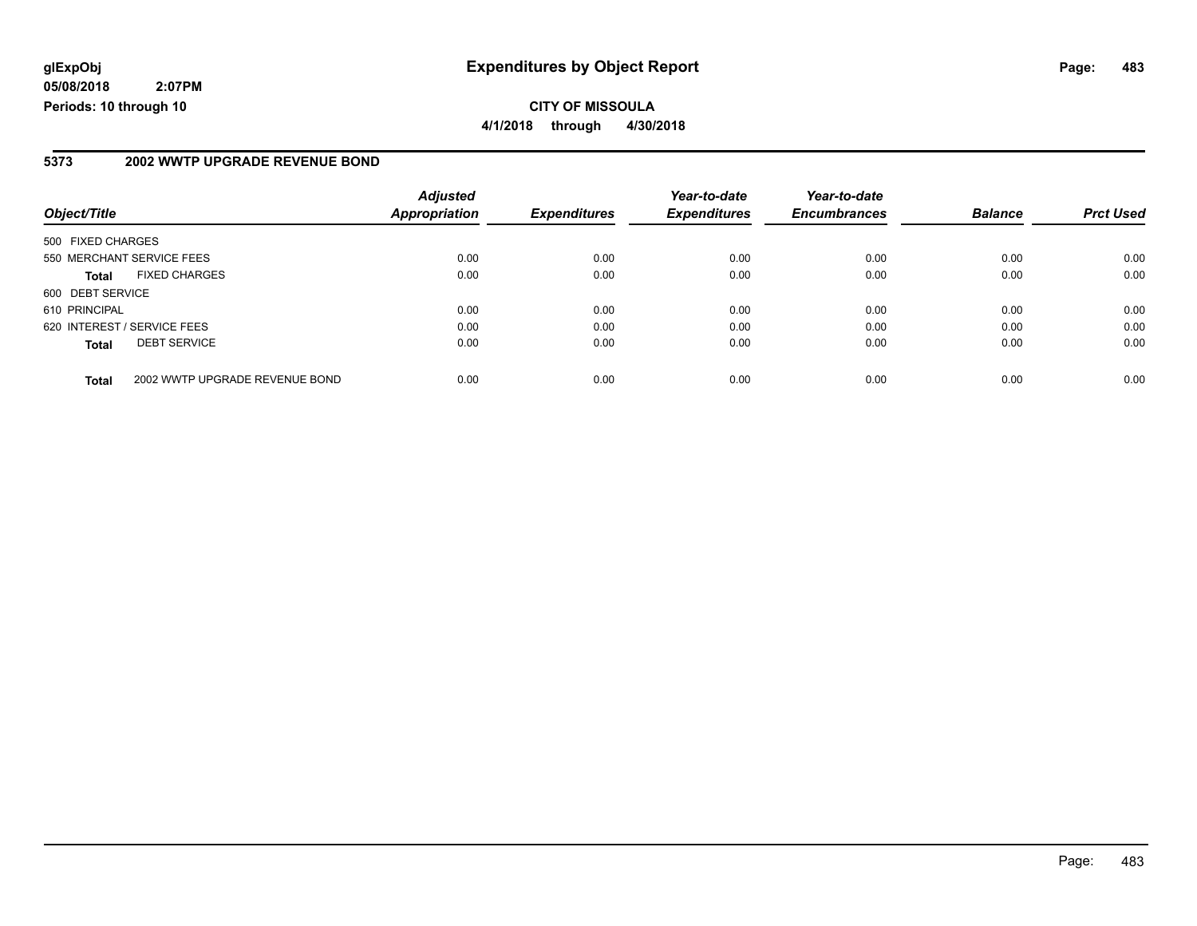**CITY OF MISSOULA 4/1/2018 through 4/30/2018**

#### **5373 2002 WWTP UPGRADE REVENUE BOND**

| Object/Title                |                                | <b>Adjusted</b><br><b>Appropriation</b> | <b>Expenditures</b> | Year-to-date<br><b>Expenditures</b> | Year-to-date<br><b>Encumbrances</b> | <b>Balance</b> | <b>Prct Used</b> |
|-----------------------------|--------------------------------|-----------------------------------------|---------------------|-------------------------------------|-------------------------------------|----------------|------------------|
| 500 FIXED CHARGES           |                                |                                         |                     |                                     |                                     |                |                  |
| 550 MERCHANT SERVICE FEES   |                                | 0.00                                    | 0.00                | 0.00                                | 0.00                                | 0.00           | 0.00             |
| <b>Total</b>                | <b>FIXED CHARGES</b>           | 0.00                                    | 0.00                | 0.00                                | 0.00                                | 0.00           | 0.00             |
| 600 DEBT SERVICE            |                                |                                         |                     |                                     |                                     |                |                  |
| 610 PRINCIPAL               |                                | 0.00                                    | 0.00                | 0.00                                | 0.00                                | 0.00           | 0.00             |
| 620 INTEREST / SERVICE FEES |                                | 0.00                                    | 0.00                | 0.00                                | 0.00                                | 0.00           | 0.00             |
| <b>Total</b>                | <b>DEBT SERVICE</b>            | 0.00                                    | 0.00                | 0.00                                | 0.00                                | 0.00           | 0.00             |
| <b>Total</b>                | 2002 WWTP UPGRADE REVENUE BOND | 0.00                                    | 0.00                | 0.00                                | 0.00                                | 0.00           | 0.00             |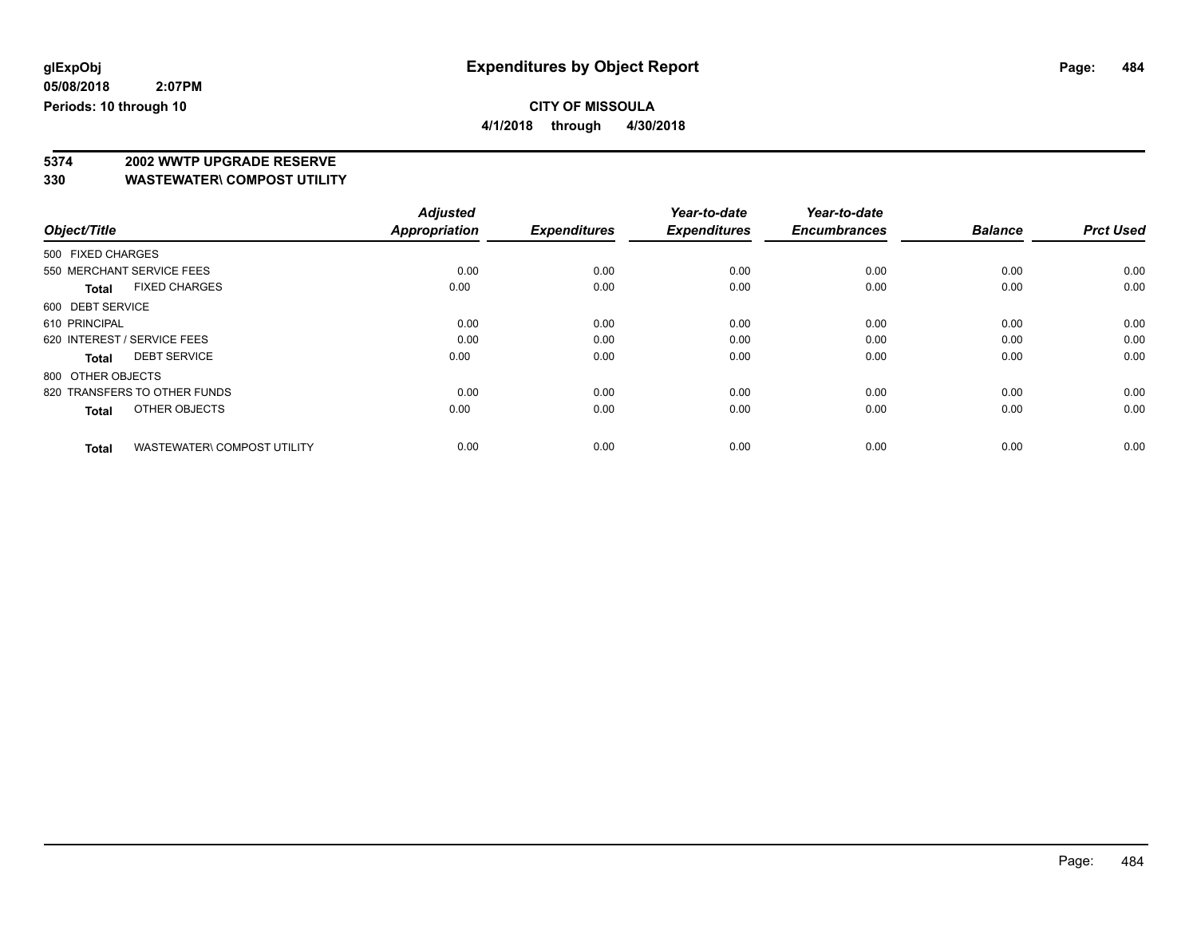#### **CITY OF MISSOULA 4/1/2018 through 4/30/2018**

# **5374 2002 WWTP UPGRADE RESERVE**

| Object/Title                         |                                    | <b>Adjusted</b><br><b>Appropriation</b> | <b>Expenditures</b> | Year-to-date<br><b>Expenditures</b> | Year-to-date<br><b>Encumbrances</b> | <b>Balance</b> | <b>Prct Used</b> |
|--------------------------------------|------------------------------------|-----------------------------------------|---------------------|-------------------------------------|-------------------------------------|----------------|------------------|
|                                      |                                    |                                         |                     |                                     |                                     |                |                  |
| 500 FIXED CHARGES                    |                                    |                                         |                     |                                     |                                     |                |                  |
| 550 MERCHANT SERVICE FEES            |                                    | 0.00                                    | 0.00                | 0.00                                | 0.00                                | 0.00           | 0.00             |
| <b>FIXED CHARGES</b><br><b>Total</b> |                                    | 0.00                                    | 0.00                | 0.00                                | 0.00                                | 0.00           | 0.00             |
| 600 DEBT SERVICE                     |                                    |                                         |                     |                                     |                                     |                |                  |
| 610 PRINCIPAL                        |                                    | 0.00                                    | 0.00                | 0.00                                | 0.00                                | 0.00           | 0.00             |
| 620 INTEREST / SERVICE FEES          |                                    | 0.00                                    | 0.00                | 0.00                                | 0.00                                | 0.00           | 0.00             |
| <b>DEBT SERVICE</b><br>Total         |                                    | 0.00                                    | 0.00                | 0.00                                | 0.00                                | 0.00           | 0.00             |
| 800 OTHER OBJECTS                    |                                    |                                         |                     |                                     |                                     |                |                  |
| 820 TRANSFERS TO OTHER FUNDS         |                                    | 0.00                                    | 0.00                | 0.00                                | 0.00                                | 0.00           | 0.00             |
| OTHER OBJECTS<br><b>Total</b>        |                                    | 0.00                                    | 0.00                | 0.00                                | 0.00                                | 0.00           | 0.00             |
| <b>Total</b>                         | <b>WASTEWATER\ COMPOST UTILITY</b> | 0.00                                    | 0.00                | 0.00                                | 0.00                                | 0.00           | 0.00             |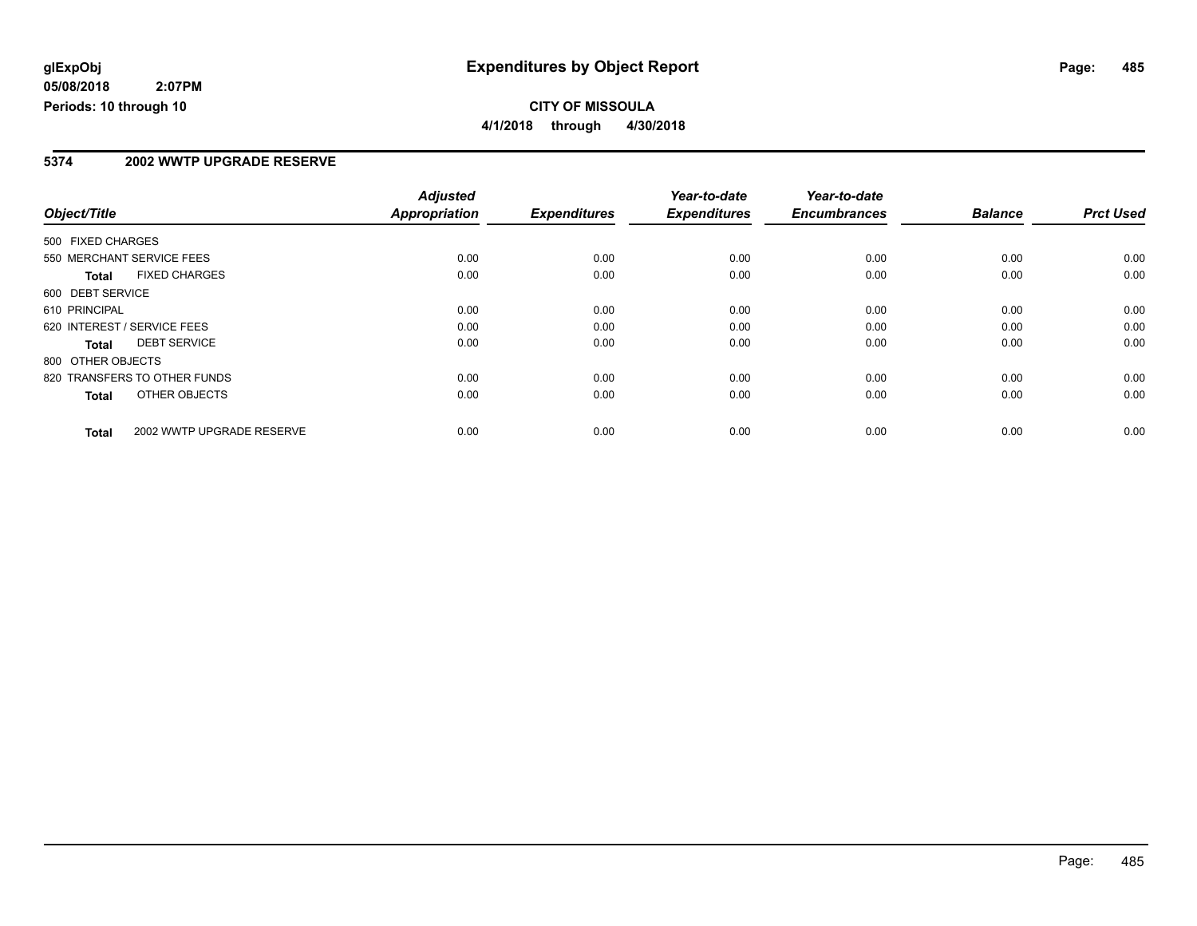**CITY OF MISSOULA 4/1/2018 through 4/30/2018**

#### **5374 2002 WWTP UPGRADE RESERVE**

|                                      |                           | <b>Adjusted</b>      |                     | Year-to-date        | Year-to-date        |                |                  |
|--------------------------------------|---------------------------|----------------------|---------------------|---------------------|---------------------|----------------|------------------|
| Object/Title                         |                           | <b>Appropriation</b> | <b>Expenditures</b> | <b>Expenditures</b> | <b>Encumbrances</b> | <b>Balance</b> | <b>Prct Used</b> |
| 500 FIXED CHARGES                    |                           |                      |                     |                     |                     |                |                  |
| 550 MERCHANT SERVICE FEES            |                           | 0.00                 | 0.00                | 0.00                | 0.00                | 0.00           | 0.00             |
| <b>FIXED CHARGES</b><br><b>Total</b> |                           | 0.00                 | 0.00                | 0.00                | 0.00                | 0.00           | 0.00             |
| 600 DEBT SERVICE                     |                           |                      |                     |                     |                     |                |                  |
| 610 PRINCIPAL                        |                           | 0.00                 | 0.00                | 0.00                | 0.00                | 0.00           | 0.00             |
| 620 INTEREST / SERVICE FEES          |                           | 0.00                 | 0.00                | 0.00                | 0.00                | 0.00           | 0.00             |
| <b>DEBT SERVICE</b><br>Total         |                           | 0.00                 | 0.00                | 0.00                | 0.00                | 0.00           | 0.00             |
| 800 OTHER OBJECTS                    |                           |                      |                     |                     |                     |                |                  |
| 820 TRANSFERS TO OTHER FUNDS         |                           | 0.00                 | 0.00                | 0.00                | 0.00                | 0.00           | 0.00             |
| OTHER OBJECTS<br>Total               |                           | 0.00                 | 0.00                | 0.00                | 0.00                | 0.00           | 0.00             |
| <b>Total</b>                         | 2002 WWTP UPGRADE RESERVE | 0.00                 | 0.00                | 0.00                | 0.00                | 0.00           | 0.00             |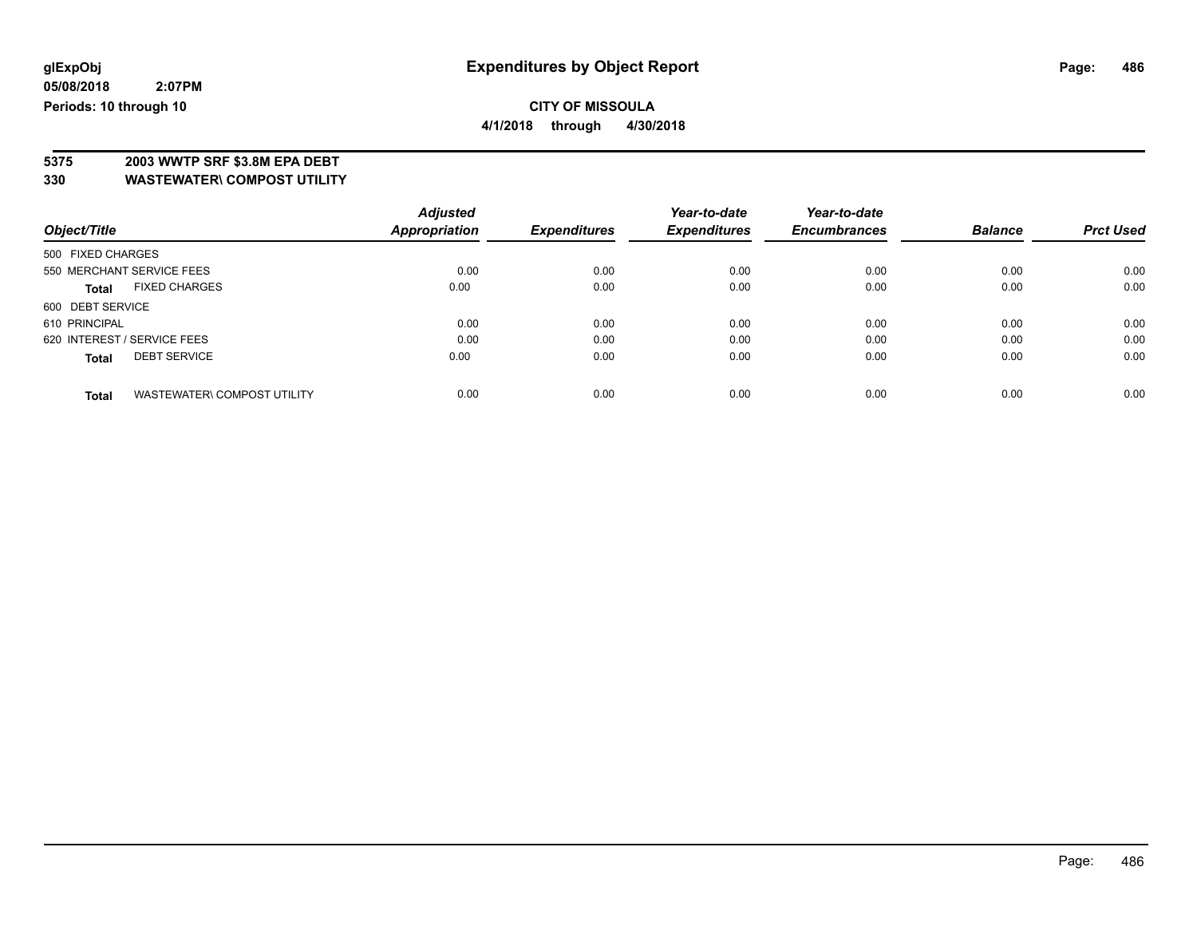#### **CITY OF MISSOULA 4/1/2018 through 4/30/2018**

# **5375 2003 WWTP SRF \$3.8M EPA DEBT**

| Object/Title                |                                    | <b>Adjusted</b><br><b>Appropriation</b> | <b>Expenditures</b> | Year-to-date<br><b>Expenditures</b> | Year-to-date<br><b>Encumbrances</b> | <b>Balance</b> | <b>Prct Used</b> |
|-----------------------------|------------------------------------|-----------------------------------------|---------------------|-------------------------------------|-------------------------------------|----------------|------------------|
| 500 FIXED CHARGES           |                                    |                                         |                     |                                     |                                     |                |                  |
| 550 MERCHANT SERVICE FEES   |                                    | 0.00                                    | 0.00                | 0.00                                | 0.00                                | 0.00           | 0.00             |
| <b>Total</b>                | <b>FIXED CHARGES</b>               | 0.00                                    | 0.00                | 0.00                                | 0.00                                | 0.00           | 0.00             |
| 600 DEBT SERVICE            |                                    |                                         |                     |                                     |                                     |                |                  |
| 610 PRINCIPAL               |                                    | 0.00                                    | 0.00                | 0.00                                | 0.00                                | 0.00           | 0.00             |
| 620 INTEREST / SERVICE FEES |                                    | 0.00                                    | 0.00                | 0.00                                | 0.00                                | 0.00           | 0.00             |
| <b>Total</b>                | <b>DEBT SERVICE</b>                | 0.00                                    | 0.00                | 0.00                                | 0.00                                | 0.00           | 0.00             |
| <b>Total</b>                | <b>WASTEWATER\ COMPOST UTILITY</b> | 0.00                                    | 0.00                | 0.00                                | 0.00                                | 0.00           | 0.00             |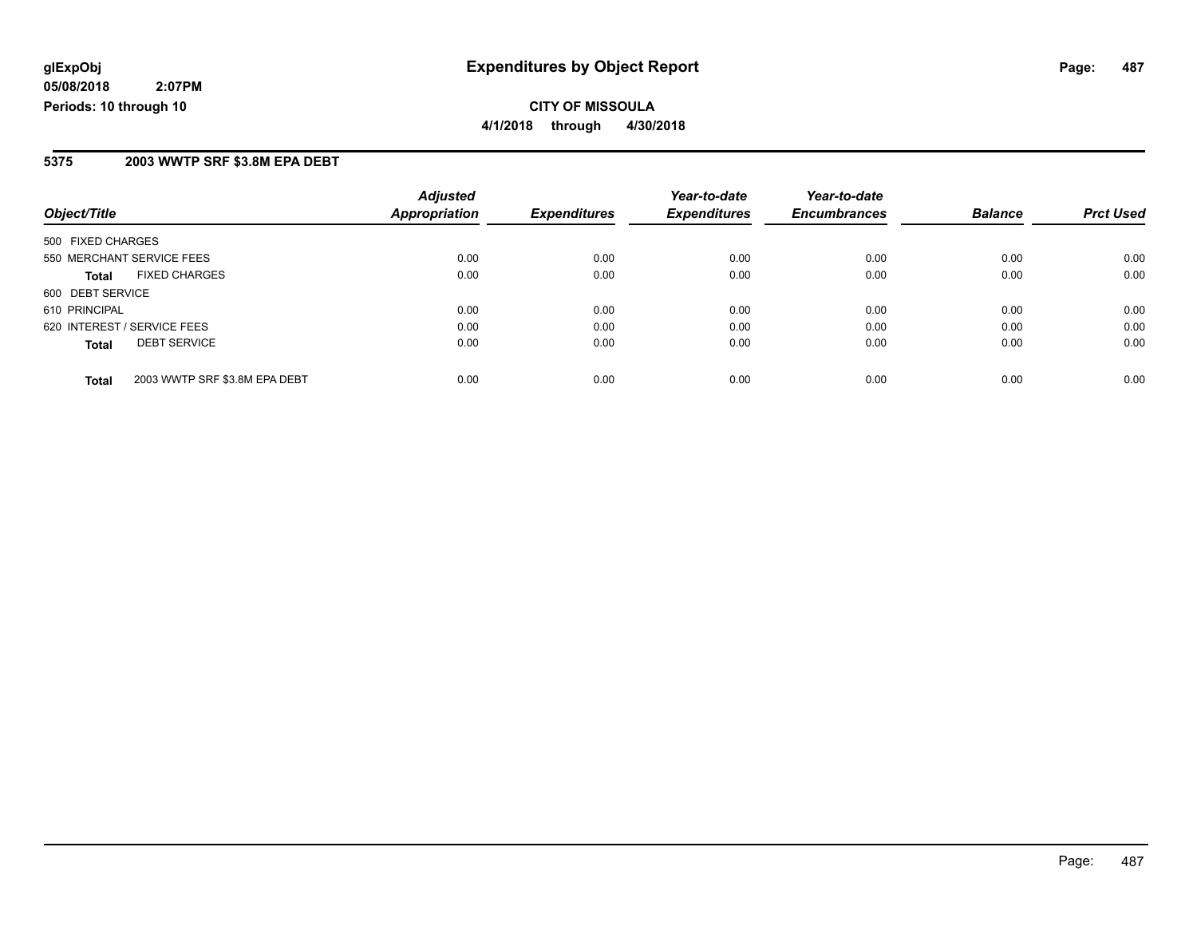**CITY OF MISSOULA 4/1/2018 through 4/30/2018**

#### **5375 2003 WWTP SRF \$3.8M EPA DEBT**

| Object/Title                                  | <b>Adjusted</b><br>Appropriation | <b>Expenditures</b> | Year-to-date<br><b>Expenditures</b> | Year-to-date<br><b>Encumbrances</b> | <b>Balance</b> | <b>Prct Used</b> |
|-----------------------------------------------|----------------------------------|---------------------|-------------------------------------|-------------------------------------|----------------|------------------|
|                                               |                                  |                     |                                     |                                     |                |                  |
| 500 FIXED CHARGES                             |                                  |                     |                                     |                                     |                |                  |
| 550 MERCHANT SERVICE FEES                     | 0.00                             | 0.00                | 0.00                                | 0.00                                | 0.00           | 0.00             |
| <b>FIXED CHARGES</b><br><b>Total</b>          | 0.00                             | 0.00                | 0.00                                | 0.00                                | 0.00           | 0.00             |
| 600 DEBT SERVICE                              |                                  |                     |                                     |                                     |                |                  |
| 610 PRINCIPAL                                 | 0.00                             | 0.00                | 0.00                                | 0.00                                | 0.00           | 0.00             |
| 620 INTEREST / SERVICE FEES                   | 0.00                             | 0.00                | 0.00                                | 0.00                                | 0.00           | 0.00             |
| <b>DEBT SERVICE</b><br><b>Total</b>           | 0.00                             | 0.00                | 0.00                                | 0.00                                | 0.00           | 0.00             |
| 2003 WWTP SRF \$3.8M EPA DEBT<br><b>Total</b> | 0.00                             | 0.00                | 0.00                                | 0.00                                | 0.00           | 0.00             |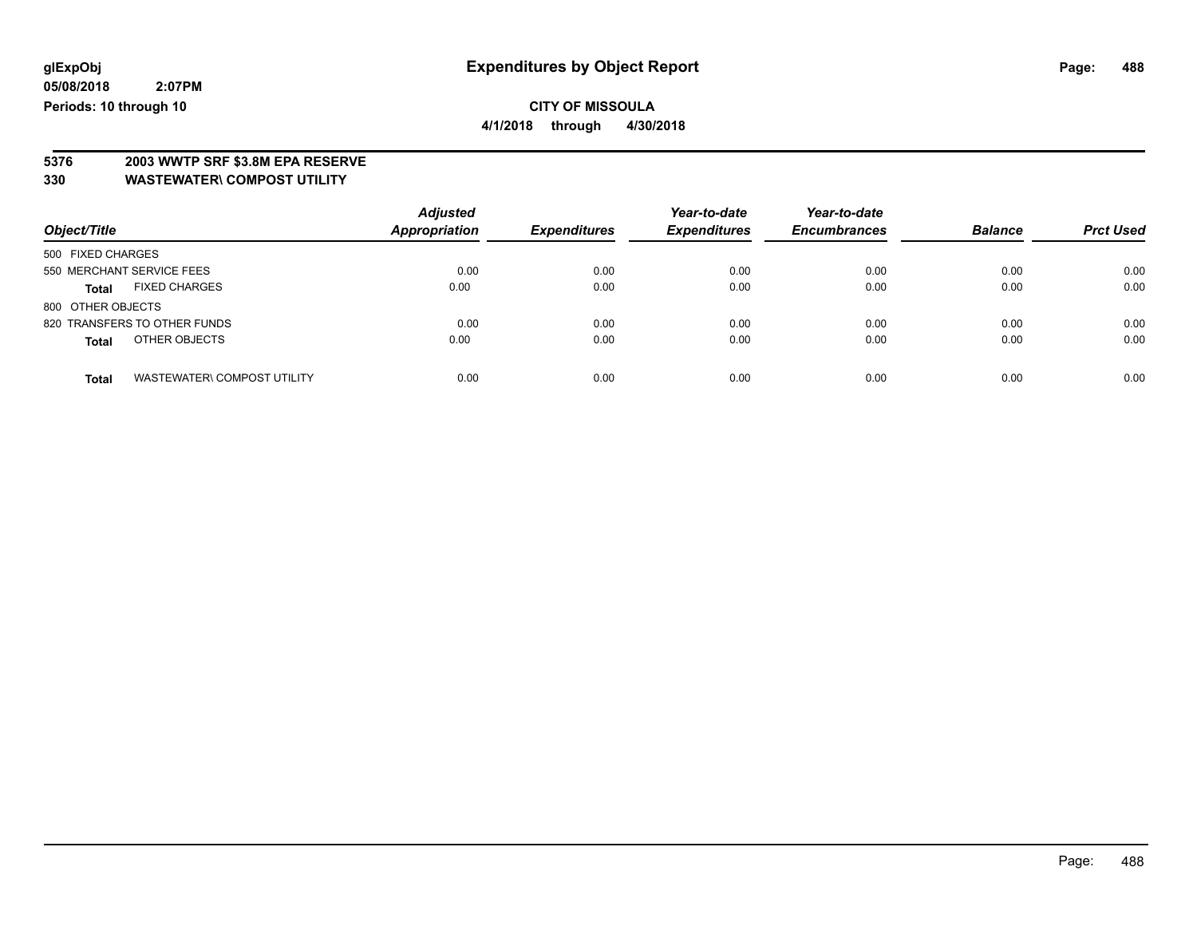#### **CITY OF MISSOULA 4/1/2018 through 4/30/2018**

# **5376 2003 WWTP SRF \$3.8M EPA RESERVE**

| Object/Title                                | <b>Adjusted</b><br><b>Appropriation</b> | <b>Expenditures</b> | Year-to-date<br><b>Expenditures</b> | Year-to-date<br><b>Encumbrances</b> | <b>Balance</b> | <b>Prct Used</b> |
|---------------------------------------------|-----------------------------------------|---------------------|-------------------------------------|-------------------------------------|----------------|------------------|
| 500 FIXED CHARGES                           |                                         |                     |                                     |                                     |                |                  |
| 550 MERCHANT SERVICE FEES                   | 0.00                                    | 0.00                | 0.00                                | 0.00                                | 0.00           | 0.00             |
| <b>FIXED CHARGES</b><br><b>Total</b>        | 0.00                                    | 0.00                | 0.00                                | 0.00                                | 0.00           | 0.00             |
| 800 OTHER OBJECTS                           |                                         |                     |                                     |                                     |                |                  |
| 820 TRANSFERS TO OTHER FUNDS                | 0.00                                    | 0.00                | 0.00                                | 0.00                                | 0.00           | 0.00             |
| OTHER OBJECTS<br><b>Total</b>               | 0.00                                    | 0.00                | 0.00                                | 0.00                                | 0.00           | 0.00             |
| <b>WASTEWATER\ COMPOST UTILITY</b><br>Total | 0.00                                    | 0.00                | 0.00                                | 0.00                                | 0.00           | 0.00             |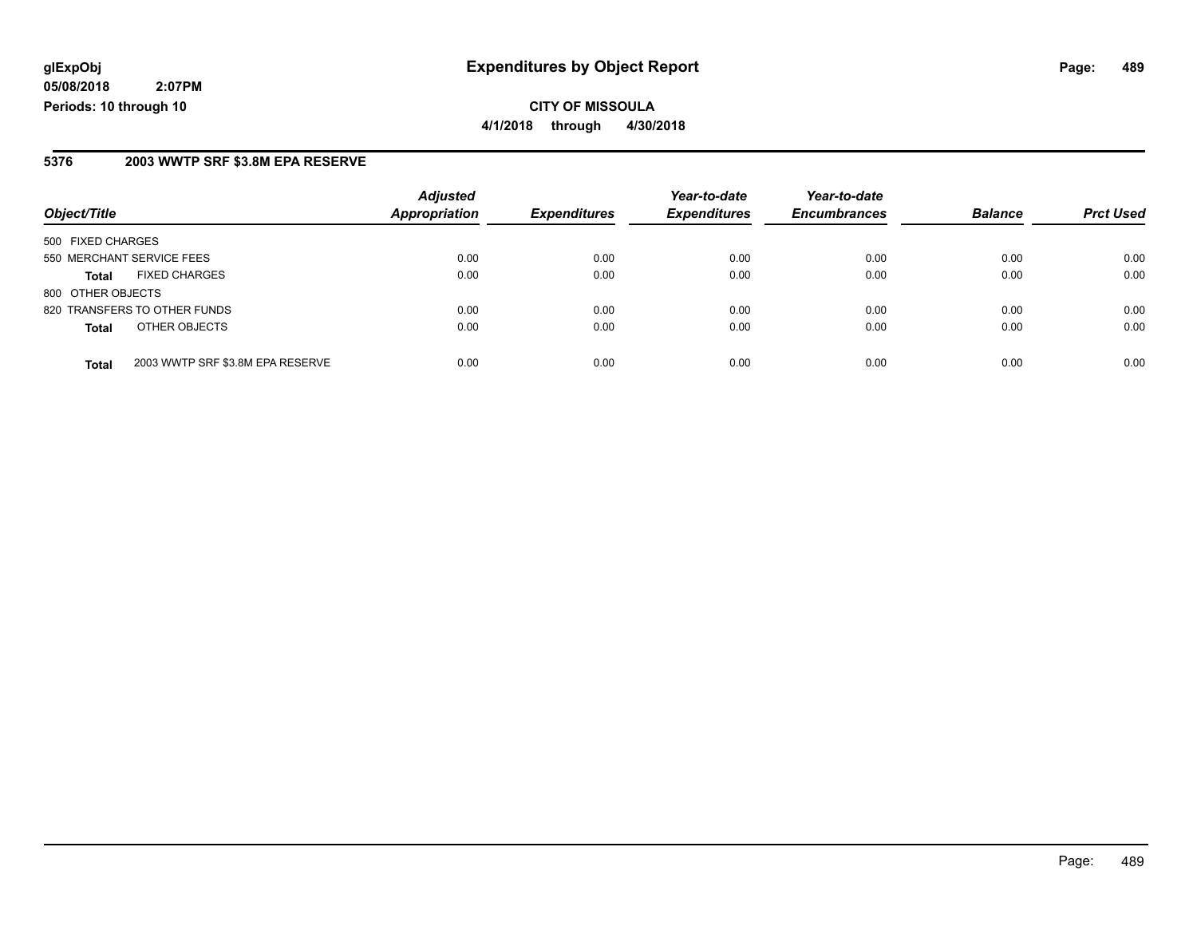**CITY OF MISSOULA 4/1/2018 through 4/30/2018**

#### **5376 2003 WWTP SRF \$3.8M EPA RESERVE**

|                                                  | <b>Adjusted</b>      |                     | Year-to-date        | Year-to-date        |                |                  |
|--------------------------------------------------|----------------------|---------------------|---------------------|---------------------|----------------|------------------|
| Object/Title                                     | <b>Appropriation</b> | <b>Expenditures</b> | <b>Expenditures</b> | <b>Encumbrances</b> | <b>Balance</b> | <b>Prct Used</b> |
| 500 FIXED CHARGES                                |                      |                     |                     |                     |                |                  |
| 550 MERCHANT SERVICE FEES                        | 0.00                 | 0.00                | 0.00                | 0.00                | 0.00           | 0.00             |
| <b>FIXED CHARGES</b><br><b>Total</b>             | 0.00                 | 0.00                | 0.00                | 0.00                | 0.00           | 0.00             |
| 800 OTHER OBJECTS                                |                      |                     |                     |                     |                |                  |
| 820 TRANSFERS TO OTHER FUNDS                     | 0.00                 | 0.00                | 0.00                | 0.00                | 0.00           | 0.00             |
| OTHER OBJECTS<br><b>Total</b>                    | 0.00                 | 0.00                | 0.00                | 0.00                | 0.00           | 0.00             |
| 2003 WWTP SRF \$3.8M EPA RESERVE<br><b>Total</b> | 0.00                 | 0.00                | 0.00                | 0.00                | 0.00           | 0.00             |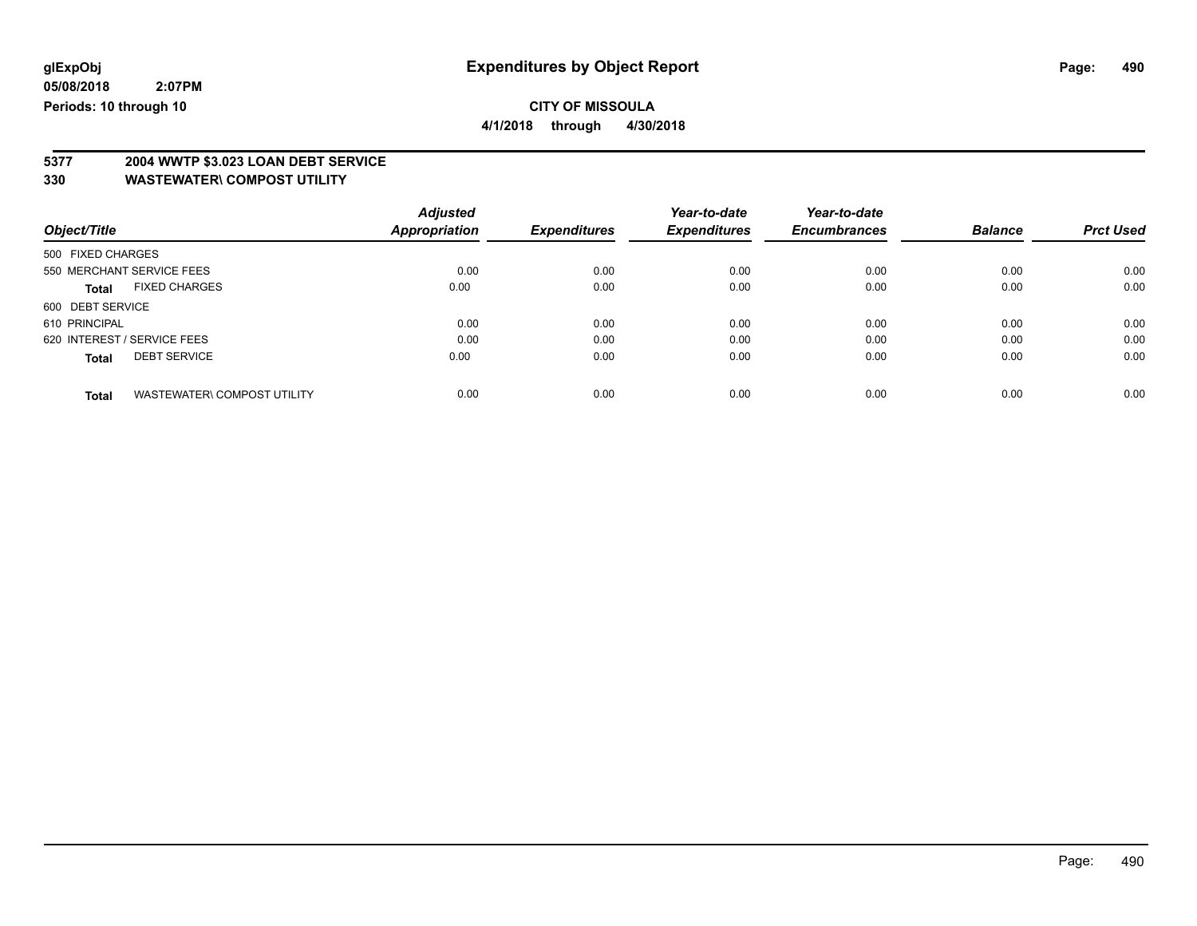**4/1/2018 through 4/30/2018**

# **5377 2004 WWTP \$3.023 LOAN DEBT SERVICE**

| Object/Title                |                                    | <b>Adjusted</b><br><b>Appropriation</b> | <b>Expenditures</b> | Year-to-date<br><b>Expenditures</b> | Year-to-date<br><b>Encumbrances</b> | <b>Balance</b> | <b>Prct Used</b> |
|-----------------------------|------------------------------------|-----------------------------------------|---------------------|-------------------------------------|-------------------------------------|----------------|------------------|
| 500 FIXED CHARGES           |                                    |                                         |                     |                                     |                                     |                |                  |
| 550 MERCHANT SERVICE FEES   |                                    | 0.00                                    | 0.00                | 0.00                                | 0.00                                | 0.00           | 0.00             |
| <b>Total</b>                | <b>FIXED CHARGES</b>               | 0.00                                    | 0.00                | 0.00                                | 0.00                                | 0.00           | 0.00             |
| 600 DEBT SERVICE            |                                    |                                         |                     |                                     |                                     |                |                  |
| 610 PRINCIPAL               |                                    | 0.00                                    | 0.00                | 0.00                                | 0.00                                | 0.00           | 0.00             |
| 620 INTEREST / SERVICE FEES |                                    | 0.00                                    | 0.00                | 0.00                                | 0.00                                | 0.00           | 0.00             |
| <b>Total</b>                | <b>DEBT SERVICE</b>                | 0.00                                    | 0.00                | 0.00                                | 0.00                                | 0.00           | 0.00             |
| <b>Total</b>                | <b>WASTEWATER\ COMPOST UTILITY</b> | 0.00                                    | 0.00                | 0.00                                | 0.00                                | 0.00           | 0.00             |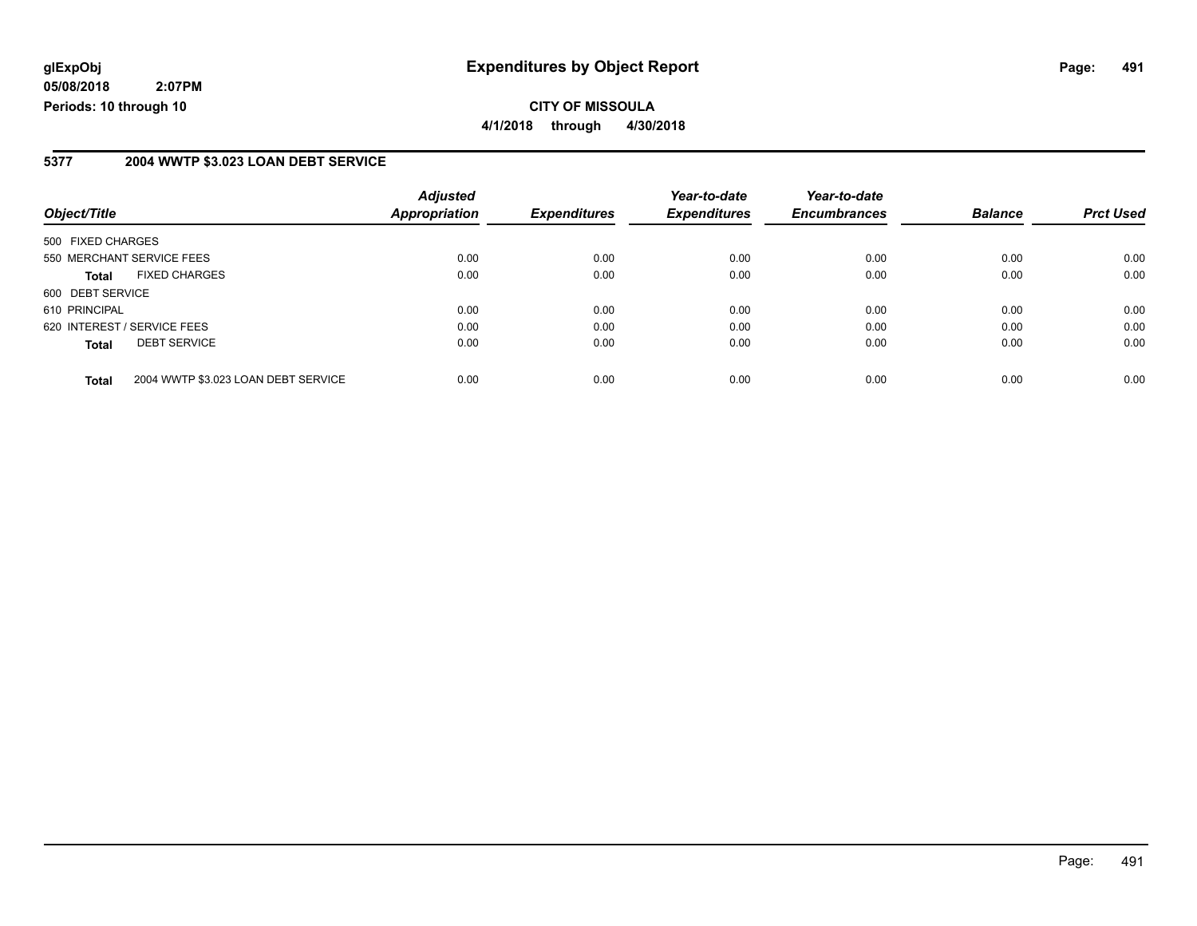**CITY OF MISSOULA 4/1/2018 through 4/30/2018**

#### **5377 2004 WWTP \$3.023 LOAN DEBT SERVICE**

| Object/Title                                        | <b>Adjusted</b><br><b>Appropriation</b> | <b>Expenditures</b> | Year-to-date<br><b>Expenditures</b> | Year-to-date<br><b>Encumbrances</b> | <b>Balance</b> | <b>Prct Used</b> |
|-----------------------------------------------------|-----------------------------------------|---------------------|-------------------------------------|-------------------------------------|----------------|------------------|
| 500 FIXED CHARGES                                   |                                         |                     |                                     |                                     |                |                  |
| 550 MERCHANT SERVICE FEES                           | 0.00                                    | 0.00                | 0.00                                | 0.00                                | 0.00           | 0.00             |
| <b>FIXED CHARGES</b><br><b>Total</b>                | 0.00                                    | 0.00                | 0.00                                | 0.00                                | 0.00           | 0.00             |
| 600 DEBT SERVICE                                    |                                         |                     |                                     |                                     |                |                  |
| 610 PRINCIPAL                                       | 0.00                                    | 0.00                | 0.00                                | 0.00                                | 0.00           | 0.00             |
| 620 INTEREST / SERVICE FEES                         | 0.00                                    | 0.00                | 0.00                                | 0.00                                | 0.00           | 0.00             |
| <b>DEBT SERVICE</b><br><b>Total</b>                 | 0.00                                    | 0.00                | 0.00                                | 0.00                                | 0.00           | 0.00             |
| 2004 WWTP \$3.023 LOAN DEBT SERVICE<br><b>Total</b> | 0.00                                    | 0.00                | 0.00                                | 0.00                                | 0.00           | 0.00             |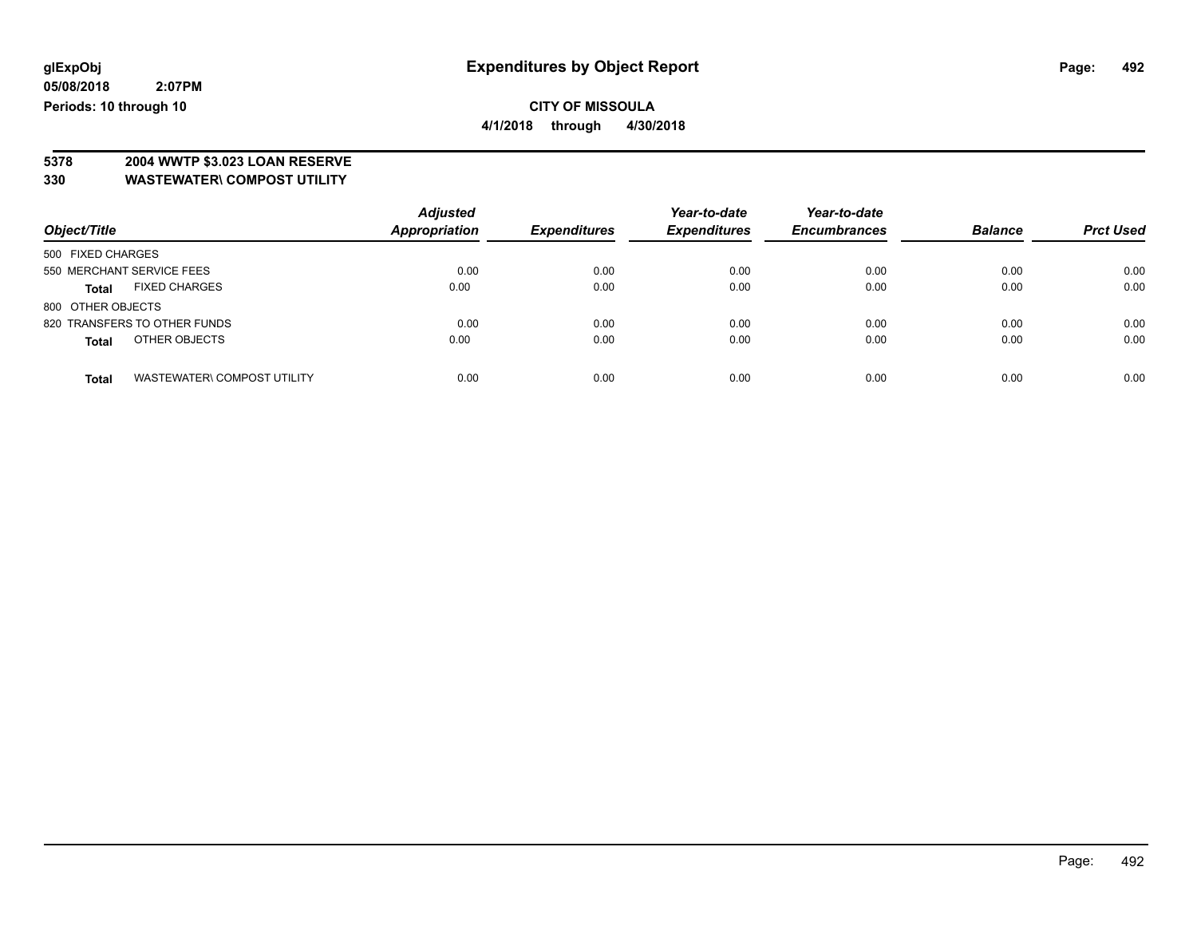# **5378 2004 WWTP \$3.023 LOAN RESERVE**

| Object/Title                                       | <b>Adjusted</b><br><b>Appropriation</b> | <b>Expenditures</b> | Year-to-date<br><b>Expenditures</b> | Year-to-date<br><b>Encumbrances</b> | <b>Balance</b> | <b>Prct Used</b> |
|----------------------------------------------------|-----------------------------------------|---------------------|-------------------------------------|-------------------------------------|----------------|------------------|
| 500 FIXED CHARGES                                  |                                         |                     |                                     |                                     |                |                  |
| 550 MERCHANT SERVICE FEES                          | 0.00                                    | 0.00                | 0.00                                | 0.00                                | 0.00           | 0.00             |
| <b>FIXED CHARGES</b><br><b>Total</b>               | 0.00                                    | 0.00                | 0.00                                | 0.00                                | 0.00           | 0.00             |
| 800 OTHER OBJECTS                                  |                                         |                     |                                     |                                     |                |                  |
| 820 TRANSFERS TO OTHER FUNDS                       | 0.00                                    | 0.00                | 0.00                                | 0.00                                | 0.00           | 0.00             |
| OTHER OBJECTS<br><b>Total</b>                      | 0.00                                    | 0.00                | 0.00                                | 0.00                                | 0.00           | 0.00             |
| <b>WASTEWATER\ COMPOST UTILITY</b><br><b>Total</b> | 0.00                                    | 0.00                | 0.00                                | 0.00                                | 0.00           | 0.00             |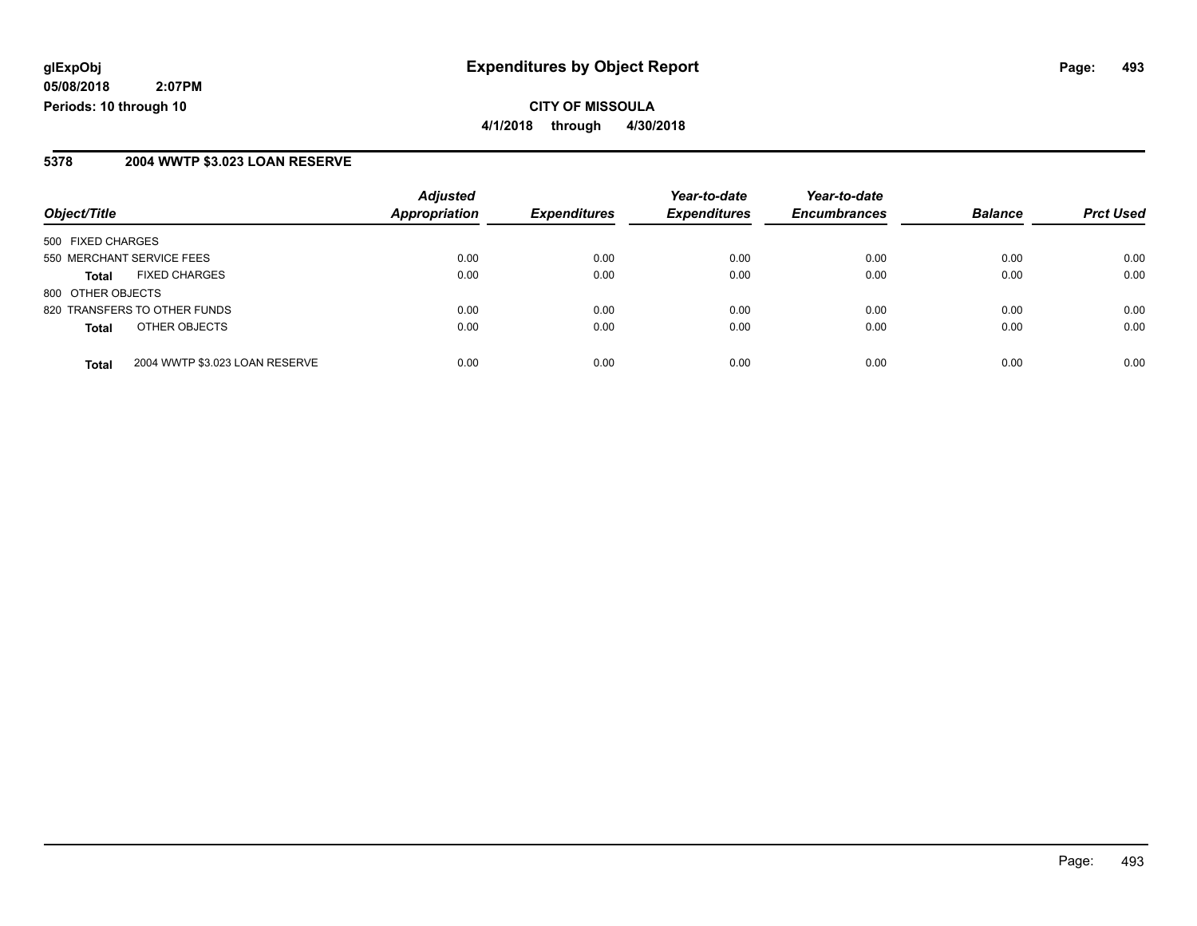#### **5378 2004 WWTP \$3.023 LOAN RESERVE**

|                              |                                | <b>Adjusted</b>      |                     | Year-to-date        | Year-to-date        |                |                  |
|------------------------------|--------------------------------|----------------------|---------------------|---------------------|---------------------|----------------|------------------|
| Object/Title                 |                                | <b>Appropriation</b> | <b>Expenditures</b> | <b>Expenditures</b> | <b>Encumbrances</b> | <b>Balance</b> | <b>Prct Used</b> |
| 500 FIXED CHARGES            |                                |                      |                     |                     |                     |                |                  |
| 550 MERCHANT SERVICE FEES    |                                | 0.00                 | 0.00                | 0.00                | 0.00                | 0.00           | 0.00             |
| Total                        | <b>FIXED CHARGES</b>           | 0.00                 | 0.00                | 0.00                | 0.00                | 0.00           | 0.00             |
| 800 OTHER OBJECTS            |                                |                      |                     |                     |                     |                |                  |
| 820 TRANSFERS TO OTHER FUNDS |                                | 0.00                 | 0.00                | 0.00                | 0.00                | 0.00           | 0.00             |
| <b>Total</b>                 | OTHER OBJECTS                  | 0.00                 | 0.00                | 0.00                | 0.00                | 0.00           | 0.00             |
| <b>Total</b>                 | 2004 WWTP \$3.023 LOAN RESERVE | 0.00                 | 0.00                | 0.00                | 0.00                | 0.00           | 0.00             |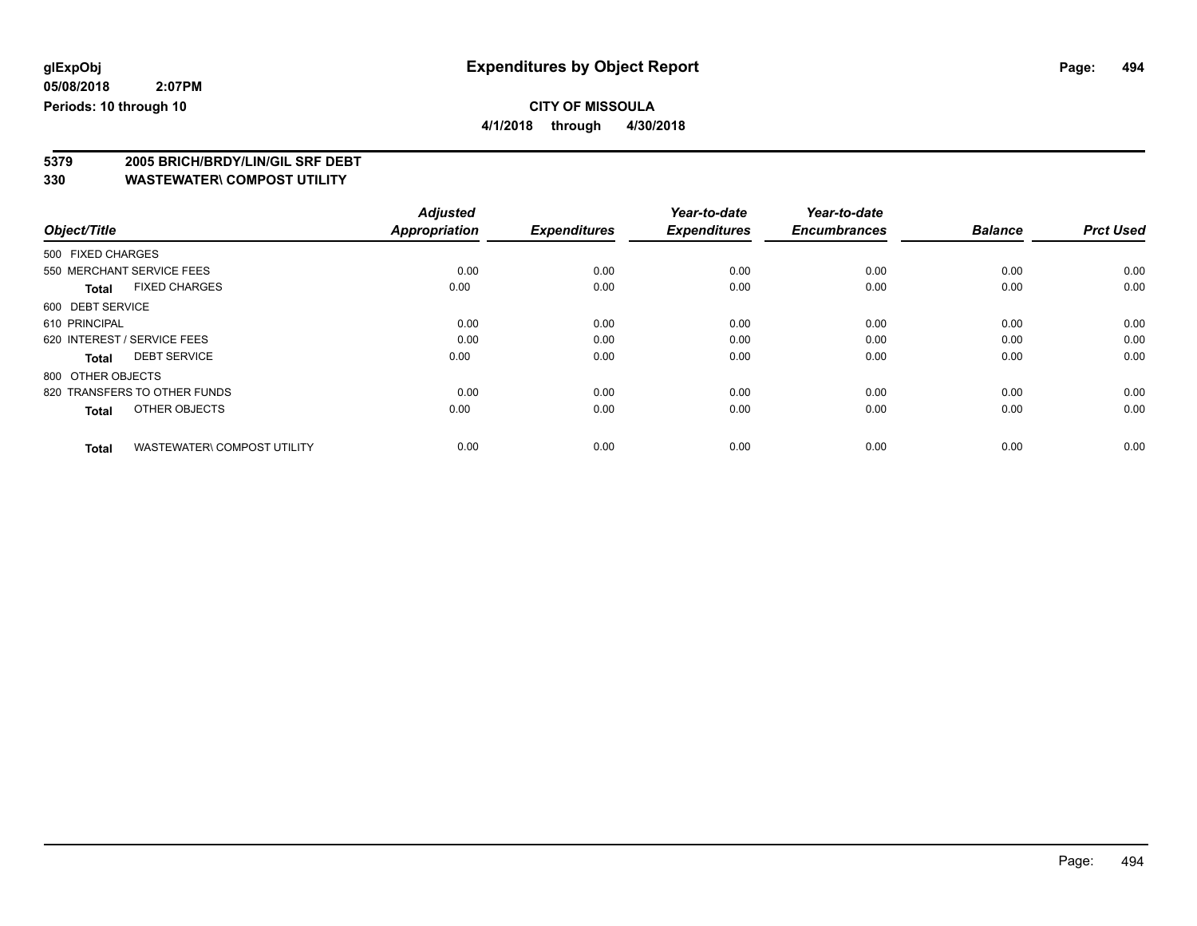**5379 2005 BRICH/BRDY/LIN/GIL SRF DEBT**

| Object/Title                                       | <b>Adjusted</b><br><b>Appropriation</b> | <b>Expenditures</b> | Year-to-date<br><b>Expenditures</b> | Year-to-date<br><b>Encumbrances</b> | <b>Balance</b> | <b>Prct Used</b> |
|----------------------------------------------------|-----------------------------------------|---------------------|-------------------------------------|-------------------------------------|----------------|------------------|
| 500 FIXED CHARGES                                  |                                         |                     |                                     |                                     |                |                  |
|                                                    |                                         |                     |                                     |                                     |                |                  |
| 550 MERCHANT SERVICE FEES                          | 0.00                                    | 0.00                | 0.00                                | 0.00                                | 0.00           | 0.00             |
| <b>FIXED CHARGES</b><br><b>Total</b>               | 0.00                                    | 0.00                | 0.00                                | 0.00                                | 0.00           | 0.00             |
| 600 DEBT SERVICE                                   |                                         |                     |                                     |                                     |                |                  |
| 610 PRINCIPAL                                      | 0.00                                    | 0.00                | 0.00                                | 0.00                                | 0.00           | 0.00             |
| 620 INTEREST / SERVICE FEES                        | 0.00                                    | 0.00                | 0.00                                | 0.00                                | 0.00           | 0.00             |
| <b>DEBT SERVICE</b><br>Total                       | 0.00                                    | 0.00                | 0.00                                | 0.00                                | 0.00           | 0.00             |
| 800 OTHER OBJECTS                                  |                                         |                     |                                     |                                     |                |                  |
| 820 TRANSFERS TO OTHER FUNDS                       | 0.00                                    | 0.00                | 0.00                                | 0.00                                | 0.00           | 0.00             |
| OTHER OBJECTS<br><b>Total</b>                      | 0.00                                    | 0.00                | 0.00                                | 0.00                                | 0.00           | 0.00             |
|                                                    |                                         |                     |                                     |                                     |                |                  |
| <b>WASTEWATER\ COMPOST UTILITY</b><br><b>Total</b> | 0.00                                    | 0.00                | 0.00                                | 0.00                                | 0.00           | 0.00             |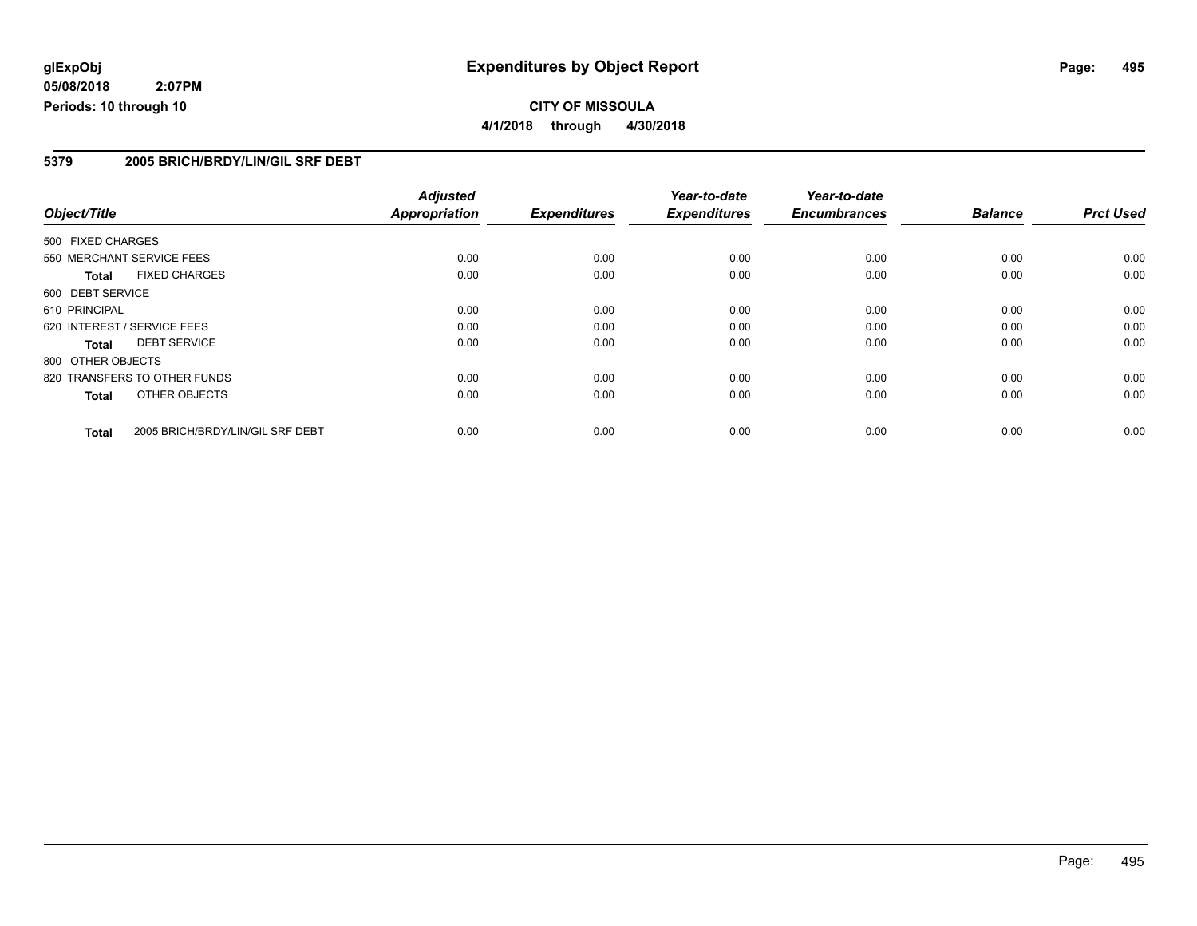#### **5379 2005 BRICH/BRDY/LIN/GIL SRF DEBT**

|                   |                                  | <b>Adjusted</b>      |                     | Year-to-date        | Year-to-date        |                |                  |
|-------------------|----------------------------------|----------------------|---------------------|---------------------|---------------------|----------------|------------------|
| Object/Title      |                                  | <b>Appropriation</b> | <b>Expenditures</b> | <b>Expenditures</b> | <b>Encumbrances</b> | <b>Balance</b> | <b>Prct Used</b> |
| 500 FIXED CHARGES |                                  |                      |                     |                     |                     |                |                  |
|                   | 550 MERCHANT SERVICE FEES        | 0.00                 | 0.00                | 0.00                | 0.00                | 0.00           | 0.00             |
| <b>Total</b>      | <b>FIXED CHARGES</b>             | 0.00                 | 0.00                | 0.00                | 0.00                | 0.00           | 0.00             |
| 600 DEBT SERVICE  |                                  |                      |                     |                     |                     |                |                  |
| 610 PRINCIPAL     |                                  | 0.00                 | 0.00                | 0.00                | 0.00                | 0.00           | 0.00             |
|                   | 620 INTEREST / SERVICE FEES      | 0.00                 | 0.00                | 0.00                | 0.00                | 0.00           | 0.00             |
| Total             | <b>DEBT SERVICE</b>              | 0.00                 | 0.00                | 0.00                | 0.00                | 0.00           | 0.00             |
| 800 OTHER OBJECTS |                                  |                      |                     |                     |                     |                |                  |
|                   | 820 TRANSFERS TO OTHER FUNDS     | 0.00                 | 0.00                | 0.00                | 0.00                | 0.00           | 0.00             |
| <b>Total</b>      | OTHER OBJECTS                    | 0.00                 | 0.00                | 0.00                | 0.00                | 0.00           | 0.00             |
| <b>Total</b>      | 2005 BRICH/BRDY/LIN/GIL SRF DEBT | 0.00                 | 0.00                | 0.00                | 0.00                | 0.00           | 0.00             |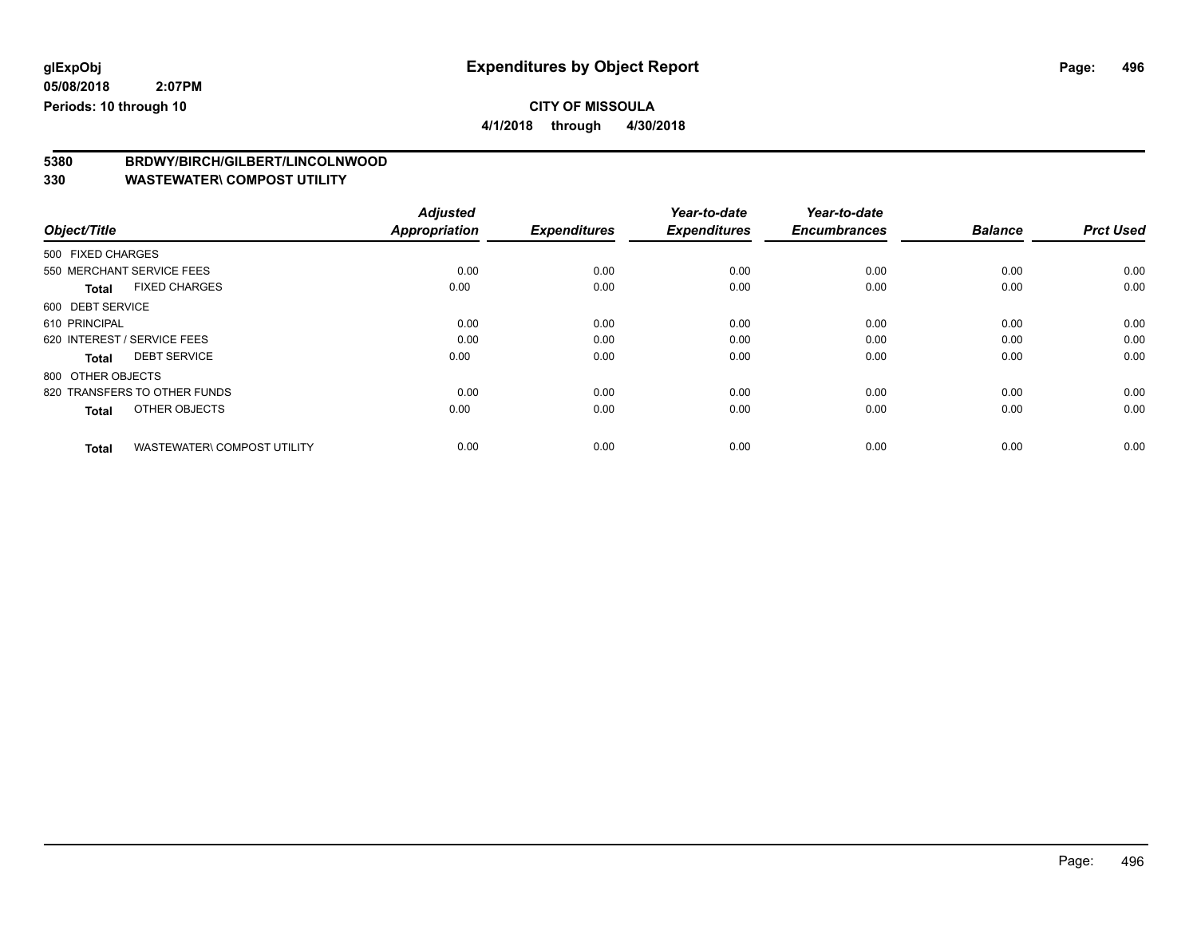# **5380 BRDWY/BIRCH/GILBERT/LINCOLNWOOD**

|                                                    | <b>Adjusted</b>      |                     | Year-to-date        | Year-to-date        |                |                  |
|----------------------------------------------------|----------------------|---------------------|---------------------|---------------------|----------------|------------------|
| Object/Title                                       | <b>Appropriation</b> | <b>Expenditures</b> | <b>Expenditures</b> | <b>Encumbrances</b> | <b>Balance</b> | <b>Prct Used</b> |
| 500 FIXED CHARGES                                  |                      |                     |                     |                     |                |                  |
| 550 MERCHANT SERVICE FEES                          | 0.00                 | 0.00                | 0.00                | 0.00                | 0.00           | 0.00             |
| <b>FIXED CHARGES</b><br>Total                      | 0.00                 | 0.00                | 0.00                | 0.00                | 0.00           | 0.00             |
| 600 DEBT SERVICE                                   |                      |                     |                     |                     |                |                  |
| 610 PRINCIPAL                                      | 0.00                 | 0.00                | 0.00                | 0.00                | 0.00           | 0.00             |
| 620 INTEREST / SERVICE FEES                        | 0.00                 | 0.00                | 0.00                | 0.00                | 0.00           | 0.00             |
| <b>DEBT SERVICE</b><br>Total                       | 0.00                 | 0.00                | 0.00                | 0.00                | 0.00           | 0.00             |
| 800 OTHER OBJECTS                                  |                      |                     |                     |                     |                |                  |
| 820 TRANSFERS TO OTHER FUNDS                       | 0.00                 | 0.00                | 0.00                | 0.00                | 0.00           | 0.00             |
| OTHER OBJECTS<br><b>Total</b>                      | 0.00                 | 0.00                | 0.00                | 0.00                | 0.00           | 0.00             |
| <b>WASTEWATER\ COMPOST UTILITY</b><br><b>Total</b> | 0.00                 | 0.00                | 0.00                | 0.00                | 0.00           | 0.00             |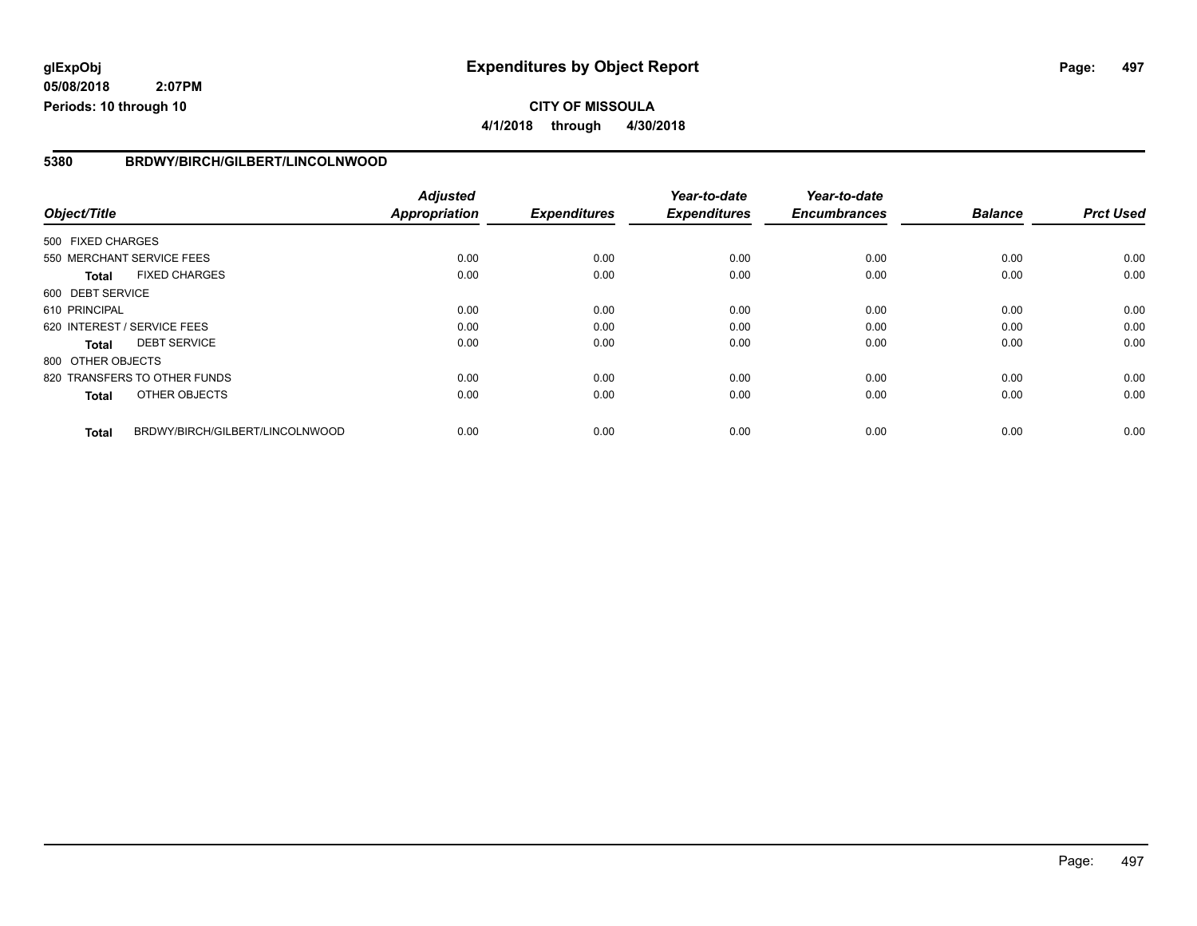**4/1/2018 through 4/30/2018**

#### **5380 BRDWY/BIRCH/GILBERT/LINCOLNWOOD**

|                              |                                 | <b>Adjusted</b>      |                     | Year-to-date        | Year-to-date        |                |                  |
|------------------------------|---------------------------------|----------------------|---------------------|---------------------|---------------------|----------------|------------------|
| Object/Title                 |                                 | <b>Appropriation</b> | <b>Expenditures</b> | <b>Expenditures</b> | <b>Encumbrances</b> | <b>Balance</b> | <b>Prct Used</b> |
| 500 FIXED CHARGES            |                                 |                      |                     |                     |                     |                |                  |
| 550 MERCHANT SERVICE FEES    |                                 | 0.00                 | 0.00                | 0.00                | 0.00                | 0.00           | 0.00             |
| Total                        | <b>FIXED CHARGES</b>            | 0.00                 | 0.00                | 0.00                | 0.00                | 0.00           | 0.00             |
| 600 DEBT SERVICE             |                                 |                      |                     |                     |                     |                |                  |
| 610 PRINCIPAL                |                                 | 0.00                 | 0.00                | 0.00                | 0.00                | 0.00           | 0.00             |
| 620 INTEREST / SERVICE FEES  |                                 | 0.00                 | 0.00                | 0.00                | 0.00                | 0.00           | 0.00             |
| <b>Total</b>                 | <b>DEBT SERVICE</b>             | 0.00                 | 0.00                | 0.00                | 0.00                | 0.00           | 0.00             |
| 800 OTHER OBJECTS            |                                 |                      |                     |                     |                     |                |                  |
| 820 TRANSFERS TO OTHER FUNDS |                                 | 0.00                 | 0.00                | 0.00                | 0.00                | 0.00           | 0.00             |
| <b>Total</b>                 | OTHER OBJECTS                   | 0.00                 | 0.00                | 0.00                | 0.00                | 0.00           | 0.00             |
| <b>Total</b>                 | BRDWY/BIRCH/GILBERT/LINCOLNWOOD | 0.00                 | 0.00                | 0.00                | 0.00                | 0.00           | 0.00             |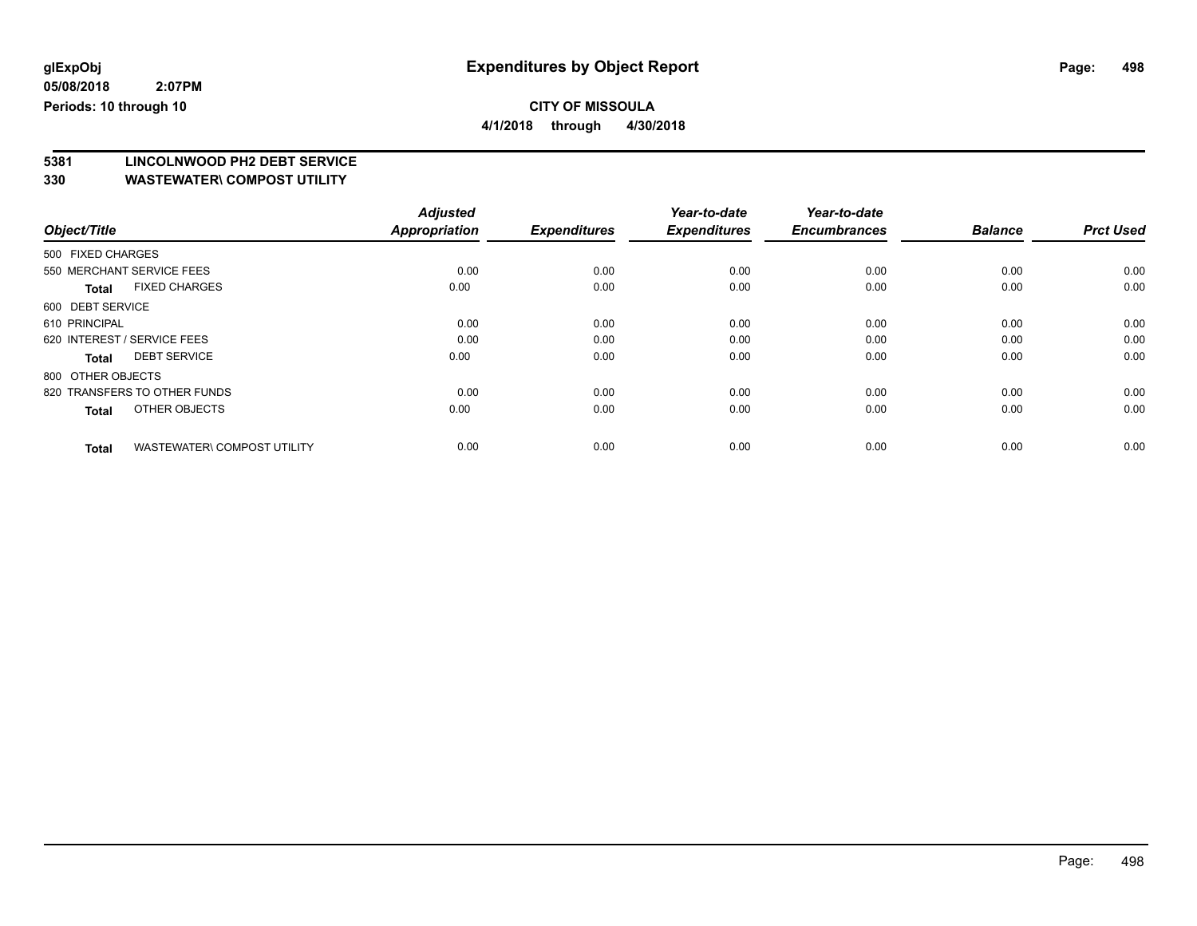# **5381 LINCOLNWOOD PH2 DEBT SERVICE**

| Object/Title                                       | <b>Adjusted</b><br><b>Appropriation</b> | <b>Expenditures</b> | Year-to-date<br><b>Expenditures</b> | Year-to-date<br><b>Encumbrances</b> | <b>Balance</b> | <b>Prct Used</b> |
|----------------------------------------------------|-----------------------------------------|---------------------|-------------------------------------|-------------------------------------|----------------|------------------|
|                                                    |                                         |                     |                                     |                                     |                |                  |
| 500 FIXED CHARGES                                  |                                         |                     |                                     |                                     |                |                  |
| 550 MERCHANT SERVICE FEES                          | 0.00                                    | 0.00                | 0.00                                | 0.00                                | 0.00           | 0.00             |
| <b>FIXED CHARGES</b><br><b>Total</b>               | 0.00                                    | 0.00                | 0.00                                | 0.00                                | 0.00           | 0.00             |
| 600 DEBT SERVICE                                   |                                         |                     |                                     |                                     |                |                  |
| 610 PRINCIPAL                                      | 0.00                                    | 0.00                | 0.00                                | 0.00                                | 0.00           | 0.00             |
| 620 INTEREST / SERVICE FEES                        | 0.00                                    | 0.00                | 0.00                                | 0.00                                | 0.00           | 0.00             |
| <b>DEBT SERVICE</b><br><b>Total</b>                | 0.00                                    | 0.00                | 0.00                                | 0.00                                | 0.00           | 0.00             |
| 800 OTHER OBJECTS                                  |                                         |                     |                                     |                                     |                |                  |
| 820 TRANSFERS TO OTHER FUNDS                       | 0.00                                    | 0.00                | 0.00                                | 0.00                                | 0.00           | 0.00             |
| OTHER OBJECTS<br><b>Total</b>                      | 0.00                                    | 0.00                | 0.00                                | 0.00                                | 0.00           | 0.00             |
| <b>WASTEWATER\ COMPOST UTILITY</b><br><b>Total</b> | 0.00                                    | 0.00                | 0.00                                | 0.00                                | 0.00           | 0.00             |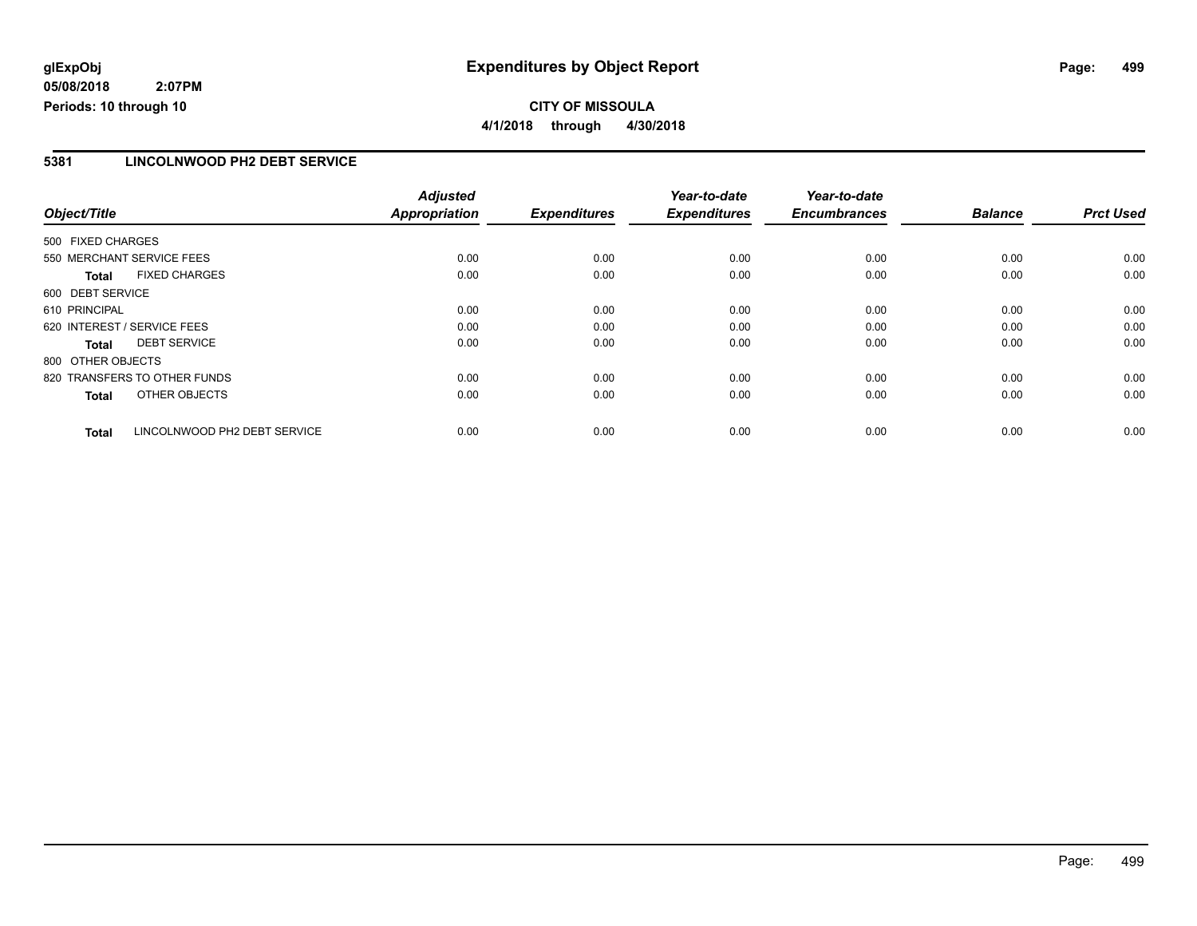### **CITY OF MISSOULA 4/1/2018 through 4/30/2018**

#### **5381 LINCOLNWOOD PH2 DEBT SERVICE**

|                                              | <b>Adjusted</b>      |                     | Year-to-date        | Year-to-date        |                |                  |
|----------------------------------------------|----------------------|---------------------|---------------------|---------------------|----------------|------------------|
| Object/Title                                 | <b>Appropriation</b> | <b>Expenditures</b> | <b>Expenditures</b> | <b>Encumbrances</b> | <b>Balance</b> | <b>Prct Used</b> |
| 500 FIXED CHARGES                            |                      |                     |                     |                     |                |                  |
| 550 MERCHANT SERVICE FEES                    | 0.00                 | 0.00                | 0.00                | 0.00                | 0.00           | 0.00             |
| <b>FIXED CHARGES</b><br><b>Total</b>         | 0.00                 | 0.00                | 0.00                | 0.00                | 0.00           | 0.00             |
| 600 DEBT SERVICE                             |                      |                     |                     |                     |                |                  |
| 610 PRINCIPAL                                | 0.00                 | 0.00                | 0.00                | 0.00                | 0.00           | 0.00             |
| 620 INTEREST / SERVICE FEES                  | 0.00                 | 0.00                | 0.00                | 0.00                | 0.00           | 0.00             |
| <b>DEBT SERVICE</b><br><b>Total</b>          | 0.00                 | 0.00                | 0.00                | 0.00                | 0.00           | 0.00             |
| 800 OTHER OBJECTS                            |                      |                     |                     |                     |                |                  |
| 820 TRANSFERS TO OTHER FUNDS                 | 0.00                 | 0.00                | 0.00                | 0.00                | 0.00           | 0.00             |
| OTHER OBJECTS<br><b>Total</b>                | 0.00                 | 0.00                | 0.00                | 0.00                | 0.00           | 0.00             |
| LINCOLNWOOD PH2 DEBT SERVICE<br><b>Total</b> | 0.00                 | 0.00                | 0.00                | 0.00                | 0.00           | 0.00             |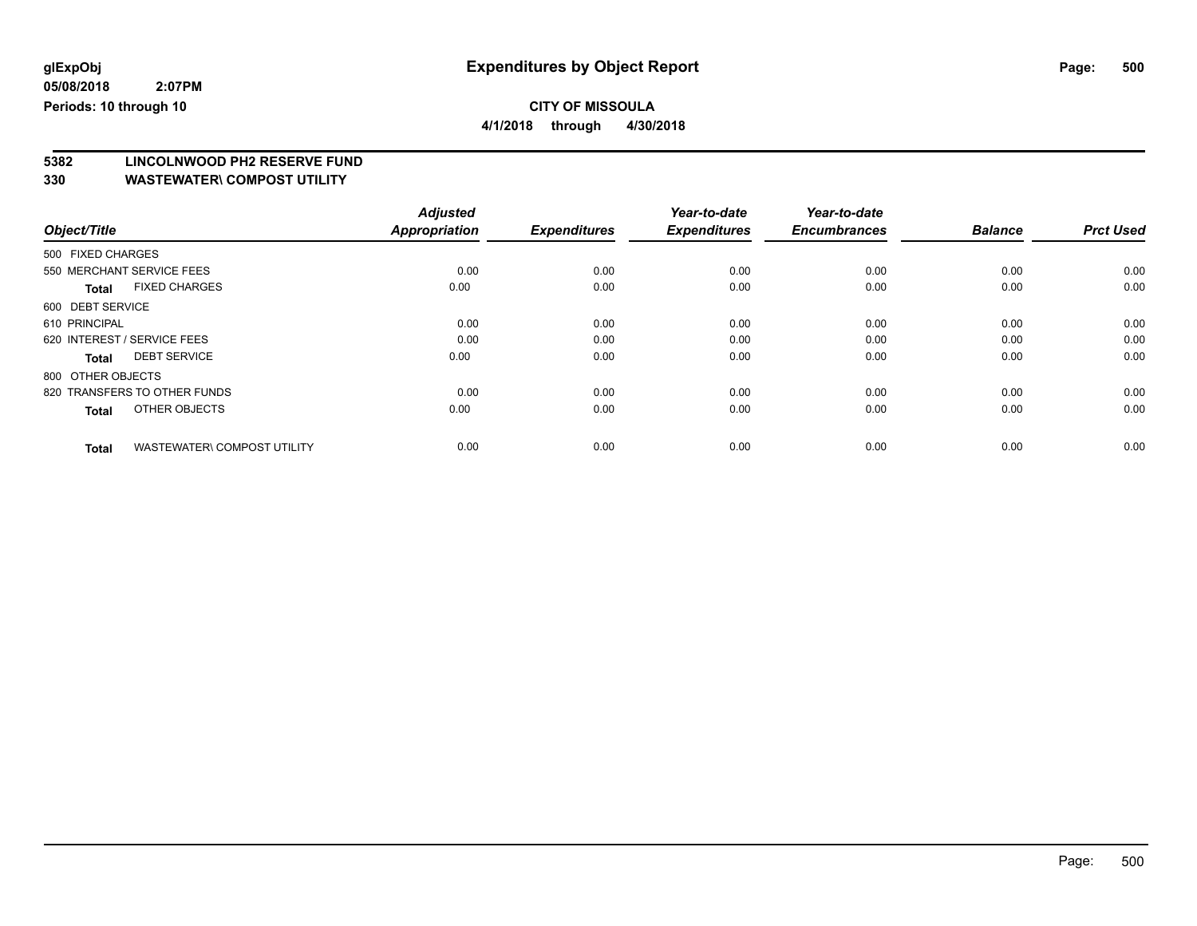# **5382 LINCOLNWOOD PH2 RESERVE FUND**<br>330 WASTEWATER\ COMPOST UTILITY

| Object/Title      |                                    | <b>Adjusted</b><br>Appropriation | <b>Expenditures</b> | Year-to-date<br><b>Expenditures</b> | Year-to-date<br><b>Encumbrances</b> | <b>Balance</b> | <b>Prct Used</b> |
|-------------------|------------------------------------|----------------------------------|---------------------|-------------------------------------|-------------------------------------|----------------|------------------|
| 500 FIXED CHARGES |                                    |                                  |                     |                                     |                                     |                |                  |
|                   | 550 MERCHANT SERVICE FEES          | 0.00                             | 0.00                | 0.00                                | 0.00                                | 0.00           | 0.00             |
| Total             | <b>FIXED CHARGES</b>               | 0.00                             | 0.00                | 0.00                                | 0.00                                | 0.00           | 0.00             |
| 600 DEBT SERVICE  |                                    |                                  |                     |                                     |                                     |                |                  |
| 610 PRINCIPAL     |                                    | 0.00                             | 0.00                | 0.00                                | 0.00                                | 0.00           | 0.00             |
|                   | 620 INTEREST / SERVICE FEES        | 0.00                             | 0.00                | 0.00                                | 0.00                                | 0.00           | 0.00             |
| Total             | <b>DEBT SERVICE</b>                | 0.00                             | 0.00                | 0.00                                | 0.00                                | 0.00           | 0.00             |
| 800 OTHER OBJECTS |                                    |                                  |                     |                                     |                                     |                |                  |
|                   | 820 TRANSFERS TO OTHER FUNDS       | 0.00                             | 0.00                | 0.00                                | 0.00                                | 0.00           | 0.00             |
| <b>Total</b>      | OTHER OBJECTS                      | 0.00                             | 0.00                | 0.00                                | 0.00                                | 0.00           | 0.00             |
| <b>Total</b>      | <b>WASTEWATER\ COMPOST UTILITY</b> | 0.00                             | 0.00                | 0.00                                | 0.00                                | 0.00           | 0.00             |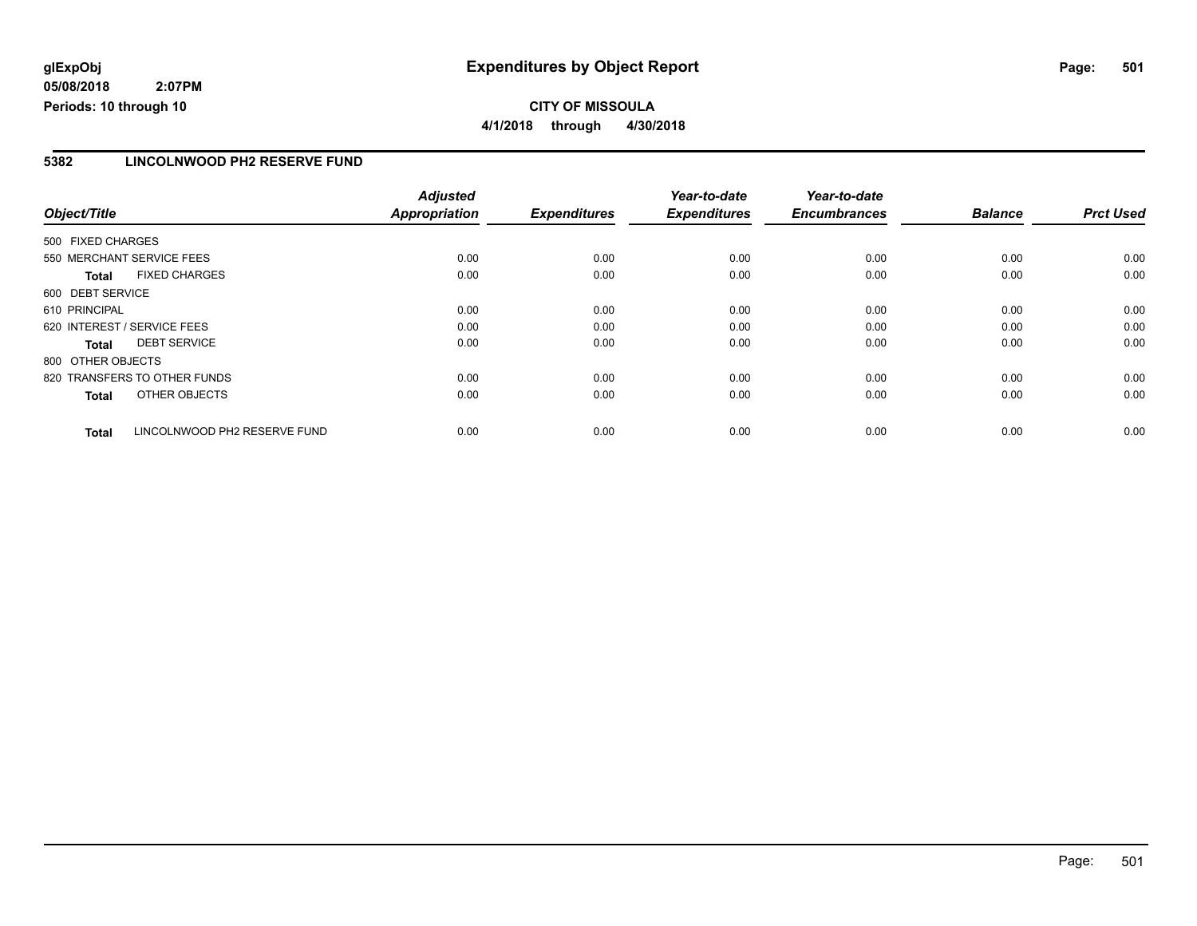### **CITY OF MISSOULA 4/1/2018 through 4/30/2018**

#### **5382 LINCOLNWOOD PH2 RESERVE FUND**

|                   |                              | <b>Adjusted</b>      |                     | Year-to-date        | Year-to-date        |                |                  |
|-------------------|------------------------------|----------------------|---------------------|---------------------|---------------------|----------------|------------------|
| Object/Title      |                              | <b>Appropriation</b> | <b>Expenditures</b> | <b>Expenditures</b> | <b>Encumbrances</b> | <b>Balance</b> | <b>Prct Used</b> |
| 500 FIXED CHARGES |                              |                      |                     |                     |                     |                |                  |
|                   | 550 MERCHANT SERVICE FEES    | 0.00                 | 0.00                | 0.00                | 0.00                | 0.00           | 0.00             |
| <b>Total</b>      | <b>FIXED CHARGES</b>         | 0.00                 | 0.00                | 0.00                | 0.00                | 0.00           | 0.00             |
| 600 DEBT SERVICE  |                              |                      |                     |                     |                     |                |                  |
| 610 PRINCIPAL     |                              | 0.00                 | 0.00                | 0.00                | 0.00                | 0.00           | 0.00             |
|                   | 620 INTEREST / SERVICE FEES  | 0.00                 | 0.00                | 0.00                | 0.00                | 0.00           | 0.00             |
| <b>Total</b>      | <b>DEBT SERVICE</b>          | 0.00                 | 0.00                | 0.00                | 0.00                | 0.00           | 0.00             |
| 800 OTHER OBJECTS |                              |                      |                     |                     |                     |                |                  |
|                   | 820 TRANSFERS TO OTHER FUNDS | 0.00                 | 0.00                | 0.00                | 0.00                | 0.00           | 0.00             |
| <b>Total</b>      | OTHER OBJECTS                | 0.00                 | 0.00                | 0.00                | 0.00                | 0.00           | 0.00             |
| <b>Total</b>      | LINCOLNWOOD PH2 RESERVE FUND | 0.00                 | 0.00                | 0.00                | 0.00                | 0.00           | 0.00             |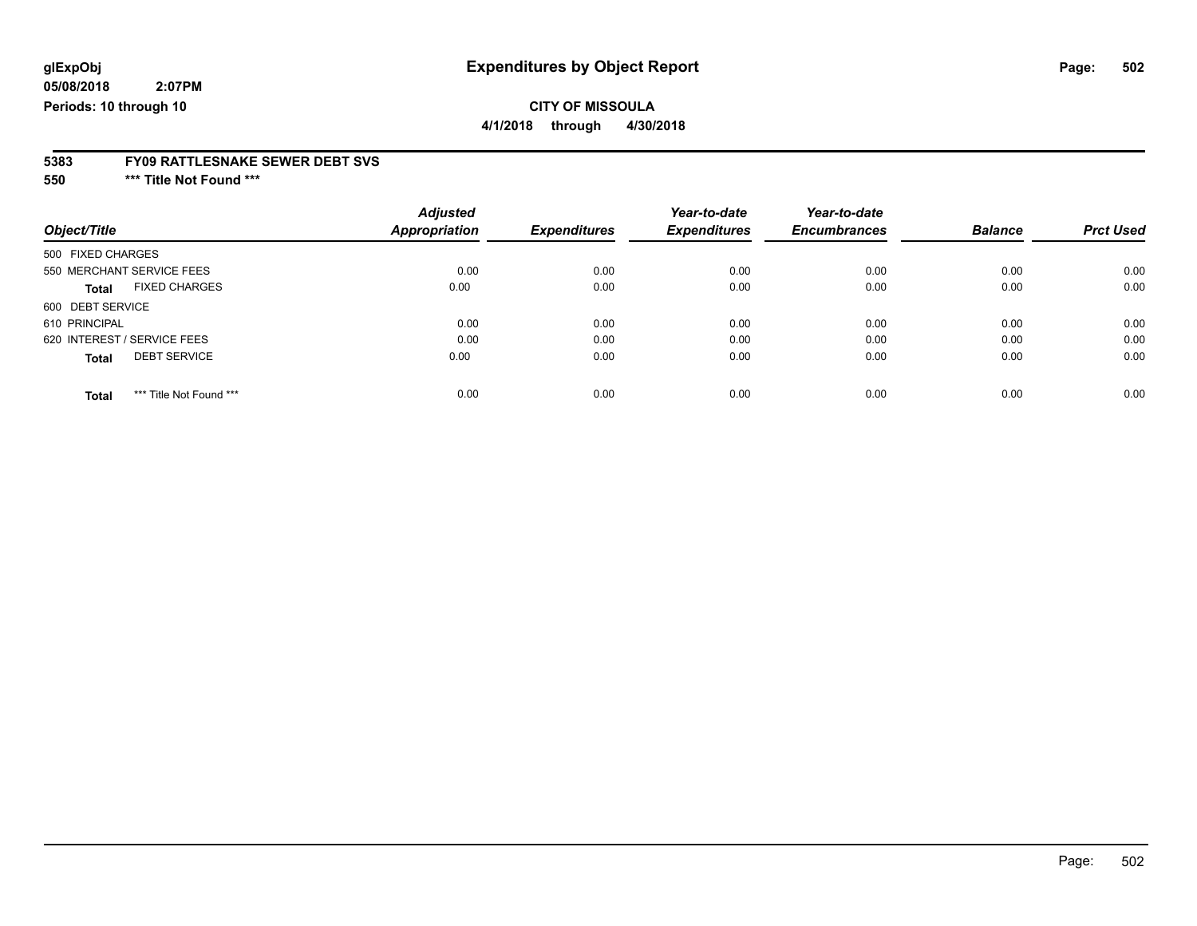### **CITY OF MISSOULA**

**4/1/2018 through 4/30/2018**

#### **5383 FY09 RATTLESNAKE SEWER DEBT SVS**

**550 \*\*\* Title Not Found \*\*\***

|                                         | <b>Adjusted</b>      |                     | Year-to-date        | Year-to-date        |                |                  |
|-----------------------------------------|----------------------|---------------------|---------------------|---------------------|----------------|------------------|
| Object/Title                            | <b>Appropriation</b> | <b>Expenditures</b> | <b>Expenditures</b> | <b>Encumbrances</b> | <b>Balance</b> | <b>Prct Used</b> |
| 500 FIXED CHARGES                       |                      |                     |                     |                     |                |                  |
| 550 MERCHANT SERVICE FEES               | 0.00                 | 0.00                | 0.00                | 0.00                | 0.00           | 0.00             |
| <b>FIXED CHARGES</b><br><b>Total</b>    | 0.00                 | 0.00                | 0.00                | 0.00                | 0.00           | 0.00             |
| 600 DEBT SERVICE                        |                      |                     |                     |                     |                |                  |
| 610 PRINCIPAL                           | 0.00                 | 0.00                | 0.00                | 0.00                | 0.00           | 0.00             |
| 620 INTEREST / SERVICE FEES             | 0.00                 | 0.00                | 0.00                | 0.00                | 0.00           | 0.00             |
| <b>DEBT SERVICE</b><br><b>Total</b>     | 0.00                 | 0.00                | 0.00                | 0.00                | 0.00           | 0.00             |
| *** Title Not Found ***<br><b>Total</b> | 0.00                 | 0.00                | 0.00                | 0.00                | 0.00           | 0.00             |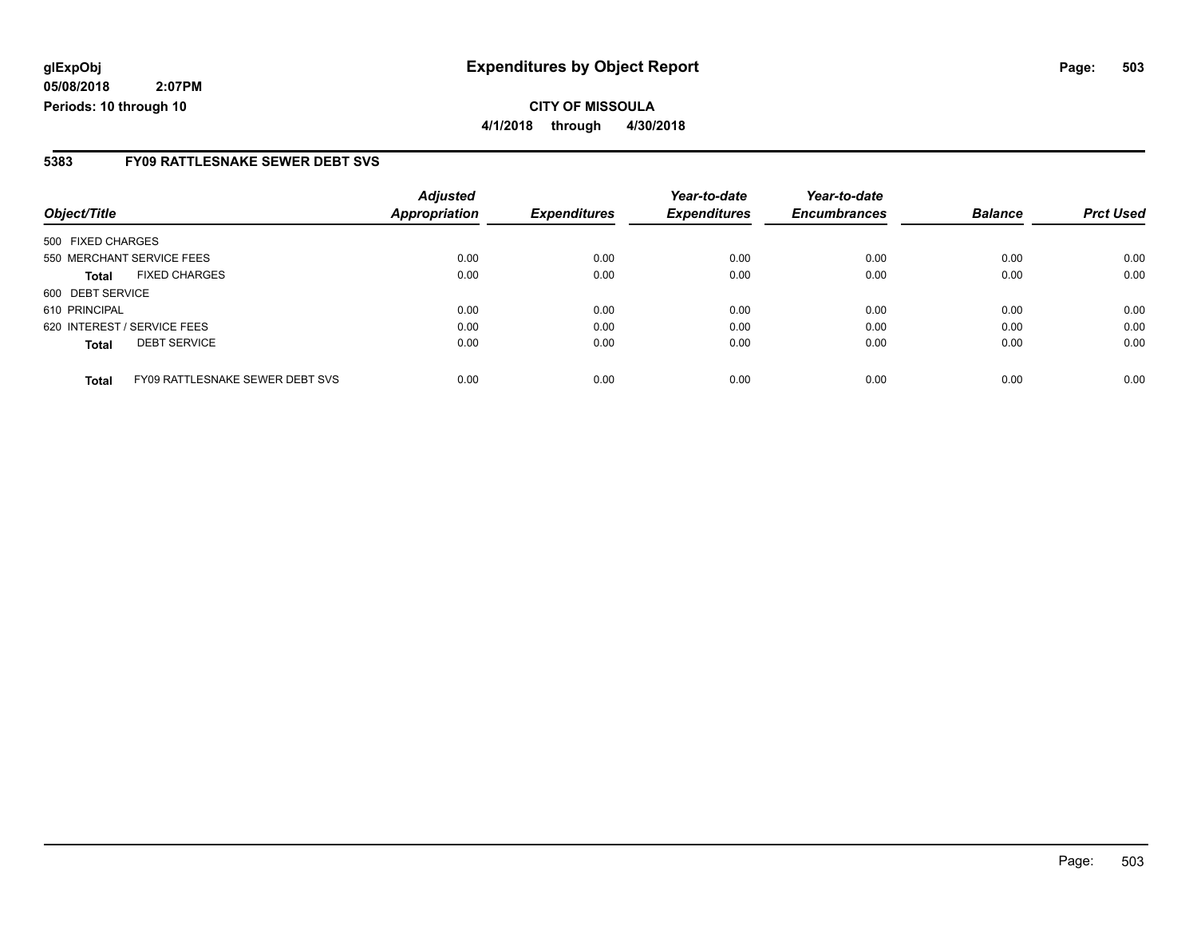**CITY OF MISSOULA 4/1/2018 through 4/30/2018**

#### **5383 FY09 RATTLESNAKE SEWER DEBT SVS**

| Object/Title      |                                 | <b>Adjusted</b><br><b>Appropriation</b> | <b>Expenditures</b> | Year-to-date<br><b>Expenditures</b> | Year-to-date<br><b>Encumbrances</b> | <b>Balance</b> | <b>Prct Used</b> |
|-------------------|---------------------------------|-----------------------------------------|---------------------|-------------------------------------|-------------------------------------|----------------|------------------|
| 500 FIXED CHARGES |                                 |                                         |                     |                                     |                                     |                |                  |
|                   | 550 MERCHANT SERVICE FEES       | 0.00                                    | 0.00                | 0.00                                | 0.00                                | 0.00           | 0.00             |
| <b>Total</b>      | <b>FIXED CHARGES</b>            | 0.00                                    | 0.00                | 0.00                                | 0.00                                | 0.00           | 0.00             |
| 600 DEBT SERVICE  |                                 |                                         |                     |                                     |                                     |                |                  |
| 610 PRINCIPAL     |                                 | 0.00                                    | 0.00                | 0.00                                | 0.00                                | 0.00           | 0.00             |
|                   | 620 INTEREST / SERVICE FEES     | 0.00                                    | 0.00                | 0.00                                | 0.00                                | 0.00           | 0.00             |
| <b>Total</b>      | <b>DEBT SERVICE</b>             | 0.00                                    | 0.00                | 0.00                                | 0.00                                | 0.00           | 0.00             |
| <b>Total</b>      | FY09 RATTLESNAKE SEWER DEBT SVS | 0.00                                    | 0.00                | 0.00                                | 0.00                                | 0.00           | 0.00             |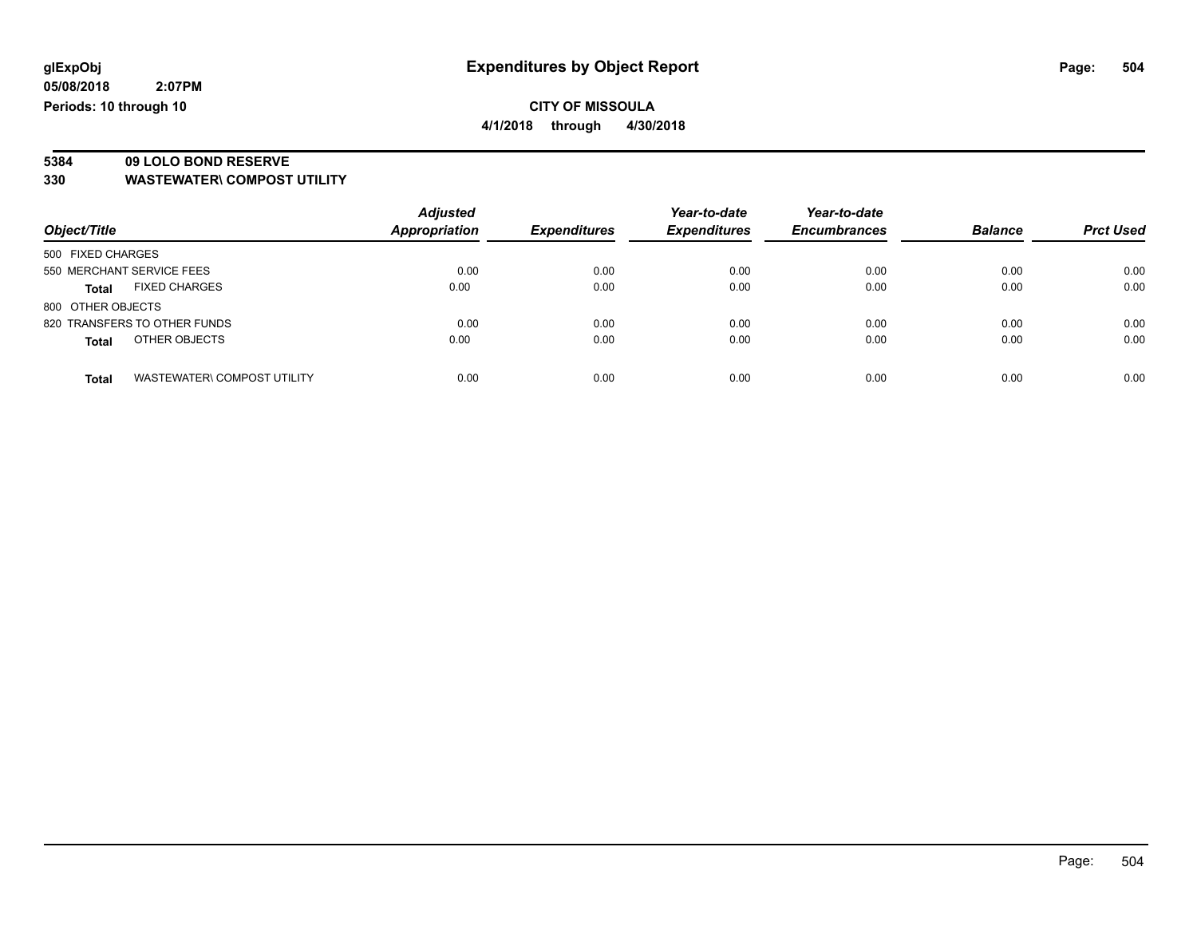#### **CITY OF MISSOULA 4/1/2018 through 4/30/2018**

# **5384 09 LOLO BOND RESERVE**

| Object/Title                                | <b>Adjusted</b><br><b>Appropriation</b> | <b>Expenditures</b> | Year-to-date<br><b>Expenditures</b> | Year-to-date<br><b>Encumbrances</b> | <b>Balance</b> | <b>Prct Used</b> |
|---------------------------------------------|-----------------------------------------|---------------------|-------------------------------------|-------------------------------------|----------------|------------------|
|                                             |                                         |                     |                                     |                                     |                |                  |
| 500 FIXED CHARGES                           |                                         |                     |                                     |                                     |                |                  |
| 550 MERCHANT SERVICE FEES                   | 0.00                                    | 0.00                | 0.00                                | 0.00                                | 0.00           | 0.00             |
| <b>FIXED CHARGES</b><br><b>Total</b>        | 0.00                                    | 0.00                | 0.00                                | 0.00                                | 0.00           | 0.00             |
| 800 OTHER OBJECTS                           |                                         |                     |                                     |                                     |                |                  |
| 820 TRANSFERS TO OTHER FUNDS                | 0.00                                    | 0.00                | 0.00                                | 0.00                                | 0.00           | 0.00             |
| OTHER OBJECTS<br><b>Total</b>               | 0.00                                    | 0.00                | 0.00                                | 0.00                                | 0.00           | 0.00             |
|                                             |                                         |                     |                                     |                                     |                |                  |
| <b>WASTEWATER\ COMPOST UTILITY</b><br>Total | 0.00                                    | 0.00                | 0.00                                | 0.00                                | 0.00           | 0.00             |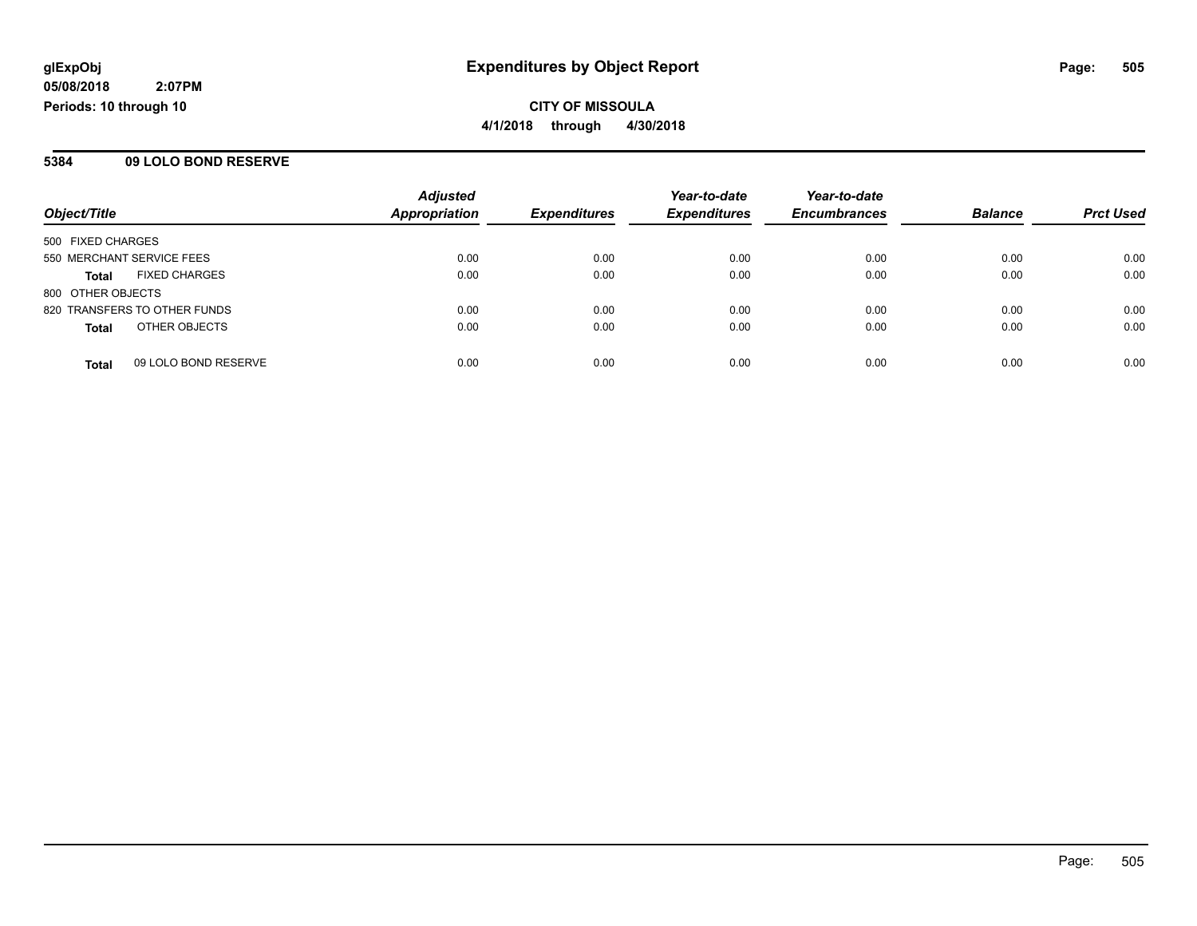### **5384 09 LOLO BOND RESERVE**

| Object/Title              |                              | <b>Adjusted</b><br><b>Appropriation</b> |                     | Year-to-date        | Year-to-date<br><b>Encumbrances</b> |                | <b>Prct Used</b> |
|---------------------------|------------------------------|-----------------------------------------|---------------------|---------------------|-------------------------------------|----------------|------------------|
|                           |                              |                                         | <b>Expenditures</b> | <b>Expenditures</b> |                                     | <b>Balance</b> |                  |
| 500 FIXED CHARGES         |                              |                                         |                     |                     |                                     |                |                  |
| 550 MERCHANT SERVICE FEES |                              | 0.00                                    | 0.00                | 0.00                | 0.00                                | 0.00           | 0.00             |
| Total                     | <b>FIXED CHARGES</b>         | 0.00                                    | 0.00                | 0.00                | 0.00                                | 0.00           | 0.00             |
| 800 OTHER OBJECTS         |                              |                                         |                     |                     |                                     |                |                  |
|                           | 820 TRANSFERS TO OTHER FUNDS | 0.00                                    | 0.00                | 0.00                | 0.00                                | 0.00           | 0.00             |
| <b>Total</b>              | OTHER OBJECTS                | 0.00                                    | 0.00                | 0.00                | 0.00                                | 0.00           | 0.00             |
| <b>Total</b>              | 09 LOLO BOND RESERVE         | 0.00                                    | 0.00                | 0.00                | 0.00                                | 0.00           | 0.00             |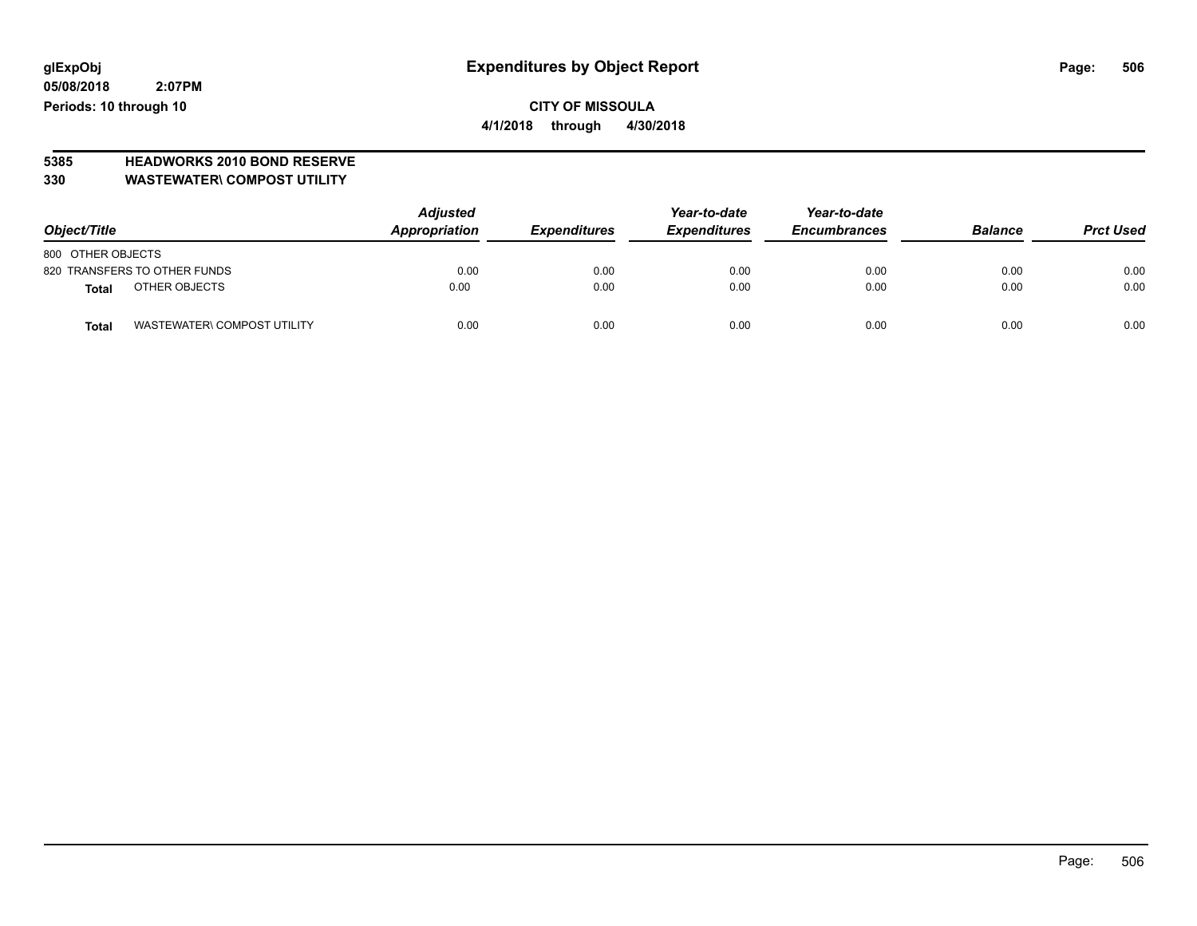### **5385 HEADWORKS 2010 BOND RESERVE 330 WASTEWATER\ COMPOST UTILITY**

| Object/Title                 |                                    | <b>Adjusted</b><br>Appropriation | Expenditures | Year-to-date<br><b>Expenditures</b> | Year-to-date<br><b>Encumbrances</b> | <b>Balance</b> | <b>Prct Used</b> |
|------------------------------|------------------------------------|----------------------------------|--------------|-------------------------------------|-------------------------------------|----------------|------------------|
| 800 OTHER OBJECTS            |                                    |                                  |              |                                     |                                     |                |                  |
| 820 TRANSFERS TO OTHER FUNDS |                                    | 0.00                             | 0.00         | 0.00                                | 0.00                                | 0.00           | 0.00             |
| OTHER OBJECTS<br>Total       |                                    | 0.00                             | 0.00         | 0.00                                | 0.00                                | 0.00           | 0.00             |
| <b>Total</b>                 | <b>WASTEWATER\ COMPOST UTILITY</b> | 0.00                             | 0.00         | 0.00                                | 0.00                                | 0.00           | 0.00             |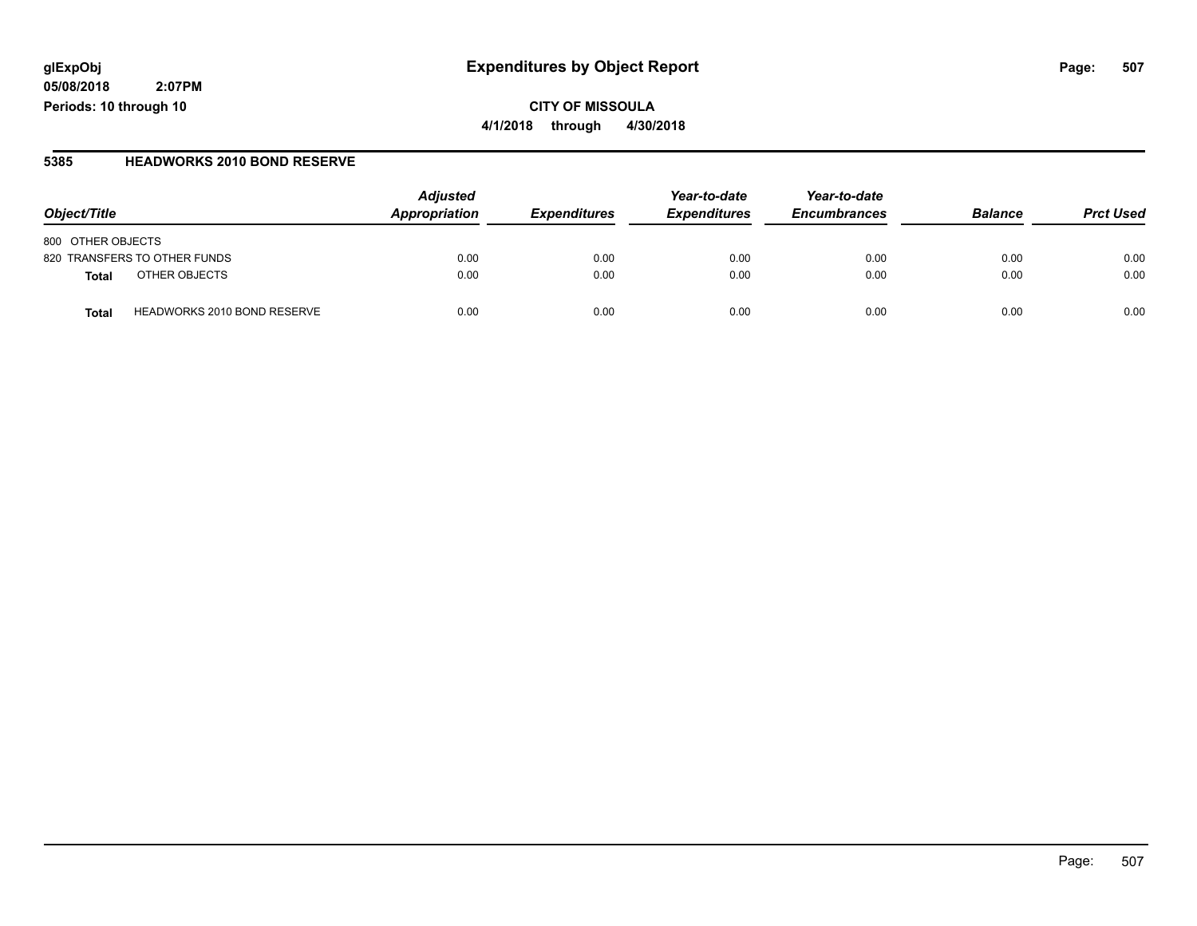### **glExpObj Expenditures by Object Report Page: 507**

**05/08/2018 2:07PM Periods: 10 through 10**

### **5385 HEADWORKS 2010 BOND RESERVE**

| Object/Title                                | <b>Adjusted</b><br>Appropriation | <b>Expenditures</b> | Year-to-date<br><b>Expenditures</b> | Year-to-date<br><b>Encumbrances</b> | <b>Balance</b> | <b>Prct Used</b> |
|---------------------------------------------|----------------------------------|---------------------|-------------------------------------|-------------------------------------|----------------|------------------|
| 800 OTHER OBJECTS                           |                                  |                     |                                     |                                     |                |                  |
| 820 TRANSFERS TO OTHER FUNDS                | 0.00                             | 0.00                | 0.00                                | 0.00                                | 0.00           | 0.00             |
| OTHER OBJECTS<br><b>Total</b>               | 0.00                             | 0.00                | 0.00                                | 0.00                                | 0.00           | 0.00             |
| <b>HEADWORKS 2010 BOND RESERVE</b><br>Total | 0.00                             | 0.00                | 0.00                                | 0.00                                | 0.00           | 0.00             |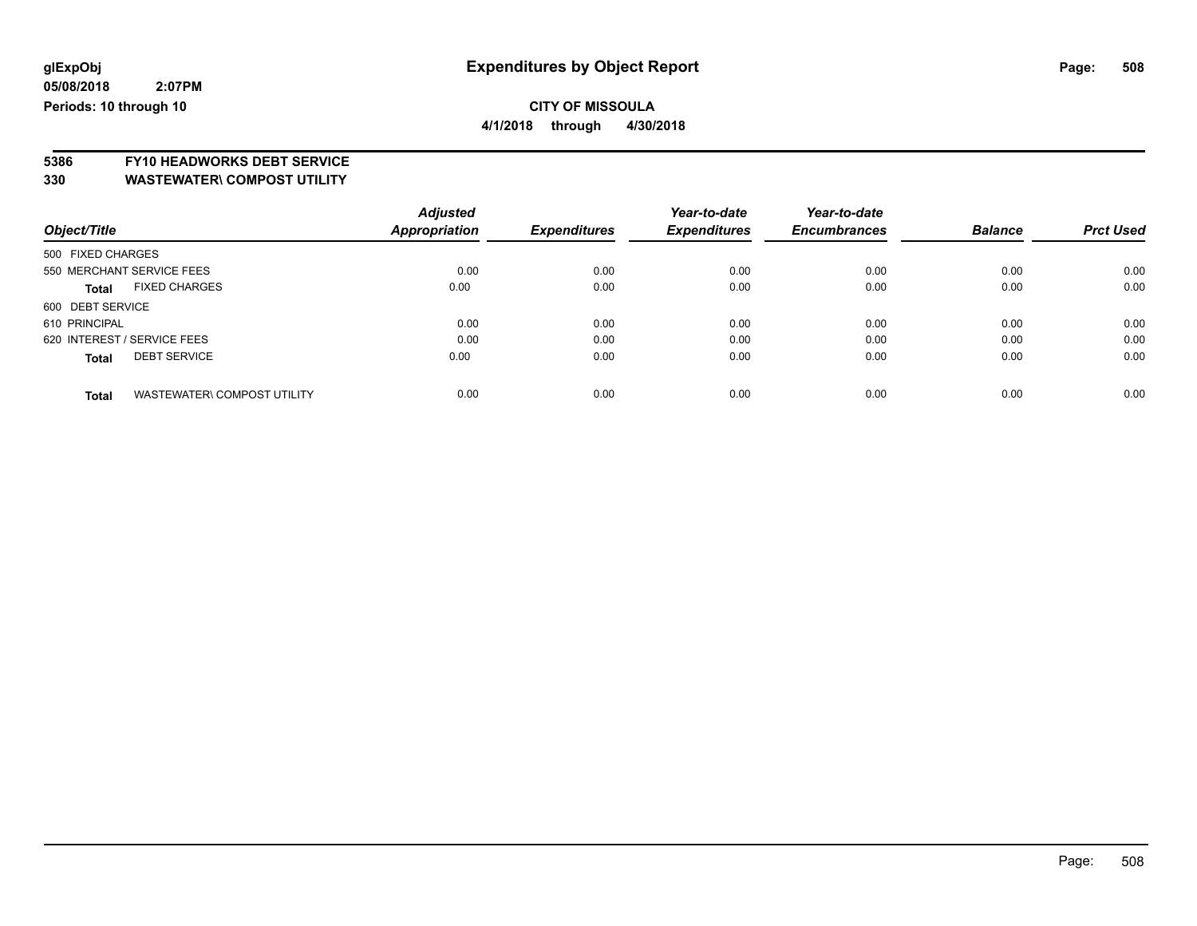# **5386 FY10 HEADWORKS DEBT SERVICE**

**330 WASTEWATER\ COMPOST UTILITY**

|                                                    | <b>Adjusted</b> | <b>Expenditures</b> | Year-to-date<br><b>Expenditures</b> | Year-to-date<br><b>Encumbrances</b> | <b>Balance</b> | <b>Prct Used</b> |
|----------------------------------------------------|-----------------|---------------------|-------------------------------------|-------------------------------------|----------------|------------------|
| Object/Title                                       | Appropriation   |                     |                                     |                                     |                |                  |
| 500 FIXED CHARGES                                  |                 |                     |                                     |                                     |                |                  |
| 550 MERCHANT SERVICE FEES                          | 0.00            | 0.00                | 0.00                                | 0.00                                | 0.00           | 0.00             |
| <b>FIXED CHARGES</b><br>Total                      | 0.00            | 0.00                | 0.00                                | 0.00                                | 0.00           | 0.00             |
| 600 DEBT SERVICE                                   |                 |                     |                                     |                                     |                |                  |
| 610 PRINCIPAL                                      | 0.00            | 0.00                | 0.00                                | 0.00                                | 0.00           | 0.00             |
| 620 INTEREST / SERVICE FEES                        | 0.00            | 0.00                | 0.00                                | 0.00                                | 0.00           | 0.00             |
| <b>DEBT SERVICE</b><br><b>Total</b>                | 0.00            | 0.00                | 0.00                                | 0.00                                | 0.00           | 0.00             |
| <b>WASTEWATER\ COMPOST UTILITY</b><br><b>Total</b> | 0.00            | 0.00                | 0.00                                | 0.00                                | 0.00           | 0.00             |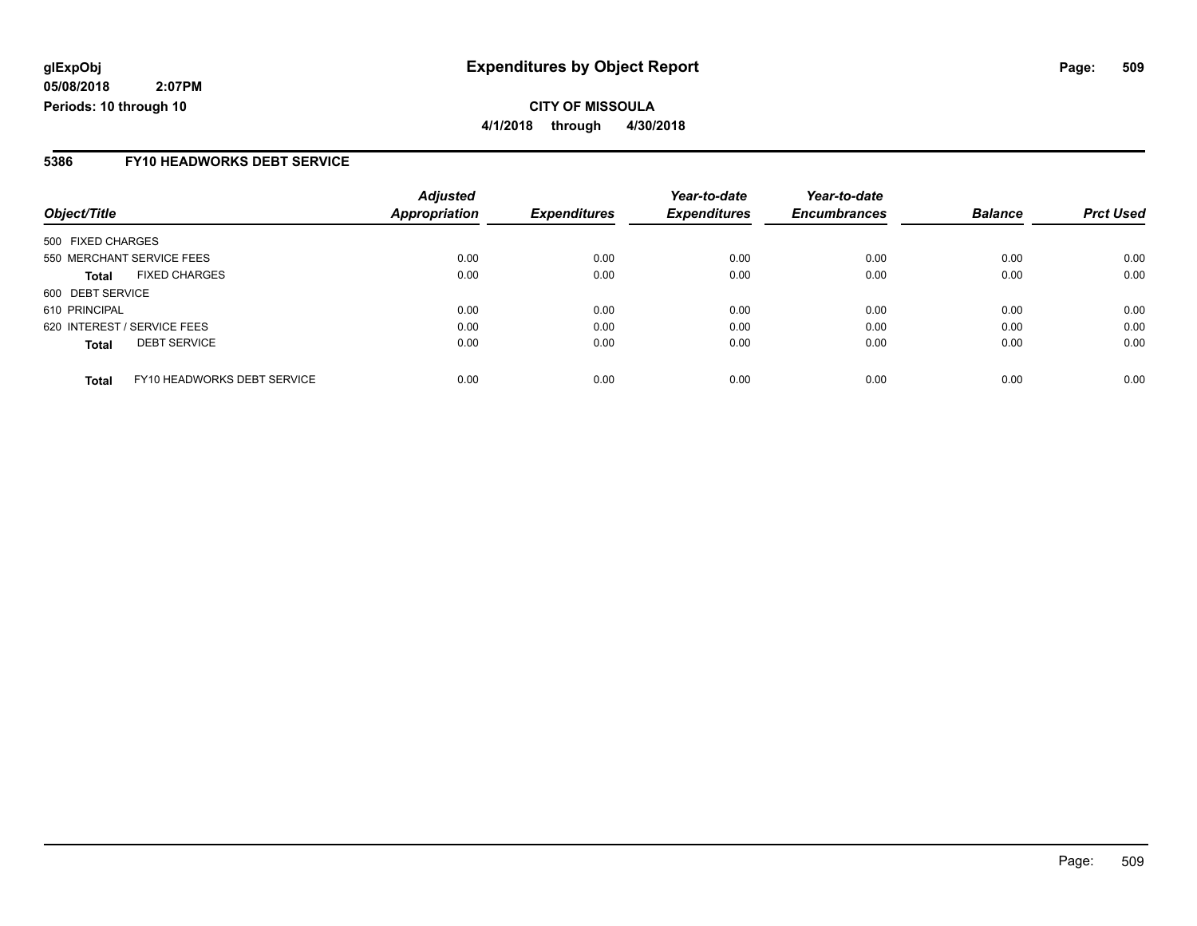**CITY OF MISSOULA 4/1/2018 through 4/30/2018**

### **5386 FY10 HEADWORKS DEBT SERVICE**

|                                             | <b>Adjusted</b> |                     | Year-to-date        | Year-to-date        |                |                  |
|---------------------------------------------|-----------------|---------------------|---------------------|---------------------|----------------|------------------|
| Object/Title                                | Appropriation   | <b>Expenditures</b> | <b>Expenditures</b> | <b>Encumbrances</b> | <b>Balance</b> | <b>Prct Used</b> |
| 500 FIXED CHARGES                           |                 |                     |                     |                     |                |                  |
| 550 MERCHANT SERVICE FEES                   | 0.00            | 0.00                | 0.00                | 0.00                | 0.00           | 0.00             |
| <b>FIXED CHARGES</b><br><b>Total</b>        | 0.00            | 0.00                | 0.00                | 0.00                | 0.00           | 0.00             |
| 600 DEBT SERVICE                            |                 |                     |                     |                     |                |                  |
| 610 PRINCIPAL                               | 0.00            | 0.00                | 0.00                | 0.00                | 0.00           | 0.00             |
| 620 INTEREST / SERVICE FEES                 | 0.00            | 0.00                | 0.00                | 0.00                | 0.00           | 0.00             |
| <b>DEBT SERVICE</b><br><b>Total</b>         | 0.00            | 0.00                | 0.00                | 0.00                | 0.00           | 0.00             |
| FY10 HEADWORKS DEBT SERVICE<br><b>Total</b> | 0.00            | 0.00                | 0.00                | 0.00                | 0.00           | 0.00             |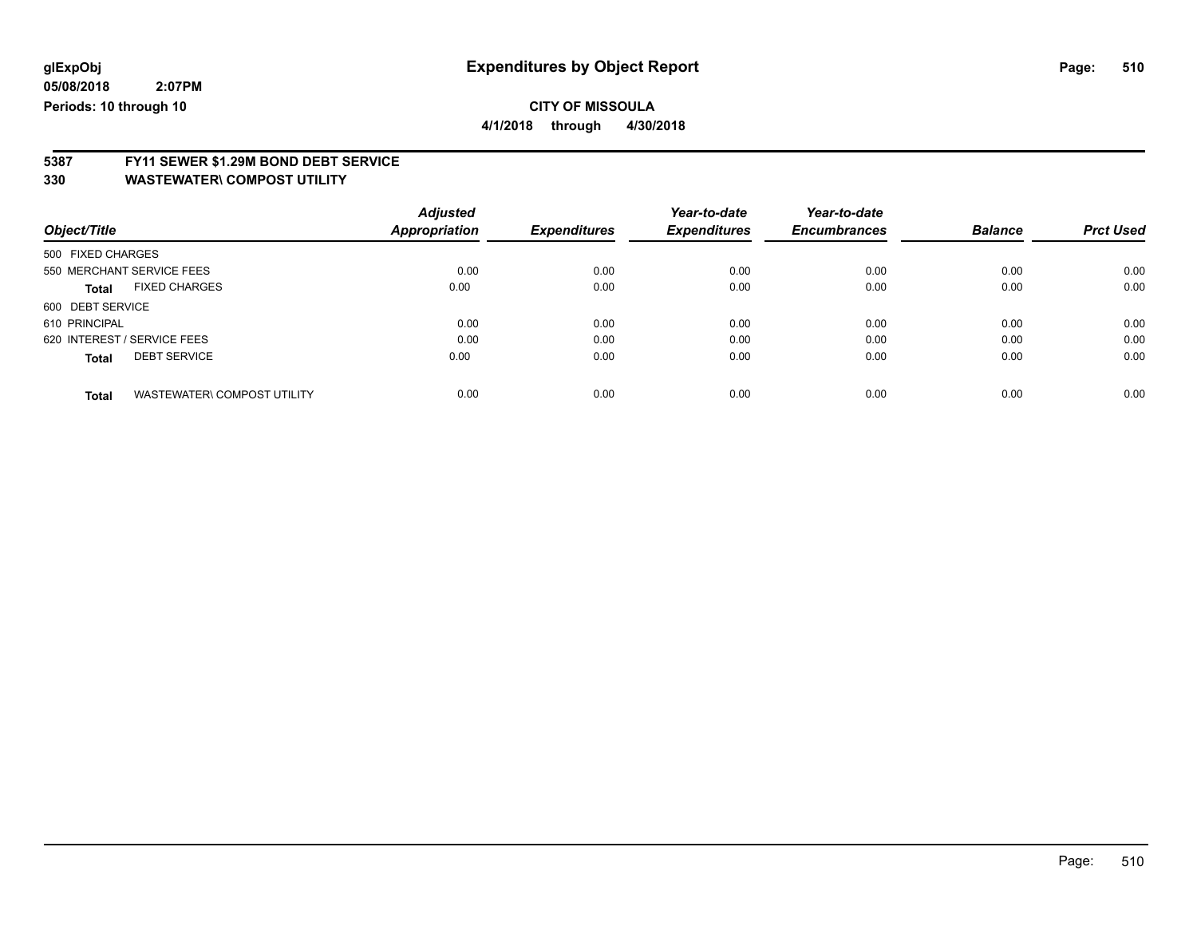### **CITY OF MISSOULA 4/1/2018 through 4/30/2018**

# **5387 FY11 SEWER \$1.29M BOND DEBT SERVICE**

### **330 WASTEWATER\ COMPOST UTILITY**

| Object/Title                |                                    | <b>Adjusted</b><br><b>Appropriation</b> | <b>Expenditures</b> | Year-to-date<br><b>Expenditures</b> | Year-to-date<br><b>Encumbrances</b> | <b>Balance</b> | <b>Prct Used</b> |
|-----------------------------|------------------------------------|-----------------------------------------|---------------------|-------------------------------------|-------------------------------------|----------------|------------------|
| 500 FIXED CHARGES           |                                    |                                         |                     |                                     |                                     |                |                  |
| 550 MERCHANT SERVICE FEES   |                                    | 0.00                                    | 0.00                | 0.00                                | 0.00                                | 0.00           | 0.00             |
| <b>Total</b>                | <b>FIXED CHARGES</b>               | 0.00                                    | 0.00                | 0.00                                | 0.00                                | 0.00           | 0.00             |
| 600 DEBT SERVICE            |                                    |                                         |                     |                                     |                                     |                |                  |
| 610 PRINCIPAL               |                                    | 0.00                                    | 0.00                | 0.00                                | 0.00                                | 0.00           | 0.00             |
| 620 INTEREST / SERVICE FEES |                                    | 0.00                                    | 0.00                | 0.00                                | 0.00                                | 0.00           | 0.00             |
| <b>Total</b>                | <b>DEBT SERVICE</b>                | 0.00                                    | 0.00                | 0.00                                | 0.00                                | 0.00           | 0.00             |
| <b>Total</b>                | <b>WASTEWATER\ COMPOST UTILITY</b> | 0.00                                    | 0.00                | 0.00                                | 0.00                                | 0.00           | 0.00             |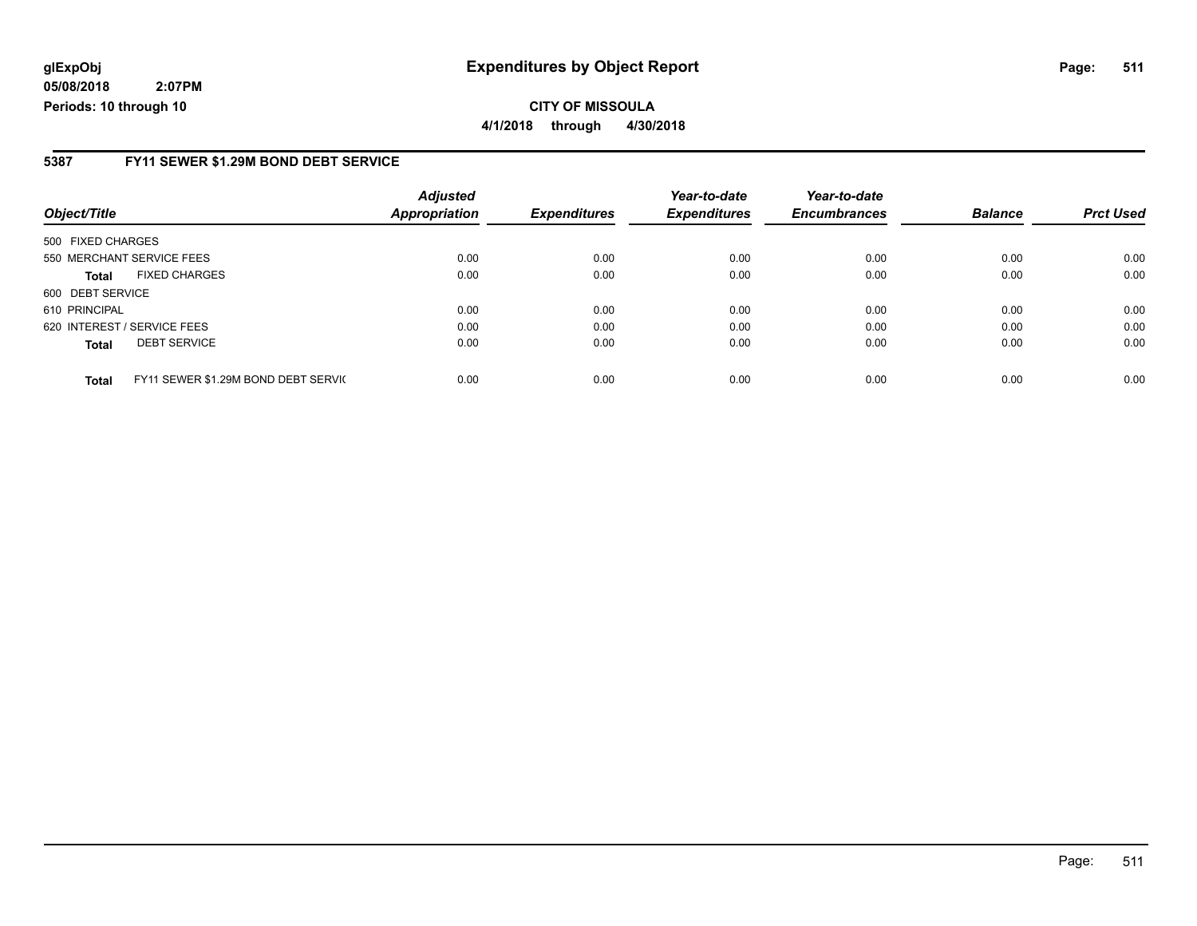**CITY OF MISSOULA 4/1/2018 through 4/30/2018**

### **5387 FY11 SEWER \$1.29M BOND DEBT SERVICE**

| Object/Title                |                                     | <b>Adjusted</b><br><b>Appropriation</b> | <b>Expenditures</b> | Year-to-date<br><b>Expenditures</b> | Year-to-date<br><b>Encumbrances</b> | <b>Balance</b> | <b>Prct Used</b> |
|-----------------------------|-------------------------------------|-----------------------------------------|---------------------|-------------------------------------|-------------------------------------|----------------|------------------|
| 500 FIXED CHARGES           |                                     |                                         |                     |                                     |                                     |                |                  |
| 550 MERCHANT SERVICE FEES   |                                     | 0.00                                    | 0.00                | 0.00                                | 0.00                                | 0.00           | 0.00             |
| Total                       | <b>FIXED CHARGES</b>                | 0.00                                    | 0.00                | 0.00                                | 0.00                                | 0.00           | 0.00             |
| 600 DEBT SERVICE            |                                     |                                         |                     |                                     |                                     |                |                  |
| 610 PRINCIPAL               |                                     | 0.00                                    | 0.00                | 0.00                                | 0.00                                | 0.00           | 0.00             |
| 620 INTEREST / SERVICE FEES |                                     | 0.00                                    | 0.00                | 0.00                                | 0.00                                | 0.00           | 0.00             |
| <b>Total</b>                | <b>DEBT SERVICE</b>                 | 0.00                                    | 0.00                | 0.00                                | 0.00                                | 0.00           | 0.00             |
| <b>Total</b>                | FY11 SEWER \$1.29M BOND DEBT SERVIC | 0.00                                    | 0.00                | 0.00                                | 0.00                                | 0.00           | 0.00             |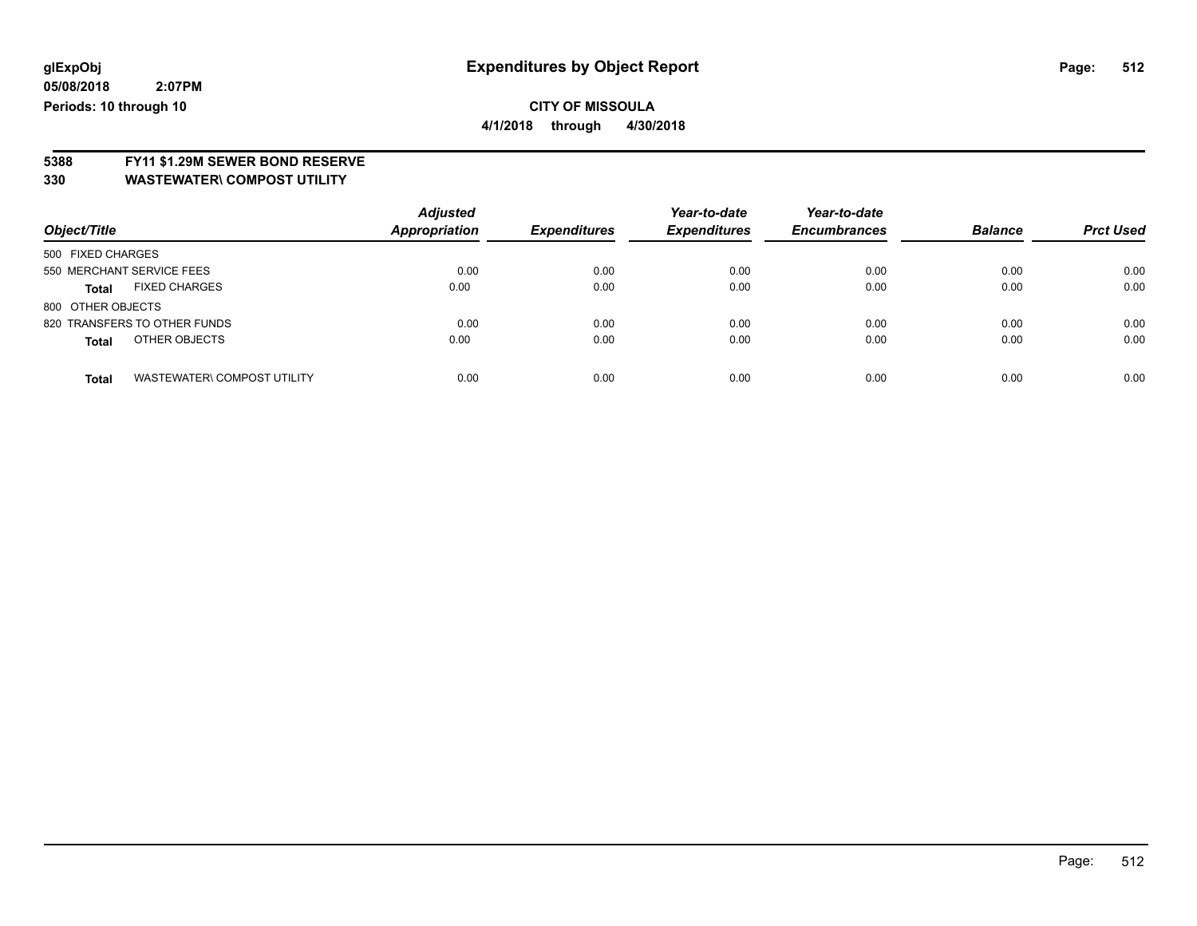**4/1/2018 through 4/30/2018**

# **5388 FY11 \$1.29M SEWER BOND RESERVE**

### **330 WASTEWATER\ COMPOST UTILITY**

| Object/Title                                       | <b>Adjusted</b><br><b>Appropriation</b> | <b>Expenditures</b> | Year-to-date<br><b>Expenditures</b> | Year-to-date<br><b>Encumbrances</b> | <b>Balance</b> | <b>Prct Used</b> |
|----------------------------------------------------|-----------------------------------------|---------------------|-------------------------------------|-------------------------------------|----------------|------------------|
| 500 FIXED CHARGES                                  |                                         |                     |                                     |                                     |                |                  |
| 550 MERCHANT SERVICE FEES                          | 0.00                                    | 0.00                | 0.00                                | 0.00                                | 0.00           | 0.00             |
| <b>FIXED CHARGES</b><br><b>Total</b>               | 0.00                                    | 0.00                | 0.00                                | 0.00                                | 0.00           | 0.00             |
| 800 OTHER OBJECTS                                  |                                         |                     |                                     |                                     |                |                  |
| 820 TRANSFERS TO OTHER FUNDS                       | 0.00                                    | 0.00                | 0.00                                | 0.00                                | 0.00           | 0.00             |
| OTHER OBJECTS<br><b>Total</b>                      | 0.00                                    | 0.00                | 0.00                                | 0.00                                | 0.00           | 0.00             |
| <b>WASTEWATER\ COMPOST UTILITY</b><br><b>Total</b> | 0.00                                    | 0.00                | 0.00                                | 0.00                                | 0.00           | 0.00             |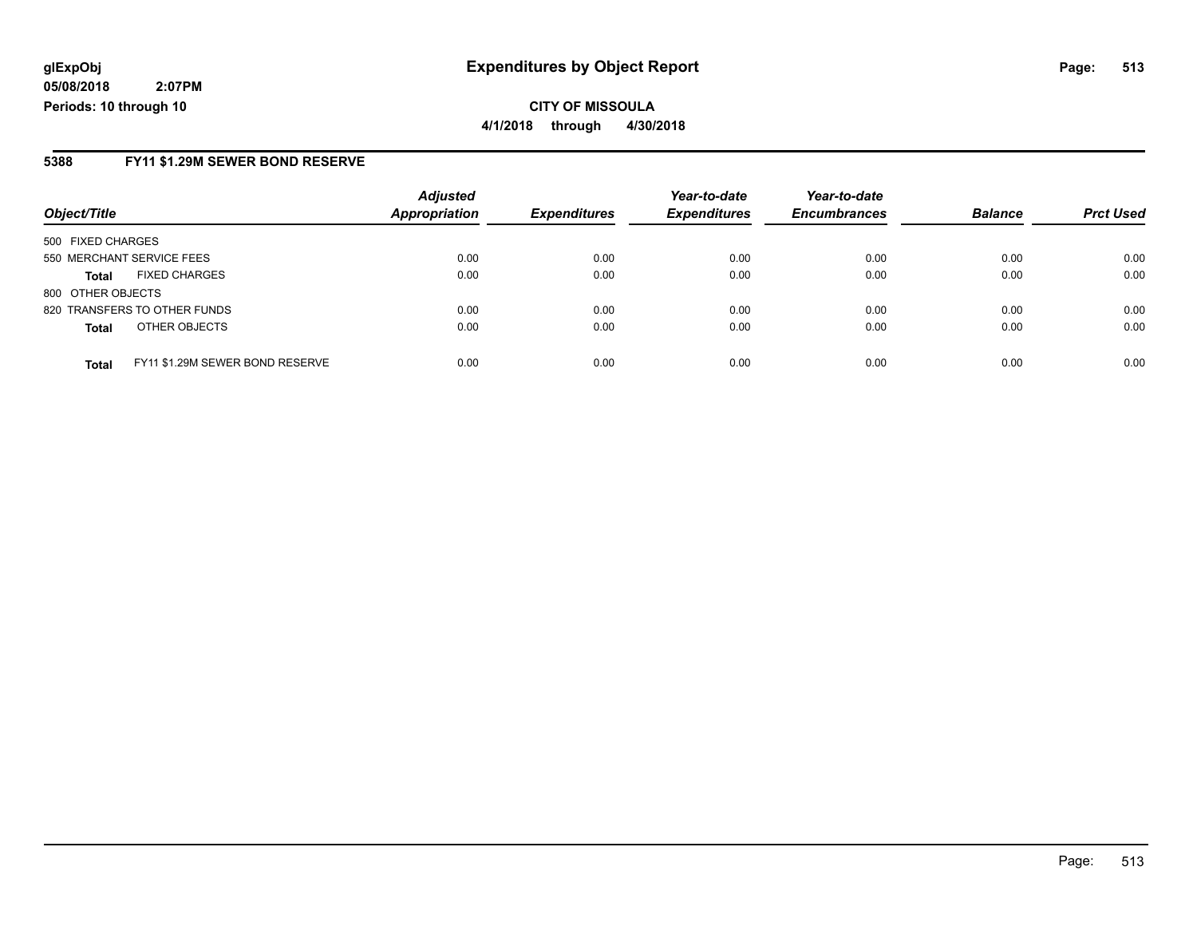**CITY OF MISSOULA 4/1/2018 through 4/30/2018**

### **5388 FY11 \$1.29M SEWER BOND RESERVE**

| Object/Title              |                                 | <b>Adjusted</b><br>Appropriation | <b>Expenditures</b> | Year-to-date        | Year-to-date        | <b>Balance</b> |                  |
|---------------------------|---------------------------------|----------------------------------|---------------------|---------------------|---------------------|----------------|------------------|
|                           |                                 |                                  |                     | <b>Expenditures</b> | <b>Encumbrances</b> |                | <b>Prct Used</b> |
| 500 FIXED CHARGES         |                                 |                                  |                     |                     |                     |                |                  |
| 550 MERCHANT SERVICE FEES |                                 | 0.00                             | 0.00                | 0.00                | 0.00                | 0.00           | 0.00             |
| <b>Total</b>              | <b>FIXED CHARGES</b>            | 0.00                             | 0.00                | 0.00                | 0.00                | 0.00           | 0.00             |
| 800 OTHER OBJECTS         |                                 |                                  |                     |                     |                     |                |                  |
|                           | 820 TRANSFERS TO OTHER FUNDS    | 0.00                             | 0.00                | 0.00                | 0.00                | 0.00           | 0.00             |
| <b>Total</b>              | OTHER OBJECTS                   | 0.00                             | 0.00                | 0.00                | 0.00                | 0.00           | 0.00             |
| <b>Total</b>              | FY11 \$1.29M SEWER BOND RESERVE | 0.00                             | 0.00                | 0.00                | 0.00                | 0.00           | 0.00             |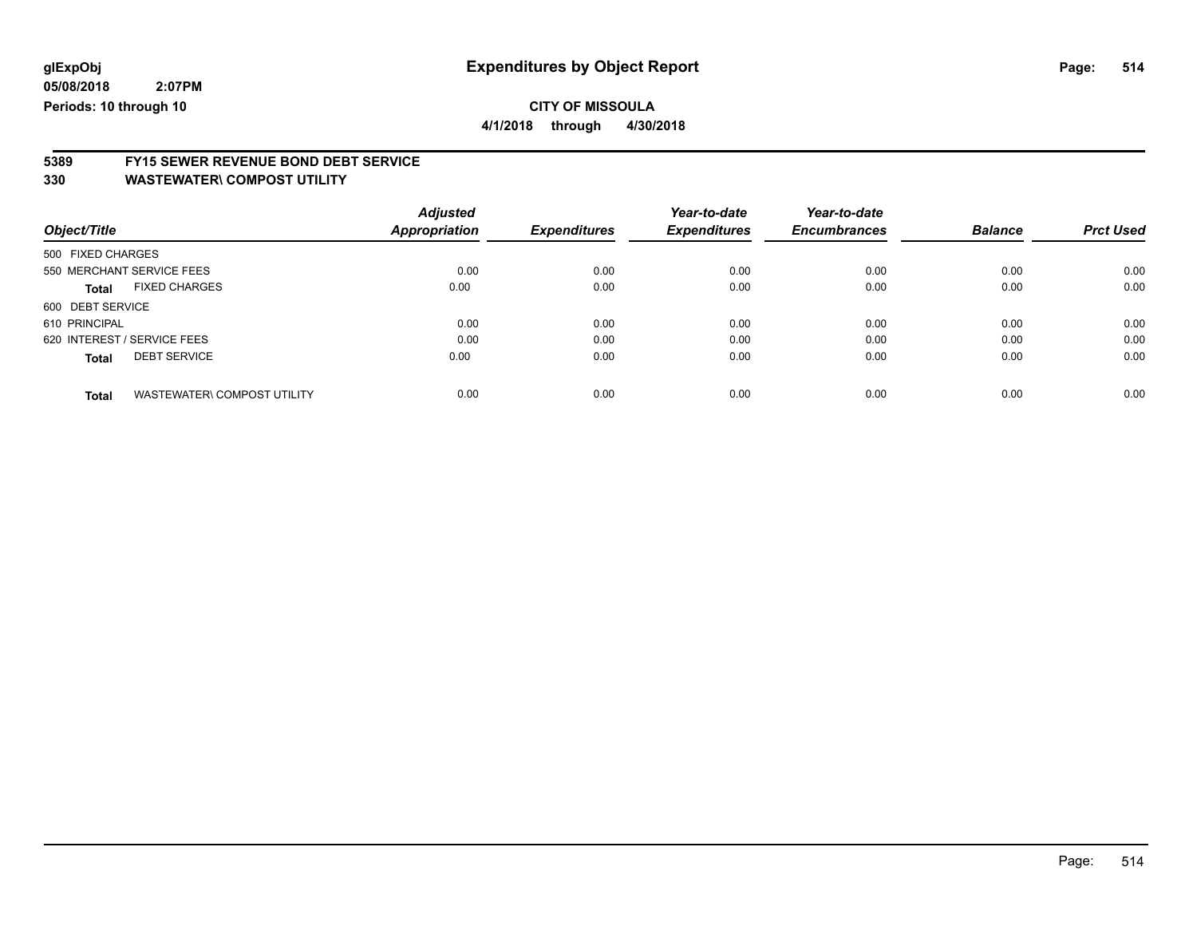# **5389 FY15 SEWER REVENUE BOND DEBT SERVICE**

### **330 WASTEWATER\ COMPOST UTILITY**

| Object/Title      |                                    | <b>Adjusted</b><br>Appropriation | <b>Expenditures</b> | Year-to-date<br><b>Expenditures</b> | Year-to-date<br><b>Encumbrances</b> | <b>Balance</b> | <b>Prct Used</b> |
|-------------------|------------------------------------|----------------------------------|---------------------|-------------------------------------|-------------------------------------|----------------|------------------|
| 500 FIXED CHARGES |                                    |                                  |                     |                                     |                                     |                |                  |
|                   | 550 MERCHANT SERVICE FEES          | 0.00                             | 0.00                | 0.00                                | 0.00                                | 0.00           | 0.00             |
| <b>Total</b>      | <b>FIXED CHARGES</b>               | 0.00                             | 0.00                | 0.00                                | 0.00                                | 0.00           | 0.00             |
| 600 DEBT SERVICE  |                                    |                                  |                     |                                     |                                     |                |                  |
| 610 PRINCIPAL     |                                    | 0.00                             | 0.00                | 0.00                                | 0.00                                | 0.00           | 0.00             |
|                   | 620 INTEREST / SERVICE FEES        | 0.00                             | 0.00                | 0.00                                | 0.00                                | 0.00           | 0.00             |
| <b>Total</b>      | <b>DEBT SERVICE</b>                | 0.00                             | 0.00                | 0.00                                | 0.00                                | 0.00           | 0.00             |
| <b>Total</b>      | <b>WASTEWATER\ COMPOST UTILITY</b> | 0.00                             | 0.00                | 0.00                                | 0.00                                | 0.00           | 0.00             |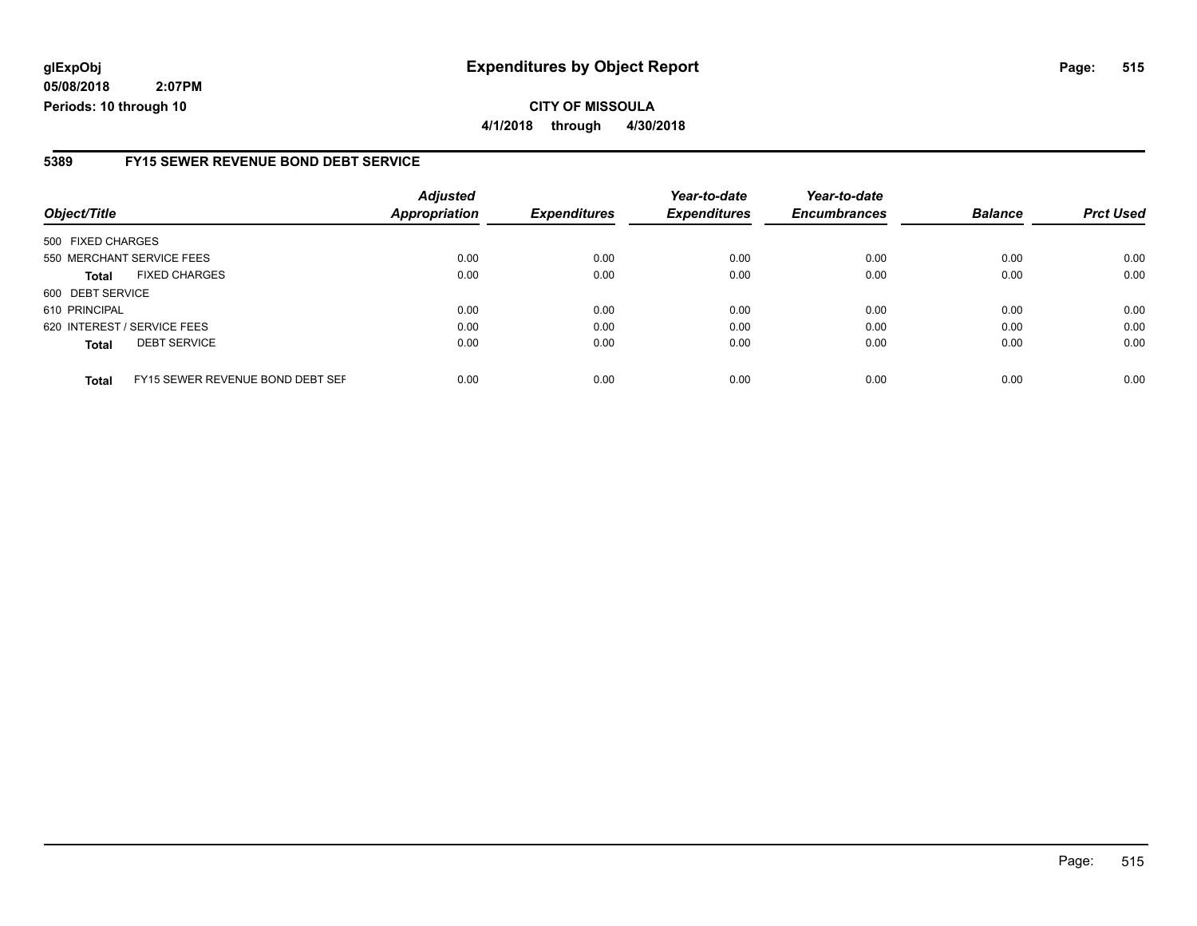### **CITY OF MISSOULA 4/1/2018 through 4/30/2018**

### **5389 FY15 SEWER REVENUE BOND DEBT SERVICE**

| Object/Title      |                                  | <b>Adjusted</b><br><b>Appropriation</b> | <b>Expenditures</b> | Year-to-date<br><b>Expenditures</b> | Year-to-date<br><b>Encumbrances</b> | <b>Balance</b> | <b>Prct Used</b> |
|-------------------|----------------------------------|-----------------------------------------|---------------------|-------------------------------------|-------------------------------------|----------------|------------------|
| 500 FIXED CHARGES |                                  |                                         |                     |                                     |                                     |                |                  |
|                   | 550 MERCHANT SERVICE FEES        | 0.00                                    | 0.00                | 0.00                                | 0.00                                | 0.00           | 0.00             |
| <b>Total</b>      | <b>FIXED CHARGES</b>             | 0.00                                    | 0.00                | 0.00                                | 0.00                                | 0.00           | 0.00             |
| 600 DEBT SERVICE  |                                  |                                         |                     |                                     |                                     |                |                  |
| 610 PRINCIPAL     |                                  | 0.00                                    | 0.00                | 0.00                                | 0.00                                | 0.00           | 0.00             |
|                   | 620 INTEREST / SERVICE FEES      | 0.00                                    | 0.00                | 0.00                                | 0.00                                | 0.00           | 0.00             |
| <b>Total</b>      | <b>DEBT SERVICE</b>              | 0.00                                    | 0.00                | 0.00                                | 0.00                                | 0.00           | 0.00             |
| <b>Total</b>      | FY15 SEWER REVENUE BOND DEBT SEF | 0.00                                    | 0.00                | 0.00                                | 0.00                                | 0.00           | 0.00             |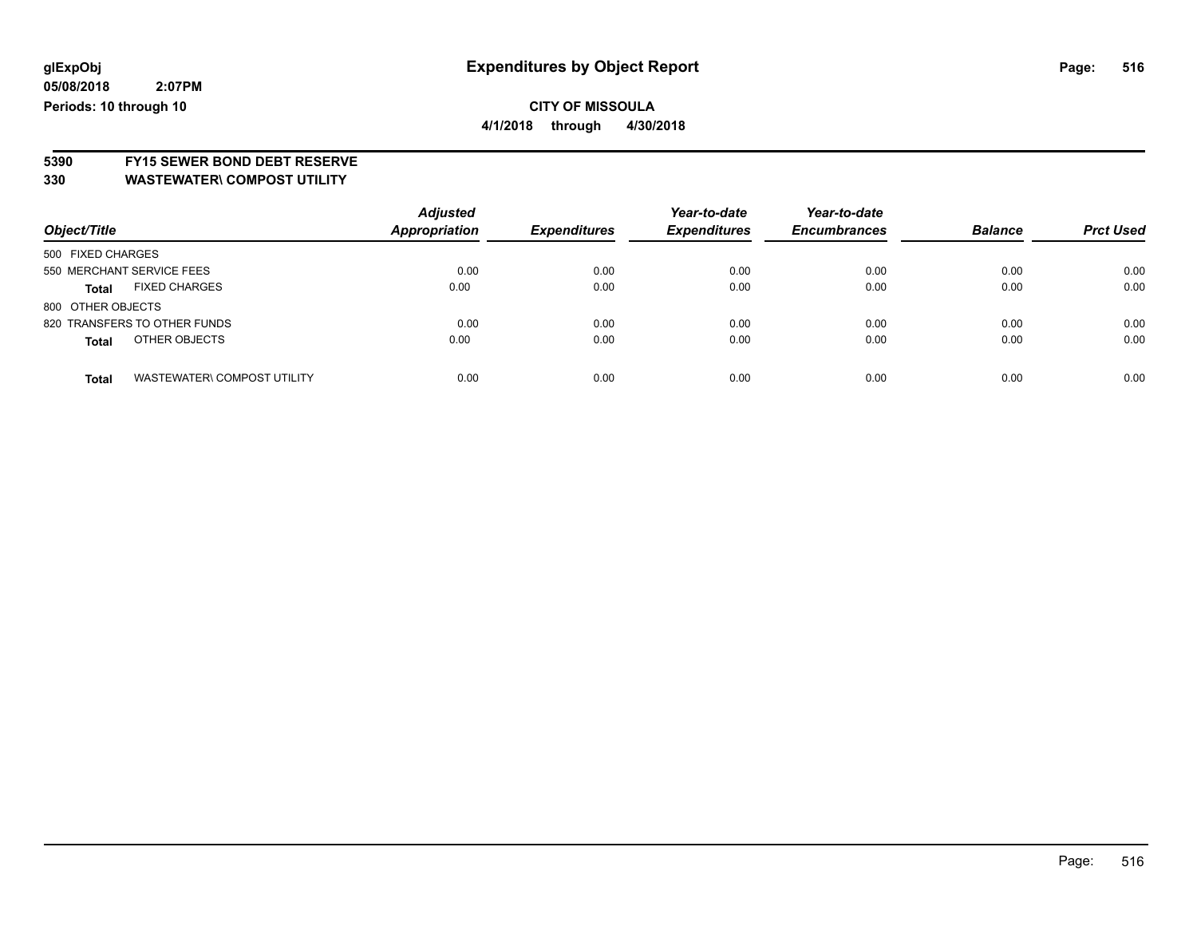# **5390 FY15 SEWER BOND DEBT RESERVE**

**330 WASTEWATER\ COMPOST UTILITY**

| Object/Title                         | <b>Adjusted</b><br><b>Appropriation</b> | <b>Expenditures</b> | Year-to-date<br><b>Expenditures</b> | Year-to-date<br><b>Encumbrances</b> | <b>Balance</b> | <b>Prct Used</b> |
|--------------------------------------|-----------------------------------------|---------------------|-------------------------------------|-------------------------------------|----------------|------------------|
| 500 FIXED CHARGES                    |                                         |                     |                                     |                                     |                |                  |
| 550 MERCHANT SERVICE FEES            | 0.00                                    | 0.00                | 0.00                                | 0.00                                | 0.00           | 0.00             |
| <b>FIXED CHARGES</b><br><b>Total</b> | 0.00                                    | 0.00                | 0.00                                | 0.00                                | 0.00           | 0.00             |
| 800 OTHER OBJECTS                    |                                         |                     |                                     |                                     |                |                  |
| 820 TRANSFERS TO OTHER FUNDS         | 0.00                                    | 0.00                | 0.00                                | 0.00                                | 0.00           | 0.00             |
| OTHER OBJECTS<br><b>Total</b>        | 0.00                                    | 0.00                | 0.00                                | 0.00                                | 0.00           | 0.00             |
| <b>WASTEWATER\ COMPOST UTILITY</b>   | 0.00                                    | 0.00                | 0.00                                | 0.00                                | 0.00           | 0.00             |
| <b>Total</b>                         |                                         |                     |                                     |                                     |                |                  |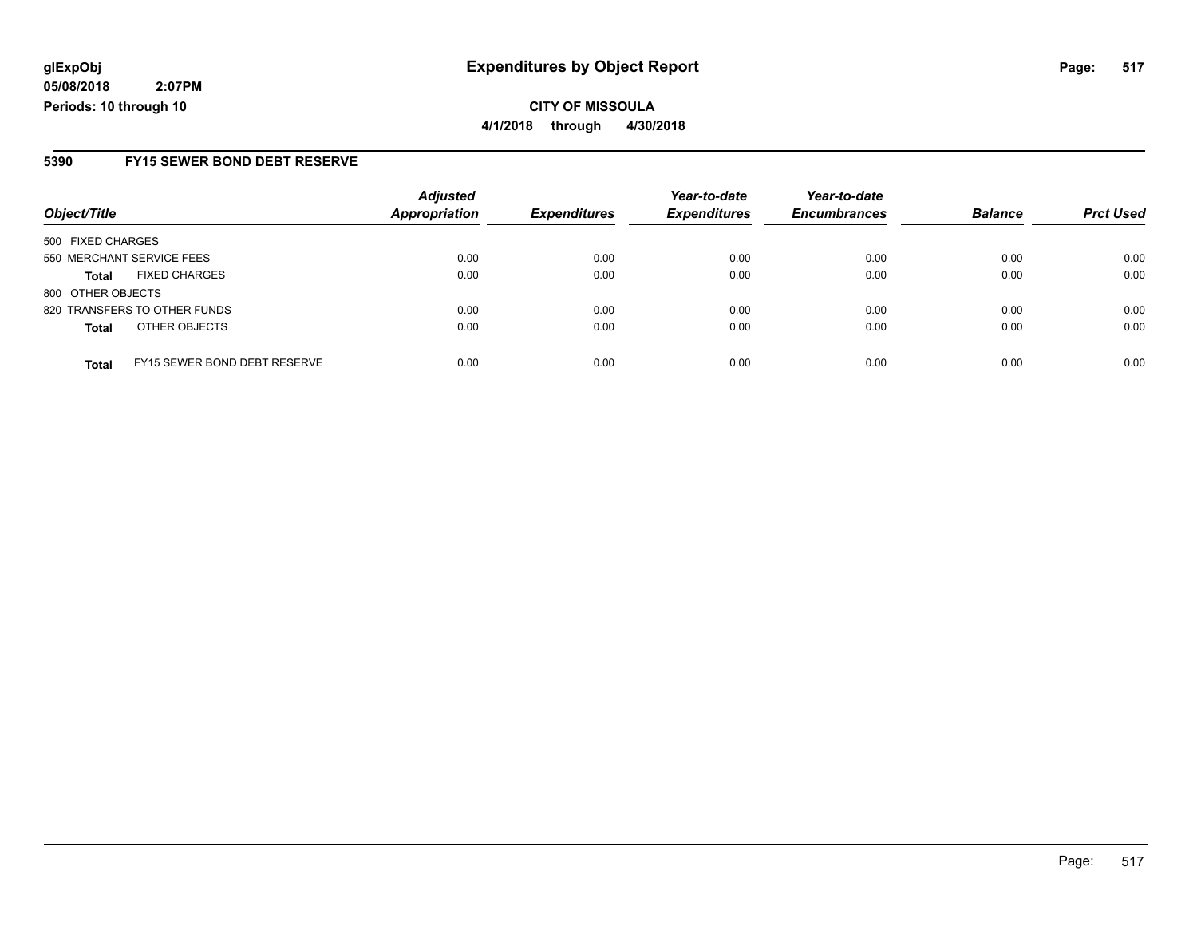**CITY OF MISSOULA 4/1/2018 through 4/30/2018**

### **5390 FY15 SEWER BOND DEBT RESERVE**

|                           |                                     | <b>Adjusted</b> |                     | Year-to-date        | Year-to-date        |                |                  |
|---------------------------|-------------------------------------|-----------------|---------------------|---------------------|---------------------|----------------|------------------|
| Object/Title              |                                     | Appropriation   | <b>Expenditures</b> | <b>Expenditures</b> | <b>Encumbrances</b> | <b>Balance</b> | <b>Prct Used</b> |
| 500 FIXED CHARGES         |                                     |                 |                     |                     |                     |                |                  |
| 550 MERCHANT SERVICE FEES |                                     | 0.00            | 0.00                | 0.00                | 0.00                | 0.00           | 0.00             |
| <b>Total</b>              | <b>FIXED CHARGES</b>                | 0.00            | 0.00                | 0.00                | 0.00                | 0.00           | 0.00             |
| 800 OTHER OBJECTS         |                                     |                 |                     |                     |                     |                |                  |
|                           | 820 TRANSFERS TO OTHER FUNDS        | 0.00            | 0.00                | 0.00                | 0.00                | 0.00           | 0.00             |
| <b>Total</b>              | OTHER OBJECTS                       | 0.00            | 0.00                | 0.00                | 0.00                | 0.00           | 0.00             |
| <b>Total</b>              | <b>FY15 SEWER BOND DEBT RESERVE</b> | 0.00            | 0.00                | 0.00                | 0.00                | 0.00           | 0.00             |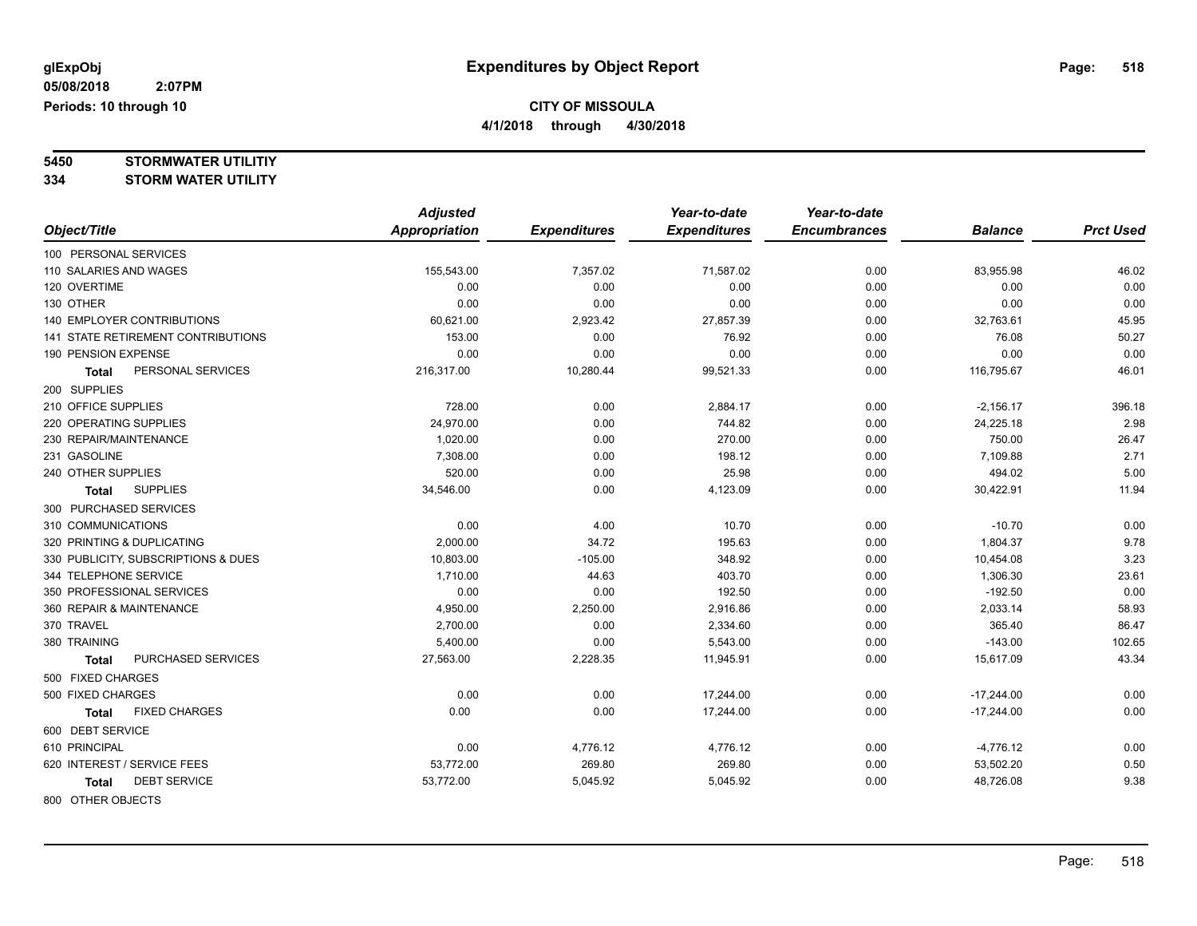# **5450 STORMWATER UTILITIY**

**334 STORM WATER UTILITY**

|                                     | <b>Adjusted</b> |                     | Year-to-date        | Year-to-date        |                |                  |
|-------------------------------------|-----------------|---------------------|---------------------|---------------------|----------------|------------------|
| Object/Title                        | Appropriation   | <b>Expenditures</b> | <b>Expenditures</b> | <b>Encumbrances</b> | <b>Balance</b> | <b>Prct Used</b> |
| 100 PERSONAL SERVICES               |                 |                     |                     |                     |                |                  |
| 110 SALARIES AND WAGES              | 155,543.00      | 7,357.02            | 71,587.02           | 0.00                | 83,955.98      | 46.02            |
| 120 OVERTIME                        | 0.00            | 0.00                | 0.00                | 0.00                | 0.00           | 0.00             |
| 130 OTHER                           | 0.00            | 0.00                | 0.00                | 0.00                | 0.00           | 0.00             |
| 140 EMPLOYER CONTRIBUTIONS          | 60,621.00       | 2,923.42            | 27,857.39           | 0.00                | 32,763.61      | 45.95            |
| 141 STATE RETIREMENT CONTRIBUTIONS  | 153.00          | 0.00                | 76.92               | 0.00                | 76.08          | 50.27            |
| 190 PENSION EXPENSE                 | 0.00            | 0.00                | 0.00                | 0.00                | 0.00           | 0.00             |
| PERSONAL SERVICES<br>Total          | 216,317.00      | 10,280.44           | 99,521.33           | 0.00                | 116,795.67     | 46.01            |
| 200 SUPPLIES                        |                 |                     |                     |                     |                |                  |
| 210 OFFICE SUPPLIES                 | 728.00          | 0.00                | 2,884.17            | 0.00                | $-2,156.17$    | 396.18           |
| 220 OPERATING SUPPLIES              | 24,970.00       | 0.00                | 744.82              | 0.00                | 24,225.18      | 2.98             |
| 230 REPAIR/MAINTENANCE              | 1,020.00        | 0.00                | 270.00              | 0.00                | 750.00         | 26.47            |
| 231 GASOLINE                        | 7,308.00        | 0.00                | 198.12              | 0.00                | 7,109.88       | 2.71             |
| 240 OTHER SUPPLIES                  | 520.00          | 0.00                | 25.98               | 0.00                | 494.02         | 5.00             |
| <b>SUPPLIES</b><br><b>Total</b>     | 34,546.00       | 0.00                | 4,123.09            | 0.00                | 30,422.91      | 11.94            |
| 300 PURCHASED SERVICES              |                 |                     |                     |                     |                |                  |
| 310 COMMUNICATIONS                  | 0.00            | 4.00                | 10.70               | 0.00                | $-10.70$       | 0.00             |
| 320 PRINTING & DUPLICATING          | 2,000.00        | 34.72               | 195.63              | 0.00                | 1,804.37       | 9.78             |
| 330 PUBLICITY, SUBSCRIPTIONS & DUES | 10,803.00       | $-105.00$           | 348.92              | 0.00                | 10,454.08      | 3.23             |
| 344 TELEPHONE SERVICE               | 1,710.00        | 44.63               | 403.70              | 0.00                | 1,306.30       | 23.61            |
| 350 PROFESSIONAL SERVICES           | 0.00            | 0.00                | 192.50              | 0.00                | $-192.50$      | 0.00             |
| 360 REPAIR & MAINTENANCE            | 4,950.00        | 2,250.00            | 2,916.86            | 0.00                | 2,033.14       | 58.93            |
| 370 TRAVEL                          | 2,700.00        | 0.00                | 2,334.60            | 0.00                | 365.40         | 86.47            |
| 380 TRAINING                        | 5,400.00        | 0.00                | 5,543.00            | 0.00                | $-143.00$      | 102.65           |
| PURCHASED SERVICES<br><b>Total</b>  | 27,563.00       | 2,228.35            | 11,945.91           | 0.00                | 15,617.09      | 43.34            |
| 500 FIXED CHARGES                   |                 |                     |                     |                     |                |                  |
| 500 FIXED CHARGES                   | 0.00            | 0.00                | 17,244.00           | 0.00                | $-17,244.00$   | 0.00             |
| <b>FIXED CHARGES</b><br>Total       | 0.00            | 0.00                | 17,244.00           | 0.00                | $-17,244.00$   | 0.00             |
| 600 DEBT SERVICE                    |                 |                     |                     |                     |                |                  |
| 610 PRINCIPAL                       | 0.00            | 4,776.12            | 4,776.12            | 0.00                | $-4,776.12$    | 0.00             |
| 620 INTEREST / SERVICE FEES         | 53,772.00       | 269.80              | 269.80              | 0.00                | 53,502.20      | 0.50             |
| <b>DEBT SERVICE</b><br>Total        | 53,772.00       | 5,045.92            | 5,045.92            | 0.00                | 48,726.08      | 9.38             |
| 800 OTHER OBJECTS                   |                 |                     |                     |                     |                |                  |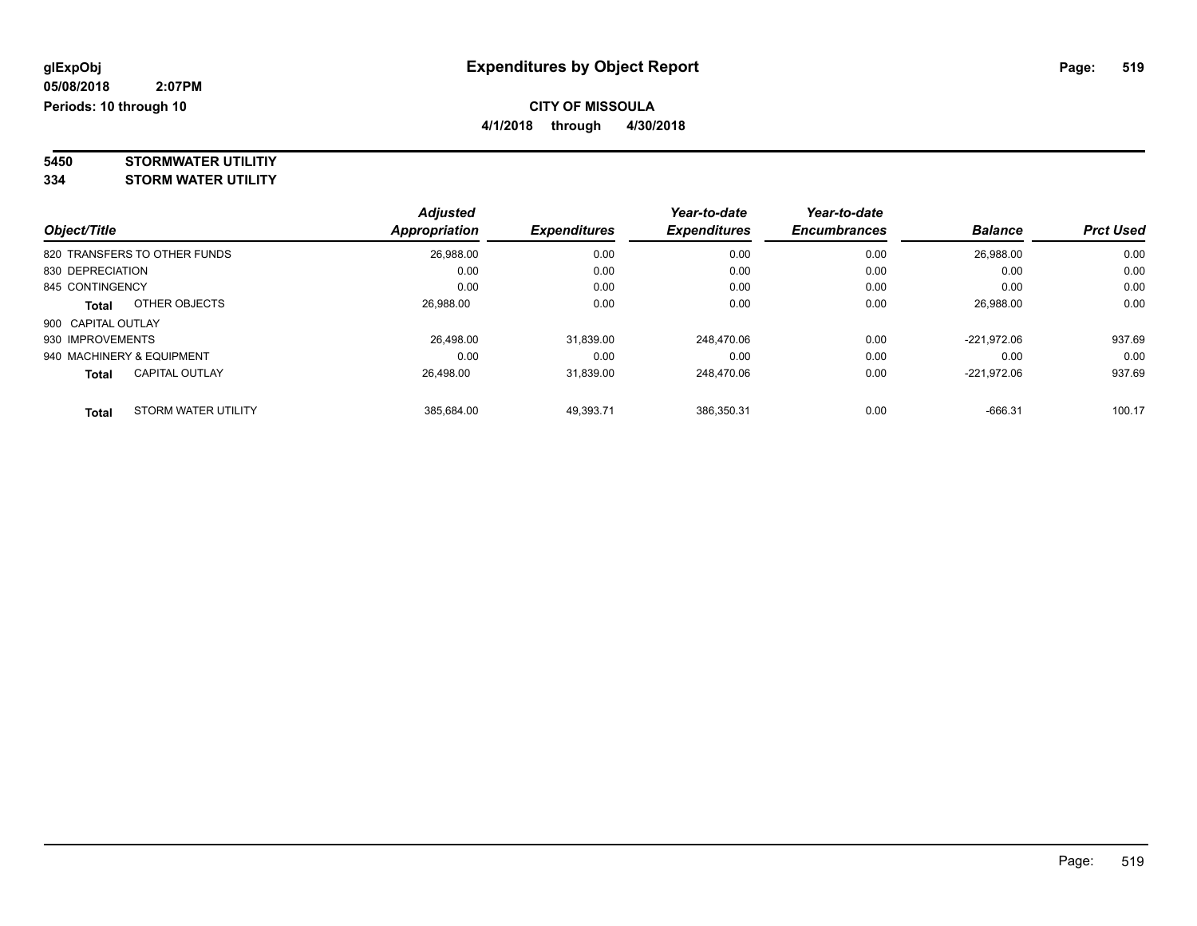**5450 STORMWATER UTILITIY**

**334 STORM WATER UTILITY**

| Object/Title                               | <b>Adjusted</b><br>Appropriation | <b>Expenditures</b> | Year-to-date<br><b>Expenditures</b> | Year-to-date<br><b>Encumbrances</b> | <b>Balance</b> | <b>Prct Used</b> |
|--------------------------------------------|----------------------------------|---------------------|-------------------------------------|-------------------------------------|----------------|------------------|
|                                            |                                  |                     |                                     |                                     |                |                  |
| 820 TRANSFERS TO OTHER FUNDS               | 26.988.00                        | 0.00                | 0.00                                | 0.00                                | 26.988.00      | 0.00             |
| 830 DEPRECIATION                           | 0.00                             | 0.00                | 0.00                                | 0.00                                | 0.00           | 0.00             |
| 845 CONTINGENCY                            | 0.00                             | 0.00                | 0.00                                | 0.00                                | 0.00           | 0.00             |
| OTHER OBJECTS<br><b>Total</b>              | 26.988.00                        | 0.00                | 0.00                                | 0.00                                | 26.988.00      | 0.00             |
| 900 CAPITAL OUTLAY                         |                                  |                     |                                     |                                     |                |                  |
| 930 IMPROVEMENTS                           | 26.498.00                        | 31.839.00           | 248.470.06                          | 0.00                                | $-221.972.06$  | 937.69           |
| 940 MACHINERY & EQUIPMENT                  | 0.00                             | 0.00                | 0.00                                | 0.00                                | 0.00           | 0.00             |
| <b>CAPITAL OUTLAY</b><br><b>Total</b>      | 26.498.00                        | 31.839.00           | 248.470.06                          | 0.00                                | $-221.972.06$  | 937.69           |
| <b>STORM WATER UTILITY</b><br><b>Total</b> | 385.684.00                       | 49,393.71           | 386.350.31                          | 0.00                                | $-666.31$      | 100.17           |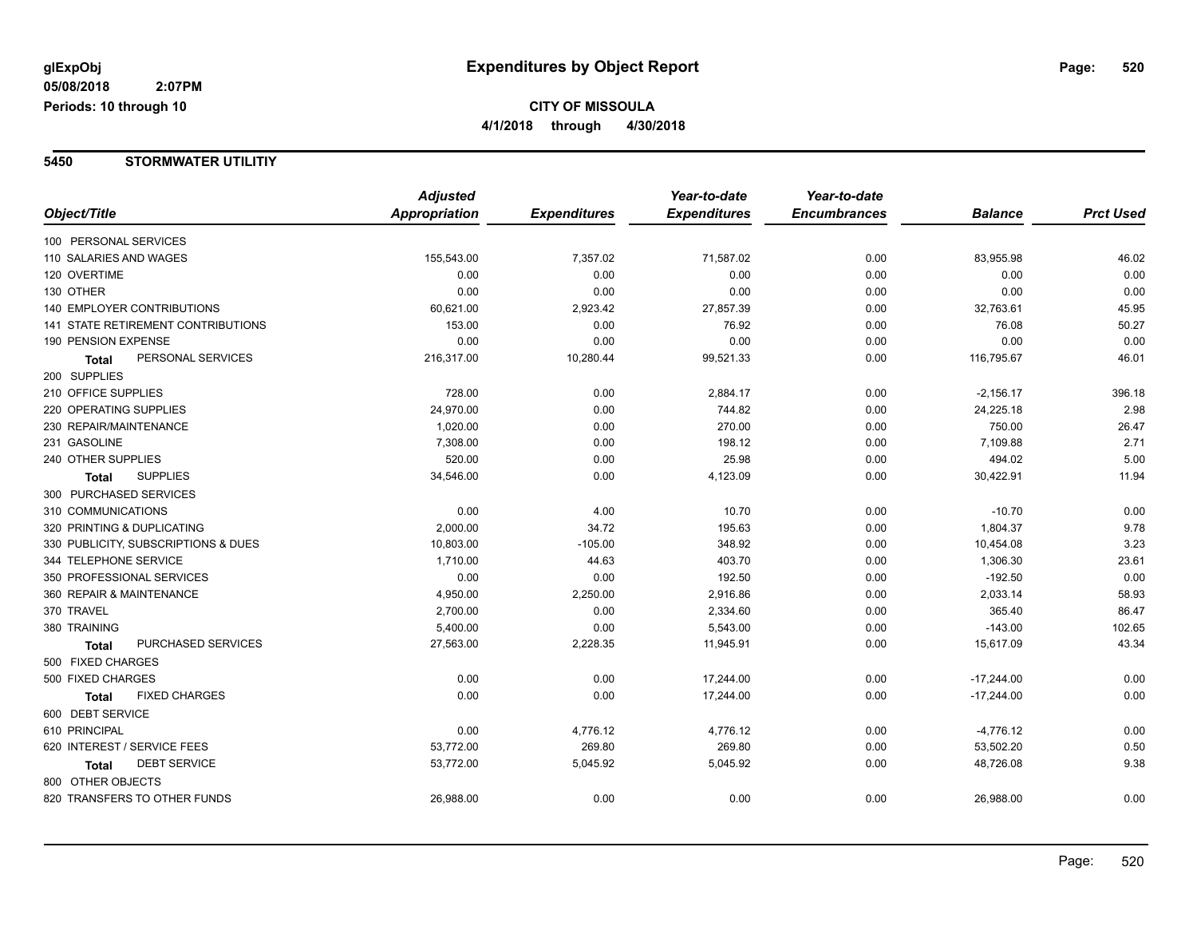### **5450 STORMWATER UTILITIY**

|                                      | <b>Adjusted</b> |                     | Year-to-date        | Year-to-date        |                |                  |
|--------------------------------------|-----------------|---------------------|---------------------|---------------------|----------------|------------------|
| Object/Title                         | Appropriation   | <b>Expenditures</b> | <b>Expenditures</b> | <b>Encumbrances</b> | <b>Balance</b> | <b>Prct Used</b> |
| 100 PERSONAL SERVICES                |                 |                     |                     |                     |                |                  |
| 110 SALARIES AND WAGES               | 155,543.00      | 7,357.02            | 71,587.02           | 0.00                | 83,955.98      | 46.02            |
| 120 OVERTIME                         | 0.00            | 0.00                | 0.00                | 0.00                | 0.00           | 0.00             |
| 130 OTHER                            | 0.00            | 0.00                | 0.00                | 0.00                | 0.00           | 0.00             |
| <b>140 EMPLOYER CONTRIBUTIONS</b>    | 60,621.00       | 2,923.42            | 27,857.39           | 0.00                | 32,763.61      | 45.95            |
| 141 STATE RETIREMENT CONTRIBUTIONS   | 153.00          | 0.00                | 76.92               | 0.00                | 76.08          | 50.27            |
| 190 PENSION EXPENSE                  | 0.00            | 0.00                | 0.00                | 0.00                | 0.00           | 0.00             |
| PERSONAL SERVICES<br>Total           | 216,317.00      | 10,280.44           | 99,521.33           | 0.00                | 116,795.67     | 46.01            |
| 200 SUPPLIES                         |                 |                     |                     |                     |                |                  |
| 210 OFFICE SUPPLIES                  | 728.00          | 0.00                | 2,884.17            | 0.00                | $-2,156.17$    | 396.18           |
| 220 OPERATING SUPPLIES               | 24,970.00       | 0.00                | 744.82              | 0.00                | 24,225.18      | 2.98             |
| 230 REPAIR/MAINTENANCE               | 1,020.00        | 0.00                | 270.00              | 0.00                | 750.00         | 26.47            |
| 231 GASOLINE                         | 7,308.00        | 0.00                | 198.12              | 0.00                | 7,109.88       | 2.71             |
| 240 OTHER SUPPLIES                   | 520.00          | 0.00                | 25.98               | 0.00                | 494.02         | 5.00             |
| <b>SUPPLIES</b><br><b>Total</b>      | 34,546.00       | 0.00                | 4,123.09            | 0.00                | 30,422.91      | 11.94            |
| 300 PURCHASED SERVICES               |                 |                     |                     |                     |                |                  |
| 310 COMMUNICATIONS                   | 0.00            | 4.00                | 10.70               | 0.00                | $-10.70$       | 0.00             |
| 320 PRINTING & DUPLICATING           | 2,000.00        | 34.72               | 195.63              | 0.00                | 1,804.37       | 9.78             |
| 330 PUBLICITY, SUBSCRIPTIONS & DUES  | 10,803.00       | $-105.00$           | 348.92              | 0.00                | 10,454.08      | 3.23             |
| 344 TELEPHONE SERVICE                | 1,710.00        | 44.63               | 403.70              | 0.00                | 1,306.30       | 23.61            |
| 350 PROFESSIONAL SERVICES            | 0.00            | 0.00                | 192.50              | 0.00                | $-192.50$      | 0.00             |
| 360 REPAIR & MAINTENANCE             | 4,950.00        | 2,250.00            | 2,916.86            | 0.00                | 2,033.14       | 58.93            |
| 370 TRAVEL                           | 2,700.00        | 0.00                | 2,334.60            | 0.00                | 365.40         | 86.47            |
| 380 TRAINING                         | 5,400.00        | 0.00                | 5,543.00            | 0.00                | $-143.00$      | 102.65           |
| PURCHASED SERVICES<br><b>Total</b>   | 27,563.00       | 2,228.35            | 11,945.91           | 0.00                | 15,617.09      | 43.34            |
| 500 FIXED CHARGES                    |                 |                     |                     |                     |                |                  |
| 500 FIXED CHARGES                    | 0.00            | 0.00                | 17,244.00           | 0.00                | $-17,244.00$   | 0.00             |
| <b>FIXED CHARGES</b><br><b>Total</b> | 0.00            | 0.00                | 17,244.00           | 0.00                | $-17,244.00$   | 0.00             |
| 600 DEBT SERVICE                     |                 |                     |                     |                     |                |                  |
| 610 PRINCIPAL                        | 0.00            | 4,776.12            | 4,776.12            | 0.00                | $-4,776.12$    | 0.00             |
| 620 INTEREST / SERVICE FEES          | 53,772.00       | 269.80              | 269.80              | 0.00                | 53,502.20      | 0.50             |
| <b>DEBT SERVICE</b><br>Total         | 53,772.00       | 5,045.92            | 5,045.92            | 0.00                | 48,726.08      | 9.38             |
| 800 OTHER OBJECTS                    |                 |                     |                     |                     |                |                  |
| 820 TRANSFERS TO OTHER FUNDS         | 26,988.00       | 0.00                | 0.00                | 0.00                | 26,988.00      | 0.00             |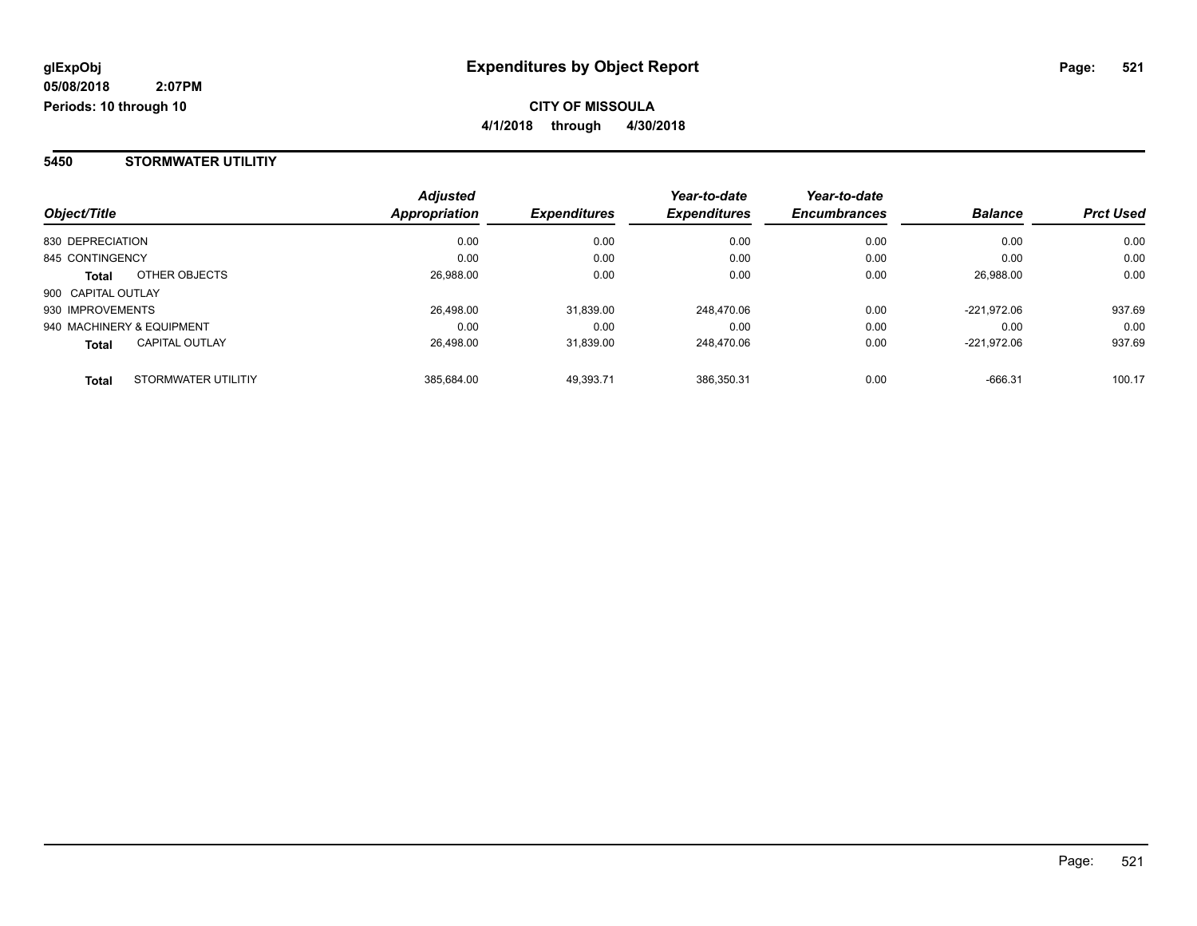### **5450 STORMWATER UTILITIY**

| Object/Title                        | <b>Adjusted</b><br>Appropriation | <b>Expenditures</b> | Year-to-date<br><b>Expenditures</b> | Year-to-date<br><b>Encumbrances</b> | <b>Balance</b> | <b>Prct Used</b> |
|-------------------------------------|----------------------------------|---------------------|-------------------------------------|-------------------------------------|----------------|------------------|
| 830 DEPRECIATION                    | 0.00                             | 0.00                | 0.00                                | 0.00                                | 0.00           | 0.00             |
| 845 CONTINGENCY                     | 0.00                             | 0.00                | 0.00                                | 0.00                                | 0.00           | 0.00             |
| OTHER OBJECTS<br>Total              | 26,988.00                        | 0.00                | 0.00                                | 0.00                                | 26,988.00      | 0.00             |
| 900 CAPITAL OUTLAY                  |                                  |                     |                                     |                                     |                |                  |
| 930 IMPROVEMENTS                    | 26,498.00                        | 31,839.00           | 248.470.06                          | 0.00                                | -221.972.06    | 937.69           |
| 940 MACHINERY & EQUIPMENT           | 0.00                             | 0.00                | 0.00                                | 0.00                                | 0.00           | 0.00             |
| CAPITAL OUTLAY<br><b>Total</b>      | 26.498.00                        | 31.839.00           | 248.470.06                          | 0.00                                | $-221.972.06$  | 937.69           |
| STORMWATER UTILITIY<br><b>Total</b> | 385.684.00                       | 49.393.71           | 386.350.31                          | 0.00                                | $-666.31$      | 100.17           |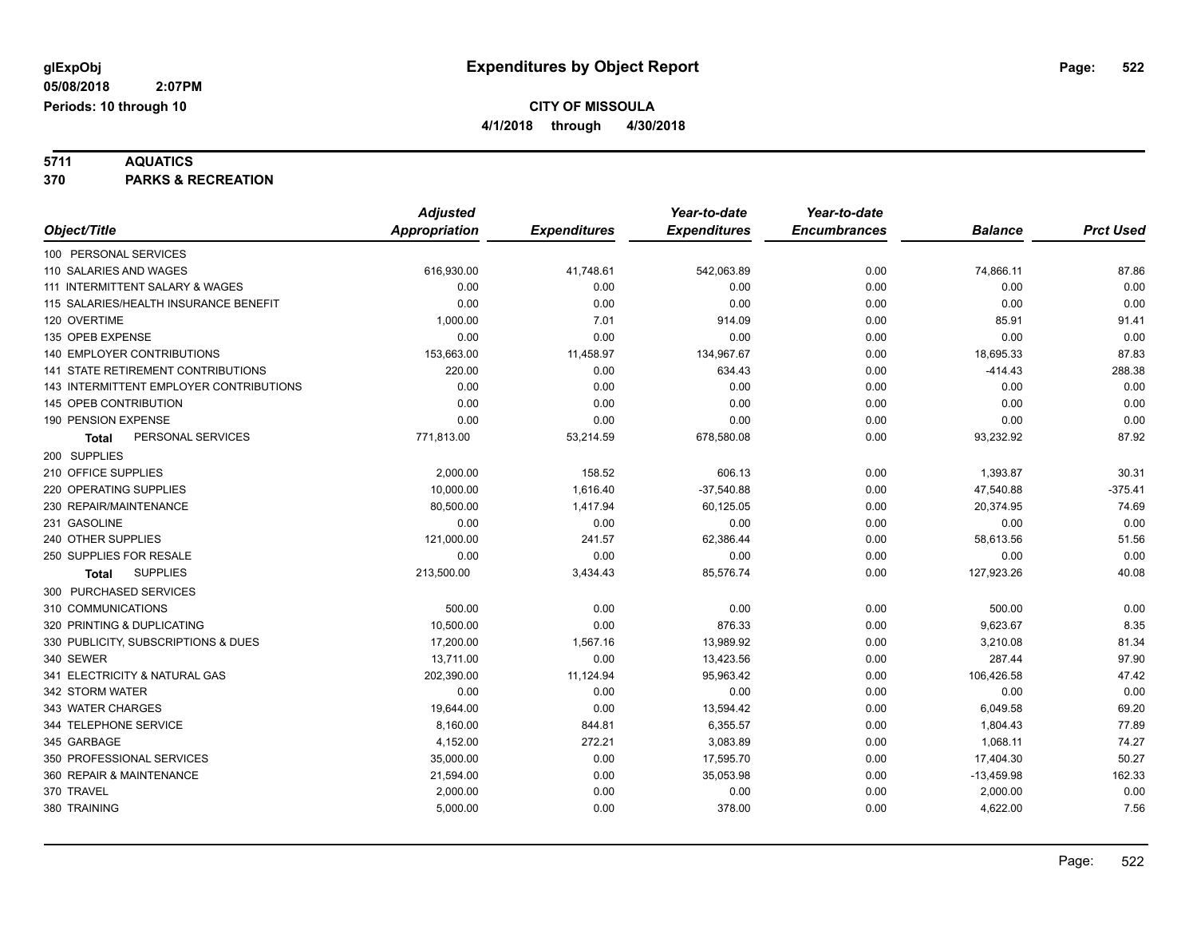**5711 AQUATICS 370 PARKS & RECREATION**

|                                           | <b>Adjusted</b>      |                     | Year-to-date        | Year-to-date        |                |                  |
|-------------------------------------------|----------------------|---------------------|---------------------|---------------------|----------------|------------------|
| Object/Title                              | <b>Appropriation</b> | <b>Expenditures</b> | <b>Expenditures</b> | <b>Encumbrances</b> | <b>Balance</b> | <b>Prct Used</b> |
| 100 PERSONAL SERVICES                     |                      |                     |                     |                     |                |                  |
| 110 SALARIES AND WAGES                    | 616,930.00           | 41,748.61           | 542,063.89          | 0.00                | 74,866.11      | 87.86            |
| 111 INTERMITTENT SALARY & WAGES           | 0.00                 | 0.00                | 0.00                | 0.00                | 0.00           | 0.00             |
| 115 SALARIES/HEALTH INSURANCE BENEFIT     | 0.00                 | 0.00                | 0.00                | 0.00                | 0.00           | 0.00             |
| 120 OVERTIME                              | 1,000.00             | 7.01                | 914.09              | 0.00                | 85.91          | 91.41            |
| 135 OPEB EXPENSE                          | 0.00                 | 0.00                | 0.00                | 0.00                | 0.00           | 0.00             |
| <b>140 EMPLOYER CONTRIBUTIONS</b>         | 153,663.00           | 11,458.97           | 134,967.67          | 0.00                | 18,695.33      | 87.83            |
| <b>141 STATE RETIREMENT CONTRIBUTIONS</b> | 220.00               | 0.00                | 634.43              | 0.00                | $-414.43$      | 288.38           |
| 143 INTERMITTENT EMPLOYER CONTRIBUTIONS   | 0.00                 | 0.00                | 0.00                | 0.00                | 0.00           | 0.00             |
| 145 OPEB CONTRIBUTION                     | 0.00                 | 0.00                | 0.00                | 0.00                | 0.00           | 0.00             |
| 190 PENSION EXPENSE                       | 0.00                 | 0.00                | 0.00                | 0.00                | 0.00           | 0.00             |
| PERSONAL SERVICES<br>Total                | 771,813.00           | 53,214.59           | 678,580.08          | 0.00                | 93,232.92      | 87.92            |
| 200 SUPPLIES                              |                      |                     |                     |                     |                |                  |
| 210 OFFICE SUPPLIES                       | 2,000.00             | 158.52              | 606.13              | 0.00                | 1,393.87       | 30.31            |
| 220 OPERATING SUPPLIES                    | 10,000.00            | 1,616.40            | $-37,540.88$        | 0.00                | 47,540.88      | $-375.41$        |
| 230 REPAIR/MAINTENANCE                    | 80,500.00            | 1,417.94            | 60,125.05           | 0.00                | 20,374.95      | 74.69            |
| 231 GASOLINE                              | 0.00                 | 0.00                | 0.00                | 0.00                | 0.00           | 0.00             |
| 240 OTHER SUPPLIES                        | 121,000.00           | 241.57              | 62,386.44           | 0.00                | 58,613.56      | 51.56            |
| 250 SUPPLIES FOR RESALE                   | 0.00                 | 0.00                | 0.00                | 0.00                | 0.00           | 0.00             |
| <b>SUPPLIES</b><br><b>Total</b>           | 213,500.00           | 3,434.43            | 85,576.74           | 0.00                | 127,923.26     | 40.08            |
| 300 PURCHASED SERVICES                    |                      |                     |                     |                     |                |                  |
| 310 COMMUNICATIONS                        | 500.00               | 0.00                | 0.00                | 0.00                | 500.00         | 0.00             |
| 320 PRINTING & DUPLICATING                | 10,500.00            | 0.00                | 876.33              | 0.00                | 9,623.67       | 8.35             |
| 330 PUBLICITY, SUBSCRIPTIONS & DUES       | 17,200.00            | 1,567.16            | 13,989.92           | 0.00                | 3,210.08       | 81.34            |
| 340 SEWER                                 | 13,711.00            | 0.00                | 13,423.56           | 0.00                | 287.44         | 97.90            |
| 341 ELECTRICITY & NATURAL GAS             | 202,390.00           | 11,124.94           | 95,963.42           | 0.00                | 106,426.58     | 47.42            |
| 342 STORM WATER                           | 0.00                 | 0.00                | 0.00                | 0.00                | 0.00           | 0.00             |
| 343 WATER CHARGES                         | 19,644.00            | 0.00                | 13,594.42           | 0.00                | 6,049.58       | 69.20            |
| 344 TELEPHONE SERVICE                     | 8,160.00             | 844.81              | 6,355.57            | 0.00                | 1,804.43       | 77.89            |
| 345 GARBAGE                               | 4,152.00             | 272.21              | 3,083.89            | 0.00                | 1,068.11       | 74.27            |
| 350 PROFESSIONAL SERVICES                 | 35,000.00            | 0.00                | 17,595.70           | 0.00                | 17,404.30      | 50.27            |
| 360 REPAIR & MAINTENANCE                  | 21,594.00            | 0.00                | 35,053.98           | 0.00                | $-13,459.98$   | 162.33           |
| 370 TRAVEL                                | 2,000.00             | 0.00                | 0.00                | 0.00                | 2,000.00       | 0.00             |
| 380 TRAINING                              | 5,000.00             | 0.00                | 378.00              | 0.00                | 4,622.00       | 7.56             |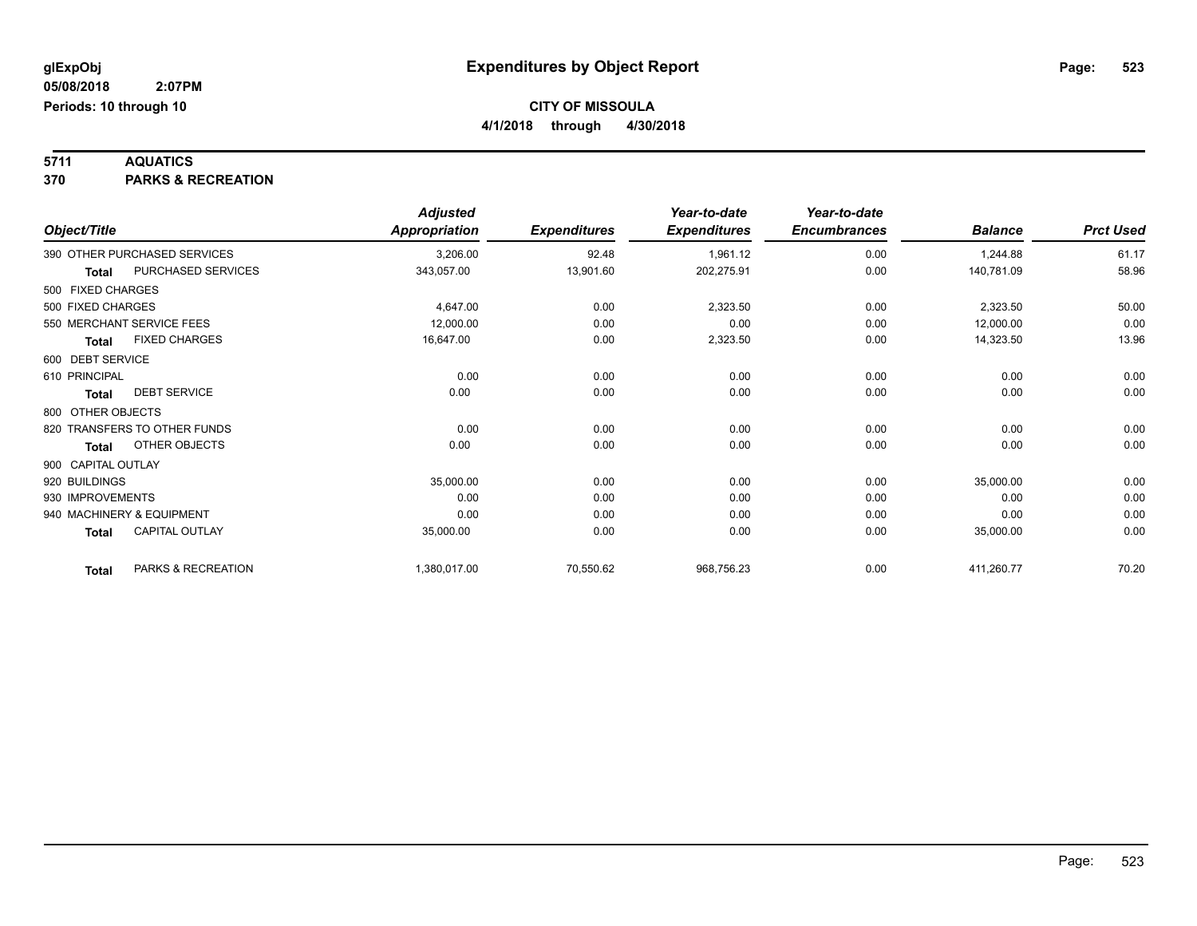**5711 AQUATICS 370 PARKS & RECREATION**

|                           |                              | <b>Adjusted</b> |                     | Year-to-date        | Year-to-date        |                |                  |
|---------------------------|------------------------------|-----------------|---------------------|---------------------|---------------------|----------------|------------------|
| Object/Title              |                              | Appropriation   | <b>Expenditures</b> | <b>Expenditures</b> | <b>Encumbrances</b> | <b>Balance</b> | <b>Prct Used</b> |
|                           | 390 OTHER PURCHASED SERVICES | 3,206.00        | 92.48               | 1,961.12            | 0.00                | 1,244.88       | 61.17            |
| <b>Total</b>              | PURCHASED SERVICES           | 343,057.00      | 13,901.60           | 202,275.91          | 0.00                | 140,781.09     | 58.96            |
| 500 FIXED CHARGES         |                              |                 |                     |                     |                     |                |                  |
| 500 FIXED CHARGES         |                              | 4,647.00        | 0.00                | 2,323.50            | 0.00                | 2,323.50       | 50.00            |
| 550 MERCHANT SERVICE FEES |                              | 12,000.00       | 0.00                | 0.00                | 0.00                | 12,000.00      | 0.00             |
| <b>Total</b>              | <b>FIXED CHARGES</b>         | 16,647.00       | 0.00                | 2,323.50            | 0.00                | 14,323.50      | 13.96            |
| 600 DEBT SERVICE          |                              |                 |                     |                     |                     |                |                  |
| 610 PRINCIPAL             |                              | 0.00            | 0.00                | 0.00                | 0.00                | 0.00           | 0.00             |
| <b>Total</b>              | <b>DEBT SERVICE</b>          | 0.00            | 0.00                | 0.00                | 0.00                | 0.00           | 0.00             |
| 800 OTHER OBJECTS         |                              |                 |                     |                     |                     |                |                  |
|                           | 820 TRANSFERS TO OTHER FUNDS | 0.00            | 0.00                | 0.00                | 0.00                | 0.00           | 0.00             |
| <b>Total</b>              | OTHER OBJECTS                | 0.00            | 0.00                | 0.00                | 0.00                | 0.00           | 0.00             |
| 900 CAPITAL OUTLAY        |                              |                 |                     |                     |                     |                |                  |
| 920 BUILDINGS             |                              | 35,000.00       | 0.00                | 0.00                | 0.00                | 35,000.00      | 0.00             |
| 930 IMPROVEMENTS          |                              | 0.00            | 0.00                | 0.00                | 0.00                | 0.00           | 0.00             |
| 940 MACHINERY & EQUIPMENT |                              | 0.00            | 0.00                | 0.00                | 0.00                | 0.00           | 0.00             |
| <b>Total</b>              | <b>CAPITAL OUTLAY</b>        | 35,000.00       | 0.00                | 0.00                | 0.00                | 35,000.00      | 0.00             |
| <b>Total</b>              | PARKS & RECREATION           | 1,380,017.00    | 70,550.62           | 968,756.23          | 0.00                | 411,260.77     | 70.20            |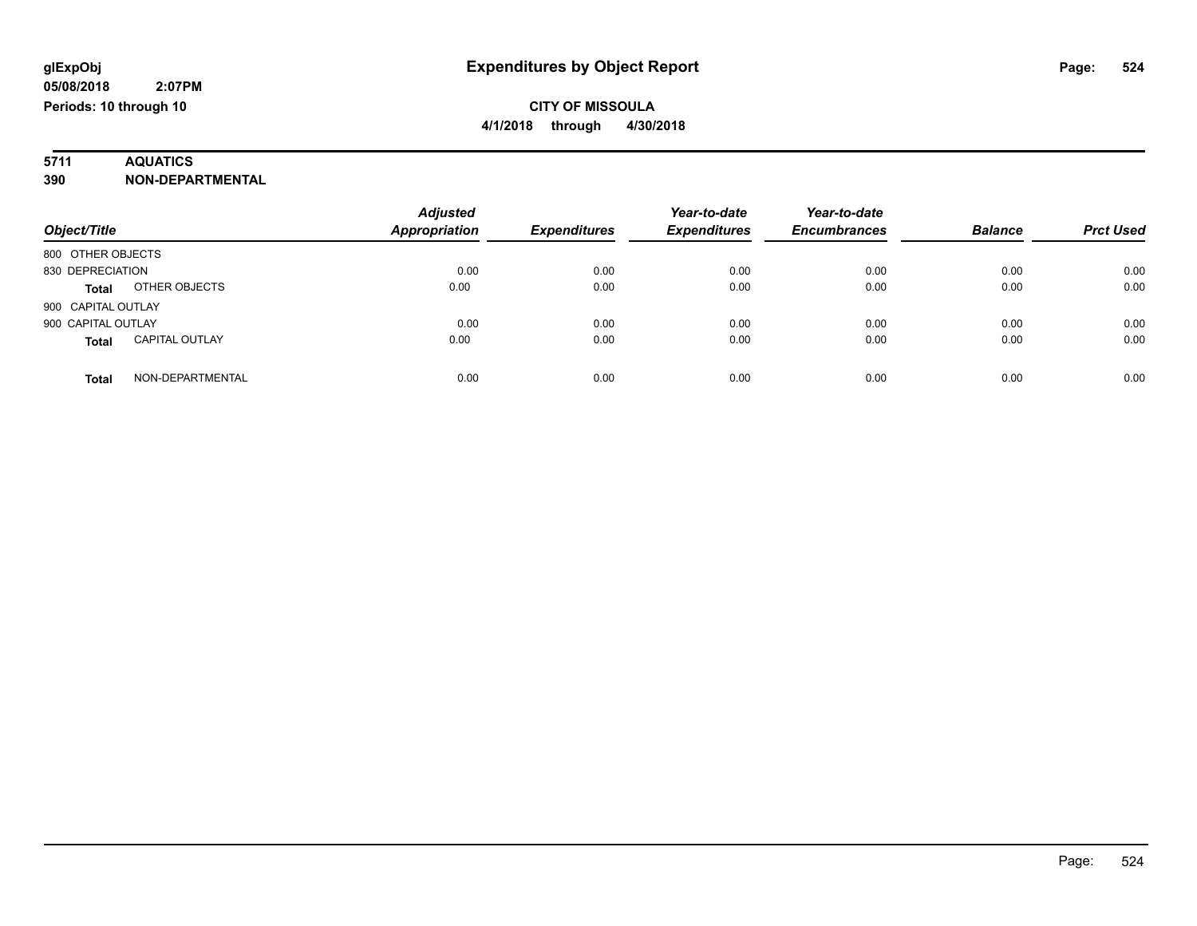# **5711 AQUATICS**

**390 NON-DEPARTMENTAL**

| Object/Title                          | <b>Adjusted</b><br><b>Appropriation</b> | <b>Expenditures</b> | Year-to-date<br><b>Expenditures</b> | Year-to-date<br><b>Encumbrances</b> | <b>Balance</b> | <b>Prct Used</b> |
|---------------------------------------|-----------------------------------------|---------------------|-------------------------------------|-------------------------------------|----------------|------------------|
| 800 OTHER OBJECTS                     |                                         |                     |                                     |                                     |                |                  |
| 830 DEPRECIATION                      | 0.00                                    | 0.00                | 0.00                                | 0.00                                | 0.00           | 0.00             |
| OTHER OBJECTS<br><b>Total</b>         | 0.00                                    | 0.00                | 0.00                                | 0.00                                | 0.00           | 0.00             |
| 900 CAPITAL OUTLAY                    |                                         |                     |                                     |                                     |                |                  |
| 900 CAPITAL OUTLAY                    | 0.00                                    | 0.00                | 0.00                                | 0.00                                | 0.00           | 0.00             |
| <b>CAPITAL OUTLAY</b><br><b>Total</b> | 0.00                                    | 0.00                | 0.00                                | 0.00                                | 0.00           | 0.00             |
| NON-DEPARTMENTAL<br>Total             | 0.00                                    | 0.00                | 0.00                                | 0.00                                | 0.00           | 0.00             |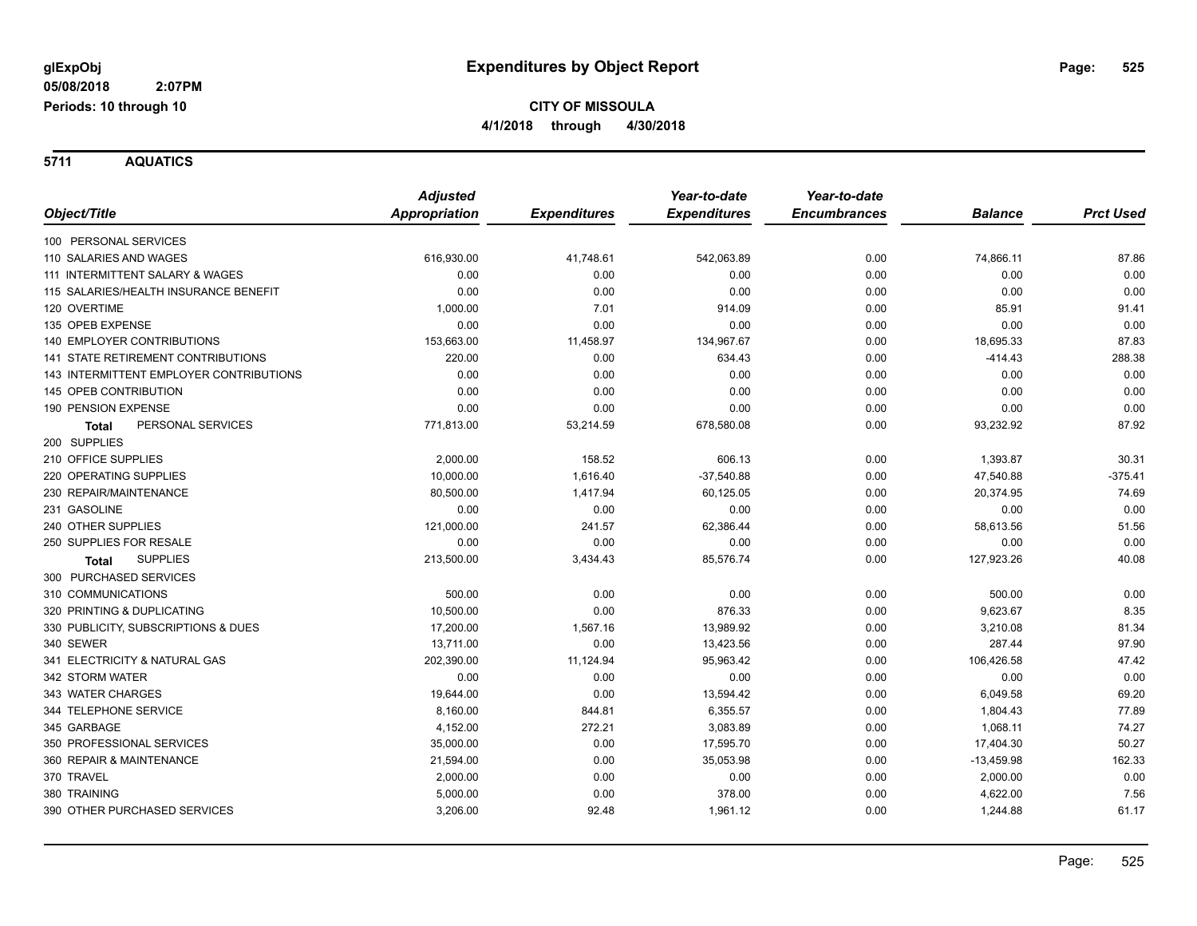**5711 AQUATICS**

|                                           | <b>Adjusted</b>      |                     | Year-to-date        | Year-to-date        |                |                  |
|-------------------------------------------|----------------------|---------------------|---------------------|---------------------|----------------|------------------|
| Object/Title                              | <b>Appropriation</b> | <b>Expenditures</b> | <b>Expenditures</b> | <b>Encumbrances</b> | <b>Balance</b> | <b>Prct Used</b> |
| 100 PERSONAL SERVICES                     |                      |                     |                     |                     |                |                  |
| 110 SALARIES AND WAGES                    | 616,930.00           | 41,748.61           | 542,063.89          | 0.00                | 74,866.11      | 87.86            |
| 111 INTERMITTENT SALARY & WAGES           | 0.00                 | 0.00                | 0.00                | 0.00                | 0.00           | 0.00             |
| 115 SALARIES/HEALTH INSURANCE BENEFIT     | 0.00                 | 0.00                | 0.00                | 0.00                | 0.00           | 0.00             |
| 120 OVERTIME                              | 1,000.00             | 7.01                | 914.09              | 0.00                | 85.91          | 91.41            |
| 135 OPEB EXPENSE                          | 0.00                 | 0.00                | 0.00                | 0.00                | 0.00           | 0.00             |
| <b>140 EMPLOYER CONTRIBUTIONS</b>         | 153,663.00           | 11,458.97           | 134,967.67          | 0.00                | 18,695.33      | 87.83            |
| <b>141 STATE RETIREMENT CONTRIBUTIONS</b> | 220.00               | 0.00                | 634.43              | 0.00                | $-414.43$      | 288.38           |
| 143 INTERMITTENT EMPLOYER CONTRIBUTIONS   | 0.00                 | 0.00                | 0.00                | 0.00                | 0.00           | 0.00             |
| 145 OPEB CONTRIBUTION                     | 0.00                 | 0.00                | 0.00                | 0.00                | 0.00           | 0.00             |
| 190 PENSION EXPENSE                       | 0.00                 | 0.00                | 0.00                | 0.00                | 0.00           | 0.00             |
| PERSONAL SERVICES<br>Total                | 771,813.00           | 53,214.59           | 678,580.08          | 0.00                | 93,232.92      | 87.92            |
| 200 SUPPLIES                              |                      |                     |                     |                     |                |                  |
| 210 OFFICE SUPPLIES                       | 2,000.00             | 158.52              | 606.13              | 0.00                | 1,393.87       | 30.31            |
| 220 OPERATING SUPPLIES                    | 10,000.00            | 1,616.40            | $-37,540.88$        | 0.00                | 47,540.88      | $-375.41$        |
| 230 REPAIR/MAINTENANCE                    | 80,500.00            | 1,417.94            | 60,125.05           | 0.00                | 20,374.95      | 74.69            |
| 231 GASOLINE                              | 0.00                 | 0.00                | 0.00                | 0.00                | 0.00           | 0.00             |
| 240 OTHER SUPPLIES                        | 121,000.00           | 241.57              | 62,386.44           | 0.00                | 58,613.56      | 51.56            |
| 250 SUPPLIES FOR RESALE                   | 0.00                 | 0.00                | 0.00                | 0.00                | 0.00           | 0.00             |
| <b>SUPPLIES</b><br>Total                  | 213,500.00           | 3,434.43            | 85,576.74           | 0.00                | 127,923.26     | 40.08            |
| 300 PURCHASED SERVICES                    |                      |                     |                     |                     |                |                  |
| 310 COMMUNICATIONS                        | 500.00               | 0.00                | 0.00                | 0.00                | 500.00         | 0.00             |
| 320 PRINTING & DUPLICATING                | 10,500.00            | 0.00                | 876.33              | 0.00                | 9,623.67       | 8.35             |
| 330 PUBLICITY, SUBSCRIPTIONS & DUES       | 17,200.00            | 1,567.16            | 13,989.92           | 0.00                | 3,210.08       | 81.34            |
| 340 SEWER                                 | 13,711.00            | 0.00                | 13,423.56           | 0.00                | 287.44         | 97.90            |
| 341 ELECTRICITY & NATURAL GAS             | 202,390.00           | 11,124.94           | 95,963.42           | 0.00                | 106,426.58     | 47.42            |
| 342 STORM WATER                           | 0.00                 | 0.00                | 0.00                | 0.00                | 0.00           | 0.00             |
| 343 WATER CHARGES                         | 19,644.00            | 0.00                | 13,594.42           | 0.00                | 6,049.58       | 69.20            |
| 344 TELEPHONE SERVICE                     | 8,160.00             | 844.81              | 6,355.57            | 0.00                | 1,804.43       | 77.89            |
| 345 GARBAGE                               | 4,152.00             | 272.21              | 3,083.89            | 0.00                | 1,068.11       | 74.27            |
| 350 PROFESSIONAL SERVICES                 | 35,000.00            | 0.00                | 17,595.70           | 0.00                | 17,404.30      | 50.27            |
| 360 REPAIR & MAINTENANCE                  | 21,594.00            | 0.00                | 35,053.98           | 0.00                | $-13,459.98$   | 162.33           |
| 370 TRAVEL                                | 2,000.00             | 0.00                | 0.00                | 0.00                | 2,000.00       | 0.00             |
| 380 TRAINING                              | 5,000.00             | 0.00                | 378.00              | 0.00                | 4,622.00       | 7.56             |
| 390 OTHER PURCHASED SERVICES              | 3,206.00             | 92.48               | 1,961.12            | 0.00                | 1,244.88       | 61.17            |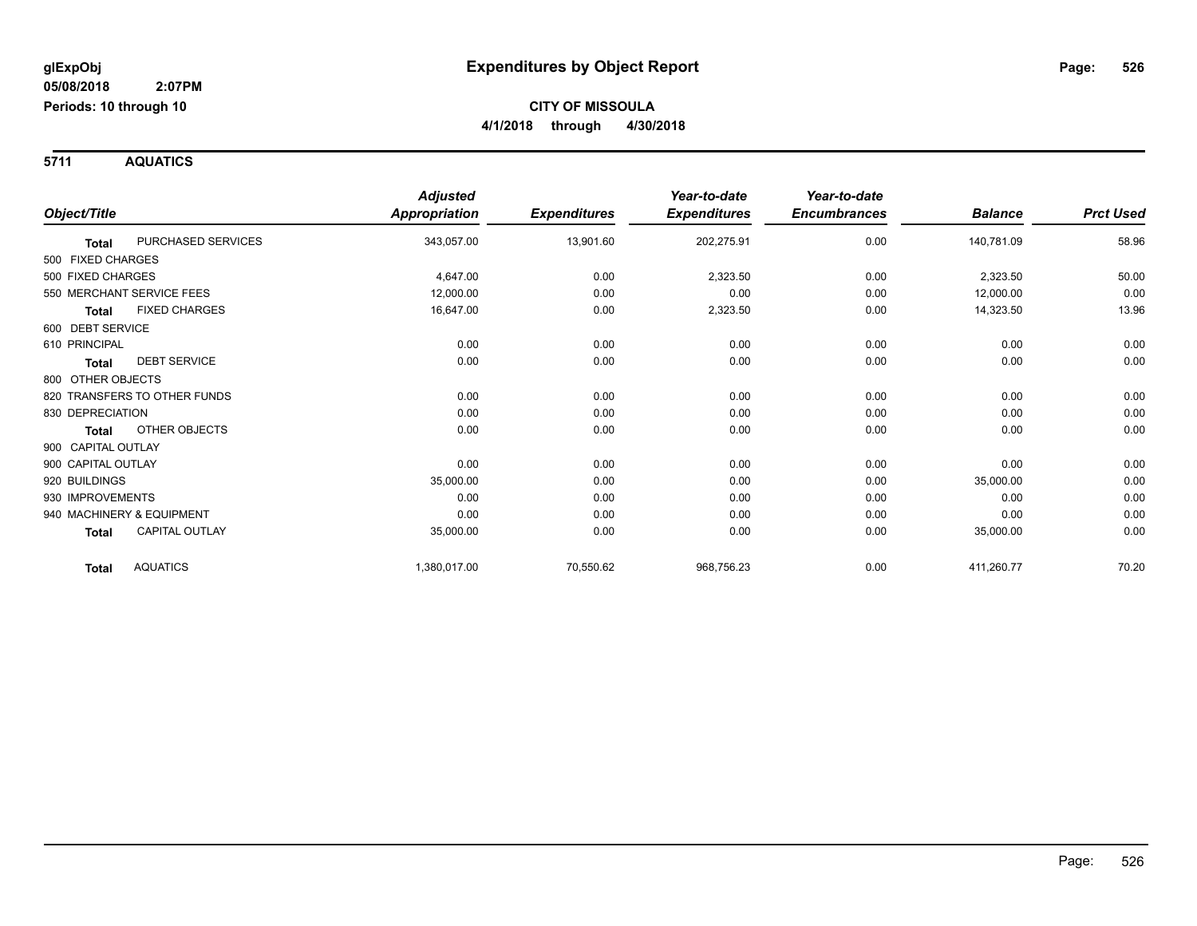**5711 AQUATICS**

|                                       | <b>Adjusted</b> |                     | Year-to-date        | Year-to-date        |                |                  |
|---------------------------------------|-----------------|---------------------|---------------------|---------------------|----------------|------------------|
| Object/Title                          | Appropriation   | <b>Expenditures</b> | <b>Expenditures</b> | <b>Encumbrances</b> | <b>Balance</b> | <b>Prct Used</b> |
| PURCHASED SERVICES<br><b>Total</b>    | 343,057.00      | 13,901.60           | 202,275.91          | 0.00                | 140,781.09     | 58.96            |
| 500 FIXED CHARGES                     |                 |                     |                     |                     |                |                  |
| 500 FIXED CHARGES                     | 4,647.00        | 0.00                | 2,323.50            | 0.00                | 2,323.50       | 50.00            |
| 550 MERCHANT SERVICE FEES             | 12,000.00       | 0.00                | 0.00                | 0.00                | 12,000.00      | 0.00             |
| <b>FIXED CHARGES</b><br><b>Total</b>  | 16,647.00       | 0.00                | 2,323.50            | 0.00                | 14,323.50      | 13.96            |
| 600 DEBT SERVICE                      |                 |                     |                     |                     |                |                  |
| 610 PRINCIPAL                         | 0.00            | 0.00                | 0.00                | 0.00                | 0.00           | 0.00             |
| <b>DEBT SERVICE</b><br><b>Total</b>   | 0.00            | 0.00                | 0.00                | 0.00                | 0.00           | 0.00             |
| 800 OTHER OBJECTS                     |                 |                     |                     |                     |                |                  |
| 820 TRANSFERS TO OTHER FUNDS          | 0.00            | 0.00                | 0.00                | 0.00                | 0.00           | 0.00             |
| 830 DEPRECIATION                      | 0.00            | 0.00                | 0.00                | 0.00                | 0.00           | 0.00             |
| OTHER OBJECTS<br><b>Total</b>         | 0.00            | 0.00                | 0.00                | 0.00                | 0.00           | 0.00             |
| 900 CAPITAL OUTLAY                    |                 |                     |                     |                     |                |                  |
| 900 CAPITAL OUTLAY                    | 0.00            | 0.00                | 0.00                | 0.00                | 0.00           | 0.00             |
| 920 BUILDINGS                         | 35,000.00       | 0.00                | 0.00                | 0.00                | 35,000.00      | 0.00             |
| 930 IMPROVEMENTS                      | 0.00            | 0.00                | 0.00                | 0.00                | 0.00           | 0.00             |
| 940 MACHINERY & EQUIPMENT             | 0.00            | 0.00                | 0.00                | 0.00                | 0.00           | 0.00             |
| <b>CAPITAL OUTLAY</b><br><b>Total</b> | 35,000.00       | 0.00                | 0.00                | 0.00                | 35,000.00      | 0.00             |
| <b>AQUATICS</b><br><b>Total</b>       | 1,380,017.00    | 70,550.62           | 968,756.23          | 0.00                | 411,260.77     | 70.20            |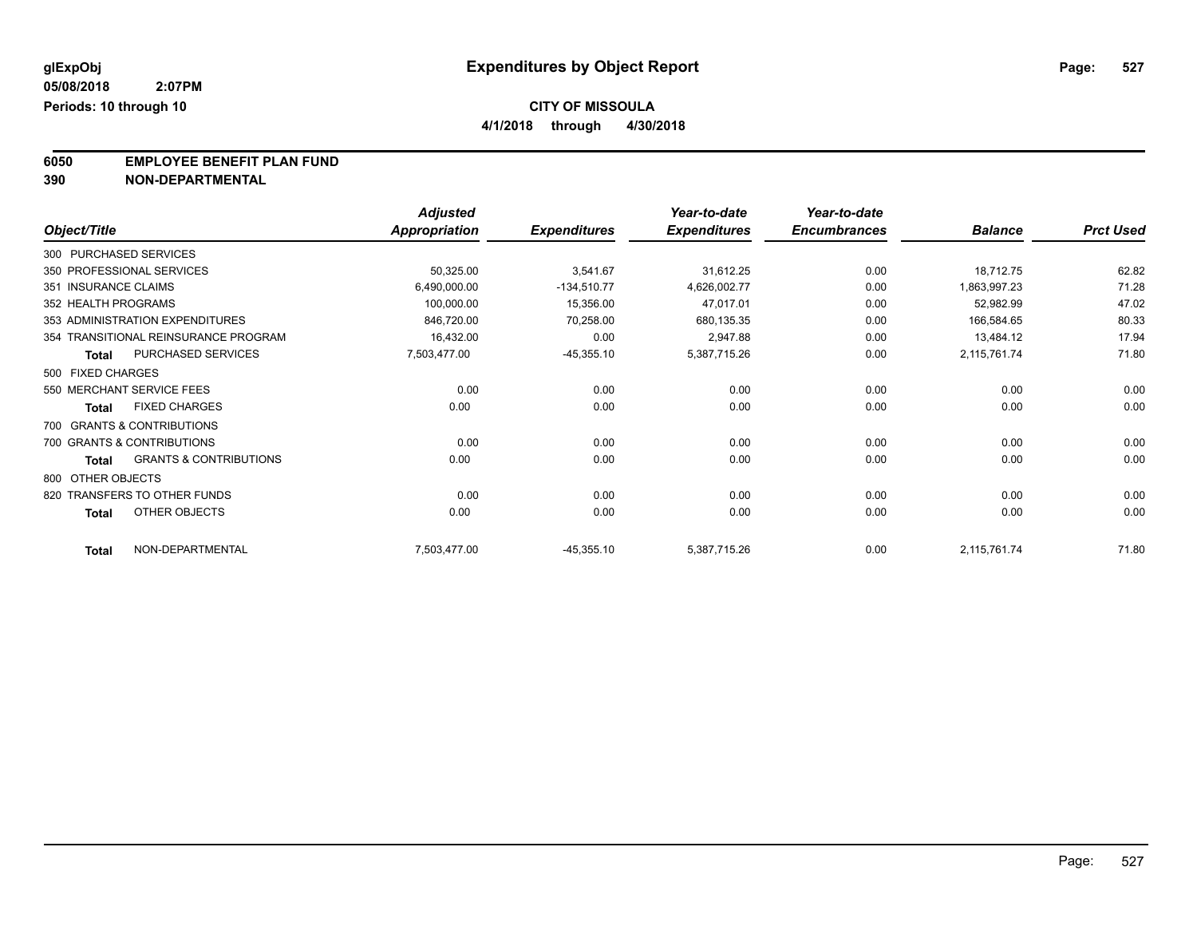## **CITY OF MISSOULA**

**4/1/2018 through 4/30/2018**

**6050 EMPLOYEE BENEFIT PLAN FUND**<br>390 NON-DEPARTMENTAL

**390 NON-DEPARTMENTAL**

|                        |                                      | <b>Adjusted</b>      |                     | Year-to-date        | Year-to-date        |                |                  |
|------------------------|--------------------------------------|----------------------|---------------------|---------------------|---------------------|----------------|------------------|
| Object/Title           |                                      | <b>Appropriation</b> | <b>Expenditures</b> | <b>Expenditures</b> | <b>Encumbrances</b> | <b>Balance</b> | <b>Prct Used</b> |
| 300 PURCHASED SERVICES |                                      |                      |                     |                     |                     |                |                  |
|                        | 350 PROFESSIONAL SERVICES            | 50,325.00            | 3,541.67            | 31,612.25           | 0.00                | 18,712.75      | 62.82            |
| 351 INSURANCE CLAIMS   |                                      | 6,490,000.00         | $-134,510.77$       | 4,626,002.77        | 0.00                | 1,863,997.23   | 71.28            |
| 352 HEALTH PROGRAMS    |                                      | 100,000.00           | 15,356.00           | 47,017.01           | 0.00                | 52,982.99      | 47.02            |
|                        | 353 ADMINISTRATION EXPENDITURES      | 846,720.00           | 70,258.00           | 680,135.35          | 0.00                | 166,584.65     | 80.33            |
|                        | 354 TRANSITIONAL REINSURANCE PROGRAM | 16,432.00            | 0.00                | 2,947.88            | 0.00                | 13,484.12      | 17.94            |
| Total                  | PURCHASED SERVICES                   | 7,503,477.00         | $-45,355.10$        | 5,387,715.26        | 0.00                | 2,115,761.74   | 71.80            |
| 500 FIXED CHARGES      |                                      |                      |                     |                     |                     |                |                  |
|                        | 550 MERCHANT SERVICE FEES            | 0.00                 | 0.00                | 0.00                | 0.00                | 0.00           | 0.00             |
| <b>Total</b>           | <b>FIXED CHARGES</b>                 | 0.00                 | 0.00                | 0.00                | 0.00                | 0.00           | 0.00             |
|                        | 700 GRANTS & CONTRIBUTIONS           |                      |                     |                     |                     |                |                  |
|                        | 700 GRANTS & CONTRIBUTIONS           | 0.00                 | 0.00                | 0.00                | 0.00                | 0.00           | 0.00             |
| Total                  | <b>GRANTS &amp; CONTRIBUTIONS</b>    | 0.00                 | 0.00                | 0.00                | 0.00                | 0.00           | 0.00             |
| 800 OTHER OBJECTS      |                                      |                      |                     |                     |                     |                |                  |
|                        | 820 TRANSFERS TO OTHER FUNDS         | 0.00                 | 0.00                | 0.00                | 0.00                | 0.00           | 0.00             |
| <b>Total</b>           | OTHER OBJECTS                        | 0.00                 | 0.00                | 0.00                | 0.00                | 0.00           | 0.00             |
| <b>Total</b>           | NON-DEPARTMENTAL                     | 7,503,477.00         | $-45,355.10$        | 5,387,715.26        | 0.00                | 2,115,761.74   | 71.80            |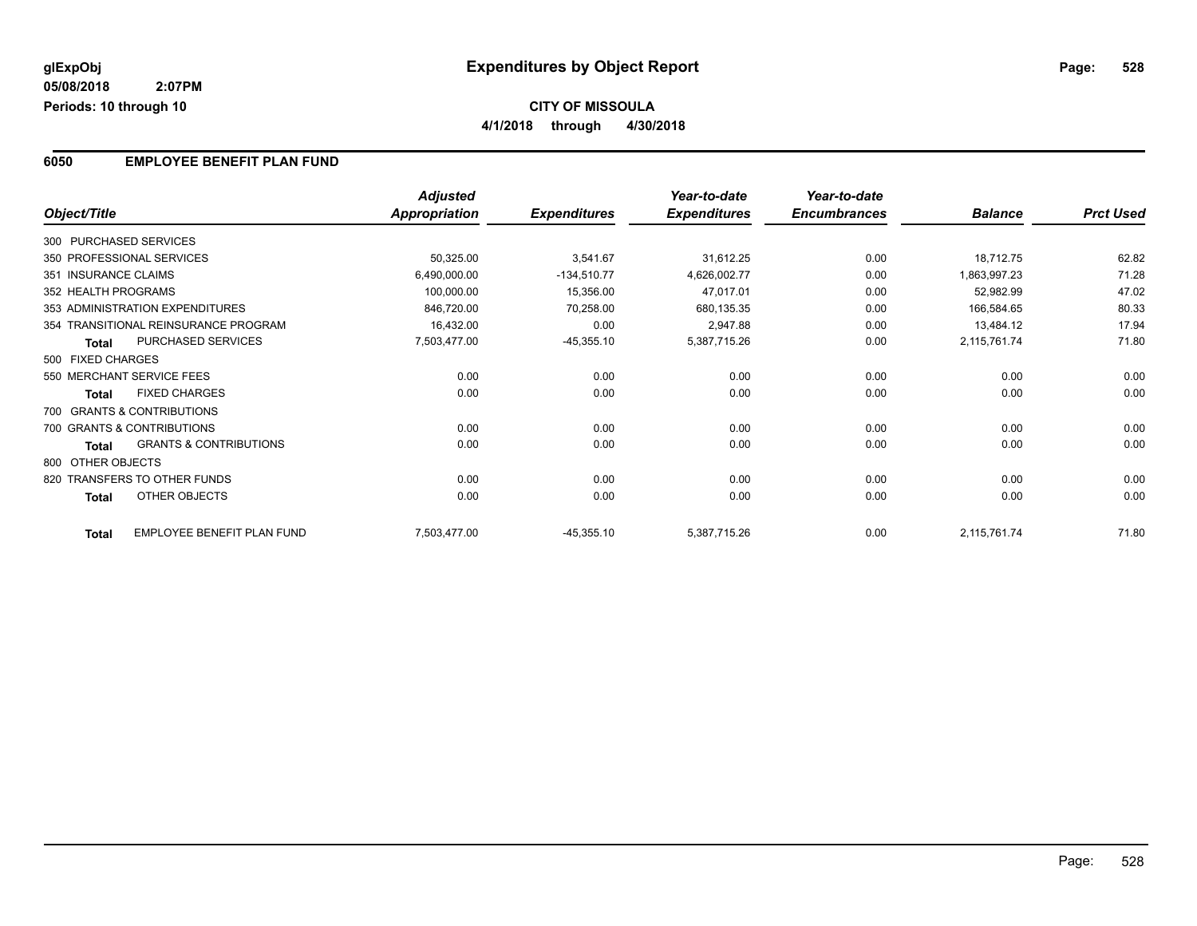### **6050 EMPLOYEE BENEFIT PLAN FUND**

|                      |                                      | <b>Adjusted</b>      |                     | Year-to-date        | Year-to-date        |                |                  |
|----------------------|--------------------------------------|----------------------|---------------------|---------------------|---------------------|----------------|------------------|
| Object/Title         |                                      | <b>Appropriation</b> | <b>Expenditures</b> | <b>Expenditures</b> | <b>Encumbrances</b> | <b>Balance</b> | <b>Prct Used</b> |
|                      | 300 PURCHASED SERVICES               |                      |                     |                     |                     |                |                  |
|                      | 350 PROFESSIONAL SERVICES            | 50,325.00            | 3,541.67            | 31,612.25           | 0.00                | 18,712.75      | 62.82            |
| 351 INSURANCE CLAIMS |                                      | 6,490,000.00         | $-134,510.77$       | 4,626,002.77        | 0.00                | 1,863,997.23   | 71.28            |
| 352 HEALTH PROGRAMS  |                                      | 100,000.00           | 15,356.00           | 47,017.01           | 0.00                | 52,982.99      | 47.02            |
|                      | 353 ADMINISTRATION EXPENDITURES      | 846,720.00           | 70,258.00           | 680,135.35          | 0.00                | 166,584.65     | 80.33            |
|                      | 354 TRANSITIONAL REINSURANCE PROGRAM | 16,432.00            | 0.00                | 2,947.88            | 0.00                | 13,484.12      | 17.94            |
| <b>Total</b>         | PURCHASED SERVICES                   | 7,503,477.00         | $-45,355.10$        | 5,387,715.26        | 0.00                | 2,115,761.74   | 71.80            |
| 500 FIXED CHARGES    |                                      |                      |                     |                     |                     |                |                  |
|                      | 550 MERCHANT SERVICE FEES            | 0.00                 | 0.00                | 0.00                | 0.00                | 0.00           | 0.00             |
| <b>Total</b>         | <b>FIXED CHARGES</b>                 | 0.00                 | 0.00                | 0.00                | 0.00                | 0.00           | 0.00             |
|                      | 700 GRANTS & CONTRIBUTIONS           |                      |                     |                     |                     |                |                  |
|                      | 700 GRANTS & CONTRIBUTIONS           | 0.00                 | 0.00                | 0.00                | 0.00                | 0.00           | 0.00             |
| Total                | <b>GRANTS &amp; CONTRIBUTIONS</b>    | 0.00                 | 0.00                | 0.00                | 0.00                | 0.00           | 0.00             |
| 800 OTHER OBJECTS    |                                      |                      |                     |                     |                     |                |                  |
|                      | 820 TRANSFERS TO OTHER FUNDS         | 0.00                 | 0.00                | 0.00                | 0.00                | 0.00           | 0.00             |
| <b>Total</b>         | OTHER OBJECTS                        | 0.00                 | 0.00                | 0.00                | 0.00                | 0.00           | 0.00             |
| <b>Total</b>         | EMPLOYEE BENEFIT PLAN FUND           | 7,503,477.00         | $-45,355.10$        | 5,387,715.26        | 0.00                | 2,115,761.74   | 71.80            |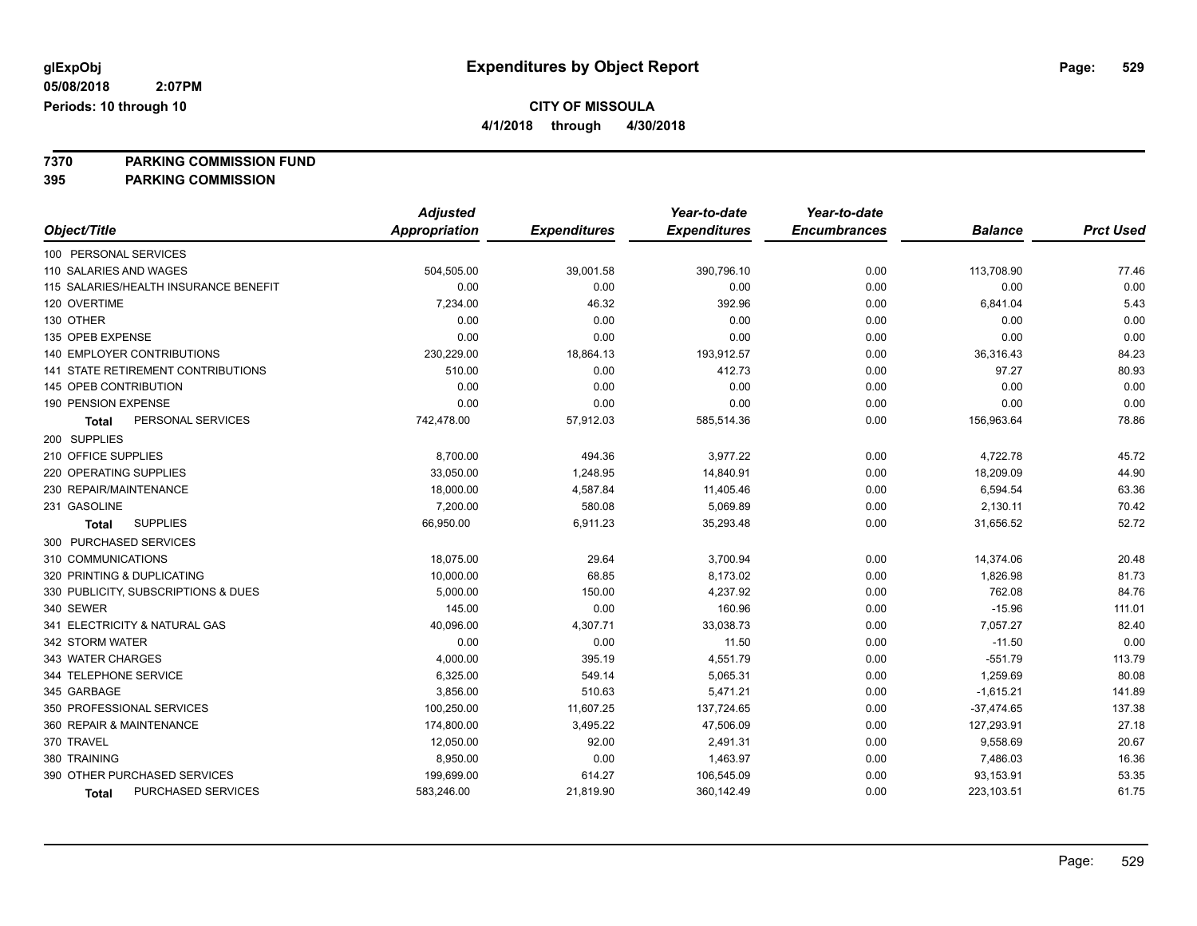## **CITY OF MISSOULA**

**4/1/2018 through 4/30/2018**

**7370 PARKING COMMISSION FUND**

**395 PARKING COMMISSION**

|                                           | <b>Adjusted</b>      |                     | Year-to-date        | Year-to-date        |                |                  |
|-------------------------------------------|----------------------|---------------------|---------------------|---------------------|----------------|------------------|
| Object/Title                              | <b>Appropriation</b> | <b>Expenditures</b> | <b>Expenditures</b> | <b>Encumbrances</b> | <b>Balance</b> | <b>Prct Used</b> |
| 100 PERSONAL SERVICES                     |                      |                     |                     |                     |                |                  |
| 110 SALARIES AND WAGES                    | 504,505.00           | 39,001.58           | 390,796.10          | 0.00                | 113,708.90     | 77.46            |
| 115 SALARIES/HEALTH INSURANCE BENEFIT     | 0.00                 | 0.00                | 0.00                | 0.00                | 0.00           | 0.00             |
| 120 OVERTIME                              | 7,234.00             | 46.32               | 392.96              | 0.00                | 6,841.04       | 5.43             |
| 130 OTHER                                 | 0.00                 | 0.00                | 0.00                | 0.00                | 0.00           | 0.00             |
| 135 OPEB EXPENSE                          | 0.00                 | 0.00                | 0.00                | 0.00                | 0.00           | 0.00             |
| 140 EMPLOYER CONTRIBUTIONS                | 230,229.00           | 18,864.13           | 193,912.57          | 0.00                | 36,316.43      | 84.23            |
| <b>141 STATE RETIREMENT CONTRIBUTIONS</b> | 510.00               | 0.00                | 412.73              | 0.00                | 97.27          | 80.93            |
| <b>145 OPEB CONTRIBUTION</b>              | 0.00                 | 0.00                | 0.00                | 0.00                | 0.00           | 0.00             |
| 190 PENSION EXPENSE                       | 0.00                 | 0.00                | 0.00                | 0.00                | 0.00           | 0.00             |
| PERSONAL SERVICES<br><b>Total</b>         | 742,478.00           | 57,912.03           | 585,514.36          | 0.00                | 156,963.64     | 78.86            |
| 200 SUPPLIES                              |                      |                     |                     |                     |                |                  |
| 210 OFFICE SUPPLIES                       | 8,700.00             | 494.36              | 3,977.22            | 0.00                | 4,722.78       | 45.72            |
| 220 OPERATING SUPPLIES                    | 33,050.00            | 1,248.95            | 14,840.91           | 0.00                | 18,209.09      | 44.90            |
| 230 REPAIR/MAINTENANCE                    | 18,000.00            | 4,587.84            | 11,405.46           | 0.00                | 6,594.54       | 63.36            |
| 231 GASOLINE                              | 7,200.00             | 580.08              | 5,069.89            | 0.00                | 2,130.11       | 70.42            |
| <b>SUPPLIES</b><br>Total                  | 66,950.00            | 6,911.23            | 35,293.48           | 0.00                | 31,656.52      | 52.72            |
| 300 PURCHASED SERVICES                    |                      |                     |                     |                     |                |                  |
| 310 COMMUNICATIONS                        | 18,075.00            | 29.64               | 3,700.94            | 0.00                | 14,374.06      | 20.48            |
| 320 PRINTING & DUPLICATING                | 10,000.00            | 68.85               | 8,173.02            | 0.00                | 1,826.98       | 81.73            |
| 330 PUBLICITY, SUBSCRIPTIONS & DUES       | 5,000.00             | 150.00              | 4,237.92            | 0.00                | 762.08         | 84.76            |
| 340 SEWER                                 | 145.00               | 0.00                | 160.96              | 0.00                | $-15.96$       | 111.01           |
| 341 ELECTRICITY & NATURAL GAS             | 40,096.00            | 4,307.71            | 33,038.73           | 0.00                | 7,057.27       | 82.40            |
| 342 STORM WATER                           | 0.00                 | 0.00                | 11.50               | 0.00                | $-11.50$       | 0.00             |
| 343 WATER CHARGES                         | 4,000.00             | 395.19              | 4,551.79            | 0.00                | $-551.79$      | 113.79           |
| 344 TELEPHONE SERVICE                     | 6,325.00             | 549.14              | 5,065.31            | 0.00                | 1,259.69       | 80.08            |
| 345 GARBAGE                               | 3,856.00             | 510.63              | 5,471.21            | 0.00                | $-1,615.21$    | 141.89           |
| 350 PROFESSIONAL SERVICES                 | 100,250.00           | 11,607.25           | 137,724.65          | 0.00                | $-37,474.65$   | 137.38           |
| 360 REPAIR & MAINTENANCE                  | 174,800.00           | 3,495.22            | 47,506.09           | 0.00                | 127,293.91     | 27.18            |
| 370 TRAVEL                                | 12,050.00            | 92.00               | 2,491.31            | 0.00                | 9,558.69       | 20.67            |
| 380 TRAINING                              | 8,950.00             | 0.00                | 1,463.97            | 0.00                | 7,486.03       | 16.36            |
| 390 OTHER PURCHASED SERVICES              | 199,699.00           | 614.27              | 106,545.09          | 0.00                | 93,153.91      | 53.35            |
| PURCHASED SERVICES<br>Total               | 583,246.00           | 21,819.90           | 360,142.49          | 0.00                | 223,103.51     | 61.75            |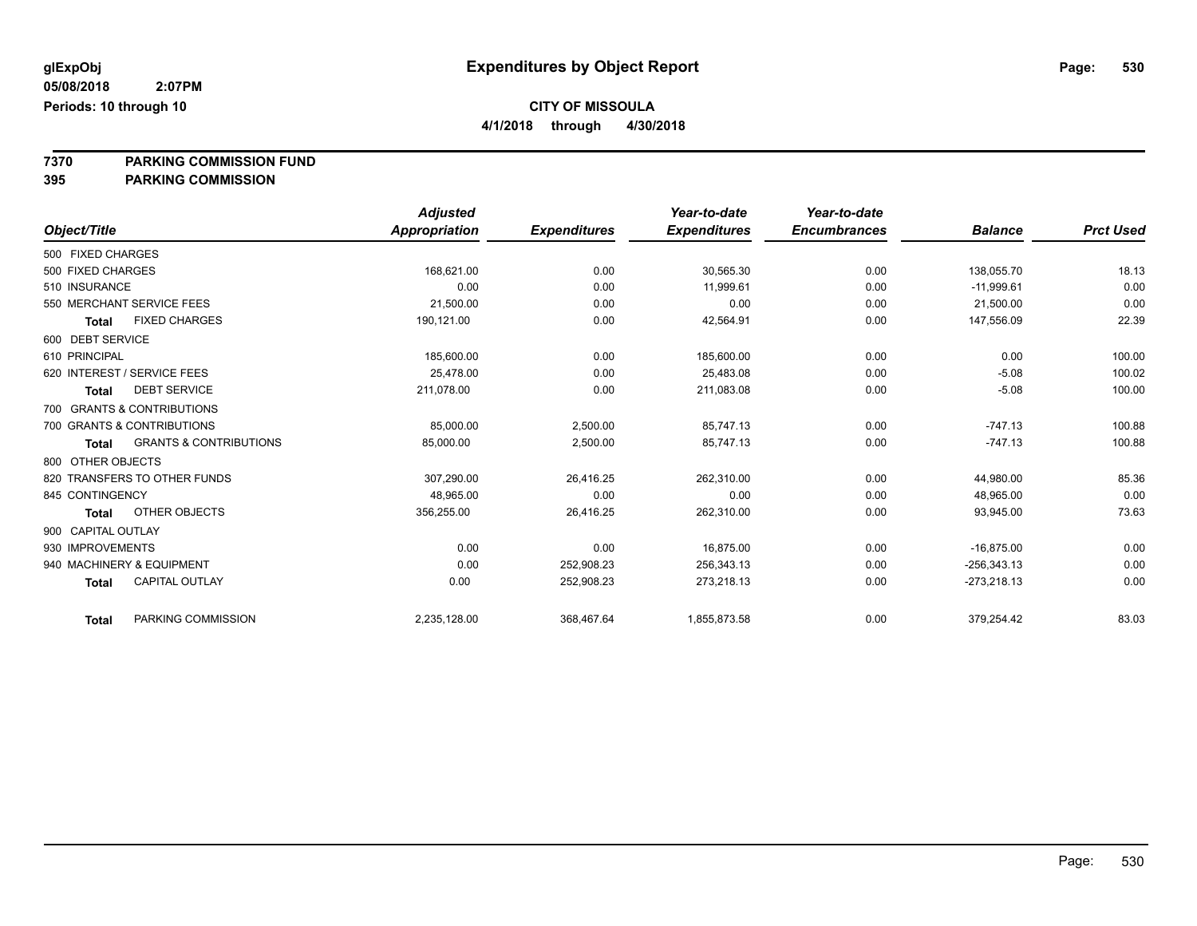## **CITY OF MISSOULA**

**4/1/2018 through 4/30/2018**

**7370 PARKING COMMISSION FUND**

**395 PARKING COMMISSION**

|                             |                                   | <b>Adjusted</b> |                     | Year-to-date        | Year-to-date        |                |                  |
|-----------------------------|-----------------------------------|-----------------|---------------------|---------------------|---------------------|----------------|------------------|
| Object/Title                |                                   | Appropriation   | <b>Expenditures</b> | <b>Expenditures</b> | <b>Encumbrances</b> | <b>Balance</b> | <b>Prct Used</b> |
| 500 FIXED CHARGES           |                                   |                 |                     |                     |                     |                |                  |
| 500 FIXED CHARGES           |                                   | 168,621.00      | 0.00                | 30,565.30           | 0.00                | 138,055.70     | 18.13            |
| 510 INSURANCE               |                                   | 0.00            | 0.00                | 11,999.61           | 0.00                | $-11,999.61$   | 0.00             |
| 550 MERCHANT SERVICE FEES   |                                   | 21,500.00       | 0.00                | 0.00                | 0.00                | 21,500.00      | 0.00             |
| <b>Total</b>                | <b>FIXED CHARGES</b>              | 190,121.00      | 0.00                | 42,564.91           | 0.00                | 147,556.09     | 22.39            |
| 600 DEBT SERVICE            |                                   |                 |                     |                     |                     |                |                  |
| 610 PRINCIPAL               |                                   | 185,600.00      | 0.00                | 185,600.00          | 0.00                | 0.00           | 100.00           |
| 620 INTEREST / SERVICE FEES |                                   | 25.478.00       | 0.00                | 25,483.08           | 0.00                | $-5.08$        | 100.02           |
| <b>Total</b>                | <b>DEBT SERVICE</b>               | 211.078.00      | 0.00                | 211,083.08          | 0.00                | $-5.08$        | 100.00           |
|                             | 700 GRANTS & CONTRIBUTIONS        |                 |                     |                     |                     |                |                  |
|                             | 700 GRANTS & CONTRIBUTIONS        | 85,000.00       | 2,500.00            | 85,747.13           | 0.00                | $-747.13$      | 100.88           |
| <b>Total</b>                | <b>GRANTS &amp; CONTRIBUTIONS</b> | 85,000.00       | 2,500.00            | 85,747.13           | 0.00                | $-747.13$      | 100.88           |
| 800 OTHER OBJECTS           |                                   |                 |                     |                     |                     |                |                  |
|                             | 820 TRANSFERS TO OTHER FUNDS      | 307,290.00      | 26,416.25           | 262,310.00          | 0.00                | 44,980.00      | 85.36            |
| 845 CONTINGENCY             |                                   | 48,965.00       | 0.00                | 0.00                | 0.00                | 48,965.00      | 0.00             |
| <b>Total</b>                | <b>OTHER OBJECTS</b>              | 356,255.00      | 26,416.25           | 262,310.00          | 0.00                | 93,945.00      | 73.63            |
| 900 CAPITAL OUTLAY          |                                   |                 |                     |                     |                     |                |                  |
| 930 IMPROVEMENTS            |                                   | 0.00            | 0.00                | 16,875.00           | 0.00                | $-16,875.00$   | 0.00             |
| 940 MACHINERY & EQUIPMENT   |                                   | 0.00            | 252,908.23          | 256,343.13          | 0.00                | $-256,343.13$  | 0.00             |
| <b>Total</b>                | <b>CAPITAL OUTLAY</b>             | 0.00            | 252,908.23          | 273.218.13          | 0.00                | $-273,218.13$  | 0.00             |
| <b>Total</b>                | PARKING COMMISSION                | 2,235,128.00    | 368,467.64          | 1,855,873.58        | 0.00                | 379,254.42     | 83.03            |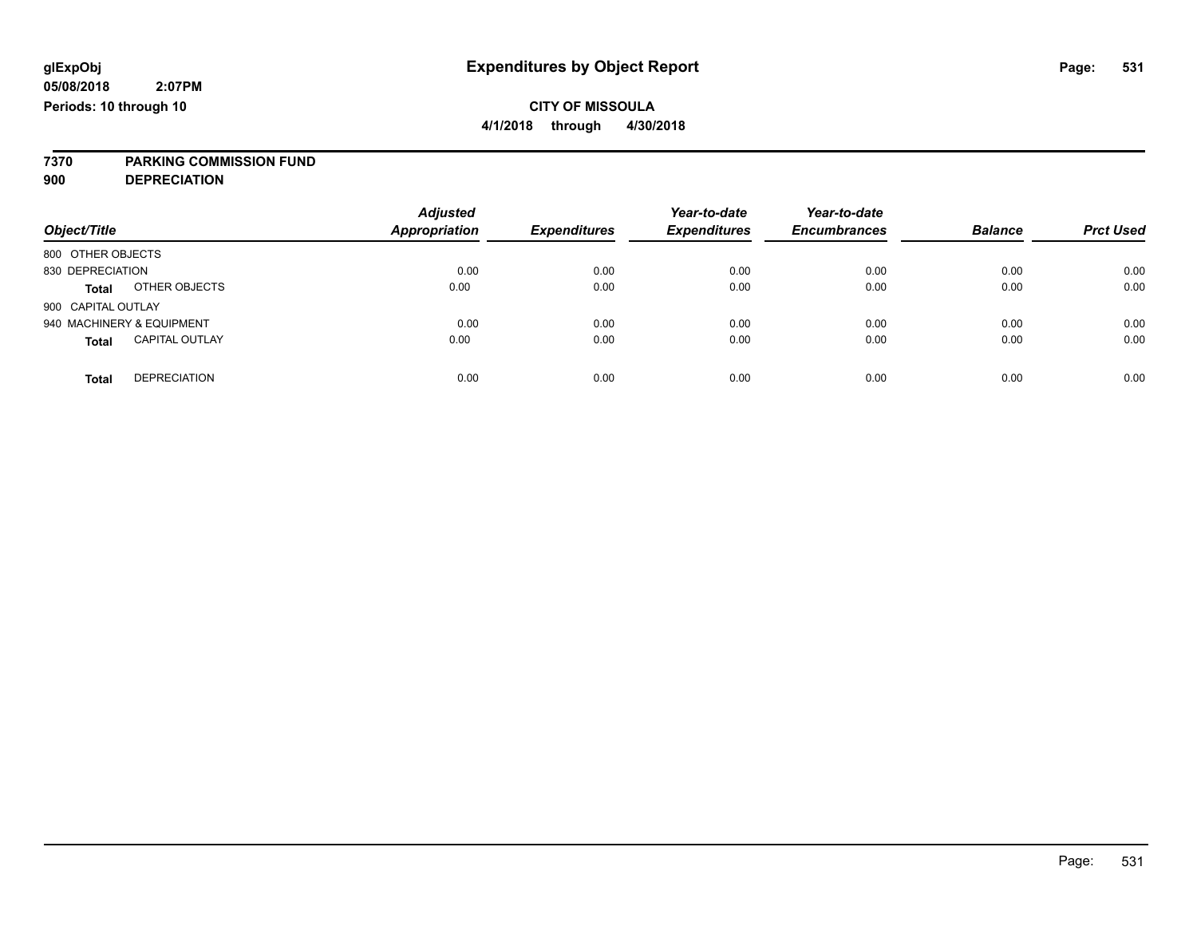# **7370 PARKING COMMISSION FUND**

**900 DEPRECIATION**

|                           | <b>Adjusted</b>     |                              | Year-to-date                | Year-to-date                |                             |                        |
|---------------------------|---------------------|------------------------------|-----------------------------|-----------------------------|-----------------------------|------------------------|
|                           |                     |                              |                             |                             |                             | <b>Prct Used</b>       |
| 800 OTHER OBJECTS         |                     |                              |                             |                             |                             |                        |
|                           | 0.00                | 0.00                         | 0.00                        | 0.00                        | 0.00                        | 0.00                   |
| OTHER OBJECTS             | 0.00                | 0.00                         | 0.00                        | 0.00                        | 0.00                        | 0.00                   |
|                           |                     |                              |                             |                             |                             |                        |
| 940 MACHINERY & EQUIPMENT | 0.00                | 0.00                         | 0.00                        | 0.00                        | 0.00                        | 0.00                   |
| <b>CAPITAL OUTLAY</b>     | 0.00                | 0.00                         | 0.00                        | 0.00                        | 0.00                        | 0.00                   |
|                           |                     |                              |                             |                             |                             | 0.00                   |
|                           | <b>DEPRECIATION</b> | <b>Appropriation</b><br>0.00 | <b>Expenditures</b><br>0.00 | <b>Expenditures</b><br>0.00 | <b>Encumbrances</b><br>0.00 | <b>Balance</b><br>0.00 |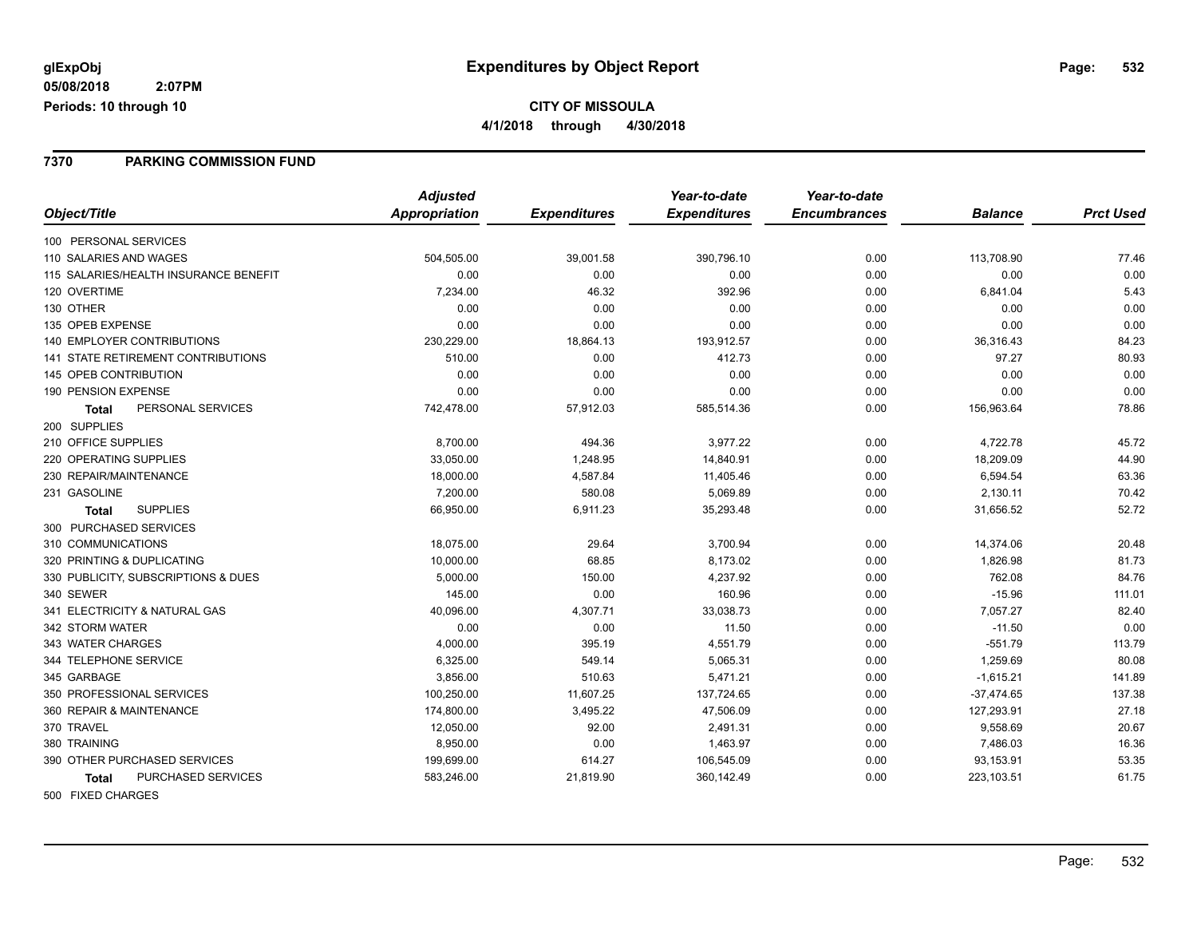### **7370 PARKING COMMISSION FUND**

|                                           | <b>Adjusted</b> |                     | Year-to-date        | Year-to-date        |                |                  |
|-------------------------------------------|-----------------|---------------------|---------------------|---------------------|----------------|------------------|
| Object/Title                              | Appropriation   | <b>Expenditures</b> | <b>Expenditures</b> | <b>Encumbrances</b> | <b>Balance</b> | <b>Prct Used</b> |
| 100 PERSONAL SERVICES                     |                 |                     |                     |                     |                |                  |
| 110 SALARIES AND WAGES                    | 504,505.00      | 39,001.58           | 390,796.10          | 0.00                | 113,708.90     | 77.46            |
| 115 SALARIES/HEALTH INSURANCE BENEFIT     | 0.00            | 0.00                | 0.00                | 0.00                | 0.00           | 0.00             |
| 120 OVERTIME                              | 7,234.00        | 46.32               | 392.96              | 0.00                | 6,841.04       | 5.43             |
| 130 OTHER                                 | 0.00            | 0.00                | 0.00                | 0.00                | 0.00           | 0.00             |
| 135 OPEB EXPENSE                          | 0.00            | 0.00                | 0.00                | 0.00                | 0.00           | 0.00             |
| <b>140 EMPLOYER CONTRIBUTIONS</b>         | 230,229.00      | 18,864.13           | 193,912.57          | 0.00                | 36,316.43      | 84.23            |
| 141 STATE RETIREMENT CONTRIBUTIONS        | 510.00          | 0.00                | 412.73              | 0.00                | 97.27          | 80.93            |
| <b>145 OPEB CONTRIBUTION</b>              | 0.00            | 0.00                | 0.00                | 0.00                | 0.00           | 0.00             |
| 190 PENSION EXPENSE                       | 0.00            | 0.00                | 0.00                | 0.00                | 0.00           | 0.00             |
| PERSONAL SERVICES<br><b>Total</b>         | 742,478.00      | 57,912.03           | 585,514.36          | 0.00                | 156,963.64     | 78.86            |
| 200 SUPPLIES                              |                 |                     |                     |                     |                |                  |
| 210 OFFICE SUPPLIES                       | 8,700.00        | 494.36              | 3,977.22            | 0.00                | 4,722.78       | 45.72            |
| 220 OPERATING SUPPLIES                    | 33,050.00       | 1,248.95            | 14,840.91           | 0.00                | 18,209.09      | 44.90            |
| 230 REPAIR/MAINTENANCE                    | 18,000.00       | 4,587.84            | 11,405.46           | 0.00                | 6,594.54       | 63.36            |
| 231 GASOLINE                              | 7,200.00        | 580.08              | 5,069.89            | 0.00                | 2,130.11       | 70.42            |
| <b>SUPPLIES</b><br>Total                  | 66,950.00       | 6,911.23            | 35,293.48           | 0.00                | 31,656.52      | 52.72            |
| 300 PURCHASED SERVICES                    |                 |                     |                     |                     |                |                  |
| 310 COMMUNICATIONS                        | 18,075.00       | 29.64               | 3,700.94            | 0.00                | 14,374.06      | 20.48            |
| 320 PRINTING & DUPLICATING                | 10,000.00       | 68.85               | 8,173.02            | 0.00                | 1,826.98       | 81.73            |
| 330 PUBLICITY, SUBSCRIPTIONS & DUES       | 5,000.00        | 150.00              | 4,237.92            | 0.00                | 762.08         | 84.76            |
| 340 SEWER                                 | 145.00          | 0.00                | 160.96              | 0.00                | $-15.96$       | 111.01           |
| 341 ELECTRICITY & NATURAL GAS             | 40,096.00       | 4,307.71            | 33,038.73           | 0.00                | 7,057.27       | 82.40            |
| 342 STORM WATER                           | 0.00            | 0.00                | 11.50               | 0.00                | $-11.50$       | 0.00             |
| 343 WATER CHARGES                         | 4,000.00        | 395.19              | 4,551.79            | 0.00                | $-551.79$      | 113.79           |
| 344 TELEPHONE SERVICE                     | 6,325.00        | 549.14              | 5,065.31            | 0.00                | 1,259.69       | 80.08            |
| 345 GARBAGE                               | 3,856.00        | 510.63              | 5,471.21            | 0.00                | $-1,615.21$    | 141.89           |
| 350 PROFESSIONAL SERVICES                 | 100,250.00      | 11,607.25           | 137,724.65          | 0.00                | $-37,474.65$   | 137.38           |
| 360 REPAIR & MAINTENANCE                  | 174,800.00      | 3,495.22            | 47,506.09           | 0.00                | 127,293.91     | 27.18            |
| 370 TRAVEL                                | 12,050.00       | 92.00               | 2,491.31            | 0.00                | 9,558.69       | 20.67            |
| 380 TRAINING                              | 8,950.00        | 0.00                | 1,463.97            | 0.00                | 7,486.03       | 16.36            |
| 390 OTHER PURCHASED SERVICES              | 199,699.00      | 614.27              | 106,545.09          | 0.00                | 93,153.91      | 53.35            |
| <b>PURCHASED SERVICES</b><br><b>Total</b> | 583,246.00      | 21,819.90           | 360,142.49          | 0.00                | 223,103.51     | 61.75            |
|                                           |                 |                     |                     |                     |                |                  |

500 FIXED CHARGES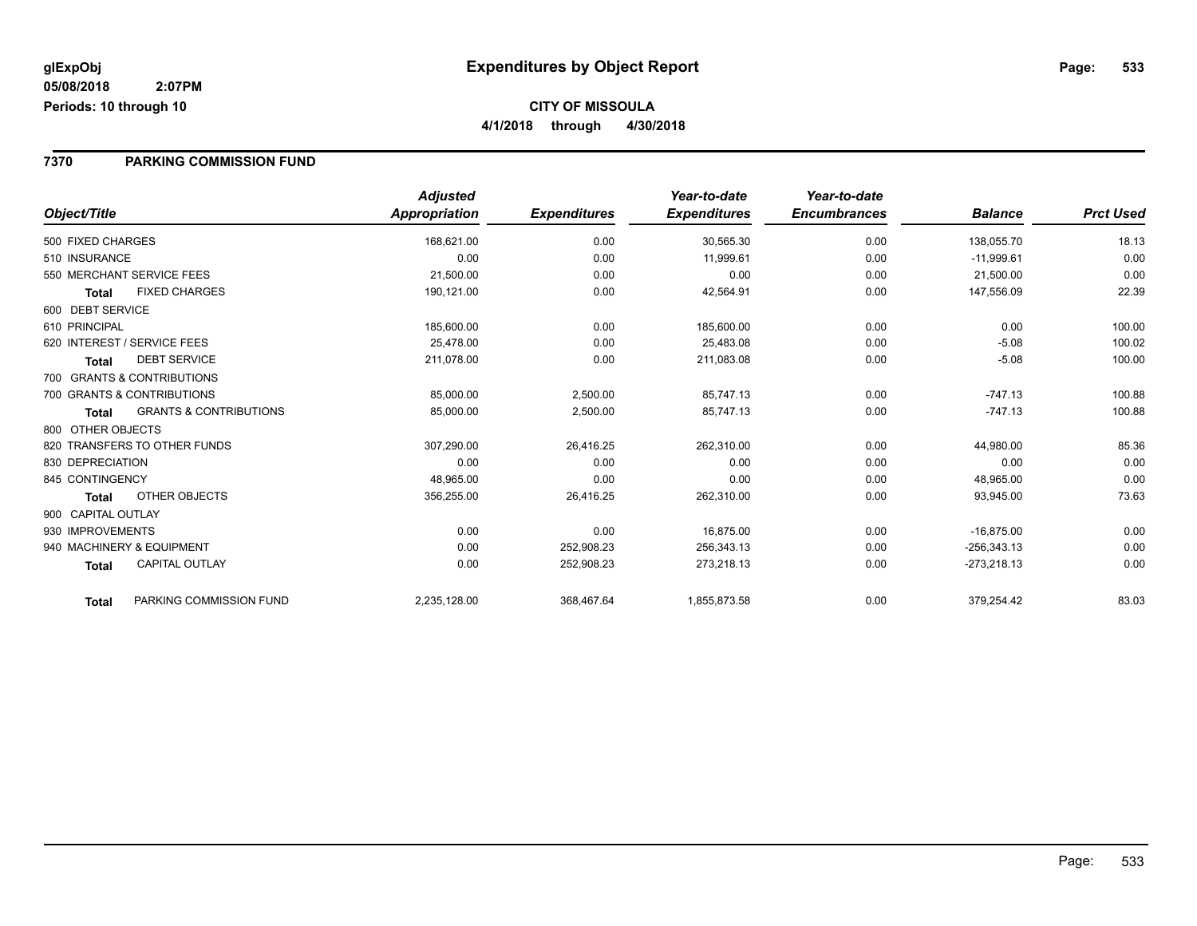### **7370 PARKING COMMISSION FUND**

|                    |                                   | <b>Adjusted</b> |                     | Year-to-date        | Year-to-date        |                |                  |
|--------------------|-----------------------------------|-----------------|---------------------|---------------------|---------------------|----------------|------------------|
| Object/Title       |                                   | Appropriation   | <b>Expenditures</b> | <b>Expenditures</b> | <b>Encumbrances</b> | <b>Balance</b> | <b>Prct Used</b> |
| 500 FIXED CHARGES  |                                   | 168,621.00      | 0.00                | 30,565.30           | 0.00                | 138,055.70     | 18.13            |
| 510 INSURANCE      |                                   | 0.00            | 0.00                | 11,999.61           | 0.00                | $-11,999.61$   | 0.00             |
|                    | 550 MERCHANT SERVICE FEES         | 21,500.00       | 0.00                | 0.00                | 0.00                | 21,500.00      | 0.00             |
| <b>Total</b>       | <b>FIXED CHARGES</b>              | 190,121.00      | 0.00                | 42,564.91           | 0.00                | 147,556.09     | 22.39            |
| 600 DEBT SERVICE   |                                   |                 |                     |                     |                     |                |                  |
| 610 PRINCIPAL      |                                   | 185,600.00      | 0.00                | 185,600.00          | 0.00                | 0.00           | 100.00           |
|                    | 620 INTEREST / SERVICE FEES       | 25,478.00       | 0.00                | 25,483.08           | 0.00                | $-5.08$        | 100.02           |
| <b>Total</b>       | <b>DEBT SERVICE</b>               | 211,078.00      | 0.00                | 211,083.08          | 0.00                | $-5.08$        | 100.00           |
|                    | 700 GRANTS & CONTRIBUTIONS        |                 |                     |                     |                     |                |                  |
|                    | 700 GRANTS & CONTRIBUTIONS        | 85,000.00       | 2,500.00            | 85,747.13           | 0.00                | $-747.13$      | 100.88           |
| <b>Total</b>       | <b>GRANTS &amp; CONTRIBUTIONS</b> | 85,000.00       | 2,500.00            | 85,747.13           | 0.00                | $-747.13$      | 100.88           |
| 800 OTHER OBJECTS  |                                   |                 |                     |                     |                     |                |                  |
|                    | 820 TRANSFERS TO OTHER FUNDS      | 307,290.00      | 26,416.25           | 262,310.00          | 0.00                | 44,980.00      | 85.36            |
| 830 DEPRECIATION   |                                   | 0.00            | 0.00                | 0.00                | 0.00                | 0.00           | 0.00             |
| 845 CONTINGENCY    |                                   | 48,965.00       | 0.00                | 0.00                | 0.00                | 48,965.00      | 0.00             |
| <b>Total</b>       | OTHER OBJECTS                     | 356,255.00      | 26,416.25           | 262,310.00          | 0.00                | 93,945.00      | 73.63            |
| 900 CAPITAL OUTLAY |                                   |                 |                     |                     |                     |                |                  |
| 930 IMPROVEMENTS   |                                   | 0.00            | 0.00                | 16,875.00           | 0.00                | $-16,875.00$   | 0.00             |
|                    | 940 MACHINERY & EQUIPMENT         | 0.00            | 252,908.23          | 256,343.13          | 0.00                | $-256,343.13$  | 0.00             |
| <b>Total</b>       | CAPITAL OUTLAY                    | 0.00            | 252,908.23          | 273,218.13          | 0.00                | $-273,218.13$  | 0.00             |
| <b>Total</b>       | PARKING COMMISSION FUND           | 2,235,128.00    | 368,467.64          | 1,855,873.58        | 0.00                | 379,254.42     | 83.03            |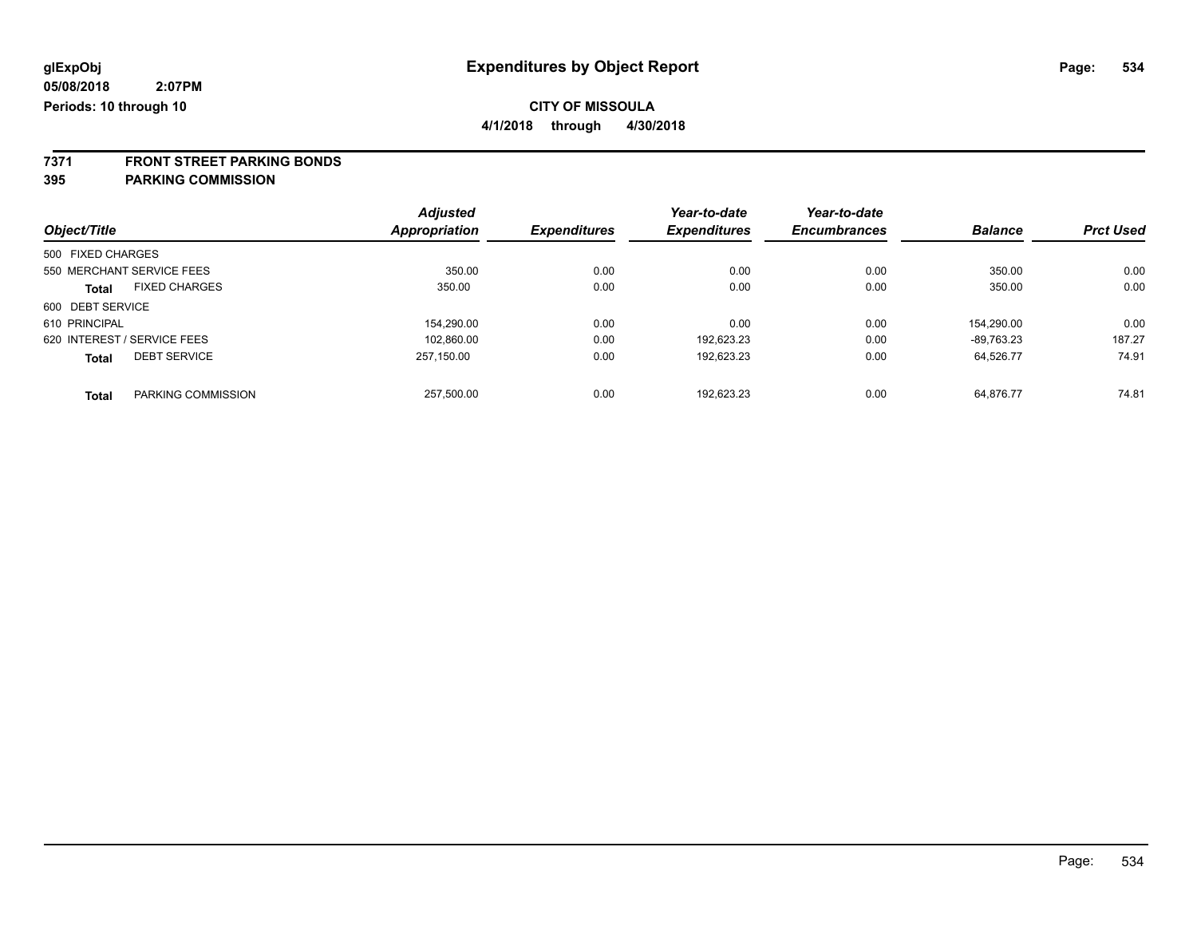**7371 FRONT STREET PARKING BONDS**

**395 PARKING COMMISSION**

| Object/Title                         |                    | <b>Adjusted</b> | <b>Expenditures</b> | Year-to-date<br><b>Expenditures</b> | Year-to-date<br><b>Encumbrances</b> |                | <b>Prct Used</b> |
|--------------------------------------|--------------------|-----------------|---------------------|-------------------------------------|-------------------------------------|----------------|------------------|
|                                      |                    | Appropriation   |                     |                                     |                                     | <b>Balance</b> |                  |
| 500 FIXED CHARGES                    |                    |                 |                     |                                     |                                     |                |                  |
| 550 MERCHANT SERVICE FEES            |                    | 350.00          | 0.00                | 0.00                                | 0.00                                | 350.00         | 0.00             |
| <b>FIXED CHARGES</b><br><b>Total</b> |                    | 350.00          | 0.00                | 0.00                                | 0.00                                | 350.00         | 0.00             |
| 600 DEBT SERVICE                     |                    |                 |                     |                                     |                                     |                |                  |
| 610 PRINCIPAL                        |                    | 154,290.00      | 0.00                | 0.00                                | 0.00                                | 154,290.00     | 0.00             |
| 620 INTEREST / SERVICE FEES          |                    | 102.860.00      | 0.00                | 192.623.23                          | 0.00                                | $-89.763.23$   | 187.27           |
| <b>DEBT SERVICE</b><br><b>Total</b>  |                    | 257.150.00      | 0.00                | 192.623.23                          | 0.00                                | 64.526.77      | 74.91            |
| <b>Total</b>                         | PARKING COMMISSION | 257.500.00      | 0.00                | 192.623.23                          | 0.00                                | 64.876.77      | 74.81            |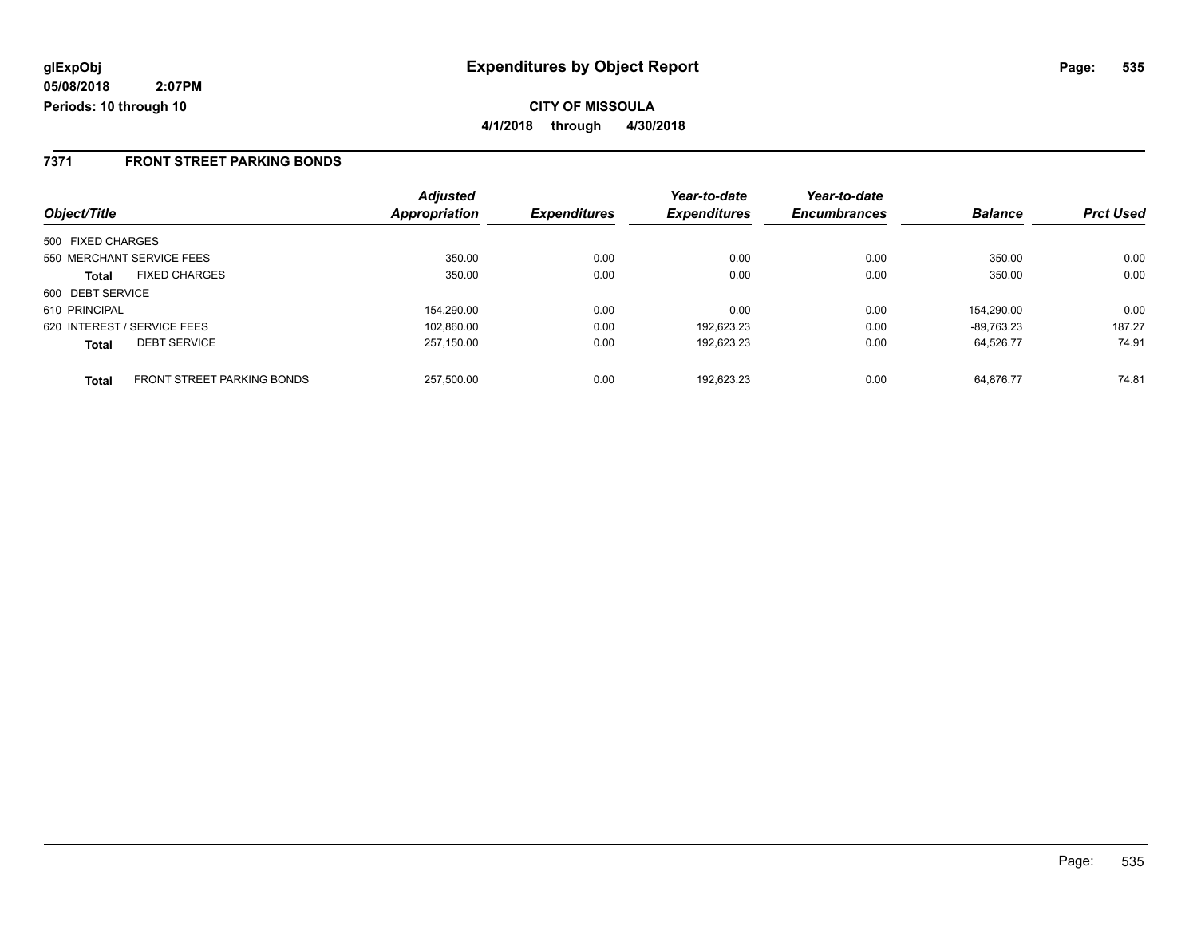### **7371 FRONT STREET PARKING BONDS**

| Object/Title                |                                   | <b>Adjusted</b><br>Appropriation | <b>Expenditures</b> | Year-to-date<br><b>Expenditures</b> | Year-to-date<br><b>Encumbrances</b> | <b>Balance</b> | <b>Prct Used</b> |
|-----------------------------|-----------------------------------|----------------------------------|---------------------|-------------------------------------|-------------------------------------|----------------|------------------|
|                             |                                   |                                  |                     |                                     |                                     |                |                  |
| 500 FIXED CHARGES           |                                   |                                  |                     |                                     |                                     |                |                  |
| 550 MERCHANT SERVICE FEES   |                                   | 350.00                           | 0.00                | 0.00                                | 0.00                                | 350.00         | 0.00             |
| <b>Total</b>                | <b>FIXED CHARGES</b>              | 350.00                           | 0.00                | 0.00                                | 0.00                                | 350.00         | 0.00             |
| 600 DEBT SERVICE            |                                   |                                  |                     |                                     |                                     |                |                  |
| 610 PRINCIPAL               |                                   | 154.290.00                       | 0.00                | 0.00                                | 0.00                                | 154.290.00     | 0.00             |
| 620 INTEREST / SERVICE FEES |                                   | 102.860.00                       | 0.00                | 192.623.23                          | 0.00                                | -89.763.23     | 187.27           |
| <b>Total</b>                | <b>DEBT SERVICE</b>               | 257.150.00                       | 0.00                | 192.623.23                          | 0.00                                | 64.526.77      | 74.91            |
| <b>Total</b>                | <b>FRONT STREET PARKING BONDS</b> | 257.500.00                       | 0.00                | 192.623.23                          | 0.00                                | 64.876.77      | 74.81            |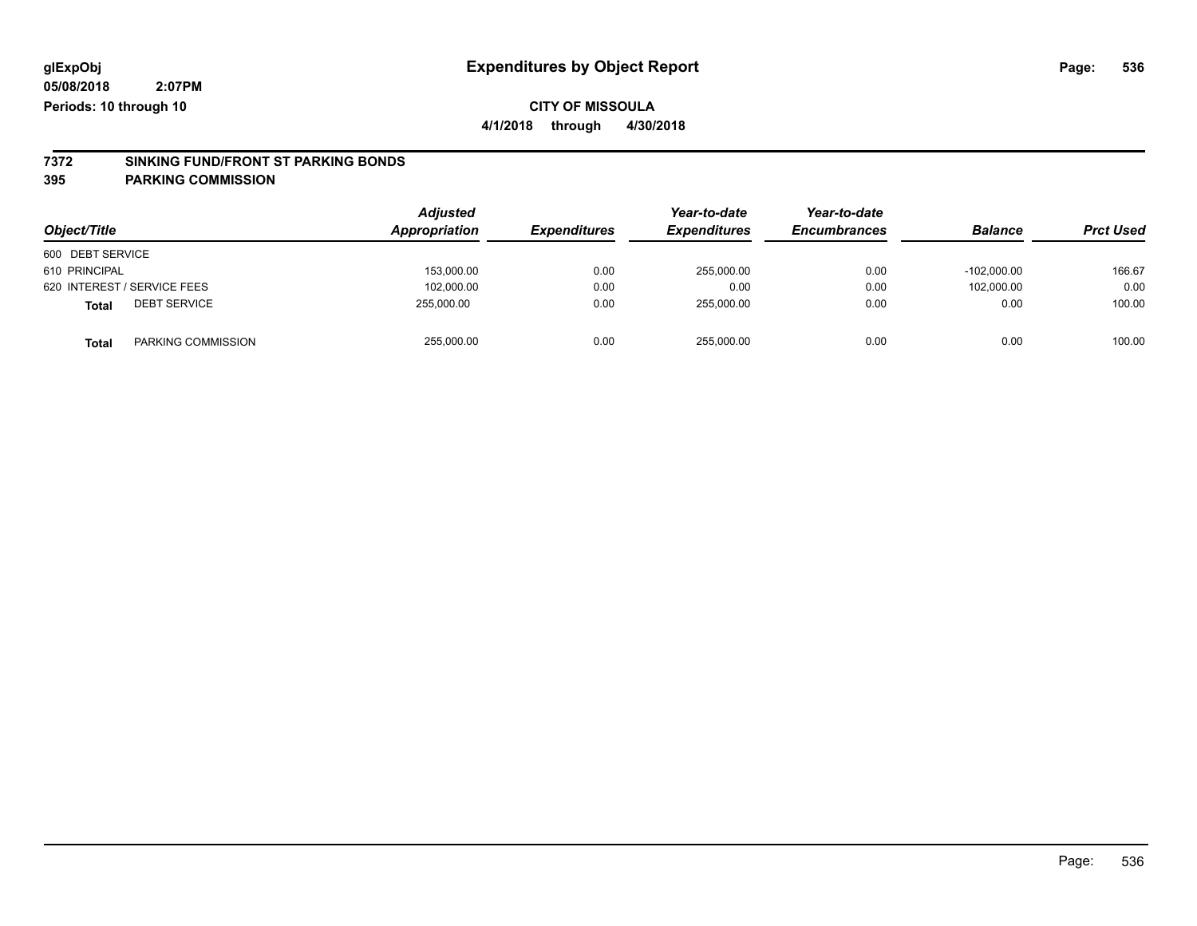## **CITY OF MISSOULA**

**4/1/2018 through 4/30/2018**

# **7372 SINKING FUND/FRONT ST PARKING BONDS**

**395 PARKING COMMISSION**

| Object/Title                        | <b>Adjusted</b><br>Appropriation | <b>Expenditures</b> | Year-to-date<br><i><b>Expenditures</b></i> | Year-to-date<br><b>Encumbrances</b> | <b>Balance</b> | <b>Prct Used</b> |
|-------------------------------------|----------------------------------|---------------------|--------------------------------------------|-------------------------------------|----------------|------------------|
| 600 DEBT SERVICE                    |                                  |                     |                                            |                                     |                |                  |
| 610 PRINCIPAL                       | 153.000.00                       | 0.00                | 255,000.00                                 | 0.00                                | $-102.000.00$  | 166.67           |
| 620 INTEREST / SERVICE FEES         | 102,000.00                       | 0.00                | 0.00                                       | 0.00                                | 102.000.00     | 0.00             |
| <b>DEBT SERVICE</b><br><b>Total</b> | 255.000.00                       | 0.00                | 255,000.00                                 | 0.00                                | 0.00           | 100.00           |
| PARKING COMMISSION<br><b>Total</b>  | 255,000.00                       | 0.00                | 255.000.00                                 | 0.00                                | 0.00           | 100.00           |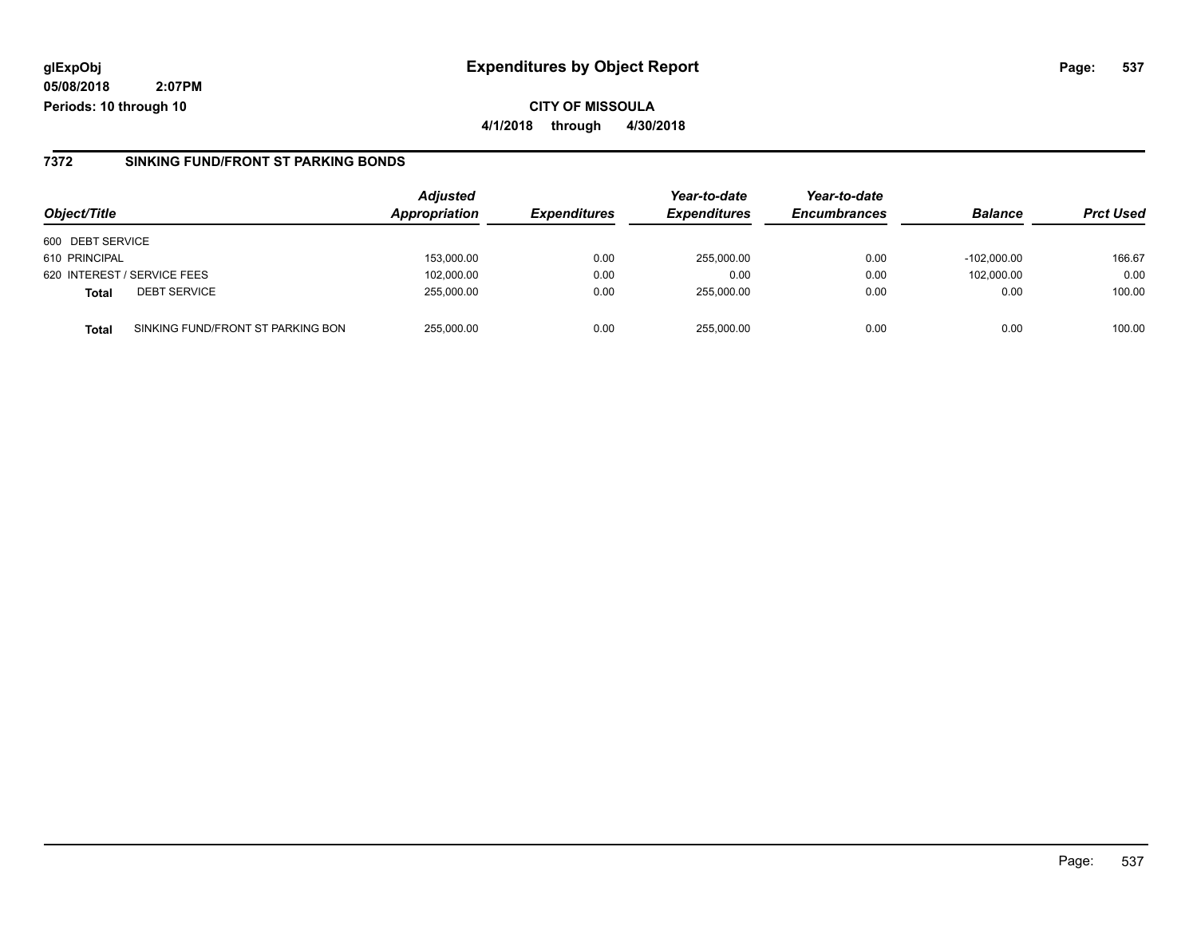**CITY OF MISSOULA 4/1/2018 through 4/30/2018**

### **7372 SINKING FUND/FRONT ST PARKING BONDS**

| Object/Title                                      | Adjusted<br><b>Appropriation</b> | <b>Expenditures</b> | Year-to-date<br><b>Expenditures</b> | Year-to-date<br><b>Encumbrances</b> | <b>Balance</b> | <b>Prct Used</b> |
|---------------------------------------------------|----------------------------------|---------------------|-------------------------------------|-------------------------------------|----------------|------------------|
| 600 DEBT SERVICE                                  |                                  |                     |                                     |                                     |                |                  |
| 610 PRINCIPAL                                     | 153,000.00                       | 0.00                | 255,000.00                          | 0.00                                | $-102.000.00$  | 166.67           |
| 620 INTEREST / SERVICE FEES                       | 102,000.00                       | 0.00                | 0.00                                | 0.00                                | 102.000.00     | 0.00             |
| <b>DEBT SERVICE</b><br><b>Total</b>               | 255,000.00                       | 0.00                | 255.000.00                          | 0.00                                | 0.00           | 100.00           |
| SINKING FUND/FRONT ST PARKING BON<br><b>Total</b> | 255.000.00                       | 0.00                | 255.000.00                          | 0.00                                | 0.00           | 100.00           |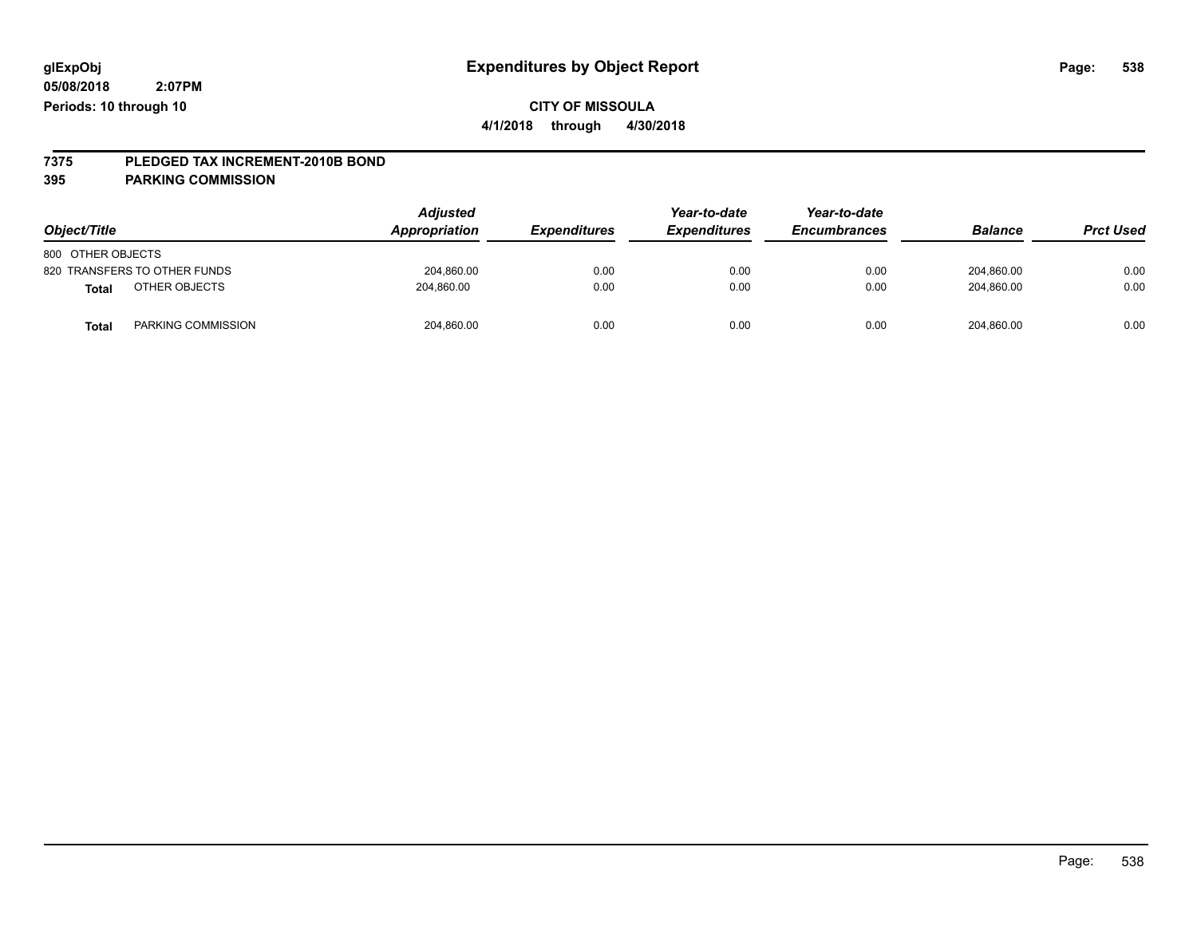**7375 PLEDGED TAX INCREMENT-2010B BOND**

**395 PARKING COMMISSION**

| Object/Title      |                              | <b>Adjusted</b><br>Appropriation | <b>Expenditures</b> | Year-to-date<br><b>Expenditures</b> | Year-to-date<br><b>Encumbrances</b> | <b>Balance</b> | <b>Prct Used</b> |
|-------------------|------------------------------|----------------------------------|---------------------|-------------------------------------|-------------------------------------|----------------|------------------|
| 800 OTHER OBJECTS |                              |                                  |                     |                                     |                                     |                |                  |
|                   | 820 TRANSFERS TO OTHER FUNDS | 204,860.00                       | 0.00                | 0.00                                | 0.00                                | 204.860.00     | 0.00             |
| <b>Total</b>      | OTHER OBJECTS                | 204.860.00                       | 0.00                | 0.00                                | 0.00                                | 204.860.00     | 0.00             |
| Total             | PARKING COMMISSION           | 204,860.00                       | 0.00                | 0.00                                | 0.00                                | 204,860.00     | 0.00             |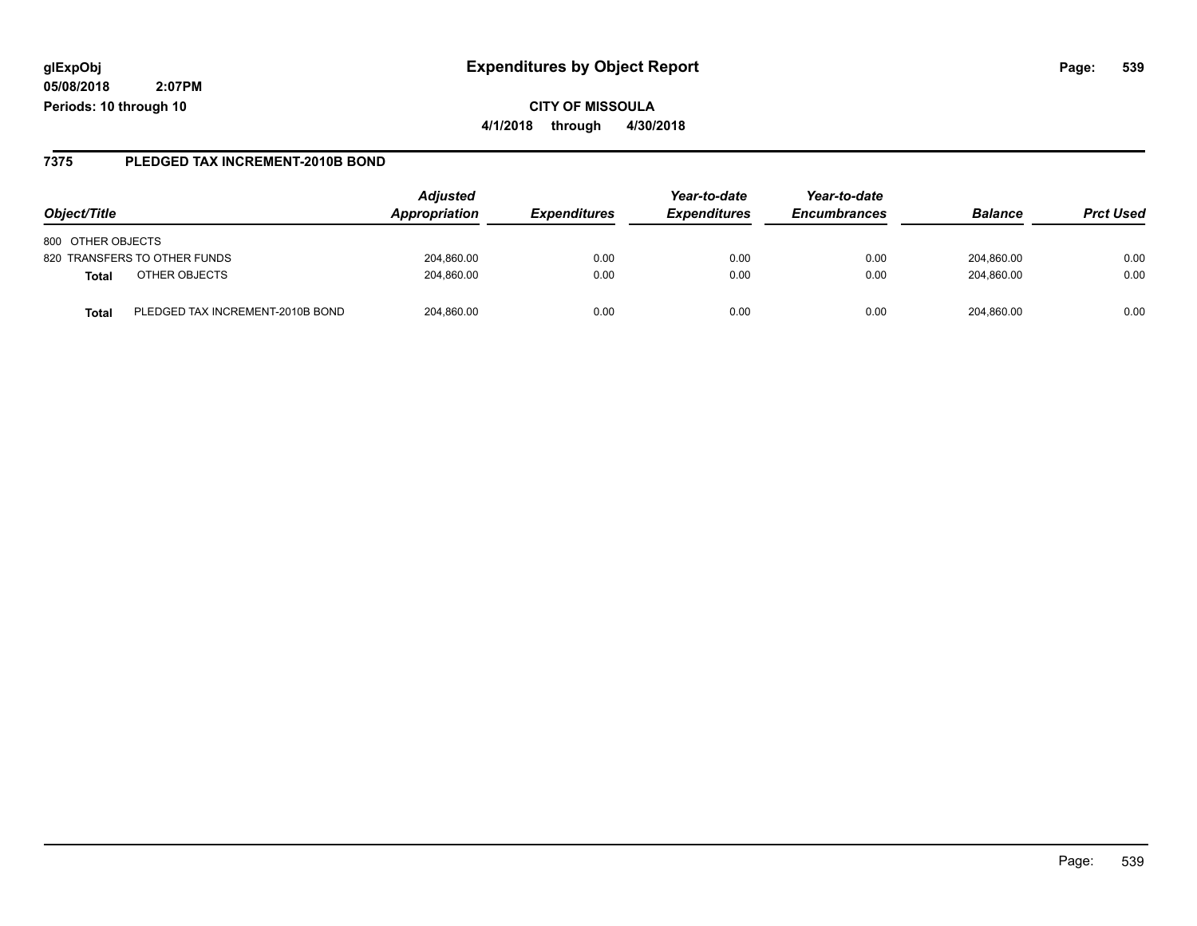**CITY OF MISSOULA 4/1/2018 through 4/30/2018**

### **7375 PLEDGED TAX INCREMENT-2010B BOND**

|                                           | <b>Adjusted</b> |                            | Year-to-date               | Year-to-date        | <b>Balance</b> |                  |
|-------------------------------------------|-----------------|----------------------------|----------------------------|---------------------|----------------|------------------|
| Object/Title                              | Appropriation   | <i><b>Expenditures</b></i> | <i><b>Expenditures</b></i> | <b>Encumbrances</b> |                | <b>Prct Used</b> |
| 800 OTHER OBJECTS                         |                 |                            |                            |                     |                |                  |
| 820 TRANSFERS TO OTHER FUNDS              | 204,860.00      | 0.00                       | 0.00                       | 0.00                | 204.860.00     | 0.00             |
| OTHER OBJECTS<br>Total                    | 204,860.00      | 0.00                       | 0.00                       | 0.00                | 204.860.00     | 0.00             |
| PLEDGED TAX INCREMENT-2010B BOND<br>Total | 204.860.00      | 0.00                       | 0.00                       | 0.00                | 204.860.00     | 0.00             |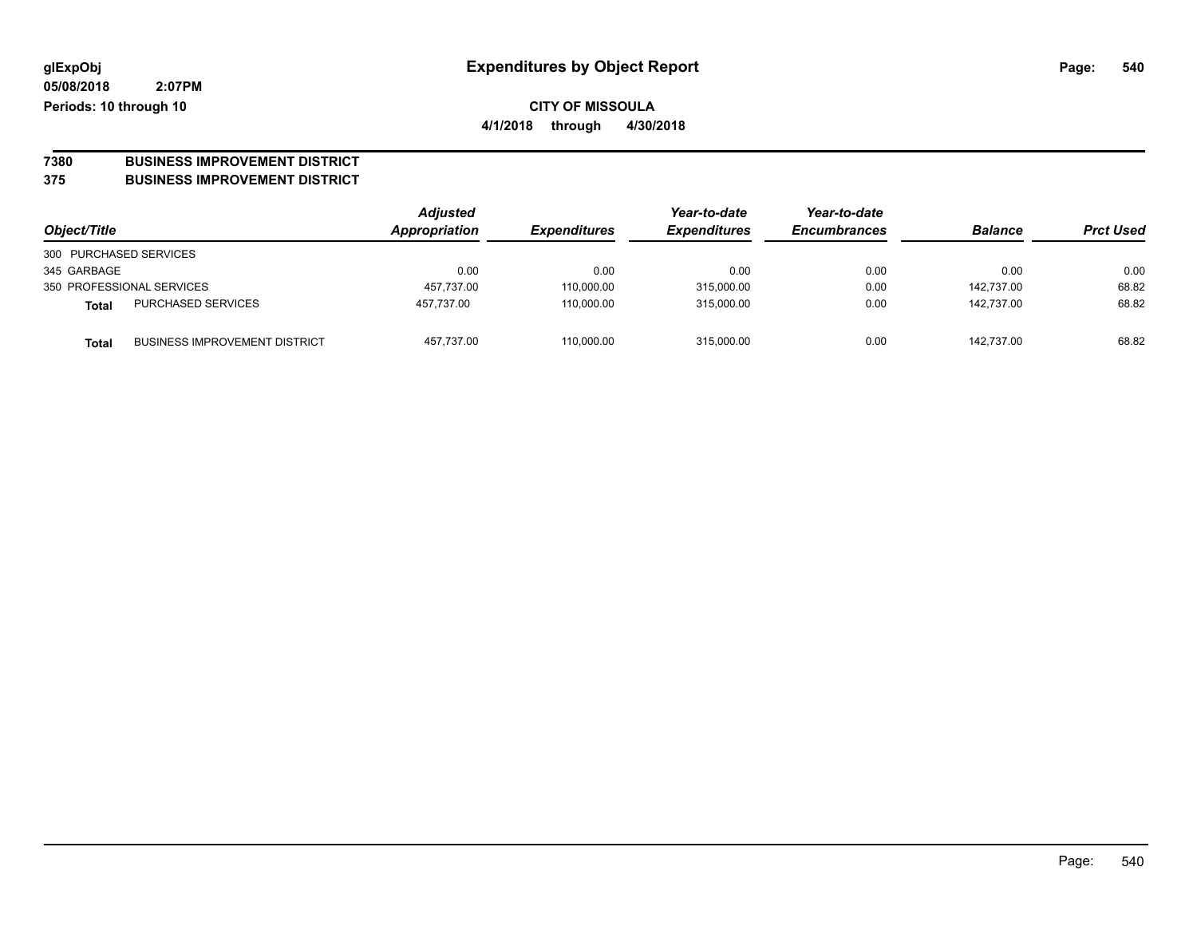**CITY OF MISSOULA 4/1/2018 through 4/30/2018**

# **7380 BUSINESS IMPROVEMENT DISTRICT**

**375 BUSINESS IMPROVEMENT DISTRICT**

| Object/Title                                         | <b>Adjusted</b><br>Appropriation | <b>Expenditures</b> | Year-to-date<br><b>Expenditures</b> | Year-to-date<br><b>Encumbrances</b> | <b>Balance</b> | <b>Prct Used</b> |
|------------------------------------------------------|----------------------------------|---------------------|-------------------------------------|-------------------------------------|----------------|------------------|
| 300 PURCHASED SERVICES                               |                                  |                     |                                     |                                     |                |                  |
| 345 GARBAGE                                          | 0.00                             | 0.00                | 0.00                                | 0.00                                | 0.00           | 0.00             |
| 350 PROFESSIONAL SERVICES                            | 457.737.00                       | 110,000.00          | 315,000.00                          | 0.00                                | 142.737.00     | 68.82            |
| <b>PURCHASED SERVICES</b><br><b>Total</b>            | 457.737.00                       | 110,000.00          | 315,000.00                          | 0.00                                | 142.737.00     | 68.82            |
| <b>BUSINESS IMPROVEMENT DISTRICT</b><br><b>Total</b> | 457,737.00                       | 110,000.00          | 315,000.00                          | 0.00                                | 142.737.00     | 68.82            |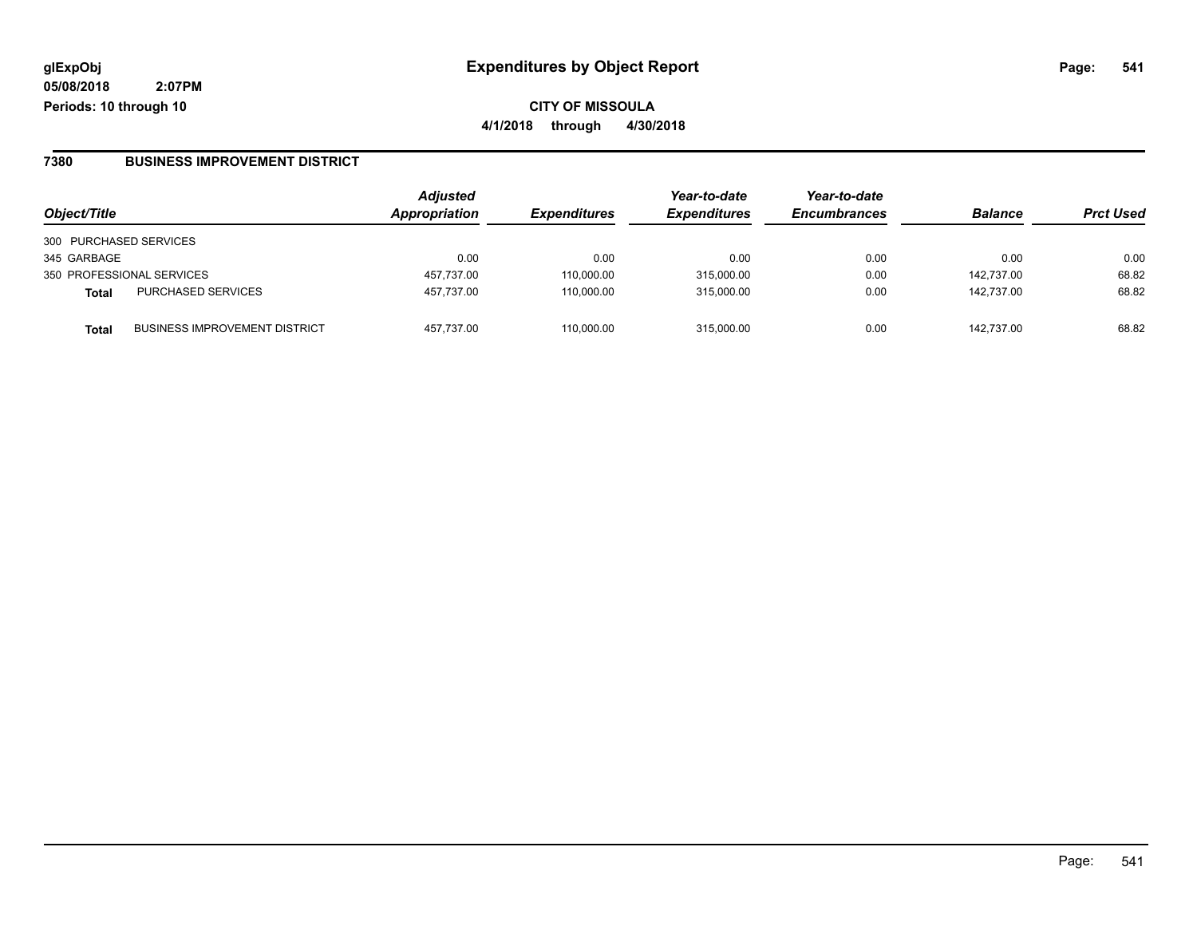**CITY OF MISSOULA 4/1/2018 through 4/30/2018**

#### **7380 BUSINESS IMPROVEMENT DISTRICT**

| Object/Title           |                                      | Adjusted<br>Appropriation | <i><b>Expenditures</b></i> | Year-to-date<br><b>Expenditures</b> | Year-to-date<br><b>Encumbrances</b> | <b>Balance</b> | <b>Prct Used</b> |
|------------------------|--------------------------------------|---------------------------|----------------------------|-------------------------------------|-------------------------------------|----------------|------------------|
| 300 PURCHASED SERVICES |                                      |                           |                            |                                     |                                     |                |                  |
| 345 GARBAGE            |                                      | 0.00                      | 0.00                       | 0.00                                | 0.00                                | 0.00           | 0.00             |
|                        | 350 PROFESSIONAL SERVICES            | 457,737.00                | 110,000.00                 | 315,000.00                          | 0.00                                | 142.737.00     | 68.82            |
| <b>Total</b>           | <b>PURCHASED SERVICES</b>            | 457,737.00                | 110.000.00                 | 315,000.00                          | 0.00                                | 142.737.00     | 68.82            |
| <b>Total</b>           | <b>BUSINESS IMPROVEMENT DISTRICT</b> | 457.737.00                | 110.000.00                 | 315.000.00                          | 0.00                                | 142.737.00     | 68.82            |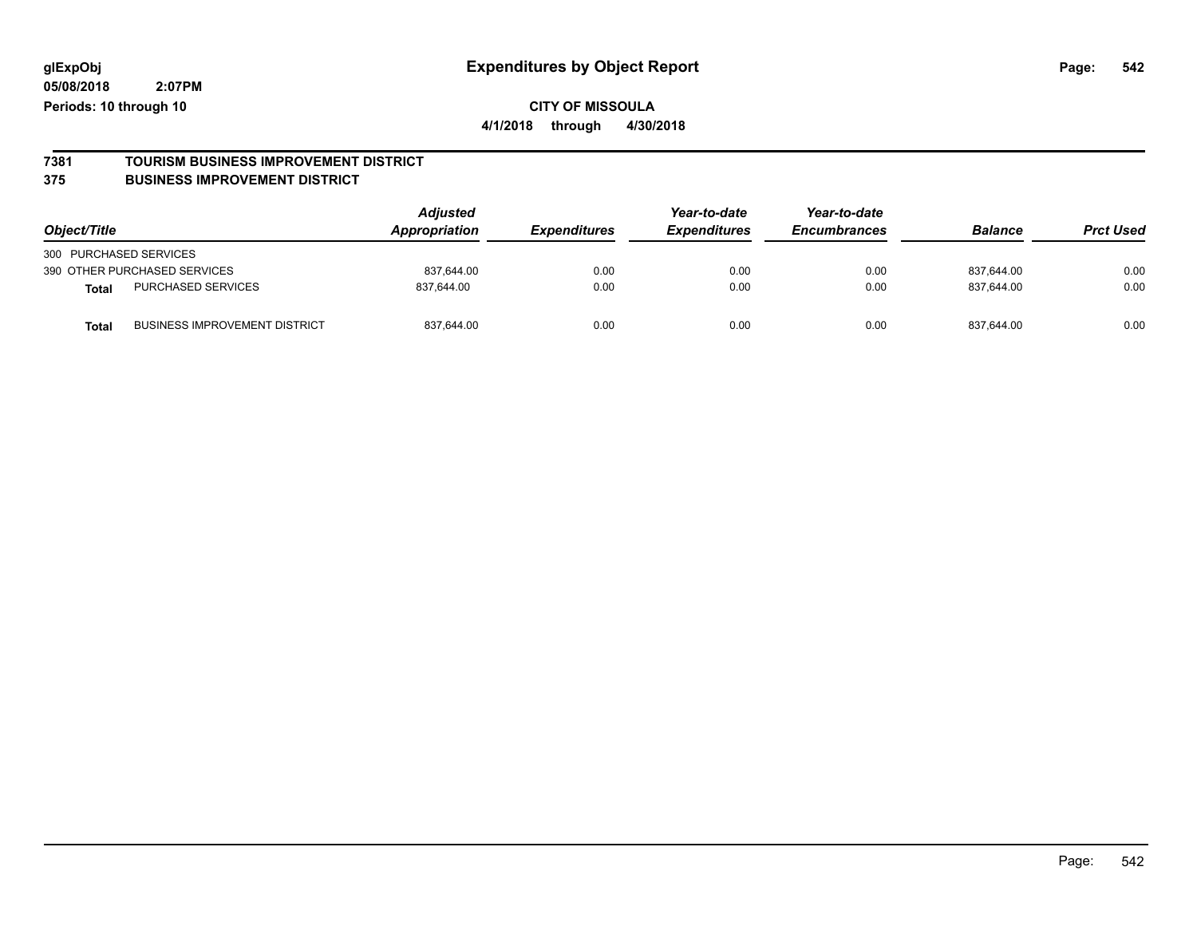# **7381 TOURISM BUSINESS IMPROVEMENT DISTRICT**

### **375 BUSINESS IMPROVEMENT DISTRICT**

| Object/Title                                         | Adjusted<br><b>Appropriation</b> | <i><b>Expenditures</b></i> | Year-to-date<br><b>Expenditures</b> | Year-to-date<br><b>Encumbrances</b> | <b>Balance</b> | <b>Prct Used</b> |
|------------------------------------------------------|----------------------------------|----------------------------|-------------------------------------|-------------------------------------|----------------|------------------|
| 300 PURCHASED SERVICES                               |                                  |                            |                                     |                                     |                |                  |
| 390 OTHER PURCHASED SERVICES                         | 837.644.00                       | 0.00                       | 0.00                                | 0.00                                | 837.644.00     | 0.00             |
| <b>PURCHASED SERVICES</b><br><b>Total</b>            | 837,644.00                       | 0.00                       | 0.00                                | 0.00                                | 837.644.00     | 0.00             |
| <b>BUSINESS IMPROVEMENT DISTRICT</b><br><b>Total</b> | 837.644.00                       | 0.00                       | 0.00                                | 0.00                                | 837.644.00     | 0.00             |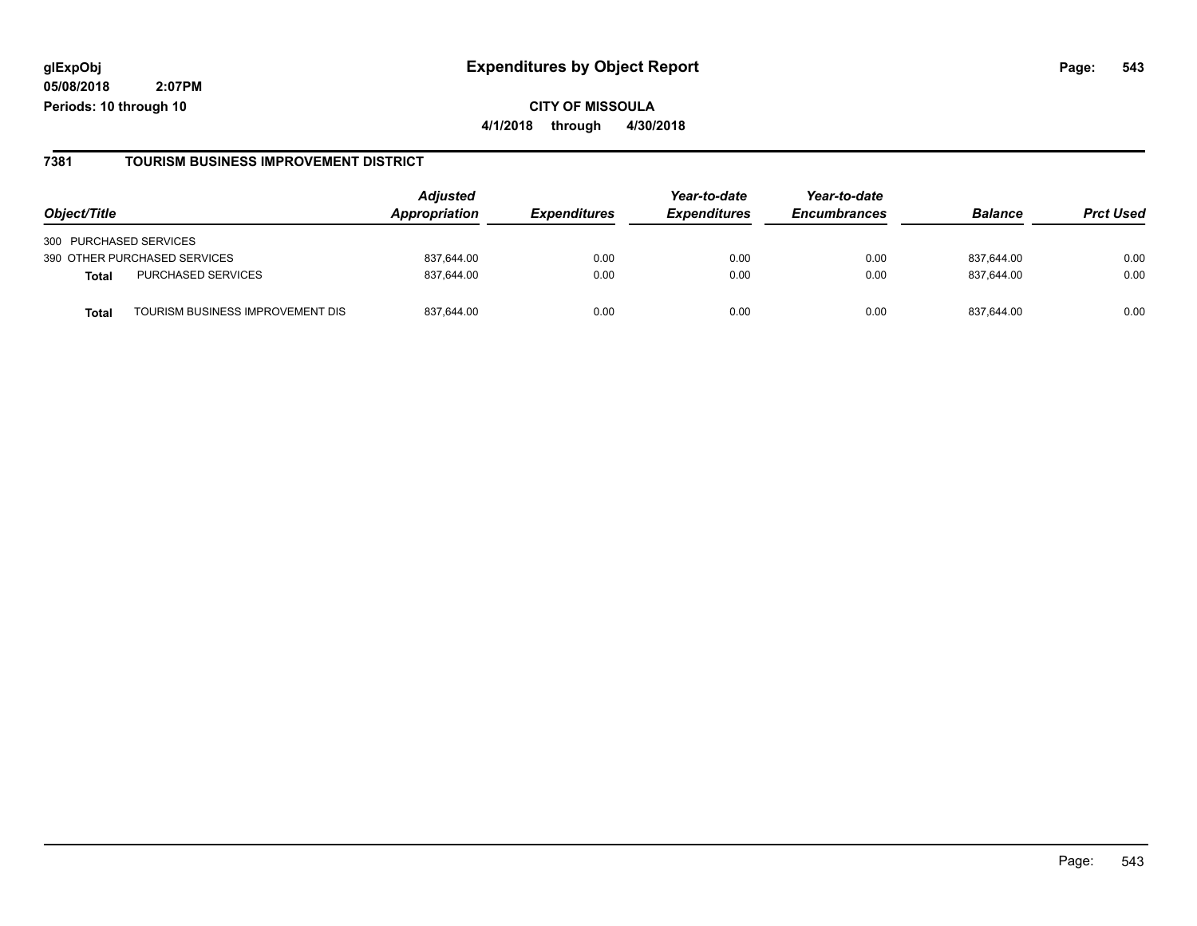**CITY OF MISSOULA 4/1/2018 through 4/30/2018**

#### **7381 TOURISM BUSINESS IMPROVEMENT DISTRICT**

| Object/Title                             | <b>Adjusted</b><br>Appropriation | <i><b>Expenditures</b></i> | Year-to-date<br><b>Expenditures</b> | Year-to-date<br><b>Encumbrances</b> | <b>Balance</b> | <b>Prct Used</b> |
|------------------------------------------|----------------------------------|----------------------------|-------------------------------------|-------------------------------------|----------------|------------------|
| 300 PURCHASED SERVICES                   |                                  |                            |                                     |                                     |                |                  |
| 390 OTHER PURCHASED SERVICES             | 837.644.00                       | 0.00                       | 0.00                                | 0.00                                | 837.644.00     | 0.00             |
| PURCHASED SERVICES<br><b>Total</b>       | 837.644.00                       | 0.00                       | 0.00                                | 0.00                                | 837.644.00     | 0.00             |
| TOURISM BUSINESS IMPROVEMENT DIS<br>Tota | 837.644.00                       | 0.00                       | 0.00                                | 0.00                                | 837.644.00     | 0.00             |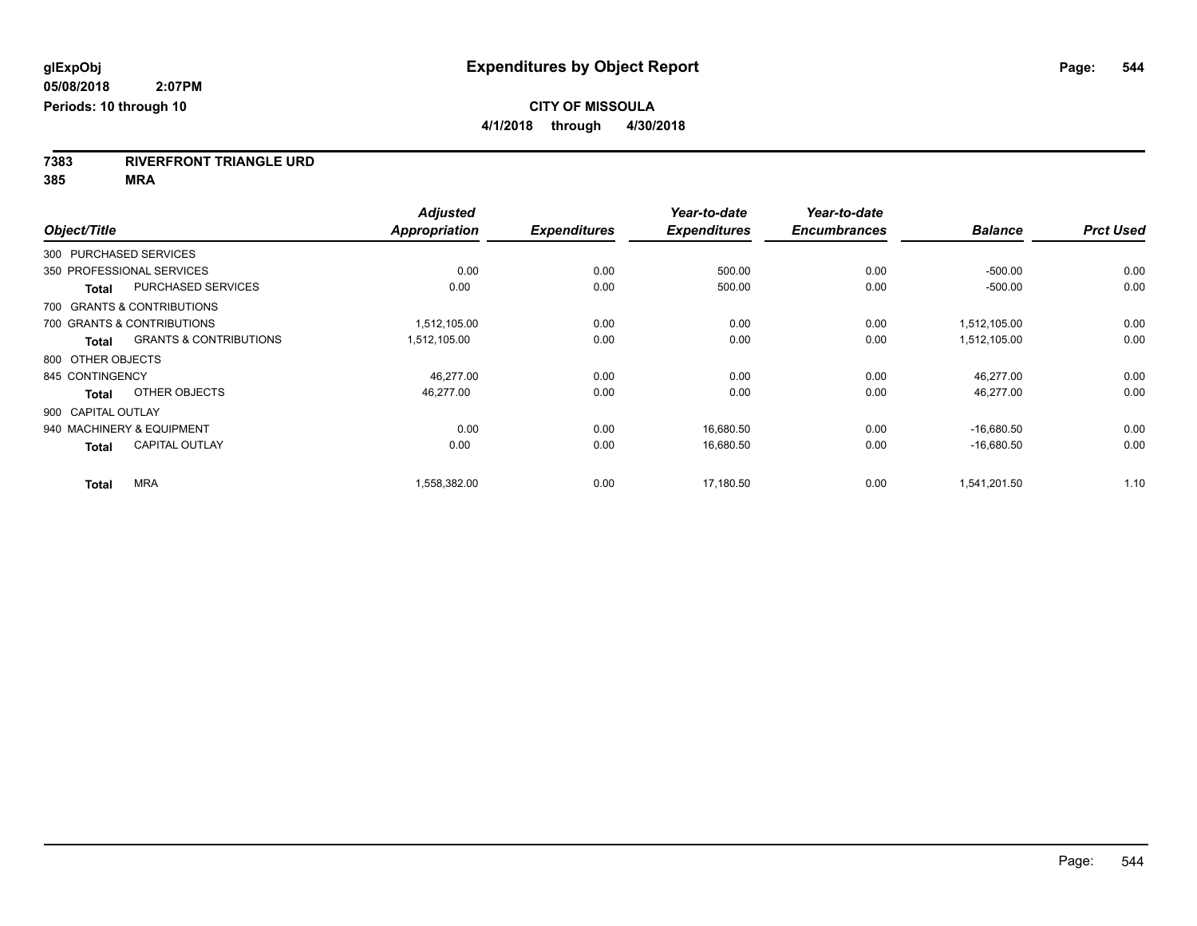**7383 RIVERFRONT TRIANGLE URD**

|                    |                                   | <b>Adjusted</b>      |                     | Year-to-date        | Year-to-date        |                |                  |
|--------------------|-----------------------------------|----------------------|---------------------|---------------------|---------------------|----------------|------------------|
| Object/Title       |                                   | <b>Appropriation</b> | <b>Expenditures</b> | <b>Expenditures</b> | <b>Encumbrances</b> | <b>Balance</b> | <b>Prct Used</b> |
|                    | 300 PURCHASED SERVICES            |                      |                     |                     |                     |                |                  |
|                    | 350 PROFESSIONAL SERVICES         | 0.00                 | 0.00                | 500.00              | 0.00                | $-500.00$      | 0.00             |
| <b>Total</b>       | <b>PURCHASED SERVICES</b>         | 0.00                 | 0.00                | 500.00              | 0.00                | $-500.00$      | 0.00             |
|                    | 700 GRANTS & CONTRIBUTIONS        |                      |                     |                     |                     |                |                  |
|                    | 700 GRANTS & CONTRIBUTIONS        | 1,512,105.00         | 0.00                | 0.00                | 0.00                | 1,512,105.00   | 0.00             |
| <b>Total</b>       | <b>GRANTS &amp; CONTRIBUTIONS</b> | 1,512,105.00         | 0.00                | 0.00                | 0.00                | 1,512,105.00   | 0.00             |
| 800 OTHER OBJECTS  |                                   |                      |                     |                     |                     |                |                  |
| 845 CONTINGENCY    |                                   | 46,277.00            | 0.00                | 0.00                | 0.00                | 46,277.00      | 0.00             |
| <b>Total</b>       | OTHER OBJECTS                     | 46,277.00            | 0.00                | 0.00                | 0.00                | 46,277.00      | 0.00             |
| 900 CAPITAL OUTLAY |                                   |                      |                     |                     |                     |                |                  |
|                    | 940 MACHINERY & EQUIPMENT         | 0.00                 | 0.00                | 16,680.50           | 0.00                | $-16,680.50$   | 0.00             |
| <b>Total</b>       | <b>CAPITAL OUTLAY</b>             | 0.00                 | 0.00                | 16,680.50           | 0.00                | $-16,680.50$   | 0.00             |
| <b>Total</b>       | <b>MRA</b>                        | 1,558,382.00         | 0.00                | 17.180.50           | 0.00                | 1.541.201.50   | 1.10             |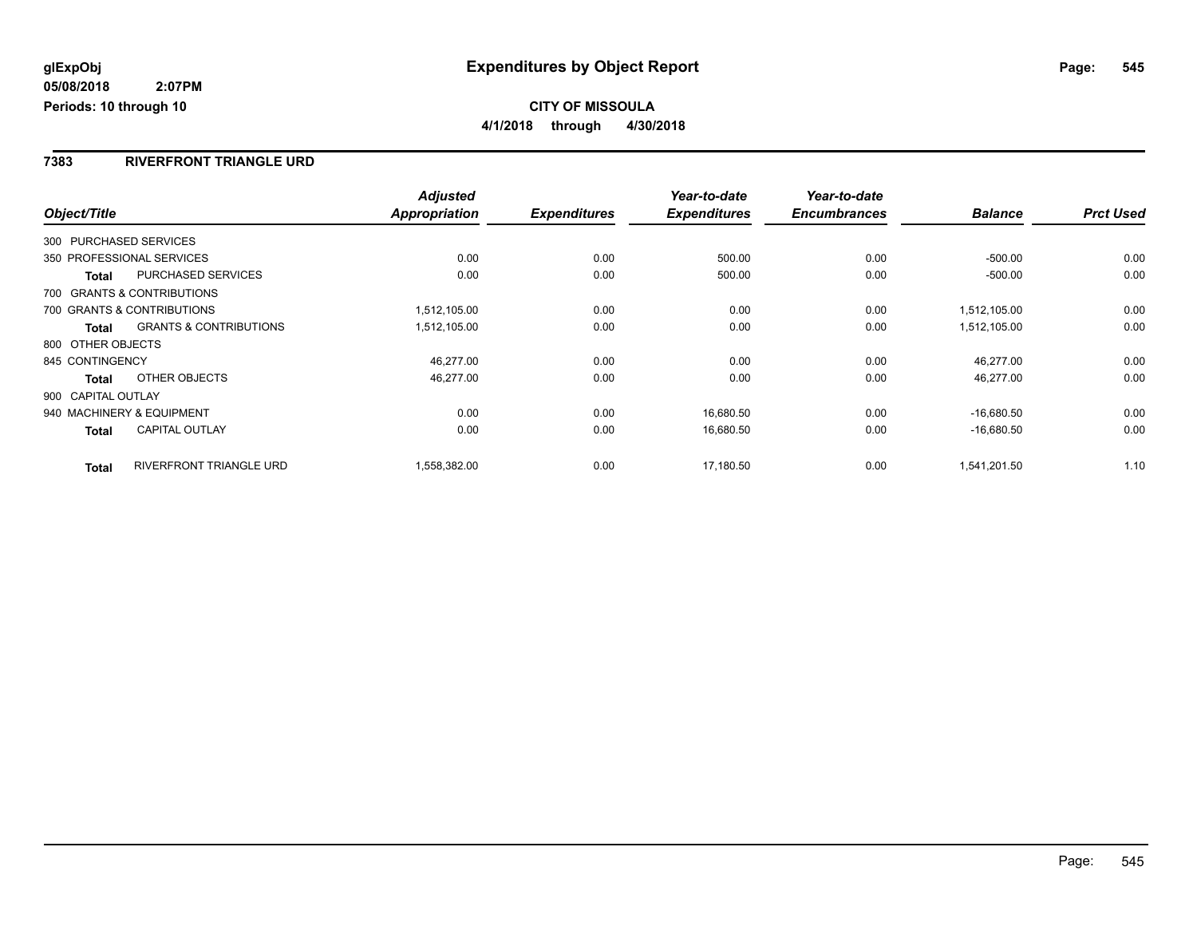#### **7383 RIVERFRONT TRIANGLE URD**

|                    |                                   | <b>Adjusted</b> |                     | Year-to-date        | Year-to-date        |                |                  |
|--------------------|-----------------------------------|-----------------|---------------------|---------------------|---------------------|----------------|------------------|
| Object/Title       |                                   | Appropriation   | <b>Expenditures</b> | <b>Expenditures</b> | <b>Encumbrances</b> | <b>Balance</b> | <b>Prct Used</b> |
|                    | 300 PURCHASED SERVICES            |                 |                     |                     |                     |                |                  |
|                    | 350 PROFESSIONAL SERVICES         | 0.00            | 0.00                | 500.00              | 0.00                | $-500.00$      | 0.00             |
| Total              | PURCHASED SERVICES                | 0.00            | 0.00                | 500.00              | 0.00                | $-500.00$      | 0.00             |
|                    | 700 GRANTS & CONTRIBUTIONS        |                 |                     |                     |                     |                |                  |
|                    | 700 GRANTS & CONTRIBUTIONS        | 1,512,105.00    | 0.00                | 0.00                | 0.00                | 1.512.105.00   | 0.00             |
| <b>Total</b>       | <b>GRANTS &amp; CONTRIBUTIONS</b> | 1,512,105.00    | 0.00                | 0.00                | 0.00                | 1,512,105.00   | 0.00             |
| 800 OTHER OBJECTS  |                                   |                 |                     |                     |                     |                |                  |
| 845 CONTINGENCY    |                                   | 46,277.00       | 0.00                | 0.00                | 0.00                | 46,277.00      | 0.00             |
| Total              | OTHER OBJECTS                     | 46,277.00       | 0.00                | 0.00                | 0.00                | 46,277.00      | 0.00             |
| 900 CAPITAL OUTLAY |                                   |                 |                     |                     |                     |                |                  |
|                    | 940 MACHINERY & EQUIPMENT         | 0.00            | 0.00                | 16,680.50           | 0.00                | $-16.680.50$   | 0.00             |
| Total              | <b>CAPITAL OUTLAY</b>             | 0.00            | 0.00                | 16,680.50           | 0.00                | $-16,680.50$   | 0.00             |
| <b>Total</b>       | <b>RIVERFRONT TRIANGLE URD</b>    | 1,558,382.00    | 0.00                | 17,180.50           | 0.00                | 1,541,201.50   | 1.10             |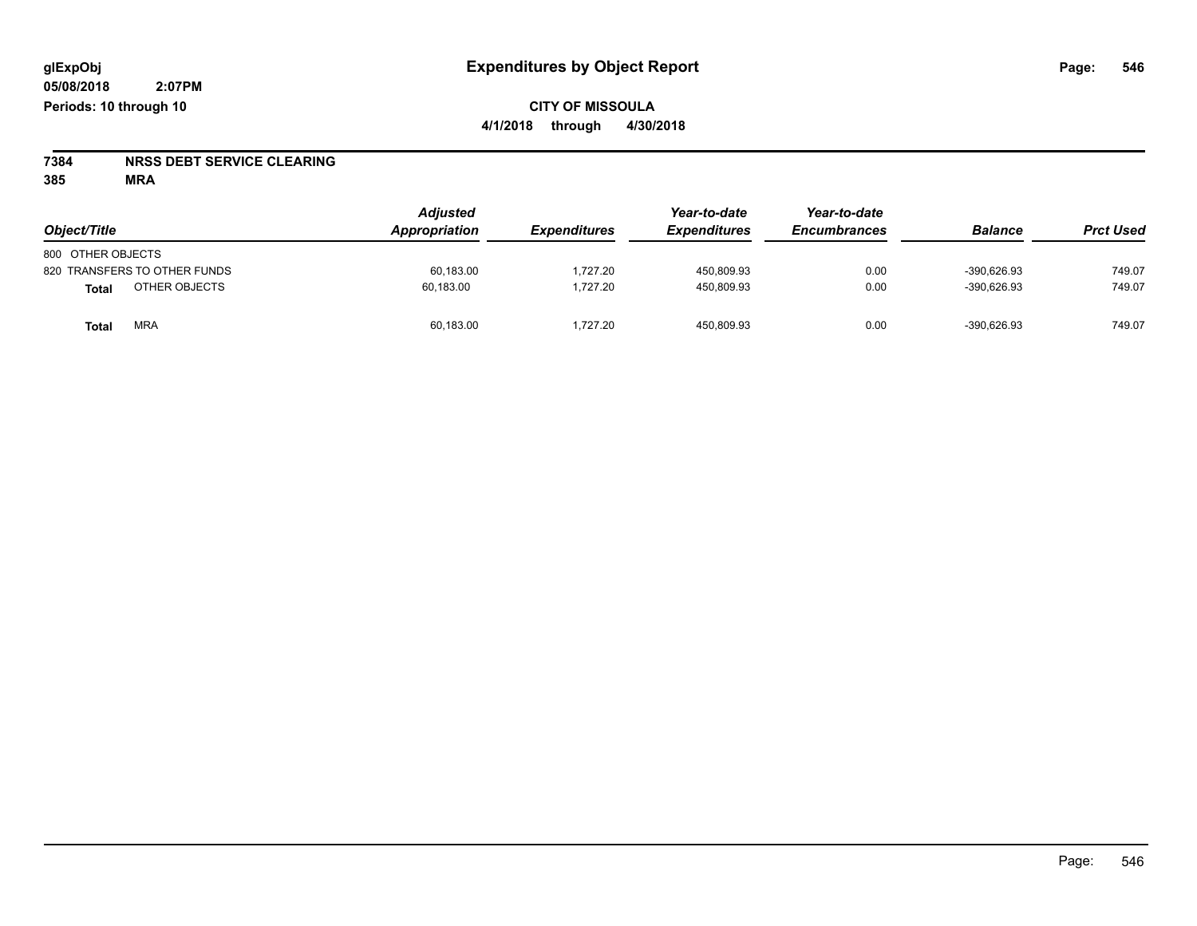# **7384 NRSS DEBT SERVICE CLEARING**

| Object/Title                  | <b>Adjusted</b><br>Appropriation | <i><b>Expenditures</b></i> | Year-to-date<br><b>Expenditures</b> | Year-to-date<br><b>Encumbrances</b> | <b>Balance</b> | <b>Prct Used</b> |
|-------------------------------|----------------------------------|----------------------------|-------------------------------------|-------------------------------------|----------------|------------------|
| 800 OTHER OBJECTS             |                                  |                            |                                     |                                     |                |                  |
| 820 TRANSFERS TO OTHER FUNDS  | 60,183.00                        | 1.727.20                   | 450,809.93                          | 0.00                                | -390.626.93    | 749.07           |
| OTHER OBJECTS<br><b>Total</b> | 60,183.00                        | 1.727.20                   | 450,809.93                          | 0.00                                | $-390.626.93$  | 749.07           |
| <b>MRA</b><br>Total           | 60,183.00                        | 1,727.20                   | 450,809.93                          | 0.00                                | $-390,626.93$  | 749.07           |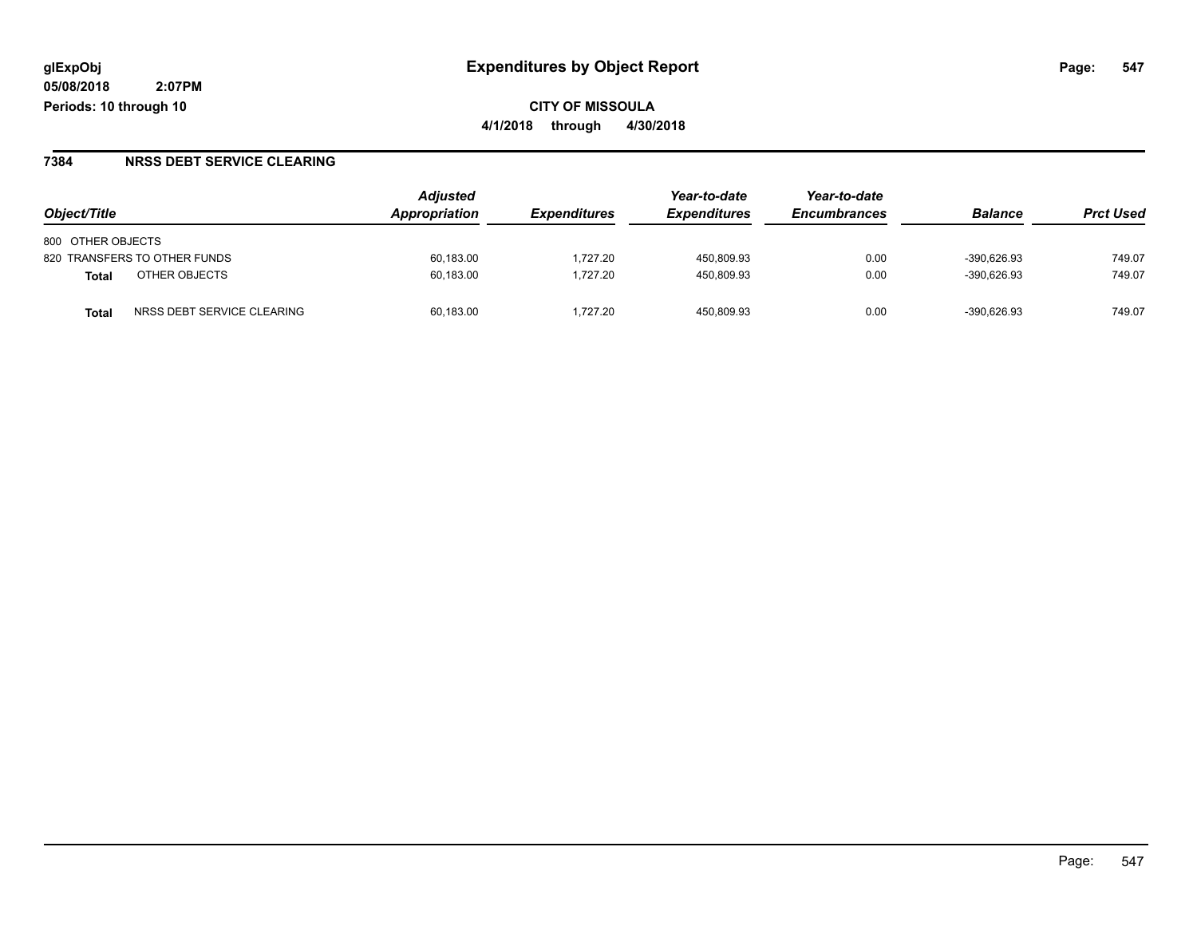**CITY OF MISSOULA 4/1/2018 through 4/30/2018**

#### **7384 NRSS DEBT SERVICE CLEARING**

|                                    | <b>Adjusted</b> |                            | Year-to-date               | Year-to-date        |                |                  |
|------------------------------------|-----------------|----------------------------|----------------------------|---------------------|----------------|------------------|
| Object/Title                       | Appropriation   | <i><b>Expenditures</b></i> | <i><b>Expenditures</b></i> | <b>Encumbrances</b> | <b>Balance</b> | <b>Prct Used</b> |
| 800 OTHER OBJECTS                  |                 |                            |                            |                     |                |                  |
| 820 TRANSFERS TO OTHER FUNDS       | 60,183.00       | 1.727.20                   | 450.809.93                 | 0.00                | $-390.626.93$  | 749.07           |
| OTHER OBJECTS<br>Total             | 60.183.00       | 1.727.20                   | 450.809.93                 | 0.00                | -390.626.93    | 749.07           |
| NRSS DEBT SERVICE CLEARING<br>Tota | 60.183.00       | 1.727.20                   | 450.809.93                 | 0.00                | $-390.626.93$  | 749.07           |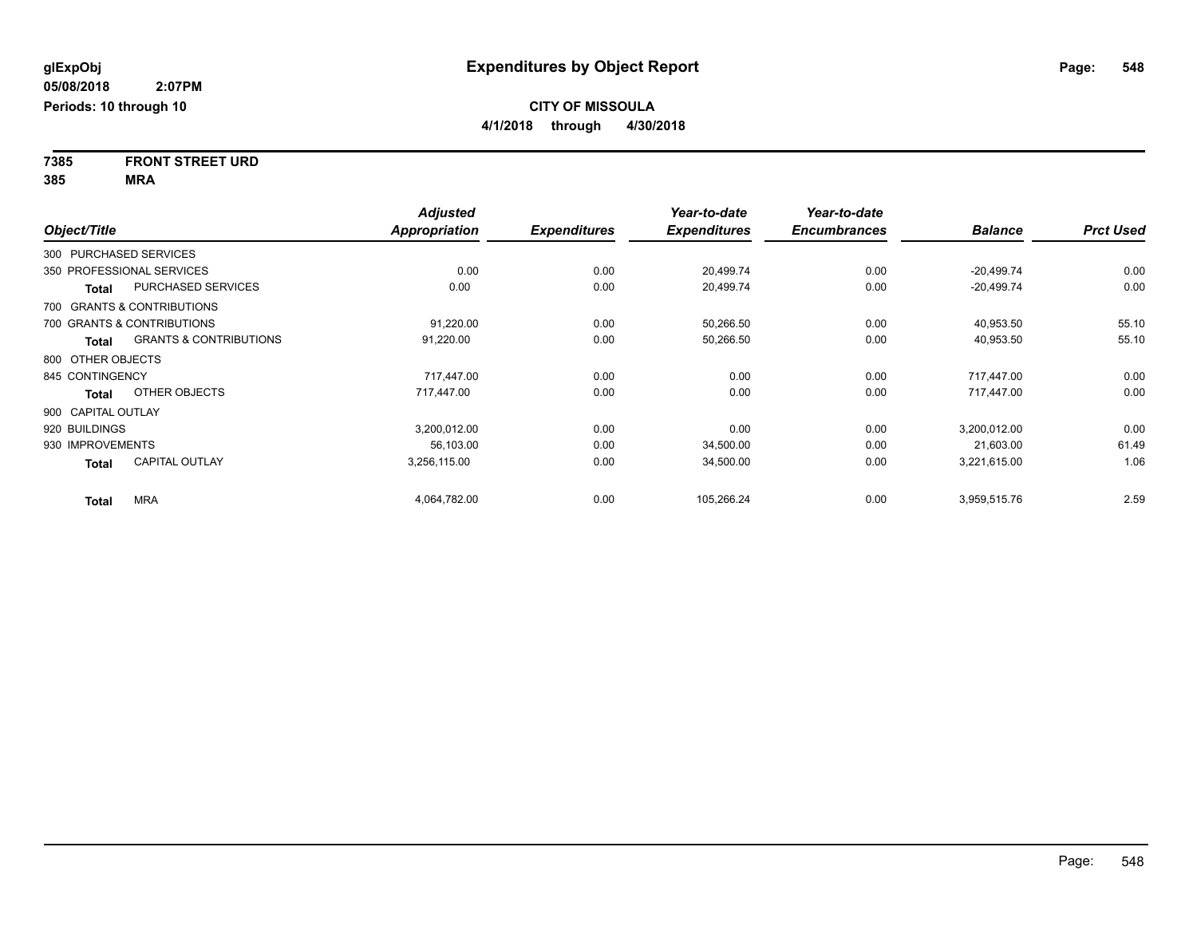**7385 FRONT STREET URD 385 MRA**

|                        |                                   | <b>Adjusted</b>      |                     | Year-to-date        | Year-to-date        |                |                  |
|------------------------|-----------------------------------|----------------------|---------------------|---------------------|---------------------|----------------|------------------|
| Object/Title           |                                   | <b>Appropriation</b> | <b>Expenditures</b> | <b>Expenditures</b> | <b>Encumbrances</b> | <b>Balance</b> | <b>Prct Used</b> |
| 300 PURCHASED SERVICES |                                   |                      |                     |                     |                     |                |                  |
|                        | 350 PROFESSIONAL SERVICES         | 0.00                 | 0.00                | 20,499.74           | 0.00                | $-20,499.74$   | 0.00             |
| Total                  | <b>PURCHASED SERVICES</b>         | 0.00                 | 0.00                | 20,499.74           | 0.00                | $-20,499.74$   | 0.00             |
|                        | 700 GRANTS & CONTRIBUTIONS        |                      |                     |                     |                     |                |                  |
|                        | 700 GRANTS & CONTRIBUTIONS        | 91.220.00            | 0.00                | 50,266.50           | 0.00                | 40,953.50      | 55.10            |
| Total                  | <b>GRANTS &amp; CONTRIBUTIONS</b> | 91,220.00            | 0.00                | 50,266.50           | 0.00                | 40,953.50      | 55.10            |
| 800 OTHER OBJECTS      |                                   |                      |                     |                     |                     |                |                  |
| 845 CONTINGENCY        |                                   | 717.447.00           | 0.00                | 0.00                | 0.00                | 717.447.00     | 0.00             |
| Total                  | OTHER OBJECTS                     | 717,447.00           | 0.00                | 0.00                | 0.00                | 717,447.00     | 0.00             |
| 900 CAPITAL OUTLAY     |                                   |                      |                     |                     |                     |                |                  |
| 920 BUILDINGS          |                                   | 3,200,012.00         | 0.00                | 0.00                | 0.00                | 3,200,012.00   | 0.00             |
| 930 IMPROVEMENTS       |                                   | 56,103.00            | 0.00                | 34,500.00           | 0.00                | 21,603.00      | 61.49            |
| <b>Total</b>           | <b>CAPITAL OUTLAY</b>             | 3,256,115.00         | 0.00                | 34,500.00           | 0.00                | 3,221,615.00   | 1.06             |
| <b>Total</b>           | <b>MRA</b>                        | 4,064,782.00         | 0.00                | 105,266.24          | 0.00                | 3,959,515.76   | 2.59             |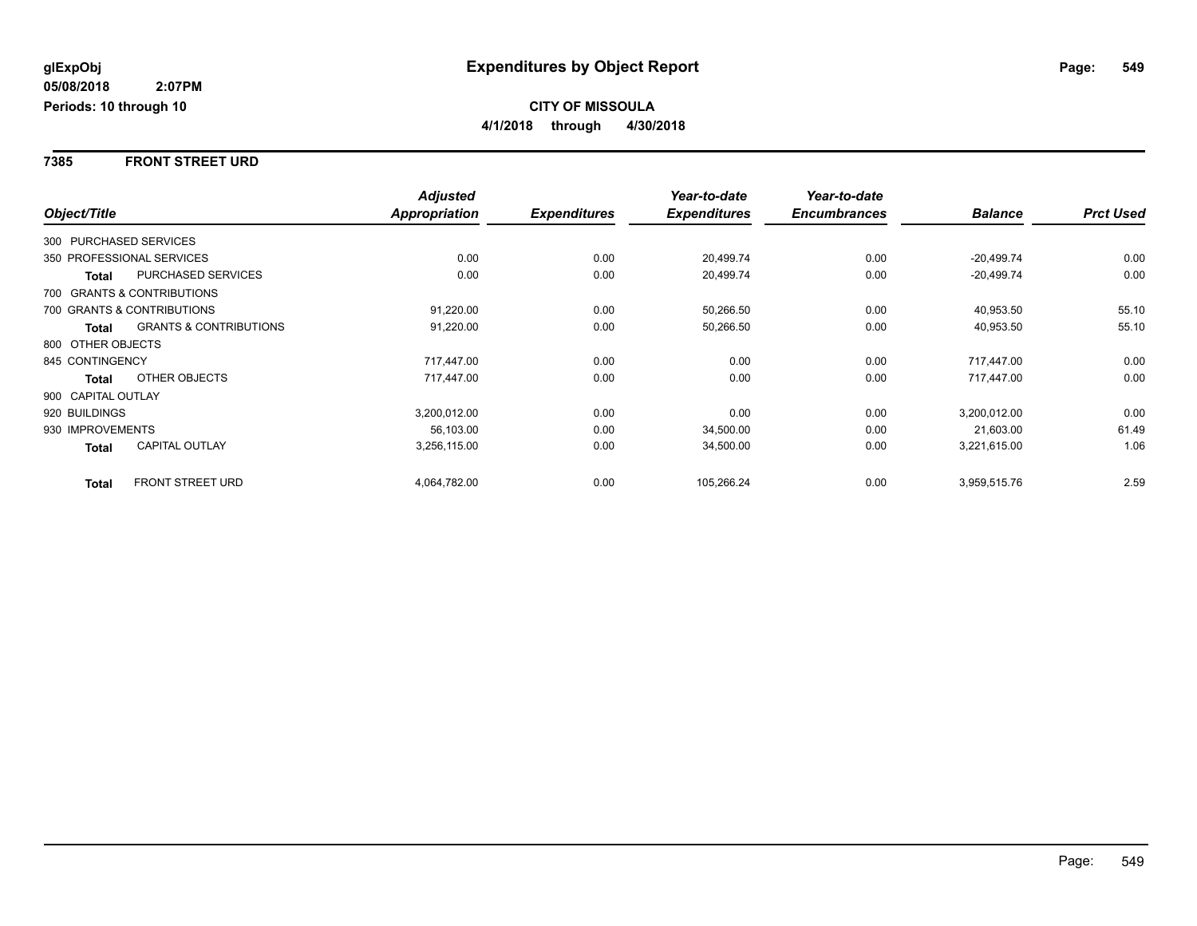#### **7385 FRONT STREET URD**

|                        |                                   | <b>Adjusted</b> |                     | Year-to-date        | Year-to-date        |                |                  |
|------------------------|-----------------------------------|-----------------|---------------------|---------------------|---------------------|----------------|------------------|
| Object/Title           |                                   | Appropriation   | <b>Expenditures</b> | <b>Expenditures</b> | <b>Encumbrances</b> | <b>Balance</b> | <b>Prct Used</b> |
| 300 PURCHASED SERVICES |                                   |                 |                     |                     |                     |                |                  |
|                        | 350 PROFESSIONAL SERVICES         | 0.00            | 0.00                | 20,499.74           | 0.00                | $-20,499.74$   | 0.00             |
| Total                  | <b>PURCHASED SERVICES</b>         | 0.00            | 0.00                | 20,499.74           | 0.00                | $-20,499.74$   | 0.00             |
|                        | 700 GRANTS & CONTRIBUTIONS        |                 |                     |                     |                     |                |                  |
|                        | 700 GRANTS & CONTRIBUTIONS        | 91,220.00       | 0.00                | 50,266.50           | 0.00                | 40,953.50      | 55.10            |
| <b>Total</b>           | <b>GRANTS &amp; CONTRIBUTIONS</b> | 91,220.00       | 0.00                | 50,266.50           | 0.00                | 40,953.50      | 55.10            |
| 800 OTHER OBJECTS      |                                   |                 |                     |                     |                     |                |                  |
| 845 CONTINGENCY        |                                   | 717,447.00      | 0.00                | 0.00                | 0.00                | 717,447.00     | 0.00             |
| Total                  | OTHER OBJECTS                     | 717.447.00      | 0.00                | 0.00                | 0.00                | 717.447.00     | 0.00             |
| 900 CAPITAL OUTLAY     |                                   |                 |                     |                     |                     |                |                  |
| 920 BUILDINGS          |                                   | 3,200,012.00    | 0.00                | 0.00                | 0.00                | 3,200,012.00   | 0.00             |
| 930 IMPROVEMENTS       |                                   | 56,103.00       | 0.00                | 34,500.00           | 0.00                | 21,603.00      | 61.49            |
| Total                  | <b>CAPITAL OUTLAY</b>             | 3,256,115.00    | 0.00                | 34,500.00           | 0.00                | 3,221,615.00   | 1.06             |
| <b>Total</b>           | <b>FRONT STREET URD</b>           | 4,064,782.00    | 0.00                | 105,266.24          | 0.00                | 3,959,515.76   | 2.59             |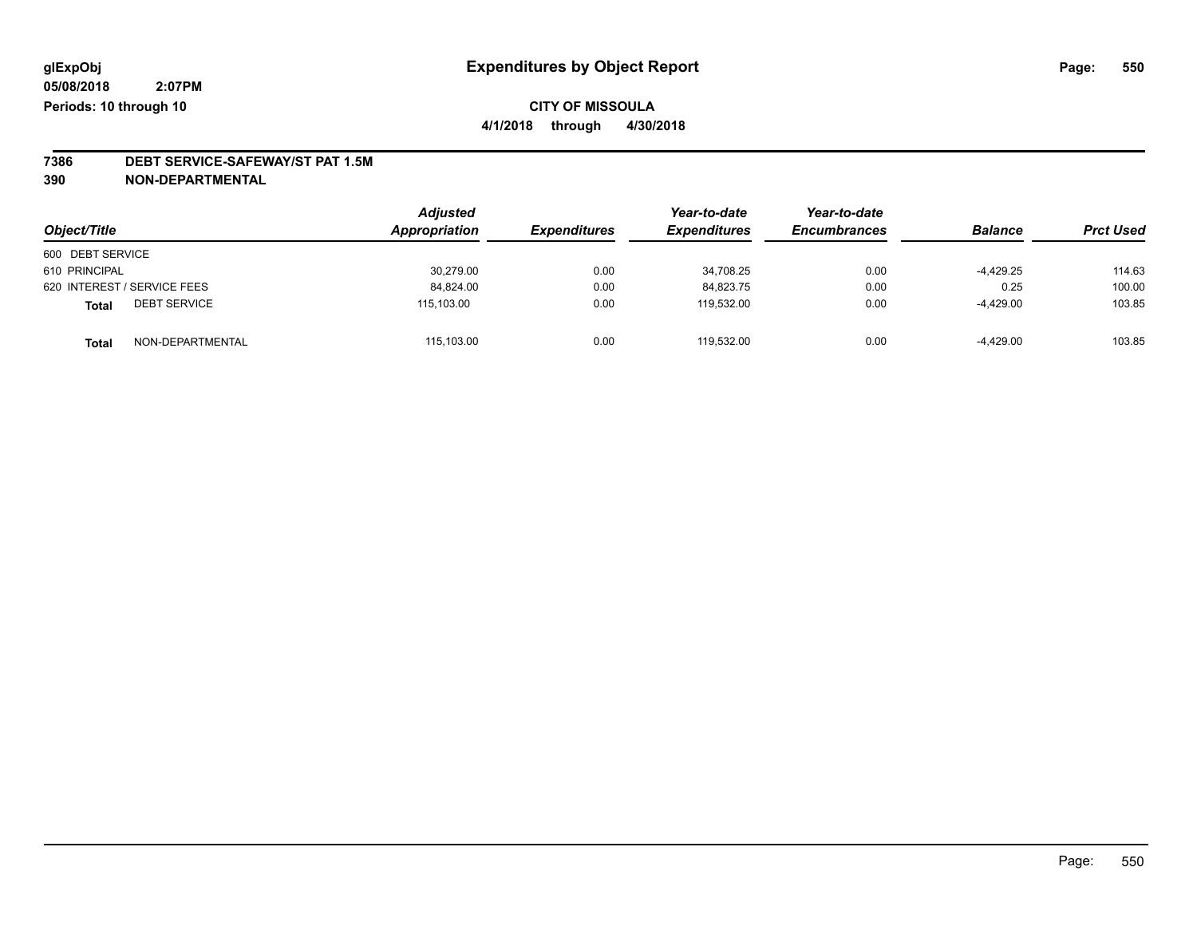# **7386 DEBT SERVICE-SAFEWAY/ST PAT 1.5M**

**390 NON-DEPARTMENTAL**

| Object/Title                        | <b>Adjusted</b><br>Appropriation | <i><b>Expenditures</b></i> | Year-to-date<br><b>Expenditures</b> | Year-to-date<br><b>Encumbrances</b> | <b>Balance</b> | <b>Prct Used</b> |
|-------------------------------------|----------------------------------|----------------------------|-------------------------------------|-------------------------------------|----------------|------------------|
| 600 DEBT SERVICE                    |                                  |                            |                                     |                                     |                |                  |
| 610 PRINCIPAL                       | 30,279.00                        | 0.00                       | 34.708.25                           | 0.00                                | $-4,429.25$    | 114.63           |
| 620 INTEREST / SERVICE FEES         | 84,824.00                        | 0.00                       | 84,823.75                           | 0.00                                | 0.25           | 100.00           |
| <b>DEBT SERVICE</b><br><b>Total</b> | 115.103.00                       | 0.00                       | 119.532.00                          | 0.00                                | $-4,429.00$    | 103.85           |
| NON-DEPARTMENTAL<br>Total           | 115,103.00                       | 0.00                       | 119.532.00                          | 0.00                                | $-4,429.00$    | 103.85           |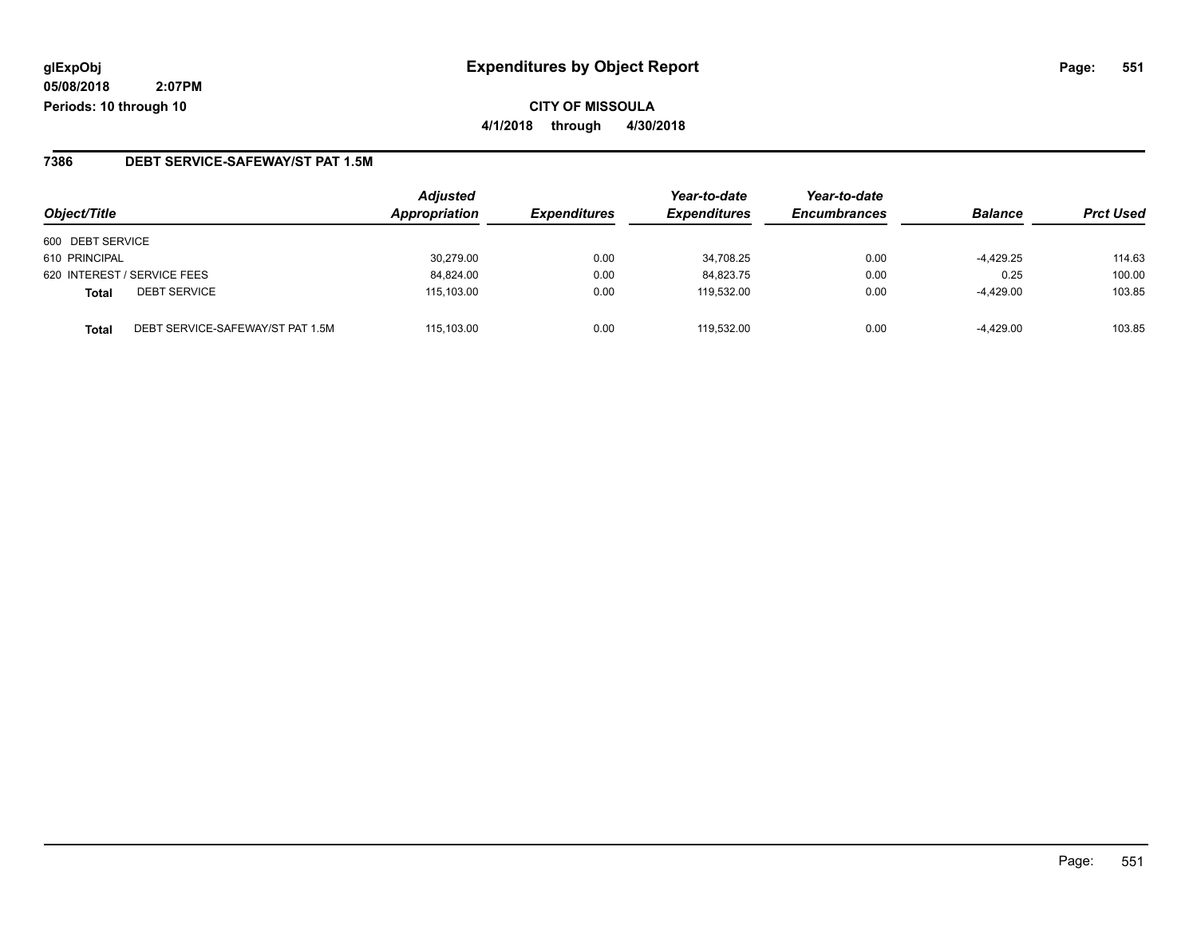**CITY OF MISSOULA 4/1/2018 through 4/30/2018**

#### **7386 DEBT SERVICE-SAFEWAY/ST PAT 1.5M**

| Object/Title                                     | Adjusted<br>Appropriation | <i><b>Expenditures</b></i> | Year-to-date<br><b>Expenditures</b> | Year-to-date<br><b>Encumbrances</b> | <b>Balance</b> | <b>Prct Used</b> |
|--------------------------------------------------|---------------------------|----------------------------|-------------------------------------|-------------------------------------|----------------|------------------|
| 600 DEBT SERVICE                                 |                           |                            |                                     |                                     |                |                  |
| 610 PRINCIPAL                                    | 30.279.00                 | 0.00                       | 34.708.25                           | 0.00                                | $-4.429.25$    | 114.63           |
| 620 INTEREST / SERVICE FEES                      | 84,824.00                 | 0.00                       | 84,823.75                           | 0.00                                | 0.25           | 100.00           |
| <b>DEBT SERVICE</b><br><b>Total</b>              | 115.103.00                | 0.00                       | 119.532.00                          | 0.00                                | $-4,429.00$    | 103.85           |
| DEBT SERVICE-SAFEWAY/ST PAT 1.5M<br><b>Total</b> | 115.103.00                | 0.00                       | 119.532.00                          | 0.00                                | $-4.429.00$    | 103.85           |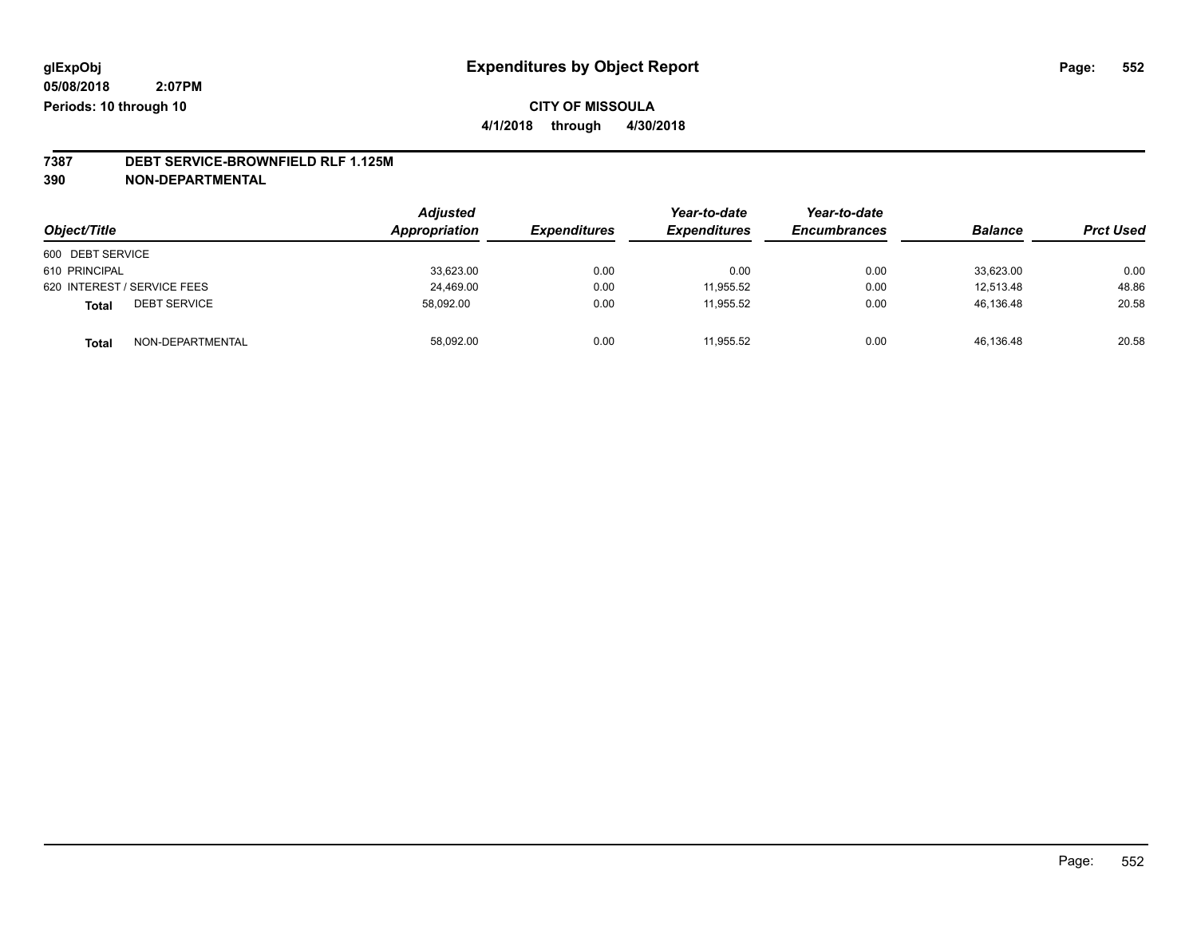# **7387 DEBT SERVICE-BROWNFIELD RLF 1.125M**

**390 NON-DEPARTMENTAL**

| Object/Title                     | <b>Adjusted</b><br>Appropriation | <b>Expenditures</b> | Year-to-date<br><b>Expenditures</b> | Year-to-date<br><b>Encumbrances</b> | <b>Balance</b> | <b>Prct Used</b> |
|----------------------------------|----------------------------------|---------------------|-------------------------------------|-------------------------------------|----------------|------------------|
| 600 DEBT SERVICE                 |                                  |                     |                                     |                                     |                |                  |
| 610 PRINCIPAL                    | 33,623.00                        | 0.00                | 0.00                                | 0.00                                | 33.623.00      | 0.00             |
| 620 INTEREST / SERVICE FEES      | 24,469.00                        | 0.00                | 11.955.52                           | 0.00                                | 12.513.48      | 48.86            |
| <b>DEBT SERVICE</b><br>Total     | 58,092.00                        | 0.00                | 11,955.52                           | 0.00                                | 46,136.48      | 20.58            |
| NON-DEPARTMENTAL<br><b>Total</b> | 58,092.00                        | 0.00                | 11.955.52                           | 0.00                                | 46,136.48      | 20.58            |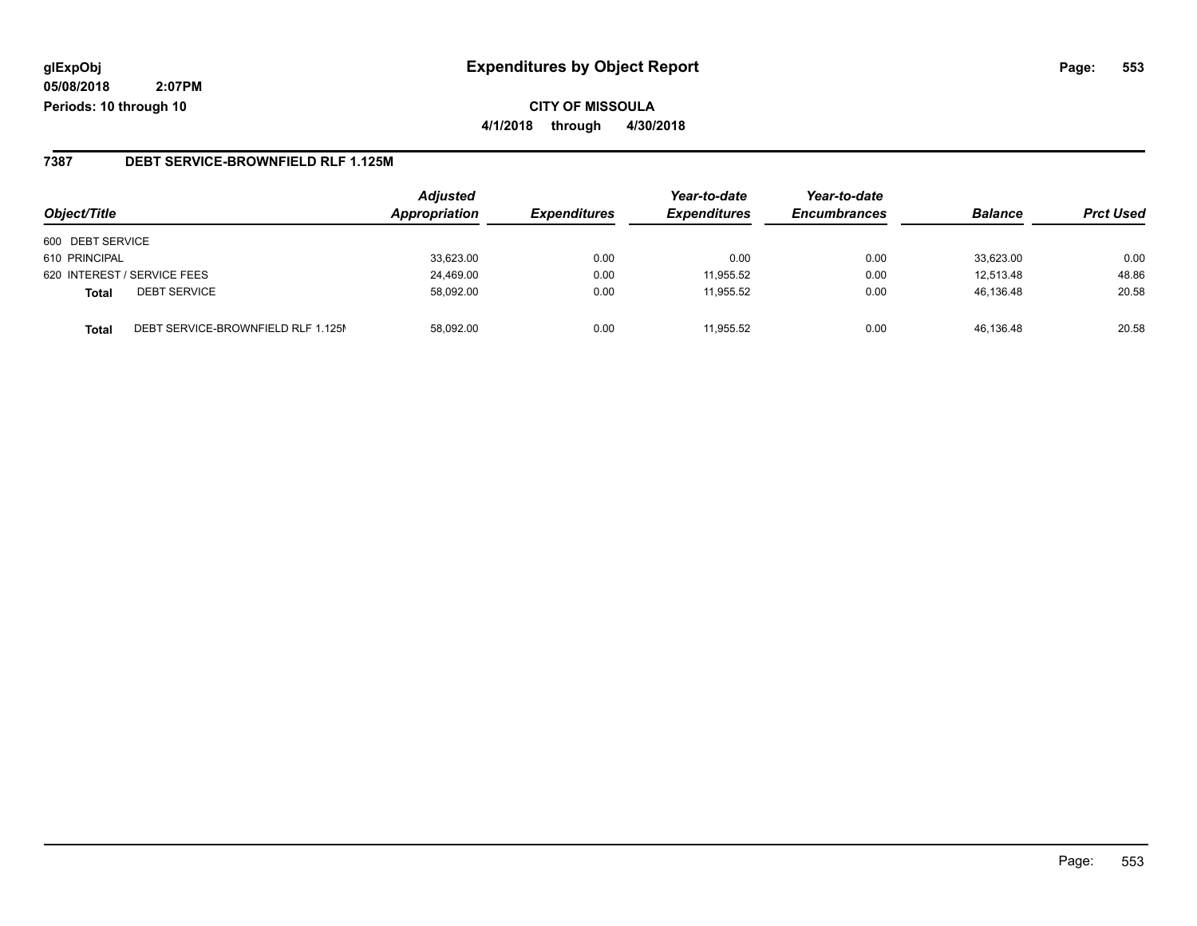## **glExpObj Expenditures by Object Report Page: 553**

**05/08/2018 2:07PM Periods: 10 through 10**

**CITY OF MISSOULA 4/1/2018 through 4/30/2018**

#### **7387 DEBT SERVICE-BROWNFIELD RLF 1.125M**

| Object/Title                                       | <b>Adjusted</b><br>Appropriation | <b>Expenditures</b> | Year-to-date<br><b>Expenditures</b> | Year-to-date<br><b>Encumbrances</b> | <b>Balance</b> | <b>Prct Used</b> |
|----------------------------------------------------|----------------------------------|---------------------|-------------------------------------|-------------------------------------|----------------|------------------|
| 600 DEBT SERVICE                                   |                                  |                     |                                     |                                     |                |                  |
| 610 PRINCIPAL                                      | 33,623.00                        | 0.00                | 0.00                                | 0.00                                | 33,623.00      | 0.00             |
| 620 INTEREST / SERVICE FEES                        | 24.469.00                        | 0.00                | 11.955.52                           | 0.00                                | 12.513.48      | 48.86            |
| <b>DEBT SERVICE</b><br><b>Total</b>                | 58,092.00                        | 0.00                | 11.955.52                           | 0.00                                | 46.136.48      | 20.58            |
| DEBT SERVICE-BROWNFIELD RLF 1.125M<br><b>Total</b> | 58.092.00                        | 0.00                | 11.955.52                           | 0.00                                | 46.136.48      | 20.58            |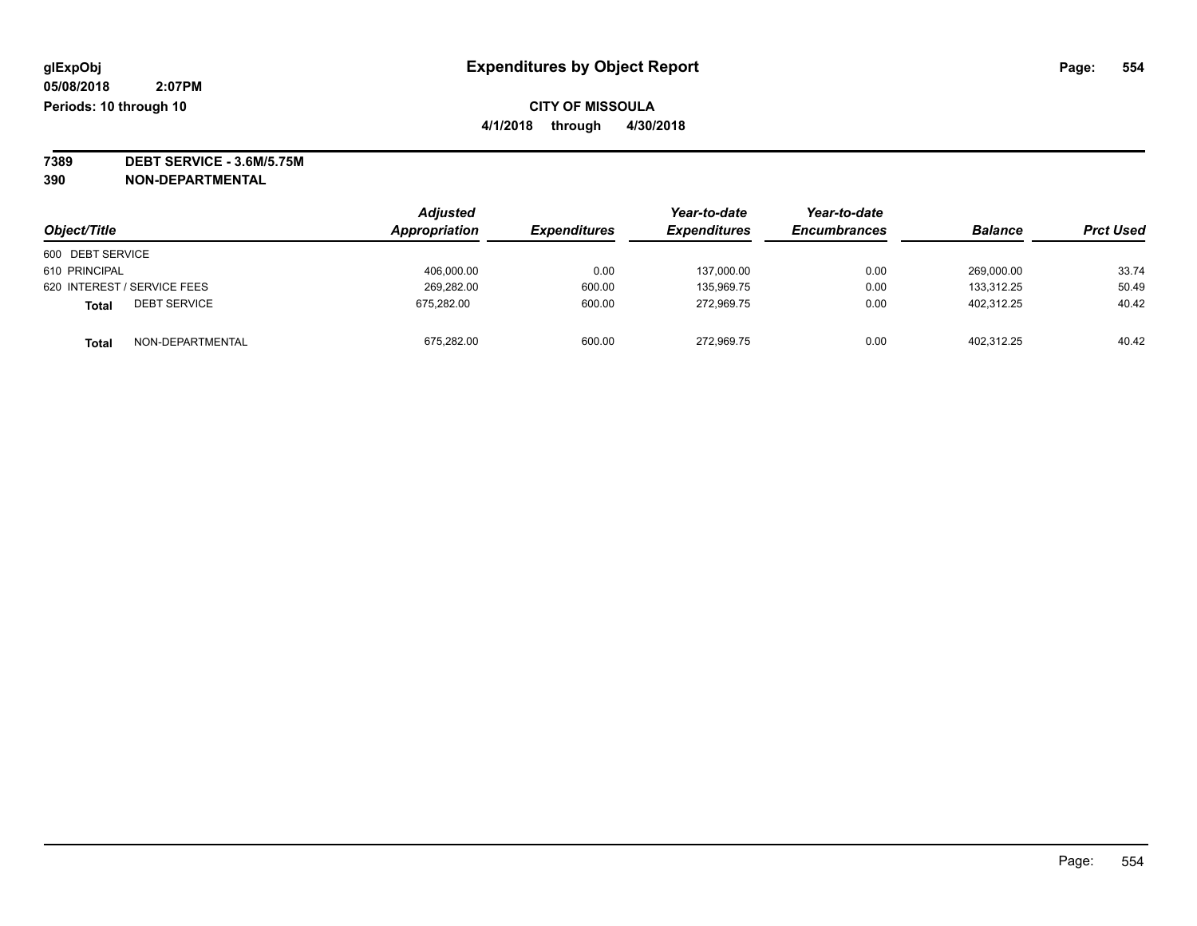**7389 DEBT SERVICE - 3.6M/5.75M**

**390 NON-DEPARTMENTAL**

|                                     | <b>Adjusted</b> |                     | Year-to-date        | Year-to-date        |                |                  |
|-------------------------------------|-----------------|---------------------|---------------------|---------------------|----------------|------------------|
| Object/Title                        | Appropriation   | <b>Expenditures</b> | <b>Expenditures</b> | <b>Encumbrances</b> | <b>Balance</b> | <b>Prct Used</b> |
| 600 DEBT SERVICE                    |                 |                     |                     |                     |                |                  |
| 610 PRINCIPAL                       | 406,000.00      | 0.00                | 137,000.00          | 0.00                | 269.000.00     | 33.74            |
| 620 INTEREST / SERVICE FEES         | 269,282.00      | 600.00              | 135,969.75          | 0.00                | 133.312.25     | 50.49            |
| <b>DEBT SERVICE</b><br><b>Total</b> | 675,282.00      | 600.00              | 272,969.75          | 0.00                | 402.312.25     | 40.42            |
| NON-DEPARTMENTAL<br><b>Total</b>    | 675,282.00      | 600.00              | 272,969.75          | 0.00                | 402.312.25     | 40.42            |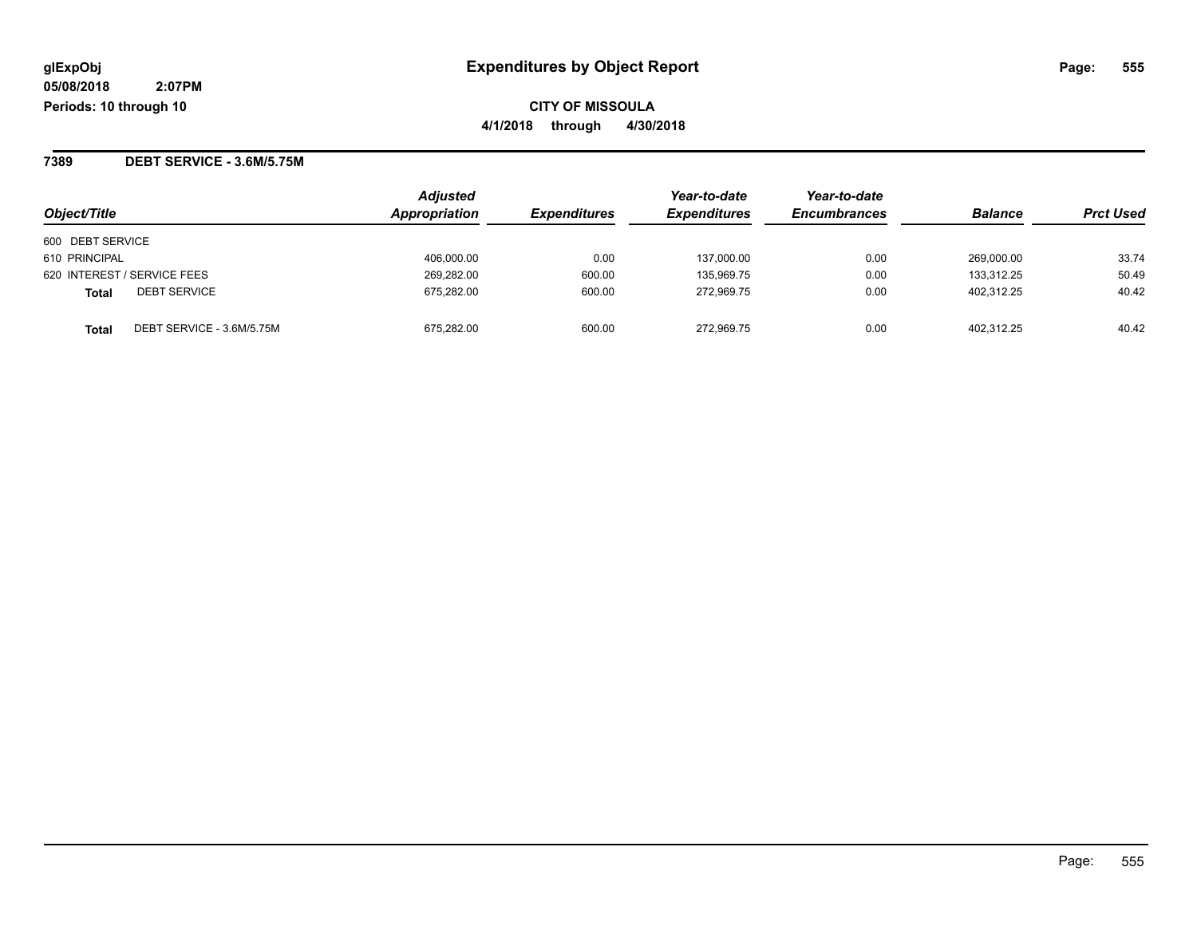**7389 DEBT SERVICE - 3.6M/5.75M**

| Object/Title                              | <b>Adjusted</b><br>Appropriation | <i><b>Expenditures</b></i> | Year-to-date<br><b>Expenditures</b> | Year-to-date<br><b>Encumbrances</b> | <b>Balance</b> | <b>Prct Used</b> |
|-------------------------------------------|----------------------------------|----------------------------|-------------------------------------|-------------------------------------|----------------|------------------|
| 600 DEBT SERVICE                          |                                  |                            |                                     |                                     |                |                  |
| 610 PRINCIPAL                             | 406.000.00                       | 0.00                       | 137.000.00                          | 0.00                                | 269.000.00     | 33.74            |
| 620 INTEREST / SERVICE FEES               | 269,282.00                       | 600.00                     | 135,969.75                          | 0.00                                | 133.312.25     | 50.49            |
| <b>DEBT SERVICE</b><br><b>Total</b>       | 675.282.00                       | 600.00                     | 272.969.75                          | 0.00                                | 402.312.25     | 40.42            |
| DEBT SERVICE - 3.6M/5.75M<br><b>Total</b> | 675.282.00                       | 600.00                     | 272.969.75                          | 0.00                                | 402.312.25     | 40.42            |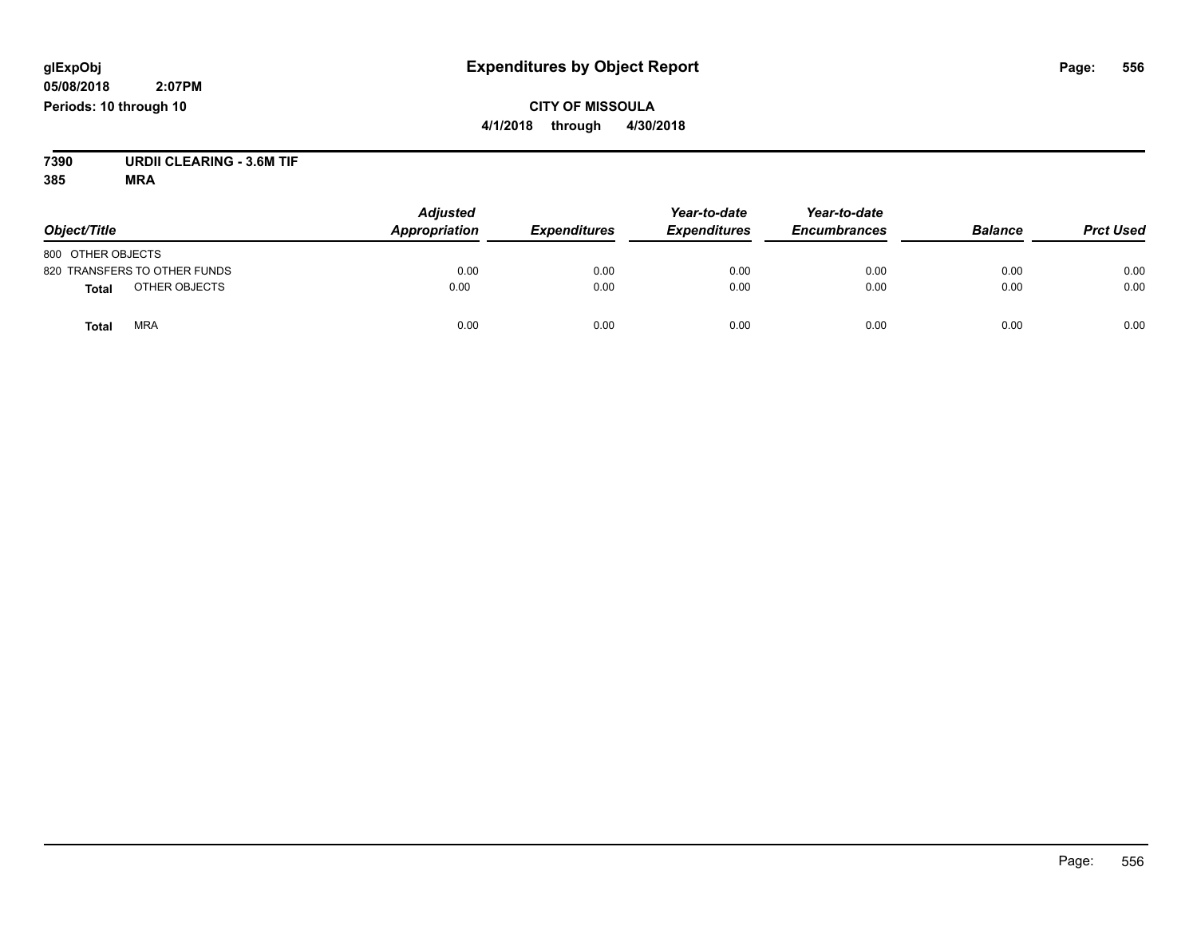**CITY OF MISSOULA 4/1/2018 through 4/30/2018**

**7390 URDII CLEARING - 3.6M TIF**

| Object/Title                  | <b>Adjusted</b><br>Appropriation | <b>Expenditures</b> | Year-to-date<br><b>Expenditures</b> | Year-to-date<br><b>Encumbrances</b> | <b>Balance</b> | <b>Prct Used</b> |
|-------------------------------|----------------------------------|---------------------|-------------------------------------|-------------------------------------|----------------|------------------|
| 800 OTHER OBJECTS             |                                  |                     |                                     |                                     |                |                  |
| 820 TRANSFERS TO OTHER FUNDS  | 0.00                             | 0.00                | 0.00                                | 0.00                                | 0.00           | 0.00             |
| OTHER OBJECTS<br><b>Total</b> | 0.00                             | 0.00                | 0.00                                | 0.00                                | 0.00           | 0.00             |
| <b>MRA</b><br>Total           | 0.00                             | 0.00                | 0.00                                | 0.00                                | 0.00           | 0.00             |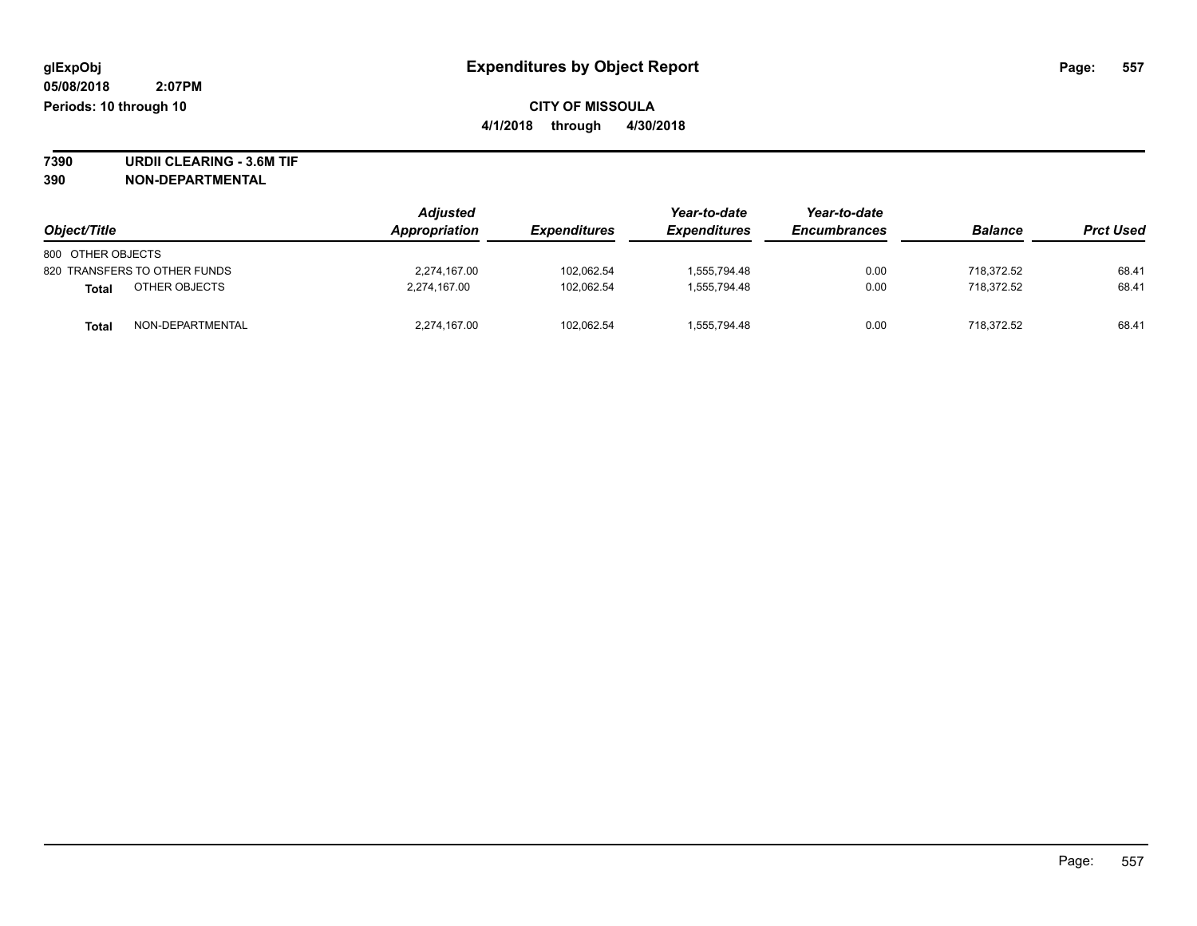**7390 URDII CLEARING - 3.6M TIF 390 NON-DEPARTMENTAL**

| Object/Title      |                              | <b>Adjusted</b><br>Appropriation | <i><b>Expenditures</b></i> | Year-to-date<br><b>Expenditures</b> | Year-to-date<br><b>Encumbrances</b> | <b>Balance</b> | <b>Prct Used</b> |
|-------------------|------------------------------|----------------------------------|----------------------------|-------------------------------------|-------------------------------------|----------------|------------------|
| 800 OTHER OBJECTS |                              |                                  |                            |                                     |                                     |                |                  |
|                   | 820 TRANSFERS TO OTHER FUNDS | 2,274,167.00                     | 102,062.54                 | 1,555,794.48                        | 0.00                                | 718.372.52     | 68.41            |
| <b>Total</b>      | OTHER OBJECTS                | 2,274,167.00                     | 102,062.54                 | 1,555,794.48                        | 0.00                                | 718.372.52     | 68.41            |
| <b>Total</b>      | NON-DEPARTMENTAL             | 2,274,167.00                     | 102,062.54                 | 1,555,794.48                        | 0.00                                | 718.372.52     | 68.41            |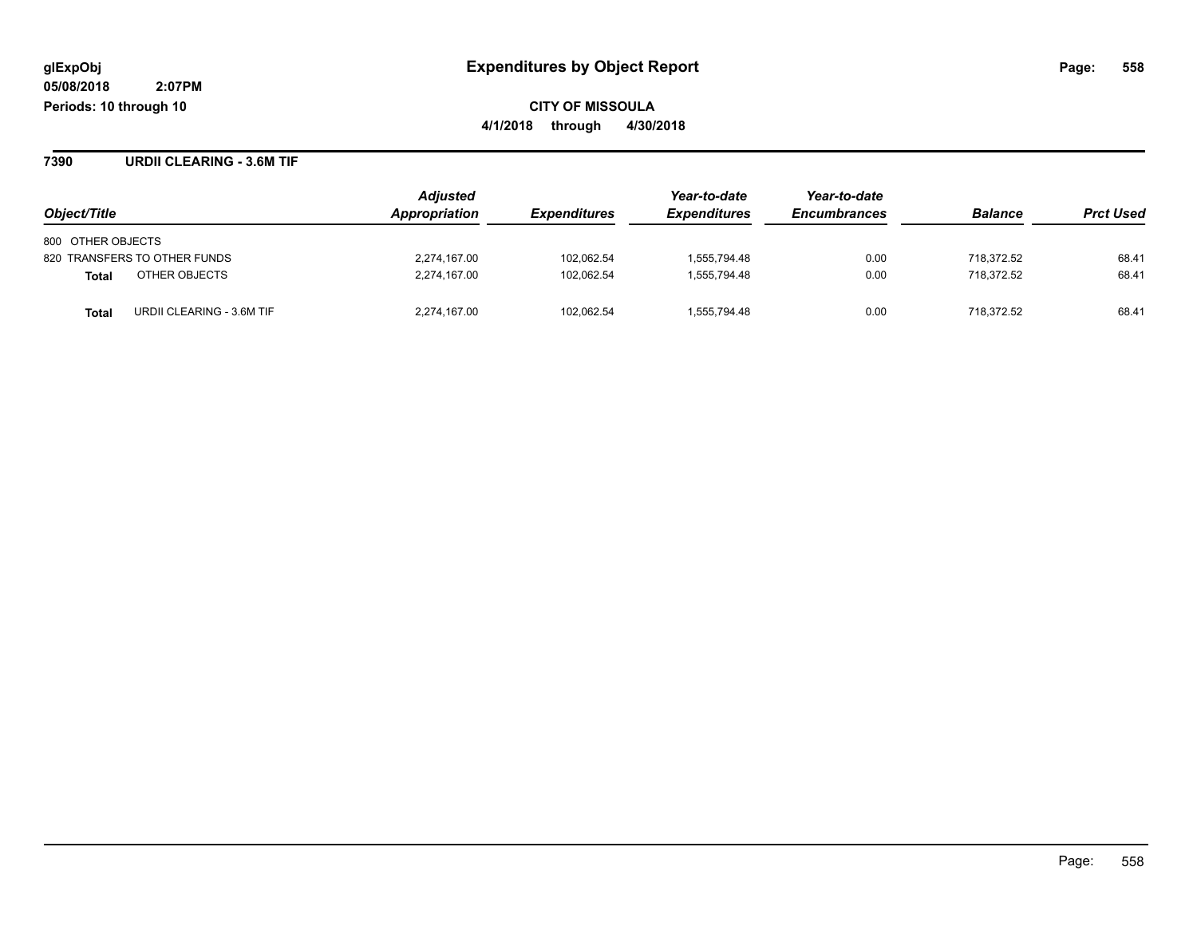**7390 URDII CLEARING - 3.6M TIF**

|                                    | <b>Adjusted</b><br>Appropriation<br><i><b>Expenditures</b></i> | Year-to-date | Year-to-date        |                     |                |                  |
|------------------------------------|----------------------------------------------------------------|--------------|---------------------|---------------------|----------------|------------------|
| Object/Title                       |                                                                |              | <b>Expenditures</b> | <b>Encumbrances</b> | <b>Balance</b> | <b>Prct Used</b> |
| 800 OTHER OBJECTS                  |                                                                |              |                     |                     |                |                  |
| 820 TRANSFERS TO OTHER FUNDS       | 2,274,167.00                                                   | 102,062.54   | 1.555.794.48        | 0.00                | 718.372.52     | 68.41            |
| OTHER OBJECTS<br><b>Total</b>      | 2,274,167.00                                                   | 102.062.54   | 1.555.794.48        | 0.00                | 718.372.52     | 68.41            |
| URDII CLEARING - 3.6M TIF<br>Total | 2,274,167.00                                                   | 102.062.54   | 1.555.794.48        | 0.00                | 718.372.52     | 68.41            |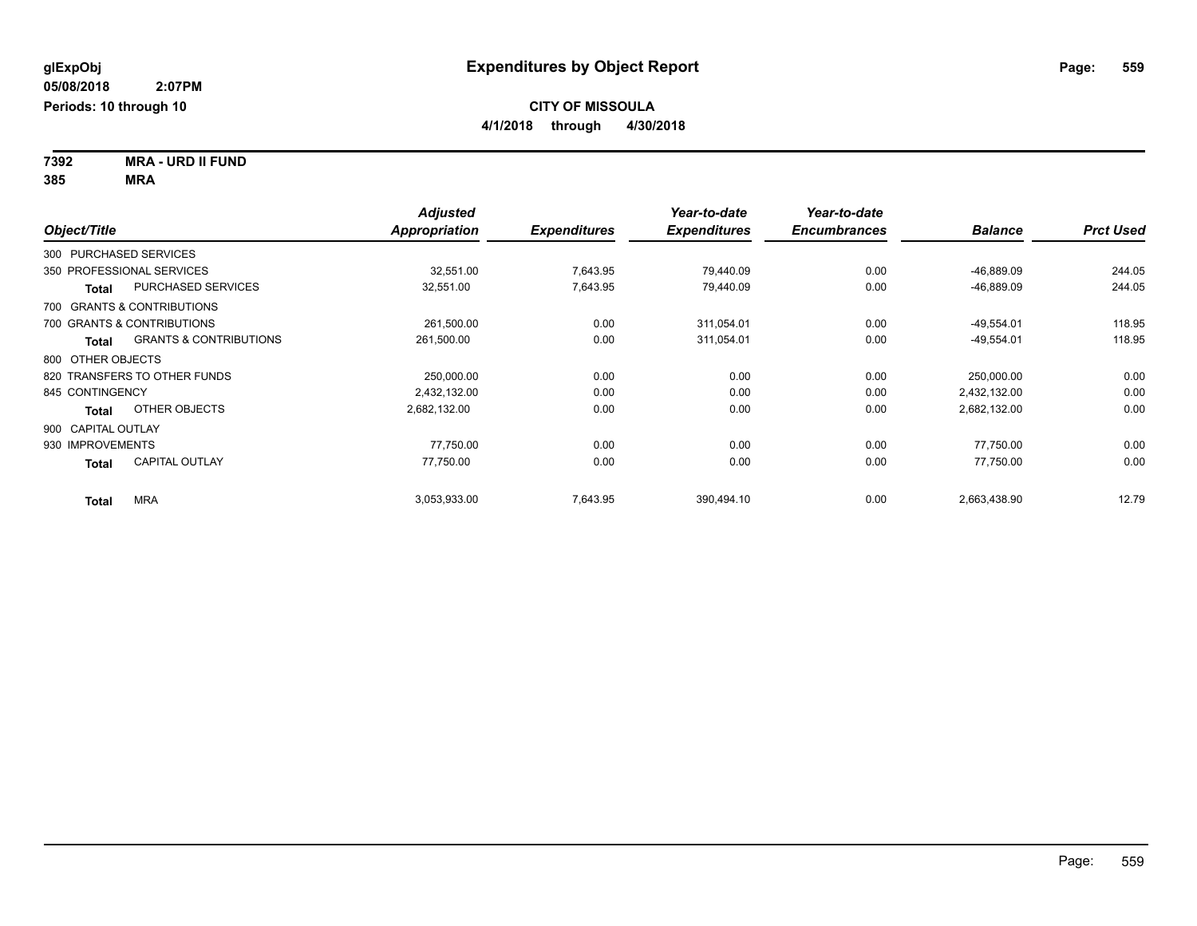**7392 MRA - URD II FUND 385 MRA**

|                    |                                   | <b>Adjusted</b>      |                     | Year-to-date        | Year-to-date        |                |                  |
|--------------------|-----------------------------------|----------------------|---------------------|---------------------|---------------------|----------------|------------------|
| Object/Title       |                                   | <b>Appropriation</b> | <b>Expenditures</b> | <b>Expenditures</b> | <b>Encumbrances</b> | <b>Balance</b> | <b>Prct Used</b> |
|                    | 300 PURCHASED SERVICES            |                      |                     |                     |                     |                |                  |
|                    | 350 PROFESSIONAL SERVICES         | 32,551.00            | 7,643.95            | 79.440.09           | 0.00                | $-46,889.09$   | 244.05           |
| <b>Total</b>       | PURCHASED SERVICES                | 32,551.00            | 7,643.95            | 79,440.09           | 0.00                | $-46,889.09$   | 244.05           |
|                    | 700 GRANTS & CONTRIBUTIONS        |                      |                     |                     |                     |                |                  |
|                    | 700 GRANTS & CONTRIBUTIONS        | 261,500.00           | 0.00                | 311,054.01          | 0.00                | $-49,554.01$   | 118.95           |
| <b>Total</b>       | <b>GRANTS &amp; CONTRIBUTIONS</b> | 261,500.00           | 0.00                | 311,054.01          | 0.00                | $-49,554.01$   | 118.95           |
| 800 OTHER OBJECTS  |                                   |                      |                     |                     |                     |                |                  |
|                    | 820 TRANSFERS TO OTHER FUNDS      | 250,000.00           | 0.00                | 0.00                | 0.00                | 250,000.00     | 0.00             |
| 845 CONTINGENCY    |                                   | 2,432,132.00         | 0.00                | 0.00                | 0.00                | 2,432,132.00   | 0.00             |
| <b>Total</b>       | OTHER OBJECTS                     | 2,682,132.00         | 0.00                | 0.00                | 0.00                | 2,682,132.00   | 0.00             |
| 900 CAPITAL OUTLAY |                                   |                      |                     |                     |                     |                |                  |
| 930 IMPROVEMENTS   |                                   | 77,750.00            | 0.00                | 0.00                | 0.00                | 77,750.00      | 0.00             |
| <b>Total</b>       | <b>CAPITAL OUTLAY</b>             | 77,750.00            | 0.00                | 0.00                | 0.00                | 77.750.00      | 0.00             |
| <b>Total</b>       | <b>MRA</b>                        | 3,053,933.00         | 7,643.95            | 390,494.10          | 0.00                | 2,663,438.90   | 12.79            |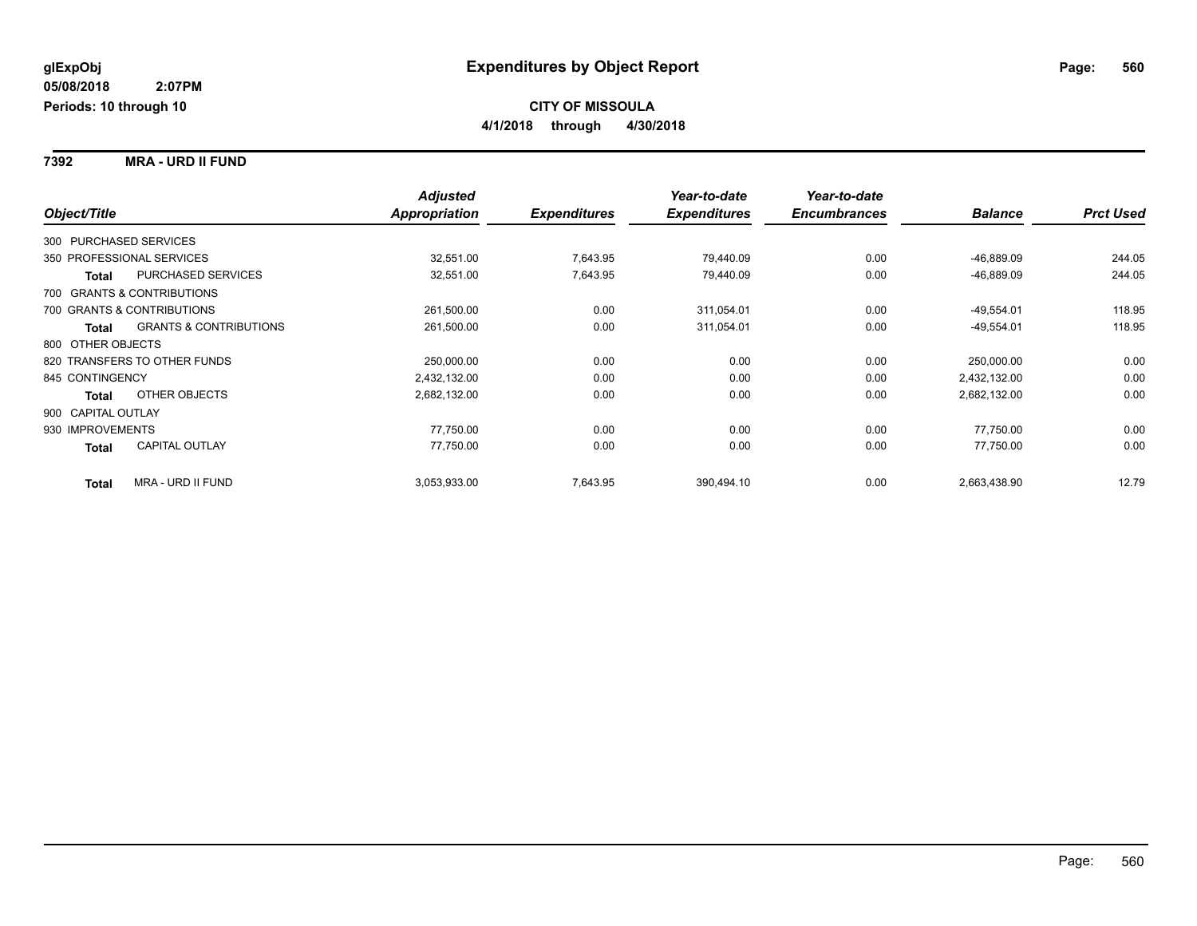**7392 MRA - URD II FUND**

|                        |                                   | <b>Adjusted</b> |                     | Year-to-date        | Year-to-date        |                |                  |
|------------------------|-----------------------------------|-----------------|---------------------|---------------------|---------------------|----------------|------------------|
| Object/Title           |                                   | Appropriation   | <b>Expenditures</b> | <b>Expenditures</b> | <b>Encumbrances</b> | <b>Balance</b> | <b>Prct Used</b> |
| 300 PURCHASED SERVICES |                                   |                 |                     |                     |                     |                |                  |
|                        | 350 PROFESSIONAL SERVICES         | 32,551.00       | 7,643.95            | 79,440.09           | 0.00                | -46,889.09     | 244.05           |
| <b>Total</b>           | <b>PURCHASED SERVICES</b>         | 32,551.00       | 7,643.95            | 79,440.09           | 0.00                | $-46,889.09$   | 244.05           |
|                        | 700 GRANTS & CONTRIBUTIONS        |                 |                     |                     |                     |                |                  |
|                        | 700 GRANTS & CONTRIBUTIONS        | 261,500.00      | 0.00                | 311,054.01          | 0.00                | $-49,554.01$   | 118.95           |
| <b>Total</b>           | <b>GRANTS &amp; CONTRIBUTIONS</b> | 261,500.00      | 0.00                | 311,054.01          | 0.00                | $-49,554.01$   | 118.95           |
| 800 OTHER OBJECTS      |                                   |                 |                     |                     |                     |                |                  |
|                        | 820 TRANSFERS TO OTHER FUNDS      | 250,000.00      | 0.00                | 0.00                | 0.00                | 250,000.00     | 0.00             |
| 845 CONTINGENCY        |                                   | 2,432,132.00    | 0.00                | 0.00                | 0.00                | 2,432,132.00   | 0.00             |
| <b>Total</b>           | OTHER OBJECTS                     | 2,682,132.00    | 0.00                | 0.00                | 0.00                | 2,682,132.00   | 0.00             |
| 900 CAPITAL OUTLAY     |                                   |                 |                     |                     |                     |                |                  |
| 930 IMPROVEMENTS       |                                   | 77,750.00       | 0.00                | 0.00                | 0.00                | 77.750.00      | 0.00             |
| Total                  | <b>CAPITAL OUTLAY</b>             | 77,750.00       | 0.00                | 0.00                | 0.00                | 77,750.00      | 0.00             |
| <b>Total</b>           | <b>MRA - URD II FUND</b>          | 3,053,933.00    | 7,643.95            | 390,494.10          | 0.00                | 2,663,438.90   | 12.79            |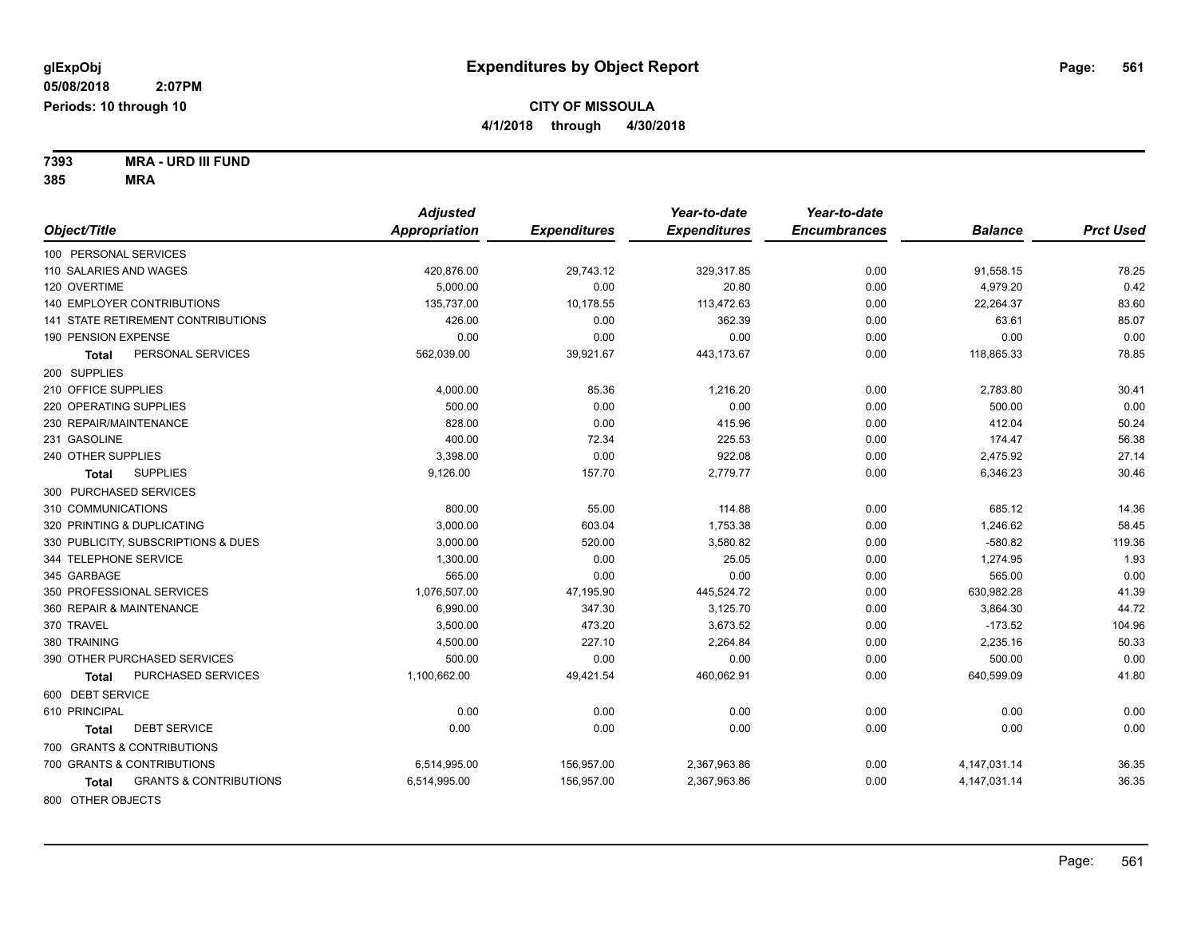**7393 MRA - URD III FUND 385 MRA**

|                                            | <b>Adjusted</b>      |                     | Year-to-date        | Year-to-date        |                |                  |
|--------------------------------------------|----------------------|---------------------|---------------------|---------------------|----------------|------------------|
| Object/Title                               | <b>Appropriation</b> | <b>Expenditures</b> | <b>Expenditures</b> | <b>Encumbrances</b> | <b>Balance</b> | <b>Prct Used</b> |
| 100 PERSONAL SERVICES                      |                      |                     |                     |                     |                |                  |
| 110 SALARIES AND WAGES                     | 420,876.00           | 29,743.12           | 329,317.85          | 0.00                | 91,558.15      | 78.25            |
| 120 OVERTIME                               | 5.000.00             | 0.00                | 20.80               | 0.00                | 4,979.20       | 0.42             |
| 140 EMPLOYER CONTRIBUTIONS                 | 135,737.00           | 10,178.55           | 113,472.63          | 0.00                | 22,264.37      | 83.60            |
| 141 STATE RETIREMENT CONTRIBUTIONS         | 426.00               | 0.00                | 362.39              | 0.00                | 63.61          | 85.07            |
| 190 PENSION EXPENSE                        | 0.00                 | 0.00                | 0.00                | 0.00                | 0.00           | 0.00             |
| PERSONAL SERVICES<br>Total                 | 562,039.00           | 39,921.67           | 443,173.67          | 0.00                | 118,865.33     | 78.85            |
| 200 SUPPLIES                               |                      |                     |                     |                     |                |                  |
| 210 OFFICE SUPPLIES                        | 4,000.00             | 85.36               | 1,216.20            | 0.00                | 2,783.80       | 30.41            |
| 220 OPERATING SUPPLIES                     | 500.00               | 0.00                | 0.00                | 0.00                | 500.00         | 0.00             |
| 230 REPAIR/MAINTENANCE                     | 828.00               | 0.00                | 415.96              | 0.00                | 412.04         | 50.24            |
| 231 GASOLINE                               | 400.00               | 72.34               | 225.53              | 0.00                | 174.47         | 56.38            |
| 240 OTHER SUPPLIES                         | 3,398.00             | 0.00                | 922.08              | 0.00                | 2,475.92       | 27.14            |
| <b>SUPPLIES</b><br>Total                   | 9,126.00             | 157.70              | 2,779.77            | 0.00                | 6,346.23       | 30.46            |
| 300 PURCHASED SERVICES                     |                      |                     |                     |                     |                |                  |
| 310 COMMUNICATIONS                         | 800.00               | 55.00               | 114.88              | 0.00                | 685.12         | 14.36            |
| 320 PRINTING & DUPLICATING                 | 3,000.00             | 603.04              | 1,753.38            | 0.00                | 1,246.62       | 58.45            |
| 330 PUBLICITY, SUBSCRIPTIONS & DUES        | 3,000.00             | 520.00              | 3,580.82            | 0.00                | $-580.82$      | 119.36           |
| 344 TELEPHONE SERVICE                      | 1,300.00             | 0.00                | 25.05               | 0.00                | 1,274.95       | 1.93             |
| 345 GARBAGE                                | 565.00               | 0.00                | 0.00                | 0.00                | 565.00         | 0.00             |
| 350 PROFESSIONAL SERVICES                  | 1,076,507.00         | 47,195.90           | 445,524.72          | 0.00                | 630,982.28     | 41.39            |
| 360 REPAIR & MAINTENANCE                   | 6,990.00             | 347.30              | 3,125.70            | 0.00                | 3,864.30       | 44.72            |
| 370 TRAVEL                                 | 3,500.00             | 473.20              | 3,673.52            | 0.00                | $-173.52$      | 104.96           |
| 380 TRAINING                               | 4,500.00             | 227.10              | 2,264.84            | 0.00                | 2,235.16       | 50.33            |
| 390 OTHER PURCHASED SERVICES               | 500.00               | 0.00                | 0.00                | 0.00                | 500.00         | 0.00             |
| PURCHASED SERVICES<br><b>Total</b>         | 1,100,662.00         | 49,421.54           | 460,062.91          | 0.00                | 640,599.09     | 41.80            |
| 600 DEBT SERVICE                           |                      |                     |                     |                     |                |                  |
| 610 PRINCIPAL                              | 0.00                 | 0.00                | 0.00                | 0.00                | 0.00           | 0.00             |
| <b>DEBT SERVICE</b><br>Total               | 0.00                 | 0.00                | 0.00                | 0.00                | 0.00           | 0.00             |
| 700 GRANTS & CONTRIBUTIONS                 |                      |                     |                     |                     |                |                  |
| 700 GRANTS & CONTRIBUTIONS                 | 6,514,995.00         | 156,957.00          | 2,367,963.86        | 0.00                | 4,147,031.14   | 36.35            |
| <b>GRANTS &amp; CONTRIBUTIONS</b><br>Total | 6,514,995.00         | 156,957.00          | 2,367,963.86        | 0.00                | 4,147,031.14   | 36.35            |
|                                            |                      |                     |                     |                     |                |                  |
| 800 OTHER OBJECTS                          |                      |                     |                     |                     |                |                  |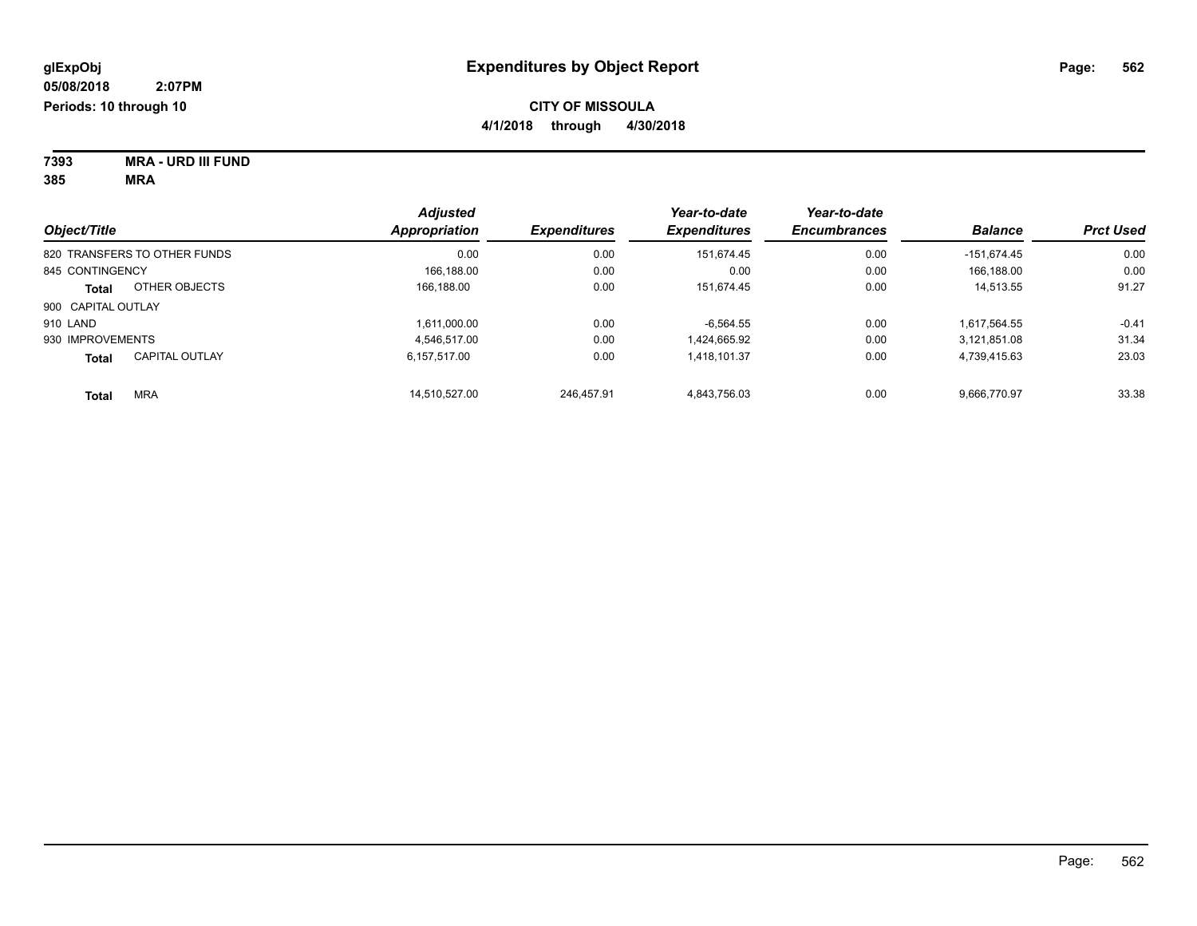| 7393 | <b>MRA - URD III FUND</b> |
|------|---------------------------|
| 385  | MRA                       |

|                    |                              | <b>Adjusted</b> |                     | Year-to-date        | Year-to-date        |                |                  |
|--------------------|------------------------------|-----------------|---------------------|---------------------|---------------------|----------------|------------------|
| Object/Title       |                              | Appropriation   | <b>Expenditures</b> | <b>Expenditures</b> | <b>Encumbrances</b> | <b>Balance</b> | <b>Prct Used</b> |
|                    | 820 TRANSFERS TO OTHER FUNDS | 0.00            | 0.00                | 151.674.45          | 0.00                | $-151.674.45$  | 0.00             |
| 845 CONTINGENCY    |                              | 166.188.00      | 0.00                | 0.00                | 0.00                | 166.188.00     | 0.00             |
| Total              | OTHER OBJECTS                | 166.188.00      | 0.00                | 151.674.45          | 0.00                | 14.513.55      | 91.27            |
| 900 CAPITAL OUTLAY |                              |                 |                     |                     |                     |                |                  |
| 910 LAND           |                              | 1.611.000.00    | 0.00                | $-6.564.55$         | 0.00                | 1,617,564.55   | $-0.41$          |
| 930 IMPROVEMENTS   |                              | 4.546.517.00    | 0.00                | 1.424.665.92        | 0.00                | 3.121.851.08   | 31.34            |
| Total              | <b>CAPITAL OUTLAY</b>        | 6.157.517.00    | 0.00                | 1,418,101.37        | 0.00                | 4,739,415.63   | 23.03            |
| <b>Total</b>       | <b>MRA</b>                   | 14.510.527.00   | 246.457.91          | 4.843.756.03        | 0.00                | 9.666.770.97   | 33.38            |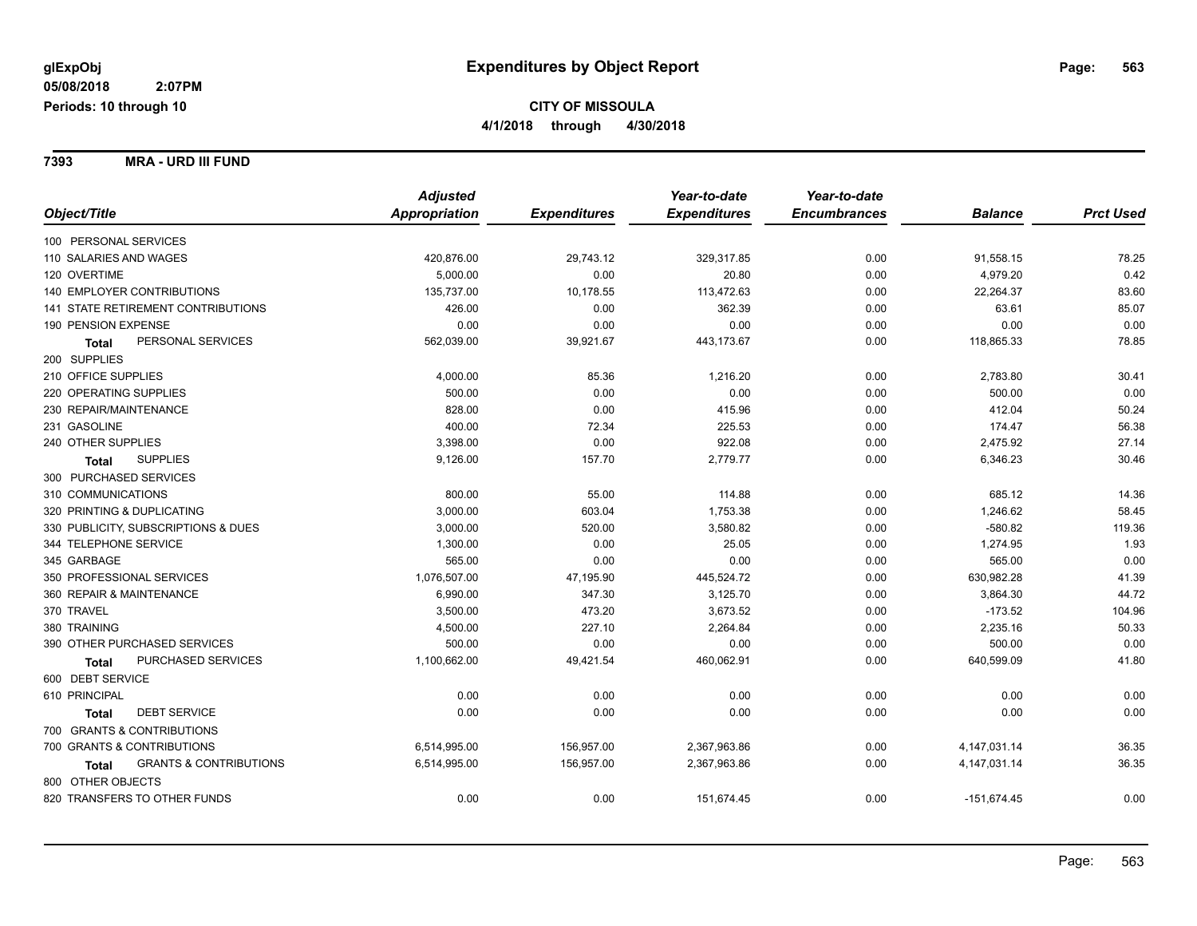**7393 MRA - URD III FUND**

|                                            | <b>Adjusted</b> |                     | Year-to-date        | Year-to-date        |                 |                  |
|--------------------------------------------|-----------------|---------------------|---------------------|---------------------|-----------------|------------------|
| Object/Title                               | Appropriation   | <b>Expenditures</b> | <b>Expenditures</b> | <b>Encumbrances</b> | <b>Balance</b>  | <b>Prct Used</b> |
| 100 PERSONAL SERVICES                      |                 |                     |                     |                     |                 |                  |
| 110 SALARIES AND WAGES                     | 420,876.00      | 29,743.12           | 329,317.85          | 0.00                | 91,558.15       | 78.25            |
| 120 OVERTIME                               | 5,000.00        | 0.00                | 20.80               | 0.00                | 4,979.20        | 0.42             |
| <b>140 EMPLOYER CONTRIBUTIONS</b>          | 135,737.00      | 10,178.55           | 113,472.63          | 0.00                | 22,264.37       | 83.60            |
| 141 STATE RETIREMENT CONTRIBUTIONS         | 426.00          | 0.00                | 362.39              | 0.00                | 63.61           | 85.07            |
| 190 PENSION EXPENSE                        | 0.00            | 0.00                | 0.00                | 0.00                | 0.00            | 0.00             |
| PERSONAL SERVICES<br>Total                 | 562,039.00      | 39,921.67           | 443,173.67          | 0.00                | 118,865.33      | 78.85            |
| 200 SUPPLIES                               |                 |                     |                     |                     |                 |                  |
| 210 OFFICE SUPPLIES                        | 4,000.00        | 85.36               | 1,216.20            | 0.00                | 2,783.80        | 30.41            |
| 220 OPERATING SUPPLIES                     | 500.00          | 0.00                | 0.00                | 0.00                | 500.00          | 0.00             |
| 230 REPAIR/MAINTENANCE                     | 828.00          | 0.00                | 415.96              | 0.00                | 412.04          | 50.24            |
| 231 GASOLINE                               | 400.00          | 72.34               | 225.53              | 0.00                | 174.47          | 56.38            |
| 240 OTHER SUPPLIES                         | 3,398.00        | 0.00                | 922.08              | 0.00                | 2,475.92        | 27.14            |
| <b>SUPPLIES</b><br><b>Total</b>            | 9,126.00        | 157.70              | 2,779.77            | 0.00                | 6,346.23        | 30.46            |
| 300 PURCHASED SERVICES                     |                 |                     |                     |                     |                 |                  |
| 310 COMMUNICATIONS                         | 800.00          | 55.00               | 114.88              | 0.00                | 685.12          | 14.36            |
| 320 PRINTING & DUPLICATING                 | 3,000.00        | 603.04              | 1,753.38            | 0.00                | 1,246.62        | 58.45            |
| 330 PUBLICITY, SUBSCRIPTIONS & DUES        | 3,000.00        | 520.00              | 3,580.82            | 0.00                | $-580.82$       | 119.36           |
| 344 TELEPHONE SERVICE                      | 1,300.00        | 0.00                | 25.05               | 0.00                | 1,274.95        | 1.93             |
| 345 GARBAGE                                | 565.00          | 0.00                | 0.00                | 0.00                | 565.00          | 0.00             |
| 350 PROFESSIONAL SERVICES                  | 1,076,507.00    | 47,195.90           | 445,524.72          | 0.00                | 630,982.28      | 41.39            |
| 360 REPAIR & MAINTENANCE                   | 6,990.00        | 347.30              | 3,125.70            | 0.00                | 3,864.30        | 44.72            |
| 370 TRAVEL                                 | 3,500.00        | 473.20              | 3,673.52            | 0.00                | $-173.52$       | 104.96           |
| 380 TRAINING                               | 4,500.00        | 227.10              | 2,264.84            | 0.00                | 2,235.16        | 50.33            |
| 390 OTHER PURCHASED SERVICES               | 500.00          | 0.00                | 0.00                | 0.00                | 500.00          | 0.00             |
| PURCHASED SERVICES<br><b>Total</b>         | 1,100,662.00    | 49,421.54           | 460,062.91          | 0.00                | 640,599.09      | 41.80            |
| 600 DEBT SERVICE                           |                 |                     |                     |                     |                 |                  |
| 610 PRINCIPAL                              | 0.00            | 0.00                | 0.00                | 0.00                | 0.00            | 0.00             |
| <b>DEBT SERVICE</b><br><b>Total</b>        | 0.00            | 0.00                | 0.00                | 0.00                | 0.00            | 0.00             |
| 700 GRANTS & CONTRIBUTIONS                 |                 |                     |                     |                     |                 |                  |
| 700 GRANTS & CONTRIBUTIONS                 | 6,514,995.00    | 156,957.00          | 2,367,963.86        | 0.00                | 4, 147, 031. 14 | 36.35            |
| <b>GRANTS &amp; CONTRIBUTIONS</b><br>Total | 6,514,995.00    | 156,957.00          | 2,367,963.86        | 0.00                | 4, 147, 031. 14 | 36.35            |
| 800 OTHER OBJECTS                          |                 |                     |                     |                     |                 |                  |
| 820 TRANSFERS TO OTHER FUNDS               | 0.00            | 0.00                | 151,674.45          | 0.00                | $-151,674.45$   | 0.00             |
|                                            |                 |                     |                     |                     |                 |                  |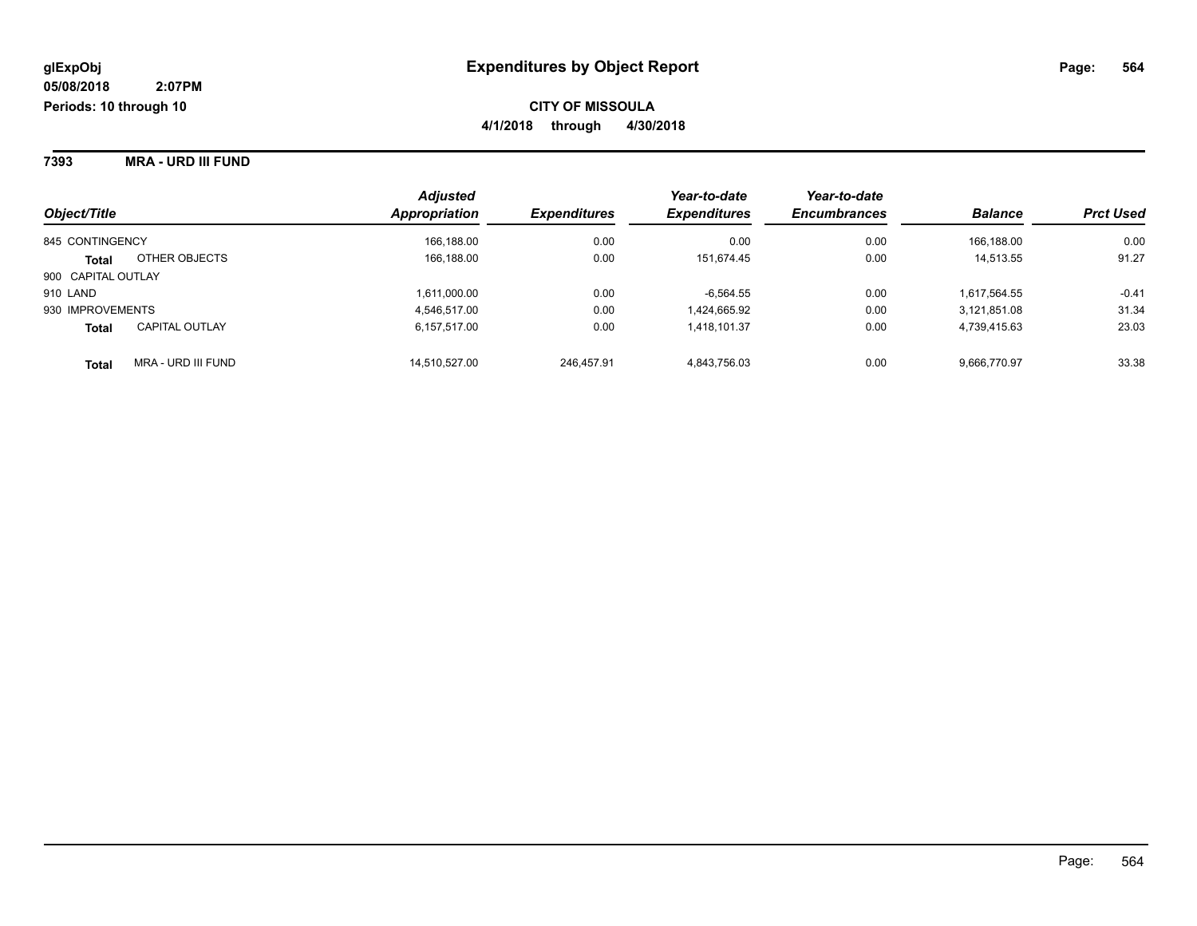**7393 MRA - URD III FUND**

| Object/Title       |                       | <b>Adjusted</b><br>Appropriation | <b>Expenditures</b> | Year-to-date<br><b>Expenditures</b> | Year-to-date<br><b>Encumbrances</b> | <b>Balance</b> | <b>Prct Used</b> |
|--------------------|-----------------------|----------------------------------|---------------------|-------------------------------------|-------------------------------------|----------------|------------------|
| 845 CONTINGENCY    |                       | 166,188.00                       | 0.00                | 0.00                                | 0.00                                | 166.188.00     | 0.00             |
| <b>Total</b>       | OTHER OBJECTS         | 166,188.00                       | 0.00                | 151,674.45                          | 0.00                                | 14,513.55      | 91.27            |
| 900 CAPITAL OUTLAY |                       |                                  |                     |                                     |                                     |                |                  |
| 910 LAND           |                       | 1,611,000.00                     | 0.00                | $-6,564.55$                         | 0.00                                | 1,617,564.55   | $-0.41$          |
| 930 IMPROVEMENTS   |                       | 4,546,517.00                     | 0.00                | 1,424,665.92                        | 0.00                                | 3,121,851.08   | 31.34            |
| <b>Total</b>       | <b>CAPITAL OUTLAY</b> | 6,157,517.00                     | 0.00                | 1,418,101.37                        | 0.00                                | 4,739,415.63   | 23.03            |
| <b>Total</b>       | MRA - URD III FUND    | 14,510,527.00                    | 246.457.91          | 4,843,756.03                        | 0.00                                | 9,666,770.97   | 33.38            |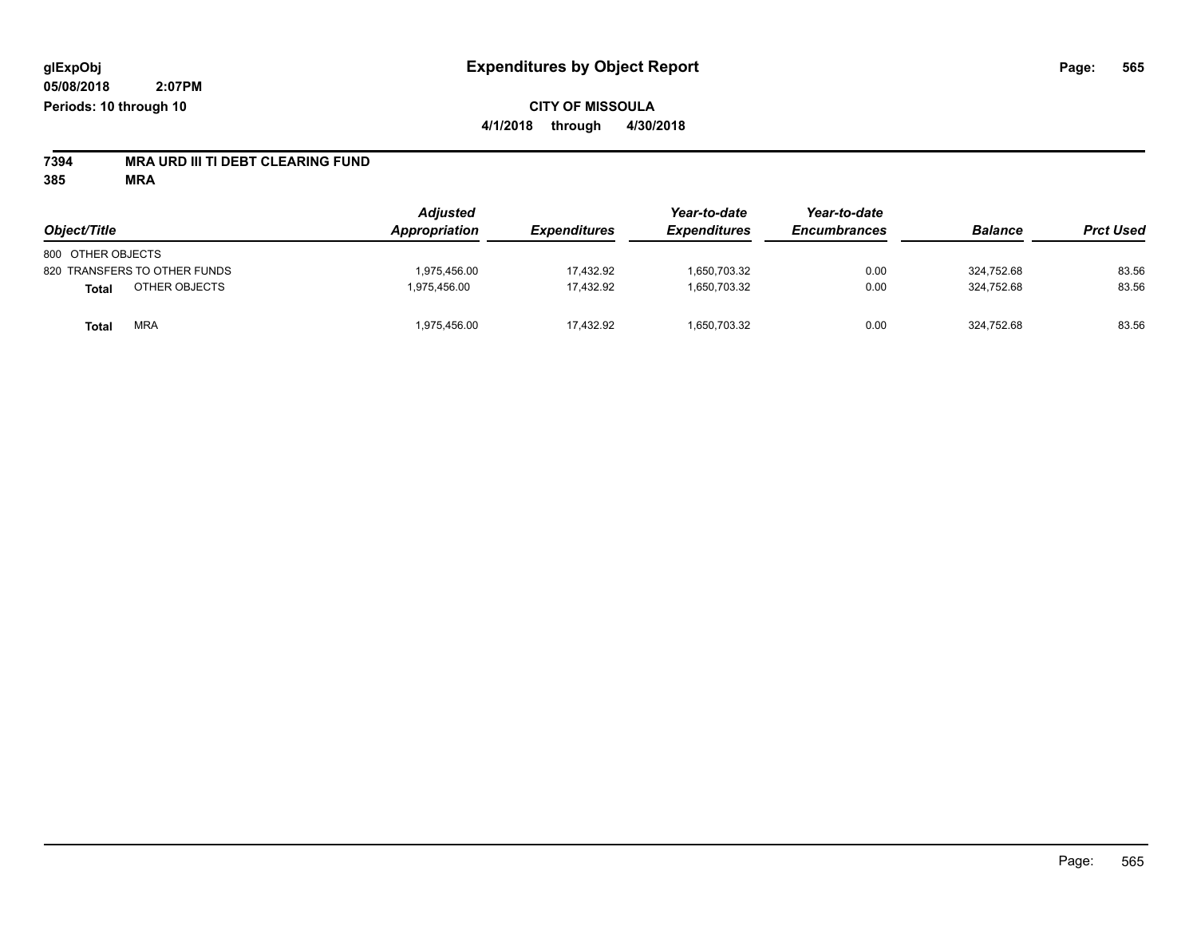# **7394 MRA URD III TI DEBT CLEARING FUND**

| Object/Title                  | <b>Adjusted</b><br>Appropriation | <b>Expenditures</b> | Year-to-date<br><b>Expenditures</b> | Year-to-date<br><b>Encumbrances</b> | <b>Balance</b> | <b>Prct Used</b> |
|-------------------------------|----------------------------------|---------------------|-------------------------------------|-------------------------------------|----------------|------------------|
|                               |                                  |                     |                                     |                                     |                |                  |
| 800 OTHER OBJECTS             |                                  |                     |                                     |                                     |                |                  |
| 820 TRANSFERS TO OTHER FUNDS  | 1,975,456.00                     | 17,432.92           | 1,650,703.32                        | 0.00                                | 324,752.68     | 83.56            |
| OTHER OBJECTS<br><b>Total</b> | 1,975,456.00                     | 17,432.92           | 1,650,703.32                        | 0.00                                | 324,752.68     | 83.56            |
| <b>MRA</b><br><b>Total</b>    | 1,975,456.00                     | 17.432.92           | 1,650,703.32                        | 0.00                                | 324.752.68     | 83.56            |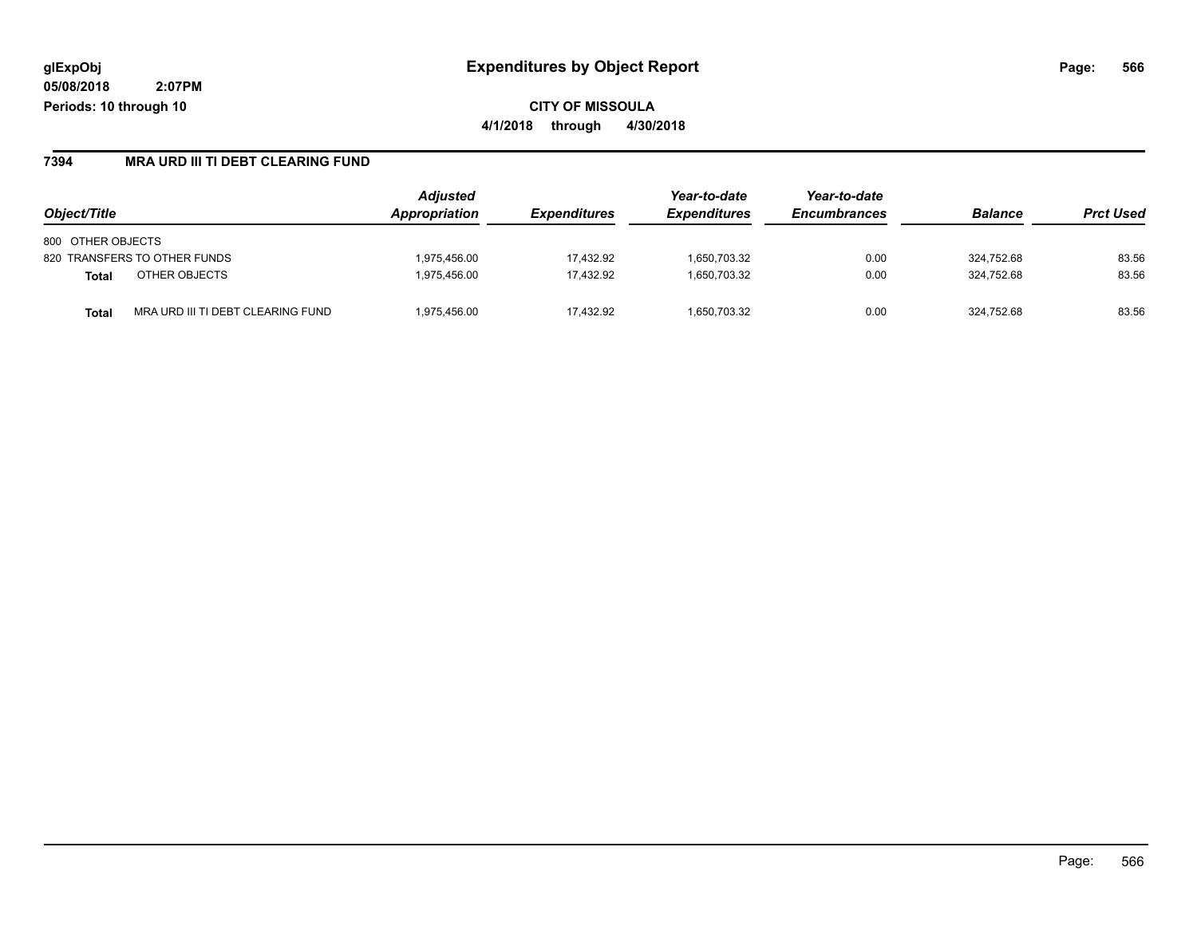**CITY OF MISSOULA 4/1/2018 through 4/30/2018**

#### **7394 MRA URD III TI DEBT CLEARING FUND**

|                                            | <b>Adjusted</b><br>Appropriation | <i><b>Expenditures</b></i> | Year-to-date               | Year-to-date        | <b>Balance</b> |                  |
|--------------------------------------------|----------------------------------|----------------------------|----------------------------|---------------------|----------------|------------------|
| Object/Title                               |                                  |                            | <i><b>Expenditures</b></i> | <b>Encumbrances</b> |                | <b>Prct Used</b> |
| 800 OTHER OBJECTS                          |                                  |                            |                            |                     |                |                  |
| 820 TRANSFERS TO OTHER FUNDS               | 1.975.456.00                     | 17.432.92                  | 1,650,703.32               | 0.00                | 324.752.68     | 83.56            |
| OTHER OBJECTS<br><b>Total</b>              | 1.975.456.00                     | 17.432.92                  | 1,650,703.32               | 0.00                | 324.752.68     | 83.56            |
| MRA URD III TI DEBT CLEARING FUND<br>Total | 1.975.456.00                     | 17.432.92                  | 1.650.703.32               | 0.00                | 324.752.68     | 83.56            |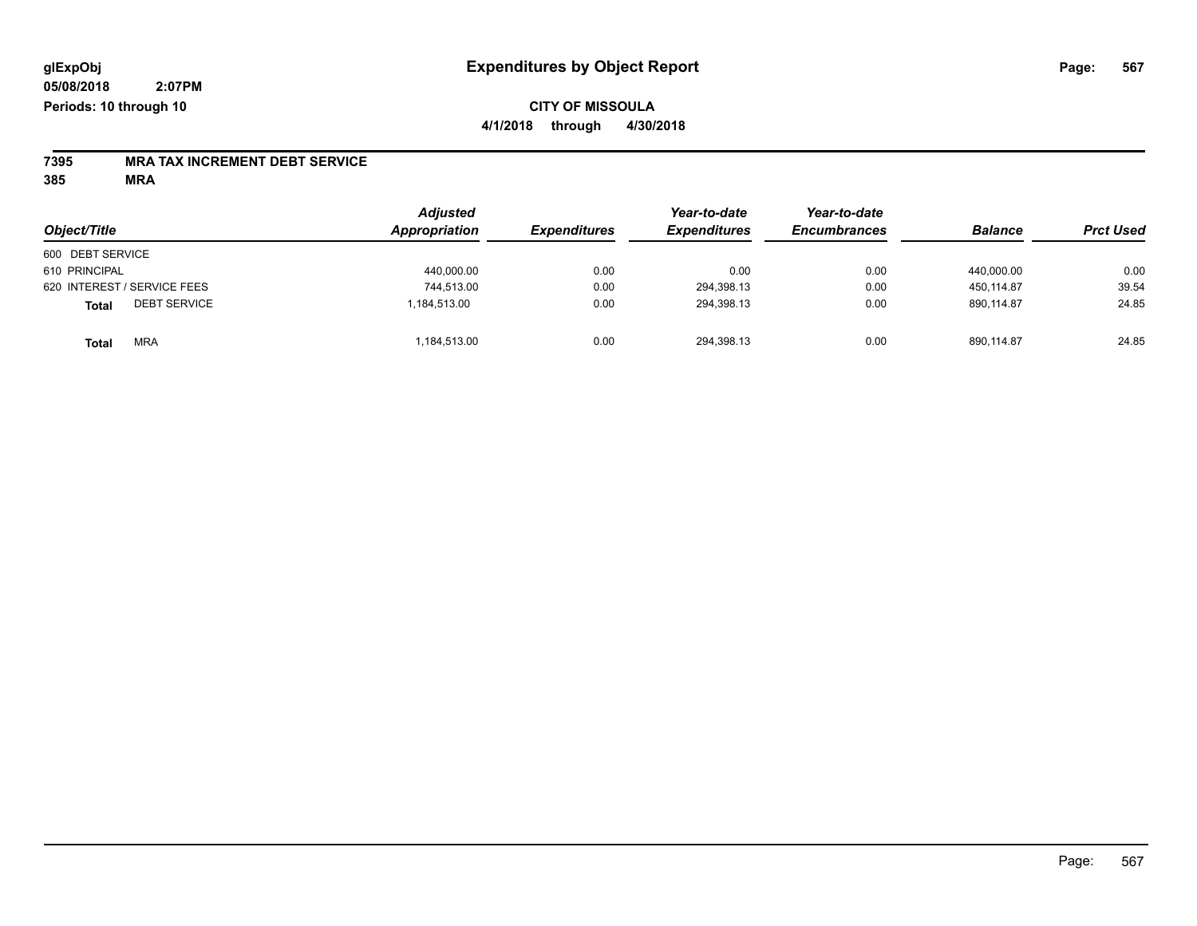## **CITY OF MISSOULA 4/1/2018 through 4/30/2018**

# **7395 MRA TAX INCREMENT DEBT SERVICE**

| Object/Title                 | <b>Adjusted</b><br>Appropriation | <b>Expenditures</b> | Year-to-date<br><b>Expenditures</b> | Year-to-date<br><b>Encumbrances</b> | <b>Balance</b> | <b>Prct Used</b> |
|------------------------------|----------------------------------|---------------------|-------------------------------------|-------------------------------------|----------------|------------------|
| 600 DEBT SERVICE             |                                  |                     |                                     |                                     |                |                  |
| 610 PRINCIPAL                | 440,000.00                       | 0.00                | 0.00                                | 0.00                                | 440.000.00     | 0.00             |
| 620 INTEREST / SERVICE FEES  | 744,513.00                       | 0.00                | 294,398.13                          | 0.00                                | 450.114.87     | 39.54            |
| <b>DEBT SERVICE</b><br>Total | 1,184,513.00                     | 0.00                | 294,398.13                          | 0.00                                | 890.114.87     | 24.85            |
| <b>MRA</b><br><b>Total</b>   | 184,513.00                       | 0.00                | 294,398.13                          | 0.00                                | 890,114.87     | 24.85            |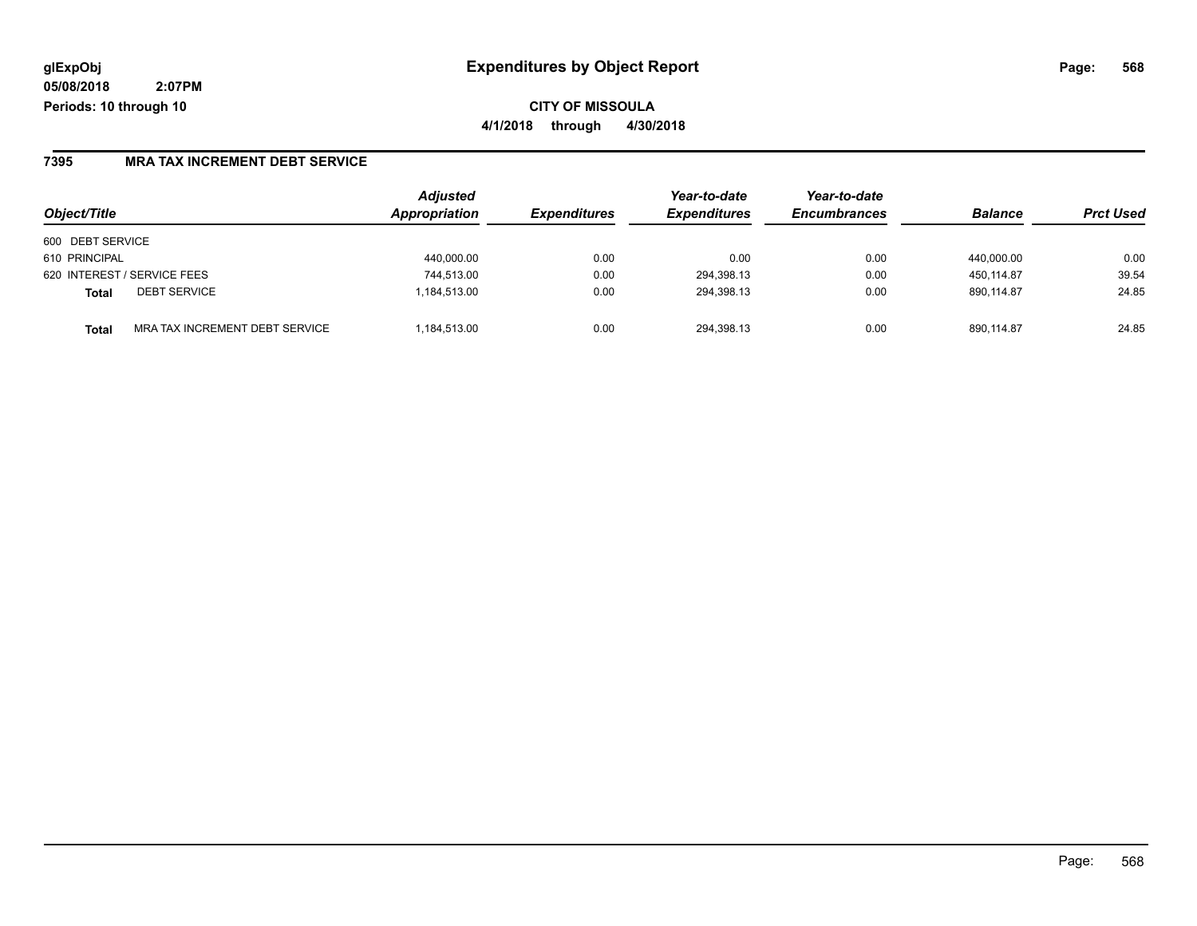**CITY OF MISSOULA 4/1/2018 through 4/30/2018**

#### **7395 MRA TAX INCREMENT DEBT SERVICE**

| Object/Title                            | <b>Adjusted</b><br>Appropriation | <b>Expenditures</b> | Year-to-date<br><b>Expenditures</b> | Year-to-date<br><b>Encumbrances</b> | <b>Balance</b> | <b>Prct Used</b> |
|-----------------------------------------|----------------------------------|---------------------|-------------------------------------|-------------------------------------|----------------|------------------|
| 600 DEBT SERVICE                        |                                  |                     |                                     |                                     |                |                  |
| 610 PRINCIPAL                           | 440,000.00                       | 0.00                | 0.00                                | 0.00                                | 440.000.00     | 0.00             |
| 620 INTEREST / SERVICE FEES             | 744,513.00                       | 0.00                | 294,398.13                          | 0.00                                | 450.114.87     | 39.54            |
| <b>DEBT SERVICE</b><br><b>Total</b>     | 1,184,513.00                     | 0.00                | 294.398.13                          | 0.00                                | 890.114.87     | 24.85            |
| MRA TAX INCREMENT DEBT SERVICE<br>Total | 1.184.513.00                     | 0.00                | 294.398.13                          | 0.00                                | 890.114.87     | 24.85            |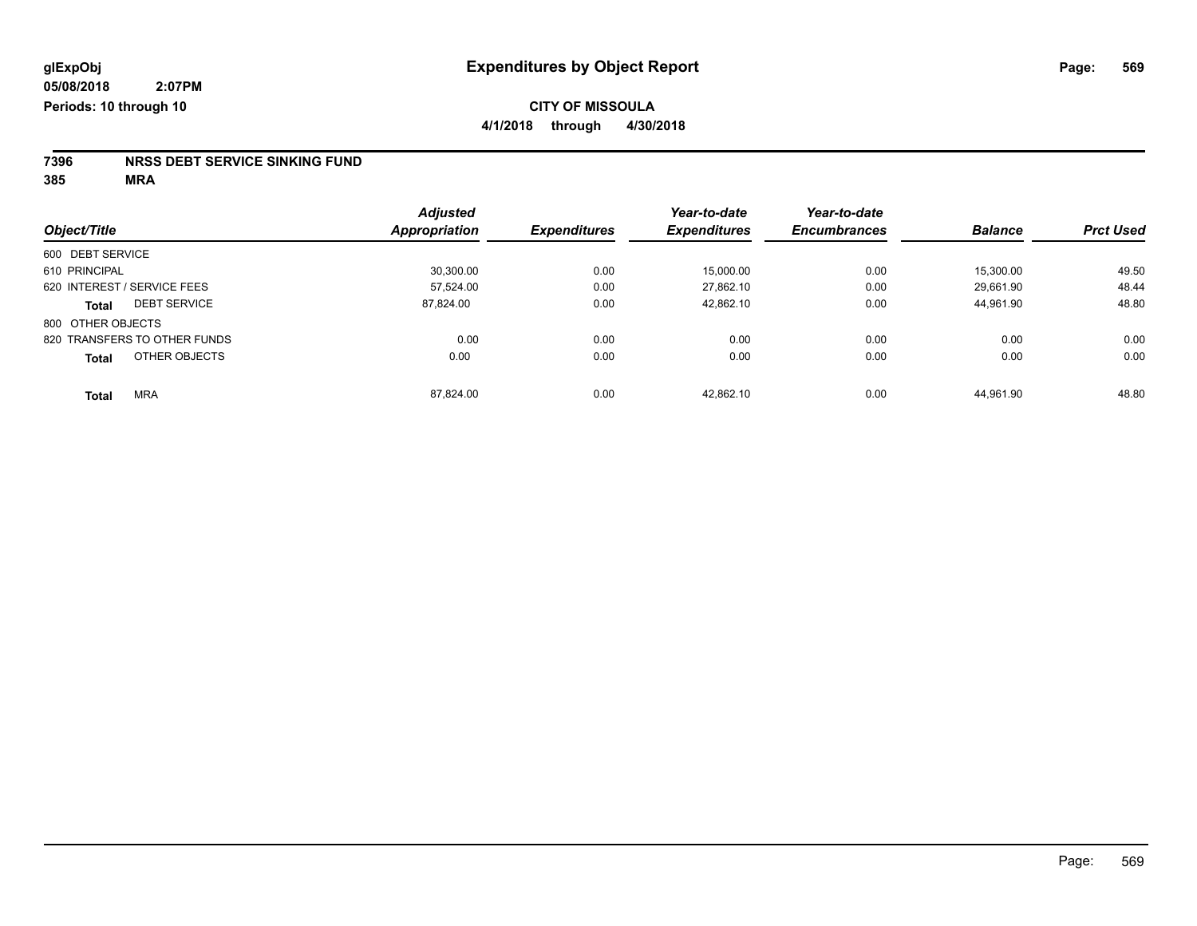# **7396 NRSS DEBT SERVICE SINKING FUND**

|                               | <b>Adjusted</b> | <b>Expenditures</b> | Year-to-date        | Year-to-date<br><b>Encumbrances</b> | <b>Balance</b> | <b>Prct Used</b> |
|-------------------------------|-----------------|---------------------|---------------------|-------------------------------------|----------------|------------------|
| Object/Title                  | Appropriation   |                     | <b>Expenditures</b> |                                     |                |                  |
| 600 DEBT SERVICE              |                 |                     |                     |                                     |                |                  |
| 610 PRINCIPAL                 | 30.300.00       | 0.00                | 15,000.00           | 0.00                                | 15.300.00      | 49.50            |
| 620 INTEREST / SERVICE FEES   | 57.524.00       | 0.00                | 27.862.10           | 0.00                                | 29.661.90      | 48.44            |
| <b>DEBT SERVICE</b><br>Total  | 87.824.00       | 0.00                | 42.862.10           | 0.00                                | 44.961.90      | 48.80            |
| 800 OTHER OBJECTS             |                 |                     |                     |                                     |                |                  |
| 820 TRANSFERS TO OTHER FUNDS  | 0.00            | 0.00                | 0.00                | 0.00                                | 0.00           | 0.00             |
| OTHER OBJECTS<br><b>Total</b> | 0.00            | 0.00                | 0.00                | 0.00                                | 0.00           | 0.00             |
| <b>MRA</b><br><b>Total</b>    | 87.824.00       | 0.00                | 42.862.10           | 0.00                                | 44.961.90      | 48.80            |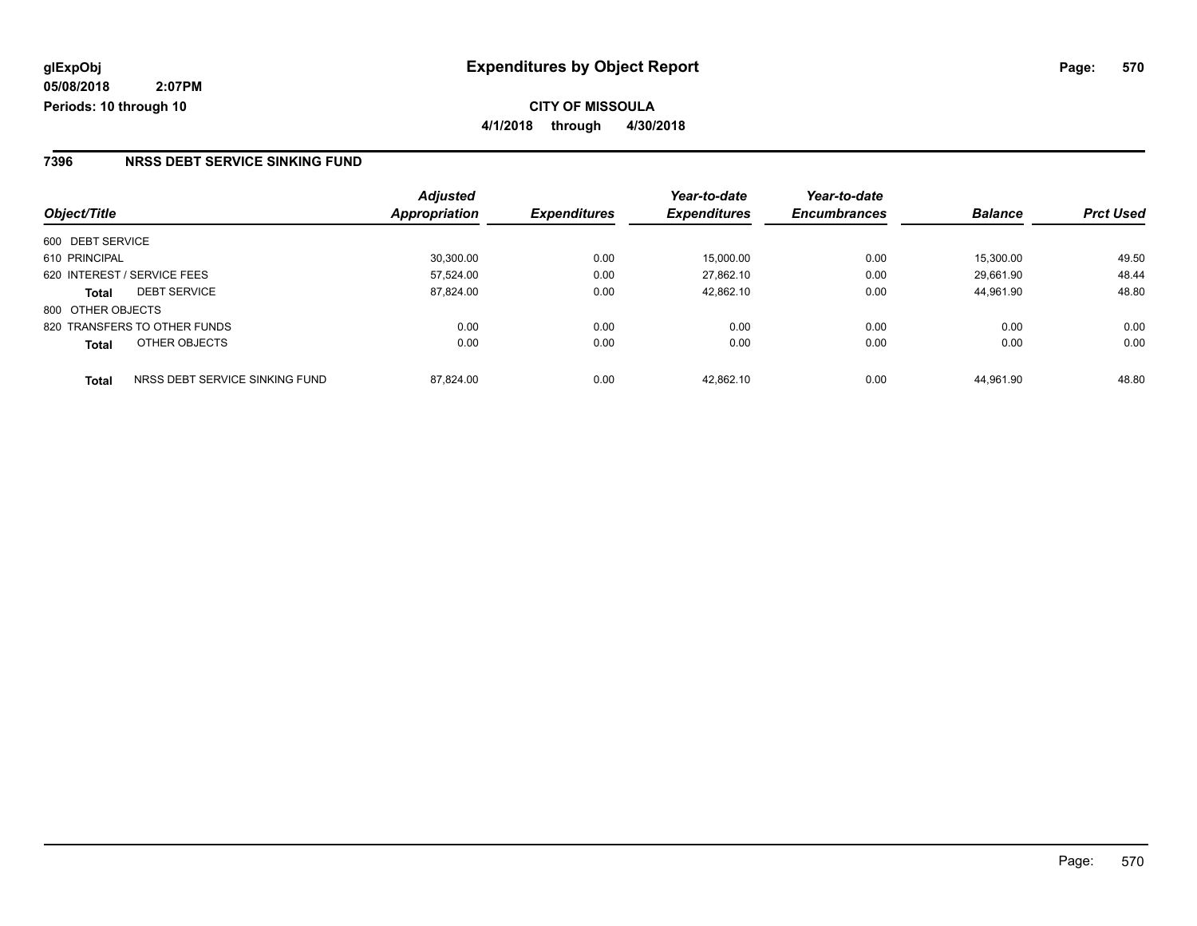**CITY OF MISSOULA 4/1/2018 through 4/30/2018**

#### **7396 NRSS DEBT SERVICE SINKING FUND**

|                                                | <b>Adjusted</b> |                     | Year-to-date        | Year-to-date        |                |                  |
|------------------------------------------------|-----------------|---------------------|---------------------|---------------------|----------------|------------------|
| Object/Title                                   | Appropriation   | <b>Expenditures</b> | <b>Expenditures</b> | <b>Encumbrances</b> | <b>Balance</b> | <b>Prct Used</b> |
| 600 DEBT SERVICE                               |                 |                     |                     |                     |                |                  |
| 610 PRINCIPAL                                  | 30.300.00       | 0.00                | 15.000.00           | 0.00                | 15.300.00      | 49.50            |
| 620 INTEREST / SERVICE FEES                    | 57.524.00       | 0.00                | 27.862.10           | 0.00                | 29.661.90      | 48.44            |
| <b>DEBT SERVICE</b><br><b>Total</b>            | 87.824.00       | 0.00                | 42.862.10           | 0.00                | 44.961.90      | 48.80            |
| 800 OTHER OBJECTS                              |                 |                     |                     |                     |                |                  |
| 820 TRANSFERS TO OTHER FUNDS                   | 0.00            | 0.00                | 0.00                | 0.00                | 0.00           | 0.00             |
| OTHER OBJECTS<br><b>Total</b>                  | 0.00            | 0.00                | 0.00                | 0.00                | 0.00           | 0.00             |
| NRSS DEBT SERVICE SINKING FUND<br><b>Total</b> | 87.824.00       | 0.00                | 42.862.10           | 0.00                | 44.961.90      | 48.80            |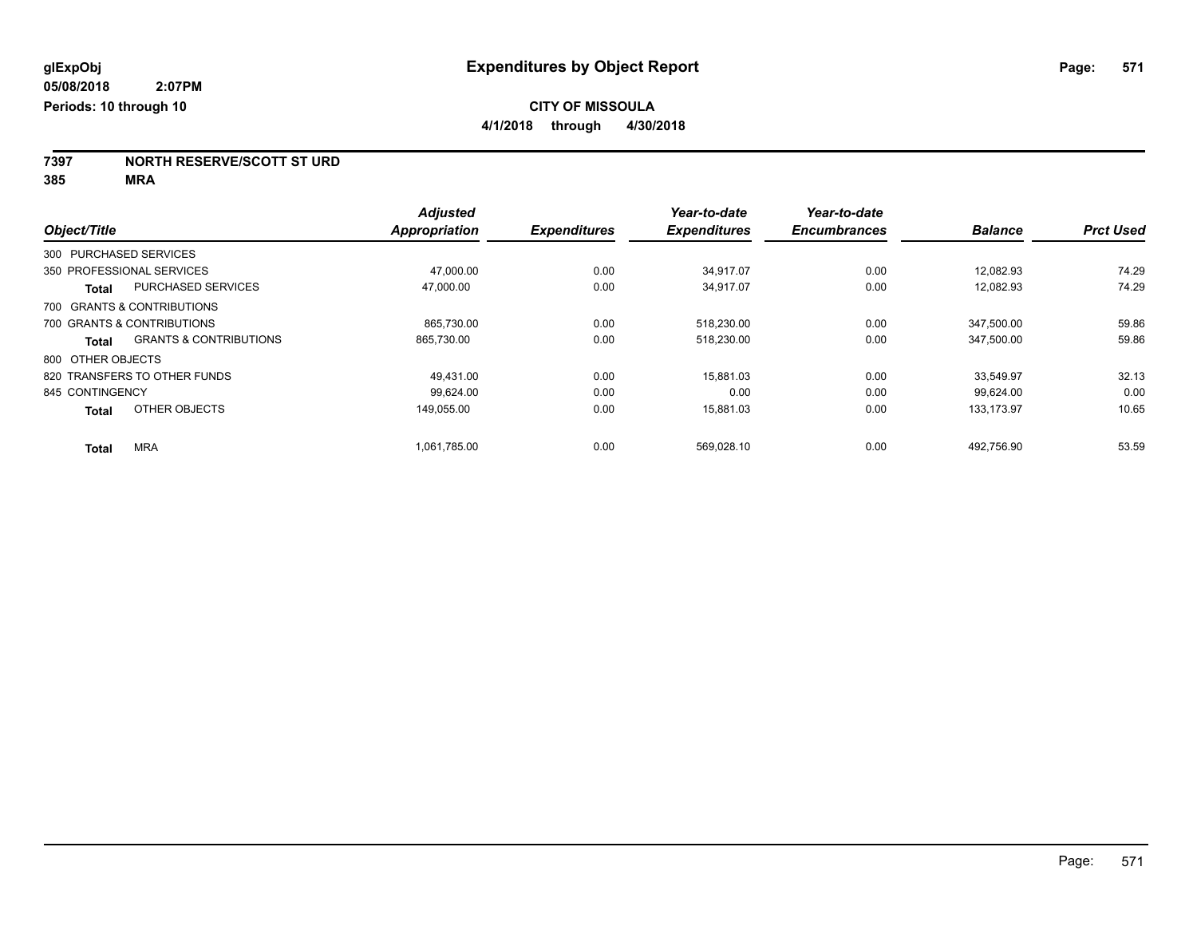**7397 NORTH RESERVE/SCOTT ST URD**

|                                            | <b>Adjusted</b>      |                     | Year-to-date        | Year-to-date        |                |                  |
|--------------------------------------------|----------------------|---------------------|---------------------|---------------------|----------------|------------------|
| Object/Title                               | <b>Appropriation</b> | <b>Expenditures</b> | <b>Expenditures</b> | <b>Encumbrances</b> | <b>Balance</b> | <b>Prct Used</b> |
| 300 PURCHASED SERVICES                     |                      |                     |                     |                     |                |                  |
| 350 PROFESSIONAL SERVICES                  | 47.000.00            | 0.00                | 34.917.07           | 0.00                | 12.082.93      | 74.29            |
| <b>PURCHASED SERVICES</b><br><b>Total</b>  | 47,000.00            | 0.00                | 34.917.07           | 0.00                | 12,082.93      | 74.29            |
| 700 GRANTS & CONTRIBUTIONS                 |                      |                     |                     |                     |                |                  |
| 700 GRANTS & CONTRIBUTIONS                 | 865,730.00           | 0.00                | 518,230.00          | 0.00                | 347,500.00     | 59.86            |
| <b>GRANTS &amp; CONTRIBUTIONS</b><br>Total | 865,730.00           | 0.00                | 518,230.00          | 0.00                | 347,500.00     | 59.86            |
| 800 OTHER OBJECTS                          |                      |                     |                     |                     |                |                  |
| 820 TRANSFERS TO OTHER FUNDS               | 49.431.00            | 0.00                | 15.881.03           | 0.00                | 33.549.97      | 32.13            |
| 845 CONTINGENCY                            | 99.624.00            | 0.00                | 0.00                | 0.00                | 99.624.00      | 0.00             |
| OTHER OBJECTS<br><b>Total</b>              | 149.055.00           | 0.00                | 15.881.03           | 0.00                | 133.173.97     | 10.65            |
| <b>MRA</b><br><b>Total</b>                 | 1,061,785.00         | 0.00                | 569,028.10          | 0.00                | 492,756.90     | 53.59            |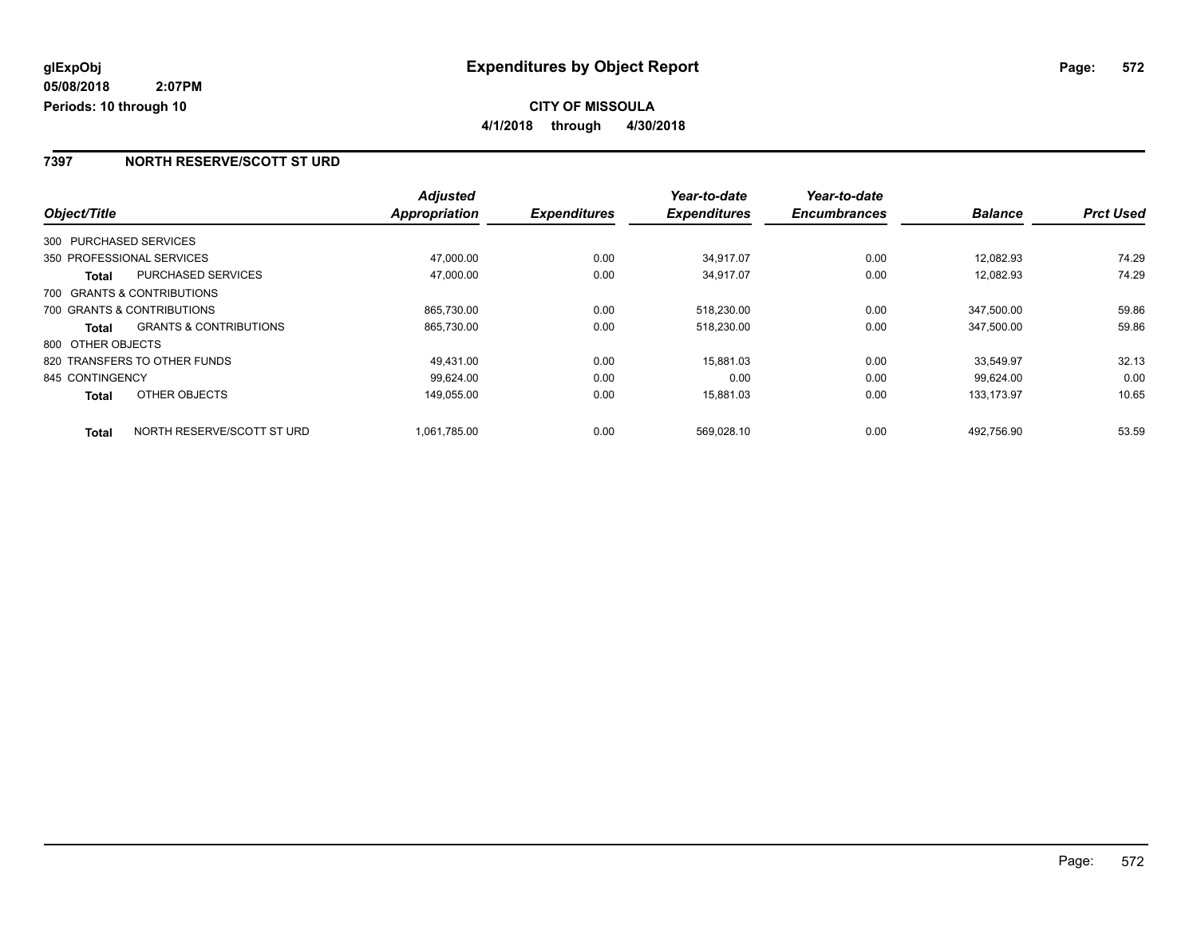#### **7397 NORTH RESERVE/SCOTT ST URD**

|                              |                                   | <b>Adjusted</b> |                     | Year-to-date        | Year-to-date        |                |                  |
|------------------------------|-----------------------------------|-----------------|---------------------|---------------------|---------------------|----------------|------------------|
| Object/Title                 |                                   | Appropriation   | <b>Expenditures</b> | <b>Expenditures</b> | <b>Encumbrances</b> | <b>Balance</b> | <b>Prct Used</b> |
| 300 PURCHASED SERVICES       |                                   |                 |                     |                     |                     |                |                  |
| 350 PROFESSIONAL SERVICES    |                                   | 47,000.00       | 0.00                | 34,917.07           | 0.00                | 12,082.93      | 74.29            |
| Total                        | <b>PURCHASED SERVICES</b>         | 47,000.00       | 0.00                | 34,917.07           | 0.00                | 12,082.93      | 74.29            |
| 700 GRANTS & CONTRIBUTIONS   |                                   |                 |                     |                     |                     |                |                  |
| 700 GRANTS & CONTRIBUTIONS   |                                   | 865,730.00      | 0.00                | 518,230.00          | 0.00                | 347.500.00     | 59.86            |
| Total                        | <b>GRANTS &amp; CONTRIBUTIONS</b> | 865,730.00      | 0.00                | 518,230.00          | 0.00                | 347,500.00     | 59.86            |
| 800 OTHER OBJECTS            |                                   |                 |                     |                     |                     |                |                  |
| 820 TRANSFERS TO OTHER FUNDS |                                   | 49.431.00       | 0.00                | 15,881.03           | 0.00                | 33.549.97      | 32.13            |
| 845 CONTINGENCY              |                                   | 99.624.00       | 0.00                | 0.00                | 0.00                | 99.624.00      | 0.00             |
| <b>Total</b>                 | OTHER OBJECTS                     | 149,055.00      | 0.00                | 15,881.03           | 0.00                | 133, 173. 97   | 10.65            |
| <b>Total</b>                 | NORTH RESERVE/SCOTT ST URD        | 1,061,785.00    | 0.00                | 569.028.10          | 0.00                | 492.756.90     | 53.59            |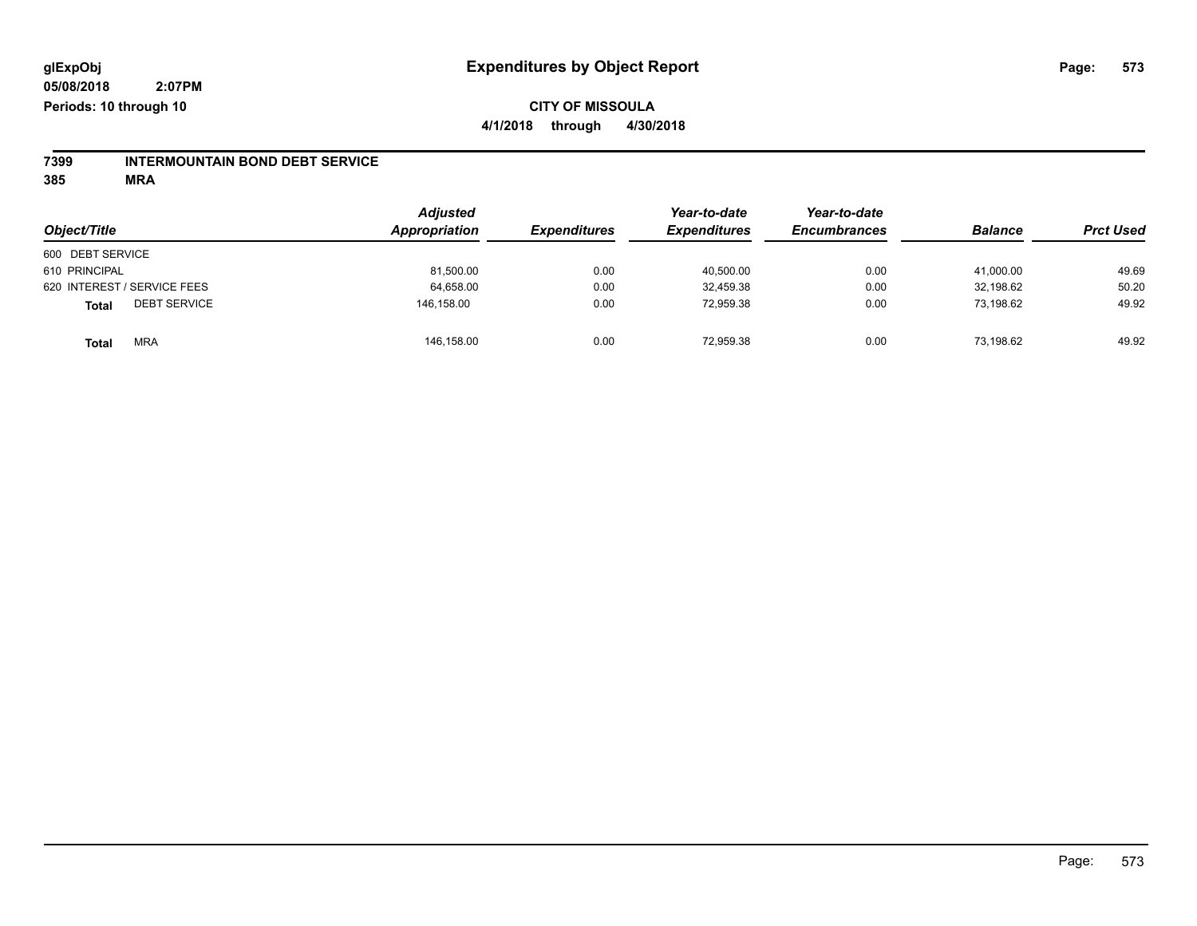## **CITY OF MISSOULA 4/1/2018 through 4/30/2018**

# **7399 INTERMOUNTAIN BOND DEBT SERVICE**

|                              | <b>Adjusted</b> |                     | Year-to-date        | Year-to-date        |                |                  |
|------------------------------|-----------------|---------------------|---------------------|---------------------|----------------|------------------|
| Object/Title                 | Appropriation   | <b>Expenditures</b> | <b>Expenditures</b> | <b>Encumbrances</b> | <b>Balance</b> | <b>Prct Used</b> |
| 600 DEBT SERVICE             |                 |                     |                     |                     |                |                  |
| 610 PRINCIPAL                | 81,500.00       | 0.00                | 40,500.00           | 0.00                | 41,000.00      | 49.69            |
| 620 INTEREST / SERVICE FEES  | 64,658.00       | 0.00                | 32,459.38           | 0.00                | 32,198.62      | 50.20            |
| <b>DEBT SERVICE</b><br>Total | 146,158.00      | 0.00                | 72,959.38           | 0.00                | 73,198.62      | 49.92            |
| <b>MRA</b><br><b>Total</b>   | 146,158.00      | 0.00                | 72,959.38           | 0.00                | 73,198.62      | 49.92            |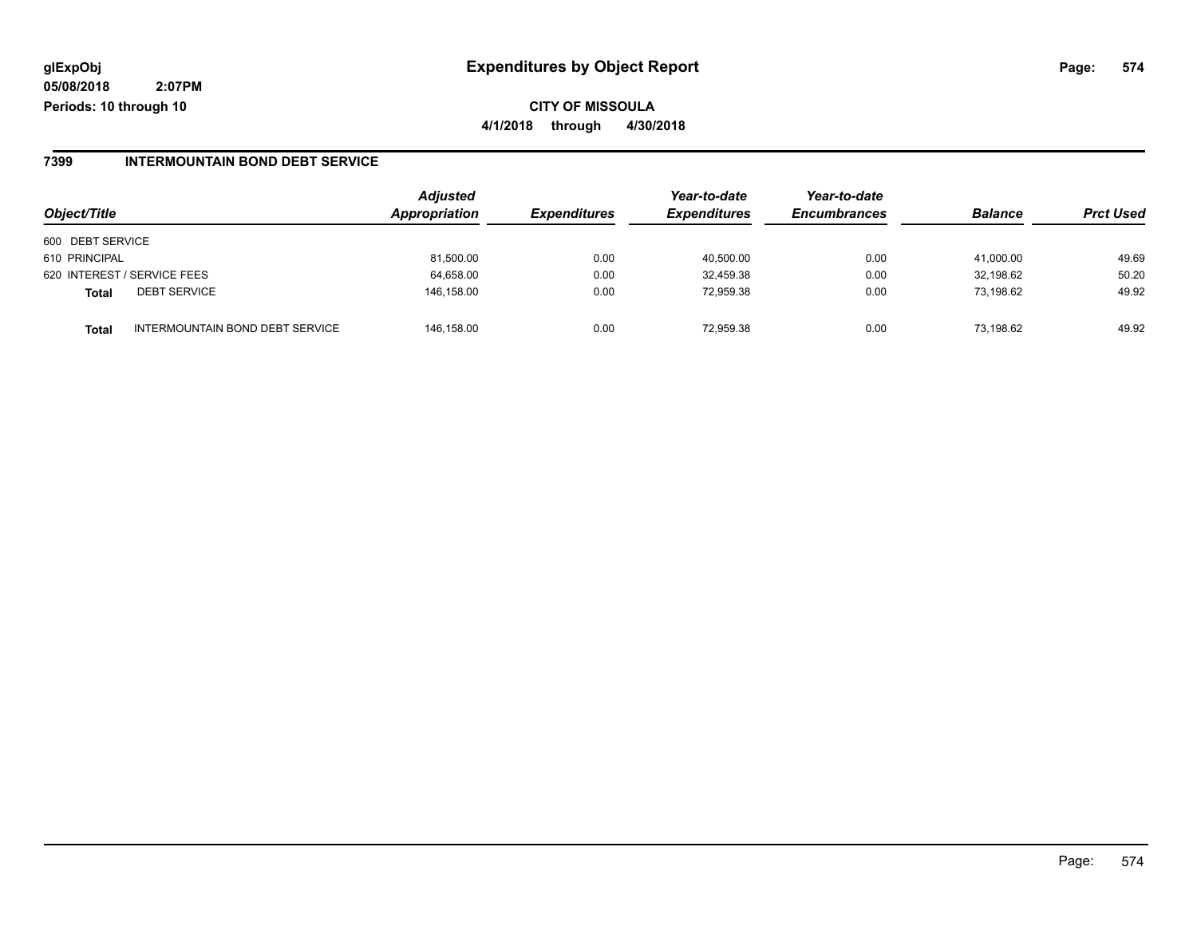**CITY OF MISSOULA 4/1/2018 through 4/30/2018**

#### **7399 INTERMOUNTAIN BOND DEBT SERVICE**

| Object/Title                             | <b>Adjusted</b><br>Appropriation | <b>Expenditures</b> | Year-to-date<br><b>Expenditures</b> | Year-to-date<br><b>Encumbrances</b> | <b>Balance</b> | <b>Prct Used</b> |
|------------------------------------------|----------------------------------|---------------------|-------------------------------------|-------------------------------------|----------------|------------------|
| 600 DEBT SERVICE                         |                                  |                     |                                     |                                     |                |                  |
| 610 PRINCIPAL                            | 81,500.00                        | 0.00                | 40,500.00                           | 0.00                                | 41,000.00      | 49.69            |
| 620 INTEREST / SERVICE FEES              | 64,658.00                        | 0.00                | 32,459.38                           | 0.00                                | 32,198.62      | 50.20            |
| <b>DEBT SERVICE</b><br>Total             | 146,158.00                       | 0.00                | 72.959.38                           | 0.00                                | 73,198.62      | 49.92            |
| INTERMOUNTAIN BOND DEBT SERVICE<br>Total | 146.158.00                       | 0.00                | 72.959.38                           | 0.00                                | 73.198.62      | 49.92            |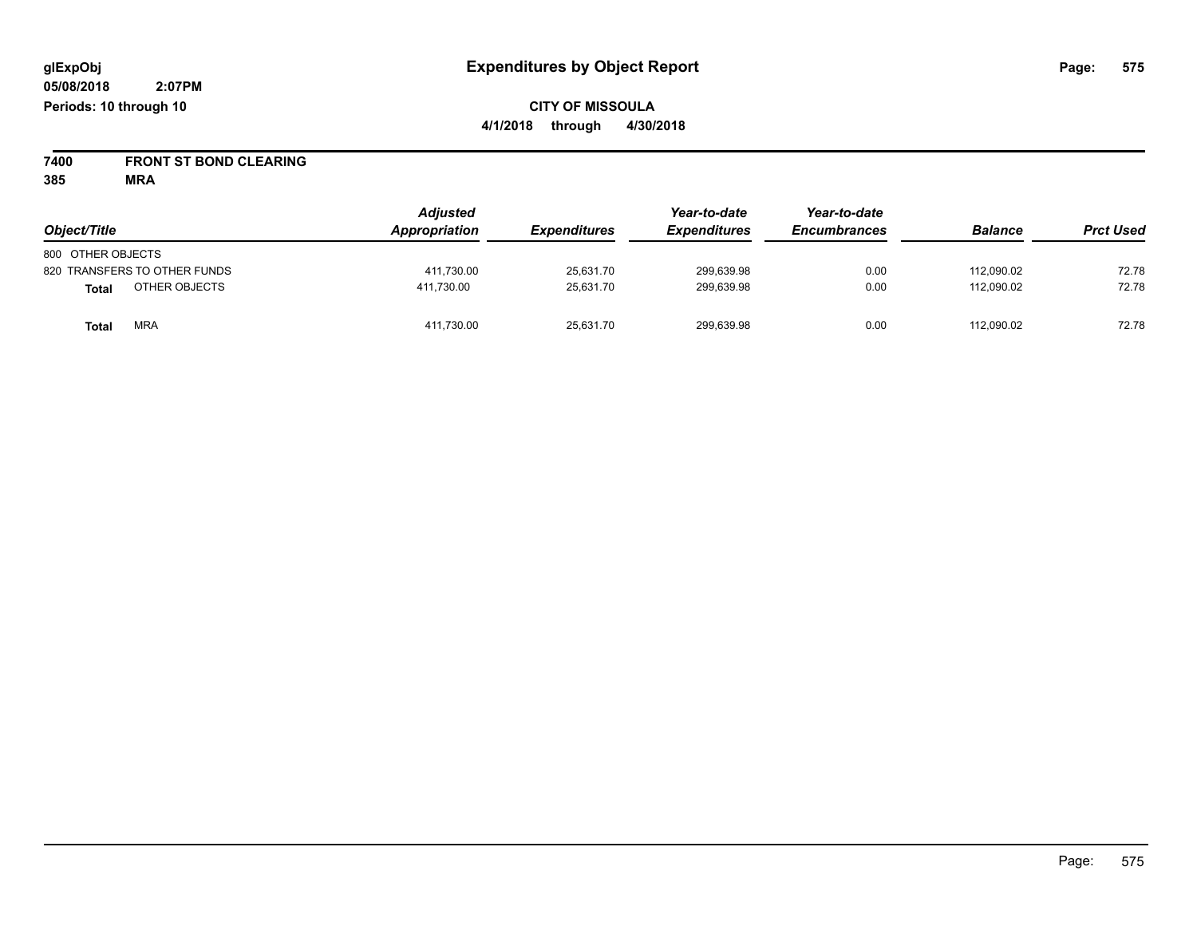**7400 FRONT ST BOND CLEARING**

| Object/Title                 | <b>Adjusted</b><br><b>Appropriation</b> | <i><b>Expenditures</b></i> | Year-to-date<br><b>Expenditures</b> | Year-to-date<br><b>Encumbrances</b> | <b>Balance</b> | <b>Prct Used</b> |
|------------------------------|-----------------------------------------|----------------------------|-------------------------------------|-------------------------------------|----------------|------------------|
| 800 OTHER OBJECTS            |                                         |                            |                                     |                                     |                |                  |
| 820 TRANSFERS TO OTHER FUNDS | 411,730.00                              | 25,631.70                  | 299,639.98                          | 0.00                                | 112.090.02     | 72.78            |
| OTHER OBJECTS<br>Total       | 411.730.00                              | 25.631.70                  | 299.639.98                          | 0.00                                | 112.090.02     | 72.78            |
| <b>MRA</b><br>Total          | 411,730.00                              | 25,631.70                  | 299,639.98                          | 0.00                                | 112,090.02     | 72.78            |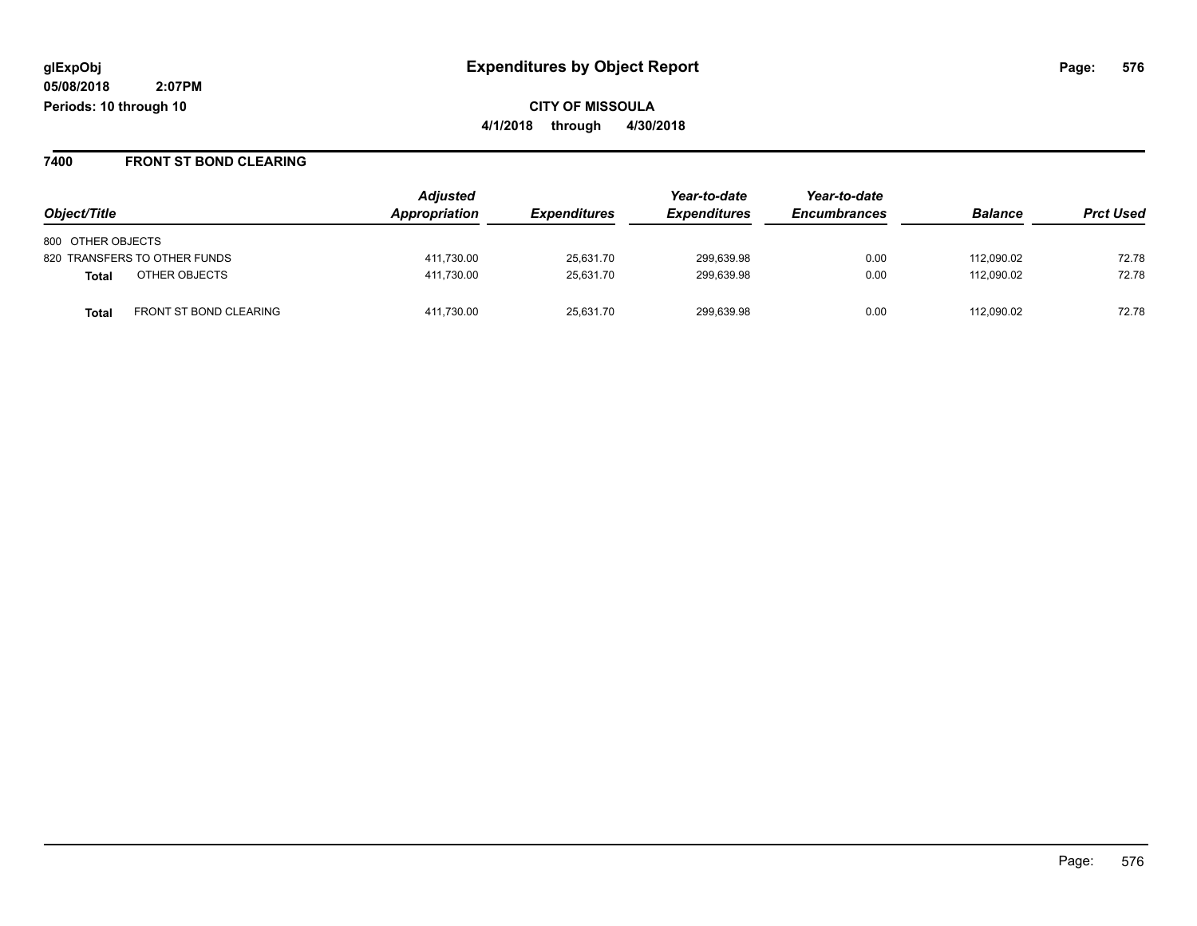#### **7400 FRONT ST BOND CLEARING**

| Object/Title                           | <b>Adjusted</b><br>Appropriation | <i><b>Expenditures</b></i> | Year-to-date<br><b>Expenditures</b> | Year-to-date<br><b>Encumbrances</b> | <b>Balance</b> | <b>Prct Used</b> |
|----------------------------------------|----------------------------------|----------------------------|-------------------------------------|-------------------------------------|----------------|------------------|
|                                        |                                  |                            |                                     |                                     |                |                  |
| 820 TRANSFERS TO OTHER FUNDS           | 411,730.00                       | 25,631.70                  | 299,639.98                          | 0.00                                | 112.090.02     | 72.78            |
| OTHER OBJECTS<br><b>Total</b>          | 411,730.00                       | 25.631.70                  | 299,639.98                          | 0.00                                | 112.090.02     | 72.78            |
| FRONT ST BOND CLEARING<br><b>Total</b> | 411.730.00                       | 25.631.70                  | 299.639.98                          | 0.00                                | 112.090.02     | 72.78            |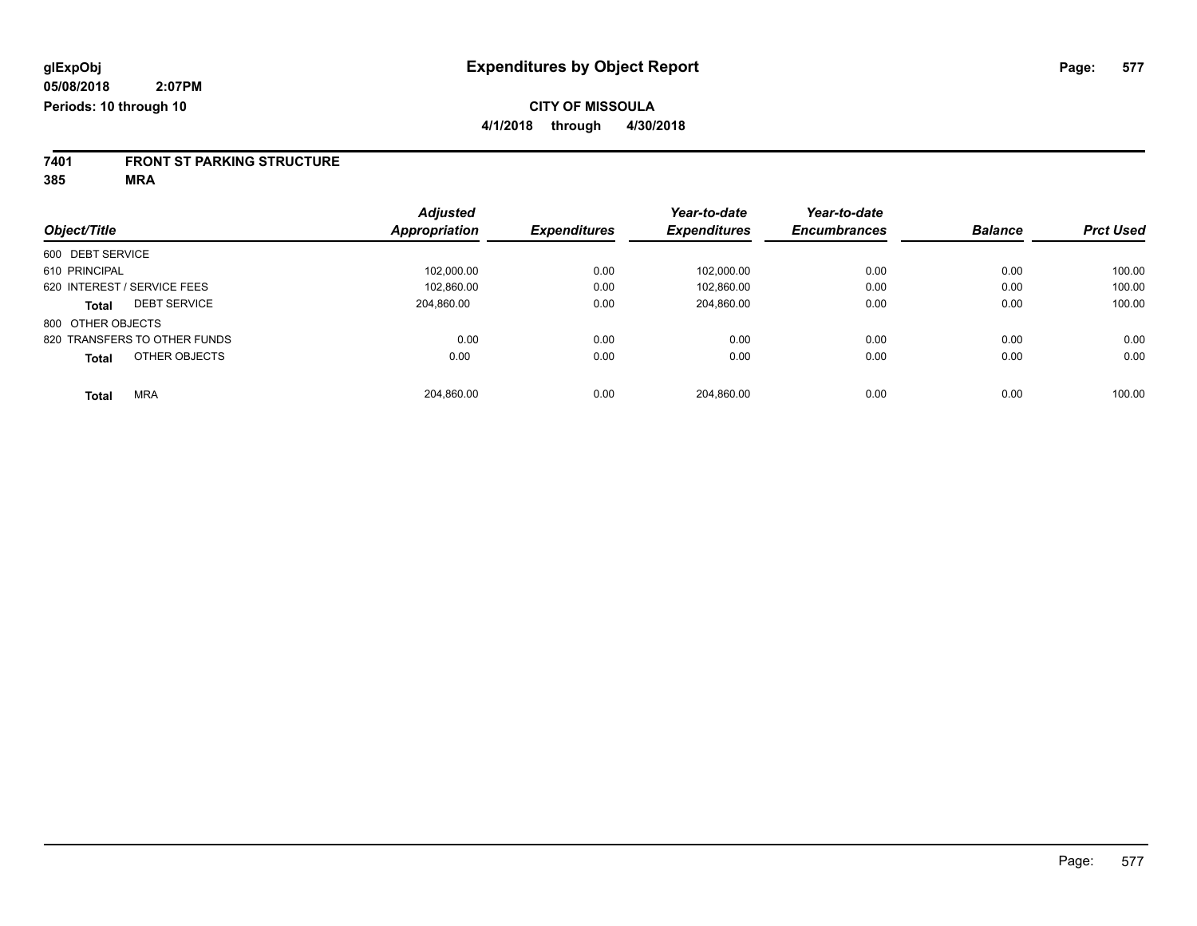# **7401 FRONT ST PARKING STRUCTURE**

**385 MRA**

|                                     | <b>Adjusted</b>      | <b>Expenditures</b> | Year-to-date<br><b>Expenditures</b> | Year-to-date        | <b>Balance</b> | <b>Prct Used</b> |
|-------------------------------------|----------------------|---------------------|-------------------------------------|---------------------|----------------|------------------|
| Object/Title                        | <b>Appropriation</b> |                     |                                     | <b>Encumbrances</b> |                |                  |
| 600 DEBT SERVICE                    |                      |                     |                                     |                     |                |                  |
| 610 PRINCIPAL                       | 102,000.00           | 0.00                | 102.000.00                          | 0.00                | 0.00           | 100.00           |
| 620 INTEREST / SERVICE FEES         | 102,860.00           | 0.00                | 102,860.00                          | 0.00                | 0.00           | 100.00           |
| <b>DEBT SERVICE</b><br><b>Total</b> | 204,860.00           | 0.00                | 204,860.00                          | 0.00                | 0.00           | 100.00           |
| 800 OTHER OBJECTS                   |                      |                     |                                     |                     |                |                  |
| 820 TRANSFERS TO OTHER FUNDS        | 0.00                 | 0.00                | 0.00                                | 0.00                | 0.00           | 0.00             |
| OTHER OBJECTS<br><b>Total</b>       | 0.00                 | 0.00                | 0.00                                | 0.00                | 0.00           | 0.00             |
| <b>MRA</b><br><b>Total</b>          | 204.860.00           | 0.00                | 204.860.00                          | 0.00                | 0.00           | 100.00           |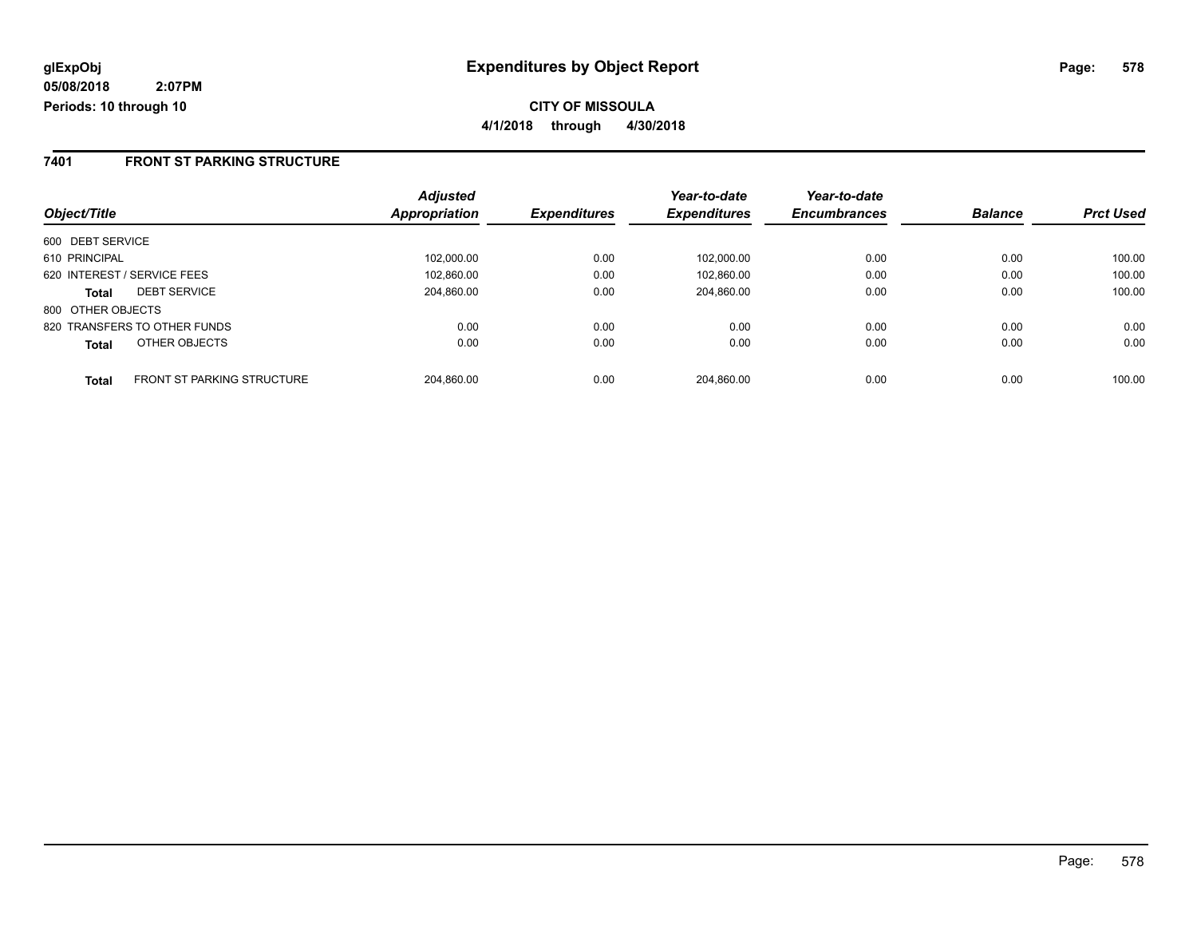**CITY OF MISSOULA 4/1/2018 through 4/30/2018**

#### **7401 FRONT ST PARKING STRUCTURE**

|                                                   | <b>Adjusted</b><br><b>Appropriation</b> |                     | Year-to-date<br><b>Expenditures</b> | Year-to-date        | <b>Balance</b> | <b>Prct Used</b> |
|---------------------------------------------------|-----------------------------------------|---------------------|-------------------------------------|---------------------|----------------|------------------|
| Object/Title                                      |                                         | <b>Expenditures</b> |                                     | <b>Encumbrances</b> |                |                  |
| 600 DEBT SERVICE                                  |                                         |                     |                                     |                     |                |                  |
| 610 PRINCIPAL                                     | 102.000.00                              | 0.00                | 102.000.00                          | 0.00                | 0.00           | 100.00           |
| 620 INTEREST / SERVICE FEES                       | 102,860.00                              | 0.00                | 102,860.00                          | 0.00                | 0.00           | 100.00           |
| <b>DEBT SERVICE</b><br><b>Total</b>               | 204.860.00                              | 0.00                | 204,860.00                          | 0.00                | 0.00           | 100.00           |
| 800 OTHER OBJECTS                                 |                                         |                     |                                     |                     |                |                  |
| 820 TRANSFERS TO OTHER FUNDS                      | 0.00                                    | 0.00                | 0.00                                | 0.00                | 0.00           | 0.00             |
| OTHER OBJECTS<br><b>Total</b>                     | 0.00                                    | 0.00                | 0.00                                | 0.00                | 0.00           | 0.00             |
| <b>FRONT ST PARKING STRUCTURE</b><br><b>Total</b> | 204.860.00                              | 0.00                | 204.860.00                          | 0.00                | 0.00           | 100.00           |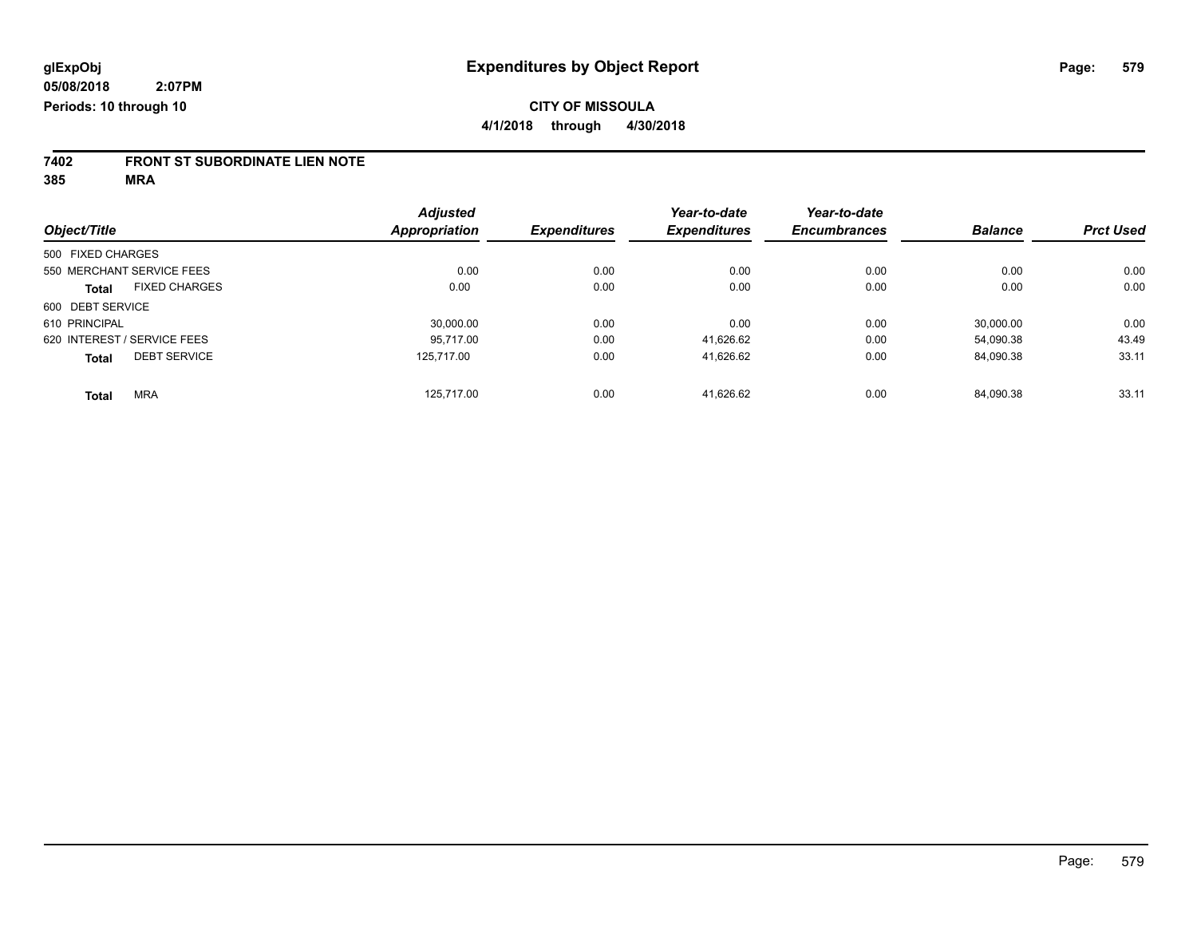# **7402 FRONT ST SUBORDINATE LIEN NOTE**

**385 MRA**

|                                      | <b>Adjusted</b>      |                     | Year-to-date        | Year-to-date        |                |                  |
|--------------------------------------|----------------------|---------------------|---------------------|---------------------|----------------|------------------|
| Object/Title                         | <b>Appropriation</b> | <b>Expenditures</b> | <b>Expenditures</b> | <b>Encumbrances</b> | <b>Balance</b> | <b>Prct Used</b> |
| 500 FIXED CHARGES                    |                      |                     |                     |                     |                |                  |
| 550 MERCHANT SERVICE FEES            | 0.00                 | 0.00                | 0.00                | 0.00                | 0.00           | 0.00             |
| <b>FIXED CHARGES</b><br><b>Total</b> | 0.00                 | 0.00                | 0.00                | 0.00                | 0.00           | 0.00             |
| 600 DEBT SERVICE                     |                      |                     |                     |                     |                |                  |
| 610 PRINCIPAL                        | 30,000.00            | 0.00                | 0.00                | 0.00                | 30.000.00      | 0.00             |
| 620 INTEREST / SERVICE FEES          | 95.717.00            | 0.00                | 41,626.62           | 0.00                | 54,090.38      | 43.49            |
| <b>DEBT SERVICE</b><br><b>Total</b>  | 125.717.00           | 0.00                | 41,626.62           | 0.00                | 84,090.38      | 33.11            |
| <b>MRA</b><br><b>Total</b>           | 125.717.00           | 0.00                | 41,626.62           | 0.00                | 84.090.38      | 33.11            |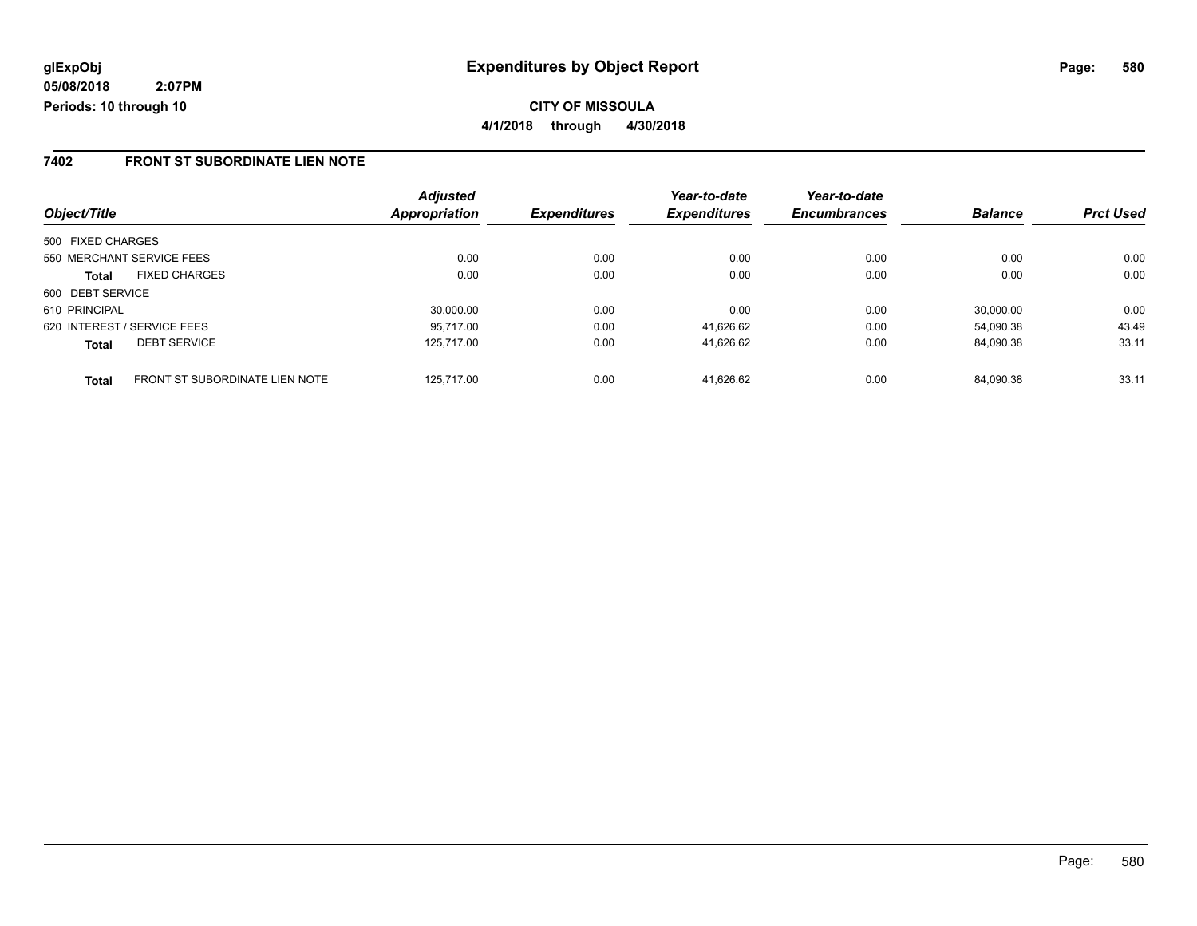**CITY OF MISSOULA 4/1/2018 through 4/30/2018**

#### **7402 FRONT ST SUBORDINATE LIEN NOTE**

| Object/Title                                          | <b>Adjusted</b><br>Appropriation | <b>Expenditures</b> | Year-to-date<br><b>Expenditures</b> | Year-to-date<br><b>Encumbrances</b> | <b>Balance</b> | <b>Prct Used</b> |
|-------------------------------------------------------|----------------------------------|---------------------|-------------------------------------|-------------------------------------|----------------|------------------|
|                                                       |                                  |                     |                                     |                                     |                |                  |
| 500 FIXED CHARGES                                     |                                  |                     |                                     |                                     |                |                  |
| 550 MERCHANT SERVICE FEES                             | 0.00                             | 0.00                | 0.00                                | 0.00                                | 0.00           | 0.00             |
| <b>FIXED CHARGES</b><br><b>Total</b>                  | 0.00                             | 0.00                | 0.00                                | 0.00                                | 0.00           | 0.00             |
| 600 DEBT SERVICE                                      |                                  |                     |                                     |                                     |                |                  |
| 610 PRINCIPAL                                         | 30.000.00                        | 0.00                | 0.00                                | 0.00                                | 30.000.00      | 0.00             |
| 620 INTEREST / SERVICE FEES                           | 95.717.00                        | 0.00                | 41,626.62                           | 0.00                                | 54,090.38      | 43.49            |
| <b>DEBT SERVICE</b><br><b>Total</b>                   | 125.717.00                       | 0.00                | 41,626.62                           | 0.00                                | 84,090.38      | 33.11            |
| <b>FRONT ST SUBORDINATE LIEN NOTE</b><br><b>Total</b> | 125.717.00                       | 0.00                | 41.626.62                           | 0.00                                | 84.090.38      | 33.11            |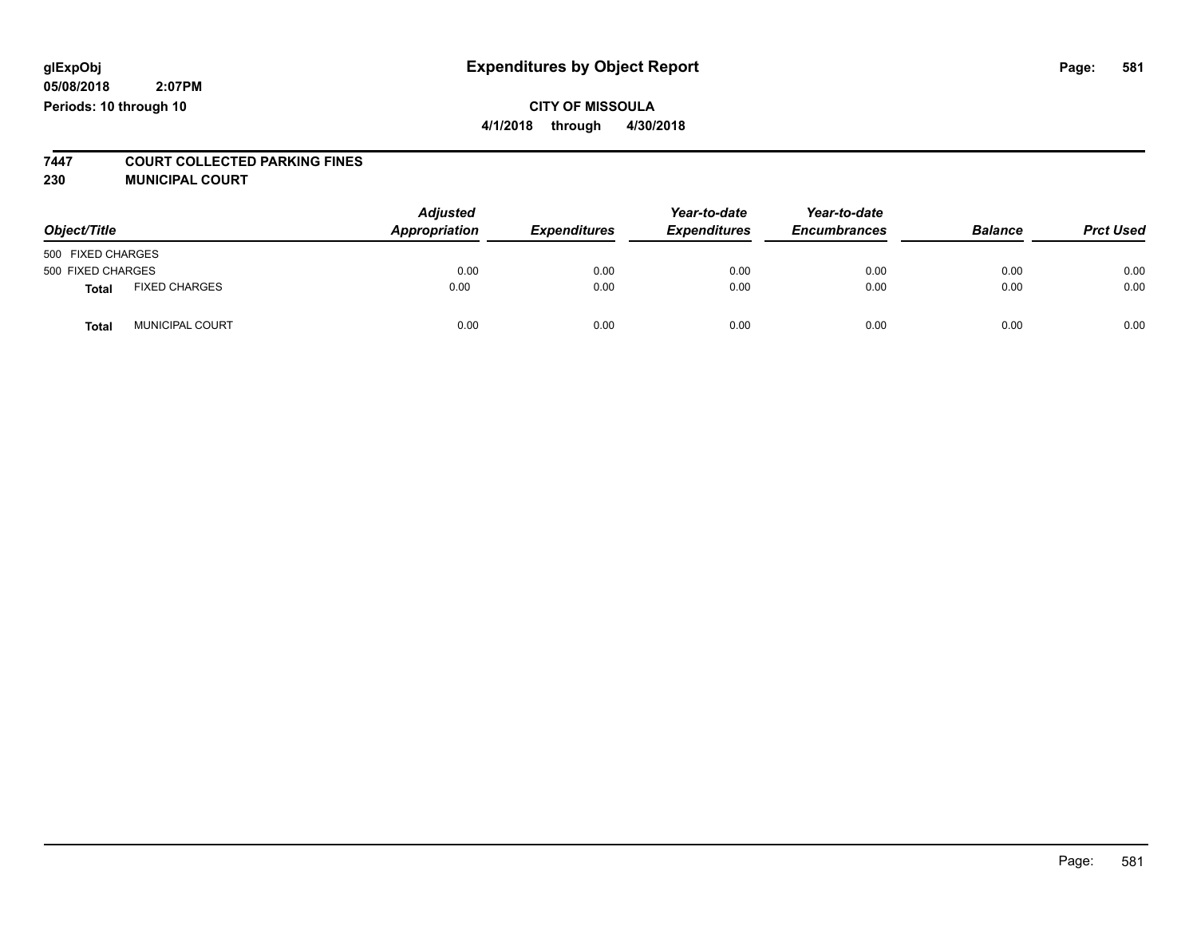#### **CITY OF MISSOULA 4/1/2018 through 4/30/2018**

# **7447 COURT COLLECTED PARKING FINES**

**230 MUNICIPAL COURT**

| Object/Title      |                        | <b>Adjusted</b><br>Appropriation | <b>Expenditures</b> | Year-to-date<br><b>Expenditures</b> | Year-to-date<br><b>Encumbrances</b> | <b>Balance</b> | <b>Prct Used</b> |
|-------------------|------------------------|----------------------------------|---------------------|-------------------------------------|-------------------------------------|----------------|------------------|
| 500 FIXED CHARGES |                        |                                  |                     |                                     |                                     |                |                  |
| 500 FIXED CHARGES |                        | 0.00                             | 0.00                | 0.00                                | 0.00                                | 0.00           | 0.00             |
| <b>Total</b>      | <b>FIXED CHARGES</b>   | 0.00                             | 0.00                | 0.00                                | 0.00                                | 0.00           | 0.00             |
| <b>Total</b>      | <b>MUNICIPAL COURT</b> | 0.00                             | 0.00                | 0.00                                | 0.00                                | 0.00           | 0.00             |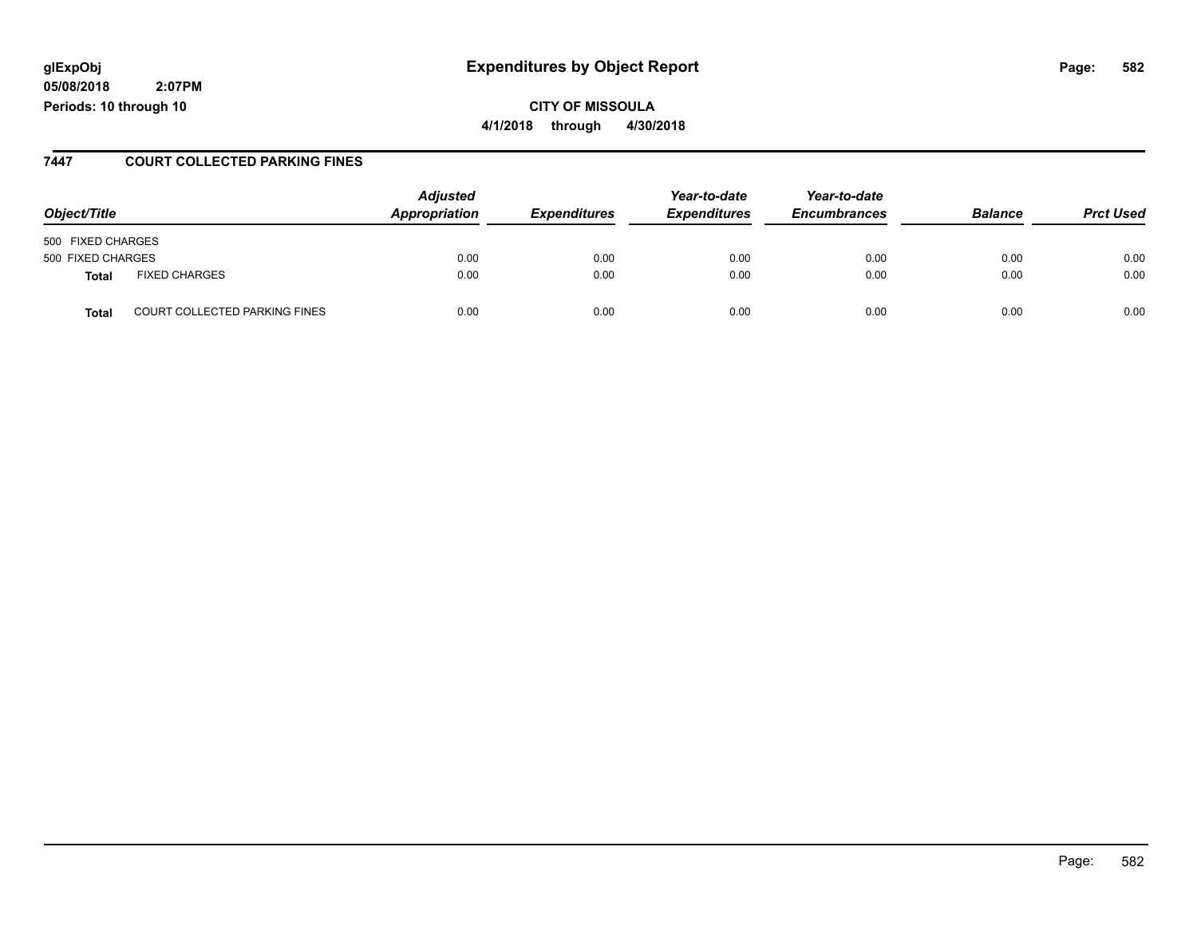#### **glExpObj Expenditures by Object Report Page: 582**

**05/08/2018 2:07PM Periods: 10 through 10**

**CITY OF MISSOULA 4/1/2018 through 4/30/2018**

#### **7447 COURT COLLECTED PARKING FINES**

| Object/Title                                         | <b>Adjusted</b><br>Appropriation | <b>Expenditures</b> | Year-to-date<br><b>Expenditures</b> | Year-to-date<br><b>Encumbrances</b> | <b>Balance</b> | <b>Prct Used</b> |
|------------------------------------------------------|----------------------------------|---------------------|-------------------------------------|-------------------------------------|----------------|------------------|
| 500 FIXED CHARGES                                    |                                  |                     |                                     |                                     |                |                  |
| 500 FIXED CHARGES                                    | 0.00                             | 0.00                | 0.00                                | 0.00                                | 0.00           | 0.00             |
| <b>FIXED CHARGES</b><br>Total                        | 0.00                             | 0.00                | 0.00                                | 0.00                                | 0.00           | 0.00             |
| <b>COURT COLLECTED PARKING FINES</b><br><b>Total</b> | 0.00                             | 0.00                | 0.00                                | 0.00                                | 0.00           | 0.00             |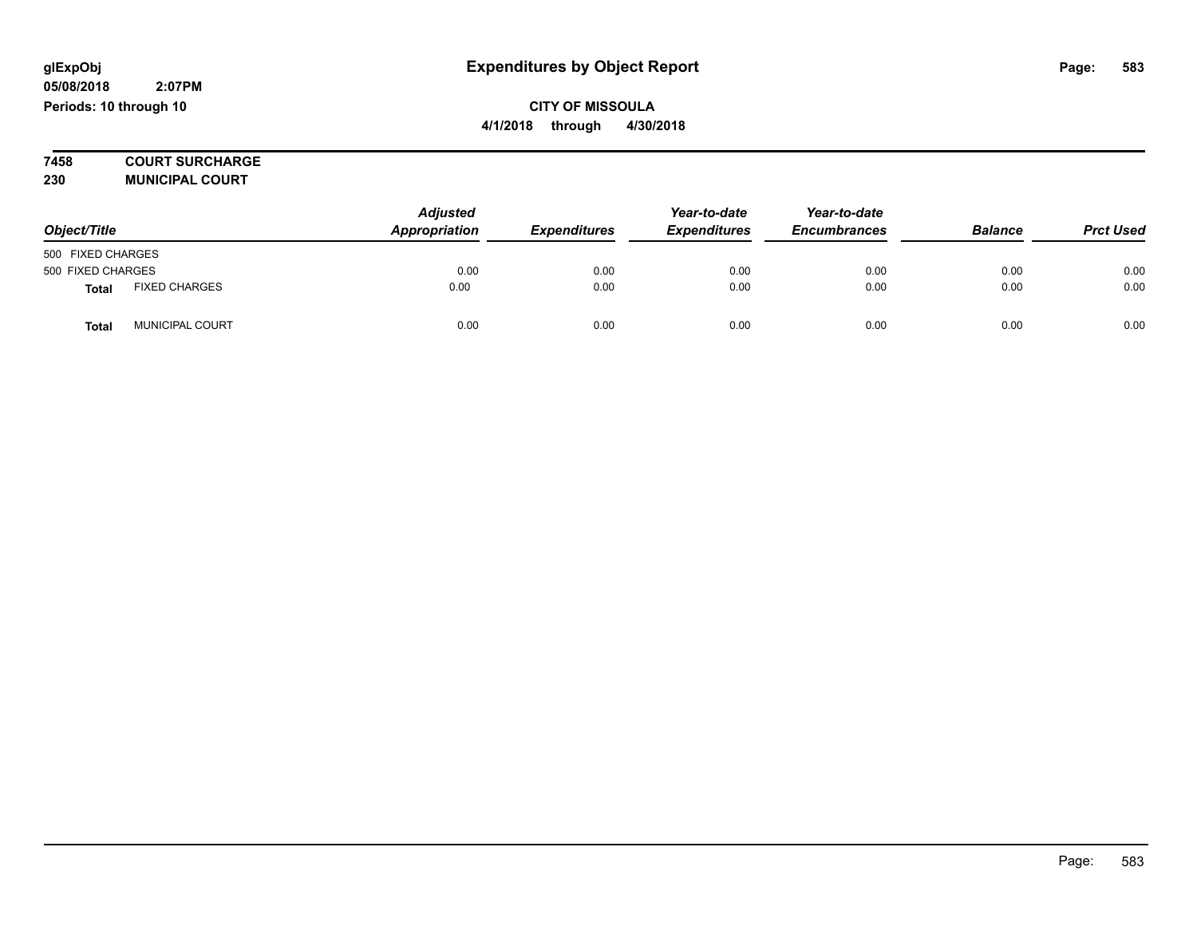**7458 COURT SURCHARGE 230 MUNICIPAL COURT**

| Object/Title      |                        | <b>Adjusted</b><br>Appropriation | <b>Expenditures</b> | Year-to-date<br><b>Expenditures</b> | Year-to-date<br><b>Encumbrances</b> | <b>Balance</b> | <b>Prct Used</b> |
|-------------------|------------------------|----------------------------------|---------------------|-------------------------------------|-------------------------------------|----------------|------------------|
| 500 FIXED CHARGES |                        |                                  |                     |                                     |                                     |                |                  |
| 500 FIXED CHARGES |                        | 0.00                             | 0.00                | 0.00                                | 0.00                                | 0.00           | 0.00             |
| <b>Total</b>      | <b>FIXED CHARGES</b>   | 0.00                             | 0.00                | 0.00                                | 0.00                                | 0.00           | 0.00             |
| <b>Total</b>      | <b>MUNICIPAL COURT</b> | 0.00                             | 0.00                | 0.00                                | 0.00                                | 0.00           | 0.00             |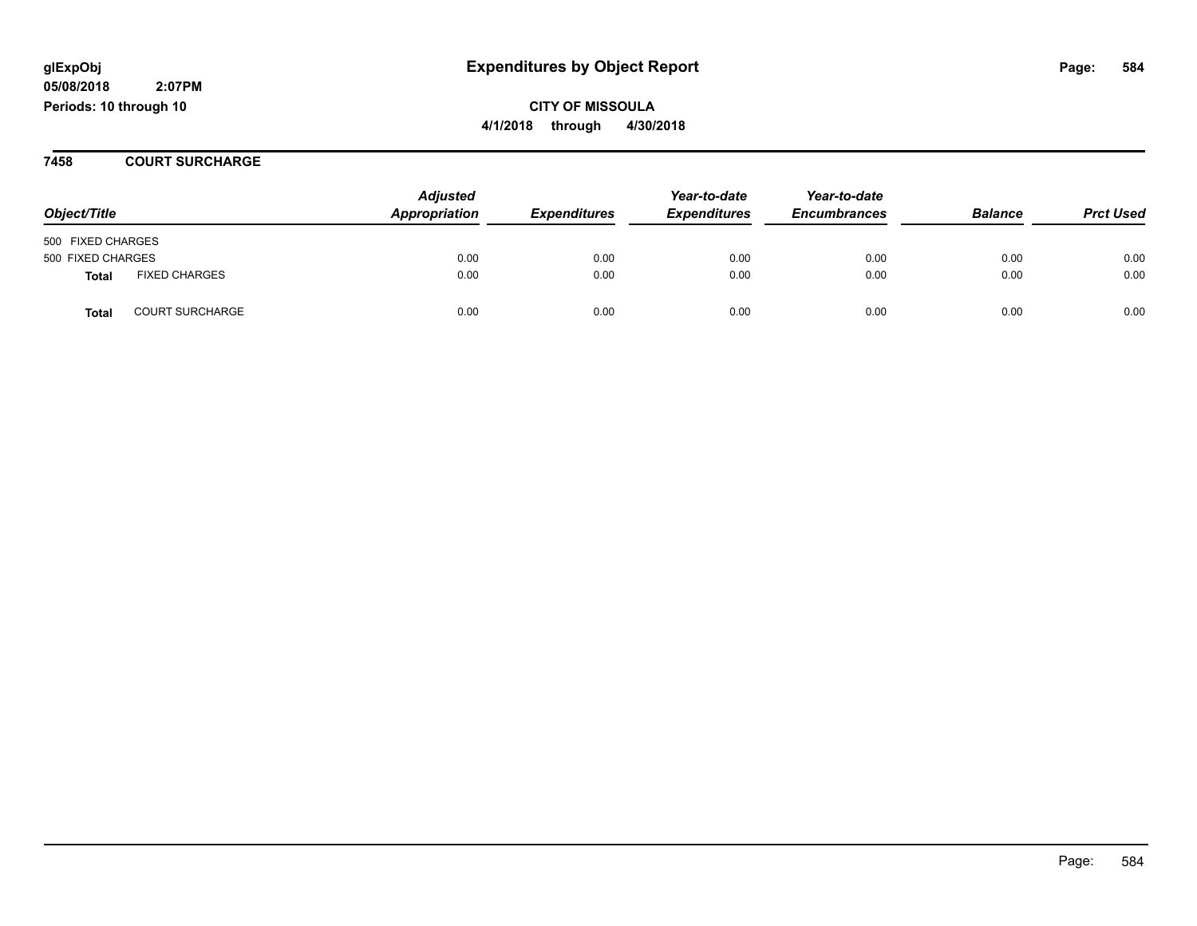**CITY OF MISSOULA 4/1/2018 through 4/30/2018**

#### **7458 COURT SURCHARGE**

| Object/Title      |                        | <b>Adjusted</b><br>Appropriation<br><b>Expenditures</b> | Year-to-date | Year-to-date        |                     |                |                  |
|-------------------|------------------------|---------------------------------------------------------|--------------|---------------------|---------------------|----------------|------------------|
|                   |                        |                                                         |              | <b>Expenditures</b> | <b>Encumbrances</b> | <b>Balance</b> | <b>Prct Used</b> |
| 500 FIXED CHARGES |                        |                                                         |              |                     |                     |                |                  |
| 500 FIXED CHARGES |                        | 0.00                                                    | 0.00         | 0.00                | 0.00                | 0.00           | 0.00             |
| Total             | <b>FIXED CHARGES</b>   | 0.00                                                    | 0.00         | 0.00                | 0.00                | 0.00           | 0.00             |
| <b>Total</b>      | <b>COURT SURCHARGE</b> | 0.00                                                    | 0.00         | 0.00                | 0.00                | 0.00           | 0.00             |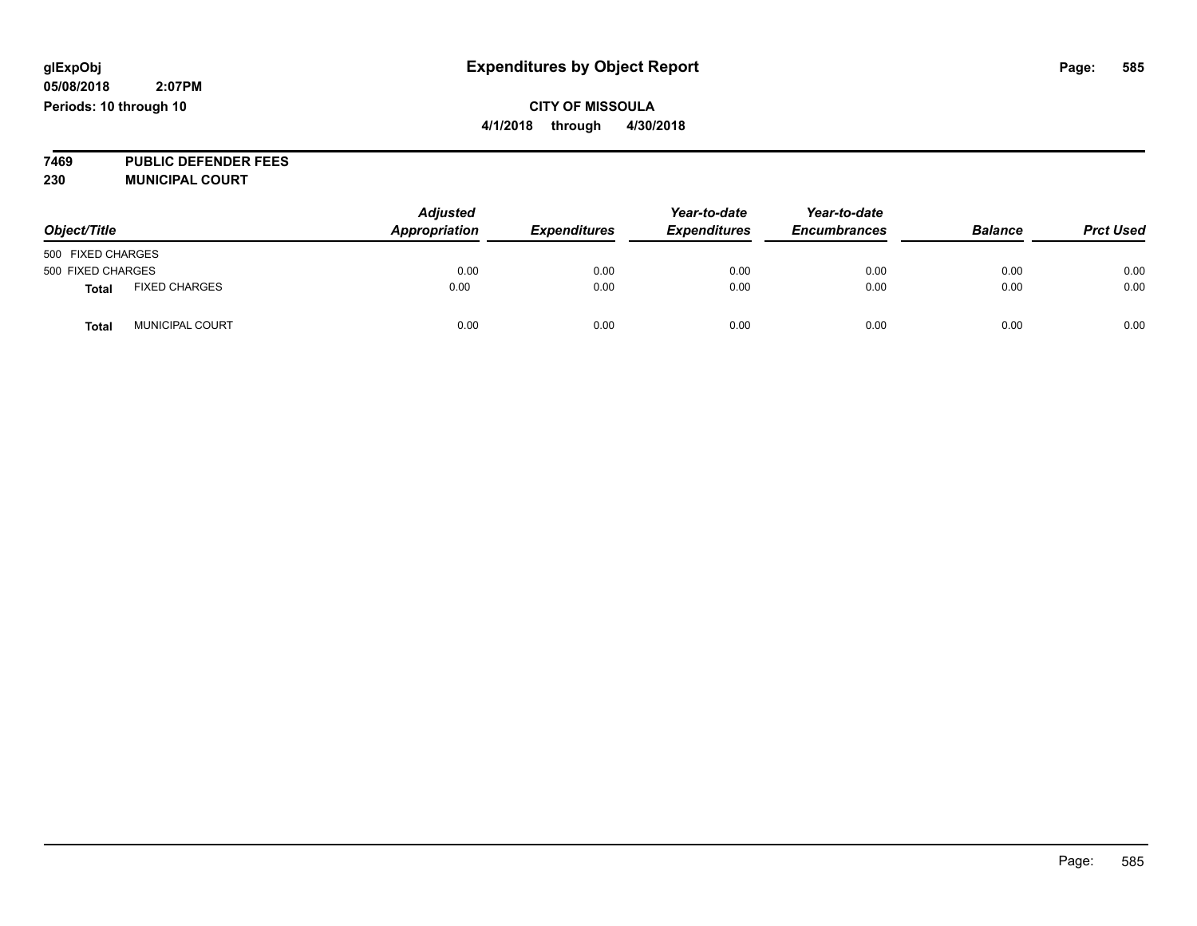**7469 PUBLIC DEFENDER FEES 230 MUNICIPAL COURT**

| Object/Title      |                        | <b>Adjusted</b><br>Appropriation | <b>Expenditures</b> | Year-to-date<br><b>Expenditures</b> | Year-to-date<br><b>Encumbrances</b> | <b>Balance</b> | <b>Prct Used</b> |
|-------------------|------------------------|----------------------------------|---------------------|-------------------------------------|-------------------------------------|----------------|------------------|
| 500 FIXED CHARGES |                        |                                  |                     |                                     |                                     |                |                  |
| 500 FIXED CHARGES |                        | 0.00                             | 0.00                | 0.00                                | 0.00                                | 0.00           | 0.00             |
| Total             | <b>FIXED CHARGES</b>   | 0.00                             | 0.00                | 0.00                                | 0.00                                | 0.00           | 0.00             |
| <b>Total</b>      | <b>MUNICIPAL COURT</b> | 0.00                             | 0.00                | 0.00                                | 0.00                                | 0.00           | 0.00             |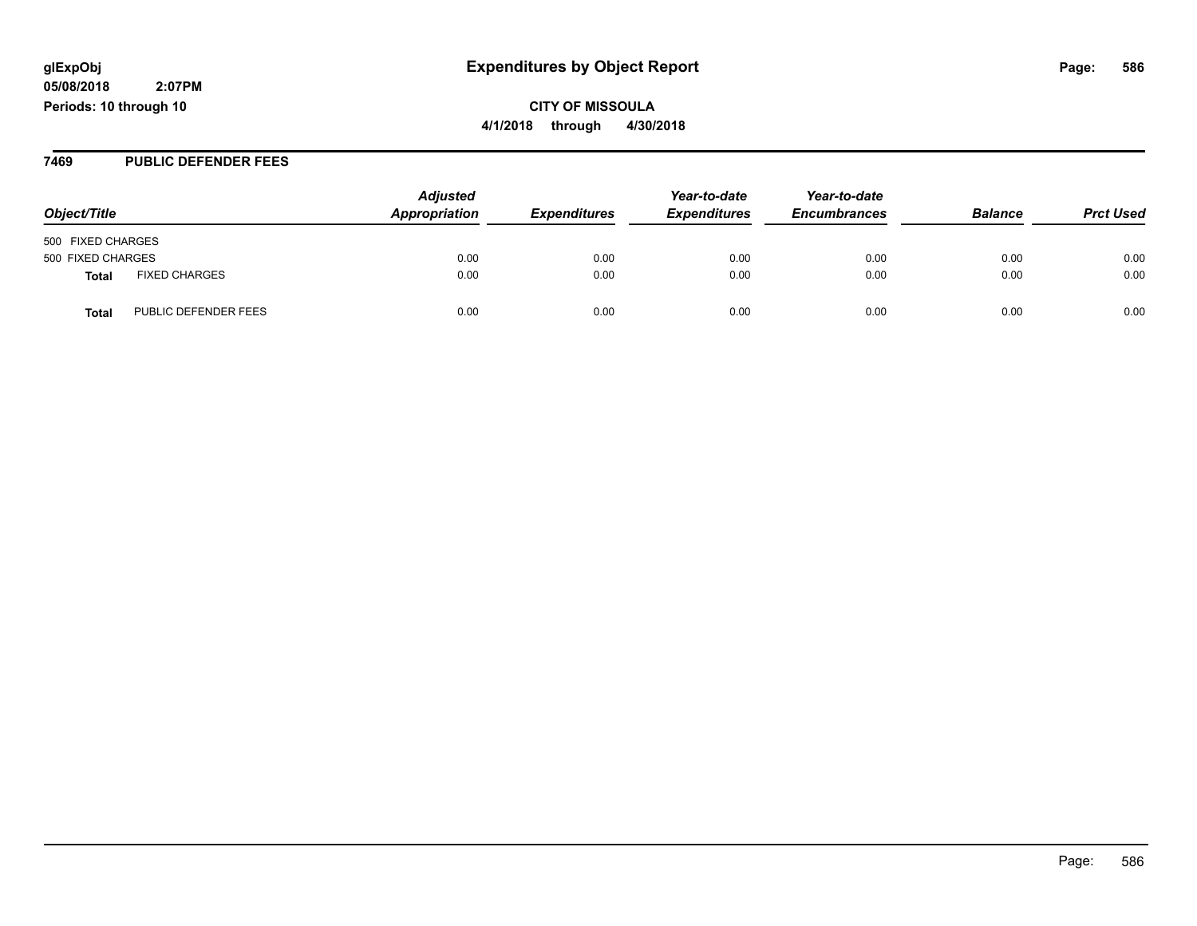**CITY OF MISSOULA 4/1/2018 through 4/30/2018**

#### **7469 PUBLIC DEFENDER FEES**

| Object/Title                  | <b>Adjusted</b><br>Appropriation | <b>Expenditures</b> | Year-to-date<br><b>Expenditures</b> | Year-to-date<br><b>Encumbrances</b> | <b>Balance</b> | <b>Prct Used</b> |
|-------------------------------|----------------------------------|---------------------|-------------------------------------|-------------------------------------|----------------|------------------|
|                               |                                  |                     |                                     |                                     |                |                  |
| 500 FIXED CHARGES             |                                  |                     |                                     |                                     |                |                  |
| 500 FIXED CHARGES             | 0.00                             | 0.00                | 0.00                                | 0.00                                | 0.00           | 0.00             |
| <b>FIXED CHARGES</b><br>Total | 0.00                             | 0.00                | 0.00                                | 0.00                                | 0.00           | 0.00             |
| PUBLIC DEFENDER FEES<br>Total | 0.00                             | 0.00                | 0.00                                | 0.00                                | 0.00           | 0.00             |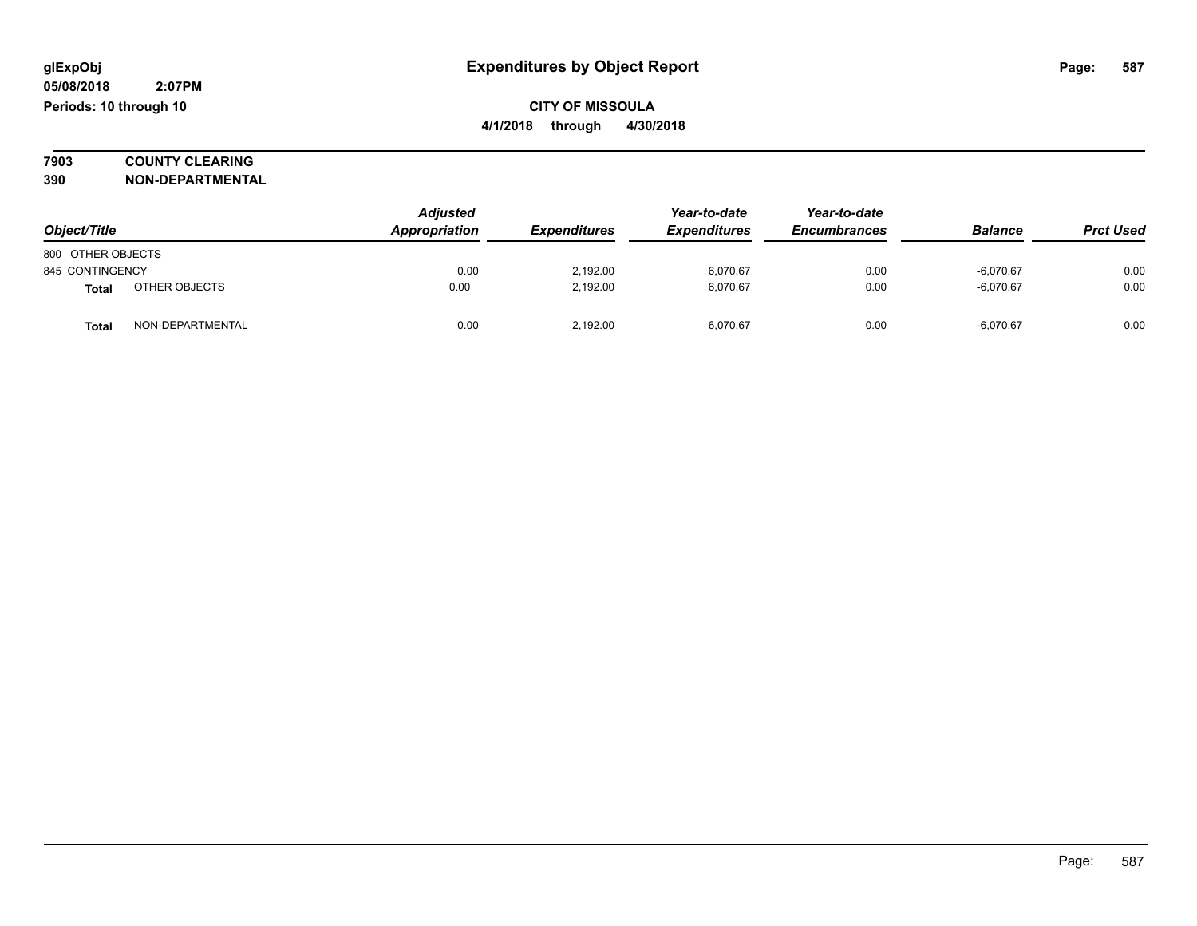#### **7903 COUNTY CLEARING 390 NON-DEPARTMENTAL**

| Object/Title              | <b>Adjusted</b><br>Appropriation | <b>Expenditures</b> | Year-to-date<br><b>Expenditures</b> | Year-to-date<br><b>Encumbrances</b> | <b>Balance</b> | <b>Prct Used</b> |
|---------------------------|----------------------------------|---------------------|-------------------------------------|-------------------------------------|----------------|------------------|
| 800 OTHER OBJECTS         |                                  |                     |                                     |                                     |                |                  |
| 845 CONTINGENCY           | 0.00                             | 2.192.00            | 6.070.67                            | 0.00                                | $-6.070.67$    | 0.00             |
| OTHER OBJECTS<br>Total    | 0.00                             | 2,192.00            | 6,070.67                            | 0.00                                | $-6.070.67$    | 0.00             |
| NON-DEPARTMENTAL<br>Total | 0.00                             | 2,192.00            | 6,070.67                            | 0.00                                | $-6,070.67$    | 0.00             |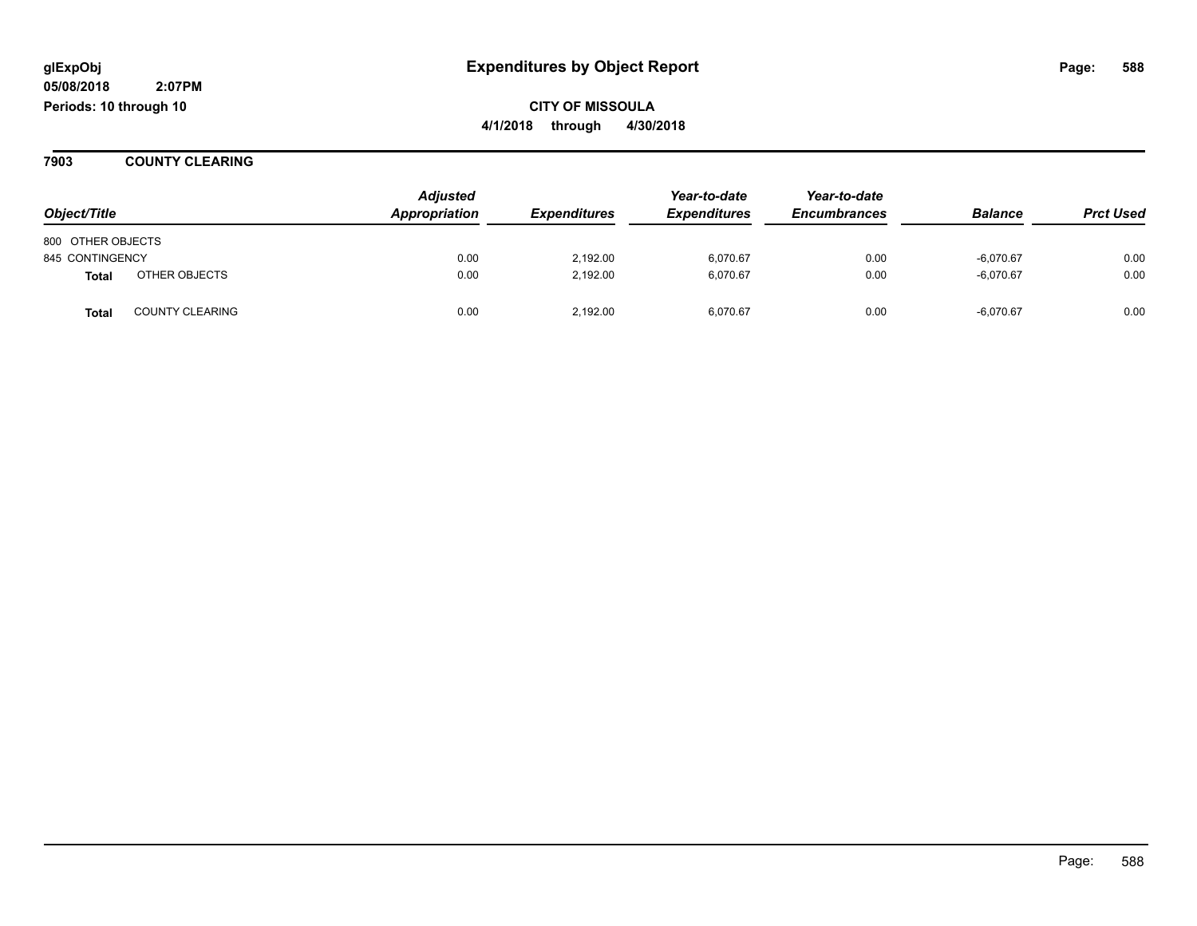**2:07PM Periods: 10 through 10**

#### **CITY OF MISSOULA 4/1/2018 through 4/30/2018**

#### **7903 COUNTY CLEARING**

| Object/Title      |                        | <b>Adjusted</b><br><b>Appropriation</b><br><b>Expenditures</b> | Year-to-date | Year-to-date        |                     |                |                  |
|-------------------|------------------------|----------------------------------------------------------------|--------------|---------------------|---------------------|----------------|------------------|
|                   |                        |                                                                |              | <b>Expenditures</b> | <b>Encumbrances</b> | <b>Balance</b> | <b>Prct Used</b> |
| 800 OTHER OBJECTS |                        |                                                                |              |                     |                     |                |                  |
| 845 CONTINGENCY   |                        | 0.00                                                           | 2,192.00     | 6,070.67            | 0.00                | $-6,070.67$    | 0.00             |
| <b>Total</b>      | OTHER OBJECTS          | 0.00                                                           | 2.192.00     | 6,070.67            | 0.00                | $-6.070.67$    | 0.00             |
| <b>Total</b>      | <b>COUNTY CLEARING</b> | 0.00                                                           | 2.192.00     | 6.070.67            | 0.00                | $-6.070.67$    | 0.00             |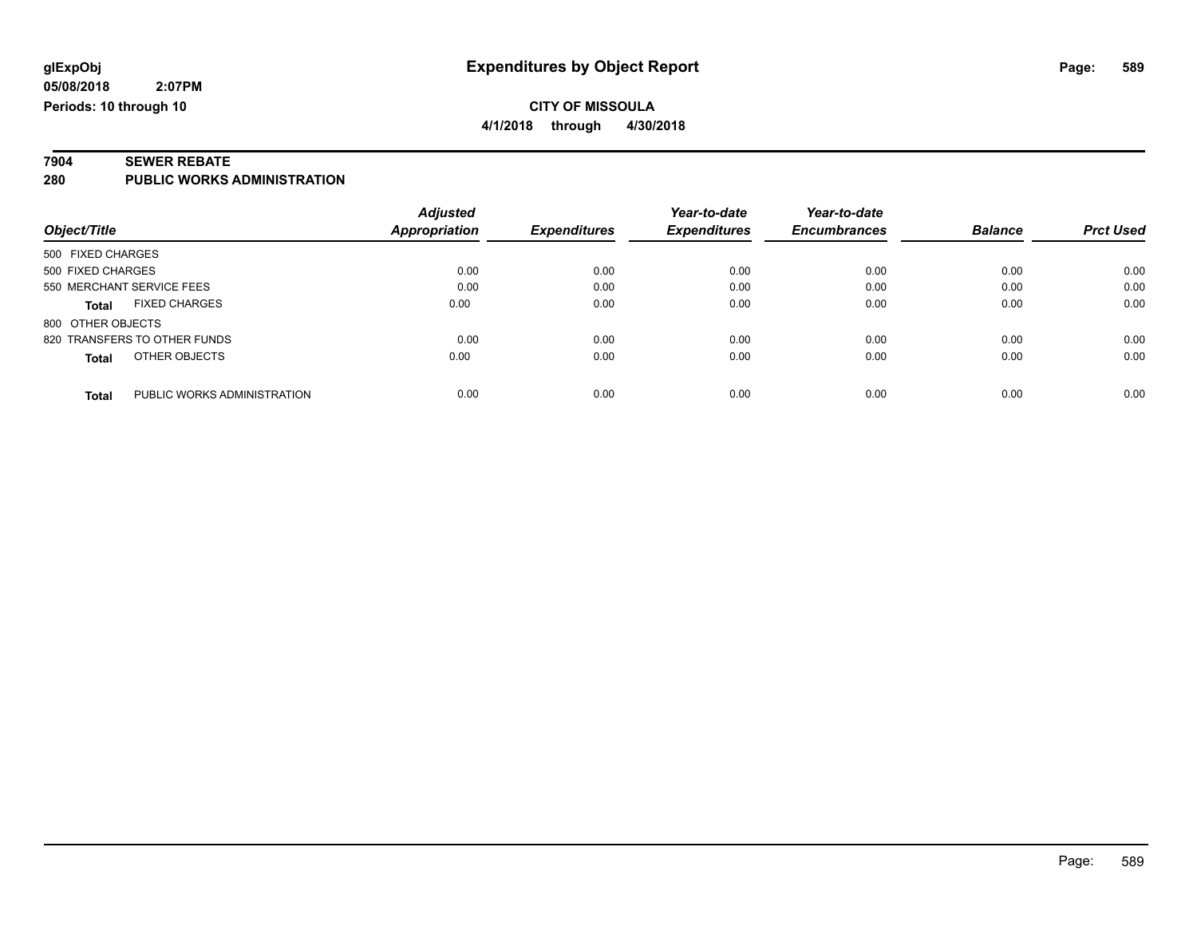# **7904 SEWER REBATE**

**280 PUBLIC WORKS ADMINISTRATION**

|                                             | <b>Adjusted</b> |                            | Year-to-date        | Year-to-date        |                |                  |
|---------------------------------------------|-----------------|----------------------------|---------------------|---------------------|----------------|------------------|
| Object/Title                                | Appropriation   | <i><b>Expenditures</b></i> | <b>Expenditures</b> | <b>Encumbrances</b> | <b>Balance</b> | <b>Prct Used</b> |
| 500 FIXED CHARGES                           |                 |                            |                     |                     |                |                  |
| 500 FIXED CHARGES                           | 0.00            | 0.00                       | 0.00                | 0.00                | 0.00           | 0.00             |
| 550 MERCHANT SERVICE FEES                   | 0.00            | 0.00                       | 0.00                | 0.00                | 0.00           | 0.00             |
| <b>FIXED CHARGES</b><br><b>Total</b>        | 0.00            | 0.00                       | 0.00                | 0.00                | 0.00           | 0.00             |
| 800 OTHER OBJECTS                           |                 |                            |                     |                     |                |                  |
| 820 TRANSFERS TO OTHER FUNDS                | 0.00            | 0.00                       | 0.00                | 0.00                | 0.00           | 0.00             |
| OTHER OBJECTS<br><b>Total</b>               | 0.00            | 0.00                       | 0.00                | 0.00                | 0.00           | 0.00             |
| PUBLIC WORKS ADMINISTRATION<br><b>Total</b> | 0.00            | 0.00                       | 0.00                | 0.00                | 0.00           | 0.00             |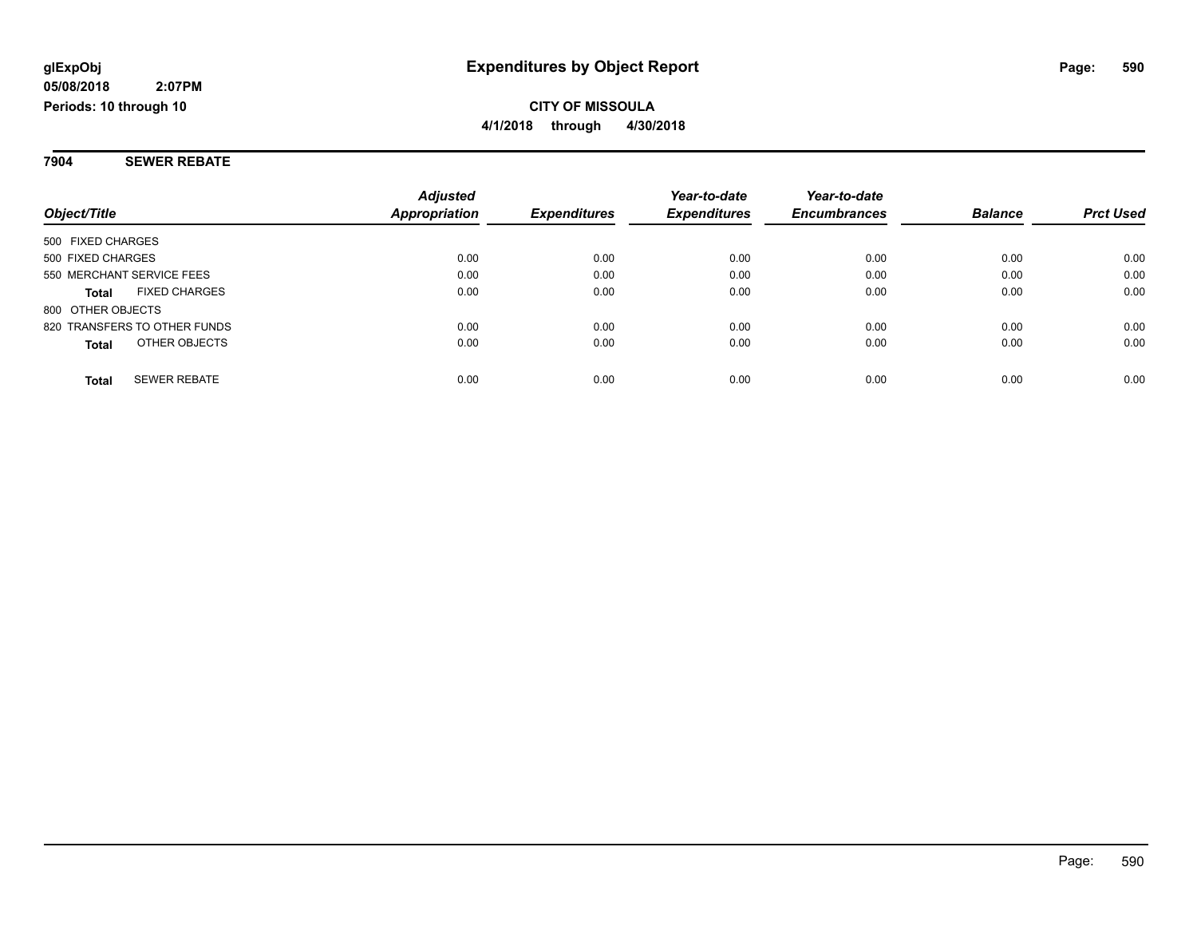**7904 SEWER REBATE**

|                                      | <b>Adjusted</b> |                     | Year-to-date        | Year-to-date        |                |                  |
|--------------------------------------|-----------------|---------------------|---------------------|---------------------|----------------|------------------|
| Object/Title                         | Appropriation   | <b>Expenditures</b> | <b>Expenditures</b> | <b>Encumbrances</b> | <b>Balance</b> | <b>Prct Used</b> |
| 500 FIXED CHARGES                    |                 |                     |                     |                     |                |                  |
| 500 FIXED CHARGES                    | 0.00            | 0.00                | 0.00                | 0.00                | 0.00           | 0.00             |
| 550 MERCHANT SERVICE FEES            | 0.00            | 0.00                | 0.00                | 0.00                | 0.00           | 0.00             |
| <b>FIXED CHARGES</b><br><b>Total</b> | 0.00            | 0.00                | 0.00                | 0.00                | 0.00           | 0.00             |
| 800 OTHER OBJECTS                    |                 |                     |                     |                     |                |                  |
| 820 TRANSFERS TO OTHER FUNDS         | 0.00            | 0.00                | 0.00                | 0.00                | 0.00           | 0.00             |
| OTHER OBJECTS<br><b>Total</b>        | 0.00            | 0.00                | 0.00                | 0.00                | 0.00           | 0.00             |
| <b>SEWER REBATE</b><br><b>Total</b>  | 0.00            | 0.00                | 0.00                | 0.00                | 0.00           | 0.00             |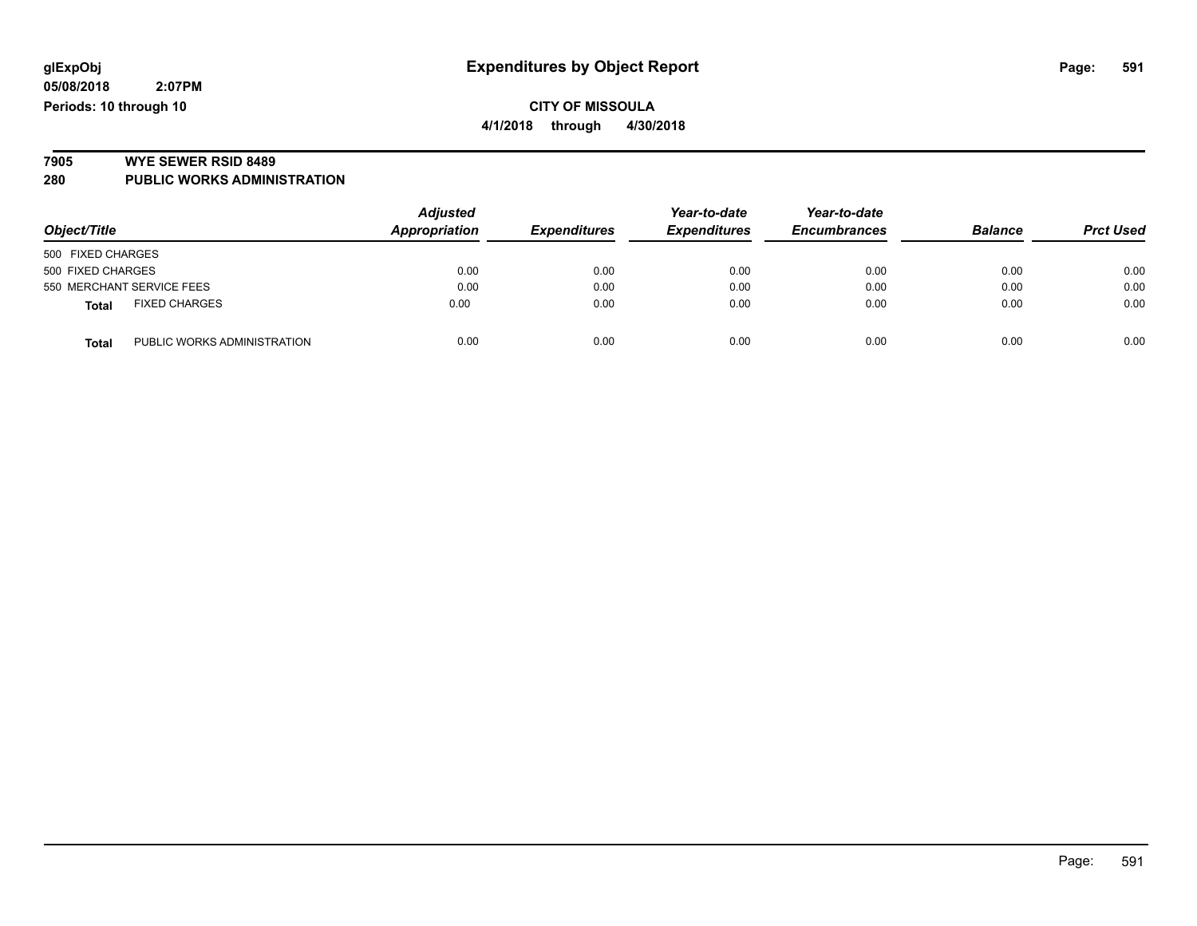**CITY OF MISSOULA 4/1/2018 through 4/30/2018**

# **7905 WYE SEWER RSID 8489**

**280 PUBLIC WORKS ADMINISTRATION**

|                                             | <b>Adjusted</b> |      | Year-to-date<br><b>Expenditures</b><br><b>Expenditures</b> | Year-to-date<br><b>Encumbrances</b> |                |                  |
|---------------------------------------------|-----------------|------|------------------------------------------------------------|-------------------------------------|----------------|------------------|
| Object/Title                                | Appropriation   |      |                                                            |                                     | <b>Balance</b> | <b>Prct Used</b> |
| 500 FIXED CHARGES                           |                 |      |                                                            |                                     |                |                  |
| 500 FIXED CHARGES                           | 0.00            | 0.00 | 0.00                                                       | 0.00                                | 0.00           | 0.00             |
| 550 MERCHANT SERVICE FEES                   | 0.00            | 0.00 | 0.00                                                       | 0.00                                | 0.00           | 0.00             |
| <b>FIXED CHARGES</b><br><b>Total</b>        | 0.00            | 0.00 | 0.00                                                       | 0.00                                | 0.00           | 0.00             |
| PUBLIC WORKS ADMINISTRATION<br><b>Total</b> | 0.00            | 0.00 | 0.00                                                       | 0.00                                | 0.00           | 0.00             |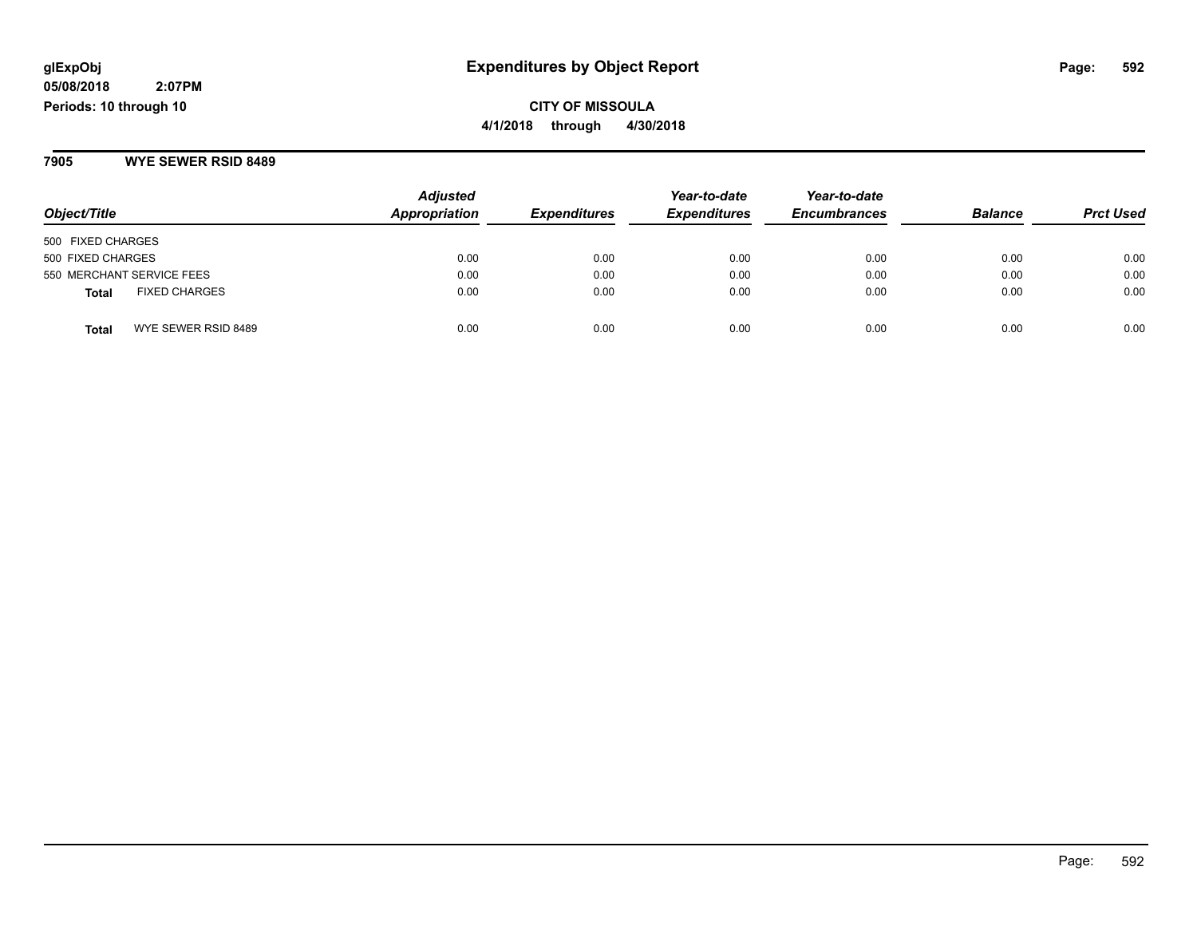**CITY OF MISSOULA 4/1/2018 through 4/30/2018**

**7905 WYE SEWER RSID 8489**

| Object/Title                         | <b>Adjusted</b><br>Appropriation | <b>Expenditures</b> | Year-to-date<br><b>Expenditures</b> | Year-to-date<br><b>Encumbrances</b> | <b>Balance</b> | <b>Prct Used</b> |
|--------------------------------------|----------------------------------|---------------------|-------------------------------------|-------------------------------------|----------------|------------------|
| 500 FIXED CHARGES                    |                                  |                     |                                     |                                     |                |                  |
| 500 FIXED CHARGES                    | 0.00                             | 0.00                | 0.00                                | 0.00                                | 0.00           | 0.00             |
| 550 MERCHANT SERVICE FEES            | 0.00                             | 0.00                | 0.00                                | 0.00                                | 0.00           | 0.00             |
| <b>FIXED CHARGES</b><br><b>Total</b> | 0.00                             | 0.00                | 0.00                                | 0.00                                | 0.00           | 0.00             |
| WYE SEWER RSID 8489<br><b>Total</b>  | 0.00                             | 0.00                | 0.00                                | 0.00                                | 0.00           | 0.00             |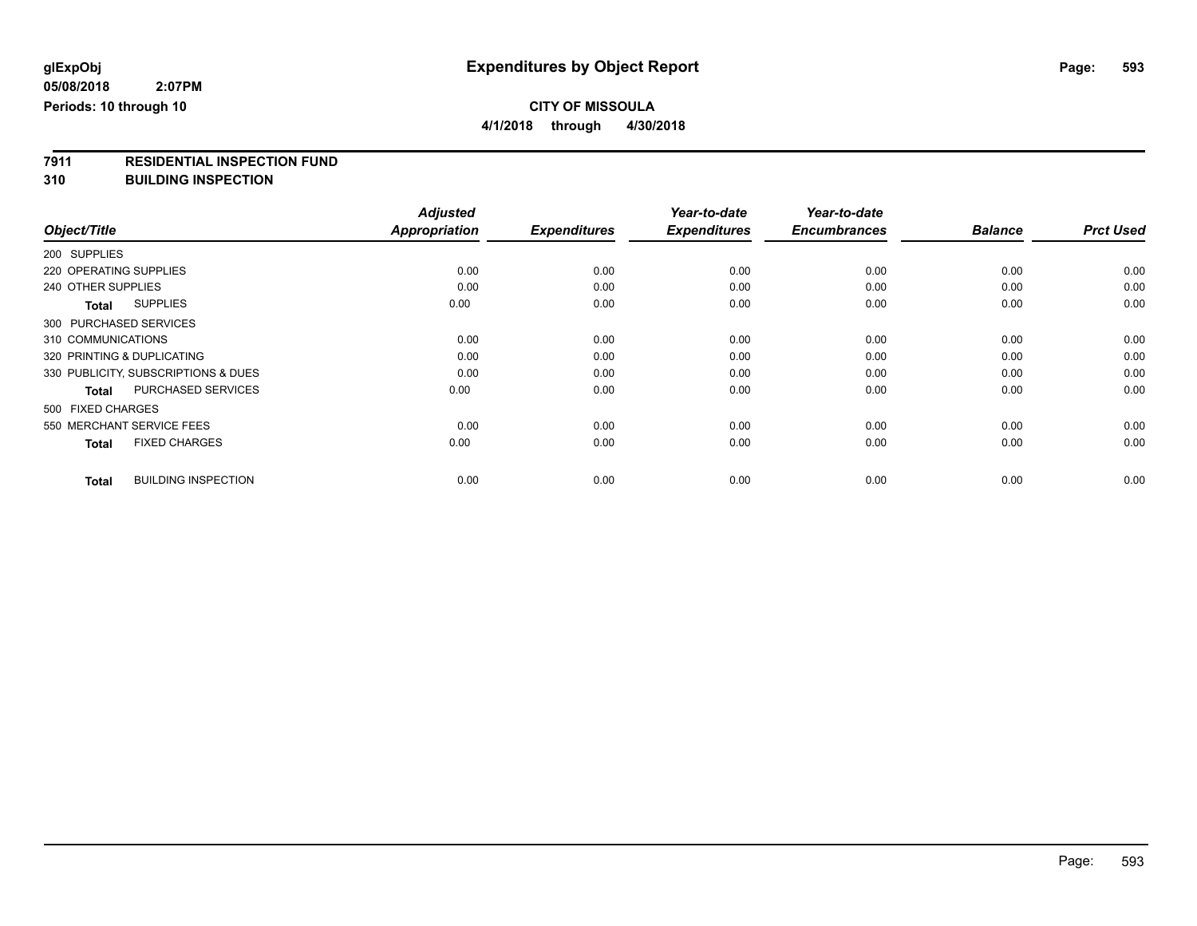# **7911 RESIDENTIAL INSPECTION FUND**

**310 BUILDING INSPECTION**

|                                            | <b>Adjusted</b> |                     | Year-to-date        | Year-to-date        |                |                  |
|--------------------------------------------|-----------------|---------------------|---------------------|---------------------|----------------|------------------|
| Object/Title                               | Appropriation   | <b>Expenditures</b> | <b>Expenditures</b> | <b>Encumbrances</b> | <b>Balance</b> | <b>Prct Used</b> |
| 200 SUPPLIES                               |                 |                     |                     |                     |                |                  |
| 220 OPERATING SUPPLIES                     | 0.00            | 0.00                | 0.00                | 0.00                | 0.00           | 0.00             |
| 240 OTHER SUPPLIES                         | 0.00            | 0.00                | 0.00                | 0.00                | 0.00           | 0.00             |
| <b>SUPPLIES</b><br><b>Total</b>            | 0.00            | 0.00                | 0.00                | 0.00                | 0.00           | 0.00             |
| 300 PURCHASED SERVICES                     |                 |                     |                     |                     |                |                  |
| 310 COMMUNICATIONS                         | 0.00            | 0.00                | 0.00                | 0.00                | 0.00           | 0.00             |
| 320 PRINTING & DUPLICATING                 | 0.00            | 0.00                | 0.00                | 0.00                | 0.00           | 0.00             |
| 330 PUBLICITY, SUBSCRIPTIONS & DUES        | 0.00            | 0.00                | 0.00                | 0.00                | 0.00           | 0.00             |
| PURCHASED SERVICES<br><b>Total</b>         | 0.00            | 0.00                | 0.00                | 0.00                | 0.00           | 0.00             |
| 500 FIXED CHARGES                          |                 |                     |                     |                     |                |                  |
| 550 MERCHANT SERVICE FEES                  | 0.00            | 0.00                | 0.00                | 0.00                | 0.00           | 0.00             |
| <b>FIXED CHARGES</b><br><b>Total</b>       | 0.00            | 0.00                | 0.00                | 0.00                | 0.00           | 0.00             |
| <b>BUILDING INSPECTION</b><br><b>Total</b> | 0.00            | 0.00                | 0.00                | 0.00                | 0.00           | 0.00             |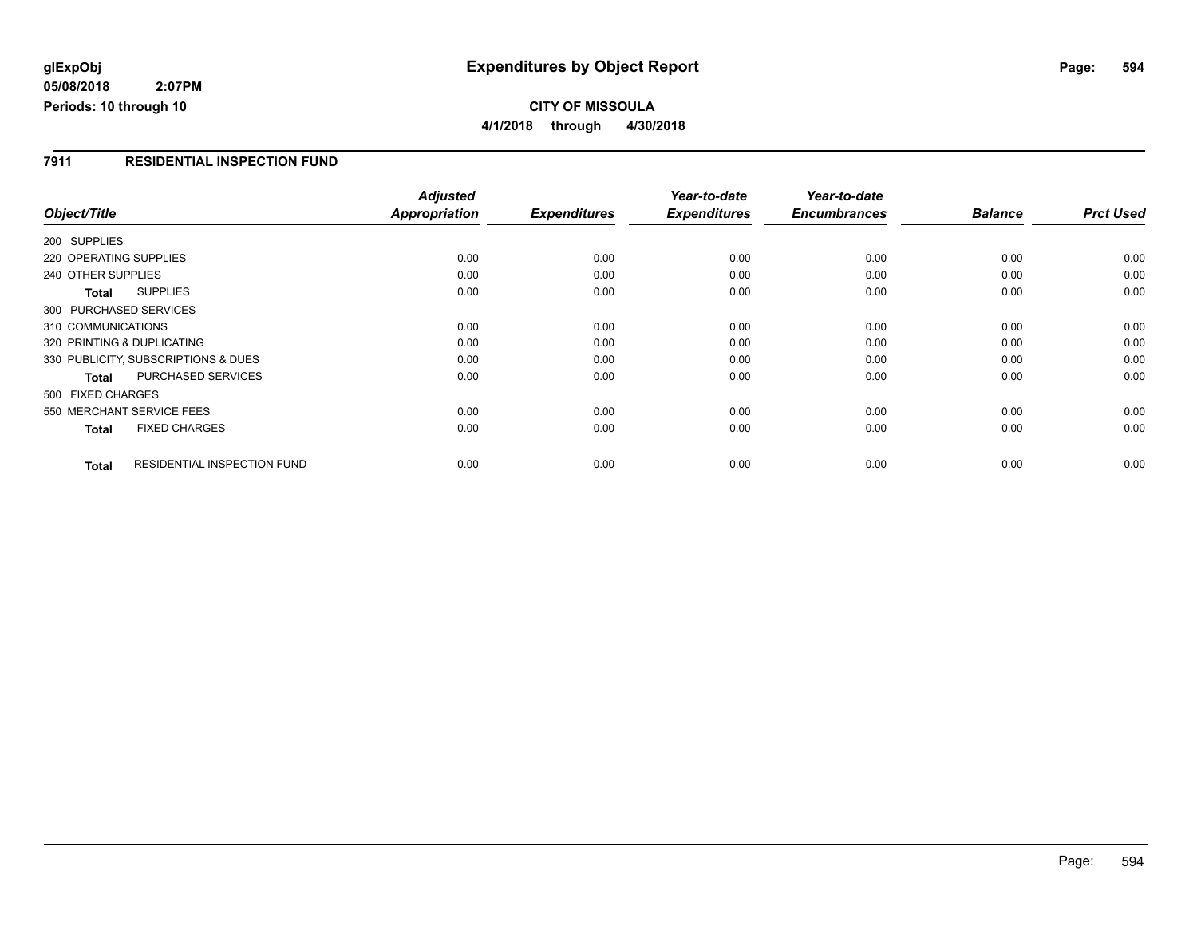**CITY OF MISSOULA 4/1/2018 through 4/30/2018**

#### **7911 RESIDENTIAL INSPECTION FUND**

|                        |                                     | <b>Adjusted</b> |                     | Year-to-date        | Year-to-date        |                |                  |
|------------------------|-------------------------------------|-----------------|---------------------|---------------------|---------------------|----------------|------------------|
| Object/Title           |                                     | Appropriation   | <b>Expenditures</b> | <b>Expenditures</b> | <b>Encumbrances</b> | <b>Balance</b> | <b>Prct Used</b> |
| 200 SUPPLIES           |                                     |                 |                     |                     |                     |                |                  |
| 220 OPERATING SUPPLIES |                                     | 0.00            | 0.00                | 0.00                | 0.00                | 0.00           | 0.00             |
| 240 OTHER SUPPLIES     |                                     | 0.00            | 0.00                | 0.00                | 0.00                | 0.00           | 0.00             |
| <b>Total</b>           | <b>SUPPLIES</b>                     | 0.00            | 0.00                | 0.00                | 0.00                | 0.00           | 0.00             |
|                        | 300 PURCHASED SERVICES              |                 |                     |                     |                     |                |                  |
| 310 COMMUNICATIONS     |                                     | 0.00            | 0.00                | 0.00                | 0.00                | 0.00           | 0.00             |
|                        | 320 PRINTING & DUPLICATING          | 0.00            | 0.00                | 0.00                | 0.00                | 0.00           | 0.00             |
|                        | 330 PUBLICITY, SUBSCRIPTIONS & DUES | 0.00            | 0.00                | 0.00                | 0.00                | 0.00           | 0.00             |
| Total                  | <b>PURCHASED SERVICES</b>           | 0.00            | 0.00                | 0.00                | 0.00                | 0.00           | 0.00             |
| 500 FIXED CHARGES      |                                     |                 |                     |                     |                     |                |                  |
|                        | 550 MERCHANT SERVICE FEES           | 0.00            | 0.00                | 0.00                | 0.00                | 0.00           | 0.00             |
| <b>Total</b>           | <b>FIXED CHARGES</b>                | 0.00            | 0.00                | 0.00                | 0.00                | 0.00           | 0.00             |
| <b>Total</b>           | <b>RESIDENTIAL INSPECTION FUND</b>  | 0.00            | 0.00                | 0.00                | 0.00                | 0.00           | 0.00             |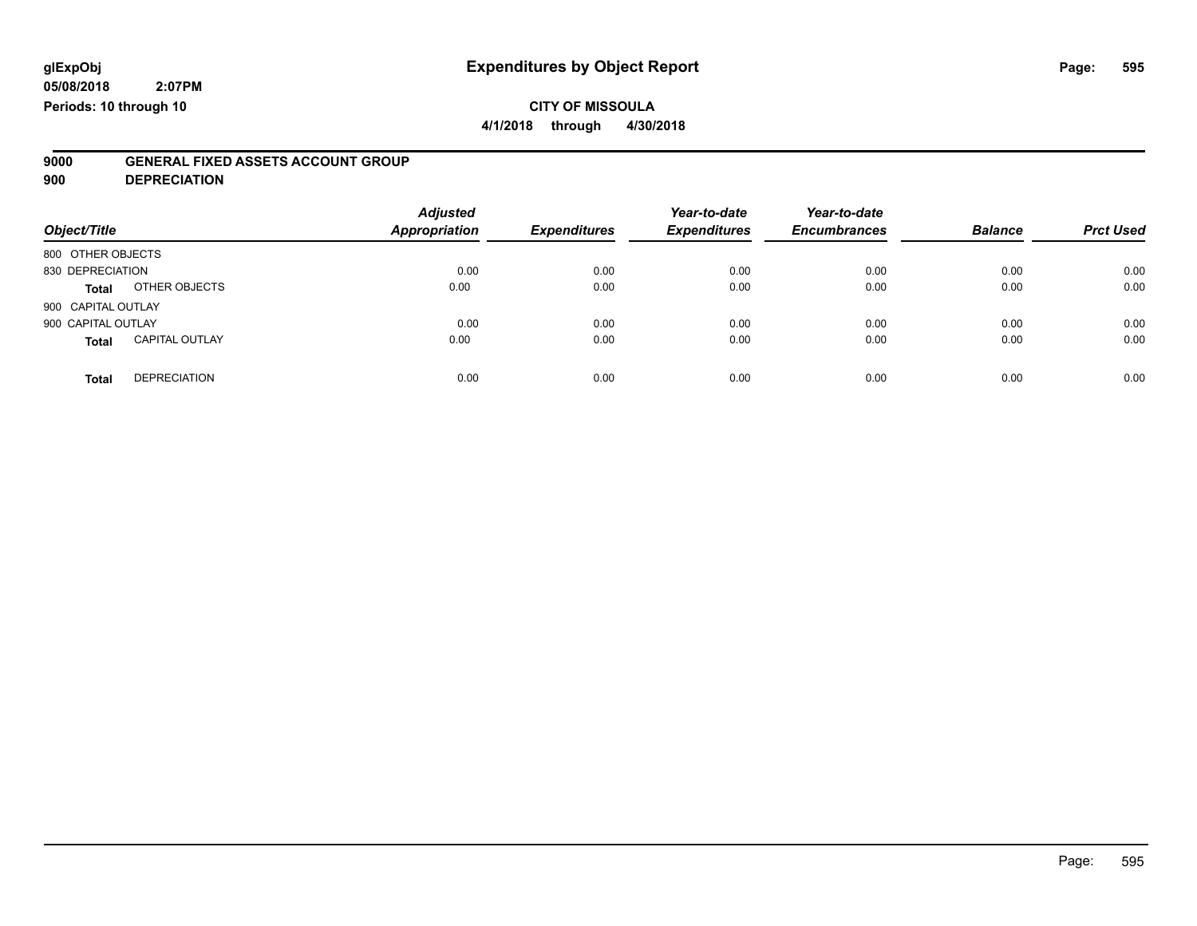### **CITY OF MISSOULA**

**4/1/2018 through 4/30/2018**

# **9000 GENERAL FIXED ASSETS ACCOUNT GROUP**

**900 DEPRECIATION**

| Object/Title                          | <b>Adjusted</b><br>Appropriation | <b>Expenditures</b> | Year-to-date<br><b>Expenditures</b> | Year-to-date<br><b>Encumbrances</b> | <b>Balance</b> | <b>Prct Used</b> |
|---------------------------------------|----------------------------------|---------------------|-------------------------------------|-------------------------------------|----------------|------------------|
| 800 OTHER OBJECTS                     |                                  |                     |                                     |                                     |                |                  |
| 830 DEPRECIATION                      | 0.00                             | 0.00                | 0.00                                | 0.00                                | 0.00           | 0.00             |
| OTHER OBJECTS<br><b>Total</b>         | 0.00                             | 0.00                | 0.00                                | 0.00                                | 0.00           | 0.00             |
| 900 CAPITAL OUTLAY                    |                                  |                     |                                     |                                     |                |                  |
| 900 CAPITAL OUTLAY                    | 0.00                             | 0.00                | 0.00                                | 0.00                                | 0.00           | 0.00             |
| <b>CAPITAL OUTLAY</b><br><b>Total</b> | 0.00                             | 0.00                | 0.00                                | 0.00                                | 0.00           | 0.00             |
| <b>DEPRECIATION</b><br><b>Total</b>   | 0.00                             | 0.00                | 0.00                                | 0.00                                | 0.00           | 0.00             |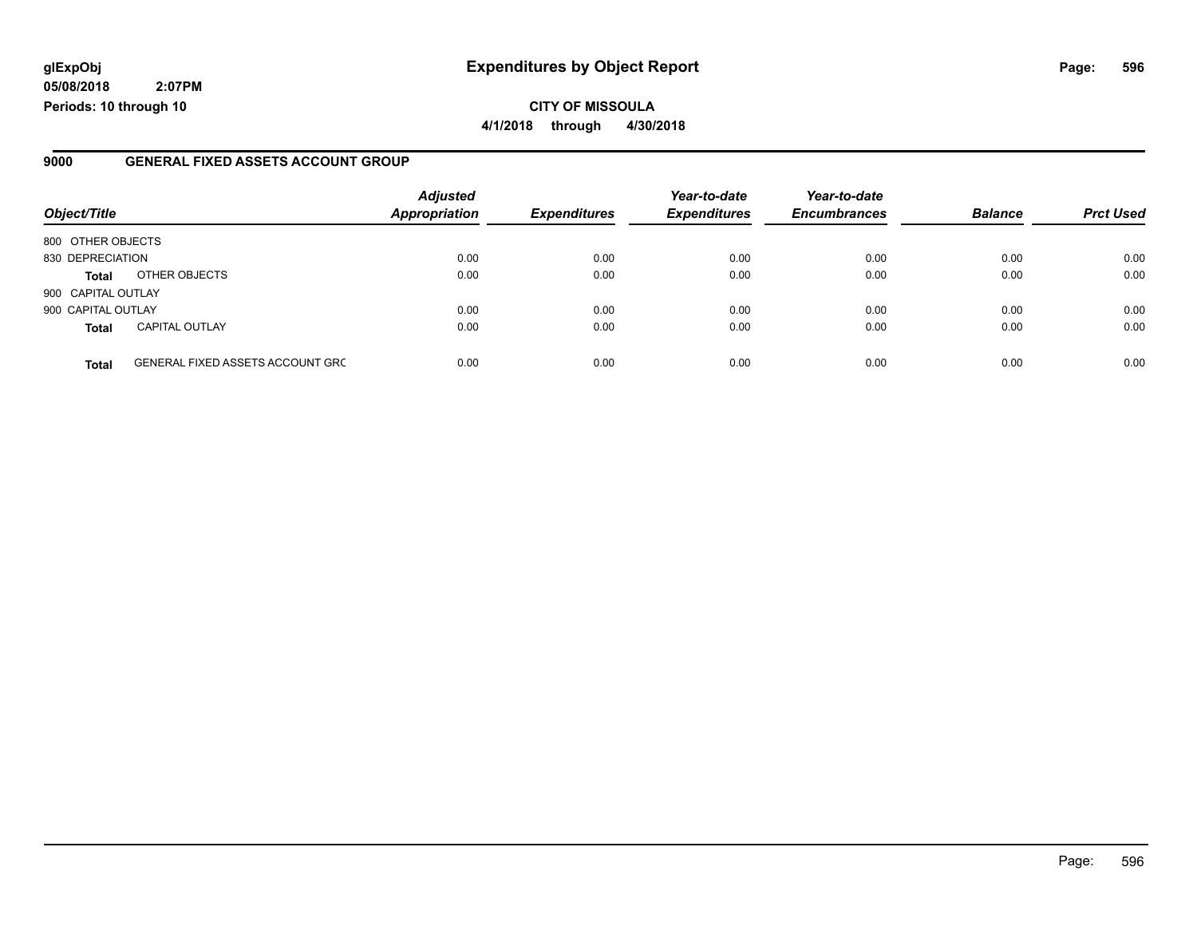### **glExpObj Expenditures by Object Report Page: 596**

**05/08/2018 2:07PM Periods: 10 through 10**

#### **9000 GENERAL FIXED ASSETS ACCOUNT GROUP**

| Object/Title       |                                         | <b>Adjusted</b><br>Appropriation | <b>Expenditures</b> | Year-to-date<br><b>Expenditures</b> | Year-to-date<br><b>Encumbrances</b> | <b>Balance</b> | <b>Prct Used</b> |
|--------------------|-----------------------------------------|----------------------------------|---------------------|-------------------------------------|-------------------------------------|----------------|------------------|
| 800 OTHER OBJECTS  |                                         |                                  |                     |                                     |                                     |                |                  |
| 830 DEPRECIATION   |                                         | 0.00                             | 0.00                | 0.00                                | 0.00                                | 0.00           | 0.00             |
| <b>Total</b>       | OTHER OBJECTS                           | 0.00                             | 0.00                | 0.00                                | 0.00                                | 0.00           | 0.00             |
| 900 CAPITAL OUTLAY |                                         |                                  |                     |                                     |                                     |                |                  |
| 900 CAPITAL OUTLAY |                                         | 0.00                             | 0.00                | 0.00                                | 0.00                                | 0.00           | 0.00             |
| <b>Total</b>       | <b>CAPITAL OUTLAY</b>                   | 0.00                             | 0.00                | 0.00                                | 0.00                                | 0.00           | 0.00             |
| <b>Total</b>       | <b>GENERAL FIXED ASSETS ACCOUNT GRC</b> | 0.00                             | 0.00                | 0.00                                | 0.00                                | 0.00           | 0.00             |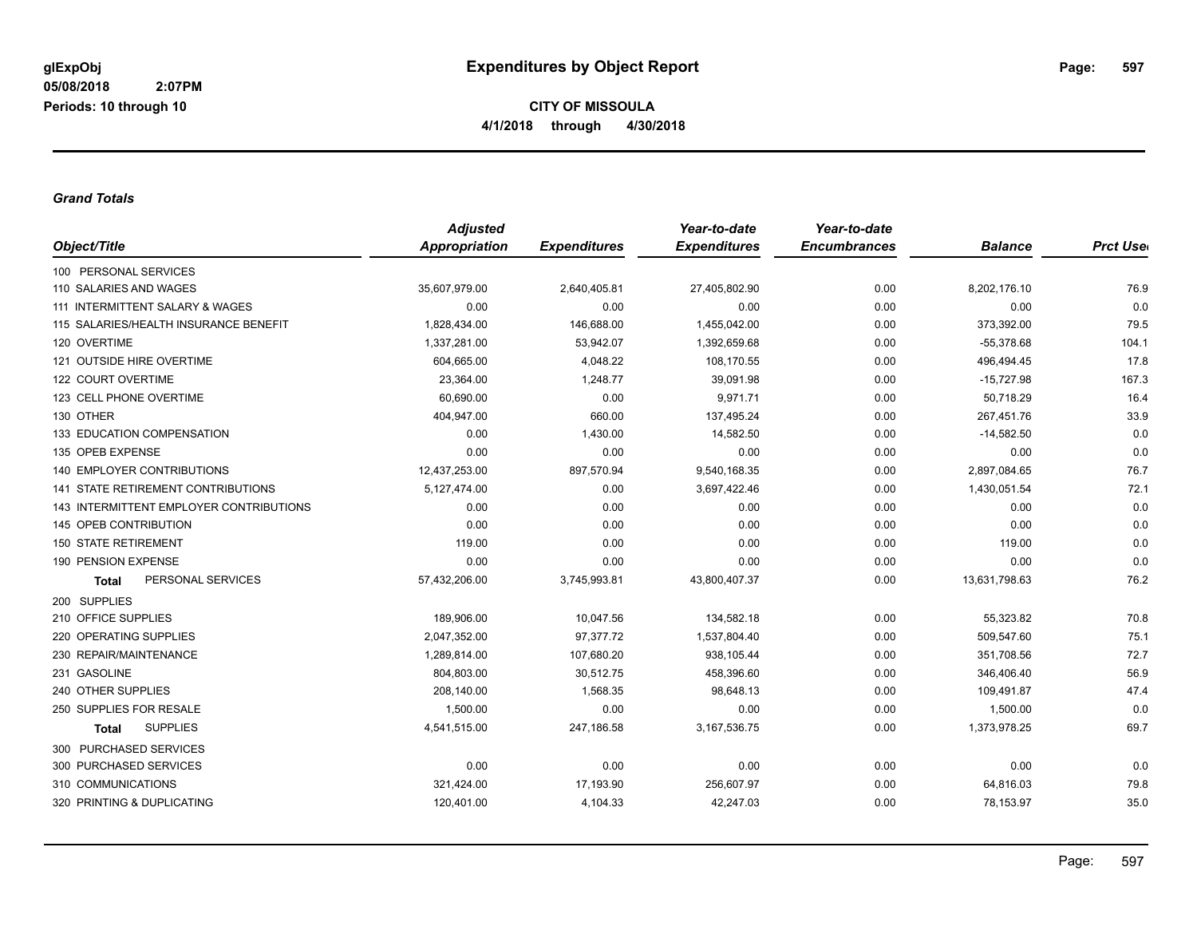#### *Grand Totals*

|                                         | <b>Adjusted</b> |                     | Year-to-date        | Year-to-date        |                |                  |
|-----------------------------------------|-----------------|---------------------|---------------------|---------------------|----------------|------------------|
| Object/Title                            | Appropriation   | <b>Expenditures</b> | <b>Expenditures</b> | <b>Encumbrances</b> | <b>Balance</b> | <b>Prct Uset</b> |
| 100 PERSONAL SERVICES                   |                 |                     |                     |                     |                |                  |
| 110 SALARIES AND WAGES                  | 35,607,979.00   | 2,640,405.81        | 27,405,802.90       | 0.00                | 8,202,176.10   | 76.9             |
| 111 INTERMITTENT SALARY & WAGES         | 0.00            | 0.00                | 0.00                | 0.00                | 0.00           | 0.0              |
| 115 SALARIES/HEALTH INSURANCE BENEFIT   | 1,828,434.00    | 146,688.00          | 1,455,042.00        | 0.00                | 373,392.00     | 79.5             |
| 120 OVERTIME                            | 1,337,281.00    | 53,942.07           | 1,392,659.68        | 0.00                | $-55,378.68$   | 104.1            |
| 121 OUTSIDE HIRE OVERTIME               | 604,665.00      | 4,048.22            | 108,170.55          | 0.00                | 496,494.45     | 17.8             |
| 122 COURT OVERTIME                      | 23,364.00       | 1,248.77            | 39,091.98           | 0.00                | $-15,727.98$   | 167.3            |
| 123 CELL PHONE OVERTIME                 | 60,690.00       | 0.00                | 9,971.71            | 0.00                | 50,718.29      | 16.4             |
| 130 OTHER                               | 404,947.00      | 660.00              | 137,495.24          | 0.00                | 267,451.76     | 33.9             |
| 133 EDUCATION COMPENSATION              | 0.00            | 1,430.00            | 14,582.50           | 0.00                | $-14,582.50$   | 0.0              |
| 135 OPEB EXPENSE                        | 0.00            | 0.00                | 0.00                | 0.00                | 0.00           | 0.0              |
| 140 EMPLOYER CONTRIBUTIONS              | 12,437,253.00   | 897,570.94          | 9,540,168.35        | 0.00                | 2,897,084.65   | 76.7             |
| 141 STATE RETIREMENT CONTRIBUTIONS      | 5,127,474.00    | 0.00                | 3,697,422.46        | 0.00                | 1,430,051.54   | 72.1             |
| 143 INTERMITTENT EMPLOYER CONTRIBUTIONS | 0.00            | 0.00                | 0.00                | 0.00                | 0.00           | 0.0              |
| 145 OPEB CONTRIBUTION                   | 0.00            | 0.00                | 0.00                | 0.00                | 0.00           | 0.0              |
| <b>150 STATE RETIREMENT</b>             | 119.00          | 0.00                | 0.00                | 0.00                | 119.00         | 0.0              |
| 190 PENSION EXPENSE                     | 0.00            | 0.00                | 0.00                | 0.00                | 0.00           | 0.0              |
| PERSONAL SERVICES<br>Total              | 57,432,206.00   | 3,745,993.81        | 43,800,407.37       | 0.00                | 13,631,798.63  | 76.2             |
| 200 SUPPLIES                            |                 |                     |                     |                     |                |                  |
| 210 OFFICE SUPPLIES                     | 189,906.00      | 10,047.56           | 134,582.18          | 0.00                | 55,323.82      | 70.8             |
| 220 OPERATING SUPPLIES                  | 2,047,352.00    | 97,377.72           | 1,537,804.40        | 0.00                | 509,547.60     | 75.1             |
| 230 REPAIR/MAINTENANCE                  | 1,289,814.00    | 107,680.20          | 938,105.44          | 0.00                | 351,708.56     | 72.7             |
| 231 GASOLINE                            | 804,803.00      | 30,512.75           | 458,396.60          | 0.00                | 346,406.40     | 56.9             |
| 240 OTHER SUPPLIES                      | 208,140.00      | 1,568.35            | 98,648.13           | 0.00                | 109,491.87     | 47.4             |
| 250 SUPPLIES FOR RESALE                 | 1,500.00        | 0.00                | 0.00                | 0.00                | 1,500.00       | 0.0              |
| <b>SUPPLIES</b><br><b>Total</b>         | 4,541,515.00    | 247,186.58          | 3, 167, 536.75      | 0.00                | 1,373,978.25   | 69.7             |
| 300 PURCHASED SERVICES                  |                 |                     |                     |                     |                |                  |
| 300 PURCHASED SERVICES                  | 0.00            | 0.00                | 0.00                | 0.00                | 0.00           | 0.0              |
| 310 COMMUNICATIONS                      | 321,424.00      | 17,193.90           | 256,607.97          | 0.00                | 64,816.03      | 79.8             |
| 320 PRINTING & DUPLICATING              | 120,401.00      | 4,104.33            | 42,247.03           | 0.00                | 78,153.97      | 35.0             |
|                                         |                 |                     |                     |                     |                |                  |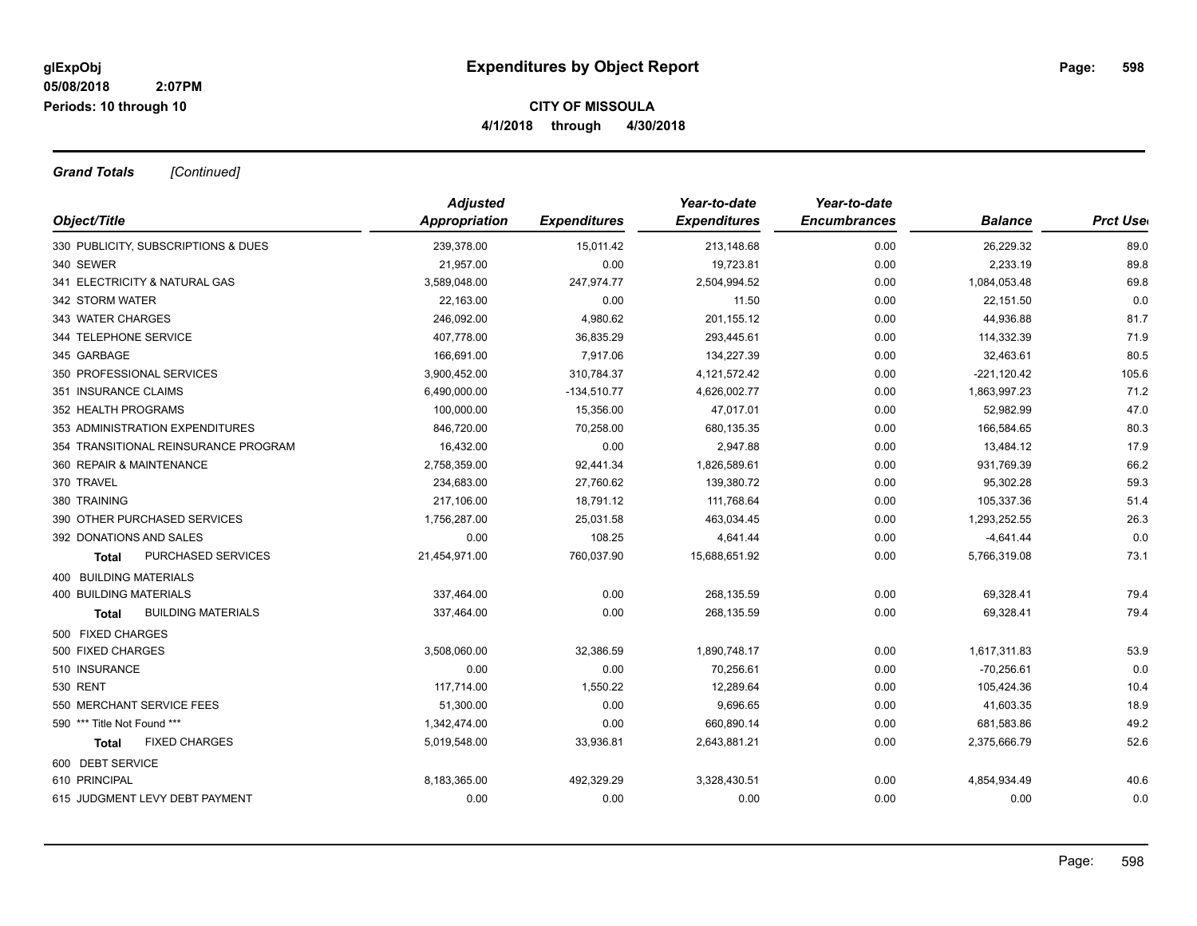*Grand Totals [Continued]*

|                                           | <b>Adjusted</b>      |                     | Year-to-date        | Year-to-date        |                |                  |
|-------------------------------------------|----------------------|---------------------|---------------------|---------------------|----------------|------------------|
| Object/Title                              | <b>Appropriation</b> | <b>Expenditures</b> | <b>Expenditures</b> | <b>Encumbrances</b> | <b>Balance</b> | <b>Prct Uset</b> |
| 330 PUBLICITY, SUBSCRIPTIONS & DUES       | 239,378.00           | 15,011.42           | 213,148.68          | 0.00                | 26,229.32      | 89.0             |
| 340 SEWER                                 | 21,957.00            | 0.00                | 19,723.81           | 0.00                | 2,233.19       | 89.8             |
| 341 ELECTRICITY & NATURAL GAS             | 3,589,048.00         | 247,974.77          | 2,504,994.52        | 0.00                | 1,084,053.48   | 69.8             |
| 342 STORM WATER                           | 22,163.00            | 0.00                | 11.50               | 0.00                | 22,151.50      | 0.0              |
| 343 WATER CHARGES                         | 246,092.00           | 4,980.62            | 201,155.12          | 0.00                | 44,936.88      | 81.7             |
| 344 TELEPHONE SERVICE                     | 407,778.00           | 36,835.29           | 293,445.61          | 0.00                | 114,332.39     | 71.9             |
| 345 GARBAGE                               | 166,691.00           | 7,917.06            | 134,227.39          | 0.00                | 32,463.61      | 80.5             |
| 350 PROFESSIONAL SERVICES                 | 3,900,452.00         | 310,784.37          | 4,121,572.42        | 0.00                | $-221,120.42$  | 105.6            |
| 351 INSURANCE CLAIMS                      | 6,490,000.00         | $-134,510.77$       | 4,626,002.77        | 0.00                | 1,863,997.23   | 71.2             |
| 352 HEALTH PROGRAMS                       | 100,000.00           | 15,356.00           | 47,017.01           | 0.00                | 52,982.99      | 47.0             |
| 353 ADMINISTRATION EXPENDITURES           | 846,720.00           | 70,258.00           | 680,135.35          | 0.00                | 166,584.65     | 80.3             |
| 354 TRANSITIONAL REINSURANCE PROGRAM      | 16,432.00            | 0.00                | 2,947.88            | 0.00                | 13,484.12      | 17.9             |
| 360 REPAIR & MAINTENANCE                  | 2,758,359.00         | 92,441.34           | 1,826,589.61        | 0.00                | 931,769.39     | 66.2             |
| 370 TRAVEL                                | 234,683.00           | 27,760.62           | 139,380.72          | 0.00                | 95,302.28      | 59.3             |
| 380 TRAINING                              | 217,106.00           | 18,791.12           | 111,768.64          | 0.00                | 105,337.36     | 51.4             |
| 390 OTHER PURCHASED SERVICES              | 1,756,287.00         | 25,031.58           | 463,034.45          | 0.00                | 1,293,252.55   | 26.3             |
| 392 DONATIONS AND SALES                   | 0.00                 | 108.25              | 4,641.44            | 0.00                | $-4,641.44$    | 0.0              |
| PURCHASED SERVICES<br><b>Total</b>        | 21,454,971.00        | 760,037.90          | 15,688,651.92       | 0.00                | 5,766,319.08   | 73.1             |
| 400 BUILDING MATERIALS                    |                      |                     |                     |                     |                |                  |
| <b>400 BUILDING MATERIALS</b>             | 337,464.00           | 0.00                | 268,135.59          | 0.00                | 69,328.41      | 79.4             |
| <b>BUILDING MATERIALS</b><br><b>Total</b> | 337,464.00           | 0.00                | 268,135.59          | 0.00                | 69,328.41      | 79.4             |
| 500 FIXED CHARGES                         |                      |                     |                     |                     |                |                  |
| 500 FIXED CHARGES                         | 3,508,060.00         | 32,386.59           | 1,890,748.17        | 0.00                | 1,617,311.83   | 53.9             |
| 510 INSURANCE                             | 0.00                 | 0.00                | 70,256.61           | 0.00                | $-70,256.61$   | 0.0              |
| <b>530 RENT</b>                           | 117,714.00           | 1,550.22            | 12.289.64           | 0.00                | 105,424.36     | 10.4             |
| 550 MERCHANT SERVICE FEES                 | 51,300.00            | 0.00                | 9,696.65            | 0.00                | 41,603.35      | 18.9             |
| 590 *** Title Not Found ***               | 1,342,474.00         | 0.00                | 660,890.14          | 0.00                | 681,583.86     | 49.2             |
| <b>FIXED CHARGES</b><br>Total             | 5,019,548.00         | 33,936.81           | 2,643,881.21        | 0.00                | 2,375,666.79   | 52.6             |
| 600 DEBT SERVICE                          |                      |                     |                     |                     |                |                  |
| 610 PRINCIPAL                             | 8,183,365.00         | 492,329.29          | 3,328,430.51        | 0.00                | 4,854,934.49   | 40.6             |
| 615 JUDGMENT LEVY DEBT PAYMENT            | 0.00                 | 0.00                | 0.00                | 0.00                | 0.00           | 0.0              |